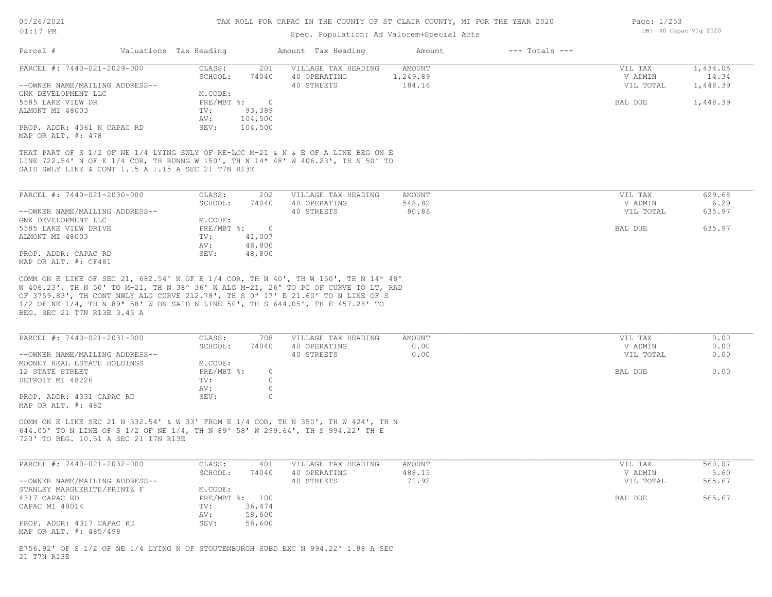### Spec. Population: Ad Valorem+Special Acts

| Parcel #                                          | Valuations Tax Heading |         | Amount Tax Heading  | Amount   | $---$ Totals $---$ |           |          |
|---------------------------------------------------|------------------------|---------|---------------------|----------|--------------------|-----------|----------|
| PARCEL #: 7440-021-2029-000                       | CLASS:                 | 201     | VILLAGE TAX HEADING | AMOUNT   |                    | VIL TAX   | 1,434.05 |
|                                                   | SCHOOL:                | 74040   | 40 OPERATING        | 1,249.89 |                    | V ADMIN   | 14.34    |
| --OWNER NAME/MAILING ADDRESS--                    |                        |         | 40 STREETS          | 184.16   |                    | VIL TOTAL | 1,448.39 |
| GNK DEVELOPMENT LLC                               | M.CODE:                |         |                     |          |                    |           |          |
| 5585 LAKE VIEW DR                                 | $PRE/MBT$ %:           | - 0     |                     |          |                    | BAL DUE   | 1,448.39 |
| ALMONT MI 48003                                   | TV:                    | 93,389  |                     |          |                    |           |          |
|                                                   | AV:                    | 104,500 |                     |          |                    |           |          |
| PROP. ADDR: 4361 N CAPAC RD<br>MAP OR ALT. #: 478 | SEV:                   | 104,500 |                     |          |                    |           |          |

SAID SWLY LINE & CONT 1.15 A 1.15 A SEC 21 T7N R13E LINE 722.54' N OF E 1/4 COR, TH RUNNG W 150', TH N 14ª 48' W 406.23', TH N 50' TO THAT PART OF S 1/2 OF NE 1/4 LYING SWLY OF RE-LOC M-21 & N & E OF A LINE BEG ON E

| PARCEL #: 7440-021-2030-000    | CLASS:     | 202    | VILLAGE TAX HEADING | AMOUNT | VIL TAX   | 629.68 |
|--------------------------------|------------|--------|---------------------|--------|-----------|--------|
|                                | SCHOOL:    | 74040  | 40 OPERATING        | 548.82 | V ADMIN   | 6.29   |
| --OWNER NAME/MAILING ADDRESS-- |            |        | 40 STREETS          | 80.86  | VIL TOTAL | 635.97 |
| GNK DEVELOPMENT LLC            | M.CODE:    |        |                     |        |           |        |
| 5585 LAKE VIEW DRIVE           | PRE/MBT %: |        |                     |        | BAL DUE   | 635.97 |
| ALMONT MI 48003                | TV:        | 41,007 |                     |        |           |        |
|                                | AV:        | 48,800 |                     |        |           |        |
| PROP. ADDR: CAPAC RD           | SEV:       | 48,800 |                     |        |           |        |
| MAP OR ALT. #: CF481           |            |        |                     |        |           |        |

BEG. SEC 21 T7N R13E 3.45 A 1/2 OF NE 1/4, TH N 89ª 58' W ON SAID N LINE 50', TH S 644.05', TH E 457.28' TO OF 3759.83', TH CONT NWLY ALG CURVE 212.78', TH S 0ª 17' E 21.60' TO N LINE OF S W 406.23', TH N 50' TO M-21, TH N 38ª 36' W ALG M-21, 26' TO PC OF CURVE TO LT, RAD COMM ON E LINE OF SEC 21, 682.54' N OF E 1/4 COR, TH N 40', TH W 150', TH N 14ª 48'

| PARCEL #: 7440-021-2031-000                     | CLASS:       | 708   | VILLAGE TAX HEADING | AMOUNT | VIL TAX   | 0.00 |
|-------------------------------------------------|--------------|-------|---------------------|--------|-----------|------|
|                                                 | SCHOOL:      | 74040 | 40 OPERATING        | 0.00   | V ADMIN   | 0.00 |
| --OWNER NAME/MAILING ADDRESS--                  |              |       | 40 STREETS          | 0.00   | VIL TOTAL | 0.00 |
| MOONEY REAL ESTATE HOLDINGS                     | M.CODE:      |       |                     |        |           |      |
| 12 STATE STREET                                 | $PRE/MBT$ %: |       |                     |        | BAL DUE   | 0.00 |
| DETROIT MI 48226                                | TV:          |       |                     |        |           |      |
|                                                 | AV:          |       |                     |        |           |      |
| PROP. ADDR: 4331 CAPAC RD<br>MAP OR ALT. #: 482 | SEV:         |       |                     |        |           |      |

723' TO BEG. 10.51 A SEC 21 T7N R13E 644.05' TO N LINE OF S 1/2 OF NE 1/4, TH N 89ª 58' W 299.64', TH S 994.22' TH E COMM ON E LINE SEC 21 N 332.54' & W 33' FROM E 1/4 COR, TH N 350', TH W 424', TH N

| PARCEL #: 7440-021-2032-000    | CLASS:  | 401            | VILLAGE TAX HEADING | AMOUNT | VIL TAX   | 560.07 |
|--------------------------------|---------|----------------|---------------------|--------|-----------|--------|
|                                | SCHOOL: | 74040          | 40 OPERATING        | 488.15 | V ADMIN   | 5.60   |
| --OWNER NAME/MAILING ADDRESS-- |         |                | 40 STREETS          | 71.92  | VIL TOTAL | 565.67 |
| STANLEY MARGUERITE/PRINTZ F    | M.CODE: |                |                     |        |           |        |
| 4317 CAPAC RD                  |         | PRE/MBT %: 100 |                     |        | BAL DUE   | 565.67 |
| CAPAC MI 48014                 | TV:     | 36,474         |                     |        |           |        |
|                                | AV:     | 58,600         |                     |        |           |        |
| PROP. ADDR: 4317 CAPAC RD      | SEV:    | 58,600         |                     |        |           |        |
| MAP OR ALT. #: 485/498         |         |                |                     |        |           |        |

21 T7N R13E E756.92' OF S 1/2 OF NE 1/4 LYING N OF STOUTENBURGH SUBD EXC N 994.22' 1.88 A SEC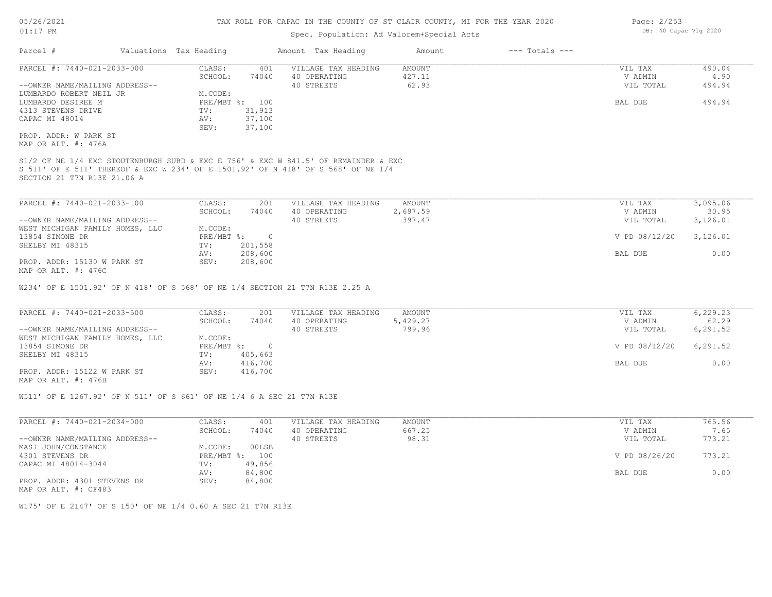## Spec. Population: Ad Valorem+Special Acts

| Parcel #                       | Valuations Tax Heading |                | Amount Tax Heading                                                                  | Amount        | $---$ Totals $---$ |                 |             |
|--------------------------------|------------------------|----------------|-------------------------------------------------------------------------------------|---------------|--------------------|-----------------|-------------|
| PARCEL #: 7440-021-2033-000    | CLASS:                 | 401            | VILLAGE TAX HEADING                                                                 | AMOUNT        |                    | VIL TAX         | 490.04      |
|                                | SCHOOL:                | 74040          | 40 OPERATING                                                                        | 427.11        |                    | V ADMIN         | 4.90        |
| --OWNER NAME/MAILING ADDRESS-- |                        |                | 40 STREETS                                                                          | 62.93         |                    | VIL TOTAL       | 494.94      |
| LUMBARDO ROBERT NEIL JR        | M.CODE:                |                |                                                                                     |               |                    |                 |             |
| LUMBARDO DESIREE M             |                        | PRE/MBT %: 100 |                                                                                     |               |                    | BAL DUE         | 494.94      |
| 4313 STEVENS DRIVE             | TV:                    | 31,913         |                                                                                     |               |                    |                 |             |
| CAPAC MI 48014                 | AV:                    | 37,100         |                                                                                     |               |                    |                 |             |
|                                | SEV:                   | 37,100         |                                                                                     |               |                    |                 |             |
| PROP. ADDR: W PARK ST          |                        |                |                                                                                     |               |                    |                 |             |
| MAP OR ALT. #: 476A            |                        |                |                                                                                     |               |                    |                 |             |
|                                |                        |                | S1/2 OF NE 1/4 EXC STOUTENBURGH SUBD & EXC E 756' & EXC W 841.5' OF REMAINDER & EXC |               |                    |                 |             |
| SECTION 21 T7N R13E 21.06 A    |                        |                | S 511' OF E 511' THEREOF & EXC W 234' OF E 1501.92' OF N 418' OF S 568' OF NE 1/4   |               |                    |                 |             |
|                                |                        |                |                                                                                     |               |                    |                 |             |
| 100.1-2003-001-001-001-001     | $CTACC$ .              | 201            | VIII ACR TAY HRADING                                                                | <b>AMOUNT</b> |                    | <b>VITT TAV</b> | 3 0 0 5 0 6 |

| PARCEL #: /44U-UZI-ZU33-IUU     | JLASS :    | 20 L    | ATTTAGR INY HRYDIMA | AMOUNT.  | VIL TAX       | 3, UYS.U6 |
|---------------------------------|------------|---------|---------------------|----------|---------------|-----------|
|                                 | SCHOOL:    | 74040   | 40 OPERATING        | 2,697.59 | V ADMIN       | 30.95     |
| --OWNER NAME/MAILING ADDRESS--  |            |         | 40 STREETS          | 397.47   | VIL TOTAL     | 3,126.01  |
| WEST MICHIGAN FAMILY HOMES, LLC | M.CODE:    |         |                     |          |               |           |
| 13854 SIMONE DR                 | PRE/MBT %: |         |                     |          | V PD 08/12/20 | 3,126.01  |
| SHELBY MI 48315                 | TV:        | 201,558 |                     |          |               |           |
|                                 | AV:        | 208,600 |                     |          | BAL DUE       | 0.00      |
| PROP. ADDR: 15130 W PARK ST     | SEV:       | 208,600 |                     |          |               |           |
| MAP OR ALT. #: 476C             |            |         |                     |          |               |           |

W234' OF E 1501.92' OF N 418' OF S 568' OF NE 1/4 SECTION 21 T7N R13E 2.25 A

| PARCEL #: 7440-021-2033-500     | CLASS:       | 201     | VILLAGE TAX HEADING | AMOUNT   | VIL TAX       | 6,229.23  |
|---------------------------------|--------------|---------|---------------------|----------|---------------|-----------|
|                                 | SCHOOL:      | 74040   | 40 OPERATING        | 5,429.27 | V ADMIN       | 62.29     |
| --OWNER NAME/MAILING ADDRESS--  |              |         | 40 STREETS          | 799.96   | VIL TOTAL     | 6,291.52  |
| WEST MICHIGAN FAMILY HOMES, LLC | M.CODE:      |         |                     |          |               |           |
| 13854 SIMONE DR                 | $PRE/MBT$ %: |         |                     |          | V PD 08/12/20 | 6, 291.52 |
| SHELBY MI 48315                 | TV:          | 405,663 |                     |          |               |           |
|                                 | AV:          | 416,700 |                     |          | BAL DUE       | 0.00      |
| PROP. ADDR: 15122 W PARK ST     | SEV:         | 416,700 |                     |          |               |           |
| MAP OR ALT. #: 476B             |              |         |                     |          |               |           |

W511' OF E 1267.92' OF N 511' OF S 661' OF NE 1/4 6 A SEC 21 T7N R13E

| PARCEL #: 7440-021-2034-000    | CLASS:     | 401    | VILLAGE TAX HEADING | AMOUNT | VIL TAX       | 765.56 |
|--------------------------------|------------|--------|---------------------|--------|---------------|--------|
|                                | SCHOOL:    | 74040  | 40 OPERATING        | 667.25 | V ADMIN       | 7.65   |
| --OWNER NAME/MAILING ADDRESS-- |            |        | 40 STREETS          | 98.31  | VIL TOTAL     | 773.21 |
| MASI JOHN/CONSTANCE            | M.CODE:    | 00LSB  |                     |        |               |        |
| 4301 STEVENS DR                | PRE/MBT %: | 100    |                     |        | V PD 08/26/20 | 773.21 |
| CAPAC MI 48014-3044            | TV:        | 49,856 |                     |        |               |        |
|                                | AV:        | 84,800 |                     |        | BAL DUE       | 0.00   |
| PROP. ADDR: 4301 STEVENS DR    | SEV:       | 84,800 |                     |        |               |        |
| MAP OR ALT. #: CF483           |            |        |                     |        |               |        |

W175' OF E 2147' OF S 150' OF NE 1/4 0.60 A SEC 21 T7N R13E

Page: 2/253 DB: 40 Capac Vlg 2020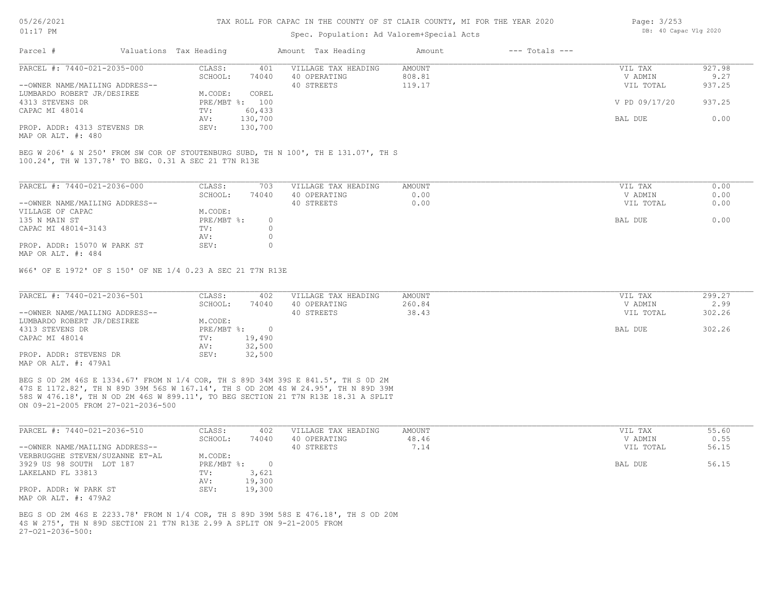### Spec. Population: Ad Valorem+Special Acts

| Page: 3/253 |                       |  |
|-------------|-----------------------|--|
|             | DB: 40 Capac Vlg 2020 |  |

| Parcel #                       | Valuations Tax Heading |                | Amount Tax Heading  | Amount | $---$ Totals $---$ |               |        |
|--------------------------------|------------------------|----------------|---------------------|--------|--------------------|---------------|--------|
| PARCEL #: 7440-021-2035-000    | CLASS:                 | 401            | VILLAGE TAX HEADING | AMOUNT |                    | VIL TAX       | 927.98 |
|                                | SCHOOL:                | 74040          | 40 OPERATING        | 808.81 |                    | V ADMIN       | 9.27   |
| --OWNER NAME/MAILING ADDRESS-- |                        |                | 40 STREETS          | 119.17 |                    | VIL TOTAL     | 937.25 |
| LUMBARDO ROBERT JR/DESIREE     | M.CODE:                | COREL          |                     |        |                    |               |        |
| 4313 STEVENS DR                |                        | PRE/MBT %: 100 |                     |        |                    | V PD 09/17/20 | 937.25 |
| CAPAC MI 48014                 | TV:                    | 60,433         |                     |        |                    |               |        |
|                                | AV:                    | 130,700        |                     |        |                    | BAL DUE       | 0.00   |
| PROP. ADDR: 4313 STEVENS DR    | SEV:                   | 130,700        |                     |        |                    |               |        |
| $\frac{1}{2}$                  |                        |                |                     |        |                    |               |        |

MAP OR ALT. #: 480

100.24', TH W 137.78' TO BEG. 0.31 A SEC 21 T7N R13E BEG W 206' & N 250' FROM SW COR OF STOUTENBURG SUBD, TH N 100', TH E 131.07', TH S

| PARCEL #: 7440-021-2036-000    | CLASS:     | 703   | VILLAGE TAX HEADING | AMOUNT | VIL TAX   | 0.00 |
|--------------------------------|------------|-------|---------------------|--------|-----------|------|
|                                | SCHOOL:    | 74040 | 40 OPERATING        | 0.00   | V ADMIN   | 0.00 |
| --OWNER NAME/MAILING ADDRESS-- |            |       | 40 STREETS          | 0.00   | VIL TOTAL | 0.00 |
| VILLAGE OF CAPAC               | M.CODE:    |       |                     |        |           |      |
| 135 N MAIN ST                  | PRE/MBT %: |       |                     |        | BAL DUE   | 0.00 |
| CAPAC MI 48014-3143            | TV:        |       |                     |        |           |      |
|                                | AV:        |       |                     |        |           |      |
| PROP. ADDR: 15070 W PARK ST    | SEV:       |       |                     |        |           |      |
| MAP OR ALT. #: 484             |            |       |                     |        |           |      |

W66' OF E 1972' OF S 150' OF NE 1/4 0.23 A SEC 21 T7N R13E

| PARCEL #: 7440-021-2036-501    | CLASS:     | 402    | VILLAGE TAX HEADING | AMOUNT | VIL TAX   | 299.27 |
|--------------------------------|------------|--------|---------------------|--------|-----------|--------|
|                                | SCHOOL:    | 74040  | 40 OPERATING        | 260.84 | V ADMIN   | 2.99   |
| --OWNER NAME/MAILING ADDRESS-- |            |        | 40 STREETS          | 38.43  | VIL TOTAL | 302.26 |
| LUMBARDO ROBERT JR/DESIREE     | M.CODE:    |        |                     |        |           |        |
| 4313 STEVENS DR                | PRE/MBT %: |        |                     |        | BAL DUE   | 302.26 |
| CAPAC MI 48014                 | TV:        | 19,490 |                     |        |           |        |
|                                | AV:        | 32,500 |                     |        |           |        |
| PROP. ADDR: STEVENS DR         | SEV:       | 32,500 |                     |        |           |        |
| MAP OR ALT. #: 479A1           |            |        |                     |        |           |        |

ON 09-21-2005 FROM 27-021-2036-500 58S W 476.18', TH N OD 2M 46S W 899.11', TO BEG SECTION 21 T7N R13E 18.31 A SPLIT 47S E 1172.82', TH N 89D 39M 56S W 167.14', TH S OD 2OM 4S W 24.95', TH N 89D 39M BEG S 0D 2M 46S E 1334.67' FROM N 1/4 COR, TH S 89D 34M 39S E 841.5', TH S 0D 2M

| PARCEL #: 7440-021-2036-510     | CLASS:       | 402    | VILLAGE TAX HEADING | AMOUNT | VIL TAX   | 55.60 |
|---------------------------------|--------------|--------|---------------------|--------|-----------|-------|
|                                 | SCHOOL:      | 74040  | 40 OPERATING        | 48.46  | V ADMIN   | 0.55  |
| --OWNER NAME/MAILING ADDRESS--  |              |        | 40 STREETS          | 7.14   | VIL TOTAL | 56.15 |
| VERBRUGGHE STEVEN/SUZANNE ET-AL | M.CODE:      |        |                     |        |           |       |
| 3929 US 98 SOUTH LOT 187        | $PRE/MBT$ %: |        |                     |        | BAL DUE   | 56.15 |
| LAKELAND FL 33813               | TV:          | 3,621  |                     |        |           |       |
|                                 | AV:          | 19,300 |                     |        |           |       |
| PROP. ADDR: W PARK ST           | SEV:         | 19,300 |                     |        |           |       |
| MAP OR ALT. #: 479A2            |              |        |                     |        |           |       |

 $27-021-2036-500$ : 4S W 275', TH N 89D SECTION 21 T7N R13E 2.99 A SPLIT ON 9-21-2005 FROM BEG S OD 2M 46S E 2233.78' FROM N 1/4 COR, TH S 89D 39M 58S E 476.18', TH S OD 20M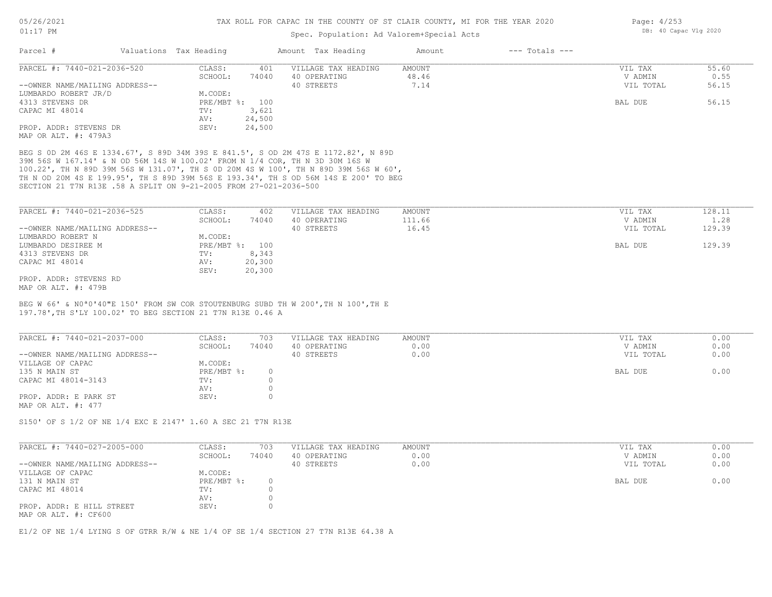#### Spec. Population: Ad Valorem+Special Acts

| Page: $4/253$ |                       |  |
|---------------|-----------------------|--|
|               | DB: 40 Capac Vlg 2020 |  |

|                                |                      |                        |                     | Amount             | $---$ Totals $---$ |           |       |
|--------------------------------|----------------------|------------------------|---------------------|--------------------|--------------------|-----------|-------|
| PARCEL #: 7440-021-2036-520    | CLASS:               | 401                    | VILLAGE TAX HEADING | AMOUNT             |                    | VIL TAX   | 55.60 |
|                                | SCHOOL:              | 74040                  | 40 OPERATING        | 48.46              |                    | V ADMIN   | 0.55  |
| --OWNER NAME/MAILING ADDRESS-- |                      |                        | 40 STREETS          | 7.14               |                    | VIL TOTAL | 56.15 |
| LUMBARDO ROBERT JR/D           | M.CODE:              |                        |                     |                    |                    |           |       |
|                                |                      |                        |                     |                    |                    | BAL DUE   | 56.15 |
|                                | TV:                  | 3,621                  |                     |                    |                    |           |       |
|                                | AV:                  | 24,500                 |                     |                    |                    |           |       |
| PROP. ADDR: STEVENS DR         | SEV:                 | 24,500                 |                     |                    |                    |           |       |
|                                | MAP OR ALT. #: 479A3 | Valuations Tax Heading | PRE/MBT %: 100      | Amount Tax Heading |                    |           |       |

SECTION 21 T7N R13E .58 A SPLIT ON 9-21-2005 FROM 27-021-2036-500 TH N OD 20M 4S E 199.95', TH S 89D 39M 56S E 193.34', TH S OD 56M 14S E 200' TO BEG 100.22', TH N 89D 39M 56S W 131.07', TH S 0D 20M 4S W 100', TH N 89D 39M 56S W 60', 39M 56S W 167.14' & N OD 56M 14S W 100.02' FROM N 1/4 COR, TH N 3D 30M 16S W BEG S 0D 2M 46S E 1334.67', S 89D 34M 39S E 841.5', S OD 2M 47S E 1172.82', N 89D

| PARCEL #: 7440-021-2036-525    | CLASS:  | 402            | VILLAGE TAX HEADING | AMOUNT | VIL TAX   | 128.11 |
|--------------------------------|---------|----------------|---------------------|--------|-----------|--------|
|                                | SCHOOL: | 74040          | 40 OPERATING        | 111.66 | V ADMIN   | 1.28   |
| --OWNER NAME/MAILING ADDRESS-- |         |                | 40 STREETS          | 16.45  | VIL TOTAL | 129.39 |
| LUMBARDO ROBERT N              | M.CODE: |                |                     |        |           |        |
| LUMBARDO DESIREE M             |         | PRE/MBT %: 100 |                     |        | BAL DUE   | 129.39 |
| 4313 STEVENS DR                | TV:     | 8,343          |                     |        |           |        |
| CAPAC MI 48014                 | AV:     | 20,300         |                     |        |           |        |
|                                | SEV:    | 20,300         |                     |        |           |        |
| PROP. ADDR: STEVENS RD         |         |                |                     |        |           |        |
| MAP OR ALT. #: 479B            |         |                |                     |        |           |        |

197.78',TH S'LY 100.02' TO BEG SECTION 21 T7N R13E 0.46 A BEG W 66' & N0ª0'40"E 150' FROM SW COR STOUTENBURG SUBD TH W 200',TH N 100',TH E

| PARCEL #: 7440-021-2037-000    | CLASS:     | 703   | VILLAGE TAX HEADING | AMOUNT | VIL TAX   | 0.00 |
|--------------------------------|------------|-------|---------------------|--------|-----------|------|
|                                | SCHOOL:    | 74040 | 40 OPERATING        | 0.00   | V ADMIN   | 0.00 |
| --OWNER NAME/MAILING ADDRESS-- |            |       | 40 STREETS          | 0.00   | VIL TOTAL | 0.00 |
| VILLAGE OF CAPAC               | M.CODE:    |       |                     |        |           |      |
| 135 N MAIN ST                  | PRE/MBT %: |       |                     |        | BAL DUE   | 0.00 |
| CAPAC MI 48014-3143            | TV:        |       |                     |        |           |      |
|                                | AV:        |       |                     |        |           |      |
| PROP. ADDR: E PARK ST          | SEV:       |       |                     |        |           |      |
| MAP OR ALT. #: 477             |            |       |                     |        |           |      |

S150' OF S 1/2 OF NE 1/4 EXC E 2147' 1.60 A SEC 21 T7N R13E

| PARCEL #: 7440-027-2005-000                       | CLASS:       | 703   | VILLAGE TAX HEADING | AMOUNT | VIL TAX   | 0.00 |
|---------------------------------------------------|--------------|-------|---------------------|--------|-----------|------|
|                                                   | SCHOOL:      | 74040 | 40 OPERATING        | 0.00   | V ADMIN   | 0.00 |
| --OWNER NAME/MAILING ADDRESS--                    |              |       | 40 STREETS          | 0.00   | VIL TOTAL | 0.00 |
| VILLAGE OF CAPAC                                  | M.CODE:      |       |                     |        |           |      |
| 131 N MAIN ST                                     | $PRE/MBT$ %: |       |                     |        | BAL DUE   | 0.00 |
| CAPAC MI 48014                                    | TV:          |       |                     |        |           |      |
|                                                   | AV:          |       |                     |        |           |      |
| PROP. ADDR: E HILL STREET<br>MAP OR ALT. #: CF600 | SEV:         |       |                     |        |           |      |

E1/2 OF NE 1/4 LYING S OF GTRR R/W & NE 1/4 OF SE 1/4 SECTION 27 T7N R13E 64.38 A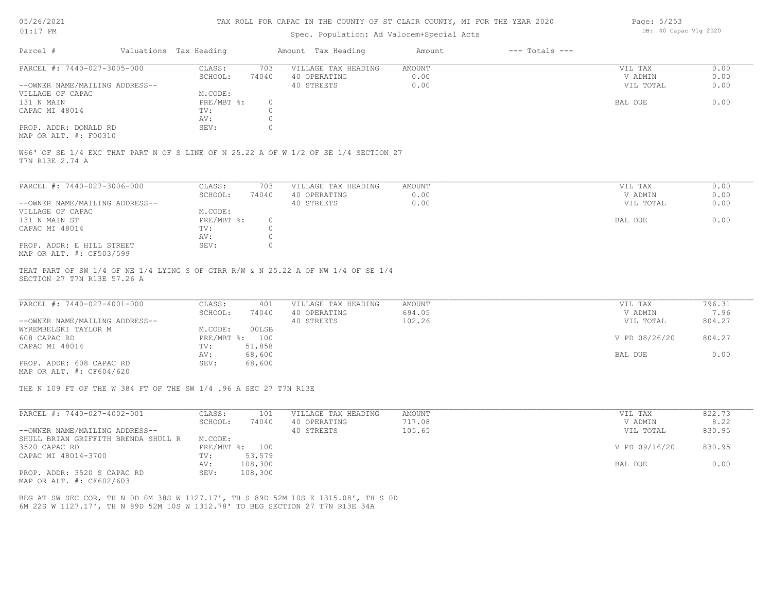### Spec. Population: Ad Valorem+Special Acts

| Page: 5/253 |                       |  |
|-------------|-----------------------|--|
|             | DB: 40 Capac Vlg 2020 |  |

| Parcel #                       | Valuations Tax Heading |       | Amount Tax Heading  | Amount | $---$ Totals $---$ |           |      |
|--------------------------------|------------------------|-------|---------------------|--------|--------------------|-----------|------|
| PARCEL #: 7440-027-3005-000    | CLASS:                 | 703   | VILLAGE TAX HEADING | AMOUNT |                    | VIL TAX   | 0.00 |
|                                | SCHOOL:                | 74040 | 40 OPERATING        | 0.00   |                    | V ADMIN   | 0.00 |
| --OWNER NAME/MAILING ADDRESS-- |                        |       | 40 STREETS          | 0.00   |                    | VIL TOTAL | 0.00 |
| VILLAGE OF CAPAC               | M.CODE:                |       |                     |        |                    |           |      |
| 131 N MAIN                     | PRE/MBT %:             |       |                     |        |                    | BAL DUE   | 0.00 |
| CAPAC MI 48014                 | TV:                    |       |                     |        |                    |           |      |
|                                | AV:                    |       |                     |        |                    |           |      |
| PROP. ADDR: DONALD RD          | SEV:                   |       |                     |        |                    |           |      |
|                                |                        |       |                     |        |                    |           |      |

MAP OR ALT. #: F00310

T7N R13E 2.74 A W66' OF SE 1/4 EXC THAT PART N OF S LINE OF N 25.22 A OF W 1/2 OF SE 1/4 SECTION 27

| PARCEL #: 7440-027-3006-000    | CLASS:     | 703   | VILLAGE TAX HEADING | AMOUNT | VIL TAX   | 0.00 |
|--------------------------------|------------|-------|---------------------|--------|-----------|------|
|                                | SCHOOL:    | 74040 | 40 OPERATING        | 0.00   | V ADMIN   | 0.00 |
| --OWNER NAME/MAILING ADDRESS-- |            |       | 40 STREETS          | 0.00   | VIL TOTAL | 0.00 |
| VILLAGE OF CAPAC               | M.CODE:    |       |                     |        |           |      |
| 131 N MAIN ST                  | PRE/MBT %: |       |                     |        | BAL DUE   | 0.00 |
| CAPAC MI 48014                 | TV:        |       |                     |        |           |      |
|                                | AV:        |       |                     |        |           |      |
| PROP. ADDR: E HILL STREET      | SEV:       |       |                     |        |           |      |
| MAP OR ALT. #: CF503/599       |            |       |                     |        |           |      |

SECTION 27 T7N R13E 57.26 A THAT PART OF SW 1/4 OF NE 1/4 LYING S OF GTRR R/W & N 25.22 A OF NW 1/4 OF SE 1/4

| PARCEL #: 7440-027-4001-000    | CLASS:  | 401            | VILLAGE TAX HEADING | AMOUNT | VIL TAX       | 796.31 |
|--------------------------------|---------|----------------|---------------------|--------|---------------|--------|
|                                | SCHOOL: | 74040          | 40 OPERATING        | 694.05 | V ADMIN       | 7.96   |
| --OWNER NAME/MAILING ADDRESS-- |         |                | 40 STREETS          | 102.26 | VIL TOTAL     | 804.27 |
| WYREMBELSKI TAYLOR M           | M.CODE: | 00LSB          |                     |        |               |        |
| 608 CAPAC RD                   |         | PRE/MBT %: 100 |                     |        | V PD 08/26/20 | 804.27 |
| CAPAC MI 48014                 | TV:     | 51,858         |                     |        |               |        |
|                                | AV:     | 68,600         |                     |        | BAL DUE       | 0.00   |
| PROP. ADDR: 608 CAPAC RD       | SEV:    | 68,600         |                     |        |               |        |
|                                |         |                |                     |        |               |        |

MAP OR ALT. #: CF604/620

THE N 109 FT OF THE W 384 FT OF THE SW 1/4 .96 A SEC 27 T7N R13E

| PARCEL #: 7440-027-4002-001         | CLASS:       | 101     | VILLAGE TAX HEADING | AMOUNT | VIL TAX       | 822.73 |
|-------------------------------------|--------------|---------|---------------------|--------|---------------|--------|
|                                     | SCHOOL:      | 74040   | 40 OPERATING        | 717.08 | V ADMIN       | 8.22   |
| --OWNER NAME/MAILING ADDRESS--      |              |         | 40 STREETS          | 105.65 | VIL TOTAL     | 830.95 |
| SHULL BRIAN GRIFFITH BRENDA SHULL R | M.CODE:      |         |                     |        |               |        |
| 3520 CAPAC RD                       | $PRE/MBT$ %: | 100     |                     |        | V PD 09/16/20 | 830.95 |
| CAPAC MI 48014-3700                 | TV:          | 53,579  |                     |        |               |        |
|                                     | AV:          | 108,300 |                     |        | BAL DUE       | 0.00   |
| PROP. ADDR: 3520 S CAPAC RD         | SEV:         | 108,300 |                     |        |               |        |

MAP OR ALT. #: CF602/603

6M 22S W 1127.17', TH N 89D 52M 10S W 1312.78' TO BEG SECTION 27 T7N R13E 34A BEG AT SW SEC COR, TH N 0D 0M 38S W 1127.17', TH S 89D 52M 10S E 1315.08', TH S 0D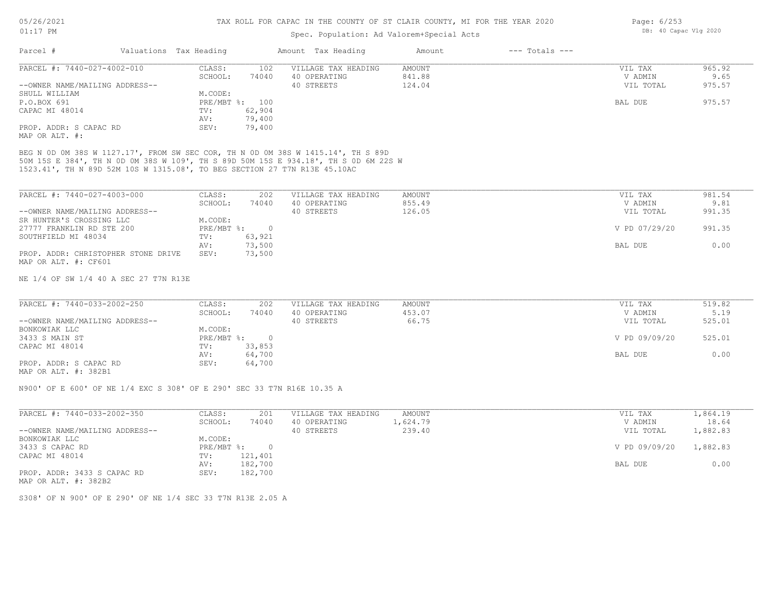### Spec. Population: Ad Valorem+Special Acts

| Parcel #                       | Valuations Tax Heading |                | Amount Tax Heading  | Amount | $---$ Totals $---$ |           |        |
|--------------------------------|------------------------|----------------|---------------------|--------|--------------------|-----------|--------|
| PARCEL #: 7440-027-4002-010    | CLASS:                 | 102            | VILLAGE TAX HEADING | AMOUNT |                    | VIL TAX   | 965.92 |
|                                | SCHOOL:                | 74040          | 40 OPERATING        | 841.88 |                    | V ADMIN   | 9.65   |
| --OWNER NAME/MAILING ADDRESS-- |                        |                | 40 STREETS          | 124.04 |                    | VIL TOTAL | 975.57 |
| SHULL WILLIAM                  | M.CODE:                |                |                     |        |                    |           |        |
| P.O.BOX 691                    |                        | PRE/MBT %: 100 |                     |        |                    | BAL DUE   | 975.57 |
| CAPAC MI 48014                 | TV:                    | 62,904         |                     |        |                    |           |        |
|                                | AV:                    | 79,400         |                     |        |                    |           |        |
| PROP. ADDR: S CAPAC RD         | SEV:                   | 79,400         |                     |        |                    |           |        |
| MAP OR ALT. #:                 |                        |                |                     |        |                    |           |        |

1523.41', TH N 89D 52M 10S W 1315.08', TO BEG SECTION 27 T7N R13E 45.10AC 50M 15S E 384', TH N 0D 0M 38S W 109', TH S 89D 50M 15S E 934.18', TH S 0D 6M 22S W BEG N 0D 0M 38S W 1127.17', FROM SW SEC COR, TH N 0D 0M 38S W 1415.14', TH S 89D

| PARCEL #: 7440-027-4003-000         | CLASS:       | 202    | VILLAGE TAX HEADING | AMOUNT | VIL TAX       | 981.54 |
|-------------------------------------|--------------|--------|---------------------|--------|---------------|--------|
|                                     | SCHOOL:      | 74040  | 40 OPERATING        | 855.49 | V ADMIN       | 9.81   |
| --OWNER NAME/MAILING ADDRESS--      |              |        | 40 STREETS          | 126.05 | VIL TOTAL     | 991.35 |
| SR HUNTER'S CROSSING LLC            | M.CODE:      |        |                     |        |               |        |
| 27777 FRANKLIN RD STE 200           | $PRE/MBT$ %: |        |                     |        | V PD 07/29/20 | 991.35 |
| SOUTHFIELD MI 48034                 | TV:          | 63,921 |                     |        |               |        |
|                                     | AV:          | 73,500 |                     |        | BAL DUE       | 0.00   |
| PROP. ADDR: CHRISTOPHER STONE DRIVE | SEV:         | 73,500 |                     |        |               |        |
| MAP OR ALT. #: CF601                |              |        |                     |        |               |        |

NE 1/4 OF SW 1/4 40 A SEC 27 T7N R13E

| PARCEL #: 7440-033-2002-250    | CLASS:       | 202    | VILLAGE TAX HEADING | AMOUNT | VIL TAX       | 519.82 |
|--------------------------------|--------------|--------|---------------------|--------|---------------|--------|
|                                | SCHOOL:      | 74040  | 40 OPERATING        | 453.07 | V ADMIN       | 5.19   |
| --OWNER NAME/MAILING ADDRESS-- |              |        | 40 STREETS          | 66.75  | VIL TOTAL     | 525.01 |
| BONKOWIAK LLC                  | M.CODE:      |        |                     |        |               |        |
| 3433 S MAIN ST                 | $PRE/MBT$ %: |        |                     |        | V PD 09/09/20 | 525.01 |
| CAPAC MI 48014                 | TV:          | 33,853 |                     |        |               |        |
|                                | AV:          | 64,700 |                     |        | BAL DUE       | 0.00   |
| PROP. ADDR: S CAPAC RD         | SEV:         | 64,700 |                     |        |               |        |
| $\cdots$                       |              |        |                     |        |               |        |

MAP OR ALT. #: 382B1

N900' OF E 600' OF NE 1/4 EXC S 308' OF E 290' SEC 33 T7N R16E 10.35 A

| PARCEL #: 7440-033-2002-350    | CLASS:     | 201     | VILLAGE TAX HEADING | AMOUNT   | VIL TAX       | 1,864.19 |
|--------------------------------|------------|---------|---------------------|----------|---------------|----------|
|                                | SCHOOL:    | 74040   | 40 OPERATING        | 1,624.79 | V ADMIN       | 18.64    |
| --OWNER NAME/MAILING ADDRESS-- |            |         | 40 STREETS          | 239.40   | VIL TOTAL     | 1,882.83 |
| BONKOWIAK LLC                  | M.CODE:    |         |                     |          |               |          |
| 3433 S CAPAC RD                | PRE/MBT %: |         |                     |          | V PD 09/09/20 | 1,882.83 |
| CAPAC MI 48014                 | TV:        | 121,401 |                     |          |               |          |
|                                | AV:        | 182,700 |                     |          | BAL DUE       | 0.00     |
| PROP. ADDR: 3433 S CAPAC RD    | SEV:       | 182,700 |                     |          |               |          |
| MAP OR ALT. #: 382B2           |            |         |                     |          |               |          |

S308' OF N 900' OF E 290' OF NE 1/4 SEC 33 T7N R13E 2.05 A

Page: 6/253 DB: 40 Capac Vlg 2020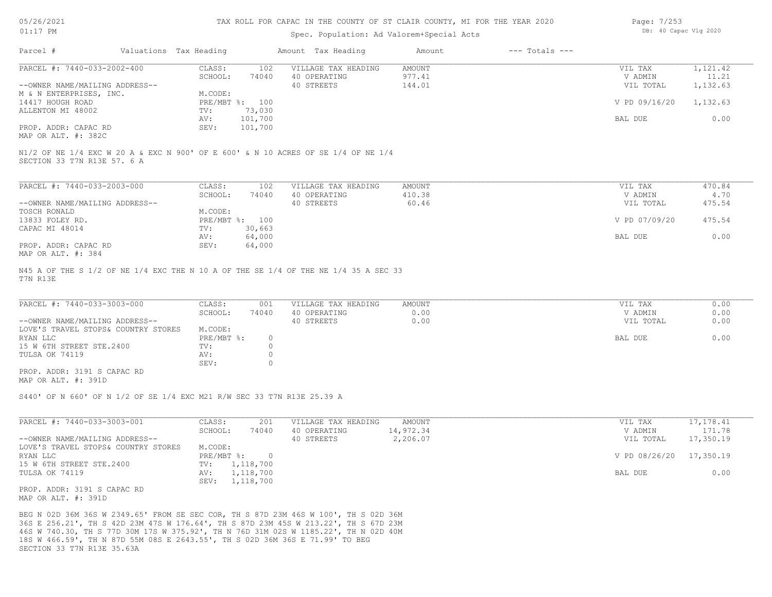| 5/26/2021 |  |
|-----------|--|
|           |  |

#### Spec. Population: Ad Valorem+Special Acts

| Page: 7/253 |                       |  |
|-------------|-----------------------|--|
|             | DB: 40 Capac Vlg 2020 |  |

| Parcel #                       | Valuations Tax Heading |                | Amount Tax Heading                                                                | Amount | $---$ Totals $---$ |               |          |
|--------------------------------|------------------------|----------------|-----------------------------------------------------------------------------------|--------|--------------------|---------------|----------|
| PARCEL #: 7440-033-2002-400    | CLASS:                 | 102            | VILLAGE TAX HEADING                                                               | AMOUNT |                    | VIL TAX       | 1,121.42 |
|                                | SCHOOL:                | 74040          | 40 OPERATING                                                                      | 977.41 |                    | V ADMIN       | 11.21    |
| --OWNER NAME/MAILING ADDRESS-- |                        |                | 40 STREETS                                                                        | 144.01 |                    | VIL TOTAL     | 1,132.63 |
| M & N ENTERPRISES, INC.        | M.CODE:                |                |                                                                                   |        |                    |               |          |
| 14417 HOUGH ROAD               |                        | PRE/MBT %: 100 |                                                                                   |        |                    | V PD 09/16/20 | 1,132.63 |
| ALLENTON MI 48002              | TV:                    | 73,030         |                                                                                   |        |                    |               |          |
|                                | AV:                    | 101,700        |                                                                                   |        |                    | BAL DUE       | 0.00     |
| PROP. ADDR: CAPAC RD           | SEV:                   | 101,700        |                                                                                   |        |                    |               |          |
| MAP OR ALT. #: 382C            |                        |                |                                                                                   |        |                    |               |          |
|                                |                        |                |                                                                                   |        |                    |               |          |
| SECTION 33 T7N R13E 57. 6 A    |                        |                | N1/2 OF NE 1/4 EXC W 20 A & EXC N 900' OF E 600' & N 10 ACRES OF SE 1/4 OF NE 1/4 |        |                    |               |          |
|                                |                        |                |                                                                                   |        |                    |               |          |

| PARCEL #: 7440-033-2003-000    | CLASS:       | 102    | VILLAGE TAX HEADING | AMOUNT | VIL TAX       | 470.84 |
|--------------------------------|--------------|--------|---------------------|--------|---------------|--------|
|                                | SCHOOL:      | 74040  | 40 OPERATING        | 410.38 | V ADMIN       | 4.70   |
| --OWNER NAME/MAILING ADDRESS-- |              |        | 40 STREETS          | 60.46  | VIL TOTAL     | 475.54 |
| TOSCH RONALD                   | M.CODE:      |        |                     |        |               |        |
| 13833 FOLEY RD.                | $PRE/MBT$ %: | 100    |                     |        | V PD 07/09/20 | 475.54 |
| CAPAC MI 48014                 | TV:          | 30,663 |                     |        |               |        |
|                                | AV:          | 64,000 |                     |        | BAL DUE       | 0.00   |
| PROP. ADDR: CAPAC RD           | SEV:         | 64,000 |                     |        |               |        |
| MAP OR ALT. #: 384             |              |        |                     |        |               |        |

T7N R13E N45 A OF THE S 1/2 OF NE 1/4 EXC THE N 10 A OF THE SE 1/4 OF THE NE 1/4 35 A SEC 33

| PARCEL #: 7440-033-3003-000         | CLASS:       | 001   | VILLAGE TAX HEADING | AMOUNT | VIL TAX   | 0.00 |
|-------------------------------------|--------------|-------|---------------------|--------|-----------|------|
|                                     | SCHOOL:      | 74040 | 40 OPERATING        | 0.00   | V ADMIN   | 0.00 |
| --OWNER NAME/MAILING ADDRESS--      |              |       | 40 STREETS          | 0.00   | VIL TOTAL | 0.00 |
| LOVE'S TRAVEL STOPS& COUNTRY STORES | M.CODE:      |       |                     |        |           |      |
| RYAN LLC                            | $PRE/MBT$ %: |       |                     |        | BAL DUE   | 0.00 |
| 15 W 6TH STREET STE.2400            | TV:          |       |                     |        |           |      |
| TULSA OK 74119                      | AV:          |       |                     |        |           |      |
|                                     | SEV:         |       |                     |        |           |      |
| PROP. ADDR: 3191 S CAPAC RD         |              |       |                     |        |           |      |

MAP OR ALT. #: 391D

S440' OF N 660' OF N 1/2 OF SE 1/4 EXC M21 R/W SEC 33 T7N R13E 25.39 A

| PARCEL #: 7440-033-3003-001         | CLASS:       | 201       | VILLAGE TAX HEADING | AMOUNT    | VIL TAX       | 17, 178.41 |
|-------------------------------------|--------------|-----------|---------------------|-----------|---------------|------------|
|                                     | SCHOOL:      | 74040     | 40 OPERATING        | 14,972.34 | V ADMIN       | 171.78     |
| --OWNER NAME/MAILING ADDRESS--      |              |           | 40 STREETS          | 2,206.07  | VIL TOTAL     | 17,350.19  |
| LOVE'S TRAVEL STOPS& COUNTRY STORES | M.CODE:      |           |                     |           |               |            |
| RYAN LLC                            | $PRE/MBT$ %: |           |                     |           | V PD 08/26/20 | 17,350.19  |
| 15 W 6TH STREET STE.2400            | TV:          | 1,118,700 |                     |           |               |            |
| TULSA OK 74119                      | AV:          | 1,118,700 |                     |           | BAL DUE       | 0.00       |
|                                     | SEV:         | 1,118,700 |                     |           |               |            |
| PROP. ADDR: 3191 S CAPAC RD         |              |           |                     |           |               |            |
| MAP OR ALT. #: 391D                 |              |           |                     |           |               |            |

SECTION 33 T7N R13E 35.63A 18S W 466.59', TH N 87D 55M 08S E 2643.55', TH S 02D 36M 36S E 71.99' TO BEG 46S W 740.30, TH S 77D 30M 17S W 375.92', TH N 76D 31M 02S W 1185.22', TH N 02D 40M 36S E 256.21', TH S 42D 23M 47S W 176.64', TH S 87D 23M 45S W 213.22', TH S 67D 23M BEG N 02D 36M 36S W 2349.65' FROM SE SEC COR, TH S 87D 23M 46S W 100', TH S 02D 36M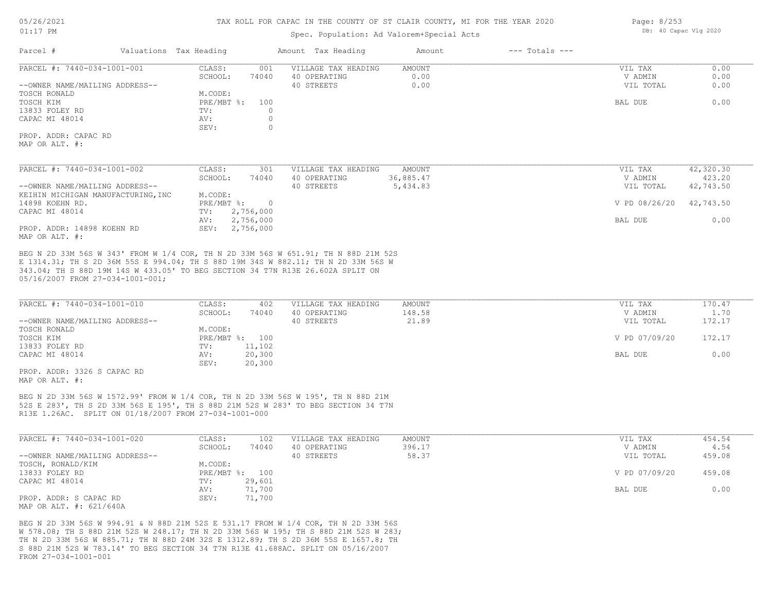#### Spec. Population: Ad Valorem+Special Acts

| Parcel #                           | Valuations Tax Heading    |                | Amount Tax Heading  | Amount    | $---$ Totals $---$ |               |           |
|------------------------------------|---------------------------|----------------|---------------------|-----------|--------------------|---------------|-----------|
| PARCEL #: 7440-034-1001-001        | CLASS:                    | 001            | VILLAGE TAX HEADING | AMOUNT    |                    | VIL TAX       | 0.00      |
|                                    | SCHOOL:                   | 74040          | 40 OPERATING        | 0.00      |                    | V ADMIN       | 0.00      |
| --OWNER NAME/MAILING ADDRESS--     |                           |                | 40 STREETS          | 0.00      |                    | VIL TOTAL     | 0.00      |
| TOSCH RONALD                       | M.CODE:                   |                |                     |           |                    |               |           |
| TOSCH KIM                          | PRE/MBT %:                | 100            |                     |           |                    | BAL DUE       | 0.00      |
| 13833 FOLEY RD                     | TV:                       |                |                     |           |                    |               |           |
| CAPAC MI 48014                     | AV:                       | $\Omega$       |                     |           |                    |               |           |
|                                    | SEV:                      |                |                     |           |                    |               |           |
| PROP. ADDR: CAPAC RD               |                           |                |                     |           |                    |               |           |
| MAP OR ALT. #:                     |                           |                |                     |           |                    |               |           |
|                                    |                           |                |                     |           |                    |               |           |
| PARCEL #: 7440-034-1001-002        | CLASS:                    | 301            | VILLAGE TAX HEADING | AMOUNT    |                    | VIL TAX       | 42,320.30 |
|                                    | SCHOOL:                   | 74040          | 40 OPERATING        | 36,885.47 |                    | V ADMIN       | 423.20    |
| --OWNER NAME/MAILING ADDRESS--     |                           |                | 40 STREETS          | 5,434.83  |                    | VIL TOTAL     | 42,743.50 |
| KEIHIN MICHIGAN MANUFACTURING, INC | M.CODE:                   |                |                     |           |                    |               |           |
| 14898 KOEHN RD.                    | $PRE/MBT$ $\frac{1}{6}$ : | $\overline{0}$ |                     |           |                    | V PD 08/26/20 | 42,743.50 |
| CAPAC MI 48014                     | TV:                       | 2,756,000      |                     |           |                    |               |           |
|                                    | AV:                       | 2,756,000      |                     |           |                    | BAL DUE       | 0.00      |
| PROP. ADDR: 14898 KOEHN RD         | SEV:                      | 2,756,000      |                     |           |                    |               |           |

MAP OR ALT. #:

05/16/2007 FROM 27-034-1001-001; 343.04; TH S 88D 19M 14S W 433.05' TO BEG SECTION 34 T7N R13E 26.602A SPLIT ON E 1314.31; TH S 2D 36M 55S E 994.04; TH S 88D 19M 34S W 882.11; TH N 2D 33M 56S W BEG N 2D 33M 56S W 343' FROM W 1/4 COR, TH N 2D 33M 56S W 651.91; TH N 88D 21M 52S

| PARCEL #: 7440-034-1001-010    | CLASS:         | 402    | VILLAGE TAX HEADING | AMOUNT | VIL TAX       | 170.47 |
|--------------------------------|----------------|--------|---------------------|--------|---------------|--------|
|                                | SCHOOL:        | 74040  | 40 OPERATING        | 148.58 | V ADMIN       | 1.70   |
| --OWNER NAME/MAILING ADDRESS-- |                |        | 40 STREETS          | 21.89  | VIL TOTAL     | 172.17 |
| TOSCH RONALD                   | M.CODE:        |        |                     |        |               |        |
| TOSCH KIM                      | PRE/MBT %: 100 |        |                     |        | V PD 07/09/20 | 172.17 |
| 13833 FOLEY RD                 | TV:            | 11,102 |                     |        |               |        |
| CAPAC MI 48014                 | AV:            | 20,300 |                     |        | BAL DUE       | 0.00   |
|                                | SEV:           | 20,300 |                     |        |               |        |

MAP OR ALT. #: PROP. ADDR: 3326 S CAPAC RD

R13E 1.26AC. SPLIT ON 01/18/2007 FROM 27-034-1001-000 52S E 283', TH S 2D 33M 56S E 195', TH S 88D 21M 52S W 283' TO BEG SECTION 34 T7N BEG N 2D 33M 56S W 1572.99' FROM W 1/4 COR, TH N 2D 33M 56S W 195', TH N 88D 21M

| PARCEL #: 7440-034-1001-020    | CLASS:  | 102            | VILLAGE TAX HEADING | AMOUNT | VIL TAX       | 454.54 |
|--------------------------------|---------|----------------|---------------------|--------|---------------|--------|
|                                | SCHOOL: | 74040          | 40 OPERATING        | 396.17 | V ADMIN       | 4.54   |
| --OWNER NAME/MAILING ADDRESS-- |         |                | 40 STREETS          | 58.37  | VIL TOTAL     | 459.08 |
| TOSCH, RONALD/KIM              | M.CODE: |                |                     |        |               |        |
| 13833 FOLEY RD                 |         | PRE/MBT %: 100 |                     |        | V PD 07/09/20 | 459.08 |
| CAPAC MI 48014                 | TV:     | 29,601         |                     |        |               |        |
|                                | AV:     | 71,700         |                     |        | BAL DUE       | 0.00   |
| PROP. ADDR: S CAPAC RD         | SEV:    | 71,700         |                     |        |               |        |
| MAP OR ALT. #: 621/640A        |         |                |                     |        |               |        |

FROM 27-034-1001-001 S 88D 21M 52S W 783.14' TO BEG SECTION 34 T7N R13E 41.688AC. SPLIT ON 05/16/2007 TH N 2D 33M 56S W 885.71; TH N 88D 24M 32S E 1312.89; TH S 2D 36M 55S E 1657.8; TH W 578.08; TH S 88D 21M 52S W 248.17; TH N 2D 33M 56S W 195; TH S 88D 21M 52S W 283; BEG N 2D 33M 56S W 994.91 & N 88D 21M 52S E 531.17 FROM W 1/4 COR, TH N 2D 33M 56S

Page: 8/253 DB: 40 Capac Vlg 2020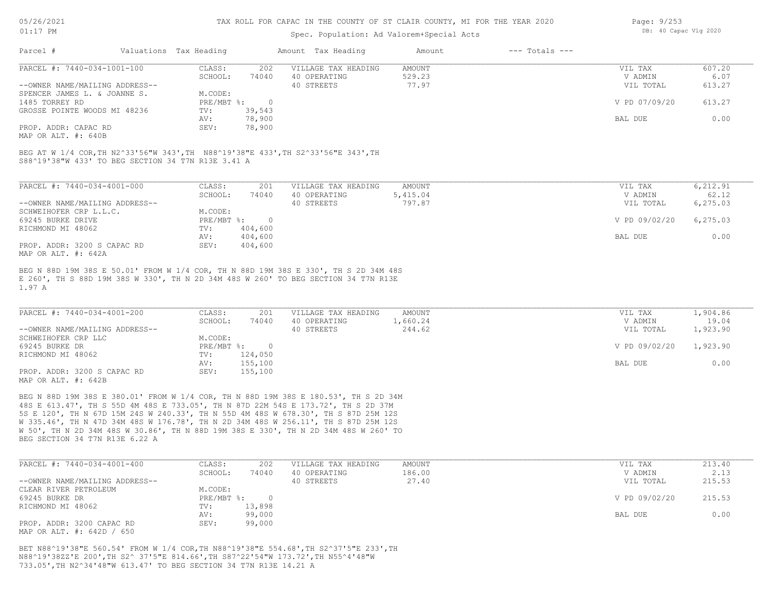### Spec. Population: Ad Valorem+Special Acts

| Page: $9/253$ |                       |  |
|---------------|-----------------------|--|
|               | DB: 40 Capac Vlg 2020 |  |

| Parcel #                       | Valuations Tax Heading |        | Amount Tax Heading  | Amount | $---$ Totals $---$ |               |        |
|--------------------------------|------------------------|--------|---------------------|--------|--------------------|---------------|--------|
| PARCEL #: 7440-034-1001-100    | CLASS:                 | 202    | VILLAGE TAX HEADING | AMOUNT |                    | VIL TAX       | 607.20 |
|                                | SCHOOL:                | 74040  | 40 OPERATING        | 529.23 |                    | V ADMIN       | 6.07   |
| --OWNER NAME/MAILING ADDRESS-- |                        |        | 40 STREETS          | 77.97  |                    | VIL TOTAL     | 613.27 |
| SPENCER JAMES L. & JOANNE S.   | M.CODE:                |        |                     |        |                    |               |        |
| 1485 TORREY RD                 | PRE/MBT %:             |        |                     |        |                    | V PD 07/09/20 | 613.27 |
| GROSSE POINTE WOODS MI 48236   | TV:                    | 39,543 |                     |        |                    |               |        |
|                                | AV:                    | 78,900 |                     |        |                    | BAL DUE       | 0.00   |
| PROP. ADDR: CAPAC RD           | SEV:                   | 78,900 |                     |        |                    |               |        |
|                                |                        |        |                     |        |                    |               |        |

MAP OR ALT. #: 640B

S88^19'38"W 433' TO BEG SECTION 34 T7N R13E 3.41 A BEG AT W 1/4 COR,TH N2^33'56"W 343',TH N88^19'38"E 433',TH S2^33'56"E 343',TH

| PARCEL #: 7440-034-4001-000    | CLASS:     | 201     | VILLAGE TAX HEADING | AMOUNT   | VIL TAX       | 6,212.91  |
|--------------------------------|------------|---------|---------------------|----------|---------------|-----------|
|                                | SCHOOL:    | 74040   | 40 OPERATING        | 5,415.04 | V ADMIN       | 62.12     |
| --OWNER NAME/MAILING ADDRESS-- |            |         | 40 STREETS          | 797.87   | VIL TOTAL     | 6,275.03  |
| SCHWEIHOFER CRP L.L.C.         | M.CODE:    |         |                     |          |               |           |
| 69245 BURKE DRIVE              | PRE/MBT %: |         |                     |          | V PD 09/02/20 | 6, 275.03 |
| RICHMOND MI 48062              | TV:        | 404,600 |                     |          |               |           |
|                                | AV:        | 404,600 |                     |          | BAL DUE       | 0.00      |
| PROP. ADDR: 3200 S CAPAC RD    | SEV:       | 404,600 |                     |          |               |           |
| MAP OR ALT. #: 642A            |            |         |                     |          |               |           |

1.97 A E 260', TH S 88D 19M 38S W 330', TH N 2D 34M 48S W 260' TO BEG SECTION 34 T7N R13E BEG N 88D 19M 38S E 50.01' FROM W 1/4 COR, TH N 88D 19M 38S E 330', TH S 2D 34M 48S

| PARCEL #: 7440-034-4001-200    | CLASS:     | 201     | VILLAGE TAX HEADING | AMOUNT   | VIL TAX       | 1,904.86 |
|--------------------------------|------------|---------|---------------------|----------|---------------|----------|
|                                | SCHOOL:    | 74040   | 40 OPERATING        | 1,660.24 | V ADMIN       | 19.04    |
| --OWNER NAME/MAILING ADDRESS-- |            |         | 40 STREETS          | 244.62   | VIL TOTAL     | 1,923.90 |
| SCHWEIHOFER CRP LLC            | M.CODE:    |         |                     |          |               |          |
| 69245 BURKE DR                 | PRE/MBT %: |         |                     |          | V PD 09/02/20 | 1,923.90 |
| RICHMOND MI 48062              | TV:        | 124,050 |                     |          |               |          |
|                                | AV:        | 155,100 |                     |          | BAL DUE       | 0.00     |
| PROP. ADDR: 3200 S CAPAC RD    | SEV:       | 155,100 |                     |          |               |          |
| MAP OR ALT. #: 642B            |            |         |                     |          |               |          |

BEG SECTION 34 T7N R13E 6.22 A W 50', TH N 2D 34M 48S W 30.86', TH N 88D 19M 38S E 330', TH N 2D 34M 48S W 260' TO W 335.46', TH N 47D 34M 48S W 176.78', TH N 2D 34M 48S W 256.11', TH S 87D 25M 12S 5S E 120', TH N 67D 15M 24S W 240.33', TH N 55D 4M 48S W 678.30', TH S 87D 25M 12S 48S E 613.47', TH S 55D 4M 48S E 733.05', TH N 87D 22M 54S E 173.72', TH S 2D 37M BEG N 88D 19M 38S E 380.01' FROM W 1/4 COR, TH N 88D 19M 38S E 180.53', TH S 2D 34M

| PARCEL #: 7440-034-4001-400    | CLASS:       | 202    | VILLAGE TAX HEADING | AMOUNT | VIL TAX       | 213.40 |
|--------------------------------|--------------|--------|---------------------|--------|---------------|--------|
|                                | SCHOOL:      | 74040  | 40 OPERATING        | 186.00 | V ADMIN       | 2.13   |
| --OWNER NAME/MAILING ADDRESS-- |              |        | 40 STREETS          | 27.40  | VIL TOTAL     | 215.53 |
| CLEAR RIVER PETROLEUM          | M.CODE:      |        |                     |        |               |        |
| 69245 BURKE DR                 | $PRE/MBT$ %: |        |                     |        | V PD 09/02/20 | 215.53 |
| RICHMOND MI 48062              | TV:          | 13,898 |                     |        |               |        |
|                                | AV:          | 99,000 |                     |        | BAL DUE       | 0.00   |
| PROP. ADDR: 3200 CAPAC RD      | SEV:         | 99,000 |                     |        |               |        |
| MAP OR ALT. #: 642D / 650      |              |        |                     |        |               |        |

733.05',TH N2^34'48"W 613.47' TO BEG SECTION 34 T7N R13E 14.21 A N88^19'38ZZ'E 200',TH S2^ 37'5"E 814.66',TH S87^22'54"W 173.72',TH N55^4'48"W BET N88^19'38"E 560.54' FROM W 1/4 COR,TH N88^19'38"E 554.68',TH S2^37'5"E 233',TH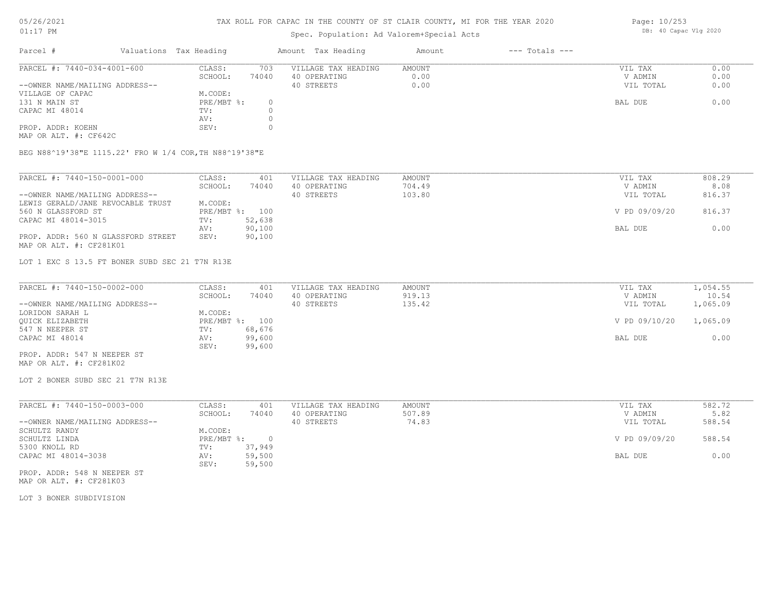### TAX ROLL FOR CAPAC IN THE COUNTY OF ST CLAIR COUNTY, MI FOR THE YEAR 2020

## Spec. Population: Ad Valorem+Special Acts

|                                |         |                        |                     | Amount             | $---$ Totals $---$ |           |      |
|--------------------------------|---------|------------------------|---------------------|--------------------|--------------------|-----------|------|
| PARCEL #: 7440-034-4001-600    | CLASS:  | 703                    | VILLAGE TAX HEADING | AMOUNT             |                    | VIL TAX   | 0.00 |
|                                | SCHOOL: | 74040                  | 40 OPERATING        | 0.00               |                    | V ADMIN   | 0.00 |
| --OWNER NAME/MAILING ADDRESS-- |         |                        | 40 STREETS          | 0.00               |                    | VIL TOTAL | 0.00 |
|                                | M.CODE: |                        |                     |                    |                    |           |      |
|                                |         |                        |                     |                    |                    | BAL DUE   | 0.00 |
|                                | TV:     |                        |                     |                    |                    |           |      |
|                                | AV:     |                        |                     |                    |                    |           |      |
|                                | SEV:    |                        |                     |                    |                    |           |      |
|                                |         | Valuations Tax Heading | PRE/MBT %:          | Amount Tax Heading |                    |           |      |

MAP OR ALT. #: CF642C

BEG N88^19'38"E 1115.22' FRO W 1/4 COR,TH N88^19'38"E

| PARCEL #: 7440-150-0001-000        | CLASS:  | 401            | VILLAGE TAX HEADING | AMOUNT | VIL TAX       | 808.29 |
|------------------------------------|---------|----------------|---------------------|--------|---------------|--------|
|                                    | SCHOOL: | 74040          | 40 OPERATING        | 704.49 | V ADMIN       | 8.08   |
| --OWNER NAME/MAILING ADDRESS--     |         |                | 40 STREETS          | 103.80 | VIL TOTAL     | 816.37 |
| LEWIS GERALD/JANE REVOCABLE TRUST  | M.CODE: |                |                     |        |               |        |
| 560 N GLASSFORD ST                 |         | PRE/MBT %: 100 |                     |        | V PD 09/09/20 | 816.37 |
| CAPAC MI 48014-3015                | TV:     | 52,638         |                     |        |               |        |
|                                    | AV:     | 90,100         |                     |        | BAL DUE       | 0.00   |
| PROP. ADDR: 560 N GLASSFORD STREET | SEV:    | 90,100         |                     |        |               |        |
| MAP OR ALT. #: CF281K01            |         |                |                     |        |               |        |

LOT 1 EXC S 13.5 FT BONER SUBD SEC 21 T7N R13E

| PARCEL #: 7440-150-0002-000    | CLASS:         | 401    | VILLAGE TAX HEADING | AMOUNT | VIL TAX       | 1,054.55 |
|--------------------------------|----------------|--------|---------------------|--------|---------------|----------|
|                                | SCHOOL:        | 74040  | 40 OPERATING        | 919.13 | V ADMIN       | 10.54    |
| --OWNER NAME/MAILING ADDRESS-- |                |        | 40 STREETS          | 135.42 | VIL TOTAL     | 1,065.09 |
| LORIDON SARAH L                | M.CODE:        |        |                     |        |               |          |
| OUICK ELIZABETH                | PRE/MBT %: 100 |        |                     |        | V PD 09/10/20 | 1,065.09 |
| 547 N NEEPER ST                | TV:            | 68,676 |                     |        |               |          |
| CAPAC MI 48014                 | AV:            | 99,600 |                     |        | BAL DUE       | 0.00     |
|                                | SEV:           | 99,600 |                     |        |               |          |
| PROP. ADDR: 547 N NEEPER ST    |                |        |                     |        |               |          |

MAP OR ALT. #: CF281K02

LOT 2 BONER SUBD SEC 21 T7N R13E

| PARCEL #: 7440-150-0003-000    | CLASS:     | 401    | VILLAGE TAX HEADING | AMOUNT | VIL TAX       | 582.72 |
|--------------------------------|------------|--------|---------------------|--------|---------------|--------|
|                                | SCHOOL:    | 74040  | 40 OPERATING        | 507.89 | V ADMIN       | 5.82   |
| --OWNER NAME/MAILING ADDRESS-- |            |        | 40 STREETS          | 74.83  | VIL TOTAL     | 588.54 |
| SCHULTZ RANDY                  | M.CODE:    |        |                     |        |               |        |
| SCHULTZ LINDA                  | PRE/MBT %: |        |                     |        | V PD 09/09/20 | 588.54 |
| 5300 KNOLL RD                  | TV:        | 37,949 |                     |        |               |        |
| CAPAC MI 48014-3038            | AV:        | 59,500 |                     |        | BAL DUE       | 0.00   |
|                                | SEV:       | 59,500 |                     |        |               |        |
|                                |            |        |                     |        |               |        |

MAP OR ALT. #: CF281K03 PROP. ADDR: 548 N NEEPER ST

LOT 3 BONER SUBDIVISION

Page: 10/253 DB: 40 Capac Vlg 2020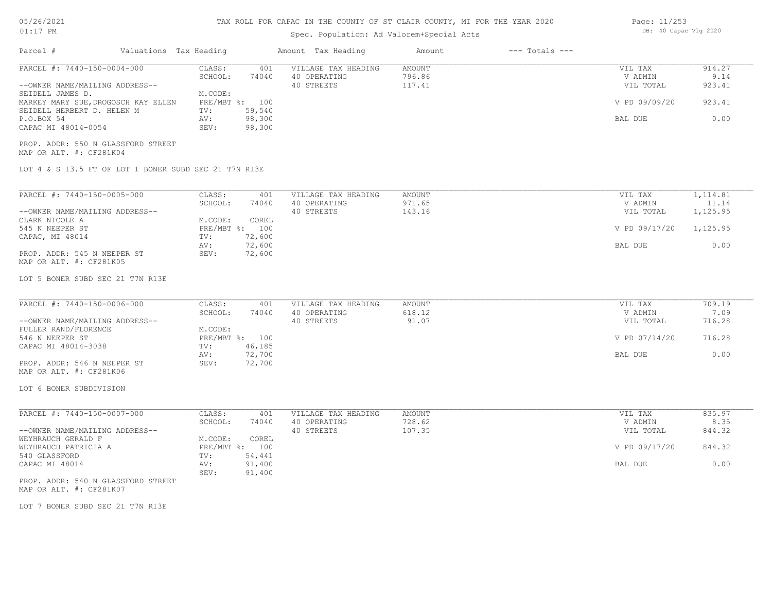| 05/26/2021 |  |
|------------|--|
|------------|--|

### 01:17 PM

## TAX ROLL FOR CAPAC IN THE COUNTY OF ST CLAIR COUNTY, MI FOR THE YEAR 2020

## Spec. Population: Ad Valorem+Special Acts

| Page: 11/253 |                       |  |
|--------------|-----------------------|--|
|              | DB: 40 Capac Vlg 2020 |  |

| Parcel #                                                                                                                                                                                                                                            | Valuations Tax Heading |                                                                                                                             | Amount Tax Heading                                | Amount                            | $---$ Totals $---$ |                                                             |                                                   |
|-----------------------------------------------------------------------------------------------------------------------------------------------------------------------------------------------------------------------------------------------------|------------------------|-----------------------------------------------------------------------------------------------------------------------------|---------------------------------------------------|-----------------------------------|--------------------|-------------------------------------------------------------|---------------------------------------------------|
| PARCEL #: 7440-150-0004-000<br>--OWNER NAME/MAILING ADDRESS--<br>SEIDELL JAMES D.<br>MARKEY MARY SUE, DROGOSCH KAY ELLEN<br>SEIDELL HERBERT D. HELEN M<br>P.O.BOX 54<br>CAPAC MI 48014-0054                                                         |                        | CLASS:<br>401<br>SCHOOL:<br>74040<br>M.CODE:<br>PRE/MBT %: 100<br>TV:<br>59,540<br>98,300<br>AV:<br>98,300<br>SEV:          | VILLAGE TAX HEADING<br>40 OPERATING<br>40 STREETS | AMOUNT<br>796.86<br>117.41        |                    | VIL TAX<br>V ADMIN<br>VIL TOTAL<br>V PD 09/09/20<br>BAL DUE | 914.27<br>9.14<br>923.41<br>923.41<br>0.00        |
| PROP. ADDR: 550 N GLASSFORD STREET<br>MAP OR ALT. #: CF281K04<br>LOT 4 & S 13.5 FT OF LOT 1 BONER SUBD SEC 21 T7N R13E                                                                                                                              |                        |                                                                                                                             |                                                   |                                   |                    |                                                             |                                                   |
| PARCEL #: 7440-150-0005-000<br>--OWNER NAME/MAILING ADDRESS--<br>CLARK NICOLE A<br>545 N NEEPER ST<br>CAPAC, MI 48014<br>PROP. ADDR: 545 N NEEPER ST<br>MAP OR ALT. #: CF281K05<br>LOT 5 BONER SUBD SEC 21 T7N R13E                                 |                        | CLASS:<br>401<br>SCHOOL:<br>74040<br>M.CODE:<br>COREL<br>PRE/MBT %: 100<br>72,600<br>TV:<br>72,600<br>AV:<br>SEV:<br>72,600 | VILLAGE TAX HEADING<br>40 OPERATING<br>40 STREETS | <b>AMOUNT</b><br>971.65<br>143.16 |                    | VIL TAX<br>V ADMIN<br>VIL TOTAL<br>V PD 09/17/20<br>BAL DUE | 1,114.81<br>11.14<br>1,125.95<br>1,125.95<br>0.00 |
| PARCEL #: 7440-150-0006-000<br>--OWNER NAME/MAILING ADDRESS--<br>FULLER RAND/FLORENCE<br>546 N NEEPER ST<br>CAPAC MI 48014-3038<br>PROP. ADDR: 546 N NEEPER ST<br>MAP OR ALT. #: CF281K06<br>LOT 6 BONER SUBDIVISION                                |                        | CLASS:<br>401<br>SCHOOL:<br>74040<br>M.CODE:<br>PRE/MBT %: 100<br>46,185<br>TV:<br>72,700<br>AV:<br>SEV:<br>72,700          | VILLAGE TAX HEADING<br>40 OPERATING<br>40 STREETS | AMOUNT<br>618.12<br>91.07         |                    | VIL TAX<br>V ADMIN<br>VIL TOTAL<br>V PD 07/14/20<br>BAL DUE | 709.19<br>7.09<br>716.28<br>716.28<br>0.00        |
| PARCEL #: 7440-150-0007-000<br>--OWNER NAME/MAILING ADDRESS--<br>WEYHRAUCH GERALD F<br>WEYHRAUCH PATRICIA A<br>540 GLASSFORD<br>CAPAC MI 48014<br>PROP. ADDR: 540 N GLASSFORD STREET<br>MAP OR ALT. #: CF281K07<br>LOT 7 BONER SUBD SEC 21 T7N R13E |                        | CLASS:<br>401<br>SCHOOL:<br>74040<br>COREL<br>M.CODE:<br>PRE/MBT %: 100<br>TV:<br>54,441<br>91,400<br>AV:<br>SEV:<br>91,400 | VILLAGE TAX HEADING<br>40 OPERATING<br>40 STREETS | AMOUNT<br>728.62<br>107.35        |                    | VIL TAX<br>V ADMIN<br>VIL TOTAL<br>V PD 09/17/20<br>BAL DUE | 835.97<br>8.35<br>844.32<br>844.32<br>0.00        |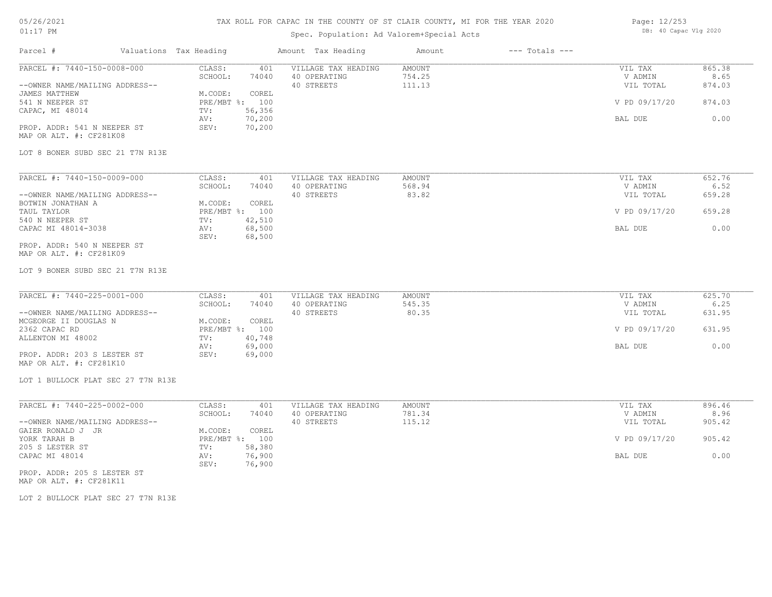### TAX ROLL FOR CAPAC IN THE COUNTY OF ST CLAIR COUNTY, MI FOR THE YEAR 2020

## Spec. Population: Ad Valorem+Special Acts

| Page: 12/253 |                       |  |
|--------------|-----------------------|--|
|              | DB: 40 Capac Vlg 2020 |  |

| Parcel #                                                                       | Valuations Tax Heading                                | Amount Tax Heading                                | Amount                     | $---$ Totals $---$ |                                 |                          |
|--------------------------------------------------------------------------------|-------------------------------------------------------|---------------------------------------------------|----------------------------|--------------------|---------------------------------|--------------------------|
| PARCEL #: 7440-150-0008-000<br>--OWNER NAME/MAILING ADDRESS--<br>JAMES MATTHEW | CLASS:<br>401<br>SCHOOL:<br>74040<br>COREL<br>M.CODE: | VILLAGE TAX HEADING<br>40 OPERATING<br>40 STREETS | AMOUNT<br>754.25<br>111.13 |                    | VIL TAX<br>V ADMIN<br>VIL TOTAL | 865.38<br>8.65<br>874.03 |
| 541 N NEEPER ST<br>CAPAC, MI 48014                                             | PRE/MBT %: 100<br>TV:<br>56,356<br>70,200<br>AV:      |                                                   |                            |                    | V PD 09/17/20<br>BAL DUE        | 874.03<br>0.00           |
| PROP. ADDR: 541 N NEEPER ST<br>MAP OR ALT. #: CF281K08                         | 70,200<br>SEV:                                        |                                                   |                            |                    |                                 |                          |
| LOT 8 BONER SUBD SEC 21 T7N R13E                                               |                                                       |                                                   |                            |                    |                                 |                          |
| PARCEL #: 7440-150-0009-000                                                    | CLASS:<br>401                                         | VILLAGE TAX HEADING                               | AMOUNT                     |                    | VIL TAX                         | 652.76                   |
|                                                                                | SCHOOL:<br>74040                                      | 40 OPERATING                                      | 568.94                     |                    | V ADMIN                         | 6.52                     |
| --OWNER NAME/MAILING ADDRESS--<br>BOTWIN JONATHAN A                            | M.CODE:<br>COREL                                      | 40 STREETS                                        | 83.82                      |                    | VIL TOTAL                       | 659.28                   |
| TAUL TAYLOR                                                                    | PRE/MBT %: 100                                        |                                                   |                            |                    | V PD 09/17/20                   | 659.28                   |
| 540 N NEEPER ST                                                                | 42,510<br>TV:                                         |                                                   |                            |                    |                                 |                          |
| CAPAC MI 48014-3038                                                            | 68,500<br>AV:<br>68,500<br>SEV:                       |                                                   |                            |                    | BAL DUE                         | 0.00                     |
| PROP. ADDR: 540 N NEEPER ST<br>MAP OR ALT. #: CF281K09                         |                                                       |                                                   |                            |                    |                                 |                          |
| LOT 9 BONER SUBD SEC 21 T7N R13E                                               |                                                       |                                                   |                            |                    |                                 |                          |
| PARCEL #: 7440-225-0001-000                                                    | CLASS:<br>401                                         | VILLAGE TAX HEADING                               | <b>AMOUNT</b>              |                    | VIL TAX                         | 625.70                   |
|                                                                                | SCHOOL:<br>74040                                      | 40 OPERATING                                      | 545.35                     |                    | V ADMIN                         | 6.25                     |
| --OWNER NAME/MAILING ADDRESS--                                                 |                                                       | 40 STREETS                                        | 80.35                      |                    | VIL TOTAL                       | 631.95                   |
| MCGEORGE II DOUGLAS N                                                          | M.CODE:<br>COREL                                      |                                                   |                            |                    |                                 |                          |
| 2362 CAPAC RD<br>ALLENTON MI 48002                                             | PRE/MBT %: 100<br>TV:<br>40,748                       |                                                   |                            |                    | V PD 09/17/20                   | 631.95                   |
|                                                                                | 69,000<br>AV:                                         |                                                   |                            |                    | BAL DUE                         | 0.00                     |
| PROP. ADDR: 203 S LESTER ST<br>MAP OR ALT. #: CF281K10                         | 69,000<br>SEV:                                        |                                                   |                            |                    |                                 |                          |
| LOT 1 BULLOCK PLAT SEC 27 T7N R13E                                             |                                                       |                                                   |                            |                    |                                 |                          |
| PARCEL #: 7440-225-0002-000                                                    | CLASS:<br>401                                         | VILLAGE TAX HEADING                               | AMOUNT                     |                    | VIL TAX                         | 896.46                   |
|                                                                                | SCHOOL:<br>74040                                      | 40 OPERATING                                      | 781.34                     |                    | V ADMIN                         | 8.96                     |
| --OWNER NAME/MAILING ADDRESS--                                                 |                                                       | 40 STREETS                                        | 115.12                     |                    | VIL TOTAL                       | 905.42                   |
| GAIER RONALD J JR                                                              | M.CODE:<br>COREL                                      |                                                   |                            |                    |                                 |                          |
| YORK TARAH B                                                                   | PRE/MBT %: 100                                        |                                                   |                            |                    | V PD 09/17/20                   | 905.42                   |
| 205 S LESTER ST                                                                | 58,380<br>TV:                                         |                                                   |                            |                    |                                 |                          |
| CAPAC MI 48014                                                                 | 76,900<br>AV:<br>SEV:<br>76,900                       |                                                   |                            |                    | BAL DUE                         | 0.00                     |
| PROP. ADDR: 205 S LESTER ST                                                    |                                                       |                                                   |                            |                    |                                 |                          |

MAP OR ALT. #: CF281K11

LOT 2 BULLOCK PLAT SEC 27 T7N R13E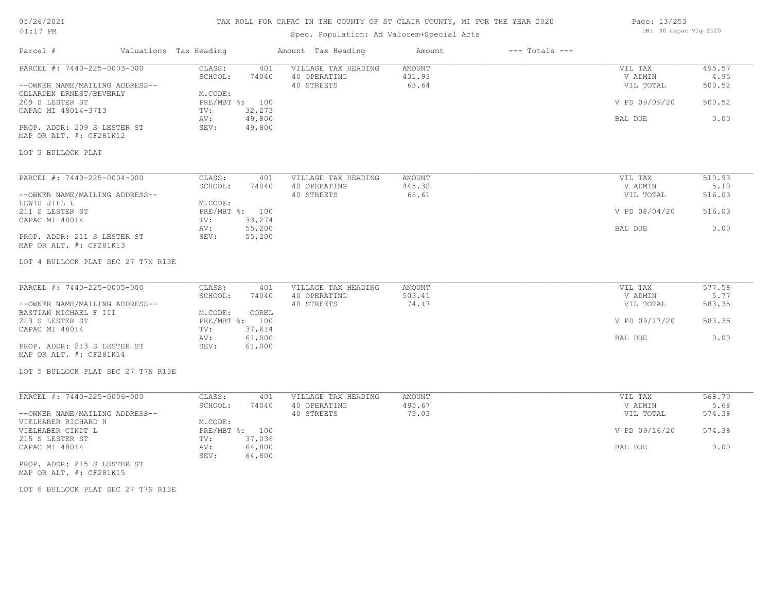### TAX ROLL FOR CAPAC IN THE COUNTY OF ST CLAIR COUNTY, MI FOR THE YEAR 2020

## Spec. Population: Ad Valorem+Special Acts

| Page: 13/253 |                       |  |
|--------------|-----------------------|--|
|              | DB: 40 Capac Vlg 2020 |  |

| Parcel #                                                                                                                                                                                                           | Valuations Tax Heading                                                                                             | Amount Tax Heading                                | Amount                           | $---$ Totals $---$ |                                                             |                                            |
|--------------------------------------------------------------------------------------------------------------------------------------------------------------------------------------------------------------------|--------------------------------------------------------------------------------------------------------------------|---------------------------------------------------|----------------------------------|--------------------|-------------------------------------------------------------|--------------------------------------------|
| PARCEL #: 7440-225-0003-000<br>--OWNER NAME/MAILING ADDRESS--<br>GELARDEN ERNEST/BEVERLY<br>209 S LESTER ST<br>CAPAC MI 48014-3713<br>PROP. ADDR: 209 S LESTER ST<br>MAP OR ALT. #: CF281K12<br>LOT 3 BULLOCK PLAT | CLASS:<br>401<br>SCHOOL:<br>74040<br>M.CODE:<br>PRE/MBT %: 100<br>32,273<br>TV:<br>49,800<br>AV:<br>49,800<br>SEV: | VILLAGE TAX HEADING<br>40 OPERATING<br>40 STREETS | AMOUNT<br>431.93<br>63.64        |                    | VIL TAX<br>V ADMIN<br>VIL TOTAL<br>V PD 09/09/20<br>BAL DUE | 495.57<br>4.95<br>500.52<br>500.52<br>0.00 |
|                                                                                                                                                                                                                    |                                                                                                                    |                                                   |                                  |                    |                                                             |                                            |
| PARCEL #: 7440-225-0004-000<br>--OWNER NAME/MAILING ADDRESS--<br>LEWIS JILL L<br>211 S LESTER ST<br>CAPAC MI 48014                                                                                                 | CLASS:<br>401<br>SCHOOL:<br>74040<br>M.CODE:<br>PRE/MBT %: 100<br>33,274<br>TV:                                    | VILLAGE TAX HEADING<br>40 OPERATING<br>40 STREETS | <b>AMOUNT</b><br>445.32<br>65.61 |                    | VIL TAX<br>V ADMIN<br>VIL TOTAL<br>V PD 08/04/20            | 510.93<br>5.10<br>516.03<br>516.03         |
| PROP. ADDR: 211 S LESTER ST<br>MAP OR ALT. #: CF281K13<br>LOT 4 BULLOCK PLAT SEC 27 T7N R13E                                                                                                                       | 55,200<br>AV:<br>55,200<br>SEV:                                                                                    |                                                   |                                  |                    | BAL DUE                                                     | 0.00                                       |
|                                                                                                                                                                                                                    |                                                                                                                    |                                                   |                                  |                    |                                                             |                                            |
| PARCEL #: 7440-225-0005-000<br>--OWNER NAME/MAILING ADDRESS--<br>BASTIAN MICHAEL F III                                                                                                                             | CLASS:<br>401<br>SCHOOL:<br>74040<br>M.CODE:<br>COREL                                                              | VILLAGE TAX HEADING<br>40 OPERATING<br>40 STREETS | AMOUNT<br>503.41<br>74.17        |                    | VIL TAX<br>V ADMIN<br>VIL TOTAL                             | 577.58<br>5.77<br>583.35                   |
| 213 S LESTER ST<br>CAPAC MI 48014                                                                                                                                                                                  | PRE/MBT %: 100<br>37,614<br>TV:                                                                                    |                                                   |                                  |                    | V PD 09/17/20                                               | 583.35                                     |
| PROP. ADDR: 213 S LESTER ST<br>MAP OR ALT. #: CF281K14                                                                                                                                                             | 61,000<br>AV:<br>SEV:<br>61,000                                                                                    |                                                   |                                  |                    | BAL DUE                                                     | 0.00                                       |
| LOT 5 BULLOCK PLAT SEC 27 T7N R13E                                                                                                                                                                                 |                                                                                                                    |                                                   |                                  |                    |                                                             |                                            |
| PARCEL #: 7440-225-0006-000                                                                                                                                                                                        | CLASS:<br>401                                                                                                      | VILLAGE TAX HEADING                               | AMOUNT                           |                    | VIL TAX                                                     | 568.70                                     |
| --OWNER NAME/MAILING ADDRESS--<br>VIELHABER RICHARD H                                                                                                                                                              | SCHOOL:<br>74040<br>M.CODE:                                                                                        | 40 OPERATING<br>40 STREETS                        | 495.67<br>73.03                  |                    | V ADMIN<br>VIL TOTAL                                        | 5.68<br>574.38                             |
| VIELHABER CINDT L<br>215 S LESTER ST                                                                                                                                                                               | PRE/MBT %: 100<br>37,036<br>TV:                                                                                    |                                                   |                                  |                    | V PD 09/16/20                                               | 574.38                                     |
| CAPAC MI 48014                                                                                                                                                                                                     | 64,800<br>AV:<br>64,800<br>SEV:                                                                                    |                                                   |                                  |                    | BAL DUE                                                     | 0.00                                       |
| PROP. ADDR: 215 S LESTER ST                                                                                                                                                                                        |                                                                                                                    |                                                   |                                  |                    |                                                             |                                            |

MAP OR ALT. #: CF281K15

LOT 6 BULLOCK PLAT SEC 27 T7N R13E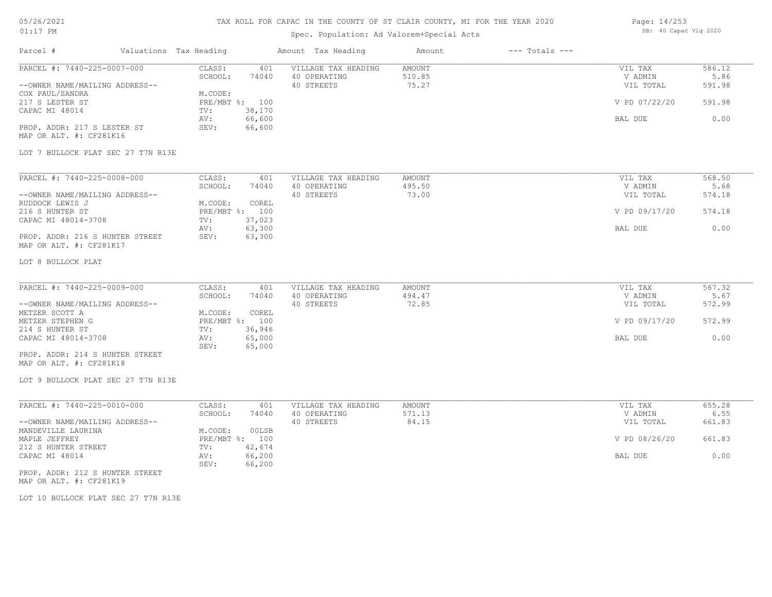### TAX ROLL FOR CAPAC IN THE COUNTY OF ST CLAIR COUNTY, MI FOR THE YEAR 2020

## Spec. Population: Ad Valorem+Special Acts

| Page: 14/253 |                       |  |
|--------------|-----------------------|--|
|              | DB: 40 Capac Vlg 2020 |  |

| Parcel #                                                                                                                                                                                 | Valuations Tax Heading |                                                                                                                             | Amount Tax Heading                                | Amount                           | $---$ Totals $---$ |                                                             |                                            |
|------------------------------------------------------------------------------------------------------------------------------------------------------------------------------------------|------------------------|-----------------------------------------------------------------------------------------------------------------------------|---------------------------------------------------|----------------------------------|--------------------|-------------------------------------------------------------|--------------------------------------------|
| PARCEL #: 7440-225-0007-000<br>--OWNER NAME/MAILING ADDRESS--<br>COX PAUL/SANDRA<br>217 S LESTER ST<br>CAPAC MI 48014<br>PROP. ADDR: 217 S LESTER ST<br>MAP OR ALT. #: CF281K16          |                        | CLASS:<br>401<br>SCHOOL:<br>74040<br>M.CODE:<br>PRE/MBT %: 100<br>38,170<br>TV:<br>66,600<br>AV:<br>66,600<br>SEV:          | VILLAGE TAX HEADING<br>40 OPERATING<br>40 STREETS | <b>AMOUNT</b><br>510.85<br>75.27 |                    | VIL TAX<br>V ADMIN<br>VIL TOTAL<br>V PD 07/22/20<br>BAL DUE | 586.12<br>5.86<br>591.98<br>591.98<br>0.00 |
| LOT 7 BULLOCK PLAT SEC 27 T7N R13E                                                                                                                                                       |                        |                                                                                                                             |                                                   |                                  |                    |                                                             |                                            |
| PARCEL #: 7440-225-0008-000<br>--OWNER NAME/MAILING ADDRESS--<br>RUDDOCK LEWIS J<br>216 S HUNTER ST<br>CAPAC MI 48014-3708<br>PROP. ADDR: 216 S HUNTER STREET<br>MAP OR ALT. #: CF281K17 |                        | CLASS:<br>401<br>SCHOOL:<br>74040<br>M.CODE:<br>COREL<br>PRE/MBT %: 100<br>37,023<br>TV:<br>63,300<br>AV:<br>SEV:<br>63,300 | VILLAGE TAX HEADING<br>40 OPERATING<br>40 STREETS | AMOUNT<br>495.50<br>73.00        |                    | VIL TAX<br>V ADMIN<br>VIL TOTAL<br>V PD 09/17/20<br>BAL DUE | 568.50<br>5.68<br>574.18<br>574.18<br>0.00 |
| LOT 8 BULLOCK PLAT<br>PARCEL #: 7440-225-0009-000                                                                                                                                        |                        | CLASS:<br>401                                                                                                               | VILLAGE TAX HEADING                               | AMOUNT                           |                    | VIL TAX                                                     | 567.32                                     |
| --OWNER NAME/MAILING ADDRESS--<br>METZER SCOTT A                                                                                                                                         |                        | SCHOOL:<br>74040<br>COREL<br>M.CODE:                                                                                        | 40 OPERATING<br>40 STREETS                        | 494.47<br>72.85                  |                    | V ADMIN<br>VIL TOTAL                                        | 5.67<br>572.99                             |
| METZER STEPHEN G<br>214 S HUNTER ST                                                                                                                                                      |                        | PRE/MBT %: 100<br>36,946<br>TV:                                                                                             |                                                   |                                  |                    | V PD 09/17/20                                               | 572.99                                     |
| CAPAC MI 48014-3708<br>PROP. ADDR: 214 S HUNTER STREET<br>MAP OR ALT. #: CF281K18<br>LOT 9 BULLOCK PLAT SEC 27 T7N R13E                                                                  |                        | 65,000<br>AV:<br>SEV:<br>65,000                                                                                             |                                                   |                                  |                    | BAL DUE                                                     | 0.00                                       |
| PARCEL #: 7440-225-0010-000                                                                                                                                                              |                        | CLASS:<br>401                                                                                                               | VILLAGE TAX HEADING                               | AMOUNT                           |                    | VIL TAX                                                     | 655.28                                     |
| --OWNER NAME/MAILING ADDRESS--                                                                                                                                                           |                        | SCHOOL:<br>74040                                                                                                            | 40 OPERATING<br>40 STREETS                        | 571.13<br>84.15                  |                    | V ADMIN<br>VIL TOTAL                                        | 6.55<br>661.83                             |
| MANDEVILLE LAURINA<br>MAPLE JEFFREY                                                                                                                                                      |                        | M.CODE:<br>00LSB<br>PRE/MBT %: 100                                                                                          |                                                   |                                  |                    | V PD 08/26/20                                               | 661.83                                     |
| 212 S HUNTER STREET<br>CAPAC MI 48014                                                                                                                                                    |                        | 42,674<br>TV:<br>66,200<br>AV:<br>66,200<br>SEV:                                                                            |                                                   |                                  |                    | BAL DUE                                                     | 0.00                                       |
| PROP. ADDR: 212 S HUNTER STREET<br>MAP OR ALT. #: CF281K19                                                                                                                               |                        |                                                                                                                             |                                                   |                                  |                    |                                                             |                                            |

LOT 10 BULLOCK PLAT SEC 27 T7N R13E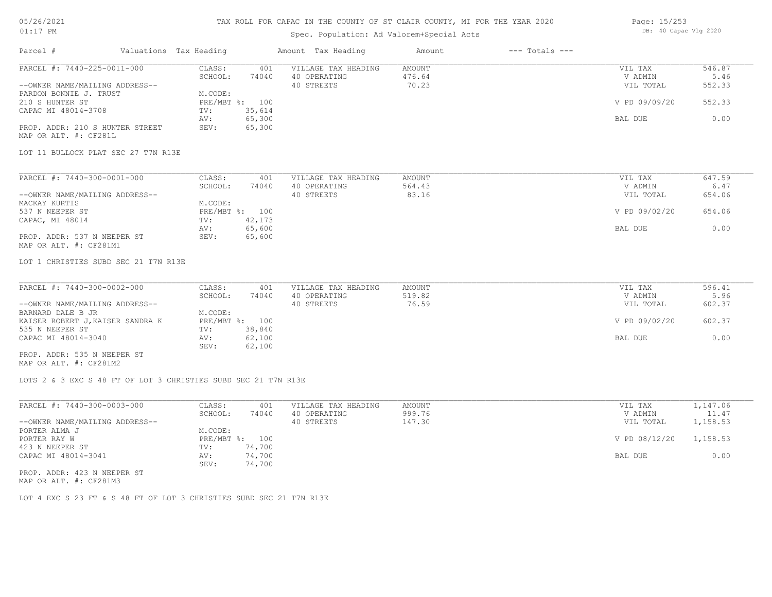#### TAX ROLL FOR CAPAC IN THE COUNTY OF ST CLAIR COUNTY, MI FOR THE YEAR 2020

### Spec. Population: Ad Valorem+Special Acts

| Page: 15/253 |                       |  |
|--------------|-----------------------|--|
|              | DB: 40 Capac Vlg 2020 |  |

| Parcel #                                                       | Valuations Tax Heading |        | Amount Tax Heading  | Amount        | $---$ Totals $---$ |               |          |
|----------------------------------------------------------------|------------------------|--------|---------------------|---------------|--------------------|---------------|----------|
| PARCEL #: 7440-225-0011-000                                    | CLASS:                 | 401    | VILLAGE TAX HEADING | <b>AMOUNT</b> |                    | VIL TAX       | 546.87   |
|                                                                | SCHOOL:                | 74040  | 40 OPERATING        | 476.64        |                    | V ADMIN       | 5.46     |
| --OWNER NAME/MAILING ADDRESS--                                 |                        |        | 40 STREETS          | 70.23         |                    | VIL TOTAL     | 552.33   |
| PARDON BONNIE J. TRUST                                         | M.CODE:                |        |                     |               |                    |               |          |
| 210 S HUNTER ST                                                | PRE/MBT %: 100         |        |                     |               |                    | V PD 09/09/20 | 552.33   |
| CAPAC MI 48014-3708                                            | TV:                    | 35,614 |                     |               |                    |               |          |
|                                                                | AV:                    | 65,300 |                     |               |                    | BAL DUE       | 0.00     |
| PROP. ADDR: 210 S HUNTER STREET                                | SEV:                   | 65,300 |                     |               |                    |               |          |
| MAP OR ALT. #: CF281L                                          |                        |        |                     |               |                    |               |          |
| LOT 11 BULLOCK PLAT SEC 27 T7N R13E                            |                        |        |                     |               |                    |               |          |
|                                                                |                        |        |                     |               |                    |               |          |
| PARCEL #: 7440-300-0001-000                                    | CLASS:                 | 401    | VILLAGE TAX HEADING | <b>AMOUNT</b> |                    | VIL TAX       | 647.59   |
|                                                                | SCHOOL:                | 74040  | 40 OPERATING        | 564.43        |                    | V ADMIN       | 6.47     |
| --OWNER NAME/MAILING ADDRESS--                                 |                        |        | 40 STREETS          | 83.16         |                    | VIL TOTAL     | 654.06   |
| MACKAY KURTIS                                                  | M.CODE:                |        |                     |               |                    |               |          |
| 537 N NEEPER ST                                                | PRE/MBT %: 100         |        |                     |               |                    | V PD 09/02/20 | 654.06   |
| CAPAC, MI 48014                                                | TV:                    | 42,173 |                     |               |                    |               |          |
|                                                                | AV:                    | 65,600 |                     |               |                    | BAL DUE       | 0.00     |
| PROP. ADDR: 537 N NEEPER ST<br>MAP OR ALT. #: CF281M1          | SEV:                   | 65,600 |                     |               |                    |               |          |
| LOT 1 CHRISTIES SUBD SEC 21 T7N R13E                           |                        |        |                     |               |                    |               |          |
| PARCEL #: 7440-300-0002-000                                    | CLASS:                 | 401    | VILLAGE TAX HEADING | <b>AMOUNT</b> |                    | VIL TAX       | 596.41   |
|                                                                | SCHOOL:                | 74040  | 40 OPERATING        | 519.82        |                    | V ADMIN       | 5.96     |
| --OWNER NAME/MAILING ADDRESS--                                 |                        |        | 40 STREETS          | 76.59         |                    | VIL TOTAL     | 602.37   |
| BARNARD DALE B JR                                              | M.CODE:                |        |                     |               |                    |               |          |
| KAISER ROBERT J, KAISER SANDRA K                               | PRE/MBT %: 100         |        |                     |               |                    | V PD 09/02/20 | 602.37   |
| 535 N NEEPER ST                                                | TV:                    | 38,840 |                     |               |                    |               |          |
| CAPAC MI 48014-3040                                            | AV:                    | 62,100 |                     |               |                    | BAL DUE       | 0.00     |
|                                                                | SEV:                   | 62,100 |                     |               |                    |               |          |
| PROP. ADDR: 535 N NEEPER ST                                    |                        |        |                     |               |                    |               |          |
| MAP OR ALT. #: CF281M2                                         |                        |        |                     |               |                    |               |          |
| LOTS 2 & 3 EXC S 48 FT OF LOT 3 CHRISTIES SUBD SEC 21 T7N R13E |                        |        |                     |               |                    |               |          |
| PARCEL #: 7440-300-0003-000                                    | CLASS:                 | 401    | VILLAGE TAX HEADING | AMOUNT        |                    | VIL TAX       | 1,147.06 |
|                                                                | SCHOOL:                | 74040  | 40 OPERATING        | 999.76        |                    | V ADMIN       | 11.47    |
| --OWNER NAME/MAILING ADDRESS--                                 |                        |        | 40 STREETS          | 147.30        |                    | VIL TOTAL     | 1,158.53 |
| PORTER ALMA J                                                  | M.CODE:                |        |                     |               |                    |               |          |
|                                                                |                        |        |                     |               |                    |               |          |

PROP. ADDR: 423 N NEEPER ST SEV: 74,700 CAPAC MI 48014-3041 **AV:** 74,700 **BAL DUE** 0.00 423 N NEEPER ST TV: 74,700 PORTER RAY W PRE/MBT %: 100 V PD 08/12/20 1,158.53

MAP OR ALT. #: CF281M3

LOT 4 EXC S 23 FT & S 48 FT OF LOT 3 CHRISTIES SUBD SEC 21 T7N R13E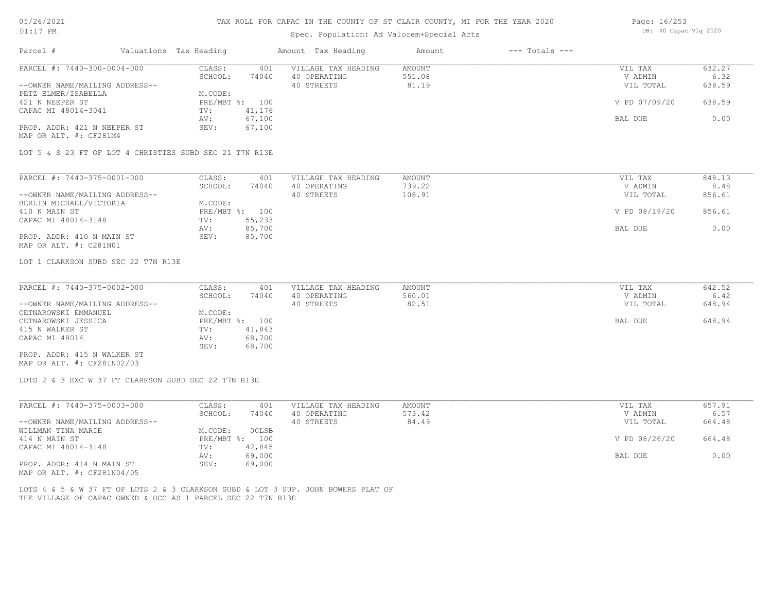## TAX ROLL FOR CAPAC IN THE COUNTY OF ST CLAIR COUNTY, MI FOR THE YEAR 2020

## Spec. Population: Ad Valorem+Special Acts

| Page: 16/253 |                       |  |
|--------------|-----------------------|--|
|              | DB: 40 Capac Vlg 2020 |  |

| Parcel #                                                      | Valuations Tax Heading |                                    | Amount Tax Heading                                                                | Amount                           | $---$ Totals $---$ |                                 |                          |
|---------------------------------------------------------------|------------------------|------------------------------------|-----------------------------------------------------------------------------------|----------------------------------|--------------------|---------------------------------|--------------------------|
| PARCEL #: 7440-300-0004-000<br>--OWNER NAME/MAILING ADDRESS-- |                        | CLASS:<br>401<br>SCHOOL:<br>74040  | VILLAGE TAX HEADING<br>40 OPERATING<br>40 STREETS                                 | <b>AMOUNT</b><br>551.08<br>81.19 |                    | VIL TAX<br>V ADMIN<br>VIL TOTAL | 632.27<br>6.32<br>638.59 |
| PETZ ELMER/ISABELLA<br>421 N NEEPER ST                        |                        | M.CODE:<br>PRE/MBT %: 100          |                                                                                   |                                  |                    | V PD 07/09/20                   | 638.59                   |
| CAPAC MI 48014-3041                                           |                        | 41,176<br>TV:<br>67,100<br>AV:     |                                                                                   |                                  |                    | BAL DUE                         | 0.00                     |
| PROP. ADDR: 421 N NEEPER ST<br>MAP OR ALT. #: CF281M4         |                        | SEV:<br>67,100                     |                                                                                   |                                  |                    |                                 |                          |
| LOT 5 & S 23 FT OF LOT 4 CHRISTIES SUBD SEC 21 T7N R13E       |                        |                                    |                                                                                   |                                  |                    |                                 |                          |
| PARCEL #: 7440-375-0001-000                                   |                        | CLASS:<br>401<br>SCHOOL:<br>74040  | VILLAGE TAX HEADING<br>40 OPERATING                                               | AMOUNT<br>739.22                 |                    | VIL TAX<br>V ADMIN              | 848.13<br>8.48           |
| --OWNER NAME/MAILING ADDRESS--                                |                        |                                    | 40 STREETS                                                                        | 108.91                           |                    | VIL TOTAL                       | 856.61                   |
| BERLIN MICHAEL/VICTORIA<br>410 N MAIN ST                      |                        | M.CODE:<br>PRE/MBT %: 100          |                                                                                   |                                  |                    | V PD 08/19/20                   | 856.61                   |
| CAPAC MI 48014-3148                                           |                        | TV:<br>55,233<br>85,700<br>AV:     |                                                                                   |                                  |                    | BAL DUE                         | 0.00                     |
| PROP. ADDR: 410 N MAIN ST<br>MAP OR ALT. #: C281N01           |                        | SEV:<br>85,700                     |                                                                                   |                                  |                    |                                 |                          |
| LOT 1 CLARKSON SUBD SEC 22 T7N R13E                           |                        |                                    |                                                                                   |                                  |                    |                                 |                          |
| PARCEL #: 7440-375-0002-000                                   |                        | CLASS:<br>401                      | VILLAGE TAX HEADING                                                               | <b>AMOUNT</b>                    |                    | VIL TAX                         | 642.52                   |
| --OWNER NAME/MAILING ADDRESS--                                |                        | SCHOOL:<br>74040                   | 40 OPERATING<br>40 STREETS                                                        | 560.01<br>82.51                  |                    | V ADMIN<br>VIL TOTAL            | 6.42<br>648.94           |
| CETNAROWSKI EMMANUEL<br>CETNAROWSKI JESSICA                   |                        | M.CODE:<br>PRE/MBT %: 100          |                                                                                   |                                  |                    | BAL DUE                         | 648.94                   |
| 415 N WALKER ST                                               |                        | 41,843<br>TV:                      |                                                                                   |                                  |                    |                                 |                          |
| CAPAC MI 48014                                                |                        | 68,700<br>AV:<br>SEV:<br>68,700    |                                                                                   |                                  |                    |                                 |                          |
| PROP. ADDR: 415 N WALKER ST<br>MAP OR ALT. #: CF281N02/03     |                        |                                    |                                                                                   |                                  |                    |                                 |                          |
| LOTS 2 & 3 EXC W 37 FT CLARKSON SUBD SEC 22 T7N R13E          |                        |                                    |                                                                                   |                                  |                    |                                 |                          |
| PARCEL #: 7440-375-0003-000                                   |                        | CLASS:                             | 401<br>VILLAGE TAX HEADING                                                        | <b>AMOUNT</b>                    |                    | VIL TAX                         | 657.91                   |
| --OWNER NAME/MAILING ADDRESS--                                |                        | SCHOOL:<br>74040                   | 40 OPERATING<br>40 STREETS                                                        | 573.42<br>84.49                  |                    | V ADMIN<br>VIL TOTAL            | 6.57<br>664.48           |
| WILLMAN TINA MARIE<br>414 N MAIN ST                           |                        | M.CODE:<br>00LSB<br>PRE/MBT %: 100 |                                                                                   |                                  |                    | V PD 08/26/20                   | 664.48                   |
| CAPAC MI 48014-3148                                           |                        | TV:<br>42,845                      |                                                                                   |                                  |                    |                                 |                          |
| PROP. ADDR: 414 N MAIN ST<br>MAP OR ALT. #: CF281N04/05       |                        | 69,000<br>AV:<br>SEV:<br>69,000    |                                                                                   |                                  |                    | BAL DUE                         | 0.00                     |
| THE VILLAGE OF CAPAC OWNED & OCC AS 1 PARCEL SEC 22 T7N R13E  |                        |                                    | LOTS 4 & 5 & W 37 FT OF LOTS 2 & 3 CLARKSON SUBD & LOT 3 SUP. JOHN BOWERS PLAT OF |                                  |                    |                                 |                          |
|                                                               |                        |                                    |                                                                                   |                                  |                    |                                 |                          |
|                                                               |                        |                                    |                                                                                   |                                  |                    |                                 |                          |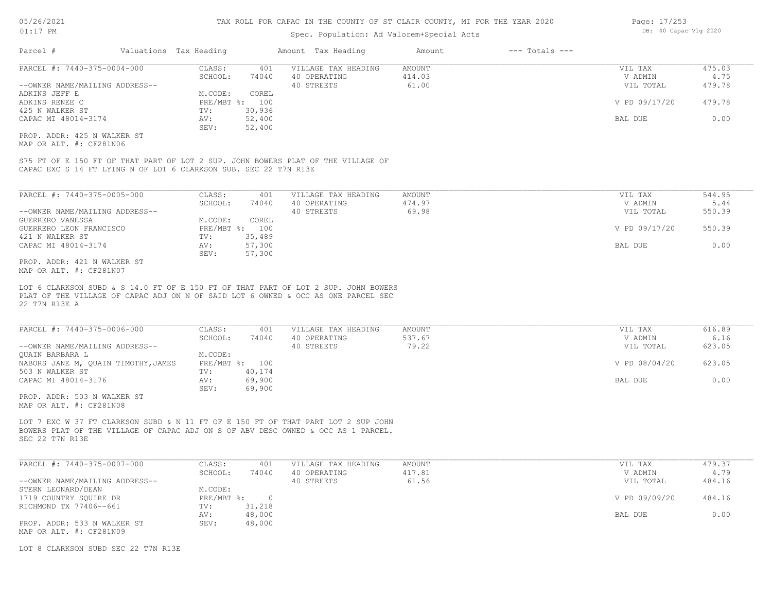### Spec. Population: Ad Valorem+Special Acts

| Parcel #                       | Valuations Tax Heading |        | Amount Tax Heading  | Amount | $---$ Totals $---$ |               |        |
|--------------------------------|------------------------|--------|---------------------|--------|--------------------|---------------|--------|
| PARCEL #: 7440-375-0004-000    | CLASS:                 | 401    | VILLAGE TAX HEADING | AMOUNT |                    | VIL TAX       | 475.03 |
|                                | SCHOOL:                | 74040  | 40 OPERATING        | 414.03 |                    | V ADMIN       | 4.75   |
| --OWNER NAME/MAILING ADDRESS-- |                        |        | 40 STREETS          | 61.00  |                    | VIL TOTAL     | 479.78 |
| ADKINS JEFF E                  | M.CODE:                | COREL  |                     |        |                    |               |        |
| ADKINS RENEE C                 | PRE/MBT %: 100         |        |                     |        |                    | V PD 09/17/20 | 479.78 |
| 425 N WALKER ST                | TV:                    | 30,936 |                     |        |                    |               |        |
| CAPAC MI 48014-3174            | AV:                    | 52,400 |                     |        |                    | BAL DUE       | 0.00   |
|                                | SEV:                   | 52,400 |                     |        |                    |               |        |
| PROP. ADDR: 425 N WALKER ST    |                        |        |                     |        |                    |               |        |

MAP OR ALT. #: CF281N06

CAPAC EXC S 14 FT LYING N OF LOT 6 CLARKSON SUB. SEC 22 T7N R13E S75 FT OF E 150 FT OF THAT PART OF LOT 2 SUP. JOHN BOWERS PLAT OF THE VILLAGE OF

| PARCEL #: 7440-375-0005-000        | CLASS:  | 401            | VILLAGE TAX HEADING | AMOUNT | VIL TAX       | 544.95 |
|------------------------------------|---------|----------------|---------------------|--------|---------------|--------|
|                                    | SCHOOL: | 74040          | 40 OPERATING        | 474.97 | V ADMIN       | 5.44   |
| --OWNER NAME/MAILING ADDRESS--     |         |                | 40 STREETS          | 69.98  | VIL TOTAL     | 550.39 |
| GUERRERO VANESSA                   | M.CODE: | COREL          |                     |        |               |        |
| GUERRERO LEON FRANCISCO            |         | PRE/MBT %: 100 |                     |        | V PD 09/17/20 | 550.39 |
| 421 N WALKER ST                    | TV:     | 35,489         |                     |        |               |        |
| CAPAC MI 48014-3174                | AV:     | 57,300         |                     |        | BAL DUE       | 0.00   |
|                                    | SEV:    | 57,300         |                     |        |               |        |
| ידי סים שדגזון ו-1.21 אתה מחת החסת |         |                |                     |        |               |        |

MAP OR ALT. #: CF281N07 PROP. ADDR: 421 N WALKER ST

22 T7N R13E A PLAT OF THE VILLAGE OF CAPAC ADJ ON N OF SAID LOT 6 OWNED & OCC AS ONE PARCEL SEC LOT 6 CLARKSON SUBD & S 14.0 FT OF E 150 FT OF THAT PART OF LOT 2 SUP. JOHN BOWERS

| PARCEL #: 7440-375-0006-000         | CLASS:  | 401            | VILLAGE TAX HEADING | AMOUNT | VIL TAX       | 616.89 |
|-------------------------------------|---------|----------------|---------------------|--------|---------------|--------|
|                                     | SCHOOL: | 74040          | 40 OPERATING        | 537.67 | V ADMIN       | 6.16   |
| --OWNER NAME/MAILING ADDRESS--      |         |                | 40 STREETS          | 79.22  | VIL TOTAL     | 623.05 |
| QUAIN BARBARA L                     | M.CODE: |                |                     |        |               |        |
| NABORS JANE M, QUAIN TIMOTHY, JAMES |         | PRE/MBT %: 100 |                     |        | V PD 08/04/20 | 623.05 |
| 503 N WALKER ST                     | TV:     | 40,174         |                     |        |               |        |
| CAPAC MI 48014-3176                 | AV:     | 69,900         |                     |        | BAL DUE       | 0.00   |
|                                     | SEV:    | 69,900         |                     |        |               |        |
| PROP. ADDR: 503 N WALKER ST         |         |                |                     |        |               |        |

MAP OR ALT. #: CF281N08

SEC 22 T7N R13E BOWERS PLAT OF THE VILLAGE OF CAPAC ADJ ON S OF ABV DESC OWNED & OCC AS 1 PARCEL. LOT 7 EXC W 37 FT CLARKSON SUBD & N 11 FT OF E 150 FT OF THAT PART LOT 2 SUP JOHN

| PARCEL #: 7440-375-0007-000    | CLASS:     | 401    | VILLAGE TAX HEADING | AMOUNT | VIL TAX       | 479.37 |
|--------------------------------|------------|--------|---------------------|--------|---------------|--------|
|                                | SCHOOL:    | 74040  | 40 OPERATING        | 417.81 | V ADMIN       | 4.79   |
| --OWNER NAME/MAILING ADDRESS-- |            |        | 40 STREETS          | 61.56  | VIL TOTAL     | 484.16 |
| STERN LEONARD/DEAN             | M.CODE:    |        |                     |        |               |        |
| 1719 COUNTRY SOUIRE DR         | PRE/MBT %: |        |                     |        | V PD 09/09/20 | 484.16 |
| RICHMOND TX 77406--661         | TV:        | 31,218 |                     |        |               |        |
|                                | AV:        | 48,000 |                     |        | BAL DUE       | 0.00   |
| PROP. ADDR: 533 N WALKER ST    | SEV:       | 48,000 |                     |        |               |        |
| MAP OR ALT. #: CF281N09        |            |        |                     |        |               |        |

LOT 8 CLARKSON SUBD SEC 22 T7N R13E

Page: 17/253 DB: 40 Capac Vlg 2020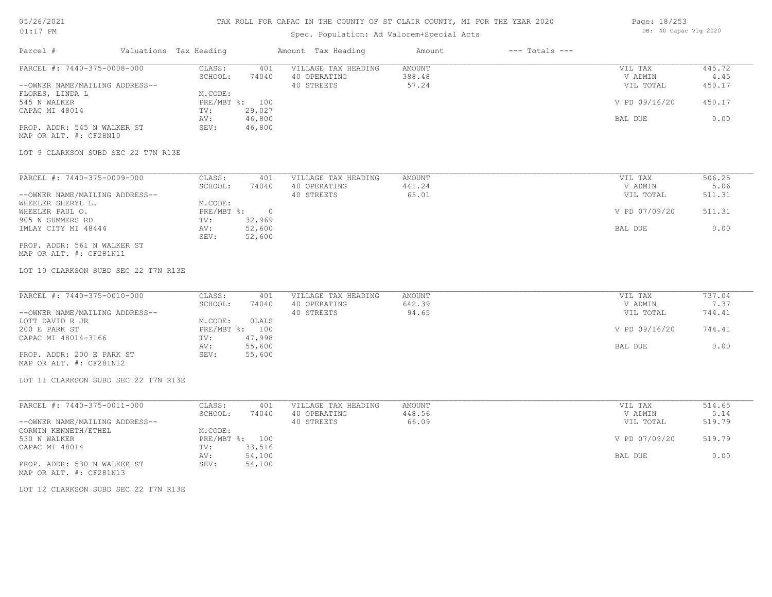## TAX ROLL FOR CAPAC IN THE COUNTY OF ST CLAIR COUNTY, MI FOR THE YEAR 2020

## Spec. Population: Ad Valorem+Special Acts

| Page: 18/253 |                       |  |
|--------------|-----------------------|--|
|              | DB: 40 Capac Vlg 2020 |  |

| Parcel #                                                                                                                                                                                                           | Valuations Tax Heading |                                                                      |                                            | Amount Tax Heading                                | Amount                           | $---$ Totals $---$ |                                                             |                                            |
|--------------------------------------------------------------------------------------------------------------------------------------------------------------------------------------------------------------------|------------------------|----------------------------------------------------------------------|--------------------------------------------|---------------------------------------------------|----------------------------------|--------------------|-------------------------------------------------------------|--------------------------------------------|
| PARCEL #: 7440-375-0008-000<br>--OWNER NAME/MAILING ADDRESS--<br>FLORES, LINDA L<br>545 N WALKER<br>CAPAC MI 48014<br>PROP. ADDR: 545 N WALKER ST<br>MAP OR ALT. #: CF28N10<br>LOT 9 CLARKSON SUBD SEC 22 T7N R13E |                        | CLASS:<br>SCHOOL:<br>M.CODE:<br>PRE/MBT %: 100<br>TV:<br>AV:<br>SEV: | 401<br>74040<br>29,027<br>46,800<br>46,800 | VILLAGE TAX HEADING<br>40 OPERATING<br>40 STREETS | <b>AMOUNT</b><br>388.48<br>57.24 |                    | VIL TAX<br>V ADMIN<br>VIL TOTAL<br>V PD 09/16/20<br>BAL DUE | 445.72<br>4.45<br>450.17<br>450.17<br>0.00 |
|                                                                                                                                                                                                                    |                        |                                                                      |                                            |                                                   |                                  |                    |                                                             |                                            |
| PARCEL #: 7440-375-0009-000<br>--OWNER NAME/MAILING ADDRESS--                                                                                                                                                      |                        | CLASS:<br>SCHOOL:                                                    | 401<br>74040                               | VILLAGE TAX HEADING<br>40 OPERATING<br>40 STREETS | <b>AMOUNT</b><br>441.24<br>65.01 |                    | VIL TAX<br>V ADMIN<br>VIL TOTAL                             | 506.25<br>5.06<br>511.31                   |
| WHEELER SHERYL L.<br>WHEELER PAUL O.<br>905 N SUMMERS RD                                                                                                                                                           |                        | M.CODE:<br>$PRE/MBT$ $\div$<br>TV:                                   | $\overline{\phantom{0}}$<br>32,969         |                                                   |                                  |                    | V PD 07/09/20                                               | 511.31                                     |
| IMLAY CITY MI 48444<br>PROP. ADDR: 561 N WALKER ST<br>MAP OR ALT. #: CF281N11                                                                                                                                      |                        | AV:<br>SEV:                                                          | 52,600<br>52,600                           |                                                   |                                  |                    | BAL DUE                                                     | 0.00                                       |
| LOT 10 CLARKSON SUBD SEC 22 T7N R13E                                                                                                                                                                               |                        |                                                                      |                                            |                                                   |                                  |                    |                                                             |                                            |
| PARCEL #: 7440-375-0010-000                                                                                                                                                                                        |                        | CLASS:                                                               | 401                                        | VILLAGE TAX HEADING                               | <b>AMOUNT</b>                    |                    | VIL TAX                                                     | 737.04                                     |
| --OWNER NAME/MAILING ADDRESS--                                                                                                                                                                                     |                        | SCHOOL:                                                              | 74040                                      | 40 OPERATING<br>40 STREETS                        | 642.39<br>94.65                  |                    | V ADMIN<br>VIL TOTAL                                        | 7.37<br>744.41                             |
| LOTT DAVID R JR<br>200 E PARK ST<br>CAPAC MI 48014-3166                                                                                                                                                            |                        | M.CODE:<br>PRE/MBT %: 100<br>TV:                                     | OLALS<br>47,998                            |                                                   |                                  |                    | V PD 09/16/20                                               | 744.41                                     |
| PROP. ADDR: 200 E PARK ST<br>MAP OR ALT. #: CF281N12                                                                                                                                                               |                        | AV:<br>SEV:                                                          | 55,600<br>55,600                           |                                                   |                                  |                    | BAL DUE                                                     | 0.00                                       |
| LOT 11 CLARKSON SUBD SEC 22 T7N R13E                                                                                                                                                                               |                        |                                                                      |                                            |                                                   |                                  |                    |                                                             |                                            |
| PARCEL #: 7440-375-0011-000                                                                                                                                                                                        |                        | CLASS:                                                               | 401                                        | VILLAGE TAX HEADING                               | AMOUNT                           |                    | VIL TAX                                                     | 514.65                                     |
| --OWNER NAME/MAILING ADDRESS--                                                                                                                                                                                     |                        | SCHOOL:                                                              | 74040                                      | 40 OPERATING<br>40 STREETS                        | 448.56<br>66.09                  |                    | V ADMIN<br>VIL TOTAL                                        | 5.14<br>519.79                             |
| CORWIN KENNETH/ETHEL<br>530 N WALKER<br>CAPAC MI 48014                                                                                                                                                             |                        | M.CODE:<br>PRE/MBT %: 100<br>TV:                                     | 33,516                                     |                                                   |                                  |                    | V PD 07/09/20                                               | 519.79                                     |
| PROP. ADDR: 530 N WALKER ST<br>MAP OR ALT. #: CF281N13                                                                                                                                                             |                        | AV:<br>SEV:                                                          | 54,100<br>54,100                           |                                                   |                                  |                    | BAL DUE                                                     | 0.00                                       |
| LOT 12 CLARKSON SUBD SEC 22 T7N R13E                                                                                                                                                                               |                        |                                                                      |                                            |                                                   |                                  |                    |                                                             |                                            |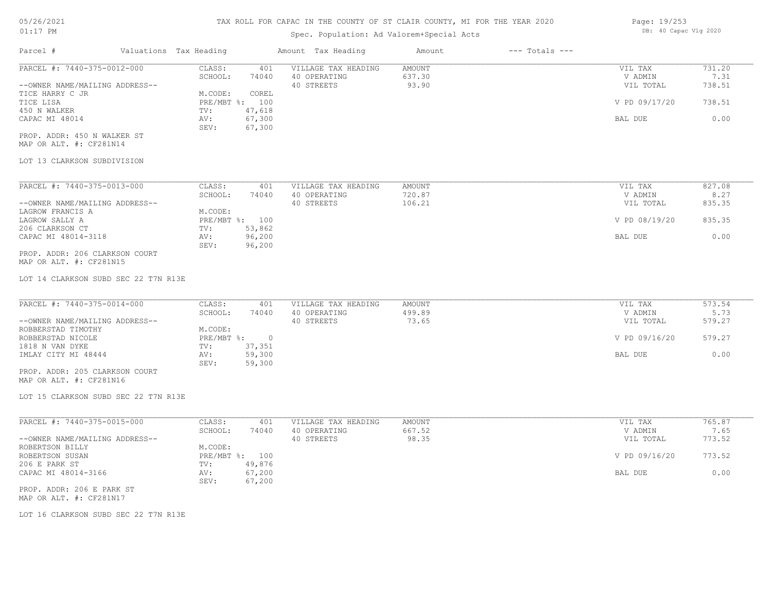| $01:17$ PM                  |                        |       | Spec. Population: Ad Valorem+Special Acts | DB: 40 Capac Vlg 2020 |                |                  |        |
|-----------------------------|------------------------|-------|-------------------------------------------|-----------------------|----------------|------------------|--------|
| Parcel #                    | Valuations Tax Heading |       | Amount Tax Heading                        | Amount                | --- Totals --- |                  |        |
| PARCEL #: 7440-375-0012-000 | CLASS:                 | 401   | VILLAGE TAX HEADING                       | AMOUNT                |                | VIL TAX          | 731.20 |
|                             | COUOOT .               | 71010 | AO ODERATING                              | 637.30                |                | <b>IZ ADMINI</b> |        |

|                                | SCHOOL:    | 74040  | 40 OPERATING | 637.30 | V ADMIN       | 7.31   |
|--------------------------------|------------|--------|--------------|--------|---------------|--------|
| --OWNER NAME/MAILING ADDRESS-- |            |        | 40 STREETS   | 93.90  | VIL TOTAL     | 738.51 |
| TICE HARRY C JR                | M.CODE:    | COREL  |              |        |               |        |
| TICE LISA                      | PRE/MBT %: | 100    |              |        | V PD 09/17/20 | 738.51 |
| 450 N WALKER                   | TV:        | 47,618 |              |        |               |        |
| CAPAC MI 48014                 | AV:        | 67,300 |              |        | BAL DUE       | 0.00   |
|                                | SEV:       | 67,300 |              |        |               |        |
| PROP. ADDR: 450 N WALKER ST    |            |        |              |        |               |        |

MAP OR ALT. #: CF281N14

#### LOT 13 CLARKSON SUBDIVISION

| PARCEL #: 7440-375-0013-000    | CLASS:       | 401    | VILLAGE TAX HEADING | AMOUNT | VIL TAX       | 827.08 |
|--------------------------------|--------------|--------|---------------------|--------|---------------|--------|
|                                | SCHOOL:      | 74040  | 40 OPERATING        | 720.87 | V ADMIN       | 8.27   |
| --OWNER NAME/MAILING ADDRESS-- |              |        | 40 STREETS          | 106.21 | VIL TOTAL     | 835.35 |
| LAGROW FRANCIS A               | M.CODE:      |        |                     |        |               |        |
| LAGROW SALLY A                 | $PRE/MBT$ %: | 100    |                     |        | V PD 08/19/20 | 835.35 |
| 206 CLARKSON CT                | TV:          | 53,862 |                     |        |               |        |
| CAPAC MI 48014-3118            | AV:          | 96,200 |                     |        | BAL DUE       | 0.00   |
|                                | SEV:         | 96,200 |                     |        |               |        |
| PROP. ADDR: 206 CLARKSON COURT |              |        |                     |        |               |        |

MAP OR ALT. #: CF281N15

LOT 14 CLARKSON SUBD SEC 22 T7N R13E

| PARCEL #: 7440-375-0014-000    | CLASS:     | 401    | VILLAGE TAX HEADING | AMOUNT | VIL TAX       | 573.54 |
|--------------------------------|------------|--------|---------------------|--------|---------------|--------|
|                                | SCHOOL:    | 74040  | 40 OPERATING        | 499.89 | V ADMIN       | 5.73   |
| --OWNER NAME/MAILING ADDRESS-- |            |        | 40 STREETS          | 73.65  | VIL TOTAL     | 579.27 |
| ROBBERSTAD TIMOTHY             | M.CODE:    |        |                     |        |               |        |
| ROBBERSTAD NICOLE              | PRE/MBT %: |        |                     |        | V PD 09/16/20 | 579.27 |
| 1818 N VAN DYKE                | TV:        | 37,351 |                     |        |               |        |
| IMLAY CITY MI 48444            | AV:        | 59,300 |                     |        | BAL DUE       | 0.00   |
|                                | SEV:       | 59,300 |                     |        |               |        |
| PROP. ADDR: 205 CLARKSON COURT |            |        |                     |        |               |        |

MAP OR ALT. #: CF281N16

LOT 15 CLARKSON SUBD SEC 22 T7N R13E

| PARCEL #: 7440-375-0015-000    | CLASS:       | 401    | VILLAGE TAX HEADING | AMOUNT | VIL TAX       | 765.87 |
|--------------------------------|--------------|--------|---------------------|--------|---------------|--------|
|                                | SCHOOL:      | 74040  | 40 OPERATING        | 667.52 | V ADMIN       | 7.65   |
| --OWNER NAME/MAILING ADDRESS-- |              |        | 40 STREETS          | 98.35  | VIL TOTAL     | 773.52 |
| ROBERTSON BILLY                | M.CODE:      |        |                     |        |               |        |
| ROBERTSON SUSAN                | $PRE/MBT$ %: | 100    |                     |        | V PD 09/16/20 | 773.52 |
| 206 E PARK ST                  | TV:          | 49,876 |                     |        |               |        |
| CAPAC MI 48014-3166            | AV:          | 67,200 |                     |        | BAL DUE       | 0.00   |
|                                | SEV:         | 67,200 |                     |        |               |        |
| PROP. ADDR: 206 E PARK ST      |              |        |                     |        |               |        |

 $\_$  , and the state of the state of the state of the state of the state of the state of the state of the state of the state of the state of the state of the state of the state of the state of the state of the state of the

MAP OR ALT. #: CF281N17

LOT 16 CLARKSON SUBD SEC 22 T7N R13E

Page: 19/253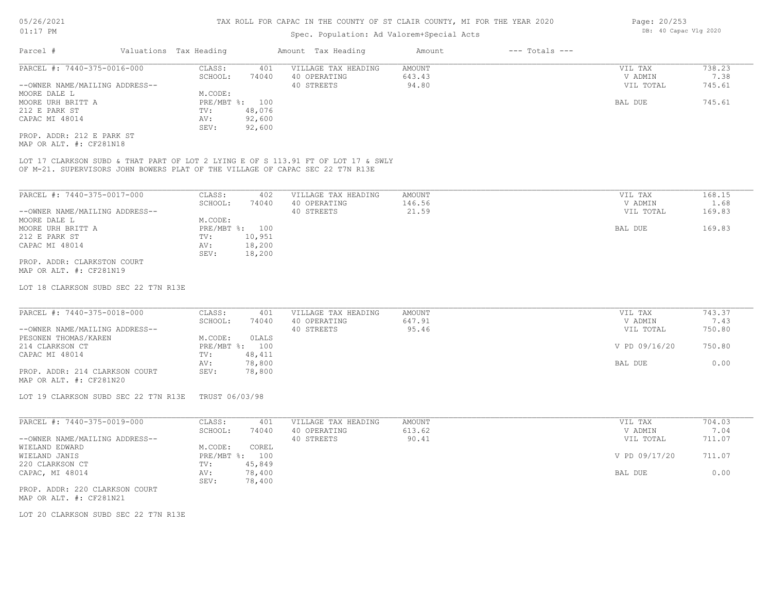#### Spec. Population: Ad Valorem+Special Acts

| Parcel #                       | Valuations Tax Heading |        | Amount Tax Heading  | Amount | $---$ Totals $---$ |           |        |
|--------------------------------|------------------------|--------|---------------------|--------|--------------------|-----------|--------|
| PARCEL #: 7440-375-0016-000    | CLASS:                 | 401    | VILLAGE TAX HEADING | AMOUNT |                    | VIL TAX   | 738.23 |
|                                | SCHOOL:                | 74040  | 40 OPERATING        | 643.43 |                    | V ADMIN   | 7.38   |
| --OWNER NAME/MAILING ADDRESS-- |                        |        | 40 STREETS          | 94.80  |                    | VIL TOTAL | 745.61 |
| MOORE DALE L                   | M.CODE:                |        |                     |        |                    |           |        |
| MOORE URH BRITT A              | PRE/MBT %: 100         |        |                     |        |                    | BAL DUE   | 745.61 |
| 212 E PARK ST                  | TV:                    | 48,076 |                     |        |                    |           |        |
| CAPAC MI 48014                 | AV:                    | 92,600 |                     |        |                    |           |        |
|                                | SEV:                   | 92,600 |                     |        |                    |           |        |
| PROP. ADDR: 212 E PARK ST      |                        |        |                     |        |                    |           |        |

MAP OR ALT. #: CF281N18

OF M-21. SUPERVISORS JOHN BOWERS PLAT OF THE VILLAGE OF CAPAC SEC 22 T7N R13E LOT 17 CLARKSON SUBD & THAT PART OF LOT 2 LYING E OF S 113.91 FT OF LOT 17 & SWLY

| PARCEL #: 7440-375-0017-000    | CLASS:       | 402    | VILLAGE TAX HEADING | AMOUNT | VIL TAX   | 168.15 |
|--------------------------------|--------------|--------|---------------------|--------|-----------|--------|
|                                | SCHOOL:      | 74040  | 40 OPERATING        | 146.56 | V ADMIN   | 1.68   |
| --OWNER NAME/MAILING ADDRESS-- |              |        | 40 STREETS          | 21.59  | VIL TOTAL | 169.83 |
| MOORE DALE L                   | M.CODE:      |        |                     |        |           |        |
| MOORE URH BRITT A              | $PRE/MBT$ %: | 100    |                     |        | BAL DUE   | 169.83 |
| 212 E PARK ST                  | TV:          | 10,951 |                     |        |           |        |
| CAPAC MI 48014                 | AV:          | 18,200 |                     |        |           |        |
|                                | SEV:         | 18,200 |                     |        |           |        |
| PROP. ADDR: CLARKSTON COURT    |              |        |                     |        |           |        |
| MAP OR ALT. #: CF281N19        |              |        |                     |        |           |        |

LOT 18 CLARKSON SUBD SEC 22 T7N R13E

| PARCEL #: 7440-375-0018-000    | CLASS:  | 401            | VILLAGE TAX HEADING | AMOUNT | VIL TAX       | 743.37 |
|--------------------------------|---------|----------------|---------------------|--------|---------------|--------|
|                                | SCHOOL: | 74040          | 40 OPERATING        | 647.91 | V ADMIN       | 7.43   |
| --OWNER NAME/MAILING ADDRESS-- |         |                | 40 STREETS          | 95.46  | VIL TOTAL     | 750.80 |
| PESONEN THOMAS/KAREN           | M.CODE: | OLALS          |                     |        |               |        |
| 214 CLARKSON CT                |         | PRE/MBT %: 100 |                     |        | V PD 09/16/20 | 750.80 |
| CAPAC MI 48014                 | TV:     | 48,411         |                     |        |               |        |
|                                | AV:     | 78,800         |                     |        | BAL DUE       | 0.00   |
| PROP. ADDR: 214 CLARKSON COURT | SEV:    | 78,800         |                     |        |               |        |
| MAP OR ALT. #: CF281N20        |         |                |                     |        |               |        |

LOT 19 CLARKSON SUBD SEC 22 T7N R13E TRUST 06/03/98

| PARCEL #: 7440-375-0019-000    | CLASS:     | 401    | VILLAGE TAX HEADING | AMOUNT | VIL TAX       | 704.03 |
|--------------------------------|------------|--------|---------------------|--------|---------------|--------|
|                                | SCHOOL:    | 74040  | 40 OPERATING        | 613.62 | V ADMIN       | 7.04   |
| --OWNER NAME/MAILING ADDRESS-- |            |        | 40 STREETS          | 90.41  | VIL TOTAL     | 711.07 |
| WIELAND EDWARD                 | M.CODE:    | COREL  |                     |        |               |        |
| WIELAND JANIS                  | PRE/MBT %: | 100    |                     |        | V PD 09/17/20 | 711.07 |
| 220 CLARKSON CT                | TV:        | 45,849 |                     |        |               |        |
| CAPAC, MI 48014                | AV:        | 78,400 |                     |        | BAL DUE       | 0.00   |
|                                | SEV:       | 78,400 |                     |        |               |        |
|                                |            |        |                     |        |               |        |

MAP OR ALT. #: CF281N21 PROP. ADDR: 220 CLARKSON COURT

LOT 20 CLARKSON SUBD SEC 22 T7N R13E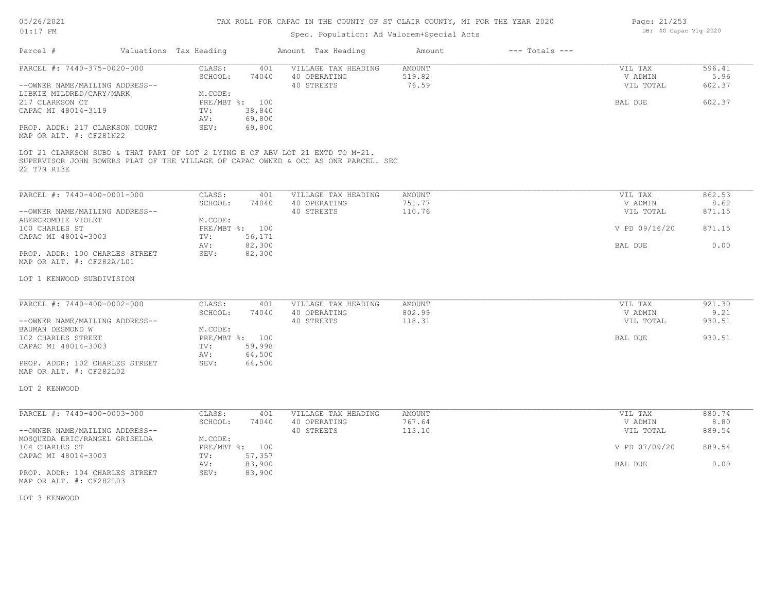### TAX ROLL FOR CAPAC IN THE COUNTY OF ST CLAIR COUNTY, MI FOR THE YEAR 2020

# Spec. Population: Ad Valorem+Special Acts

| Page: 21/253 |                       |  |
|--------------|-----------------------|--|
|              | DB: 40 Capac Vlg 2020 |  |

| Parcel #                                                                                            | Valuations Tax Heading |                                                 |                            | Amount Tax Heading                                                                                                                                                  | Amount                            | $---$ Totals $---$ |                                 |                          |
|-----------------------------------------------------------------------------------------------------|------------------------|-------------------------------------------------|----------------------------|---------------------------------------------------------------------------------------------------------------------------------------------------------------------|-----------------------------------|--------------------|---------------------------------|--------------------------|
| PARCEL #: 7440-375-0020-000<br>--OWNER NAME/MAILING ADDRESS--<br>LIBKIE MILDRED/CARY/MARK           |                        | CLASS:<br>SCHOOL:<br>M.CODE:                    | 401<br>74040               | VILLAGE TAX HEADING<br>40 OPERATING<br>40 STREETS                                                                                                                   | AMOUNT<br>519.82<br>76.59         |                    | VIL TAX<br>V ADMIN<br>VIL TOTAL | 596.41<br>5.96<br>602.37 |
| 217 CLARKSON CT<br>CAPAC MI 48014-3119<br>PROP. ADDR: 217 CLARKSON COURT<br>MAP OR ALT. #: CF281N22 |                        | PRE/MBT %: 100<br>TV:<br>AV:<br>SEV:            | 38,840<br>69,800<br>69,800 |                                                                                                                                                                     |                                   |                    | BAL DUE                         | 602.37                   |
| 22 T7N R13E                                                                                         |                        |                                                 |                            | LOT 21 CLARKSON SUBD & THAT PART OF LOT 2 LYING E OF ABV LOT 21 EXTD TO M-21.<br>SUPERVISOR JOHN BOWERS PLAT OF THE VILLAGE OF CAPAC OWNED & OCC AS ONE PARCEL. SEC |                                   |                    |                                 |                          |
| PARCEL #: 7440-400-0001-000<br>--OWNER NAME/MAILING ADDRESS--                                       |                        | CLASS:<br>SCHOOL:                               | 401<br>74040               | VILLAGE TAX HEADING<br>40 OPERATING<br>40 STREETS                                                                                                                   | <b>AMOUNT</b><br>751.77<br>110.76 |                    | VIL TAX<br>V ADMIN<br>VIL TOTAL | 862.53<br>8.62<br>871.15 |
| ABERCROMBIE VIOLET<br>100 CHARLES ST<br>CAPAC MI 48014-3003                                         |                        | M.CODE:<br>PRE/MBT %: 100<br>TV:                | 56,171                     |                                                                                                                                                                     |                                   |                    | V PD 09/16/20                   | 871.15                   |
| PROP. ADDR: 100 CHARLES STREET<br>MAP OR ALT. #: CF282A/L01                                         |                        | AV:<br>SEV:                                     | 82,300<br>82,300           |                                                                                                                                                                     |                                   |                    | BAL DUE                         | 0.00                     |
| LOT 1 KENWOOD SUBDIVISION                                                                           |                        |                                                 |                            |                                                                                                                                                                     |                                   |                    |                                 |                          |
| PARCEL #: 7440-400-0002-000<br>--OWNER NAME/MAILING ADDRESS--                                       |                        | CLASS:<br>SCHOOL:                               | 401<br>74040               | VILLAGE TAX HEADING<br>40 OPERATING<br>40 STREETS                                                                                                                   | <b>AMOUNT</b><br>802.99<br>118.31 |                    | VIL TAX<br>V ADMIN<br>VIL TOTAL | 921.30<br>9.21<br>930.51 |
| BAUMAN DESMOND W<br>102 CHARLES STREET<br>CAPAC MI 48014-3003<br>PROP. ADDR: 102 CHARLES STREET     |                        | M.CODE:<br>PRE/MBT %: 100<br>TV:<br>AV:<br>SEV: | 59,998<br>64,500<br>64,500 |                                                                                                                                                                     |                                   |                    | BAL DUE                         | 930.51                   |
| MAP OR ALT. #: CF282L02<br>LOT 2 KENWOOD                                                            |                        |                                                 |                            |                                                                                                                                                                     |                                   |                    |                                 |                          |
| PARCEL #: 7440-400-0003-000                                                                         |                        | CLASS:                                          | 401                        | VILLAGE TAX HEADING                                                                                                                                                 | <b>AMOUNT</b>                     |                    | VIL TAX                         | 880.74                   |
| --OWNER NAME/MAILING ADDRESS--                                                                      |                        | SCHOOL:                                         | 74040                      | 40 OPERATING<br>40 STREETS                                                                                                                                          | 767.64<br>113.10                  |                    | V ADMIN<br>VIL TOTAL            | 8.80<br>889.54           |
| MOSQUEDA ERIC/RANGEL GRISELDA<br>104 CHARLES ST<br>CAPAC MI 48014-3003                              |                        | M.CODE:<br>PRE/MBT %: 100<br>TV:                | 57,357                     |                                                                                                                                                                     |                                   |                    | V PD 07/09/20                   | 889.54                   |
| PROP. ADDR: 104 CHARLES STREET<br>MAP OR ALT. #: CF282L03                                           |                        | AV:<br>SEV:                                     | 83,900<br>83,900           |                                                                                                                                                                     |                                   |                    | BAL DUE                         | 0.00                     |
|                                                                                                     |                        |                                                 |                            |                                                                                                                                                                     |                                   |                    |                                 |                          |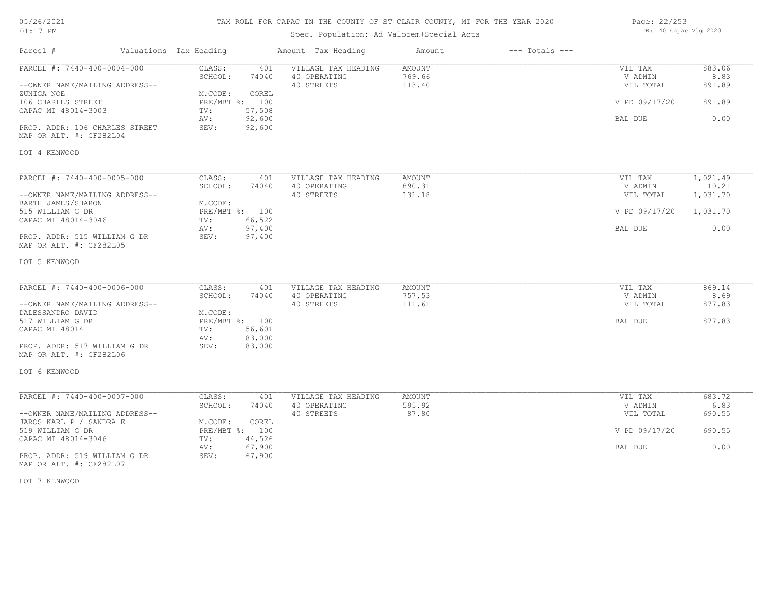## TAX ROLL FOR CAPAC IN THE COUNTY OF ST CLAIR COUNTY, MI FOR THE YEAR 2020

## Spec. Population: Ad Valorem+Special Acts

| Page: 22/253 |                       |  |
|--------------|-----------------------|--|
|              | DB: 40 Capac Vlg 2020 |  |

| Parcel #                                                      | Valuations Tax Heading |                           |                  | Amount Tax Heading                                | Amount                            | $---$ Totals $---$ |                                 |                          |
|---------------------------------------------------------------|------------------------|---------------------------|------------------|---------------------------------------------------|-----------------------------------|--------------------|---------------------------------|--------------------------|
| PARCEL #: 7440-400-0004-000<br>--OWNER NAME/MAILING ADDRESS-- |                        | CLASS:<br>SCHOOL:         | 401<br>74040     | VILLAGE TAX HEADING<br>40 OPERATING<br>40 STREETS | <b>AMOUNT</b><br>769.66<br>113.40 |                    | VIL TAX<br>V ADMIN<br>VIL TOTAL | 883.06<br>8.83<br>891.89 |
| ZUNIGA NOE<br>106 CHARLES STREET                              |                        | M.CODE:<br>PRE/MBT %: 100 | COREL            |                                                   |                                   |                    | V PD 09/17/20                   | 891.89                   |
| CAPAC MI 48014-3003                                           |                        | TV:                       | 57,508<br>92,600 |                                                   |                                   |                    |                                 | 0.00                     |
| PROP. ADDR: 106 CHARLES STREET<br>MAP OR ALT. #: CF282L04     |                        | AV:<br>SEV:               | 92,600           |                                                   |                                   |                    | BAL DUE                         |                          |
| LOT 4 KENWOOD                                                 |                        |                           |                  |                                                   |                                   |                    |                                 |                          |
| PARCEL #: 7440-400-0005-000                                   |                        | CLASS:                    | 401              | VILLAGE TAX HEADING                               | AMOUNT                            |                    | VIL TAX                         | 1,021.49                 |
|                                                               |                        | SCHOOL:                   | 74040            | 40 OPERATING                                      | 890.31                            |                    | V ADMIN                         | 10.21                    |
| --OWNER NAME/MAILING ADDRESS--                                |                        |                           |                  | 40 STREETS                                        | 131.18                            |                    | VIL TOTAL                       | 1,031.70                 |
| BARTH JAMES/SHARON                                            |                        | M.CODE:                   |                  |                                                   |                                   |                    |                                 |                          |
| 515 WILLIAM G DR                                              |                        | PRE/MBT %: 100            |                  |                                                   |                                   |                    | V PD 09/17/20                   | 1,031.70                 |
| CAPAC MI 48014-3046                                           |                        | TV:                       | 66,522           |                                                   |                                   |                    |                                 |                          |
|                                                               |                        | AV:                       | 97,400           |                                                   |                                   |                    | BAL DUE                         | 0.00                     |
| PROP. ADDR: 515 WILLIAM G DR<br>MAP OR ALT. #: CF282L05       |                        | SEV:                      | 97,400           |                                                   |                                   |                    |                                 |                          |
| LOT 5 KENWOOD                                                 |                        |                           |                  |                                                   |                                   |                    |                                 |                          |
| PARCEL #: 7440-400-0006-000                                   |                        | CLASS:                    | 401              | VILLAGE TAX HEADING                               | AMOUNT                            |                    | VIL TAX                         | 869.14                   |
|                                                               |                        | SCHOOL:                   | 74040            | 40 OPERATING                                      | 757.53                            |                    | V ADMIN                         | 8.69                     |
| --OWNER NAME/MAILING ADDRESS--                                |                        |                           |                  | 40 STREETS                                        | 111.61                            |                    | VIL TOTAL                       | 877.83                   |
| DALESSANDRO DAVID                                             |                        | M.CODE:                   |                  |                                                   |                                   |                    |                                 |                          |
| 517 WILLIAM G DR                                              |                        | PRE/MBT %: 100            |                  |                                                   |                                   |                    | BAL DUE                         | 877.83                   |
| CAPAC MI 48014                                                |                        | TV:<br>AV:                | 56,601<br>83,000 |                                                   |                                   |                    |                                 |                          |
| PROP. ADDR: 517 WILLIAM G DR<br>MAP OR ALT. #: CF282L06       |                        | SEV:                      | 83,000           |                                                   |                                   |                    |                                 |                          |
| LOT 6 KENWOOD                                                 |                        |                           |                  |                                                   |                                   |                    |                                 |                          |
| PARCEL #: 7440-400-0007-000                                   |                        | CLASS:                    | 401              | VILLAGE TAX HEADING                               | AMOUNT                            |                    | VIL TAX                         | 683.72                   |
|                                                               |                        | SCHOOL:                   | 74040            | 40 OPERATING                                      | 595.92                            |                    | V ADMIN                         | 6.83                     |
| --OWNER NAME/MAILING ADDRESS--                                |                        |                           |                  | 40 STREETS                                        | 87.80                             |                    | VIL TOTAL                       | 690.55                   |
| JAROS KARL P / SANDRA E                                       |                        | M.CODE:                   | COREL            |                                                   |                                   |                    |                                 |                          |
| 519 WILLIAM G DR                                              |                        | PRE/MBT %: 100            |                  |                                                   |                                   |                    | V PD 09/17/20                   | 690.55                   |
| CAPAC MI 48014-3046                                           |                        | TV:                       | 44,526           |                                                   |                                   |                    |                                 |                          |
|                                                               |                        | AV:                       | 67,900           |                                                   |                                   |                    | BAL DUE                         | 0.00                     |
| PROP. ADDR: 519 WILLIAM G DR<br>MAP OR ALT. #: CF282L07       |                        | SEV:                      | 67,900           |                                                   |                                   |                    |                                 |                          |

LOT 7 KENWOOD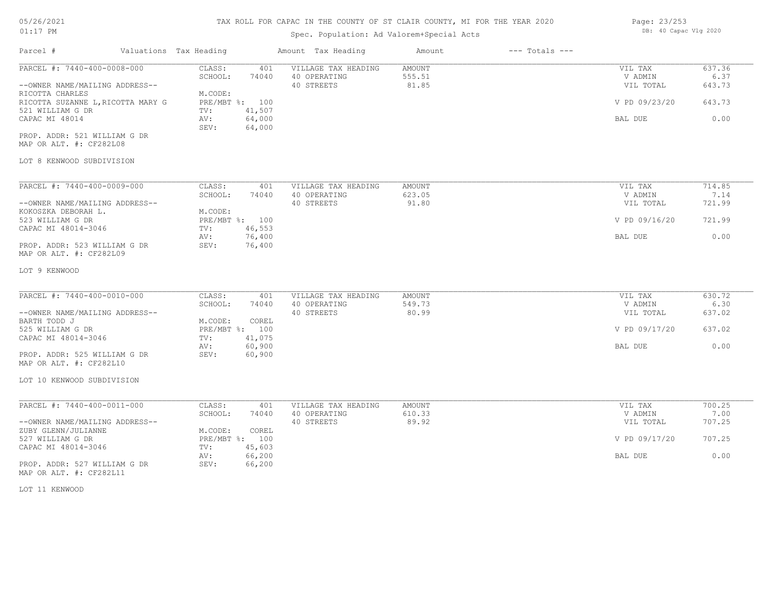#### TAX ROLL FOR CAPAC IN THE COUNTY OF ST CLAIR COUNTY, MI FOR THE YEAR 2020

| $01:17$ PM                                              |  |                        |                          | Spec. Population: Ad Valorem+Special Acts |               |                    |                | DB: 40 Capac Vlg 2020 |  |
|---------------------------------------------------------|--|------------------------|--------------------------|-------------------------------------------|---------------|--------------------|----------------|-----------------------|--|
| Parcel #                                                |  | Valuations Tax Heading |                          | Amount Tax Heading                        | Amount        | $---$ Totals $---$ |                |                       |  |
| PARCEL #: 7440-400-0008-000                             |  | CLASS:                 | 401                      | VILLAGE TAX HEADING                       | AMOUNT        |                    | VIL TAX        | 637.36                |  |
|                                                         |  | SCHOOL:                | 74040                    | 40 OPERATING                              | 555.51        |                    | V ADMIN        | 6.37                  |  |
| --OWNER NAME/MAILING ADDRESS--                          |  |                        |                          | 40 STREETS                                | 81.85         |                    | VIL TOTAL      | 643.73                |  |
| RICOTTA CHARLES<br>RICOTTA SUZANNE L, RICOTTA MARY G    |  | M.CODE:                | PRE/MBT %: 100           |                                           |               |                    | V PD 09/23/20  | 643.73                |  |
| 521 WILLIAM G DR                                        |  | TV:                    | 41,507                   |                                           |               |                    |                |                       |  |
| CAPAC MI 48014                                          |  | AV:                    | 64,000                   |                                           |               |                    | <b>BAL DUE</b> | 0.00                  |  |
|                                                         |  | SEV:                   | 64,000                   |                                           |               |                    |                |                       |  |
| PROP. ADDR: 521 WILLIAM G DR<br>MAP OR ALT. #: CF282L08 |  |                        |                          |                                           |               |                    |                |                       |  |
| LOT 8 KENWOOD SUBDIVISION                               |  |                        |                          |                                           |               |                    |                |                       |  |
| PARCEL #: 7440-400-0009-000                             |  | CLASS:                 | 401                      | VILLAGE TAX HEADING                       | <b>AMOUNT</b> |                    | VIL TAX        | 714.85                |  |
|                                                         |  | SCHOOL:                | 74040                    | 40 OPERATING                              | 623.05        |                    | V ADMIN        | 7.14                  |  |
| --OWNER NAME/MAILING ADDRESS--                          |  |                        |                          | 40 STREETS                                | 91.80         |                    | VIL TOTAL      | 721.99                |  |
| KOKOSZKA DEBORAH L.                                     |  | M.CODE:                |                          |                                           |               |                    |                |                       |  |
| 523 WILLIAM G DR                                        |  |                        | PRE/MBT %: 100           |                                           |               |                    | V PD 09/16/20  | 721.99                |  |
| CAPAC MI 48014-3046                                     |  | TV:                    | 46,553                   |                                           |               |                    |                |                       |  |
|                                                         |  | AV:                    | 76,400                   |                                           |               |                    | BAL DUE        | 0.00                  |  |
| PROP. ADDR: 523 WILLIAM G DR<br>MAP OR ALT. #: CF282L09 |  | SEV:                   | 76,400                   |                                           |               |                    |                |                       |  |
| LOT 9 KENWOOD                                           |  |                        |                          |                                           |               |                    |                |                       |  |
| PARCEL #: 7440-400-0010-000                             |  | CLASS:                 | 401                      | VILLAGE TAX HEADING                       | <b>AMOUNT</b> |                    | VIL TAX        | 630.72                |  |
|                                                         |  | SCHOOL:                | 74040                    | 40 OPERATING                              | 549.73        |                    | V ADMIN        | 6.30                  |  |
| --OWNER NAME/MAILING ADDRESS--                          |  |                        |                          | 40 STREETS                                | 80.99         |                    | VIL TOTAL      | 637.02                |  |
| BARTH TODD J                                            |  | M.CODE:                | COREL                    |                                           |               |                    |                |                       |  |
| 525 WILLIAM G DR<br>CAPAC MI 48014-3046                 |  | TV:                    | PRE/MBT %: 100<br>41,075 |                                           |               |                    | V PD 09/17/20  | 637.02                |  |
|                                                         |  | AV:                    | 60,900                   |                                           |               |                    | BAL DUE        | 0.00                  |  |
| PROP. ADDR: 525 WILLIAM G DR                            |  | SEV:                   | 60,900                   |                                           |               |                    |                |                       |  |
| MAP OR ALT. #: CF282L10                                 |  |                        |                          |                                           |               |                    |                |                       |  |
| LOT 10 KENWOOD SUBDIVISION                              |  |                        |                          |                                           |               |                    |                |                       |  |
| PARCEL #: 7440-400-0011-000                             |  | CLASS:                 | 401                      | VILLAGE TAX HEADING                       | <b>AMOUNT</b> |                    | VIL TAX        | 700.25                |  |
|                                                         |  | SCHOOL:                | 74040                    | 40 OPERATING                              | 610.33        |                    | V ADMIN        | 7.00                  |  |
| --OWNER NAME/MAILING ADDRESS--<br>ZUBY GLENN/JULIANNE   |  | M.CODE:                | COREL                    | 40 STREETS                                | 89.92         |                    | VIL TOTAL      | 707.25                |  |
| 527 WILLIAM G DR                                        |  |                        | PRE/MBT %: 100           |                                           |               |                    | V PD 09/17/20  | 707.25                |  |
| CAPAC MI 48014-3046                                     |  | TV:                    | 45,603                   |                                           |               |                    |                |                       |  |
|                                                         |  | AV:                    | 66,200                   |                                           |               |                    | BAL DUE        | 0.00                  |  |
| PROP. ADDR: 527 WILLIAM G DR<br>MAP OR ALT. #: CF282L11 |  | SEV:                   | 66,200                   |                                           |               |                    |                |                       |  |
| LOT 11 KENWOOD                                          |  |                        |                          |                                           |               |                    |                |                       |  |

Page: 23/253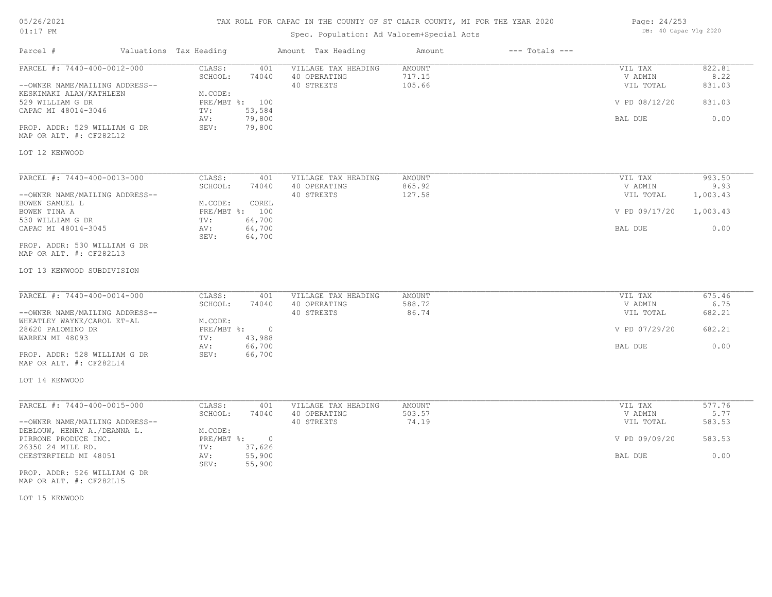## TAX ROLL FOR CAPAC IN THE COUNTY OF ST CLAIR COUNTY, MI FOR THE YEAR 2020

## Spec. Population: Ad Valorem+Special Acts

Parcel # Valuations Tax Heading Amount Tax Heading Amount --- Totals ---

| Page: 24/253 |                       |  |
|--------------|-----------------------|--|
|              | DB: 40 Capac Vlg 2020 |  |

| PARCEL #: 7440-400-0012-000                                   | CLASS:<br>401<br>SCHOOL:<br>74040                | VILLAGE TAX HEADING<br>40 OPERATING | AMOUNT<br>717.15 | VIL TAX<br>V ADMIN   | 822.81<br>8.22   |
|---------------------------------------------------------------|--------------------------------------------------|-------------------------------------|------------------|----------------------|------------------|
| --OWNER NAME/MAILING ADDRESS--<br>KESKIMAKI ALAN/KATHLEEN     | M.CODE:                                          | 40 STREETS                          | 105.66           | VIL TOTAL            | 831.03           |
| 529 WILLIAM G DR<br>CAPAC MI 48014-3046                       | PRE/MBT %: 100<br>53,584<br>TV:                  |                                     |                  | V PD 08/12/20        | 831.03           |
|                                                               | 79,800<br>AV:                                    |                                     |                  | BAL DUE              | 0.00             |
| PROP. ADDR: 529 WILLIAM G DR<br>MAP OR ALT. #: CF282L12       | 79,800<br>SEV:                                   |                                     |                  |                      |                  |
| LOT 12 KENWOOD                                                |                                                  |                                     |                  |                      |                  |
| PARCEL #: 7440-400-0013-000                                   | CLASS:<br>401                                    | VILLAGE TAX HEADING                 | AMOUNT           | VIL TAX              | 993.50           |
| --OWNER NAME/MAILING ADDRESS--                                | SCHOOL:<br>74040                                 | 40 OPERATING<br>40 STREETS          | 865.92<br>127.58 | V ADMIN<br>VIL TOTAL | 9.93<br>1,003.43 |
| BOWEN SAMUEL L                                                | M.CODE:<br>COREL                                 |                                     |                  |                      |                  |
| BOWEN TINA A<br>530 WILLIAM G DR                              | PRE/MBT %: 100<br>64,700                         |                                     |                  | V PD 09/17/20        | 1,003.43         |
| CAPAC MI 48014-3045                                           | TV:<br>64,700<br>AV:<br>SEV:<br>64,700           |                                     |                  | BAL DUE              | 0.00             |
| PROP. ADDR: 530 WILLIAM G DR<br>MAP OR ALT. #: CF282L13       |                                                  |                                     |                  |                      |                  |
| LOT 13 KENWOOD SUBDIVISION                                    |                                                  |                                     |                  |                      |                  |
| PARCEL #: 7440-400-0014-000                                   | CLASS:<br>401                                    | VILLAGE TAX HEADING                 | <b>AMOUNT</b>    | VIL TAX              | 675.46           |
|                                                               | SCHOOL:<br>74040                                 | 40 OPERATING                        | 588.72           | V ADMIN              | 6.75             |
| --OWNER NAME/MAILING ADDRESS--<br>WHEATLEY WAYNE/CAROL ET-AL  | M.CODE:                                          | 40 STREETS                          | 86.74            | VIL TOTAL            | 682.21           |
| 28620 PALOMINO DR                                             | $\overline{0}$<br>$PRE/MBT$ %:                   |                                     |                  | V PD 07/29/20        | 682.21           |
| WARREN MI 48093                                               | 43,988<br>TV:                                    |                                     |                  |                      |                  |
| PROP. ADDR: 528 WILLIAM G DR                                  | 66,700<br>AV:<br>SEV:<br>66,700                  |                                     |                  | BAL DUE              | 0.00             |
| MAP OR ALT. #: CF282L14                                       |                                                  |                                     |                  |                      |                  |
| LOT 14 KENWOOD                                                |                                                  |                                     |                  |                      |                  |
| PARCEL #: 7440-400-0015-000                                   | CLASS:<br>401                                    | VILLAGE TAX HEADING                 | AMOUNT           | VIL TAX              | 577.76           |
|                                                               | SCHOOL:<br>74040                                 | 40 OPERATING                        | 503.57           | V ADMIN              | 5.77             |
| --OWNER NAME/MAILING ADDRESS--<br>DEBLOUW, HENRY A./DEANNA L. | M.CODE:                                          | 40 STREETS                          | 74.19            | VIL TOTAL            | 583.53           |
| PIRRONE PRODUCE INC.                                          | PRE/MBT %:<br>$\overline{0}$                     |                                     |                  | V PD 09/09/20        | 583.53           |
| 26350 24 MILE RD.<br>CHESTERFIELD MI 48051                    | 37,626<br>TV:<br>55,900<br>AV:<br>55,900<br>SEV: |                                     |                  | BAL DUE              | 0.00             |
| PROP. ADDR: 526 WILLIAM G DR<br>MAP OR ALT. #: CF282L15       |                                                  |                                     |                  |                      |                  |

LOT 15 KENWOOD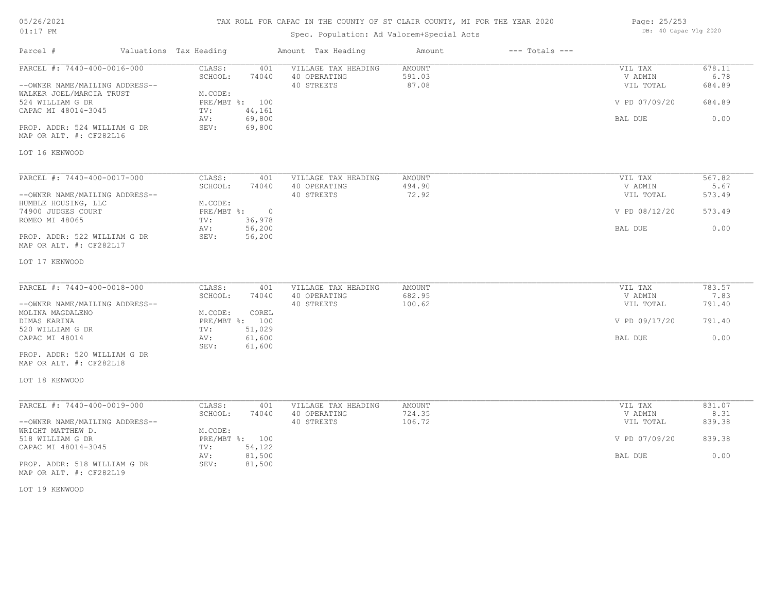## TAX ROLL FOR CAPAC IN THE COUNTY OF ST CLAIR COUNTY, MI FOR THE YEAR 2020

## Spec. Population: Ad Valorem+Special Acts

Parcel # Valuations Tax Heading Amount Tax Heading Amount --- Totals ---

| Page: 25/253 |                       |  |
|--------------|-----------------------|--|
|              | DB: 40 Capac Vlg 2020 |  |

| PARCEL #: 7440-400-0016-000                             | CLASS:<br>401<br>SCHOOL:<br>74040 | VILLAGE TAX HEADING<br>40 OPERATING | <b>AMOUNT</b><br>591.03 | VIL TAX<br>V ADMIN | 678.11<br>6.78 |
|---------------------------------------------------------|-----------------------------------|-------------------------------------|-------------------------|--------------------|----------------|
| --OWNER NAME/MAILING ADDRESS--                          |                                   | 40 STREETS                          | 87.08                   | VIL TOTAL          | 684.89         |
| WALKER JOEL/MARCIA TRUST                                | M.CODE:                           |                                     |                         |                    |                |
| 524 WILLIAM G DR<br>CAPAC MI 48014-3045                 | PRE/MBT %: 100<br>44,161<br>TV:   |                                     |                         | V PD 07/09/20      | 684.89         |
|                                                         | 69,800<br>AV:                     |                                     |                         | BAL DUE            | 0.00           |
| PROP. ADDR: 524 WILLIAM G DR<br>MAP OR ALT. #: CF282L16 | SEV:<br>69,800                    |                                     |                         |                    |                |
| LOT 16 KENWOOD                                          |                                   |                                     |                         |                    |                |
| PARCEL #: 7440-400-0017-000                             | CLASS:<br>401                     | VILLAGE TAX HEADING                 | AMOUNT                  | VIL TAX            | 567.82         |
|                                                         | SCHOOL:<br>74040                  | 40 OPERATING                        | 494.90                  | V ADMIN            | 5.67           |
| --OWNER NAME/MAILING ADDRESS--                          |                                   | 40 STREETS                          | 72.92                   | VIL TOTAL          | 573.49         |
| HUMBLE HOUSING, LLC                                     | M.CODE:                           |                                     |                         |                    |                |
| 74900 JUDGES COURT                                      | PRE/MBT %:<br>$\overline{0}$      |                                     |                         | V PD 08/12/20      | 573.49         |
| ROMEO MI 48065                                          | 36,978<br>TV:<br>56,200<br>AV:    |                                     |                         | BAL DUE            | 0.00           |
| PROP. ADDR: 522 WILLIAM G DR<br>MAP OR ALT. #: CF282L17 | 56,200<br>SEV:                    |                                     |                         |                    |                |
| LOT 17 KENWOOD                                          |                                   |                                     |                         |                    |                |
| PARCEL #: 7440-400-0018-000                             | CLASS:<br>401                     | VILLAGE TAX HEADING                 | <b>AMOUNT</b>           | VIL TAX            | 783.57         |
|                                                         | SCHOOL:<br>74040                  | 40 OPERATING                        | 682.95                  | V ADMIN            | 7.83           |
| --OWNER NAME/MAILING ADDRESS--                          |                                   | 40 STREETS                          | 100.62                  | VIL TOTAL          | 791.40         |
| MOLINA MAGDALENO                                        | M.CODE:<br>COREL                  |                                     |                         |                    |                |
| DIMAS KARINA<br>520 WILLIAM G DR                        | PRE/MBT %: 100<br>51,029<br>TV:   |                                     |                         | V PD 09/17/20      | 791.40         |
| CAPAC MI 48014                                          | 61,600<br>AV:<br>61,600<br>SEV:   |                                     |                         | BAL DUE            | 0.00           |
| PROP. ADDR: 520 WILLIAM G DR<br>MAP OR ALT. #: CF282L18 |                                   |                                     |                         |                    |                |
| LOT 18 KENWOOD                                          |                                   |                                     |                         |                    |                |
| PARCEL #: 7440-400-0019-000                             | CLASS:<br>401                     | VILLAGE TAX HEADING                 | <b>AMOUNT</b>           | VIL TAX            | 831.07         |
|                                                         | SCHOOL:<br>74040                  | 40 OPERATING                        | 724.35                  | V ADMIN            | 8.31           |
| --OWNER NAME/MAILING ADDRESS--                          |                                   | 40 STREETS                          | 106.72                  | VIL TOTAL          | 839.38         |
| WRIGHT MATTHEW D.<br>518 WILLIAM G DR                   | M.CODE:<br>PRE/MBT %: 100         |                                     |                         | V PD 07/09/20      | 839.38         |
| CAPAC MI 48014-3045                                     | TV:<br>54,122                     |                                     |                         |                    |                |
|                                                         | 81,500<br>AV:                     |                                     |                         | BAL DUE            | 0.00           |
| PROP. ADDR: 518 WILLIAM G DR<br>MAP OR ALT. #: CF282L19 | SEV:<br>81,500                    |                                     |                         |                    |                |

LOT 19 KENWOOD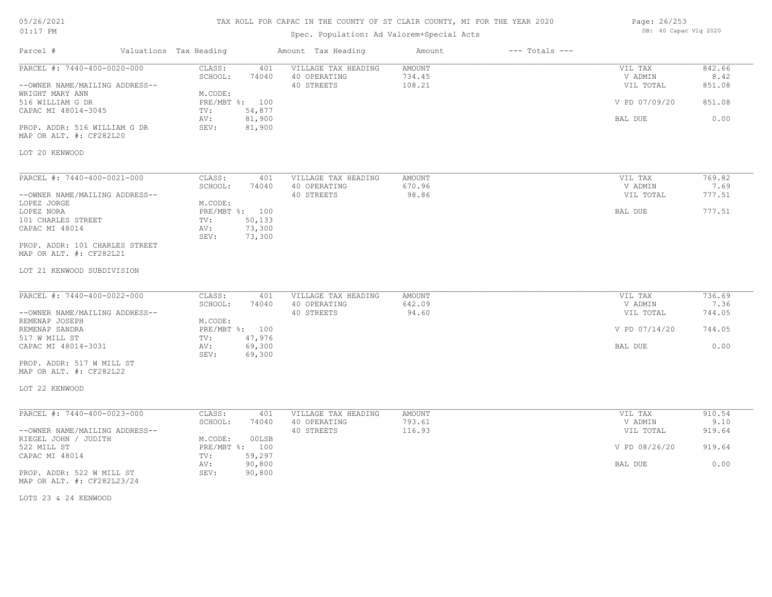## TAX ROLL FOR CAPAC IN THE COUNTY OF ST CLAIR COUNTY, MI FOR THE YEAR 2020

## Spec. Population: Ad Valorem+Special Acts

| Page: 26/253 |                       |  |
|--------------|-----------------------|--|
|              | DB: 40 Capac Vlg 2020 |  |

| Parcel #                                                                                                                                                                                        | Valuations Tax Heading                             |                                                              | Amount Tax Heading                                | Amount                            | $---$ Totals $---$ |                                                             |                                            |
|-------------------------------------------------------------------------------------------------------------------------------------------------------------------------------------------------|----------------------------------------------------|--------------------------------------------------------------|---------------------------------------------------|-----------------------------------|--------------------|-------------------------------------------------------------|--------------------------------------------|
| PARCEL #: 7440-400-0020-000<br>--OWNER NAME/MAILING ADDRESS--<br>WRIGHT MARY ANN<br>516 WILLIAM G DR<br>CAPAC MI 48014-3045<br>PROP. ADDR: 516 WILLIAM G DR<br>MAP OR ALT. #: CF282L20          | CLASS:<br>SCHOOL:<br>M.CODE:<br>TV:<br>AV:<br>SEV: | 401<br>74040<br>PRE/MBT %: 100<br>54,877<br>81,900<br>81,900 | VILLAGE TAX HEADING<br>40 OPERATING<br>40 STREETS | <b>AMOUNT</b><br>734.45<br>108.21 |                    | VIL TAX<br>V ADMIN<br>VIL TOTAL<br>V PD 07/09/20<br>BAL DUE | 842.66<br>8.42<br>851.08<br>851.08<br>0.00 |
| LOT 20 KENWOOD                                                                                                                                                                                  |                                                    |                                                              |                                                   |                                   |                    |                                                             |                                            |
| PARCEL #: 7440-400-0021-000<br>--OWNER NAME/MAILING ADDRESS--<br>LOPEZ JORGE<br>LOPEZ NORA<br>101 CHARLES STREET<br>CAPAC MI 48014<br>PROP. ADDR: 101 CHARLES STREET<br>MAP OR ALT. #: CF282L21 | CLASS:<br>SCHOOL:<br>M.CODE:<br>TV:<br>AV:<br>SEV: | 401<br>74040<br>PRE/MBT %: 100<br>50,133<br>73,300<br>73,300 | VILLAGE TAX HEADING<br>40 OPERATING<br>40 STREETS | AMOUNT<br>670.96<br>98.86         |                    | VIL TAX<br>V ADMIN<br>VIL TOTAL<br>BAL DUE                  | 769.82<br>7.69<br>777.51<br>777.51         |
| LOT 21 KENWOOD SUBDIVISION<br>PARCEL #: 7440-400-0022-000                                                                                                                                       | CLASS:                                             | 401                                                          | VILLAGE TAX HEADING                               | AMOUNT                            |                    | VIL TAX                                                     | 736.69                                     |
| --OWNER NAME/MAILING ADDRESS--<br>REMENAP JOSEPH<br>REMENAP SANDRA                                                                                                                              | SCHOOL:<br>M.CODE:                                 | 74040<br>PRE/MBT %: 100                                      | 40 OPERATING<br>40 STREETS                        | 642.09<br>94.60                   |                    | V ADMIN<br>VIL TOTAL<br>V PD 07/14/20                       | 7.36<br>744.05<br>744.05                   |
| 517 W MILL ST<br>CAPAC MI 48014-3031<br>PROP. ADDR: 517 W MILL ST<br>MAP OR ALT. #: CF282L22                                                                                                    | TV:<br>AV:<br>SEV:                                 | 47,976<br>69,300<br>69,300                                   |                                                   |                                   |                    | BAL DUE                                                     | 0.00                                       |
| LOT 22 KENWOOD                                                                                                                                                                                  |                                                    |                                                              |                                                   |                                   |                    |                                                             |                                            |
| PARCEL #: 7440-400-0023-000<br>--OWNER NAME/MAILING ADDRESS--                                                                                                                                   | CLASS:<br>SCHOOL:                                  | 401<br>74040                                                 | VILLAGE TAX HEADING<br>40 OPERATING<br>40 STREETS | AMOUNT<br>793.61<br>116.93        |                    | VIL TAX<br>V ADMIN<br>VIL TOTAL                             | 910.54<br>9.10<br>919.64                   |
| RIEGEL JOHN / JUDITH<br>522 MILL ST<br>CAPAC MI 48014                                                                                                                                           | M.CODE:<br>TV:                                     | 00LSB<br>PRE/MBT %: 100<br>59,297                            |                                                   |                                   |                    | V PD 08/26/20                                               | 919.64                                     |
| PROP. ADDR: 522 W MILL ST<br>MAP OR ALT. #: CF282L23/24                                                                                                                                         | AV:<br>SEV:                                        | 90,800<br>90,800                                             |                                                   |                                   |                    | BAL DUE                                                     | 0.00                                       |

LOTS 23 & 24 KENWOOD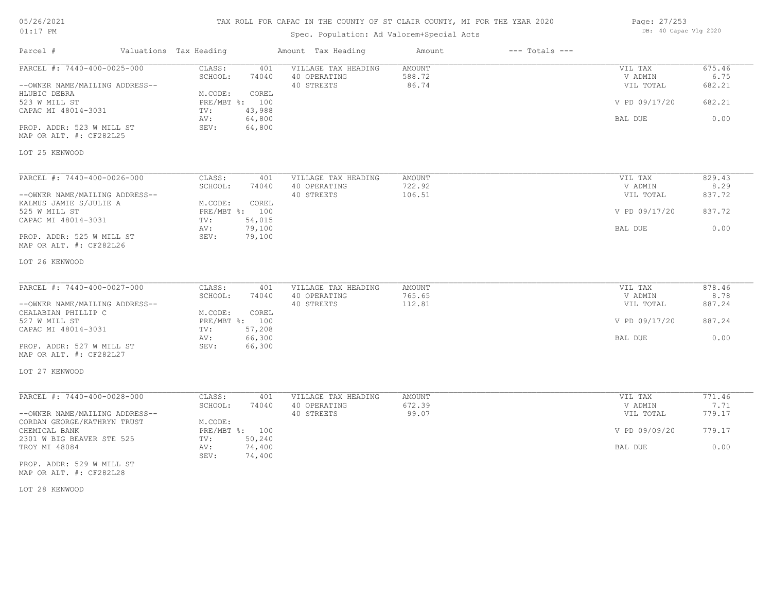| 05/26/2021 |    |
|------------|----|
| 01:17      | PМ |

## Spec. Population: Ad Valorem+Special Acts

| Page: 27/253 |                       |  |
|--------------|-----------------------|--|
|              | DB: 40 Capac Vlg 2020 |  |

| Parcel #                                                                      | Valuations Tax Heading                                | Amount Tax Heading                                | Amount                    | $---$ Totals $---$ |                                 |                          |
|-------------------------------------------------------------------------------|-------------------------------------------------------|---------------------------------------------------|---------------------------|--------------------|---------------------------------|--------------------------|
| PARCEL #: 7440-400-0025-000<br>--OWNER NAME/MAILING ADDRESS--<br>HLUBIC DEBRA | CLASS:<br>401<br>SCHOOL:<br>74040<br>M.CODE:<br>COREL | VILLAGE TAX HEADING<br>40 OPERATING<br>40 STREETS | AMOUNT<br>588.72<br>86.74 |                    | VIL TAX<br>V ADMIN<br>VIL TOTAL | 675.46<br>6.75<br>682.21 |
| 523 W MILL ST<br>CAPAC MI 48014-3031                                          | PRE/MBT %: 100<br>43,988<br>TV:<br>64,800<br>AV:      |                                                   |                           |                    | V PD 09/17/20<br>BAL DUE        | 682.21<br>0.00           |
| PROP. ADDR: 523 W MILL ST<br>MAP OR ALT. #: CF282L25                          | 64,800<br>SEV:                                        |                                                   |                           |                    |                                 |                          |
| LOT 25 KENWOOD                                                                |                                                       |                                                   |                           |                    |                                 |                          |
| PARCEL #: 7440-400-0026-000                                                   | CLASS:<br>401                                         | VILLAGE TAX HEADING                               | AMOUNT                    |                    | VIL TAX                         | 829.43                   |
|                                                                               | SCHOOL:<br>74040                                      | 40 OPERATING                                      | 722.92                    |                    | V ADMIN                         | 8.29                     |
| --OWNER NAME/MAILING ADDRESS--<br>KALMUS JAMIE S/JULIE A                      | M.CODE:<br>COREL                                      | 40 STREETS                                        | 106.51                    |                    | VIL TOTAL                       | 837.72                   |
| 525 W MILL ST                                                                 | PRE/MBT %: 100                                        |                                                   |                           |                    | V PD 09/17/20                   | 837.72                   |
| CAPAC MI 48014-3031                                                           | 54,015<br>TV:<br>79,100<br>AV:                        |                                                   |                           |                    | BAL DUE                         | 0.00                     |
| PROP. ADDR: 525 W MILL ST<br>MAP OR ALT. #: CF282L26                          | 79,100<br>SEV:                                        |                                                   |                           |                    |                                 |                          |
| LOT 26 KENWOOD                                                                |                                                       |                                                   |                           |                    |                                 |                          |
| PARCEL #: 7440-400-0027-000                                                   | CLASS:<br>401                                         | VILLAGE TAX HEADING                               | AMOUNT                    |                    | VIL TAX                         | 878.46                   |
|                                                                               | SCHOOL:<br>74040                                      | 40 OPERATING                                      | 765.65                    |                    | V ADMIN                         | 8.78                     |
| --OWNER NAME/MAILING ADDRESS--<br>CHALABIAN PHILLIP C                         | M.CODE:<br>COREL                                      | 40 STREETS                                        | 112.81                    |                    | VIL TOTAL                       | 887.24                   |
| 527 W MILL ST                                                                 | PRE/MBT %: 100                                        |                                                   |                           |                    | V PD 09/17/20                   | 887.24                   |
| CAPAC MI 48014-3031                                                           | 57,208<br>TV:<br>66,300<br>AV:                        |                                                   |                           |                    | BAL DUE                         | 0.00                     |
| PROP. ADDR: 527 W MILL ST<br>MAP OR ALT. #: CF282L27                          | SEV:<br>66,300                                        |                                                   |                           |                    |                                 |                          |
| LOT 27 KENWOOD                                                                |                                                       |                                                   |                           |                    |                                 |                          |
| PARCEL #: 7440-400-0028-000                                                   | CLASS:<br>401                                         | VILLAGE TAX HEADING                               | <b>AMOUNT</b>             |                    | VIL TAX                         | 771.46                   |
|                                                                               | SCHOOL:<br>74040                                      | 40 OPERATING                                      | 672.39                    |                    | V ADMIN                         | 7.71                     |
| --OWNER NAME/MAILING ADDRESS--<br>CORDAN GEORGE/KATHRYN TRUST                 | M.CODE:                                               | 40 STREETS                                        | 99.07                     |                    | VIL TOTAL                       | 779.17                   |
| CHEMICAL BANK                                                                 | PRE/MBT %: 100                                        |                                                   |                           |                    | V PD 09/09/20                   | 779.17                   |
| 2301 W BIG BEAVER STE 525<br>TROY MI 48084                                    | TV:<br>50,240<br>74,400<br>AV:                        |                                                   |                           |                    | BAL DUE                         | 0.00                     |
| PROP. ADDR: 529 W MILL ST                                                     | 74,400<br>SEV:                                        |                                                   |                           |                    |                                 |                          |
|                                                                               |                                                       |                                                   |                           |                    |                                 |                          |

MAP OR ALT. #: CF282L28

LOT 28 KENWOOD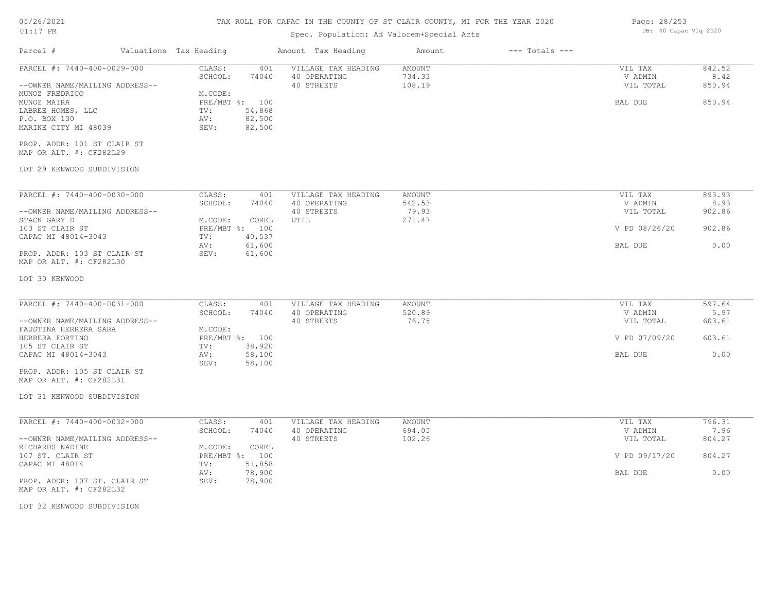## TAX ROLL FOR CAPAC IN THE COUNTY OF ST CLAIR COUNTY, MI FOR THE YEAR 2020

## Spec. Population: Ad Valorem+Special Acts

| Parcel #                                                                                                                                                                                                                                            | Valuations Tax Heading                             |                                                              | Amount Tax Heading                                | Amount                     | $---$ Totals $---$ |                                            |                                    |
|-----------------------------------------------------------------------------------------------------------------------------------------------------------------------------------------------------------------------------------------------------|----------------------------------------------------|--------------------------------------------------------------|---------------------------------------------------|----------------------------|--------------------|--------------------------------------------|------------------------------------|
| PARCEL #: 7440-400-0029-000<br>--OWNER NAME/MAILING ADDRESS--<br>MUNOZ FREDRICO<br>MUNOZ MAIRA<br>LABREE HOMES, LLC<br>P.O. BOX 130<br>MARINE CITY MI 48039<br>PROP. ADDR: 101 ST CLAIR ST<br>MAP OR ALT. #: CF282L29<br>LOT 29 KENWOOD SUBDIVISION | CLASS:<br>SCHOOL:<br>M.CODE:<br>TV:<br>AV:<br>SEV: | 401<br>74040<br>PRE/MBT %: 100<br>54,868<br>82,500<br>82,500 | VILLAGE TAX HEADING<br>40 OPERATING<br>40 STREETS | AMOUNT<br>734.33<br>108.19 |                    | VIL TAX<br>V ADMIN<br>VIL TOTAL<br>BAL DUE | 842.52<br>8.42<br>850.94<br>850.94 |
| PARCEL #: 7440-400-0030-000                                                                                                                                                                                                                         | CLASS:                                             |                                                              |                                                   |                            |                    |                                            | 893.93                             |
|                                                                                                                                                                                                                                                     | SCHOOL:                                            | 401<br>74040                                                 | VILLAGE TAX HEADING<br>40 OPERATING               | AMOUNT<br>542.53           |                    | VIL TAX<br>V ADMIN                         | 8.93                               |
| --OWNER NAME/MAILING ADDRESS--                                                                                                                                                                                                                      |                                                    |                                                              | 40 STREETS                                        | 79.93                      |                    | VIL TOTAL                                  | 902.86                             |
| STACK GARY D<br>103 ST CLAIR ST                                                                                                                                                                                                                     | M.CODE:<br>PRE/MBT %: 100                          | COREL                                                        | UTIL                                              | 271.47                     |                    | V PD 08/26/20                              | 902.86                             |
| CAPAC MI 48014-3043                                                                                                                                                                                                                                 | TV:                                                | 40,537                                                       |                                                   |                            |                    |                                            |                                    |
| PROP. ADDR: 103 ST CLAIR ST<br>MAP OR ALT. #: CF282L30                                                                                                                                                                                              | AV:<br>SEV:                                        | 61,600<br>61,600                                             |                                                   |                            |                    | BAL DUE                                    | 0.00                               |
| LOT 30 KENWOOD                                                                                                                                                                                                                                      |                                                    |                                                              |                                                   |                            |                    |                                            |                                    |
|                                                                                                                                                                                                                                                     |                                                    |                                                              |                                                   |                            |                    |                                            |                                    |
| PARCEL #: 7440-400-0031-000                                                                                                                                                                                                                         | CLASS:<br>SCHOOL:                                  | 401<br>74040                                                 | VILLAGE TAX HEADING<br>40 OPERATING               | AMOUNT<br>520.89           |                    | VIL TAX<br>V ADMIN                         | 597.64<br>5.97                     |
| --OWNER NAME/MAILING ADDRESS--                                                                                                                                                                                                                      |                                                    |                                                              | 40 STREETS                                        | 76.75                      |                    | VIL TOTAL                                  | 603.61                             |
| FAUSTINA HERRERA SARA<br>HERRERA FORTINO                                                                                                                                                                                                            | M.CODE:                                            | PRE/MBT %: 100                                               |                                                   |                            |                    | V PD 07/09/20                              | 603.61                             |
| 105 ST CLAIR ST                                                                                                                                                                                                                                     | TV:                                                | 38,920                                                       |                                                   |                            |                    |                                            |                                    |
| CAPAC MI 48014-3043                                                                                                                                                                                                                                 | AV:                                                | 58,100                                                       |                                                   |                            |                    | BAL DUE                                    | 0.00                               |
| PROP. ADDR: 105 ST CLAIR ST                                                                                                                                                                                                                         | SEV:                                               | 58,100                                                       |                                                   |                            |                    |                                            |                                    |
| MAP OR ALT. #: CF282L31                                                                                                                                                                                                                             |                                                    |                                                              |                                                   |                            |                    |                                            |                                    |
| LOT 31 KENWOOD SUBDIVISION                                                                                                                                                                                                                          |                                                    |                                                              |                                                   |                            |                    |                                            |                                    |
|                                                                                                                                                                                                                                                     |                                                    |                                                              |                                                   |                            |                    |                                            |                                    |
| PARCEL #: 7440-400-0032-000                                                                                                                                                                                                                         | CLASS:<br>SCHOOL:                                  | 401<br>74040                                                 | VILLAGE TAX HEADING<br>40 OPERATING               | AMOUNT<br>694.05           |                    | VIL TAX<br>V ADMIN                         | 796.31<br>7.96                     |
| --OWNER NAME/MAILING ADDRESS--                                                                                                                                                                                                                      |                                                    |                                                              | 40 STREETS                                        | 102.26                     |                    | VIL TOTAL                                  | 804.27                             |
| RICHARDS NADINE                                                                                                                                                                                                                                     | M.CODE:                                            | COREL                                                        |                                                   |                            |                    |                                            |                                    |
| 107 ST. CLAIR ST<br>CAPAC MI 48014                                                                                                                                                                                                                  | PRE/MBT %: 100<br>TV:                              | 51,858                                                       |                                                   |                            |                    | V PD 09/17/20                              | 804.27                             |
|                                                                                                                                                                                                                                                     | AV:                                                | 78,900                                                       |                                                   |                            |                    | BAL DUE                                    | 0.00                               |
| PROP. ADDR: 107 ST. CLAIR ST<br>MAP OR ALT. #: CF282L32                                                                                                                                                                                             | SEV:                                               | 78,900                                                       |                                                   |                            |                    |                                            |                                    |
| LOT 32 KENWOOD SUBDIVISION                                                                                                                                                                                                                          |                                                    |                                                              |                                                   |                            |                    |                                            |                                    |
|                                                                                                                                                                                                                                                     |                                                    |                                                              |                                                   |                            |                    |                                            |                                    |

Page: 28/253 DB: 40 Capac Vlg 2020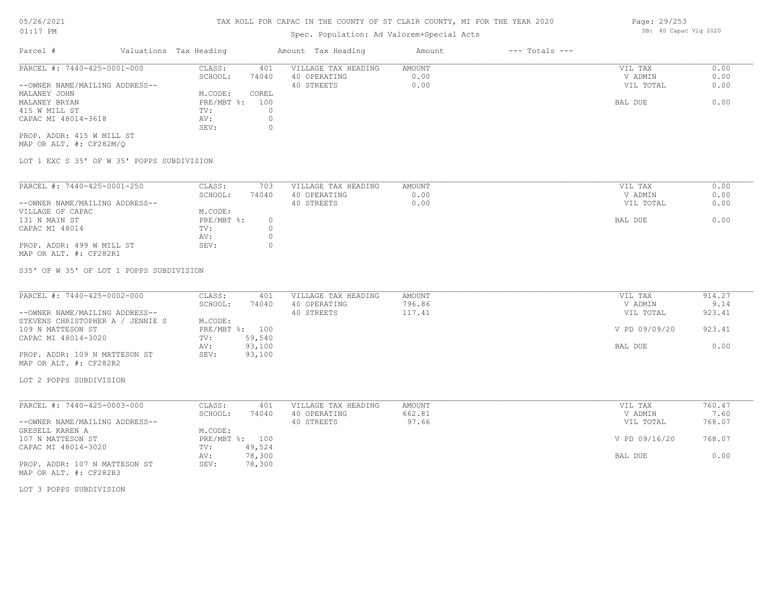## Spec. Population: Ad Valorem+Special Acts

| Parcel #                       | Valuations Tax Heading |       | Amount Tax Heading  | Amount | $---$ Totals $---$ |           |      |
|--------------------------------|------------------------|-------|---------------------|--------|--------------------|-----------|------|
| PARCEL #: 7440-425-0001-000    | CLASS:                 | 401   | VILLAGE TAX HEADING | AMOUNT |                    | VIL TAX   | 0.00 |
|                                | SCHOOL:                | 74040 | 40 OPERATING        | 0.00   |                    | V ADMIN   | 0.00 |
| --OWNER NAME/MAILING ADDRESS-- |                        |       | 40 STREETS          | 0.00   |                    | VIL TOTAL | 0.00 |
| MALANEY JOHN                   | M.CODE:                | COREL |                     |        |                    |           |      |
| MALANEY BRYAN                  | $PRE/MBT$ %:           | 100   |                     |        |                    | BAL DUE   | 0.00 |
| 415 W MILL ST                  | TV:                    |       |                     |        |                    |           |      |
| CAPAC MI 48014-3618            | AV:                    |       |                     |        |                    |           |      |
|                                | SEV:                   |       |                     |        |                    |           |      |
| PROP. ADDR: 415 W MILL ST      |                        |       |                     |        |                    |           |      |

MAP OR ALT. #: CF282M/Q

LOT 1 EXC S 35' OF W 35' POPPS SUBDIVISION

| PARCEL #: 7440-425-0001-250    | CLASS:     | 703   | VILLAGE TAX HEADING | AMOUNT | VIL TAX<br>0.00   |
|--------------------------------|------------|-------|---------------------|--------|-------------------|
|                                | SCHOOL:    | 74040 | 40 OPERATING        | 0.00   | 0.00<br>V ADMIN   |
| --OWNER NAME/MAILING ADDRESS-- |            |       | 40 STREETS          | 0.00   | 0.00<br>VIL TOTAL |
| VILLAGE OF CAPAC               | M.CODE:    |       |                     |        |                   |
| 131 N MAIN ST                  | PRE/MBT %: |       |                     |        | 0.00<br>BAL DUE   |
| CAPAC MI 48014                 | TV:        |       |                     |        |                   |
|                                | AV:        |       |                     |        |                   |
| PROP. ADDR: 499 W MILL ST      | SEV:       |       |                     |        |                   |
| MAP OR ALT. #: CF282R1         |            |       |                     |        |                   |

S35' OF W 35' OF LOT 1 POPPS SUBDIVISION

| PARCEL #: 7440-425-0002-000      | CLASS:     | 401    | VILLAGE TAX HEADING | AMOUNT | VIL TAX       | 914.27 |
|----------------------------------|------------|--------|---------------------|--------|---------------|--------|
|                                  | SCHOOL:    | 74040  | 40 OPERATING        | 796.86 | V ADMIN       | 9.14   |
| --OWNER NAME/MAILING ADDRESS--   |            |        | 40 STREETS          | 117.41 | VIL TOTAL     | 923.41 |
| STEVENS CHRISTOPHER A / JENNIE S | M.CODE:    |        |                     |        |               |        |
| 109 N MATTESON ST                | PRE/MBT %: | 100    |                     |        | V PD 09/09/20 | 923.41 |
| CAPAC MI 48014-3020              | TV:        | 59,540 |                     |        |               |        |
|                                  | AV:        | 93,100 |                     |        | BAL DUE       | 0.00   |
| PROP. ADDR: 109 N MATTESON ST    | SEV:       | 93,100 |                     |        |               |        |

MAP OR ALT. #: CF282R2

LOT 2 POPPS SUBDIVISION

| PARCEL #: 7440-425-0003-000    | CLASS:  | 401            | VILLAGE TAX HEADING | AMOUNT | VIL TAX       | 760.47 |
|--------------------------------|---------|----------------|---------------------|--------|---------------|--------|
|                                | SCHOOL: | 74040          | 40 OPERATING        | 662.81 | V ADMIN       | 7.60   |
| --OWNER NAME/MAILING ADDRESS-- |         |                | 40 STREETS          | 97.66  | VIL TOTAL     | 768.07 |
| GRESELL KAREN A                | M.CODE: |                |                     |        |               |        |
| 107 N MATTESON ST              |         | PRE/MBT %: 100 |                     |        | V PD 09/16/20 | 768.07 |
| CAPAC MI 48014-3020            | TV:     | 49,524         |                     |        |               |        |
|                                | AV:     | 78,300         |                     |        | BAL DUE       | 0.00   |
| PROP. ADDR: 107 N MATTESON ST  | SEV:    | 78,300         |                     |        |               |        |
| MAP OR ALT. #: CF282R3         |         |                |                     |        |               |        |

LOT 3 POPPS SUBDIVISION

Page: 29/253 DB: 40 Capac Vlg 2020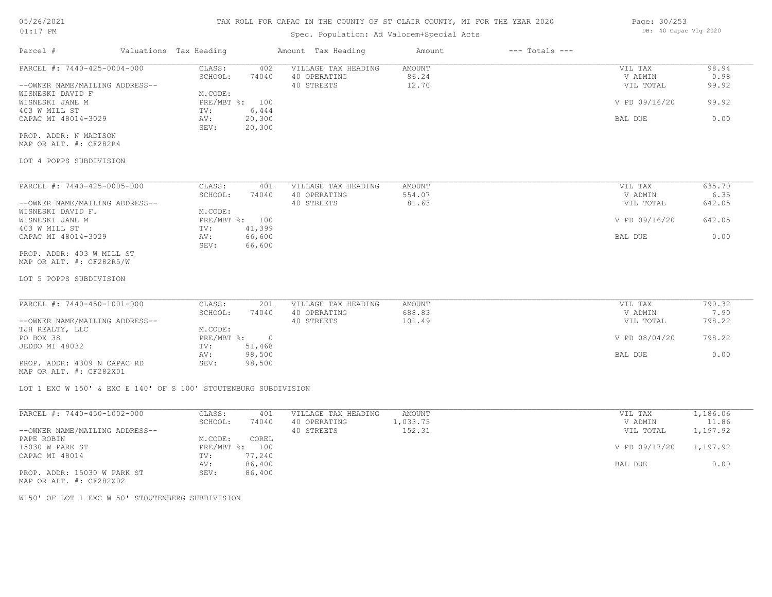### TAX ROLL FOR CAPAC IN THE COUNTY OF ST CLAIR COUNTY, MI FOR THE YEAR 2020

## Spec. Population: Ad Valorem+Special Acts

| Parcel #                       | Valuations Tax Heading |        | Amount Tax Heading  | Amount | $---$ Totals $---$ |                                                                                 |        |
|--------------------------------|------------------------|--------|---------------------|--------|--------------------|---------------------------------------------------------------------------------|--------|
| PARCEL #: 7440-425-0004-000    | CLASS:                 | 402    | VILLAGE TAX HEADING | AMOUNT |                    | VIL TAX                                                                         | 98.94  |
|                                | SCHOOL:                | 74040  | 40 OPERATING        | 86.24  |                    | V ADMIN                                                                         | 0.98   |
| --OWNER NAME/MAILING ADDRESS-- |                        |        | 40 STREETS          | 12.70  |                    | VIL TOTAL                                                                       | 99.92  |
| WISNESKI DAVID F               | M.CODE:                |        |                     |        |                    |                                                                                 |        |
| WISNESKI JANE M                | $PRE/MBT$ %:           | 100    |                     |        |                    | V PD 09/16/20                                                                   | 99.92  |
| 403 W MILL ST                  | TV:                    | 6,444  |                     |        |                    |                                                                                 |        |
| CAPAC MI 48014-3029            | AV:                    | 20,300 |                     |        |                    | BAL DUE                                                                         | 0.00   |
|                                | SEV:                   | 20,300 |                     |        |                    |                                                                                 |        |
| PROP. ADDR: N MADISON          |                        |        |                     |        |                    |                                                                                 |        |
| MAP OR ALT. #: CF282R4         |                        |        |                     |        |                    |                                                                                 |        |
| LOT 4 POPPS SUBDIVISION        |                        |        |                     |        |                    |                                                                                 |        |
|                                |                        |        |                     |        |                    |                                                                                 |        |
| PARCEL #: 7440-425-0005-000    | CLASS:                 | 401    | VILLAGE TAX HEADING | AMOUNT |                    | VIL TAX                                                                         | 635.70 |
|                                | SCHOOL:                | 74040  | 40 OPERATING        | 554.07 |                    | V ADMIN                                                                         | 6.35   |
| --OWNER NAME/MAILING ADDRESS-- |                        |        | 40 STREETS          | 81.63  |                    | VIL TOTAL                                                                       | 642.05 |
| WISNESKI DAVID F.              | M.CODE:                |        |                     |        |                    |                                                                                 |        |
|                                |                        |        |                     |        |                    | the contract of the contract of the contract of the contract of the contract of |        |

| WISNESKI DAVID F.         | M.CODE: |                |               |        |
|---------------------------|---------|----------------|---------------|--------|
| WISNESKI JANE M           |         | PRE/MBT %: 100 | V PD 09/16/20 | 642.05 |
| 403 W MILL ST             | TV:     | 41,399         |               |        |
| CAPAC MI 48014-3029       | AV:     | 66,600         | BAL DUE       |        |
|                           | SEV:    | 66,600         |               |        |
| PROP. ADDR: 403 W MILL ST |         |                |               |        |

MAP OR ALT. #: CF282R5/W

LOT 5 POPPS SUBDIVISION

| PARCEL #: 7440-450-1001-000    | CLASS:     | 201    | VILLAGE TAX HEADING | AMOUNT | VIL TAX       | 790.32 |
|--------------------------------|------------|--------|---------------------|--------|---------------|--------|
|                                | SCHOOL:    | 74040  | 40 OPERATING        | 688.83 | V ADMIN       | 7.90   |
| --OWNER NAME/MAILING ADDRESS-- |            |        | 40 STREETS          | 101.49 | VIL TOTAL     | 798.22 |
| TJH REALTY, LLC                | M.CODE:    |        |                     |        |               |        |
| PO BOX 38                      | PRE/MBT %: |        |                     |        | V PD 08/04/20 | 798.22 |
| JEDDO MI 48032                 | TV:        | 51,468 |                     |        |               |        |
|                                | AV:        | 98,500 |                     |        | BAL DUE       | 0.00   |
| PROP. ADDR: 4309 N CAPAC RD    | SEV:       | 98,500 |                     |        |               |        |

MAP OR ALT. #: CF282X01

LOT 1 EXC W 150' & EXC E 140' OF S 100' STOUTENBURG SUBDIVISION

| PARCEL #: 7440-450-1002-000    | CLASS:       | 401    | VILLAGE TAX HEADING | AMOUNT   | VIL TAX       | 1,186.06 |
|--------------------------------|--------------|--------|---------------------|----------|---------------|----------|
|                                | SCHOOL:      | 74040  | 40 OPERATING        | 1,033.75 | V ADMIN       | 11.86    |
| --OWNER NAME/MAILING ADDRESS-- |              |        | 40 STREETS          | 152.31   | VIL TOTAL     | 1,197.92 |
| PAPE ROBIN                     | M.CODE:      | COREL  |                     |          |               |          |
| 15030 W PARK ST                | $PRE/MBT$ %: | 100    |                     |          | V PD 09/17/20 | 1,197.92 |
| CAPAC MI 48014                 | TV:          | 77,240 |                     |          |               |          |
|                                | AV:          | 86,400 |                     |          | BAL DUE       | 0.00     |
| PROP. ADDR: 15030 W PARK ST    | SEV:         | 86,400 |                     |          |               |          |

MAP OR ALT. #: CF282X02

W150' OF LOT 1 EXC W 50' STOUTENBERG SUBDIVISION

Page: 30/253 DB: 40 Capac Vlg 2020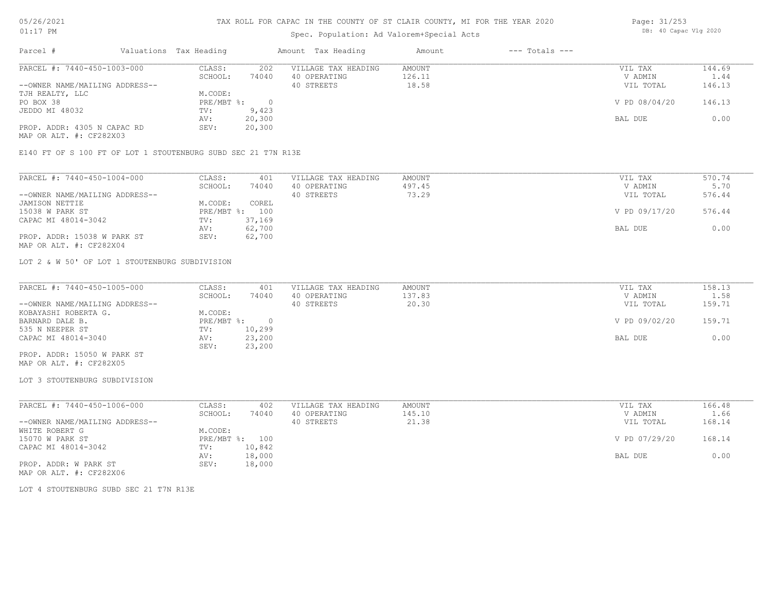## Spec. Population: Ad Valorem+Special Acts

| Page: 31/253 |                       |  |
|--------------|-----------------------|--|
|              | DB: 40 Capac Vlg 2020 |  |

| Parcel #                       | Valuations Tax Heading |        | Amount Tax Heading  | Amount | $---$ Totals $---$ |               |        |
|--------------------------------|------------------------|--------|---------------------|--------|--------------------|---------------|--------|
| PARCEL #: 7440-450-1003-000    | CLASS:                 | 202    | VILLAGE TAX HEADING | AMOUNT |                    | VIL TAX       | 144.69 |
|                                | SCHOOL:                | 74040  | 40 OPERATING        | 126.11 |                    | V ADMIN       | 1.44   |
| --OWNER NAME/MAILING ADDRESS-- |                        |        | 40 STREETS          | 18.58  |                    | VIL TOTAL     | 146.13 |
| TJH REALTY, LLC                | M.CODE:                |        |                     |        |                    |               |        |
| PO BOX 38                      | $PRE/MBT$ %:           |        |                     |        |                    | V PD 08/04/20 | 146.13 |
| JEDDO MI 48032                 | TV:                    | 9,423  |                     |        |                    |               |        |
|                                | AV:                    | 20,300 |                     |        |                    | BAL DUE       | 0.00   |
| PROP. ADDR: 4305 N CAPAC RD    | SEV:                   | 20,300 |                     |        |                    |               |        |
| MAP OR ALT. #: CF282X03        |                        |        |                     |        |                    |               |        |

E140 FT OF S 100 FT OF LOT 1 STOUTENBURG SUBD SEC 21 T7N R13E

| PARCEL #: 7440-450-1004-000    | CLASS:  | 401            | VILLAGE TAX HEADING | AMOUNT | VIL TAX       | 570.74 |
|--------------------------------|---------|----------------|---------------------|--------|---------------|--------|
|                                | SCHOOL: | 74040          | 40 OPERATING        | 497.45 | V ADMIN       | 5.70   |
| --OWNER NAME/MAILING ADDRESS-- |         |                | 40 STREETS          | 73.29  | VIL TOTAL     | 576.44 |
| JAMISON NETTIE                 | M.CODE: | COREL          |                     |        |               |        |
| 15038 W PARK ST                |         | PRE/MBT %: 100 |                     |        | V PD 09/17/20 | 576.44 |
| CAPAC MI 48014-3042            | TV:     | 37,169         |                     |        |               |        |
|                                | AV:     | 62,700         |                     |        | BAL DUE       | 0.00   |
| PROP. ADDR: 15038 W PARK ST    | SEV:    | 62,700         |                     |        |               |        |
| MAP OR ALT. #: CF282X04        |         |                |                     |        |               |        |

LOT 2 & W 50' OF LOT 1 STOUTENBURG SUBDIVISION

| PARCEL #: 7440-450-1005-000    | CLASS:     | 401    | VILLAGE TAX HEADING | AMOUNT | VIL TAX       | 158.13 |
|--------------------------------|------------|--------|---------------------|--------|---------------|--------|
|                                | SCHOOL:    | 74040  | 40 OPERATING        | 137.83 | V ADMIN       | 1.58   |
| --OWNER NAME/MAILING ADDRESS-- |            |        | 40 STREETS          | 20.30  | VIL TOTAL     | 159.71 |
| KOBAYASHI ROBERTA G.           | M.CODE:    |        |                     |        |               |        |
| BARNARD DALE B.                | PRE/MBT %: |        |                     |        | V PD 09/02/20 | 159.71 |
| 535 N NEEPER ST                | TV:        | 10,299 |                     |        |               |        |
| CAPAC MI 48014-3040            | AV:        | 23,200 |                     |        | BAL DUE       | 0.00   |
|                                | SEV:       | 23,200 |                     |        |               |        |
| PROP. ADDR: 15050 W PARK ST    |            |        |                     |        |               |        |

MAP OR ALT. #: CF282X05

#### LOT 3 STOUTENBURG SUBDIVISION

| PARCEL #: 7440-450-1006-000    | CLASS:  | 402            | VILLAGE TAX HEADING | AMOUNT | VIL TAX       | 166.48 |
|--------------------------------|---------|----------------|---------------------|--------|---------------|--------|
|                                | SCHOOL: | 74040          | 40 OPERATING        | 145.10 | V ADMIN       | 1.66   |
| --OWNER NAME/MAILING ADDRESS-- |         |                | 40 STREETS          | 21.38  | VIL TOTAL     | 168.14 |
| WHITE ROBERT G                 | M.CODE: |                |                     |        |               |        |
| 15070 W PARK ST                |         | PRE/MBT %: 100 |                     |        | V PD 07/29/20 | 168.14 |
| CAPAC MI 48014-3042            | TV:     | 10,842         |                     |        |               |        |
|                                | AV:     | 18,000         |                     |        | BAL DUE       | 0.00   |
| PROP. ADDR: W PARK ST          | SEV:    | 18,000         |                     |        |               |        |
| MAP OR ALT. #: CF282X06        |         |                |                     |        |               |        |

LOT 4 STOUTENBURG SUBD SEC 21 T7N R13E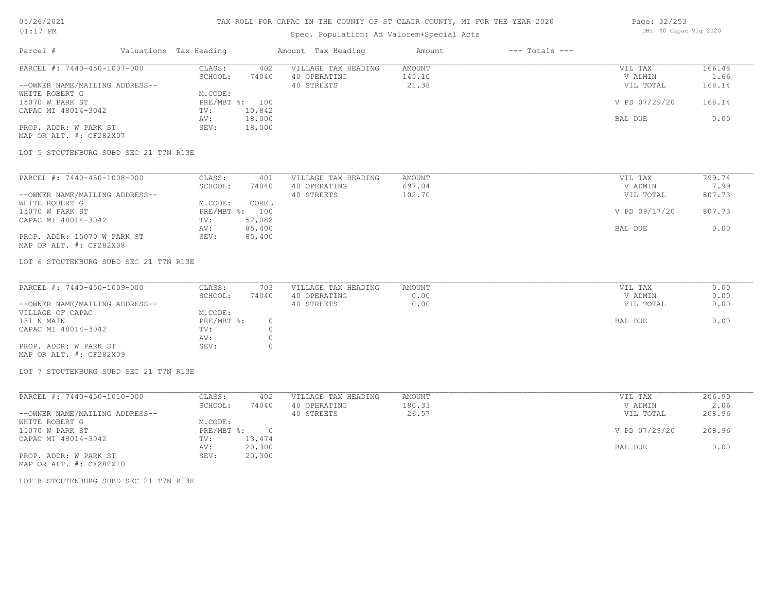### TAX ROLL FOR CAPAC IN THE COUNTY OF ST CLAIR COUNTY, MI FOR THE YEAR 2020

## Spec. Population: Ad Valorem+Special Acts

| Page: 32/253 |                       |  |
|--------------|-----------------------|--|
|              | DB: 40 Capac Vlg 2020 |  |

| Parcel #                       | Valuations Tax Heading |        | Amount Tax Heading  | Amount | $---$ Totals $---$ |               |        |
|--------------------------------|------------------------|--------|---------------------|--------|--------------------|---------------|--------|
| PARCEL #: 7440-450-1007-000    | CLASS:                 | 402    | VILLAGE TAX HEADING | AMOUNT |                    | VIL TAX       | 166.48 |
|                                | SCHOOL:                | 74040  | 40 OPERATING        | 145.10 |                    | V ADMIN       | 1.66   |
| --OWNER NAME/MAILING ADDRESS-- |                        |        | 40 STREETS          | 21.38  |                    | VIL TOTAL     | 168.14 |
| WHITE ROBERT G                 | M.CODE:                |        |                     |        |                    |               |        |
| 15070 W PARK ST                | PRE/MBT %: 100         |        |                     |        |                    | V PD 07/29/20 | 168.14 |
| CAPAC MI 48014-3042            | TV:                    | 10,842 |                     |        |                    |               |        |
|                                | AV:                    | 18,000 |                     |        |                    | BAL DUE       | 0.00   |
| PROP. ADDR: W PARK ST          | SEV:                   | 18,000 |                     |        |                    |               |        |
|                                |                        |        |                     |        |                    |               |        |

MAP OR ALT. #: CF282X07

LOT 5 STOUTENBURG SUBD SEC 21 T7N R13E

| PARCEL #: 7440-450-1008-000    | CLASS:  | 401            | VILLAGE TAX HEADING | AMOUNT | VIL TAX       | 799.74 |
|--------------------------------|---------|----------------|---------------------|--------|---------------|--------|
|                                | SCHOOL: | 74040          | 40 OPERATING        | 697.04 | V ADMIN       | 7.99   |
| --OWNER NAME/MAILING ADDRESS-- |         |                | 40 STREETS          | 102.70 | VIL TOTAL     | 807.73 |
| WHITE ROBERT G                 | M.CODE: | COREL          |                     |        |               |        |
| 15070 W PARK ST                |         | PRE/MBT %: 100 |                     |        | V PD 09/17/20 | 807.73 |
| CAPAC MI 48014-3042            | TV:     | 52,082         |                     |        |               |        |
|                                | AV:     | 85,400         |                     |        | BAL DUE       | 0.00   |
| PROP. ADDR: 15070 W PARK ST    | SEV:    | 85,400         |                     |        |               |        |
| MAP OR ALT. #: CF282X08        |         |                |                     |        |               |        |

LOT 6 STOUTENBURG SUBD SEC 21 T7N R13E

| PARCEL #: 7440-450-1009-000    | CLASS:     | 703   | VILLAGE TAX HEADING | AMOUNT | VIL TAX   | 0.00 |
|--------------------------------|------------|-------|---------------------|--------|-----------|------|
|                                | SCHOOL:    | 74040 | 40 OPERATING        | 0.00   | V ADMIN   | 0.00 |
| --OWNER NAME/MAILING ADDRESS-- |            |       | 40 STREETS          | 0.00   | VIL TOTAL | 0.00 |
| VILLAGE OF CAPAC               | M.CODE:    |       |                     |        |           |      |
| 131 N MAIN                     | PRE/MBT %: |       |                     |        | BAL DUE   | 0.00 |
| CAPAC MI 48014-3042            | TV:        |       |                     |        |           |      |
|                                | AV:        |       |                     |        |           |      |
| PROP. ADDR: W PARK ST          | SEV:       |       |                     |        |           |      |
| MAP OR ALT. #: CF282X09        |            |       |                     |        |           |      |

 $\_$  , and the state of the state of the state of the state of the state of the state of the state of the state of the state of the state of the state of the state of the state of the state of the state of the state of the

LOT 7 STOUTENBURG SUBD SEC 21 T7N R13E

| PARCEL #: 7440-450-1010-000    | CLASS:     | 402    | VILLAGE TAX HEADING | AMOUNT | VIL TAX       | 206.90 |
|--------------------------------|------------|--------|---------------------|--------|---------------|--------|
|                                | SCHOOL:    | 74040  | 40 OPERATING        | 180.33 | V ADMIN       | 2.06   |
| --OWNER NAME/MAILING ADDRESS-- |            |        | 40 STREETS          | 26.57  | VIL TOTAL     | 208.96 |
| WHITE ROBERT G                 | M.CODE:    |        |                     |        |               |        |
| 15070 W PARK ST                | PRE/MBT %: | $\cap$ |                     |        | V PD 07/29/20 | 208.96 |
| CAPAC MI 48014-3042            | TV:        | 13,474 |                     |        |               |        |
|                                | AV:        | 20,300 |                     |        | BAL DUE       | 0.00   |
| PROP. ADDR: W PARK ST          | SEV:       | 20,300 |                     |        |               |        |

MAP OR ALT. #: CF282X10

LOT 8 STOUTENBURG SUBD SEC 21 T7N R13E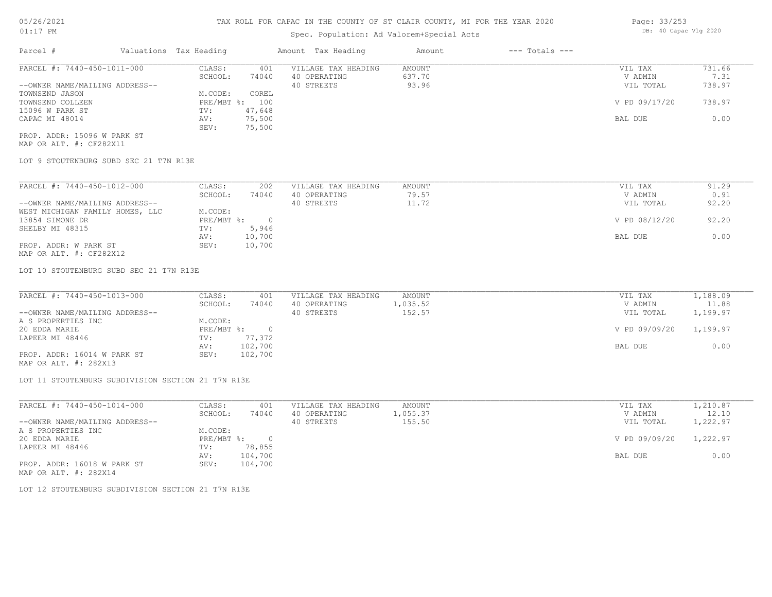### Spec. Population: Ad Valorem+Special Acts

| Parcel #                       | Valuations Tax Heading |        | Amount Tax Heading  | Amount | $---$ Totals $---$ |               |        |
|--------------------------------|------------------------|--------|---------------------|--------|--------------------|---------------|--------|
| PARCEL #: 7440-450-1011-000    | CLASS:                 | 401    | VILLAGE TAX HEADING | AMOUNT |                    | VIL TAX       | 731.66 |
|                                | SCHOOL:                | 74040  | 40 OPERATING        | 637.70 |                    | V ADMIN       | 7.31   |
| --OWNER NAME/MAILING ADDRESS-- |                        |        | 40 STREETS          | 93.96  |                    | VIL TOTAL     | 738.97 |
| TOWNSEND JASON                 | M.CODE:                | COREL  |                     |        |                    |               |        |
| TOWNSEND COLLEEN               | PRE/MBT %: 100         |        |                     |        |                    | V PD 09/17/20 | 738.97 |
| 15096 W PARK ST                | TV:                    | 47,648 |                     |        |                    |               |        |
| CAPAC MI 48014                 | AV:                    | 75,500 |                     |        |                    | BAL DUE       | 0.00   |
|                                | SEV:                   | 75,500 |                     |        |                    |               |        |
| PROP. ADDR: 15096 W PARK ST    |                        |        |                     |        |                    |               |        |

MAP OR ALT. #: CF282X11

LOT 9 STOUTENBURG SUBD SEC 21 T7N R13E

| PARCEL #: 7440-450-1012-000     | CLASS:     | 202      | VILLAGE TAX HEADING | AMOUNT | VIL TAX       | 91.29 |
|---------------------------------|------------|----------|---------------------|--------|---------------|-------|
|                                 | SCHOOL:    | 74040    | 40 OPERATING        | 79.57  | V ADMIN       | 0.91  |
| --OWNER NAME/MAILING ADDRESS--  |            |          | 40 STREETS          | 11.72  | VIL TOTAL     | 92.20 |
| WEST MICHIGAN FAMILY HOMES, LLC | M.CODE:    |          |                     |        |               |       |
| 13854 SIMONE DR                 | PRE/MBT %: | $\Omega$ |                     |        | V PD 08/12/20 | 92.20 |
| SHELBY MI 48315                 | TV:        | 5,946    |                     |        |               |       |
|                                 | AV:        | 10,700   |                     |        | BAL DUE       | 0.00  |
| PROP. ADDR: W PARK ST           | SEV:       | 10,700   |                     |        |               |       |

MAP OR ALT. #: CF282X12

LOT 10 STOUTENBURG SUBD SEC 21 T7N R13E

| PARCEL #: 7440-450-1013-000    | CLASS:       | 401     | VILLAGE TAX HEADING | AMOUNT   | VIL TAX       | 1,188.09 |
|--------------------------------|--------------|---------|---------------------|----------|---------------|----------|
|                                | SCHOOL:      | 74040   | 40 OPERATING        | 1,035.52 | V ADMIN       | 11.88    |
| --OWNER NAME/MAILING ADDRESS-- |              |         | 40 STREETS          | 152.57   | VIL TOTAL     | 1,199.97 |
| A S PROPERTIES INC             | M.CODE:      |         |                     |          |               |          |
| 20 EDDA MARIE                  | $PRE/MBT$ %: |         |                     |          | V PD 09/09/20 | 1,199.97 |
| LAPEER MI 48446                | TV:          | 77,372  |                     |          |               |          |
|                                | AV:          | 102,700 |                     |          | BAL DUE       | 0.00     |
| PROP. ADDR: 16014 W PARK ST    | SEV:         | 102,700 |                     |          |               |          |
|                                |              |         |                     |          |               |          |

MAP OR ALT. #: 282X13

LOT 11 STOUTENBURG SUBDIVISION SECTION 21 T7N R13E

| PARCEL #: 7440-450-1014-000    | CLASS:     | 401     | VILLAGE TAX HEADING | AMOUNT   | VIL TAX       | 1,210.87 |
|--------------------------------|------------|---------|---------------------|----------|---------------|----------|
|                                | SCHOOL:    | 74040   | 40 OPERATING        | 1,055.37 | V ADMIN       | 12.10    |
| --OWNER NAME/MAILING ADDRESS-- |            |         | 40 STREETS          | 155.50   | VIL TOTAL     | 1,222.97 |
| A S PROPERTIES INC             | M.CODE:    |         |                     |          |               |          |
| 20 EDDA MARIE                  | PRE/MBT %: |         |                     |          | V PD 09/09/20 | 1,222.97 |
| LAPEER MI 48446                | TV:        | 78,855  |                     |          |               |          |
|                                | AV:        | 104,700 |                     |          | BAL DUE       | 0.00     |
| PROP. ADDR: 16018 W PARK ST    | SEV:       | 104,700 |                     |          |               |          |
| MAP OR ALT. #: 282X14          |            |         |                     |          |               |          |

LOT 12 STOUTENBURG SUBDIVISION SECTION 21 T7N R13E

Page: 33/253 DB: 40 Capac Vlg 2020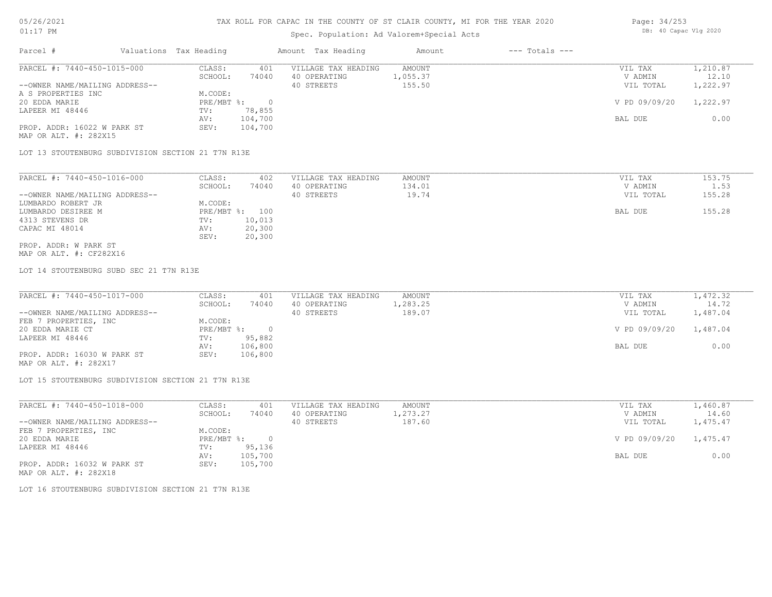#### TAX ROLL FOR CAPAC IN THE COUNTY OF ST CLAIR COUNTY, MI FOR THE YEAR 2020

### Spec. Population: Ad Valorem+Special Acts

| Page: 34/253 |                       |  |
|--------------|-----------------------|--|
|              | DB: 40 Capac Vlg 2020 |  |

| Parcel #                       | Valuations Tax Heading |         | Amount Tax Heading  | Amount   | $---$ Totals $---$ |               |          |
|--------------------------------|------------------------|---------|---------------------|----------|--------------------|---------------|----------|
| PARCEL #: 7440-450-1015-000    | CLASS:                 | 401     | VILLAGE TAX HEADING | AMOUNT   |                    | VIL TAX       | 1,210.87 |
|                                | SCHOOL:                | 74040   | 40 OPERATING        | 1,055.37 |                    | V ADMIN       | 12.10    |
| --OWNER NAME/MAILING ADDRESS-- |                        |         | 40 STREETS          | 155.50   |                    | VIL TOTAL     | 1,222.97 |
| A S PROPERTIES INC             | M.CODE:                |         |                     |          |                    |               |          |
| 20 EDDA MARIE                  | $PRE/MBT$ %:           |         |                     |          |                    | V PD 09/09/20 | 1,222.97 |
| LAPEER MI 48446                | TV:                    | 78,855  |                     |          |                    |               |          |
|                                | AV:                    | 104,700 |                     |          |                    | BAL DUE       | 0.00     |
| PROP. ADDR: 16022 W PARK ST    | SEV:                   | 104,700 |                     |          |                    |               |          |
| MAP OR ALT. #: 282X15          |                        |         |                     |          |                    |               |          |

LOT 13 STOUTENBURG SUBDIVISION SECTION 21 T7N R13E

| PARCEL #: 7440-450-1016-000    | CLASS:       | 402    | VILLAGE TAX HEADING | AMOUNT | VIL TAX   | 153.75 |
|--------------------------------|--------------|--------|---------------------|--------|-----------|--------|
|                                | SCHOOL:      | 74040  | 40 OPERATING        | 134.01 | V ADMIN   | 1.53   |
| --OWNER NAME/MAILING ADDRESS-- |              |        | 40 STREETS          | 19.74  | VIL TOTAL | 155.28 |
| LUMBARDO ROBERT JR             | M.CODE:      |        |                     |        |           |        |
| LUMBARDO DESIREE M             | $PRE/MBT$ %: | 100    |                     |        | BAL DUE   | 155.28 |
| 4313 STEVENS DR                | TV:          | 10,013 |                     |        |           |        |
| CAPAC MI 48014                 | AV:          | 20,300 |                     |        |           |        |
|                                | SEV:         | 20,300 |                     |        |           |        |
| PROP. ADDR: W PARK ST          |              |        |                     |        |           |        |

MAP OR ALT. #: CF282X16

LOT 14 STOUTENBURG SUBD SEC 21 T7N R13E

| PARCEL #: 7440-450-1017-000    | CLASS:       | 401     | VILLAGE TAX HEADING | AMOUNT   | VIL TAX       | 1,472.32 |
|--------------------------------|--------------|---------|---------------------|----------|---------------|----------|
|                                | SCHOOL:      | 74040   | 40 OPERATING        | 1,283.25 | V ADMIN       | 14.72    |
| --OWNER NAME/MAILING ADDRESS-- |              |         | 40 STREETS          | 189.07   | VIL TOTAL     | 1,487.04 |
| FEB 7 PROPERTIES, INC          | M.CODE:      |         |                     |          |               |          |
| 20 EDDA MARIE CT               | $PRE/MBT$ %: |         |                     |          | V PD 09/09/20 | 1,487.04 |
| LAPEER MI 48446                | TV:          | 95,882  |                     |          |               |          |
|                                | AV:          | 106,800 |                     |          | BAL DUE       | 0.00     |
| PROP. ADDR: 16030 W PARK ST    | SEV:         | 106,800 |                     |          |               |          |
| MAP OR ALT. #: 282X17          |              |         |                     |          |               |          |

LOT 15 STOUTENBURG SUBDIVISION SECTION 21 T7N R13E

| PARCEL #: 7440-450-1018-000    | CLASS:       | 401     | VILLAGE TAX HEADING | AMOUNT   | VIL TAX       | 1,460.87 |
|--------------------------------|--------------|---------|---------------------|----------|---------------|----------|
|                                | SCHOOL:      | 74040   | 40 OPERATING        | 1,273.27 | V ADMIN       | 14.60    |
| --OWNER NAME/MAILING ADDRESS-- |              |         | 40 STREETS          | 187.60   | VIL TOTAL     | 1,475.47 |
| FEB 7 PROPERTIES, INC          | M.CODE:      |         |                     |          |               |          |
| 20 EDDA MARIE                  | $PRE/MBT$ %: |         |                     |          | V PD 09/09/20 | 1,475.47 |
| LAPEER MI 48446                | TV:          | 95,136  |                     |          |               |          |
|                                | AV:          | 105,700 |                     |          | BAL DUE       | 0.00     |
| PROP. ADDR: 16032 W PARK ST    | SEV:         | 105,700 |                     |          |               |          |
| MAP OR ALT. #: 282X18          |              |         |                     |          |               |          |

LOT 16 STOUTENBURG SUBDIVISION SECTION 21 T7N R13E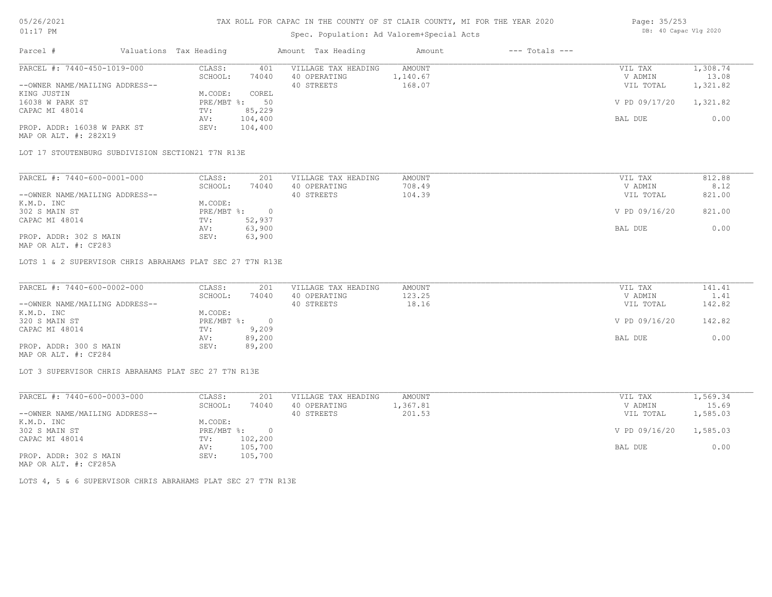## Spec. Population: Ad Valorem+Special Acts

| Page: 35/253 |                       |  |
|--------------|-----------------------|--|
|              | DB: 40 Capac Vlg 2020 |  |

| Parcel #                       | Valuations Tax Heading |         | Amount Tax Heading  | Amount   | $---$ Totals $---$ |               |          |
|--------------------------------|------------------------|---------|---------------------|----------|--------------------|---------------|----------|
| PARCEL #: 7440-450-1019-000    | CLASS:                 | 401     | VILLAGE TAX HEADING | AMOUNT   |                    | VIL TAX       | 1,308.74 |
|                                | SCHOOL:                | 74040   | 40 OPERATING        | 1,140.67 |                    | V ADMIN       | 13.08    |
| --OWNER NAME/MAILING ADDRESS-- |                        |         | 40 STREETS          | 168.07   |                    | VIL TOTAL     | 1,321.82 |
| KING JUSTIN                    | M.CODE:                | COREL   |                     |          |                    |               |          |
| 16038 W PARK ST                | $PRE/MBT$ %:           | 50      |                     |          |                    | V PD 09/17/20 | 1,321.82 |
| CAPAC MI 48014                 | TV:                    | 85,229  |                     |          |                    |               |          |
|                                | AV:                    | 104,400 |                     |          |                    | BAL DUE       | 0.00     |
| PROP. ADDR: 16038 W PARK ST    | SEV:                   | 104,400 |                     |          |                    |               |          |
| MAP OR ALT. #: 282X19          |                        |         |                     |          |                    |               |          |

LOT 17 STOUTENBURG SUBDIVISION SECTION21 T7N R13E

| CLASS:  | 201    | VILLAGE TAX HEADING | AMOUNT | VIL TAX       | 812.88 |
|---------|--------|---------------------|--------|---------------|--------|
| SCHOOL: | 74040  | 40 OPERATING        | 708.49 | V ADMIN       | 8.12   |
|         |        | 40 STREETS          | 104.39 | VIL TOTAL     | 821.00 |
| M.CODE: |        |                     |        |               |        |
|         |        |                     |        | V PD 09/16/20 | 821.00 |
| TV:     | 52,937 |                     |        |               |        |
| AV:     | 63,900 |                     |        | BAL DUE       | 0.00   |
| SEV:    | 63,900 |                     |        |               |        |
|         |        | PRE/MBT %:          |        |               |        |

MAP OR ALT. #: CF283

LOTS 1 & 2 SUPERVISOR CHRIS ABRAHAMS PLAT SEC 27 T7N R13E

| PARCEL #: 7440-600-0002-000    | CLASS:       | 201    | VILLAGE TAX HEADING | AMOUNT | VIL TAX       | 141.41 |
|--------------------------------|--------------|--------|---------------------|--------|---------------|--------|
|                                | SCHOOL:      | 74040  | 40 OPERATING        | 123.25 | V ADMIN       | 1.41   |
| --OWNER NAME/MAILING ADDRESS-- |              |        | 40 STREETS          | 18.16  | VIL TOTAL     | 142.82 |
| K.M.D. INC                     | M.CODE:      |        |                     |        |               |        |
| 320 S MAIN ST                  | $PRE/MBT$ %: |        |                     |        | V PD 09/16/20 | 142.82 |
| CAPAC MI 48014                 | TV:          | 9,209  |                     |        |               |        |
|                                | AV:          | 89,200 |                     |        | BAL DUE       | 0.00   |
| PROP. ADDR: 300 S MAIN         | SEV:         | 89,200 |                     |        |               |        |
| MAP OR ALT. #: CF284           |              |        |                     |        |               |        |

LOT 3 SUPERVISOR CHRIS ABRAHAMS PLAT SEC 27 T7N R13E

| PARCEL #: 7440-600-0003-000                           | CLASS:     | 201     | VILLAGE TAX HEADING | AMOUNT   | VIL TAX       | 1,569.34 |
|-------------------------------------------------------|------------|---------|---------------------|----------|---------------|----------|
|                                                       | SCHOOL:    | 74040   | 40 OPERATING        | l,367.81 | V ADMIN       | 15.69    |
| --OWNER NAME/MAILING ADDRESS--                        |            |         | 40 STREETS          | 201.53   | VIL TOTAL     | 1,585.03 |
| K.M.D. INC                                            | M.CODE:    |         |                     |          |               |          |
| 302 S MAIN ST                                         | PRE/MBT %: | $\cap$  |                     |          | V PD 09/16/20 | 1,585.03 |
| CAPAC MI 48014                                        | TV:        | 102,200 |                     |          |               |          |
|                                                       | AV:        | 105,700 |                     |          | BAL DUE       | 0.00     |
| PROP. ADDR: 302 S MAIN                                | SEV:       | 105,700 |                     |          |               |          |
| $\cdots$ $\cdots$ $\cdots$ $\cdots$ $\cdots$ $\cdots$ |            |         |                     |          |               |          |

MAP OR ALT. #: CF285A

LOTS 4, 5 & 6 SUPERVISOR CHRIS ABRAHAMS PLAT SEC 27 T7N R13E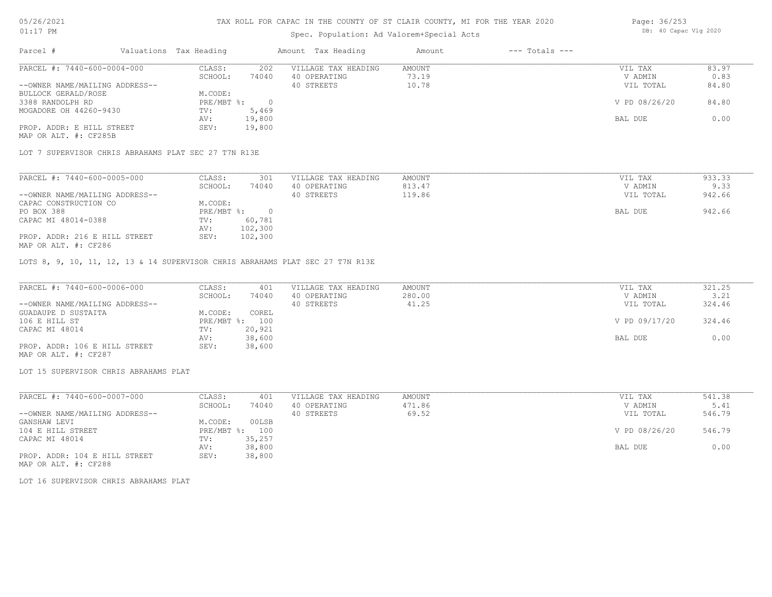#### TAX ROLL FOR CAPAC IN THE COUNTY OF ST CLAIR COUNTY, MI FOR THE YEAR 2020

### Spec. Population: Ad Valorem+Special Acts

| Parcel #                       | Valuations Tax Heading |        | Amount Tax Heading  | Amount | $---$ Totals $---$ |               |       |
|--------------------------------|------------------------|--------|---------------------|--------|--------------------|---------------|-------|
| PARCEL #: 7440-600-0004-000    | CLASS:                 | 202    | VILLAGE TAX HEADING | AMOUNT |                    | VIL TAX       | 83.97 |
|                                | SCHOOL:                | 74040  | 40 OPERATING        | 73.19  |                    | V ADMIN       | 0.83  |
| --OWNER NAME/MAILING ADDRESS-- |                        |        | 40 STREETS          | 10.78  |                    | VIL TOTAL     | 84.80 |
| BULLOCK GERALD/ROSE            | M.CODE:                |        |                     |        |                    |               |       |
| 3388 RANDOLPH RD               | PRE/MBT %:             |        |                     |        |                    | V PD 08/26/20 | 84.80 |
| MOGADORE OH 44260-9430         | TV:                    | 5,469  |                     |        |                    |               |       |
|                                | AV:                    | 19,800 |                     |        |                    | BAL DUE       | 0.00  |
| PROP. ADDR: E HILL STREET      | SEV:                   | 19,800 |                     |        |                    |               |       |
| MAP OR ALT. #: CF285B          |                        |        |                     |        |                    |               |       |

LOT 7 SUPERVISOR CHRIS ABRAHAMS PLAT SEC 27 T7N R13E

| PARCEL #: 7440-600-0005-000    | CLASS:     | 301     | VILLAGE TAX HEADING | AMOUNT | VIL TAX   | 933.33 |
|--------------------------------|------------|---------|---------------------|--------|-----------|--------|
|                                | SCHOOL:    | 74040   | 40 OPERATING        | 813.47 | V ADMIN   | 9.33   |
| --OWNER NAME/MAILING ADDRESS-- |            |         | 40 STREETS          | 119.86 | VIL TOTAL | 942.66 |
| CAPAC CONSTRUCTION CO          | M.CODE:    |         |                     |        |           |        |
| PO BOX 388                     | PRE/MBT %: |         |                     |        | BAL DUE   | 942.66 |
| CAPAC MI 48014-0388            | TV:        | 60,781  |                     |        |           |        |
|                                | AV:        | 102,300 |                     |        |           |        |
| PROP. ADDR: 216 E HILL STREET  | SEV:       | 102,300 |                     |        |           |        |
| MAP OR ALT. #: CF286           |            |         |                     |        |           |        |

LOTS 8, 9, 10, 11, 12, 13 & 14 SUPERVISOR CHRIS ABRAHAMS PLAT SEC 27 T7N R13E

| PARCEL #: 7440-600-0006-000    | CLASS:  | 401            | VILLAGE TAX HEADING | AMOUNT | VIL TAX       | 321.25 |
|--------------------------------|---------|----------------|---------------------|--------|---------------|--------|
|                                | SCHOOL: | 74040          | 40 OPERATING        | 280.00 | V ADMIN       | 3.21   |
| --OWNER NAME/MAILING ADDRESS-- |         |                | 40 STREETS          | 41.25  | VIL TOTAL     | 324.46 |
| GUADAUPE D SUSTAITA            | M.CODE: | COREL          |                     |        |               |        |
| 106 E HILL ST                  |         | PRE/MBT %: 100 |                     |        | V PD 09/17/20 | 324.46 |
| CAPAC MI 48014                 | TV:     | 20,921         |                     |        |               |        |
|                                | AV:     | 38,600         |                     |        | BAL DUE       | 0.00   |
| PROP. ADDR: 106 E HILL STREET  | SEV:    | 38,600         |                     |        |               |        |
| MAP OR ALT. #: CF287           |         |                |                     |        |               |        |

LOT 15 SUPERVISOR CHRIS ABRAHAMS PLAT

| PARCEL #: 7440-600-0007-000    | CLASS:     | 401    | VILLAGE TAX HEADING | AMOUNT | VIL TAX       | 541.38 |
|--------------------------------|------------|--------|---------------------|--------|---------------|--------|
|                                | SCHOOL:    | 74040  | 40 OPERATING        | 471.86 | V ADMIN       | 5.41   |
| --OWNER NAME/MAILING ADDRESS-- |            |        | 40 STREETS          | 69.52  | VIL TOTAL     | 546.79 |
| GANSHAW LEVI                   | M.CODE:    | 00LSB  |                     |        |               |        |
| 104 E HILL STREET              | PRE/MBT %: | 100    |                     |        | V PD 08/26/20 | 546.79 |
| CAPAC MI 48014                 | TV:        | 35,257 |                     |        |               |        |
|                                | AV:        | 38,800 |                     |        | BAL DUE       | 0.00   |
| PROP. ADDR: 104 E HILL STREET  | SEV:       | 38,800 |                     |        |               |        |

MAP OR ALT. #: CF288

LOT 16 SUPERVISOR CHRIS ABRAHAMS PLAT

Page: 36/253 DB: 40 Capac Vlg 2020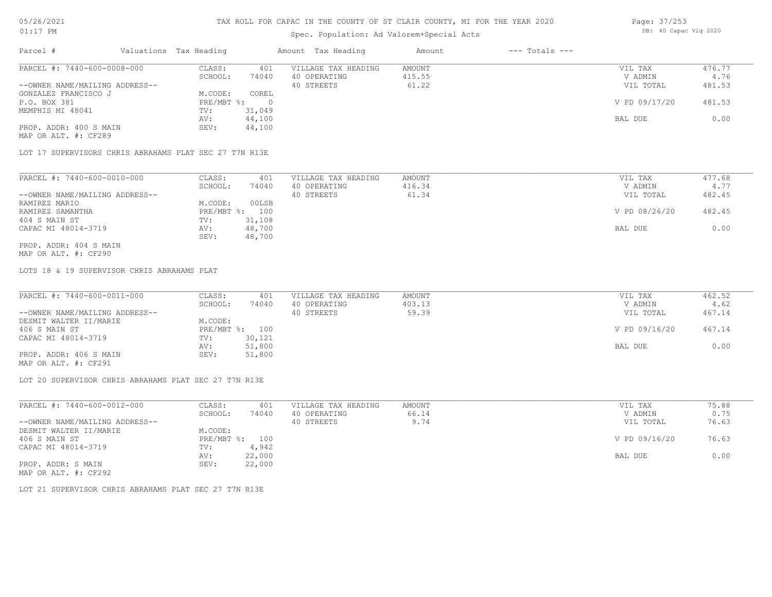## Spec. Population: Ad Valorem+Special Acts

| Page: 37/253 |                       |  |
|--------------|-----------------------|--|
|              | DB: 40 Capac Vlg 2020 |  |

| Parcel #                       | Valuations Tax Heading |        | Amount Tax Heading  | Amount | $---$ Totals $---$ |               |        |
|--------------------------------|------------------------|--------|---------------------|--------|--------------------|---------------|--------|
| PARCEL #: 7440-600-0008-000    | CLASS:                 | 401    | VILLAGE TAX HEADING | AMOUNT |                    | VIL TAX       | 476.77 |
|                                | SCHOOL:                | 74040  | 40 OPERATING        | 415.55 |                    | V ADMIN       | 4.76   |
| --OWNER NAME/MAILING ADDRESS-- |                        |        | 40 STREETS          | 61.22  |                    | VIL TOTAL     | 481.53 |
| GONZALEZ FRANCISCO J           | M.CODE:                | COREL  |                     |        |                    |               |        |
| P.O. BOX 381                   | $PRE/MBT$ %:           |        |                     |        |                    | V PD 09/17/20 | 481.53 |
| MEMPHIS MI 48041               | TV:                    | 31,049 |                     |        |                    |               |        |
|                                | AV:                    | 44,100 |                     |        |                    | BAL DUE       | 0.00   |
| PROP. ADDR: 400 S MAIN         | SEV:                   | 44,100 |                     |        |                    |               |        |
| MAP OR ALT. #: CF289           |                        |        |                     |        |                    |               |        |

LOT 17 SUPERVISORS CHRIS ABRAHAMS PLAT SEC 27 T7N R13E

| PARCEL #: 7440-600-0010-000    | CLASS:     | 401    | VILLAGE TAX HEADING | AMOUNT | VIL TAX       | 477.68 |
|--------------------------------|------------|--------|---------------------|--------|---------------|--------|
|                                | SCHOOL:    | 74040  | 40 OPERATING        | 416.34 | V ADMIN       | 4.77   |
| --OWNER NAME/MAILING ADDRESS-- |            |        | 40 STREETS          | 61.34  | VIL TOTAL     | 482.45 |
| RAMIREZ MARIO                  | M.CODE:    | 00LSB  |                     |        |               |        |
| RAMIREZ SAMANTHA               | PRE/MBT %: | 100    |                     |        | V PD 08/26/20 | 482.45 |
| 404 S MAIN ST                  | TV:        | 31,108 |                     |        |               |        |
| CAPAC MI 48014-3719            | AV:        | 48,700 |                     |        | BAL DUE       | 0.00   |
|                                | SEV:       | 48,700 |                     |        |               |        |
| PROP. ADDR: 404 S MAIN         |            |        |                     |        |               |        |

MAP OR ALT. #: CF290

LOTS 18 & 19 SUPERVISOR CHRIS ABRAHAMS PLAT

| PARCEL #: 7440-600-0011-000    | CLASS:  | 401            | VILLAGE TAX HEADING | AMOUNT | VIL TAX       | 462.52 |
|--------------------------------|---------|----------------|---------------------|--------|---------------|--------|
|                                | SCHOOL: | 74040          | 40 OPERATING        | 403.13 | V ADMIN       | 4.62   |
| --OWNER NAME/MAILING ADDRESS-- |         |                | 40 STREETS          | 59.39  | VIL TOTAL     | 467.14 |
| DESMIT WALTER II/MARIE         | M.CODE: |                |                     |        |               |        |
| 406 S MAIN ST                  |         | PRE/MBT %: 100 |                     |        | V PD 09/16/20 | 467.14 |
| CAPAC MI 48014-3719            | TV:     | 30,121         |                     |        |               |        |
|                                | AV:     | 51,800         |                     |        | BAL DUE       | 0.00   |
| PROP. ADDR: 406 S MAIN         | SEV:    | 51,800         |                     |        |               |        |
|                                |         |                |                     |        |               |        |

MAP OR ALT. #: CF291

LOT 20 SUPERVISOR CHRIS ABRAHAMS PLAT SEC 27 T7N R13E

| PARCEL #: 7440-600-0012-000    | CLASS:  | 401            | VILLAGE TAX HEADING | AMOUNT | VIL TAX       | 75.88 |
|--------------------------------|---------|----------------|---------------------|--------|---------------|-------|
|                                | SCHOOL: | 74040          | 40 OPERATING        | 66.14  | V ADMIN       | 0.75  |
| --OWNER NAME/MAILING ADDRESS-- |         |                | 40 STREETS          | 9.74   | VIL TOTAL     | 76.63 |
| DESMIT WALTER II/MARIE         | M.CODE: |                |                     |        |               |       |
| 406 S MAIN ST                  |         | PRE/MBT %: 100 |                     |        | V PD 09/16/20 | 76.63 |
| CAPAC MI 48014-3719            | TV:     | 4,942          |                     |        |               |       |
|                                | AV:     | 22,000         |                     |        | BAL DUE       | 0.00  |
| PROP. ADDR: S MAIN             | SEV:    | 22,000         |                     |        |               |       |
| MAP OR ALT. #: CF292           |         |                |                     |        |               |       |

LOT 21 SUPERVISOR CHRIS ABRAHAMS PLAT SEC 27 T7N R13E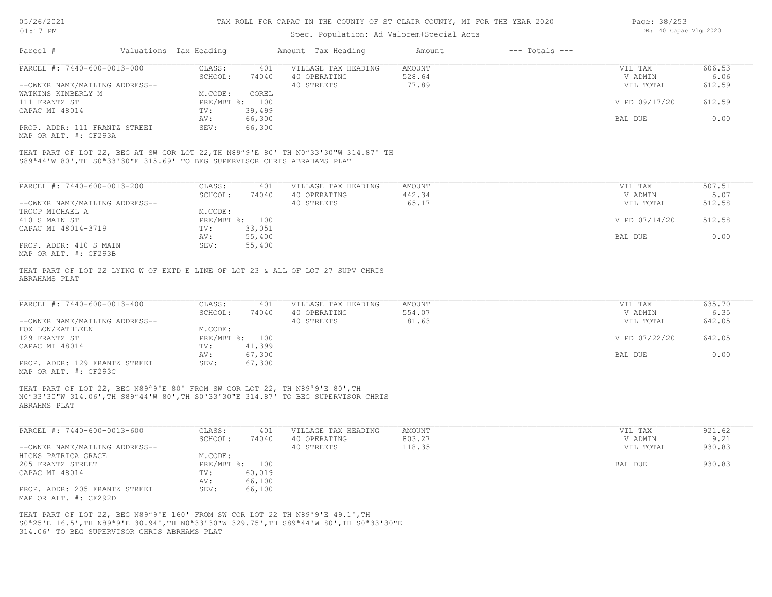## Spec. Population: Ad Valorem+Special Acts

| Page: 38/253 |                       |  |
|--------------|-----------------------|--|
|              | DB: 40 Capac Vlg 2020 |  |

| Parcel #                                                                                            | Valuations Tax Heading |                | Amount Tax Heading                                                                                           | Amount | $---$ Totals $---$ |               |        |
|-----------------------------------------------------------------------------------------------------|------------------------|----------------|--------------------------------------------------------------------------------------------------------------|--------|--------------------|---------------|--------|
| PARCEL #: 7440-600-0013-000                                                                         | CLASS:                 | 401            | VILLAGE TAX HEADING                                                                                          | AMOUNT |                    | VIL TAX       | 606.53 |
|                                                                                                     | SCHOOL:                | 74040          | 40 OPERATING                                                                                                 | 528.64 |                    | V ADMIN       | 6.06   |
| --OWNER NAME/MAILING ADDRESS--                                                                      |                        |                | 40 STREETS                                                                                                   | 77.89  |                    | VIL TOTAL     | 612.59 |
| WATKINS KIMBERLY M                                                                                  | M.CODE:                | COREL          |                                                                                                              |        |                    |               |        |
| 111 FRANTZ ST                                                                                       | $PRE/MBT$ $\div$       | 100            |                                                                                                              |        |                    | V PD 09/17/20 | 612.59 |
| CAPAC MI 48014                                                                                      | TV:                    | 39,499         |                                                                                                              |        |                    |               |        |
|                                                                                                     | AV:                    | 66,300         |                                                                                                              |        |                    | BAL DUE       | 0.00   |
| PROP. ADDR: 111 FRANTZ STREET<br>MAP OR ALT. #: CF293A                                              | SEV:                   | 66,300         |                                                                                                              |        |                    |               |        |
| S89 <sup>ª</sup> 44'W 80', TH S0 <sup>ª</sup> 33'30"E 315.69' TO BEG SUPERVISOR CHRIS ABRAHAMS PLAT |                        |                | THAT PART OF LOT 22, BEG AT SW COR LOT 22, TH N89 <sup>a</sup> 9'E 80' TH N0 <sup>a</sup> 33'30"W 314.87' TH |        |                    |               |        |
|                                                                                                     |                        |                |                                                                                                              |        |                    |               |        |
| PARCEL #: 7440-600-0013-200                                                                         | CLASS:                 | 401            | VILLAGE TAX HEADING                                                                                          | AMOUNT |                    | VIL TAX       | 507.51 |
|                                                                                                     | SCHOOL:                | 74040          | 40 OPERATING                                                                                                 | 442.34 |                    | V ADMIN       | 5.07   |
| --OWNER NAME/MAILING ADDRESS--                                                                      |                        |                | 40 STREETS                                                                                                   | 65.17  |                    | VIL TOTAL     | 512.58 |
| TROOP MICHAEL A                                                                                     | M.CODE:                |                |                                                                                                              |        |                    |               |        |
| 410 S MAIN ST                                                                                       |                        | PRE/MBT %: 100 |                                                                                                              |        |                    | V PD 07/14/20 | 512.58 |
| CAPAC MI 48014-3719                                                                                 | TV:                    | 33,051         |                                                                                                              |        |                    |               |        |
|                                                                                                     | AV:                    | 55,400         |                                                                                                              |        |                    | BAL DUE       | 0.00   |

MAP OR ALT. #: CF293B PROP. ADDR: 410 S MAIN SEV: 55,400

ABRAHAMS PLAT THAT PART OF LOT 22 LYING W OF EXTD E LINE OF LOT 23 & ALL OF LOT 27 SUPV CHRIS

|                                                 | VILLAGE TAX HEADING<br>401 | AMOUNT | VIL TAX       | 635.70 |
|-------------------------------------------------|----------------------------|--------|---------------|--------|
| 74040<br>SCHOOL:                                | 40 OPERATING               | 554.07 | V ADMIN       | 6.35   |
| --OWNER NAME/MAILING ADDRESS--                  | 40 STREETS                 | 81.63  | VIL TOTAL     | 642.05 |
| FOX LON/KATHLEEN<br>M.CODE:                     |                            |        |               |        |
| PRE/MBT %: 100<br>129 FRANTZ ST                 |                            |        | V PD 07/22/20 | 642.05 |
| CAPAC MI 48014<br>41,399<br>TV:                 |                            |        |               |        |
| 67,300<br>AV:                                   |                            |        | BAL DUE       | 0.00   |
| PROP. ADDR: 129 FRANTZ STREET<br>67,300<br>SEV: |                            |        |               |        |

AV: 55,400 BAL DUE 0.00

MAP OR ALT. #: CF293C

ABRAHMS PLAT N0ª33'30"W 314.06',TH S89ª44'W 80',TH S0ª33'30"E 314.87' TO BEG SUPERVISOR CHRIS THAT PART OF LOT 22, BEG N89ª9'E 80' FROM SW COR LOT 22, TH N89ª9'E 80',TH

| PARCEL #: 7440-600-0013-600    | CLASS:  | 401            | VILLAGE TAX HEADING | AMOUNT | VIL TAX   | 921.62 |
|--------------------------------|---------|----------------|---------------------|--------|-----------|--------|
|                                | SCHOOL: | 74040          | 40 OPERATING        | 803.27 | V ADMIN   | 9.21   |
| --OWNER NAME/MAILING ADDRESS-- |         |                | 40 STREETS          | 118.35 | VIL TOTAL | 930.83 |
| HICKS PATRICA GRACE            | M.CODE: |                |                     |        |           |        |
| 205 FRANTZ STREET              |         | PRE/MBT %: 100 |                     |        | BAL DUE   | 930.83 |
| CAPAC MI 48014                 | TV:     | 60,019         |                     |        |           |        |
|                                | AV:     | 66,100         |                     |        |           |        |
| PROP. ADDR: 205 FRANTZ STREET  | SEV:    | 66,100         |                     |        |           |        |
| MAP OR ALT. #: CF292D          |         |                |                     |        |           |        |

314.06' TO BEG SUPERVISOR CHRIS ABRHAMS PLAT S0ª25'E 16.5',TH N89ª9'E 30.94',TH N0ª33'30"W 329.75',TH S89ª44'W 80',TH S0ª33'30"E THAT PART OF LOT 22, BEG N89ª9'E 160' FROM SW COR LOT 22 TH N89ª9'E 49.1',TH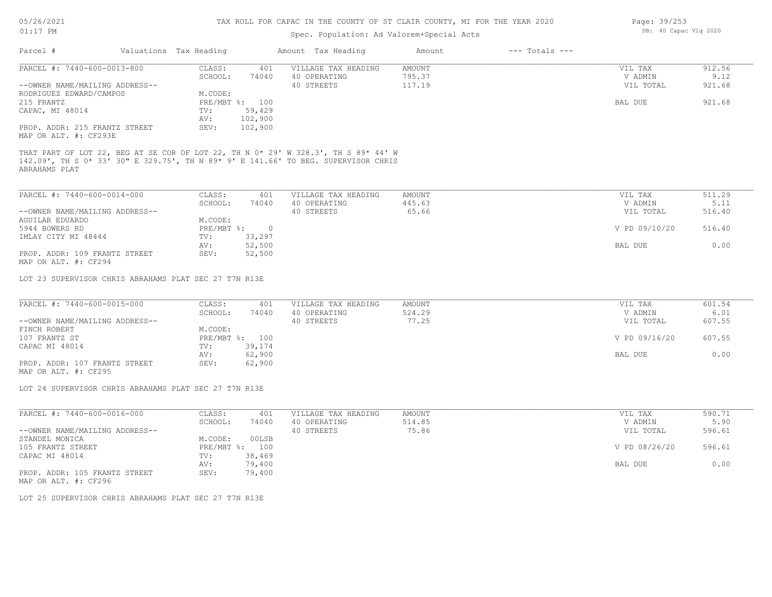Page: DB: 40 Capac Vlg 2020 39/253

| $01:17$ PM                                                                                                                                                                                |                                             | Spec. Population: Ad Valorem+Special Acts | DB: 40 Capac Vlg 2020 |                    |               |        |
|-------------------------------------------------------------------------------------------------------------------------------------------------------------------------------------------|---------------------------------------------|-------------------------------------------|-----------------------|--------------------|---------------|--------|
| Parcel #                                                                                                                                                                                  | Valuations Tax Heading                      | Amount Tax Heading                        | Amount                | $---$ Totals $---$ |               |        |
| PARCEL #: 7440-600-0013-800                                                                                                                                                               | CLASS:<br>401                               | VILLAGE TAX HEADING                       | <b>AMOUNT</b>         |                    | VIL TAX       | 912.56 |
|                                                                                                                                                                                           | SCHOOL:<br>74040                            | 40 OPERATING                              | 795.37                |                    | V ADMIN       | 9.12   |
| --OWNER NAME/MAILING ADDRESS--                                                                                                                                                            |                                             | 40 STREETS                                | 117.19                |                    | VIL TOTAL     | 921.68 |
| RODRIGUEZ EDWARD/CAMPOS                                                                                                                                                                   | M.CODE:                                     |                                           |                       |                    |               |        |
| 215 FRANTZ                                                                                                                                                                                | PRE/MBT %: 100                              |                                           |                       |                    | BAL DUE       | 921.68 |
| CAPAC, MI 48014                                                                                                                                                                           | 59,429<br>TV:                               |                                           |                       |                    |               |        |
|                                                                                                                                                                                           | 102,900<br>AV:                              |                                           |                       |                    |               |        |
| PROP. ADDR: 215 FRANTZ STREET<br>MAP OR ALT. #: CF293E                                                                                                                                    | SEV:<br>102,900                             |                                           |                       |                    |               |        |
| THAT PART OF LOT 22, BEG AT SE COR OF LOT 22, TH N 0* 29' W 328.3', TH S 89* 44' W<br>142.09', TH S 0* 33' 30" E 329.75', TH N 89* 9' E 141.66' TO BEG. SUPERVISOR CHRIS<br>ABRAHAMS PLAT |                                             |                                           |                       |                    |               |        |
| PARCEL #: 7440-600-0014-000                                                                                                                                                               | CLASS:<br>401                               | VILLAGE TAX HEADING                       | AMOUNT                |                    | VIL TAX       | 511.29 |
|                                                                                                                                                                                           | SCHOOL:<br>74040                            | 40 OPERATING                              | 445.63                |                    | V ADMIN       | 5.11   |
| --OWNER NAME/MAILING ADDRESS--                                                                                                                                                            |                                             | 40 STREETS                                | 65.66                 |                    | VIL TOTAL     | 516.40 |
| AGUILAR EDUARDO                                                                                                                                                                           | M.CODE:                                     |                                           |                       |                    |               |        |
| 5944 BOWERS RD                                                                                                                                                                            | $PRE/MBT$ $\frac{6}{3}$ :<br>$\overline{0}$ |                                           |                       |                    | V PD 09/10/20 | 516.40 |
| IMLAY CITY MI 48444                                                                                                                                                                       | 33,297<br>TV:                               |                                           |                       |                    |               |        |
|                                                                                                                                                                                           | 52,500<br>AV:                               |                                           |                       |                    | BAL DUE       | 0.00   |
| PROP. ADDR: 109 FRANTZ STREET<br>MAP OR ALT. #: CF294                                                                                                                                     | 52,500<br>SEV:                              |                                           |                       |                    |               |        |
| LOT 23 SUPERVISOR CHRIS ABRAHAMS PLAT SEC 27 T7N R13E                                                                                                                                     |                                             |                                           |                       |                    |               |        |
| PARCEL #: 7440-600-0015-000                                                                                                                                                               | CLASS:<br>401                               | VILLAGE TAX HEADING                       | <b>AMOUNT</b>         |                    | VIL TAX       | 601.54 |
|                                                                                                                                                                                           | SCHOOL:<br>74040                            | 40 OPERATING                              | 524.29                |                    | V ADMIN       | 6.01   |
| --OWNER NAME/MAILING ADDRESS--                                                                                                                                                            |                                             | 40 STREETS                                | 77.25                 |                    | VIL TOTAL     | 607.55 |
| FINCH ROBERT                                                                                                                                                                              | M.CODE:                                     |                                           |                       |                    |               |        |
| 107 FRANTZ ST                                                                                                                                                                             | PRE/MBT %: 100                              |                                           |                       |                    | V PD 09/16/20 | 607.55 |
| CAPAC MI 48014                                                                                                                                                                            | TV:<br>39,174                               |                                           |                       |                    |               |        |
|                                                                                                                                                                                           | 62,900<br>AV:                               |                                           |                       |                    | BAL DUE       | 0.00   |
| PROP. ADDR: 107 FRANTZ STREET                                                                                                                                                             | SEV:<br>62,900                              |                                           |                       |                    |               |        |
| MAP OR ALT. #: CF295                                                                                                                                                                      |                                             |                                           |                       |                    |               |        |
| LOT 24 SUPERVISOR CHRIS ABRAHAMS PLAT SEC 27 T7N R13E                                                                                                                                     |                                             |                                           |                       |                    |               |        |
|                                                                                                                                                                                           |                                             |                                           |                       |                    |               |        |
| PARCEL #: 7440-600-0016-000                                                                                                                                                               | CLASS:<br>401                               | VILLAGE TAX HEADING                       | <b>AMOUNT</b>         |                    | VIL TAX       | 590.71 |
|                                                                                                                                                                                           | SCHOOL:<br>74040                            | 40 OPERATING                              | 514.85                |                    | V ADMIN       | 5.90   |
| --OWNER NAME/MAILING ADDRESS--                                                                                                                                                            |                                             | 40 STREETS                                | 75.86                 |                    | VIL TOTAL     | 596.61 |
| STANDEL MONICA                                                                                                                                                                            | 00LSB<br>M.CODE:                            |                                           |                       |                    |               |        |
| 105 FRANTZ STREET                                                                                                                                                                         | PRE/MBT %: 100                              |                                           |                       |                    | V PD 08/26/20 | 596.61 |
| CAPAC MI 48014                                                                                                                                                                            | TV:<br>38,469                               |                                           |                       |                    |               |        |
| PROP. ADDR: 105 FRANTZ STREET                                                                                                                                                             | AV:<br>79,400<br>SEV:<br>79,400             |                                           |                       |                    | BAL DUE       | 0.00   |
|                                                                                                                                                                                           |                                             |                                           |                       |                    |               |        |
| MAP OR ALT. #: CF296                                                                                                                                                                      |                                             |                                           |                       |                    |               |        |

LOT 25 SUPERVISOR CHRIS ABRAHAMS PLAT SEC 27 T7N R13E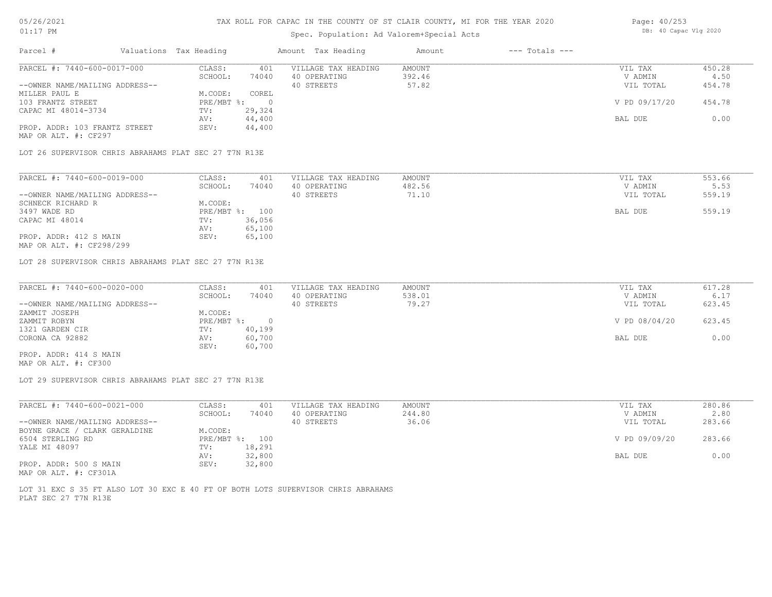## Spec. Population: Ad Valorem+Special Acts

| Page: 40/253 |                       |  |
|--------------|-----------------------|--|
|              | DB: 40 Capac Vlg 2020 |  |

| Parcel #                       | Valuations Tax Heading |        | Amount Tax Heading  | Amount | $---$ Totals $---$ |               |        |
|--------------------------------|------------------------|--------|---------------------|--------|--------------------|---------------|--------|
| PARCEL #: 7440-600-0017-000    | CLASS:                 | 401    | VILLAGE TAX HEADING | AMOUNT |                    | VIL TAX       | 450.28 |
|                                | SCHOOL:                | 74040  | 40 OPERATING        | 392.46 |                    | V ADMIN       | 4.50   |
| --OWNER NAME/MAILING ADDRESS-- |                        |        | 40 STREETS          | 57.82  |                    | VIL TOTAL     | 454.78 |
| MILLER PAUL E                  | M.CODE:                | COREL  |                     |        |                    |               |        |
| 103 FRANTZ STREET              | $PRE/MBT$ %:           |        |                     |        |                    | V PD 09/17/20 | 454.78 |
| CAPAC MI 48014-3734            | TV:                    | 29,324 |                     |        |                    |               |        |
|                                | AV:                    | 44,400 |                     |        |                    | BAL DUE       | 0.00   |
| PROP. ADDR: 103 FRANTZ STREET  | SEV:                   | 44,400 |                     |        |                    |               |        |
| MAP OR ALT. #: CF297           |                        |        |                     |        |                    |               |        |

LOT 26 SUPERVISOR CHRIS ABRAHAMS PLAT SEC 27 T7N R13E

| PARCEL #: 7440-600-0019-000    | CLASS:     | 401    | VILLAGE TAX HEADING | AMOUNT | VIL TAX   | 553.66 |
|--------------------------------|------------|--------|---------------------|--------|-----------|--------|
|                                | SCHOOL:    | 74040  | 40 OPERATING        | 482.56 | V ADMIN   | 5.53   |
| --OWNER NAME/MAILING ADDRESS-- |            |        | 40 STREETS          | 71.10  | VIL TOTAL | 559.19 |
| SCHNECK RICHARD R              | M.CODE:    |        |                     |        |           |        |
| 3497 WADE RD                   | PRE/MBT %: | 100    |                     |        | BAL DUE   | 559.19 |
| CAPAC MI 48014                 | TV:        | 36,056 |                     |        |           |        |
|                                | AV:        | 65,100 |                     |        |           |        |
| PROP. ADDR: 412 S MAIN         | SEV:       | 65,100 |                     |        |           |        |
|                                |            |        |                     |        |           |        |

MAP OR ALT. #: CF298/299

LOT 28 SUPERVISOR CHRIS ABRAHAMS PLAT SEC 27 T7N R13E

| PARCEL #: 7440-600-0020-000    | CLASS:       | 401    | VILLAGE TAX HEADING | AMOUNT | VIL TAX       | 617.28 |
|--------------------------------|--------------|--------|---------------------|--------|---------------|--------|
|                                | SCHOOL:      | 74040  | 40 OPERATING        | 538.01 | V ADMIN       | 6.17   |
| --OWNER NAME/MAILING ADDRESS-- |              |        | 40 STREETS          | 79.27  | VIL TOTAL     | 623.45 |
| ZAMMIT JOSEPH                  | M.CODE:      |        |                     |        |               |        |
| ZAMMIT ROBYN                   | $PRE/MBT$ %: |        |                     |        | V PD 08/04/20 | 623.45 |
| 1321 GARDEN CIR                | TV:          | 40,199 |                     |        |               |        |
| CORONA CA 92882                | AV:          | 60,700 |                     |        | BAL DUE       | 0.00   |
|                                | SEV:         | 60,700 |                     |        |               |        |
| PROP. ADDR: 414 S MAIN         |              |        |                     |        |               |        |

MAP OR ALT. #: CF300

LOT 29 SUPERVISOR CHRIS ABRAHAMS PLAT SEC 27 T7N R13E

| PARCEL #: 7440-600-0021-000    | CLASS:  | 401            | VILLAGE TAX HEADING | AMOUNT | VIL TAX       | 280.86 |
|--------------------------------|---------|----------------|---------------------|--------|---------------|--------|
|                                | SCHOOL: | 74040          | 40 OPERATING        | 244.80 | V ADMIN       | 2.80   |
| --OWNER NAME/MAILING ADDRESS-- |         |                | 40 STREETS          | 36.06  | VIL TOTAL     | 283.66 |
| BOYNE GRACE / CLARK GERALDINE  | M.CODE: |                |                     |        |               |        |
| 6504 STERLING RD               |         | PRE/MBT %: 100 |                     |        | V PD 09/09/20 | 283.66 |
| YALE MI 48097                  | TV:     | 18,291         |                     |        |               |        |
|                                | AV:     | 32,800         |                     |        | BAL DUE       | 0.00   |
| PROP. ADDR: 500 S MAIN         | SEV:    | 32,800         |                     |        |               |        |
| MAP OR ALT. #: CF301A          |         |                |                     |        |               |        |

PLAT SEC 27 T7N R13E LOT 31 EXC S 35 FT ALSO LOT 30 EXC E 40 FT OF BOTH LOTS SUPERVISOR CHRIS ABRAHAMS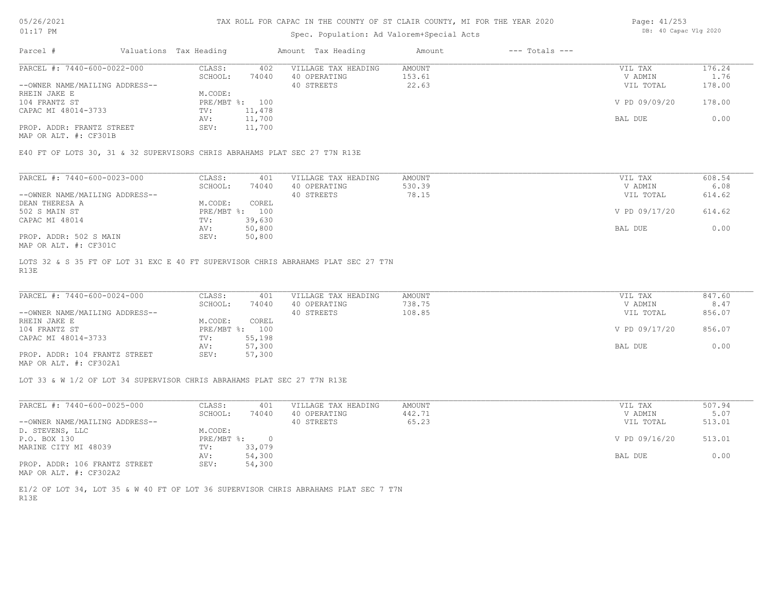## Spec. Population: Ad Valorem+Special Acts

| Page: 41/253 |                       |  |
|--------------|-----------------------|--|
|              | DB: 40 Capac Vlg 2020 |  |

| Parcel #                       | Valuations Tax Heading |        | Amount Tax Heading  | Amount | $---$ Totals $---$ |               |        |
|--------------------------------|------------------------|--------|---------------------|--------|--------------------|---------------|--------|
| PARCEL #: 7440-600-0022-000    | CLASS:                 | 402    | VILLAGE TAX HEADING | AMOUNT |                    | VIL TAX       | 176.24 |
|                                | SCHOOL:                | 74040  | 40 OPERATING        | 153.61 |                    | V ADMIN       | 1.76   |
| --OWNER NAME/MAILING ADDRESS-- |                        |        | 40 STREETS          | 22.63  |                    | VIL TOTAL     | 178.00 |
| RHEIN JAKE E                   | M.CODE:                |        |                     |        |                    |               |        |
| 104 FRANTZ ST                  | $PRE/MBT$ %:           | 100    |                     |        |                    | V PD 09/09/20 | 178.00 |
| CAPAC MI 48014-3733            | TV:                    | 11,478 |                     |        |                    |               |        |
|                                | AV:                    | 11,700 |                     |        |                    | BAL DUE       | 0.00   |
| PROP. ADDR: FRANTZ STREET      | SEV:                   | 11,700 |                     |        |                    |               |        |

MAP OR ALT. #: CF301B

E40 FT OF LOTS 30, 31 & 32 SUPERVISORS CHRIS ABRAHAMS PLAT SEC 27 T7N R13E

| PARCEL #: 7440-600-0023-000    | CLASS:     | 401    | VILLAGE TAX HEADING | AMOUNT | VIL TAX       | 608.54 |
|--------------------------------|------------|--------|---------------------|--------|---------------|--------|
|                                | SCHOOL:    | 74040  | 40 OPERATING        | 530.39 | V ADMIN       | 6.08   |
| --OWNER NAME/MAILING ADDRESS-- |            |        | 40 STREETS          | 78.15  | VIL TOTAL     | 614.62 |
| DEAN THERESA A                 | M.CODE:    | COREL  |                     |        |               |        |
| 502 S MAIN ST                  | PRE/MBT %: | 100    |                     |        | V PD 09/17/20 | 614.62 |
| CAPAC MI 48014                 | TV:        | 39,630 |                     |        |               |        |
|                                | AV:        | 50,800 |                     |        | BAL DUE       | 0.00   |
| PROP. ADDR: 502 S MAIN         | SEV:       | 50,800 |                     |        |               |        |
| MAP OR ALT. #: CF301C          |            |        |                     |        |               |        |

R13E LOTS 32 & S 35 FT OF LOT 31 EXC E 40 FT SUPERVISOR CHRIS ABRAHAMS PLAT SEC 27 T7N

| PARCEL #: 7440-600-0024-000    | CLASS:       | 401    | VILLAGE TAX HEADING | AMOUNT | VIL TAX       | 847.60 |
|--------------------------------|--------------|--------|---------------------|--------|---------------|--------|
|                                | SCHOOL:      | 74040  | 40 OPERATING        | 738.75 | V ADMIN       | 8.47   |
| --OWNER NAME/MAILING ADDRESS-- |              |        | 40 STREETS          | 108.85 | VIL TOTAL     | 856.07 |
| RHEIN JAKE E                   | M.CODE:      | COREL  |                     |        |               |        |
| 104 FRANTZ ST                  | $PRE/MBT$ %: | 100    |                     |        | V PD 09/17/20 | 856.07 |
| CAPAC MI 48014-3733            | TV:          | 55,198 |                     |        |               |        |
|                                | AV:          | 57,300 |                     |        | BAL DUE       | 0.00   |
| PROP. ADDR: 104 FRANTZ STREET  | SEV:         | 57,300 |                     |        |               |        |
| MAP OR ALT. #: CF302A1         |              |        |                     |        |               |        |

 $\mathcal{L}_\mathcal{L} = \mathcal{L}_\mathcal{L} = \mathcal{L}_\mathcal{L} = \mathcal{L}_\mathcal{L} = \mathcal{L}_\mathcal{L} = \mathcal{L}_\mathcal{L} = \mathcal{L}_\mathcal{L} = \mathcal{L}_\mathcal{L} = \mathcal{L}_\mathcal{L} = \mathcal{L}_\mathcal{L} = \mathcal{L}_\mathcal{L} = \mathcal{L}_\mathcal{L} = \mathcal{L}_\mathcal{L} = \mathcal{L}_\mathcal{L} = \mathcal{L}_\mathcal{L} = \mathcal{L}_\mathcal{L} = \mathcal{L}_\mathcal{L}$ 

LOT 33 & W 1/2 OF LOT 34 SUPERVISOR CHRIS ABRAHAMS PLAT SEC 27 T7N R13E

| PARCEL #: 7440-600-0025-000    | CLASS:     | 401    | VILLAGE TAX HEADING | AMOUNT | VIL TAX       | 507.94 |
|--------------------------------|------------|--------|---------------------|--------|---------------|--------|
|                                | SCHOOL:    | 74040  | 40 OPERATING        | 442.71 | V ADMIN       | 5.07   |
| --OWNER NAME/MAILING ADDRESS-- |            |        | 40 STREETS          | 65.23  | VIL TOTAL     | 513.01 |
| D. STEVENS, LLC                | M.CODE:    |        |                     |        |               |        |
| P.O. BOX 130                   | PRE/MBT %: |        |                     |        | V PD 09/16/20 | 513.01 |
| MARINE CITY MI 48039           | TV:        | 33,079 |                     |        |               |        |
|                                | AV:        | 54,300 |                     |        | BAL DUE       | 0.00   |
| PROP. ADDR: 106 FRANTZ STREET  | SEV:       | 54,300 |                     |        |               |        |
| MAP OR ALT. #: CF302A2         |            |        |                     |        |               |        |

R13E E1/2 OF LOT 34, LOT 35 & W 40 FT OF LOT 36 SUPERVISOR CHRIS ABRAHAMS PLAT SEC 7 T7N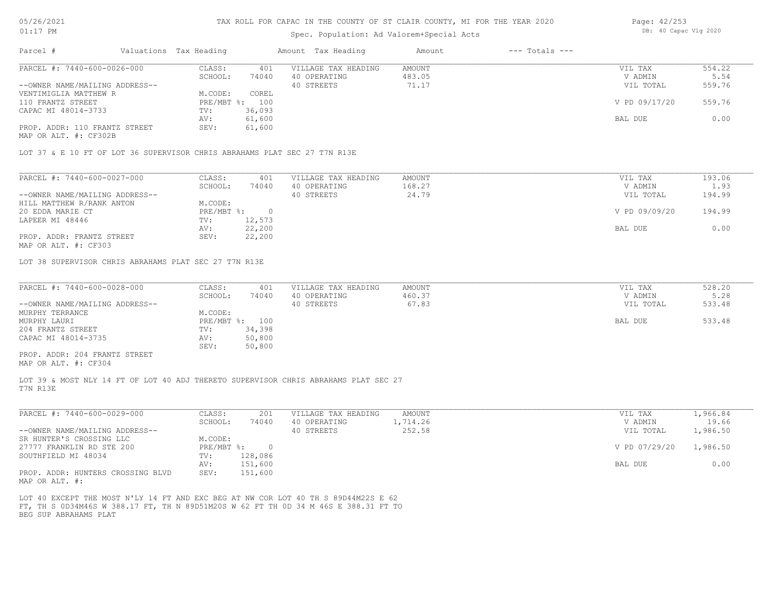## Spec. Population: Ad Valorem+Special Acts

| Page: 42/253 |                       |  |
|--------------|-----------------------|--|
|              | DB: 40 Capac Vlg 2020 |  |

| Parcel #                       | Valuations Tax Heading |        | Amount Tax Heading  | Amount | $---$ Totals $---$ |               |        |
|--------------------------------|------------------------|--------|---------------------|--------|--------------------|---------------|--------|
| PARCEL #: 7440-600-0026-000    | CLASS:                 | 401    | VILLAGE TAX HEADING | AMOUNT |                    | VIL TAX       | 554.22 |
|                                | SCHOOL:                | 74040  | 40 OPERATING        | 483.05 |                    | V ADMIN       | 5.54   |
| --OWNER NAME/MAILING ADDRESS-- |                        |        | 40 STREETS          | 71.17  |                    | VIL TOTAL     | 559.76 |
| VENTIMIGLIA MATTHEW R          | M.CODE:                | COREL  |                     |        |                    |               |        |
| 110 FRANTZ STREET              | PRE/MBT %: 100         |        |                     |        |                    | V PD 09/17/20 | 559.76 |
| CAPAC MI 48014-3733            | TV:                    | 36,093 |                     |        |                    |               |        |
|                                | AV:                    | 61,600 |                     |        |                    | BAL DUE       | 0.00   |
| PROP. ADDR: 110 FRANTZ STREET  | SEV:                   | 61,600 |                     |        |                    |               |        |
| MAP OR ALT. #: CF302B          |                        |        |                     |        |                    |               |        |

LOT 37 & E 10 FT OF LOT 36 SUPERVISOR CHRIS ABRAHAMS PLAT SEC 27 T7N R13E

| 193.06<br>VIL TAX       |
|-------------------------|
| V ADMIN<br>1.93         |
| 194.99<br>VIL TOTAL     |
|                         |
| V PD 09/09/20<br>194.99 |
|                         |
| 0.00<br>BAL DUE         |
|                         |
|                         |

MAP OR ALT. #: CF303

LOT 38 SUPERVISOR CHRIS ABRAHAMS PLAT SEC 27 T7N R13E

| PARCEL #: 7440-600-0028-000    | CLASS:         | 401    | VILLAGE TAX HEADING | AMOUNT | VIL TAX   | 528.20 |
|--------------------------------|----------------|--------|---------------------|--------|-----------|--------|
|                                | SCHOOL:        | 74040  | 40 OPERATING        | 460.37 | V ADMIN   | 5.28   |
| --OWNER NAME/MAILING ADDRESS-- |                |        | 40 STREETS          | 67.83  | VIL TOTAL | 533.48 |
| MURPHY TERRANCE                | M.CODE:        |        |                     |        |           |        |
| MURPHY LAURI                   | PRE/MBT %: 100 |        |                     |        | BAL DUE   | 533.48 |
| 204 FRANTZ STREET              | TV:            | 34,398 |                     |        |           |        |
| CAPAC MI 48014-3735            | AV:            | 50,800 |                     |        |           |        |
|                                | SEV:           | 50,800 |                     |        |           |        |
| PROP. ADDR: 204 FRANTZ STREET  |                |        |                     |        |           |        |

MAP OR ALT. #: CF304

T7N R13E LOT 39 & MOST NLY 14 FT OF LOT 40 ADJ THERETO SUPERVISOR CHRIS ABRAHAMS PLAT SEC 27

| PARCEL #: 7440-600-0029-000                        | CLASS:     | 201     | VILLAGE TAX HEADING | AMOUNT   | VIL TAX       | .,966.84 |
|----------------------------------------------------|------------|---------|---------------------|----------|---------------|----------|
|                                                    | SCHOOL:    | 74040   | 40 OPERATING        | 1,714.26 | V ADMIN       | 19.66    |
| --OWNER NAME/MAILING ADDRESS--                     |            |         | 40 STREETS          | 252.58   | VIL TOTAL     | 1,986.50 |
| SR HUNTER'S CROSSING LLC                           | M.CODE:    |         |                     |          |               |          |
| 27777 FRANKLIN RD STE 200                          | PRE/MBT %: | $\cap$  |                     |          | V PD 07/29/20 | 1,986.50 |
| SOUTHFIELD MI 48034                                | TV:        | 128,086 |                     |          |               |          |
|                                                    | AV:        | 151,600 |                     |          | BAL DUE       | 0.00     |
| PROP. ADDR: HUNTERS CROSSING BLVD<br>$\frac{1}{2}$ | SEV:       | 151,600 |                     |          |               |          |

MAP OR ALT. #:

BEG SUP ABRAHAMS PLAT FT, TH S 0D34M46S W 388.17 FT, TH N 89D51M20S W 62 FT TH 0D 34 M 46S E 388.31 FT TO LOT 40 EXCEPT THE MOST N'LY 14 FT AND EXC BEG AT NW COR LOT 40 TH S 89D44M22S E 62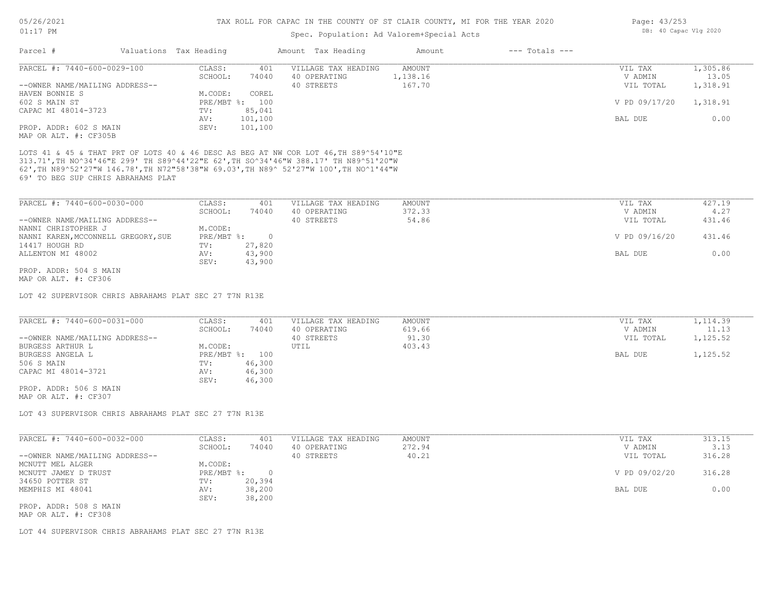## Spec. Population: Ad Valorem+Special Acts

| Page: 43/253 |                       |  |
|--------------|-----------------------|--|
|              | DB: 40 Capac Vlg 2020 |  |

| CLASS:<br>VILLAGE TAX HEADING<br><b>AMOUNT</b><br>VIL TAX<br>401<br>1,138.16<br>SCHOOL:<br>74040<br>40 OPERATING<br>V ADMIN<br>--OWNER NAME/MAILING ADDRESS--<br>40 STREETS<br>167.70<br>VIL TOTAL<br>HAVEN BONNIE S<br>M.CODE:<br>COREL<br>PRE/MBT %: 100<br>V PD 09/17/20<br>CAPAC MI 48014-3723<br>85,041<br>TV:<br>101,100<br>AV:<br>BAL DUE<br>SEV:<br>101,100<br>PROP. ADDR: 602 S MAIN<br>MAP OR ALT. #: CF305B<br>LOTS 41 & 45 & THAT PRT OF LOTS 40 & 46 DESC AS BEG AT NW COR LOT 46, TH S89^54'10"E<br>313.71', TH NO^34'46"E 299' TH S89^44'22"E 62', TH SO^34'46"W 388.17' TH N89^51'20"W<br>62', TH N89^52'27"W 146.78', TH N72"58'38"W 69.03', TH N89^ 52'27"W 100', TH NO^1'44"W<br>69' TO BEG SUP CHRIS ABRAHAMS PLAT<br>PARCEL #: 7440-600-0030-000<br>CLASS:<br>VILLAGE TAX HEADING<br>401<br>AMOUNT<br>VIL TAX<br>SCHOOL:<br>74040<br>40 OPERATING<br>372.33<br>V ADMIN<br>40 STREETS<br>54.86<br>--OWNER NAME/MAILING ADDRESS--<br>VIL TOTAL<br>NANNI CHRISTOPHER J<br>M.CODE:<br>NANNI KAREN, MCCONNELL GREGORY, SUE<br>PRE/MBT %:<br>$\circ$<br>V PD 09/16/20<br>27,820<br>14417 HOUGH RD<br>TV:<br>43,900<br>ALLENTON MI 48002<br>BAL DUE<br>AV:<br>SEV:<br>43,900<br>PROP. ADDR: 504 S MAIN<br>MAP OR ALT. #: CF306<br>LOT 42 SUPERVISOR CHRIS ABRAHAMS PLAT SEC 27 T7N R13E<br>CLASS:<br>VILLAGE TAX HEADING<br>401<br><b>AMOUNT</b><br>VIL TAX<br>40 OPERATING<br>619.66<br>V ADMIN<br>SCHOOL:<br>74040<br>40 STREETS<br>91.30<br>VIL TOTAL<br>403.43<br>M.CODE:<br>UTIL<br>PRE/MBT %: 100<br>BAL DUE<br>46,300<br>TV:<br>46,300<br>AV:<br>46,300<br>SEV:<br>PROP. ADDR: 506 S MAIN<br>MAP OR ALT. #: CF307<br>LOT 43 SUPERVISOR CHRIS ABRAHAMS PLAT SEC 27 T7N R13E<br>CLASS:<br>VILLAGE TAX HEADING<br>401<br><b>AMOUNT</b><br>VIL TAX<br>SCHOOL:<br>74040<br>40 OPERATING<br>272.94<br>V ADMIN<br>40 STREETS<br>40.21<br>VIL TOTAL | Parcel #                       | Valuations Tax Heading | Amount Tax Heading | Amount<br>$---$ Totals $---$ |          |
|------------------------------------------------------------------------------------------------------------------------------------------------------------------------------------------------------------------------------------------------------------------------------------------------------------------------------------------------------------------------------------------------------------------------------------------------------------------------------------------------------------------------------------------------------------------------------------------------------------------------------------------------------------------------------------------------------------------------------------------------------------------------------------------------------------------------------------------------------------------------------------------------------------------------------------------------------------------------------------------------------------------------------------------------------------------------------------------------------------------------------------------------------------------------------------------------------------------------------------------------------------------------------------------------------------------------------------------------------------------------------------------------------------------------------------------------------------------------------------------------------------------------------------------------------------------------------------------------------------------------------------------------------------------------------------------------------------------------------------------------------------------------------------------------------------------------------------------------------------------|--------------------------------|------------------------|--------------------|------------------------------|----------|
|                                                                                                                                                                                                                                                                                                                                                                                                                                                                                                                                                                                                                                                                                                                                                                                                                                                                                                                                                                                                                                                                                                                                                                                                                                                                                                                                                                                                                                                                                                                                                                                                                                                                                                                                                                                                                                                                  | PARCEL #: 7440-600-0029-100    |                        |                    |                              | 1,305.86 |
|                                                                                                                                                                                                                                                                                                                                                                                                                                                                                                                                                                                                                                                                                                                                                                                                                                                                                                                                                                                                                                                                                                                                                                                                                                                                                                                                                                                                                                                                                                                                                                                                                                                                                                                                                                                                                                                                  |                                |                        |                    |                              | 13.05    |
|                                                                                                                                                                                                                                                                                                                                                                                                                                                                                                                                                                                                                                                                                                                                                                                                                                                                                                                                                                                                                                                                                                                                                                                                                                                                                                                                                                                                                                                                                                                                                                                                                                                                                                                                                                                                                                                                  |                                |                        |                    |                              | 1,318.91 |
|                                                                                                                                                                                                                                                                                                                                                                                                                                                                                                                                                                                                                                                                                                                                                                                                                                                                                                                                                                                                                                                                                                                                                                                                                                                                                                                                                                                                                                                                                                                                                                                                                                                                                                                                                                                                                                                                  |                                |                        |                    |                              |          |
|                                                                                                                                                                                                                                                                                                                                                                                                                                                                                                                                                                                                                                                                                                                                                                                                                                                                                                                                                                                                                                                                                                                                                                                                                                                                                                                                                                                                                                                                                                                                                                                                                                                                                                                                                                                                                                                                  | 602 S MAIN ST                  |                        |                    |                              | 1,318.91 |
|                                                                                                                                                                                                                                                                                                                                                                                                                                                                                                                                                                                                                                                                                                                                                                                                                                                                                                                                                                                                                                                                                                                                                                                                                                                                                                                                                                                                                                                                                                                                                                                                                                                                                                                                                                                                                                                                  |                                |                        |                    |                              |          |
|                                                                                                                                                                                                                                                                                                                                                                                                                                                                                                                                                                                                                                                                                                                                                                                                                                                                                                                                                                                                                                                                                                                                                                                                                                                                                                                                                                                                                                                                                                                                                                                                                                                                                                                                                                                                                                                                  |                                |                        |                    |                              | 0.00     |
|                                                                                                                                                                                                                                                                                                                                                                                                                                                                                                                                                                                                                                                                                                                                                                                                                                                                                                                                                                                                                                                                                                                                                                                                                                                                                                                                                                                                                                                                                                                                                                                                                                                                                                                                                                                                                                                                  |                                |                        |                    |                              |          |
|                                                                                                                                                                                                                                                                                                                                                                                                                                                                                                                                                                                                                                                                                                                                                                                                                                                                                                                                                                                                                                                                                                                                                                                                                                                                                                                                                                                                                                                                                                                                                                                                                                                                                                                                                                                                                                                                  |                                |                        |                    |                              |          |
|                                                                                                                                                                                                                                                                                                                                                                                                                                                                                                                                                                                                                                                                                                                                                                                                                                                                                                                                                                                                                                                                                                                                                                                                                                                                                                                                                                                                                                                                                                                                                                                                                                                                                                                                                                                                                                                                  |                                |                        |                    |                              |          |
|                                                                                                                                                                                                                                                                                                                                                                                                                                                                                                                                                                                                                                                                                                                                                                                                                                                                                                                                                                                                                                                                                                                                                                                                                                                                                                                                                                                                                                                                                                                                                                                                                                                                                                                                                                                                                                                                  |                                |                        |                    |                              | 427.19   |
|                                                                                                                                                                                                                                                                                                                                                                                                                                                                                                                                                                                                                                                                                                                                                                                                                                                                                                                                                                                                                                                                                                                                                                                                                                                                                                                                                                                                                                                                                                                                                                                                                                                                                                                                                                                                                                                                  |                                |                        |                    |                              | 4.27     |
|                                                                                                                                                                                                                                                                                                                                                                                                                                                                                                                                                                                                                                                                                                                                                                                                                                                                                                                                                                                                                                                                                                                                                                                                                                                                                                                                                                                                                                                                                                                                                                                                                                                                                                                                                                                                                                                                  |                                |                        |                    |                              | 431.46   |
|                                                                                                                                                                                                                                                                                                                                                                                                                                                                                                                                                                                                                                                                                                                                                                                                                                                                                                                                                                                                                                                                                                                                                                                                                                                                                                                                                                                                                                                                                                                                                                                                                                                                                                                                                                                                                                                                  |                                |                        |                    |                              |          |
|                                                                                                                                                                                                                                                                                                                                                                                                                                                                                                                                                                                                                                                                                                                                                                                                                                                                                                                                                                                                                                                                                                                                                                                                                                                                                                                                                                                                                                                                                                                                                                                                                                                                                                                                                                                                                                                                  |                                |                        |                    |                              | 431.46   |
|                                                                                                                                                                                                                                                                                                                                                                                                                                                                                                                                                                                                                                                                                                                                                                                                                                                                                                                                                                                                                                                                                                                                                                                                                                                                                                                                                                                                                                                                                                                                                                                                                                                                                                                                                                                                                                                                  |                                |                        |                    |                              |          |
|                                                                                                                                                                                                                                                                                                                                                                                                                                                                                                                                                                                                                                                                                                                                                                                                                                                                                                                                                                                                                                                                                                                                                                                                                                                                                                                                                                                                                                                                                                                                                                                                                                                                                                                                                                                                                                                                  |                                |                        |                    |                              | 0.00     |
|                                                                                                                                                                                                                                                                                                                                                                                                                                                                                                                                                                                                                                                                                                                                                                                                                                                                                                                                                                                                                                                                                                                                                                                                                                                                                                                                                                                                                                                                                                                                                                                                                                                                                                                                                                                                                                                                  |                                |                        |                    |                              |          |
|                                                                                                                                                                                                                                                                                                                                                                                                                                                                                                                                                                                                                                                                                                                                                                                                                                                                                                                                                                                                                                                                                                                                                                                                                                                                                                                                                                                                                                                                                                                                                                                                                                                                                                                                                                                                                                                                  |                                |                        |                    |                              |          |
|                                                                                                                                                                                                                                                                                                                                                                                                                                                                                                                                                                                                                                                                                                                                                                                                                                                                                                                                                                                                                                                                                                                                                                                                                                                                                                                                                                                                                                                                                                                                                                                                                                                                                                                                                                                                                                                                  |                                |                        |                    |                              |          |
|                                                                                                                                                                                                                                                                                                                                                                                                                                                                                                                                                                                                                                                                                                                                                                                                                                                                                                                                                                                                                                                                                                                                                                                                                                                                                                                                                                                                                                                                                                                                                                                                                                                                                                                                                                                                                                                                  |                                |                        |                    |                              |          |
|                                                                                                                                                                                                                                                                                                                                                                                                                                                                                                                                                                                                                                                                                                                                                                                                                                                                                                                                                                                                                                                                                                                                                                                                                                                                                                                                                                                                                                                                                                                                                                                                                                                                                                                                                                                                                                                                  |                                |                        |                    |                              |          |
|                                                                                                                                                                                                                                                                                                                                                                                                                                                                                                                                                                                                                                                                                                                                                                                                                                                                                                                                                                                                                                                                                                                                                                                                                                                                                                                                                                                                                                                                                                                                                                                                                                                                                                                                                                                                                                                                  | PARCEL #: 7440-600-0031-000    |                        |                    |                              | 1,114.39 |
|                                                                                                                                                                                                                                                                                                                                                                                                                                                                                                                                                                                                                                                                                                                                                                                                                                                                                                                                                                                                                                                                                                                                                                                                                                                                                                                                                                                                                                                                                                                                                                                                                                                                                                                                                                                                                                                                  |                                |                        |                    |                              | 11.13    |
|                                                                                                                                                                                                                                                                                                                                                                                                                                                                                                                                                                                                                                                                                                                                                                                                                                                                                                                                                                                                                                                                                                                                                                                                                                                                                                                                                                                                                                                                                                                                                                                                                                                                                                                                                                                                                                                                  | --OWNER NAME/MAILING ADDRESS-- |                        |                    |                              | 1,125.52 |
|                                                                                                                                                                                                                                                                                                                                                                                                                                                                                                                                                                                                                                                                                                                                                                                                                                                                                                                                                                                                                                                                                                                                                                                                                                                                                                                                                                                                                                                                                                                                                                                                                                                                                                                                                                                                                                                                  | <b>BURGESS ARTHUR L</b>        |                        |                    |                              |          |
|                                                                                                                                                                                                                                                                                                                                                                                                                                                                                                                                                                                                                                                                                                                                                                                                                                                                                                                                                                                                                                                                                                                                                                                                                                                                                                                                                                                                                                                                                                                                                                                                                                                                                                                                                                                                                                                                  | BURGESS ANGELA L               |                        |                    |                              | 1,125.52 |
|                                                                                                                                                                                                                                                                                                                                                                                                                                                                                                                                                                                                                                                                                                                                                                                                                                                                                                                                                                                                                                                                                                                                                                                                                                                                                                                                                                                                                                                                                                                                                                                                                                                                                                                                                                                                                                                                  | 506 S MAIN                     |                        |                    |                              |          |
|                                                                                                                                                                                                                                                                                                                                                                                                                                                                                                                                                                                                                                                                                                                                                                                                                                                                                                                                                                                                                                                                                                                                                                                                                                                                                                                                                                                                                                                                                                                                                                                                                                                                                                                                                                                                                                                                  | CAPAC MI 48014-3721            |                        |                    |                              |          |
|                                                                                                                                                                                                                                                                                                                                                                                                                                                                                                                                                                                                                                                                                                                                                                                                                                                                                                                                                                                                                                                                                                                                                                                                                                                                                                                                                                                                                                                                                                                                                                                                                                                                                                                                                                                                                                                                  |                                |                        |                    |                              |          |
|                                                                                                                                                                                                                                                                                                                                                                                                                                                                                                                                                                                                                                                                                                                                                                                                                                                                                                                                                                                                                                                                                                                                                                                                                                                                                                                                                                                                                                                                                                                                                                                                                                                                                                                                                                                                                                                                  |                                |                        |                    |                              |          |
|                                                                                                                                                                                                                                                                                                                                                                                                                                                                                                                                                                                                                                                                                                                                                                                                                                                                                                                                                                                                                                                                                                                                                                                                                                                                                                                                                                                                                                                                                                                                                                                                                                                                                                                                                                                                                                                                  |                                |                        |                    |                              |          |
|                                                                                                                                                                                                                                                                                                                                                                                                                                                                                                                                                                                                                                                                                                                                                                                                                                                                                                                                                                                                                                                                                                                                                                                                                                                                                                                                                                                                                                                                                                                                                                                                                                                                                                                                                                                                                                                                  |                                |                        |                    |                              |          |
|                                                                                                                                                                                                                                                                                                                                                                                                                                                                                                                                                                                                                                                                                                                                                                                                                                                                                                                                                                                                                                                                                                                                                                                                                                                                                                                                                                                                                                                                                                                                                                                                                                                                                                                                                                                                                                                                  | PARCEL #: 7440-600-0032-000    |                        |                    |                              | 313.15   |
|                                                                                                                                                                                                                                                                                                                                                                                                                                                                                                                                                                                                                                                                                                                                                                                                                                                                                                                                                                                                                                                                                                                                                                                                                                                                                                                                                                                                                                                                                                                                                                                                                                                                                                                                                                                                                                                                  |                                |                        |                    |                              | 3.13     |
|                                                                                                                                                                                                                                                                                                                                                                                                                                                                                                                                                                                                                                                                                                                                                                                                                                                                                                                                                                                                                                                                                                                                                                                                                                                                                                                                                                                                                                                                                                                                                                                                                                                                                                                                                                                                                                                                  | --OWNER NAME/MAILING ADDRESS-- |                        |                    |                              | 316.28   |
|                                                                                                                                                                                                                                                                                                                                                                                                                                                                                                                                                                                                                                                                                                                                                                                                                                                                                                                                                                                                                                                                                                                                                                                                                                                                                                                                                                                                                                                                                                                                                                                                                                                                                                                                                                                                                                                                  | MCNUTT MEL ALGER               | M.CODE:                |                    |                              |          |

PROP. ADDR: 508 S MAIN SEV: 38,200 MEMPHIS MI 48041 AV: 38,200 BAL DUE 0.00 34650 POTTER ST TV: 20,394 MCNUTT JAMEY D TRUST PRE/MBT %: 0 V PD 09/02/20 316.28

MAP OR ALT. #: CF308

LOT 44 SUPERVISOR CHRIS ABRAHAMS PLAT SEC 27 T7N R13E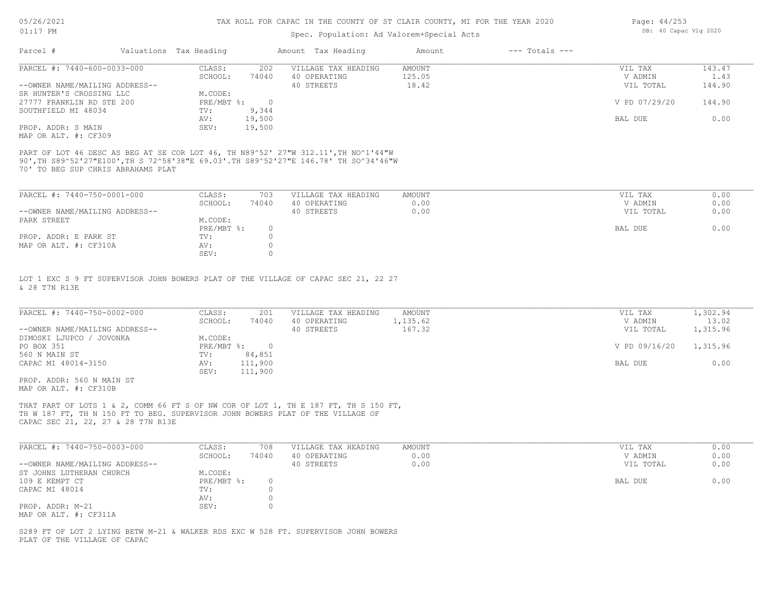## Spec. Population: Ad Valorem+Special Acts

| Page: 44/253 |                       |  |
|--------------|-----------------------|--|
|              | DB: 40 Capac Vlg 2020 |  |

| Parcel #                       | Valuations Tax Heading |        | Amount Tax Heading  | Amount | $---$ Totals $---$ |               |        |
|--------------------------------|------------------------|--------|---------------------|--------|--------------------|---------------|--------|
| PARCEL #: 7440-600-0033-000    | CLASS:                 | 202    | VILLAGE TAX HEADING | AMOUNT |                    | VIL TAX       | 143.47 |
|                                | SCHOOL:                | 74040  | 40 OPERATING        | 125.05 |                    | V ADMIN       | 1.43   |
| --OWNER NAME/MAILING ADDRESS-- |                        |        | 40 STREETS          | 18.42  |                    | VIL TOTAL     | 144.90 |
| SR HUNTER'S CROSSING LLC       | M.CODE:                |        |                     |        |                    |               |        |
| 27777 FRANKLIN RD STE 200      | $PRE/MBT$ %:           |        |                     |        |                    | V PD 07/29/20 | 144.90 |
| SOUTHFIELD MI 48034            | TV:                    | 9,344  |                     |        |                    |               |        |
|                                | AV:                    | 19,500 |                     |        |                    | BAL DUE       | 0.00   |
| PROP. ADDR: S MAIN             | SEV:                   | 19,500 |                     |        |                    |               |        |
| $\cdots$                       |                        |        |                     |        |                    |               |        |

MAP OR ALT. #: CF309

70' TO BEG SUP CHRIS ABRAHAMS PLAT 90',TH S89^52'27"E100',TH S 72^58'38"E 69.03'.TH S89^52'27"E 146.78' TH SO^34'46"W PART OF LOT 46 DESC AS BEG AT SE COR LOT 46, TH N89^52' 27"W 312.11',TH NO^1'44"W

| PARCEL #: 7440-750-0001-000    | CLASS:     | 703   | VILLAGE TAX HEADING | AMOUNT | VIL TAX   | 0.00 |
|--------------------------------|------------|-------|---------------------|--------|-----------|------|
|                                | SCHOOL:    | 74040 | 40 OPERATING        | 0.00   | V ADMIN   | 0.00 |
| --OWNER NAME/MAILING ADDRESS-- |            |       | 40 STREETS          | 0.00   | VIL TOTAL | 0.00 |
| PARK STREET                    | M.CODE:    |       |                     |        |           |      |
|                                | PRE/MBT %: |       |                     |        | BAL DUE   | 0.00 |
| PROP. ADDR: E PARK ST          | TV:        |       |                     |        |           |      |
| MAP OR ALT. #: CF310A          | AV:        |       |                     |        |           |      |
|                                | SEV:       |       |                     |        |           |      |

& 28 T7N R13E LOT 1 EXC S 9 FT SUPERVISOR JOHN BOWERS PLAT OF THE VILLAGE OF CAPAC SEC 21, 22 27

| PARCEL #: 7440-750-0002-000    | CLASS:     | 201     | VILLAGE TAX HEADING | AMOUNT   | VIL TAX       | 1,302.94 |
|--------------------------------|------------|---------|---------------------|----------|---------------|----------|
|                                | SCHOOL:    | 74040   | 40 OPERATING        | 1,135.62 | V ADMIN       | 13.02    |
| --OWNER NAME/MAILING ADDRESS-- |            |         | 40 STREETS          | 167.32   | VIL TOTAL     | 1,315.96 |
| DIMOSKI LJUPCO / JOVONKA       | M.CODE:    |         |                     |          |               |          |
| PO BOX 351                     | PRE/MBT %: |         |                     |          | V PD 09/16/20 | 1,315.96 |
| 560 N MAIN ST                  | TV:        | 84,851  |                     |          |               |          |
| CAPAC MI 48014-3150            | AV:        | 111,900 |                     |          | BAL DUE       | 0.00     |
|                                | SEV:       | 111,900 |                     |          |               |          |
| PROP. ADDR: 560 N MAIN ST      |            |         |                     |          |               |          |

MAP OR ALT. #: CF310B

CAPAC SEC 21, 22, 27 & 28 T7N R13E TH W 187 FT, TH N 150 FT TO BEG. SUPERVISOR JOHN BOWERS PLAT OF THE VILLAGE OF THAT PART OF LOTS 1 & 2, COMM 66 FT S OF NW COR OF LOT 1, TH E 187 FT, TH S 150 FT,

| PARCEL #: 7440-750-0003-000    | CLASS:     | 708   | VILLAGE TAX HEADING | AMOUNT | VIL TAX   | 0.00 |
|--------------------------------|------------|-------|---------------------|--------|-----------|------|
|                                | SCHOOL:    | 74040 | 40 OPERATING        | 0.00   | V ADMIN   | 0.00 |
| --OWNER NAME/MAILING ADDRESS-- |            |       | 40 STREETS          | 0.00   | VIL TOTAL | 0.00 |
| ST JOHNS LUTHERAN CHURCH       | M.CODE:    |       |                     |        |           |      |
| 109 E KEMPT CT                 | PRE/MBT %: |       |                     |        | BAL DUE   | 0.00 |
| CAPAC MI 48014                 | TV:        |       |                     |        |           |      |
|                                | AV:        |       |                     |        |           |      |
| PROP. ADDR: M-21               | SEV:       |       |                     |        |           |      |
| MAP OR ALT. #: CF311A          |            |       |                     |        |           |      |

 $\mathcal{L}_\mathcal{L} = \mathcal{L}_\mathcal{L} = \mathcal{L}_\mathcal{L} = \mathcal{L}_\mathcal{L} = \mathcal{L}_\mathcal{L} = \mathcal{L}_\mathcal{L} = \mathcal{L}_\mathcal{L} = \mathcal{L}_\mathcal{L} = \mathcal{L}_\mathcal{L} = \mathcal{L}_\mathcal{L} = \mathcal{L}_\mathcal{L} = \mathcal{L}_\mathcal{L} = \mathcal{L}_\mathcal{L} = \mathcal{L}_\mathcal{L} = \mathcal{L}_\mathcal{L} = \mathcal{L}_\mathcal{L} = \mathcal{L}_\mathcal{L}$ 

PLAT OF THE VILLAGE OF CAPAC S289 FT OF LOT 2 LYING BETW M-21 & WALKER RDS EXC W 528 FT. SUPERVISOR JOHN BOWERS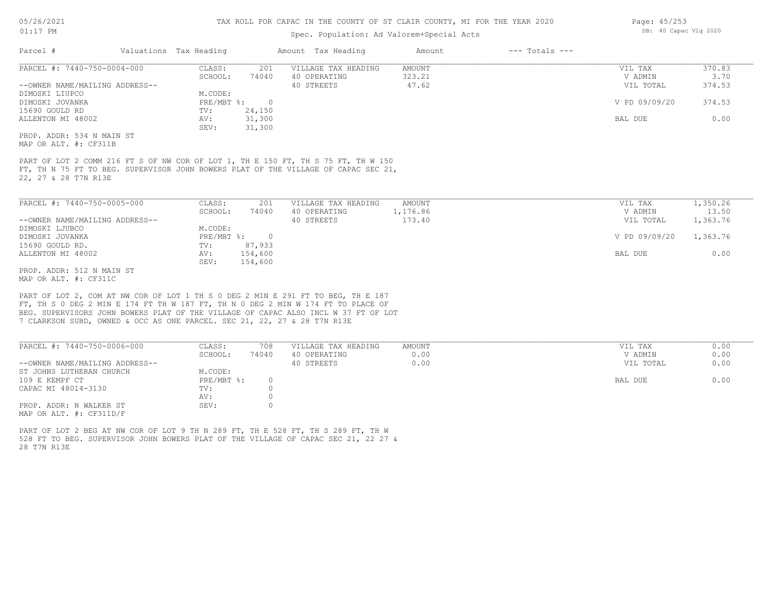## Spec. Population: Ad Valorem+Special Acts

| Parcel #                       | Valuations Tax Heading |        | Amount Tax Heading  | Amount | $---$ Totals $---$ |               |        |
|--------------------------------|------------------------|--------|---------------------|--------|--------------------|---------------|--------|
| PARCEL #: 7440-750-0004-000    | CLASS:                 | 201    | VILLAGE TAX HEADING | AMOUNT |                    | VIL TAX       | 370.83 |
|                                | SCHOOL:                | 74040  | 40 OPERATING        | 323.21 |                    | V ADMIN       | 3.70   |
| --OWNER NAME/MAILING ADDRESS-- |                        |        | 40 STREETS          | 47.62  |                    | VIL TOTAL     | 374.53 |
| DIMOSKI LIUPCO                 | M.CODE:                |        |                     |        |                    |               |        |
| DIMOSKI JOVANKA                | PRE/MBT %:             |        |                     |        |                    | V PD 09/09/20 | 374.53 |
| 15690 GOULD RD                 | TV:                    | 24,150 |                     |        |                    |               |        |
| ALLENTON MI 48002              | AV:                    | 31,300 |                     |        |                    | BAL DUE       | 0.00   |
|                                | SEV:                   | 31,300 |                     |        |                    |               |        |
| PROP. ADDR: 534 N MAIN ST      |                        |        |                     |        |                    |               |        |

MAP OR ALT. #: CF311B

22, 27 & 28 T7N R13E FT, TH N 75 FT TO BEG. SUPERVISOR JOHN BOWERS PLAT OF THE VILLAGE OF CAPAC SEC 21, PART OF LOT 2 COMM 216 FT S OF NW COR OF LOT 1, TH E 150 FT, TH S 75 FT, TH W 150

| PARCEL #: 7440-750-0005-000    | CLASS:     | 201     | VILLAGE TAX HEADING | AMOUNT   | VIL TAX       | 1,350.26 |
|--------------------------------|------------|---------|---------------------|----------|---------------|----------|
|                                | SCHOOL:    | 74040   | 40 OPERATING        | 1,176.86 | V ADMIN       | 13.50    |
| --OWNER NAME/MAILING ADDRESS-- |            |         | 40 STREETS          | 173.40   | VIL TOTAL     | 1,363.76 |
| DIMOSKI LJUBCO                 | M.CODE:    |         |                     |          |               |          |
| DIMOSKI JOVANKA                | PRE/MBT %: | $\cap$  |                     |          | V PD 09/09/20 | 1,363.76 |
| 15690 GOULD RD.                | TV:        | 87,933  |                     |          |               |          |
| ALLENTON MI 48002              | AV:        | 154,600 |                     |          | BAL DUE       | 0.00     |
|                                | SEV:       | 154,600 |                     |          |               |          |
| PROP. ADDR: 512 N MAIN ST      |            |         |                     |          |               |          |

MAP OR ALT. #: CF311C

7 CLARKSON SUBD, OWNED & OCC AS ONE PARCEL. SEC 21, 22, 27 & 28 T7N R13E BEG. SUPERVISORS JOHN BOWERS PLAT OF THE VILLAGE OF CAPAC ALSO INCL W 37 FT OF LOT FT, TH S 0 DEG 2 MIN E 174 FT TH W 187 FT, TH N 0 DEG 2 MIN W 174 FT TO PLACE OF PART OF LOT 2, COM AT NW COR OF LOT 1 TH S 0 DEG 2 MIN E 291 FT TO BEG, TH E 187

| PARCEL #: 7440-750-0006-000    | CLASS:     | 708   | VILLAGE TAX HEADING | AMOUNT | 0.00<br>VIL TAX   |
|--------------------------------|------------|-------|---------------------|--------|-------------------|
|                                | SCHOOL:    | 74040 | 40 OPERATING        | 0.00   | 0.00<br>V ADMIN   |
| --OWNER NAME/MAILING ADDRESS-- |            |       | 40 STREETS          | 0.00   | 0.00<br>VIL TOTAL |
| ST JOHNS LUTHERAN CHURCH       | M.CODE:    |       |                     |        |                   |
| 109 E KEMPF CT                 | PRE/MBT %: |       |                     |        | 0.00<br>BAL DUE   |
| CAPAC MI 48014-3130            | TV:        |       |                     |        |                   |
|                                | AV:        |       |                     |        |                   |
| PROP. ADDR: N WALKER ST        | SEV:       |       |                     |        |                   |
| MAP OR ALT. $\#$ : CF311D/F    |            |       |                     |        |                   |

28 T7N R13E 528 FT TO BEG. SUPERVISOR JOHN BOWERS PLAT OF THE VILLAGE OF CAPAC SEC 21, 22 27 & PART OF LOT 2 BEG AT NW COR OF LOT 9 TH N 289 FT, TH E 528 FT, TH S 289 FT, TH W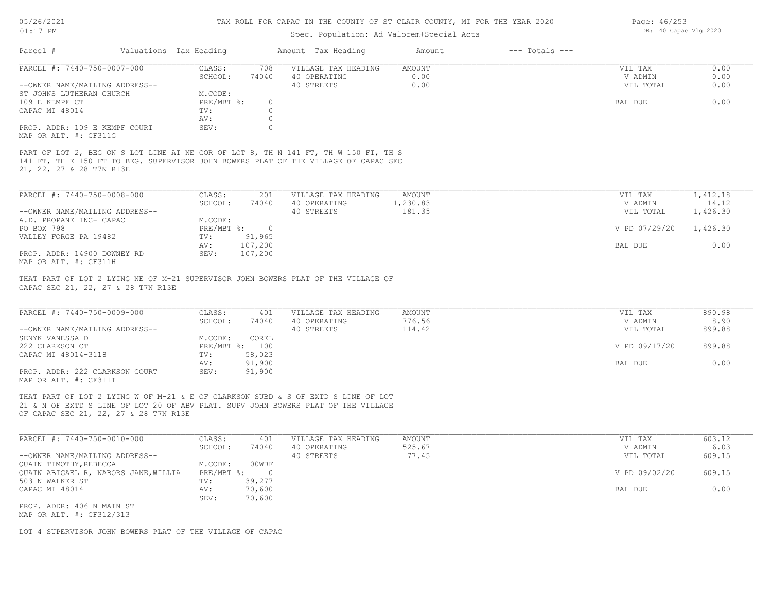## 05/26/2021

01:17 PM

#### TAX ROLL FOR CAPAC IN THE COUNTY OF ST CLAIR COUNTY, MI FOR THE YEAR 2020

## Spec. Population: Ad Valorem+Special Acts

Page: 46/253 DB: 40 Capac Vlg 2020

| Parcel #                                               | Valuations Tax Heading |          | Amount Tax Heading                                                                                                                                                         | Amount | $---$ Totals $---$ |           |      |
|--------------------------------------------------------|------------------------|----------|----------------------------------------------------------------------------------------------------------------------------------------------------------------------------|--------|--------------------|-----------|------|
| PARCEL #: 7440-750-0007-000                            | CLASS:                 | 708      | VILLAGE TAX HEADING                                                                                                                                                        | AMOUNT |                    | VIL TAX   | 0.00 |
|                                                        | SCHOOL:                | 74040    | 40 OPERATING                                                                                                                                                               | 0.00   |                    | V ADMIN   | 0.00 |
| --OWNER NAME/MAILING ADDRESS--                         |                        |          | 40 STREETS                                                                                                                                                                 | 0.00   |                    | VIL TOTAL | 0.00 |
| ST JOHNS LUTHERAN CHURCH                               | M.CODE:                |          |                                                                                                                                                                            |        |                    |           |      |
| 109 E KEMPF CT                                         | PRE/MBT %:             | $\Omega$ |                                                                                                                                                                            |        |                    | BAL DUE   | 0.00 |
| CAPAC MI 48014                                         | TV:                    |          |                                                                                                                                                                            |        |                    |           |      |
|                                                        | AV:                    |          |                                                                                                                                                                            |        |                    |           |      |
| PROP. ADDR: 109 E KEMPF COURT<br>MAP OR ALT. #: CF311G | SEV:                   |          |                                                                                                                                                                            |        |                    |           |      |
| 21, 22, 27 & 28 T7N R13E                               |                        |          | PART OF LOT 2, BEG ON S LOT LINE AT NE COR OF LOT 8, TH N 141 FT, TH W 150 FT, TH S<br>141 FT, TH E 150 FT TO BEG. SUPERVISOR JOHN BOWERS PLAT OF THE VILLAGE OF CAPAC SEC |        |                    |           |      |

| PARCEL #: 7440-750-0008-000    | CLASS:     | 201     | VILLAGE TAX HEADING | AMOUNT   | VIL TAX       | 1,412.18 |
|--------------------------------|------------|---------|---------------------|----------|---------------|----------|
|                                | SCHOOL:    | 74040   | 40 OPERATING        | 1,230.83 | V ADMIN       | 14.12    |
| --OWNER NAME/MAILING ADDRESS-- |            |         | 40 STREETS          | 181.35   | VIL TOTAL     | 1,426.30 |
| A.D. PROPANE INC- CAPAC        | M.CODE:    |         |                     |          |               |          |
| PO BOX 798                     | PRE/MBT %: |         |                     |          | V PD 07/29/20 | 1,426.30 |
| VALLEY FORGE PA 19482          | TV:        | 91,965  |                     |          |               |          |
|                                | AV:        | 107,200 |                     |          | BAL DUE       | 0.00     |
| PROP. ADDR: 14900 DOWNEY RD    | SEV:       | 107,200 |                     |          |               |          |
| MAP OR ALT. #: CF311H          |            |         |                     |          |               |          |

CAPAC SEC 21, 22, 27 & 28 T7N R13E THAT PART OF LOT 2 LYING NE OF M-21 SUPERVISOR JOHN BOWERS PLAT OF THE VILLAGE OF

| PARCEL #: 7440-750-0009-000    | CLASS:       | 401    | VILLAGE TAX HEADING | AMOUNT | VIL TAX       | 890.98 |
|--------------------------------|--------------|--------|---------------------|--------|---------------|--------|
|                                | SCHOOL:      | 74040  | 40 OPERATING        | 776.56 | V ADMIN       | 8.90   |
| --OWNER NAME/MAILING ADDRESS-- |              |        | 40 STREETS          | 114.42 | VIL TOTAL     | 899.88 |
| SENYK VANESSA D                | M.CODE:      | COREL  |                     |        |               |        |
| 222 CLARKSON CT                | $PRE/MBT$ %: | 100    |                     |        | V PD 09/17/20 | 899.88 |
| CAPAC MI 48014-3118            | TV:          | 58,023 |                     |        |               |        |
|                                | AV:          | 91,900 |                     |        | BAL DUE       | 0.00   |
| PROP. ADDR: 222 CLARKSON COURT | SEV:         | 91,900 |                     |        |               |        |
| MAP OR ALT. #: CF311I          |              |        |                     |        |               |        |

 $\mathcal{L}_\mathcal{L} = \mathcal{L}_\mathcal{L} = \mathcal{L}_\mathcal{L} = \mathcal{L}_\mathcal{L} = \mathcal{L}_\mathcal{L} = \mathcal{L}_\mathcal{L} = \mathcal{L}_\mathcal{L} = \mathcal{L}_\mathcal{L} = \mathcal{L}_\mathcal{L} = \mathcal{L}_\mathcal{L} = \mathcal{L}_\mathcal{L} = \mathcal{L}_\mathcal{L} = \mathcal{L}_\mathcal{L} = \mathcal{L}_\mathcal{L} = \mathcal{L}_\mathcal{L} = \mathcal{L}_\mathcal{L} = \mathcal{L}_\mathcal{L}$ 

OF CAPAC SEC 21, 22, 27 & 28 T7N R13E 21 & N OF EXTD S LINE OF LOT 20 OF ABV PLAT. SUPV JOHN BOWERS PLAT OF THE VILLAGE THAT PART OF LOT 2 LYING W OF M-21 & E OF CLARKSON SUBD & S OF EXTD S LINE OF LOT

| PARCEL #: 7440-750-0010-000          | CLASS:     | 401    | VILLAGE TAX HEADING | AMOUNT | VIL TAX       | 603.12 |
|--------------------------------------|------------|--------|---------------------|--------|---------------|--------|
|                                      | SCHOOL:    | 74040  | 40 OPERATING        | 525.67 | V ADMIN       | 6.03   |
| --OWNER NAME/MAILING ADDRESS--       |            |        | 40 STREETS          | 77.45  | VIL TOTAL     | 609.15 |
| QUAIN TIMOTHY, REBECCA               | M.CODE:    | 00WBF  |                     |        |               |        |
| QUAIN ABIGAEL R, NABORS JANE, WILLIA | PRE/MBT %: |        |                     |        | V PD 09/02/20 | 609.15 |
| 503 N WALKER ST                      | TV:        | 39,277 |                     |        |               |        |
| CAPAC MI 48014                       | AV:        | 70,600 |                     |        | BAL DUE       | 0.00   |
|                                      | SEV:       | 70,600 |                     |        |               |        |
| PROP. ADDR: 406 N MAIN ST            |            |        |                     |        |               |        |

MAP OR ALT. #: CF312/313

LOT 4 SUPERVISOR JOHN BOWERS PLAT OF THE VILLAGE OF CAPAC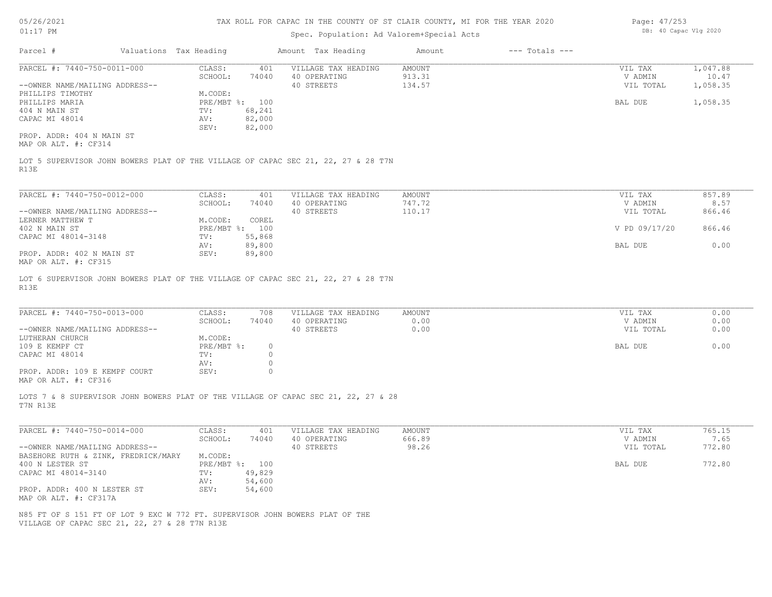| 05/26/2021                                            |                                     |                        |                          | TAX ROLL FOR CAPAC IN THE COUNTY OF ST CLAIR COUNTY, MI FOR THE YEAR 2020          |               |                    | Page: 47/253       |                       |
|-------------------------------------------------------|-------------------------------------|------------------------|--------------------------|------------------------------------------------------------------------------------|---------------|--------------------|--------------------|-----------------------|
| $01:17$ PM                                            |                                     |                        |                          | Spec. Population: Ad Valorem+Special Acts                                          |               |                    |                    | DB: 40 Capac Vlg 2020 |
| Parcel #                                              |                                     | Valuations Tax Heading |                          | Amount Tax Heading                                                                 | Amount        | $---$ Totals $---$ |                    |                       |
| PARCEL #: 7440-750-0011-000                           |                                     | CLASS:                 | 401                      | VILLAGE TAX HEADING                                                                | <b>AMOUNT</b> |                    | VIL TAX            | 1,047.88              |
|                                                       |                                     | SCHOOL:                | 74040                    | 40 OPERATING                                                                       | 913.31        |                    | V ADMIN            | 10.47                 |
| --OWNER NAME/MAILING ADDRESS--                        |                                     |                        |                          | 40 STREETS                                                                         | 134.57        |                    | VIL TOTAL          | 1,058.35              |
| PHILLIPS TIMOTHY                                      |                                     | M.CODE:                |                          |                                                                                    |               |                    |                    |                       |
| PHILLIPS MARIA<br>404 N MAIN ST                       |                                     | TV:                    | PRE/MBT %: 100<br>68,241 |                                                                                    |               |                    | BAL DUE            | 1,058.35              |
| CAPAC MI 48014                                        |                                     | AV:                    | 82,000                   |                                                                                    |               |                    |                    |                       |
|                                                       |                                     | SEV:                   | 82,000                   |                                                                                    |               |                    |                    |                       |
| PROP. ADDR: 404 N MAIN ST<br>MAP OR ALT. #: CF314     |                                     |                        |                          |                                                                                    |               |                    |                    |                       |
| R13E                                                  |                                     |                        |                          | LOT 5 SUPERVISOR JOHN BOWERS PLAT OF THE VILLAGE OF CAPAC SEC 21, 22, 27 & 28 T7N  |               |                    |                    |                       |
|                                                       |                                     |                        |                          |                                                                                    |               |                    |                    |                       |
| PARCEL #: 7440-750-0012-000                           |                                     | CLASS:                 | 401                      | VILLAGE TAX HEADING                                                                | AMOUNT        |                    | VIL TAX            | 857.89                |
|                                                       |                                     | SCHOOL:                | 74040                    | 40 OPERATING                                                                       | 747.72        |                    | V ADMIN            | 8.57                  |
|                                                       | --OWNER NAME/MAILING ADDRESS--      |                        |                          | 40 STREETS                                                                         | 110.17        |                    | VIL TOTAL          | 866.46                |
| LERNER MATTHEW T                                      |                                     | M.CODE:                | COREL                    |                                                                                    |               |                    |                    |                       |
| 402 N MAIN ST                                         |                                     |                        | PRE/MBT %: 100           |                                                                                    |               |                    | V PD 09/17/20      | 866.46                |
| CAPAC MI 48014-3148                                   |                                     | TV:                    | 55,868                   |                                                                                    |               |                    |                    |                       |
|                                                       |                                     | AV:                    | 89,800                   |                                                                                    |               |                    | BAL DUE            | 0.00                  |
| PROP. ADDR: 402 N MAIN ST<br>MAP OR ALT. #: CF315     |                                     | SEV:                   | 89,800                   |                                                                                    |               |                    |                    |                       |
| R13E                                                  |                                     |                        |                          | LOT 6 SUPERVISOR JOHN BOWERS PLAT OF THE VILLAGE OF CAPAC SEC 21, 22, 27 & 28 T7N  |               |                    |                    |                       |
| PARCEL #: 7440-750-0013-000                           |                                     | CLASS:                 | 708                      | VILLAGE TAX HEADING                                                                | <b>AMOUNT</b> |                    |                    | 0.00                  |
|                                                       |                                     | SCHOOL:                | 74040                    | 40 OPERATING                                                                       | 0.00          |                    | VIL TAX<br>V ADMIN | 0.00                  |
| --OWNER NAME/MAILING ADDRESS--                        |                                     |                        |                          | 40 STREETS                                                                         | 0.00          |                    | VIL TOTAL          | 0.00                  |
| LUTHERAN CHURCH                                       |                                     | M.CODE:                |                          |                                                                                    |               |                    |                    |                       |
| 109 E KEMPF CT                                        |                                     | PRE/MBT %:             | $\circ$                  |                                                                                    |               |                    | BAL DUE            | 0.00                  |
| CAPAC MI 48014                                        |                                     | TV:                    | $\circ$                  |                                                                                    |               |                    |                    |                       |
|                                                       |                                     | AV:                    | $\circ$                  |                                                                                    |               |                    |                    |                       |
| PROP. ADDR: 109 E KEMPF COURT<br>MAP OR ALT. #: CF316 |                                     | SEV:                   | $\mathbf 0$              |                                                                                    |               |                    |                    |                       |
| T7N R13E                                              |                                     |                        |                          | LOTS 7 & 8 SUPERVISOR JOHN BOWERS PLAT OF THE VILLAGE OF CAPAC SEC 21, 22, 27 & 28 |               |                    |                    |                       |
|                                                       |                                     |                        |                          |                                                                                    |               |                    |                    |                       |
| PARCEL #: 7440-750-0014-000                           |                                     | CLASS:                 | 401                      | VILLAGE TAX HEADING                                                                | AMOUNT        |                    | VIL TAX            | 765.15                |
|                                                       |                                     | SCHOOL:                | 74040                    | 40 OPERATING                                                                       | 666.89        |                    | V ADMIN            | 7.65                  |
|                                                       | --OWNER NAME/MAILING ADDRESS--      |                        |                          | 40 STREETS                                                                         | 98.26         |                    | VIL TOTAL          | 772.80                |
|                                                       | BASEHORE RUTH & ZINK, FREDRICK/MARY | M.CODE:                |                          |                                                                                    |               |                    |                    |                       |
| 400 N LESTER ST                                       |                                     |                        | PRE/MBT %: 100           |                                                                                    |               |                    | BAL DUE            | 772.80                |
| CAPAC MI 48014-3140                                   |                                     | TV:                    | 49,829                   |                                                                                    |               |                    |                    |                       |
|                                                       |                                     | AV:                    | 54,600                   |                                                                                    |               |                    |                    |                       |
| PROP. ADDR: 400 N LESTER ST                           |                                     | SEV:                   | 54,600                   |                                                                                    |               |                    |                    |                       |

MAP OR ALT. #: CF317A

VILLAGE OF CAPAC SEC 21, 22, 27 & 28 T7N R13E N85 FT OF S 151 FT OF LOT 9 EXC W 772 FT. SUPERVISOR JOHN BOWERS PLAT OF THE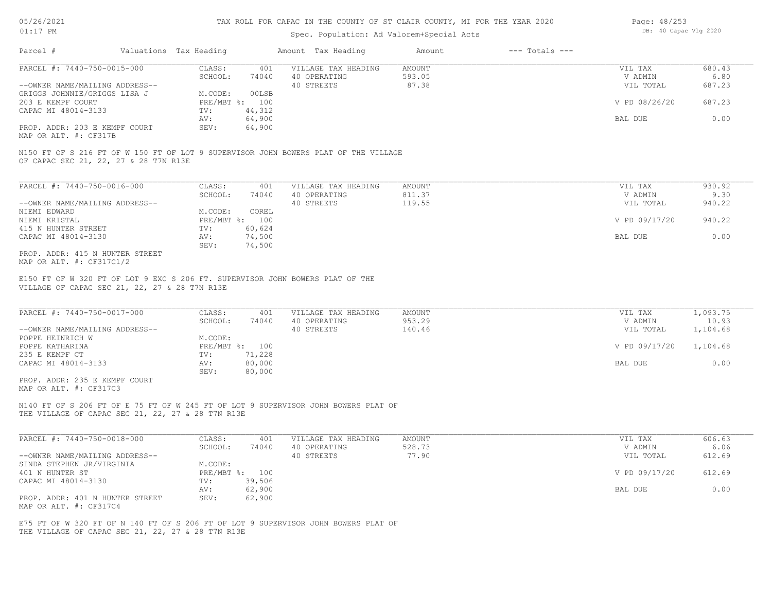## Spec. Population: Ad Valorem+Special Acts

| Page: 48/253 |                       |  |
|--------------|-----------------------|--|
|              | DB: 40 Capac Vlg 2020 |  |

| Parcel #                       | Valuations Tax Heading |        | Amount Tax Heading  | Amount | $---$ Totals $---$ |               |        |
|--------------------------------|------------------------|--------|---------------------|--------|--------------------|---------------|--------|
| PARCEL #: 7440-750-0015-000    | CLASS:                 | 401    | VILLAGE TAX HEADING | AMOUNT |                    | VIL TAX       | 680.43 |
|                                | SCHOOL:                | 74040  | 40 OPERATING        | 593.05 |                    | V ADMIN       | 6.80   |
| --OWNER NAME/MAILING ADDRESS-- |                        |        | 40 STREETS          | 87.38  |                    | VIL TOTAL     | 687.23 |
| GRIGGS JOHNNIE/GRIGGS LISA J   | M.CODE:                | 00LSB  |                     |        |                    |               |        |
| 203 E KEMPF COURT              | $PRE/MBT$ %:           | 100    |                     |        |                    | V PD 08/26/20 | 687.23 |
| CAPAC MI 48014-3133            | TV:                    | 44,312 |                     |        |                    |               |        |
|                                | AV:                    | 64,900 |                     |        |                    | BAL DUE       | 0.00   |
| PROP. ADDR: 203 E KEMPF COURT  | SEV:                   | 64,900 |                     |        |                    |               |        |
|                                |                        |        |                     |        |                    |               |        |

MAP OR ALT. #: CF317B

OF CAPAC SEC 21, 22, 27 & 28 T7N R13E N150 FT OF S 216 FT OF W 150 FT OF LOT 9 SUPERVISOR JOHN BOWERS PLAT OF THE VILLAGE

| PARCEL #: 7440-750-0016-000     | CLASS:       | 401    | VILLAGE TAX HEADING | AMOUNT | VIL TAX       | 930.92 |
|---------------------------------|--------------|--------|---------------------|--------|---------------|--------|
|                                 | SCHOOL:      | 74040  | 40 OPERATING        | 811.37 | V ADMIN       | 9.30   |
| --OWNER NAME/MAILING ADDRESS--  |              |        | 40 STREETS          | 119.55 | VIL TOTAL     | 940.22 |
| NIEMI EDWARD                    | M.CODE:      | COREL  |                     |        |               |        |
| NIEMI KRISTAL                   | $PRE/MBT$ %: | 100    |                     |        | V PD 09/17/20 | 940.22 |
| 415 N HUNTER STREET             | TV:          | 60,624 |                     |        |               |        |
| CAPAC MI 48014-3130             | AV:          | 74,500 |                     |        | BAL DUE       | 0.00   |
|                                 | SEV:         | 74,500 |                     |        |               |        |
| PROP. ADDR: 415 N HUNTER STREET |              |        |                     |        |               |        |

MAP OR ALT. #: CF317C1/2

VILLAGE OF CAPAC SEC 21, 22, 27 & 28 T7N R13E E150 FT OF W 320 FT OF LOT 9 EXC S 206 FT. SUPERVISOR JOHN BOWERS PLAT OF THE

| PARCEL #: 7440-750-0017-000    | CLASS:  | 401            | VILLAGE TAX HEADING | AMOUNT | VIL TAX       | 1,093.75 |
|--------------------------------|---------|----------------|---------------------|--------|---------------|----------|
|                                | SCHOOL: | 74040          | 40 OPERATING        | 953.29 | V ADMIN       | 10.93    |
| --OWNER NAME/MAILING ADDRESS-- |         |                | 40 STREETS          | 140.46 | VIL TOTAL     | 1,104.68 |
| POPPE HEINRICH W               | M.CODE: |                |                     |        |               |          |
| POPPE KATHARINA                |         | PRE/MBT %: 100 |                     |        | V PD 09/17/20 | 1,104.68 |
| 235 E KEMPF CT                 | TV:     | 71,228         |                     |        |               |          |
| CAPAC MI 48014-3133            | AV:     | 80,000         |                     |        | BAL DUE       | 0.00     |
|                                | SEV:    | 80,000         |                     |        |               |          |
| PROP. ADDR: 235 E KEMPF COURT  |         |                |                     |        |               |          |

MAP OR ALT. #: CF317C3

THE VILLAGE OF CAPAC SEC 21, 22, 27 & 28 T7N R13E N140 FT OF S 206 FT OF E 75 FT OF W 245 FT OF LOT 9 SUPERVISOR JOHN BOWERS PLAT OF

| PARCEL #: 7440-750-0018-000     | CLASS:  | 401            | VILLAGE TAX HEADING | AMOUNT | VIL TAX       | 606.63 |
|---------------------------------|---------|----------------|---------------------|--------|---------------|--------|
|                                 | SCHOOL: | 74040          | 40 OPERATING        | 528.73 | V ADMIN       | 6.06   |
| --OWNER NAME/MAILING ADDRESS--  |         |                | 40 STREETS          | 77.90  | VIL TOTAL     | 612.69 |
| SINDA STEPHEN JR/VIRGINIA       | M.CODE: |                |                     |        |               |        |
| 401 N HUNTER ST                 |         | PRE/MBT %: 100 |                     |        | V PD 09/17/20 | 612.69 |
| CAPAC MI 48014-3130             | TV:     | 39,506         |                     |        |               |        |
|                                 | AV:     | 62,900         |                     |        | BAL DUE       | 0.00   |
| PROP. ADDR: 401 N HUNTER STREET | SEV:    | 62,900         |                     |        |               |        |
| MAP OR ALT. #: CF317C4          |         |                |                     |        |               |        |

THE VILLAGE OF CAPAC SEC 21, 22, 27 & 28 T7N R13E E75 FT OF W 320 FT OF N 140 FT OF S 206 FT OF LOT 9 SUPERVISOR JOHN BOWERS PLAT OF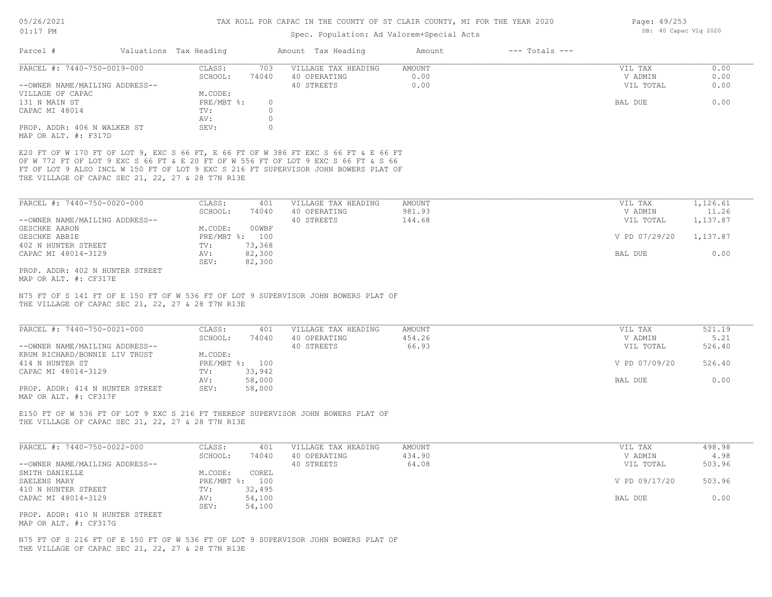Page: 49/253

DB: 40 Capac Vlg 2020

## Spec. Population: Ad Valorem+Special Acts

| Parcel #                                                                                                                                                                                                  | Valuations Tax Heading          |                  | Amount Tax Heading                                                                                                                                                                                                                                               | Amount                    | $---$ Totals $---$ |                                 |                                    |
|-----------------------------------------------------------------------------------------------------------------------------------------------------------------------------------------------------------|---------------------------------|------------------|------------------------------------------------------------------------------------------------------------------------------------------------------------------------------------------------------------------------------------------------------------------|---------------------------|--------------------|---------------------------------|------------------------------------|
| PARCEL #: 7440-750-0019-000                                                                                                                                                                               | CLASS:<br>SCHOOL:               | 703<br>74040     | VILLAGE TAX HEADING<br>40 OPERATING                                                                                                                                                                                                                              | AMOUNT<br>0.00            |                    | VIL TAX<br>V ADMIN              | 0.00<br>0.00                       |
| --OWNER NAME/MAILING ADDRESS--                                                                                                                                                                            |                                 |                  | 40 STREETS                                                                                                                                                                                                                                                       | 0.00                      |                    | VIL TOTAL                       | 0.00                               |
| VILLAGE OF CAPAC                                                                                                                                                                                          | M.CODE:<br>PRE/MBT %:           | $\circ$          |                                                                                                                                                                                                                                                                  |                           |                    |                                 | 0.00                               |
| 131 N MAIN ST<br>CAPAC MI 48014                                                                                                                                                                           | TV:                             | $\circ$          |                                                                                                                                                                                                                                                                  |                           |                    | BAL DUE                         |                                    |
|                                                                                                                                                                                                           | AV:                             | 0                |                                                                                                                                                                                                                                                                  |                           |                    |                                 |                                    |
| PROP. ADDR: 406 N WALKER ST<br>MAP OR ALT. #: F317D                                                                                                                                                       | SEV:                            | $\circ$          |                                                                                                                                                                                                                                                                  |                           |                    |                                 |                                    |
| THE VILLAGE OF CAPAC SEC 21, 22, 27 & 28 T7N R13E                                                                                                                                                         |                                 |                  | E20 FT OF W 170 FT OF LOT 9, EXC S 66 FT, E 66 FT OF W 386 FT EXC S 66 FT & E 66 FT<br>OF W 772 FT OF LOT 9 EXC S 66 FT & E 20 FT OF W 556 FT OF LOT 9 EXC S 66 FT & S 66<br>FT OF LOT 9 ALSO INCL W 150 FT OF LOT 9 EXC S 216 FT SUPERVISOR JOHN BOWERS PLAT OF |                           |                    |                                 |                                    |
| PARCEL #: 7440-750-0020-000                                                                                                                                                                               | CLASS:                          | 401              | VILLAGE TAX HEADING                                                                                                                                                                                                                                              | AMOUNT                    |                    | VIL TAX                         | 1,126.61                           |
|                                                                                                                                                                                                           | SCHOOL:                         | 74040            | 40 OPERATING                                                                                                                                                                                                                                                     | 981.93                    |                    | V ADMIN                         | 11.26                              |
| --OWNER NAME/MAILING ADDRESS--                                                                                                                                                                            |                                 |                  | 40 STREETS                                                                                                                                                                                                                                                       | 144.68                    |                    | VIL TOTAL                       | 1,137.87                           |
| GESCHKE AARON<br>GESCHKE ABBIE                                                                                                                                                                            | M.CODE:<br>PRE/MBT %: 100       | 00WBF            |                                                                                                                                                                                                                                                                  |                           |                    | V PD 07/29/20                   | 1,137.87                           |
| 402 N HUNTER STREET                                                                                                                                                                                       | TV:                             | 73,368           |                                                                                                                                                                                                                                                                  |                           |                    |                                 |                                    |
| CAPAC MI 48014-3129                                                                                                                                                                                       | AV:                             | 82,300           |                                                                                                                                                                                                                                                                  |                           |                    | BAL DUE                         | 0.00                               |
| PROP. ADDR: 402 N HUNTER STREET                                                                                                                                                                           | SEV:                            | 82,300           |                                                                                                                                                                                                                                                                  |                           |                    |                                 |                                    |
| MAP OR ALT. #: CF317E                                                                                                                                                                                     |                                 |                  |                                                                                                                                                                                                                                                                  |                           |                    |                                 |                                    |
|                                                                                                                                                                                                           |                                 |                  | N75 FT OF S 141 FT OF E 150 FT OF W 536 FT OF LOT 9 SUPERVISOR JOHN BOWERS PLAT OF                                                                                                                                                                               |                           |                    |                                 |                                    |
| THE VILLAGE OF CAPAC SEC 21, 22, 27 & 28 T7N R13E<br>PARCEL #: 7440-750-0021-000<br>--OWNER NAME/MAILING ADDRESS--                                                                                        | CLASS:<br>SCHOOL:               | 401<br>74040     | VILLAGE TAX HEADING<br>40 OPERATING<br>40 STREETS                                                                                                                                                                                                                | AMOUNT<br>454.26<br>66.93 |                    | VIL TAX<br>V ADMIN<br>VIL TOTAL |                                    |
| KRUM RICHARD/BONNIE LIV TRUST<br>414 N HUNTER ST                                                                                                                                                          | M.CODE:<br>PRE/MBT %: 100       |                  |                                                                                                                                                                                                                                                                  |                           |                    | V PD 07/09/20                   | 521.19<br>5.21<br>526.40<br>526.40 |
|                                                                                                                                                                                                           | TV:                             | 33,942           |                                                                                                                                                                                                                                                                  |                           |                    |                                 |                                    |
| CAPAC MI 48014-3129<br>PROP. ADDR: 414 N HUNTER STREET<br>MAP OR ALT. #: CF317F                                                                                                                           | AV:<br>SEV:                     | 58,000<br>58,000 |                                                                                                                                                                                                                                                                  |                           |                    | BAL DUE                         | 0.00                               |
| THE VILLAGE OF CAPAC SEC 21, 22, 27 & 28 T7N R13E                                                                                                                                                         |                                 |                  | E150 FT OF W 536 FT OF LOT 9 EXC S 216 FT THEREOF SUPERVISOR JOHN BOWERS PLAT OF                                                                                                                                                                                 |                           |                    |                                 |                                    |
|                                                                                                                                                                                                           | CLASS:                          | 401              | VILLAGE TAX HEADING                                                                                                                                                                                                                                              | <b>AMOUNT</b>             |                    | VIL TAX                         | 498.98                             |
|                                                                                                                                                                                                           | SCHOOL:                         | 74040            | 40 OPERATING                                                                                                                                                                                                                                                     | 434.90                    |                    | V ADMIN                         | 4.98                               |
|                                                                                                                                                                                                           |                                 |                  | 40 STREETS                                                                                                                                                                                                                                                       | 64.08                     |                    | VIL TOTAL                       | 503.96                             |
|                                                                                                                                                                                                           | M.CODE: COREL<br>PRE/MBT %: 100 |                  |                                                                                                                                                                                                                                                                  |                           |                    | V PD 09/17/20                   | 503.96                             |
|                                                                                                                                                                                                           | TV:                             | 32,495           |                                                                                                                                                                                                                                                                  |                           |                    |                                 |                                    |
|                                                                                                                                                                                                           | AV:                             | 54,100           |                                                                                                                                                                                                                                                                  |                           |                    | BAL DUE                         | 0.00                               |
| PARCEL #: 7440-750-0022-000<br>--OWNER NAME/MAILING ADDRESS--<br>SMITH DANIELLE<br>SAELENS MARY<br>410 N HUNTER STREET<br>CAPAC MI 48014-3129<br>PROP. ADDR: 410 N HUNTER STREET<br>MAP OR ALT. #: CF317G | SEV:                            | 54,100           |                                                                                                                                                                                                                                                                  |                           |                    |                                 |                                    |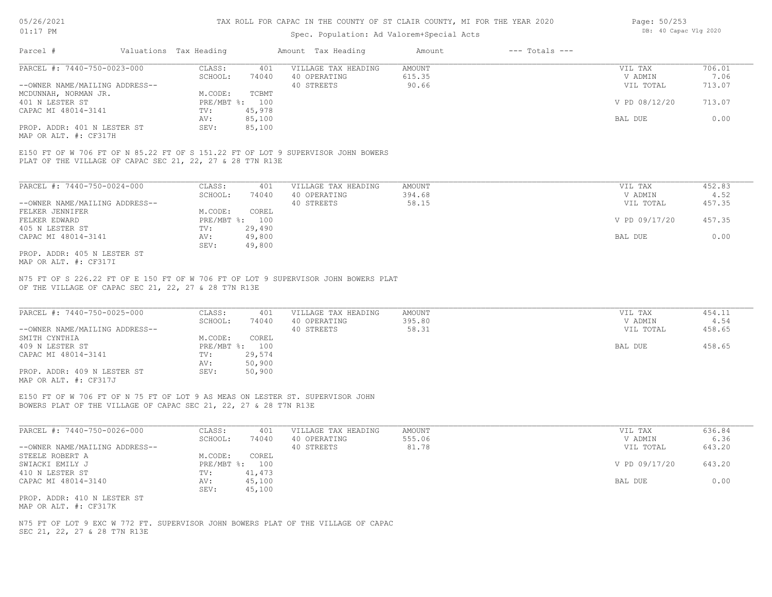## Spec. Population: Ad Valorem+Special Acts

| Page: 50/253 |                       |  |
|--------------|-----------------------|--|
|              | DB: 40 Capac Vlg 2020 |  |

| Parcel #                       | Valuations Tax Heading |        | Amount Tax Heading  | Amount | $---$ Totals $---$ |               |        |
|--------------------------------|------------------------|--------|---------------------|--------|--------------------|---------------|--------|
| PARCEL #: 7440-750-0023-000    | CLASS:                 | 401    | VILLAGE TAX HEADING | AMOUNT |                    | VIL TAX       | 706.01 |
|                                | SCHOOL:                | 74040  | 40 OPERATING        | 615.35 |                    | V ADMIN       | 7.06   |
| --OWNER NAME/MAILING ADDRESS-- |                        |        | 40 STREETS          | 90.66  |                    | VIL TOTAL     | 713.07 |
| MCDUNNAH, NORMAN JR.           | M.CODE:                | TCBMT  |                     |        |                    |               |        |
| 401 N LESTER ST                | PRE/MBT %: 100         |        |                     |        |                    | V PD 08/12/20 | 713.07 |
| CAPAC MI 48014-3141            | TV:                    | 45,978 |                     |        |                    |               |        |
|                                | AV:                    | 85,100 |                     |        |                    | BAL DUE       | 0.00   |
| PROP. ADDR: 401 N LESTER ST    | SEV:                   | 85,100 |                     |        |                    |               |        |
|                                |                        |        |                     |        |                    |               |        |

MAP OR ALT. #: CF317H

PLAT OF THE VILLAGE OF CAPAC SEC 21, 22, 27 & 28 T7N R13E E150 FT OF W 706 FT OF N 85.22 FT OF S 151.22 FT OF LOT 9 SUPERVISOR JOHN BOWERS

| PARCEL #: 7440-750-0024-000    | CLASS:       | 401    | VILLAGE TAX HEADING | AMOUNT | VIL TAX       | 452.83 |
|--------------------------------|--------------|--------|---------------------|--------|---------------|--------|
|                                | SCHOOL:      | 74040  | 40 OPERATING        | 394.68 | V ADMIN       | 4.52   |
| --OWNER NAME/MAILING ADDRESS-- |              |        | 40 STREETS          | 58.15  | VIL TOTAL     | 457.35 |
| FELKER JENNIFER                | M.CODE:      | COREL  |                     |        |               |        |
| FELKER EDWARD                  | $PRE/MBT$ %: | 100    |                     |        | V PD 09/17/20 | 457.35 |
| 405 N LESTER ST                | TV:          | 29,490 |                     |        |               |        |
| CAPAC MI 48014-3141            | AV:          | 49,800 |                     |        | BAL DUE       | 0.00   |
|                                | SEV:         | 49,800 |                     |        |               |        |
| PROP. ADDR: 405 N LESTER ST    |              |        |                     |        |               |        |

MAP OR ALT. #: CF317I

OF THE VILLAGE OF CAPAC SEC 21, 22, 27 & 28 T7N R13E N75 FT OF S 226.22 FT OF E 150 FT OF W 706 FT OF LOT 9 SUPERVISOR JOHN BOWERS PLAT

| PARCEL #: 7440-750-0025-000    | CLASS:     | 401    | VILLAGE TAX HEADING | AMOUNT | VIL TAX   | 454.11 |
|--------------------------------|------------|--------|---------------------|--------|-----------|--------|
|                                | SCHOOL:    | 74040  | 40 OPERATING        | 395.80 | V ADMIN   | 4.54   |
| --OWNER NAME/MAILING ADDRESS-- |            |        | 40 STREETS          | 58.31  | VIL TOTAL | 458.65 |
| SMITH CYNTHIA                  | M.CODE:    | COREL  |                     |        |           |        |
| 409 N LESTER ST                | PRE/MBT %: | 100    |                     |        | BAL DUE   | 458.65 |
| CAPAC MI 48014-3141            | TV:        | 29,574 |                     |        |           |        |
|                                | AV:        | 50,900 |                     |        |           |        |
| PROP. ADDR: 409 N LESTER ST    | SEV:       | 50,900 |                     |        |           |        |
| MAP OR ALT. #: CF317J          |            |        |                     |        |           |        |

 $\mathcal{L}_\mathcal{L} = \mathcal{L}_\mathcal{L} = \mathcal{L}_\mathcal{L} = \mathcal{L}_\mathcal{L} = \mathcal{L}_\mathcal{L} = \mathcal{L}_\mathcal{L} = \mathcal{L}_\mathcal{L} = \mathcal{L}_\mathcal{L} = \mathcal{L}_\mathcal{L} = \mathcal{L}_\mathcal{L} = \mathcal{L}_\mathcal{L} = \mathcal{L}_\mathcal{L} = \mathcal{L}_\mathcal{L} = \mathcal{L}_\mathcal{L} = \mathcal{L}_\mathcal{L} = \mathcal{L}_\mathcal{L} = \mathcal{L}_\mathcal{L}$ 

BOWERS PLAT OF THE VILLAGE OF CAPAC SEC 21, 22, 27 & 28 T7N R13E E150 FT OF W 706 FT OF N 75 FT OF LOT 9 AS MEAS ON LESTER ST. SUPERVISOR JOHN

| PARCEL #: 7440-750-0026-000    | CLASS:       | 401    | VILLAGE TAX HEADING | AMOUNT | VIL TAX       | 636.84 |
|--------------------------------|--------------|--------|---------------------|--------|---------------|--------|
|                                | SCHOOL:      | 74040  | 40 OPERATING        | 555.06 | V ADMIN       | 6.36   |
| --OWNER NAME/MAILING ADDRESS-- |              |        | 40 STREETS          | 81.78  | VIL TOTAL     | 643.20 |
| STEELE ROBERT A                | M.CODE:      | COREL  |                     |        |               |        |
| SWIACKI EMILY J                | $PRE/MBT$ %: | 100    |                     |        | V PD 09/17/20 | 643.20 |
| 410 N LESTER ST                | TV:          | 41,473 |                     |        |               |        |
| CAPAC MI 48014-3140            | AV:          | 45,100 |                     |        | BAL DUE       | 0.00   |
|                                | SEV:         | 45,100 |                     |        |               |        |
| PROP. ADDR: 410 N LESTER ST    |              |        |                     |        |               |        |

MAP OR ALT. #: CF317K

SEC 21, 22, 27 & 28 T7N R13E N75 FT OF LOT 9 EXC W 772 FT. SUPERVISOR JOHN BOWERS PLAT OF THE VILLAGE OF CAPAC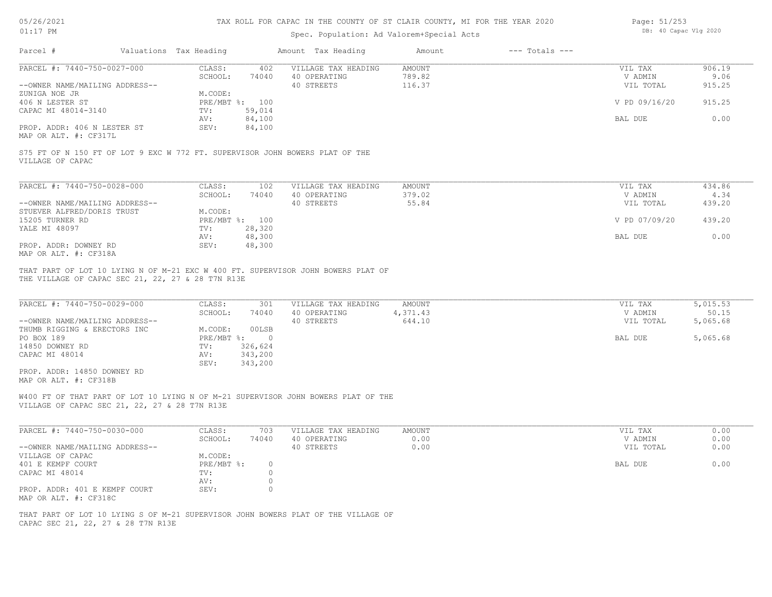# 05/26/2021

#### TAX ROLL FOR CAPAC IN THE COUNTY OF ST CLAIR COUNTY, MI FOR THE YEAR 2020

| Page: 51/253 |                       |  |
|--------------|-----------------------|--|
|              | DB: 40 Capac Vlg 2020 |  |

| $01:17$ PM                                                                                                                                       | Spec. Population: Ad Valorem+Special Acts                          |                                                                          |                                                   |                                     |                    | DB: 40 Capac Vlg 2020                      |                                           |  |
|--------------------------------------------------------------------------------------------------------------------------------------------------|--------------------------------------------------------------------|--------------------------------------------------------------------------|---------------------------------------------------|-------------------------------------|--------------------|--------------------------------------------|-------------------------------------------|--|
| Parcel #                                                                                                                                         | Valuations Tax Heading                                             |                                                                          | Amount Tax Heading                                | Amount                              | $---$ Totals $---$ |                                            |                                           |  |
| PARCEL #: 7440-750-0027-000                                                                                                                      | CLASS:                                                             | 402                                                                      | VILLAGE TAX HEADING                               | <b>AMOUNT</b>                       |                    | VIL TAX                                    | 906.19                                    |  |
|                                                                                                                                                  | SCHOOL:                                                            | 74040                                                                    | 40 OPERATING                                      | 789.82                              |                    | V ADMIN                                    | 9.06                                      |  |
| --OWNER NAME/MAILING ADDRESS--                                                                                                                   |                                                                    |                                                                          | 40 STREETS                                        | 116.37                              |                    | VIL TOTAL                                  | 915.25                                    |  |
| ZUNIGA NOE JR                                                                                                                                    | M.CODE:                                                            |                                                                          |                                                   |                                     |                    |                                            |                                           |  |
| 406 N LESTER ST                                                                                                                                  | PRE/MBT %: 100                                                     |                                                                          |                                                   |                                     |                    | V PD 09/16/20                              | 915.25                                    |  |
| CAPAC MI 48014-3140                                                                                                                              | TV:                                                                | 59,014                                                                   |                                                   |                                     |                    |                                            |                                           |  |
|                                                                                                                                                  | AV:                                                                | 84,100                                                                   |                                                   |                                     |                    | BAL DUE                                    | 0.00                                      |  |
| PROP. ADDR: 406 N LESTER ST<br>MAP OR ALT. #: CF317L                                                                                             | SEV:                                                               | 84,100                                                                   |                                                   |                                     |                    |                                            |                                           |  |
| S75 FT OF N 150 FT OF LOT 9 EXC W 772 FT. SUPERVISOR JOHN BOWERS PLAT OF THE<br>VILLAGE OF CAPAC                                                 |                                                                    |                                                                          |                                                   |                                     |                    |                                            |                                           |  |
| PARCEL #: 7440-750-0028-000                                                                                                                      | CLASS:                                                             | 102                                                                      | VILLAGE TAX HEADING                               | AMOUNT                              |                    | VIL TAX                                    | 434.86                                    |  |
|                                                                                                                                                  | SCHOOL:                                                            | 74040                                                                    | 40 OPERATING                                      | 379.02                              |                    | V ADMIN                                    | 4.34                                      |  |
| --OWNER NAME/MAILING ADDRESS--                                                                                                                   |                                                                    |                                                                          | 40 STREETS                                        | 55.84                               |                    | VIL TOTAL                                  | 439.20                                    |  |
| STUEVER ALFRED/DORIS TRUST                                                                                                                       | M.CODE:                                                            |                                                                          |                                                   |                                     |                    |                                            |                                           |  |
| 15205 TURNER RD                                                                                                                                  | PRE/MBT %: 100                                                     |                                                                          |                                                   |                                     |                    | V PD 07/09/20                              | 439.20                                    |  |
| YALE MI 48097                                                                                                                                    | TV:                                                                | 28,320                                                                   |                                                   |                                     |                    |                                            |                                           |  |
|                                                                                                                                                  | AV:                                                                | 48,300                                                                   |                                                   |                                     |                    | BAL DUE                                    | 0.00                                      |  |
| PROP. ADDR: DOWNEY RD                                                                                                                            | SEV:                                                               | 48,300                                                                   |                                                   |                                     |                    |                                            |                                           |  |
| MAP OR ALT. #: CF318A                                                                                                                            |                                                                    |                                                                          |                                                   |                                     |                    |                                            |                                           |  |
| PARCEL #: 7440-750-0029-000<br>--OWNER NAME/MAILING ADDRESS--<br>THUMB RIGGING & ERECTORS INC<br>PO BOX 189<br>14850 DOWNEY RD<br>CAPAC MI 48014 | CLASS:<br>SCHOOL:<br>M.CODE:<br>$PRE/MBT$ %:<br>TV:<br>AV:<br>SEV: | 301<br>74040<br>00LSB<br>$\overline{0}$<br>326,624<br>343,200<br>343,200 | VILLAGE TAX HEADING<br>40 OPERATING<br>40 STREETS | <b>AMOUNT</b><br>4,371.43<br>644.10 |                    | VIL TAX<br>V ADMIN<br>VIL TOTAL<br>BAL DUE | 5,015.53<br>50.15<br>5,065.68<br>5,065.68 |  |
| PROP. ADDR: 14850 DOWNEY RD<br>MAP OR ALT. #: CF318B                                                                                             |                                                                    |                                                                          |                                                   |                                     |                    |                                            |                                           |  |
| W400 FT OF THAT PART OF LOT 10 LYING N OF M-21 SUPERVISOR JOHN BOWERS PLAT OF THE<br>VILLAGE OF CAPAC SEC 21, 22, 27 & 28 T7N R13E               |                                                                    |                                                                          |                                                   |                                     |                    |                                            |                                           |  |
| PARCEL #: 7440-750-0030-000                                                                                                                      | CLASS:                                                             | 703                                                                      | VILLAGE TAX HEADING                               | <b>AMOUNT</b>                       |                    | VIL TAX                                    | 0.00                                      |  |
|                                                                                                                                                  | SCHOOL:                                                            | 74040                                                                    | 40 OPERATING                                      | 0.00                                |                    | V ADMIN                                    | 0.00                                      |  |
| --OWNER NAME/MAILING ADDRESS--                                                                                                                   |                                                                    |                                                                          | 40 STREETS                                        | 0.00                                |                    | VIL TOTAL                                  | 0.00                                      |  |
| VILLAGE OF CAPAC                                                                                                                                 | M.CODE:                                                            |                                                                          |                                                   |                                     |                    |                                            |                                           |  |
| 401 E KEMPF COURT                                                                                                                                | $PRE/MBT$ $\div$                                                   | $\circ$                                                                  |                                                   |                                     |                    | BAL DUE                                    | 0.00                                      |  |
| CAPAC MI 48014                                                                                                                                   | TV:                                                                | $\circ$                                                                  |                                                   |                                     |                    |                                            |                                           |  |
| PROP. ADDR: 401 E KEMPF COURT<br>MAP OR ALT. #: CF318C                                                                                           | AV:<br>SEV:                                                        | $\circ$<br>$\circ$                                                       |                                                   |                                     |                    |                                            |                                           |  |
| THAT PART OF LOT 10 LYING S OF M-21 SUPERVISOR JOHN BOWERS PLAT OF THE VILLAGE OF<br>CAPAC SEC 21, 22, 27 & 28 T7N R13E                          |                                                                    |                                                                          |                                                   |                                     |                    |                                            |                                           |  |
|                                                                                                                                                  |                                                                    |                                                                          |                                                   |                                     |                    |                                            |                                           |  |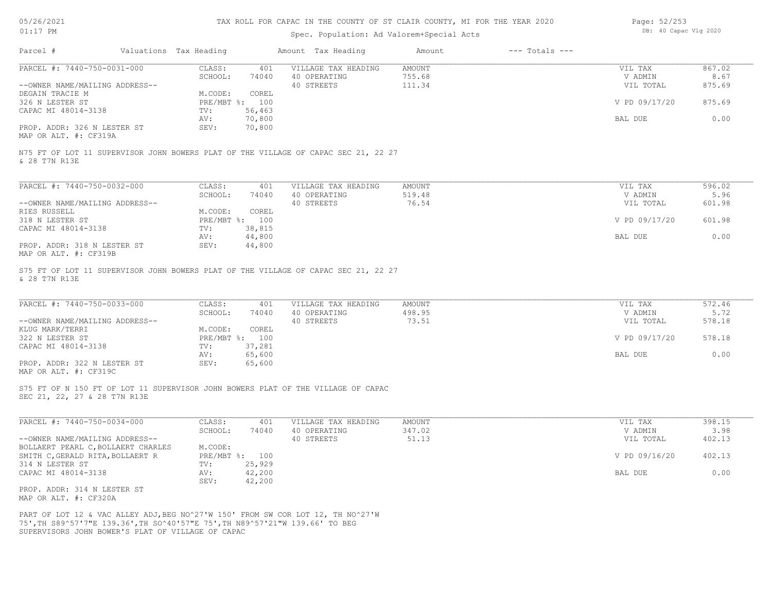| 05/26/2021 |  |
|------------|--|
|            |  |

| Page: 52/253 |                       |  |
|--------------|-----------------------|--|
|              | DB: 40 Capac Vlg 2020 |  |

| UIII/ FM                                                                                                                                                                                                             |                        | Spec. Population: Ad Valorem+Special Acts |                              | DD. 40 Capac viy 2020 |        |
|----------------------------------------------------------------------------------------------------------------------------------------------------------------------------------------------------------------------|------------------------|-------------------------------------------|------------------------------|-----------------------|--------|
| Parcel #                                                                                                                                                                                                             | Valuations Tax Heading | Amount Tax Heading                        | $---$ Totals $---$<br>Amount |                       |        |
| PARCEL #: 7440-750-0031-000                                                                                                                                                                                          | CLASS:<br>401          | VILLAGE TAX HEADING                       | <b>AMOUNT</b>                | VIL TAX               | 867.02 |
|                                                                                                                                                                                                                      | SCHOOL:<br>74040       | 40 OPERATING                              | 755.68                       | V ADMIN               | 8.67   |
| --OWNER NAME/MAILING ADDRESS--                                                                                                                                                                                       |                        | 40 STREETS                                | 111.34                       | VIL TOTAL             | 875.69 |
| DEGAIN TRACIE M                                                                                                                                                                                                      | M.CODE:<br>COREL       |                                           |                              |                       |        |
| 326 N LESTER ST                                                                                                                                                                                                      | PRE/MBT %: 100         |                                           |                              | V PD 09/17/20         | 875.69 |
| CAPAC MI 48014-3138                                                                                                                                                                                                  | TV:<br>56,463          |                                           |                              |                       |        |
|                                                                                                                                                                                                                      | 70,800<br>AV:          |                                           |                              | BAL DUE               | 0.00   |
| PROP. ADDR: 326 N LESTER ST<br>MAP OR ALT. #: CF319A                                                                                                                                                                 | 70,800<br>SEV:         |                                           |                              |                       |        |
| N75 FT OF LOT 11 SUPERVISOR JOHN BOWERS PLAT OF THE VILLAGE OF CAPAC SEC 21, 22 27<br>& 28 T7N R13E                                                                                                                  |                        |                                           |                              |                       |        |
|                                                                                                                                                                                                                      |                        |                                           |                              |                       |        |
| PARCEL #: 7440-750-0032-000                                                                                                                                                                                          | CLASS:<br>401          | VILLAGE TAX HEADING                       | AMOUNT                       | VIL TAX               | 596.02 |
|                                                                                                                                                                                                                      | SCHOOL:<br>74040       | 40 OPERATING                              | 519.48                       | V ADMIN               | 5.96   |
| --OWNER NAME/MAILING ADDRESS--                                                                                                                                                                                       |                        | 40 STREETS                                | 76.54                        | VIL TOTAL             | 601.98 |
| RIES RUSSELL                                                                                                                                                                                                         | M.CODE:<br>COREL       |                                           |                              |                       |        |
| 318 N LESTER ST                                                                                                                                                                                                      | PRE/MBT %: 100         |                                           |                              | V PD 09/17/20         | 601.98 |
| CAPAC MI 48014-3138                                                                                                                                                                                                  | 38,815<br>TV:          |                                           |                              |                       |        |
|                                                                                                                                                                                                                      | 44,800<br>AV:          |                                           |                              | BAL DUE               | 0.00   |
| PROP. ADDR: 318 N LESTER ST<br>MAP OR ALT. #: CF319B                                                                                                                                                                 | 44,800<br>SEV:         |                                           |                              |                       |        |
| S75 FT OF LOT 11 SUPERVISOR JOHN BOWERS PLAT OF THE VILLAGE OF CAPAC SEC 21, 22 27<br>& 28 T7N R13E                                                                                                                  |                        |                                           |                              |                       |        |
| PARCEL #: 7440-750-0033-000                                                                                                                                                                                          | CLASS:<br>401          | VILLAGE TAX HEADING                       | <b>AMOUNT</b>                | VIL TAX               | 572.46 |
|                                                                                                                                                                                                                      | SCHOOL:<br>74040       | 40 OPERATING                              | 498.95                       | V ADMIN               | 5.72   |
| --OWNER NAME/MAILING ADDRESS--                                                                                                                                                                                       |                        | 40 STREETS                                | 73.51                        | VIL TOTAL             | 578.18 |
| KLUG MARK/TERRI                                                                                                                                                                                                      | M.CODE:<br>COREL       |                                           |                              |                       |        |
| 322 N LESTER ST                                                                                                                                                                                                      | PRE/MBT %: 100         |                                           |                              | V PD 09/17/20         | 578.18 |
| CAPAC MI 48014-3138                                                                                                                                                                                                  | TV:<br>37,281          |                                           |                              |                       |        |
|                                                                                                                                                                                                                      | 65,600<br>AV:          |                                           |                              | BAL DUE               | 0.00   |
| PROP. ADDR: 322 N LESTER ST<br>MAP OR ALT. #: CF319C                                                                                                                                                                 | 65,600<br>SEV:         |                                           |                              |                       |        |
| S75 FT OF N 150 FT OF LOT 11 SUPERVISOR JOHN BOWERS PLAT OF THE VILLAGE OF CAPAC<br>SEC 21, 22, 27 & 28 T7N R13E                                                                                                     |                        |                                           |                              |                       |        |
|                                                                                                                                                                                                                      |                        |                                           |                              |                       |        |
| PARCEL #: 7440-750-0034-000                                                                                                                                                                                          | CLASS:<br>401          | VILLAGE TAX HEADING                       | AMOUNT                       | VIL TAX               | 398.15 |
|                                                                                                                                                                                                                      | SCHOOL:<br>74040       | 40 OPERATING                              | 347.02                       | V ADMIN               | 3.98   |
| --OWNER NAME/MAILING ADDRESS--                                                                                                                                                                                       |                        | 40 STREETS                                | 51.13                        | VIL TOTAL             | 402.13 |
| BOLLAERT PEARL C, BOLLAERT CHARLES                                                                                                                                                                                   | M.CODE:                |                                           |                              |                       |        |
| SMITH C, GERALD RITA, BOLLAERT R                                                                                                                                                                                     | PRE/MBT %: 100         |                                           |                              | V PD 09/16/20         | 402.13 |
| 314 N LESTER ST                                                                                                                                                                                                      | 25,929<br>TV:          |                                           |                              |                       |        |
| CAPAC MI 48014-3138                                                                                                                                                                                                  | 42,200<br>AV:          |                                           |                              | BAL DUE               | 0.00   |
|                                                                                                                                                                                                                      | 42,200<br>SEV:         |                                           |                              |                       |        |
| PROP. ADDR: 314 N LESTER ST<br>MAP OR ALT. #: CF320A                                                                                                                                                                 |                        |                                           |                              |                       |        |
| PART OF LOT 12 & VAC ALLEY ADJ, BEG NO^27'W 150' FROM SW COR LOT 12, TH NO^27'W<br>75', TH S89^57'7"E 139.36', TH SO^40'57"E 75', TH N89^57'21"W 139.66' TO BEG<br>SUPERVISORS JOHN BOWER'S PLAT OF VILLAGE OF CAPAC |                        |                                           |                              |                       |        |
|                                                                                                                                                                                                                      |                        |                                           |                              |                       |        |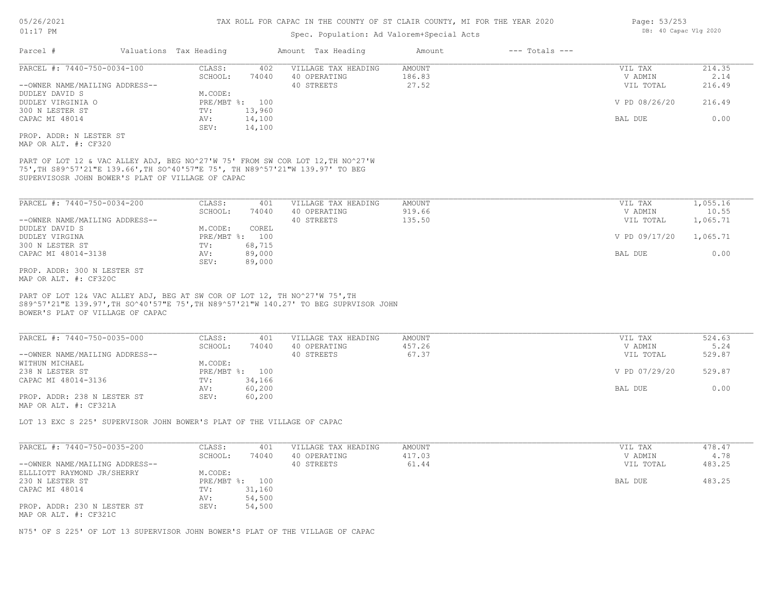## Spec. Population: Ad Valorem+Special Acts

| Parcel #<br>Valuations Tax Heading                                                                                                                                                                                   |                                   | Amount Tax Heading                  | Amount           | $---$ Totals $---$ |                    |                |
|----------------------------------------------------------------------------------------------------------------------------------------------------------------------------------------------------------------------|-----------------------------------|-------------------------------------|------------------|--------------------|--------------------|----------------|
| PARCEL #: 7440-750-0034-100                                                                                                                                                                                          | CLASS:<br>402<br>SCHOOL:<br>74040 | VILLAGE TAX HEADING<br>40 OPERATING | AMOUNT<br>186.83 |                    | VIL TAX<br>V ADMIN | 214.35<br>2.14 |
| --OWNER NAME/MAILING ADDRESS--                                                                                                                                                                                       |                                   | 40 STREETS                          | 27.52            |                    | VIL TOTAL          | 216.49         |
| DUDLEY DAVID S                                                                                                                                                                                                       | M.CODE:                           |                                     |                  |                    |                    |                |
| DUDLEY VIRGINIA O                                                                                                                                                                                                    | PRE/MBT %: 100                    |                                     |                  |                    | V PD 08/26/20      | 216.49         |
| 300 N LESTER ST                                                                                                                                                                                                      | 13,960<br>TV:                     |                                     |                  |                    |                    |                |
| CAPAC MI 48014                                                                                                                                                                                                       | AV:<br>14,100<br>SEV:<br>14,100   |                                     |                  |                    | BAL DUE            | 0.00           |
| PROP. ADDR: N LESTER ST                                                                                                                                                                                              |                                   |                                     |                  |                    |                    |                |
| MAP OR ALT. #: CF320                                                                                                                                                                                                 |                                   |                                     |                  |                    |                    |                |
| PART OF LOT 12 & VAC ALLEY ADJ, BEG NO^27'W 75' FROM SW COR LOT 12, TH NO^27'W<br>75', TH S89^57'21"E 139.66', TH SO^40'57"E 75', TH N89^57'21"W 139.97' TO BEG<br>SUPERVISOSR JOHN BOWER'S PLAT OF VILLAGE OF CAPAC |                                   |                                     |                  |                    |                    |                |
| PARCEL #: 7440-750-0034-200                                                                                                                                                                                          | CLASS:<br>401                     | VILLAGE TAX HEADING                 | AMOUNT           |                    | VIL TAX            | 1,055.16       |
|                                                                                                                                                                                                                      | SCHOOL:<br>74040                  | 40 OPERATING                        | 919.66           |                    | V ADMIN            | 10.55          |
| --OWNER NAME/MAILING ADDRESS--                                                                                                                                                                                       |                                   | 40 STREETS                          | 135.50           |                    | VIL TOTAL          | 1,065.71       |
| DUDLEY DAVID S                                                                                                                                                                                                       | COREL<br>M.CODE:                  |                                     |                  |                    |                    |                |
| DUDLEY VIRGINA                                                                                                                                                                                                       | PRE/MBT %: 100                    |                                     |                  |                    | V PD 09/17/20      | 1,065.71       |
| 300 N LESTER ST                                                                                                                                                                                                      | 68,715<br>TV:                     |                                     |                  |                    |                    |                |
| CAPAC MI 48014-3138                                                                                                                                                                                                  | 89,000<br>AV:<br>SEV:<br>89,000   |                                     |                  |                    | BAL DUE            | 0.00           |
| PROP. ADDR: 300 N LESTER ST                                                                                                                                                                                          |                                   |                                     |                  |                    |                    |                |
| MAP OR ALT. #: CF320C                                                                                                                                                                                                |                                   |                                     |                  |                    |                    |                |
| PART OF LOT 12& VAC ALLEY ADJ, BEG AT SW COR OF LOT 12, TH NO^27'W 75', TH<br>S89^57'21"E 139.97', TH SO^40'57"E 75', TH N89^57'21"W 140.27' TO BEG SUPRVISOR JOHN<br>BOWER'S PLAT OF VILLAGE OF CAPAC               |                                   |                                     |                  |                    |                    |                |
| PARCEL #: 7440-750-0035-000                                                                                                                                                                                          | CLASS:<br>401                     | VILLAGE TAX HEADING                 | <b>AMOUNT</b>    |                    | VIL TAX            | 524.63         |
|                                                                                                                                                                                                                      | SCHOOL:<br>74040                  | 40 OPERATING                        | 457.26           |                    | V ADMIN            | 5.24           |
| --OWNER NAME/MAILING ADDRESS--                                                                                                                                                                                       |                                   | 40 STREETS                          | 67.37            |                    | VIL TOTAL          | 529.87         |
| WITHUN MICHAEL                                                                                                                                                                                                       | M.CODE:                           |                                     |                  |                    |                    |                |
| 238 N LESTER ST                                                                                                                                                                                                      | PRE/MBT %: 100                    |                                     |                  |                    | V PD 07/29/20      | 529.87         |
| CAPAC MI 48014-3136                                                                                                                                                                                                  | TV:<br>34,166<br>60,200<br>AV:    |                                     |                  |                    | BAL DUE            | 0.00           |
| PROP. ADDR: 238 N LESTER ST                                                                                                                                                                                          | SEV:<br>60,200                    |                                     |                  |                    |                    |                |
| MAP OR ALT. #: CF321A                                                                                                                                                                                                |                                   |                                     |                  |                    |                    |                |
| LOT 13 EXC S 225' SUPERVISOR JOHN BOWER'S PLAT OF THE VILLAGE OF CAPAC                                                                                                                                               |                                   |                                     |                  |                    |                    |                |
|                                                                                                                                                                                                                      |                                   |                                     |                  |                    |                    |                |
| PARCEL #: 7440-750-0035-200                                                                                                                                                                                          | CLASS:<br>401                     | VILLAGE TAX HEADING                 | AMOUNT           |                    | VIL TAX            | 478.47         |
|                                                                                                                                                                                                                      | SCHOOL:<br>74040                  | 40 OPERATING                        | 417.03           |                    | V ADMIN            | 4.78           |
| --OWNER NAME/MAILING ADDRESS--                                                                                                                                                                                       |                                   | 40 STREETS                          | 61.44            |                    | VIL TOTAL          | 483.25         |
| ELLLIOTT RAYMOND JR/SHERRY                                                                                                                                                                                           | M.CODE:                           |                                     |                  |                    |                    |                |
| 230 N LESTER ST                                                                                                                                                                                                      | PRE/MBT %: 100                    |                                     |                  |                    | BAL DUE            | 483.25         |
| CAPAC MI 48014                                                                                                                                                                                                       | 31,160<br>TV:                     |                                     |                  |                    |                    |                |
|                                                                                                                                                                                                                      | 54,500<br>AV:<br>SEV:<br>54,500   |                                     |                  |                    |                    |                |
| PROP. ADDR: 230 N LESTER ST<br>MAP OR ALT. #: CF321C                                                                                                                                                                 |                                   |                                     |                  |                    |                    |                |

N75' OF S 225' OF LOT 13 SUPERVISOR JOHN BOWER'S PLAT OF THE VILLAGE OF CAPAC

Page: 53/253 DB: 40 Capac Vlg 2020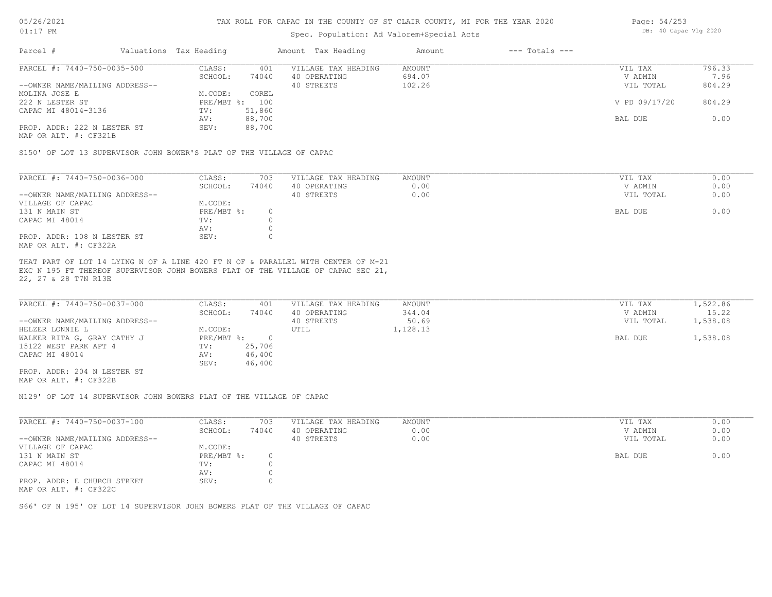## Spec. Population: Ad Valorem+Special Acts

| Page: 54/253 |                       |  |
|--------------|-----------------------|--|
|              | DB: 40 Capac Vlg 2020 |  |

| Parcel #                       | Valuations Tax Heading |        | Amount Tax Heading  | Amount | $---$ Totals $---$ |               |        |
|--------------------------------|------------------------|--------|---------------------|--------|--------------------|---------------|--------|
| PARCEL #: 7440-750-0035-500    | CLASS:                 | 401    | VILLAGE TAX HEADING | AMOUNT |                    | VIL TAX       | 796.33 |
|                                | SCHOOL:                | 74040  | 40 OPERATING        | 694.07 |                    | V ADMIN       | 7.96   |
| --OWNER NAME/MAILING ADDRESS-- |                        |        | 40 STREETS          | 102.26 |                    | VIL TOTAL     | 804.29 |
| MOLINA JOSE E                  | M.CODE:                | COREL  |                     |        |                    |               |        |
| 222 N LESTER ST                | PRE/MBT %: 100         |        |                     |        |                    | V PD 09/17/20 | 804.29 |
| CAPAC MI 48014-3136            | TV:                    | 51,860 |                     |        |                    |               |        |
|                                | AV:                    | 88,700 |                     |        |                    | BAL DUE       | 0.00   |
| PROP. ADDR: 222 N LESTER ST    | SEV:                   | 88,700 |                     |        |                    |               |        |
|                                |                        |        |                     |        |                    |               |        |

MAP OR ALT. #: CF321B

S150' OF LOT 13 SUPERVISOR JOHN BOWER'S PLAT OF THE VILLAGE OF CAPAC

| PARCEL #: 7440-750-0036-000    | CLASS:     | 703   | VILLAGE TAX HEADING | AMOUNT | VIL TAX   | 0.00 |
|--------------------------------|------------|-------|---------------------|--------|-----------|------|
|                                | SCHOOL:    | 74040 | 40 OPERATING        | 0.00   | V ADMIN   | 0.00 |
| --OWNER NAME/MAILING ADDRESS-- |            |       | 40 STREETS          | 0.00   | VIL TOTAL | 0.00 |
| VILLAGE OF CAPAC               | M.CODE:    |       |                     |        |           |      |
| 131 N MAIN ST                  | PRE/MBT %: |       |                     |        | BAL DUE   | 0.00 |
| CAPAC MI 48014                 | TV:        |       |                     |        |           |      |
|                                | AV:        |       |                     |        |           |      |
| PROP. ADDR: 108 N LESTER ST    | SEV:       |       |                     |        |           |      |
| MAP OR ALT. #: CF322A          |            |       |                     |        |           |      |

22, 27 & 28 T7N R13E EXC N 195 FT THEREOF SUPERVISOR JOHN BOWERS PLAT OF THE VILLAGE OF CAPAC SEC 21, THAT PART OF LOT 14 LYING N OF A LINE 420 FT N OF & PARALLEL WITH CENTER OF M-21

| PARCEL #: 7440-750-0037-000    | CLASS:       | 401    | VILLAGE TAX HEADING | AMOUNT   | VIL TAX   | 1,522.86 |
|--------------------------------|--------------|--------|---------------------|----------|-----------|----------|
|                                | SCHOOL:      | 74040  | 40 OPERATING        | 344.04   | V ADMIN   | 15.22    |
| --OWNER NAME/MAILING ADDRESS-- |              |        | 40 STREETS          | 50.69    | VIL TOTAL | 1,538.08 |
| HELZER LONNIE L                | M.CODE:      |        | UTIL                | 1,128.13 |           |          |
| WALKER RITA G, GRAY CATHY J    | $PRE/MBT$ %: |        |                     |          | BAL DUE   | 1,538.08 |
| 15122 WEST PARK APT 4          | TV:          | 25,706 |                     |          |           |          |
| CAPAC MI 48014                 | AV:          | 46,400 |                     |          |           |          |
|                                | SEV:         | 46,400 |                     |          |           |          |
| PROP. ADDR: 204 N LESTER ST    |              |        |                     |          |           |          |

MAP OR ALT. #: CF322B

N129' OF LOT 14 SUPERVISOR JOHN BOWERS PLAT OF THE VILLAGE OF CAPAC

| PARCEL #: 7440-750-0037-100    | CLASS:       | 703   | VILLAGE TAX HEADING | AMOUNT | VIL TAX   | 0.00 |
|--------------------------------|--------------|-------|---------------------|--------|-----------|------|
|                                | SCHOOL:      | 74040 | 40 OPERATING        | 0.00   | V ADMIN   | 0.00 |
| --OWNER NAME/MAILING ADDRESS-- |              |       | 40 STREETS          | 0.00   | VIL TOTAL | 0.00 |
| VILLAGE OF CAPAC               | M.CODE:      |       |                     |        |           |      |
| 131 N MAIN ST                  | $PRE/MBT$ %: |       |                     |        | BAL DUE   | 0.00 |
| CAPAC MI 48014                 | TV:          |       |                     |        |           |      |
|                                | AV:          |       |                     |        |           |      |
| PROP. ADDR: E CHURCH STREET    | SEV:         |       |                     |        |           |      |
| MAP OR ALT. #: CF322C          |              |       |                     |        |           |      |

S66' OF N 195' OF LOT 14 SUPERVISOR JOHN BOWERS PLAT OF THE VILLAGE OF CAPAC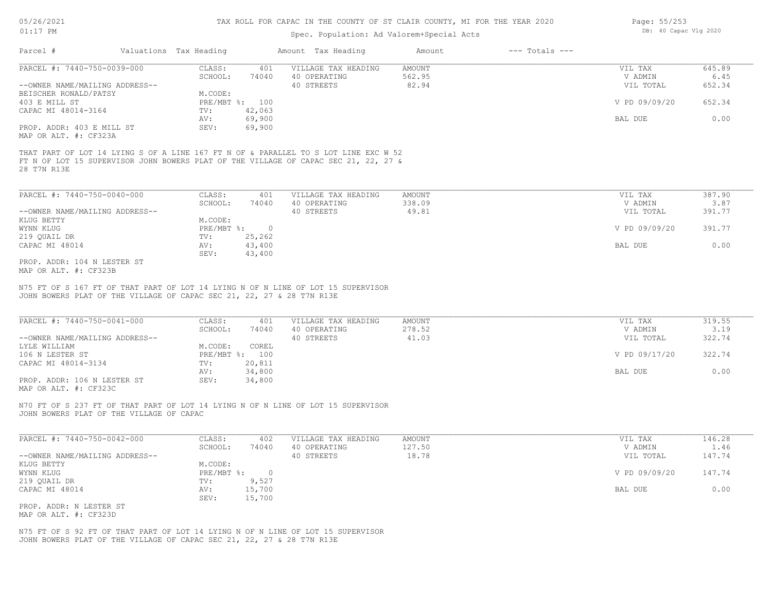## Spec. Population: Ad Valorem+Special Acts

| Page: 55/253 |                       |  |
|--------------|-----------------------|--|
|              | DB: 40 Capac Vlg 2020 |  |

| Parcel #                       | Valuations Tax Heading |                | Amount Tax Heading                                                                  | Amount | $---$ Totals $---$ |               |        |
|--------------------------------|------------------------|----------------|-------------------------------------------------------------------------------------|--------|--------------------|---------------|--------|
| PARCEL #: 7440-750-0039-000    | CLASS:                 | 401            | VILLAGE TAX HEADING                                                                 | AMOUNT |                    | VIL TAX       | 645.89 |
|                                | SCHOOL:                | 74040          | 40 OPERATING                                                                        | 562.95 |                    | V ADMIN       | 6.45   |
| --OWNER NAME/MAILING ADDRESS-- |                        |                | 40 STREETS                                                                          | 82.94  |                    | VIL TOTAL     | 652.34 |
| BEISCHER RONALD/PATSY          | M.CODE:                |                |                                                                                     |        |                    |               |        |
| 403 E MILL ST                  |                        | PRE/MBT %: 100 |                                                                                     |        |                    | V PD 09/09/20 | 652.34 |
| CAPAC MI 48014-3164            | TV:                    | 42,063         |                                                                                     |        |                    |               |        |
|                                | AV:                    | 69,900         |                                                                                     |        |                    | BAL DUE       | 0.00   |
| PROP. ADDR: 403 E MILL ST      | SEV:                   | 69,900         |                                                                                     |        |                    |               |        |
| MAP OR ALT. #: CF323A          |                        |                |                                                                                     |        |                    |               |        |
|                                |                        |                | THAT PART OF LOT 14 LYING S OF A LINE 167 FT N OF & PARALLEL TO S LOT LINE EXC W 52 |        |                    |               |        |
|                                |                        |                | FT N OF LOT 15 SUPERVISOR JOHN BOWERS PLAT OF THE VILLAGE OF CAPAC SEC 21, 22, 27 & |        |                    |               |        |
| 28 T7N R13E                    |                        |                |                                                                                     |        |                    |               |        |
|                                |                        |                |                                                                                     |        |                    |               |        |
| PARCEL #: 7440-750-0040-000    | CLASS:                 | 401            | VILLAGE TAX HEADING                                                                 | AMOUNT |                    | VIL TAX       | 387.90 |
|                                | SCHOOL:                | 74040          | 40 OPERATING                                                                        | 338.09 |                    | V ADMIN       | 3.87   |
| --OWNER NAME/MAILING ADDRESS-- |                        |                | 40 STREETS                                                                          | 49.81  |                    | VIL TOTAL     | 391.77 |
| KLUG BETTY                     | M.CODE:                |                |                                                                                     |        |                    |               |        |

|                                | SCHOOL:      | 74 U 4 U | 40 OFERATING | 338.UY | V ADMIN       | 3.81   |
|--------------------------------|--------------|----------|--------------|--------|---------------|--------|
| --OWNER NAME/MAILING ADDRESS-- |              |          | 40 STREETS   | 49.81  | VIL TOTAL     | 391.77 |
| KLUG BETTY                     | M.CODE:      |          |              |        |               |        |
| WYNN KLUG                      | $PRE/MBT$ %: |          |              |        | V PD 09/09/20 | 391.77 |
| 219 QUAIL DR                   | TV:          | 25,262   |              |        |               |        |
| CAPAC MI 48014                 | AV:          | 43,400   |              |        | BAL DUE       | 0.00   |
|                                | SEV:         | 43,400   |              |        |               |        |
| PROP. ADDR: 104 N LESTER ST    |              |          |              |        |               |        |

MAP OR ALT. #: CF323B

JOHN BOWERS PLAT OF THE VILLAGE OF CAPAC SEC 21, 22, 27 & 28 T7N R13E N75 FT OF S 167 FT OF THAT PART OF LOT 14 LYING N OF N LINE OF LOT 15 SUPERVISOR

| PARCEL #: 7440-750-0041-000    | CLASS:       | 401    | VILLAGE TAX HEADING | AMOUNT | VIL TAX       | 319.55 |
|--------------------------------|--------------|--------|---------------------|--------|---------------|--------|
|                                | SCHOOL:      | 74040  | 40 OPERATING        | 278.52 | V ADMIN       | 3.19   |
| --OWNER NAME/MAILING ADDRESS-- |              |        | 40 STREETS          | 41.03  | VIL TOTAL     | 322.74 |
| LYLE WILLIAM                   | M.CODE:      | COREL  |                     |        |               |        |
| 106 N LESTER ST                | $PRE/MBT$ %: | 100    |                     |        | V PD 09/17/20 | 322.74 |
| CAPAC MI 48014-3134            | TV:          | 20,811 |                     |        |               |        |
|                                | AV:          | 34,800 |                     |        | BAL DUE       | 0.00   |
| PROP. ADDR: 106 N LESTER ST    | SEV:         | 34,800 |                     |        |               |        |
| MAP OR ALT. #: CF323C          |              |        |                     |        |               |        |

 $\mathcal{L}_\mathcal{L} = \mathcal{L}_\mathcal{L} = \mathcal{L}_\mathcal{L} = \mathcal{L}_\mathcal{L} = \mathcal{L}_\mathcal{L} = \mathcal{L}_\mathcal{L} = \mathcal{L}_\mathcal{L} = \mathcal{L}_\mathcal{L} = \mathcal{L}_\mathcal{L} = \mathcal{L}_\mathcal{L} = \mathcal{L}_\mathcal{L} = \mathcal{L}_\mathcal{L} = \mathcal{L}_\mathcal{L} = \mathcal{L}_\mathcal{L} = \mathcal{L}_\mathcal{L} = \mathcal{L}_\mathcal{L} = \mathcal{L}_\mathcal{L}$ 

JOHN BOWERS PLAT OF THE VILLAGE OF CAPAC N70 FT OF S 237 FT OF THAT PART OF LOT 14 LYING N OF N LINE OF LOT 15 SUPERVISOR

| PARCEL #: 7440-750-0042-000    | CLASS:       | 402    | VILLAGE TAX HEADING | AMOUNT | VIL TAX       | 146.28 |
|--------------------------------|--------------|--------|---------------------|--------|---------------|--------|
|                                | SCHOOL:      | 74040  | 40 OPERATING        | 127.50 | V ADMIN       | 1.46   |
| --OWNER NAME/MAILING ADDRESS-- |              |        | 40 STREETS          | 18.78  | VIL TOTAL     | 147.74 |
| KLUG BETTY                     | M.CODE:      |        |                     |        |               |        |
| WYNN KLUG                      | $PRE/MBT$ %: |        |                     |        | V PD 09/09/20 | 147.74 |
| 219 QUAIL DR                   | TV:          | 9,527  |                     |        |               |        |
| CAPAC MI 48014                 | AV:          | 15,700 |                     |        | BAL DUE       | 0.00   |
|                                | SEV:         | 15,700 |                     |        |               |        |
| PROP. ADDR: N LESTER ST        |              |        |                     |        |               |        |

MAP OR ALT. #: CF323D

JOHN BOWERS PLAT OF THE VILLAGE OF CAPAC SEC 21, 22, 27 & 28 T7N R13E N75 FT OF S 92 FT OF THAT PART OF LOT 14 LYING N OF N LINE OF LOT 15 SUPERVISOR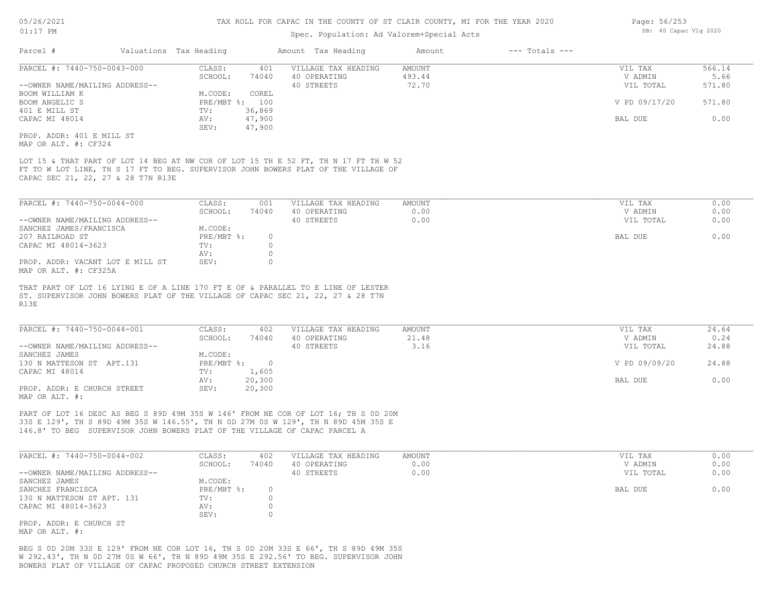| 05/26/2021                                                | TAX ROLL FOR CAPAC IN THE COUNTY OF ST CLAIR COUNTY, MI FOR THE YEAR 2020 |                        |          |                                                                                                                                                                     |               |                    |                       | Page: 56/253 |  |  |
|-----------------------------------------------------------|---------------------------------------------------------------------------|------------------------|----------|---------------------------------------------------------------------------------------------------------------------------------------------------------------------|---------------|--------------------|-----------------------|--------------|--|--|
| $01:17$ PM                                                |                                                                           |                        |          | Spec. Population: Ad Valorem+Special Acts                                                                                                                           |               |                    | DB: 40 Capac Vlg 2020 |              |  |  |
| Parcel #                                                  |                                                                           | Valuations Tax Heading |          | Amount Tax Heading                                                                                                                                                  | Amount        | $---$ Totals $---$ |                       |              |  |  |
| PARCEL #: 7440-750-0043-000                               |                                                                           | CLASS:                 | 401      | VILLAGE TAX HEADING                                                                                                                                                 | <b>AMOUNT</b> |                    | VIL TAX               | 566.14       |  |  |
|                                                           |                                                                           | SCHOOL:                | 74040    | 40 OPERATING                                                                                                                                                        | 493.44        |                    | V ADMIN               | 5.66         |  |  |
| --OWNER NAME/MAILING ADDRESS--                            |                                                                           |                        |          | 40 STREETS                                                                                                                                                          | 72.70         |                    | VIL TOTAL             | 571.80       |  |  |
| BOOM WILLIAM K                                            |                                                                           | M.CODE:                | COREL    |                                                                                                                                                                     |               |                    |                       |              |  |  |
| BOOM ANGELIC S                                            |                                                                           | PRE/MBT %: 100         |          |                                                                                                                                                                     |               |                    | V PD 09/17/20         | 571.80       |  |  |
| 401 E MILL ST                                             |                                                                           | TV:                    | 36,869   |                                                                                                                                                                     |               |                    |                       |              |  |  |
| CAPAC MI 48014                                            |                                                                           | AV:                    | 47,900   |                                                                                                                                                                     |               |                    | BAL DUE               | 0.00         |  |  |
|                                                           |                                                                           | SEV:                   | 47,900   |                                                                                                                                                                     |               |                    |                       |              |  |  |
| PROP. ADDR: 401 E MILL ST                                 |                                                                           |                        |          |                                                                                                                                                                     |               |                    |                       |              |  |  |
| MAP OR ALT. #: CF324                                      |                                                                           |                        |          |                                                                                                                                                                     |               |                    |                       |              |  |  |
| PARCEL #: 7440-750-0044-000                               |                                                                           | CLASS:                 | 001      | VILLAGE TAX HEADING                                                                                                                                                 | <b>AMOUNT</b> |                    | VIL TAX               | 0.00         |  |  |
|                                                           |                                                                           | SCHOOL:                | 74040    | 40 OPERATING                                                                                                                                                        | 0.00          |                    | V ADMIN               | 0.00         |  |  |
| --OWNER NAME/MAILING ADDRESS--                            |                                                                           |                        |          | 40 STREETS                                                                                                                                                          | 0.00          |                    | VIL TOTAL             | 0.00         |  |  |
| SANCHEZ JAMES/FRANCISCA                                   |                                                                           | M.CODE:                |          |                                                                                                                                                                     |               |                    |                       |              |  |  |
| 207 RAILROAD ST                                           |                                                                           | PRE/MBT %:             | $\circ$  |                                                                                                                                                                     |               |                    | BAL DUE               | 0.00         |  |  |
| CAPAC MI 48014-3623                                       |                                                                           | TV:                    | $\circ$  |                                                                                                                                                                     |               |                    |                       |              |  |  |
|                                                           |                                                                           | AV:                    | $\Omega$ |                                                                                                                                                                     |               |                    |                       |              |  |  |
| PROP. ADDR: VACANT LOT E MILL ST<br>MAP OR ALT. #: CF325A |                                                                           | SEV:                   | $\Omega$ |                                                                                                                                                                     |               |                    |                       |              |  |  |
| R13E                                                      |                                                                           |                        |          | THAT PART OF LOT 16 LYING E OF A LINE 170 FT E OF & PARALLEL TO E LINE OF LESTER<br>ST. SUPERVISOR JOHN BOWERS PLAT OF THE VILLAGE OF CAPAC SEC 21, 22, 27 & 28 T7N |               |                    |                       |              |  |  |
| PARCEL #: 7440-750-0044-001                               |                                                                           | CLASS:                 | 402      | VILLAGE TAX HEADING                                                                                                                                                 | <b>AMOUNT</b> |                    | VIL TAX               | 24.64        |  |  |
|                                                           |                                                                           |                        |          |                                                                                                                                                                     |               |                    |                       |              |  |  |

| --OWNER NAME/MAILING ADDRESS-- |            | 40 STREETS | 3.16 | 24.88<br>VIL TOTAL     |
|--------------------------------|------------|------------|------|------------------------|
| SANCHEZ JAMES                  | M.CODE:    |            |      |                        |
| 130 N MATTESON ST APT.131      | PRE/MBT %: |            |      | V PD 09/09/20<br>24.88 |
| CAPAC MI 48014                 | TV:        | .,605      |      |                        |
|                                | AV:        | 20,300     |      | 0.00<br>BAL DUE        |
| PROP. ADDR: E CHURCH STREET    | SEV:       | 20,300     |      |                        |
| MAP OR ALT. #:                 |            |            |      |                        |

146.8' TO BEG SUPERVISOR JOHN BOWERS PLAT OF THE VILLAGE OF CAPAC PARCEL A 33S E 129', TH S 89D 49M 35S W 146.55', TH N 0D 27M 0S W 129', TH N 89D 45M 35S E PART OF LOT 16 DESC AS BEG S 89D 49M 35S W 146' FROM NE COR OF LOT 16; TH S 0D 20M

| PARCEL #: 7440-750-0044-002    | CLASS:     | 402   | VILLAGE TAX HEADING | AMOUNT | VIL TAX   | 0.00 |
|--------------------------------|------------|-------|---------------------|--------|-----------|------|
|                                | SCHOOL:    | 74040 | 40 OPERATING        | 0.00   | V ADMIN   | 0.00 |
| --OWNER NAME/MAILING ADDRESS-- |            |       | 40 STREETS          | 0.00   | VIL TOTAL | 0.00 |
| SANCHEZ JAMES                  | M.CODE:    |       |                     |        |           |      |
| SANCHEZ FRANCISCA              | PRE/MBT %: |       |                     |        | BAL DUE   | 0.00 |
| 130 N MATTESON ST APT. 131     | TV:        |       |                     |        |           |      |
| CAPAC MI 48014-3623            | AV:        |       |                     |        |           |      |
|                                | SEV:       |       |                     |        |           |      |
| PROP. ADDR: E CHURCH ST        |            |       |                     |        |           |      |

MAP OR ALT. #:

BOWERS PLAT OF VILLAGE OF CAPAC PROPOSED CHURCH STREET EXTENSION W 292.43', TH N 0D 27M 0S W 66', TH N 89D 49M 35S E 292.56' TO BEG. SUPERVISOR JOHN BEG S 0D 20M 33S E 129' FROM NE COR LOT 16, TH S 0D 20M 33S E 66', TH S 89D 49M 35S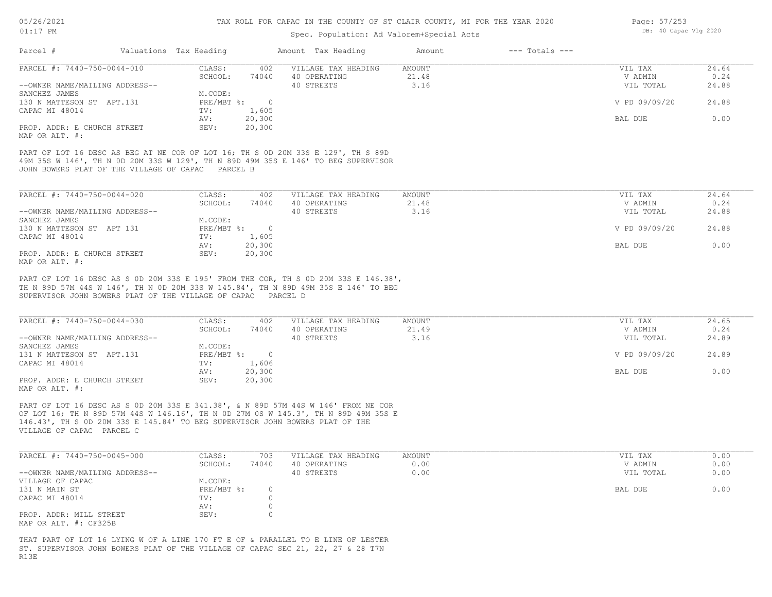### Spec. Population: Ad Valorem+Special Acts

| Parcel #                       | Valuations Tax Heading |        | Amount Tax Heading  | Amount | $---$ Totals $---$ |               |       |
|--------------------------------|------------------------|--------|---------------------|--------|--------------------|---------------|-------|
| PARCEL #: 7440-750-0044-010    | CLASS:                 | 402    | VILLAGE TAX HEADING | AMOUNT |                    | VIL TAX       | 24.64 |
|                                | SCHOOL:                | 74040  | 40 OPERATING        | 21.48  |                    | V ADMIN       | 0.24  |
| --OWNER NAME/MAILING ADDRESS-- |                        |        | 40 STREETS          | 3.16   |                    | VIL TOTAL     | 24.88 |
| SANCHEZ JAMES                  | M.CODE:                |        |                     |        |                    |               |       |
| 130 N MATTESON ST APT.131      | PRE/MBT %:             |        |                     |        |                    | V PD 09/09/20 | 24.88 |
| CAPAC MI 48014                 | TV:                    | 1,605  |                     |        |                    |               |       |
|                                | AV:                    | 20,300 |                     |        |                    | BAL DUE       | 0.00  |
| PROP. ADDR: E CHURCH STREET    | SEV:                   | 20,300 |                     |        |                    |               |       |

MAP OR ALT. #:

JOHN BOWERS PLAT OF THE VILLAGE OF CAPAC PARCEL B 49M 35S W 146', TH N 0D 20M 33S W 129', TH N 89D 49M 35S E 146' TO BEG SUPERVISOR PART OF LOT 16 DESC AS BEG AT NE COR OF LOT 16; TH S 0D 20M 33S E 129', TH S 89D

| PARCEL #: 7440-750-0044-020    | CLASS:     | 402    | VILLAGE TAX HEADING | AMOUNT | VIL TAX       | 24.64 |
|--------------------------------|------------|--------|---------------------|--------|---------------|-------|
|                                | SCHOOL:    | 74040  | 40 OPERATING        | 21.48  | V ADMIN       | 0.24  |
| --OWNER NAME/MAILING ADDRESS-- |            |        | 40 STREETS          | 3.16   | VIL TOTAL     | 24.88 |
| SANCHEZ JAMES                  | M.CODE:    |        |                     |        |               |       |
| 130 N MATTESON ST APT 131      | PRE/MBT %: |        |                     |        | V PD 09/09/20 | 24.88 |
| CAPAC MI 48014                 | TV:        | 1,605  |                     |        |               |       |
|                                | AV:        | 20,300 |                     |        | BAL DUE       | 0.00  |
| PROP. ADDR: E CHURCH STREET    | SEV:       | 20,300 |                     |        |               |       |
| MAP OR ALT. #:                 |            |        |                     |        |               |       |

SUPERVISOR JOHN BOWERS PLAT OF THE VILLAGE OF CAPAC PARCEL D TH N 89D 57M 44S W 146', TH N 0D 20M 33S W 145.84', TH N 89D 49M 35S E 146' TO BEG PART OF LOT 16 DESC AS S 0D 20M 33S E 195' FROM THE COR, TH S 0D 20M 33S E 146.38',

| PARCEL #: 7440-750-0044-030    | CLASS:     | 402    | VILLAGE TAX HEADING | AMOUNT | VIL TAX       | 24.65 |
|--------------------------------|------------|--------|---------------------|--------|---------------|-------|
|                                | SCHOOL:    | 74040  | 40 OPERATING        | 21.49  | V ADMIN       | 0.24  |
| --OWNER NAME/MAILING ADDRESS-- |            |        | 40 STREETS          | 3.16   | VIL TOTAL     | 24.89 |
| SANCHEZ JAMES                  | M.CODE:    |        |                     |        |               |       |
| 131 N MATTESON ST APT.131      | PRE/MBT %: |        |                     |        | V PD 09/09/20 | 24.89 |
| CAPAC MI 48014                 | TV:        | 1,606  |                     |        |               |       |
|                                | AV:        | 20,300 |                     |        | BAL DUE       | 0.00  |
| PROP. ADDR: E CHURCH STREET    | SEV:       | 20,300 |                     |        |               |       |
| MAP OR ALT. #:                 |            |        |                     |        |               |       |

VILLAGE OF CAPAC PARCEL C 146.43', TH S 0D 20M 33S E 145.84' TO BEG SUPERVISOR JOHN BOWERS PLAT OF THE OF LOT 16; TH N 89D 57M 44S W 146.16', TH N 0D 27M 0S W 145.3', TH N 89D 49M 35S E PART OF LOT 16 DESC AS S 0D 20M 33S E 341.38', & N 89D 57M 44S W 146' FROM NE COR

| PARCEL #: 7440-750-0045-000    | CLASS:     | 703   | VILLAGE TAX HEADING | AMOUNT | VIL TAX   | 0.00 |
|--------------------------------|------------|-------|---------------------|--------|-----------|------|
|                                | SCHOOL:    | 74040 | 40 OPERATING        | 0.00   | V ADMIN   | 0.00 |
| --OWNER NAME/MAILING ADDRESS-- |            |       | 40 STREETS          | 0.00   | VIL TOTAL | 0.00 |
| VILLAGE OF CAPAC               | M.CODE:    |       |                     |        |           |      |
| 131 N MAIN ST                  | PRE/MBT %: |       |                     |        | BAL DUE   | 0.00 |
| CAPAC MI 48014                 | TV:        |       |                     |        |           |      |
|                                | AV:        |       |                     |        |           |      |
| PROP. ADDR: MILL STREET        | SEV:       |       |                     |        |           |      |
| MAP OR ALT. #: CF325B          |            |       |                     |        |           |      |

R13E ST. SUPERVISOR JOHN BOWERS PLAT OF THE VILLAGE OF CAPAC SEC 21, 22, 27 & 28 T7N THAT PART OF LOT 16 LYING W OF A LINE 170 FT E OF & PARALLEL TO E LINE OF LESTER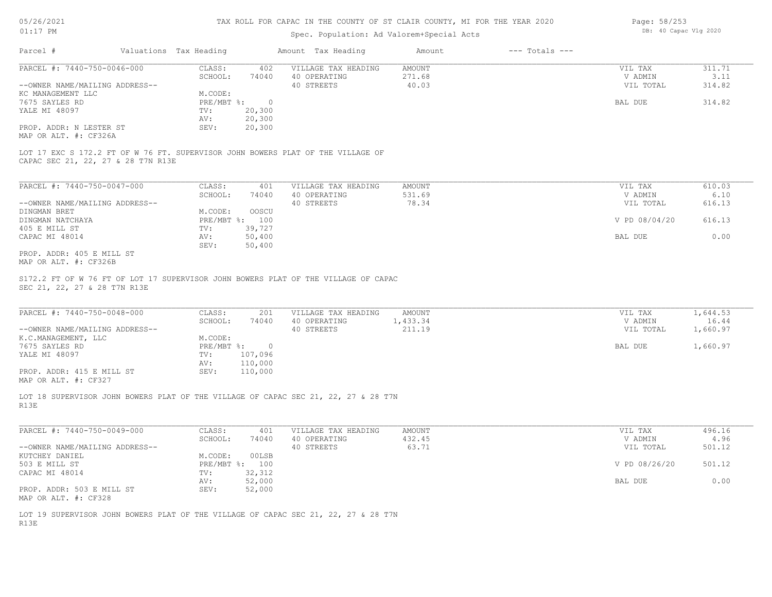## Spec. Population: Ad Valorem+Special Acts

| Page: 58/253 |                       |  |
|--------------|-----------------------|--|
|              | DB: 40 Capac Vlg 2020 |  |

| Parcel #                       | Valuations Tax Heading |        | Amount Tax Heading  | Amount | $---$ Totals $---$ |           |        |
|--------------------------------|------------------------|--------|---------------------|--------|--------------------|-----------|--------|
| PARCEL #: 7440-750-0046-000    | CLASS:                 | 402    | VILLAGE TAX HEADING | AMOUNT |                    | VIL TAX   | 311.71 |
|                                | SCHOOL:                | 74040  | 40 OPERATING        | 271.68 |                    | V ADMIN   | 3.11   |
| --OWNER NAME/MAILING ADDRESS-- |                        |        | 40 STREETS          | 40.03  |                    | VIL TOTAL | 314.82 |
| KC MANAGEMENT LLC              | M.CODE:                |        |                     |        |                    |           |        |
| 7675 SAYLES RD                 | PRE/MBT %:             |        |                     |        |                    | BAL DUE   | 314.82 |
| YALE MI 48097                  | TV:                    | 20,300 |                     |        |                    |           |        |
|                                | AV:                    | 20,300 |                     |        |                    |           |        |
| PROP. ADDR: N LESTER ST        | SEV:                   | 20,300 |                     |        |                    |           |        |
| MAP OR ALT. #: CF326A          |                        |        |                     |        |                    |           |        |

CAPAC SEC 21, 22, 27 & 28 T7N R13E LOT 17 EXC S 172.2 FT OF W 76 FT. SUPERVISOR JOHN BOWERS PLAT OF THE VILLAGE OF

| PARCEL #: 7440-750-0047-000    | CLASS:     | 401    | VILLAGE TAX HEADING | AMOUNT | VIL TAX       | 610.03 |
|--------------------------------|------------|--------|---------------------|--------|---------------|--------|
|                                | SCHOOL:    | 74040  | 40 OPERATING        | 531.69 | V ADMIN       | 6.10   |
| --OWNER NAME/MAILING ADDRESS-- |            |        | 40 STREETS          | 78.34  | VIL TOTAL     | 616.13 |
| DINGMAN BRET                   | M.CODE:    | OOSCU  |                     |        |               |        |
| DINGMAN NATCHAYA               | PRE/MBT %: | 100    |                     |        | V PD 08/04/20 | 616.13 |
| 405 E MILL ST                  | TV:        | 39,727 |                     |        |               |        |
| CAPAC MI 48014                 | AV:        | 50,400 |                     |        | BAL DUE       | 0.00   |
|                                | SEV:       | 50,400 |                     |        |               |        |
| PROP. ADDR: 405 E MILL ST      |            |        |                     |        |               |        |

MAP OR ALT. #: CF326B

SEC 21, 22, 27 & 28 T7N R13E S172.2 FT OF W 76 FT OF LOT 17 SUPERVISOR JOHN BOWERS PLAT OF THE VILLAGE OF CAPAC

| PARCEL #: 7440-750-0048-000    | CLASS:     | 201     | VILLAGE TAX HEADING | AMOUNT | VIL TAX   | 1,644.53 |
|--------------------------------|------------|---------|---------------------|--------|-----------|----------|
|                                | SCHOOL:    | 74040   | 40 OPERATING        | 433.34 | V ADMIN   | 16.44    |
| --OWNER NAME/MAILING ADDRESS-- |            |         | 40 STREETS          | 211.19 | VIL TOTAL | 1,660.97 |
| K.C.MANAGEMENT, LLC            | M.CODE:    |         |                     |        |           |          |
| 7675 SAYLES RD                 | PRE/MBT %: | $\Box$  |                     |        | BAL DUE   | 1,660.97 |
| YALE MI 48097                  | TV:        | 107,096 |                     |        |           |          |
|                                | AV:        | 110,000 |                     |        |           |          |
| PROP. ADDR: 415 E MILL ST      | SEV:       | 110,000 |                     |        |           |          |
| MAP OR ALT. #: CF327           |            |         |                     |        |           |          |

 $\mathcal{L}_\mathcal{L} = \mathcal{L}_\mathcal{L} = \mathcal{L}_\mathcal{L} = \mathcal{L}_\mathcal{L} = \mathcal{L}_\mathcal{L} = \mathcal{L}_\mathcal{L} = \mathcal{L}_\mathcal{L} = \mathcal{L}_\mathcal{L} = \mathcal{L}_\mathcal{L} = \mathcal{L}_\mathcal{L} = \mathcal{L}_\mathcal{L} = \mathcal{L}_\mathcal{L} = \mathcal{L}_\mathcal{L} = \mathcal{L}_\mathcal{L} = \mathcal{L}_\mathcal{L} = \mathcal{L}_\mathcal{L} = \mathcal{L}_\mathcal{L}$ 

R13E LOT 18 SUPERVISOR JOHN BOWERS PLAT OF THE VILLAGE OF CAPAC SEC 21, 22, 27 & 28 T7N

| PARCEL #: 7440-750-0049-000    | CLASS:       | 401    | VILLAGE TAX HEADING | AMOUNT | VIL TAX       | 496.16 |
|--------------------------------|--------------|--------|---------------------|--------|---------------|--------|
|                                | SCHOOL:      | 74040  | 40 OPERATING        | 432.45 | V ADMIN       | 4.96   |
| --OWNER NAME/MAILING ADDRESS-- |              |        | 40 STREETS          | 63.71  | VIL TOTAL     | 501.12 |
| KUTCHEY DANIEL                 | M.CODE:      | 00LSB  |                     |        |               |        |
| 503 E MILL ST                  | $PRE/MBT$ %: | 100    |                     |        | V PD 08/26/20 | 501.12 |
| CAPAC MI 48014                 | TV:          | 32,312 |                     |        |               |        |
|                                | AV:          | 52,000 |                     |        | BAL DUE       | 0.00   |
| PROP. ADDR: 503 E MILL ST      | SEV:         | 52,000 |                     |        |               |        |
| MAP OR ALT. #: CF328           |              |        |                     |        |               |        |

R13E LOT 19 SUPERVISOR JOHN BOWERS PLAT OF THE VILLAGE OF CAPAC SEC 21, 22, 27 & 28 T7N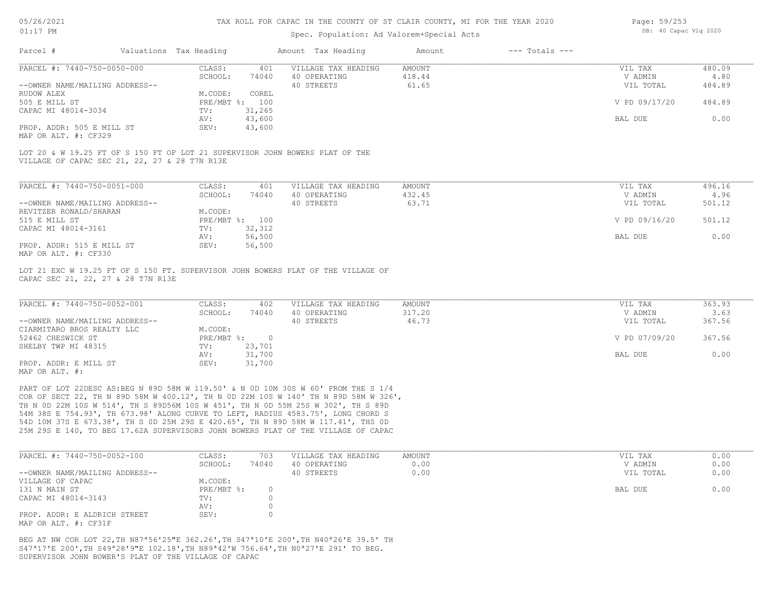## Spec. Population: Ad Valorem+Special Acts

| Page: 59/253 |                       |  |
|--------------|-----------------------|--|
|              | DB: 40 Capac Vlg 2020 |  |

| Parcel #                                      | Valuations Tax Heading |        | Amount Tax Heading                                                           | Amount | $---$ Totals $---$ |               |        |
|-----------------------------------------------|------------------------|--------|------------------------------------------------------------------------------|--------|--------------------|---------------|--------|
| PARCEL #: 7440-750-0050-000                   | CLASS:                 | 401    | VILLAGE TAX HEADING                                                          | AMOUNT |                    | VIL TAX       | 480.09 |
|                                               | SCHOOL:                | 74040  | 40 OPERATING                                                                 | 418.44 |                    | V ADMIN       | 4.80   |
| --OWNER NAME/MAILING ADDRESS--                |                        |        | 40 STREETS                                                                   | 61.65  |                    | VIL TOTAL     | 484.89 |
| RUDOW ALEX                                    | M.CODE:                | COREL  |                                                                              |        |                    |               |        |
| 505 E MILL ST                                 | $PRE/MBT$ %:           | 100    |                                                                              |        |                    | V PD 09/17/20 | 484.89 |
| CAPAC MI 48014-3034                           | TV:                    | 31,265 |                                                                              |        |                    |               |        |
|                                               | AV:                    | 43,600 |                                                                              |        |                    | BAL DUE       | 0.00   |
| PROP. ADDR: 505 E MILL ST                     | SEV:                   | 43,600 |                                                                              |        |                    |               |        |
| MAP OR ALT. #: CF329                          |                        |        |                                                                              |        |                    |               |        |
| VILLAGE OF CAPAC SEC 21, 22, 27 & 28 T7N R13E |                        |        | LOT 20 & W 19.25 FT OF S 150 FT OF LOT 21 SUPERVISOR JOHN BOWERS PLAT OF THE |        |                    |               |        |
|                                               |                        |        |                                                                              |        |                    |               |        |
| PARCEL #: 7440-750-0051-000                   | CLASS:                 | 401    | VILLAGE TAX HEADING                                                          | AMOUNT |                    | VIL TAX       | 496.16 |
|                                               | SCHOOL:                | 74040  | 40 OPERATING                                                                 | 432.45 |                    | V ADMIN       | 4.96   |
| --OWNER NAME/MAILING ADDRESS--                |                        |        | 40 STREETS                                                                   | 63.71  |                    | VIL TOTAL     | 501.12 |

|                           |         |                | $\sim$ $\sim$ $\sim$ $\sim$ $\sim$ $\sim$ | - - - - - - |               | ------ |
|---------------------------|---------|----------------|-------------------------------------------|-------------|---------------|--------|
| REVITZER RONALD/SHARAN    | M.CODE: |                |                                           |             |               |        |
| 515 E MILL ST             |         | PRE/MBT %: 100 |                                           |             | V PD 09/16/20 | 501.12 |
| CAPAC MI 48014-3161       | TV:     | 32,312         |                                           |             |               |        |
|                           | AV:     | 56,500         |                                           |             | BAL DUE       | 0.00   |
| PROP. ADDR: 515 E MILL ST | SEV:    | 56,500         |                                           |             |               |        |
| ---- -- --- " ----        |         |                |                                           |             |               |        |

MAP OR ALT. #: CF330

CAPAC SEC 21, 22, 27 & 28 T7N R13E LOT 21 EXC W 19.25 FT OF S 150 FT. SUPERVISOR JOHN BOWERS PLAT OF THE VILLAGE OF

| PARCEL #: 7440-750-0052-001    | CLASS:     | 402    | VILLAGE TAX HEADING | AMOUNT | VIL TAX       | 363.93 |
|--------------------------------|------------|--------|---------------------|--------|---------------|--------|
|                                | SCHOOL:    | 74040  | 40 OPERATING        | 317.20 | V ADMIN       | 3.63   |
| --OWNER NAME/MAILING ADDRESS-- |            |        | 40 STREETS          | 46.73  | VIL TOTAL     | 367.56 |
| CIARMITARO BROS REALTY LLC     | M.CODE:    |        |                     |        |               |        |
| 52462 CHESWICK ST              | PRE/MBT %: |        |                     |        | V PD 07/09/20 | 367.56 |
| SHELBY TWP MI 48315            | TV:        | 23,701 |                     |        |               |        |
|                                | AV:        | 31,700 |                     |        | BAL DUE       | 0.00   |
| PROP. ADDR: E MILL ST          | SEV:       | 31,700 |                     |        |               |        |
| MAP OR ALT. #:                 |            |        |                     |        |               |        |

25M 29S E 140, TO BEG 17.62A SUPERVISORS JOHN BOWERS PLAT OF THE VILLAGE OF CAPAC 54D 10M 37S E 673.38', TH S 0D 25M 29S E 420.65', TH N 89D 58M W 117.41', THS 0D 54M 38S E 754.93', TH 673.98' ALONG CURVE TO LEFT, RADIUS 4583.75', LONG CHORD S TH N 0D 22M 10S W 514', TH S 89D56M 10S W 451', TH N 0D 55M 25S W 302', TH S 89D COR OF SECT 22, TH N 89D 58M W 400.12', TH N 0D 22M 10S W 140' TH N 89D 58M W 326', PART OF LOT 22DESC AS:BEG N 89D 58M W 119.50' & N 0D 10M 30S W 60' FROM THE S 1/4

| PARCEL #: 7440-750-0052-100                          | CLASS:     | 703   | VILLAGE TAX HEADING | AMOUNT | VIL TAX   | 0.00 |
|------------------------------------------------------|------------|-------|---------------------|--------|-----------|------|
|                                                      | SCHOOL:    | 74040 | 40 OPERATING        | 0.00   | V ADMIN   | 0.00 |
| --OWNER NAME/MAILING ADDRESS--                       |            |       | 40 STREETS          | 0.00   | VIL TOTAL | 0.00 |
| VILLAGE OF CAPAC                                     | M.CODE:    |       |                     |        |           |      |
| 131 N MAIN ST                                        | PRE/MBT %: |       |                     |        | BAL DUE   | 0.00 |
| CAPAC MI 48014-3143                                  | TV:        |       |                     |        |           |      |
|                                                      | AV:        |       |                     |        |           |      |
| PROP. ADDR: E ALDRICH STREET<br>MAP OR ALT. #: CF31F | SEV:       |       |                     |        |           |      |

SUPERVISOR JOHN BOWER'S PLAT OF THE VILLAGE OF CAPAC S47ª17'E 200',TH S49ª28'9"E 102.18',TH N89ª42'W 756.64',TH N0ª27'E 291' TO BEG. BEG AT NW COR LOT 22,TH N87ª56'25"E 362.26',TH S47ª10'E 200',TH N40ª26'E 39.5' TH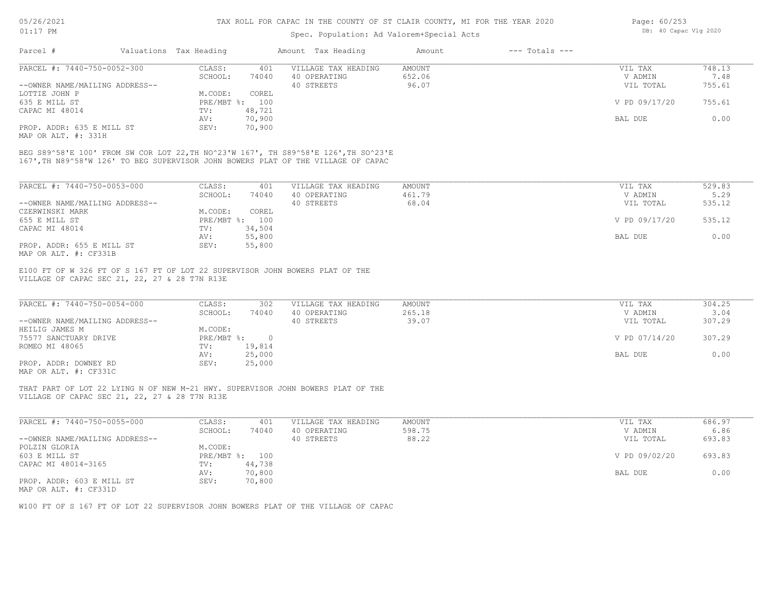## Spec. Population: Ad Valorem+Special Acts

| Page: 60/253 |                       |  |
|--------------|-----------------------|--|
|              | DB: 40 Capac Vlg 2020 |  |

| Parcel #                       | Valuations Tax Heading |        | Amount Tax Heading  | Amount | $---$ Totals $---$ |               |        |
|--------------------------------|------------------------|--------|---------------------|--------|--------------------|---------------|--------|
| PARCEL #: 7440-750-0052-300    | CLASS:                 | 401    | VILLAGE TAX HEADING | AMOUNT |                    | VIL TAX       | 748.13 |
|                                | SCHOOL:                | 74040  | 40 OPERATING        | 652.06 |                    | V ADMIN       | 7.48   |
| --OWNER NAME/MAILING ADDRESS-- |                        |        | 40 STREETS          | 96.07  |                    | VIL TOTAL     | 755.61 |
| LOTTIE JOHN P                  | M.CODE:                | COREL  |                     |        |                    |               |        |
| 635 E MILL ST                  | $PRE/MBT$ %:           | 100    |                     |        |                    | V PD 09/17/20 | 755.61 |
| CAPAC MI 48014                 | TV:                    | 48,721 |                     |        |                    |               |        |
|                                | AV:                    | 70,900 |                     |        |                    | BAL DUE       | 0.00   |
| PROP. ADDR: 635 E MILL ST      | SEV:                   | 70,900 |                     |        |                    |               |        |
|                                |                        |        |                     |        |                    |               |        |

MAP OR ALT. #: 331H

167',TH N89^58'W 126' TO BEG SUPERVISOR JOHN BOWERS PLAT OF THE VILLAGE OF CAPAC BEG S89^58'E 100' FROM SW COR LOT 22,TH NO^23'W 167', TH S89^58'E 126',TH SO^23'E

| PARCEL #: 7440-750-0053-000    | CLASS:     | 401    | VILLAGE TAX HEADING | AMOUNT | 529.83<br>VIL TAX       |  |
|--------------------------------|------------|--------|---------------------|--------|-------------------------|--|
|                                | SCHOOL:    | 74040  | 40 OPERATING        | 461.79 | 5.29<br>V ADMIN         |  |
| --OWNER NAME/MAILING ADDRESS-- |            |        | 40 STREETS          | 68.04  | 535.12<br>VIL TOTAL     |  |
| CZERWINSKI MARK                | M.CODE:    | COREL  |                     |        |                         |  |
| 655 E MILL ST                  | PRE/MBT %: | 100    |                     |        | V PD 09/17/20<br>535.12 |  |
| CAPAC MI 48014                 | TV:        | 34,504 |                     |        |                         |  |
|                                | AV:        | 55,800 |                     |        | 0.00<br>BAL DUE         |  |
| PROP. ADDR: 655 E MILL ST      | SEV:       | 55,800 |                     |        |                         |  |
| MAP OR ALT. #: CF331B          |            |        |                     |        |                         |  |

VILLAGE OF CAPAC SEC 21, 22, 27 & 28 T7N R13E E100 FT OF W 326 FT OF S 167 FT OF LOT 22 SUPERVISOR JOHN BOWERS PLAT OF THE

| PARCEL #: 7440-750-0054-000    | CLASS:       | 302    | VILLAGE TAX HEADING | AMOUNT | VIL TAX       | 304.25 |
|--------------------------------|--------------|--------|---------------------|--------|---------------|--------|
|                                | SCHOOL:      | 74040  | 40 OPERATING        | 265.18 | V ADMIN       | 3.04   |
| --OWNER NAME/MAILING ADDRESS-- |              |        | 40 STREETS          | 39.07  | VIL TOTAL     | 307.29 |
| HEILIG JAMES M                 | M.CODE:      |        |                     |        |               |        |
| 75577 SANCTUARY DRIVE          | $PRE/MBT$ %: | $\cap$ |                     |        | V PD 07/14/20 | 307.29 |
| ROMEO MI 48065                 | TV:          | 19,814 |                     |        |               |        |
|                                | AV:          | 25,000 |                     |        | BAL DUE       | 0.00   |
| PROP. ADDR: DOWNEY RD          | SEV:         | 25,000 |                     |        |               |        |
| MAP OR ALT. #: CF331C          |              |        |                     |        |               |        |

 $\mathcal{L}_\mathcal{L} = \mathcal{L}_\mathcal{L} = \mathcal{L}_\mathcal{L} = \mathcal{L}_\mathcal{L} = \mathcal{L}_\mathcal{L} = \mathcal{L}_\mathcal{L} = \mathcal{L}_\mathcal{L} = \mathcal{L}_\mathcal{L} = \mathcal{L}_\mathcal{L} = \mathcal{L}_\mathcal{L} = \mathcal{L}_\mathcal{L} = \mathcal{L}_\mathcal{L} = \mathcal{L}_\mathcal{L} = \mathcal{L}_\mathcal{L} = \mathcal{L}_\mathcal{L} = \mathcal{L}_\mathcal{L} = \mathcal{L}_\mathcal{L}$ 

 $\mathcal{L}_\mathcal{L} = \mathcal{L}_\mathcal{L} = \mathcal{L}_\mathcal{L} = \mathcal{L}_\mathcal{L} = \mathcal{L}_\mathcal{L} = \mathcal{L}_\mathcal{L} = \mathcal{L}_\mathcal{L} = \mathcal{L}_\mathcal{L} = \mathcal{L}_\mathcal{L} = \mathcal{L}_\mathcal{L} = \mathcal{L}_\mathcal{L} = \mathcal{L}_\mathcal{L} = \mathcal{L}_\mathcal{L} = \mathcal{L}_\mathcal{L} = \mathcal{L}_\mathcal{L} = \mathcal{L}_\mathcal{L} = \mathcal{L}_\mathcal{L}$ 

VILLAGE OF CAPAC SEC 21, 22, 27 & 28 T7N R13E THAT PART OF LOT 22 LYING N OF NEW M-21 HWY. SUPERVISOR JOHN BOWERS PLAT OF THE

| PARCEL #: 7440-750-0055-000    | CLASS:     | 401    | VILLAGE TAX HEADING | AMOUNT | VIL TAX       | 686.97 |
|--------------------------------|------------|--------|---------------------|--------|---------------|--------|
|                                | SCHOOL:    | 74040  | 40 OPERATING        | 598.75 | V ADMIN       | 6.86   |
| --OWNER NAME/MAILING ADDRESS-- |            |        | 40 STREETS          | 88.22  | VIL TOTAL     | 693.83 |
| POLZIN GLORIA                  | M.CODE:    |        |                     |        |               |        |
| 603 E MILL ST                  | PRE/MBT %: | 100    |                     |        | V PD 09/02/20 | 693.83 |
| CAPAC MI 48014-3165            | TV:        | 44,738 |                     |        |               |        |
|                                | AV:        | 70,800 |                     |        | BAL DUE       | 0.00   |
| PROP. ADDR: 603 E MILL ST      | SEV:       | 70,800 |                     |        |               |        |
| MAP OR ALT. #: CF331D          |            |        |                     |        |               |        |

W100 FT OF S 167 FT OF LOT 22 SUPERVISOR JOHN BOWERS PLAT OF THE VILLAGE OF CAPAC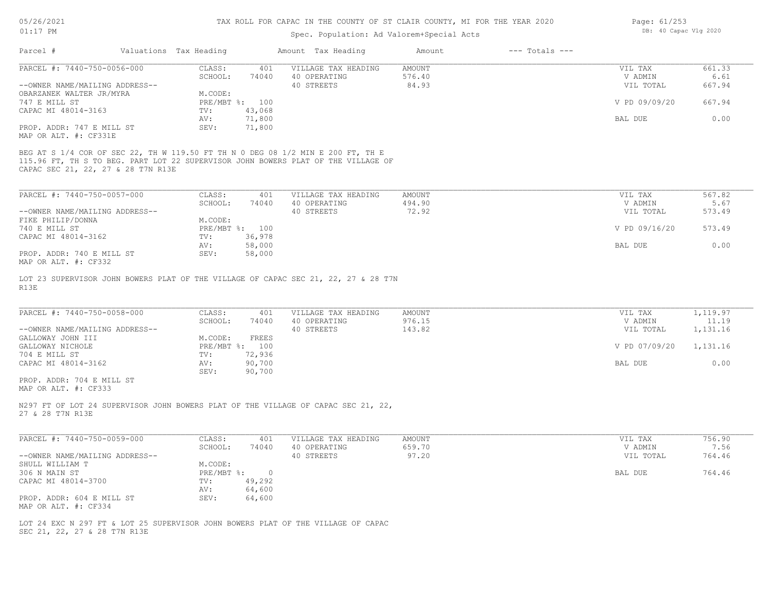# Spec. Population: Ad Valorem+Special Acts

|                                |                        |                | spec. ropulation. Ad valorem special Acts                                          |               |                    |               |        |
|--------------------------------|------------------------|----------------|------------------------------------------------------------------------------------|---------------|--------------------|---------------|--------|
| Parcel #                       | Valuations Tax Heading |                | Amount Tax Heading                                                                 | Amount        | $---$ Totals $---$ |               |        |
| PARCEL #: 7440-750-0056-000    | CLASS:                 | 401            | VILLAGE TAX HEADING                                                                | <b>AMOUNT</b> |                    | VIL TAX       | 661.33 |
|                                | SCHOOL:                | 74040          | 40 OPERATING                                                                       | 576.40        |                    | V ADMIN       | 6.61   |
| --OWNER NAME/MAILING ADDRESS-- |                        |                | 40 STREETS                                                                         | 84.93         |                    | VIL TOTAL     | 667.94 |
| OBARZANEK WALTER JR/MYRA       | M.CODE:                |                |                                                                                    |               |                    |               |        |
| 747 E MILL ST                  |                        | PRE/MBT %: 100 |                                                                                    |               |                    | V PD 09/09/20 | 667.94 |
| CAPAC MI 48014-3163            | TV:                    | 43,068         |                                                                                    |               |                    |               |        |
|                                | AV:                    | 71,800         |                                                                                    |               |                    | BAL DUE       | 0.00   |
| PROP. ADDR: 747 E MILL ST      | SEV:                   | 71,800         |                                                                                    |               |                    |               |        |
| MAP OR ALT. #: CF331E          |                        |                |                                                                                    |               |                    |               |        |
| PARCEL #: 7440-750-0057-000    | CLASS:                 | 401            | VILLAGE TAX HEADING                                                                | AMOUNT        |                    | VIL TAX       | 567.82 |
|                                | SCHOOL:                | 74040          | 40 OPERATING                                                                       | 494.90        |                    | V ADMIN       | 5.67   |
| --OWNER NAME/MAILING ADDRESS-- |                        |                | 40 STREETS                                                                         | 72.92         |                    | VIL TOTAL     | 573.49 |
| FIKE PHILIP/DONNA              | M.CODE:                |                |                                                                                    |               |                    |               |        |
| 740 E MILL ST                  |                        | PRE/MBT %: 100 |                                                                                    |               |                    | V PD 09/16/20 | 573.49 |
| CAPAC MI 48014-3162            | TV:                    | 36,978         |                                                                                    |               |                    |               | 0.00   |
| PROP. ADDR: 740 E MILL ST      | AV:<br>SEV:            | 58,000         |                                                                                    |               |                    | BAL DUE       |        |
|                                |                        | 58,000         |                                                                                    |               |                    |               |        |
| MAP OR ALT. #: CF332           |                        |                |                                                                                    |               |                    |               |        |
|                                |                        |                | LOT 23 SUPERVISOR JOHN BOWERS PLAT OF THE VILLAGE OF CAPAC SEC 21, 22, 27 & 28 T7N |               |                    |               |        |
| R13E                           |                        |                |                                                                                    |               |                    |               |        |

| PARCEL #: 7440-750-0058-000    | CLASS:     | 401    | VILLAGE TAX HEADING | AMOUNT | VIL TAX                | 1,119.97 |
|--------------------------------|------------|--------|---------------------|--------|------------------------|----------|
|                                | SCHOOL:    | 74040  | 40 OPERATING        | 976.15 | V ADMIN                | 11.19    |
| --OWNER NAME/MAILING ADDRESS-- |            |        | 40 STREETS          | 143.82 | VIL TOTAL              | 1,131.16 |
| GALLOWAY JOHN III              | M.CODE:    | FREES  |                     |        |                        |          |
| GALLOWAY NICHOLE               | PRE/MBT %: | 100    |                     |        | V PD 07/09/20 1,131.16 |          |
| 704 E MILL ST                  | TV:        | 72,936 |                     |        |                        |          |
| CAPAC MI 48014-3162            | AV:        | 90,700 |                     |        | BAL DUE                | 0.00     |
|                                | SEV:       | 90,700 |                     |        |                        |          |
| PROP. ADDR: 704 E MILL ST      |            |        |                     |        |                        |          |

 $\mathcal{L}_\mathcal{L} = \mathcal{L}_\mathcal{L} = \mathcal{L}_\mathcal{L} = \mathcal{L}_\mathcal{L} = \mathcal{L}_\mathcal{L} = \mathcal{L}_\mathcal{L} = \mathcal{L}_\mathcal{L} = \mathcal{L}_\mathcal{L} = \mathcal{L}_\mathcal{L} = \mathcal{L}_\mathcal{L} = \mathcal{L}_\mathcal{L} = \mathcal{L}_\mathcal{L} = \mathcal{L}_\mathcal{L} = \mathcal{L}_\mathcal{L} = \mathcal{L}_\mathcal{L} = \mathcal{L}_\mathcal{L} = \mathcal{L}_\mathcal{L}$ 

MAP OR ALT. #: CF333

27 & 28 T7N R13E N297 FT OF LOT 24 SUPERVISOR JOHN BOWERS PLAT OF THE VILLAGE OF CAPAC SEC 21, 22,

| PARCEL #: 7440-750-0059-000    | CLASS:     | 401    | VILLAGE TAX HEADING | AMOUNT | VIL TAX   | 756.90 |
|--------------------------------|------------|--------|---------------------|--------|-----------|--------|
|                                | SCHOOL:    | 74040  | 40 OPERATING        | 659.70 | V ADMIN   | 7.56   |
| --OWNER NAME/MAILING ADDRESS-- |            |        | 40 STREETS          | 97.20  | VIL TOTAL | 764.46 |
| SHULL WILLIAM T                | M.CODE:    |        |                     |        |           |        |
| 306 N MAIN ST                  | PRE/MBT %: |        |                     |        | BAL DUE   | 764.46 |
| CAPAC MI 48014-3700            | TV:        | 49,292 |                     |        |           |        |
|                                | AV:        | 64,600 |                     |        |           |        |
| PROP. ADDR: 604 E MILL ST      | SEV:       | 64,600 |                     |        |           |        |
| MAP OR ALT. #: CF334           |            |        |                     |        |           |        |

SEC 21, 22, 27 & 28 T7N R13E LOT 24 EXC N 297 FT & LOT 25 SUPERVISOR JOHN BOWERS PLAT OF THE VILLAGE OF CAPAC Page: 61/253 DB: 40 Capac Vlg 2020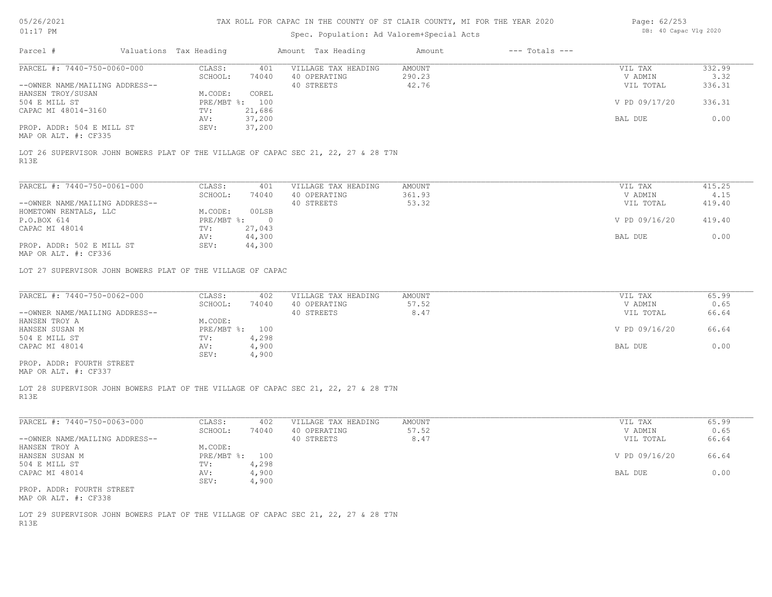## Spec. Population: Ad Valorem+Special Acts

| Page: 62/253 |                       |  |
|--------------|-----------------------|--|
|              | DB: 40 Capac Vlg 2020 |  |

| Parcel #                                                   | Valuations Tax Heading    |                  | Amount Tax Heading                                                                 | Amount           | $---$ Totals $---$ |                    |                |
|------------------------------------------------------------|---------------------------|------------------|------------------------------------------------------------------------------------|------------------|--------------------|--------------------|----------------|
| PARCEL #: 7440-750-0060-000                                | CLASS:<br>SCHOOL:         | 401<br>74040     | VILLAGE TAX HEADING<br>40 OPERATING                                                | AMOUNT<br>290.23 |                    | VIL TAX<br>V ADMIN | 332.99<br>3.32 |
| --OWNER NAME/MAILING ADDRESS--                             |                           |                  | 40 STREETS                                                                         | 42.76            |                    | VIL TOTAL          | 336.31         |
| HANSEN TROY/SUSAN                                          | M.CODE:                   | COREL            |                                                                                    |                  |                    |                    |                |
| 504 E MILL ST                                              | PRE/MBT %: 100            |                  |                                                                                    |                  |                    | V PD 09/17/20      | 336.31         |
| CAPAC MI 48014-3160                                        | TV:                       | 21,686           |                                                                                    |                  |                    |                    |                |
| PROP. ADDR: 504 E MILL ST                                  | AV:<br>SEV:               | 37,200<br>37,200 |                                                                                    |                  |                    | BAL DUE            | 0.00           |
| MAP OR ALT. #: CF335                                       |                           |                  |                                                                                    |                  |                    |                    |                |
| R13E                                                       |                           |                  | LOT 26 SUPERVISOR JOHN BOWERS PLAT OF THE VILLAGE OF CAPAC SEC 21, 22, 27 & 28 T7N |                  |                    |                    |                |
| PARCEL #: 7440-750-0061-000                                | CLASS:                    | 401              | VILLAGE TAX HEADING                                                                | AMOUNT           |                    | VIL TAX            | 415.25         |
|                                                            | SCHOOL:                   | 74040            | 40 OPERATING                                                                       | 361.93           |                    | V ADMIN            | 4.15           |
| --OWNER NAME/MAILING ADDRESS--                             |                           |                  | 40 STREETS                                                                         | 53.32            |                    | VIL TOTAL          | 419.40         |
| HOMETOWN RENTALS, LLC                                      | M.CODE:                   | 00LSB            |                                                                                    |                  |                    |                    |                |
| P.O.BOX 614                                                | PRE/MBT %: 0              |                  |                                                                                    |                  |                    | V PD 09/16/20      | 419.40         |
| CAPAC MI 48014                                             | TV:                       | 27,043<br>44,300 |                                                                                    |                  |                    |                    | 0.00           |
| PROP. ADDR: 502 E MILL ST                                  | AV:<br>SEV:               | 44,300           |                                                                                    |                  |                    | BAL DUE            |                |
| MAP OR ALT. #: CF336                                       |                           |                  |                                                                                    |                  |                    |                    |                |
| LOT 27 SUPERVISOR JOHN BOWERS PLAT OF THE VILLAGE OF CAPAC |                           |                  |                                                                                    |                  |                    |                    |                |
| PARCEL #: 7440-750-0062-000                                | CLASS:                    | 402              | VILLAGE TAX HEADING                                                                | AMOUNT           |                    | VIL TAX            | 65.99          |
|                                                            | SCHOOL:                   | 74040            | 40 OPERATING                                                                       | 57.52            |                    | V ADMIN            | 0.65           |
| --OWNER NAME/MAILING ADDRESS--                             |                           |                  | 40 STREETS                                                                         | 8.47             |                    | VIL TOTAL          | 66.64          |
| HANSEN TROY A<br>HANSEN SUSAN M                            | M.CODE:<br>PRE/MBT %: 100 |                  |                                                                                    |                  |                    | V PD 09/16/20      | 66.64          |
| 504 E MILL ST                                              | TV:                       | 4,298            |                                                                                    |                  |                    |                    |                |
| CAPAC MI 48014                                             | AV:                       | 4,900            |                                                                                    |                  |                    | BAL DUE            | 0.00           |
|                                                            | SEV:                      | 4,900            |                                                                                    |                  |                    |                    |                |
| PROP. ADDR: FOURTH STREET<br>MAP OR ALT. #: CF337          |                           |                  |                                                                                    |                  |                    |                    |                |
| R13E                                                       |                           |                  | LOT 28 SUPERVISOR JOHN BOWERS PLAT OF THE VILLAGE OF CAPAC SEC 21, 22, 27 & 28 T7N |                  |                    |                    |                |
| PARCEL #: 7440-750-0063-000                                | CLASS:                    | 402              | VILLAGE TAX HEADING                                                                | AMOUNT           |                    | VIL TAX            | 65.99          |
|                                                            | SCHOOL:                   | 74040            | 40 OPERATING                                                                       | 57.52            |                    | V ADMIN            | 0.65           |
| --OWNER NAME/MAILING ADDRESS--                             |                           |                  | 40 STREETS                                                                         | 8.47             |                    | VIL TOTAL          | 66.64          |
| HANSEN TROY A                                              | M.CODE:                   |                  |                                                                                    |                  |                    |                    |                |
| HANSEN SUSAN M                                             | PRE/MBT %: 100            |                  |                                                                                    |                  |                    | V PD 09/16/20      | 66.64          |
| 504 E MILL ST<br>CAPAC MI 48014                            | TV:<br>AV:                | 4,298<br>4,900   |                                                                                    |                  |                    | BAL DUE            | 0.00           |
|                                                            | SEV:                      | 4,900            |                                                                                    |                  |                    |                    |                |
| PROP. ADDR: FOURTH STREET<br>MAP OR ALT. #: CF338          |                           |                  |                                                                                    |                  |                    |                    |                |
|                                                            |                           |                  | LOT 29 SUPERVISOR JOHN BOWERS PLAT OF THE VILLAGE OF CAPAC SEC 21, 22, 27 & 28 T7N |                  |                    |                    |                |
| R13E                                                       |                           |                  |                                                                                    |                  |                    |                    |                |
|                                                            |                           |                  |                                                                                    |                  |                    |                    |                |
|                                                            |                           |                  |                                                                                    |                  |                    |                    |                |
|                                                            |                           |                  |                                                                                    |                  |                    |                    |                |
|                                                            |                           |                  |                                                                                    |                  |                    |                    |                |
|                                                            |                           |                  |                                                                                    |                  |                    |                    |                |
|                                                            |                           |                  |                                                                                    |                  |                    |                    |                |
|                                                            |                           |                  |                                                                                    |                  |                    |                    |                |
|                                                            |                           |                  |                                                                                    |                  |                    |                    |                |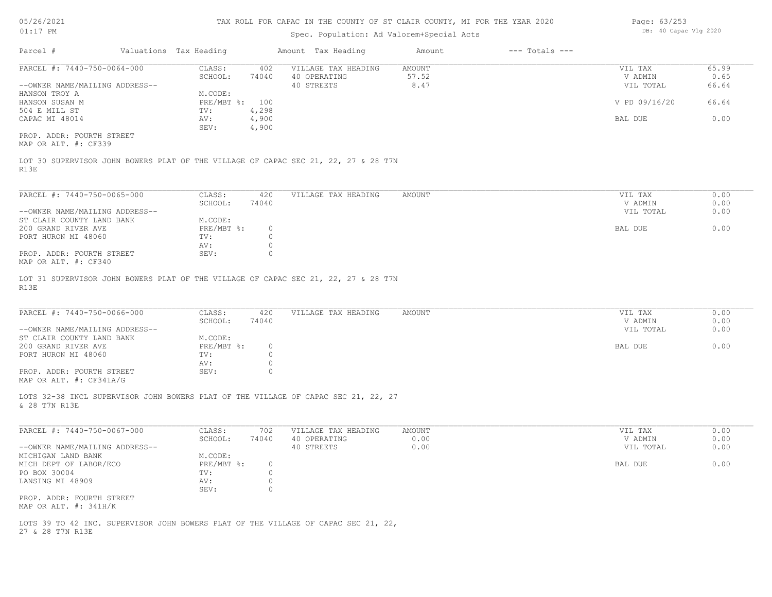## Spec. Population: Ad Valorem+Special Acts

| Page: 63/253 |                       |  |
|--------------|-----------------------|--|
|              | DB: 40 Capac Vlg 2020 |  |

| Parcel #                       | Valuations Tax Heading |       | Amount Tax Heading  | Amount | $---$ Totals $---$ |               |       |
|--------------------------------|------------------------|-------|---------------------|--------|--------------------|---------------|-------|
| PARCEL #: 7440-750-0064-000    | CLASS:                 | 402   | VILLAGE TAX HEADING | AMOUNT |                    | VIL TAX       | 65.99 |
|                                | SCHOOL:                | 74040 | 40 OPERATING        | 57.52  |                    | V ADMIN       | 0.65  |
| --OWNER NAME/MAILING ADDRESS-- |                        |       | 40 STREETS          | 8.47   |                    | VIL TOTAL     | 66.64 |
| HANSON TROY A                  | M.CODE:                |       |                     |        |                    |               |       |
| HANSON SUSAN M                 | $PRE/MBT$ %:           | 100   |                     |        |                    | V PD 09/16/20 | 66.64 |
| 504 E MILL ST                  | TV:                    | 4,298 |                     |        |                    |               |       |
| CAPAC MI 48014                 | AV:                    | 4,900 |                     |        |                    | BAL DUE       | 0.00  |
|                                | SEV:                   | 4,900 |                     |        |                    |               |       |
| PROP. ADDR: FOURTH STREET      |                        |       |                     |        |                    |               |       |

MAP OR ALT. #: CF339

R13E LOT 30 SUPERVISOR JOHN BOWERS PLAT OF THE VILLAGE OF CAPAC SEC 21, 22, 27 & 28 T7N

| PARCEL #: 7440-750-0065-000    | CLASS:       | 420   | VILLAGE TAX HEADING | AMOUNT | VIL TAX   | 0.00 |
|--------------------------------|--------------|-------|---------------------|--------|-----------|------|
|                                | SCHOOL:      | 74040 |                     |        | V ADMIN   | 0.00 |
| --OWNER NAME/MAILING ADDRESS-- |              |       |                     |        | VIL TOTAL | 0.00 |
| ST CLAIR COUNTY LAND BANK      | M.CODE:      |       |                     |        |           |      |
| 200 GRAND RIVER AVE            | $PRE/MBT$ %: |       |                     |        | BAL DUE   | 0.00 |
| PORT HURON MI 48060            | TV:          |       |                     |        |           |      |
|                                | AV:          |       |                     |        |           |      |
| PROP. ADDR: FOURTH STREET      | SEV:         |       |                     |        |           |      |
| MAP OR ALT. #: CF340           |              |       |                     |        |           |      |

R13E LOT 31 SUPERVISOR JOHN BOWERS PLAT OF THE VILLAGE OF CAPAC SEC 21, 22, 27 & 28 T7N

| PARCEL #: 7440-750-0066-000    | CLASS:     | 420   | VILLAGE TAX HEADING | AMOUNT | VIL TAX   | 0.00 |
|--------------------------------|------------|-------|---------------------|--------|-----------|------|
|                                | SCHOOL:    | 74040 |                     |        | V ADMIN   | 0.00 |
| --OWNER NAME/MAILING ADDRESS-- |            |       |                     |        | VIL TOTAL | 0.00 |
| ST CLAIR COUNTY LAND BANK      | M.CODE:    |       |                     |        |           |      |
| 200 GRAND RIVER AVE            | PRE/MBT %: |       |                     |        | BAL DUE   | 0.00 |
| PORT HURON MI 48060            | TV:        |       |                     |        |           |      |
|                                | AV:        |       |                     |        |           |      |
| PROP. ADDR: FOURTH STREET      | SEV:       |       |                     |        |           |      |
| MAP OR ALT. #: CF341A/G        |            |       |                     |        |           |      |

& 28 T7N R13E LOTS 32-38 INCL SUPERVISOR JOHN BOWERS PLAT OF THE VILLAGE OF CAPAC SEC 21, 22, 27

| PARCEL #: 7440-750-0067-000    | CLASS:     | 702   | VILLAGE TAX HEADING | AMOUNT | VIL TAX   | 0.00 |
|--------------------------------|------------|-------|---------------------|--------|-----------|------|
|                                | SCHOOL:    | 74040 | 40 OPERATING        | 0.00   | V ADMIN   | 0.00 |
| --OWNER NAME/MAILING ADDRESS-- |            |       | 40 STREETS          | 0.00   | VIL TOTAL | 0.00 |
| MICHIGAN LAND BANK             | M.CODE:    |       |                     |        |           |      |
| MICH DEPT OF LABOR/ECO         | PRE/MBT %: |       |                     |        | BAL DUE   | 0.00 |
| PO BOX 30004                   | TV:        |       |                     |        |           |      |
| LANSING MI 48909               | AV:        |       |                     |        |           |      |
|                                | SEV:       |       |                     |        |           |      |
| PROP. ADDR: FOURTH STREET      |            |       |                     |        |           |      |
| MAP OR ALT. #: 341H/K          |            |       |                     |        |           |      |

27 & 28 T7N R13E LOTS 39 TO 42 INC. SUPERVISOR JOHN BOWERS PLAT OF THE VILLAGE OF CAPAC SEC 21, 22,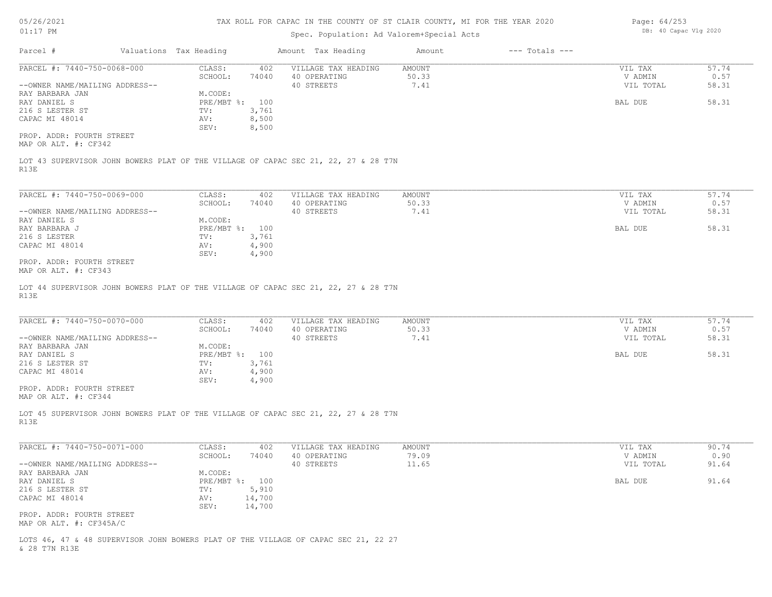| 05/26/2021 |  |
|------------|--|
|------------|--|

| Page: 64/253 |                       |  |
|--------------|-----------------------|--|
|              | DB: 40 Capac Vlg 2020 |  |

| $01:17$ PM                                                                                 | Spec. Population: Ad Valorem+Special Acts                                  |                                                          |                                |                    | DB: 40 Capac Vlg 2020           |                        |  |
|--------------------------------------------------------------------------------------------|----------------------------------------------------------------------------|----------------------------------------------------------|--------------------------------|--------------------|---------------------------------|------------------------|--|
| Parcel #                                                                                   | Valuations Tax Heading                                                     | Amount Tax Heading                                       | Amount                         | $---$ Totals $---$ |                                 |                        |  |
| PARCEL #: 7440-750-0068-000<br>--OWNER NAME/MAILING ADDRESS--                              | CLASS:<br>SCHOOL:<br>74040                                                 | 402<br>VILLAGE TAX HEADING<br>40 OPERATING<br>40 STREETS | <b>AMOUNT</b><br>50.33<br>7.41 |                    | VIL TAX<br>V ADMIN<br>VIL TOTAL | 57.74<br>0.57<br>58.31 |  |
| RAY BARBARA JAN<br>RAY DANIEL S<br>216 S LESTER ST<br>CAPAC MI 48014                       | M.CODE:<br>PRE/MBT %: 100<br>3,761<br>TV:<br>8,500<br>AV:<br>8,500<br>SEV: |                                                          |                                |                    | BAL DUE                         | 58.31                  |  |
| PROP. ADDR: FOURTH STREET<br>MAP OR ALT. #: CF342                                          |                                                                            |                                                          |                                |                    |                                 |                        |  |
| LOT 43 SUPERVISOR JOHN BOWERS PLAT OF THE VILLAGE OF CAPAC SEC 21, 22, 27 & 28 T7N<br>R13E |                                                                            |                                                          |                                |                    |                                 |                        |  |
| PARCEL #: 7440-750-0069-000                                                                | CLASS:                                                                     | 402<br>VILLAGE TAX HEADING                               | AMOUNT                         |                    | VIL TAX                         | 57.74                  |  |
| --OWNER NAME/MAILING ADDRESS--                                                             | SCHOOL:<br>74040                                                           | 40 OPERATING<br>40 STREETS                               | 50.33<br>7.41                  |                    | V ADMIN<br>VIL TOTAL            | 0.57<br>58.31          |  |
| RAY DANIEL S<br>RAY BARBARA J<br>216 S LESTER<br>CAPAC MI 48014                            | M.CODE:<br>PRE/MBT %: 100<br>3,761<br>TV:<br>AV:                           |                                                          |                                |                    | BAL DUE                         | 58.31                  |  |
| PROP. ADDR: FOURTH STREET<br>MAP OR ALT. #: CF343                                          | 4,900<br>SEV:<br>4,900                                                     |                                                          |                                |                    |                                 |                        |  |
| LOT 44 SUPERVISOR JOHN BOWERS PLAT OF THE VILLAGE OF CAPAC SEC 21, 22, 27 & 28 T7N<br>R13E |                                                                            |                                                          |                                |                    |                                 |                        |  |
| PARCEL #: 7440-750-0070-000                                                                | CLASS:<br>SCHOOL:<br>74040                                                 | VILLAGE TAX HEADING<br>402<br>40 OPERATING               | <b>AMOUNT</b><br>50.33         |                    | VIL TAX<br>V ADMIN              | 57.74<br>0.57          |  |
| --OWNER NAME/MAILING ADDRESS--<br>RAY BARBARA JAN                                          | M. CODE:                                                                   | 40 STREETS                                               | 7.41                           |                    | VIL TOTAL                       | 58.31                  |  |
| RAY DANIEL S<br>216 S LESTER ST                                                            | PRE/MBT %: 100<br>3,761<br>TV:                                             |                                                          |                                |                    | BAL DUE                         | 58.31                  |  |
| CAPAC MI 48014                                                                             | AV:<br>4,900<br>4,900<br>SEV:                                              |                                                          |                                |                    |                                 |                        |  |
| PROP. ADDR: FOURTH STREET<br>MAP OR ALT. #: CF344                                          |                                                                            |                                                          |                                |                    |                                 |                        |  |
| LOT 45 SUPERVISOR JOHN BOWERS PLAT OF THE VILLAGE OF CAPAC SEC 21, 22, 27 & 28 T7N<br>R13E |                                                                            |                                                          |                                |                    |                                 |                        |  |
| PARCEL #: 7440-750-0071-000                                                                | CLASS:                                                                     | 402<br>VILLAGE TAX HEADING                               | <b>AMOUNT</b>                  |                    | VIL TAX                         | 90.74                  |  |
| --OWNER NAME/MAILING ADDRESS--                                                             | SCHOOL:<br>74040                                                           | 40 OPERATING<br>40 STREETS                               | 79.09<br>11.65                 |                    | V ADMIN<br>VIL TOTAL            | 0.90<br>91.64          |  |
| RAY BARBARA JAN<br>RAY DANIEL S                                                            | M.CODE:<br>PRE/MBT %: 100                                                  |                                                          |                                |                    | BAL DUE                         | 91.64                  |  |
| 216 S LESTER ST<br>CAPAC MI 48014                                                          | 5,910<br>TV:<br>14,700<br>AV:                                              |                                                          |                                |                    |                                 |                        |  |
| PROP. ADDR: FOURTH STREET<br>MAP OR ALT. #: CF345A/C                                       | SEV:<br>14,700                                                             |                                                          |                                |                    |                                 |                        |  |

& 28 T7N R13E LOTS 46, 47 & 48 SUPERVISOR JOHN BOWERS PLAT OF THE VILLAGE OF CAPAC SEC 21, 22 27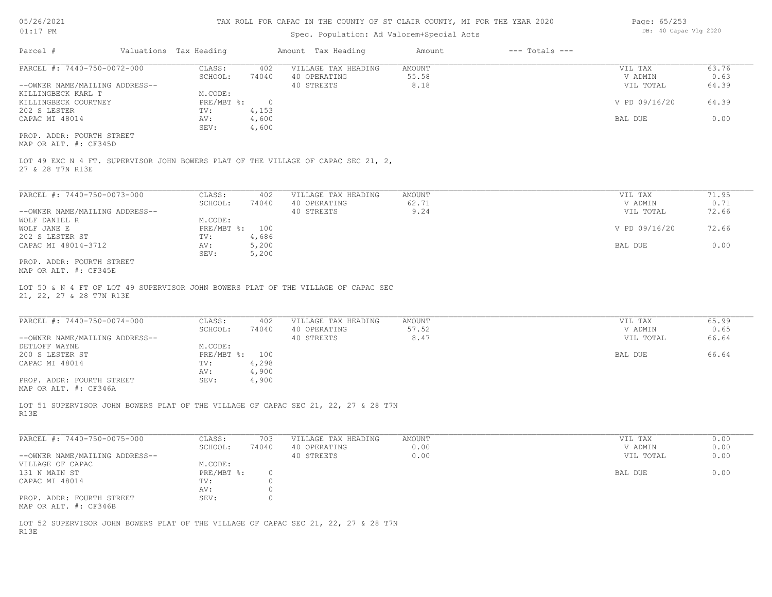## Spec. Population: Ad Valorem+Special Acts

| Page: 65/253 |                       |  |
|--------------|-----------------------|--|
|              | DB: 40 Capac Vlg 2020 |  |

 $\overline{a}$   $\overline{a}$   $\overline{a}$   $\overline{a}$   $\overline{a}$   $\overline{a}$ 

| Parcel #                       | Valuations Tax Heading |        | Amount Tax Heading                                                                | Amount | $---$ Totals $---$ |               |       |
|--------------------------------|------------------------|--------|-----------------------------------------------------------------------------------|--------|--------------------|---------------|-------|
| PARCEL #: 7440-750-0072-000    | CLASS:                 | 402    | VILLAGE TAX HEADING                                                               | AMOUNT |                    | VIL TAX       | 63.76 |
|                                | SCHOOL:                | 74040  | 40 OPERATING                                                                      | 55.58  |                    | V ADMIN       | 0.63  |
| --OWNER NAME/MAILING ADDRESS-- |                        |        | 40 STREETS                                                                        | 8.18   |                    | VIL TOTAL     | 64.39 |
| KILLINGBECK KARL T             | M.CODE:                |        |                                                                                   |        |                    |               |       |
| KILLINGBECK COURTNEY           | PRE/MBT %:             | $\cap$ |                                                                                   |        |                    | V PD 09/16/20 | 64.39 |
| 202 S LESTER                   | TV:                    | 4,153  |                                                                                   |        |                    |               |       |
| CAPAC MI 48014                 | AV:                    | 4,600  |                                                                                   |        |                    | BAL DUE       | 0.00  |
|                                | SEV:                   | 4,600  |                                                                                   |        |                    |               |       |
| PROP. ADDR: FOURTH STREET      |                        |        |                                                                                   |        |                    |               |       |
| MAP OR ALT. #: CF345D          |                        |        |                                                                                   |        |                    |               |       |
|                                |                        |        |                                                                                   |        |                    |               |       |
|                                |                        |        | LOT 49 EXC N 4 FT. SUPERVISOR JOHN BOWERS PLAT OF THE VILLAGE OF CAPAC SEC 21, 2, |        |                    |               |       |
| 27 & 28 T7N R13E               |                        |        |                                                                                   |        |                    |               |       |
|                                |                        |        |                                                                                   |        |                    |               |       |
|                                |                        |        |                                                                                   |        |                    |               |       |

| PARCEL #: 7440-750-0073-000    | CLASS:     | 402   | VILLAGE TAX HEADING | AMOUNT | VIL TAX       | 71.95 |
|--------------------------------|------------|-------|---------------------|--------|---------------|-------|
|                                | SCHOOL:    | 74040 | 40 OPERATING        | 62.71  | V ADMIN       | 0.71  |
| --OWNER NAME/MAILING ADDRESS-- |            |       | 40 STREETS          | 9.24   | VIL TOTAL     | 72.66 |
| WOLF DANIEL R                  | M.CODE:    |       |                     |        |               |       |
| WOLF JANE E                    | PRE/MBT %: | 100   |                     |        | V PD 09/16/20 | 72.66 |
| 202 S LESTER ST                | TV:        | 4,686 |                     |        |               |       |
| CAPAC MI 48014-3712            | AV:        | 5,200 |                     |        | BAL DUE       | 0.00  |
|                                | SEV:       | 5,200 |                     |        |               |       |
| _____ ____ ___ _______         |            |       |                     |        |               |       |

MAP OR ALT. #: CF345E PROP. ADDR: FOURTH STREET

21, 22, 27 & 28 T7N R13E LOT 50 & N 4 FT OF LOT 49 SUPERVISOR JOHN BOWERS PLAT OF THE VILLAGE OF CAPAC SEC

| PARCEL #: 7440-750-0074-000                  | CLASS:         | 402   | VILLAGE TAX HEADING | AMOUNT | VIL TAX   | 65.99 |
|----------------------------------------------|----------------|-------|---------------------|--------|-----------|-------|
|                                              | SCHOOL:        | 74040 | 40 OPERATING        | 57.52  | V ADMIN   | 0.65  |
| --OWNER NAME/MAILING ADDRESS--               |                |       | 40 STREETS          | 8.47   | VIL TOTAL | 66.64 |
| DETLOFF WAYNE                                | M.CODE:        |       |                     |        |           |       |
| 200 S LESTER ST                              | PRE/MBT %: 100 |       |                     |        | BAL DUE   | 66.64 |
| CAPAC MI 48014                               | TV:            | 4,298 |                     |        |           |       |
|                                              | AV:            | 4,900 |                     |        |           |       |
| PROP. ADDR: FOURTH STREET                    | SEV:           | 4,900 |                     |        |           |       |
| $\cdots$ $\cdots$ $\cdots$ $\cdots$ $\cdots$ |                |       |                     |        |           |       |

MAP OR ALT. #: CF346A

R13E LOT 51 SUPERVISOR JOHN BOWERS PLAT OF THE VILLAGE OF CAPAC SEC 21, 22, 27 & 28 T7N

| PARCEL #: 7440-750-0075-000    | CLASS:       | 703   | VILLAGE TAX HEADING | AMOUNT | VIL TAX   | 0.00 |
|--------------------------------|--------------|-------|---------------------|--------|-----------|------|
|                                | SCHOOL:      | 74040 | 40 OPERATING        | 0.00   | V ADMIN   | 0.00 |
| --OWNER NAME/MAILING ADDRESS-- |              |       | 40 STREETS          | 0.00   | VIL TOTAL | 0.00 |
| VILLAGE OF CAPAC               | M.CODE:      |       |                     |        |           |      |
| 131 N MAIN ST                  | $PRE/MBT$ %: |       |                     |        | BAL DUE   | 0.00 |
| CAPAC MI 48014                 | TV:          |       |                     |        |           |      |
|                                | AV:          |       |                     |        |           |      |
| PROP. ADDR: FOURTH STREET      | SEV:         |       |                     |        |           |      |
| MAP OR ALT. #: CF346B          |              |       |                     |        |           |      |

R13E LOT 52 SUPERVISOR JOHN BOWERS PLAT OF THE VILLAGE OF CAPAC SEC 21, 22, 27 & 28 T7N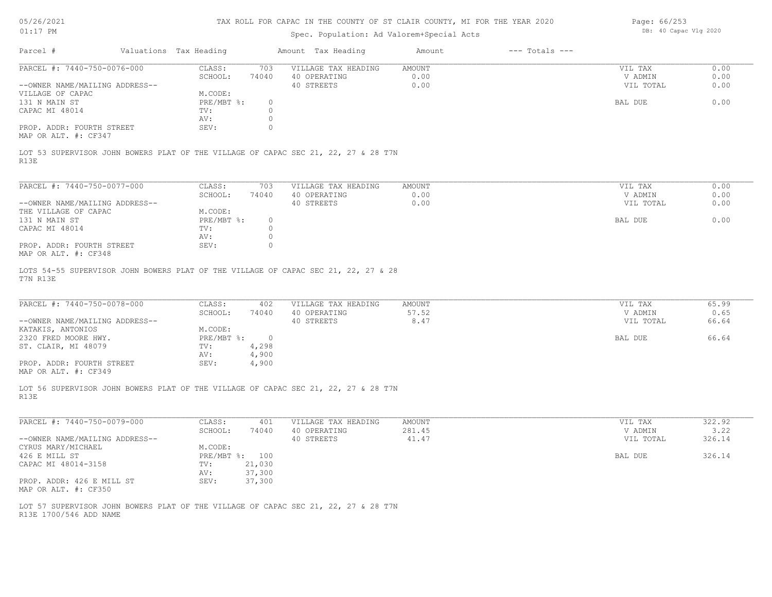| 05/26/2021 |  |
|------------|--|
|------------|--|

| Page: 66/253 |                       |  |
|--------------|-----------------------|--|
|              | DB: 40 Capac Vlg 2020 |  |

| Parcel #<br>Valuations Tax Heading<br>Amount Tax Heading<br>$---$ Totals $---$<br>Amount<br>PARCEL #: 7440-750-0076-000<br>CLASS:<br>VILLAGE TAX HEADING<br>703<br>AMOUNT<br>VIL TAX<br>SCHOOL:<br>74040<br>40 OPERATING<br>0.00<br>V ADMIN<br>0.00<br>--OWNER NAME/MAILING ADDRESS--<br>40 STREETS<br>VIL TOTAL<br>M.CODE:<br>VILLAGE OF CAPAC<br>PRE/MBT %:<br>131 N MAIN ST<br>$\circ$<br>BAL DUE<br>CAPAC MI 48014<br>TV:<br>0<br>0<br>AV:<br>PROP. ADDR: FOURTH STREET<br>SEV:<br>0<br>MAP OR ALT. #: CF347<br>LOT 53 SUPERVISOR JOHN BOWERS PLAT OF THE VILLAGE OF CAPAC SEC 21, 22, 27 & 28 T7N<br>R13E<br>PARCEL #: 7440-750-0077-000<br>CLASS:<br>VILLAGE TAX HEADING<br>703<br>AMOUNT<br>VIL TAX<br>0.00<br>SCHOOL:<br>74040<br>40 OPERATING<br>V ADMIN<br>0.00<br>--OWNER NAME/MAILING ADDRESS--<br>40 STREETS<br>VIL TOTAL<br>THE VILLAGE OF CAPAC<br>M.CODE:<br>131 N MAIN ST<br>PRE/MBT %:<br>$\circ$<br>BAL DUE<br>CAPAC MI 48014<br>0<br>TV:<br>$\circ$<br>AV:<br>PROP. ADDR: FOURTH STREET<br>SEV:<br>0<br>MAP OR ALT. #: CF348<br>LOTS 54-55 SUPERVISOR JOHN BOWERS PLAT OF THE VILLAGE OF CAPAC SEC 21, 22, 27 & 28<br>T7N R13E<br>PARCEL #: 7440-750-0078-000<br>CLASS:<br>402<br>VILLAGE TAX HEADING<br>AMOUNT<br>VIL TAX<br>57.52<br>SCHOOL:<br>74040<br>40 OPERATING<br>V ADMIN<br>--OWNER NAME/MAILING ADDRESS--<br>40 STREETS<br>8.47<br>VIL TOTAL<br>M.CODE:<br>KATAKIS, ANTONIOS<br>2320 FRED MOORE HWY.<br>$PRE/MBT$ %:<br>$\overline{0}$<br>BAL DUE<br>4,298<br>ST. CLAIR, MI 48079<br>TV:<br>4,900<br>AV:<br>PROP. ADDR: FOURTH STREET<br>SEV:<br>4,900<br>MAP OR ALT. #: CF349<br>LOT 56 SUPERVISOR JOHN BOWERS PLAT OF THE VILLAGE OF CAPAC SEC 21, 22, 27 & 28 T7N<br>R13E<br>PARCEL #: 7440-750-0079-000<br>CLASS:<br>VILLAGE TAX HEADING<br>AMOUNT<br>VIL TAX<br>401<br>SCHOOL:<br>40 OPERATING<br>281.45<br>V ADMIN<br>74040<br>--OWNER NAME/MAILING ADDRESS--<br>40 STREETS<br>41.47<br>VIL TOTAL<br>M.CODE:<br>CYRUS MARY/MICHAEL<br>426 E MILL ST<br>PRE/MBT %: 100<br><b>BAL DUE</b><br>CAPAC MI 48014-3158<br>TV: 21,030<br>37,300<br>AV:<br>37,300<br>SEV:<br>PROP. ADDR: 426 E MILL ST<br>MAP OR ALT. #: CF350<br>LOT 57 SUPERVISOR JOHN BOWERS PLAT OF THE VILLAGE OF CAPAC SEC 21, 22, 27 & 28 T7N<br>R13E 1700/546 ADD NAME | 0.00<br>0.00<br>0.65<br>66.64<br>322.92<br>3.22<br>326.14<br>326.14 | $01:17$ PM |  | Spec. Population: Ad Valorem+Special Acts |  | DB: 40 Capac Vlg 2020 |       |
|---------------------------------------------------------------------------------------------------------------------------------------------------------------------------------------------------------------------------------------------------------------------------------------------------------------------------------------------------------------------------------------------------------------------------------------------------------------------------------------------------------------------------------------------------------------------------------------------------------------------------------------------------------------------------------------------------------------------------------------------------------------------------------------------------------------------------------------------------------------------------------------------------------------------------------------------------------------------------------------------------------------------------------------------------------------------------------------------------------------------------------------------------------------------------------------------------------------------------------------------------------------------------------------------------------------------------------------------------------------------------------------------------------------------------------------------------------------------------------------------------------------------------------------------------------------------------------------------------------------------------------------------------------------------------------------------------------------------------------------------------------------------------------------------------------------------------------------------------------------------------------------------------------------------------------------------------------------------------------------------------------------------------------------------------------------------------------------------------------------------------------------------------------------------------------------------------------------------------------------------------------------------------|---------------------------------------------------------------------|------------|--|-------------------------------------------|--|-----------------------|-------|
|                                                                                                                                                                                                                                                                                                                                                                                                                                                                                                                                                                                                                                                                                                                                                                                                                                                                                                                                                                                                                                                                                                                                                                                                                                                                                                                                                                                                                                                                                                                                                                                                                                                                                                                                                                                                                                                                                                                                                                                                                                                                                                                                                                                                                                                                           |                                                                     |            |  |                                           |  |                       |       |
|                                                                                                                                                                                                                                                                                                                                                                                                                                                                                                                                                                                                                                                                                                                                                                                                                                                                                                                                                                                                                                                                                                                                                                                                                                                                                                                                                                                                                                                                                                                                                                                                                                                                                                                                                                                                                                                                                                                                                                                                                                                                                                                                                                                                                                                                           |                                                                     |            |  |                                           |  |                       | 0.00  |
|                                                                                                                                                                                                                                                                                                                                                                                                                                                                                                                                                                                                                                                                                                                                                                                                                                                                                                                                                                                                                                                                                                                                                                                                                                                                                                                                                                                                                                                                                                                                                                                                                                                                                                                                                                                                                                                                                                                                                                                                                                                                                                                                                                                                                                                                           |                                                                     |            |  |                                           |  |                       | 0.00  |
|                                                                                                                                                                                                                                                                                                                                                                                                                                                                                                                                                                                                                                                                                                                                                                                                                                                                                                                                                                                                                                                                                                                                                                                                                                                                                                                                                                                                                                                                                                                                                                                                                                                                                                                                                                                                                                                                                                                                                                                                                                                                                                                                                                                                                                                                           |                                                                     |            |  |                                           |  |                       | 0.00  |
|                                                                                                                                                                                                                                                                                                                                                                                                                                                                                                                                                                                                                                                                                                                                                                                                                                                                                                                                                                                                                                                                                                                                                                                                                                                                                                                                                                                                                                                                                                                                                                                                                                                                                                                                                                                                                                                                                                                                                                                                                                                                                                                                                                                                                                                                           |                                                                     |            |  |                                           |  |                       |       |
|                                                                                                                                                                                                                                                                                                                                                                                                                                                                                                                                                                                                                                                                                                                                                                                                                                                                                                                                                                                                                                                                                                                                                                                                                                                                                                                                                                                                                                                                                                                                                                                                                                                                                                                                                                                                                                                                                                                                                                                                                                                                                                                                                                                                                                                                           |                                                                     |            |  |                                           |  |                       | 0.00  |
|                                                                                                                                                                                                                                                                                                                                                                                                                                                                                                                                                                                                                                                                                                                                                                                                                                                                                                                                                                                                                                                                                                                                                                                                                                                                                                                                                                                                                                                                                                                                                                                                                                                                                                                                                                                                                                                                                                                                                                                                                                                                                                                                                                                                                                                                           |                                                                     |            |  |                                           |  |                       |       |
|                                                                                                                                                                                                                                                                                                                                                                                                                                                                                                                                                                                                                                                                                                                                                                                                                                                                                                                                                                                                                                                                                                                                                                                                                                                                                                                                                                                                                                                                                                                                                                                                                                                                                                                                                                                                                                                                                                                                                                                                                                                                                                                                                                                                                                                                           |                                                                     |            |  |                                           |  |                       |       |
|                                                                                                                                                                                                                                                                                                                                                                                                                                                                                                                                                                                                                                                                                                                                                                                                                                                                                                                                                                                                                                                                                                                                                                                                                                                                                                                                                                                                                                                                                                                                                                                                                                                                                                                                                                                                                                                                                                                                                                                                                                                                                                                                                                                                                                                                           |                                                                     |            |  |                                           |  |                       |       |
|                                                                                                                                                                                                                                                                                                                                                                                                                                                                                                                                                                                                                                                                                                                                                                                                                                                                                                                                                                                                                                                                                                                                                                                                                                                                                                                                                                                                                                                                                                                                                                                                                                                                                                                                                                                                                                                                                                                                                                                                                                                                                                                                                                                                                                                                           |                                                                     |            |  |                                           |  |                       |       |
|                                                                                                                                                                                                                                                                                                                                                                                                                                                                                                                                                                                                                                                                                                                                                                                                                                                                                                                                                                                                                                                                                                                                                                                                                                                                                                                                                                                                                                                                                                                                                                                                                                                                                                                                                                                                                                                                                                                                                                                                                                                                                                                                                                                                                                                                           |                                                                     |            |  |                                           |  |                       |       |
|                                                                                                                                                                                                                                                                                                                                                                                                                                                                                                                                                                                                                                                                                                                                                                                                                                                                                                                                                                                                                                                                                                                                                                                                                                                                                                                                                                                                                                                                                                                                                                                                                                                                                                                                                                                                                                                                                                                                                                                                                                                                                                                                                                                                                                                                           |                                                                     |            |  |                                           |  |                       |       |
|                                                                                                                                                                                                                                                                                                                                                                                                                                                                                                                                                                                                                                                                                                                                                                                                                                                                                                                                                                                                                                                                                                                                                                                                                                                                                                                                                                                                                                                                                                                                                                                                                                                                                                                                                                                                                                                                                                                                                                                                                                                                                                                                                                                                                                                                           |                                                                     |            |  |                                           |  |                       |       |
|                                                                                                                                                                                                                                                                                                                                                                                                                                                                                                                                                                                                                                                                                                                                                                                                                                                                                                                                                                                                                                                                                                                                                                                                                                                                                                                                                                                                                                                                                                                                                                                                                                                                                                                                                                                                                                                                                                                                                                                                                                                                                                                                                                                                                                                                           |                                                                     |            |  |                                           |  |                       |       |
|                                                                                                                                                                                                                                                                                                                                                                                                                                                                                                                                                                                                                                                                                                                                                                                                                                                                                                                                                                                                                                                                                                                                                                                                                                                                                                                                                                                                                                                                                                                                                                                                                                                                                                                                                                                                                                                                                                                                                                                                                                                                                                                                                                                                                                                                           |                                                                     |            |  |                                           |  |                       | 0.00  |
|                                                                                                                                                                                                                                                                                                                                                                                                                                                                                                                                                                                                                                                                                                                                                                                                                                                                                                                                                                                                                                                                                                                                                                                                                                                                                                                                                                                                                                                                                                                                                                                                                                                                                                                                                                                                                                                                                                                                                                                                                                                                                                                                                                                                                                                                           |                                                                     |            |  |                                           |  |                       |       |
|                                                                                                                                                                                                                                                                                                                                                                                                                                                                                                                                                                                                                                                                                                                                                                                                                                                                                                                                                                                                                                                                                                                                                                                                                                                                                                                                                                                                                                                                                                                                                                                                                                                                                                                                                                                                                                                                                                                                                                                                                                                                                                                                                                                                                                                                           |                                                                     |            |  |                                           |  |                       | 0.00  |
|                                                                                                                                                                                                                                                                                                                                                                                                                                                                                                                                                                                                                                                                                                                                                                                                                                                                                                                                                                                                                                                                                                                                                                                                                                                                                                                                                                                                                                                                                                                                                                                                                                                                                                                                                                                                                                                                                                                                                                                                                                                                                                                                                                                                                                                                           |                                                                     |            |  |                                           |  |                       |       |
|                                                                                                                                                                                                                                                                                                                                                                                                                                                                                                                                                                                                                                                                                                                                                                                                                                                                                                                                                                                                                                                                                                                                                                                                                                                                                                                                                                                                                                                                                                                                                                                                                                                                                                                                                                                                                                                                                                                                                                                                                                                                                                                                                                                                                                                                           |                                                                     |            |  |                                           |  |                       |       |
|                                                                                                                                                                                                                                                                                                                                                                                                                                                                                                                                                                                                                                                                                                                                                                                                                                                                                                                                                                                                                                                                                                                                                                                                                                                                                                                                                                                                                                                                                                                                                                                                                                                                                                                                                                                                                                                                                                                                                                                                                                                                                                                                                                                                                                                                           |                                                                     |            |  |                                           |  |                       |       |
|                                                                                                                                                                                                                                                                                                                                                                                                                                                                                                                                                                                                                                                                                                                                                                                                                                                                                                                                                                                                                                                                                                                                                                                                                                                                                                                                                                                                                                                                                                                                                                                                                                                                                                                                                                                                                                                                                                                                                                                                                                                                                                                                                                                                                                                                           |                                                                     |            |  |                                           |  |                       |       |
|                                                                                                                                                                                                                                                                                                                                                                                                                                                                                                                                                                                                                                                                                                                                                                                                                                                                                                                                                                                                                                                                                                                                                                                                                                                                                                                                                                                                                                                                                                                                                                                                                                                                                                                                                                                                                                                                                                                                                                                                                                                                                                                                                                                                                                                                           |                                                                     |            |  |                                           |  |                       | 65.99 |
|                                                                                                                                                                                                                                                                                                                                                                                                                                                                                                                                                                                                                                                                                                                                                                                                                                                                                                                                                                                                                                                                                                                                                                                                                                                                                                                                                                                                                                                                                                                                                                                                                                                                                                                                                                                                                                                                                                                                                                                                                                                                                                                                                                                                                                                                           |                                                                     |            |  |                                           |  |                       |       |
|                                                                                                                                                                                                                                                                                                                                                                                                                                                                                                                                                                                                                                                                                                                                                                                                                                                                                                                                                                                                                                                                                                                                                                                                                                                                                                                                                                                                                                                                                                                                                                                                                                                                                                                                                                                                                                                                                                                                                                                                                                                                                                                                                                                                                                                                           |                                                                     |            |  |                                           |  |                       |       |
|                                                                                                                                                                                                                                                                                                                                                                                                                                                                                                                                                                                                                                                                                                                                                                                                                                                                                                                                                                                                                                                                                                                                                                                                                                                                                                                                                                                                                                                                                                                                                                                                                                                                                                                                                                                                                                                                                                                                                                                                                                                                                                                                                                                                                                                                           |                                                                     |            |  |                                           |  |                       |       |
|                                                                                                                                                                                                                                                                                                                                                                                                                                                                                                                                                                                                                                                                                                                                                                                                                                                                                                                                                                                                                                                                                                                                                                                                                                                                                                                                                                                                                                                                                                                                                                                                                                                                                                                                                                                                                                                                                                                                                                                                                                                                                                                                                                                                                                                                           |                                                                     |            |  |                                           |  |                       | 66.64 |
|                                                                                                                                                                                                                                                                                                                                                                                                                                                                                                                                                                                                                                                                                                                                                                                                                                                                                                                                                                                                                                                                                                                                                                                                                                                                                                                                                                                                                                                                                                                                                                                                                                                                                                                                                                                                                                                                                                                                                                                                                                                                                                                                                                                                                                                                           |                                                                     |            |  |                                           |  |                       |       |
|                                                                                                                                                                                                                                                                                                                                                                                                                                                                                                                                                                                                                                                                                                                                                                                                                                                                                                                                                                                                                                                                                                                                                                                                                                                                                                                                                                                                                                                                                                                                                                                                                                                                                                                                                                                                                                                                                                                                                                                                                                                                                                                                                                                                                                                                           |                                                                     |            |  |                                           |  |                       |       |
|                                                                                                                                                                                                                                                                                                                                                                                                                                                                                                                                                                                                                                                                                                                                                                                                                                                                                                                                                                                                                                                                                                                                                                                                                                                                                                                                                                                                                                                                                                                                                                                                                                                                                                                                                                                                                                                                                                                                                                                                                                                                                                                                                                                                                                                                           |                                                                     |            |  |                                           |  |                       |       |
|                                                                                                                                                                                                                                                                                                                                                                                                                                                                                                                                                                                                                                                                                                                                                                                                                                                                                                                                                                                                                                                                                                                                                                                                                                                                                                                                                                                                                                                                                                                                                                                                                                                                                                                                                                                                                                                                                                                                                                                                                                                                                                                                                                                                                                                                           |                                                                     |            |  |                                           |  |                       |       |
|                                                                                                                                                                                                                                                                                                                                                                                                                                                                                                                                                                                                                                                                                                                                                                                                                                                                                                                                                                                                                                                                                                                                                                                                                                                                                                                                                                                                                                                                                                                                                                                                                                                                                                                                                                                                                                                                                                                                                                                                                                                                                                                                                                                                                                                                           |                                                                     |            |  |                                           |  |                       |       |
|                                                                                                                                                                                                                                                                                                                                                                                                                                                                                                                                                                                                                                                                                                                                                                                                                                                                                                                                                                                                                                                                                                                                                                                                                                                                                                                                                                                                                                                                                                                                                                                                                                                                                                                                                                                                                                                                                                                                                                                                                                                                                                                                                                                                                                                                           |                                                                     |            |  |                                           |  |                       |       |
|                                                                                                                                                                                                                                                                                                                                                                                                                                                                                                                                                                                                                                                                                                                                                                                                                                                                                                                                                                                                                                                                                                                                                                                                                                                                                                                                                                                                                                                                                                                                                                                                                                                                                                                                                                                                                                                                                                                                                                                                                                                                                                                                                                                                                                                                           |                                                                     |            |  |                                           |  |                       |       |
|                                                                                                                                                                                                                                                                                                                                                                                                                                                                                                                                                                                                                                                                                                                                                                                                                                                                                                                                                                                                                                                                                                                                                                                                                                                                                                                                                                                                                                                                                                                                                                                                                                                                                                                                                                                                                                                                                                                                                                                                                                                                                                                                                                                                                                                                           |                                                                     |            |  |                                           |  |                       |       |
|                                                                                                                                                                                                                                                                                                                                                                                                                                                                                                                                                                                                                                                                                                                                                                                                                                                                                                                                                                                                                                                                                                                                                                                                                                                                                                                                                                                                                                                                                                                                                                                                                                                                                                                                                                                                                                                                                                                                                                                                                                                                                                                                                                                                                                                                           |                                                                     |            |  |                                           |  |                       |       |
|                                                                                                                                                                                                                                                                                                                                                                                                                                                                                                                                                                                                                                                                                                                                                                                                                                                                                                                                                                                                                                                                                                                                                                                                                                                                                                                                                                                                                                                                                                                                                                                                                                                                                                                                                                                                                                                                                                                                                                                                                                                                                                                                                                                                                                                                           |                                                                     |            |  |                                           |  |                       |       |
|                                                                                                                                                                                                                                                                                                                                                                                                                                                                                                                                                                                                                                                                                                                                                                                                                                                                                                                                                                                                                                                                                                                                                                                                                                                                                                                                                                                                                                                                                                                                                                                                                                                                                                                                                                                                                                                                                                                                                                                                                                                                                                                                                                                                                                                                           |                                                                     |            |  |                                           |  |                       |       |
|                                                                                                                                                                                                                                                                                                                                                                                                                                                                                                                                                                                                                                                                                                                                                                                                                                                                                                                                                                                                                                                                                                                                                                                                                                                                                                                                                                                                                                                                                                                                                                                                                                                                                                                                                                                                                                                                                                                                                                                                                                                                                                                                                                                                                                                                           |                                                                     |            |  |                                           |  |                       |       |
|                                                                                                                                                                                                                                                                                                                                                                                                                                                                                                                                                                                                                                                                                                                                                                                                                                                                                                                                                                                                                                                                                                                                                                                                                                                                                                                                                                                                                                                                                                                                                                                                                                                                                                                                                                                                                                                                                                                                                                                                                                                                                                                                                                                                                                                                           |                                                                     |            |  |                                           |  |                       |       |
|                                                                                                                                                                                                                                                                                                                                                                                                                                                                                                                                                                                                                                                                                                                                                                                                                                                                                                                                                                                                                                                                                                                                                                                                                                                                                                                                                                                                                                                                                                                                                                                                                                                                                                                                                                                                                                                                                                                                                                                                                                                                                                                                                                                                                                                                           |                                                                     |            |  |                                           |  |                       |       |
|                                                                                                                                                                                                                                                                                                                                                                                                                                                                                                                                                                                                                                                                                                                                                                                                                                                                                                                                                                                                                                                                                                                                                                                                                                                                                                                                                                                                                                                                                                                                                                                                                                                                                                                                                                                                                                                                                                                                                                                                                                                                                                                                                                                                                                                                           |                                                                     |            |  |                                           |  |                       |       |
|                                                                                                                                                                                                                                                                                                                                                                                                                                                                                                                                                                                                                                                                                                                                                                                                                                                                                                                                                                                                                                                                                                                                                                                                                                                                                                                                                                                                                                                                                                                                                                                                                                                                                                                                                                                                                                                                                                                                                                                                                                                                                                                                                                                                                                                                           |                                                                     |            |  |                                           |  |                       |       |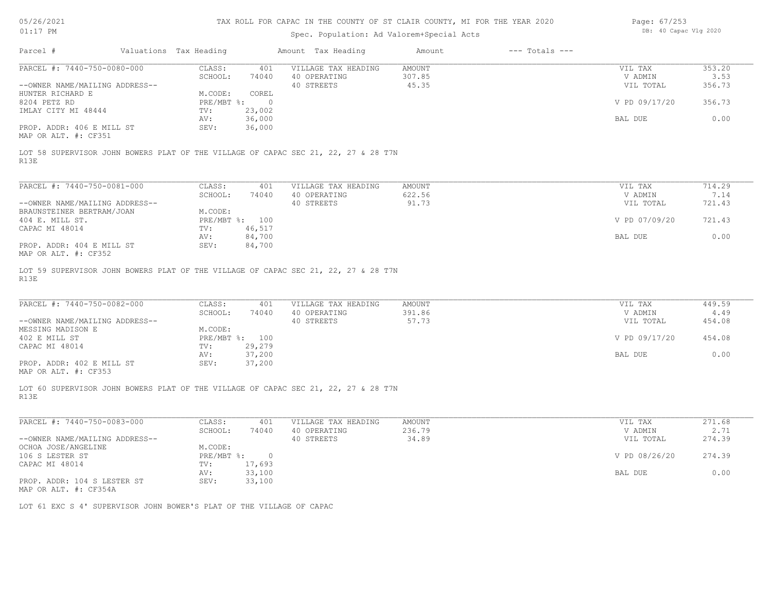| 05/26/2021 |  |
|------------|--|
|------------|--|

| Page: 67/253 |                       |  |
|--------------|-----------------------|--|
|              | DB: 40 Capac Vlg 2020 |  |

| Parcel #<br>Valuations Tax Heading<br>Amount Tax Heading<br>Amount<br>$---$ Totals $---$<br>PARCEL #: 7440-750-0080-000<br>CLASS:<br>VILLAGE TAX HEADING<br><b>AMOUNT</b><br>VIL TAX<br>401<br>307.85<br>SCHOOL:<br>74040<br>40 OPERATING<br>V ADMIN<br>--OWNER NAME/MAILING ADDRESS--<br>40 STREETS<br>45.35<br>VIL TOTAL<br>M.CODE:<br>COREL<br>HUNTER RICHARD E<br>PRE/MBT %:<br>8204 PETZ RD<br>$\circ$<br>V PD 09/17/20<br>23,002<br>IMLAY CITY MI 48444<br>TV:<br>36,000<br>BAL DUE<br>AV:<br>36,000<br>PROP. ADDR: 406 E MILL ST<br>SEV:<br>MAP OR ALT. #: CF351<br>LOT 58 SUPERVISOR JOHN BOWERS PLAT OF THE VILLAGE OF CAPAC SEC 21, 22, 27 & 28 T7N<br>R13E<br>PARCEL #: 7440-750-0081-000<br>CLASS:<br>401<br>VILLAGE TAX HEADING<br>AMOUNT<br>VIL TAX<br>40 OPERATING<br>622.56<br>7.14<br>SCHOOL:<br>74040<br>V ADMIN<br>40 STREETS<br>--OWNER NAME/MAILING ADDRESS--<br>91.73<br>VIL TOTAL<br>M.CODE:<br>BRAUNSTEINER BERTRAM/JOAN<br>PRE/MBT %: 100<br>V PD 07/09/20<br>404 E. MILL ST.<br>46,517<br>CAPAC MI 48014<br>TV:<br>AV:<br>84,700<br>BAL DUE<br>PROP. ADDR: 404 E MILL ST<br>SEV:<br>84,700<br>MAP OR ALT. #: CF352<br>LOT 59 SUPERVISOR JOHN BOWERS PLAT OF THE VILLAGE OF CAPAC SEC 21, 22, 27 & 28 T7N<br>R13E<br>PARCEL #: 7440-750-0082-000<br>CLASS:<br>VILLAGE TAX HEADING<br><b>AMOUNT</b><br>VIL TAX<br>401<br>SCHOOL:<br>40 OPERATING<br>391.86<br>74040<br>V ADMIN<br>40 STREETS<br>57.73<br>--OWNER NAME/MAILING ADDRESS--<br>VIL TOTAL<br>M.CODE:<br>MESSING MADISON E<br>PRE/MBT %: 100<br>402 E MILL ST<br>V PD 09/17/20<br>29,279<br>CAPAC MI 48014<br>TV:<br>37,200<br>BAL DUE<br>AV:<br>37,200<br>PROP. ADDR: 402 E MILL ST<br>SEV:<br>MAP OR ALT. #: CF353<br>LOT 60 SUPERVISOR JOHN BOWERS PLAT OF THE VILLAGE OF CAPAC SEC 21, 22, 27 & 28 T7N<br>R13E<br>PARCEL #: 7440-750-0083-000<br>CLASS:<br>VILLAGE TAX HEADING<br><b>AMOUNT</b><br>VIL TAX<br>401<br>SCHOOL:<br>74040<br>40 OPERATING<br>236.79<br>V ADMIN<br>34.89<br>--OWNER NAME/MAILING ADDRESS--<br>40 STREETS<br>VIL TOTAL<br>OCHOA JOSE/ANGELINE<br>M.CODE:<br>V PD 08/26/20<br>106 S LESTER ST<br>$PRE/MBT$ $\div$<br>$\circ$<br>17,693<br>CAPAC MI 48014<br>TV:<br>33,100<br>BAL DUE<br>AV:<br>SEV:<br>33,100<br>PROP. ADDR: 104 S LESTER ST<br>MAP OR ALT. #: CF354A<br>LOT 61 EXC S 4' SUPERVISOR JOHN BOWER'S PLAT OF THE VILLAGE OF CAPAC | $01:17$ PM |  | Spec. Population: Ad Valorem+Special Acts |  | DB: 40 Capac Vlg 2020 |                                    |
|--------------------------------------------------------------------------------------------------------------------------------------------------------------------------------------------------------------------------------------------------------------------------------------------------------------------------------------------------------------------------------------------------------------------------------------------------------------------------------------------------------------------------------------------------------------------------------------------------------------------------------------------------------------------------------------------------------------------------------------------------------------------------------------------------------------------------------------------------------------------------------------------------------------------------------------------------------------------------------------------------------------------------------------------------------------------------------------------------------------------------------------------------------------------------------------------------------------------------------------------------------------------------------------------------------------------------------------------------------------------------------------------------------------------------------------------------------------------------------------------------------------------------------------------------------------------------------------------------------------------------------------------------------------------------------------------------------------------------------------------------------------------------------------------------------------------------------------------------------------------------------------------------------------------------------------------------------------------------------------------------------------------------------------------------------------------------------------------------------------------------------------------------------------------------------------------------------------------------------------------------------------------------------------------------------------------------------------------------------------|------------|--|-------------------------------------------|--|-----------------------|------------------------------------|
|                                                                                                                                                                                                                                                                                                                                                                                                                                                                                                                                                                                                                                                                                                                                                                                                                                                                                                                                                                                                                                                                                                                                                                                                                                                                                                                                                                                                                                                                                                                                                                                                                                                                                                                                                                                                                                                                                                                                                                                                                                                                                                                                                                                                                                                                                                                                                              |            |  |                                           |  |                       |                                    |
|                                                                                                                                                                                                                                                                                                                                                                                                                                                                                                                                                                                                                                                                                                                                                                                                                                                                                                                                                                                                                                                                                                                                                                                                                                                                                                                                                                                                                                                                                                                                                                                                                                                                                                                                                                                                                                                                                                                                                                                                                                                                                                                                                                                                                                                                                                                                                              |            |  |                                           |  |                       | 353.20<br>3.53<br>356.73           |
|                                                                                                                                                                                                                                                                                                                                                                                                                                                                                                                                                                                                                                                                                                                                                                                                                                                                                                                                                                                                                                                                                                                                                                                                                                                                                                                                                                                                                                                                                                                                                                                                                                                                                                                                                                                                                                                                                                                                                                                                                                                                                                                                                                                                                                                                                                                                                              |            |  |                                           |  |                       | 356.73                             |
|                                                                                                                                                                                                                                                                                                                                                                                                                                                                                                                                                                                                                                                                                                                                                                                                                                                                                                                                                                                                                                                                                                                                                                                                                                                                                                                                                                                                                                                                                                                                                                                                                                                                                                                                                                                                                                                                                                                                                                                                                                                                                                                                                                                                                                                                                                                                                              |            |  |                                           |  |                       | 0.00                               |
|                                                                                                                                                                                                                                                                                                                                                                                                                                                                                                                                                                                                                                                                                                                                                                                                                                                                                                                                                                                                                                                                                                                                                                                                                                                                                                                                                                                                                                                                                                                                                                                                                                                                                                                                                                                                                                                                                                                                                                                                                                                                                                                                                                                                                                                                                                                                                              |            |  |                                           |  |                       |                                    |
|                                                                                                                                                                                                                                                                                                                                                                                                                                                                                                                                                                                                                                                                                                                                                                                                                                                                                                                                                                                                                                                                                                                                                                                                                                                                                                                                                                                                                                                                                                                                                                                                                                                                                                                                                                                                                                                                                                                                                                                                                                                                                                                                                                                                                                                                                                                                                              |            |  |                                           |  |                       | 714.29                             |
|                                                                                                                                                                                                                                                                                                                                                                                                                                                                                                                                                                                                                                                                                                                                                                                                                                                                                                                                                                                                                                                                                                                                                                                                                                                                                                                                                                                                                                                                                                                                                                                                                                                                                                                                                                                                                                                                                                                                                                                                                                                                                                                                                                                                                                                                                                                                                              |            |  |                                           |  |                       | 721.43                             |
|                                                                                                                                                                                                                                                                                                                                                                                                                                                                                                                                                                                                                                                                                                                                                                                                                                                                                                                                                                                                                                                                                                                                                                                                                                                                                                                                                                                                                                                                                                                                                                                                                                                                                                                                                                                                                                                                                                                                                                                                                                                                                                                                                                                                                                                                                                                                                              |            |  |                                           |  |                       | 721.43                             |
|                                                                                                                                                                                                                                                                                                                                                                                                                                                                                                                                                                                                                                                                                                                                                                                                                                                                                                                                                                                                                                                                                                                                                                                                                                                                                                                                                                                                                                                                                                                                                                                                                                                                                                                                                                                                                                                                                                                                                                                                                                                                                                                                                                                                                                                                                                                                                              |            |  |                                           |  |                       | 0.00                               |
|                                                                                                                                                                                                                                                                                                                                                                                                                                                                                                                                                                                                                                                                                                                                                                                                                                                                                                                                                                                                                                                                                                                                                                                                                                                                                                                                                                                                                                                                                                                                                                                                                                                                                                                                                                                                                                                                                                                                                                                                                                                                                                                                                                                                                                                                                                                                                              |            |  |                                           |  |                       | 449.59<br>4.49<br>454.08<br>454.08 |
|                                                                                                                                                                                                                                                                                                                                                                                                                                                                                                                                                                                                                                                                                                                                                                                                                                                                                                                                                                                                                                                                                                                                                                                                                                                                                                                                                                                                                                                                                                                                                                                                                                                                                                                                                                                                                                                                                                                                                                                                                                                                                                                                                                                                                                                                                                                                                              |            |  |                                           |  |                       | 0.00                               |
|                                                                                                                                                                                                                                                                                                                                                                                                                                                                                                                                                                                                                                                                                                                                                                                                                                                                                                                                                                                                                                                                                                                                                                                                                                                                                                                                                                                                                                                                                                                                                                                                                                                                                                                                                                                                                                                                                                                                                                                                                                                                                                                                                                                                                                                                                                                                                              |            |  |                                           |  |                       |                                    |
|                                                                                                                                                                                                                                                                                                                                                                                                                                                                                                                                                                                                                                                                                                                                                                                                                                                                                                                                                                                                                                                                                                                                                                                                                                                                                                                                                                                                                                                                                                                                                                                                                                                                                                                                                                                                                                                                                                                                                                                                                                                                                                                                                                                                                                                                                                                                                              |            |  |                                           |  |                       | 271.68                             |
|                                                                                                                                                                                                                                                                                                                                                                                                                                                                                                                                                                                                                                                                                                                                                                                                                                                                                                                                                                                                                                                                                                                                                                                                                                                                                                                                                                                                                                                                                                                                                                                                                                                                                                                                                                                                                                                                                                                                                                                                                                                                                                                                                                                                                                                                                                                                                              |            |  |                                           |  |                       | 2.71<br>274.39                     |
|                                                                                                                                                                                                                                                                                                                                                                                                                                                                                                                                                                                                                                                                                                                                                                                                                                                                                                                                                                                                                                                                                                                                                                                                                                                                                                                                                                                                                                                                                                                                                                                                                                                                                                                                                                                                                                                                                                                                                                                                                                                                                                                                                                                                                                                                                                                                                              |            |  |                                           |  |                       | 274.39                             |
|                                                                                                                                                                                                                                                                                                                                                                                                                                                                                                                                                                                                                                                                                                                                                                                                                                                                                                                                                                                                                                                                                                                                                                                                                                                                                                                                                                                                                                                                                                                                                                                                                                                                                                                                                                                                                                                                                                                                                                                                                                                                                                                                                                                                                                                                                                                                                              |            |  |                                           |  |                       | 0.00                               |
|                                                                                                                                                                                                                                                                                                                                                                                                                                                                                                                                                                                                                                                                                                                                                                                                                                                                                                                                                                                                                                                                                                                                                                                                                                                                                                                                                                                                                                                                                                                                                                                                                                                                                                                                                                                                                                                                                                                                                                                                                                                                                                                                                                                                                                                                                                                                                              |            |  |                                           |  |                       |                                    |
|                                                                                                                                                                                                                                                                                                                                                                                                                                                                                                                                                                                                                                                                                                                                                                                                                                                                                                                                                                                                                                                                                                                                                                                                                                                                                                                                                                                                                                                                                                                                                                                                                                                                                                                                                                                                                                                                                                                                                                                                                                                                                                                                                                                                                                                                                                                                                              |            |  |                                           |  |                       |                                    |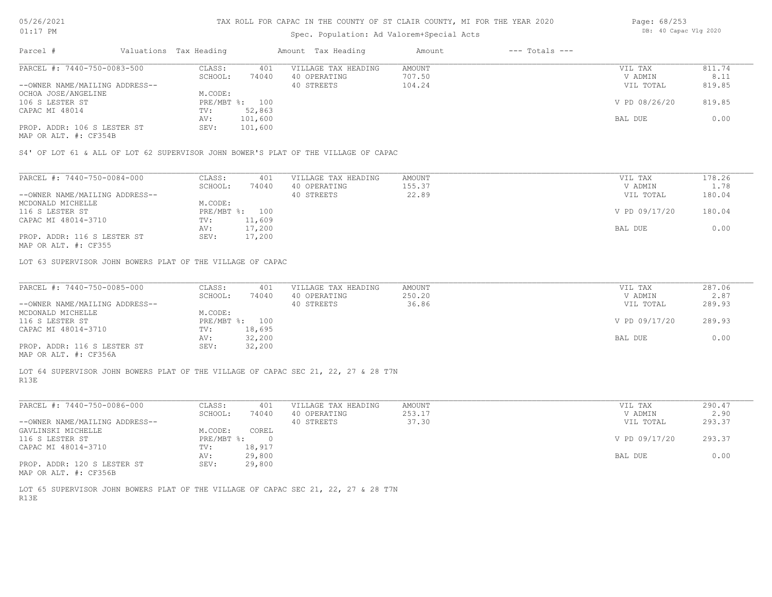## Spec. Population: Ad Valorem+Special Acts

| Page: 68/253 |                       |  |
|--------------|-----------------------|--|
|              | DB: 40 Capac Vlg 2020 |  |

| Parcel #                       | Valuations Tax Heading |                | Amount Tax Heading  | Amount | $---$ Totals $---$ |               |        |
|--------------------------------|------------------------|----------------|---------------------|--------|--------------------|---------------|--------|
| PARCEL #: 7440-750-0083-500    | CLASS:                 | 401            | VILLAGE TAX HEADING | AMOUNT |                    | VIL TAX       | 811.74 |
|                                | SCHOOL:                | 74040          | 40 OPERATING        | 707.50 |                    | V ADMIN       | 8.11   |
| --OWNER NAME/MAILING ADDRESS-- |                        |                | 40 STREETS          | 104.24 |                    | VIL TOTAL     | 819.85 |
| OCHOA JOSE/ANGELINE            | M.CODE:                |                |                     |        |                    |               |        |
| 106 S LESTER ST                |                        | PRE/MBT %: 100 |                     |        |                    | V PD 08/26/20 | 819.85 |
| CAPAC MI 48014                 | TV:                    | 52,863         |                     |        |                    |               |        |
|                                | AV:                    | 101,600        |                     |        |                    | BAL DUE       | 0.00   |
| PROP. ADDR: 106 S LESTER ST    | SEV:                   | 101,600        |                     |        |                    |               |        |
|                                |                        |                |                     |        |                    |               |        |

MAP OR ALT. #: CF354B

S4' OF LOT 61 & ALL OF LOT 62 SUPERVISOR JOHN BOWER'S PLAT OF THE VILLAGE OF CAPAC

| PARCEL #: 7440-750-0084-000    | CLASS:     | 401    | VILLAGE TAX HEADING | AMOUNT | VIL TAX       | 178.26 |
|--------------------------------|------------|--------|---------------------|--------|---------------|--------|
|                                | SCHOOL:    | 74040  | 40 OPERATING        | 155.37 | V ADMIN       | 1.78   |
| --OWNER NAME/MAILING ADDRESS-- |            |        | 40 STREETS          | 22.89  | VIL TOTAL     | 180.04 |
| MCDONALD MICHELLE              | M.CODE:    |        |                     |        |               |        |
| 116 S LESTER ST                | PRE/MBT %: | 100    |                     |        | V PD 09/17/20 | 180.04 |
| CAPAC MI 48014-3710            | TV:        | 11,609 |                     |        |               |        |
|                                | AV:        | 17,200 |                     |        | BAL DUE       | 0.00   |
| PROP. ADDR: 116 S LESTER ST    | SEV:       | 17,200 |                     |        |               |        |
|                                |            |        |                     |        |               |        |

MAP OR ALT. #: CF355

LOT 63 SUPERVISOR JOHN BOWERS PLAT OF THE VILLAGE OF CAPAC

| PARCEL #: 7440-750-0085-000    | CLASS:  | 401            | VILLAGE TAX HEADING | AMOUNT | VIL TAX       | 287.06 |
|--------------------------------|---------|----------------|---------------------|--------|---------------|--------|
|                                | SCHOOL: | 74040          | 40 OPERATING        | 250.20 | V ADMIN       | 2.87   |
| --OWNER NAME/MAILING ADDRESS-- |         |                | 40 STREETS          | 36.86  | VIL TOTAL     | 289.93 |
| MCDONALD MICHELLE              | M.CODE: |                |                     |        |               |        |
| 116 S LESTER ST                |         | PRE/MBT %: 100 |                     |        | V PD 09/17/20 | 289.93 |
| CAPAC MI 48014-3710            | TV:     | 18,695         |                     |        |               |        |
|                                | AV:     | 32,200         |                     |        | BAL DUE       | 0.00   |
| PROP. ADDR: 116 S LESTER ST    | SEV:    | 32,200         |                     |        |               |        |
| MAP OR ALT. #: CF356A          |         |                |                     |        |               |        |

R13E LOT 64 SUPERVISOR JOHN BOWERS PLAT OF THE VILLAGE OF CAPAC SEC 21, 22, 27 & 28 T7N

| PARCEL #: 7440-750-0086-000    | CLASS:       | 401    | VILLAGE TAX HEADING | AMOUNT | VIL TAX       | 290.47 |
|--------------------------------|--------------|--------|---------------------|--------|---------------|--------|
|                                | SCHOOL:      | 74040  | 40 OPERATING        | 253.17 | V ADMIN       | 2.90   |
| --OWNER NAME/MAILING ADDRESS-- |              |        | 40 STREETS          | 37.30  | VIL TOTAL     | 293.37 |
| GAVLINSKI MICHELLE             | M.CODE:      | COREL  |                     |        |               |        |
| 116 S LESTER ST                | $PRE/MBT$ %: |        |                     |        | V PD 09/17/20 | 293.37 |
| CAPAC MI 48014-3710            | TV:          | 18,917 |                     |        |               |        |
|                                | AV:          | 29,800 |                     |        | BAL DUE       | 0.00   |
| PROP. ADDR: 120 S LESTER ST    | SEV:         | 29,800 |                     |        |               |        |
| MAP OR ALT. #: CF356B          |              |        |                     |        |               |        |

R13E LOT 65 SUPERVISOR JOHN BOWERS PLAT OF THE VILLAGE OF CAPAC SEC 21, 22, 27 & 28 T7N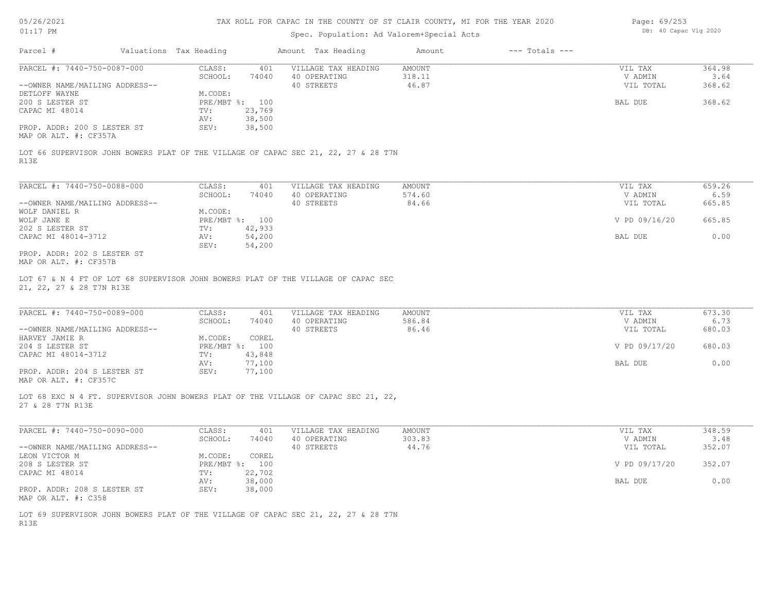# Spec. Population: Ad Valorem+Special Acts

| Page: 69/253 |                       |  |
|--------------|-----------------------|--|
|              | DB: 40 Capac Vlg 2020 |  |

| Parcel #<br>Valuations Tax Heading<br>PARCEL #: 7440-750-0087-000<br>--OWNER NAME/MAILING ADDRESS--<br>DETLOFF WAYNE<br>200 S LESTER ST<br>CAPAC MI 48014<br>PROP. ADDR: 200 S LESTER ST<br>LOT 66 SUPERVISOR JOHN BOWERS PLAT OF THE VILLAGE OF CAPAC SEC 21, 22, 27 & 28 T7N<br>R13E<br>PARCEL #: 7440-750-0088-000<br>--OWNER NAME/MAILING ADDRESS--<br>WOLF JANE E<br>202 S LESTER ST<br>CAPAC MI 48014-3712<br>PROP. ADDR: 202 S LESTER ST<br>21, 22, 27 & 28 T7N R13E<br>PARCEL #: 7440-750-0089-000<br>--OWNER NAME/MAILING ADDRESS--<br>HARVEY JAMIE R<br>204 S LESTER ST<br>CAPAC MI 48014-3712 | CLASS:<br>401<br>SCHOOL:<br>74040<br>M.CODE:<br>PRE/MBT %: 100<br>23,769<br>TV:<br>38,500<br>AV:<br>38,500<br>SEV:<br>CLASS:<br>401<br>SCHOOL:<br>74040<br>M.CODE:<br>PRE/MBT %: 100<br>42,933<br>TV:<br>54,200<br>AV:<br>54,200<br>SEV:<br>CLASS:<br>401<br>SCHOOL:<br>74040 | Amount Tax Heading<br>VILLAGE TAX HEADING<br>40 OPERATING<br>40 STREETS<br>VILLAGE TAX HEADING<br>40 OPERATING<br>40 STREETS<br>VILLAGE TAX HEADING | Amount<br>AMOUNT<br>318.11<br>46.87<br>AMOUNT<br>574.60<br>84.66 | $---$ Totals $---$<br>VIL TAX<br>V ADMIN<br>VIL TOTAL<br>BAL DUE<br>VIL TAX<br>V ADMIN<br>VIL TOTAL<br>V PD 09/16/20<br>BAL DUE | 364.98<br>3.64<br>368.62<br>368.62<br>659.26<br>6.59<br>665.85<br>665.85<br>0.00 |
|----------------------------------------------------------------------------------------------------------------------------------------------------------------------------------------------------------------------------------------------------------------------------------------------------------------------------------------------------------------------------------------------------------------------------------------------------------------------------------------------------------------------------------------------------------------------------------------------------------|-------------------------------------------------------------------------------------------------------------------------------------------------------------------------------------------------------------------------------------------------------------------------------|-----------------------------------------------------------------------------------------------------------------------------------------------------|------------------------------------------------------------------|---------------------------------------------------------------------------------------------------------------------------------|----------------------------------------------------------------------------------|
|                                                                                                                                                                                                                                                                                                                                                                                                                                                                                                                                                                                                          |                                                                                                                                                                                                                                                                               |                                                                                                                                                     |                                                                  |                                                                                                                                 |                                                                                  |
|                                                                                                                                                                                                                                                                                                                                                                                                                                                                                                                                                                                                          |                                                                                                                                                                                                                                                                               |                                                                                                                                                     |                                                                  |                                                                                                                                 |                                                                                  |
|                                                                                                                                                                                                                                                                                                                                                                                                                                                                                                                                                                                                          |                                                                                                                                                                                                                                                                               |                                                                                                                                                     |                                                                  |                                                                                                                                 |                                                                                  |
| MAP OR ALT. #: CF357A<br>WOLF DANIEL R<br>MAP OR ALT. #: CF357B<br>LOT 67 & N 4 FT OF LOT 68 SUPERVISOR JOHN BOWERS PLAT OF THE VILLAGE OF CAPAC SEC                                                                                                                                                                                                                                                                                                                                                                                                                                                     |                                                                                                                                                                                                                                                                               |                                                                                                                                                     |                                                                  |                                                                                                                                 |                                                                                  |
|                                                                                                                                                                                                                                                                                                                                                                                                                                                                                                                                                                                                          |                                                                                                                                                                                                                                                                               |                                                                                                                                                     |                                                                  |                                                                                                                                 |                                                                                  |
|                                                                                                                                                                                                                                                                                                                                                                                                                                                                                                                                                                                                          |                                                                                                                                                                                                                                                                               |                                                                                                                                                     |                                                                  |                                                                                                                                 |                                                                                  |
|                                                                                                                                                                                                                                                                                                                                                                                                                                                                                                                                                                                                          |                                                                                                                                                                                                                                                                               |                                                                                                                                                     |                                                                  |                                                                                                                                 |                                                                                  |
|                                                                                                                                                                                                                                                                                                                                                                                                                                                                                                                                                                                                          |                                                                                                                                                                                                                                                                               |                                                                                                                                                     |                                                                  |                                                                                                                                 |                                                                                  |
|                                                                                                                                                                                                                                                                                                                                                                                                                                                                                                                                                                                                          |                                                                                                                                                                                                                                                                               |                                                                                                                                                     |                                                                  |                                                                                                                                 |                                                                                  |
|                                                                                                                                                                                                                                                                                                                                                                                                                                                                                                                                                                                                          |                                                                                                                                                                                                                                                                               |                                                                                                                                                     |                                                                  |                                                                                                                                 |                                                                                  |
|                                                                                                                                                                                                                                                                                                                                                                                                                                                                                                                                                                                                          |                                                                                                                                                                                                                                                                               |                                                                                                                                                     |                                                                  |                                                                                                                                 |                                                                                  |
|                                                                                                                                                                                                                                                                                                                                                                                                                                                                                                                                                                                                          |                                                                                                                                                                                                                                                                               |                                                                                                                                                     |                                                                  |                                                                                                                                 |                                                                                  |
|                                                                                                                                                                                                                                                                                                                                                                                                                                                                                                                                                                                                          |                                                                                                                                                                                                                                                                               |                                                                                                                                                     |                                                                  |                                                                                                                                 |                                                                                  |
|                                                                                                                                                                                                                                                                                                                                                                                                                                                                                                                                                                                                          |                                                                                                                                                                                                                                                                               |                                                                                                                                                     |                                                                  |                                                                                                                                 |                                                                                  |
|                                                                                                                                                                                                                                                                                                                                                                                                                                                                                                                                                                                                          |                                                                                                                                                                                                                                                                               |                                                                                                                                                     |                                                                  |                                                                                                                                 |                                                                                  |
|                                                                                                                                                                                                                                                                                                                                                                                                                                                                                                                                                                                                          |                                                                                                                                                                                                                                                                               |                                                                                                                                                     |                                                                  |                                                                                                                                 |                                                                                  |
|                                                                                                                                                                                                                                                                                                                                                                                                                                                                                                                                                                                                          |                                                                                                                                                                                                                                                                               |                                                                                                                                                     |                                                                  |                                                                                                                                 |                                                                                  |
|                                                                                                                                                                                                                                                                                                                                                                                                                                                                                                                                                                                                          |                                                                                                                                                                                                                                                                               |                                                                                                                                                     |                                                                  |                                                                                                                                 |                                                                                  |
|                                                                                                                                                                                                                                                                                                                                                                                                                                                                                                                                                                                                          |                                                                                                                                                                                                                                                                               |                                                                                                                                                     |                                                                  |                                                                                                                                 |                                                                                  |
|                                                                                                                                                                                                                                                                                                                                                                                                                                                                                                                                                                                                          |                                                                                                                                                                                                                                                                               |                                                                                                                                                     |                                                                  |                                                                                                                                 |                                                                                  |
|                                                                                                                                                                                                                                                                                                                                                                                                                                                                                                                                                                                                          |                                                                                                                                                                                                                                                                               |                                                                                                                                                     | AMOUNT                                                           | VIL TAX                                                                                                                         | 673.30                                                                           |
|                                                                                                                                                                                                                                                                                                                                                                                                                                                                                                                                                                                                          |                                                                                                                                                                                                                                                                               | 40 OPERATING                                                                                                                                        | 586.84                                                           | V ADMIN                                                                                                                         | 6.73                                                                             |
|                                                                                                                                                                                                                                                                                                                                                                                                                                                                                                                                                                                                          |                                                                                                                                                                                                                                                                               | 40 STREETS                                                                                                                                          | 86.46                                                            | VIL TOTAL                                                                                                                       | 680.03                                                                           |
|                                                                                                                                                                                                                                                                                                                                                                                                                                                                                                                                                                                                          | COREL<br>M.CODE:                                                                                                                                                                                                                                                              |                                                                                                                                                     |                                                                  |                                                                                                                                 |                                                                                  |
|                                                                                                                                                                                                                                                                                                                                                                                                                                                                                                                                                                                                          | PRE/MBT %: 100                                                                                                                                                                                                                                                                |                                                                                                                                                     |                                                                  | V PD 09/17/20                                                                                                                   | 680.03                                                                           |
|                                                                                                                                                                                                                                                                                                                                                                                                                                                                                                                                                                                                          | 43,848<br>TV:                                                                                                                                                                                                                                                                 |                                                                                                                                                     |                                                                  |                                                                                                                                 |                                                                                  |
|                                                                                                                                                                                                                                                                                                                                                                                                                                                                                                                                                                                                          | 77,100<br>AV:                                                                                                                                                                                                                                                                 |                                                                                                                                                     |                                                                  | BAL DUE                                                                                                                         | 0.00                                                                             |
| PROP. ADDR: 204 S LESTER ST<br>MAP OR ALT. #: CF357C                                                                                                                                                                                                                                                                                                                                                                                                                                                                                                                                                     | 77,100<br>SEV:                                                                                                                                                                                                                                                                |                                                                                                                                                     |                                                                  |                                                                                                                                 |                                                                                  |
| LOT 68 EXC N 4 FT. SUPERVISOR JOHN BOWERS PLAT OF THE VILLAGE OF CAPAC SEC 21, 22,<br>27 & 28 T7N R13E                                                                                                                                                                                                                                                                                                                                                                                                                                                                                                   |                                                                                                                                                                                                                                                                               |                                                                                                                                                     |                                                                  |                                                                                                                                 |                                                                                  |
| PARCEL #: 7440-750-0090-000                                                                                                                                                                                                                                                                                                                                                                                                                                                                                                                                                                              | CLASS:<br>401                                                                                                                                                                                                                                                                 | VILLAGE TAX HEADING                                                                                                                                 | AMOUNT                                                           | VIL TAX                                                                                                                         | 348.59                                                                           |
|                                                                                                                                                                                                                                                                                                                                                                                                                                                                                                                                                                                                          | SCHOOL:<br>74040                                                                                                                                                                                                                                                              | 40 OPERATING                                                                                                                                        | 303.83                                                           | V ADMIN                                                                                                                         | 3.48                                                                             |
| --OWNER NAME/MAILING ADDRESS--                                                                                                                                                                                                                                                                                                                                                                                                                                                                                                                                                                           |                                                                                                                                                                                                                                                                               | 40 STREETS                                                                                                                                          | 44.76                                                            | VIL TOTAL                                                                                                                       | 352.07                                                                           |
| LEON VICTOR M                                                                                                                                                                                                                                                                                                                                                                                                                                                                                                                                                                                            | M.CODE:<br>COREL                                                                                                                                                                                                                                                              |                                                                                                                                                     |                                                                  |                                                                                                                                 |                                                                                  |
| 208 S LESTER ST                                                                                                                                                                                                                                                                                                                                                                                                                                                                                                                                                                                          | PRE/MBT %: 100                                                                                                                                                                                                                                                                |                                                                                                                                                     |                                                                  | V PD 09/17/20                                                                                                                   | 352.07                                                                           |
| CAPAC MI 48014                                                                                                                                                                                                                                                                                                                                                                                                                                                                                                                                                                                           | TV:<br>22,702                                                                                                                                                                                                                                                                 |                                                                                                                                                     |                                                                  |                                                                                                                                 |                                                                                  |
|                                                                                                                                                                                                                                                                                                                                                                                                                                                                                                                                                                                                          | 38,000<br>AV:<br>38,000<br>SEV:                                                                                                                                                                                                                                               |                                                                                                                                                     |                                                                  | BAL DUE                                                                                                                         | 0.00                                                                             |
| PROP. ADDR: 208 S LESTER ST<br>MAP OR ALT. #: C358                                                                                                                                                                                                                                                                                                                                                                                                                                                                                                                                                       |                                                                                                                                                                                                                                                                               |                                                                                                                                                     |                                                                  |                                                                                                                                 |                                                                                  |
| LOT 69 SUPERVISOR JOHN BOWERS PLAT OF THE VILLAGE OF CAPAC SEC 21, 22, 27 & 28 T7N<br>R13E                                                                                                                                                                                                                                                                                                                                                                                                                                                                                                               |                                                                                                                                                                                                                                                                               |                                                                                                                                                     |                                                                  |                                                                                                                                 |                                                                                  |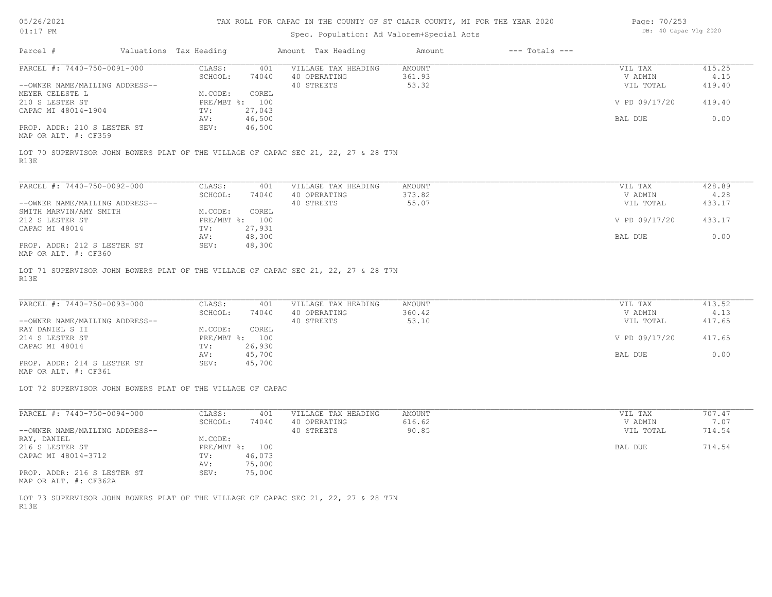## Spec. Population: Ad Valorem+Special Acts

| Page: 70/253 |                       |  |
|--------------|-----------------------|--|
|              | DB: 40 Capac Vlg 2020 |  |

| Parcel #                       | Valuations Tax Heading |        | Amount Tax Heading  | Amount | $---$ Totals $---$ |               |        |
|--------------------------------|------------------------|--------|---------------------|--------|--------------------|---------------|--------|
| PARCEL #: 7440-750-0091-000    | CLASS:                 | 401    | VILLAGE TAX HEADING | AMOUNT |                    | VIL TAX       | 415.25 |
|                                | SCHOOL:                | 74040  | 40 OPERATING        | 361.93 |                    | V ADMIN       | 4.15   |
| --OWNER NAME/MAILING ADDRESS-- |                        |        | 40 STREETS          | 53.32  |                    | VIL TOTAL     | 419.40 |
| MEYER CELESTE L                | M.CODE:                | COREL  |                     |        |                    |               |        |
| 210 S LESTER ST                | PRE/MBT %: 100         |        |                     |        |                    | V PD 09/17/20 | 419.40 |
| CAPAC MI 48014-1904            | TV:                    | 27,043 |                     |        |                    |               |        |
|                                | AV:                    | 46,500 |                     |        |                    | BAL DUE       | 0.00   |
| PROP. ADDR: 210 S LESTER ST    | SEV:                   | 46,500 |                     |        |                    |               |        |
| MAP OR ALT. #: CF359           |                        |        |                     |        |                    |               |        |

R13E LOT 70 SUPERVISOR JOHN BOWERS PLAT OF THE VILLAGE OF CAPAC SEC 21, 22, 27 & 28 T7N

| PARCEL #: 7440-750-0092-000                                   | CLASS:     | 401    | VILLAGE TAX HEADING | AMOUNT | VIL TAX       | 428.89 |
|---------------------------------------------------------------|------------|--------|---------------------|--------|---------------|--------|
|                                                               | SCHOOL:    | 74040  | 40 OPERATING        | 373.82 | V ADMIN       | 4.28   |
| --OWNER NAME/MAILING ADDRESS--                                |            |        | 40 STREETS          | 55.07  | VIL TOTAL     | 433.17 |
| SMITH MARVIN/AMY SMITH                                        | M.CODE:    | COREL  |                     |        |               |        |
| 212 S LESTER ST                                               | PRE/MBT %: | 100    |                     |        | V PD 09/17/20 | 433.17 |
| CAPAC MI 48014                                                | TV:        | 27,931 |                     |        |               |        |
|                                                               | AV:        | 48,300 |                     |        | BAL DUE       | 0.00   |
| PROP. ADDR: 212 S LESTER ST<br>$MAD$ $CD$ $ATM$ $H$ , $CDQCD$ | SEV:       | 48,300 |                     |        |               |        |

MAP OR ALT. #: CF360

R13E LOT 71 SUPERVISOR JOHN BOWERS PLAT OF THE VILLAGE OF CAPAC SEC 21, 22, 27 & 28 T7N

| PARCEL #: 7440-750-0093-000    | CLASS:         | 401    | VILLAGE TAX HEADING | AMOUNT | VIL TAX       | 413.52 |
|--------------------------------|----------------|--------|---------------------|--------|---------------|--------|
|                                | SCHOOL:        | 74040  | 40 OPERATING        | 360.42 | V ADMIN       | 4.13   |
| --OWNER NAME/MAILING ADDRESS-- |                |        | 40 STREETS          | 53.10  | VIL TOTAL     | 417.65 |
| RAY DANIEL S II                | M.CODE:        | COREL  |                     |        |               |        |
| 214 S LESTER ST                | PRE/MBT %: 100 |        |                     |        | V PD 09/17/20 | 417.65 |
| CAPAC MI 48014                 | TV:            | 26,930 |                     |        |               |        |
|                                | AV:            | 45,700 |                     |        | BAL DUE       | 0.00   |
| PROP. ADDR: 214 S LESTER ST    | SEV:           | 45,700 |                     |        |               |        |

MAP OR ALT. #: CF361

LOT 72 SUPERVISOR JOHN BOWERS PLAT OF THE VILLAGE OF CAPAC

| PARCEL #: 7440-750-0094-000                  | CLASS:       | 401    | VILLAGE TAX HEADING | AMOUNT | VIL TAX   | 707.47 |
|----------------------------------------------|--------------|--------|---------------------|--------|-----------|--------|
|                                              | SCHOOL:      | 74040  | 40 OPERATING        | 616.62 | V ADMIN   | 7.07   |
| --OWNER NAME/MAILING ADDRESS--               |              |        | 40 STREETS          | 90.85  | VIL TOTAL | 714.54 |
| RAY, DANIEL                                  | M.CODE:      |        |                     |        |           |        |
| 216 S LESTER ST                              | $PRE/MBT$ %: | 100    |                     |        | BAL DUE   | 714.54 |
| CAPAC MI 48014-3712                          | TV:          | 46,073 |                     |        |           |        |
|                                              | AV:          | 75,000 |                     |        |           |        |
| PROP. ADDR: 216 S LESTER ST<br>$\frac{1}{2}$ | SEV:         | 75,000 |                     |        |           |        |

MAP OR ALT. #: CF362A

R13E LOT 73 SUPERVISOR JOHN BOWERS PLAT OF THE VILLAGE OF CAPAC SEC 21, 22, 27 & 28 T7N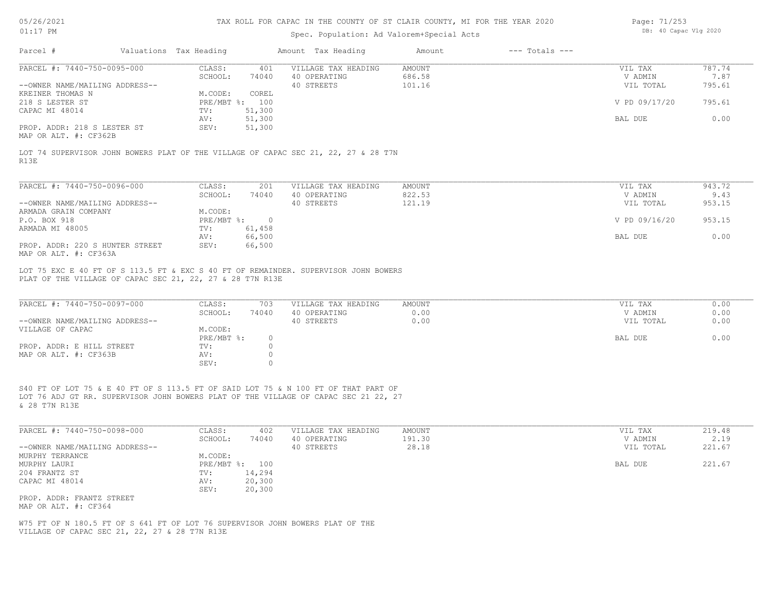| 05/26/2021 |  |
|------------|--|
| 01:17      |  |

## Spec. Population: Ad Valorem+Special Acts

| Page: 71/253 |                       |  |
|--------------|-----------------------|--|
|              | DB: 40 Capac Vlg 2020 |  |

| Parcel #                                                                      | Valuations Tax Heading  |                           | Amount Tax Heading                                                                                                                                                        | Amount        | $---$ Totals $---$ |               |        |
|-------------------------------------------------------------------------------|-------------------------|---------------------------|---------------------------------------------------------------------------------------------------------------------------------------------------------------------------|---------------|--------------------|---------------|--------|
| PARCEL #: 7440-750-0095-000                                                   | CLASS:                  | 401                       | VILLAGE TAX HEADING                                                                                                                                                       | <b>AMOUNT</b> |                    | VIL TAX       | 787.74 |
|                                                                               | SCHOOL:                 | 74040                     | 40 OPERATING                                                                                                                                                              | 686.58        |                    | V ADMIN       | 7.87   |
| --OWNER NAME/MAILING ADDRESS--                                                |                         |                           | 40 STREETS                                                                                                                                                                | 101.16        |                    | VIL TOTAL     | 795.61 |
| KREINER THOMAS N                                                              | M.CODE:                 | COREL                     |                                                                                                                                                                           |               |                    |               |        |
| 218 S LESTER ST                                                               | PRE/MBT %: 100          |                           |                                                                                                                                                                           |               |                    | V PD 09/17/20 | 795.61 |
| CAPAC MI 48014                                                                | TV:                     | 51,300                    |                                                                                                                                                                           |               |                    |               |        |
|                                                                               | AV:                     | 51,300                    |                                                                                                                                                                           |               |                    | BAL DUE       | 0.00   |
| PROP. ADDR: 218 S LESTER ST                                                   | SEV:                    | 51,300                    |                                                                                                                                                                           |               |                    |               |        |
| MAP OR ALT. #: CF362B                                                         |                         |                           |                                                                                                                                                                           |               |                    |               |        |
|                                                                               |                         |                           | LOT 74 SUPERVISOR JOHN BOWERS PLAT OF THE VILLAGE OF CAPAC SEC 21, 22, 27 & 28 T7N                                                                                        |               |                    |               |        |
| R13E                                                                          |                         |                           |                                                                                                                                                                           |               |                    |               |        |
| PARCEL #: 7440-750-0096-000                                                   | CLASS:                  | 201                       | VILLAGE TAX HEADING                                                                                                                                                       | AMOUNT        |                    | VIL TAX       | 943.72 |
|                                                                               | SCHOOL:                 | 74040                     | 40 OPERATING                                                                                                                                                              | 822.53        |                    | V ADMIN       | 9.43   |
| --OWNER NAME/MAILING ADDRESS--                                                |                         |                           | 40 STREETS                                                                                                                                                                | 121.19        |                    | VIL TOTAL     | 953.15 |
| ARMADA GRAIN COMPANY                                                          | M.CODE:                 |                           |                                                                                                                                                                           |               |                    |               |        |
| P.O. BOX 918                                                                  | PRE/MBT %: 0            |                           |                                                                                                                                                                           |               |                    | V PD 09/16/20 | 953.15 |
| ARMADA MI 48005                                                               | TV:                     | 61,458                    |                                                                                                                                                                           |               |                    |               |        |
|                                                                               | AV:                     | 66,500                    |                                                                                                                                                                           |               |                    | BAL DUE       | 0.00   |
| PROP. ADDR: 220 S HUNTER STREET                                               | SEV:                    | 66,500                    |                                                                                                                                                                           |               |                    |               |        |
| MAP OR ALT. #: CF363A                                                         |                         |                           |                                                                                                                                                                           |               |                    |               |        |
| PLAT OF THE VILLAGE OF CAPAC SEC 21, 22, 27 & 28 T7N R13E                     |                         |                           | LOT 75 EXC E 40 FT OF S 113.5 FT & EXC S 40 FT OF REMAINDER. SUPERVISOR JOHN BOWERS                                                                                       |               |                    |               |        |
| PARCEL #: 7440-750-0097-000                                                   | CLASS:                  | 703                       | VILLAGE TAX HEADING                                                                                                                                                       | <b>AMOUNT</b> |                    | VIL TAX       | 0.00   |
|                                                                               | SCHOOL:                 | 74040                     | 40 OPERATING                                                                                                                                                              | 0.00          |                    | V ADMIN       | 0.00   |
| --OWNER NAME/MAILING ADDRESS--                                                |                         |                           | 40 STREETS                                                                                                                                                                | 0.00          |                    | VIL TOTAL     | 0.00   |
| VILLAGE OF CAPAC                                                              | M.CODE:                 |                           |                                                                                                                                                                           |               |                    |               |        |
| PROP. ADDR: E HILL STREET                                                     | $PRE/MBT$ $\div$<br>TV: | $\overline{0}$<br>$\circ$ |                                                                                                                                                                           |               |                    | BAL DUE       | 0.00   |
| MAP OR ALT. #: CF363B                                                         | AV:                     | $\circ$                   |                                                                                                                                                                           |               |                    |               |        |
|                                                                               | SEV:                    | $\Omega$                  |                                                                                                                                                                           |               |                    |               |        |
|                                                                               |                         |                           |                                                                                                                                                                           |               |                    |               |        |
|                                                                               |                         |                           |                                                                                                                                                                           |               |                    |               |        |
| & 28 T7N R13E                                                                 |                         |                           | S40 FT OF LOT 75 & E 40 FT OF S 113.5 FT OF SAID LOT 75 & N 100 FT OF THAT PART OF<br>LOT 76 ADJ GT RR. SUPERVISOR JOHN BOWERS PLAT OF THE VILLAGE OF CAPAC SEC 21 22, 27 |               |                    |               |        |
|                                                                               |                         |                           |                                                                                                                                                                           |               |                    |               |        |
| PARCEL #: 7440-750-0098-000                                                   | CLASS:                  | 402                       | VILLAGE TAX HEADING                                                                                                                                                       | <b>AMOUNT</b> |                    | VIL TAX       | 219.48 |
|                                                                               | SCHOOL:                 | 74040                     | 40 OPERATING                                                                                                                                                              | 191.30        |                    | V ADMIN       | 2.19   |
| --OWNER NAME/MAILING ADDRESS--                                                |                         |                           | 40 STREETS                                                                                                                                                                | 28.18         |                    | VIL TOTAL     | 221.67 |
| MURPHY TERRANCE                                                               | M.CODE:                 |                           |                                                                                                                                                                           |               |                    |               |        |
| MURPHY LAURI                                                                  | PRE/MBT %: 100          |                           |                                                                                                                                                                           |               |                    | BAL DUE       | 221.67 |
| 204 FRANTZ ST                                                                 | TV:                     | 14,294                    |                                                                                                                                                                           |               |                    |               |        |
| CAPAC MI 48014                                                                | AV:                     | 20,300                    |                                                                                                                                                                           |               |                    |               |        |
|                                                                               | SEV:                    | 20,300                    |                                                                                                                                                                           |               |                    |               |        |
| PROP. ADDR: FRANTZ STREET                                                     |                         |                           |                                                                                                                                                                           |               |                    |               |        |
| MAP OR ALT. #: CF364                                                          |                         |                           |                                                                                                                                                                           |               |                    |               |        |
| W75 FT OF N 180.5 FT OF S 641 FT OF LOT 76 SUPERVISOR JOHN BOWERS PLAT OF THE |                         |                           |                                                                                                                                                                           |               |                    |               |        |
| VILLAGE OF CAPAC SEC 21, 22, 27 & 28 T7N R13E                                 |                         |                           |                                                                                                                                                                           |               |                    |               |        |
|                                                                               |                         |                           |                                                                                                                                                                           |               |                    |               |        |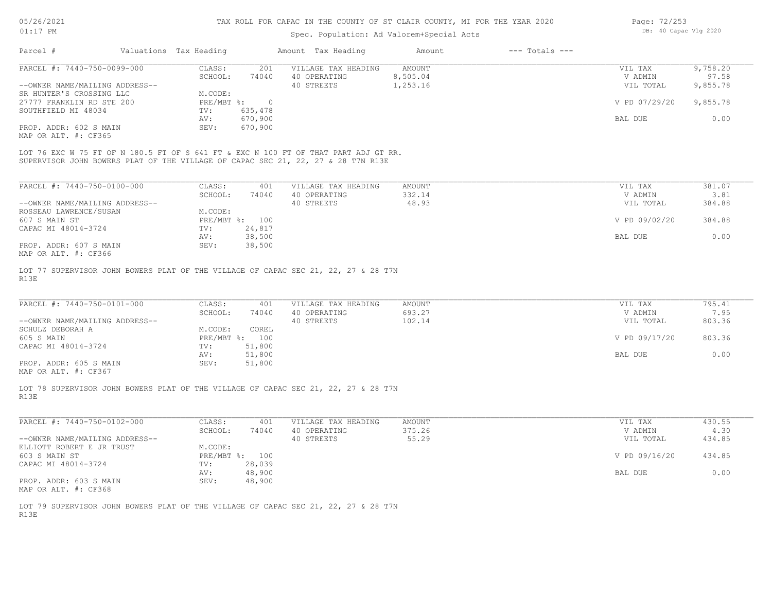### Spec. Population: Ad Valorem+Special Acts

| Page: 72/253 |                       |  |
|--------------|-----------------------|--|
|              | DB: 40 Capac Vlg 2020 |  |

| Parcel #                       | Valuations Tax Heading |         | Amount Tax Heading  | Amount   | $---$ Totals $---$ |               |          |
|--------------------------------|------------------------|---------|---------------------|----------|--------------------|---------------|----------|
| PARCEL #: 7440-750-0099-000    | CLASS:                 | 201     | VILLAGE TAX HEADING | AMOUNT   |                    | VIL TAX       | 9,758.20 |
|                                | SCHOOL:                | 74040   | 40 OPERATING        | 8,505.04 |                    | V ADMIN       | 97.58    |
| --OWNER NAME/MAILING ADDRESS-- |                        |         | 40 STREETS          | 1,253.16 |                    | VIL TOTAL     | 9,855.78 |
| SR HUNTER'S CROSSING LLC       | M.CODE:                |         |                     |          |                    |               |          |
| 27777 FRANKLIN RD STE 200      | $PRE/MBT$ %:           |         |                     |          |                    | V PD 07/29/20 | 9,855.78 |
| SOUTHFIELD MI 48034            | TV:                    | 635,478 |                     |          |                    |               |          |
|                                | AV:                    | 670,900 |                     |          |                    | BAL DUE       | 0.00     |
| PROP. ADDR: 602 S MAIN         | SEV:                   | 670,900 |                     |          |                    |               |          |
| MAP OR ALT. #: CF365           |                        |         |                     |          |                    |               |          |

SUPERVISOR JOHN BOWERS PLAT OF THE VILLAGE OF CAPAC SEC 21, 22, 27 & 28 T7N R13E LOT 76 EXC W 75 FT OF N 180.5 FT OF S 641 FT & EXC N 100 FT OF THAT PART ADJ GT RR.

| PARCEL #: 7440-750-0100-000    | CLASS:       | 401    | VILLAGE TAX HEADING | AMOUNT | 381.07<br>VIL TAX       |
|--------------------------------|--------------|--------|---------------------|--------|-------------------------|
|                                | SCHOOL:      | 74040  | 40 OPERATING        | 332.14 | 3.81<br>V ADMIN         |
| --OWNER NAME/MAILING ADDRESS-- |              |        | 40 STREETS          | 48.93  | 384.88<br>VIL TOTAL     |
| ROSSEAU LAWRENCE/SUSAN         | M.CODE:      |        |                     |        |                         |
| 607 S MAIN ST                  | $PRE/MBT$ %: | 100    |                     |        | V PD 09/02/20<br>384.88 |
| CAPAC MI 48014-3724            | TV:          | 24,817 |                     |        |                         |
|                                | AV:          | 38,500 |                     |        | 0.00<br>BAL DUE         |
| PROP. ADDR: 607 S MAIN         | SEV:         | 38,500 |                     |        |                         |
| MAP OR ALT. #: CF366           |              |        |                     |        |                         |

R13E LOT 77 SUPERVISOR JOHN BOWERS PLAT OF THE VILLAGE OF CAPAC SEC 21, 22, 27 & 28 T7N

| PARCEL #: 7440-750-0101-000    | CLASS:         | 401    | VILLAGE TAX HEADING | AMOUNT | VIL TAX       | 795.41 |
|--------------------------------|----------------|--------|---------------------|--------|---------------|--------|
|                                | SCHOOL:        | 74040  | 40 OPERATING        | 693.27 | V ADMIN       | 7.95   |
| --OWNER NAME/MAILING ADDRESS-- |                |        | 40 STREETS          | 102.14 | VIL TOTAL     | 803.36 |
| SCHULZ DEBORAH A               | M.CODE:        | COREL  |                     |        |               |        |
| 605 S MAIN                     | PRE/MBT %: 100 |        |                     |        | V PD 09/17/20 | 803.36 |
| CAPAC MI 48014-3724            | TV:            | 51,800 |                     |        |               |        |
|                                | AV:            | 51,800 |                     |        | BAL DUE       | 0.00   |
| PROP. ADDR: 605 S MAIN         | SEV:           | 51,800 |                     |        |               |        |
|                                |                |        |                     |        |               |        |

MAP OR ALT. #: CF367

R13E LOT 78 SUPERVISOR JOHN BOWERS PLAT OF THE VILLAGE OF CAPAC SEC 21, 22, 27 & 28 T7N

| PARCEL #: 7440-750-0102-000    | CLASS:              | 401    | VILLAGE TAX HEADING | AMOUNT | VIL TAX       | 430.55 |
|--------------------------------|---------------------|--------|---------------------|--------|---------------|--------|
|                                | SCHOOL:             | 74040  | 40 OPERATING        | 375.26 | V ADMIN       | 4.30   |
| --OWNER NAME/MAILING ADDRESS-- |                     |        | 40 STREETS          | 55.29  | VIL TOTAL     | 434.85 |
| ELLIOTT ROBERT E JR TRUST      | M.CODE:             |        |                     |        |               |        |
| 603 S MAIN ST                  | $PRE/MBT$ %:<br>100 |        |                     |        | V PD 09/16/20 | 434.85 |
| CAPAC MI 48014-3724            | TV:                 | 28,039 |                     |        |               |        |
|                                | AV:                 | 48,900 |                     |        | BAL DUE       | 0.00   |
| PROP. ADDR: 603 S MAIN         | SEV:                | 48,900 |                     |        |               |        |
| MAP OR ALT. #: CF368           |                     |        |                     |        |               |        |

 $\mathcal{L}_\mathcal{L} = \mathcal{L}_\mathcal{L} = \mathcal{L}_\mathcal{L} = \mathcal{L}_\mathcal{L} = \mathcal{L}_\mathcal{L} = \mathcal{L}_\mathcal{L} = \mathcal{L}_\mathcal{L} = \mathcal{L}_\mathcal{L} = \mathcal{L}_\mathcal{L} = \mathcal{L}_\mathcal{L} = \mathcal{L}_\mathcal{L} = \mathcal{L}_\mathcal{L} = \mathcal{L}_\mathcal{L} = \mathcal{L}_\mathcal{L} = \mathcal{L}_\mathcal{L} = \mathcal{L}_\mathcal{L} = \mathcal{L}_\mathcal{L}$ 

R13E LOT 79 SUPERVISOR JOHN BOWERS PLAT OF THE VILLAGE OF CAPAC SEC 21, 22, 27 & 28 T7N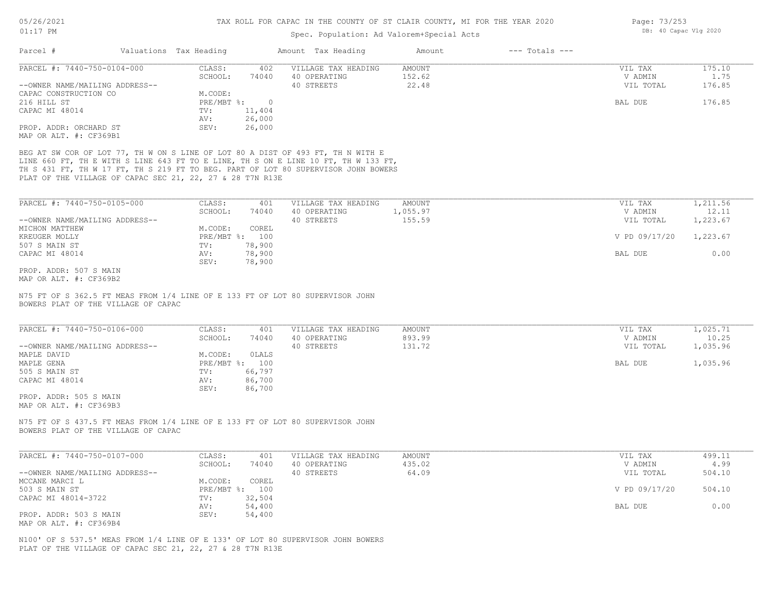# Spec. Population: Ad Valorem+Special Acts

| PARCEL #: 7440-750-0104-000                                                                                                                                              | CLASS:<br>402<br>SCHOOL:<br>74040 | VILLAGE TAX HEADING<br>40 OPERATING | <b>AMOUNT</b><br>152.62 | VIL TAX<br>V ADMIN | 175.10<br>1.75 |
|--------------------------------------------------------------------------------------------------------------------------------------------------------------------------|-----------------------------------|-------------------------------------|-------------------------|--------------------|----------------|
| --OWNER NAME/MAILING ADDRESS--                                                                                                                                           |                                   | 40 STREETS                          | 22.48                   | VIL TOTAL          | 176.85         |
| CAPAC CONSTRUCTION CO                                                                                                                                                    | M.CODE:                           |                                     |                         |                    |                |
| 216 HILL ST                                                                                                                                                              | $PRE/MBT$ $\div$<br>$\circ$       |                                     |                         | BAL DUE            | 176.85         |
| CAPAC MI 48014                                                                                                                                                           | TV:<br>11,404                     |                                     |                         |                    |                |
|                                                                                                                                                                          | 26,000<br>AV:                     |                                     |                         |                    |                |
| PROP. ADDR: ORCHARD ST                                                                                                                                                   | SEV:<br>26,000                    |                                     |                         |                    |                |
| MAP OR ALT. #: CF369B1                                                                                                                                                   |                                   |                                     |                         |                    |                |
| BEG AT SW COR OF LOT 77, TH W ON S LINE OF LOT 80 A DIST OF 493 FT, TH N WITH E<br>LINE 660 FT, TH E WITH S LINE 643 FT TO E LINE, TH S ON E LINE 10 FT, TH W 133 FT,    |                                   |                                     |                         |                    |                |
| TH S 431 FT, TH W 17 FT, TH S 219 FT TO BEG. PART OF LOT 80 SUPERVISOR JOHN BOWERS                                                                                       |                                   |                                     |                         |                    |                |
| PLAT OF THE VILLAGE OF CAPAC SEC 21, 22, 27 & 28 T7N R13E                                                                                                                |                                   |                                     |                         |                    |                |
|                                                                                                                                                                          |                                   |                                     |                         |                    |                |
| PARCEL #: 7440-750-0105-000                                                                                                                                              | CLASS:<br>401                     | VILLAGE TAX HEADING                 | AMOUNT                  | VIL TAX            | 1,211.56       |
|                                                                                                                                                                          | SCHOOL:<br>74040                  | 40 OPERATING                        | 1,055.97                | V ADMIN            | 12.11          |
| --OWNER NAME/MAILING ADDRESS--                                                                                                                                           |                                   | 40 STREETS                          | 155.59                  | VIL TOTAL          | 1,223.67       |
| MICHON MATTHEW                                                                                                                                                           | M.CODE:<br>COREL                  |                                     |                         |                    |                |
| KREUGER MOLLY                                                                                                                                                            | PRE/MBT %: 100                    |                                     |                         | V PD 09/17/20      | 1,223.67       |
| 507 S MAIN ST                                                                                                                                                            | 78,900<br>TV:                     |                                     |                         |                    |                |
| CAPAC MI 48014                                                                                                                                                           | 78,900<br>AV:                     |                                     |                         | BAL DUE            | 0.00           |
|                                                                                                                                                                          | SEV:<br>78,900                    |                                     |                         |                    |                |
|                                                                                                                                                                          |                                   |                                     |                         |                    |                |
| PROP. ADDR: 507 S MAIN                                                                                                                                                   |                                   |                                     |                         |                    |                |
|                                                                                                                                                                          |                                   |                                     |                         |                    |                |
| N75 FT OF S 362.5 FT MEAS FROM 1/4 LINE OF E 133 FT OF LOT 80 SUPERVISOR JOHN<br>BOWERS PLAT OF THE VILLAGE OF CAPAC                                                     |                                   |                                     |                         |                    |                |
| PARCEL #: 7440-750-0106-000                                                                                                                                              | CLASS:<br>401                     | VILLAGE TAX HEADING                 | <b>AMOUNT</b>           | VIL TAX            | 1,025.71       |
|                                                                                                                                                                          | SCHOOL:<br>74040                  | 40 OPERATING                        | 893.99                  | V ADMIN            | 10.25          |
|                                                                                                                                                                          |                                   | 40 STREETS                          | 131.72                  | VIL TOTAL          | 1,035.96       |
|                                                                                                                                                                          | OLALS<br>M.CODE:                  |                                     |                         |                    |                |
|                                                                                                                                                                          | PRE/MBT %: 100                    |                                     |                         | BAL DUE            | 1,035.96       |
| --OWNER NAME/MAILING ADDRESS--<br>MAPLE DAVID<br>MAPLE GENA<br>505 S MAIN ST                                                                                             | 66,797<br>TV:                     |                                     |                         |                    |                |
| CAPAC MI 48014                                                                                                                                                           | 86,700<br>AV:                     |                                     |                         |                    |                |
|                                                                                                                                                                          | 86,700<br>SEV:                    |                                     |                         |                    |                |
|                                                                                                                                                                          |                                   |                                     |                         |                    |                |
|                                                                                                                                                                          |                                   |                                     |                         |                    |                |
| PROP. ADDR: 505 S MAIN<br>MAP OR ALT. #: CF369B3<br>N75 FT OF S 437.5 FT MEAS FROM 1/4 LINE OF E 133 FT OF LOT 80 SUPERVISOR JOHN<br>BOWERS PLAT OF THE VILLAGE OF CAPAC |                                   |                                     |                         |                    |                |
|                                                                                                                                                                          |                                   |                                     |                         |                    |                |
|                                                                                                                                                                          | CLASS:<br>401                     | VILLAGE TAX HEADING                 | AMOUNT                  | VIL TAX            | 499.11         |
|                                                                                                                                                                          | SCHOOL:<br>74040                  | 40 OPERATING                        | 435.02                  | V ADMIN            | 4.99           |
|                                                                                                                                                                          |                                   | 40 STREETS                          | 64.09                   | VIL TOTAL          | 504.10         |
|                                                                                                                                                                          | COREL<br>M.CODE:                  |                                     |                         |                    |                |
| PARCEL #: 7440-750-0107-000<br>--OWNER NAME/MAILING ADDRESS--<br>MCCANE MARCI L<br>503 S MAIN ST                                                                         | PRE/MBT %: 100                    |                                     |                         | V PD 09/17/20      | 504.10         |
|                                                                                                                                                                          | 32,504<br>TV:                     |                                     |                         |                    |                |
| MAP OR ALT. #: CF369B2<br>CAPAC MI 48014-3722                                                                                                                            | 54,400<br>AV:                     |                                     |                         | BAL DUE            | 0.00           |
| PROP. ADDR: 503 S MAIN<br>MAP OR ALT. #: CF369B4                                                                                                                         | SEV:<br>54,400                    |                                     |                         |                    |                |

PLAT OF THE VILLAGE OF CAPAC SEC 21, 22, 27 & 28 T7N R13E

Page: 73/253 DB: 40 Capac Vlg 2020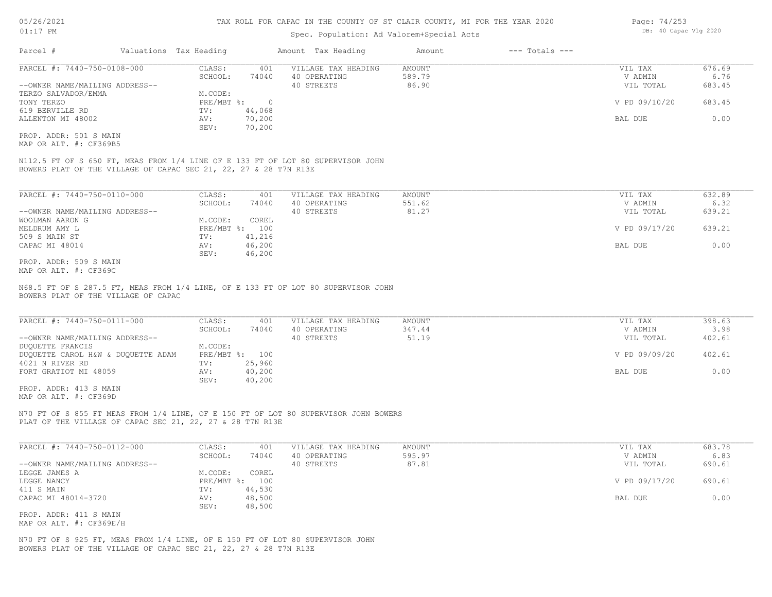### Spec. Population: Ad Valorem+Special Acts

| Parcel #                       | Valuations Tax Heading |        | Amount Tax Heading  | Amount | $---$ Totals $---$ |               |        |
|--------------------------------|------------------------|--------|---------------------|--------|--------------------|---------------|--------|
| PARCEL #: 7440-750-0108-000    | CLASS:                 | 401    | VILLAGE TAX HEADING | AMOUNT |                    | VIL TAX       | 676.69 |
|                                | SCHOOL:                | 74040  | 40 OPERATING        | 589.79 |                    | V ADMIN       | 6.76   |
| --OWNER NAME/MAILING ADDRESS-- |                        |        | 40 STREETS          | 86.90  |                    | VIL TOTAL     | 683.45 |
| TERZO SALVADOR/EMMA            | M.CODE:                |        |                     |        |                    |               |        |
| TONY TERZO                     | PRE/MBT %:             |        |                     |        |                    | V PD 09/10/20 | 683.45 |
| 619 BERVILLE RD                | TV:                    | 44,068 |                     |        |                    |               |        |
| ALLENTON MI 48002              | AV:                    | 70,200 |                     |        |                    | BAL DUE       | 0.00   |
|                                | SEV:                   | 70,200 |                     |        |                    |               |        |
| PROP. ADDR: 501 S MAIN         |                        |        |                     |        |                    |               |        |

MAP OR ALT. #: CF369B5

BOWERS PLAT OF THE VILLAGE OF CAPAC SEC 21, 22, 27 & 28 T7N R13E N112.5 FT OF S 650 FT, MEAS FROM 1/4 LINE OF E 133 FT OF LOT 80 SUPERVISOR JOHN

| PARCEL #: 7440-750-0110-000    | CLASS:     | 401    | VILLAGE TAX HEADING | AMOUNT | VIL TAX       | 632.89 |
|--------------------------------|------------|--------|---------------------|--------|---------------|--------|
|                                | SCHOOL:    | 74040  | 40 OPERATING        | 551.62 | V ADMIN       | 6.32   |
| --OWNER NAME/MAILING ADDRESS-- |            |        | 40 STREETS          | 81.27  | VIL TOTAL     | 639.21 |
| WOOLMAN AARON G                | M.CODE:    | COREL  |                     |        |               |        |
| MELDRUM AMY L                  | PRE/MBT %: | 100    |                     |        | V PD 09/17/20 | 639.21 |
| 509 S MAIN ST                  | TV:        | 41,216 |                     |        |               |        |
| CAPAC MI 48014                 | AV:        | 46,200 |                     |        | BAL DUE       | 0.00   |
|                                | SEV:       | 46,200 |                     |        |               |        |
| PROP. ADDR: 509 S MAIN         |            |        |                     |        |               |        |

MAP OR ALT. #: CF369C

BOWERS PLAT OF THE VILLAGE OF CAPAC N68.5 FT OF S 287.5 FT, MEAS FROM 1/4 LINE, OF E 133 FT OF LOT 80 SUPERVISOR JOHN

| PARCEL #: 7440-750-0111-000        | CLASS:         | 401    | VILLAGE TAX HEADING | AMOUNT | VIL TAX       | 398.63 |
|------------------------------------|----------------|--------|---------------------|--------|---------------|--------|
|                                    | SCHOOL:        | 74040  | 40 OPERATING        | 347.44 | V ADMIN       | 3.98   |
| --OWNER NAME/MAILING ADDRESS--     |                |        | 40 STREETS          | 51.19  | VIL TOTAL     | 402.61 |
| DUQUETTE FRANCIS                   | M.CODE:        |        |                     |        |               |        |
| DUQUETTE CAROL H&W & DUQUETTE ADAM | PRE/MBT %: 100 |        |                     |        | V PD 09/09/20 | 402.61 |
| 4021 N RIVER RD                    | TV:            | 25,960 |                     |        |               |        |
| FORT GRATIOT MI 48059              | AV:            | 40,200 |                     |        | BAL DUE       | 0.00   |
|                                    | SEV:           | 40,200 |                     |        |               |        |

MAP OR ALT. #: CF369D PROP. ADDR: 413 S MAIN

PLAT OF THE VILLAGE OF CAPAC SEC 21, 22, 27 & 28 T7N R13E N70 FT OF S 855 FT MEAS FROM 1/4 LINE, OF E 150 FT OF LOT 80 SUPERVISOR JOHN BOWERS

| PARCEL #: 7440-750-0112-000    | CLASS:       | 401    | VILLAGE TAX HEADING | AMOUNT | VIL TAX       | 683.78 |
|--------------------------------|--------------|--------|---------------------|--------|---------------|--------|
|                                | SCHOOL:      | 74040  | 40 OPERATING        | 595.97 | V ADMIN       | 6.83   |
| --OWNER NAME/MAILING ADDRESS-- |              |        | 40 STREETS          | 87.81  | VIL TOTAL     | 690.61 |
| LEGGE JAMES A                  | M.CODE:      | COREL  |                     |        |               |        |
| LEGGE NANCY                    | $PRE/MBT$ %: | 100    |                     |        | V PD 09/17/20 | 690.61 |
| 411 S MAIN                     | TV:          | 44,530 |                     |        |               |        |
| CAPAC MI 48014-3720            | AV:          | 48,500 |                     |        | BAL DUE       | 0.00   |
|                                | SEV:         | 48,500 |                     |        |               |        |
| PROP. ADDR: 411 S MAIN         |              |        |                     |        |               |        |

MAP OR ALT. #: CF369E/H

BOWERS PLAT OF THE VILLAGE OF CAPAC SEC 21, 22, 27 & 28 T7N R13E N70 FT OF S 925 FT, MEAS FROM 1/4 LINE, OF E 150 FT OF LOT 80 SUPERVISOR JOHN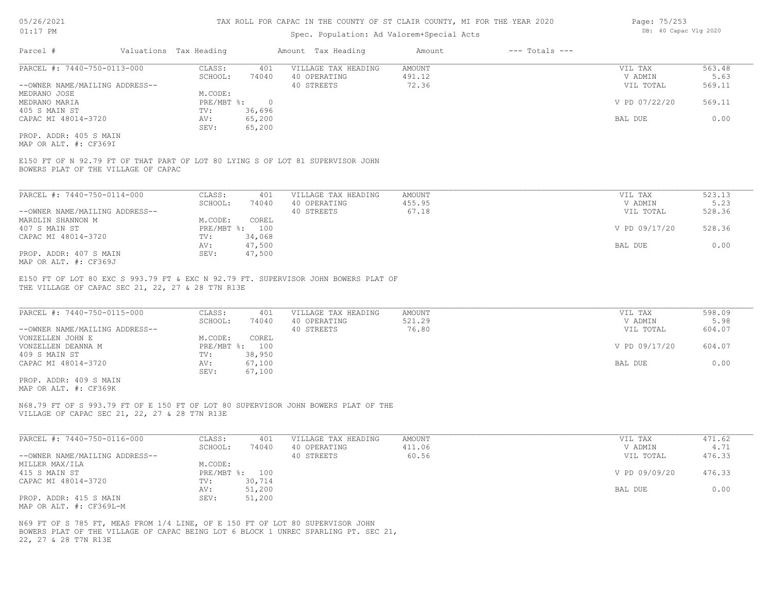### Spec. Population: Ad Valorem+Special Acts

| Parcel #                       | Valuations Tax Heading |        | Amount Tax Heading  | Amount | $---$ Totals $---$ |               |        |
|--------------------------------|------------------------|--------|---------------------|--------|--------------------|---------------|--------|
| PARCEL #: 7440-750-0113-000    | CLASS:                 | 401    | VILLAGE TAX HEADING | AMOUNT |                    | VIL TAX       | 563.48 |
|                                | SCHOOL:                | 74040  | 40 OPERATING        | 491.12 |                    | V ADMIN       | 5.63   |
| --OWNER NAME/MAILING ADDRESS-- |                        |        | 40 STREETS          | 72.36  |                    | VIL TOTAL     | 569.11 |
| MEDRANO JOSE                   | M.CODE:                |        |                     |        |                    |               |        |
| MEDRANO MARIA                  | $PRE/MBT$ %:           |        |                     |        |                    | V PD 07/22/20 | 569.11 |
| 405 S MAIN ST                  | TV:                    | 36,696 |                     |        |                    |               |        |
| CAPAC MI 48014-3720            | AV:                    | 65,200 |                     |        |                    | BAL DUE       | 0.00   |
|                                |                        |        |                     |        |                    |               |        |

MAP OR ALT. #: CF369I PROP. ADDR: 405 S MAIN

BOWERS PLAT OF THE VILLAGE OF CAPAC E150 FT OF N 92.79 FT OF THAT PART OF LOT 80 LYING S OF LOT 81 SUPERVISOR JOHN

SEV: 65,200

| PARCEL #: 7440-750-0114-000    | CLASS:  | 401            | VILLAGE TAX HEADING | AMOUNT | VIL TAX       | 523.13 |
|--------------------------------|---------|----------------|---------------------|--------|---------------|--------|
|                                | SCHOOL: | 74040          | 40 OPERATING        | 455.95 | V ADMIN       | 5.23   |
| --OWNER NAME/MAILING ADDRESS-- |         |                | 40 STREETS          | 67.18  | VIL TOTAL     | 528.36 |
| MARDLIN SHANNON M              | M.CODE: | COREL          |                     |        |               |        |
| 407 S MAIN ST                  |         | PRE/MBT %: 100 |                     |        | V PD 09/17/20 | 528.36 |
| CAPAC MI 48014-3720            | TV:     | 34,068         |                     |        |               |        |
|                                | AV:     | 47,500         |                     |        | BAL DUE       | 0.00   |
| PROP. ADDR: 407 S MAIN         | SEV:    | 47,500         |                     |        |               |        |
| MAP OR ALT. #: CF369J          |         |                |                     |        |               |        |

THE VILLAGE OF CAPAC SEC 21, 22, 27 & 28 T7N R13E E150 FT OF LOT 80 EXC S 993.79 FT & EXC N 92.79 FT. SUPERVISOR JOHN BOWERS PLAT OF

| PARCEL #: 7440-750-0115-000    | CLASS:  | 401            | VILLAGE TAX HEADING | AMOUNT | VIL TAX       | 598.09 |
|--------------------------------|---------|----------------|---------------------|--------|---------------|--------|
|                                | SCHOOL: | 74040          | 40 OPERATING        | 521.29 | V ADMIN       | 5.98   |
| --OWNER NAME/MAILING ADDRESS-- |         |                | 40 STREETS          | 76.80  | VIL TOTAL     | 604.07 |
| VONZELLEN JOHN E               | M.CODE: | COREL          |                     |        |               |        |
| VONZELLEN DEANNA M             |         | PRE/MBT %: 100 |                     |        | V PD 09/17/20 | 604.07 |
| 409 S MAIN ST                  | TV:     | 38,950         |                     |        |               |        |
| CAPAC MI 48014-3720            | AV:     | 67,100         |                     |        | BAL DUE       | 0.00   |
|                                | SEV:    | 67,100         |                     |        |               |        |
|                                |         |                |                     |        |               |        |

MAP OR ALT. #: CF369K PROP. ADDR: 409 S MAIN

VILLAGE OF CAPAC SEC 21, 22, 27 & 28 T7N R13E N68.79 FT OF S 993.79 FT OF E 150 FT OF LOT 80 SUPERVISOR JOHN BOWERS PLAT OF THE

| PARCEL #: 7440-750-0116-000    | CLASS:  | 401            | VILLAGE TAX HEADING | AMOUNT | VIL TAX       | 471.62 |
|--------------------------------|---------|----------------|---------------------|--------|---------------|--------|
|                                | SCHOOL: | 74040          | 40 OPERATING        | 411.06 | V ADMIN       | 4.71   |
| --OWNER NAME/MAILING ADDRESS-- |         |                | 40 STREETS          | 60.56  | VIL TOTAL     | 476.33 |
| MILLER MAX/ILA                 | M.CODE: |                |                     |        |               |        |
| 415 S MAIN ST                  |         | PRE/MBT %: 100 |                     |        | V PD 09/09/20 | 476.33 |
| CAPAC MI 48014-3720            | TV:     | 30,714         |                     |        |               |        |
|                                | AV:     | 51,200         |                     |        | BAL DUE       | 0.00   |
| PROP. ADDR: 415 S MAIN         | SEV:    | 51,200         |                     |        |               |        |
| MAP OR ALT. #: CF369L-M        |         |                |                     |        |               |        |

22, 27 & 28 T7N R13E BOWERS PLAT OF THE VILLAGE OF CAPAC BEING LOT 6 BLOCK 1 UNREC SPARLING PT. SEC 21, N69 FT OF S 785 FT, MEAS FROM 1/4 LINE, OF E 150 FT OF LOT 80 SUPERVISOR JOHN

Page: 75/253 DB: 40 Capac Vlg 2020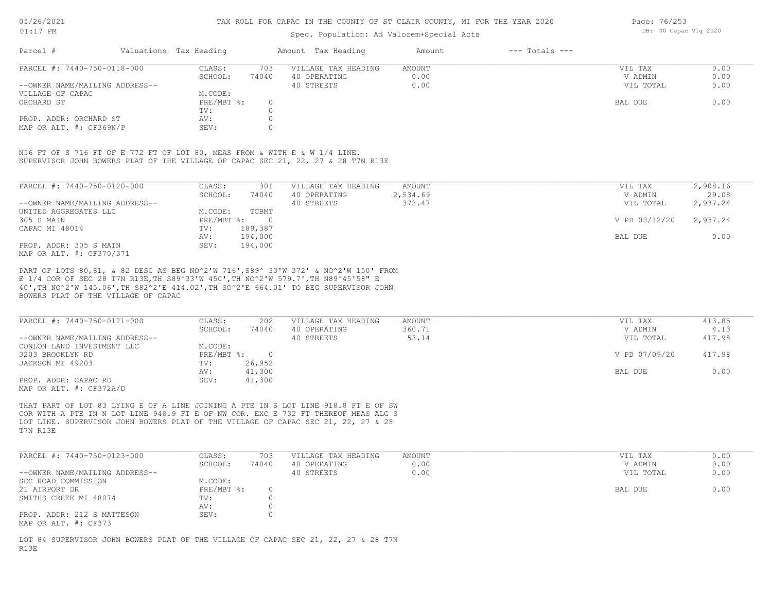### Spec. Population: Ad Valorem+Special Acts

Page: 76/253 DB: 40 Capac Vlg 2020

| Parcel #                       | Valuations Tax Heading |       | Amount Tax Heading  | Amount | $---$ Totals $---$ |           |      |
|--------------------------------|------------------------|-------|---------------------|--------|--------------------|-----------|------|
| PARCEL #: 7440-750-0118-000    | CLASS:                 | 703   | VILLAGE TAX HEADING | AMOUNT |                    | VIL TAX   | 0.00 |
|                                | SCHOOL:                | 74040 | 40 OPERATING        | 0.00   |                    | V ADMIN   | 0.00 |
| --OWNER NAME/MAILING ADDRESS-- |                        |       | 40 STREETS          | 0.00   |                    | VIL TOTAL | 0.00 |
| VILLAGE OF CAPAC               | M.CODE:                |       |                     |        |                    |           |      |
| ORCHARD ST                     | PRE/MBT %:             |       |                     |        |                    | BAL DUE   | 0.00 |
|                                | TV:                    |       |                     |        |                    |           |      |
| PROP. ADDR: ORCHARD ST         | AV:                    |       |                     |        |                    |           |      |
| MAP OR ALT. #: CF369N/P        | SEV:                   |       |                     |        |                    |           |      |

SUPERVISOR JOHN BOWERS PLAT OF THE VILLAGE OF CAPAC SEC 21, 22, 27 & 28 T7N R13E N56 FT OF S 716 FT OF E 772 FT OF LOT 80, MEAS FROM & WITH E & W 1/4 LINE.

| PARCEL #: 7440-750-0120-000    | CLASS:     | 301      | VILLAGE TAX HEADING | AMOUNT   | VIL TAX       | 2,908.16 |
|--------------------------------|------------|----------|---------------------|----------|---------------|----------|
|                                | SCHOOL:    | 74040    | 40 OPERATING        | 2,534.69 | V ADMIN       | 29.08    |
| --OWNER NAME/MAILING ADDRESS-- |            |          | 40 STREETS          | 373.47   | VIL TOTAL     | 2,937.24 |
| UNITED AGGREGATES LLC          | M.CODE:    | TCBMT    |                     |          |               |          |
| 305 S MAIN                     | PRE/MBT %: | $\Omega$ |                     |          | V PD 08/12/20 | 2,937.24 |
| CAPAC MI 48014                 | TV:        | 189,387  |                     |          |               |          |
|                                | AV:        | 194,000  |                     |          | BAL DUE       | 0.00     |
| PROP. ADDR: 305 S MAIN         | SEV:       | 194,000  |                     |          |               |          |
| MAP OR ALT. #: CF370/371       |            |          |                     |          |               |          |

BOWERS PLAT OF THE VILLAGE OF CAPAC 40',TH NO^2'W 145.06',TH S82^2'E 414.02',TH SO^2'E 664.01' TO BEG SUPERVISOR JOHN E 1/4 COR OF SEC 28 T7N R13E,TH S89^33'W 450',TH NO^2'W 579.7',TH N89^45'58" E PART OF LOTS 80,81, & 82 DESC AS BEG NO^2'W 716',S89^ 33'W 372' & NO^2'W 150' FROM

| PARCEL #: 7440-750-0121-000    | CLASS:     | 202    | VILLAGE TAX HEADING | AMOUNT | VIL TAX       | 413.85 |
|--------------------------------|------------|--------|---------------------|--------|---------------|--------|
|                                | SCHOOL:    | 74040  | 40 OPERATING        | 360.71 | V ADMIN       | 4.13   |
| --OWNER NAME/MAILING ADDRESS-- |            |        | 40 STREETS          | 53.14  | VIL TOTAL     | 417.98 |
| CONLON LAND INVESTMENT LLC     | M.CODE:    |        |                     |        |               |        |
| 3203 BROOKLYN RD               | PRE/MBT %: |        |                     |        | V PD 07/09/20 | 417.98 |
| JACKSON MI 49203               | TV:        | 26,952 |                     |        |               |        |
|                                | AV:        | 41,300 |                     |        | BAL DUE       | 0.00   |
| PROP. ADDR: CAPAC RD           | SEV:       | 41,300 |                     |        |               |        |
| MAP OR ALT. #: CF372A/D        |            |        |                     |        |               |        |

T7N R13E LOT LINE. SUPERVISOR JOHN BOWERS PLAT OF THE VILLAGE OF CAPAC SEC 21, 22, 27 & 28 COR WITH A PTE IN N LOT LINE 948.9 FT E OF NW COR. EXC E 732 FT THEREOF MEAS ALG S THAT PART OF LOT 83 LYING E OF A LINE JOINING A PTE IN S LOT LINE 918.8 FT E OF SW

| PARCEL #: 7440-750-0123-000                        | CLASS:     | 703   | VILLAGE TAX HEADING | AMOUNT | VIL TAX   | 0.00 |
|----------------------------------------------------|------------|-------|---------------------|--------|-----------|------|
|                                                    | SCHOOL:    | 74040 | 40 OPERATING        | 0.00   | V ADMIN   | 0.00 |
| --OWNER NAME/MAILING ADDRESS--                     |            |       | 40 STREETS          | 0.00   | VIL TOTAL | 0.00 |
| SCC ROAD COMMISSION                                | M.CODE:    |       |                     |        |           |      |
| 21 AIRPORT DR                                      | PRE/MBT %: |       |                     |        | BAL DUE   | 0.00 |
| SMITHS CREEK MI 48074                              | TV:        |       |                     |        |           |      |
|                                                    | AV:        |       |                     |        |           |      |
| PROP. ADDR: 212 S MATTESON<br>MAP OR ALT. #: CF373 | SEV:       |       |                     |        |           |      |

R13E LOT 84 SUPERVISOR JOHN BOWERS PLAT OF THE VILLAGE OF CAPAC SEC 21, 22, 27 & 28 T7N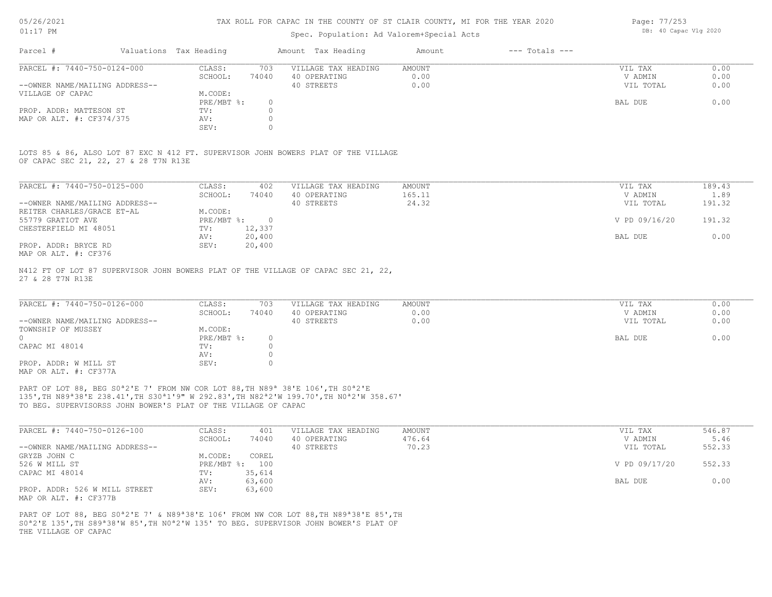### Spec. Population: Ad Valorem+Special Acts

| Page: 77/253 |                       |  |
|--------------|-----------------------|--|
|              | DB: 40 Capac Vlg 2020 |  |

| Parcel #                       |        | Valuations Tax Heading |                     | Amount Tax Heading | Amount | $---$ Totals $---$ |           |      |
|--------------------------------|--------|------------------------|---------------------|--------------------|--------|--------------------|-----------|------|
| PARCEL #: 7440-750-0124-000    | CLASS: | 703                    | VILLAGE TAX HEADING | AMOUNT             |        | VIL TAX            | 0.00      |      |
|                                |        | SCHOOL:                | 74040               | 40 OPERATING       | 0.00   |                    | V ADMIN   | 0.00 |
| --OWNER NAME/MAILING ADDRESS-- |        |                        |                     | 40 STREETS         | 0.00   |                    | VIL TOTAL | 0.00 |
| VILLAGE OF CAPAC               |        | M.CODE:                |                     |                    |        |                    |           |      |
|                                |        | $PRE/MBT$ %:           |                     |                    |        |                    | BAL DUE   | 0.00 |
| PROP. ADDR: MATTESON ST        |        | TV:                    |                     |                    |        |                    |           |      |
| MAP OR ALT. #: CF374/375       |        | AV:                    |                     |                    |        |                    |           |      |
|                                |        | SEV:                   |                     |                    |        |                    |           |      |

OF CAPAC SEC 21, 22, 27 & 28 T7N R13E LOTS 85 & 86, ALSO LOT 87 EXC N 412 FT. SUPERVISOR JOHN BOWERS PLAT OF THE VILLAGE

| PARCEL #: 7440-750-0125-000    | CLASS:     | 402      | VILLAGE TAX HEADING | AMOUNT | VIL TAX       | 189.43 |
|--------------------------------|------------|----------|---------------------|--------|---------------|--------|
|                                | SCHOOL:    | 74040    | 40 OPERATING        | 165.11 | V ADMIN       | 1.89   |
| --OWNER NAME/MAILING ADDRESS-- |            |          | 40 STREETS          | 24.32  | VIL TOTAL     | 191.32 |
| REITER CHARLES/GRACE ET-AL     | M.CODE:    |          |                     |        |               |        |
| 55779 GRATIOT AVE              | PRE/MBT %: | $\Omega$ |                     |        | V PD 09/16/20 | 191.32 |
| CHESTERFIELD MI 48051          | TV:        | 12,337   |                     |        |               |        |
|                                | AV:        | 20,400   |                     |        | BAL DUE       | 0.00   |
| PROP. ADDR: BRYCE RD           | SEV:       | 20,400   |                     |        |               |        |
| MAP OR ALT. #: CF376           |            |          |                     |        |               |        |

27 & 28 T7N R13E N412 FT OF LOT 87 SUPERVISOR JOHN BOWERS PLAT OF THE VILLAGE OF CAPAC SEC 21, 22,

| PARCEL #: 7440-750-0126-000    | CLASS:       | 703   | VILLAGE TAX HEADING | AMOUNT | VIL TAX   | 0.00 |
|--------------------------------|--------------|-------|---------------------|--------|-----------|------|
|                                | SCHOOL:      | 74040 | 40 OPERATING        | 0.00   | V ADMIN   | 0.00 |
| --OWNER NAME/MAILING ADDRESS-- |              |       | 40 STREETS          | 0.00   | VIL TOTAL | 0.00 |
| TOWNSHIP OF MUSSEY             | M.CODE:      |       |                     |        |           |      |
|                                | $PRE/MBT$ %: |       |                     |        | BAL DUE   | 0.00 |
| CAPAC MI 48014                 | TV:          |       |                     |        |           |      |
|                                | AV:          |       |                     |        |           |      |
| PROP. ADDR: W MILL ST          | SEV:         |       |                     |        |           |      |
| MAP OR ALT. #: CF377A          |              |       |                     |        |           |      |

TO BEG. SUPERVISORSS JOHN BOWER'S PLAT OF THE VILLAGE OF CAPAC 135',TH N89ª38'E 238.41',TH S30ª1'9" W 292.83',TH N82ª2'W 199.70',TH N0ª2'W 358.67' PART OF LOT 88, BEG S0<sup>ª2'E</sup> 7' FROM NW COR LOT 88, TH N89<sup>ª</sup> 38'E 106', TH S0<sup>ª2'E</sup>

| PARCEL #: 7440-750-0126-100    | CLASS:  | 401            | VILLAGE TAX HEADING | AMOUNT | VIL TAX       | 546.87 |
|--------------------------------|---------|----------------|---------------------|--------|---------------|--------|
|                                | SCHOOL: | 74040          | 40 OPERATING        | 476.64 | V ADMIN       | 5.46   |
| --OWNER NAME/MAILING ADDRESS-- |         |                | 40 STREETS          | 70.23  | VIL TOTAL     | 552.33 |
| GRYZB JOHN C                   | M.CODE: | COREL          |                     |        |               |        |
| 526 W MILL ST                  |         | PRE/MBT %: 100 |                     |        | V PD 09/17/20 | 552.33 |
| CAPAC MI 48014                 | TV:     | 35,614         |                     |        |               |        |
|                                | AV:     | 63,600         |                     |        | BAL DUE       | 0.00   |
| PROP. ADDR: 526 W MILL STREET  | SEV:    | 63,600         |                     |        |               |        |
| MAP OR ALT. #: CF377B          |         |                |                     |        |               |        |

THE VILLAGE OF CAPAC S0ª2'E 135',TH S89ª38'W 85',TH N0ª2'W 135' TO BEG. SUPERVISOR JOHN BOWER'S PLAT OF PART OF LOT 88, BEG S0<sup>a</sup>2'E 7' & N89<sup>a</sup>38'E 106' FROM NW COR LOT 88, TH N89<sup>a</sup>38'E 85', TH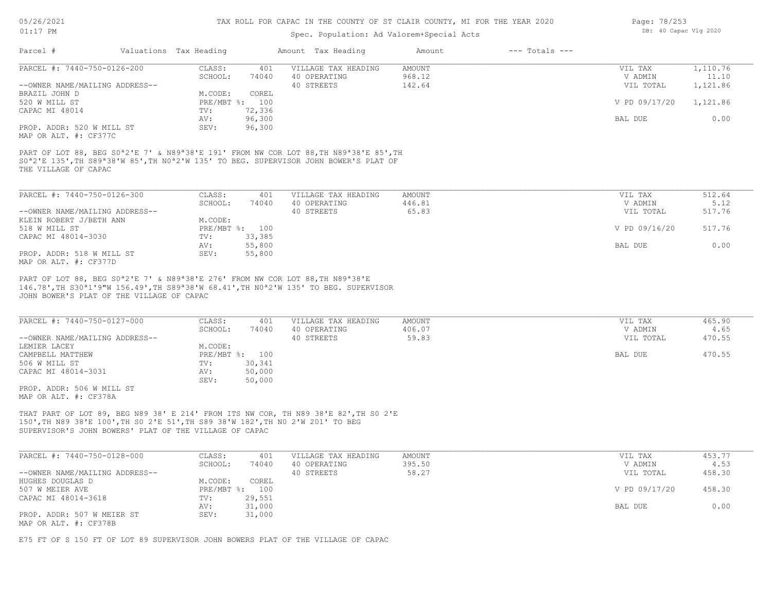### Spec. Population: Ad Valorem+Special Acts

| Page: 78/253 |                       |  |
|--------------|-----------------------|--|
|              | DB: 40 Capac Vlg 2020 |  |

|                                                                                                                                                                                           |            |                | Amount Tax Heading                                                                                                          | Amount | $---$ Totals $---$ |               |          |
|-------------------------------------------------------------------------------------------------------------------------------------------------------------------------------------------|------------|----------------|-----------------------------------------------------------------------------------------------------------------------------|--------|--------------------|---------------|----------|
| PARCEL #: 7440-750-0126-200                                                                                                                                                               | CLASS:     | 401            | VILLAGE TAX HEADING                                                                                                         | AMOUNT |                    | VIL TAX       | 1,110.76 |
|                                                                                                                                                                                           | SCHOOL:    | 74040          | 40 OPERATING                                                                                                                | 968.12 |                    | V ADMIN       | 11.10    |
| --OWNER NAME/MAILING ADDRESS--                                                                                                                                                            |            |                | 40 STREETS                                                                                                                  | 142.64 |                    | VIL TOTAL     | 1,121.86 |
| BRAZIL JOHN D                                                                                                                                                                             | M.CODE:    | COREL          |                                                                                                                             |        |                    |               |          |
| 520 W MILL ST                                                                                                                                                                             | PRE/MBT %: | 100            |                                                                                                                             |        |                    | V PD 09/17/20 | 1,121.86 |
| CAPAC MI 48014                                                                                                                                                                            | TV:        | 72,336         |                                                                                                                             |        |                    |               |          |
|                                                                                                                                                                                           | AV:        | 96,300         |                                                                                                                             |        |                    | BAL DUE       | 0.00     |
| PROP. ADDR: 520 W MILL ST                                                                                                                                                                 | SEV:       | 96,300         |                                                                                                                             |        |                    |               |          |
| MAP OR ALT. #: CF377C                                                                                                                                                                     |            |                |                                                                                                                             |        |                    |               |          |
|                                                                                                                                                                                           |            |                | S0 <sup>a</sup> 2'E 135', TH S89 <sup>a</sup> 38'W 85', TH N0 <sup>a</sup> 2'W 135' TO BEG. SUPERVISOR JOHN BOWER'S PLAT OF |        |                    |               |          |
| THE VILLAGE OF CAPAC<br>PARCEL #: 7440-750-0126-300                                                                                                                                       | CLASS:     | 401            | VILLAGE TAX HEADING                                                                                                         | AMOUNT |                    | VIL TAX       | 512.64   |
|                                                                                                                                                                                           | SCHOOL:    | 74040          | 40 OPERATING                                                                                                                | 446.81 |                    | V ADMIN       | 5.12     |
|                                                                                                                                                                                           |            |                | 40 STREETS                                                                                                                  | 65.83  |                    | VIL TOTAL     | 517.76   |
| PART OF LOT 88, BEG S0 <sup>a</sup> 2'E 7' & N89 <sup>a</sup> 38'E 191' FROM NW COR LOT 88, TH N89 <sup>a</sup> 38'E 85', TH<br>--OWNER NAME/MAILING ADDRESS--<br>KLEIN ROBERT J/BETH ANN | M.CODE:    |                |                                                                                                                             |        |                    |               |          |
| 518 W MILL ST                                                                                                                                                                             |            | PRE/MBT %: 100 |                                                                                                                             |        |                    | V PD 09/16/20 | 517.76   |
| CAPAC MI 48014-3030                                                                                                                                                                       | TV:        | 33,385         |                                                                                                                             |        |                    |               |          |
|                                                                                                                                                                                           | AV:        | 55,800         |                                                                                                                             |        |                    | BAL DUE       | 0.00     |
| PROP. ADDR: 518 W MILL ST<br>MAP OR ALT. #: CF377D                                                                                                                                        | SEV:       | 55,800         |                                                                                                                             |        |                    |               |          |

| PARCEL #: 7440-750-0127-000    | CLASS:  | 401            | VILLAGE TAX HEADING | AMOUNT | VIL TAX   | 465.90 |
|--------------------------------|---------|----------------|---------------------|--------|-----------|--------|
|                                | SCHOOL: | 74040          | 40 OPERATING        | 406.07 | V ADMIN   | 4.65   |
| --OWNER NAME/MAILING ADDRESS-- |         |                | 40 STREETS          | 59.83  | VIL TOTAL | 470.55 |
| LEMIER LACEY                   | M.CODE: |                |                     |        |           |        |
| CAMPBELL MATTHEW               |         | PRE/MBT %: 100 |                     |        | BAL DUE   | 470.55 |
| 506 W MILL ST                  | TV:     | 30,341         |                     |        |           |        |
| CAPAC MI 48014-3031            | AV:     | 50,000         |                     |        |           |        |
|                                | SEV:    | 50,000         |                     |        |           |        |
| PROP. ADDR: 506 W MILL ST      |         |                |                     |        |           |        |

MAP OR ALT. #: CF378A

SUPERVISOR'S JOHN BOWERS' PLAT OF THE VILLAGE OF CAPAC 150',TH N89 38'E 100',TH S0 2'E 51',TH S89 38'W 182',TH N0 2'W 201' TO BEG THAT PART OF LOT 89, BEG N89 38' E 214' FROM ITS NW COR, TH N89 38'E 82',TH S0 2'E

| PARCEL #: 7440-750-0128-000    | CLASS:     | 401    | VILLAGE TAX HEADING | AMOUNT | VIL TAX       | 453.77 |
|--------------------------------|------------|--------|---------------------|--------|---------------|--------|
|                                | SCHOOL:    | 74040  | 40 OPERATING        | 395.50 | V ADMIN       | 4.53   |
| --OWNER NAME/MAILING ADDRESS-- |            |        | 40 STREETS          | 58.27  | VIL TOTAL     | 458.30 |
| HUGHES DOUGLAS D               | M.CODE:    | COREL  |                     |        |               |        |
| 507 W MEIER AVE                | PRE/MBT %: | 100    |                     |        | V PD 09/17/20 | 458.30 |
| CAPAC MI 48014-3618            | TV:        | 29,551 |                     |        |               |        |
|                                | AV:        | 31,000 |                     |        | BAL DUE       | 0.00   |
| PROP. ADDR: 507 W MEIER ST     | SEV:       | 31,000 |                     |        |               |        |
| MAP OR ALT. #: CF378B          |            |        |                     |        |               |        |

E75 FT OF S 150 FT OF LOT 89 SUPERVISOR JOHN BOWERS PLAT OF THE VILLAGE OF CAPAC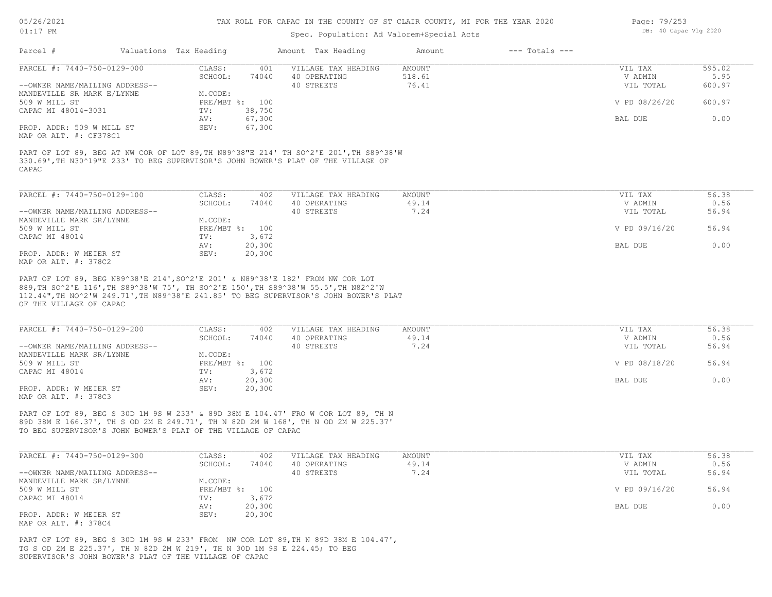### Spec. Population: Ad Valorem+Special Acts

| Page: 79/253 |                       |  |
|--------------|-----------------------|--|
|              | DB: 40 Capac Vlg 2020 |  |

| Parcel #                       | Valuations Tax Heading |                | Amount Tax Heading  | Amount | $---$ Totals $---$ |               |        |
|--------------------------------|------------------------|----------------|---------------------|--------|--------------------|---------------|--------|
| PARCEL #: 7440-750-0129-000    | CLASS:                 | 401            | VILLAGE TAX HEADING | AMOUNT |                    | VIL TAX       | 595.02 |
|                                | SCHOOL:                | 74040          | 40 OPERATING        | 518.61 |                    | V ADMIN       | 5.95   |
| --OWNER NAME/MAILING ADDRESS-- |                        |                | 40 STREETS          | 76.41  |                    | VIL TOTAL     | 600.97 |
| MANDEVILLE SR MARK E/LYNNE     | M.CODE:                |                |                     |        |                    |               |        |
| 509 W MILL ST                  |                        | PRE/MBT %: 100 |                     |        |                    | V PD 08/26/20 | 600.97 |
| CAPAC MI 48014-3031            | TV:                    | 38,750         |                     |        |                    |               |        |
|                                | AV:                    | 67,300         |                     |        |                    | BAL DUE       | 0.00   |
| PROP. ADDR: 509 W MILL ST      | SEV:                   | 67,300         |                     |        |                    |               |        |
| MAP OR ALT. #: CF378C1         |                        |                |                     |        |                    |               |        |
|                                |                        |                |                     |        |                    |               |        |

CAPAC 330.69',TH N30^19"E 233' TO BEG SUPERVISOR'S JOHN BOWER'S PLAT OF THE VILLAGE OF PART OF LOT 89, BEG AT NW COR OF LOT 89,TH N89^38"E 214' TH SO^2'E 201',TH S89^38'W

| PARCEL #: 7440-750-0129-100    | CLASS:  | 402            | VILLAGE TAX HEADING | AMOUNT | VIL TAX       | 56.38 |
|--------------------------------|---------|----------------|---------------------|--------|---------------|-------|
|                                | SCHOOL: | 74040          | 40 OPERATING        | 49.14  | V ADMIN       | 0.56  |
| --OWNER NAME/MAILING ADDRESS-- |         |                | 40 STREETS          | 7.24   | VIL TOTAL     | 56.94 |
| MANDEVILLE MARK SR/LYNNE       | M.CODE: |                |                     |        |               |       |
| 509 W MILL ST                  |         | PRE/MBT %: 100 |                     |        | V PD 09/16/20 | 56.94 |
| CAPAC MI 48014                 | TV:     | 3,672          |                     |        |               |       |
|                                | AV:     | 20,300         |                     |        | BAL DUE       | 0.00  |
| PROP. ADDR: W MEIER ST         | SEV:    | 20,300         |                     |        |               |       |
| MAP OR ALT. #: 378C2           |         |                |                     |        |               |       |

OF THE VILLAGE OF CAPAC 112.44",TH NO^2'W 249.71',TH N89^38'E 241.85' TO BEG SUPERVISOR'S JOHN BOWER'S PLAT 889,TH SO^2'E 116',TH S89^38'W 75', TH SO^2'E 150',TH S89^38'W 55.5',TH N82^2'W PART OF LOT 89, BEG N89^38'E 214',SO^2'E 201' & N89^38'E 182' FROM NW COR LOT

| PARCEL #: 7440-750-0129-200    | CLASS:         | 402    | VILLAGE TAX HEADING | AMOUNT | VIL TAX       | 56.38 |
|--------------------------------|----------------|--------|---------------------|--------|---------------|-------|
|                                | SCHOOL:        | 74040  | 40 OPERATING        | 49.14  | V ADMIN       | 0.56  |
| --OWNER NAME/MAILING ADDRESS-- |                |        | 40 STREETS          | 7.24   | VIL TOTAL     | 56.94 |
| MANDEVILLE MARK SR/LYNNE       | M.CODE:        |        |                     |        |               |       |
| 509 W MILL ST                  | PRE/MBT %: 100 |        |                     |        | V PD 08/18/20 | 56.94 |
| CAPAC MI 48014                 | TV:            | 3,672  |                     |        |               |       |
|                                | AV:            | 20,300 |                     |        | BAL DUE       | 0.00  |
| PROP. ADDR: W MEIER ST         | SEV:           | 20,300 |                     |        |               |       |
| MAP OR ALT. #: 378C3           |                |        |                     |        |               |       |

TO BEG SUPERVISOR'S JOHN BOWER'S PLAT OF THE VILLAGE OF CAPAC 89D 38M E 166.37', TH S OD 2M E 249.71', TH N 82D 2M W 168', TH N OD 2M W 225.37' PART OF LOT 89, BEG S 30D 1M 9S W 233' & 89D 38M E 104.47' FRO W COR LOT 89, TH N

| PARCEL #: 7440-750-0129-300    | CLASS:         | 402    | VILLAGE TAX HEADING | AMOUNT | VIL TAX       | 56.38 |
|--------------------------------|----------------|--------|---------------------|--------|---------------|-------|
|                                | SCHOOL:        | 74040  | 40 OPERATING        | 49.14  | V ADMIN       | 0.56  |
| --OWNER NAME/MAILING ADDRESS-- |                |        | 40 STREETS          | 7.24   | VIL TOTAL     | 56.94 |
| MANDEVILLE MARK SR/LYNNE       | M.CODE:        |        |                     |        |               |       |
| 509 W MILL ST                  | PRE/MBT %: 100 |        |                     |        | V PD 09/16/20 | 56.94 |
| CAPAC MI 48014                 | TV:            | 3,672  |                     |        |               |       |
|                                | AV:            | 20,300 |                     |        | BAL DUE       | 0.00  |
| PROP. ADDR: W MEIER ST         | SEV:           | 20,300 |                     |        |               |       |
| MAP OR ALT. #: 378C4           |                |        |                     |        |               |       |

SUPERVISOR'S JOHN BOWER'S PLAT OF THE VILLAGE OF CAPAC TG S OD 2M E 225.37', TH N 82D 2M W 219', TH N 30D 1M 9S E 224.45; TO BEG PART OF LOT 89, BEG S 30D 1M 9S W 233' FROM NW COR LOT 89,TH N 89D 38M E 104.47',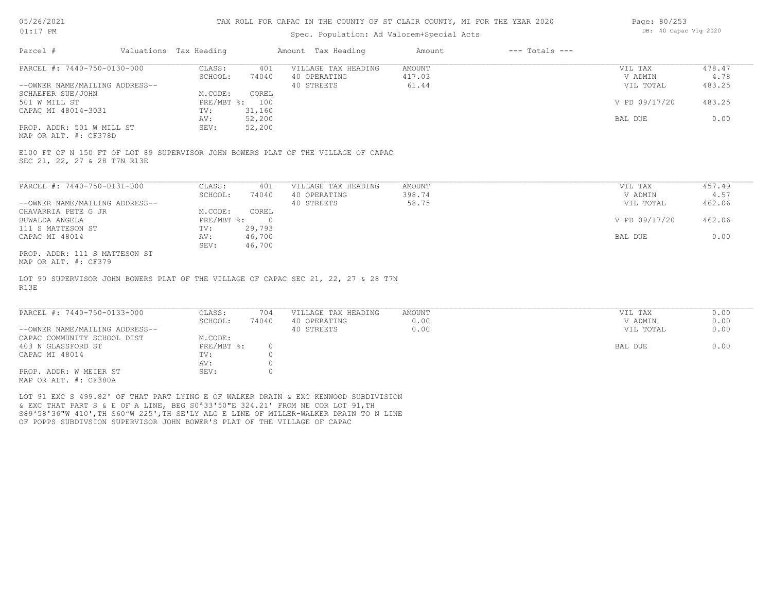### Spec. Population: Ad Valorem+Special Acts

| Page: 80/253 |                       |  |
|--------------|-----------------------|--|
|              | DB: 40 Capac Vlg 2020 |  |

| Parcel #                       | Valuations Tax Heading |        | Amount Tax Heading  | Amount | $---$ Totals $---$ |               |        |
|--------------------------------|------------------------|--------|---------------------|--------|--------------------|---------------|--------|
| PARCEL #: 7440-750-0130-000    | CLASS:                 | 401    | VILLAGE TAX HEADING | AMOUNT |                    | VIL TAX       | 478.47 |
|                                | SCHOOL:                | 74040  | 40 OPERATING        | 417.03 |                    | V ADMIN       | 4.78   |
| --OWNER NAME/MAILING ADDRESS-- |                        |        | 40 STREETS          | 61.44  |                    | VIL TOTAL     | 483.25 |
| SCHAEFER SUE/JOHN              | M.CODE:                | COREL  |                     |        |                    |               |        |
| 501 W MILL ST                  | $PRE/MBT$ %:           | 100    |                     |        |                    | V PD 09/17/20 | 483.25 |
| CAPAC MI 48014-3031            | TV:                    | 31,160 |                     |        |                    |               |        |
|                                | AV:                    | 52,200 |                     |        |                    | BAL DUE       | 0.00   |
| PROP. ADDR: 501 W MILL ST      | SEV:                   | 52,200 |                     |        |                    |               |        |
|                                |                        |        |                     |        |                    |               |        |

MAP OR ALT. #: CF378D

SEC 21, 22, 27 & 28 T7N R13E E100 FT OF N 150 FT OF LOT 89 SUPERVISOR JOHN BOWERS PLAT OF THE VILLAGE OF CAPAC

| PARCEL #: 7440-750-0131-000    | CLASS:     | 401    | VILLAGE TAX HEADING | AMOUNT | VIL TAX       | 457.49 |
|--------------------------------|------------|--------|---------------------|--------|---------------|--------|
|                                | SCHOOL:    | 74040  | 40 OPERATING        | 398.74 | V ADMIN       | 4.57   |
| --OWNER NAME/MAILING ADDRESS-- |            |        | 40 STREETS          | 58.75  | VIL TOTAL     | 462.06 |
| CHAVARRIA PETE G JR            | M.CODE:    | COREL  |                     |        |               |        |
| BUWALDA ANGELA                 | PRE/MBT %: |        |                     |        | V PD 09/17/20 | 462.06 |
| 111 S MATTESON ST              | TV:        | 29,793 |                     |        |               |        |
| CAPAC MI 48014                 | AV:        | 46,700 |                     |        | BAL DUE       | 0.00   |
|                                | SEV:       | 46,700 |                     |        |               |        |
| PROP. ADDR: 111 S MATTESON ST  |            |        |                     |        |               |        |

MAP OR ALT. #: CF379

R13E LOT 90 SUPERVISOR JOHN BOWERS PLAT OF THE VILLAGE OF CAPAC SEC 21, 22, 27 & 28 T7N

| PARCEL #: 7440-750-0133-000    | CLASS:     | 704   | VILLAGE TAX HEADING | AMOUNT | VIL TAX   | 0.00 |
|--------------------------------|------------|-------|---------------------|--------|-----------|------|
|                                | SCHOOL:    | 74040 | 40 OPERATING        | 0.00   | V ADMIN   | 0.00 |
| --OWNER NAME/MAILING ADDRESS-- |            |       | 40 STREETS          | 0.00   | VIL TOTAL | 0.00 |
| CAPAC COMMUNITY SCHOOL DIST    | M.CODE:    |       |                     |        |           |      |
| 403 N GLASSFORD ST             | PRE/MBT %: |       |                     |        | BAL DUE   | 0.00 |
| CAPAC MI 48014                 | TV:        |       |                     |        |           |      |
|                                | AV:        |       |                     |        |           |      |
| PROP. ADDR: W MEIER ST         | SEV:       |       |                     |        |           |      |
| $\frac{1}{2}$                  |            |       |                     |        |           |      |

 $\_$  , and the state of the state of the state of the state of the state of the state of the state of the state of the state of the state of the state of the state of the state of the state of the state of the state of the

MAP OR ALT. #: CF380A

OF POPPS SUBDIVSION SUPERVISOR JOHN BOWER'S PLAT OF THE VILLAGE OF CAPAC S89ª58'36"W 410',TH S60ªW 225',TH SE'LY ALG E LINE OF MILLER-WALKER DRAIN TO N LINE & EXC THAT PART S & E OF A LINE, BEG S0ª33'50"E 324.21' FROM NE COR LOT 91,TH LOT 91 EXC S 499.82' OF THAT PART LYING E OF WALKER DRAIN & EXC KENWOOD SUBDIVISION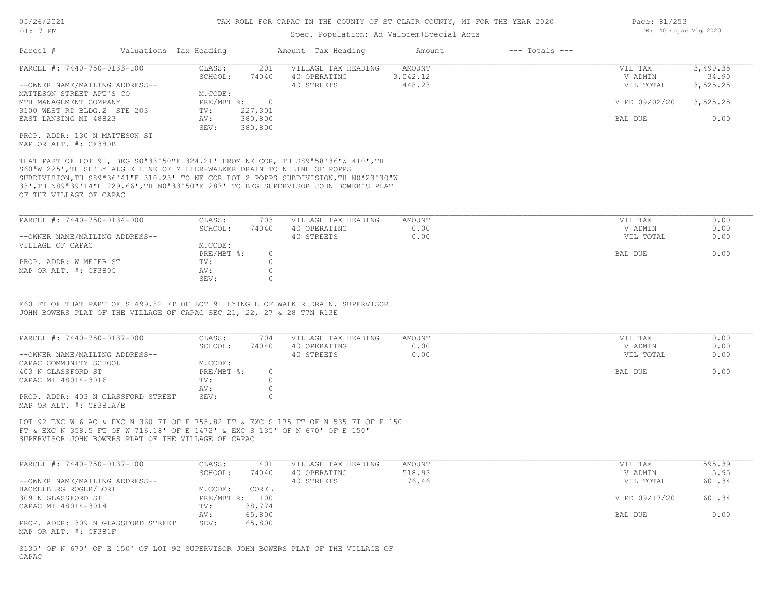### Spec. Population: Ad Valorem+Special Acts

| Parcel #                       | Valuations Tax Heading |         | Amount Tax Heading  | Amount   | $---$ Totals $---$ |               |          |
|--------------------------------|------------------------|---------|---------------------|----------|--------------------|---------------|----------|
| PARCEL #: 7440-750-0133-100    | CLASS:                 | 201     | VILLAGE TAX HEADING | AMOUNT   |                    | VIL TAX       | 3,490.35 |
|                                | SCHOOL:                | 74040   | 40 OPERATING        | 3,042.12 |                    | V ADMIN       | 34.90    |
| --OWNER NAME/MAILING ADDRESS-- |                        |         | 40 STREETS          | 448.23   |                    | VIL TOTAL     | 3,525.25 |
| MATTESON STREET APT'S CO       | M.CODE:                |         |                     |          |                    |               |          |
| MTH MANAGEMENT COMPANY         | PRE/MBT %:             |         |                     |          |                    | V PD 09/02/20 | 3,525.25 |
| 3100 WEST RD BLDG.2 STE 203    | TV:                    | 227,301 |                     |          |                    |               |          |
| EAST LANSING MI 48823          | AV:                    | 380,800 |                     |          |                    | BAL DUE       | 0.00     |
|                                | SEV:                   | 380,800 |                     |          |                    |               |          |
| PROP. ADDR: 130 N MATTESON ST  |                        |         |                     |          |                    |               |          |
|                                |                        |         |                     |          |                    |               |          |

MAP OR ALT. #: CF380B

OF THE VILLAGE OF CAPAC 33',TH N89ª39'14"E 229.66',TH N0ª33'50"E 287' TO BEG SUPERVISOR JOHN BOWER'S PLAT SUBDIVISION,TH S89ª36'41"E 310.23' TO NE COR LOT 2 POPPS SUBDIVISION,TH N0ª23'30"W S60ªW 225',TH SE'LY ALG E LINE OF MILLER-WALKER DRAIN TO N LINE OF POPPS THAT PART OF LOT 91, BEG S0ª33'50"E 324.21' FROM NE COR, TH S89ª58'36"W 410',TH

| PARCEL #: 7440-750-0134-000    | CLASS:     | 703   | VILLAGE TAX HEADING | AMOUNT | VIL TAX   | 0.00 |
|--------------------------------|------------|-------|---------------------|--------|-----------|------|
|                                | SCHOOL:    | 74040 | 40 OPERATING        | 0.00   | V ADMIN   | 0.00 |
| --OWNER NAME/MAILING ADDRESS-- |            |       | 40 STREETS          | 0.00   | VIL TOTAL | 0.00 |
| VILLAGE OF CAPAC               | M.CODE:    |       |                     |        |           |      |
|                                | PRE/MBT %: |       |                     |        | BAL DUE   | 0.00 |
| PROP. ADDR: W MEIER ST         | TV:        |       |                     |        |           |      |
| MAP OR ALT. #: CF380C          | AV:        |       |                     |        |           |      |
|                                | SEV:       |       |                     |        |           |      |

JOHN BOWERS PLAT OF THE VILLAGE OF CAPAC SEC 21, 22, 27 & 28 T7N R13E E60 FT OF THAT PART OF S 499.82 FT OF LOT 91 LYING E OF WALKER DRAIN. SUPERVISOR

| PARCEL #: 7440-750-0137-000                                   | CLASS:     | 704   | VILLAGE TAX HEADING | AMOUNT | VIL TAX   | 0.00 |
|---------------------------------------------------------------|------------|-------|---------------------|--------|-----------|------|
|                                                               | SCHOOL:    | 74040 | 40 OPERATING        | 0.00   | V ADMIN   | 0.00 |
| --OWNER NAME/MAILING ADDRESS--                                |            |       | 40 STREETS          | 0.00   | VIL TOTAL | 0.00 |
| CAPAC COMMUNITY SCHOOL                                        | M.CODE:    |       |                     |        |           |      |
| 403 N GLASSFORD ST                                            | PRE/MBT %: |       |                     |        | BAL DUE   | 0.00 |
| CAPAC MI 48014-3016                                           | TV:        |       |                     |        |           |      |
|                                                               | AV:        |       |                     |        |           |      |
| PROP. ADDR: 403 N GLASSFORD STREET<br>MAP OR ALT. #: CF381A/B | SEV:       |       |                     |        |           |      |

SUPERVISOR JOHN BOWERS PLAT OF THE VILLAGE OF CAPAC FT & EXC N 358.5 FT OF W 716.18' OF E 1472' & EXC S 135' OF N 670' OF E 150' LOT 92 EXC W 6 AC & EXC N 360 FT OF E 755.82 FT & EXC S 175 FT OF N 535 FT OF E 150

| PARCEL #: 7440-750-0137-100        | CLASS:  | 401            | VILLAGE TAX HEADING | AMOUNT | VIL TAX       | 595.39 |
|------------------------------------|---------|----------------|---------------------|--------|---------------|--------|
|                                    | SCHOOL: | 74040          | 40 OPERATING        | 518.93 | V ADMIN       | 5.95   |
| --OWNER NAME/MAILING ADDRESS--     |         |                | 40 STREETS          | 76.46  | VIL TOTAL     | 601.34 |
| HACKELBERG ROGER/LORI              | M.CODE: | COREL          |                     |        |               |        |
| 309 N GLASSFORD ST                 |         | PRE/MBT %: 100 |                     |        | V PD 09/17/20 | 601.34 |
| CAPAC MI 48014-3014                | TV:     | 38,774         |                     |        |               |        |
|                                    | AV:     | 65,800         |                     |        | BAL DUE       | 0.00   |
| PROP. ADDR: 309 N GLASSFORD STREET | SEV:    | 65,800         |                     |        |               |        |
| MAP OR ALT. #: CF381F              |         |                |                     |        |               |        |

CAPAC S135' OF N 670' OF E 150' OF LOT 92 SUPERVISOR JOHN BOWERS PLAT OF THE VILLAGE OF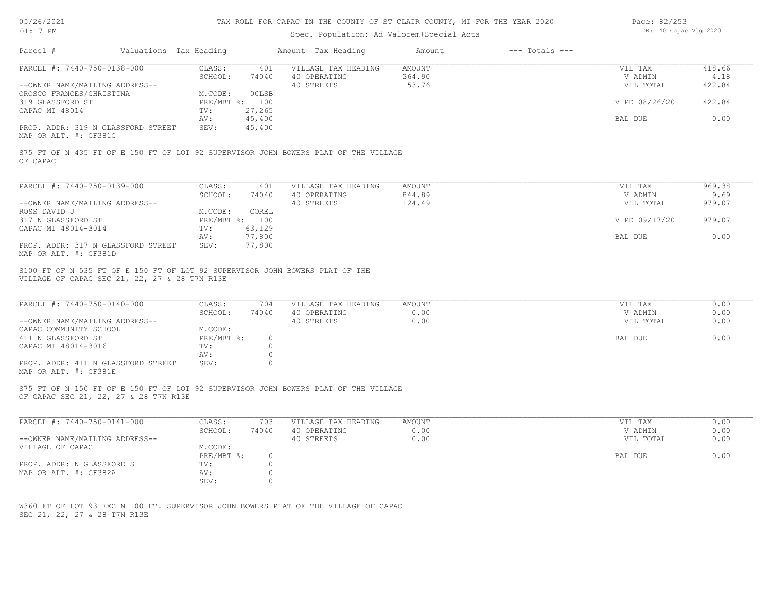| 05/26/2021 |  |
|------------|--|
| 01:17      |  |

| Page: 82/253 |                       |  |
|--------------|-----------------------|--|
|              | DB: 40 Capac Vlg 2020 |  |

| Valuations Tax Heading                                                                                                                                 |                                                           |                                                   |                           |                                 |                          |
|--------------------------------------------------------------------------------------------------------------------------------------------------------|-----------------------------------------------------------|---------------------------------------------------|---------------------------|---------------------------------|--------------------------|
| PARCEL #: 7440-750-0138-000<br>--OWNER NAME/MAILING ADDRESS--                                                                                          | CLASS:<br>401<br>SCHOOL:<br>74040                         | VILLAGE TAX HEADING<br>40 OPERATING<br>40 STREETS | AMOUNT<br>364.90<br>53.76 | VIL TAX<br>V ADMIN<br>VIL TOTAL | 418.66<br>4.18<br>422.84 |
| OROSCO FRANCES/CHRISTINA<br>319 GLASSFORD ST<br>CAPAC MI 48014                                                                                         | M.CODE:<br>00LSB<br>PRE/MBT %: 100<br>TV:<br>27,265       |                                                   |                           | V PD 08/26/20                   | 422.84                   |
| PROP. ADDR: 319 N GLASSFORD STREET                                                                                                                     | 45,400<br>AV:<br>45,400<br>SEV:                           |                                                   |                           | BAL DUE                         | 0.00                     |
| MAP OR ALT. #: CF381C                                                                                                                                  |                                                           |                                                   |                           |                                 |                          |
| S75 FT OF N 435 FT OF E 150 FT OF LOT 92 SUPERVISOR JOHN BOWERS PLAT OF THE VILLAGE<br>OF CAPAC                                                        |                                                           |                                                   |                           |                                 |                          |
| PARCEL #: 7440-750-0139-000                                                                                                                            | CLASS:<br>401<br>SCHOOL:<br>74040                         | VILLAGE TAX HEADING<br>40 OPERATING               | AMOUNT<br>844.89          | VIL TAX<br>V ADMIN              | 969.38<br>9.69           |
| --OWNER NAME/MAILING ADDRESS--<br>ROSS DAVID J                                                                                                         | M.CODE:<br>COREL                                          | 40 STREETS                                        | 124.49                    | VIL TOTAL                       | 979.07                   |
| 317 N GLASSFORD ST<br>CAPAC MI 48014-3014                                                                                                              | PRE/MBT %: 100<br>63,129<br>TV:                           |                                                   |                           | V PD 09/17/20                   | 979.07                   |
| PROP. ADDR: 317 N GLASSFORD STREET                                                                                                                     | 77,800<br>AV:<br>SEV:<br>77,800                           |                                                   |                           | BAL DUE                         | 0.00                     |
| MAP OR ALT. #: CF381D<br>S100 FT OF N 535 FT OF E 150 FT OF LOT 92 SUPERVISOR JOHN BOWERS PLAT OF THE<br>VILLAGE OF CAPAC SEC 21, 22, 27 & 28 T7N R13E |                                                           |                                                   |                           |                                 |                          |
| PARCEL #: 7440-750-0140-000<br>--OWNER NAME/MAILING ADDRESS--                                                                                          | CLASS:<br>704<br>SCHOOL:<br>74040                         | VILLAGE TAX HEADING<br>40 OPERATING<br>40 STREETS | AMOUNT<br>0.00<br>0.00    | VIL TAX<br>V ADMIN<br>VIL TOTAL | 0.00<br>0.00<br>0.00     |
| CAPAC COMMUNITY SCHOOL<br>411 N GLASSFORD ST<br>CAPAC MI 48014-3016                                                                                    | M.CODE:<br>PRE/MBT %:<br>$\overline{0}$<br>TV:<br>$\circ$ |                                                   |                           | BAL DUE                         | 0.00                     |
| PROP. ADDR: 411 N GLASSFORD STREET<br>MAP OR ALT. #: CF381E                                                                                            | $\circ$<br>AV:<br>SEV:<br>$\Omega$                        |                                                   |                           |                                 |                          |
| S75 FT OF N 150 FT OF E 150 FT OF LOT 92 SUPERVISOR JOHN BOWERS PLAT OF THE VILLAGE<br>OF CAPAC SEC 21, 22, 27 & 28 T7N R13E                           |                                                           |                                                   |                           |                                 |                          |
| PARCEL #: 7440-750-0141-000                                                                                                                            | CLASS:<br>703<br>SCHOOL:<br>74040                         | VILLAGE TAX HEADING<br>40 OPERATING               | AMOUNT<br>0.00            | VIL TAX<br>V ADMIN              | 0.00<br>0.00             |
| --OWNER NAME/MAILING ADDRESS--<br>VILLAGE OF CAPAC                                                                                                     | M.CODE:<br>$PRE/MBT$ $\div$<br>$\circ$                    | 40 STREETS                                        | 0.00                      | VIL TOTAL<br>BAL DUE            | 0.00<br>0.00             |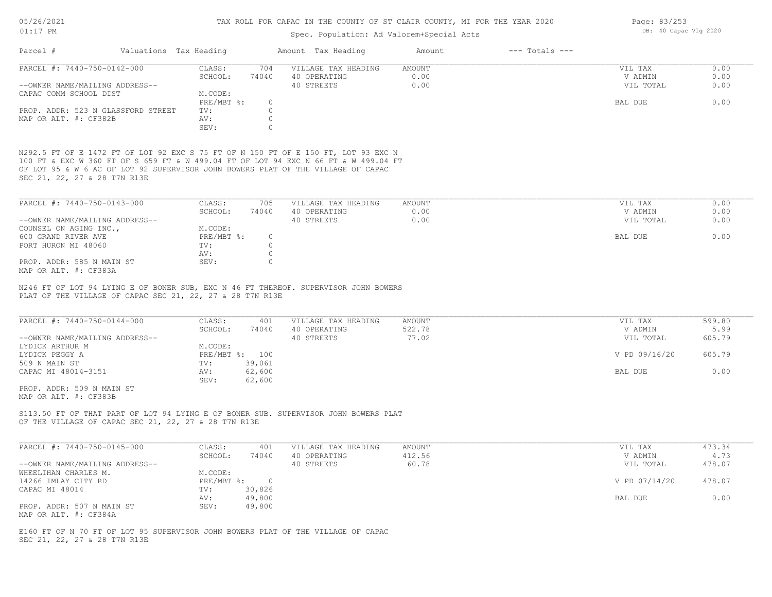### Spec. Population: Ad Valorem+Special Acts

| Parcel #                       |                                    | Valuations Tax Heading |       | Amount Tax Heading  | Amount | $---$ Totals $---$ |           |      |
|--------------------------------|------------------------------------|------------------------|-------|---------------------|--------|--------------------|-----------|------|
| PARCEL #: 7440-750-0142-000    |                                    | CLASS:                 | 704   | VILLAGE TAX HEADING | AMOUNT |                    | VIL TAX   | 0.00 |
|                                |                                    | SCHOOL:                | 74040 | 40 OPERATING        | 0.00   |                    | V ADMIN   | 0.00 |
| --OWNER NAME/MAILING ADDRESS-- |                                    |                        |       | 40 STREETS          | 0.00   |                    | VIL TOTAL | 0.00 |
| CAPAC COMM SCHOOL DIST         |                                    | M.CODE:                |       |                     |        |                    |           |      |
|                                |                                    | PRE/MBT %:             |       |                     |        |                    | BAL DUE   | 0.00 |
|                                | PROP. ADDR: 523 N GLASSFORD STREET | TV:                    |       |                     |        |                    |           |      |
| MAP OR ALT. #: CF382B          |                                    | AV:                    |       |                     |        |                    |           |      |
|                                |                                    | SEV:                   |       |                     |        |                    |           |      |
|                                |                                    |                        |       |                     |        |                    |           |      |

SEC 21, 22, 27 & 28 T7N R13E OF LOT 95 & W 6 AC OF LOT 92 SUPERVISOR JOHN BOWERS PLAT OF THE VILLAGE OF CAPAC 100 FT & EXC W 360 FT OF S 659 FT & W 499.04 FT OF LOT 94 EXC N 66 FT & W 499.04 FT N292.5 FT OF E 1472 FT OF LOT 92 EXC S 75 FT OF N 150 FT OF E 150 FT, LOT 93 EXC N

| PARCEL #: 7440-750-0143-000    | CLASS:     | 705   | VILLAGE TAX HEADING | AMOUNT | VIL TAX   | 0.00 |
|--------------------------------|------------|-------|---------------------|--------|-----------|------|
|                                | SCHOOL:    | 74040 | 40 OPERATING        | 0.00   | V ADMIN   | 0.00 |
| --OWNER NAME/MAILING ADDRESS-- |            |       | 40 STREETS          | 0.00   | VIL TOTAL | 0.00 |
| COUNSEL ON AGING INC.,         | M.CODE:    |       |                     |        |           |      |
| 600 GRAND RIVER AVE            | PRE/MBT %: | O.    |                     |        | BAL DUE   | 0.00 |
| PORT HURON MI 48060            | TV:        |       |                     |        |           |      |
|                                | AV:        |       |                     |        |           |      |
| PROP. ADDR: 585 N MAIN ST      | SEV:       |       |                     |        |           |      |
| MAP OR ALT. #: CF383A          |            |       |                     |        |           |      |

PLAT OF THE VILLAGE OF CAPAC SEC 21, 22, 27 & 28 T7N R13E N246 FT OF LOT 94 LYING E OF BONER SUB, EXC N 46 FT THEREOF. SUPERVISOR JOHN BOWERS

| PARCEL #: 7440-750-0144-000    | CLASS:  | 401            | VILLAGE TAX HEADING | AMOUNT | VIL TAX       | 599.80 |
|--------------------------------|---------|----------------|---------------------|--------|---------------|--------|
|                                | SCHOOL: | 74040          | 40 OPERATING        | 522.78 | V ADMIN       | 5.99   |
| --OWNER NAME/MAILING ADDRESS-- |         |                | 40 STREETS          | 77.02  | VIL TOTAL     | 605.79 |
| LYDICK ARTHUR M                | M.CODE: |                |                     |        |               |        |
| LYDICK PEGGY A                 |         | PRE/MBT %: 100 |                     |        | V PD 09/16/20 | 605.79 |
| 509 N MAIN ST                  | TV:     | 39,061         |                     |        |               |        |
| CAPAC MI 48014-3151            | AV:     | 62,600         |                     |        | BAL DUE       | 0.00   |
|                                | SEV:    | 62,600         |                     |        |               |        |

MAP OR ALT. #: CF383B PROP. ADDR: 509 N MAIN ST

OF THE VILLAGE OF CAPAC SEC 21, 22, 27 & 28 T7N R13E S113.50 FT OF THAT PART OF LOT 94 LYING E OF BONER SUB. SUPERVISOR JOHN BOWERS PLAT

| PARCEL #: 7440-750-0145-000    | CLASS:     | 401    | VILLAGE TAX HEADING | AMOUNT | VIL TAX       | 473.34 |
|--------------------------------|------------|--------|---------------------|--------|---------------|--------|
|                                | SCHOOL:    | 74040  | 40 OPERATING        | 412.56 | V ADMIN       | 4.73   |
| --OWNER NAME/MAILING ADDRESS-- |            |        | 40 STREETS          | 60.78  | VIL TOTAL     | 478.07 |
| WHEELIHAN CHARLES M.           | M.CODE:    |        |                     |        |               |        |
| 14266 IMLAY CITY RD            | PRE/MBT %: |        |                     |        | V PD 07/14/20 | 478.07 |
| CAPAC MI 48014                 | TV:        | 30,826 |                     |        |               |        |
|                                | AV:        | 49,800 |                     |        | BAL DUE       | 0.00   |
| PROP. ADDR: 507 N MAIN ST      | SEV:       | 49,800 |                     |        |               |        |
| MAP OR ALT. #: CF384A          |            |        |                     |        |               |        |

SEC 21, 22, 27 & 28 T7N R13E E160 FT OF N 70 FT OF LOT 95 SUPERVISOR JOHN BOWERS PLAT OF THE VILLAGE OF CAPAC Page: 83/253 DB: 40 Capac Vlg 2020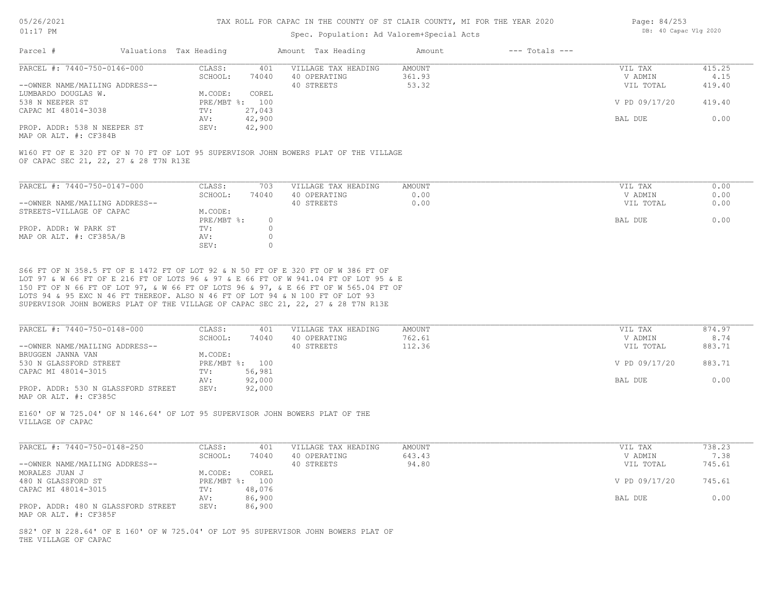### Spec. Population: Ad Valorem+Special Acts

| Page: 84/253 |                       |  |
|--------------|-----------------------|--|
|              | DB: 40 Capac Vlg 2020 |  |

| Parcel #                       | Valuations Tax Heading |        | Amount Tax Heading  | Amount | $---$ Totals $---$ |               |        |
|--------------------------------|------------------------|--------|---------------------|--------|--------------------|---------------|--------|
| PARCEL #: 7440-750-0146-000    | CLASS:                 | 401    | VILLAGE TAX HEADING | AMOUNT |                    | VIL TAX       | 415.25 |
|                                | SCHOOL:                | 74040  | 40 OPERATING        | 361.93 |                    | V ADMIN       | 4.15   |
| --OWNER NAME/MAILING ADDRESS-- |                        |        | 40 STREETS          | 53.32  |                    | VIL TOTAL     | 419.40 |
| LUMBARDO DOUGLAS W.            | M.CODE:                | COREL  |                     |        |                    |               |        |
| 538 N NEEPER ST                | PRE/MBT %: 100         |        |                     |        |                    | V PD 09/17/20 | 419.40 |
| CAPAC MI 48014-3038            | TV:                    | 27,043 |                     |        |                    |               |        |
|                                | AV:                    | 42,900 |                     |        |                    | BAL DUE       | 0.00   |
| PROP. ADDR: 538 N NEEPER ST    | SEV:                   | 42,900 |                     |        |                    |               |        |
|                                |                        |        |                     |        |                    |               |        |

MAP OR ALT. #: CF384B

OF CAPAC SEC 21, 22, 27 & 28 T7N R13E W160 FT OF E 320 FT OF N 70 FT OF LOT 95 SUPERVISOR JOHN BOWERS PLAT OF THE VILLAGE

| PARCEL #: 7440-750-0147-000    | CLASS:     | 703   | VILLAGE TAX HEADING | AMOUNT | VIL TAX   | 0.00 |
|--------------------------------|------------|-------|---------------------|--------|-----------|------|
|                                | SCHOOL:    | 74040 | 40 OPERATING        | J.OO   | V ADMIN   | 0.00 |
| --OWNER NAME/MAILING ADDRESS-- |            |       | 40 STREETS          | 0.00   | VIL TOTAL | 0.00 |
| STREETS-VILLAGE OF CAPAC       | M.CODE:    |       |                     |        |           |      |
|                                | PRE/MBT %: |       |                     |        | BAL DUE   | 0.00 |
| PROP. ADDR: W PARK ST          | TV:        |       |                     |        |           |      |
| MAP OR ALT. #: CF385A/B        | AV:        |       |                     |        |           |      |
|                                | SEV:       |       |                     |        |           |      |

SUPERVISOR JOHN BOWERS PLAT OF THE VILLAGE OF CAPAC SEC 21, 22, 27 & 28 T7N R13E LOTS 94 & 95 EXC N 46 FT THEREOF. ALSO N 46 FT OF LOT 94 & N 100 FT OF LOT 93 150 FT OF N 66 FT OF LOT 97, & W 66 FT OF LOTS 96 & 97, & E 66 FT OF W 565.04 FT OF LOT 97 & W 66 FT OF E 216 FT OF LOTS 96 & 97 & E 66 FT OF W 941.04 FT OF LOT 95 & E S66 FT OF N 358.5 FT OF E 1472 FT OF LOT 92 & N 50 FT OF E 320 FT OF W 386 FT OF

| PARCEL #: 7440-750-0148-000        | CLASS:  | 401            | VILLAGE TAX HEADING | AMOUNT | VIL TAX       | 874.97 |
|------------------------------------|---------|----------------|---------------------|--------|---------------|--------|
|                                    | SCHOOL: | 74040          | 40 OPERATING        | 762.61 | V ADMIN       | 8.74   |
| --OWNER NAME/MAILING ADDRESS--     |         |                | 40 STREETS          | 112.36 | VIL TOTAL     | 883.71 |
| BRUGGEN JANNA VAN                  | M.CODE: |                |                     |        |               |        |
| 530 N GLASSFORD STREET             |         | PRE/MBT %: 100 |                     |        | V PD 09/17/20 | 883.71 |
| CAPAC MI 48014-3015                | TV:     | 56,981         |                     |        |               |        |
|                                    | AV:     | 92,000         |                     |        | BAL DUE       | 0.00   |
| PROP. ADDR: 530 N GLASSFORD STREET | SEV:    | 92,000         |                     |        |               |        |
| MAP OR ALT. #: CF385C              |         |                |                     |        |               |        |

VILLAGE OF CAPAC E160' OF W 725.04' OF N 146.64' OF LOT 95 SUPERVISOR JOHN BOWERS PLAT OF THE

| PARCEL #: 7440-750-0148-250                                 | CLASS:  | 401            | VILLAGE TAX HEADING | AMOUNT | VIL TAX       | 738.23 |
|-------------------------------------------------------------|---------|----------------|---------------------|--------|---------------|--------|
|                                                             | SCHOOL: | 74040          | 40 OPERATING        | 643.43 | V ADMIN       | 7.38   |
| --OWNER NAME/MAILING ADDRESS--                              |         |                | 40 STREETS          | 94.80  | VIL TOTAL     | 745.61 |
| MORALES JUAN J                                              | M.CODE: | COREL          |                     |        |               |        |
| 480 N GLASSFORD ST                                          |         | PRE/MBT %: 100 |                     |        | V PD 09/17/20 | 745.61 |
| CAPAC MI 48014-3015                                         | TV:     | 48,076         |                     |        |               |        |
|                                                             | AV:     | 86,900         |                     |        | BAL DUE       | 0.00   |
| PROP. ADDR: 480 N GLASSFORD STREET<br>MAP OR ALT. #: CF385F | SEV:    | 86,900         |                     |        |               |        |

THE VILLAGE OF CAPAC S82' OF N 228.64' OF E 160' OF W 725.04' OF LOT 95 SUPERVISOR JOHN BOWERS PLAT OF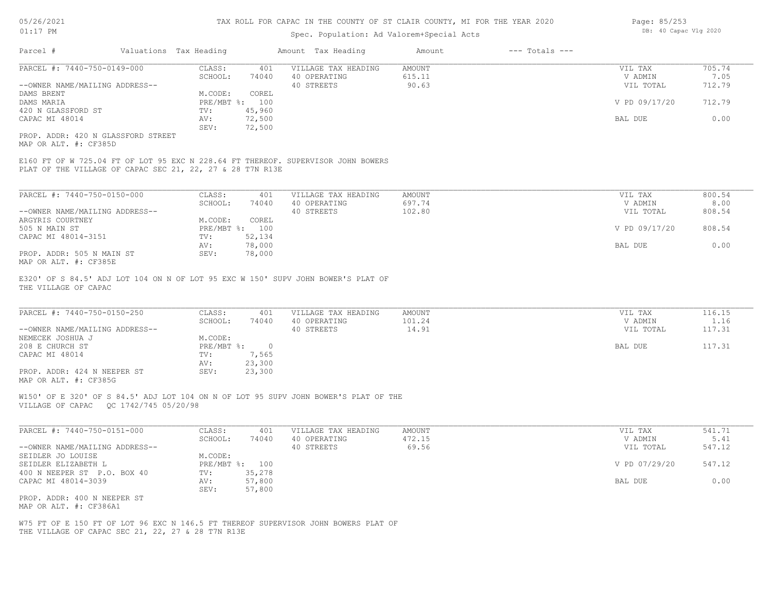### Spec. Population: Ad Valorem+Special Acts

| Parcel #                       | Valuations Tax Heading |        | Amount Tax Heading  | Amount | $---$ Totals $---$ |               |        |
|--------------------------------|------------------------|--------|---------------------|--------|--------------------|---------------|--------|
| PARCEL #: 7440-750-0149-000    | CLASS:                 | 401    | VILLAGE TAX HEADING | AMOUNT |                    | VIL TAX       | 705.74 |
|                                | SCHOOL:                | 74040  | 40 OPERATING        | 615.11 |                    | V ADMIN       | 7.05   |
| --OWNER NAME/MAILING ADDRESS-- |                        |        | 40 STREETS          | 90.63  |                    | VIL TOTAL     | 712.79 |
| DAMS BRENT                     | M.CODE:                | COREL  |                     |        |                    |               |        |
| DAMS MARIA                     | PRE/MBT %: 100         |        |                     |        |                    | V PD 09/17/20 | 712.79 |
| 420 N GLASSFORD ST             | TV:                    | 45,960 |                     |        |                    |               |        |
| CAPAC MI 48014                 | AV:                    | 72,500 |                     |        |                    | BAL DUE       | 0.00   |
|                                | SEV:                   | 72,500 |                     |        |                    |               |        |
|                                |                        |        |                     |        |                    |               |        |

MAP OR ALT. #: CF385D PROP. ADDR: 420 N GLASSFORD STREET

PLAT OF THE VILLAGE OF CAPAC SEC 21, 22, 27 & 28 T7N R13E E160 FT OF W 725.04 FT OF LOT 95 EXC N 228.64 FT THEREOF. SUPERVISOR JOHN BOWERS

| PARCEL #: 7440-750-0150-000    | CLASS:     | 401    | VILLAGE TAX HEADING | AMOUNT | VIL TAX       | 800.54 |
|--------------------------------|------------|--------|---------------------|--------|---------------|--------|
|                                | SCHOOL:    | 74040  | 40 OPERATING        | 697.74 | V ADMIN       | 8.00   |
| --OWNER NAME/MAILING ADDRESS-- |            |        | 40 STREETS          | 102.80 | VIL TOTAL     | 808.54 |
| ARGYRIS COURTNEY               | M.CODE:    | COREL  |                     |        |               |        |
| 505 N MAIN ST                  | PRE/MBT %: | 100    |                     |        | V PD 09/17/20 | 808.54 |
| CAPAC MI 48014-3151            | TV:        | 52,134 |                     |        |               |        |
|                                | AV:        | 78,000 |                     |        | BAL DUE       | 0.00   |
| PROP. ADDR: 505 N MAIN ST      | SEV:       | 78,000 |                     |        |               |        |
| MAP OR ALT. #: CF385E          |            |        |                     |        |               |        |

THE VILLAGE OF CAPAC E320' OF S 84.5' ADJ LOT 104 ON N OF LOT 95 EXC W 150' SUPV JOHN BOWER'S PLAT OF

| PARCEL #: 7440-750-0150-250    | CLASS:     | 401    | VILLAGE TAX HEADING | AMOUNT | VIL TAX   | 116.15 |
|--------------------------------|------------|--------|---------------------|--------|-----------|--------|
|                                | SCHOOL:    | 74040  | 40 OPERATING        | 101.24 | V ADMIN   | 1.16   |
| --OWNER NAME/MAILING ADDRESS-- |            |        | 40 STREETS          | 14.91  | VIL TOTAL | 117.31 |
| NEMECEK JOSHUA J               | M.CODE:    |        |                     |        |           |        |
| 208 E CHURCH ST                | PRE/MBT %: |        |                     |        | BAL DUE   | 117.31 |
| CAPAC MI 48014                 | TV:        | 7,565  |                     |        |           |        |
|                                | AV:        | 23,300 |                     |        |           |        |
| PROP. ADDR: 424 N NEEPER ST    | SEV:       | 23,300 |                     |        |           |        |
| MAP OR ALT. #: CF385G          |            |        |                     |        |           |        |

 $\_$  , and the state of the state of the state of the state of the state of the state of the state of the state of the state of the state of the state of the state of the state of the state of the state of the state of the

VILLAGE OF CAPAC QC 1742/745 05/20/98 W150' OF E 320' OF S 84.5' ADJ LOT 104 ON N OF LOT 95 SUPV JOHN BOWER'S PLAT OF THE

| PARCEL #: 7440-750-0151-000    | CLASS:  | 401            | VILLAGE TAX HEADING | AMOUNT | VIL TAX       | 541.71 |
|--------------------------------|---------|----------------|---------------------|--------|---------------|--------|
|                                | SCHOOL: | 74040          | 40 OPERATING        | 472.15 | V ADMIN       | 5.41   |
| --OWNER NAME/MAILING ADDRESS-- |         |                | 40 STREETS          | 69.56  | VIL TOTAL     | 547.12 |
| SEIDLER JO LOUISE              | M.CODE: |                |                     |        |               |        |
| SEIDLER ELIZABETH L            |         | PRE/MBT %: 100 |                     |        | V PD 07/29/20 | 547.12 |
| 400 N NEEPER ST P.O. BOX 40    | TV:     | 35,278         |                     |        |               |        |
| CAPAC MI 48014-3039            | AV:     | 57,800         |                     |        | BAL DUE       | 0.00   |
|                                | SEV:    | 57,800         |                     |        |               |        |
| PROP. ADDR: 400 N NEEPER ST    |         |                |                     |        |               |        |
| MAP OR ALT. #: CF386A1         |         |                |                     |        |               |        |

THE VILLAGE OF CAPAC SEC 21, 22, 27 & 28 T7N R13E W75 FT OF E 150 FT OF LOT 96 EXC N 146.5 FT THEREOF SUPERVISOR JOHN BOWERS PLAT OF Page: 85/253 DB: 40 Capac Vlg 2020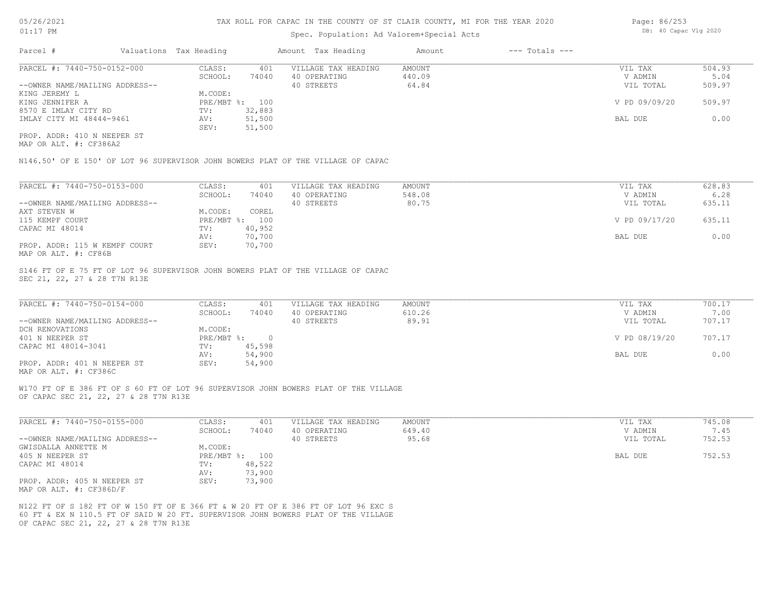### Spec. Population: Ad Valorem+Special Acts

| Page: 86/253 |                       |  |
|--------------|-----------------------|--|
|              | DB: 40 Capac Vlg 2020 |  |

| Parcel #                       | Valuations Tax Heading |        | Amount Tax Heading  | Amount | $---$ Totals $---$ |               |        |
|--------------------------------|------------------------|--------|---------------------|--------|--------------------|---------------|--------|
| PARCEL #: 7440-750-0152-000    | CLASS:                 | 401    | VILLAGE TAX HEADING | AMOUNT |                    | VIL TAX       | 504.93 |
|                                | SCHOOL:                | 74040  | 40 OPERATING        | 440.09 |                    | V ADMIN       | 5.04   |
| --OWNER NAME/MAILING ADDRESS-- |                        |        | 40 STREETS          | 64.84  |                    | VIL TOTAL     | 509.97 |
| KING JEREMY L                  | M.CODE:                |        |                     |        |                    |               |        |
| KING JENNIFER A                | PRE/MBT %: 100         |        |                     |        |                    | V PD 09/09/20 | 509.97 |
| 8570 E IMLAY CITY RD           | TV:                    | 32,883 |                     |        |                    |               |        |
| IMLAY CITY MI 48444-9461       | AV:                    | 51,500 |                     |        |                    | BAL DUE       | 0.00   |
|                                | SEV:                   | 51,500 |                     |        |                    |               |        |
| PROP. ADDR: 410 N NEEPER ST    |                        |        |                     |        |                    |               |        |

MAP OR ALT. #: CF386A2

N146.50' OF E 150' OF LOT 96 SUPERVISOR JOHN BOWERS PLAT OF THE VILLAGE OF CAPAC

| PARCEL #: 7440-750-0153-000                                                   | CLASS:     | 401    | VILLAGE TAX HEADING | AMOUNT | VIL TAX       | 628.83 |
|-------------------------------------------------------------------------------|------------|--------|---------------------|--------|---------------|--------|
|                                                                               | SCHOOL:    | 74040  | 40 OPERATING        | 548.08 | V ADMIN       | 6.28   |
| --OWNER NAME/MAILING ADDRESS--                                                |            |        | 40 STREETS          | 80.75  | VIL TOTAL     | 635.11 |
| AXT STEVEN W                                                                  | M.CODE:    | COREL  |                     |        |               |        |
| 115 KEMPF COURT                                                               | PRE/MBT %: | 100    |                     |        | V PD 09/17/20 | 635.11 |
| CAPAC MI 48014                                                                | TV:        | 40,952 |                     |        |               |        |
|                                                                               | AV:        | 70,700 |                     |        | BAL DUE       | 0.00   |
| PROP. ADDR: 115 W KEMPF COURT<br>$\cdots$ $\cdots$ $\cdots$ $\cdots$ $\cdots$ | SEV:       | 70,700 |                     |        |               |        |

MAP OR ALT. #: CF86B

SEC 21, 22, 27 & 28 T7N R13E S146 FT OF E 75 FT OF LOT 96 SUPERVISOR JOHN BOWERS PLAT OF THE VILLAGE OF CAPAC

| PARCEL #: 7440-750-0154-000    | CLASS:     | 401    | VILLAGE TAX HEADING | AMOUNT | VIL TAX       | 700.17 |
|--------------------------------|------------|--------|---------------------|--------|---------------|--------|
|                                | SCHOOL:    | 74040  | 40 OPERATING        | 610.26 | V ADMIN       | 7.00   |
| --OWNER NAME/MAILING ADDRESS-- |            |        | 40 STREETS          | 89.91  | VIL TOTAL     | 707.17 |
| DCH RENOVATIONS                | M.CODE:    |        |                     |        |               |        |
| 401 N NEEPER ST                | PRE/MBT %: |        |                     |        | V PD 08/19/20 | 707.17 |
| CAPAC MI 48014-3041            | TV:        | 45,598 |                     |        |               |        |
|                                | AV:        | 54,900 |                     |        | BAL DUE       | 0.00   |
| PROP. ADDR: 401 N NEEPER ST    | SEV:       | 54,900 |                     |        |               |        |
|                                |            |        |                     |        |               |        |

MAP OR ALT. #: CF386C

OF CAPAC SEC 21, 22, 27 & 28 T7N R13E W170 FT OF E 386 FT OF S 60 FT OF LOT 96 SUPERVISOR JOHN BOWERS PLAT OF THE VILLAGE

| PARCEL #: 7440-750-0155-000    | CLASS:       | 401    | VILLAGE TAX HEADING | AMOUNT | VIL TAX   | 745.08 |
|--------------------------------|--------------|--------|---------------------|--------|-----------|--------|
|                                | SCHOOL:      | 74040  | 40 OPERATING        | 649.40 | V ADMIN   | 7.45   |
| --OWNER NAME/MAILING ADDRESS-- |              |        | 40 STREETS          | 95.68  | VIL TOTAL | 752.53 |
| GWISDALLA ANNETTE M            | M.CODE:      |        |                     |        |           |        |
| 405 N NEEPER ST                | $PRE/MBT$ %: | 100    |                     |        | BAL DUE   | 752.53 |
| CAPAC MI 48014                 | TV:          | 48,522 |                     |        |           |        |
|                                | AV:          | 73,900 |                     |        |           |        |
| PROP. ADDR: 405 N NEEPER ST    | SEV:         | 73,900 |                     |        |           |        |
| MAP OR ALT. #: CF386D/F        |              |        |                     |        |           |        |

 $\_$  , and the state of the state of the state of the state of the state of the state of the state of the state of the state of the state of the state of the state of the state of the state of the state of the state of the

OF CAPAC SEC 21, 22, 27 & 28 T7N R13E 60 FT & EX N 110.5 FT OF SAID W 20 FT. SUPERVISOR JOHN BOWERS PLAT OF THE VILLAGE N122 FT OF S 182 FT OF W 150 FT OF E 366 FT & W 20 FT OF E 386 FT OF LOT 96 EXC S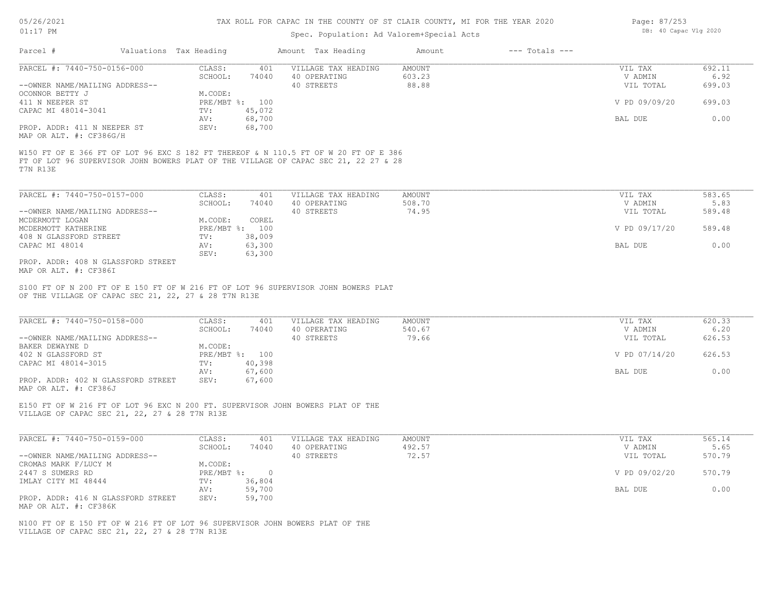| Page: 87/253 |                       |  |
|--------------|-----------------------|--|
|              | DB: 40 Capac Vlg 2020 |  |

|                                                                                                                                                                                        | Valuations Tax Heading  |                  | Amount Tax Heading                                | Amount                           | $---$ Totals $---$ |                                 |                          |
|----------------------------------------------------------------------------------------------------------------------------------------------------------------------------------------|-------------------------|------------------|---------------------------------------------------|----------------------------------|--------------------|---------------------------------|--------------------------|
| PARCEL #: 7440-750-0156-000                                                                                                                                                            | CLASS:                  | 401              | VILLAGE TAX HEADING                               | AMOUNT                           |                    | VIL TAX                         | 692.11                   |
| --OWNER NAME/MAILING ADDRESS--                                                                                                                                                         | SCHOOL:                 | 74040            | 40 OPERATING<br>40 STREETS                        | 603.23<br>88.88                  |                    | V ADMIN<br>VIL TOTAL            | 6.92<br>699.03           |
| OCONNOR BETTY J                                                                                                                                                                        | M.CODE:                 |                  |                                                   |                                  |                    |                                 |                          |
| 411 N NEEPER ST                                                                                                                                                                        | PRE/MBT %: 100          |                  |                                                   |                                  |                    | V PD 09/09/20                   | 699.03                   |
| CAPAC MI 48014-3041                                                                                                                                                                    | TV:                     | 45,072           |                                                   |                                  |                    |                                 |                          |
|                                                                                                                                                                                        | AV:                     | 68,700           |                                                   |                                  |                    | BAL DUE                         | 0.00                     |
| PROP. ADDR: 411 N NEEPER ST<br>MAP OR ALT. #: CF386G/H                                                                                                                                 | SEV:                    | 68,700           |                                                   |                                  |                    |                                 |                          |
| W150 FT OF E 366 FT OF LOT 96 EXC S 182 FT THEREOF & N 110.5 FT OF W 20 FT OF E 386<br>FT OF LOT 96 SUPERVISOR JOHN BOWERS PLAT OF THE VILLAGE OF CAPAC SEC 21, 22 27 & 28<br>T7N R13E |                         |                  |                                                   |                                  |                    |                                 |                          |
| PARCEL #: 7440-750-0157-000                                                                                                                                                            | CLASS:                  | 401              | VILLAGE TAX HEADING                               | AMOUNT                           |                    | VIL TAX                         | 583.65                   |
|                                                                                                                                                                                        | SCHOOL:                 | 74040            | 40 OPERATING                                      | 508.70                           |                    | V ADMIN                         | 5.83                     |
| --OWNER NAME/MAILING ADDRESS--                                                                                                                                                         |                         |                  | 40 STREETS                                        | 74.95                            |                    | VIL TOTAL                       | 589.48                   |
| MCDERMOTT LOGAN                                                                                                                                                                        | M.CODE:                 | COREL            |                                                   |                                  |                    |                                 |                          |
| MCDERMOTT KATHERINE<br>408 N GLASSFORD STREET                                                                                                                                          | PRE/MBT %: 100<br>TV:   | 38,009           |                                                   |                                  |                    | V PD 09/17/20                   | 589.48                   |
| CAPAC MI 48014                                                                                                                                                                         | AV:                     | 63,300           |                                                   |                                  |                    | BAL DUE                         | 0.00                     |
|                                                                                                                                                                                        | SEV:                    | 63,300           |                                                   |                                  |                    |                                 |                          |
| PROP. ADDR: 408 N GLASSFORD STREET<br>MAP OR ALT. #: CF386I                                                                                                                            |                         |                  |                                                   |                                  |                    |                                 |                          |
| PARCEL #: 7440-750-0158-000<br>--OWNER NAME/MAILING ADDRESS--                                                                                                                          | CLASS:<br>SCHOOL:       | 401<br>74040     | VILLAGE TAX HEADING<br>40 OPERATING<br>40 STREETS | <b>AMOUNT</b><br>540.67<br>79.66 |                    | VIL TAX<br>V ADMIN<br>VIL TOTAL | 620.33<br>6.20<br>626.53 |
| BAKER DEWAYNE D                                                                                                                                                                        | M.CODE:                 |                  |                                                   |                                  |                    |                                 |                          |
| 402 N GLASSFORD ST                                                                                                                                                                     | PRE/MBT %: 100          |                  |                                                   |                                  |                    | V PD 07/14/20                   | 626.53                   |
| CAPAC MI 48014-3015                                                                                                                                                                    | TV:<br>AV:              | 40,398<br>67,600 |                                                   |                                  |                    | BAL DUE                         | 0.00                     |
| PROP. ADDR: 402 N GLASSFORD STREET                                                                                                                                                     | SEV:                    | 67,600           |                                                   |                                  |                    |                                 |                          |
|                                                                                                                                                                                        |                         |                  |                                                   |                                  |                    |                                 |                          |
| MAP OR ALT. #: CF386J<br>E150 FT OF W 216 FT OF LOT 96 EXC N 200 FT. SUPERVISOR JOHN BOWERS PLAT OF THE<br>VILLAGE OF CAPAC SEC 21, 22, 27 & 28 T7N R13E                               |                         |                  |                                                   |                                  |                    |                                 |                          |
| PARCEL #: 7440-750-0159-000                                                                                                                                                            | CLASS:                  | 401              | VILLAGE TAX HEADING                               | AMOUNT                           |                    | VIL TAX                         | 565.14                   |
|                                                                                                                                                                                        | SCHOOL:                 | 74040            | 40 OPERATING                                      | 492.57                           |                    | V ADMIN                         | 5.65                     |
|                                                                                                                                                                                        |                         |                  | 40 STREETS                                        | 72.57                            |                    | VIL TOTAL                       | 570.79                   |
|                                                                                                                                                                                        | M.CODE:<br>PRE/MBT %: 0 |                  |                                                   |                                  |                    |                                 |                          |
|                                                                                                                                                                                        | TV:                     | 36,804           |                                                   |                                  |                    | V PD 09/02/20                   | 570.79                   |
|                                                                                                                                                                                        | AV:                     | 59,700           |                                                   |                                  |                    | BAL DUE                         | 0.00                     |
| --OWNER NAME/MAILING ADDRESS--<br>CROMAS MARK F/LUCY M<br>2447 S SUMERS RD                                                                                                             | SEV:                    | 59,700           |                                                   |                                  |                    |                                 |                          |
| IMLAY CITY MI 48444<br>PROP. ADDR: 416 N GLASSFORD STREET<br>MAP OR ALT. #: CF386K<br>N100 FT OF E 150 FT OF W 216 FT OF LOT 96 SUPERVISOR JOHN BOWERS PLAT OF THE                     |                         |                  |                                                   |                                  |                    |                                 |                          |
| VILLAGE OF CAPAC SEC 21, 22, 27 & 28 T7N R13E                                                                                                                                          |                         |                  |                                                   |                                  |                    |                                 |                          |
|                                                                                                                                                                                        |                         |                  |                                                   |                                  |                    |                                 |                          |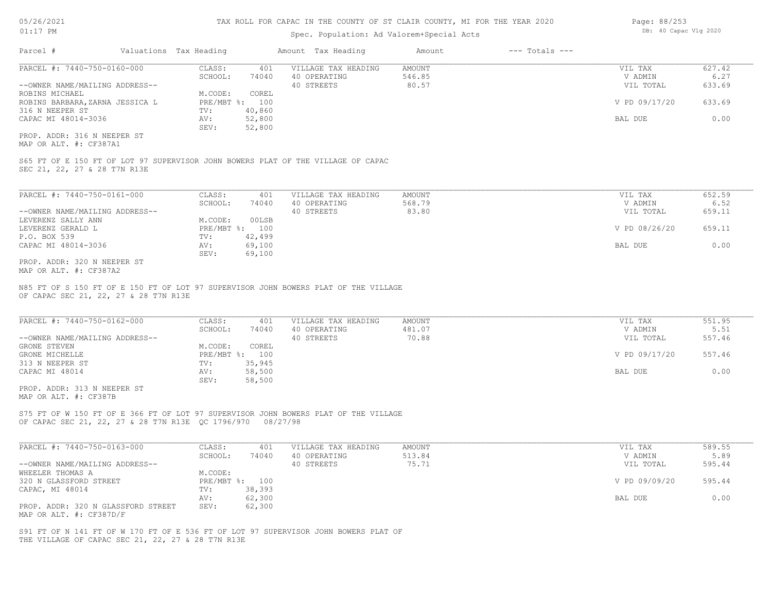### Spec. Population: Ad Valorem+Special Acts

| Parcel #                        | Valuations Tax Heading |        | Amount Tax Heading  | Amount | $---$ Totals $---$ |               |        |
|---------------------------------|------------------------|--------|---------------------|--------|--------------------|---------------|--------|
| PARCEL #: 7440-750-0160-000     | CLASS:                 | 401    | VILLAGE TAX HEADING | AMOUNT |                    | VIL TAX       | 627.42 |
|                                 | SCHOOL:                | 74040  | 40 OPERATING        | 546.85 |                    | V ADMIN       | 6.27   |
| --OWNER NAME/MAILING ADDRESS--  |                        |        | 40 STREETS          | 80.57  |                    | VIL TOTAL     | 633.69 |
| ROBINS MICHAEL                  | M.CODE:                | COREL  |                     |        |                    |               |        |
| ROBINS BARBARA, ZARNA JESSICA L | PRE/MBT %: 100         |        |                     |        |                    | V PD 09/17/20 | 633.69 |
| 316 N NEEPER ST                 | TV:                    | 40,860 |                     |        |                    |               |        |
| CAPAC MI 48014-3036             | AV:                    | 52,800 |                     |        |                    | BAL DUE       | 0.00   |
|                                 | SEV:                   | 52,800 |                     |        |                    |               |        |
| PROP. ADDR: 316 N NEEPER ST     |                        |        |                     |        |                    |               |        |

MAP OR ALT. #: CF387A1

SEC 21, 22, 27 & 28 T7N R13E S65 FT OF E 150 FT OF LOT 97 SUPERVISOR JOHN BOWERS PLAT OF THE VILLAGE OF CAPAC

| PARCEL #: 7440-750-0161-000    | CLASS:  | 401            | VILLAGE TAX HEADING | AMOUNT | VIL TAX       | 652.59 |
|--------------------------------|---------|----------------|---------------------|--------|---------------|--------|
|                                | SCHOOL: | 74040          | 40 OPERATING        | 568.79 | V ADMIN       | 6.52   |
| --OWNER NAME/MAILING ADDRESS-- |         |                | 40 STREETS          | 83.80  | VIL TOTAL     | 659.11 |
| LEVERENZ SALLY ANN             | M.CODE: | 00LSB          |                     |        |               |        |
| LEVERENZ GERALD L              |         | PRE/MBT %: 100 |                     |        | V PD 08/26/20 | 659.11 |
| P.O. BOX 539                   | TV:     | 42,499         |                     |        |               |        |
| CAPAC MI 48014-3036            | AV:     | 69,100         |                     |        | BAL DUE       | 0.00   |
|                                | SEV:    | 69,100         |                     |        |               |        |
| PROP. ADDR: 320 N NEEPER ST    |         |                |                     |        |               |        |

MAP OR ALT. #: CF387A2

OF CAPAC SEC 21, 22, 27 & 28 T7N R13E N85 FT OF S 150 FT OF E 150 FT OF LOT 97 SUPERVISOR JOHN BOWERS PLAT OF THE VILLAGE

| PARCEL #: 7440-750-0162-000    | CLASS:  | 401            | VILLAGE TAX HEADING | AMOUNT | VIL TAX       | 551.95 |
|--------------------------------|---------|----------------|---------------------|--------|---------------|--------|
|                                | SCHOOL: | 74040          | 40 OPERATING        | 481.07 | V ADMIN       | 5.51   |
| --OWNER NAME/MAILING ADDRESS-- |         |                | 40 STREETS          | 70.88  | VIL TOTAL     | 557.46 |
| GRONE STEVEN                   | M.CODE: | COREL          |                     |        |               |        |
| GRONE MICHELLE                 |         | PRE/MBT %: 100 |                     |        | V PD 09/17/20 | 557.46 |
| 313 N NEEPER ST                | TV:     | 35,945         |                     |        |               |        |
| CAPAC MI 48014                 | AV:     | 58,500         |                     |        | BAL DUE       | 0.00   |
|                                | SEV:    | 58,500         |                     |        |               |        |

MAP OR ALT. #: CF387B PROP. ADDR: 313 N NEEPER ST

OF CAPAC SEC 21, 22, 27 & 28 T7N R13E QC 1796/970 08/27/98 S75 FT OF W 150 FT OF E 366 FT OF LOT 97 SUPERVISOR JOHN BOWERS PLAT OF THE VILLAGE

| PARCEL #: 7440-750-0163-000        | CLASS:  | 401            | VILLAGE TAX HEADING | AMOUNT | VIL TAX       | 589.55 |
|------------------------------------|---------|----------------|---------------------|--------|---------------|--------|
|                                    | SCHOOL: | 74040          | 40 OPERATING        | 513.84 | V ADMIN       | 5.89   |
| --OWNER NAME/MAILING ADDRESS--     |         |                | 40 STREETS          | 75.71  | VIL TOTAL     | 595.44 |
| WHEELER THOMAS A                   | M.CODE: |                |                     |        |               |        |
| 320 N GLASSFORD STREET             |         | PRE/MBT %: 100 |                     |        | V PD 09/09/20 | 595.44 |
| CAPAC, MI 48014                    | TV:     | 38,393         |                     |        |               |        |
|                                    | AV:     | 62,300         |                     |        | BAL DUE       | 0.00   |
| PROP. ADDR: 320 N GLASSFORD STREET | SEV:    | 62,300         |                     |        |               |        |
| MAP OR ALT. #: CF387D/F            |         |                |                     |        |               |        |

THE VILLAGE OF CAPAC SEC 21, 22, 27 & 28 T7N R13E S91 FT OF N 141 FT OF W 170 FT OF E 536 FT OF LOT 97 SUPERVISOR JOHN BOWERS PLAT OF Page: 88/253 DB: 40 Capac Vlg 2020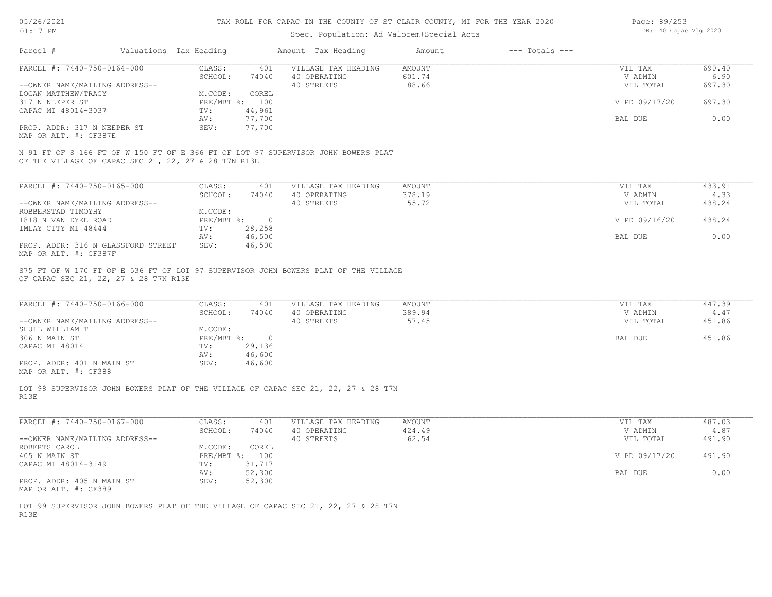| 05/26/2021 |  |
|------------|--|
| 01:17      |  |

| Page: 89/253 |                       |  |
|--------------|-----------------------|--|
|              | DB: 40 Capac Vlg 2020 |  |

| Parcel #<br>Valuations Tax Heading                                                                                                        |                |        | Amount Tax Heading  | Amount        | $---$ Totals $---$ |               |        |
|-------------------------------------------------------------------------------------------------------------------------------------------|----------------|--------|---------------------|---------------|--------------------|---------------|--------|
| PARCEL #: 7440-750-0164-000                                                                                                               | CLASS:         | 401    | VILLAGE TAX HEADING | AMOUNT        |                    | VIL TAX       | 690.40 |
|                                                                                                                                           | SCHOOL:        | 74040  | 40 OPERATING        | 601.74        |                    | V ADMIN       | 6.90   |
| --OWNER NAME/MAILING ADDRESS--                                                                                                            |                |        | 40 STREETS          | 88.66         |                    | VIL TOTAL     | 697.30 |
| LOGAN MATTHEW/TRACY                                                                                                                       | M.CODE:        | COREL  |                     |               |                    |               |        |
| 317 N NEEPER ST                                                                                                                           | PRE/MBT %: 100 |        |                     |               |                    | V PD 09/17/20 | 697.30 |
| CAPAC MI 48014-3037                                                                                                                       | TV:            | 44,961 |                     |               |                    |               |        |
|                                                                                                                                           | AV:            | 77,700 |                     |               |                    | BAL DUE       | 0.00   |
| PROP. ADDR: 317 N NEEPER ST<br>MAP OR ALT. #: CF387E                                                                                      | SEV:           | 77,700 |                     |               |                    |               |        |
| N 91 FT OF S 166 FT OF W 150 FT OF E 366 FT OF LOT 97 SUPERVISOR JOHN BOWERS PLAT<br>OF THE VILLAGE OF CAPAC SEC 21, 22, 27 & 28 T7N R13E |                |        |                     |               |                    |               |        |
| PARCEL #: 7440-750-0165-000                                                                                                               | CLASS:         | 401    | VILLAGE TAX HEADING | <b>AMOUNT</b> |                    | VIL TAX       | 433.91 |
|                                                                                                                                           | SCHOOL:        | 74040  | 40 OPERATING        | 378.19        |                    | V ADMIN       | 4.33   |
| --OWNER NAME/MAILING ADDRESS--                                                                                                            |                |        | 40 STREETS          | 55.72         |                    | VIL TOTAL     | 438.24 |
| ROBBERSTAD TIMOYHY                                                                                                                        | M.CODE:        |        |                     |               |                    |               |        |
| 1818 N VAN DYKE ROAD                                                                                                                      | PRE/MBT %: 0   |        |                     |               |                    | V PD 09/16/20 | 438.24 |
| IMLAY CITY MI 48444                                                                                                                       | TV:            | 28,258 |                     |               |                    |               |        |
|                                                                                                                                           | AV:            | 46,500 |                     |               |                    | BAL DUE       | 0.00   |
| PROP. ADDR: 316 N GLASSFORD STREET                                                                                                        | SEV:           | 46,500 |                     |               |                    |               |        |
| MAP OR ALT. #: CF387F                                                                                                                     |                |        |                     |               |                    |               |        |
| S75 FT OF W 170 FT OF E 536 FT OF LOT 97 SUPERVISOR JOHN BOWERS PLAT OF THE VILLAGE                                                       |                |        |                     |               |                    |               |        |
| OF CAPAC SEC 21, 22, 27 & 28 T7N R13E                                                                                                     |                |        |                     |               |                    |               |        |
| PARCEL #: 7440-750-0166-000                                                                                                               | CLASS:         | 401    | VILLAGE TAX HEADING | AMOUNT        |                    | VIL TAX       | 447.39 |
|                                                                                                                                           | SCHOOL:        | 74040  | 40 OPERATING        | 389.94        |                    | V ADMIN       | 4.47   |
| --OWNER NAME/MAILING ADDRESS--                                                                                                            |                |        | 40 STREETS          | 57.45         |                    | VIL TOTAL     | 451.86 |
| SHULL WILLIAM T                                                                                                                           | M.CODE:        |        |                     |               |                    |               |        |
| 306 N MAIN ST                                                                                                                             | PRE/MBT %: 0   |        |                     |               |                    | BAL DUE       | 451.86 |
| CAPAC MI 48014                                                                                                                            | TV:            | 29,136 |                     |               |                    |               |        |
|                                                                                                                                           | AV:            | 46,600 |                     |               |                    |               |        |
| PROP. ADDR: 401 N MAIN ST<br>MAP OR ALT. #: CF388                                                                                         | SEV:           | 46,600 |                     |               |                    |               |        |
| LOT 98 SUPERVISOR JOHN BOWERS PLAT OF THE VILLAGE OF CAPAC SEC 21, 22, 27 & 28 T7N<br>R13E                                                |                |        |                     |               |                    |               |        |
| PARCEL #: 7440-750-0167-000                                                                                                               | CLASS:         | 401    | VILLAGE TAX HEADING | <b>AMOUNT</b> |                    | VIL TAX       | 487.03 |
|                                                                                                                                           | SCHOOL:        | 74040  | 40 OPERATING        | 424.49        |                    | V ADMIN       | 4.87   |
| --OWNER NAME/MAILING ADDRESS--                                                                                                            |                |        | 40 STREETS          | 62.54         |                    | VIL TOTAL     | 491.90 |
| ROBERTS CAROL                                                                                                                             | M.CODE:        | COREL  |                     |               |                    |               |        |
| 405 N MAIN ST                                                                                                                             | PRE/MBT %: 100 |        |                     |               |                    | V PD 09/17/20 | 491.90 |
| CAPAC MI 48014-3149                                                                                                                       | TV:            | 31,717 |                     |               |                    |               |        |
|                                                                                                                                           | AV:            | 52,300 |                     |               |                    | BAL DUE       | 0.00   |
| PROP. ADDR: 405 N MAIN ST<br>MAP OR ALT. #: CF389                                                                                         | SEV:           | 52,300 |                     |               |                    |               |        |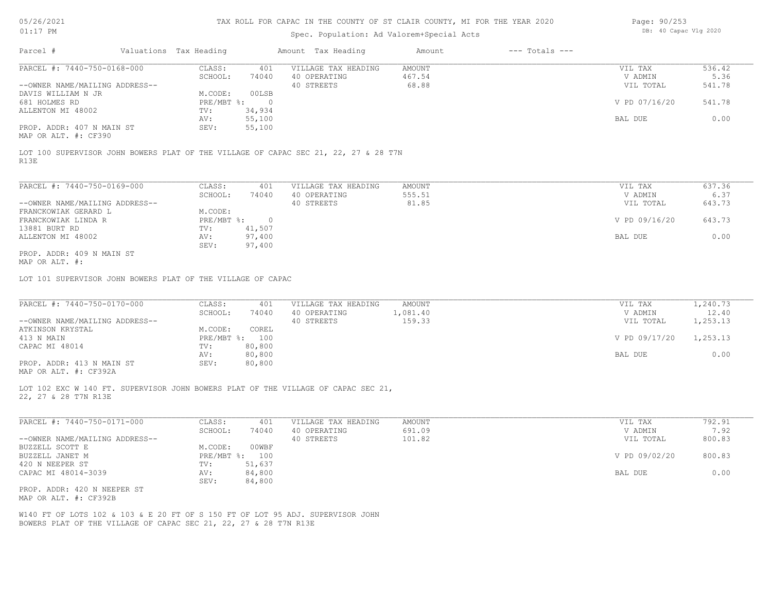| 05/26/2021 |  |
|------------|--|
| 01:17      |  |

# Spec. Population: Ad Valorem+Special Acts

Page: 90/253 DB: 40 Capac Vlg 2020

| Parcel #                                                                                                                                           | Valuations Tax Heading                      | Amount Tax Heading         | Amount          | $---$ Totals $---$ |                      |                |
|----------------------------------------------------------------------------------------------------------------------------------------------------|---------------------------------------------|----------------------------|-----------------|--------------------|----------------------|----------------|
| PARCEL #: 7440-750-0168-000                                                                                                                        | CLASS:<br>401                               | VILLAGE TAX HEADING        | AMOUNT          |                    | VIL TAX              | 536.42         |
| --OWNER NAME/MAILING ADDRESS--                                                                                                                     | SCHOOL:<br>74040                            | 40 OPERATING<br>40 STREETS | 467.54<br>68.88 |                    | V ADMIN<br>VIL TOTAL | 5.36<br>541.78 |
| DAVIS WILLIAM N JR                                                                                                                                 | M.CODE:<br>00LSB                            |                            |                 |                    |                      |                |
| 681 HOLMES RD                                                                                                                                      | $PRE/MBT$ $\frac{1}{6}$ :<br>$\overline{0}$ |                            |                 |                    | V PD 07/16/20        | 541.78         |
| ALLENTON MI 48002                                                                                                                                  | 34,934<br>TV:                               |                            |                 |                    |                      |                |
|                                                                                                                                                    | 55,100<br>AV:                               |                            |                 |                    | BAL DUE              | 0.00           |
| PROP. ADDR: 407 N MAIN ST<br>MAP OR ALT. #: CF390                                                                                                  | 55,100<br>SEV:                              |                            |                 |                    |                      |                |
| LOT 100 SUPERVISOR JOHN BOWERS PLAT OF THE VILLAGE OF CAPAC SEC 21, 22, 27 & 28 T7N<br>R13E                                                        |                                             |                            |                 |                    |                      |                |
|                                                                                                                                                    |                                             |                            |                 |                    |                      |                |
| PARCEL #: 7440-750-0169-000                                                                                                                        | CLASS:<br>401                               | VILLAGE TAX HEADING        | AMOUNT          |                    | VIL TAX              | 637.36         |
|                                                                                                                                                    | SCHOOL:<br>74040                            | 40 OPERATING               | 555.51          |                    | V ADMIN              | 6.37           |
| --OWNER NAME/MAILING ADDRESS--                                                                                                                     |                                             | 40 STREETS                 | 81.85           |                    | VIL TOTAL            | 643.73         |
| FRANCKOWIAK GERARD L                                                                                                                               | M.CODE:                                     |                            |                 |                    |                      |                |
| FRANCKOWIAK LINDA R<br>13881 BURT RD                                                                                                               | $PRE/MBT$ $\div$ 0<br>TV:<br>41,507         |                            |                 |                    | V PD 09/16/20        | 643.73         |
| ALLENTON MI 48002                                                                                                                                  | 97,400<br>AV:                               |                            |                 |                    | BAL DUE              | 0.00           |
|                                                                                                                                                    | 97,400<br>SEV:                              |                            |                 |                    |                      |                |
| PROP. ADDR: 409 N MAIN ST<br>MAP OR ALT. #:                                                                                                        |                                             |                            |                 |                    |                      |                |
| LOT 101 SUPERVISOR JOHN BOWERS PLAT OF THE VILLAGE OF CAPAC                                                                                        |                                             |                            |                 |                    |                      |                |
|                                                                                                                                                    |                                             |                            |                 |                    |                      |                |
| PARCEL #: 7440-750-0170-000                                                                                                                        | CLASS:<br>401                               | VILLAGE TAX HEADING        | AMOUNT          |                    | VIL TAX              | 1,240.73       |
|                                                                                                                                                    | SCHOOL:<br>74040                            | 40 OPERATING               | 1,081.40        |                    | V ADMIN              | 12.40          |
| --OWNER NAME/MAILING ADDRESS--                                                                                                                     |                                             | 40 STREETS                 | 159.33          |                    | VIL TOTAL            | 1,253.13       |
| ATKINSON KRYSTAL                                                                                                                                   | M.CODE:<br>COREL                            |                            |                 |                    |                      |                |
| 413 N MAIN<br>CAPAC MI 48014                                                                                                                       | PRE/MBT %: 100<br>80,800<br>TV:             |                            |                 |                    | V PD 09/17/20        | 1,253.13       |
|                                                                                                                                                    | 80,800<br>AV:                               |                            |                 |                    | BAL DUE              | 0.00           |
| PROP. ADDR: 413 N MAIN ST                                                                                                                          | SEV:<br>80,800                              |                            |                 |                    |                      |                |
| MAP OR ALT. #: CF392A                                                                                                                              |                                             |                            |                 |                    |                      |                |
| LOT 102 EXC W 140 FT. SUPERVISOR JOHN BOWERS PLAT OF THE VILLAGE OF CAPAC SEC 21,                                                                  |                                             |                            |                 |                    |                      |                |
| 22, 27 & 28 T7N R13E                                                                                                                               |                                             |                            |                 |                    |                      |                |
| PARCEL #: 7440-750-0171-000                                                                                                                        | CLASS:<br>401                               | VILLAGE TAX HEADING        | AMOUNT          |                    | VIL TAX              | 792.91         |
|                                                                                                                                                    | SCHOOL:<br>74040                            | 40 OPERATING               | 691.09          |                    | V ADMIN              | 7.92           |
| --OWNER NAME/MAILING ADDRESS--<br>BUZZELL SCOTT E                                                                                                  | M.CODE:                                     | 40 STREETS                 | 101.82          |                    | VIL TOTAL            | 800.83         |
| BUZZELL JANET M                                                                                                                                    | 00WBF<br>PRE/MBT %: 100                     |                            |                 |                    | V PD 09/02/20        | 800.83         |
| 420 N NEEPER ST                                                                                                                                    | TV:<br>51,637                               |                            |                 |                    |                      |                |
| CAPAC MI 48014-3039                                                                                                                                | 84,800<br>AV:                               |                            |                 |                    | BAL DUE              | 0.00           |
|                                                                                                                                                    | SEV:<br>84,800                              |                            |                 |                    |                      |                |
| PROP. ADDR: 420 N NEEPER ST<br>MAP OR ALT. #: CF392B                                                                                               |                                             |                            |                 |                    |                      |                |
|                                                                                                                                                    |                                             |                            |                 |                    |                      |                |
| W140 FT OF LOTS 102 & 103 & E 20 FT OF S 150 FT OF LOT 95 ADJ. SUPERVISOR JOHN<br>BOWERS PLAT OF THE VILLAGE OF CAPAC SEC 21, 22, 27 & 28 T7N R13E |                                             |                            |                 |                    |                      |                |
|                                                                                                                                                    |                                             |                            |                 |                    |                      |                |
|                                                                                                                                                    |                                             |                            |                 |                    |                      |                |
|                                                                                                                                                    |                                             |                            |                 |                    |                      |                |
|                                                                                                                                                    |                                             |                            |                 |                    |                      |                |
|                                                                                                                                                    |                                             |                            |                 |                    |                      |                |
|                                                                                                                                                    |                                             |                            |                 |                    |                      |                |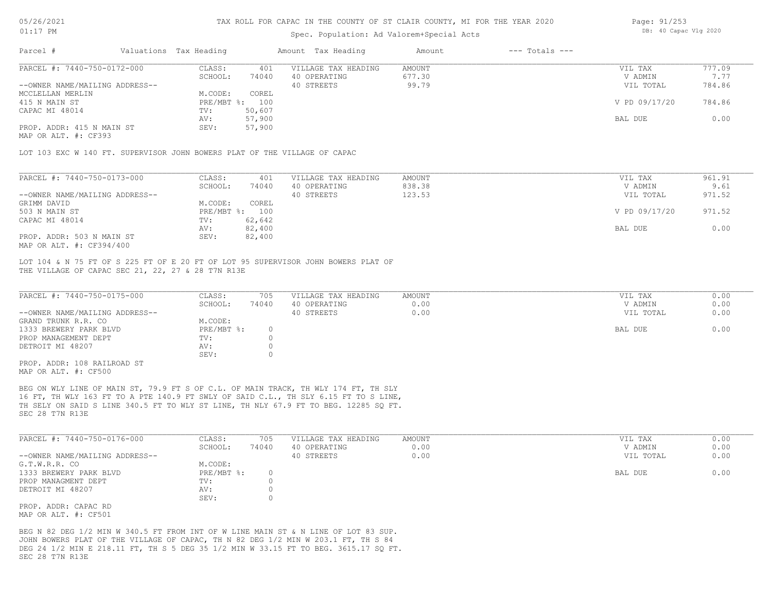### Spec. Population: Ad Valorem+Special Acts

| Page: 91/253 |                       |  |
|--------------|-----------------------|--|
|              | DB: 40 Capac Vlg 2020 |  |

| Parcel #                       | Valuations Tax Heading |        | Amount Tax Heading  | Amount | $---$ Totals $---$ |               |        |
|--------------------------------|------------------------|--------|---------------------|--------|--------------------|---------------|--------|
| PARCEL #: 7440-750-0172-000    | CLASS:                 | 401    | VILLAGE TAX HEADING | AMOUNT |                    | VIL TAX       | 777.09 |
|                                | SCHOOL:                | 74040  | 40 OPERATING        | 677.30 |                    | V ADMIN       | 7.77   |
| --OWNER NAME/MAILING ADDRESS-- |                        |        | 40 STREETS          | 99.79  |                    | VIL TOTAL     | 784.86 |
| MCCLELLAN MERLIN               | M.CODE:                | COREL  |                     |        |                    |               |        |
| 415 N MAIN ST                  | PRE/MBT %: 100         |        |                     |        |                    | V PD 09/17/20 | 784.86 |
| CAPAC MI 48014                 | TV:                    | 50,607 |                     |        |                    |               |        |
|                                | AV:                    | 57,900 |                     |        |                    | BAL DUE       | 0.00   |
| PROP. ADDR: 415 N MAIN ST      | SEV:                   | 57,900 |                     |        |                    |               |        |
|                                |                        |        |                     |        |                    |               |        |

MAP OR ALT. #: CF393

LOT 103 EXC W 140 FT. SUPERVISOR JOHN BOWERS PLAT OF THE VILLAGE OF CAPAC

| PARCEL #: 7440-750-0173-000    | CLASS:     | 401    | VILLAGE TAX HEADING | AMOUNT | VIL TAX       | 961.91 |
|--------------------------------|------------|--------|---------------------|--------|---------------|--------|
|                                | SCHOOL:    | 74040  | 40 OPERATING        | 838.38 | V ADMIN       | 9.61   |
| --OWNER NAME/MAILING ADDRESS-- |            |        | 40 STREETS          | 123.53 | VIL TOTAL     | 971.52 |
| GRIMM DAVID                    | M.CODE:    | COREL  |                     |        |               |        |
| 503 N MAIN ST                  | PRE/MBT %: | 100    |                     |        | V PD 09/17/20 | 971.52 |
| CAPAC MI 48014                 | TV:        | 62,642 |                     |        |               |        |
|                                | AV:        | 82,400 |                     |        | BAL DUE       | 0.00   |
| PROP. ADDR: 503 N MAIN ST      | SEV:       | 82,400 |                     |        |               |        |
| MAP OR ALT. #: CF394/400       |            |        |                     |        |               |        |

THE VILLAGE OF CAPAC SEC 21, 22, 27 & 28 T7N R13E LOT 104 & N 75 FT OF S 225 FT OF E 20 FT OF LOT 95 SUPERVISOR JOHN BOWERS PLAT OF

| PARCEL #: 7440-750-0175-000    | CLASS:     | 705   | VILLAGE TAX HEADING | AMOUNT | VIL TAX   | 0.00 |
|--------------------------------|------------|-------|---------------------|--------|-----------|------|
|                                | SCHOOL:    | 74040 | 40 OPERATING        | 0.00   | V ADMIN   | 0.00 |
| --OWNER NAME/MAILING ADDRESS-- |            |       | 40 STREETS          | 0.00   | VIL TOTAL | 0.00 |
| GRAND TRUNK R.R. CO            | M.CODE:    |       |                     |        |           |      |
| 1333 BREWERY PARK BLVD         | PRE/MBT %: |       |                     |        | BAL DUE   | 0.00 |
| PROP MANAGEMENT DEPT           | TV:        |       |                     |        |           |      |
| DETROIT MI 48207               | AV:        |       |                     |        |           |      |
|                                | SEV:       |       |                     |        |           |      |
| PROP. ADDR: 108 RAILROAD ST    |            |       |                     |        |           |      |

MAP OR ALT. #: CF500

SEC 28 T7N R13E TH SELY ON SAID S LINE 340.5 FT TO WLY ST LINE, TH NLY 67.9 FT TO BEG. 12285 SQ FT. 16 FT, TH WLY 163 FT TO A PTE 140.9 FT SWLY OF SAID C.L., TH SLY 6.15 FT TO S LINE, BEG ON WLY LINE OF MAIN ST, 79.9 FT S OF C.L. OF MAIN TRACK, TH WLY 174 FT, TH SLY

| PARCEL #: 7440-750-0176-000    | CLASS:       | 705   | VILLAGE TAX HEADING | AMOUNT | VIL TAX   | 0.00 |
|--------------------------------|--------------|-------|---------------------|--------|-----------|------|
|                                | SCHOOL:      | 74040 | 40 OPERATING        | 0.00   | V ADMIN   | 0.00 |
| --OWNER NAME/MAILING ADDRESS-- |              |       | 40 STREETS          | 0.00   | VIL TOTAL | 0.00 |
| G.T.W.R.R. CO                  | M.CODE:      |       |                     |        |           |      |
| 1333 BREWERY PARK BLVD         | $PRE/MBT$ %: |       |                     |        | BAL DUE   | 0.00 |
| PROP MANAGMENT DEPT            | TV:          |       |                     |        |           |      |
| DETROIT MI 48207               | AV:          |       |                     |        |           |      |
|                                | SEV:         |       |                     |        |           |      |
| PROP. ADDR: CAPAC RD           |              |       |                     |        |           |      |

MAP OR ALT. #: CF501

SEC 28 T7N R13E DEG 24 1/2 MIN E 218.11 FT, TH S 5 DEG 35 1/2 MIN W 33.15 FT TO BEG. 3615.17 SQ FT. JOHN BOWERS PLAT OF THE VILLAGE OF CAPAC, TH N 82 DEG 1/2 MIN W 203.1 FT, TH S 84 BEG N 82 DEG 1/2 MIN W 340.5 FT FROM INT OF W LINE MAIN ST & N LINE OF LOT 83 SUP.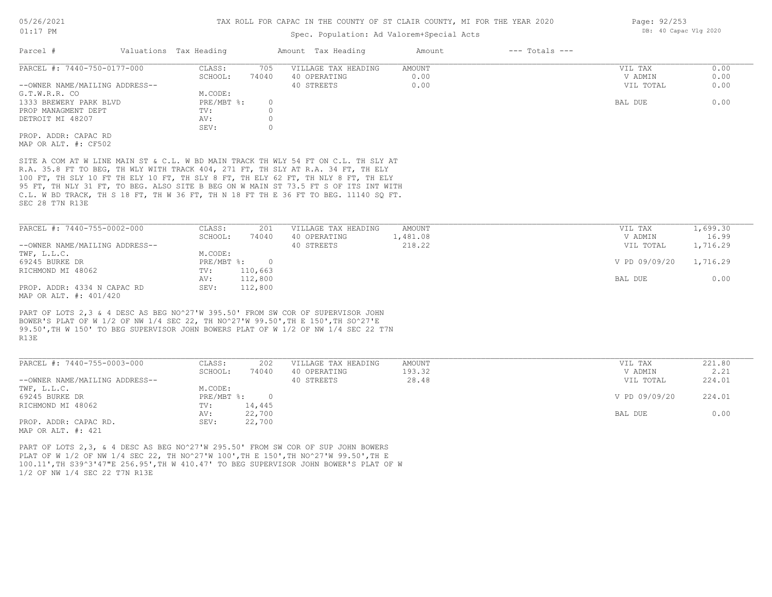### Spec. Population: Ad Valorem+Special Acts

| Parcel #                       | Valuations Tax Heading |       | Amount Tax Heading  | Amount | $---$ Totals $---$ |           |      |
|--------------------------------|------------------------|-------|---------------------|--------|--------------------|-----------|------|
| PARCEL #: 7440-750-0177-000    | CLASS:                 | 705   | VILLAGE TAX HEADING | AMOUNT |                    | VIL TAX   | 0.00 |
|                                | SCHOOL:                | 74040 | 40 OPERATING        | 0.00   |                    | V ADMIN   | 0.00 |
| --OWNER NAME/MAILING ADDRESS-- |                        |       | 40 STREETS          | 0.00   |                    | VIL TOTAL | 0.00 |
| G.T.W.R.R. CO                  | M.CODE:                |       |                     |        |                    |           |      |
| 1333 BREWERY PARK BLVD         | PRE/MBT %:             |       |                     |        |                    | BAL DUE   | 0.00 |
| PROP MANAGMENT DEPT            | TV:                    |       |                     |        |                    |           |      |
| DETROIT MI 48207               | AV:                    |       |                     |        |                    |           |      |
|                                | SEV:                   |       |                     |        |                    |           |      |
| PROP. ADDR: CAPAC RD           |                        |       |                     |        |                    |           |      |
| MAP OR ALT. #: CF502           |                        |       |                     |        |                    |           |      |
|                                |                        |       |                     |        |                    |           |      |

SEC 28 T7N R13E C.L. W BD TRACK, TH S 18 FT, TH W 36 FT, TH N 18 FT TH E 36 FT TO BEG. 11140 SQ FT. 95 FT, TH NLY 31 FT, TO BEG. ALSO SITE B BEG ON W MAIN ST 73.5 FT S OF ITS INT WITH 100 FT, TH SLY 10 FT TH ELY 10 FT, TH SLY 8 FT, TH ELY 62 FT, TH NLY 8 FT, TH ELY R.A. 35.8 FT TO BEG, TH WLY WITH TRACK 404, 271 FT, TH SLY AT R.A. 34 FT, TH ELY SITE A COM AT W LINE MAIN ST & C.L. W BD MAIN TRACK TH WLY 54 FT ON C.L. TH SLY AT

| PARCEL #: 7440-755-0002-000    | CLASS:       | 201     | VILLAGE TAX HEADING | AMOUNT   | VIL TAX       | 1,699.30 |
|--------------------------------|--------------|---------|---------------------|----------|---------------|----------|
|                                | SCHOOL:      | 74040   | 40 OPERATING        | 1,481.08 | V ADMIN       | 16.99    |
| --OWNER NAME/MAILING ADDRESS-- |              |         | 40 STREETS          | 218.22   | VIL TOTAL     | 1,716.29 |
| TWF, L.L.C.                    | M.CODE:      |         |                     |          |               |          |
| 69245 BURKE DR                 | $PRE/MBT$ %: |         |                     |          | V PD 09/09/20 | 1,716.29 |
| RICHMOND MI 48062              | TV:          | 110,663 |                     |          |               |          |
|                                | AV:          | 112,800 |                     |          | BAL DUE       | 0.00     |
| PROP. ADDR: 4334 N CAPAC RD    | SEV:         | 112,800 |                     |          |               |          |
| MAP OR ALT. #: 401/420         |              |         |                     |          |               |          |

R13E 99.50',TH W 150' TO BEG SUPERVISOR JOHN BOWERS PLAT OF W 1/2 OF NW 1/4 SEC 22 T7N BOWER'S PLAT OF W 1/2 OF NW 1/4 SEC 22, TH NO^27'W 99.50',TH E 150',TH SO^27'E PART OF LOTS 2,3 & 4 DESC AS BEG NO^27'W 395.50' FROM SW COR OF SUPERVISOR JOHN

| PARCEL #: 7440-755-0003-000    | CLASS:     | 202    | VILLAGE TAX HEADING | AMOUNT | VIL TAX       | 221.80 |
|--------------------------------|------------|--------|---------------------|--------|---------------|--------|
|                                | SCHOOL:    | 74040  | 40 OPERATING        | 193.32 | V ADMIN       | 2.21   |
| --OWNER NAME/MAILING ADDRESS-- |            |        | 40 STREETS          | 28.48  | VIL TOTAL     | 224.01 |
| TWF, L.L.C.                    | M.CODE:    |        |                     |        |               |        |
| 69245 BURKE DR                 | PRE/MBT %: | $\cap$ |                     |        | V PD 09/09/20 | 224.01 |
| RICHMOND MI 48062              | TV:        | 14,445 |                     |        |               |        |
|                                | AV:        | 22,700 |                     |        | BAL DUE       | 0.00   |
| PROP. ADDR: CAPAC RD.          | SEV:       | 22,700 |                     |        |               |        |
| MAP OR ALT. #: 421             |            |        |                     |        |               |        |

PART OF LOTS 2,3, & 4 DESC AS BEG NO^27'W 295.50' FROM SW COR OF SUP JOHN BOWERS

1/2 OF NW 1/4 SEC 22 T7N R13E 100.11',TH S39^3'47"E 256.95',TH W 410.47' TO BEG SUPERVISOR JOHN BOWER'S PLAT OF W PLAT OF W 1/2 OF NW 1/4 SEC 22, TH NO^27'W 100',TH E 150',TH NO^27'W 99.50',TH E

Page: 92/253 DB: 40 Capac Vlg 2020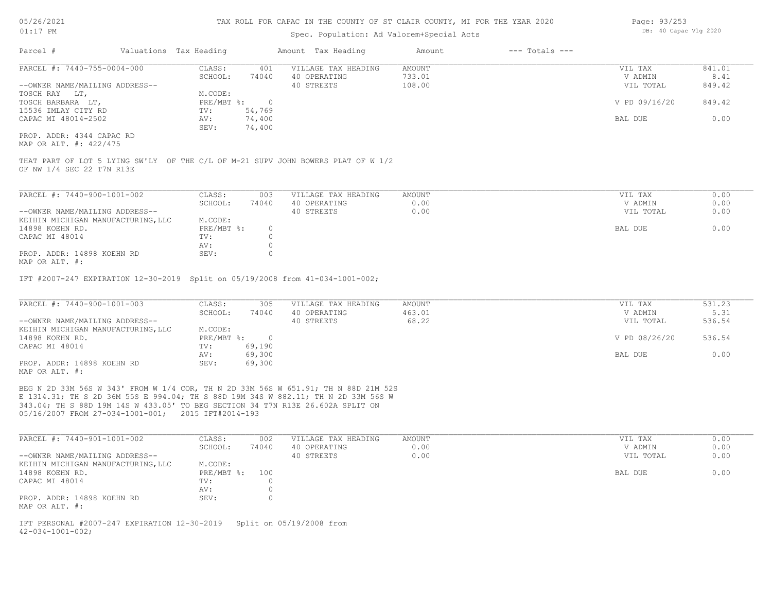### Spec. Population: Ad Valorem+Special Acts

| Page: 93/253 |                       |  |
|--------------|-----------------------|--|
|              | DB: 40 Capac Vlg 2020 |  |

| Parcel #                                                                                                      | Valuations Tax Heading |             |                  | Amount Tax Heading  | Amount        | $---$ Totals $---$ |               |        |
|---------------------------------------------------------------------------------------------------------------|------------------------|-------------|------------------|---------------------|---------------|--------------------|---------------|--------|
| PARCEL #: 7440-755-0004-000                                                                                   |                        | CLASS:      | 401              | VILLAGE TAX HEADING | <b>AMOUNT</b> |                    | VIL TAX       | 841.01 |
|                                                                                                               |                        | SCHOOL:     | 74040            | 40 OPERATING        | 733.01        |                    | V ADMIN       | 8.41   |
| --OWNER NAME/MAILING ADDRESS--                                                                                |                        |             |                  | 40 STREETS          | 108.00        |                    | VIL TOTAL     | 849.42 |
| TOSCH RAY LT,                                                                                                 |                        | M.CODE:     |                  |                     |               |                    |               |        |
| TOSCH BARBARA LT,                                                                                             |                        | PRE/MBT %:  | $\overline{0}$   |                     |               |                    | V PD 09/16/20 | 849.42 |
| 15536 IMLAY CITY RD                                                                                           |                        | TV:         | 54,769           |                     |               |                    |               |        |
| CAPAC MI 48014-2502                                                                                           |                        | AV:<br>SEV: | 74,400<br>74,400 |                     |               |                    | BAL DUE       | 0.00   |
| PROP. ADDR: 4344 CAPAC RD<br>MAP OR ALT. #: 422/475                                                           |                        |             |                  |                     |               |                    |               |        |
| THAT PART OF LOT 5 LYING SW'LY OF THE C/L OF M-21 SUPV JOHN BOWERS PLAT OF W 1/2<br>OF NW 1/4 SEC 22 T7N R13E |                        |             |                  |                     |               |                    |               |        |
| PARCEL #: 7440-900-1001-002                                                                                   |                        | CLASS:      | 003              | VILLAGE TAX HEADING | <b>AMOUNT</b> |                    | VIL TAX       | 0.00   |
|                                                                                                               |                        | SCHOOL:     | 74040            | 40 OPERATING        | 0.00          |                    | V ADMIN       | 0.00   |
| --OWNER NAME/MAILING ADDRESS--                                                                                |                        |             |                  | 40 STREETS          | 0.00          |                    | VIL TOTAL     | 0.00   |
| KEIHIN MICHIGAN MANUFACTURING, LLC                                                                            |                        | M.CODE:     |                  |                     |               |                    |               |        |
| 14898 KOEHN RD.                                                                                               |                        | PRE/MBT %:  | $\circ$          |                     |               |                    | BAL DUE       | 0.00   |
| CAPAC MI 48014                                                                                                |                        | TV:         | $\Omega$         |                     |               |                    |               |        |
|                                                                                                               |                        | AV:         | $\Omega$         |                     |               |                    |               |        |
| PROP. ADDR: 14898 KOEHN RD<br>MAP OR ALT. #:                                                                  |                        | SEV:        | $\Omega$         |                     |               |                    |               |        |
| IFT #2007-247 EXPIRATION 12-30-2019 Split on 05/19/2008 from 41-034-1001-002;                                 |                        |             |                  |                     |               |                    |               |        |
| PARCEL #: 7440-900-1001-003                                                                                   |                        | CLASS:      | 305              | VILLAGE TAX HEADING | <b>AMOUNT</b> |                    | VIL TAX       | 531.23 |
|                                                                                                               |                        | SCHOOL:     | 74040            | 40 OPERATING        | 463.01        |                    | V ADMIN       | 5.31   |

| --OWNER NAME/MAILING ADDRESS--     |              |        | 40 STREETS | 68.22 | VIL TOTAL     | 536.54 |
|------------------------------------|--------------|--------|------------|-------|---------------|--------|
| KEIHIN MICHIGAN MANUFACTURING, LLC | M.CODE:      |        |            |       |               |        |
| 14898 KOEHN RD.                    | $PRE/MBT$ %: | $\cap$ |            |       | V PD 08/26/20 | 536.54 |
| CAPAC MI 48014                     | TV:          | 69,190 |            |       |               |        |
|                                    | AV:          | 69,300 |            |       | BAL DUE       | 0.00   |
| PROP. ADDR: 14898 KOEHN RD         | SEV:         | 69,300 |            |       |               |        |
| MAP OR ALT. #:                     |              |        |            |       |               |        |

05/16/2007 FROM 27-034-1001-001; 2015 IFT#2014-193 343.04; TH S 88D 19M 14S W 433.05' TO BEG SECTION 34 T7N R13E 26.602A SPLIT ON E 1314.31; TH S 2D 36M 55S E 994.04; TH S 88D 19M 34S W 882.11; TH N 2D 33M 56S W BEG N 2D 33M 56S W 343' FROM W 1/4 COR, TH N 2D 33M 56S W 651.91; TH N 88D 21M 52S

| PARCEL #: 7440-901-1001-002        | CLASS:     | 002   | VILLAGE TAX HEADING | AMOUNT | VIL TAX   | 0.00 |
|------------------------------------|------------|-------|---------------------|--------|-----------|------|
|                                    | SCHOOL:    | 74040 | 40 OPERATING        | 0.00   | V ADMIN   | 0.00 |
| --OWNER NAME/MAILING ADDRESS--     |            |       | 40 STREETS          | 0.00   | VIL TOTAL | 0.00 |
| KEIHIN MICHIGAN MANUFACTURING, LLC | M.CODE:    |       |                     |        |           |      |
| 14898 KOEHN RD.                    | PRE/MBT %: | 100   |                     |        | BAL DUE   | 0.00 |
| CAPAC MI 48014                     | TV:        |       |                     |        |           |      |
|                                    | AV:        |       |                     |        |           |      |
| PROP. ADDR: 14898 KOEHN RD         | SEV:       |       |                     |        |           |      |
| MAP OR ALT. #:                     |            |       |                     |        |           |      |

 $42 - 034 - 1001 - 002$ ; IFT PERSONAL #2007-247 EXPIRATION 12-30-2019 Split on 05/19/2008 from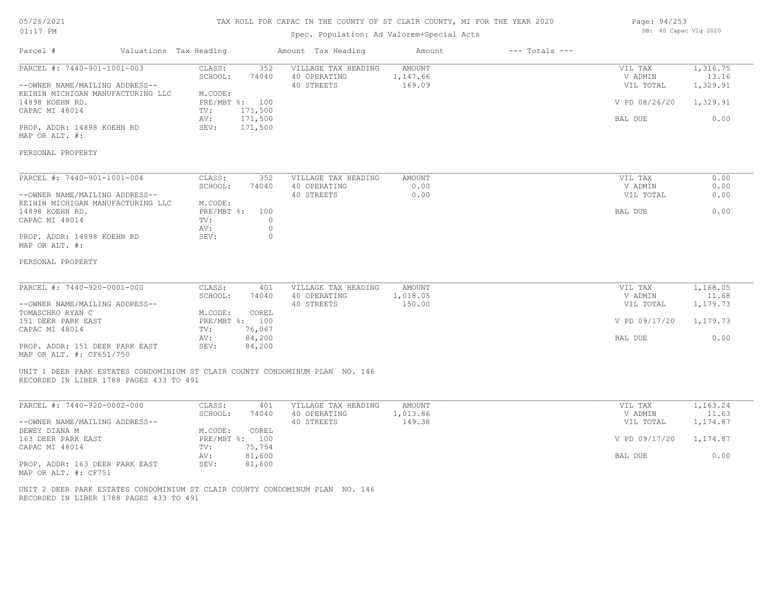# 05/26/2021 01:17 PM

### TAX ROLL FOR CAPAC IN THE COUNTY OF ST CLAIR COUNTY, MI FOR THE YEAR 2020

# Spec. Population: Ad Valorem+Special Acts

Parcel # Valuations Tax Heading Amount Tax Heading Amount --- Totals ---

| Page: 94/253 |                       |  |
|--------------|-----------------------|--|
|              | DB: 40 Capac Vlg 2020 |  |

| 1,316.75<br>CLASS:<br>352<br>VILLAGE TAX HEADING<br><b>AMOUNT</b><br>VIL TAX<br>13.16<br>SCHOOL:<br>74040<br>40 OPERATING<br>1,147.66<br>V ADMIN<br>--OWNER NAME/MAILING ADDRESS--<br>40 STREETS<br>169.09<br>VIL TOTAL<br>1,329.91<br>M.CODE:<br>PRE/MBT %: 100<br>V PD 08/26/20<br>1,329.91<br>CAPAC MI 48014<br>171,500<br>TV:<br>171,500<br>0.00<br>AV:<br>BAL DUE<br>SEV:<br>171,500<br>0.00<br>CLASS:<br>352<br>VILLAGE TAX HEADING<br>AMOUNT<br>VIL TAX<br>0.00<br>SCHOOL:<br>0.00<br>74040<br>40 OPERATING<br>V ADMIN<br>--OWNER NAME/MAILING ADDRESS--<br>40 STREETS<br>0.00<br>0.00<br>VIL TOTAL<br>KEIHIN MICHIGAN MANUFACTURING LLC<br>M.CODE:<br>PRE/MBT %:<br>0.00<br>100<br>BAL DUE<br>$\circ$<br>TV:<br>$\mathbf 0$<br>AV:<br>$\circ$<br>PROP. ADDR: 14898 KOEHN RD<br>SEV:<br>PARCEL #: 7440-920-0001-000<br>CLASS:<br>1,168.05<br>401<br>VILLAGE TAX HEADING<br>AMOUNT<br>VIL TAX<br>SCHOOL:<br>74040<br>40 OPERATING<br>1,018.05<br>V ADMIN<br>11.68<br>40 STREETS<br>150.00<br>1,179.73<br>VIL TOTAL<br>M.CODE:<br>COREL<br>PRE/MBT %: 100<br>V PD 09/17/20<br>1,179.73<br>76,067<br>TV:<br>84,200<br>0.00<br>AV:<br>BAL DUE<br>84,200<br>SEV:<br>UNIT 1 DEER PARK ESTATES CONDOMINIUM ST CLAIR COUNTY CONDOMINUM PLAN NO. 146<br>RECORDED IN LIBER 1788 PAGES 433 TO 491<br>CLASS:<br>VILLAGE TAX HEADING<br>1,163.24<br>401<br><b>AMOUNT</b><br>VIL TAX<br>SCHOOL:<br>74040<br>40 OPERATING<br>1,013.86<br>V ADMIN<br>11.63<br>149.38<br>1,174.87<br>40 STREETS<br>VIL TOTAL<br>DEWEY DIANA M<br>M.CODE:<br>COREL<br>163 DEER PARK EAST<br>PRE/MBT %: 100<br>V PD 09/17/20<br>1,174.87<br>75,754<br>CAPAC MI 48014<br>TV:<br>0.00<br>AV:<br>81,600<br>BAL DUE<br>SEV:<br>81,600 |                                                            |  |  |  |
|-------------------------------------------------------------------------------------------------------------------------------------------------------------------------------------------------------------------------------------------------------------------------------------------------------------------------------------------------------------------------------------------------------------------------------------------------------------------------------------------------------------------------------------------------------------------------------------------------------------------------------------------------------------------------------------------------------------------------------------------------------------------------------------------------------------------------------------------------------------------------------------------------------------------------------------------------------------------------------------------------------------------------------------------------------------------------------------------------------------------------------------------------------------------------------------------------------------------------------------------------------------------------------------------------------------------------------------------------------------------------------------------------------------------------------------------------------------------------------------------------------------------------------------------------------------------------------------------------------------------------------------------------------------------------------------------------------|------------------------------------------------------------|--|--|--|
|                                                                                                                                                                                                                                                                                                                                                                                                                                                                                                                                                                                                                                                                                                                                                                                                                                                                                                                                                                                                                                                                                                                                                                                                                                                                                                                                                                                                                                                                                                                                                                                                                                                                                                       | PARCEL #: 7440-901-1001-003                                |  |  |  |
|                                                                                                                                                                                                                                                                                                                                                                                                                                                                                                                                                                                                                                                                                                                                                                                                                                                                                                                                                                                                                                                                                                                                                                                                                                                                                                                                                                                                                                                                                                                                                                                                                                                                                                       | KEIHIN MICHIGAN MANUFACTURING LLC                          |  |  |  |
|                                                                                                                                                                                                                                                                                                                                                                                                                                                                                                                                                                                                                                                                                                                                                                                                                                                                                                                                                                                                                                                                                                                                                                                                                                                                                                                                                                                                                                                                                                                                                                                                                                                                                                       | 14898 KOEHN RD.                                            |  |  |  |
|                                                                                                                                                                                                                                                                                                                                                                                                                                                                                                                                                                                                                                                                                                                                                                                                                                                                                                                                                                                                                                                                                                                                                                                                                                                                                                                                                                                                                                                                                                                                                                                                                                                                                                       |                                                            |  |  |  |
|                                                                                                                                                                                                                                                                                                                                                                                                                                                                                                                                                                                                                                                                                                                                                                                                                                                                                                                                                                                                                                                                                                                                                                                                                                                                                                                                                                                                                                                                                                                                                                                                                                                                                                       | PROP. ADDR: 14898 KOEHN RD<br>MAP OR ALT. #:               |  |  |  |
|                                                                                                                                                                                                                                                                                                                                                                                                                                                                                                                                                                                                                                                                                                                                                                                                                                                                                                                                                                                                                                                                                                                                                                                                                                                                                                                                                                                                                                                                                                                                                                                                                                                                                                       | PERSONAL PROPERTY                                          |  |  |  |
|                                                                                                                                                                                                                                                                                                                                                                                                                                                                                                                                                                                                                                                                                                                                                                                                                                                                                                                                                                                                                                                                                                                                                                                                                                                                                                                                                                                                                                                                                                                                                                                                                                                                                                       | PARCEL #: 7440-901-1001-004                                |  |  |  |
|                                                                                                                                                                                                                                                                                                                                                                                                                                                                                                                                                                                                                                                                                                                                                                                                                                                                                                                                                                                                                                                                                                                                                                                                                                                                                                                                                                                                                                                                                                                                                                                                                                                                                                       |                                                            |  |  |  |
|                                                                                                                                                                                                                                                                                                                                                                                                                                                                                                                                                                                                                                                                                                                                                                                                                                                                                                                                                                                                                                                                                                                                                                                                                                                                                                                                                                                                                                                                                                                                                                                                                                                                                                       |                                                            |  |  |  |
|                                                                                                                                                                                                                                                                                                                                                                                                                                                                                                                                                                                                                                                                                                                                                                                                                                                                                                                                                                                                                                                                                                                                                                                                                                                                                                                                                                                                                                                                                                                                                                                                                                                                                                       | 14898 KOEHN RD.                                            |  |  |  |
|                                                                                                                                                                                                                                                                                                                                                                                                                                                                                                                                                                                                                                                                                                                                                                                                                                                                                                                                                                                                                                                                                                                                                                                                                                                                                                                                                                                                                                                                                                                                                                                                                                                                                                       | CAPAC MI 48014                                             |  |  |  |
|                                                                                                                                                                                                                                                                                                                                                                                                                                                                                                                                                                                                                                                                                                                                                                                                                                                                                                                                                                                                                                                                                                                                                                                                                                                                                                                                                                                                                                                                                                                                                                                                                                                                                                       |                                                            |  |  |  |
|                                                                                                                                                                                                                                                                                                                                                                                                                                                                                                                                                                                                                                                                                                                                                                                                                                                                                                                                                                                                                                                                                                                                                                                                                                                                                                                                                                                                                                                                                                                                                                                                                                                                                                       | MAP OR ALT. #:                                             |  |  |  |
|                                                                                                                                                                                                                                                                                                                                                                                                                                                                                                                                                                                                                                                                                                                                                                                                                                                                                                                                                                                                                                                                                                                                                                                                                                                                                                                                                                                                                                                                                                                                                                                                                                                                                                       | PERSONAL PROPERTY                                          |  |  |  |
|                                                                                                                                                                                                                                                                                                                                                                                                                                                                                                                                                                                                                                                                                                                                                                                                                                                                                                                                                                                                                                                                                                                                                                                                                                                                                                                                                                                                                                                                                                                                                                                                                                                                                                       |                                                            |  |  |  |
|                                                                                                                                                                                                                                                                                                                                                                                                                                                                                                                                                                                                                                                                                                                                                                                                                                                                                                                                                                                                                                                                                                                                                                                                                                                                                                                                                                                                                                                                                                                                                                                                                                                                                                       |                                                            |  |  |  |
|                                                                                                                                                                                                                                                                                                                                                                                                                                                                                                                                                                                                                                                                                                                                                                                                                                                                                                                                                                                                                                                                                                                                                                                                                                                                                                                                                                                                                                                                                                                                                                                                                                                                                                       | --OWNER NAME/MAILING ADDRESS--                             |  |  |  |
|                                                                                                                                                                                                                                                                                                                                                                                                                                                                                                                                                                                                                                                                                                                                                                                                                                                                                                                                                                                                                                                                                                                                                                                                                                                                                                                                                                                                                                                                                                                                                                                                                                                                                                       | TOMASCHKO RYAN C                                           |  |  |  |
|                                                                                                                                                                                                                                                                                                                                                                                                                                                                                                                                                                                                                                                                                                                                                                                                                                                                                                                                                                                                                                                                                                                                                                                                                                                                                                                                                                                                                                                                                                                                                                                                                                                                                                       | 151 DEER PARK EAST                                         |  |  |  |
|                                                                                                                                                                                                                                                                                                                                                                                                                                                                                                                                                                                                                                                                                                                                                                                                                                                                                                                                                                                                                                                                                                                                                                                                                                                                                                                                                                                                                                                                                                                                                                                                                                                                                                       | CAPAC MI 48014                                             |  |  |  |
|                                                                                                                                                                                                                                                                                                                                                                                                                                                                                                                                                                                                                                                                                                                                                                                                                                                                                                                                                                                                                                                                                                                                                                                                                                                                                                                                                                                                                                                                                                                                                                                                                                                                                                       | PROP. ADDR: 151 DEER PARK EAST<br>MAP OR ALT. #: CF651/750 |  |  |  |
|                                                                                                                                                                                                                                                                                                                                                                                                                                                                                                                                                                                                                                                                                                                                                                                                                                                                                                                                                                                                                                                                                                                                                                                                                                                                                                                                                                                                                                                                                                                                                                                                                                                                                                       |                                                            |  |  |  |
|                                                                                                                                                                                                                                                                                                                                                                                                                                                                                                                                                                                                                                                                                                                                                                                                                                                                                                                                                                                                                                                                                                                                                                                                                                                                                                                                                                                                                                                                                                                                                                                                                                                                                                       |                                                            |  |  |  |
|                                                                                                                                                                                                                                                                                                                                                                                                                                                                                                                                                                                                                                                                                                                                                                                                                                                                                                                                                                                                                                                                                                                                                                                                                                                                                                                                                                                                                                                                                                                                                                                                                                                                                                       | PARCEL #: 7440-920-0002-000                                |  |  |  |
|                                                                                                                                                                                                                                                                                                                                                                                                                                                                                                                                                                                                                                                                                                                                                                                                                                                                                                                                                                                                                                                                                                                                                                                                                                                                                                                                                                                                                                                                                                                                                                                                                                                                                                       |                                                            |  |  |  |
|                                                                                                                                                                                                                                                                                                                                                                                                                                                                                                                                                                                                                                                                                                                                                                                                                                                                                                                                                                                                                                                                                                                                                                                                                                                                                                                                                                                                                                                                                                                                                                                                                                                                                                       | --OWNER NAME/MAILING ADDRESS--                             |  |  |  |
|                                                                                                                                                                                                                                                                                                                                                                                                                                                                                                                                                                                                                                                                                                                                                                                                                                                                                                                                                                                                                                                                                                                                                                                                                                                                                                                                                                                                                                                                                                                                                                                                                                                                                                       |                                                            |  |  |  |
|                                                                                                                                                                                                                                                                                                                                                                                                                                                                                                                                                                                                                                                                                                                                                                                                                                                                                                                                                                                                                                                                                                                                                                                                                                                                                                                                                                                                                                                                                                                                                                                                                                                                                                       |                                                            |  |  |  |
|                                                                                                                                                                                                                                                                                                                                                                                                                                                                                                                                                                                                                                                                                                                                                                                                                                                                                                                                                                                                                                                                                                                                                                                                                                                                                                                                                                                                                                                                                                                                                                                                                                                                                                       |                                                            |  |  |  |
|                                                                                                                                                                                                                                                                                                                                                                                                                                                                                                                                                                                                                                                                                                                                                                                                                                                                                                                                                                                                                                                                                                                                                                                                                                                                                                                                                                                                                                                                                                                                                                                                                                                                                                       | PROP. ADDR: 163 DEER PARK EAST<br>MAP OR ALT. #: CF751     |  |  |  |

RECORDED IN LIBER 1788 PAGES 433 TO 491 UNIT 2 DEER PARK ESTATES CONDOMINIUM ST CLAIR COUNTY CONDOMINUM PLAN NO. 146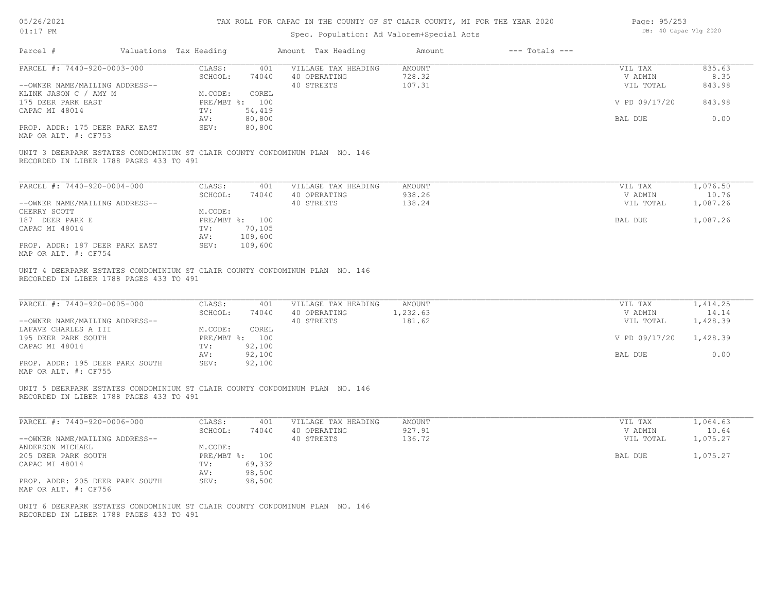| 05/26/2021 |  |
|------------|--|
| 01:17      |  |

| Page: 95/253 |                       |  |
|--------------|-----------------------|--|
|              | DB: 40 Capac Vlg 2020 |  |

| PARCEL #: 7440-920-0003-000                                                                                            |                                   |                                                   |                              |                                 |                               |
|------------------------------------------------------------------------------------------------------------------------|-----------------------------------|---------------------------------------------------|------------------------------|---------------------------------|-------------------------------|
|                                                                                                                        | CLASS:<br>401                     | VILLAGE TAX HEADING                               | AMOUNT                       | VIL TAX                         | 835.63                        |
|                                                                                                                        | SCHOOL:<br>74040                  | 40 OPERATING                                      | 728.32                       | V ADMIN                         | 8.35                          |
| --OWNER NAME/MAILING ADDRESS--                                                                                         |                                   | 40 STREETS                                        | 107.31                       | VIL TOTAL                       | 843.98                        |
| KLINK JASON C / AMY M                                                                                                  | M.CODE:<br>COREL                  |                                                   |                              |                                 |                               |
| 175 DEER PARK EAST                                                                                                     | PRE/MBT %: 100                    |                                                   |                              | V PD 09/17/20                   | 843.98                        |
| CAPAC MI 48014                                                                                                         | 54,419<br>TV:<br>80,800           |                                                   |                              |                                 | 0.00                          |
| PROP. ADDR: 175 DEER PARK EAST                                                                                         | AV:<br>SEV:<br>80,800             |                                                   |                              | BAL DUE                         |                               |
| MAP OR ALT. #: CF753                                                                                                   |                                   |                                                   |                              |                                 |                               |
| UNIT 3 DEERPARK ESTATES CONDOMINIUM ST CLAIR COUNTY CONDOMINUM PLAN NO. 146<br>RECORDED IN LIBER 1788 PAGES 433 TO 491 |                                   |                                                   |                              |                                 |                               |
|                                                                                                                        |                                   |                                                   |                              |                                 |                               |
| PARCEL #: 7440-920-0004-000                                                                                            | CLASS:<br>401                     | VILLAGE TAX HEADING                               | AMOUNT                       | VIL TAX                         | 1,076.50                      |
|                                                                                                                        | SCHOOL:<br>74040                  | 40 OPERATING                                      | 938.26                       | V ADMIN                         | 10.76                         |
| --OWNER NAME/MAILING ADDRESS--                                                                                         |                                   | 40 STREETS                                        | 138.24                       | VIL TOTAL                       | 1,087.26                      |
| CHERRY SCOTT                                                                                                           | M.CODE:                           |                                                   |                              | <b>BAL DUE</b>                  |                               |
| 187 DEER PARK E<br>CAPAC MI 48014                                                                                      | PRE/MBT %: 100<br>TV:             |                                                   |                              |                                 | 1,087.26                      |
|                                                                                                                        | 70,105<br>109,600<br>AV:          |                                                   |                              |                                 |                               |
| PROP. ADDR: 187 DEER PARK EAST                                                                                         | SEV:<br>109,600                   |                                                   |                              |                                 |                               |
| MAP OR ALT. #: CF754                                                                                                   |                                   |                                                   |                              |                                 |                               |
| PARCEL #: 7440-920-0005-000                                                                                            | CLASS:<br>401<br>SCHOOL:<br>74040 | VILLAGE TAX HEADING<br>40 OPERATING<br>40 STREETS | AMOUNT<br>1,232.63<br>181.62 | VIL TAX<br>V ADMIN<br>VIL TOTAL | 1,414.25<br>14.14<br>1,428.39 |
| --OWNER NAME/MAILING ADDRESS--<br>LAFAVE CHARLES A III                                                                 | M.CODE:<br>COREL                  |                                                   |                              |                                 |                               |
| 195 DEER PARK SOUTH                                                                                                    | PRE/MBT %: 100                    |                                                   |                              | V PD 09/17/20                   | 1,428.39                      |
| CAPAC MI 48014                                                                                                         | 92,100<br>TV:                     |                                                   |                              |                                 |                               |
| PROP. ADDR: 195 DEER PARK SOUTH<br>MAP OR ALT. #: CF755                                                                | 92,100<br>AV:<br>92,100<br>SEV:   |                                                   |                              | BAL DUE                         | 0.00                          |
| UNIT 5 DEERPARK ESTATES CONDOMINIUM ST CLAIR COUNTY CONDOMINUM PLAN NO. 146<br>RECORDED IN LIBER 1788 PAGES 433 TO 491 |                                   |                                                   |                              |                                 |                               |
| PARCEL #: 7440-920-0006-000                                                                                            | CLASS:<br>401                     | VILLAGE TAX HEADING                               | AMOUNT                       | VIL TAX                         | 1,064.63                      |
|                                                                                                                        | SCHOOL:<br>74040                  | 40 OPERATING                                      | 927.91                       | V ADMIN                         | 10.64                         |
| --OWNER NAME/MAILING ADDRESS--                                                                                         |                                   | 40 STREETS                                        | 136.72                       | VIL TOTAL                       | 1,075.27                      |
| ANDERSON MICHAEL                                                                                                       | M.CODE:                           |                                                   |                              |                                 |                               |
| 205 DEER PARK SOUTH                                                                                                    | PRE/MBT %: 100                    |                                                   |                              | BAL DUE                         | 1,075.27                      |
| CAPAC MI 48014                                                                                                         | 69,332<br>TV:                     |                                                   |                              |                                 |                               |
| PROP. ADDR: 205 DEER PARK SOUTH<br>MAP OR ALT. #: CF756                                                                | 98,500<br>AV:<br>SEV:<br>98,500   |                                                   |                              |                                 |                               |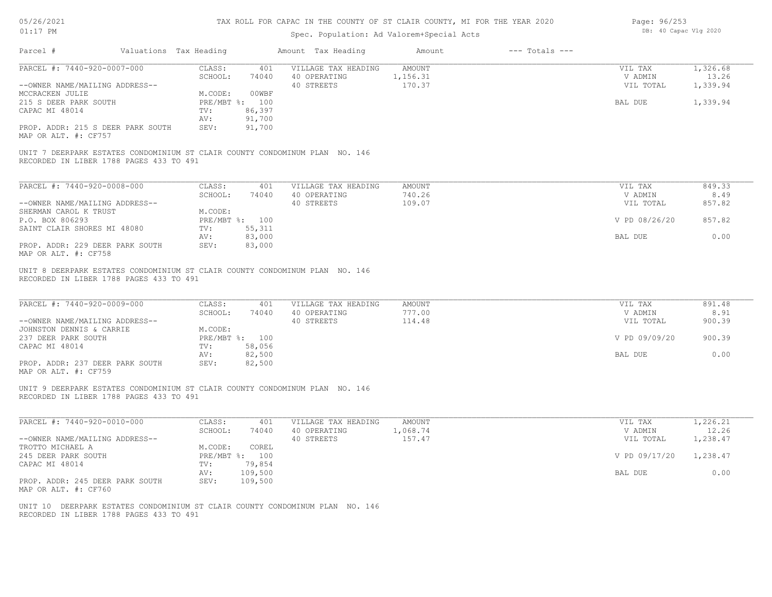| 05/26/2021 |           |
|------------|-----------|
| 01:17      | <b>PM</b> |

| Page: 96/253 |                       |  |
|--------------|-----------------------|--|
|              | DB: 40 Capac Vlg 2020 |  |

| Parcel #                                                                                                                | Valuations Tax Heading       |                          | Amount Tax Heading                                | Amount                       | $---$ Totals $---$ |                                 |                                    |
|-------------------------------------------------------------------------------------------------------------------------|------------------------------|--------------------------|---------------------------------------------------|------------------------------|--------------------|---------------------------------|------------------------------------|
| PARCEL #: 7440-920-0007-000<br>--OWNER NAME/MAILING ADDRESS--                                                           | CLASS:<br>SCHOOL:            | 401<br>74040             | VILLAGE TAX HEADING<br>40 OPERATING<br>40 STREETS | AMOUNT<br>1,156.31<br>170.37 |                    | VIL TAX<br>V ADMIN<br>VIL TOTAL | 1,326.68<br>13.26<br>1,339.94      |
| MCCRACKEN JULIE                                                                                                         | M.CODE:                      | 00WBF                    |                                                   |                              |                    |                                 |                                    |
| 215 S DEER PARK SOUTH                                                                                                   |                              | PRE/MBT %: 100           |                                                   |                              |                    | BAL DUE                         | 1,339.94                           |
| CAPAC MI 48014                                                                                                          | TV:                          | 86,397                   |                                                   |                              |                    |                                 |                                    |
|                                                                                                                         | AV:                          | 91,700                   |                                                   |                              |                    |                                 |                                    |
| PROP. ADDR: 215 S DEER PARK SOUTH<br>MAP OR ALT. #: CF757                                                               | SEV:                         | 91,700                   |                                                   |                              |                    |                                 |                                    |
| UNIT 7 DEERPARK ESTATES CONDOMINIUM ST CLAIR COUNTY CONDOMINUM PLAN NO. 146<br>RECORDED IN LIBER 1788 PAGES 433 TO 491  |                              |                          |                                                   |                              |                    |                                 |                                    |
|                                                                                                                         |                              |                          |                                                   |                              |                    |                                 |                                    |
| PARCEL #: 7440-920-0008-000                                                                                             | CLASS:<br>SCHOOL:            | 401<br>74040             | VILLAGE TAX HEADING<br>40 OPERATING               | <b>AMOUNT</b><br>740.26      |                    | VIL TAX<br>V ADMIN              | 849.33<br>8.49                     |
| --OWNER NAME/MAILING ADDRESS--                                                                                          |                              |                          | 40 STREETS                                        | 109.07                       |                    | VIL TOTAL                       | 857.82                             |
| SHERMAN CAROL K TRUST                                                                                                   | M.CODE:                      |                          |                                                   |                              |                    |                                 |                                    |
| P.O. BOX 806293                                                                                                         |                              | PRE/MBT %: 100           |                                                   |                              |                    | V PD 08/26/20                   | 857.82                             |
| SAINT CLAIR SHORES MI 48080                                                                                             | TV:                          | 55, 311                  |                                                   |                              |                    |                                 |                                    |
|                                                                                                                         | AV:                          | 83,000                   |                                                   |                              |                    | BAL DUE                         | 0.00                               |
| PROP. ADDR: 229 DEER PARK SOUTH<br>MAP OR ALT. #: CF758                                                                 | SEV:                         | 83,000                   |                                                   |                              |                    |                                 |                                    |
| PARCEL #: 7440-920-0009-000<br>--OWNER NAME/MAILING ADDRESS--<br>JOHNSTON DENNIS & CARRIE                               | CLASS:<br>SCHOOL:<br>M.CODE: | 401<br>74040             | VILLAGE TAX HEADING<br>40 OPERATING<br>40 STREETS | AMOUNT<br>777.00<br>114.48   |                    | VIL TAX<br>V ADMIN<br>VIL TOTAL | 891.48<br>8.91<br>900.39<br>900.39 |
| 237 DEER PARK SOUTH<br>CAPAC MI 48014                                                                                   | TV:                          | PRE/MBT %: 100<br>58,056 |                                                   |                              |                    | V PD 09/09/20                   |                                    |
|                                                                                                                         | AV:                          | 82,500                   |                                                   |                              |                    | BAL DUE                         | 0.00                               |
| PROP. ADDR: 237 DEER PARK SOUTH<br>MAP OR ALT. #: CF759                                                                 | SEV:                         | 82,500                   |                                                   |                              |                    |                                 |                                    |
| UNIT 9 DEERPARK ESTATES CONDOMINIUM ST CLAIR COUNTY CONDOMINUM PLAN NO. 146<br>RECORDED IN LIBER 1788 PAGES 433 TO 491  |                              |                          |                                                   |                              |                    |                                 |                                    |
| PARCEL #: 7440-920-0010-000                                                                                             | CLASS:                       | 401                      | VILLAGE TAX HEADING                               | AMOUNT                       |                    | VIL TAX                         | 1,226.21                           |
|                                                                                                                         | SCHOOL:                      | 74040                    | 40 OPERATING                                      | 1,068.74                     |                    | V ADMIN                         | 12.26                              |
| --OWNER NAME/MAILING ADDRESS--<br>TROTTO MICHAEL A                                                                      | M.CODE:                      | COREL                    | 40 STREETS                                        | 157.47                       |                    | VIL TOTAL                       | 1,238.47                           |
| 245 DEER PARK SOUTH                                                                                                     |                              | PRE/MBT %: 100           |                                                   |                              |                    | V PD 09/17/20                   | 1,238.47                           |
| CAPAC MI 48014                                                                                                          | TV:                          | 79,854                   |                                                   |                              |                    |                                 |                                    |
|                                                                                                                         | AV:                          | 109,500                  |                                                   |                              |                    | BAL DUE                         | 0.00                               |
| PROP. ADDR: 245 DEER PARK SOUTH<br>MAP OR ALT. #: CF760                                                                 | SEV:                         | 109,500                  |                                                   |                              |                    |                                 |                                    |
| UNIT 10 DEERPARK ESTATES CONDOMINIUM ST CLAIR COUNTY CONDOMINUM PLAN NO. 146<br>RECORDED IN LIBER 1788 PAGES 433 TO 491 |                              |                          |                                                   |                              |                    |                                 |                                    |
|                                                                                                                         |                              |                          |                                                   |                              |                    |                                 |                                    |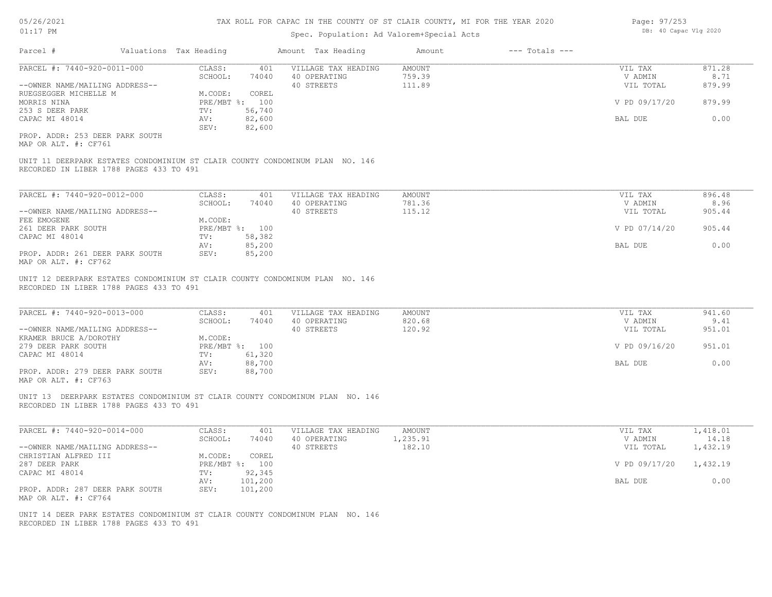| Page: 97/253          |
|-----------------------|
| DB: 40 Capac Vlg 2020 |

| Parcel #                                                                                                                 | Valuations Tax Heading |            |                         | Amount Tax Heading         | Amount             | $---$ Totals $---$ |                      |                   |
|--------------------------------------------------------------------------------------------------------------------------|------------------------|------------|-------------------------|----------------------------|--------------------|--------------------|----------------------|-------------------|
| PARCEL #: 7440-920-0011-000                                                                                              |                        | CLASS:     | 401                     | VILLAGE TAX HEADING        | <b>AMOUNT</b>      |                    | VIL TAX              | 871.28            |
| --OWNER NAME/MAILING ADDRESS--                                                                                           |                        | SCHOOL:    | 74040                   | 40 OPERATING<br>40 STREETS | 759.39<br>111.89   |                    | V ADMIN<br>VIL TOTAL | 8.71<br>879.99    |
| RUEGSEGGER MICHELLE M<br>MORRIS NINA                                                                                     |                        | M.CODE:    | COREL<br>PRE/MBT %: 100 |                            |                    |                    | V PD 09/17/20        | 879.99            |
| 253 S DEER PARK<br>CAPAC MI 48014                                                                                        |                        | TV:<br>AV: | 56,740<br>82,600        |                            |                    |                    | BAL DUE              | 0.00              |
| PROP. ADDR: 253 DEER PARK SOUTH<br>MAP OR ALT. #: CF761                                                                  |                        | SEV:       | 82,600                  |                            |                    |                    |                      |                   |
| UNIT 11 DEERPARK ESTATES CONDOMINIUM ST CLAIR COUNTY CONDOMINUM PLAN NO. 146                                             |                        |            |                         |                            |                    |                    |                      |                   |
| RECORDED IN LIBER 1788 PAGES 433 TO 491                                                                                  |                        |            |                         |                            |                    |                    |                      |                   |
| PARCEL #: 7440-920-0012-000                                                                                              |                        | CLASS:     | 401                     | VILLAGE TAX HEADING        | <b>AMOUNT</b>      |                    | VIL TAX              | 896.48            |
|                                                                                                                          |                        | SCHOOL:    | 74040                   | 40 OPERATING               | 781.36             |                    | V ADMIN              | 8.96              |
| --OWNER NAME/MAILING ADDRESS--<br>FEE EMOGENE                                                                            |                        | M.CODE:    |                         | 40 STREETS                 | 115.12             |                    | VIL TOTAL            | 905.44            |
| 261 DEER PARK SOUTH                                                                                                      |                        |            | PRE/MBT %: 100          |                            |                    |                    | V PD 07/14/20        | 905.44            |
| CAPAC MI 48014                                                                                                           |                        | TV:        | 58,382                  |                            |                    |                    |                      |                   |
|                                                                                                                          |                        | AV:        | 85,200                  |                            |                    |                    | BAL DUE              | 0.00              |
| PROP. ADDR: 261 DEER PARK SOUTH<br>MAP OR ALT. #: CF762                                                                  |                        | SEV:       | 85,200                  |                            |                    |                    |                      |                   |
| UNIT 12 DEERPARK ESTATES CONDOMINIUM ST CLAIR COUNTY CONDOMINUM PLAN NO. 146                                             |                        |            |                         |                            |                    |                    |                      |                   |
| RECORDED IN LIBER 1788 PAGES 433 TO 491                                                                                  |                        |            |                         |                            |                    |                    |                      |                   |
|                                                                                                                          |                        |            |                         |                            |                    |                    |                      |                   |
| PARCEL #: 7440-920-0013-000                                                                                              |                        | CLASS:     | 401                     | VILLAGE TAX HEADING        | AMOUNT             |                    | VIL TAX              | 941.60            |
| --OWNER NAME/MAILING ADDRESS--                                                                                           |                        | SCHOOL:    | 74040                   | 40 OPERATING<br>40 STREETS | 820.68<br>120.92   |                    | V ADMIN<br>VIL TOTAL | 9.41<br>951.01    |
| KRAMER BRUCE A/DOROTHY                                                                                                   |                        | M.CODE:    |                         |                            |                    |                    |                      |                   |
| 279 DEER PARK SOUTH                                                                                                      |                        |            | PRE/MBT %: 100          |                            |                    |                    | V PD 09/16/20        | 951.01            |
| CAPAC MI 48014                                                                                                           |                        | TV:        | 61,320                  |                            |                    |                    |                      |                   |
|                                                                                                                          |                        | AV:        | 88,700                  |                            |                    |                    | BAL DUE              | 0.00              |
| PROP. ADDR: 279 DEER PARK SOUTH<br>MAP OR ALT. #: CF763                                                                  |                        | SEV:       | 88,700                  |                            |                    |                    |                      |                   |
| UNIT 13 DEERPARK ESTATES CONDOMINIUM ST CLAIR COUNTY CONDOMINUM PLAN NO. 146                                             |                        |            |                         |                            |                    |                    |                      |                   |
| RECORDED IN LIBER 1788 PAGES 433 TO 491                                                                                  |                        |            |                         |                            |                    |                    |                      |                   |
| PARCEL #: 7440-920-0014-000                                                                                              |                        | CLASS:     | 401                     | VILLAGE TAX HEADING        | AMOUNT             |                    | VIL TAX              | 1,418.01          |
| --OWNER NAME/MAILING ADDRESS--                                                                                           |                        | SCHOOL:    | 74040                   | 40 OPERATING<br>40 STREETS | 1,235.91<br>182.10 |                    | V ADMIN<br>VIL TOTAL | 14.18<br>1,432.19 |
| CHRISTIAN ALFRED III                                                                                                     |                        | M.CODE:    | COREL                   |                            |                    |                    |                      |                   |
| 287 DEER PARK                                                                                                            |                        |            | PRE/MBT %: 100          |                            |                    |                    | V PD 09/17/20        | 1,432.19          |
| CAPAC MI 48014                                                                                                           |                        | TV:        | 92,345                  |                            |                    |                    |                      |                   |
|                                                                                                                          |                        | AV:        | 101,200                 |                            |                    |                    | BAL DUE              | 0.00              |
| PROP. ADDR: 287 DEER PARK SOUTH<br>MAP OR ALT. #: CF764                                                                  |                        | SEV:       | 101,200                 |                            |                    |                    |                      |                   |
| UNIT 14 DEER PARK ESTATES CONDOMINIUM ST CLAIR COUNTY CONDOMINUM PLAN NO. 146<br>RECORDED IN LIBER 1788 PAGES 433 TO 491 |                        |            |                         |                            |                    |                    |                      |                   |
|                                                                                                                          |                        |            |                         |                            |                    |                    |                      |                   |
|                                                                                                                          |                        |            |                         |                            |                    |                    |                      |                   |
|                                                                                                                          |                        |            |                         |                            |                    |                    |                      |                   |
|                                                                                                                          |                        |            |                         |                            |                    |                    |                      |                   |
|                                                                                                                          |                        |            |                         |                            |                    |                    |                      |                   |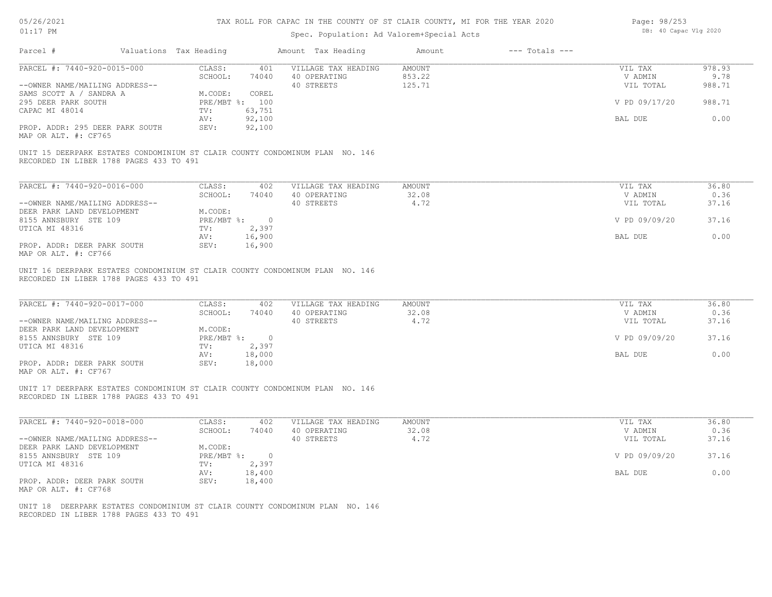| 05/26/2021 |  |
|------------|--|
| 01:17      |  |

| Page: 98/253 |  |                       |  |
|--------------|--|-----------------------|--|
|              |  | DB: 40 Capac Vlg 2020 |  |

| Parcel #                                                                                                                                                                                 | Valuations Tax Heading  |                         | Amount Tax Heading                                | Amount                            | $---$ Totals $---$ |                                 |                          |
|------------------------------------------------------------------------------------------------------------------------------------------------------------------------------------------|-------------------------|-------------------------|---------------------------------------------------|-----------------------------------|--------------------|---------------------------------|--------------------------|
| PARCEL #: 7440-920-0015-000<br>--OWNER NAME/MAILING ADDRESS--                                                                                                                            | CLASS:<br>SCHOOL:       | 401<br>74040            | VILLAGE TAX HEADING<br>40 OPERATING<br>40 STREETS | <b>AMOUNT</b><br>853.22<br>125.71 |                    | VIL TAX<br>V ADMIN<br>VIL TOTAL | 978.93<br>9.78<br>988.71 |
| SAMS SCOTT A / SANDRA A<br>295 DEER PARK SOUTH                                                                                                                                           | M.CODE:                 | COREL<br>PRE/MBT %: 100 |                                                   |                                   |                    | V PD 09/17/20                   | 988.71                   |
| CAPAC MI 48014                                                                                                                                                                           | TV:<br>AV:              | 63,751<br>92,100        |                                                   |                                   |                    | BAL DUE                         | 0.00                     |
| PROP. ADDR: 295 DEER PARK SOUTH<br>MAP OR ALT. #: CF765                                                                                                                                  | SEV:                    | 92,100                  |                                                   |                                   |                    |                                 |                          |
| UNIT 15 DEERPARK ESTATES CONDOMINIUM ST CLAIR COUNTY CONDOMINUM PLAN NO. 146<br>RECORDED IN LIBER 1788 PAGES 433 TO 491                                                                  |                         |                         |                                                   |                                   |                    |                                 |                          |
| PARCEL #: 7440-920-0016-000                                                                                                                                                              | CLASS:                  | 402                     | VILLAGE TAX HEADING                               | AMOUNT                            |                    | VIL TAX                         | 36.80                    |
| --OWNER NAME/MAILING ADDRESS--                                                                                                                                                           | SCHOOL:                 | 74040                   | 40 OPERATING<br>40 STREETS                        | 32.08<br>4.72                     |                    | V ADMIN<br>VIL TOTAL            | 0.36<br>37.16            |
| DEER PARK LAND DEVELOPMENT<br>8155 ANNSBURY STE 109                                                                                                                                      | M.CODE:                 | PRE/MBT %: 0            |                                                   |                                   |                    | V PD 09/09/20                   | 37.16                    |
| UTICA MI 48316                                                                                                                                                                           | TV:<br>AV:              | 2,397<br>16,900         |                                                   |                                   |                    | BAL DUE                         | 0.00                     |
| PROP. ADDR: DEER PARK SOUTH<br>MAP OR ALT. #: CF766                                                                                                                                      | SEV:                    | 16,900                  |                                                   |                                   |                    |                                 |                          |
| UNIT 16 DEERPARK ESTATES CONDOMINIUM ST CLAIR COUNTY CONDOMINUM PLAN NO. 146<br>RECORDED IN LIBER 1788 PAGES 433 TO 491<br>PARCEL #: 7440-920-0017-000<br>--OWNER NAME/MAILING ADDRESS-- | CLASS:<br>SCHOOL:       | 402<br>74040            | VILLAGE TAX HEADING<br>40 OPERATING<br>40 STREETS | <b>AMOUNT</b><br>32.08<br>4.72    |                    | VIL TAX<br>V ADMIN<br>VIL TOTAL | 36.80<br>0.36<br>37.16   |
| DEER PARK LAND DEVELOPMENT<br>8155 ANNSBURY STE 109                                                                                                                                      | M.CODE:                 | PRE/MBT %: 0            |                                                   |                                   |                    | V PD 09/09/20                   | 37.16                    |
| UTICA MI 48316                                                                                                                                                                           | TV:<br>AV:              | 2,397<br>18,000         |                                                   |                                   |                    | BAL DUE                         | 0.00                     |
| PROP. ADDR: DEER PARK SOUTH<br>MAP OR ALT. #: CF767                                                                                                                                      | SEV:                    | 18,000                  |                                                   |                                   |                    |                                 |                          |
| UNIT 17 DEERPARK ESTATES CONDOMINIUM ST CLAIR COUNTY CONDOMINUM PLAN NO. 146<br>RECORDED IN LIBER 1788 PAGES 433 TO 491                                                                  |                         |                         |                                                   |                                   |                    |                                 |                          |
| PARCEL #: 7440-920-0018-000                                                                                                                                                              | CLASS:                  | 402                     | VILLAGE TAX HEADING                               | AMOUNT                            |                    | VIL TAX                         | 36.80                    |
| --OWNER NAME/MAILING ADDRESS--                                                                                                                                                           | SCHOOL:                 | 74040                   | 40 OPERATING<br>40 STREETS                        | 32.08<br>4.72                     |                    | V ADMIN<br>VIL TOTAL            | 0.36<br>37.16            |
| DEER PARK LAND DEVELOPMENT<br>8155 ANNSBURY STE 109                                                                                                                                      | M.CODE:<br>$PRE/MBT$ %: | $\overline{0}$          |                                                   |                                   |                    | V PD 09/09/20                   | 37.16                    |
| UTICA MI 48316                                                                                                                                                                           | TV:<br>AV:              | 2,397<br>18,400         |                                                   |                                   |                    | BAL DUE                         | 0.00                     |
| PROP. ADDR: DEER PARK SOUTH<br>MAP OR ALT. #: CF768                                                                                                                                      | SEV:                    | 18,400                  |                                                   |                                   |                    |                                 |                          |
| UNIT 18 DEERPARK ESTATES CONDOMINIUM ST CLAIR COUNTY CONDOMINUM PLAN NO. 146<br>RECORDED IN LIBER 1788 PAGES 433 TO 491                                                                  |                         |                         |                                                   |                                   |                    |                                 |                          |
|                                                                                                                                                                                          |                         |                         |                                                   |                                   |                    |                                 |                          |
|                                                                                                                                                                                          |                         |                         |                                                   |                                   |                    |                                 |                          |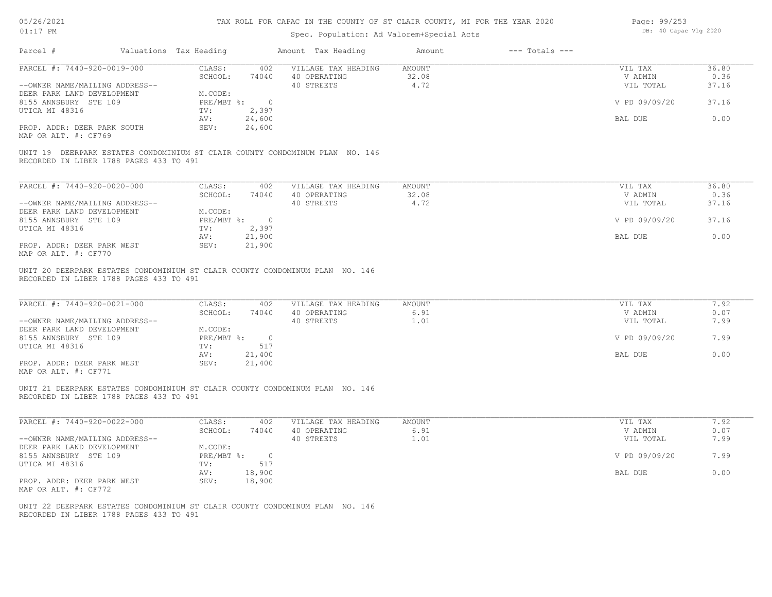| 05/26/2021 |           |
|------------|-----------|
| 01:17      | <b>PM</b> |

| Page: 99/253 |  |                       |  |
|--------------|--|-----------------------|--|
|              |  | DB: 40 Capac Vlg 2020 |  |

| Parcel #                                                                                                                | Valuations Tax Heading |                 | Amount Tax Heading  | Amount        | $---$ Totals $---$ |               |       |
|-------------------------------------------------------------------------------------------------------------------------|------------------------|-----------------|---------------------|---------------|--------------------|---------------|-------|
| PARCEL #: 7440-920-0019-000                                                                                             | CLASS:                 | 402             | VILLAGE TAX HEADING | <b>AMOUNT</b> |                    | VIL TAX       | 36.80 |
|                                                                                                                         | SCHOOL:                | 74040           | 40 OPERATING        | 32.08         |                    | V ADMIN       | 0.36  |
| --OWNER NAME/MAILING ADDRESS--                                                                                          |                        |                 | 40 STREETS          | 4.72          |                    | VIL TOTAL     | 37.16 |
| DEER PARK LAND DEVELOPMENT                                                                                              | M.CODE:                |                 |                     |               |                    |               |       |
| 8155 ANNSBURY STE 109                                                                                                   | $PRE/MBT$ $\div$       | $\overline{0}$  |                     |               |                    | V PD 09/09/20 | 37.16 |
| UTICA MI 48316                                                                                                          | TV:                    | 2,397<br>24,600 |                     |               |                    |               | 0.00  |
| PROP. ADDR: DEER PARK SOUTH                                                                                             | AV:<br>SEV:            | 24,600          |                     |               |                    | BAL DUE       |       |
| MAP OR ALT. #: CF769                                                                                                    |                        |                 |                     |               |                    |               |       |
| UNIT 19 DEERPARK ESTATES CONDOMINIUM ST CLAIR COUNTY CONDOMINUM PLAN NO. 146<br>RECORDED IN LIBER 1788 PAGES 433 TO 491 |                        |                 |                     |               |                    |               |       |
|                                                                                                                         |                        |                 |                     |               |                    |               |       |
| PARCEL #: 7440-920-0020-000                                                                                             | CLASS:                 | 402             | VILLAGE TAX HEADING | <b>AMOUNT</b> |                    | VIL TAX       | 36.80 |
|                                                                                                                         | SCHOOL:                | 74040           | 40 OPERATING        | 32.08         |                    | V ADMIN       | 0.36  |
| --OWNER NAME/MAILING ADDRESS--<br>DEER PARK LAND DEVELOPMENT                                                            | M.CODE:                |                 | 40 STREETS          | 4.72          |                    | VIL TOTAL     | 37.16 |
| 8155 ANNSBURY STE 109                                                                                                   | $PRE/MBT$ $\div$ 0     |                 |                     |               |                    | V PD 09/09/20 | 37.16 |
| UTICA MI 48316                                                                                                          | TV:                    | 2,397           |                     |               |                    |               |       |
|                                                                                                                         | AV:                    | 21,900          |                     |               |                    | BAL DUE       | 0.00  |
| PROP. ADDR: DEER PARK WEST<br>MAP OR ALT. #: CF770                                                                      | SEV:                   | 21,900          |                     |               |                    |               |       |
| UNIT 20 DEERPARK ESTATES CONDOMINIUM ST CLAIR COUNTY CONDOMINUM PLAN NO. 146<br>RECORDED IN LIBER 1788 PAGES 433 TO 491 |                        |                 |                     |               |                    |               |       |
| PARCEL #: 7440-920-0021-000                                                                                             | CLASS:                 | 402             | VILLAGE TAX HEADING | <b>AMOUNT</b> |                    | VIL TAX       | 7.92  |
|                                                                                                                         | SCHOOL:                | 74040           | 40 OPERATING        | 6.91          |                    | V ADMIN       | 0.07  |
| --OWNER NAME/MAILING ADDRESS--                                                                                          |                        |                 | 40 STREETS          | 1.01          |                    | VIL TOTAL     | 7.99  |
| DEER PARK LAND DEVELOPMENT                                                                                              | M.CODE:                |                 |                     |               |                    |               |       |
| 8155 ANNSBURY STE 109                                                                                                   | PRE/MBT %: 0           |                 |                     |               |                    | V PD 09/09/20 | 7.99  |
| UTICA MI 48316                                                                                                          | TV:<br>AV:             | 517<br>21,400   |                     |               |                    | BAL DUE       | 0.00  |
| PROP. ADDR: DEER PARK WEST                                                                                              | SEV:                   | 21,400          |                     |               |                    |               |       |
| MAP OR ALT. #: CF771                                                                                                    |                        |                 |                     |               |                    |               |       |
| UNIT 21 DEERPARK ESTATES CONDOMINIUM ST CLAIR COUNTY CONDOMINUM PLAN NO. 146<br>RECORDED IN LIBER 1788 PAGES 433 TO 491 |                        |                 |                     |               |                    |               |       |
| PARCEL #: 7440-920-0022-000                                                                                             | CLASS:                 | 402             | VILLAGE TAX HEADING | <b>AMOUNT</b> |                    | VIL TAX       | 7.92  |
|                                                                                                                         | SCHOOL:                | 74040           | 40 OPERATING        | 6.91          |                    | V ADMIN       | 0.07  |
| --OWNER NAME/MAILING ADDRESS--                                                                                          |                        |                 | 40 STREETS          | 1.01          |                    | VIL TOTAL     | 7.99  |
| DEER PARK LAND DEVELOPMENT                                                                                              | M.CODE:                |                 |                     |               |                    |               |       |
| 8155 ANNSBURY STE 109                                                                                                   | PRE/MBT %: 0           | 517             |                     |               |                    | V PD 09/09/20 | 7.99  |
| UTICA MI 48316                                                                                                          | TV:<br>AV:             | 18,900          |                     |               |                    | BAL DUE       | 0.00  |
| PROP. ADDR: DEER PARK WEST                                                                                              | SEV:                   | 18,900          |                     |               |                    |               |       |
| MAP OR ALT. #: CF772                                                                                                    |                        |                 |                     |               |                    |               |       |
| UNIT 22 DEERPARK ESTATES CONDOMINIUM ST CLAIR COUNTY CONDOMINUM PLAN NO. 146<br>RECORDED IN LIBER 1788 PAGES 433 TO 491 |                        |                 |                     |               |                    |               |       |
|                                                                                                                         |                        |                 |                     |               |                    |               |       |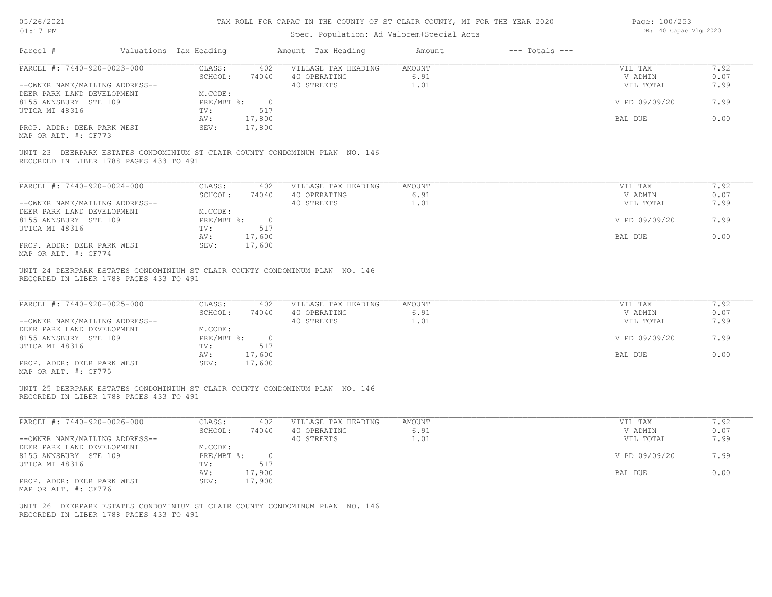| 05/26/2021 |           |
|------------|-----------|
| 01:17      | <b>PM</b> |

# Spec. Population: Ad Valorem+Special Acts

Page: 100/253 DB: 40 Capac Vlg 2020

| PARCEL #: 7440-920-0023-000                                                                                             | CLASS:                            | 402 VILLAGE TAX HEADING                   | AMOUNT         | VIL TAX              | 7.92         |
|-------------------------------------------------------------------------------------------------------------------------|-----------------------------------|-------------------------------------------|----------------|----------------------|--------------|
|                                                                                                                         | SCHOOL: 74040 40 OPERATING        | 40 STREETS                                | 6.91<br>1.01   | V ADMIN<br>VIL TOTAL | 0.07<br>7.99 |
| --OWNER NAME/MAILING ADDRESS--<br>DEER PARK LAND DEVELOPMENT                                                            | M.CODE:                           |                                           |                |                      |              |
| 8155 ANNSBURY STE 109                                                                                                   | PRE/MBT %: 0                      |                                           |                | V PD 09/09/20        | 7.99         |
| UTICA MI 48316                                                                                                          | TV:<br>517                        |                                           |                |                      |              |
|                                                                                                                         | 17,800<br>AV:                     |                                           |                | BAL DUE              | 0.00         |
| PROP. ADDR: DEER PARK WEST<br>MAP OR ALT. #: CF773                                                                      | 17,800<br>SEV:                    |                                           |                |                      |              |
| UNIT 23 DEERPARK ESTATES CONDOMINIUM ST CLAIR COUNTY CONDOMINUM PLAN NO. 146<br>RECORDED IN LIBER 1788 PAGES 433 TO 491 |                                   |                                           |                |                      |              |
|                                                                                                                         |                                   |                                           |                |                      | 7.92         |
| PARCEL #: 7440-920-0024-000                                                                                             | CLASS:<br>402<br>SCHOOL:          | VILLAGE TAX HEADING<br>74040 40 OPERATING | AMOUNT<br>6.91 | VIL TAX<br>V ADMIN   | 0.07         |
| --OWNER NAME/MAILING ADDRESS--                                                                                          |                                   | 40 STREETS                                | 1.01           | VIL TOTAL            | 7.99         |
| DEER PARK LAND DEVELOPMENT                                                                                              | M.CODE:                           |                                           |                |                      |              |
| 8155 ANNSBURY STE 109                                                                                                   | PRE/MBT %: 0                      |                                           |                | V PD 09/09/20        | 7.99         |
| UTICA MI 48316                                                                                                          | TV:<br>517                        |                                           |                |                      |              |
|                                                                                                                         | AV:<br>17,600                     |                                           |                | BAL DUE              | 0.00         |
| PROP. ADDR: DEER PARK WEST<br>MAP OR ALT. #: CF774                                                                      | SEV: 17,600                       |                                           |                |                      |              |
| UNIT 24 DEERPARK ESTATES CONDOMINIUM ST CLAIR COUNTY CONDOMINUM PLAN NO. 146<br>RECORDED IN LIBER 1788 PAGES 433 TO 491 |                                   |                                           |                |                      |              |
| PARCEL #: 7440-920-0025-000                                                                                             | CLASS:<br>402<br>SCHOOL:<br>74040 | VILLAGE TAX HEADING<br>40 OPERATING       | AMOUNT<br>6.91 | VIL TAX<br>V ADMIN   | 7.92<br>0.07 |
| --OWNER NAME/MAILING ADDRESS--                                                                                          |                                   | 40 STREETS                                | 1.01           | VIL TOTAL            | 7.99         |
| DEER PARK LAND DEVELOPMENT<br>8155 ANNSBURY STE 109                                                                     | M.CODE:<br>PRE/MBT %: 0           |                                           |                | V PD 09/09/20        | 7.99         |
| UTICA MI 48316                                                                                                          | 517<br>TV:                        |                                           |                |                      |              |
| PROP. ADDR: DEER PARK WEST<br>MAP OR ALT. #: CF775                                                                      | 17,600<br>AV:<br>SEV: 17,600      |                                           |                | BAL DUE              | 0.00         |
| UNIT 25 DEERPARK ESTATES CONDOMINIUM ST CLAIR COUNTY CONDOMINUM PLAN NO. 146<br>RECORDED IN LIBER 1788 PAGES 433 TO 491 |                                   |                                           |                |                      |              |
| PARCEL #: 7440-920-0026-000                                                                                             | CLASS:<br>402                     | VILLAGE TAX HEADING                       | AMOUNT         | VIL TAX              | 7.92         |
|                                                                                                                         | SCHOOL:                           | 74040 40 OPERATING                        | 6.91           | V ADMIN              | 0.07         |
| --OWNER NAME/MAILING ADDRESS--                                                                                          |                                   | 40 STREETS                                | 1.01           | VIL TOTAL            | 7.99         |
| DEER PARK LAND DEVELOPMENT                                                                                              | M.CODE:                           |                                           |                |                      |              |
| 8155 ANNSBURY STE 109                                                                                                   | PRE/MBT %: 0                      |                                           |                | V PD 09/09/20        | 7.99         |
| UTICA MI 48316                                                                                                          | TV:<br>517<br>17,900<br>AV:       |                                           |                | BAL DUE              | 0.00         |
| PROP. ADDR: DEER PARK WEST<br>MAP OR ALT. #: CF776                                                                      | SEV: 17,900                       |                                           |                |                      |              |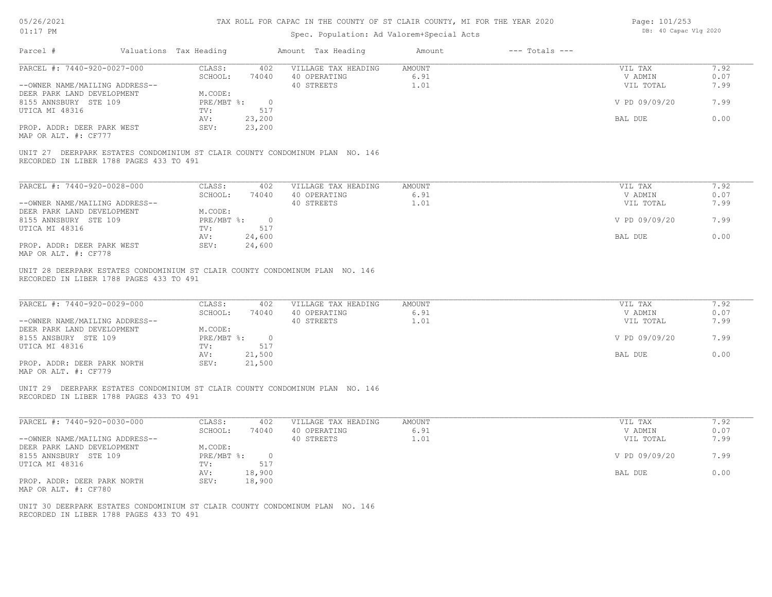| 05/26/2021 |  |
|------------|--|
| 01:17      |  |

# Spec. Population: Ad Valorem+Special Acts

Page: 101/253 DB: 40 Capac Vlg 2020

| Parcel #                                                                                                                | Valuations Tax Heading |                    | Amount Tax Heading                            | Amount         | $---$ Totals $---$ |                    |              |
|-------------------------------------------------------------------------------------------------------------------------|------------------------|--------------------|-----------------------------------------------|----------------|--------------------|--------------------|--------------|
| PARCEL #: 7440-920-0027-000                                                                                             | CLASS:<br>SCHOOL:      |                    | 402 VILLAGE TAX HEADING<br>74040 40 OPERATING | AMOUNT<br>6.91 |                    | VIL TAX<br>V ADMIN | 7.92<br>0.07 |
| --OWNER NAME/MAILING ADDRESS--                                                                                          |                        |                    | 40 STREETS                                    | 1.01           |                    | VIL TOTAL          | 7.99         |
| DEER PARK LAND DEVELOPMENT                                                                                              | M.CODE:                |                    |                                               |                |                    |                    |              |
| 8155 ANNSBURY STE 109                                                                                                   | PRE/MBT %: 0           |                    |                                               |                |                    | V PD 09/09/20      | 7.99         |
| UTICA MI 48316                                                                                                          | TV:                    | 517                |                                               |                |                    |                    |              |
|                                                                                                                         | 23,200<br>AV:          |                    |                                               |                |                    | BAL DUE            | 0.00         |
| PROP. ADDR: DEER PARK WEST<br>MAP OR ALT. #: CF777                                                                      | SEV:<br>23,200         |                    |                                               |                |                    |                    |              |
| UNIT 27 DEERPARK ESTATES CONDOMINIUM ST CLAIR COUNTY CONDOMINUM PLAN NO. 146<br>RECORDED IN LIBER 1788 PAGES 433 TO 491 |                        |                    |                                               |                |                    |                    |              |
|                                                                                                                         |                        |                    |                                               |                |                    |                    |              |
| PARCEL #: 7440-920-0028-000                                                                                             | CLASS:                 | 402                | VILLAGE TAX HEADING                           | <b>AMOUNT</b>  |                    | VIL TAX            | 7.92         |
|                                                                                                                         | SCHOOL:                | 74040 40 OPERATING |                                               | 6.91           |                    | V ADMIN            | 0.07         |
| --OWNER NAME/MAILING ADDRESS--                                                                                          | M.CODE:                |                    | 40 STREETS                                    | 1.01           |                    | VIL TOTAL          | 7.99         |
| DEER PARK LAND DEVELOPMENT<br>8155 ANNSBURY STE 109                                                                     | PRE/MBT %: 0           |                    |                                               |                |                    | V PD 09/09/20      | 7.99         |
| UTICA MI 48316                                                                                                          | 517<br>TV:             |                    |                                               |                |                    |                    |              |
|                                                                                                                         | 24,600<br>AV:          |                    |                                               |                |                    | BAL DUE            | 0.00         |
| PROP. ADDR: DEER PARK WEST                                                                                              | SEV:<br>24,600         |                    |                                               |                |                    |                    |              |
| MAP OR ALT. #: CF778                                                                                                    |                        |                    |                                               |                |                    |                    |              |
| UNIT 28 DEERPARK ESTATES CONDOMINIUM ST CLAIR COUNTY CONDOMINUM PLAN NO. 146<br>RECORDED IN LIBER 1788 PAGES 433 TO 491 |                        |                    |                                               |                |                    |                    |              |
| PARCEL #: 7440-920-0029-000                                                                                             | CLASS:                 | 402                | VILLAGE TAX HEADING                           | AMOUNT         |                    | VIL TAX            | 7.92         |
|                                                                                                                         | SCHOOL:                | 74040              | 40 OPERATING                                  | 6.91           |                    | V ADMIN            | 0.07         |
| --OWNER NAME/MAILING ADDRESS--                                                                                          |                        |                    | 40 STREETS                                    | 1.01           |                    | VIL TOTAL          | 7.99         |
| DEER PARK LAND DEVELOPMENT                                                                                              | M.CODE:                |                    |                                               |                |                    |                    |              |
| 8155 ANSBURY STE 109                                                                                                    | PRE/MBT %: 0           |                    |                                               |                |                    | V PD 09/09/20      | 7.99         |
| UTICA MI 48316                                                                                                          | 517<br>TV:<br>21,500   |                    |                                               |                |                    | BAL DUE            | 0.00         |
| PROP. ADDR: DEER PARK NORTH                                                                                             | AV:<br>SEV:<br>21,500  |                    |                                               |                |                    |                    |              |
| MAP OR ALT. #: CF779                                                                                                    |                        |                    |                                               |                |                    |                    |              |
| UNIT 29 DEERPARK ESTATES CONDOMINIUM ST CLAIR COUNTY CONDOMINUM PLAN NO. 146<br>RECORDED IN LIBER 1788 PAGES 433 TO 491 |                        |                    |                                               |                |                    |                    |              |
| PARCEL #: 7440-920-0030-000                                                                                             | CLASS:                 | 402                | VILLAGE TAX HEADING                           | AMOUNT         |                    | VIL TAX            | 7.92         |
|                                                                                                                         | SCHOOL:                | 74040              | 40 OPERATING                                  | 6.91           |                    | V ADMIN            | 0.07         |
| --OWNER NAME/MAILING ADDRESS--                                                                                          |                        |                    | 40 STREETS                                    | 1.01           |                    | VIL TOTAL          | 7.99         |
| DEER PARK LAND DEVELOPMENT                                                                                              | M.CODE:                |                    |                                               |                |                    |                    |              |
| 8155 ANNSBURY STE 109                                                                                                   | PRE/MBT %: 0           |                    |                                               |                |                    | V PD 09/09/20      | 7.99         |
| UTICA MI 48316                                                                                                          | TV:                    | 517                |                                               |                |                    |                    |              |
|                                                                                                                         | 18,900<br>AV:<br>SEV:  |                    |                                               |                |                    | BAL DUE            | 0.00         |
| PROP. ADDR: DEER PARK NORTH<br>MAP OR ALT. #: CF780                                                                     | 18,900                 |                    |                                               |                |                    |                    |              |
|                                                                                                                         |                        |                    |                                               |                |                    |                    |              |
| UNIT 30 DEERPARK ESTATES CONDOMINIUM ST CLAIR COUNTY CONDOMINUM PLAN NO. 146                                            |                        |                    |                                               |                |                    |                    |              |
| RECORDED IN LIBER 1788 PAGES 433 TO 491                                                                                 |                        |                    |                                               |                |                    |                    |              |
|                                                                                                                         |                        |                    |                                               |                |                    |                    |              |
|                                                                                                                         |                        |                    |                                               |                |                    |                    |              |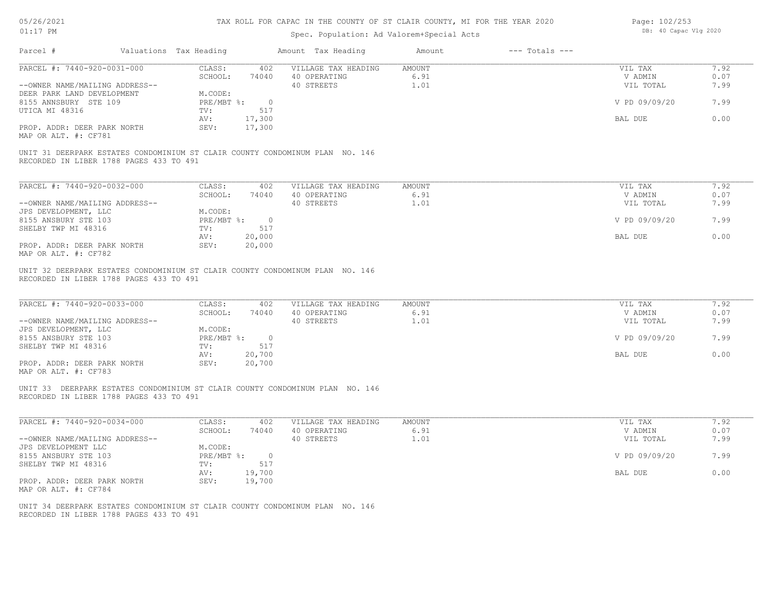### 05/26/2021 01:17 PM

| 05/26/2021                                                                                                              |                        |            |                | TAX ROLL FOR CAPAC IN THE COUNTY OF ST CLAIR COUNTY, MI FOR THE YEAR 2020 |               |                    | Page: 102/253         |      |
|-------------------------------------------------------------------------------------------------------------------------|------------------------|------------|----------------|---------------------------------------------------------------------------|---------------|--------------------|-----------------------|------|
| $01:17$ PM                                                                                                              |                        |            |                | Spec. Population: Ad Valorem+Special Acts                                 |               |                    | DB: 40 Capac Vlg 2020 |      |
| Parcel #                                                                                                                | Valuations Tax Heading |            |                | Amount Tax Heading                                                        | Amount        | $---$ Totals $---$ |                       |      |
| PARCEL #: 7440-920-0031-000                                                                                             |                        | CLASS:     | 402            | VILLAGE TAX HEADING                                                       | <b>AMOUNT</b> |                    | VIL TAX               | 7.92 |
|                                                                                                                         |                        | SCHOOL:    | 74040          | 40 OPERATING                                                              | 6.91          |                    | V ADMIN               | 0.07 |
| --OWNER NAME/MAILING ADDRESS--                                                                                          |                        |            |                | 40 STREETS                                                                | 1.01          |                    | VIL TOTAL             | 7.99 |
| DEER PARK LAND DEVELOPMENT                                                                                              |                        | M.CODE:    |                |                                                                           |               |                    |                       |      |
| 8155 ANNSBURY STE 109                                                                                                   |                        | PRE/MBT %: | $\circ$        |                                                                           |               |                    | V PD 09/09/20         | 7.99 |
| UTICA MI 48316                                                                                                          | TV:                    |            | 517            |                                                                           |               |                    |                       |      |
|                                                                                                                         | AV:                    |            | 17,300         |                                                                           |               |                    | BAL DUE               | 0.00 |
| PROP. ADDR: DEER PARK NORTH<br>MAP OR ALT. #: CF781                                                                     | SEV:                   |            | 17,300         |                                                                           |               |                    |                       |      |
| UNIT 31 DEERPARK ESTATES CONDOMINIUM ST CLAIR COUNTY CONDOMINUM PLAN NO. 146<br>RECORDED IN LIBER 1788 PAGES 433 TO 491 |                        |            |                |                                                                           |               |                    |                       |      |
| PARCEL #: 7440-920-0032-000                                                                                             |                        | CLASS:     | 402            | VILLAGE TAX HEADING                                                       | <b>AMOUNT</b> |                    | VIL TAX               | 7.92 |
|                                                                                                                         |                        | SCHOOL:    | 74040          | 40 OPERATING                                                              | 6.91          |                    | V ADMIN               | 0.07 |
| --OWNER NAME/MAILING ADDRESS--                                                                                          |                        |            |                | 40 STREETS                                                                | 1.01          |                    | VIL TOTAL             | 7.99 |
| JPS DEVELOPMENT, LLC                                                                                                    |                        | M.CODE:    |                |                                                                           |               |                    |                       |      |
| 8155 ANSBURY STE 103                                                                                                    |                        | PRE/MBT %: | $\circ$        |                                                                           |               |                    | V PD 09/09/20         | 7.99 |
| SHELBY TWP MI 48316                                                                                                     | TV:                    |            | 517            |                                                                           |               |                    |                       |      |
|                                                                                                                         | AV:                    |            | 20,000         |                                                                           |               |                    | BAL DUE               | 0.00 |
| PROP. ADDR: DEER PARK NORTH                                                                                             | SEV:                   |            | 20,000         |                                                                           |               |                    |                       |      |
| MAP OR ALT. #: CF782                                                                                                    |                        |            |                |                                                                           |               |                    |                       |      |
| UNIT 32 DEERPARK ESTATES CONDOMINIUM ST CLAIR COUNTY CONDOMINUM PLAN NO. 146<br>RECORDED IN LIBER 1788 PAGES 433 TO 491 |                        |            |                |                                                                           |               |                    |                       |      |
| PARCEL #: 7440-920-0033-000                                                                                             |                        | CLASS:     | 402            | VILLAGE TAX HEADING                                                       | AMOUNT        |                    | VIL TAX               | 7.92 |
|                                                                                                                         |                        | SCHOOL:    | 74040          | 40 OPERATING                                                              | 6.91          |                    | V ADMIN               | 0.07 |
| --OWNER NAME/MAILING ADDRESS--                                                                                          |                        |            |                | 40 STREETS                                                                | 1.01          |                    | VIL TOTAL             | 7.99 |
| JPS DEVELOPMENT, LLC                                                                                                    |                        | M.CODE:    |                |                                                                           |               |                    |                       |      |
| 8155 ANSBURY STE 103                                                                                                    |                        | PRE/MBT %: | $\overline{0}$ |                                                                           |               |                    | V PD 09/09/20         | 7.99 |
| SHELBY TWP MI 48316                                                                                                     | TV:                    |            | 517            |                                                                           |               |                    |                       |      |
|                                                                                                                         | AV:                    |            | 20,700         |                                                                           |               |                    | BAL DUE               | 0.00 |
| PROP. ADDR: DEER PARK NORTH<br>MAP OR ALT. #: CF783                                                                     | SEV:                   |            | 20,700         |                                                                           |               |                    |                       |      |
| UNIT 33 DEERPARK ESTATES CONDOMINIUM ST CLAIR COUNTY CONDOMINUM PLAN NO. 146<br>RECORDED IN LIBER 1788 PAGES 433 TO 491 |                        |            |                |                                                                           |               |                    |                       |      |
| PARCEL #: 7440-920-0034-000                                                                                             |                        | CLASS:     | 402            | VILLAGE TAX HEADING                                                       | AMOUNT        |                    | VIL TAX               | 7.92 |
|                                                                                                                         |                        | SCHOOL:    | 74040          | 40 OPERATING                                                              | 6.91          |                    | V ADMIN               | 0.07 |
| --OWNER NAME/MAILING ADDRESS--                                                                                          |                        |            |                | 40 STREETS                                                                | 1.01          |                    | VIL TOTAL             | 7.99 |
| JPS DEVELOPMENT LLC                                                                                                     |                        | M.CODE:    |                |                                                                           |               |                    |                       |      |
| 8155 ANSBURY STE 103                                                                                                    |                        | PRE/MBT %: | $\circ$        |                                                                           |               |                    | V PD 09/09/20         | 7.99 |
| SHELBY TWP MI 48316                                                                                                     | TV:                    |            | 517            |                                                                           |               |                    |                       |      |
|                                                                                                                         |                        |            | 19,700         |                                                                           |               |                    | BAL DUE               | 0.00 |
|                                                                                                                         | AV:                    |            |                |                                                                           |               |                    |                       |      |

MAP OR ALT. #: CF784 PROP. ADDR: DEER PARK NORTH SEV: 19,700

RECORDED IN LIBER 1788 PAGES 433 TO 491 UNIT 34 DEERPARK ESTATES CONDOMINIUM ST CLAIR COUNTY CONDOMINUM PLAN NO. 146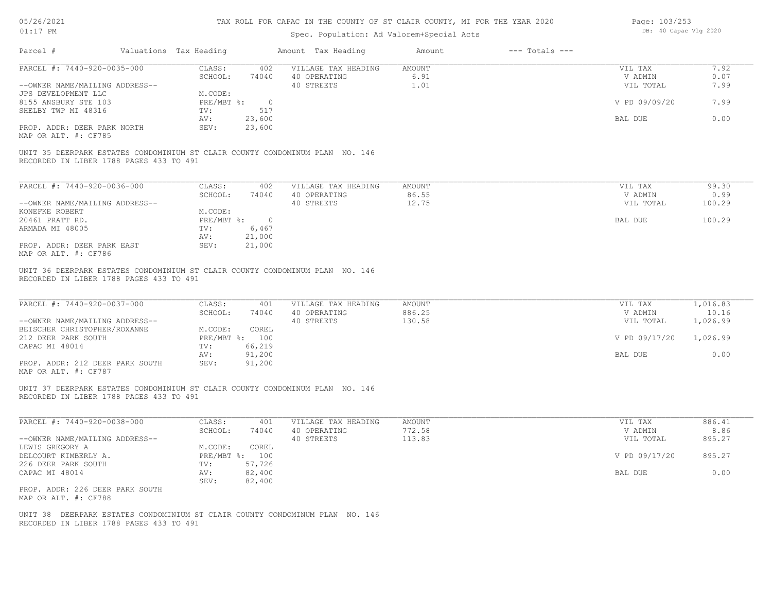# 05/26/2021 01:17 PM

### TAX ROLL FOR CAPAC IN THE COUNTY OF ST CLAIR COUNTY, MI FOR THE YEAR 2020

| Page: 103/253 |                       |  |
|---------------|-----------------------|--|
|               | DB: 40 Capac Vlg 2020 |  |

| Parcel #                                                                                                                | Valuations Tax Heading                   | Amount Tax Heading                  | Amount           | $---$ Totals $---$ |                      |                   |
|-------------------------------------------------------------------------------------------------------------------------|------------------------------------------|-------------------------------------|------------------|--------------------|----------------------|-------------------|
| PARCEL #: 7440-920-0035-000                                                                                             | CLASS:<br>402                            | VILLAGE TAX HEADING                 | AMOUNT           |                    | VIL TAX              | 7.92              |
|                                                                                                                         | SCHOOL:<br>74040                         | 40 OPERATING                        | 6.91             |                    | V ADMIN              | 0.07              |
| --OWNER NAME/MAILING ADDRESS--<br>JPS DEVELOPMENT LLC                                                                   | M.CODE:                                  | 40 STREETS                          | 1.01             |                    | VIL TOTAL            | 7.99              |
| 8155 ANSBURY STE 103                                                                                                    | $PRE/MBT$ %:<br>$\overline{\phantom{0}}$ |                                     |                  |                    | V PD 09/09/20        | 7.99              |
| SHELBY TWP MI 48316                                                                                                     | 517<br>TV:                               |                                     |                  |                    |                      |                   |
|                                                                                                                         | 23,600<br>AV:                            |                                     |                  |                    | BAL DUE              | 0.00              |
| PROP. ADDR: DEER PARK NORTH                                                                                             | SEV:<br>23,600                           |                                     |                  |                    |                      |                   |
| MAP OR ALT. #: CF785                                                                                                    |                                          |                                     |                  |                    |                      |                   |
| UNIT 35 DEERPARK ESTATES CONDOMINIUM ST CLAIR COUNTY CONDOMINUM PLAN NO. 146<br>RECORDED IN LIBER 1788 PAGES 433 TO 491 |                                          |                                     |                  |                    |                      |                   |
|                                                                                                                         |                                          |                                     |                  |                    |                      |                   |
| PARCEL #: 7440-920-0036-000                                                                                             | CLASS:<br>402                            | VILLAGE TAX HEADING                 | AMOUNT           |                    | VIL TAX              | 99.30             |
|                                                                                                                         | SCHOOL:<br>74040                         | 40 OPERATING                        | 86.55            |                    | V ADMIN              | 0.99              |
| --OWNER NAME/MAILING ADDRESS--                                                                                          |                                          | 40 STREETS                          | 12.75            |                    | VIL TOTAL            | 100.29            |
| KONEFKE ROBERT                                                                                                          | M.CODE:                                  |                                     |                  |                    |                      |                   |
| 20461 PRATT RD.                                                                                                         | $PRE/MBT$ $\div$ 0                       |                                     |                  |                    | BAL DUE              | 100.29            |
| ARMADA MI 48005                                                                                                         | TV:<br>6,467                             |                                     |                  |                    |                      |                   |
| PROP. ADDR: DEER PARK EAST                                                                                              | 21,000<br>AV:<br>SEV:<br>21,000          |                                     |                  |                    |                      |                   |
| MAP OR ALT. #: CF786                                                                                                    |                                          |                                     |                  |                    |                      |                   |
| PARCEL #: 7440-920-0037-000                                                                                             | CLASS:<br>401                            | VILLAGE TAX HEADING                 | AMOUNT           |                    | VIL TAX              | 1,016.83          |
| --OWNER NAME/MAILING ADDRESS--                                                                                          | SCHOOL:<br>74040                         | 40 OPERATING<br>40 STREETS          | 886.25<br>130.58 |                    | V ADMIN<br>VIL TOTAL | 10.16<br>1,026.99 |
| BEISCHER CHRISTOPHER/ROXANNE                                                                                            | M.CODE:<br>COREL                         |                                     |                  |                    |                      |                   |
| 212 DEER PARK SOUTH                                                                                                     | PRE/MBT %: 100                           |                                     |                  |                    | V PD 09/17/20        | 1,026.99          |
| CAPAC MI 48014                                                                                                          | 66,219<br>TV:                            |                                     |                  |                    |                      |                   |
|                                                                                                                         | 91,200<br>AV:                            |                                     |                  |                    | BAL DUE              | 0.00              |
| PROP. ADDR: 212 DEER PARK SOUTH<br>MAP OR ALT. #: CF787                                                                 | SEV:<br>91,200                           |                                     |                  |                    |                      |                   |
| UNIT 37 DEERPARK ESTATES CONDOMINIUM ST CLAIR COUNTY CONDOMINUM PLAN NO. 146<br>RECORDED IN LIBER 1788 PAGES 433 TO 491 |                                          |                                     |                  |                    |                      |                   |
|                                                                                                                         |                                          |                                     |                  |                    |                      |                   |
| PARCEL #: 7440-920-0038-000                                                                                             | CLASS:<br>401<br>SCHOOL:<br>74040        | VILLAGE TAX HEADING<br>40 OPERATING | AMOUNT<br>772.58 |                    | VIL TAX<br>V ADMIN   | 886.41<br>8.86    |
| --OWNER NAME/MAILING ADDRESS--                                                                                          |                                          | 40 STREETS                          | 113.83           |                    | VIL TOTAL            | 895.27            |
| LEWIS GREGORY A                                                                                                         | COREL<br>M.CODE:                         |                                     |                  |                    |                      |                   |
| DELCOURT KIMBERLY A.                                                                                                    | PRE/MBT %: 100                           |                                     |                  |                    | V PD 09/17/20        | 895.27            |
| 226 DEER PARK SOUTH                                                                                                     | 57,726<br>TV:                            |                                     |                  |                    |                      |                   |
| CAPAC MI 48014                                                                                                          | AV:<br>82,400                            |                                     |                  |                    | BAL DUE              | 0.00              |
|                                                                                                                         | SEV:<br>82,400                           |                                     |                  |                    |                      |                   |
| PROP. ADDR: 226 DEER PARK SOUTH<br>MAP OR ALT. #: CF788                                                                 |                                          |                                     |                  |                    |                      |                   |
| UNIT 38 DEERPARK ESTATES CONDOMINIUM ST CLAIR COUNTY CONDOMINUM PLAN NO. 146                                            |                                          |                                     |                  |                    |                      |                   |
| RECORDED IN LIBER 1788 PAGES 433 TO 491                                                                                 |                                          |                                     |                  |                    |                      |                   |
|                                                                                                                         |                                          |                                     |                  |                    |                      |                   |
|                                                                                                                         |                                          |                                     |                  |                    |                      |                   |
|                                                                                                                         |                                          |                                     |                  |                    |                      |                   |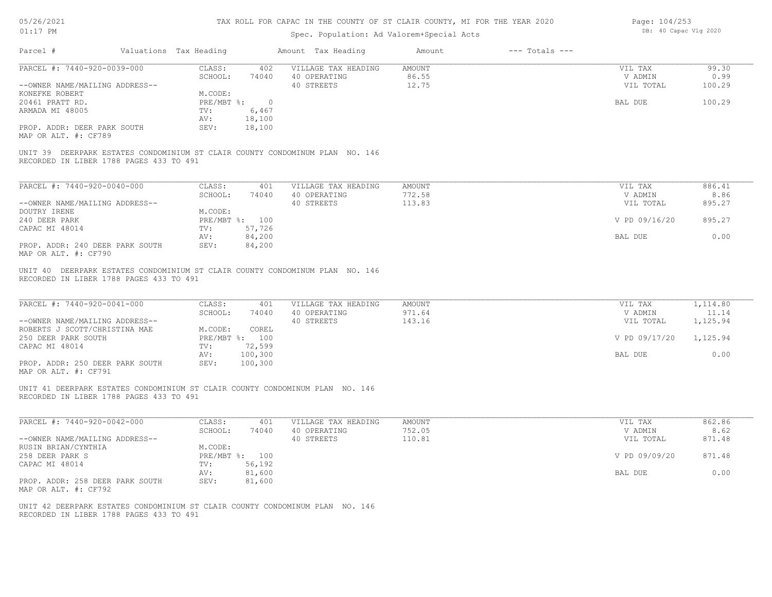| 05/26/2021 |  |
|------------|--|
| 01:17      |  |

| Page: 104/253 |                       |  |
|---------------|-----------------------|--|
|               | DB: 40 Capac Vlg 2020 |  |

| Parcel #                                                                                                                                        | Valuations Tax Heading |                    | Amount Tax Heading                                                           | Amount                   | $---$ Totals $---$ |                                 |                         |
|-------------------------------------------------------------------------------------------------------------------------------------------------|------------------------|--------------------|------------------------------------------------------------------------------|--------------------------|--------------------|---------------------------------|-------------------------|
| PARCEL #: 7440-920-0039-000<br>--OWNER NAME/MAILING ADDRESS--                                                                                   | CLASS:<br>SCHOOL:      | 402<br>74040       | VILLAGE TAX HEADING<br>40 OPERATING<br>40 STREETS                            | AMOUNT<br>86.55<br>12.75 |                    | VIL TAX<br>V ADMIN<br>VIL TOTAL | 99.30<br>0.99<br>100.29 |
| KONEFKE ROBERT                                                                                                                                  | M.CODE:                |                    |                                                                              |                          |                    |                                 |                         |
| 20461 PRATT RD.                                                                                                                                 |                        | PRE/MBT %: 0       |                                                                              |                          |                    | BAL DUE                         | 100.29                  |
| ARMADA MI 48005                                                                                                                                 | TV:                    | 6,467              |                                                                              |                          |                    |                                 |                         |
|                                                                                                                                                 | AV:                    | 18,100             |                                                                              |                          |                    |                                 |                         |
| PROP. ADDR: DEER PARK SOUTH<br>MAP OR ALT. #: CF789                                                                                             | SEV:                   | 18,100             |                                                                              |                          |                    |                                 |                         |
| RECORDED IN LIBER 1788 PAGES 433 TO 491                                                                                                         |                        |                    | UNIT 39 DEERPARK ESTATES CONDOMINIUM ST CLAIR COUNTY CONDOMINUM PLAN NO. 146 |                          |                    |                                 |                         |
| PARCEL #: 7440-920-0040-000                                                                                                                     | CLASS:                 | 401                | VILLAGE TAX HEADING                                                          | AMOUNT                   |                    | VIL TAX                         | 886.41                  |
|                                                                                                                                                 | SCHOOL:                | 74040              | 40 OPERATING                                                                 | 772.58                   |                    | V ADMIN                         | 8.86                    |
| --OWNER NAME/MAILING ADDRESS--                                                                                                                  |                        |                    | 40 STREETS                                                                   | 113.83                   |                    | VIL TOTAL                       | 895.27                  |
| DOUTRY IRENE                                                                                                                                    | M.CODE:                |                    |                                                                              |                          |                    |                                 |                         |
| 240 DEER PARK                                                                                                                                   |                        | PRE/MBT %: 100     |                                                                              |                          |                    | V PD 09/16/20                   | 895.27                  |
| CAPAC MI 48014                                                                                                                                  | TV:                    | 57,726             |                                                                              |                          |                    |                                 |                         |
|                                                                                                                                                 | AV:                    | 84,200             |                                                                              |                          |                    | BAL DUE                         | 0.00                    |
| PROP. ADDR: 240 DEER PARK SOUTH<br>MAP OR ALT. #: CF790                                                                                         | SEV:                   | 84,200             |                                                                              |                          |                    |                                 |                         |
| PARCEL #: 7440-920-0041-000                                                                                                                     | CLASS:<br>SCHOOL:      | 401<br>74040       | VILLAGE TAX HEADING<br>40 OPERATING                                          | AMOUNT<br>971.64         |                    | VIL TAX<br>V ADMIN              | 1,114.80<br>11.14       |
| --OWNER NAME/MAILING ADDRESS--                                                                                                                  |                        |                    | 40 STREETS                                                                   | 143.16                   |                    | VIL TOTAL                       | 1,125.94                |
| ROBERTS J SCOTT/CHRISTINA MAE                                                                                                                   | M.CODE:                | COREL              |                                                                              |                          |                    |                                 |                         |
| 250 DEER PARK SOUTH                                                                                                                             |                        | PRE/MBT %: 100     |                                                                              |                          |                    | V PD 09/17/20                   | 1,125.94                |
| CAPAC MI 48014                                                                                                                                  | TV:                    | 72,599             |                                                                              |                          |                    |                                 |                         |
| PROP. ADDR: 250 DEER PARK SOUTH<br>MAP OR ALT. #: CF791                                                                                         | AV:<br>SEV:            | 100,300<br>100,300 |                                                                              |                          |                    | BAL DUE                         | 0.00                    |
| UNIT 41 DEERPARK ESTATES CONDOMINIUM ST CLAIR COUNTY CONDOMINUM PLAN NO. 146<br>RECORDED IN LIBER 1788 PAGES 433 TO 491                         |                        |                    |                                                                              |                          |                    |                                 |                         |
| PARCEL #: 7440-920-0042-000                                                                                                                     | CLASS:                 | 401                | VILLAGE TAX HEADING                                                          | AMOUNT                   |                    | VIL TAX                         | 862.86                  |
|                                                                                                                                                 | SCHOOL:                | 74040              | 40 OPERATING                                                                 | 752.05                   |                    | V ADMIN                         | 8.62                    |
| --OWNER NAME/MAILING ADDRESS--                                                                                                                  |                        |                    | 40 STREETS                                                                   | 110.81                   |                    | VIL TOTAL                       | 871.48                  |
| RUSIN BRIAN/CYNTHIA                                                                                                                             | M.CODE:                |                    |                                                                              |                          |                    |                                 |                         |
| 258 DEER PARK S                                                                                                                                 |                        | PRE/MBT %: 100     |                                                                              |                          |                    | V PD 09/09/20                   | 871.48                  |
| CAPAC MI 48014                                                                                                                                  | TV:                    | 56,192             |                                                                              |                          |                    |                                 |                         |
|                                                                                                                                                 | AV:                    | 81,600             |                                                                              |                          |                    | BAL DUE                         | 0.00                    |
| PROP. ADDR: 258 DEER PARK SOUTH                                                                                                                 | SEV:                   | 81,600             |                                                                              |                          |                    |                                 |                         |
| MAP OR ALT. #: CF792<br>UNIT 42 DEERPARK ESTATES CONDOMINIUM ST CLAIR COUNTY CONDOMINUM PLAN NO. 146<br>RECORDED IN LIBER 1788 PAGES 433 TO 491 |                        |                    |                                                                              |                          |                    |                                 |                         |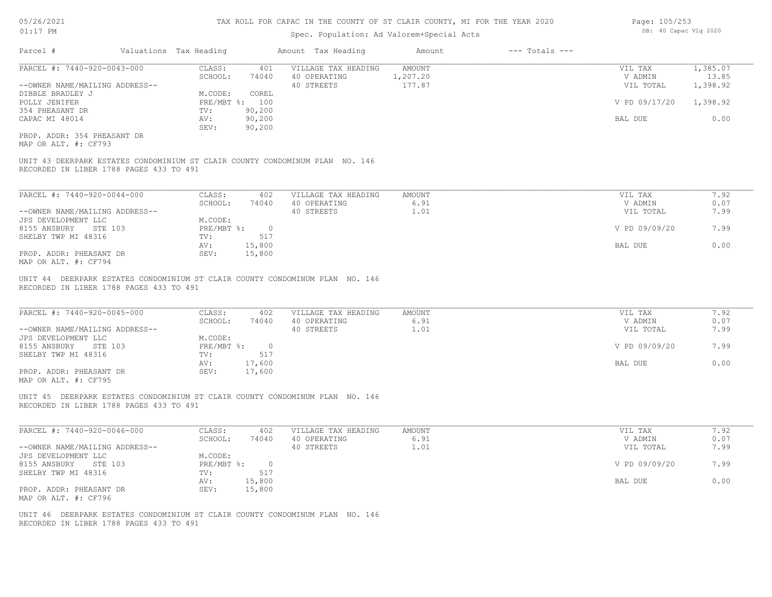# Spec. Population: Ad Valorem+Special Acts

| PARCEL #: 7440-920-0043-000                                                                                             |                                 | Amount Tax Heading         | Amount        | $---$ Totals $---$ |               |          |
|-------------------------------------------------------------------------------------------------------------------------|---------------------------------|----------------------------|---------------|--------------------|---------------|----------|
|                                                                                                                         | CLASS:<br>401                   | VILLAGE TAX HEADING        | <b>AMOUNT</b> |                    | VIL TAX       | 1,385.07 |
|                                                                                                                         | SCHOOL:<br>74040                | 40 OPERATING               | 1,207.20      |                    | V ADMIN       | 13.85    |
| --OWNER NAME/MAILING ADDRESS--                                                                                          |                                 | 40 STREETS                 | 177.87        |                    | VIL TOTAL     | 1,398.92 |
| DIBBLE BRADLEY J                                                                                                        | M.CODE:<br>COREL                |                            |               |                    |               |          |
| POLLY JENIFER                                                                                                           | PRE/MBT %: 100                  |                            |               |                    | V PD 09/17/20 | 1,398.92 |
| 354 PHEASANT DR                                                                                                         | 90,200<br>TV:                   |                            |               |                    |               |          |
| CAPAC MI 48014                                                                                                          | 90,200<br>AV:                   |                            |               |                    | BAL DUE       | 0.00     |
|                                                                                                                         | 90,200<br>SEV:                  |                            |               |                    |               |          |
| PROP. ADDR: 354 PHEASANT DR<br>MAP OR ALT. #: CF793                                                                     |                                 |                            |               |                    |               |          |
|                                                                                                                         |                                 |                            |               |                    |               |          |
| UNIT 43 DEERPARK ESTATES CONDOMINIUM ST CLAIR COUNTY CONDOMINUM PLAN NO. 146<br>RECORDED IN LIBER 1788 PAGES 433 TO 491 |                                 |                            |               |                    |               |          |
| PARCEL #: 7440-920-0044-000                                                                                             | CLASS:                          | 402<br>VILLAGE TAX HEADING | <b>AMOUNT</b> |                    | VIL TAX       | 7.92     |
|                                                                                                                         | 74040<br>SCHOOL:                | 40 OPERATING               | 6.91          |                    | V ADMIN       | 0.07     |
| --OWNER NAME/MAILING ADDRESS--                                                                                          |                                 | 40 STREETS                 | 1.01          |                    | VIL TOTAL     | 7.99     |
| JPS DEVELOPMENT LLC                                                                                                     | M.CODE:                         |                            |               |                    |               |          |
| STE 103                                                                                                                 | PRE/MBT %:                      | $\circ$                    |               |                    | V PD 09/09/20 | 7.99     |
| 8155 ANSBURY<br>SHELBY TWP MI 48316                                                                                     | 517<br>TV:                      |                            |               |                    |               |          |
| PROP. ADDR: PHEASANT DR                                                                                                 | 15,800<br>AV:<br>15,800<br>SEV: |                            |               |                    | BAL DUE       | 0.00     |

| PARCEL #: 7440-920-0045-000    | CLASS:     | 402    | VILLAGE TAX HEADING | AMOUNT | VIL TAX       | 7.92 |
|--------------------------------|------------|--------|---------------------|--------|---------------|------|
|                                | SCHOOL:    | 74040  | 40 OPERATING        | 6.91   | V ADMIN       | 0.07 |
| --OWNER NAME/MAILING ADDRESS-- |            |        | 40 STREETS          | 1.01   | VIL TOTAL     | 7.99 |
| JPS DEVELOPMENT LLC            | M.CODE:    |        |                     |        |               |      |
| 8155 ANSBURY<br>STE 103        | PRE/MBT %: |        |                     |        | V PD 09/09/20 | 7.99 |
| SHELBY TWP MI 48316            | TV:        | 517    |                     |        |               |      |
|                                | AV:        | 17,600 |                     |        | BAL DUE       | 0.00 |
| PROP. ADDR: PHEASANT DR        | SEV:       | 17,600 |                     |        |               |      |
| $\mathbf{M}$                   |            |        |                     |        |               |      |

MAP OR ALT. #: CF795

RECORDED IN LIBER 1788 PAGES 433 TO 491 UNIT 45 DEERPARK ESTATES CONDOMINIUM ST CLAIR COUNTY CONDOMINUM PLAN NO. 146

| PARCEL #: 7440-920-0046-000    | CLASS:       | 402    | VILLAGE TAX HEADING | AMOUNT | VIL TAX       | 1.92 |
|--------------------------------|--------------|--------|---------------------|--------|---------------|------|
|                                | SCHOOL:      | 74040  | 40 OPERATING        | 6.91   | V ADMIN       | 0.07 |
| --OWNER NAME/MAILING ADDRESS-- |              |        | 40 STREETS          | 1.01   | VIL TOTAL     | 7.99 |
| JPS DEVELOPMENT LLC            | M.CODE:      |        |                     |        |               |      |
| 8155 ANSBURY<br>STE 103        | $PRE/MBT$ %: |        |                     |        | V PD 09/09/20 | 7.99 |
| SHELBY TWP MI 48316            | TV:          | 517    |                     |        |               |      |
|                                | AV:          | 15,800 |                     |        | BAL DUE       | 0.00 |
| PROP. ADDR: PHEASANT DR        | SEV:         | 15,800 |                     |        |               |      |
| MAP OR ALT. #: CF796           |              |        |                     |        |               |      |

RECORDED IN LIBER 1788 PAGES 433 TO 491 UNIT 46 DEERPARK ESTATES CONDOMINIUM ST CLAIR COUNTY CONDOMINUM PLAN NO. 146 Page: 105/253 DB: 40 Capac Vlg 2020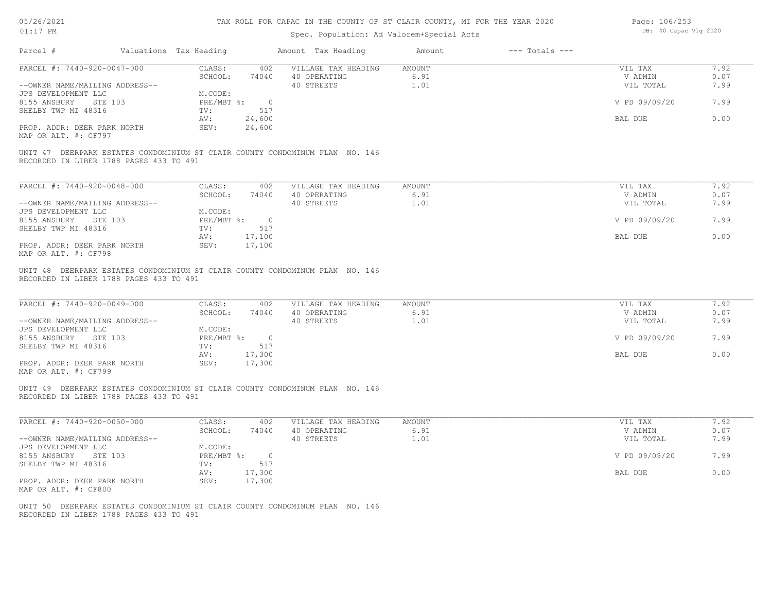| 05/26/2021 |  |
|------------|--|
| 01:17      |  |

# Spec. Population: Ad Valorem+Special Acts

Page: 106/253 DB: 40 Capac Vlg 2020

| PARCEL #: 7440-920-0047-000                                                                                             | CLASS:<br>SCHOOL:       | 402 VILLAGE TAX HEADING AMOUNT<br>74040 40 OPERATING | 6.91   | VIL TAX<br>V ADMIN | 7.92<br>0.07 |
|-------------------------------------------------------------------------------------------------------------------------|-------------------------|------------------------------------------------------|--------|--------------------|--------------|
| --OWNER NAME/MAILING ADDRESS--                                                                                          |                         | 40 STREETS                                           | 1.01   | VIL TOTAL          | 7.99         |
| JPS DEVELOPMENT LLC                                                                                                     | M.CODE:                 |                                                      |        |                    |              |
| 8155 ANSBURY STE 103                                                                                                    | PRE/MBT %: 0            |                                                      |        | V PD 09/09/20      | 7.99         |
| SHELBY TWP MI 48316                                                                                                     | TV:<br>517              |                                                      |        |                    |              |
|                                                                                                                         | 24,600<br>AV:           |                                                      |        | BAL DUE            | 0.00         |
| PROP. ADDR: DEER PARK NORTH                                                                                             | 24,600<br>SEV:          |                                                      |        |                    |              |
| MAP OR ALT. #: CF797                                                                                                    |                         |                                                      |        |                    |              |
| UNIT 47 DEERPARK ESTATES CONDOMINIUM ST CLAIR COUNTY CONDOMINUM PLAN NO. 146                                            |                         |                                                      |        |                    |              |
| RECORDED IN LIBER 1788 PAGES 433 TO 491                                                                                 |                         |                                                      |        |                    |              |
|                                                                                                                         |                         |                                                      |        |                    |              |
| PARCEL #: 7440-920-0048-000                                                                                             | CLASS: 402              | VILLAGE TAX HEADING                                  | AMOUNT | VIL TAX            | 7.92         |
|                                                                                                                         | SCHOOL:                 | 74040 40 OPERATING                                   | 6.91   | V ADMIN            | 0.07         |
| --OWNER NAME/MAILING ADDRESS--                                                                                          |                         | 40 STREETS                                           | 1.01   | VIL TOTAL          | 7.99         |
| JPS DEVELOPMENT LLC                                                                                                     | M.CODE:                 |                                                      |        |                    |              |
| 8155 ANSBURY STE 103                                                                                                    | PRE/MBT %: 0            |                                                      |        | V PD 09/09/20      | 7.99         |
| SHELBY TWP MI 48316                                                                                                     | TV:<br>517              |                                                      |        |                    |              |
|                                                                                                                         | 17,100<br>AV:           |                                                      |        | BAL DUE            | 0.00         |
| PROP. ADDR: DEER PARK NORTH<br>MAP OR ALT. #: CF798                                                                     | SEV:<br>17,100          |                                                      |        |                    |              |
|                                                                                                                         |                         |                                                      |        |                    |              |
| UNIT 48 DEERPARK ESTATES CONDOMINIUM ST CLAIR COUNTY CONDOMINUM PLAN NO. 146                                            |                         |                                                      |        |                    |              |
| RECORDED IN LIBER 1788 PAGES 433 TO 491                                                                                 |                         |                                                      |        |                    |              |
| PARCEL #: 7440-920-0049-000                                                                                             | CLASS: 402              | VILLAGE TAX HEADING                                  | AMOUNT | VIL TAX            | 7.92         |
|                                                                                                                         | SCHOOL:                 | 74040 40 OPERATING                                   | 6.91   | V ADMIN            | 0.07         |
| --OWNER NAME/MAILING ADDRESS--                                                                                          |                         | 40 STREETS                                           | 1.01   | VIL TOTAL          | 7.99         |
| JPS DEVELOPMENT LLC<br>8155 ANSBURY STE 103                                                                             | M.CODE:<br>PRE/MBT %: 0 |                                                      |        | V PD 09/09/20      | 7.99         |
| SHELBY TWP MI 48316                                                                                                     | 517<br>$\text{TV}$ :    |                                                      |        |                    |              |
|                                                                                                                         | 17,300<br>AV:           |                                                      |        | BAL DUE            | 0.00         |
| PROP. ADDR: DEER PARK NORTH                                                                                             | 17,300<br>SEV:          |                                                      |        |                    |              |
| MAP OR ALT. #: CF799                                                                                                    |                         |                                                      |        |                    |              |
| UNIT 49 DEERPARK ESTATES CONDOMINIUM ST CLAIR COUNTY CONDOMINUM PLAN NO. 146<br>RECORDED IN LIBER 1788 PAGES 433 TO 491 |                         |                                                      |        |                    |              |
| PARCEL #: 7440-920-0050-000                                                                                             | CLASS: 402              | VILLAGE TAX HEADING                                  | AMOUNT | VIL TAX            | 7.92         |
|                                                                                                                         | SCHOOL:                 | 74040 40 OPERATING                                   | 6.91   | V ADMIN            | 0.07         |
| --OWNER NAME/MAILING ADDRESS--                                                                                          |                         | 40 STREETS                                           | 1.01   | VIL TOTAL          | 7.99         |
| JPS DEVELOPMENT LLC                                                                                                     | M.CODE:                 |                                                      |        |                    |              |
| 8155 ANSBURY STE 103                                                                                                    | PRE/MBT %: 0            |                                                      |        | V PD 09/09/20      | 7.99         |
| SHELBY TWP MI 48316                                                                                                     | 517<br>TV:              |                                                      |        |                    |              |
|                                                                                                                         | AV:<br>17,300           |                                                      |        | BAL DUE            | 0.00         |
| PROP. ADDR: DEER PARK NORTH                                                                                             | SEV:<br>17,300          |                                                      |        |                    |              |
| MAP OR ALT. #: CF800                                                                                                    |                         |                                                      |        |                    |              |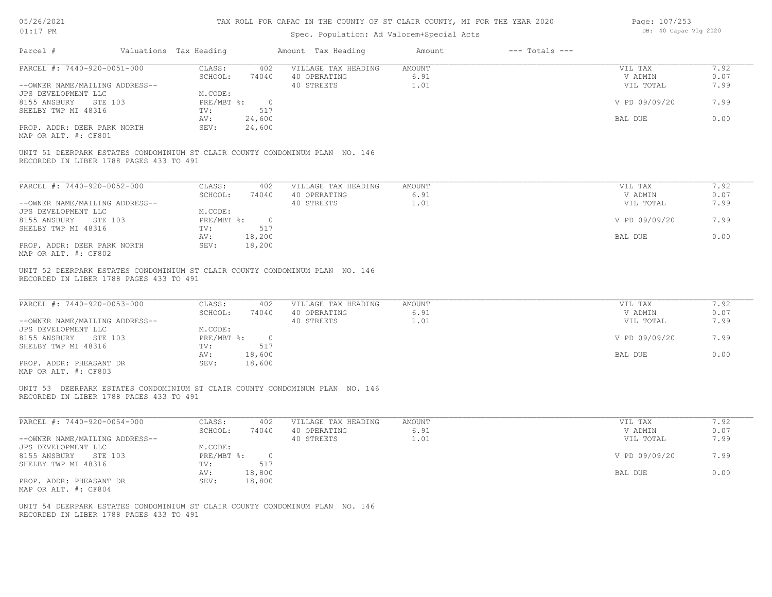| 05/26/2021 |  |
|------------|--|
| 01:17      |  |

# Spec. Population: Ad Valorem+Special Acts

Page: 107/253 DB: 40 Capac Vlg 2020

| Parcel #                                                                                                                            | Valuations Tax Heading                                                     | Amount Tax Heading                                | Amount                 | $---$ Totals $---$                               |                              |
|-------------------------------------------------------------------------------------------------------------------------------------|----------------------------------------------------------------------------|---------------------------------------------------|------------------------|--------------------------------------------------|------------------------------|
| PARCEL #: 7440-920-0051-000                                                                                                         | CLASS:                                                                     | 402 VILLAGE TAX HEADING AMOUNT                    |                        | VIL TAX                                          | 7.92                         |
|                                                                                                                                     | SCHOOL:                                                                    | 74040 40 OPERATING                                | 6.91                   | V ADMIN                                          | 0.07                         |
| --OWNER NAME/MAILING ADDRESS--                                                                                                      |                                                                            | 40 STREETS                                        | 1.01                   | VIL TOTAL                                        | 7.99                         |
| JPS DEVELOPMENT LLC<br>8155 ANSBURY<br>STE 103                                                                                      | M.CODE:<br>PRE/MBT %: 0                                                    |                                                   |                        | V PD 09/09/20                                    | 7.99                         |
|                                                                                                                                     | TV:<br>517                                                                 |                                                   |                        |                                                  |                              |
| SHELBY TWP MI 48316                                                                                                                 |                                                                            |                                                   |                        | BAL DUE                                          | 0.00                         |
|                                                                                                                                     | 24,600<br>AV:                                                              |                                                   |                        |                                                  |                              |
| PROP. ADDR: DEER PARK NORTH<br>MAP OR ALT. #: CF801                                                                                 | 24,600<br>SEV:                                                             |                                                   |                        |                                                  |                              |
|                                                                                                                                     |                                                                            |                                                   |                        |                                                  |                              |
| UNIT 51 DEERPARK ESTATES CONDOMINIUM ST CLAIR COUNTY CONDOMINUM PLAN NO. 146<br>RECORDED IN LIBER 1788 PAGES 433 TO 491             |                                                                            |                                                   |                        |                                                  |                              |
|                                                                                                                                     |                                                                            |                                                   |                        |                                                  |                              |
| PARCEL #: 7440-920-0052-000                                                                                                         | CLASS:<br>402                                                              | VILLAGE TAX HEADING                               | AMOUNT                 | VIL TAX                                          | 7.92                         |
|                                                                                                                                     | SCHOOL:<br>74040                                                           | 40 OPERATING                                      | 6.91                   | V ADMIN                                          | 0.07                         |
| --OWNER NAME/MAILING ADDRESS--                                                                                                      |                                                                            | 40 STREETS                                        | 1.01                   | VIL TOTAL                                        | 7.99                         |
| JPS DEVELOPMENT LLC                                                                                                                 | M.CODE:                                                                    |                                                   |                        |                                                  |                              |
| 8155 ANSBURY STE 103                                                                                                                | $PRE/MBT$ $\frac{1}{6}$ : 0                                                |                                                   |                        | V PD 09/09/20                                    | 7.99                         |
| SHELBY TWP MI 48316                                                                                                                 | 517<br>TV:                                                                 |                                                   |                        |                                                  |                              |
|                                                                                                                                     | AV:<br>18,200                                                              |                                                   |                        | BAL DUE                                          | 0.00                         |
| PROP. ADDR: DEER PARK NORTH                                                                                                         | SEV:<br>18,200                                                             |                                                   |                        |                                                  |                              |
| MAP OR ALT. #: CF802                                                                                                                |                                                                            |                                                   |                        |                                                  |                              |
| PARCEL #: 7440-920-0053-000<br>--OWNER NAME/MAILING ADDRESS--<br>JPS DEVELOPMENT LLC<br>8155 ANSBURY STE 103<br>SHELBY TWP MI 48316 | CLASS:<br>402<br>SCHOOL:<br>74040<br>M.CODE:<br>PRE/MBT %: 0<br>517<br>TV: | VILLAGE TAX HEADING<br>40 OPERATING<br>40 STREETS | AMOUNT<br>6.91<br>1.01 | VIL TAX<br>V ADMIN<br>VIL TOTAL<br>V PD 09/09/20 | 7.92<br>0.07<br>7.99<br>7.99 |
|                                                                                                                                     | 18,600<br>AV:                                                              |                                                   |                        | BAL DUE                                          | 0.00                         |
| PROP. ADDR: PHEASANT DR<br>MAP OR ALT. #: CF803                                                                                     | 18,600<br>SEV:                                                             |                                                   |                        |                                                  |                              |
| UNIT 53 DEERPARK ESTATES CONDOMINIUM ST CLAIR COUNTY CONDOMINUM PLAN NO. 146<br>RECORDED IN LIBER 1788 PAGES 433 TO 491             |                                                                            |                                                   |                        |                                                  |                              |
| PARCEL #: 7440-920-0054-000                                                                                                         | CLASS:<br>402                                                              | VILLAGE TAX HEADING                               | AMOUNT                 | VIL TAX                                          | 7.92                         |
|                                                                                                                                     | SCHOOL:<br>74040                                                           | 40 OPERATING                                      | 6.91                   | V ADMIN                                          | 0.07                         |
| --OWNER NAME/MAILING ADDRESS--                                                                                                      |                                                                            | 40 STREETS                                        | 1.01                   | VIL TOTAL                                        | 7.99                         |
| JPS DEVELOPMENT LLC                                                                                                                 | M.CODE:                                                                    |                                                   |                        |                                                  |                              |
| 8155 ANSBURY STE 103                                                                                                                | PRE/MBT %: 0<br>517                                                        |                                                   |                        | V PD 09/09/20                                    | 7.99                         |
| SHELBY TWP MI 48316                                                                                                                 | TV:                                                                        |                                                   |                        |                                                  |                              |
|                                                                                                                                     | 18,800<br>AV:                                                              |                                                   |                        | BAL DUE                                          | 0.00                         |
| PROP. ADDR: PHEASANT DR                                                                                                             | SEV:<br>18,800                                                             |                                                   |                        |                                                  |                              |
| MAP OR ALT. #: CF804                                                                                                                |                                                                            |                                                   |                        |                                                  |                              |
| UNIT 54 DEERPARK ESTATES CONDOMINIUM ST CLAIR COUNTY CONDOMINUM PLAN NO. 146                                                        |                                                                            |                                                   |                        |                                                  |                              |
| RECORDED IN LIBER 1788 PAGES 433 TO 491                                                                                             |                                                                            |                                                   |                        |                                                  |                              |
|                                                                                                                                     |                                                                            |                                                   |                        |                                                  |                              |
|                                                                                                                                     |                                                                            |                                                   |                        |                                                  |                              |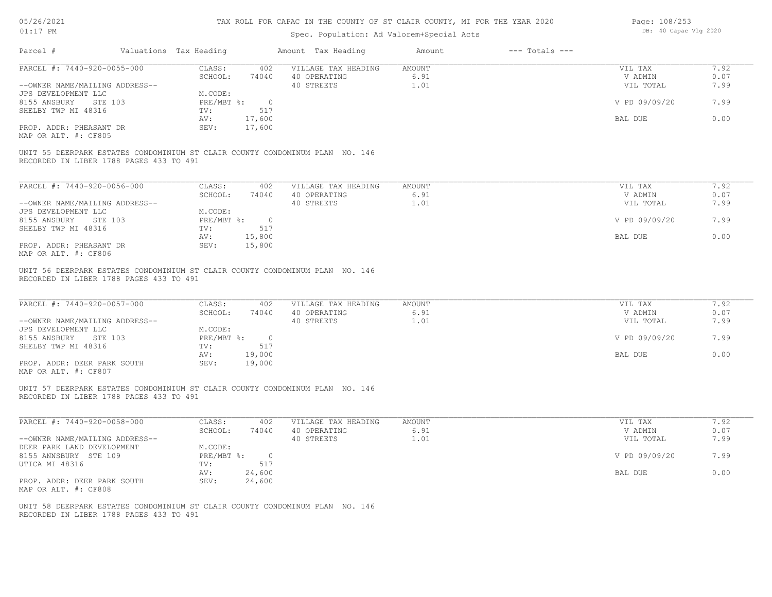| Page: 108/253 |                       |  |  |
|---------------|-----------------------|--|--|
|               | DB: 40 Capac Vlg 2020 |  |  |

| Amount Tax Heading<br>$---$ Totals $---$<br>Parcel #<br>Valuations Tax Heading<br>Amount<br>PARCEL #: 7440-920-0055-000<br>CLASS:<br>402<br>VILLAGE TAX HEADING<br><b>AMOUNT</b><br>VIL TAX<br>SCHOOL:<br>74040<br>40 OPERATING<br>6.91<br>V ADMIN<br>1.01<br>--OWNER NAME/MAILING ADDRESS--<br>40 STREETS<br>VIL TOTAL<br>JPS DEVELOPMENT LLC<br>M.CODE:<br>PRE/MBT %:<br>V PD 09/09/20<br>8155 ANSBURY<br>STE 103<br>$\overline{0}$<br>517<br>SHELBY TWP MI 48316<br>TV:<br>17,600<br>AV:<br>BAL DUE<br>PROP. ADDR: PHEASANT DR<br>SEV:<br>17,600<br>MAP OR ALT. #: CF805<br>UNIT 55 DEERPARK ESTATES CONDOMINIUM ST CLAIR COUNTY CONDOMINUM PLAN NO. 146<br>RECORDED IN LIBER 1788 PAGES 433 TO 491<br>PARCEL #: 7440-920-0056-000<br>CLASS:<br>402<br>VILLAGE TAX HEADING<br>AMOUNT<br>VIL TAX<br>SCHOOL:<br>74040<br>40 OPERATING<br>6.91<br>V ADMIN<br>40 STREETS<br>1.01<br>VIL TOTAL<br>--OWNER NAME/MAILING ADDRESS--<br>JPS DEVELOPMENT LLC<br>M.CODE:<br>8155 ANSBURY STE 103<br>$PRE/MBT$ %:<br>V PD 09/09/20<br>$\overline{0}$<br>517<br>SHELBY TWP MI 48316<br>TV:<br>AV:<br>15,800<br>BAL DUE<br>PROP. ADDR: PHEASANT DR<br>SEV:<br>15,800<br>MAP OR ALT. #: CF806<br>UNIT 56 DEERPARK ESTATES CONDOMINIUM ST CLAIR COUNTY CONDOMINUM PLAN NO. 146<br>RECORDED IN LIBER 1788 PAGES 433 TO 491<br>PARCEL #: 7440-920-0057-000<br>CLASS:<br>402<br>VILLAGE TAX HEADING<br><b>AMOUNT</b><br>VIL TAX<br>SCHOOL:<br>40 OPERATING<br>6.91<br>V ADMIN<br>74040<br>40 STREETS<br>1.01<br>--OWNER NAME/MAILING ADDRESS--<br>VIL TOTAL<br>JPS DEVELOPMENT LLC<br>M.CODE:<br>8155 ANSBURY STE 103<br>PRE/MBT %:<br>V PD 09/09/20<br>$\overline{0}$<br>517<br>SHELBY TWP MI 48316<br>TV:<br>AV:<br>19,000<br>BAL DUE<br>PROP. ADDR: DEER PARK SOUTH<br>SEV:<br>19,000<br>MAP OR ALT. #: CF807<br>UNIT 57 DEERPARK ESTATES CONDOMINIUM ST CLAIR COUNTY CONDOMINUM PLAN NO. 146<br>RECORDED IN LIBER 1788 PAGES 433 TO 491<br>PARCEL #: 7440-920-0058-000<br>CLASS:<br>402<br>VILLAGE TAX HEADING<br>AMOUNT<br>VIL TAX<br>40 OPERATING<br>6.91<br>SCHOOL:<br>74040<br>V ADMIN<br>--OWNER NAME/MAILING ADDRESS--<br>40 STREETS<br>1.01<br>VIL TOTAL<br>DEER PARK LAND DEVELOPMENT<br>M.CODE:<br>8155 ANNSBURY STE 109<br>$PRE/MBT$ $\div$<br>V PD 09/09/20<br>$\overline{0}$<br>UTICA MI 48316 | OT:TI RM | Spec. Population: Ad Valorem+Special Acts | pp. to capac vig 2020 |                      |
|------------------------------------------------------------------------------------------------------------------------------------------------------------------------------------------------------------------------------------------------------------------------------------------------------------------------------------------------------------------------------------------------------------------------------------------------------------------------------------------------------------------------------------------------------------------------------------------------------------------------------------------------------------------------------------------------------------------------------------------------------------------------------------------------------------------------------------------------------------------------------------------------------------------------------------------------------------------------------------------------------------------------------------------------------------------------------------------------------------------------------------------------------------------------------------------------------------------------------------------------------------------------------------------------------------------------------------------------------------------------------------------------------------------------------------------------------------------------------------------------------------------------------------------------------------------------------------------------------------------------------------------------------------------------------------------------------------------------------------------------------------------------------------------------------------------------------------------------------------------------------------------------------------------------------------------------------------------------------------------------------------------------------------------------------------------------------------------------------------------------------------------------------------------------------------------------------------------------------------------------------------------------------------------------|----------|-------------------------------------------|-----------------------|----------------------|
|                                                                                                                                                                                                                                                                                                                                                                                                                                                                                                                                                                                                                                                                                                                                                                                                                                                                                                                                                                                                                                                                                                                                                                                                                                                                                                                                                                                                                                                                                                                                                                                                                                                                                                                                                                                                                                                                                                                                                                                                                                                                                                                                                                                                                                                                                                |          |                                           |                       |                      |
|                                                                                                                                                                                                                                                                                                                                                                                                                                                                                                                                                                                                                                                                                                                                                                                                                                                                                                                                                                                                                                                                                                                                                                                                                                                                                                                                                                                                                                                                                                                                                                                                                                                                                                                                                                                                                                                                                                                                                                                                                                                                                                                                                                                                                                                                                                |          |                                           |                       | 7.92                 |
|                                                                                                                                                                                                                                                                                                                                                                                                                                                                                                                                                                                                                                                                                                                                                                                                                                                                                                                                                                                                                                                                                                                                                                                                                                                                                                                                                                                                                                                                                                                                                                                                                                                                                                                                                                                                                                                                                                                                                                                                                                                                                                                                                                                                                                                                                                |          |                                           |                       | 0.07                 |
|                                                                                                                                                                                                                                                                                                                                                                                                                                                                                                                                                                                                                                                                                                                                                                                                                                                                                                                                                                                                                                                                                                                                                                                                                                                                                                                                                                                                                                                                                                                                                                                                                                                                                                                                                                                                                                                                                                                                                                                                                                                                                                                                                                                                                                                                                                |          |                                           |                       | 7.99                 |
|                                                                                                                                                                                                                                                                                                                                                                                                                                                                                                                                                                                                                                                                                                                                                                                                                                                                                                                                                                                                                                                                                                                                                                                                                                                                                                                                                                                                                                                                                                                                                                                                                                                                                                                                                                                                                                                                                                                                                                                                                                                                                                                                                                                                                                                                                                |          |                                           |                       |                      |
|                                                                                                                                                                                                                                                                                                                                                                                                                                                                                                                                                                                                                                                                                                                                                                                                                                                                                                                                                                                                                                                                                                                                                                                                                                                                                                                                                                                                                                                                                                                                                                                                                                                                                                                                                                                                                                                                                                                                                                                                                                                                                                                                                                                                                                                                                                |          |                                           |                       | 7.99                 |
|                                                                                                                                                                                                                                                                                                                                                                                                                                                                                                                                                                                                                                                                                                                                                                                                                                                                                                                                                                                                                                                                                                                                                                                                                                                                                                                                                                                                                                                                                                                                                                                                                                                                                                                                                                                                                                                                                                                                                                                                                                                                                                                                                                                                                                                                                                |          |                                           |                       |                      |
|                                                                                                                                                                                                                                                                                                                                                                                                                                                                                                                                                                                                                                                                                                                                                                                                                                                                                                                                                                                                                                                                                                                                                                                                                                                                                                                                                                                                                                                                                                                                                                                                                                                                                                                                                                                                                                                                                                                                                                                                                                                                                                                                                                                                                                                                                                |          |                                           |                       | 0.00                 |
|                                                                                                                                                                                                                                                                                                                                                                                                                                                                                                                                                                                                                                                                                                                                                                                                                                                                                                                                                                                                                                                                                                                                                                                                                                                                                                                                                                                                                                                                                                                                                                                                                                                                                                                                                                                                                                                                                                                                                                                                                                                                                                                                                                                                                                                                                                |          |                                           |                       |                      |
|                                                                                                                                                                                                                                                                                                                                                                                                                                                                                                                                                                                                                                                                                                                                                                                                                                                                                                                                                                                                                                                                                                                                                                                                                                                                                                                                                                                                                                                                                                                                                                                                                                                                                                                                                                                                                                                                                                                                                                                                                                                                                                                                                                                                                                                                                                |          |                                           |                       |                      |
|                                                                                                                                                                                                                                                                                                                                                                                                                                                                                                                                                                                                                                                                                                                                                                                                                                                                                                                                                                                                                                                                                                                                                                                                                                                                                                                                                                                                                                                                                                                                                                                                                                                                                                                                                                                                                                                                                                                                                                                                                                                                                                                                                                                                                                                                                                |          |                                           |                       |                      |
|                                                                                                                                                                                                                                                                                                                                                                                                                                                                                                                                                                                                                                                                                                                                                                                                                                                                                                                                                                                                                                                                                                                                                                                                                                                                                                                                                                                                                                                                                                                                                                                                                                                                                                                                                                                                                                                                                                                                                                                                                                                                                                                                                                                                                                                                                                |          |                                           |                       |                      |
|                                                                                                                                                                                                                                                                                                                                                                                                                                                                                                                                                                                                                                                                                                                                                                                                                                                                                                                                                                                                                                                                                                                                                                                                                                                                                                                                                                                                                                                                                                                                                                                                                                                                                                                                                                                                                                                                                                                                                                                                                                                                                                                                                                                                                                                                                                |          |                                           |                       | 7.92                 |
|                                                                                                                                                                                                                                                                                                                                                                                                                                                                                                                                                                                                                                                                                                                                                                                                                                                                                                                                                                                                                                                                                                                                                                                                                                                                                                                                                                                                                                                                                                                                                                                                                                                                                                                                                                                                                                                                                                                                                                                                                                                                                                                                                                                                                                                                                                |          |                                           |                       | 0.07                 |
|                                                                                                                                                                                                                                                                                                                                                                                                                                                                                                                                                                                                                                                                                                                                                                                                                                                                                                                                                                                                                                                                                                                                                                                                                                                                                                                                                                                                                                                                                                                                                                                                                                                                                                                                                                                                                                                                                                                                                                                                                                                                                                                                                                                                                                                                                                |          |                                           |                       | 7.99                 |
|                                                                                                                                                                                                                                                                                                                                                                                                                                                                                                                                                                                                                                                                                                                                                                                                                                                                                                                                                                                                                                                                                                                                                                                                                                                                                                                                                                                                                                                                                                                                                                                                                                                                                                                                                                                                                                                                                                                                                                                                                                                                                                                                                                                                                                                                                                |          |                                           |                       |                      |
|                                                                                                                                                                                                                                                                                                                                                                                                                                                                                                                                                                                                                                                                                                                                                                                                                                                                                                                                                                                                                                                                                                                                                                                                                                                                                                                                                                                                                                                                                                                                                                                                                                                                                                                                                                                                                                                                                                                                                                                                                                                                                                                                                                                                                                                                                                |          |                                           |                       | 7.99                 |
|                                                                                                                                                                                                                                                                                                                                                                                                                                                                                                                                                                                                                                                                                                                                                                                                                                                                                                                                                                                                                                                                                                                                                                                                                                                                                                                                                                                                                                                                                                                                                                                                                                                                                                                                                                                                                                                                                                                                                                                                                                                                                                                                                                                                                                                                                                |          |                                           |                       |                      |
|                                                                                                                                                                                                                                                                                                                                                                                                                                                                                                                                                                                                                                                                                                                                                                                                                                                                                                                                                                                                                                                                                                                                                                                                                                                                                                                                                                                                                                                                                                                                                                                                                                                                                                                                                                                                                                                                                                                                                                                                                                                                                                                                                                                                                                                                                                |          |                                           |                       | 0.00                 |
|                                                                                                                                                                                                                                                                                                                                                                                                                                                                                                                                                                                                                                                                                                                                                                                                                                                                                                                                                                                                                                                                                                                                                                                                                                                                                                                                                                                                                                                                                                                                                                                                                                                                                                                                                                                                                                                                                                                                                                                                                                                                                                                                                                                                                                                                                                |          |                                           |                       |                      |
|                                                                                                                                                                                                                                                                                                                                                                                                                                                                                                                                                                                                                                                                                                                                                                                                                                                                                                                                                                                                                                                                                                                                                                                                                                                                                                                                                                                                                                                                                                                                                                                                                                                                                                                                                                                                                                                                                                                                                                                                                                                                                                                                                                                                                                                                                                |          |                                           |                       | 7.92<br>0.07<br>7.99 |
|                                                                                                                                                                                                                                                                                                                                                                                                                                                                                                                                                                                                                                                                                                                                                                                                                                                                                                                                                                                                                                                                                                                                                                                                                                                                                                                                                                                                                                                                                                                                                                                                                                                                                                                                                                                                                                                                                                                                                                                                                                                                                                                                                                                                                                                                                                |          |                                           |                       | 7.99                 |
|                                                                                                                                                                                                                                                                                                                                                                                                                                                                                                                                                                                                                                                                                                                                                                                                                                                                                                                                                                                                                                                                                                                                                                                                                                                                                                                                                                                                                                                                                                                                                                                                                                                                                                                                                                                                                                                                                                                                                                                                                                                                                                                                                                                                                                                                                                |          |                                           |                       |                      |
|                                                                                                                                                                                                                                                                                                                                                                                                                                                                                                                                                                                                                                                                                                                                                                                                                                                                                                                                                                                                                                                                                                                                                                                                                                                                                                                                                                                                                                                                                                                                                                                                                                                                                                                                                                                                                                                                                                                                                                                                                                                                                                                                                                                                                                                                                                |          |                                           |                       |                      |
|                                                                                                                                                                                                                                                                                                                                                                                                                                                                                                                                                                                                                                                                                                                                                                                                                                                                                                                                                                                                                                                                                                                                                                                                                                                                                                                                                                                                                                                                                                                                                                                                                                                                                                                                                                                                                                                                                                                                                                                                                                                                                                                                                                                                                                                                                                |          |                                           |                       | 0.00                 |
|                                                                                                                                                                                                                                                                                                                                                                                                                                                                                                                                                                                                                                                                                                                                                                                                                                                                                                                                                                                                                                                                                                                                                                                                                                                                                                                                                                                                                                                                                                                                                                                                                                                                                                                                                                                                                                                                                                                                                                                                                                                                                                                                                                                                                                                                                                |          |                                           |                       |                      |
|                                                                                                                                                                                                                                                                                                                                                                                                                                                                                                                                                                                                                                                                                                                                                                                                                                                                                                                                                                                                                                                                                                                                                                                                                                                                                                                                                                                                                                                                                                                                                                                                                                                                                                                                                                                                                                                                                                                                                                                                                                                                                                                                                                                                                                                                                                |          |                                           |                       |                      |
|                                                                                                                                                                                                                                                                                                                                                                                                                                                                                                                                                                                                                                                                                                                                                                                                                                                                                                                                                                                                                                                                                                                                                                                                                                                                                                                                                                                                                                                                                                                                                                                                                                                                                                                                                                                                                                                                                                                                                                                                                                                                                                                                                                                                                                                                                                |          |                                           |                       | 7.92                 |
|                                                                                                                                                                                                                                                                                                                                                                                                                                                                                                                                                                                                                                                                                                                                                                                                                                                                                                                                                                                                                                                                                                                                                                                                                                                                                                                                                                                                                                                                                                                                                                                                                                                                                                                                                                                                                                                                                                                                                                                                                                                                                                                                                                                                                                                                                                |          |                                           |                       | 0.07                 |
|                                                                                                                                                                                                                                                                                                                                                                                                                                                                                                                                                                                                                                                                                                                                                                                                                                                                                                                                                                                                                                                                                                                                                                                                                                                                                                                                                                                                                                                                                                                                                                                                                                                                                                                                                                                                                                                                                                                                                                                                                                                                                                                                                                                                                                                                                                |          |                                           |                       | 7.99                 |
|                                                                                                                                                                                                                                                                                                                                                                                                                                                                                                                                                                                                                                                                                                                                                                                                                                                                                                                                                                                                                                                                                                                                                                                                                                                                                                                                                                                                                                                                                                                                                                                                                                                                                                                                                                                                                                                                                                                                                                                                                                                                                                                                                                                                                                                                                                |          |                                           |                       |                      |
|                                                                                                                                                                                                                                                                                                                                                                                                                                                                                                                                                                                                                                                                                                                                                                                                                                                                                                                                                                                                                                                                                                                                                                                                                                                                                                                                                                                                                                                                                                                                                                                                                                                                                                                                                                                                                                                                                                                                                                                                                                                                                                                                                                                                                                                                                                |          |                                           |                       | 7.99                 |
|                                                                                                                                                                                                                                                                                                                                                                                                                                                                                                                                                                                                                                                                                                                                                                                                                                                                                                                                                                                                                                                                                                                                                                                                                                                                                                                                                                                                                                                                                                                                                                                                                                                                                                                                                                                                                                                                                                                                                                                                                                                                                                                                                                                                                                                                                                | TV:      | 517                                       |                       |                      |
| 24,600<br>BAL DUE<br>AV:                                                                                                                                                                                                                                                                                                                                                                                                                                                                                                                                                                                                                                                                                                                                                                                                                                                                                                                                                                                                                                                                                                                                                                                                                                                                                                                                                                                                                                                                                                                                                                                                                                                                                                                                                                                                                                                                                                                                                                                                                                                                                                                                                                                                                                                                       |          |                                           |                       | 0.00                 |
| SEV:<br>24,600<br>PROP. ADDR: DEER PARK SOUTH                                                                                                                                                                                                                                                                                                                                                                                                                                                                                                                                                                                                                                                                                                                                                                                                                                                                                                                                                                                                                                                                                                                                                                                                                                                                                                                                                                                                                                                                                                                                                                                                                                                                                                                                                                                                                                                                                                                                                                                                                                                                                                                                                                                                                                                  |          |                                           |                       |                      |
| MAP OR ALT. #: CF808<br>UNIT 58 DEERPARK ESTATES CONDOMINIUM ST CLAIR COUNTY CONDOMINUM PLAN NO. 146<br>RECORDED IN LIBER 1788 PAGES 433 TO 491                                                                                                                                                                                                                                                                                                                                                                                                                                                                                                                                                                                                                                                                                                                                                                                                                                                                                                                                                                                                                                                                                                                                                                                                                                                                                                                                                                                                                                                                                                                                                                                                                                                                                                                                                                                                                                                                                                                                                                                                                                                                                                                                                |          |                                           |                       |                      |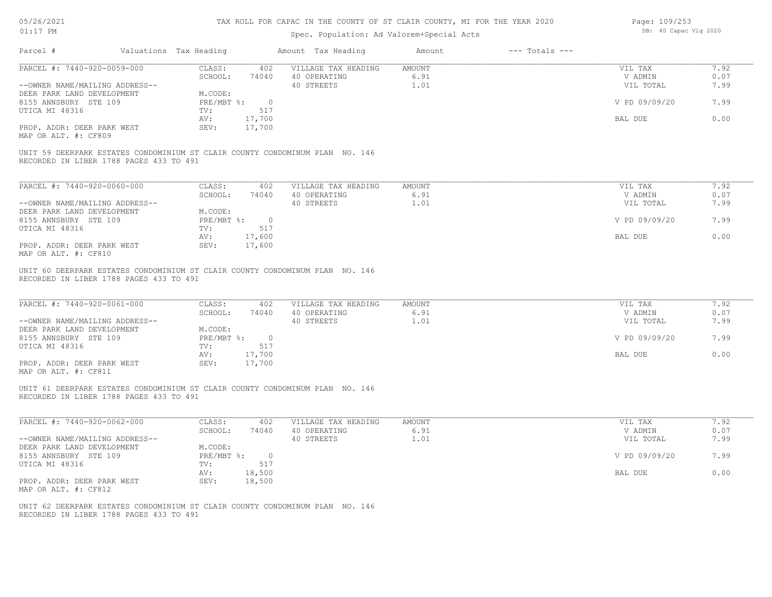| 05/26/2021 |  |
|------------|--|
| 01:17      |  |

# Spec. Population: Ad Valorem+Special Acts

Page: 109/253 DB: 40 Capac Vlg 2020

| PARCEL #: 7440-920-0059-000<br>CLASS:<br>402<br>VILLAGE TAX HEADING<br><b>AMOUNT</b><br>7.92<br>VIL TAX<br>SCHOOL:<br>40 OPERATING<br>6.91<br>0.07<br>74040<br>V ADMIN<br>1.01<br>7.99<br>40 STREETS<br>--OWNER NAME/MAILING ADDRESS--<br>VIL TOTAL<br>DEER PARK LAND DEVELOPMENT<br>M.CODE:<br>8155 ANNSBURY STE 109<br>PRE/MBT %:<br>V PD 09/09/20<br>7.99<br>$\overline{0}$<br>UTICA MI 48316<br>517<br>TV:<br>0.00<br>17,700<br>AV:<br>BAL DUE<br>PROP. ADDR: DEER PARK WEST<br>SEV:<br>17,700<br>MAP OR ALT. #: CF809<br>UNIT 59 DEERPARK ESTATES CONDOMINIUM ST CLAIR COUNTY CONDOMINUM PLAN NO. 146<br>RECORDED IN LIBER 1788 PAGES 433 TO 491<br>PARCEL #: 7440-920-0060-000<br>7.92<br>CLASS:<br>402<br>VILLAGE TAX HEADING<br>AMOUNT<br>VIL TAX<br>SCHOOL:<br>6.91<br>V ADMIN<br>0.07<br>74040<br>40 OPERATING<br>40 STREETS<br>1.01<br>VIL TOTAL<br>7.99<br>--OWNER NAME/MAILING ADDRESS--<br>DEER PARK LAND DEVELOPMENT<br>M.CODE:<br>8155 ANNSBURY STE 109<br>PRE/MBT %: 0<br>V PD 09/09/20<br>7.99<br>UTICA MI 48316<br>TV:<br>517<br>0.00<br>AV:<br>17,600<br>BAL DUE<br>PROP. ADDR: DEER PARK WEST<br>SEV:<br>17,600<br>MAP OR ALT. #: CF810<br>UNIT 60 DEERPARK ESTATES CONDOMINIUM ST CLAIR COUNTY CONDOMINUM PLAN NO. 146<br>RECORDED IN LIBER 1788 PAGES 433 TO 491<br>PARCEL #: 7440-920-0061-000<br>7.92<br>CLASS:<br>402<br>VILLAGE TAX HEADING<br><b>AMOUNT</b><br>VIL TAX<br>SCHOOL:<br>40 OPERATING<br>6.91<br>V ADMIN<br>0.07<br>74040<br>--OWNER NAME/MAILING ADDRESS--<br>40 STREETS<br>1.01<br>7.99<br>VIL TOTAL<br>DEER PARK LAND DEVELOPMENT<br>M.CODE:<br>8155 ANNSBURY STE 109<br>$PRE/MBT$ %:<br>$\overline{0}$<br>V PD 09/09/20<br>7.99<br>UTICA MI 48316<br>TV:<br>517<br>0.00<br>AV:<br>17,700<br>BAL DUE<br>PROP. ADDR: DEER PARK WEST<br>SEV:<br>17,700<br>MAP OR ALT. #: CF811<br>UNIT 61 DEERPARK ESTATES CONDOMINIUM ST CLAIR COUNTY CONDOMINUM PLAN NO. 146<br>RECORDED IN LIBER 1788 PAGES 433 TO 491<br>PARCEL #: 7440-920-0062-000<br>CLASS:<br>402<br>VILLAGE TAX HEADING<br><b>AMOUNT</b><br>VIL TAX<br>7.92<br>SCHOOL:<br>74040<br>40 OPERATING<br>6.91<br>V ADMIN<br>0.07<br>1.01<br>--OWNER NAME/MAILING ADDRESS--<br>40 STREETS<br>VIL TOTAL<br>7.99<br>DEER PARK LAND DEVELOPMENT<br>M.CODE:<br>8155 ANNSBURY STE 109<br>PRE/MBT %: 0<br>V PD 09/09/20<br>7.99<br>517<br>UTICA MI 48316<br>TV:<br>BAL DUE<br>0.00<br>AV:<br>18,500<br>PROP. ADDR: DEER PARK WEST<br>SEV:<br>18,500<br>MAP OR ALT. #: CF812<br>UNIT 62 DEERPARK ESTATES CONDOMINIUM ST CLAIR COUNTY CONDOMINUM PLAN NO. 146<br>RECORDED IN LIBER 1788 PAGES 433 TO 491 | Parcel # | Valuations Tax Heading | Amount Tax Heading | Amount | $---$ Totals $---$ |  |
|---------------------------------------------------------------------------------------------------------------------------------------------------------------------------------------------------------------------------------------------------------------------------------------------------------------------------------------------------------------------------------------------------------------------------------------------------------------------------------------------------------------------------------------------------------------------------------------------------------------------------------------------------------------------------------------------------------------------------------------------------------------------------------------------------------------------------------------------------------------------------------------------------------------------------------------------------------------------------------------------------------------------------------------------------------------------------------------------------------------------------------------------------------------------------------------------------------------------------------------------------------------------------------------------------------------------------------------------------------------------------------------------------------------------------------------------------------------------------------------------------------------------------------------------------------------------------------------------------------------------------------------------------------------------------------------------------------------------------------------------------------------------------------------------------------------------------------------------------------------------------------------------------------------------------------------------------------------------------------------------------------------------------------------------------------------------------------------------------------------------------------------------------------------------------------------------------------------------------------------------------------------------------------------------------------------------------------------------------------------------------------------------------------------------------------------------------------------------------------------------------------------------------------------------------------------------------------------------|----------|------------------------|--------------------|--------|--------------------|--|
|                                                                                                                                                                                                                                                                                                                                                                                                                                                                                                                                                                                                                                                                                                                                                                                                                                                                                                                                                                                                                                                                                                                                                                                                                                                                                                                                                                                                                                                                                                                                                                                                                                                                                                                                                                                                                                                                                                                                                                                                                                                                                                                                                                                                                                                                                                                                                                                                                                                                                                                                                                                             |          |                        |                    |        |                    |  |
|                                                                                                                                                                                                                                                                                                                                                                                                                                                                                                                                                                                                                                                                                                                                                                                                                                                                                                                                                                                                                                                                                                                                                                                                                                                                                                                                                                                                                                                                                                                                                                                                                                                                                                                                                                                                                                                                                                                                                                                                                                                                                                                                                                                                                                                                                                                                                                                                                                                                                                                                                                                             |          |                        |                    |        |                    |  |
|                                                                                                                                                                                                                                                                                                                                                                                                                                                                                                                                                                                                                                                                                                                                                                                                                                                                                                                                                                                                                                                                                                                                                                                                                                                                                                                                                                                                                                                                                                                                                                                                                                                                                                                                                                                                                                                                                                                                                                                                                                                                                                                                                                                                                                                                                                                                                                                                                                                                                                                                                                                             |          |                        |                    |        |                    |  |
|                                                                                                                                                                                                                                                                                                                                                                                                                                                                                                                                                                                                                                                                                                                                                                                                                                                                                                                                                                                                                                                                                                                                                                                                                                                                                                                                                                                                                                                                                                                                                                                                                                                                                                                                                                                                                                                                                                                                                                                                                                                                                                                                                                                                                                                                                                                                                                                                                                                                                                                                                                                             |          |                        |                    |        |                    |  |
|                                                                                                                                                                                                                                                                                                                                                                                                                                                                                                                                                                                                                                                                                                                                                                                                                                                                                                                                                                                                                                                                                                                                                                                                                                                                                                                                                                                                                                                                                                                                                                                                                                                                                                                                                                                                                                                                                                                                                                                                                                                                                                                                                                                                                                                                                                                                                                                                                                                                                                                                                                                             |          |                        |                    |        |                    |  |
|                                                                                                                                                                                                                                                                                                                                                                                                                                                                                                                                                                                                                                                                                                                                                                                                                                                                                                                                                                                                                                                                                                                                                                                                                                                                                                                                                                                                                                                                                                                                                                                                                                                                                                                                                                                                                                                                                                                                                                                                                                                                                                                                                                                                                                                                                                                                                                                                                                                                                                                                                                                             |          |                        |                    |        |                    |  |
|                                                                                                                                                                                                                                                                                                                                                                                                                                                                                                                                                                                                                                                                                                                                                                                                                                                                                                                                                                                                                                                                                                                                                                                                                                                                                                                                                                                                                                                                                                                                                                                                                                                                                                                                                                                                                                                                                                                                                                                                                                                                                                                                                                                                                                                                                                                                                                                                                                                                                                                                                                                             |          |                        |                    |        |                    |  |
|                                                                                                                                                                                                                                                                                                                                                                                                                                                                                                                                                                                                                                                                                                                                                                                                                                                                                                                                                                                                                                                                                                                                                                                                                                                                                                                                                                                                                                                                                                                                                                                                                                                                                                                                                                                                                                                                                                                                                                                                                                                                                                                                                                                                                                                                                                                                                                                                                                                                                                                                                                                             |          |                        |                    |        |                    |  |
|                                                                                                                                                                                                                                                                                                                                                                                                                                                                                                                                                                                                                                                                                                                                                                                                                                                                                                                                                                                                                                                                                                                                                                                                                                                                                                                                                                                                                                                                                                                                                                                                                                                                                                                                                                                                                                                                                                                                                                                                                                                                                                                                                                                                                                                                                                                                                                                                                                                                                                                                                                                             |          |                        |                    |        |                    |  |
|                                                                                                                                                                                                                                                                                                                                                                                                                                                                                                                                                                                                                                                                                                                                                                                                                                                                                                                                                                                                                                                                                                                                                                                                                                                                                                                                                                                                                                                                                                                                                                                                                                                                                                                                                                                                                                                                                                                                                                                                                                                                                                                                                                                                                                                                                                                                                                                                                                                                                                                                                                                             |          |                        |                    |        |                    |  |
|                                                                                                                                                                                                                                                                                                                                                                                                                                                                                                                                                                                                                                                                                                                                                                                                                                                                                                                                                                                                                                                                                                                                                                                                                                                                                                                                                                                                                                                                                                                                                                                                                                                                                                                                                                                                                                                                                                                                                                                                                                                                                                                                                                                                                                                                                                                                                                                                                                                                                                                                                                                             |          |                        |                    |        |                    |  |
|                                                                                                                                                                                                                                                                                                                                                                                                                                                                                                                                                                                                                                                                                                                                                                                                                                                                                                                                                                                                                                                                                                                                                                                                                                                                                                                                                                                                                                                                                                                                                                                                                                                                                                                                                                                                                                                                                                                                                                                                                                                                                                                                                                                                                                                                                                                                                                                                                                                                                                                                                                                             |          |                        |                    |        |                    |  |
|                                                                                                                                                                                                                                                                                                                                                                                                                                                                                                                                                                                                                                                                                                                                                                                                                                                                                                                                                                                                                                                                                                                                                                                                                                                                                                                                                                                                                                                                                                                                                                                                                                                                                                                                                                                                                                                                                                                                                                                                                                                                                                                                                                                                                                                                                                                                                                                                                                                                                                                                                                                             |          |                        |                    |        |                    |  |
|                                                                                                                                                                                                                                                                                                                                                                                                                                                                                                                                                                                                                                                                                                                                                                                                                                                                                                                                                                                                                                                                                                                                                                                                                                                                                                                                                                                                                                                                                                                                                                                                                                                                                                                                                                                                                                                                                                                                                                                                                                                                                                                                                                                                                                                                                                                                                                                                                                                                                                                                                                                             |          |                        |                    |        |                    |  |
|                                                                                                                                                                                                                                                                                                                                                                                                                                                                                                                                                                                                                                                                                                                                                                                                                                                                                                                                                                                                                                                                                                                                                                                                                                                                                                                                                                                                                                                                                                                                                                                                                                                                                                                                                                                                                                                                                                                                                                                                                                                                                                                                                                                                                                                                                                                                                                                                                                                                                                                                                                                             |          |                        |                    |        |                    |  |
|                                                                                                                                                                                                                                                                                                                                                                                                                                                                                                                                                                                                                                                                                                                                                                                                                                                                                                                                                                                                                                                                                                                                                                                                                                                                                                                                                                                                                                                                                                                                                                                                                                                                                                                                                                                                                                                                                                                                                                                                                                                                                                                                                                                                                                                                                                                                                                                                                                                                                                                                                                                             |          |                        |                    |        |                    |  |
|                                                                                                                                                                                                                                                                                                                                                                                                                                                                                                                                                                                                                                                                                                                                                                                                                                                                                                                                                                                                                                                                                                                                                                                                                                                                                                                                                                                                                                                                                                                                                                                                                                                                                                                                                                                                                                                                                                                                                                                                                                                                                                                                                                                                                                                                                                                                                                                                                                                                                                                                                                                             |          |                        |                    |        |                    |  |
|                                                                                                                                                                                                                                                                                                                                                                                                                                                                                                                                                                                                                                                                                                                                                                                                                                                                                                                                                                                                                                                                                                                                                                                                                                                                                                                                                                                                                                                                                                                                                                                                                                                                                                                                                                                                                                                                                                                                                                                                                                                                                                                                                                                                                                                                                                                                                                                                                                                                                                                                                                                             |          |                        |                    |        |                    |  |
|                                                                                                                                                                                                                                                                                                                                                                                                                                                                                                                                                                                                                                                                                                                                                                                                                                                                                                                                                                                                                                                                                                                                                                                                                                                                                                                                                                                                                                                                                                                                                                                                                                                                                                                                                                                                                                                                                                                                                                                                                                                                                                                                                                                                                                                                                                                                                                                                                                                                                                                                                                                             |          |                        |                    |        |                    |  |
|                                                                                                                                                                                                                                                                                                                                                                                                                                                                                                                                                                                                                                                                                                                                                                                                                                                                                                                                                                                                                                                                                                                                                                                                                                                                                                                                                                                                                                                                                                                                                                                                                                                                                                                                                                                                                                                                                                                                                                                                                                                                                                                                                                                                                                                                                                                                                                                                                                                                                                                                                                                             |          |                        |                    |        |                    |  |
|                                                                                                                                                                                                                                                                                                                                                                                                                                                                                                                                                                                                                                                                                                                                                                                                                                                                                                                                                                                                                                                                                                                                                                                                                                                                                                                                                                                                                                                                                                                                                                                                                                                                                                                                                                                                                                                                                                                                                                                                                                                                                                                                                                                                                                                                                                                                                                                                                                                                                                                                                                                             |          |                        |                    |        |                    |  |
|                                                                                                                                                                                                                                                                                                                                                                                                                                                                                                                                                                                                                                                                                                                                                                                                                                                                                                                                                                                                                                                                                                                                                                                                                                                                                                                                                                                                                                                                                                                                                                                                                                                                                                                                                                                                                                                                                                                                                                                                                                                                                                                                                                                                                                                                                                                                                                                                                                                                                                                                                                                             |          |                        |                    |        |                    |  |
|                                                                                                                                                                                                                                                                                                                                                                                                                                                                                                                                                                                                                                                                                                                                                                                                                                                                                                                                                                                                                                                                                                                                                                                                                                                                                                                                                                                                                                                                                                                                                                                                                                                                                                                                                                                                                                                                                                                                                                                                                                                                                                                                                                                                                                                                                                                                                                                                                                                                                                                                                                                             |          |                        |                    |        |                    |  |
|                                                                                                                                                                                                                                                                                                                                                                                                                                                                                                                                                                                                                                                                                                                                                                                                                                                                                                                                                                                                                                                                                                                                                                                                                                                                                                                                                                                                                                                                                                                                                                                                                                                                                                                                                                                                                                                                                                                                                                                                                                                                                                                                                                                                                                                                                                                                                                                                                                                                                                                                                                                             |          |                        |                    |        |                    |  |
|                                                                                                                                                                                                                                                                                                                                                                                                                                                                                                                                                                                                                                                                                                                                                                                                                                                                                                                                                                                                                                                                                                                                                                                                                                                                                                                                                                                                                                                                                                                                                                                                                                                                                                                                                                                                                                                                                                                                                                                                                                                                                                                                                                                                                                                                                                                                                                                                                                                                                                                                                                                             |          |                        |                    |        |                    |  |
|                                                                                                                                                                                                                                                                                                                                                                                                                                                                                                                                                                                                                                                                                                                                                                                                                                                                                                                                                                                                                                                                                                                                                                                                                                                                                                                                                                                                                                                                                                                                                                                                                                                                                                                                                                                                                                                                                                                                                                                                                                                                                                                                                                                                                                                                                                                                                                                                                                                                                                                                                                                             |          |                        |                    |        |                    |  |
|                                                                                                                                                                                                                                                                                                                                                                                                                                                                                                                                                                                                                                                                                                                                                                                                                                                                                                                                                                                                                                                                                                                                                                                                                                                                                                                                                                                                                                                                                                                                                                                                                                                                                                                                                                                                                                                                                                                                                                                                                                                                                                                                                                                                                                                                                                                                                                                                                                                                                                                                                                                             |          |                        |                    |        |                    |  |
|                                                                                                                                                                                                                                                                                                                                                                                                                                                                                                                                                                                                                                                                                                                                                                                                                                                                                                                                                                                                                                                                                                                                                                                                                                                                                                                                                                                                                                                                                                                                                                                                                                                                                                                                                                                                                                                                                                                                                                                                                                                                                                                                                                                                                                                                                                                                                                                                                                                                                                                                                                                             |          |                        |                    |        |                    |  |
|                                                                                                                                                                                                                                                                                                                                                                                                                                                                                                                                                                                                                                                                                                                                                                                                                                                                                                                                                                                                                                                                                                                                                                                                                                                                                                                                                                                                                                                                                                                                                                                                                                                                                                                                                                                                                                                                                                                                                                                                                                                                                                                                                                                                                                                                                                                                                                                                                                                                                                                                                                                             |          |                        |                    |        |                    |  |
|                                                                                                                                                                                                                                                                                                                                                                                                                                                                                                                                                                                                                                                                                                                                                                                                                                                                                                                                                                                                                                                                                                                                                                                                                                                                                                                                                                                                                                                                                                                                                                                                                                                                                                                                                                                                                                                                                                                                                                                                                                                                                                                                                                                                                                                                                                                                                                                                                                                                                                                                                                                             |          |                        |                    |        |                    |  |
|                                                                                                                                                                                                                                                                                                                                                                                                                                                                                                                                                                                                                                                                                                                                                                                                                                                                                                                                                                                                                                                                                                                                                                                                                                                                                                                                                                                                                                                                                                                                                                                                                                                                                                                                                                                                                                                                                                                                                                                                                                                                                                                                                                                                                                                                                                                                                                                                                                                                                                                                                                                             |          |                        |                    |        |                    |  |
|                                                                                                                                                                                                                                                                                                                                                                                                                                                                                                                                                                                                                                                                                                                                                                                                                                                                                                                                                                                                                                                                                                                                                                                                                                                                                                                                                                                                                                                                                                                                                                                                                                                                                                                                                                                                                                                                                                                                                                                                                                                                                                                                                                                                                                                                                                                                                                                                                                                                                                                                                                                             |          |                        |                    |        |                    |  |
|                                                                                                                                                                                                                                                                                                                                                                                                                                                                                                                                                                                                                                                                                                                                                                                                                                                                                                                                                                                                                                                                                                                                                                                                                                                                                                                                                                                                                                                                                                                                                                                                                                                                                                                                                                                                                                                                                                                                                                                                                                                                                                                                                                                                                                                                                                                                                                                                                                                                                                                                                                                             |          |                        |                    |        |                    |  |
|                                                                                                                                                                                                                                                                                                                                                                                                                                                                                                                                                                                                                                                                                                                                                                                                                                                                                                                                                                                                                                                                                                                                                                                                                                                                                                                                                                                                                                                                                                                                                                                                                                                                                                                                                                                                                                                                                                                                                                                                                                                                                                                                                                                                                                                                                                                                                                                                                                                                                                                                                                                             |          |                        |                    |        |                    |  |
|                                                                                                                                                                                                                                                                                                                                                                                                                                                                                                                                                                                                                                                                                                                                                                                                                                                                                                                                                                                                                                                                                                                                                                                                                                                                                                                                                                                                                                                                                                                                                                                                                                                                                                                                                                                                                                                                                                                                                                                                                                                                                                                                                                                                                                                                                                                                                                                                                                                                                                                                                                                             |          |                        |                    |        |                    |  |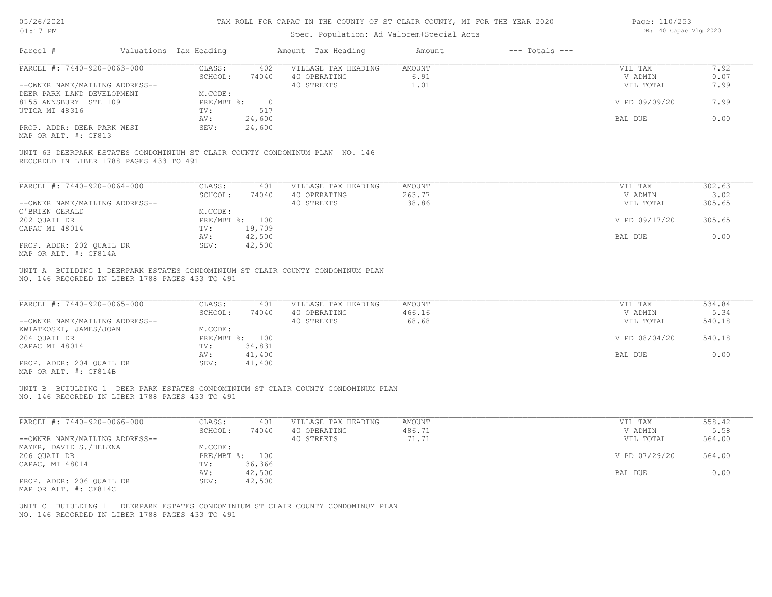# Spec. Population: Ad Valorem+Special Acts

| Page: 110/253 |                       |  |
|---------------|-----------------------|--|
|               | DB: 40 Capac Vlg 2020 |  |

| Parcel #<br>Valuations Tax Heading                                                                                                                         |                                   |                                                   |                                  |                                 |                          |
|------------------------------------------------------------------------------------------------------------------------------------------------------------|-----------------------------------|---------------------------------------------------|----------------------------------|---------------------------------|--------------------------|
| PARCEL #: 7440-920-0063-000                                                                                                                                | CLASS:<br>402<br>SCHOOL:<br>74040 | VILLAGE TAX HEADING<br>40 OPERATING               | AMOUNT<br>6.91                   | VIL TAX<br>V ADMIN              | 7.92<br>0.07             |
| --OWNER NAME/MAILING ADDRESS--                                                                                                                             |                                   | 40 STREETS                                        | 1.01                             | VIL TOTAL                       | 7.99                     |
| DEER PARK LAND DEVELOPMENT                                                                                                                                 | M.CODE:                           |                                                   |                                  |                                 |                          |
| 8155 ANNSBURY STE 109                                                                                                                                      | PRE/MBT %:<br>$\overline{0}$      |                                                   |                                  | V PD 09/09/20                   | 7.99                     |
| UTICA MI 48316                                                                                                                                             | 517<br>TV:                        |                                                   |                                  |                                 |                          |
|                                                                                                                                                            | 24,600<br>AV:                     |                                                   |                                  | BAL DUE                         | 0.00                     |
| PROP. ADDR: DEER PARK WEST<br>MAP OR ALT. #: CF813                                                                                                         | SEV:<br>24,600                    |                                                   |                                  |                                 |                          |
| UNIT 63 DEERPARK ESTATES CONDOMINIUM ST CLAIR COUNTY CONDOMINUM PLAN NO. 146<br>RECORDED IN LIBER 1788 PAGES 433 TO 491                                    |                                   |                                                   |                                  |                                 |                          |
| PARCEL #: 7440-920-0064-000                                                                                                                                | CLASS:<br>401                     | VILLAGE TAX HEADING                               | <b>AMOUNT</b>                    | VIL TAX                         | 302.63                   |
|                                                                                                                                                            | SCHOOL:<br>74040                  | 40 OPERATING                                      | 263.77                           | V ADMIN                         | 3.02                     |
| --OWNER NAME/MAILING ADDRESS--                                                                                                                             |                                   | 40 STREETS                                        | 38.86                            | VIL TOTAL                       | 305.65                   |
| O'BRIEN GERALD                                                                                                                                             | M.CODE:                           |                                                   |                                  |                                 |                          |
| 202 QUAIL DR                                                                                                                                               | PRE/MBT %: 100                    |                                                   |                                  | V PD 09/17/20                   | 305.65                   |
| CAPAC MI 48014                                                                                                                                             | 19,709<br>TV:                     |                                                   |                                  |                                 |                          |
| PROP. ADDR: 202 QUAIL DR                                                                                                                                   | AV:<br>42,500<br>SEV:<br>42,500   |                                                   |                                  | BAL DUE                         | 0.00                     |
|                                                                                                                                                            |                                   |                                                   |                                  |                                 |                          |
| MAP OR ALT. #: CF814A<br>UNIT A BUILDING 1 DEERPARK ESTATES CONDOMINIUM ST CLAIR COUNTY CONDOMINUM PLAN<br>NO. 146 RECORDED IN LIBER 1788 PAGES 433 TO 491 |                                   |                                                   |                                  |                                 |                          |
| PARCEL #: 7440-920-0065-000<br>--OWNER NAME/MAILING ADDRESS--                                                                                              | CLASS:<br>401<br>SCHOOL:<br>74040 | VILLAGE TAX HEADING<br>40 OPERATING<br>40 STREETS | <b>AMOUNT</b><br>466.16<br>68.68 | VIL TAX<br>V ADMIN<br>VIL TOTAL | 534.84<br>5.34<br>540.18 |
| KWIATKOSKI, JAMES/JOAN<br>204 QUAIL DR                                                                                                                     | M.CODE:<br>PRE/MBT %: 100         |                                                   |                                  | V PD 08/04/20                   | 540.18                   |
| CAPAC MI 48014                                                                                                                                             | 34,831<br>TV:                     |                                                   |                                  |                                 |                          |
| PROP. ADDR: 204 QUAIL DR<br>MAP OR ALT. #: CF814B                                                                                                          | 41,400<br>AV:<br>SEV:<br>41,400   |                                                   |                                  | BAL DUE                         | 0.00                     |
| UNIT B BUIULDING 1 DEER PARK ESTATES CONDOMINIUM ST CLAIR COUNTY CONDOMINUM PLAN<br>NO. 146 RECORDED IN LIBER 1788 PAGES 433 TO 491                        |                                   |                                                   |                                  |                                 |                          |
| PARCEL #: 7440-920-0066-000                                                                                                                                | CLASS:<br>401                     | VILLAGE TAX HEADING                               | <b>AMOUNT</b>                    | VIL TAX                         | 558.42                   |
|                                                                                                                                                            | SCHOOL:<br>74040                  | 40 OPERATING                                      | 486.71                           | V ADMIN                         | 5.58                     |
|                                                                                                                                                            |                                   | 40 STREETS                                        | 71.71                            | VIL TOTAL                       | 564.00                   |
|                                                                                                                                                            | M.CODE:                           |                                                   |                                  |                                 |                          |
|                                                                                                                                                            | PRE/MBT %: 100<br>36,366<br>TV:   |                                                   |                                  | V PD 07/29/20                   | 564.00                   |
|                                                                                                                                                            | 42,500<br>AV:                     |                                                   |                                  | BAL DUE                         | 0.00                     |
| --OWNER NAME/MAILING ADDRESS--<br>MAYER, DAVID S./HELENA<br>206 QUAIL DR<br>CAPAC, MI 48014<br>PROP. ADDR: 206 QUAIL DR<br>MAP OR ALT. #: CF814C           | SEV:<br>42,500                    |                                                   |                                  |                                 |                          |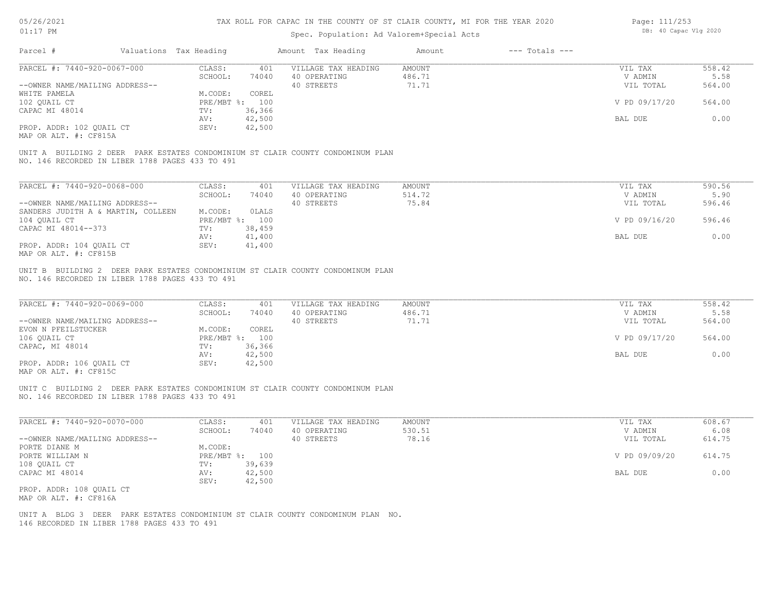# Spec. Population: Ad Valorem+Special Acts

| Page: 111/253 |                       |  |
|---------------|-----------------------|--|
|               | DB: 40 Capac Vlg 2020 |  |

| 486.71<br>5.58<br>SCHOOL:<br>74040<br>40 OPERATING<br>V ADMIN<br>71.71<br>--OWNER NAME/MAILING ADDRESS--<br>40 STREETS<br>VIL TOTAL<br>564.00<br>M.CODE:<br>COREL<br>WHITE PAMELA<br>PRE/MBT %: 100<br>564.00<br>102 QUAIL CT<br>V PD 09/17/20<br>CAPAC MI 48014<br>TV:<br>36,366<br>42,500<br>BAL DUE<br>0.00<br>AV:<br>PROP. ADDR: 102 QUAIL CT<br>42,500<br>SEV:<br>MAP OR ALT. #: CF815A<br>UNIT A BUILDING 2 DEER PARK ESTATES CONDOMINIUM ST CLAIR COUNTY CONDOMINUM PLAN<br>NO. 146 RECORDED IN LIBER 1788 PAGES 433 TO 491<br>PARCEL #: 7440-920-0068-000<br>CLASS:<br>VILLAGE TAX HEADING<br>590.56<br>401<br>AMOUNT<br>VIL TAX<br>514.72<br>5.90<br>SCHOOL:<br>40 OPERATING<br>V ADMIN<br>74040<br>75.84<br>--OWNER NAME/MAILING ADDRESS--<br>40 STREETS<br>VIL TOTAL<br>596.46<br>SANDERS JUDITH A & MARTIN, COLLEEN<br>M.CODE:<br>OLALS<br>104 QUAIL CT<br>PRE/MBT %: 100<br>V PD 09/16/20<br>596.46<br>CAPAC MI 48014--373<br>38,459<br>TV:<br>0.00<br>41,400<br>BAL DUE<br>AV:<br>PROP. ADDR: 104 QUAIL CT<br>SEV:<br>41,400<br>MAP OR ALT. #: CF815B<br>UNIT B BUILDING 2 DEER PARK ESTATES CONDOMINIUM ST CLAIR COUNTY CONDOMINUM PLAN<br>NO. 146 RECORDED IN LIBER 1788 PAGES 433 TO 491<br>558.42<br>PARCEL #: 7440-920-0069-000<br>CLASS:<br>401<br>VILLAGE TAX HEADING<br>AMOUNT<br>VIL TAX<br>SCHOOL:<br>40 OPERATING<br>486.71<br>5.58<br>74040<br>V ADMIN<br>40 STREETS<br>--OWNER NAME/MAILING ADDRESS--<br>71.71<br>VIL TOTAL<br>564.00<br>EVON N PFEILSTUCKER<br>M.CODE:<br>COREL<br>106 QUAIL CT<br>PRE/MBT %: 100<br>V PD 09/17/20<br>564.00<br>CAPAC, MI 48014<br>36,366<br>TV:<br>0.00<br>AV:<br>42,500<br>BAL DUE<br>PROP. ADDR: 106 QUAIL CT<br>SEV:<br>42,500<br>MAP OR ALT. #: CF815C<br>UNIT C BUILDING 2 DEER PARK ESTATES CONDOMINIUM ST CLAIR COUNTY CONDOMINUM PLAN<br>NO. 146 RECORDED IN LIBER 1788 PAGES 433 TO 491<br>PARCEL #: 7440-920-0070-000<br>CLASS:<br>VILLAGE TAX HEADING<br>608.67<br>401<br>AMOUNT<br>VIL TAX<br>530.51<br>6.08<br>SCHOOL:<br>74040<br>40 OPERATING<br>V ADMIN<br>78.16<br>614.75<br>--OWNER NAME/MAILING ADDRESS--<br>40 STREETS<br>VIL TOTAL<br>PORTE DIANE M<br>M.CODE:<br>614.75<br>PORTE WILLIAM N<br>PRE/MBT %: 100<br>V PD 09/09/20<br>108 OUAIL CT<br>TV:<br>39,639<br>0.00<br>CAPAC MI 48014<br>AV:<br>42,500<br>BAL DUE<br>42,500<br>SEV:<br>PROP. ADDR: 108 OUAIL CT<br>MAP OR ALT. #: CF816A<br>UNIT A BLDG 3 DEER PARK ESTATES CONDOMINIUM ST CLAIR COUNTY CONDOMINUM PLAN NO.<br>146 RECORDED IN LIBER 1788 PAGES 433 TO 491 | Parcel #                    | Valuations Tax Heading | Amount Tax Heading  | Amount<br>$---$ Totals $---$ |         |        |
|------------------------------------------------------------------------------------------------------------------------------------------------------------------------------------------------------------------------------------------------------------------------------------------------------------------------------------------------------------------------------------------------------------------------------------------------------------------------------------------------------------------------------------------------------------------------------------------------------------------------------------------------------------------------------------------------------------------------------------------------------------------------------------------------------------------------------------------------------------------------------------------------------------------------------------------------------------------------------------------------------------------------------------------------------------------------------------------------------------------------------------------------------------------------------------------------------------------------------------------------------------------------------------------------------------------------------------------------------------------------------------------------------------------------------------------------------------------------------------------------------------------------------------------------------------------------------------------------------------------------------------------------------------------------------------------------------------------------------------------------------------------------------------------------------------------------------------------------------------------------------------------------------------------------------------------------------------------------------------------------------------------------------------------------------------------------------------------------------------------------------------------------------------------------------------------------------------------------------------------------------------------------------------------------------------------------------------------------------------------------------------------------------------------------------------------------------------------------------------------------------------------|-----------------------------|------------------------|---------------------|------------------------------|---------|--------|
|                                                                                                                                                                                                                                                                                                                                                                                                                                                                                                                                                                                                                                                                                                                                                                                                                                                                                                                                                                                                                                                                                                                                                                                                                                                                                                                                                                                                                                                                                                                                                                                                                                                                                                                                                                                                                                                                                                                                                                                                                                                                                                                                                                                                                                                                                                                                                                                                                                                                                                                  | PARCEL #: 7440-920-0067-000 | CLASS:<br>401          | VILLAGE TAX HEADING | AMOUNT                       | VIL TAX | 558.42 |
|                                                                                                                                                                                                                                                                                                                                                                                                                                                                                                                                                                                                                                                                                                                                                                                                                                                                                                                                                                                                                                                                                                                                                                                                                                                                                                                                                                                                                                                                                                                                                                                                                                                                                                                                                                                                                                                                                                                                                                                                                                                                                                                                                                                                                                                                                                                                                                                                                                                                                                                  |                             |                        |                     |                              |         |        |
|                                                                                                                                                                                                                                                                                                                                                                                                                                                                                                                                                                                                                                                                                                                                                                                                                                                                                                                                                                                                                                                                                                                                                                                                                                                                                                                                                                                                                                                                                                                                                                                                                                                                                                                                                                                                                                                                                                                                                                                                                                                                                                                                                                                                                                                                                                                                                                                                                                                                                                                  |                             |                        |                     |                              |         |        |
|                                                                                                                                                                                                                                                                                                                                                                                                                                                                                                                                                                                                                                                                                                                                                                                                                                                                                                                                                                                                                                                                                                                                                                                                                                                                                                                                                                                                                                                                                                                                                                                                                                                                                                                                                                                                                                                                                                                                                                                                                                                                                                                                                                                                                                                                                                                                                                                                                                                                                                                  |                             |                        |                     |                              |         |        |
|                                                                                                                                                                                                                                                                                                                                                                                                                                                                                                                                                                                                                                                                                                                                                                                                                                                                                                                                                                                                                                                                                                                                                                                                                                                                                                                                                                                                                                                                                                                                                                                                                                                                                                                                                                                                                                                                                                                                                                                                                                                                                                                                                                                                                                                                                                                                                                                                                                                                                                                  |                             |                        |                     |                              |         |        |
|                                                                                                                                                                                                                                                                                                                                                                                                                                                                                                                                                                                                                                                                                                                                                                                                                                                                                                                                                                                                                                                                                                                                                                                                                                                                                                                                                                                                                                                                                                                                                                                                                                                                                                                                                                                                                                                                                                                                                                                                                                                                                                                                                                                                                                                                                                                                                                                                                                                                                                                  |                             |                        |                     |                              |         |        |
|                                                                                                                                                                                                                                                                                                                                                                                                                                                                                                                                                                                                                                                                                                                                                                                                                                                                                                                                                                                                                                                                                                                                                                                                                                                                                                                                                                                                                                                                                                                                                                                                                                                                                                                                                                                                                                                                                                                                                                                                                                                                                                                                                                                                                                                                                                                                                                                                                                                                                                                  |                             |                        |                     |                              |         |        |
|                                                                                                                                                                                                                                                                                                                                                                                                                                                                                                                                                                                                                                                                                                                                                                                                                                                                                                                                                                                                                                                                                                                                                                                                                                                                                                                                                                                                                                                                                                                                                                                                                                                                                                                                                                                                                                                                                                                                                                                                                                                                                                                                                                                                                                                                                                                                                                                                                                                                                                                  |                             |                        |                     |                              |         |        |
|                                                                                                                                                                                                                                                                                                                                                                                                                                                                                                                                                                                                                                                                                                                                                                                                                                                                                                                                                                                                                                                                                                                                                                                                                                                                                                                                                                                                                                                                                                                                                                                                                                                                                                                                                                                                                                                                                                                                                                                                                                                                                                                                                                                                                                                                                                                                                                                                                                                                                                                  |                             |                        |                     |                              |         |        |
|                                                                                                                                                                                                                                                                                                                                                                                                                                                                                                                                                                                                                                                                                                                                                                                                                                                                                                                                                                                                                                                                                                                                                                                                                                                                                                                                                                                                                                                                                                                                                                                                                                                                                                                                                                                                                                                                                                                                                                                                                                                                                                                                                                                                                                                                                                                                                                                                                                                                                                                  |                             |                        |                     |                              |         |        |
|                                                                                                                                                                                                                                                                                                                                                                                                                                                                                                                                                                                                                                                                                                                                                                                                                                                                                                                                                                                                                                                                                                                                                                                                                                                                                                                                                                                                                                                                                                                                                                                                                                                                                                                                                                                                                                                                                                                                                                                                                                                                                                                                                                                                                                                                                                                                                                                                                                                                                                                  |                             |                        |                     |                              |         |        |
|                                                                                                                                                                                                                                                                                                                                                                                                                                                                                                                                                                                                                                                                                                                                                                                                                                                                                                                                                                                                                                                                                                                                                                                                                                                                                                                                                                                                                                                                                                                                                                                                                                                                                                                                                                                                                                                                                                                                                                                                                                                                                                                                                                                                                                                                                                                                                                                                                                                                                                                  |                             |                        |                     |                              |         |        |
|                                                                                                                                                                                                                                                                                                                                                                                                                                                                                                                                                                                                                                                                                                                                                                                                                                                                                                                                                                                                                                                                                                                                                                                                                                                                                                                                                                                                                                                                                                                                                                                                                                                                                                                                                                                                                                                                                                                                                                                                                                                                                                                                                                                                                                                                                                                                                                                                                                                                                                                  |                             |                        |                     |                              |         |        |
|                                                                                                                                                                                                                                                                                                                                                                                                                                                                                                                                                                                                                                                                                                                                                                                                                                                                                                                                                                                                                                                                                                                                                                                                                                                                                                                                                                                                                                                                                                                                                                                                                                                                                                                                                                                                                                                                                                                                                                                                                                                                                                                                                                                                                                                                                                                                                                                                                                                                                                                  |                             |                        |                     |                              |         |        |
|                                                                                                                                                                                                                                                                                                                                                                                                                                                                                                                                                                                                                                                                                                                                                                                                                                                                                                                                                                                                                                                                                                                                                                                                                                                                                                                                                                                                                                                                                                                                                                                                                                                                                                                                                                                                                                                                                                                                                                                                                                                                                                                                                                                                                                                                                                                                                                                                                                                                                                                  |                             |                        |                     |                              |         |        |
|                                                                                                                                                                                                                                                                                                                                                                                                                                                                                                                                                                                                                                                                                                                                                                                                                                                                                                                                                                                                                                                                                                                                                                                                                                                                                                                                                                                                                                                                                                                                                                                                                                                                                                                                                                                                                                                                                                                                                                                                                                                                                                                                                                                                                                                                                                                                                                                                                                                                                                                  |                             |                        |                     |                              |         |        |
|                                                                                                                                                                                                                                                                                                                                                                                                                                                                                                                                                                                                                                                                                                                                                                                                                                                                                                                                                                                                                                                                                                                                                                                                                                                                                                                                                                                                                                                                                                                                                                                                                                                                                                                                                                                                                                                                                                                                                                                                                                                                                                                                                                                                                                                                                                                                                                                                                                                                                                                  |                             |                        |                     |                              |         |        |
|                                                                                                                                                                                                                                                                                                                                                                                                                                                                                                                                                                                                                                                                                                                                                                                                                                                                                                                                                                                                                                                                                                                                                                                                                                                                                                                                                                                                                                                                                                                                                                                                                                                                                                                                                                                                                                                                                                                                                                                                                                                                                                                                                                                                                                                                                                                                                                                                                                                                                                                  |                             |                        |                     |                              |         |        |
|                                                                                                                                                                                                                                                                                                                                                                                                                                                                                                                                                                                                                                                                                                                                                                                                                                                                                                                                                                                                                                                                                                                                                                                                                                                                                                                                                                                                                                                                                                                                                                                                                                                                                                                                                                                                                                                                                                                                                                                                                                                                                                                                                                                                                                                                                                                                                                                                                                                                                                                  |                             |                        |                     |                              |         |        |
|                                                                                                                                                                                                                                                                                                                                                                                                                                                                                                                                                                                                                                                                                                                                                                                                                                                                                                                                                                                                                                                                                                                                                                                                                                                                                                                                                                                                                                                                                                                                                                                                                                                                                                                                                                                                                                                                                                                                                                                                                                                                                                                                                                                                                                                                                                                                                                                                                                                                                                                  |                             |                        |                     |                              |         |        |
|                                                                                                                                                                                                                                                                                                                                                                                                                                                                                                                                                                                                                                                                                                                                                                                                                                                                                                                                                                                                                                                                                                                                                                                                                                                                                                                                                                                                                                                                                                                                                                                                                                                                                                                                                                                                                                                                                                                                                                                                                                                                                                                                                                                                                                                                                                                                                                                                                                                                                                                  |                             |                        |                     |                              |         |        |
|                                                                                                                                                                                                                                                                                                                                                                                                                                                                                                                                                                                                                                                                                                                                                                                                                                                                                                                                                                                                                                                                                                                                                                                                                                                                                                                                                                                                                                                                                                                                                                                                                                                                                                                                                                                                                                                                                                                                                                                                                                                                                                                                                                                                                                                                                                                                                                                                                                                                                                                  |                             |                        |                     |                              |         |        |
|                                                                                                                                                                                                                                                                                                                                                                                                                                                                                                                                                                                                                                                                                                                                                                                                                                                                                                                                                                                                                                                                                                                                                                                                                                                                                                                                                                                                                                                                                                                                                                                                                                                                                                                                                                                                                                                                                                                                                                                                                                                                                                                                                                                                                                                                                                                                                                                                                                                                                                                  |                             |                        |                     |                              |         |        |
|                                                                                                                                                                                                                                                                                                                                                                                                                                                                                                                                                                                                                                                                                                                                                                                                                                                                                                                                                                                                                                                                                                                                                                                                                                                                                                                                                                                                                                                                                                                                                                                                                                                                                                                                                                                                                                                                                                                                                                                                                                                                                                                                                                                                                                                                                                                                                                                                                                                                                                                  |                             |                        |                     |                              |         |        |
|                                                                                                                                                                                                                                                                                                                                                                                                                                                                                                                                                                                                                                                                                                                                                                                                                                                                                                                                                                                                                                                                                                                                                                                                                                                                                                                                                                                                                                                                                                                                                                                                                                                                                                                                                                                                                                                                                                                                                                                                                                                                                                                                                                                                                                                                                                                                                                                                                                                                                                                  |                             |                        |                     |                              |         |        |
|                                                                                                                                                                                                                                                                                                                                                                                                                                                                                                                                                                                                                                                                                                                                                                                                                                                                                                                                                                                                                                                                                                                                                                                                                                                                                                                                                                                                                                                                                                                                                                                                                                                                                                                                                                                                                                                                                                                                                                                                                                                                                                                                                                                                                                                                                                                                                                                                                                                                                                                  |                             |                        |                     |                              |         |        |
|                                                                                                                                                                                                                                                                                                                                                                                                                                                                                                                                                                                                                                                                                                                                                                                                                                                                                                                                                                                                                                                                                                                                                                                                                                                                                                                                                                                                                                                                                                                                                                                                                                                                                                                                                                                                                                                                                                                                                                                                                                                                                                                                                                                                                                                                                                                                                                                                                                                                                                                  |                             |                        |                     |                              |         |        |
|                                                                                                                                                                                                                                                                                                                                                                                                                                                                                                                                                                                                                                                                                                                                                                                                                                                                                                                                                                                                                                                                                                                                                                                                                                                                                                                                                                                                                                                                                                                                                                                                                                                                                                                                                                                                                                                                                                                                                                                                                                                                                                                                                                                                                                                                                                                                                                                                                                                                                                                  |                             |                        |                     |                              |         |        |
|                                                                                                                                                                                                                                                                                                                                                                                                                                                                                                                                                                                                                                                                                                                                                                                                                                                                                                                                                                                                                                                                                                                                                                                                                                                                                                                                                                                                                                                                                                                                                                                                                                                                                                                                                                                                                                                                                                                                                                                                                                                                                                                                                                                                                                                                                                                                                                                                                                                                                                                  |                             |                        |                     |                              |         |        |
|                                                                                                                                                                                                                                                                                                                                                                                                                                                                                                                                                                                                                                                                                                                                                                                                                                                                                                                                                                                                                                                                                                                                                                                                                                                                                                                                                                                                                                                                                                                                                                                                                                                                                                                                                                                                                                                                                                                                                                                                                                                                                                                                                                                                                                                                                                                                                                                                                                                                                                                  |                             |                        |                     |                              |         |        |
|                                                                                                                                                                                                                                                                                                                                                                                                                                                                                                                                                                                                                                                                                                                                                                                                                                                                                                                                                                                                                                                                                                                                                                                                                                                                                                                                                                                                                                                                                                                                                                                                                                                                                                                                                                                                                                                                                                                                                                                                                                                                                                                                                                                                                                                                                                                                                                                                                                                                                                                  |                             |                        |                     |                              |         |        |
|                                                                                                                                                                                                                                                                                                                                                                                                                                                                                                                                                                                                                                                                                                                                                                                                                                                                                                                                                                                                                                                                                                                                                                                                                                                                                                                                                                                                                                                                                                                                                                                                                                                                                                                                                                                                                                                                                                                                                                                                                                                                                                                                                                                                                                                                                                                                                                                                                                                                                                                  |                             |                        |                     |                              |         |        |
|                                                                                                                                                                                                                                                                                                                                                                                                                                                                                                                                                                                                                                                                                                                                                                                                                                                                                                                                                                                                                                                                                                                                                                                                                                                                                                                                                                                                                                                                                                                                                                                                                                                                                                                                                                                                                                                                                                                                                                                                                                                                                                                                                                                                                                                                                                                                                                                                                                                                                                                  |                             |                        |                     |                              |         |        |
|                                                                                                                                                                                                                                                                                                                                                                                                                                                                                                                                                                                                                                                                                                                                                                                                                                                                                                                                                                                                                                                                                                                                                                                                                                                                                                                                                                                                                                                                                                                                                                                                                                                                                                                                                                                                                                                                                                                                                                                                                                                                                                                                                                                                                                                                                                                                                                                                                                                                                                                  |                             |                        |                     |                              |         |        |
|                                                                                                                                                                                                                                                                                                                                                                                                                                                                                                                                                                                                                                                                                                                                                                                                                                                                                                                                                                                                                                                                                                                                                                                                                                                                                                                                                                                                                                                                                                                                                                                                                                                                                                                                                                                                                                                                                                                                                                                                                                                                                                                                                                                                                                                                                                                                                                                                                                                                                                                  |                             |                        |                     |                              |         |        |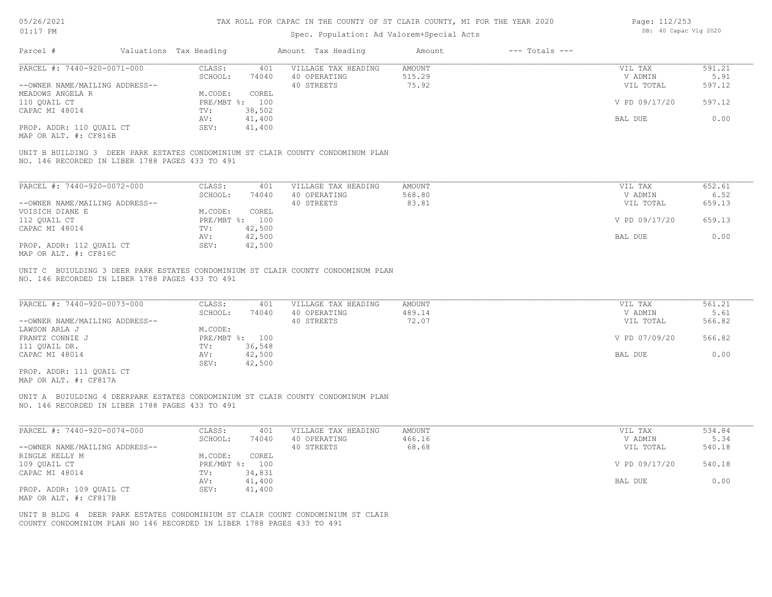| 05/26/2021                                      | TAX ROLL FOR CAPAC IN THE COUNTY OF ST CLAIR COUNTY, MI FOR THE YEAR 2020 |                        |                |  |                                                                                  |               |                    | Page: 112/253 |                       |  |
|-------------------------------------------------|---------------------------------------------------------------------------|------------------------|----------------|--|----------------------------------------------------------------------------------|---------------|--------------------|---------------|-----------------------|--|
| $01:17$ PM                                      |                                                                           |                        |                |  | Spec. Population: Ad Valorem+Special Acts                                        |               |                    |               | DB: 40 Capac Vlg 2020 |  |
| Parcel #                                        |                                                                           | Valuations Tax Heading |                |  | Amount Tax Heading                                                               | Amount        | $---$ Totals $---$ |               |                       |  |
| PARCEL #: 7440-920-0071-000                     |                                                                           | CLASS:                 | 401            |  | VILLAGE TAX HEADING                                                              | <b>AMOUNT</b> |                    | VIL TAX       | 591.21                |  |
|                                                 |                                                                           | SCHOOL:                | 74040          |  | 40 OPERATING                                                                     | 515.29        |                    | V ADMIN       | 5.91                  |  |
| --OWNER NAME/MAILING ADDRESS--                  |                                                                           |                        |                |  | 40 STREETS                                                                       | 75.92         |                    | VIL TOTAL     | 597.12                |  |
| MEADOWS ANGELA R                                |                                                                           | M.CODE:                | COREL          |  |                                                                                  |               |                    |               |                       |  |
| 110 QUAIL CT                                    |                                                                           |                        | PRE/MBT %: 100 |  |                                                                                  |               |                    | V PD 09/17/20 | 597.12                |  |
| CAPAC MI 48014                                  |                                                                           | TV:                    | 38,502         |  |                                                                                  |               |                    |               |                       |  |
|                                                 |                                                                           | AV:                    | 41,400         |  |                                                                                  |               |                    | BAL DUE       | 0.00                  |  |
| PROP. ADDR: 110 QUAIL CT                        |                                                                           | SEV:                   | 41,400         |  |                                                                                  |               |                    |               |                       |  |
| MAP OR ALT. #: CF816B                           |                                                                           |                        |                |  |                                                                                  |               |                    |               |                       |  |
|                                                 |                                                                           |                        |                |  | UNIT B BUILDING 3 DEER PARK ESTATES CONDOMINIUM ST CLAIR COUNTY CONDOMINUM PLAN  |               |                    |               |                       |  |
| NO. 146 RECORDED IN LIBER 1788 PAGES 433 TO 491 |                                                                           |                        |                |  |                                                                                  |               |                    |               |                       |  |
|                                                 |                                                                           |                        |                |  |                                                                                  |               |                    |               |                       |  |
| PARCEL #: 7440-920-0072-000                     |                                                                           | CLASS:                 | 401            |  | VILLAGE TAX HEADING                                                              | AMOUNT        |                    | VIL TAX       | 652.61                |  |
|                                                 |                                                                           | SCHOOL:                | 74040          |  | 40 OPERATING                                                                     | 568.80        |                    | V ADMIN       | 6.52                  |  |
| --OWNER NAME/MAILING ADDRESS--                  |                                                                           |                        |                |  | 40 STREETS                                                                       | 83.81         |                    | VIL TOTAL     | 659.13                |  |
| VOISICH DIANE E                                 |                                                                           | M.CODE:                | COREL          |  |                                                                                  |               |                    |               |                       |  |
| 112 QUAIL CT                                    |                                                                           |                        | PRE/MBT %: 100 |  |                                                                                  |               |                    | V PD 09/17/20 | 659.13                |  |
| CAPAC MI 48014                                  |                                                                           | TV:                    | 42,500         |  |                                                                                  |               |                    |               |                       |  |
|                                                 |                                                                           | AV:                    | 42,500         |  |                                                                                  |               |                    | BAL DUE       | 0.00                  |  |
| PROP. ADDR: 112 QUAIL CT                        |                                                                           | SEV:                   | 42,500         |  |                                                                                  |               |                    |               |                       |  |
| MAP OR ALT. #: CF816C                           |                                                                           |                        |                |  |                                                                                  |               |                    |               |                       |  |
| NO. 146 RECORDED IN LIBER 1788 PAGES 433 TO 491 |                                                                           |                        |                |  | UNIT C BUIULDING 3 DEER PARK ESTATES CONDOMINIUM ST CLAIR COUNTY CONDOMINUM PLAN |               |                    |               |                       |  |
|                                                 |                                                                           |                        |                |  |                                                                                  |               |                    |               |                       |  |
| PARCEL #: 7440-920-0073-000                     |                                                                           | CLASS:                 | 401            |  | VILLAGE TAX HEADING                                                              | <b>AMOUNT</b> |                    | VIL TAX       | 561.21                |  |
|                                                 |                                                                           | SCHOOL:                | 74040          |  | 40 OPERATING                                                                     | 489.14        |                    | V ADMIN       | 5.61                  |  |
| --OWNER NAME/MAILING ADDRESS--                  |                                                                           |                        |                |  | 40 STREETS                                                                       | 72.07         |                    | VIL TOTAL     | 566.82                |  |
| LAWSON ARLA J                                   |                                                                           | M.CODE:                |                |  |                                                                                  |               |                    |               |                       |  |
| FRANTZ CONNIE J                                 |                                                                           |                        | PRE/MBT %: 100 |  |                                                                                  |               |                    | V PD 07/09/20 | 566.82                |  |
| 111 QUAIL DR.                                   |                                                                           | TV:                    | 36,548         |  |                                                                                  |               |                    |               |                       |  |
| CAPAC MI 48014                                  |                                                                           | AV:                    | 42,500         |  |                                                                                  |               |                    | BAL DUE       | 0.00                  |  |
|                                                 |                                                                           | SEV:                   | 42,500         |  |                                                                                  |               |                    |               |                       |  |
| PROP. ADDR: 111 QUAIL CT                        |                                                                           |                        |                |  |                                                                                  |               |                    |               |                       |  |
| MAP OR ALT. #: CF817A                           |                                                                           |                        |                |  |                                                                                  |               |                    |               |                       |  |
|                                                 |                                                                           |                        |                |  |                                                                                  |               |                    |               |                       |  |
| NO. 146 RECORDED IN LIBER 1788 PAGES 433 TO 491 |                                                                           |                        |                |  | UNIT A BUIULDING 4 DEERPARK ESTATES CONDOMINIUM ST CLAIR COUNTY CONDOMINUM PLAN  |               |                    |               |                       |  |
|                                                 |                                                                           |                        |                |  |                                                                                  |               |                    |               |                       |  |
|                                                 |                                                                           |                        |                |  |                                                                                  |               |                    |               |                       |  |
|                                                 |                                                                           |                        |                |  |                                                                                  |               |                    |               |                       |  |

| PARCEL #: 7440-920-0074-000    | CLASS:     | 401    | VILLAGE TAX HEADING | AMOUNT | VIL TAX       | 534.84 |
|--------------------------------|------------|--------|---------------------|--------|---------------|--------|
|                                | SCHOOL:    | 74040  | 40 OPERATING        | 466.16 | V ADMIN       | 5.34   |
| --OWNER NAME/MAILING ADDRESS-- |            |        | 40 STREETS          | 68.68  | VIL TOTAL     | 540.18 |
| RINGLE KELLY M                 | M.CODE:    | COREL  |                     |        |               |        |
| 109 OUAIL CT                   | PRE/MBT %: | 100    |                     |        | V PD 09/17/20 | 540.18 |
| CAPAC MI 48014                 | TV:        | 34,831 |                     |        |               |        |
|                                | AV:        | 41,400 |                     |        | BAL DUE       | 0.00   |
| PROP. ADDR: 109 QUAIL CT       | SEV:       | 41,400 |                     |        |               |        |
| MAP OR ALT. #: CF817B          |            |        |                     |        |               |        |

COUNTY CONDOMINIUM PLAN NO 146 RECORDED IN LIBER 1788 PAGES 433 TO 491 UNIT B BLDG 4 DEER PARK ESTATES CONDOMINIUM ST CLAIR COUNT CONDOMINIUM ST CLAIR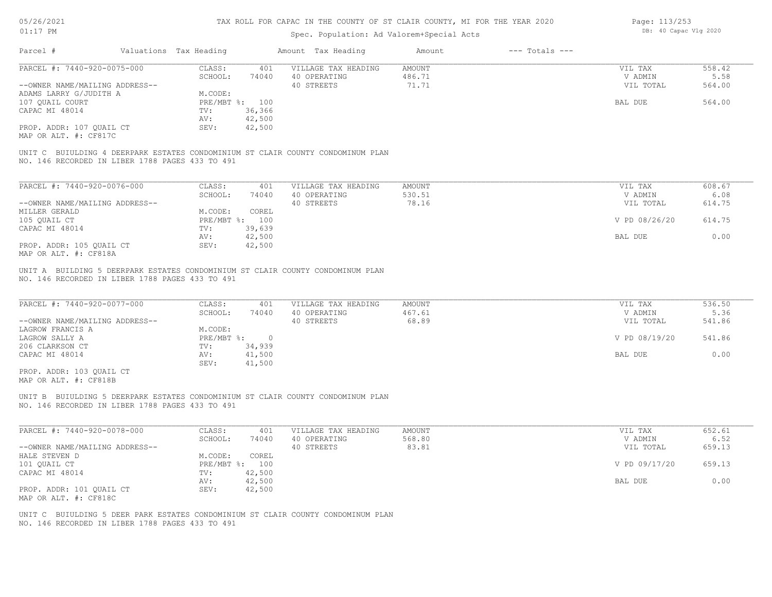# Spec. Population: Ad Valorem+Special Acts

| Page: 113/253 |                       |  |
|---------------|-----------------------|--|
|               | DB: 40 Capac Vlg 2020 |  |

| $0 + 11$                                                                                                                                                                                      |                                                                                                                                    | Spec. Population: Ad Valorem+Special Acts         |                                  |                                                             |                                            |
|-----------------------------------------------------------------------------------------------------------------------------------------------------------------------------------------------|------------------------------------------------------------------------------------------------------------------------------------|---------------------------------------------------|----------------------------------|-------------------------------------------------------------|--------------------------------------------|
| Parcel #                                                                                                                                                                                      | Valuations Tax Heading                                                                                                             | Amount Tax Heading                                | $---$ Totals $---$<br>Amount     |                                                             |                                            |
| PARCEL #: 7440-920-0075-000                                                                                                                                                                   | CLASS:<br>401                                                                                                                      | VILLAGE TAX HEADING                               | <b>AMOUNT</b>                    | VIL TAX                                                     | 558.42                                     |
|                                                                                                                                                                                               | SCHOOL:<br>74040                                                                                                                   | 40 OPERATING                                      | 486.71                           | V ADMIN                                                     | 5.58                                       |
| --OWNER NAME/MAILING ADDRESS--                                                                                                                                                                |                                                                                                                                    | 40 STREETS                                        | 71.71                            | VIL TOTAL                                                   | 564.00                                     |
| ADAMS LARRY G/JUDITH A                                                                                                                                                                        | M.CODE:                                                                                                                            |                                                   |                                  |                                                             |                                            |
| 107 QUAIL COURT                                                                                                                                                                               | PRE/MBT %: 100                                                                                                                     |                                                   |                                  | BAL DUE                                                     | 564.00                                     |
| CAPAC MI 48014                                                                                                                                                                                | 36,366<br>TV:                                                                                                                      |                                                   |                                  |                                                             |                                            |
|                                                                                                                                                                                               | AV:<br>42,500                                                                                                                      |                                                   |                                  |                                                             |                                            |
| PROP. ADDR: 107 QUAIL CT                                                                                                                                                                      | SEV:<br>42,500                                                                                                                     |                                                   |                                  |                                                             |                                            |
| MAP OR ALT. #: CF817C                                                                                                                                                                         |                                                                                                                                    |                                                   |                                  |                                                             |                                            |
| UNIT C BUIULDING 4 DEERPARK ESTATES CONDOMINIUM ST CLAIR COUNTY CONDOMINUM PLAN<br>NO. 146 RECORDED IN LIBER 1788 PAGES 433 TO 491                                                            |                                                                                                                                    |                                                   |                                  |                                                             |                                            |
|                                                                                                                                                                                               |                                                                                                                                    |                                                   |                                  |                                                             | 608.67                                     |
| PARCEL #: 7440-920-0076-000                                                                                                                                                                   | CLASS:<br>401<br>SCHOOL:<br>74040                                                                                                  | VILLAGE TAX HEADING<br>40 OPERATING               | AMOUNT<br>530.51                 | VIL TAX<br>V ADMIN                                          | 6.08                                       |
| --OWNER NAME/MAILING ADDRESS--                                                                                                                                                                |                                                                                                                                    | 40 STREETS                                        | 78.16                            |                                                             | 614.75                                     |
| MILLER GERALD                                                                                                                                                                                 | M.CODE:<br>COREL                                                                                                                   |                                                   |                                  | VIL TOTAL                                                   |                                            |
|                                                                                                                                                                                               |                                                                                                                                    |                                                   |                                  |                                                             |                                            |
| 105 QUAIL CT                                                                                                                                                                                  | PRE/MBT %: 100                                                                                                                     |                                                   |                                  | V PD 08/26/20                                               | 614.75                                     |
| CAPAC MI 48014                                                                                                                                                                                | TV:<br>39,639                                                                                                                      |                                                   |                                  |                                                             |                                            |
|                                                                                                                                                                                               | 42,500<br>AV:                                                                                                                      |                                                   |                                  | BAL DUE                                                     | 0.00                                       |
| PROP. ADDR: 105 QUAIL CT<br>MAP OR ALT. #: CF818A                                                                                                                                             | SEV:<br>42,500                                                                                                                     |                                                   |                                  |                                                             |                                            |
| PARCEL #: 7440-920-0077-000<br>--OWNER NAME/MAILING ADDRESS--<br>LAGROW FRANCIS A<br>LAGROW SALLY A<br>206 CLARKSON CT<br>CAPAC MI 48014<br>PROP. ADDR: 103 QUAIL CT<br>MAP OR ALT. #: CF818B | CLASS:<br>401<br>SCHOOL:<br>74040<br>M.CODE:<br>$PRE/MBT$ %:<br>$\overline{0}$<br>34,939<br>TV:<br>AV:<br>41,500<br>SEV:<br>41,500 | VILLAGE TAX HEADING<br>40 OPERATING<br>40 STREETS | <b>AMOUNT</b><br>467.61<br>68.89 | VIL TAX<br>V ADMIN<br>VIL TOTAL<br>V PD 08/19/20<br>BAL DUE | 536.50<br>5.36<br>541.86<br>541.86<br>0.00 |
| UNIT B BUIULDING 5 DEERPARK ESTATES CONDOMINIUM ST CLAIR COUNTY CONDOMINUM PLAN<br>NO. 146 RECORDED IN LIBER 1788 PAGES 433 TO 491                                                            |                                                                                                                                    |                                                   |                                  |                                                             |                                            |
| PARCEL #: 7440-920-0078-000                                                                                                                                                                   | CLASS:<br>401<br>SCHOOL:<br>74040                                                                                                  | VILLAGE TAX HEADING<br>40 OPERATING               | AMOUNT<br>568.80                 | VIL TAX<br>V ADMIN                                          | 652.61<br>6.52                             |
| --OWNER NAME/MAILING ADDRESS--                                                                                                                                                                |                                                                                                                                    | 40 STREETS                                        | 83.81                            | VIL TOTAL                                                   | 659.13                                     |
| HALE STEVEN D                                                                                                                                                                                 | M.CODE:<br>COREL                                                                                                                   |                                                   |                                  |                                                             |                                            |
| 101 QUAIL CT                                                                                                                                                                                  | PRE/MBT %: 100                                                                                                                     |                                                   |                                  | V PD 09/17/20                                               | 659.13                                     |
| CAPAC MI 48014                                                                                                                                                                                | TV:<br>42,500                                                                                                                      |                                                   |                                  |                                                             |                                            |
|                                                                                                                                                                                               | 42,500<br>AV:                                                                                                                      |                                                   |                                  | BAL DUE                                                     | 0.00                                       |
| PROP. ADDR: 101 OUAIL CT                                                                                                                                                                      | SEV:<br>42,500                                                                                                                     |                                                   |                                  |                                                             |                                            |
| MAP OR ALT. #: CF818C                                                                                                                                                                         |                                                                                                                                    |                                                   |                                  |                                                             |                                            |
|                                                                                                                                                                                               |                                                                                                                                    |                                                   |                                  |                                                             |                                            |
| UNIT C BUIULDING 5 DEER PARK ESTATES CONDOMINIUM ST CLAIR COUNTY CONDOMINUM PLAN<br>NO. 146 RECORDED IN LIBER 1788 PAGES 433 TO 491                                                           |                                                                                                                                    |                                                   |                                  |                                                             |                                            |
|                                                                                                                                                                                               |                                                                                                                                    |                                                   |                                  |                                                             |                                            |
|                                                                                                                                                                                               |                                                                                                                                    |                                                   |                                  |                                                             |                                            |
|                                                                                                                                                                                               |                                                                                                                                    |                                                   |                                  |                                                             |                                            |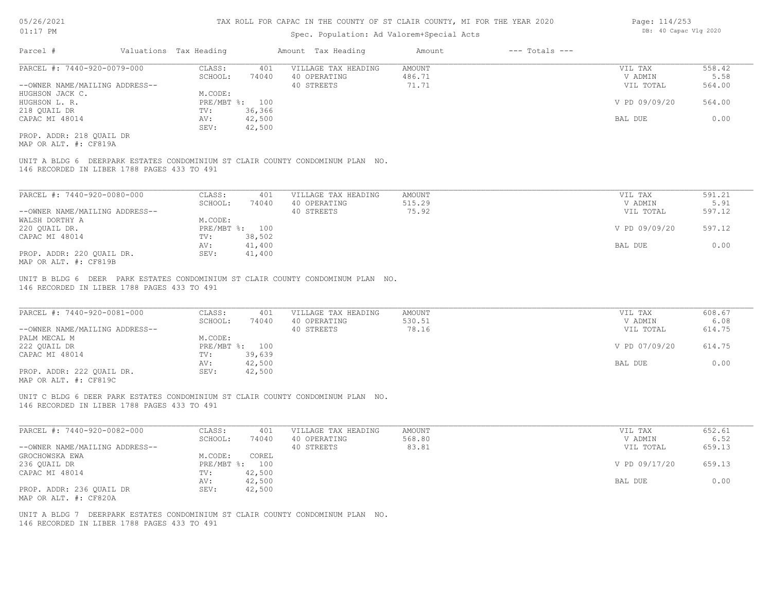## Spec. Population: Ad Valorem+Special Acts

| Parcel #                       | Valuations Tax Heading |        | Amount Tax Heading  | Amount | $---$ Totals $---$ |               |        |
|--------------------------------|------------------------|--------|---------------------|--------|--------------------|---------------|--------|
| PARCEL #: 7440-920-0079-000    | CLASS:                 | 401    | VILLAGE TAX HEADING | AMOUNT |                    | VIL TAX       | 558.42 |
|                                | SCHOOL:                | 74040  | 40 OPERATING        | 486.71 |                    | V ADMIN       | 5.58   |
| --OWNER NAME/MAILING ADDRESS-- |                        |        | 40 STREETS          | 71.71  |                    | VIL TOTAL     | 564.00 |
| HUGHSON JACK C.                | M.CODE:                |        |                     |        |                    |               |        |
| HUGHSON L. R.                  | PRE/MBT %: 100         |        |                     |        |                    | V PD 09/09/20 | 564.00 |
| 218 QUAIL DR                   | TV:                    | 36,366 |                     |        |                    |               |        |
| CAPAC MI 48014                 | AV:                    | 42,500 |                     |        |                    | BAL DUE       | 0.00   |
|                                | SEV:                   | 42,500 |                     |        |                    |               |        |
| PROP. ADDR: 218 OUAIL DR       |                        |        |                     |        |                    |               |        |

MAP OR ALT. #: CF819A

146 RECORDED IN LIBER 1788 PAGES 433 TO 491 UNIT A BLDG 6 DEERPARK ESTATES CONDOMINIUM ST CLAIR COUNTY CONDOMINUM PLAN NO.

| PARCEL #: 7440-920-0080-000    | CLASS:  | 401            | VILLAGE TAX HEADING | AMOUNT | VIL TAX       | 591.21 |
|--------------------------------|---------|----------------|---------------------|--------|---------------|--------|
|                                | SCHOOL: | 74040          | 40 OPERATING        | 515.29 | V ADMIN       | 5.91   |
| --OWNER NAME/MAILING ADDRESS-- |         |                | 40 STREETS          | 75.92  | VIL TOTAL     | 597.12 |
| WALSH DORTHY A                 | M.CODE: |                |                     |        |               |        |
| 220 OUAIL DR.                  |         | PRE/MBT %: 100 |                     |        | V PD 09/09/20 | 597.12 |
| CAPAC MI 48014                 | TV:     | 38,502         |                     |        |               |        |
|                                | AV:     | 41,400         |                     |        | BAL DUE       | 0.00   |
| PROP. ADDR: 220 QUAIL DR.      | SEV:    | 41,400         |                     |        |               |        |
| MAP OR ALT. #: CF819B          |         |                |                     |        |               |        |

146 RECORDED IN LIBER 1788 PAGES 433 TO 491 UNIT B BLDG 6 DEER PARK ESTATES CONDOMINIUM ST CLAIR COUNTY CONDOMINUM PLAN NO.

| PARCEL #: 7440-920-0081-000    | CLASS:       | 401    | VILLAGE TAX HEADING | AMOUNT | VIL TAX       | 608.67 |  |
|--------------------------------|--------------|--------|---------------------|--------|---------------|--------|--|
|                                | SCHOOL:      | 74040  | 40 OPERATING        | 530.51 | V ADMIN       | 6.08   |  |
| --OWNER NAME/MAILING ADDRESS-- |              |        | 40 STREETS          | 78.16  | VIL TOTAL     | 614.75 |  |
| PALM MECAL M                   | M.CODE:      |        |                     |        |               |        |  |
| 222 OUAIL DR                   | $PRE/MBT$ %: | 100    |                     |        | V PD 07/09/20 | 614.75 |  |
| CAPAC MI 48014                 | TV:          | 39,639 |                     |        |               |        |  |
|                                | AV:          | 42,500 |                     |        | BAL DUE       | 0.00   |  |
| PROP. ADDR: 222 OUAIL DR.      | SEV:         | 42,500 |                     |        |               |        |  |
| $\frac{1}{2}$                  |              |        |                     |        |               |        |  |

 $\mathcal{L}_\mathcal{L} = \mathcal{L}_\mathcal{L} = \mathcal{L}_\mathcal{L} = \mathcal{L}_\mathcal{L} = \mathcal{L}_\mathcal{L} = \mathcal{L}_\mathcal{L} = \mathcal{L}_\mathcal{L} = \mathcal{L}_\mathcal{L} = \mathcal{L}_\mathcal{L} = \mathcal{L}_\mathcal{L} = \mathcal{L}_\mathcal{L} = \mathcal{L}_\mathcal{L} = \mathcal{L}_\mathcal{L} = \mathcal{L}_\mathcal{L} = \mathcal{L}_\mathcal{L} = \mathcal{L}_\mathcal{L} = \mathcal{L}_\mathcal{L}$ 

MAP OR ALT. #: CF819C

146 RECORDED IN LIBER 1788 PAGES 433 TO 491 UNIT C BLDG 6 DEER PARK ESTATES CONDOMINIUM ST CLAIR COUNTY CONDOMINUM PLAN NO.

| PARCEL #: 7440-920-0082-000    | CLASS:       | 401    | VILLAGE TAX HEADING | AMOUNT | VIL TAX       | 652.61 |
|--------------------------------|--------------|--------|---------------------|--------|---------------|--------|
|                                | SCHOOL:      | 74040  | 40 OPERATING        | 568.80 | V ADMIN       | 6.52   |
| --OWNER NAME/MAILING ADDRESS-- |              |        | 40 STREETS          | 83.81  | VIL TOTAL     | 659.13 |
| GROCHOWSKA EWA                 | M.CODE:      | COREL  |                     |        |               |        |
| 236 QUAIL DR                   | $PRE/MBT$ %: | 100    |                     |        | V PD 09/17/20 | 659.13 |
| CAPAC MI 48014                 | TV:          | 42,500 |                     |        |               |        |
|                                | AV:          | 42,500 |                     |        | BAL DUE       | 0.00   |
| PROP. ADDR: 236 OUAIL DR       | SEV:         | 42,500 |                     |        |               |        |
| MAP OR ALT. #: CF820A          |              |        |                     |        |               |        |

146 RECORDED IN LIBER 1788 PAGES 433 TO 491 UNIT A BLDG 7 DEERPARK ESTATES CONDOMINIUM ST CLAIR COUNTY CONDOMINUM PLAN NO. Page: 114/253 DB: 40 Capac Vlg 2020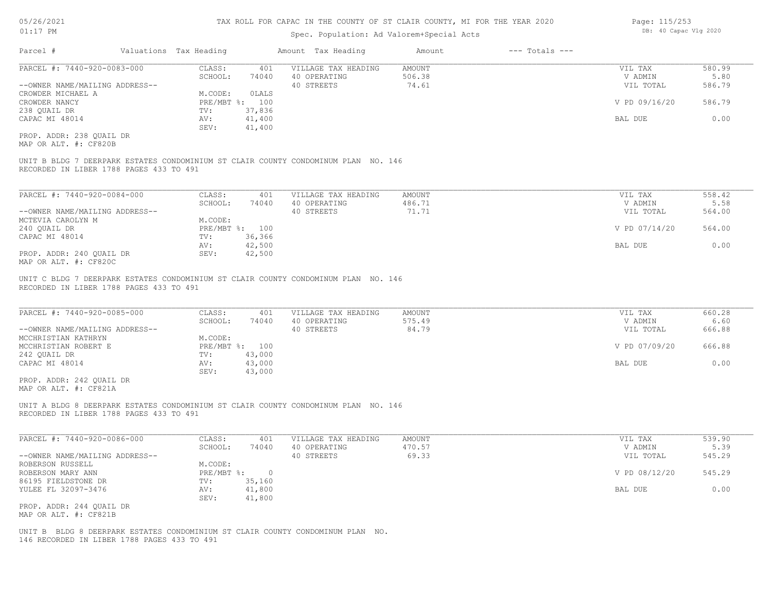## Spec. Population: Ad Valorem+Special Acts

| Page: 115/253         |
|-----------------------|
| DB: 40 Capac Vlg 2020 |

| Parcel #                       | Valuations Tax Heading |                | Amount Tax Heading  | Amount | $---$ Totals $---$ |               |        |
|--------------------------------|------------------------|----------------|---------------------|--------|--------------------|---------------|--------|
| PARCEL #: 7440-920-0083-000    | CLASS:                 | 401            | VILLAGE TAX HEADING | AMOUNT |                    | VIL TAX       | 580.99 |
|                                | SCHOOL:                | 74040          | 40 OPERATING        | 506.38 |                    | V ADMIN       | 5.80   |
| --OWNER NAME/MAILING ADDRESS-- |                        |                | 40 STREETS          | 74.61  |                    | VIL TOTAL     | 586.79 |
| CROWDER MICHAEL A              | M.CODE:                | OLALS          |                     |        |                    |               |        |
| CROWDER NANCY                  |                        | PRE/MBT %: 100 |                     |        |                    | V PD 09/16/20 | 586.79 |
| 238 QUAIL DR                   | TV:                    | 37,836         |                     |        |                    |               |        |
| CAPAC MI 48014                 | AV:                    | 41,400         |                     |        |                    | BAL DUE       | 0.00   |
|                                | SEV:                   | 41,400         |                     |        |                    |               |        |
| PROP. ADDR: 238 QUAIL DR       |                        |                |                     |        |                    |               |        |

MAP OR ALT. #: CF820B

RECORDED IN LIBER 1788 PAGES 433 TO 491 UNIT B BLDG 7 DEERPARK ESTATES CONDOMINIUM ST CLAIR COUNTY CONDOMINUM PLAN NO. 146

| PARCEL #: 7440-920-0084-000    | CLASS:  | 401            | VILLAGE TAX HEADING | AMOUNT | VIL TAX       | 558.42 |
|--------------------------------|---------|----------------|---------------------|--------|---------------|--------|
|                                | SCHOOL: | 74040          | 40 OPERATING        | 486.71 | V ADMIN       | 5.58   |
| --OWNER NAME/MAILING ADDRESS-- |         |                | 40 STREETS          | 71.71  | VIL TOTAL     | 564.00 |
| MCTEVIA CAROLYN M              | M.CODE: |                |                     |        |               |        |
| 240 OUAIL DR                   |         | PRE/MBT %: 100 |                     |        | V PD 07/14/20 | 564.00 |
| CAPAC MI 48014                 | TV:     | 36,366         |                     |        |               |        |
|                                | AV:     | 42,500         |                     |        | BAL DUE       | 0.00   |
| PROP. ADDR: 240 OUAIL DR       | SEV:    | 42,500         |                     |        |               |        |
| MAP OR ALT. #: CF820C          |         |                |                     |        |               |        |

RECORDED IN LIBER 1788 PAGES 433 TO 491 UNIT C BLDG 7 DEERPARK ESTATES CONDOMINIUM ST CLAIR COUNTY CONDOMINUM PLAN NO. 146

| PARCEL #: 7440-920-0085-000    | CLASS:  | 401            | VILLAGE TAX HEADING | AMOUNT | VIL TAX       | 660.28 |
|--------------------------------|---------|----------------|---------------------|--------|---------------|--------|
|                                | SCHOOL: | 74040          | 40 OPERATING        | 575.49 | V ADMIN       | 6.60   |
| --OWNER NAME/MAILING ADDRESS-- |         |                | 40 STREETS          | 84.79  | VIL TOTAL     | 666.88 |
| MCCHRISTIAN KATHRYN            | M.CODE: |                |                     |        |               |        |
| MCCHRISTIAN ROBERT E           |         | PRE/MBT %: 100 |                     |        | V PD 07/09/20 | 666.88 |
| 242 QUAIL DR                   | TV:     | 43,000         |                     |        |               |        |
| CAPAC MI 48014                 | AV:     | 43,000         |                     |        | BAL DUE       | 0.00   |
|                                | SEV:    | 43,000         |                     |        |               |        |
| PROP. ADDR: 242 OUAIL DR       |         |                |                     |        |               |        |

MAP OR ALT. #: CF821A

RECORDED IN LIBER 1788 PAGES 433 TO 491 UNIT A BLDG 8 DEERPARK ESTATES CONDOMINIUM ST CLAIR COUNTY CONDOMINUM PLAN NO. 146

| PARCEL #: 7440-920-0086-000    | CLASS:     | 401    | VILLAGE TAX HEADING | AMOUNT | VIL TAX       | 539.90 |
|--------------------------------|------------|--------|---------------------|--------|---------------|--------|
|                                | SCHOOL:    | 74040  | 40 OPERATING        | 470.57 | V ADMIN       | 5.39   |
| --OWNER NAME/MAILING ADDRESS-- |            |        | 40 STREETS          | 69.33  | VIL TOTAL     | 545.29 |
| ROBERSON RUSSELL               | M.CODE:    |        |                     |        |               |        |
| ROBERSON MARY ANN              | PRE/MBT %: |        |                     |        | V PD 08/12/20 | 545.29 |
| 86195 FIELDSTONE DR            | TV:        | 35,160 |                     |        |               |        |
| YULEE FL 32097-3476            | AV:        | 41,800 |                     |        | BAL DUE       | 0.00   |
|                                | SEV:       | 41,800 |                     |        |               |        |
| PROP. ADDR: 244 OUAIL DR       |            |        |                     |        |               |        |

MAP OR ALT. #: CF821B

146 RECORDED IN LIBER 1788 PAGES 433 TO 491 UNIT B BLDG 8 DEERPARK ESTATES CONDOMINIUM ST CLAIR COUNTY CONDOMINUM PLAN NO.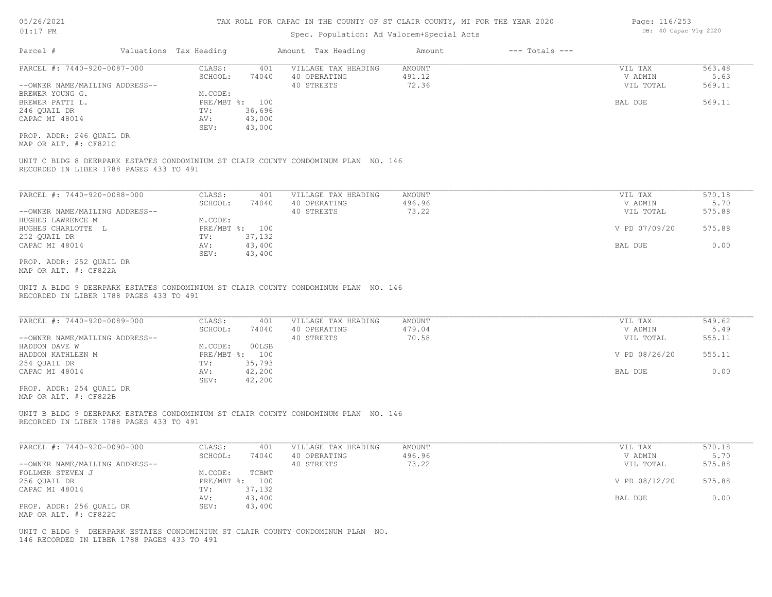## Spec. Population: Ad Valorem+Special Acts

| Parcel #                                          | Valuations Tax Heading |                | Amount Tax Heading  | Amount | $---$ Totals $---$ |           |        |
|---------------------------------------------------|------------------------|----------------|---------------------|--------|--------------------|-----------|--------|
| PARCEL #: 7440-920-0087-000                       | CLASS:                 | 401            | VILLAGE TAX HEADING | AMOUNT |                    | VIL TAX   | 563.48 |
|                                                   | SCHOOL:                | 74040          | 40 OPERATING        | 491.12 |                    | V ADMIN   | 5.63   |
| --OWNER NAME/MAILING ADDRESS--                    |                        |                | 40 STREETS          | 72.36  |                    | VIL TOTAL | 569.11 |
| BREWER YOUNG G.                                   | M.CODE:                |                |                     |        |                    |           |        |
| BREWER PATTI L.                                   |                        | PRE/MBT %: 100 |                     |        |                    | BAL DUE   | 569.11 |
| 246 OUAIL DR                                      | TV:                    | 36,696         |                     |        |                    |           |        |
| CAPAC MI 48014                                    | AV:                    | 43,000         |                     |        |                    |           |        |
|                                                   | SEV:                   | 43,000         |                     |        |                    |           |        |
| PROP. ADDR: 246 QUAIL DR<br>MAP OR ALT. #: CF821C |                        |                |                     |        |                    |           |        |

RECORDED IN LIBER 1788 PAGES 433 TO 491 UNIT C BLDG 8 DEERPARK ESTATES CONDOMINIUM ST CLAIR COUNTY CONDOMINUM PLAN NO. 146

| PARCEL #: 7440-920-0088-000    | CLASS:     | 401    | VILLAGE TAX HEADING | AMOUNT | VIL TAX       | 570.18 |
|--------------------------------|------------|--------|---------------------|--------|---------------|--------|
|                                | SCHOOL:    | 74040  | 40 OPERATING        | 496.96 | V ADMIN       | 5.70   |
| --OWNER NAME/MAILING ADDRESS-- |            |        | 40 STREETS          | 73.22  | VIL TOTAL     | 575.88 |
| HUGHES LAWRENCE M              | M.CODE:    |        |                     |        |               |        |
| HUGHES CHARLOTTE L             | PRE/MBT %: | 100    |                     |        | V PD 07/09/20 | 575.88 |
| 252 OUAIL DR                   | TV:        | 37,132 |                     |        |               |        |
| CAPAC MI 48014                 | AV:        | 43,400 |                     |        | BAL DUE       | 0.00   |
|                                | SEV:       | 43,400 |                     |        |               |        |
| PROP. ADDR: 252 OUAIL DR       |            |        |                     |        |               |        |

 $\mathcal{L}_\mathcal{L} = \mathcal{L}_\mathcal{L} = \mathcal{L}_\mathcal{L} = \mathcal{L}_\mathcal{L} = \mathcal{L}_\mathcal{L} = \mathcal{L}_\mathcal{L} = \mathcal{L}_\mathcal{L} = \mathcal{L}_\mathcal{L} = \mathcal{L}_\mathcal{L} = \mathcal{L}_\mathcal{L} = \mathcal{L}_\mathcal{L} = \mathcal{L}_\mathcal{L} = \mathcal{L}_\mathcal{L} = \mathcal{L}_\mathcal{L} = \mathcal{L}_\mathcal{L} = \mathcal{L}_\mathcal{L} = \mathcal{L}_\mathcal{L}$ 

MAP OR ALT. #: CF822A

RECORDED IN LIBER 1788 PAGES 433 TO 491 UNIT A BLDG 9 DEERPARK ESTATES CONDOMINIUM ST CLAIR COUNTY CONDOMINUM PLAN NO. 146

| PARCEL #: 7440-920-0089-000    | CLASS:     | 401    | VILLAGE TAX HEADING | AMOUNT | VIL TAX       | 549.62 |
|--------------------------------|------------|--------|---------------------|--------|---------------|--------|
|                                | SCHOOL:    | 74040  | 40 OPERATING        | 479.04 | V ADMIN       | 5.49   |
| --OWNER NAME/MAILING ADDRESS-- |            |        | 40 STREETS          | 70.58  | VIL TOTAL     | 555.11 |
| HADDON DAVE W                  | M.CODE:    | 00LSB  |                     |        |               |        |
| HADDON KATHLEEN M              | PRE/MBT %: | 100    |                     |        | V PD 08/26/20 | 555.11 |
| 254 QUAIL DR                   | TV:        | 35,793 |                     |        |               |        |
| CAPAC MI 48014                 | AV:        | 42,200 |                     |        | BAL DUE       | 0.00   |
|                                | SEV:       | 42,200 |                     |        |               |        |

MAP OR ALT. #: CF822B PROP. ADDR: 254 QUAIL DR

RECORDED IN LIBER 1788 PAGES 433 TO 491 UNIT B BLDG 9 DEERPARK ESTATES CONDOMINIUM ST CLAIR COUNTY CONDOMINUM PLAN NO. 146

| PARCEL #: 7440-920-0090-000    | CLASS:  | 401            | VILLAGE TAX HEADING | AMOUNT | VIL TAX       | 570.18 |
|--------------------------------|---------|----------------|---------------------|--------|---------------|--------|
|                                | SCHOOL: | 74040          | 40 OPERATING        | 496.96 | V ADMIN       | 5.70   |
| --OWNER NAME/MAILING ADDRESS-- |         |                | 40 STREETS          | 73.22  | VIL TOTAL     | 575.88 |
| FOLLMER STEVEN J               | M.CODE: | TCBMT          |                     |        |               |        |
| 256 QUAIL DR                   |         | PRE/MBT %: 100 |                     |        | V PD 08/12/20 | 575.88 |
| CAPAC MI 48014                 | TV:     | 37,132         |                     |        |               |        |
|                                | AV:     | 43,400         |                     |        | BAL DUE       | 0.00   |
| PROP. ADDR: 256 OUAIL DR       | SEV:    | 43,400         |                     |        |               |        |
| MAP OR ALT. #: CF822C          |         |                |                     |        |               |        |

146 RECORDED IN LIBER 1788 PAGES 433 TO 491 UNIT C BLDG 9 DEERPARK ESTATES CONDOMINIUM ST CLAIR COUNTY CONDOMINUM PLAN NO. Page: 116/253 DB: 40 Capac Vlg 2020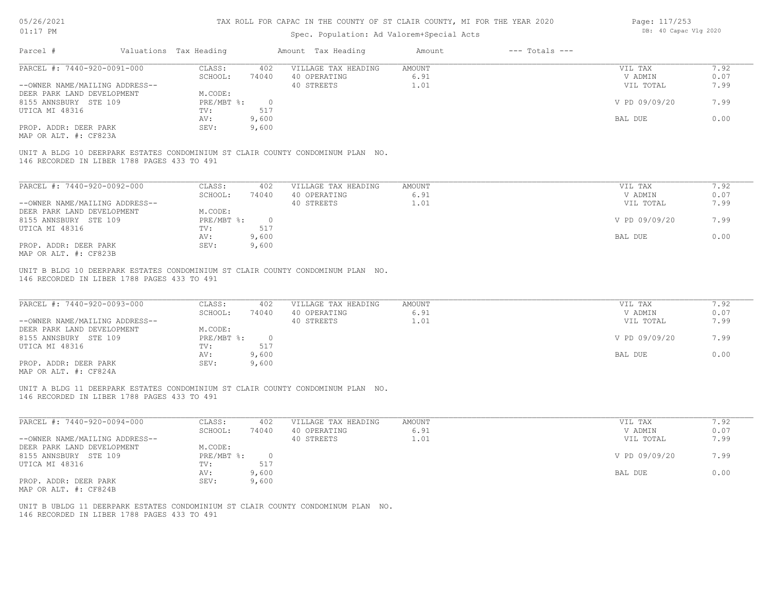# Spec. Population: Ad Valorem+Special Acts

| Page: 117/253 |                       |  |
|---------------|-----------------------|--|
|               | DB: 40 Capac Vlg 2020 |  |

|                                                               |                        |                       | OPCC. LOPULUCLON. NU VULOLOMIOPOCLUL NOCO                                       |                               |                    |                                 |                      |
|---------------------------------------------------------------|------------------------|-----------------------|---------------------------------------------------------------------------------|-------------------------------|--------------------|---------------------------------|----------------------|
| Parcel #                                                      | Valuations Tax Heading |                       | Amount Tax Heading                                                              | Amount                        | $---$ Totals $---$ |                                 |                      |
| PARCEL #: 7440-920-0091-000                                   | CLASS:                 | 402                   | VILLAGE TAX HEADING                                                             | AMOUNT                        |                    | VIL TAX                         | 7.92                 |
|                                                               | SCHOOL:                | 74040                 | 40 OPERATING                                                                    | 6.91                          |                    | V ADMIN                         | 0.07                 |
| --OWNER NAME/MAILING ADDRESS--                                |                        |                       | 40 STREETS                                                                      | 1.01                          |                    | VIL TOTAL                       | 7.99                 |
| DEER PARK LAND DEVELOPMENT                                    | M.CODE:                |                       |                                                                                 |                               |                    |                                 |                      |
| 8155 ANNSBURY STE 109                                         | PRE/MBT %:             | $\overline{0}$        |                                                                                 |                               |                    | V PD 09/09/20                   | 7.99                 |
| UTICA MI 48316                                                | TV:                    | 517                   |                                                                                 |                               |                    |                                 |                      |
|                                                               | AV:                    | 9,600                 |                                                                                 |                               |                    | BAL DUE                         | 0.00                 |
| PROP. ADDR: DEER PARK                                         | SEV:                   | 9,600                 |                                                                                 |                               |                    |                                 |                      |
| MAP OR ALT. #: CF823A                                         |                        |                       |                                                                                 |                               |                    |                                 |                      |
| PARCEL #: 7440-920-0092-000<br>--OWNER NAME/MAILING ADDRESS-- | CLASS:<br>SCHOOL:      | 402<br>74040          | VILLAGE TAX HEADING<br>40 OPERATING<br>40 STREETS                               | <b>AMOUNT</b><br>6.91<br>1.01 |                    | VIL TAX<br>V ADMIN<br>VIL TOTAL | 7.92<br>0.07<br>7.99 |
| DEER PARK LAND DEVELOPMENT                                    | M.CODE:                |                       |                                                                                 |                               |                    |                                 |                      |
| 8155 ANNSBURY STE 109                                         | PRE/MBT %:             | $\overline{0}$<br>517 |                                                                                 |                               |                    | V PD 09/09/20                   | 7.99                 |
| UTICA MI 48316                                                | TV:<br>AV:             | 9,600                 |                                                                                 |                               |                    | <b>BAL DUE</b>                  | 0.00                 |
| PROP. ADDR: DEER PARK<br>MAP OR ALT. #: CF823B                | SEV:                   | 9,600                 |                                                                                 |                               |                    |                                 |                      |
| 146 RECORDED IN LIBER 1788 PAGES 433 TO 491                   |                        |                       | UNIT B BLDG 10 DEERPARK ESTATES CONDOMINIUM ST CLAIR COUNTY CONDOMINUM PLAN NO. |                               |                    |                                 |                      |
| PARCEL #: 7440-920-0093-000                                   | CLASS:                 | 402                   | VILLAGE TAX HEADING                                                             | AMOUNT                        |                    | VIL TAX                         | 7.92                 |

| PARULL #: /440-920-0093-000    | - CCATA      | 4 U Z | ATTAGE TWY URUING | <b>AMOON T</b> | VII IAA       | 1.94 |
|--------------------------------|--------------|-------|-------------------|----------------|---------------|------|
|                                | SCHOOL:      | 74040 | 40 OPERATING      | 6.91           | V ADMIN       | 0.07 |
| --OWNER NAME/MAILING ADDRESS-- |              |       | 40 STREETS        | 1.01           | VIL TOTAL     | 7.99 |
| DEER PARK LAND DEVELOPMENT     | M.CODE:      |       |                   |                |               |      |
| 8155 ANNSBURY STE 109          | $PRE/MBT$ %: |       |                   |                | V PD 09/09/20 | 7.99 |
| UTICA MI 48316                 | TV:          | 517   |                   |                |               |      |
|                                | AV:          | 9,600 |                   |                | BAL DUE       | 0.00 |
| PROP. ADDR: DEER PARK          | SEV:         | 9,600 |                   |                |               |      |
| MAP OR ALT. #: CF824A          |              |       |                   |                |               |      |

146 RECORDED IN LIBER 1788 PAGES 433 TO 491 UNIT A BLDG 11 DEERPARK ESTATES CONDOMINIUM ST CLAIR COUNTY CONDOMINUM PLAN NO.

| PARCEL #: 7440-920-0094-000    | CLASS:     | 402   | VILLAGE TAX HEADING | AMOUNT | VIL TAX       | 1.92 |
|--------------------------------|------------|-------|---------------------|--------|---------------|------|
|                                | SCHOOL:    | 74040 | 40 OPERATING        | 6.91   | V ADMIN       | 0.07 |
| --OWNER NAME/MAILING ADDRESS-- |            |       | 40 STREETS          | 1.01   | VIL TOTAL     | 7.99 |
| DEER PARK LAND DEVELOPMENT     | M.CODE:    |       |                     |        |               |      |
| 8155 ANNSBURY STE 109          | PRE/MBT %: |       |                     |        | V PD 09/09/20 | 7.99 |
| UTICA MI 48316                 | TV:        | 517   |                     |        |               |      |
|                                | AV:        | 9,600 |                     |        | BAL DUE       | 0.00 |
| PROP. ADDR: DEER PARK          | SEV:       | 9,600 |                     |        |               |      |
| MAP OR ALT. #: CF824B          |            |       |                     |        |               |      |

146 RECORDED IN LIBER 1788 PAGES 433 TO 491 UNIT B UBLDG 11 DEERPARK ESTATES CONDOMINIUM ST CLAIR COUNTY CONDOMINUM PLAN NO.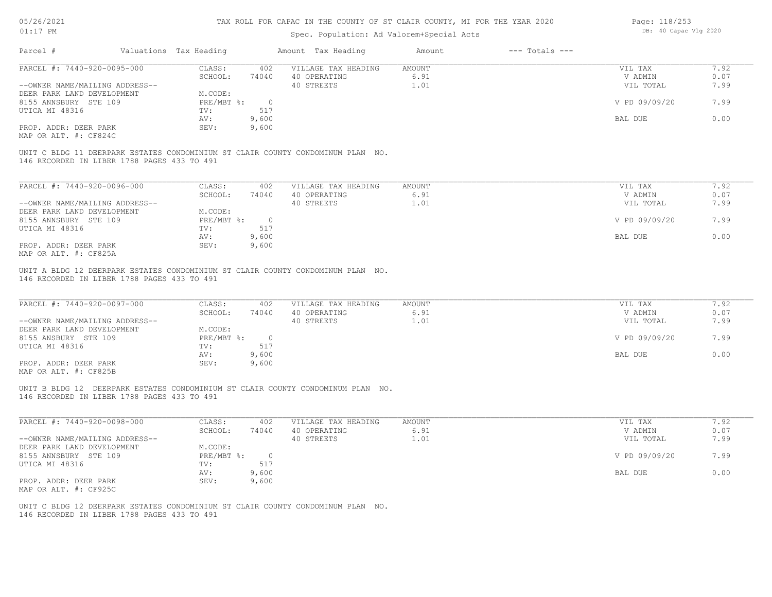| $01:17$ PM                                                                                                                                              |                                    |                                           | TAX ROLL FOR CAPAC IN THE COUNTY OF ST CLAIR COUNTY, MI FOR THE YEAR 2020 | Page: 118/253      |                       |      |  |
|---------------------------------------------------------------------------------------------------------------------------------------------------------|------------------------------------|-------------------------------------------|---------------------------------------------------------------------------|--------------------|-----------------------|------|--|
|                                                                                                                                                         |                                    | Spec. Population: Ad Valorem+Special Acts |                                                                           |                    | DB: 40 Capac Vlg 2020 |      |  |
| Parcel #<br>Valuations Tax Heading                                                                                                                      |                                    | Amount Tax Heading                        | Amount                                                                    | $---$ Totals $---$ |                       |      |  |
| PARCEL #: 7440-920-0095-000                                                                                                                             | CLASS:<br>402                      | VILLAGE TAX HEADING                       | AMOUNT                                                                    |                    | VIL TAX               | 7.92 |  |
|                                                                                                                                                         | 74040<br>SCHOOL:                   | 40 OPERATING                              | 6.91                                                                      |                    | V ADMIN               | 0.07 |  |
| --OWNER NAME/MAILING ADDRESS--                                                                                                                          |                                    | 40 STREETS                                | 1.01                                                                      |                    | VIL TOTAL             | 7.99 |  |
| DEER PARK LAND DEVELOPMENT                                                                                                                              | M.CODE:                            |                                           |                                                                           |                    |                       |      |  |
| 8155 ANNSBURY STE 109                                                                                                                                   | $PRE/MBT$ $\div$<br>$\overline{0}$ |                                           |                                                                           |                    | V PD 09/09/20         | 7.99 |  |
| UTICA MI 48316                                                                                                                                          | 517<br>TV:                         |                                           |                                                                           |                    |                       |      |  |
|                                                                                                                                                         | 9,600<br>AV:                       |                                           |                                                                           |                    | BAL DUE               | 0.00 |  |
| PROP. ADDR: DEER PARK                                                                                                                                   | 9,600<br>SEV:                      |                                           |                                                                           |                    |                       |      |  |
| MAP OR ALT. #: CF824C                                                                                                                                   |                                    |                                           |                                                                           |                    |                       |      |  |
| UNIT C BLDG 11 DEERPARK ESTATES CONDOMINIUM ST CLAIR COUNTY CONDOMINUM PLAN NO.<br>146 RECORDED IN LIBER 1788 PAGES 433 TO 491                          |                                    |                                           |                                                                           |                    |                       |      |  |
| PARCEL #: 7440-920-0096-000                                                                                                                             | CLASS:<br>402                      | VILLAGE TAX HEADING                       | <b>AMOUNT</b>                                                             |                    | VIL TAX               | 7.92 |  |
|                                                                                                                                                         | SCHOOL:<br>74040                   | 40 OPERATING                              | 6.91                                                                      |                    | V ADMIN               | 0.07 |  |
| --OWNER NAME/MAILING ADDRESS--                                                                                                                          |                                    | 40 STREETS                                | 1.01                                                                      |                    | VIL TOTAL             | 7.99 |  |
| DEER PARK LAND DEVELOPMENT                                                                                                                              | M.CODE:                            |                                           |                                                                           |                    |                       |      |  |
| 8155 ANNSBURY STE 109                                                                                                                                   | $PRE/MBT$ $\div$<br>$\overline{0}$ |                                           |                                                                           |                    | V PD 09/09/20         | 7.99 |  |
| UTICA MI 48316                                                                                                                                          | 517<br>TV:                         |                                           |                                                                           |                    |                       |      |  |
|                                                                                                                                                         | 9,600<br>AV:                       |                                           |                                                                           |                    | BAL DUE               | 0.00 |  |
| PROP. ADDR: DEER PARK                                                                                                                                   | SEV:<br>9,600                      |                                           |                                                                           |                    |                       |      |  |
|                                                                                                                                                         |                                    |                                           |                                                                           |                    |                       |      |  |
|                                                                                                                                                         |                                    |                                           |                                                                           |                    |                       |      |  |
| MAP OR ALT. #: CF825A<br>UNIT A BLDG 12 DEERPARK ESTATES CONDOMINIUM ST CLAIR COUNTY CONDOMINUM PLAN NO.<br>146 RECORDED IN LIBER 1788 PAGES 433 TO 491 |                                    |                                           |                                                                           |                    |                       |      |  |
|                                                                                                                                                         | CLASS:<br>402                      | VILLAGE TAX HEADING                       | <b>AMOUNT</b>                                                             |                    | VIL TAX               | 7.92 |  |
|                                                                                                                                                         | SCHOOL:<br>74040                   | 40 OPERATING                              | 6.91                                                                      |                    | V ADMIN               | 0.07 |  |
|                                                                                                                                                         |                                    | 40 STREETS                                | 1.01                                                                      |                    | VIL TOTAL             | 7.99 |  |
|                                                                                                                                                         | M.CODE:                            |                                           |                                                                           |                    |                       |      |  |
|                                                                                                                                                         | PRE/MBT %:<br>$\overline{0}$       |                                           |                                                                           |                    | V PD 09/09/20         | 7.99 |  |
|                                                                                                                                                         | 517<br>TV:                         |                                           |                                                                           |                    |                       |      |  |
| PARCEL #: 7440-920-0097-000<br>--OWNER NAME/MAILING ADDRESS--<br>DEER PARK LAND DEVELOPMENT<br>8155 ANSBURY STE 109<br>UTICA MI 48316                   | 9,600<br>AV:                       |                                           |                                                                           |                    | BAL DUE               | 0.00 |  |
| PROP. ADDR: DEER PARK                                                                                                                                   | 9,600<br>SEV:                      |                                           |                                                                           |                    |                       |      |  |

| PARCEL #: 7440-920-0098-000    | CLASS:     | 402      | VILLAGE TAX HEADING | AMOUNT      | VIL TAX       | 7.92 |
|--------------------------------|------------|----------|---------------------|-------------|---------------|------|
|                                | SCHOOL:    | 74040    | 40 OPERATING        | 6.91        | V ADMIN       | 0.07 |
| --OWNER NAME/MAILING ADDRESS-- |            |          | 40 STREETS          | $\ldots$ 01 | VIL TOTAL     | 7.99 |
| DEER PARK LAND DEVELOPMENT     | M.CODE:    |          |                     |             |               |      |
| 8155 ANNSBURY STE 109          | PRE/MBT %: | $\Omega$ |                     |             | V PD 09/09/20 | 7.99 |
| UTICA MI 48316                 | TV:        | 517      |                     |             |               |      |
|                                | AV:        | 9,600    |                     |             | BAL DUE       | 0.00 |
| PROP. ADDR: DEER PARK          | SEV:       | 9,600    |                     |             |               |      |
| MAP OR ALT. #: CF925C          |            |          |                     |             |               |      |

146 RECORDED IN LIBER 1788 PAGES 433 TO 491 UNIT C BLDG 12 DEERPARK ESTATES CONDOMINIUM ST CLAIR COUNTY CONDOMINUM PLAN NO.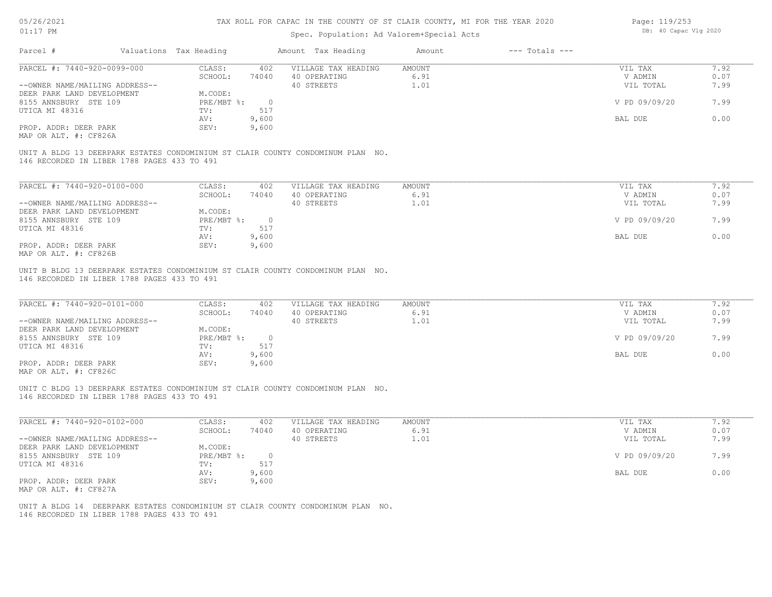## Spec. Population: Ad Valorem+Special Acts

| Page: 119/253 |                       |  |
|---------------|-----------------------|--|
|               | DB: 40 Capac Vlg 2020 |  |

| Parcel #                                    | Valuations Tax Heading    |          | Amount Tax Heading                                                              | Amount | $---$ Totals $---$ |               |      |
|---------------------------------------------|---------------------------|----------|---------------------------------------------------------------------------------|--------|--------------------|---------------|------|
| PARCEL #: 7440-920-0099-000                 | CLASS:                    | 402      | VILLAGE TAX HEADING                                                             | AMOUNT |                    | VIL TAX       | 7.92 |
|                                             | SCHOOL:                   | 74040    | 40 OPERATING                                                                    | 6.91   |                    | V ADMIN       | 0.07 |
| --OWNER NAME/MAILING ADDRESS--              |                           |          | 40 STREETS                                                                      | 1.01   |                    | VIL TOTAL     | 7.99 |
| DEER PARK LAND DEVELOPMENT                  | M.CODE:                   |          |                                                                                 |        |                    |               |      |
| 8155 ANNSBURY STE 109                       | $PRE/MBT$ $\frac{1}{6}$ : | $\Omega$ |                                                                                 |        |                    | V PD 09/09/20 | 7.99 |
| UTICA MI 48316                              | TV:                       | 517      |                                                                                 |        |                    |               |      |
|                                             | AV:                       | 9,600    |                                                                                 |        |                    | BAL DUE       | 0.00 |
| PROP. ADDR: DEER PARK                       | SEV:                      | 9,600    |                                                                                 |        |                    |               |      |
| MAP OR ALT. #: CF826A                       |                           |          |                                                                                 |        |                    |               |      |
| 146 RECORDED IN LIBER 1788 PAGES 433 TO 491 |                           |          | UNIT A BLDG 13 DEERPARK ESTATES CONDOMINIUM ST CLAIR COUNTY CONDOMINUM PLAN NO. |        |                    |               |      |
|                                             |                           |          |                                                                                 |        |                    |               |      |
| PARCEL #: 7440-920-0100-000                 | CLASS:                    | 402      | VILLAGE TAX HEADING                                                             | AMOUNT |                    | VIL TAX       | 7.92 |
|                                             | SCHOOL:                   | 74040    | 40 OPERATING                                                                    | 6.91   |                    | V ADMIN       | 0.07 |

| --OWNER NAME/MAILING ADDRESS-- |            |       | 40 STREETS | .99<br>VIL TOTAL      |  |
|--------------------------------|------------|-------|------------|-----------------------|--|
| DEER PARK LAND DEVELOPMENT     | M.CODE:    |       |            |                       |  |
| 8155 ANNSBURY STE 109          | PRE/MBT %: |       |            | V PD 09/09/20<br>7.99 |  |
| UTICA MI 48316                 | TV:        |       |            |                       |  |
|                                | AV:        | 9,600 |            | BAL DUE<br>0.00       |  |
| PROP. ADDR: DEER PARK          | SEV:       | 9,600 |            |                       |  |
| MAP OR ALT. #: CF826B          |            |       |            |                       |  |

146 RECORDED IN LIBER 1788 PAGES 433 TO 491 UNIT B BLDG 13 DEERPARK ESTATES CONDOMINIUM ST CLAIR COUNTY CONDOMINUM PLAN NO.

| PARCEL #: 7440-920-0101-000                  | CLASS:     | 402   | VILLAGE TAX HEADING | AMOUNT | VIL TAX       | 7.92 |
|----------------------------------------------|------------|-------|---------------------|--------|---------------|------|
|                                              | SCHOOL:    | 74040 | 40 OPERATING        | 6.91   | V ADMIN       | 0.07 |
| --OWNER NAME/MAILING ADDRESS--               |            |       | 40 STREETS          | 1.01   | VIL TOTAL     | 7.99 |
| DEER PARK LAND DEVELOPMENT                   | M.CODE:    |       |                     |        |               |      |
| 8155 ANNSBURY STE 109                        | PRE/MBT %: |       |                     |        | V PD 09/09/20 | 7.99 |
| UTICA MI 48316                               | TV:        |       |                     |        |               |      |
|                                              | AV:        | 9,600 |                     |        | BAL DUE       | 0.00 |
| PROP. ADDR: DEER PARK                        | SEV:       | 9,600 |                     |        |               |      |
| $\cdots$ $\cdots$ $\cdots$ $\cdots$ $\cdots$ |            |       |                     |        |               |      |

MAP OR ALT. #: CF826C

146 RECORDED IN LIBER 1788 PAGES 433 TO 491 UNIT C BLDG 13 DEERPARK ESTATES CONDOMINIUM ST CLAIR COUNTY CONDOMINUM PLAN NO.

| PARCEL #: 7440-920-0102-000    | CLASS:     | 402   | VILLAGE TAX HEADING | AMOUNT | 7.92<br>VIL TAX       |
|--------------------------------|------------|-------|---------------------|--------|-----------------------|
|                                | SCHOOL:    | 74040 | 40 OPERATING        | 6.91   | 0.07<br>V ADMIN       |
| --OWNER NAME/MAILING ADDRESS-- |            |       | 40 STREETS          | 1.01   | 7.99<br>VIL TOTAL     |
| DEER PARK LAND DEVELOPMENT     | M.CODE:    |       |                     |        |                       |
| 8155 ANNSBURY STE 109          | PRE/MBT %: |       |                     |        | V PD 09/09/20<br>7.99 |
| UTICA MI 48316                 | TV:        | 517   |                     |        |                       |
|                                | AV:        | 9,600 |                     |        | 0.00<br>BAL DUE       |
| PROP. ADDR: DEER PARK          | SEV:       | 9,600 |                     |        |                       |
| MAP OR ALT. #: CF827A          |            |       |                     |        |                       |

 $\mathcal{L}_\mathcal{L} = \mathcal{L}_\mathcal{L} = \mathcal{L}_\mathcal{L} = \mathcal{L}_\mathcal{L} = \mathcal{L}_\mathcal{L} = \mathcal{L}_\mathcal{L} = \mathcal{L}_\mathcal{L} = \mathcal{L}_\mathcal{L} = \mathcal{L}_\mathcal{L} = \mathcal{L}_\mathcal{L} = \mathcal{L}_\mathcal{L} = \mathcal{L}_\mathcal{L} = \mathcal{L}_\mathcal{L} = \mathcal{L}_\mathcal{L} = \mathcal{L}_\mathcal{L} = \mathcal{L}_\mathcal{L} = \mathcal{L}_\mathcal{L}$ 

146 RECORDED IN LIBER 1788 PAGES 433 TO 491 UNIT A BLDG 14 DEERPARK ESTATES CONDOMINIUM ST CLAIR COUNTY CONDOMINUM PLAN NO.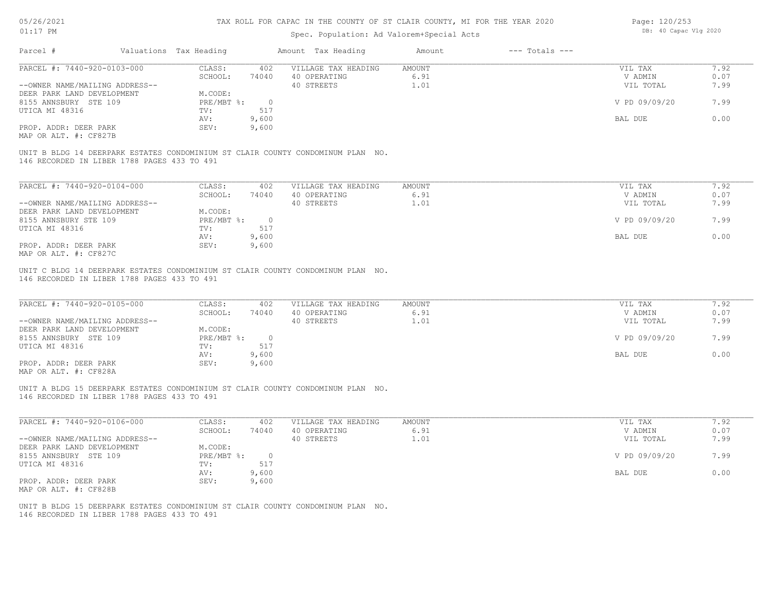## Spec. Population: Ad Valorem+Special Acts

| Page: 120/253 |                       |  |
|---------------|-----------------------|--|
|               | DB: 40 Capac Vlg 2020 |  |

| Parcel #                       | Valuations Tax Heading |          | Amount Tax Heading                                                              | Amount | $---$ Totals $---$ |               |      |
|--------------------------------|------------------------|----------|---------------------------------------------------------------------------------|--------|--------------------|---------------|------|
| PARCEL #: 7440-920-0103-000    | CLASS:                 | 402      | VILLAGE TAX HEADING                                                             | AMOUNT |                    | VIL TAX       | 7.92 |
|                                | SCHOOL:                | 74040    | 40 OPERATING                                                                    | 6.91   |                    | V ADMIN       | 0.07 |
| --OWNER NAME/MAILING ADDRESS-- |                        |          | 40 STREETS                                                                      | 1.01   |                    | VIL TOTAL     | 7.99 |
| DEER PARK LAND DEVELOPMENT     | M.CODE:                |          |                                                                                 |        |                    |               |      |
| 8155 ANNSBURY STE 109          | PRE/MBT %:             | $\Omega$ |                                                                                 |        |                    | V PD 09/09/20 | 7.99 |
| UTICA MI 48316                 | TV:                    | 517      |                                                                                 |        |                    |               |      |
|                                | AV:                    | 9,600    |                                                                                 |        |                    | BAL DUE       | 0.00 |
| PROP. ADDR: DEER PARK          | SEV:                   | 9,600    |                                                                                 |        |                    |               |      |
| MAP OR ALT. #: CF827B          |                        |          |                                                                                 |        |                    |               |      |
|                                |                        |          |                                                                                 |        |                    |               |      |
|                                |                        |          | UNIT B BLDG 14 DEERPARK ESTATES CONDOMINIUM ST CLAIR COUNTY CONDOMINUM PLAN NO. |        |                    |               |      |

146 RECORDED IN LIBER 1788 PAGES 433 TO 491

| PARCEL #: 7440-920-0104-000    | CLASS:     | 402   | VILLAGE TAX HEADING | AMOUNT | 7.92<br>VIL TAX       |
|--------------------------------|------------|-------|---------------------|--------|-----------------------|
|                                | SCHOOL:    | 74040 | 40 OPERATING        | 6.91   | 0.07<br>V ADMIN       |
| --OWNER NAME/MAILING ADDRESS-- |            |       | 40 STREETS          | 1.01   | 7.99<br>VIL TOTAL     |
| DEER PARK LAND DEVELOPMENT     | M.CODE:    |       |                     |        |                       |
| 8155 ANNSBURY STE 109          | PRE/MBT %: |       |                     |        | V PD 09/09/20<br>7.99 |
| UTICA MI 48316                 | TV:        | 517   |                     |        |                       |
|                                | AV:        | 9,600 |                     |        | 0.00<br>BAL DUE       |
| PROP. ADDR: DEER PARK          | SEV:       | 9,600 |                     |        |                       |
| MAP OR ALT. #: CF827C          |            |       |                     |        |                       |

146 RECORDED IN LIBER 1788 PAGES 433 TO 491 UNIT C BLDG 14 DEERPARK ESTATES CONDOMINIUM ST CLAIR COUNTY CONDOMINUM PLAN NO.

| PARCEL #: 7440-920-0105-000    | CLASS:     | 402   | VILLAGE TAX HEADING | AMOUNT | VIL TAX       | 7.92 |
|--------------------------------|------------|-------|---------------------|--------|---------------|------|
|                                | SCHOOL:    | 74040 | 40 OPERATING        | 6.91   | V ADMIN       | 0.07 |
| --OWNER NAME/MAILING ADDRESS-- |            |       | 40 STREETS          | 1.01   | VIL TOTAL     | 7.99 |
| DEER PARK LAND DEVELOPMENT     | M.CODE:    |       |                     |        |               |      |
| 8155 ANNSBURY STE 109          | PRE/MBT %: |       |                     |        | V PD 09/09/20 | 7.99 |
| UTICA MI 48316                 | TV:        | 517   |                     |        |               |      |
|                                | AV:        | 9,600 |                     |        | BAL DUE       | 0.00 |
| PROP. ADDR: DEER PARK          | SEV:       | 9,600 |                     |        |               |      |
| $\cdots$                       |            |       |                     |        |               |      |

MAP OR ALT. #: CF828A

146 RECORDED IN LIBER 1788 PAGES 433 TO 491 UNIT A BLDG 15 DEERPARK ESTATES CONDOMINIUM ST CLAIR COUNTY CONDOMINUM PLAN NO.

| PARCEL #: 7440-920-0106-000    | CLASS:     | 402   | VILLAGE TAX HEADING | AMOUNT | 7.92<br>VIL TAX       |
|--------------------------------|------------|-------|---------------------|--------|-----------------------|
|                                | SCHOOL:    | 74040 | 40 OPERATING        | 6.91   | 0.07<br>V ADMIN       |
| --OWNER NAME/MAILING ADDRESS-- |            |       | 40 STREETS          | 1.01   | 7.99<br>VIL TOTAL     |
| DEER PARK LAND DEVELOPMENT     | M.CODE:    |       |                     |        |                       |
| 8155 ANNSBURY STE 109          | PRE/MBT %: |       |                     |        | V PD 09/09/20<br>7.99 |
| UTICA MI 48316                 | TV:        | 517   |                     |        |                       |
|                                | AV:        | 9,600 |                     |        | 0.00<br>BAL DUE       |
| PROP. ADDR: DEER PARK          | SEV:       | 9,600 |                     |        |                       |
| MAP OR ALT. #: CF828B          |            |       |                     |        |                       |

 $\mathcal{L}_\mathcal{L} = \mathcal{L}_\mathcal{L} = \mathcal{L}_\mathcal{L} = \mathcal{L}_\mathcal{L} = \mathcal{L}_\mathcal{L} = \mathcal{L}_\mathcal{L} = \mathcal{L}_\mathcal{L} = \mathcal{L}_\mathcal{L} = \mathcal{L}_\mathcal{L} = \mathcal{L}_\mathcal{L} = \mathcal{L}_\mathcal{L} = \mathcal{L}_\mathcal{L} = \mathcal{L}_\mathcal{L} = \mathcal{L}_\mathcal{L} = \mathcal{L}_\mathcal{L} = \mathcal{L}_\mathcal{L} = \mathcal{L}_\mathcal{L}$ 

146 RECORDED IN LIBER 1788 PAGES 433 TO 491 UNIT B BLDG 15 DEERPARK ESTATES CONDOMINIUM ST CLAIR COUNTY CONDOMINUM PLAN NO.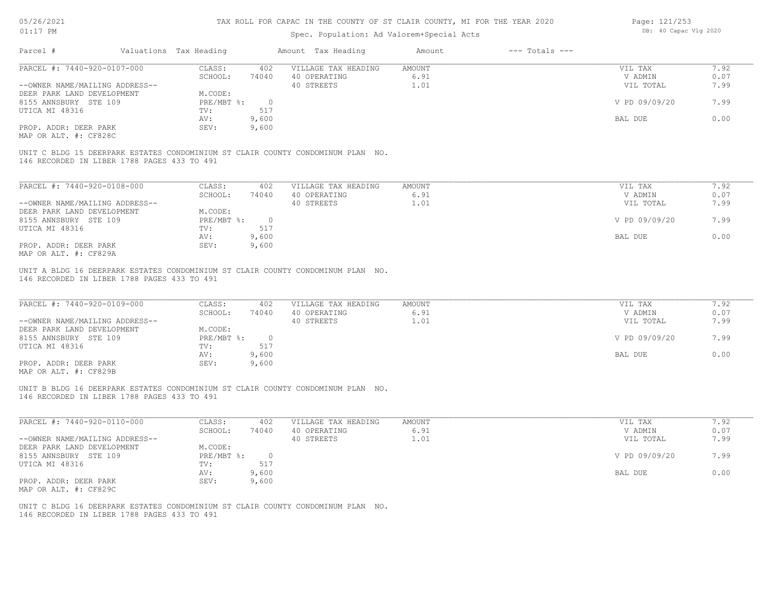## Spec. Population: Ad Valorem+Special Acts

| Page: 121/253 |                       |  |  |  |  |  |
|---------------|-----------------------|--|--|--|--|--|
|               | DB: 40 Capac Vlg 2020 |  |  |  |  |  |

| Parcel #                       |                                             | Valuations Tax Heading |          | Amount Tax Heading                                                              | Amount | $---$ Totals $---$ |               |      |
|--------------------------------|---------------------------------------------|------------------------|----------|---------------------------------------------------------------------------------|--------|--------------------|---------------|------|
| PARCEL #: 7440-920-0107-000    |                                             | CLASS:                 | 402      | VILLAGE TAX HEADING                                                             | AMOUNT |                    | VIL TAX       | 7.92 |
|                                |                                             | SCHOOL:                | 74040    | 40 OPERATING                                                                    | 6.91   |                    | V ADMIN       | 0.07 |
| --OWNER NAME/MAILING ADDRESS-- |                                             |                        |          | 40 STREETS                                                                      | 1.01   |                    | VIL TOTAL     | 7.99 |
| DEER PARK LAND DEVELOPMENT     |                                             | M.CODE:                |          |                                                                                 |        |                    |               |      |
| 8155 ANNSBURY STE 109          |                                             | PRE/MBT %:             | $\Omega$ |                                                                                 |        |                    | V PD 09/09/20 | 7.99 |
| UTICA MI 48316                 |                                             | TV:                    | 517      |                                                                                 |        |                    |               |      |
|                                |                                             | AV:                    | 9,600    |                                                                                 |        |                    | BAL DUE       | 0.00 |
| PROP. ADDR: DEER PARK          |                                             | SEV:                   | 9,600    |                                                                                 |        |                    |               |      |
| MAP OR ALT. #: CF828C          |                                             |                        |          |                                                                                 |        |                    |               |      |
|                                |                                             |                        |          |                                                                                 |        |                    |               |      |
|                                | 146 RECORDED IN LIBER 1788 PAGES 433 TO 491 |                        |          | UNIT C BLDG 15 DEERPARK ESTATES CONDOMINIUM ST CLAIR COUNTY CONDOMINUM PLAN NO. |        |                    |               |      |
|                                |                                             |                        |          |                                                                                 |        |                    |               |      |

| PARCEL #: 7440-920-0108-000    | CLASS:     | 402   | VILLAGE TAX HEADING | AMOUNT | 7.92<br>VIL TAX       |
|--------------------------------|------------|-------|---------------------|--------|-----------------------|
|                                | SCHOOL:    | 74040 | 40 OPERATING        | 6.91   | 0.07<br>V ADMIN       |
| --OWNER NAME/MAILING ADDRESS-- |            |       | 40 STREETS          | 1.01   | 7.99<br>VIL TOTAL     |
| DEER PARK LAND DEVELOPMENT     | M.CODE:    |       |                     |        |                       |
| 8155 ANNSBURY STE 109          | PRE/MBT %: |       |                     |        | V PD 09/09/20<br>7.99 |
| UTICA MI 48316                 | TV:        | 517   |                     |        |                       |
|                                | AV:        | 9,600 |                     |        | 0.00<br>BAL DUE       |
| PROP. ADDR: DEER PARK          | SEV:       | 9,600 |                     |        |                       |
| MAP OR ALT. #: CF829A          |            |       |                     |        |                       |

146 RECORDED IN LIBER 1788 PAGES 433 TO 491 UNIT A BLDG 16 DEERPARK ESTATES CONDOMINIUM ST CLAIR COUNTY CONDOMINUM PLAN NO.

| PARCEL #: 7440-920-0109-000    | CLASS:     | 402   | VILLAGE TAX HEADING | AMOUNT | VIL TAX       | 7.92 |
|--------------------------------|------------|-------|---------------------|--------|---------------|------|
|                                | SCHOOL:    | 74040 | 40 OPERATING        | 6.91   | V ADMIN       | 0.07 |
| --OWNER NAME/MAILING ADDRESS-- |            |       | 40 STREETS          | 1.01   | VIL TOTAL     | 7.99 |
| DEER PARK LAND DEVELOPMENT     | M.CODE:    |       |                     |        |               |      |
| 8155 ANNSBURY STE 109          | PRE/MBT %: |       |                     |        | V PD 09/09/20 | 7.99 |
| UTICA MI 48316                 | TV:        |       |                     |        |               |      |
|                                | AV:        | 9,600 |                     |        | BAL DUE       | 0.00 |
| PROP. ADDR: DEER PARK          | SEV:       | 9,600 |                     |        |               |      |
|                                |            |       |                     |        |               |      |

MAP OR ALT. #: CF829B

146 RECORDED IN LIBER 1788 PAGES 433 TO 491 UNIT B BLDG 16 DEERPARK ESTATES CONDOMINIUM ST CLAIR COUNTY CONDOMINUM PLAN NO.

| PARCEL #: 7440-920-0110-000    | CLASS:     | 402   | VILLAGE TAX HEADING | AMOUNT | VIL TAX       | 7.92 |
|--------------------------------|------------|-------|---------------------|--------|---------------|------|
|                                | SCHOOL:    | 74040 | 40 OPERATING        | 6.91   | V ADMIN       | 0.07 |
| --OWNER NAME/MAILING ADDRESS-- |            |       | 40 STREETS          | 1.01   | VIL TOTAL     | 7.99 |
| DEER PARK LAND DEVELOPMENT     | M.CODE:    |       |                     |        |               |      |
| 8155 ANNSBURY STE 109          | PRE/MBT %: |       |                     |        | V PD 09/09/20 | 7.99 |
| UTICA MI 48316                 | TV:        | 517   |                     |        |               |      |
|                                | AV:        | 9,600 |                     |        | BAL DUE       | 0.00 |
| PROP. ADDR: DEER PARK          | SEV:       | 9,600 |                     |        |               |      |
| MAP OR ALT. #: CF829C          |            |       |                     |        |               |      |

 $\mathcal{L}_\mathcal{L} = \mathcal{L}_\mathcal{L} = \mathcal{L}_\mathcal{L} = \mathcal{L}_\mathcal{L} = \mathcal{L}_\mathcal{L} = \mathcal{L}_\mathcal{L} = \mathcal{L}_\mathcal{L} = \mathcal{L}_\mathcal{L} = \mathcal{L}_\mathcal{L} = \mathcal{L}_\mathcal{L} = \mathcal{L}_\mathcal{L} = \mathcal{L}_\mathcal{L} = \mathcal{L}_\mathcal{L} = \mathcal{L}_\mathcal{L} = \mathcal{L}_\mathcal{L} = \mathcal{L}_\mathcal{L} = \mathcal{L}_\mathcal{L}$ 

146 RECORDED IN LIBER 1788 PAGES 433 TO 491 UNIT C BLDG 16 DEERPARK ESTATES CONDOMINIUM ST CLAIR COUNTY CONDOMINUM PLAN NO.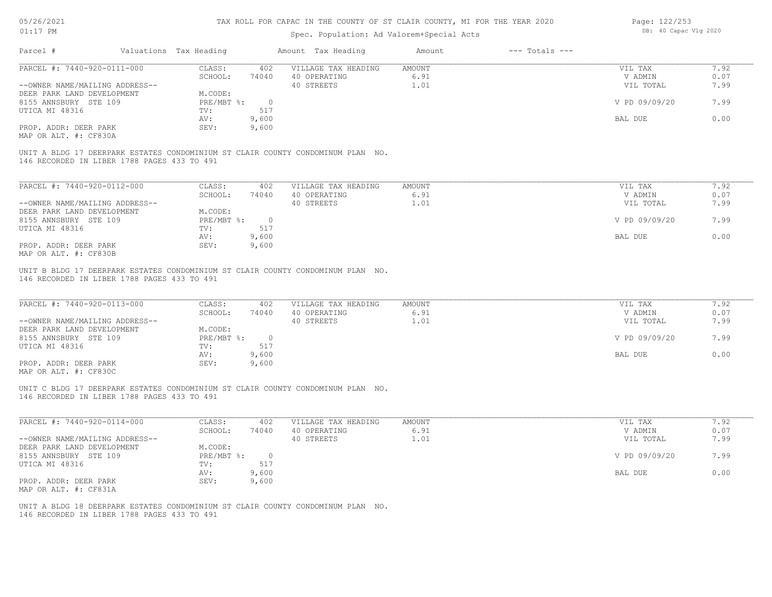| 05/26/2021                                     |                                             | TAX ROLL FOR CAPAC IN THE COUNTY OF ST CLAIR COUNTY, MI FOR THE YEAR 2020 |                          |                                                                                 |               |                    |               | Page: 122/253 |  |  |
|------------------------------------------------|---------------------------------------------|---------------------------------------------------------------------------|--------------------------|---------------------------------------------------------------------------------|---------------|--------------------|---------------|---------------|--|--|
| $01:17$ PM                                     |                                             |                                                                           | DB: 40 Capac Vlg 2020    |                                                                                 |               |                    |               |               |  |  |
| Parcel #                                       |                                             | Valuations Tax Heading                                                    |                          | Amount Tax Heading                                                              | Amount        | $---$ Totals $---$ |               |               |  |  |
| PARCEL #: 7440-920-0111-000                    |                                             | CLASS:                                                                    | 402                      | VILLAGE TAX HEADING                                                             | AMOUNT        |                    | VIL TAX       | 7.92          |  |  |
|                                                |                                             | SCHOOL:                                                                   | 74040                    | 40 OPERATING                                                                    | 6.91          |                    | V ADMIN       | 0.07          |  |  |
| --OWNER NAME/MAILING ADDRESS--                 |                                             |                                                                           |                          | 40 STREETS                                                                      | 1.01          |                    | VIL TOTAL     | 7.99          |  |  |
| DEER PARK LAND DEVELOPMENT                     |                                             | M.CODE:                                                                   |                          |                                                                                 |               |                    |               |               |  |  |
| 8155 ANNSBURY STE 109                          |                                             | PRE/MBT %:                                                                | $\overline{0}$           |                                                                                 |               |                    | V PD 09/09/20 | 7.99          |  |  |
| UTICA MI 48316                                 |                                             | TV:                                                                       | 517                      |                                                                                 |               |                    |               |               |  |  |
|                                                |                                             |                                                                           |                          |                                                                                 |               |                    |               | 0.00          |  |  |
|                                                |                                             | AV:                                                                       | 9,600                    |                                                                                 |               |                    | BAL DUE       |               |  |  |
| PROP. ADDR: DEER PARK<br>MAP OR ALT. #: CF830A |                                             | SEV:                                                                      | 9,600                    |                                                                                 |               |                    |               |               |  |  |
|                                                | 146 RECORDED IN LIBER 1788 PAGES 433 TO 491 |                                                                           |                          | UNIT A BLDG 17 DEERPARK ESTATES CONDOMINIUM ST CLAIR COUNTY CONDOMINUM PLAN NO. |               |                    |               |               |  |  |
| PARCEL #: 7440-920-0112-000                    |                                             | CLASS:                                                                    | 402                      | VILLAGE TAX HEADING                                                             | AMOUNT        |                    | VIL TAX       | 7.92          |  |  |
|                                                |                                             | SCHOOL:                                                                   | 74040                    | 40 OPERATING                                                                    | 6.91          |                    | V ADMIN       | 0.07          |  |  |
| --OWNER NAME/MAILING ADDRESS--                 |                                             |                                                                           |                          | 40 STREETS                                                                      | 1.01          |                    | VIL TOTAL     | 7.99          |  |  |
| DEER PARK LAND DEVELOPMENT                     |                                             | M.CODE:                                                                   |                          |                                                                                 |               |                    |               |               |  |  |
| 8155 ANNSBURY STE 109                          |                                             | $PRE/MBT$ $\div$                                                          | $\overline{0}$           |                                                                                 |               |                    | V PD 09/09/20 | 7.99          |  |  |
| UTICA MI 48316                                 |                                             | TV:                                                                       | 517                      |                                                                                 |               |                    |               |               |  |  |
|                                                |                                             | AV:                                                                       |                          |                                                                                 |               |                    | BAL DUE       | 0.00          |  |  |
|                                                |                                             |                                                                           | 9,600                    |                                                                                 |               |                    |               |               |  |  |
| PROP. ADDR: DEER PARK<br>MAP OR ALT. #: CF830B |                                             | SEV:                                                                      | 9,600                    |                                                                                 |               |                    |               |               |  |  |
|                                                | 146 RECORDED IN LIBER 1788 PAGES 433 TO 491 |                                                                           |                          | UNIT B BLDG 17 DEERPARK ESTATES CONDOMINIUM ST CLAIR COUNTY CONDOMINUM PLAN NO. |               |                    |               |               |  |  |
| PARCEL #: 7440-920-0113-000                    |                                             | CLASS:                                                                    | 402                      | VILLAGE TAX HEADING                                                             | <b>AMOUNT</b> |                    | VIL TAX       | 7.92          |  |  |
|                                                |                                             | SCHOOL:                                                                   | 74040                    | 40 OPERATING                                                                    | 6.91          |                    | V ADMIN       | 0.07          |  |  |
| --OWNER NAME/MAILING ADDRESS--                 |                                             |                                                                           |                          | 40 STREETS                                                                      | 1.01          |                    | VIL TOTAL     | 7.99          |  |  |
| DEER PARK LAND DEVELOPMENT                     |                                             | M.CODE:                                                                   |                          |                                                                                 |               |                    |               |               |  |  |
| 8155 ANNSBURY STE 109                          |                                             | $PRE/MBT$ $\div$                                                          | $\overline{\phantom{0}}$ |                                                                                 |               |                    | V PD 09/09/20 | 7.99          |  |  |
| UTICA MI 48316                                 |                                             | TV:                                                                       | 517                      |                                                                                 |               |                    |               |               |  |  |
|                                                |                                             | AV:                                                                       | 9,600                    |                                                                                 |               |                    | BAL DUE       | 0.00          |  |  |
| PROP. ADDR: DEER PARK                          |                                             | SEV:                                                                      | 9,600                    |                                                                                 |               |                    |               |               |  |  |
| MAP OR ALT. #: CF830C                          |                                             |                                                                           |                          |                                                                                 |               |                    |               |               |  |  |
|                                                | 146 RECORDED IN LIBER 1788 PAGES 433 TO 491 |                                                                           |                          | UNIT C BLDG 17 DEERPARK ESTATES CONDOMINIUM ST CLAIR COUNTY CONDOMINUM PLAN NO. |               |                    |               |               |  |  |
|                                                |                                             |                                                                           |                          |                                                                                 |               |                    |               |               |  |  |
| PARCEL #: 7440-920-0114-000                    |                                             | CLASS:                                                                    | 402                      | VILLAGE TAX HEADING                                                             | <b>AMOUNT</b> |                    | VIL TAX       | 7.92          |  |  |

|                                | SCHOOL:    | 74040  | 40 OPERATING | 6.91 | V ADMIN       | 0.07 |
|--------------------------------|------------|--------|--------------|------|---------------|------|
| --OWNER NAME/MAILING ADDRESS-- |            |        | 40 STREETS   | 1.01 | VIL TOTAL     | 7.99 |
| DEER PARK LAND DEVELOPMENT     | M.CODE:    |        |              |      |               |      |
| 8155 ANNSBURY STE 109          | PRE/MBT %: | $\cap$ |              |      | V PD 09/09/20 | 7.99 |
| UTICA MI 48316                 | TV:        | 517    |              |      |               |      |
|                                | AV:        | 9,600  |              |      | BAL DUE       | 0.00 |
| PROP. ADDR: DEER PARK          | SEV:       | 9,600  |              |      |               |      |
| MAP OR ALT. #: CF831A          |            |        |              |      |               |      |

146 RECORDED IN LIBER 1788 PAGES 433 TO 491 UNIT A BLDG 18 DEERPARK ESTATES CONDOMINIUM ST CLAIR COUNTY CONDOMINUM PLAN NO.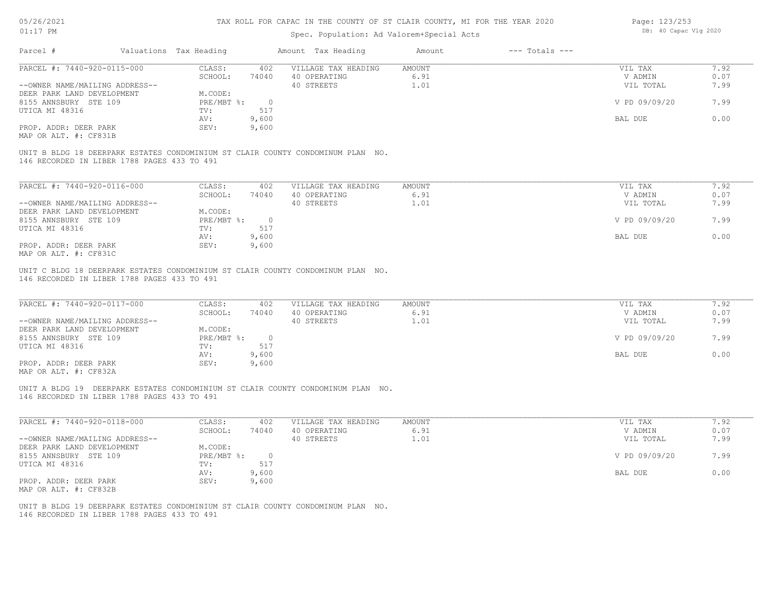| 05/26/2021                     |                                             |                        |                                           | TAX ROLL FOR CAPAC IN THE COUNTY OF ST CLAIR COUNTY, MI FOR THE YEAR 2020                                              |                |                    | Page: 123/253<br>DB: 40 Capac Vlg 2020 |              |
|--------------------------------|---------------------------------------------|------------------------|-------------------------------------------|------------------------------------------------------------------------------------------------------------------------|----------------|--------------------|----------------------------------------|--------------|
| $01:17$ PM                     |                                             |                        | Spec. Population: Ad Valorem+Special Acts |                                                                                                                        |                |                    |                                        |              |
| Parcel #                       |                                             | Valuations Tax Heading |                                           | Amount Tax Heading                                                                                                     | Amount         | $---$ Totals $---$ |                                        |              |
| PARCEL #: 7440-920-0115-000    |                                             | CLASS:                 | 402                                       | VILLAGE TAX HEADING                                                                                                    | AMOUNT         |                    | VIL TAX                                | 7.92         |
|                                |                                             | SCHOOL:                | 74040                                     | 40 OPERATING                                                                                                           | 6.91           |                    | V ADMIN                                | 0.07         |
| --OWNER NAME/MAILING ADDRESS-- |                                             |                        |                                           | 40 STREETS                                                                                                             | 1.01           |                    | VIL TOTAL                              | 7.99         |
| DEER PARK LAND DEVELOPMENT     |                                             | M.CODE:                |                                           |                                                                                                                        |                |                    |                                        |              |
| 8155 ANNSBURY STE 109          |                                             | PRE/MBT %:             | $\circ$                                   |                                                                                                                        |                |                    | V PD 09/09/20                          | 7.99         |
| UTICA MI 48316                 |                                             | TV:                    | 517                                       |                                                                                                                        |                |                    |                                        |              |
|                                |                                             | AV:                    | 9,600                                     |                                                                                                                        |                |                    | BAL DUE                                | 0.00         |
| PROP. ADDR: DEER PARK          |                                             | SEV:                   | 9,600                                     |                                                                                                                        |                |                    |                                        |              |
| MAP OR ALT. #: CF831B          |                                             |                        |                                           |                                                                                                                        |                |                    |                                        |              |
|                                | 146 RECORDED IN LIBER 1788 PAGES 433 TO 491 |                        |                                           | UNIT B BLDG 18 DEERPARK ESTATES CONDOMINIUM ST CLAIR COUNTY CONDOMINUM PLAN NO.                                        |                |                    |                                        |              |
| PARCEL #: 7440-920-0116-000    |                                             | CLASS:                 | 402                                       | VILLAGE TAX HEADING                                                                                                    | <b>AMOUNT</b>  |                    | VIL TAX                                | 7.92         |
|                                |                                             | SCHOOL:                | 74040                                     | 40 OPERATING                                                                                                           | 6.91           |                    | V ADMIN                                | 0.07         |
| --OWNER NAME/MAILING ADDRESS-- |                                             |                        |                                           | 40 STREETS                                                                                                             | 1.01           |                    | VIL TOTAL                              | 7.99         |
| DEER PARK LAND DEVELOPMENT     |                                             | M.CODE:                |                                           |                                                                                                                        |                |                    |                                        |              |
| 8155 ANNSBURY STE 109          |                                             | $PRE/MBT$ $\div$       | $\overline{0}$                            |                                                                                                                        |                |                    | V PD 09/09/20                          | 7.99         |
| UTICA MI 48316                 |                                             | TV:                    | 517                                       |                                                                                                                        |                |                    |                                        |              |
|                                |                                             | AV:                    | 9,600                                     |                                                                                                                        |                |                    | BAL DUE                                | 0.00         |
| PROP. ADDR: DEER PARK          |                                             | SEV:                   | 9,600                                     |                                                                                                                        |                |                    |                                        |              |
| MAP OR ALT. #: CF831C          |                                             |                        |                                           |                                                                                                                        |                |                    |                                        |              |
| PARCEL #: 7440-920-0117-000    | 146 RECORDED IN LIBER 1788 PAGES 433 TO 491 | CLASS:<br>SCHOOL:      | 402<br>74040                              | UNIT C BLDG 18 DEERPARK ESTATES CONDOMINIUM ST CLAIR COUNTY CONDOMINUM PLAN NO.<br>VILLAGE TAX HEADING<br>40 OPERATING | AMOUNT<br>6.91 |                    | VIL TAX<br>V ADMIN                     | 7.92<br>0.07 |
| --OWNER NAME/MAILING ADDRESS-- |                                             |                        |                                           | 40 STREETS                                                                                                             | 1.01           |                    | VIL TOTAL                              | 7.99         |
| DEER PARK LAND DEVELOPMENT     |                                             | M.CODE:                |                                           |                                                                                                                        |                |                    |                                        |              |
| 8155 ANNSBURY STE 109          |                                             | PRE/MBT %:             | $\overline{0}$                            |                                                                                                                        |                |                    | V PD 09/09/20                          | 7.99         |
| UTICA MI 48316                 |                                             | TV:                    | 517                                       |                                                                                                                        |                |                    |                                        |              |
|                                |                                             | AV:                    | 9,600                                     |                                                                                                                        |                |                    | BAL DUE                                | 0.00         |
| PROP. ADDR: DEER PARK          |                                             | SEV:                   | 9,600                                     |                                                                                                                        |                |                    |                                        |              |
| MAP OR ALT. #: CF832A          |                                             |                        |                                           |                                                                                                                        |                |                    |                                        |              |
|                                |                                             |                        |                                           | UNIT A BLDG 19 DEERPARK ESTATES CONDOMINIUM ST CLAIR COUNTY CONDOMINUM PLAN NO.                                        |                |                    |                                        |              |
|                                | 146 RECORDED IN LIBER 1788 PAGES 433 TO 491 |                        |                                           |                                                                                                                        |                |                    |                                        |              |
|                                |                                             |                        |                                           |                                                                                                                        |                |                    |                                        |              |
|                                |                                             |                        |                                           |                                                                                                                        |                |                    |                                        |              |
| PARCEL #: 7440-920-0118-000    |                                             | CLASS:                 | 402                                       | VILLAGE TAX HEADING                                                                                                    | <b>AMOUNT</b>  |                    | VIL TAX                                | 7.92         |
|                                |                                             | SCHOOL:                | 74040                                     | 40 OPERATING                                                                                                           | 6.91           |                    | V ADMIN                                | 0.07         |
| --OWNER NAME/MAILING ADDRESS-- |                                             |                        |                                           | 40 STREETS                                                                                                             | 1.01           |                    | VIL TOTAL                              | 7.99         |
| DEER PARK LAND DEVELOPMENT     |                                             | M.CODE:                |                                           |                                                                                                                        |                |                    |                                        |              |
| 8155 ANNSBURY STE 109          |                                             | $PRE/MBT$ $\div$       | $\overline{0}$                            |                                                                                                                        |                |                    | V PD 09/09/20                          | 7.99         |
| UTICA MI 48316                 |                                             | TV:                    | 517                                       |                                                                                                                        |                |                    |                                        |              |
|                                |                                             | AV:                    | 9,600                                     |                                                                                                                        |                |                    | BAL DUE                                | 0.00         |
| PROP. ADDR: DEER PARK          |                                             | SEV:                   | 9,600                                     |                                                                                                                        |                |                    |                                        |              |
| MAP OR ALT. #: CF832B          |                                             |                        |                                           |                                                                                                                        |                |                    |                                        |              |

146 RECORDED IN LIBER 1788 PAGES 433 TO 491 UNIT B BLDG 19 DEERPARK ESTATES CONDOMINIUM ST CLAIR COUNTY CONDOMINUM PLAN NO.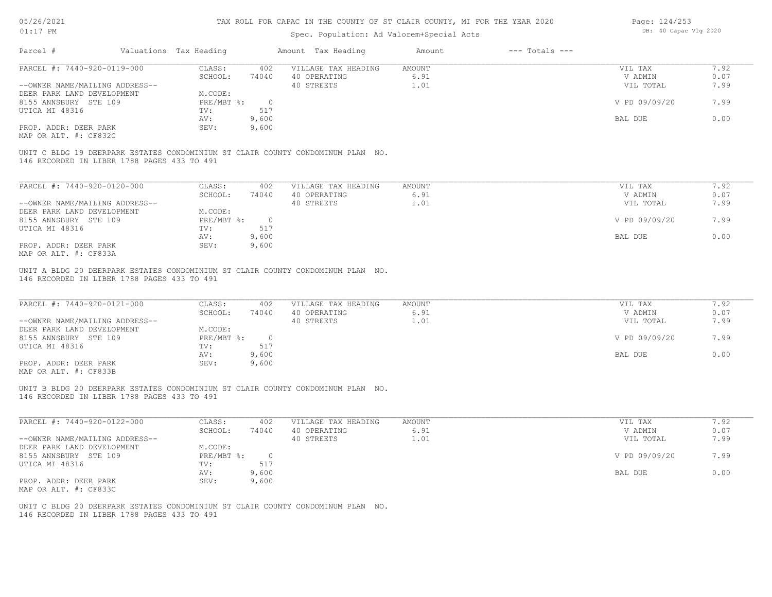## Spec. Population: Ad Valorem+Special Acts

| Page: 124/253 |                       |  |
|---------------|-----------------------|--|
|               | DB: 40 Capac Vlg 2020 |  |

| Parcel #                                                                                                                                                | Valuations Tax Heading |                | Amount Tax Heading                  | Amount                | $---$ Totals $---$ |                    |              |
|---------------------------------------------------------------------------------------------------------------------------------------------------------|------------------------|----------------|-------------------------------------|-----------------------|--------------------|--------------------|--------------|
| PARCEL #: 7440-920-0119-000                                                                                                                             | CLASS:                 | 402            | VILLAGE TAX HEADING                 | <b>AMOUNT</b>         |                    | VIL TAX            | 7.92         |
|                                                                                                                                                         | SCHOOL:                | 74040          | 40 OPERATING                        | 6.91                  |                    | V ADMIN            | 0.07         |
| --OWNER NAME/MAILING ADDRESS--                                                                                                                          |                        |                | 40 STREETS                          | 1.01                  |                    | VIL TOTAL          | 7.99         |
| DEER PARK LAND DEVELOPMENT                                                                                                                              | M.CODE:                |                |                                     |                       |                    |                    |              |
| 8155 ANNSBURY STE 109                                                                                                                                   | PRE/MBT %:             | $\overline{0}$ |                                     |                       |                    | V PD 09/09/20      | 7.99         |
| UTICA MI 48316                                                                                                                                          | TV:                    | 517            |                                     |                       |                    |                    |              |
|                                                                                                                                                         | AV:                    | 9,600          |                                     |                       |                    | BAL DUE            | 0.00         |
| PROP. ADDR: DEER PARK                                                                                                                                   | SEV:                   | 9,600          |                                     |                       |                    |                    |              |
|                                                                                                                                                         |                        |                |                                     |                       |                    |                    |              |
| MAP OR ALT. #: CF832C<br>UNIT C BLDG 19 DEERPARK ESTATES CONDOMINIUM ST CLAIR COUNTY CONDOMINUM PLAN NO.<br>146 RECORDED IN LIBER 1788 PAGES 433 TO 491 |                        |                |                                     |                       |                    |                    |              |
| PARCEL #: 7440-920-0120-000<br>--OWNER NAME/MAILING ADDRESS--                                                                                           | CLASS:<br>SCHOOL:      | 402<br>74040   | VILLAGE TAX HEADING<br>40 OPERATING | <b>AMOUNT</b><br>6.91 |                    | VIL TAX<br>V ADMIN | 7.92<br>0.07 |
| DEER PARK LAND DEVELOPMENT                                                                                                                              | M.CODE:                |                | 40 STREETS                          | 1.01                  |                    | VIL TOTAL          | 7.99         |
| 8155 ANNSBURY STE 109                                                                                                                                   | PRE/MBT %:             | $\overline{0}$ |                                     |                       |                    | V PD 09/09/20      | 7.99         |
| UTICA MI 48316                                                                                                                                          | TV:                    | 517            |                                     |                       |                    |                    |              |
|                                                                                                                                                         | AV:                    | 9,600          |                                     |                       |                    | BAL DUE            | 0.00         |

| PARCEL #: 7440-920-0121-000    | CLASS:     | 402   | VILLAGE TAX HEADING | AMOUNT | VIL TAX       | 7.92 |
|--------------------------------|------------|-------|---------------------|--------|---------------|------|
|                                | SCHOOL:    | 74040 | 40 OPERATING        | 6.91   | V ADMIN       | 0.07 |
| --OWNER NAME/MAILING ADDRESS-- |            |       | 40 STREETS          | 1.01   | VIL TOTAL     | 7.99 |
| DEER PARK LAND DEVELOPMENT     | M.CODE:    |       |                     |        |               |      |
| 8155 ANNSBURY STE 109          | PRE/MBT %: |       |                     |        | V PD 09/09/20 | 7.99 |
| UTICA MI 48316                 | TV:        | 517   |                     |        |               |      |
|                                | AV:        | 9,600 |                     |        | BAL DUE       | 0.00 |
| PROP. ADDR: DEER PARK          | SEV:       | 9,600 |                     |        |               |      |
| MAP OR ALT. #: CF833B          |            |       |                     |        |               |      |

146 RECORDED IN LIBER 1788 PAGES 433 TO 491 UNIT B BLDG 20 DEERPARK ESTATES CONDOMINIUM ST CLAIR COUNTY CONDOMINUM PLAN NO.

| PARCEL #: 7440-920-0122-000    | CLASS:     | 402   | VILLAGE TAX HEADING | AMOUNT | VIL TAX       | 1.92 |
|--------------------------------|------------|-------|---------------------|--------|---------------|------|
|                                | SCHOOL:    | 74040 | 40 OPERATING        | 6.91   | V ADMIN       | 0.07 |
| --OWNER NAME/MAILING ADDRESS-- |            |       | 40 STREETS          | 1.01   | VIL TOTAL     | 7.99 |
| DEER PARK LAND DEVELOPMENT     | M.CODE:    |       |                     |        |               |      |
| 8155 ANNSBURY STE 109          | PRE/MBT %: |       |                     |        | V PD 09/09/20 | 7.99 |
| UTICA MI 48316                 | TV:        | 517   |                     |        |               |      |
|                                | AV:        | 9,600 |                     |        | BAL DUE       | 0.00 |
| PROP. ADDR: DEER PARK          | SEV:       | 9,600 |                     |        |               |      |
| MAP OR ALT. #: CF833C          |            |       |                     |        |               |      |

146 RECORDED IN LIBER 1788 PAGES 433 TO 491 UNIT C BLDG 20 DEERPARK ESTATES CONDOMINIUM ST CLAIR COUNTY CONDOMINUM PLAN NO.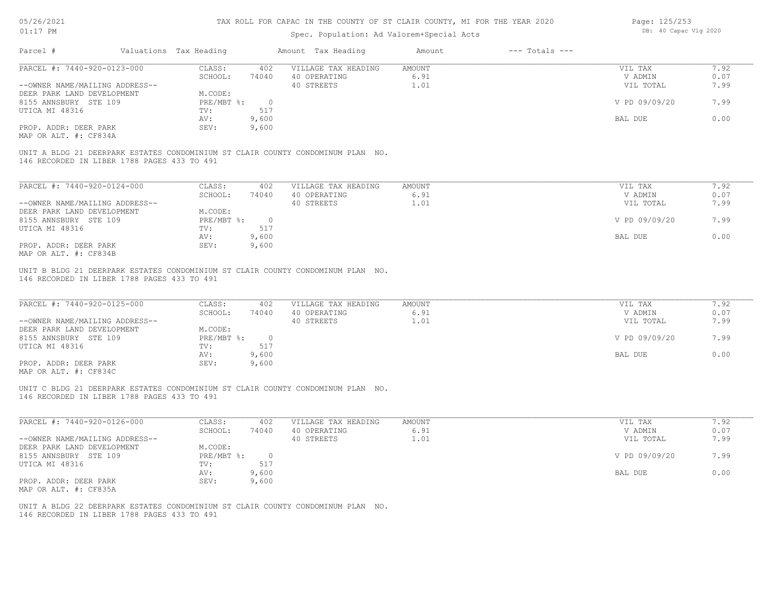## Spec. Population: Ad Valorem+Special Acts

| Page: 125/253 |                       |  |
|---------------|-----------------------|--|
|               | DB: 40 Capac Vlg 2020 |  |

| Parcel #                                                                                                                                                | Valuations Tax Heading |                | Amount Tax Heading  | Amount | $---$ Totals $---$ |               |      |
|---------------------------------------------------------------------------------------------------------------------------------------------------------|------------------------|----------------|---------------------|--------|--------------------|---------------|------|
| PARCEL #: 7440-920-0123-000                                                                                                                             | CLASS:                 | 402            | VILLAGE TAX HEADING | AMOUNT |                    | VIL TAX       | 7.92 |
|                                                                                                                                                         | SCHOOL:                | 74040          | 40 OPERATING        | 6.91   |                    | V ADMIN       | 0.07 |
| --OWNER NAME/MAILING ADDRESS--                                                                                                                          |                        |                | 40 STREETS          | 1.01   |                    | VIL TOTAL     | 7.99 |
| DEER PARK LAND DEVELOPMENT                                                                                                                              | M.CODE:                |                |                     |        |                    |               |      |
| 8155 ANNSBURY STE 109                                                                                                                                   | PRE/MBT %:             | $\overline{0}$ |                     |        |                    | V PD 09/09/20 | 7.99 |
| UTICA MI 48316                                                                                                                                          | TV:                    | 517            |                     |        |                    |               |      |
|                                                                                                                                                         | AV:                    | 9,600          |                     |        |                    | BAL DUE       | 0.00 |
| PROP. ADDR: DEER PARK                                                                                                                                   | SEV:                   | 9,600          |                     |        |                    |               |      |
|                                                                                                                                                         |                        |                |                     |        |                    |               |      |
| MAP OR ALT. #: CF834A<br>UNIT A BLDG 21 DEERPARK ESTATES CONDOMINIUM ST CLAIR COUNTY CONDOMINUM PLAN NO.<br>146 RECORDED IN LIBER 1788 PAGES 433 TO 491 |                        |                |                     |        |                    |               |      |
| PARCEL #: 7440-920-0124-000                                                                                                                             | CLASS:                 | 402            | VILLAGE TAX HEADING | AMOUNT |                    | VIL TAX       | 7.92 |
|                                                                                                                                                         | SCHOOL:                | 74040          | 40 OPERATING        | 6.91   |                    | V ADMIN       | 0.07 |
| --OWNER NAME/MAILING ADDRESS--                                                                                                                          |                        |                | 40 STREETS          | 1.01   |                    | VIL TOTAL     | 7.99 |
| DEER PARK LAND DEVELOPMENT                                                                                                                              | M.CODE:                |                |                     |        |                    |               |      |
| 8155 ANNSBURY STE 109                                                                                                                                   | PRE/MBT %:             | $\overline{0}$ |                     |        |                    | V PD 09/09/20 | 7.99 |
| UTICA MI 48316                                                                                                                                          | TV:                    | 517            |                     |        |                    |               |      |
|                                                                                                                                                         | AV:                    | 9,600          |                     |        |                    | BAL DUE       | 0.00 |
| PROP. ADDR: DEER PARK<br>MAP OR ALT. #: CF834B                                                                                                          | SEV:                   | 9,600          |                     |        |                    |               |      |

MAP OR ALT. #: CF834C PROP. ADDR: DEER PARK SEV: 9,600 AV: 9,600 BAL DUE 0.00 UTICA MI 48316 TV: 517<br>
AV: 9,600 8155 ANNSBURY STE 109 PRE/MBT %: 0 0 09/09/20 PRE/MBT %: 0 0 09/09/20 PD 09/09/20 0 2.99 DEER PARK LAND DEVELOPMENT M.CODE: --OWNER NAME/MAILING ADDRESS-- 40 STREETS 40 STREETS 4.01 1.01 VIL TOTAL 7.99 SCHOOL: 74040 40 OPERATING 6.91 6.91 6.91 V ADMIN 0.07 PARCEL #: 7440-920-0125-000 CLASS: 402 VILLAGE TAX HEADING AMOUNT AMOUNT VIL TAX VIL TAX 7.92

 $\mathcal{L}_\mathcal{L} = \mathcal{L}_\mathcal{L} = \mathcal{L}_\mathcal{L} = \mathcal{L}_\mathcal{L} = \mathcal{L}_\mathcal{L} = \mathcal{L}_\mathcal{L} = \mathcal{L}_\mathcal{L} = \mathcal{L}_\mathcal{L} = \mathcal{L}_\mathcal{L} = \mathcal{L}_\mathcal{L} = \mathcal{L}_\mathcal{L} = \mathcal{L}_\mathcal{L} = \mathcal{L}_\mathcal{L} = \mathcal{L}_\mathcal{L} = \mathcal{L}_\mathcal{L} = \mathcal{L}_\mathcal{L} = \mathcal{L}_\mathcal{L}$ 

146 RECORDED IN LIBER 1788 PAGES 433 TO 491 UNIT C BLDG 21 DEERPARK ESTATES CONDOMINIUM ST CLAIR COUNTY CONDOMINUM PLAN NO.

| PARCEL #: 7440-920-0126-000    | CLASS:     | 402   | VILLAGE TAX HEADING | AMOUNT | VIL TAX       | 1.92 |
|--------------------------------|------------|-------|---------------------|--------|---------------|------|
|                                | SCHOOL:    | 74040 | 40 OPERATING        | 6.91   | V ADMIN       | 0.07 |
| --OWNER NAME/MAILING ADDRESS-- |            |       | 40 STREETS          | 1.01   | VIL TOTAL     | 7.99 |
| DEER PARK LAND DEVELOPMENT     | M.CODE:    |       |                     |        |               |      |
| 8155 ANNSBURY STE 109          | PRE/MBT %: |       |                     |        | V PD 09/09/20 | 7.99 |
| UTICA MI 48316                 | TV:        | 517   |                     |        |               |      |
|                                | AV:        | 9,600 |                     |        | BAL DUE       | 0.00 |
| PROP. ADDR: DEER PARK          | SEV:       | 9,600 |                     |        |               |      |
| MAP OR ALT. #: CF835A          |            |       |                     |        |               |      |

146 RECORDED IN LIBER 1788 PAGES 433 TO 491 UNIT A BLDG 22 DEERPARK ESTATES CONDOMINIUM ST CLAIR COUNTY CONDOMINUM PLAN NO.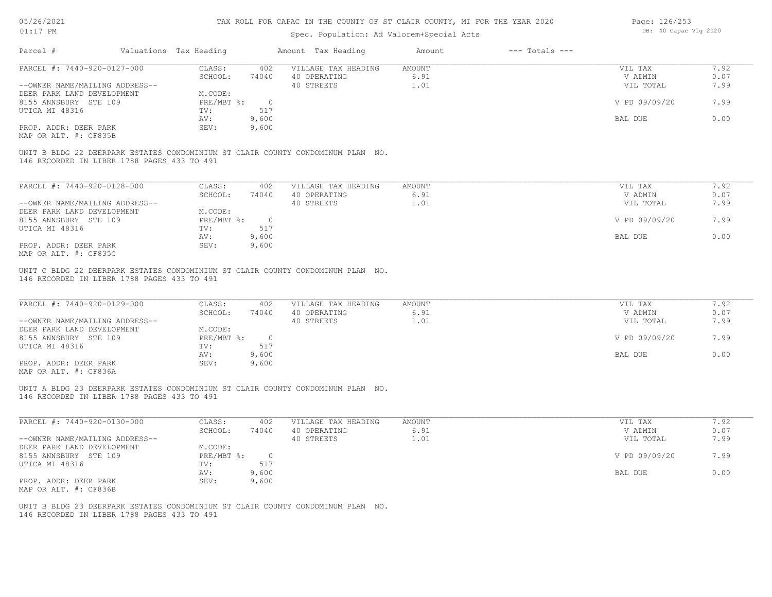## Spec. Population: Ad Valorem+Special Acts

| Page: 126/253 |                       |  |
|---------------|-----------------------|--|
|               | DB: 40 Capac Vlg 2020 |  |

| PARCEL #: 7440-920-0127-000<br>--OWNER NAME/MAILING ADDRESS-- | CLASS:<br>SCHOOL: | 402   | VILLAGE TAX HEADING | AMOUNT | VIL TAX       |      |
|---------------------------------------------------------------|-------------------|-------|---------------------|--------|---------------|------|
|                                                               |                   |       |                     |        |               | 7.92 |
|                                                               |                   | 74040 | 40 OPERATING        | 6.91   | V ADMIN       | 0.07 |
|                                                               |                   |       | 40 STREETS          | 1.01   | VIL TOTAL     | 7.99 |
| DEER PARK LAND DEVELOPMENT                                    | M.CODE:           |       |                     |        |               |      |
| 8155 ANNSBURY STE 109                                         | PRE/MBT %:        |       |                     |        | V PD 09/09/20 | 7.99 |
| UTICA MI 48316                                                | TV:               | 517   |                     |        |               |      |
|                                                               | AV:               | 9,600 |                     |        | BAL DUE       | 0.00 |
| PROP. ADDR: DEER PARK                                         | SEV:              | 9,600 |                     |        |               |      |
| MAP OR ALT. #: CF835B                                         |                   |       |                     |        |               |      |

146 RECORDED IN LIBER 1788 PAGES 433 TO 491

| PARCEL #: 7440-920-0128-000    | CLASS:     | 402   | VILLAGE TAX HEADING | AMOUNT | VIL TAX       | 7.92 |
|--------------------------------|------------|-------|---------------------|--------|---------------|------|
|                                | SCHOOL:    | 74040 | 40 OPERATING        | 6.91   | V ADMIN       | 0.07 |
| --OWNER NAME/MAILING ADDRESS-- |            |       | 40 STREETS          | 1.01   | VIL TOTAL     | 7.99 |
| DEER PARK LAND DEVELOPMENT     | M.CODE:    |       |                     |        |               |      |
| 8155 ANNSBURY STE 109          | PRE/MBT %: |       |                     |        | V PD 09/09/20 | 7.99 |
| UTICA MI 48316                 | TV:        | 517   |                     |        |               |      |
|                                | AV:        | 9,600 |                     |        | BAL DUE       | 0.00 |
| PROP. ADDR: DEER PARK          | SEV:       | 9,600 |                     |        |               |      |
| MAP OR ALT. #: CF835C          |            |       |                     |        |               |      |

146 RECORDED IN LIBER 1788 PAGES 433 TO 491 UNIT C BLDG 22 DEERPARK ESTATES CONDOMINIUM ST CLAIR COUNTY CONDOMINUM PLAN NO.

| PARCEL #: 7440-920-0129-000                           | CLASS:     | 402   | VILLAGE TAX HEADING | AMOUNT | VIL TAX       | 7.92 |
|-------------------------------------------------------|------------|-------|---------------------|--------|---------------|------|
|                                                       | SCHOOL:    | 74040 | 40 OPERATING        | 6.91   | V ADMIN       | 0.07 |
| --OWNER NAME/MAILING ADDRESS--                        |            |       | 40 STREETS          | 1.01   | VIL TOTAL     | 7.99 |
| DEER PARK LAND DEVELOPMENT                            | M.CODE:    |       |                     |        |               |      |
| 8155 ANNSBURY STE 109                                 | PRE/MBT %: |       |                     |        | V PD 09/09/20 | 7.99 |
| UTICA MI 48316                                        | TV:        | 517   |                     |        |               |      |
|                                                       | AV:        | 9,600 |                     |        | BAL DUE       | 0.00 |
| PROP. ADDR: DEER PARK                                 | SEV:       | 9,600 |                     |        |               |      |
| $\cdots$ $\cdots$ $\cdots$ $\cdots$ $\cdots$ $\cdots$ |            |       |                     |        |               |      |

MAP OR ALT. #: CF836A

146 RECORDED IN LIBER 1788 PAGES 433 TO 491 UNIT A BLDG 23 DEERPARK ESTATES CONDOMINIUM ST CLAIR COUNTY CONDOMINUM PLAN NO.

| PARCEL #: 7440-920-0130-000    | CLASS:       | 402   | VILLAGE TAX HEADING | AMOUNT | VIL TAX       | 1.92 |
|--------------------------------|--------------|-------|---------------------|--------|---------------|------|
|                                | SCHOOL:      | 74040 | 40 OPERATING        | 6.91   | V ADMIN       | 0.07 |
| --OWNER NAME/MAILING ADDRESS-- |              |       | 40 STREETS          | 1.01   | VIL TOTAL     | 7.99 |
| DEER PARK LAND DEVELOPMENT     | M.CODE:      |       |                     |        |               |      |
| 8155 ANNSBURY STE 109          | $PRE/MBT$ %: |       |                     |        | V PD 09/09/20 | 7.99 |
| UTICA MI 48316                 | TV:          | 517   |                     |        |               |      |
|                                | AV:          | 9,600 |                     |        | BAL DUE       | 0.00 |
| PROP. ADDR: DEER PARK          | SEV:         | 9,600 |                     |        |               |      |
| MAP OR ALT. #: CF836B          |              |       |                     |        |               |      |

146 RECORDED IN LIBER 1788 PAGES 433 TO 491 UNIT B BLDG 23 DEERPARK ESTATES CONDOMINIUM ST CLAIR COUNTY CONDOMINUM PLAN NO.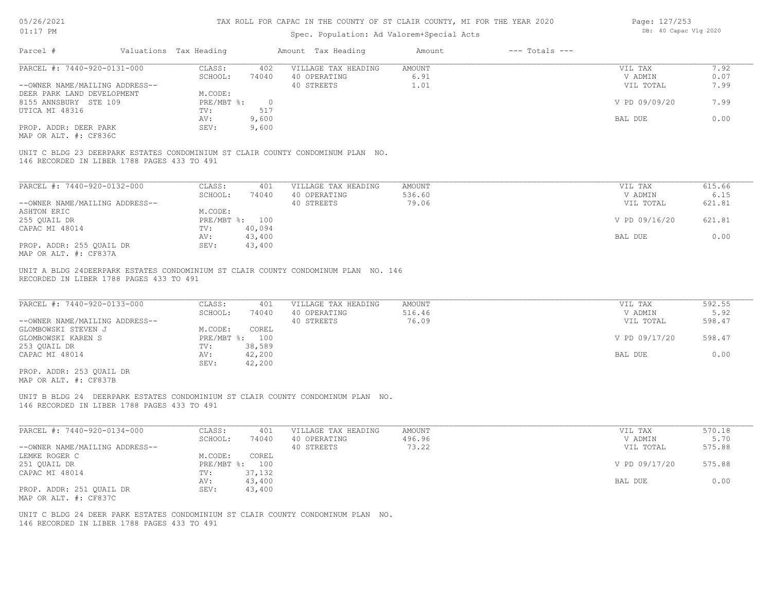## Spec. Population: Ad Valorem+Special Acts

| Page: 127/253 |                       |  |
|---------------|-----------------------|--|
|               | DB: 40 Capac Vlg 2020 |  |

| PARCEL #: 7440-920-0131-000                                                                                                                             | CLASS:         | 402            | VILLAGE TAX HEADING | AMOUNT        | VIL TAX       | 7.92   |
|---------------------------------------------------------------------------------------------------------------------------------------------------------|----------------|----------------|---------------------|---------------|---------------|--------|
|                                                                                                                                                         | SCHOOL:        | 74040          | 40 OPERATING        | 6.91          | V ADMIN       | 0.07   |
| --OWNER NAME/MAILING ADDRESS--                                                                                                                          |                |                | 40 STREETS          | 1.01          | VIL TOTAL     | 7.99   |
| DEER PARK LAND DEVELOPMENT                                                                                                                              | M.CODE:        |                |                     |               |               |        |
| 8155 ANNSBURY STE 109                                                                                                                                   | PRE/MBT %:     | $\overline{0}$ |                     |               | V PD 09/09/20 | 7.99   |
| UTICA MI 48316                                                                                                                                          | TV:            | 517            |                     |               |               |        |
|                                                                                                                                                         | AV:            | 9,600          |                     |               | BAL DUE       | 0.00   |
| PROP. ADDR: DEER PARK                                                                                                                                   | SEV:           | 9,600          |                     |               |               |        |
|                                                                                                                                                         |                |                |                     |               |               |        |
| MAP OR ALT. #: CF836C<br>UNIT C BLDG 23 DEERPARK ESTATES CONDOMINIUM ST CLAIR COUNTY CONDOMINUM PLAN NO.<br>146 RECORDED IN LIBER 1788 PAGES 433 TO 491 |                |                |                     |               |               |        |
| PARCEL #: 7440-920-0132-000                                                                                                                             | CLASS:         | 401            | VILLAGE TAX HEADING | <b>AMOUNT</b> | VIL TAX       | 615.66 |
|                                                                                                                                                         | SCHOOL:        | 74040          | 40 OPERATING        | 536.60        | V ADMIN       | 6.15   |
| --OWNER NAME/MAILING ADDRESS--                                                                                                                          |                |                | 40 STREETS          | 79.06         | VIL TOTAL     | 621.81 |
| ASHTON ERIC                                                                                                                                             | M.CODE:        |                |                     |               |               |        |
| 255 QUAIL DR                                                                                                                                            | PRE/MBT %: 100 |                |                     |               | V PD 09/16/20 | 621.81 |
| CAPAC MI 48014                                                                                                                                          | TV:            | 40,094         |                     |               |               |        |
|                                                                                                                                                         | AV:            | 43,400         |                     |               | BAL DUE       | 0.00   |
| PROP. ADDR: 255 QUAIL DR<br>MAP OR ALT. #: CF837A                                                                                                       | SEV:           | 43,400         |                     |               |               |        |

| PARCEL #: 7440-920-0133-000    | CLASS:     | 401    | VILLAGE TAX HEADING | AMOUNT | VIL TAX       | 592.55 |
|--------------------------------|------------|--------|---------------------|--------|---------------|--------|
|                                | SCHOOL:    | 74040  | 40 OPERATING        | 516.46 | V ADMIN       | 5.92   |
| --OWNER NAME/MAILING ADDRESS-- |            |        | 40 STREETS          | 76.09  | VIL TOTAL     | 598.47 |
| GLOMBOWSKI STEVEN J            | M.CODE:    | COREL  |                     |        |               |        |
| GLOMBOWSKI KAREN S             | PRE/MBT %: | 100    |                     |        | V PD 09/17/20 | 598.47 |
| 253 QUAIL DR                   | TV:        | 38,589 |                     |        |               |        |
| CAPAC MI 48014                 | AV:        | 42,200 |                     |        | BAL DUE       | 0.00   |
|                                | SEV:       | 42,200 |                     |        |               |        |
| PROP. ADDR: 253 OUAIL DR       |            |        |                     |        |               |        |

MAP OR ALT. #: CF837B

146 RECORDED IN LIBER 1788 PAGES 433 TO 491 UNIT B BLDG 24 DEERPARK ESTATES CONDOMINIUM ST CLAIR COUNTY CONDOMINUM PLAN NO.

| PARCEL #: 7440-920-0134-000    | CLASS:     | 401    | VILLAGE TAX HEADING | AMOUNT | VIL TAX       | 570.18 |
|--------------------------------|------------|--------|---------------------|--------|---------------|--------|
|                                | SCHOOL:    | 74040  | 40 OPERATING        | 496.96 | V ADMIN       | 5.70   |
| --OWNER NAME/MAILING ADDRESS-- |            |        | 40 STREETS          | 73.22  | VIL TOTAL     | 575.88 |
| LEMKE ROGER C                  | M.CODE:    | COREL  |                     |        |               |        |
| 251 QUAIL DR                   | PRE/MBT %: | 100    |                     |        | V PD 09/17/20 | 575.88 |
| CAPAC MI 48014                 | TV:        | 37,132 |                     |        |               |        |
|                                | AV:        | 43,400 |                     |        | BAL DUE       | 0.00   |
| PROP. ADDR: 251 QUAIL DR       | SEV:       | 43,400 |                     |        |               |        |
| MAP OR ALT. #: CF837C          |            |        |                     |        |               |        |

146 RECORDED IN LIBER 1788 PAGES 433 TO 491 UNIT C BLDG 24 DEER PARK ESTATES CONDOMINIUM ST CLAIR COUNTY CONDOMINUM PLAN NO.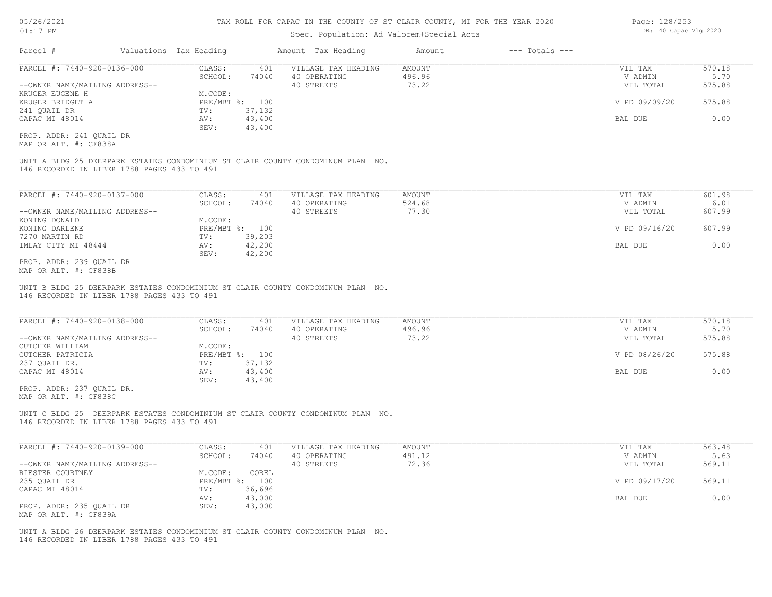## Spec. Population: Ad Valorem+Special Acts

| Parcel #                       | Valuations Tax Heading |        | Amount Tax Heading  | Amount | $---$ Totals $---$ |               |        |
|--------------------------------|------------------------|--------|---------------------|--------|--------------------|---------------|--------|
| PARCEL #: 7440-920-0136-000    | CLASS:                 | 401    | VILLAGE TAX HEADING | AMOUNT |                    | VIL TAX       | 570.18 |
|                                | SCHOOL:                | 74040  | 40 OPERATING        | 496.96 |                    | V ADMIN       | 5.70   |
| --OWNER NAME/MAILING ADDRESS-- |                        |        | 40 STREETS          | 73.22  |                    | VIL TOTAL     | 575.88 |
| KRUGER EUGENE H                | M.CODE:                |        |                     |        |                    |               |        |
| KRUGER BRIDGET A               | PRE/MBT %: 100         |        |                     |        |                    | V PD 09/09/20 | 575.88 |
| 241 OUAIL DR                   | TV:                    | 37,132 |                     |        |                    |               |        |
| CAPAC MI 48014                 | AV:                    | 43,400 |                     |        |                    | BAL DUE       | 0.00   |
|                                | SEV:                   | 43,400 |                     |        |                    |               |        |
| PROP. ADDR: 241 OUAIL DR       |                        |        |                     |        |                    |               |        |

MAP OR ALT. #: CF838A

146 RECORDED IN LIBER 1788 PAGES 433 TO 491 UNIT A BLDG 25 DEERPARK ESTATES CONDOMINIUM ST CLAIR COUNTY CONDOMINUM PLAN NO.

| PARCEL #: 7440-920-0137-000    | CLASS:  | 401            | VILLAGE TAX HEADING | AMOUNT | VIL TAX       | 601.98 |
|--------------------------------|---------|----------------|---------------------|--------|---------------|--------|
|                                | SCHOOL: | 74040          | 40 OPERATING        | 524.68 | V ADMIN       | 6.01   |
| --OWNER NAME/MAILING ADDRESS-- |         |                | 40 STREETS          | 77.30  | VIL TOTAL     | 607.99 |
| KONING DONALD                  | M.CODE: |                |                     |        |               |        |
| KONING DARLENE                 |         | PRE/MBT %: 100 |                     |        | V PD 09/16/20 | 607.99 |
| 7270 MARTIN RD                 | TV:     | 39,203         |                     |        |               |        |
| IMLAY CITY MI 48444            | AV:     | 42,200         |                     |        | BAL DUE       | 0.00   |
|                                | SEV:    | 42,200         |                     |        |               |        |
| PROP. ADDR: 239 OUAIL DR       |         |                |                     |        |               |        |

MAP OR ALT. #: CF838B

146 RECORDED IN LIBER 1788 PAGES 433 TO 491 UNIT B BLDG 25 DEERPARK ESTATES CONDOMINIUM ST CLAIR COUNTY CONDOMINUM PLAN NO.

| PARCEL #: 7440-920-0138-000    | CLASS:         | 401    | VILLAGE TAX HEADING | AMOUNT | VIL TAX       | 570.18 |
|--------------------------------|----------------|--------|---------------------|--------|---------------|--------|
|                                | SCHOOL:        | 74040  | 40 OPERATING        | 496.96 | V ADMIN       | 5.70   |
| --OWNER NAME/MAILING ADDRESS-- |                |        | 40 STREETS          | 73.22  | VIL TOTAL     | 575.88 |
| CUTCHER WILLIAM                | M.CODE:        |        |                     |        |               |        |
| CUTCHER PATRICIA               | PRE/MBT %: 100 |        |                     |        | V PD 08/26/20 | 575.88 |
| 237 OUAIL DR.                  | TV:            | 37,132 |                     |        |               |        |
| CAPAC MI 48014                 | AV:            | 43,400 |                     |        | BAL DUE       | 0.00   |
|                                | SEV:           | 43,400 |                     |        |               |        |

MAP OR ALT. #: CF838C PROP. ADDR: 237 QUAIL DR.

146 RECORDED IN LIBER 1788 PAGES 433 TO 491 UNIT C BLDG 25 DEERPARK ESTATES CONDOMINIUM ST CLAIR COUNTY CONDOMINUM PLAN NO.

| PARCEL #: 7440-920-0139-000    | CLASS:     | 401    | VILLAGE TAX HEADING | AMOUNT | VIL TAX       | 563.48 |
|--------------------------------|------------|--------|---------------------|--------|---------------|--------|
|                                | SCHOOL:    | 74040  | 40 OPERATING        | 491.12 | V ADMIN       | 5.63   |
| --OWNER NAME/MAILING ADDRESS-- |            |        | 40 STREETS          | 72.36  | VIL TOTAL     | 569.11 |
| RIESTER COURTNEY               | M.CODE:    | COREL  |                     |        |               |        |
| 235 QUAIL DR                   | PRE/MBT %: | 100    |                     |        | V PD 09/17/20 | 569.11 |
| CAPAC MI 48014                 | TV:        | 36,696 |                     |        |               |        |
|                                | AV:        | 43,000 |                     |        | BAL DUE       | 0.00   |
| PROP. ADDR: 235 OUAIL DR       | SEV:       | 43,000 |                     |        |               |        |
| MAP OR ALT. #: CF839A          |            |        |                     |        |               |        |

146 RECORDED IN LIBER 1788 PAGES 433 TO 491 UNIT A BLDG 26 DEERPARK ESTATES CONDOMINIUM ST CLAIR COUNTY CONDOMINUM PLAN NO. Page: 128/253 DB: 40 Capac Vlg 2020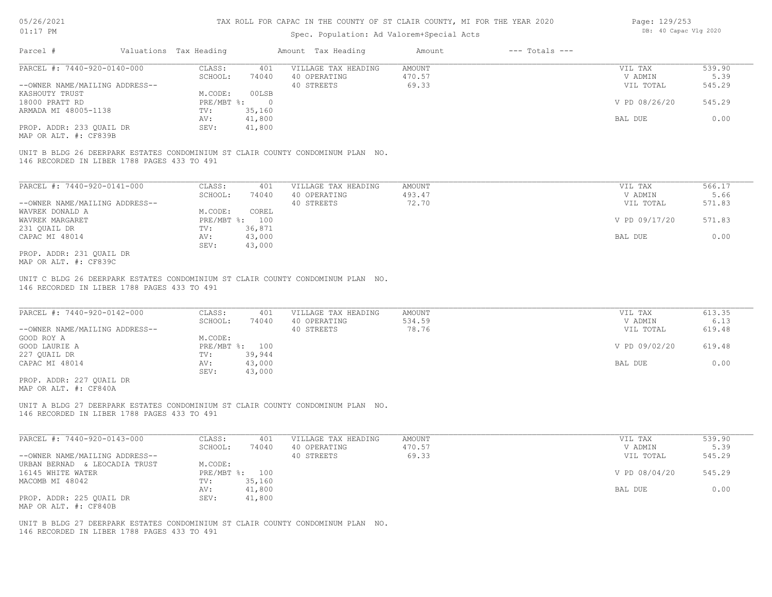## Spec. Population: Ad Valorem+Special Acts

| Page: 129/253 |                       |  |
|---------------|-----------------------|--|
|               | DB: 40 Capac Vlg 2020 |  |

| Parcel #                       | Valuations Tax Heading |        | Amount Tax Heading  | Amount | $---$ Totals $---$ |               |        |
|--------------------------------|------------------------|--------|---------------------|--------|--------------------|---------------|--------|
| PARCEL #: 7440-920-0140-000    | CLASS:                 | 401    | VILLAGE TAX HEADING | AMOUNT |                    | VIL TAX       | 539.90 |
|                                | SCHOOL:                | 74040  | 40 OPERATING        | 470.57 |                    | V ADMIN       | 5.39   |
| --OWNER NAME/MAILING ADDRESS-- |                        |        | 40 STREETS          | 69.33  |                    | VIL TOTAL     | 545.29 |
| KASHOUTY TRUST                 | M.CODE:                | 00LSB  |                     |        |                    |               |        |
| 18000 PRATT RD                 | PRE/MBT %:             |        |                     |        |                    | V PD 08/26/20 | 545.29 |
| ARMADA MI 48005-1138           | TV:                    | 35,160 |                     |        |                    |               |        |
|                                | AV:                    | 41,800 |                     |        |                    | BAL DUE       | 0.00   |
| PROP. ADDR: 233 OUAIL DR       | SEV:                   | 41,800 |                     |        |                    |               |        |
|                                |                        |        |                     |        |                    |               |        |

MAP OR ALT. #: CF839B

146 RECORDED IN LIBER 1788 PAGES 433 TO 491 UNIT B BLDG 26 DEERPARK ESTATES CONDOMINIUM ST CLAIR COUNTY CONDOMINUM PLAN NO.

| PARCEL #: 7440-920-0141-000    | CLASS:       | 401    | VILLAGE TAX HEADING | AMOUNT | VIL TAX       | 566.17 |
|--------------------------------|--------------|--------|---------------------|--------|---------------|--------|
|                                | SCHOOL:      | 74040  | 40 OPERATING        | 493.47 | V ADMIN       | 5.66   |
| --OWNER NAME/MAILING ADDRESS-- |              |        | 40 STREETS          | 72.70  | VIL TOTAL     | 571.83 |
| WAVREK DONALD A                | M.CODE:      | COREL  |                     |        |               |        |
| WAVREK MARGARET                | $PRE/MBT$ %: | 100    |                     |        | V PD 09/17/20 | 571.83 |
| 231 OUAIL DR                   | TV:          | 36,871 |                     |        |               |        |
| CAPAC MI 48014                 | AV:          | 43,000 |                     |        | BAL DUE       | 0.00   |
|                                | SEV:         | 43,000 |                     |        |               |        |
| PROP. ADDR: 231 OUAIL DR       |              |        |                     |        |               |        |

MAP OR ALT. #: CF839C

146 RECORDED IN LIBER 1788 PAGES 433 TO 491 UNIT C BLDG 26 DEERPARK ESTATES CONDOMINIUM ST CLAIR COUNTY CONDOMINUM PLAN NO.

| PARCEL #: 7440-920-0142-000    | CLASS:  | 401            | VILLAGE TAX HEADING | AMOUNT | VIL TAX       | 613.35 |
|--------------------------------|---------|----------------|---------------------|--------|---------------|--------|
|                                | SCHOOL: | 74040          | 40 OPERATING        | 534.59 | V ADMIN       | 6.13   |
| --OWNER NAME/MAILING ADDRESS-- |         |                | 40 STREETS          | 78.76  | VIL TOTAL     | 619.48 |
| GOOD ROY A                     | M.CODE: |                |                     |        |               |        |
| GOOD LAURIE A                  |         | PRE/MBT %: 100 |                     |        | V PD 09/02/20 | 619.48 |
| 227 QUAIL DR                   | TV:     | 39,944         |                     |        |               |        |
| CAPAC MI 48014                 | AV:     | 43,000         |                     |        | BAL DUE       | 0.00   |
|                                | SEV:    | 43,000         |                     |        |               |        |
| PROP. ADDR: 227 OUAIL DR       |         |                |                     |        |               |        |

MAP OR ALT. #: CF840A

146 RECORDED IN LIBER 1788 PAGES 433 TO 491 UNIT A BLDG 27 DEERPARK ESTATES CONDOMINIUM ST CLAIR COUNTY CONDOMINUM PLAN NO.

| PARCEL #: 7440-920-0143-000    | CLASS:  | 401            | VILLAGE TAX HEADING | AMOUNT | VIL TAX       | 539.90 |
|--------------------------------|---------|----------------|---------------------|--------|---------------|--------|
|                                | SCHOOL: | 74040          | 40 OPERATING        | 470.57 | V ADMIN       | 5.39   |
| --OWNER NAME/MAILING ADDRESS-- |         |                | 40 STREETS          | 69.33  | VIL TOTAL     | 545.29 |
| URBAN BERNAD & LEOCADIA TRUST  | M.CODE: |                |                     |        |               |        |
| 16145 WHITE WATER              |         | PRE/MBT %: 100 |                     |        | V PD 08/04/20 | 545.29 |
| MACOMB MI 48042                | TV:     | 35,160         |                     |        |               |        |
|                                | AV:     | 41,800         |                     |        | BAL DUE       | 0.00   |
| PROP. ADDR: 225 OUAIL DR       | SEV:    | 41,800         |                     |        |               |        |
| MAP OR ALT. #: CF840B          |         |                |                     |        |               |        |

146 RECORDED IN LIBER 1788 PAGES 433 TO 491 UNIT B BLDG 27 DEERPARK ESTATES CONDOMINIUM ST CLAIR COUNTY CONDOMINUM PLAN NO.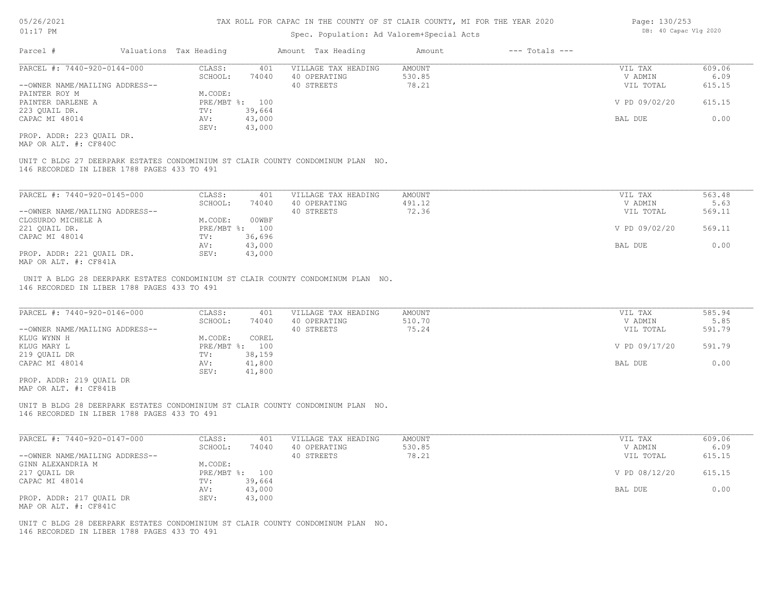## Spec. Population: Ad Valorem+Special Acts

| Parcel #                       | Valuations Tax Heading |                | Amount Tax Heading  | Amount | $---$ Totals $---$ |               |        |
|--------------------------------|------------------------|----------------|---------------------|--------|--------------------|---------------|--------|
| PARCEL #: 7440-920-0144-000    | CLASS:                 | 401            | VILLAGE TAX HEADING | AMOUNT |                    | VIL TAX       | 609.06 |
|                                | SCHOOL:                | 74040          | 40 OPERATING        | 530.85 |                    | V ADMIN       | 6.09   |
| --OWNER NAME/MAILING ADDRESS-- |                        |                | 40 STREETS          | 78.21  |                    | VIL TOTAL     | 615.15 |
| PAINTER ROY M                  | M.CODE:                |                |                     |        |                    |               |        |
| PAINTER DARLENE A              |                        | PRE/MBT %: 100 |                     |        |                    | V PD 09/02/20 | 615.15 |
| 223 OUAIL DR.                  | TV:                    | 39,664         |                     |        |                    |               |        |
| CAPAC MI 48014                 | AV:                    | 43,000         |                     |        |                    | BAL DUE       | 0.00   |
|                                | SEV:                   | 43,000         |                     |        |                    |               |        |
|                                |                        |                |                     |        |                    |               |        |

MAP OR ALT. #: CF840C PROP. ADDR: 223 QUAIL DR.

146 RECORDED IN LIBER 1788 PAGES 433 TO 491 UNIT C BLDG 27 DEERPARK ESTATES CONDOMINIUM ST CLAIR COUNTY CONDOMINUM PLAN NO.

| PARCEL #: 7440-920-0145-000    | CLASS:         | 401    | VILLAGE TAX HEADING | AMOUNT | VIL TAX       | 563.48 |
|--------------------------------|----------------|--------|---------------------|--------|---------------|--------|
|                                | SCHOOL:        | 74040  | 40 OPERATING        | 491.12 | V ADMIN       | 5.63   |
| --OWNER NAME/MAILING ADDRESS-- |                |        | 40 STREETS          | 72.36  | VIL TOTAL     | 569.11 |
| CLOSURDO MICHELE A             | M.CODE:        | 00WBF  |                     |        |               |        |
| 221 QUAIL DR.                  | PRE/MBT %: 100 |        |                     |        | V PD 09/02/20 | 569.11 |
| CAPAC MI 48014                 | TV:            | 36,696 |                     |        |               |        |
|                                | AV:            | 43,000 |                     |        | BAL DUE       | 0.00   |
| PROP. ADDR: 221 QUAIL DR.      | SEV:           | 43,000 |                     |        |               |        |
| $\frac{1}{2}$                  |                |        |                     |        |               |        |

MAP OR ALT. #: CF841A

146 RECORDED IN LIBER 1788 PAGES 433 TO 491 UNIT A BLDG 28 DEERPARK ESTATES CONDOMINIUM ST CLAIR COUNTY CONDOMINUM PLAN NO.

| PARCEL #: 7440-920-0146-000    | CLASS:  | 401            | VILLAGE TAX HEADING | AMOUNT | VIL TAX       | 585.94 |
|--------------------------------|---------|----------------|---------------------|--------|---------------|--------|
|                                | SCHOOL: | 74040          | 40 OPERATING        | 510.70 | V ADMIN       | 5.85   |
| --OWNER NAME/MAILING ADDRESS-- |         |                | 40 STREETS          | 75.24  | VIL TOTAL     | 591.79 |
| KLUG WYNN H                    | M.CODE: | COREL          |                     |        |               |        |
| KLUG MARY L                    |         | PRE/MBT %: 100 |                     |        | V PD 09/17/20 | 591.79 |
| 219 QUAIL DR                   | TV:     | 38,159         |                     |        |               |        |
| CAPAC MI 48014                 | AV:     | 41,800         |                     |        | BAL DUE       | 0.00   |
|                                | SEV:    | 41,800         |                     |        |               |        |
| PROP. ADDR: 219 OUAIL DR       |         |                |                     |        |               |        |

MAP OR ALT. #: CF841B

146 RECORDED IN LIBER 1788 PAGES 433 TO 491 UNIT B BLDG 28 DEERPARK ESTATES CONDOMINIUM ST CLAIR COUNTY CONDOMINUM PLAN NO.

| PARCEL #: 7440-920-0147-000    | CLASS:  | 401            | VILLAGE TAX HEADING | AMOUNT | VIL TAX       | 609.06 |
|--------------------------------|---------|----------------|---------------------|--------|---------------|--------|
|                                | SCHOOL: | 74040          | 40 OPERATING        | 530.85 | V ADMIN       | 6.09   |
| --OWNER NAME/MAILING ADDRESS-- |         |                | 40 STREETS          | 78.21  | VIL TOTAL     | 615.15 |
| GINN ALEXANDRIA M              | M.CODE: |                |                     |        |               |        |
| 217 QUAIL DR                   |         | PRE/MBT %: 100 |                     |        | V PD 08/12/20 | 615.15 |
| CAPAC MI 48014                 | TV:     | 39,664         |                     |        |               |        |
|                                | AV:     | 43,000         |                     |        | BAL DUE       | 0.00   |
| PROP. ADDR: 217 QUAIL DR       | SEV:    | 43,000         |                     |        |               |        |
| MAP OR ALT. #: CF841C          |         |                |                     |        |               |        |

146 RECORDED IN LIBER 1788 PAGES 433 TO 491 UNIT C BLDG 28 DEERPARK ESTATES CONDOMINIUM ST CLAIR COUNTY CONDOMINUM PLAN NO. Page: 130/253 DB: 40 Capac Vlg 2020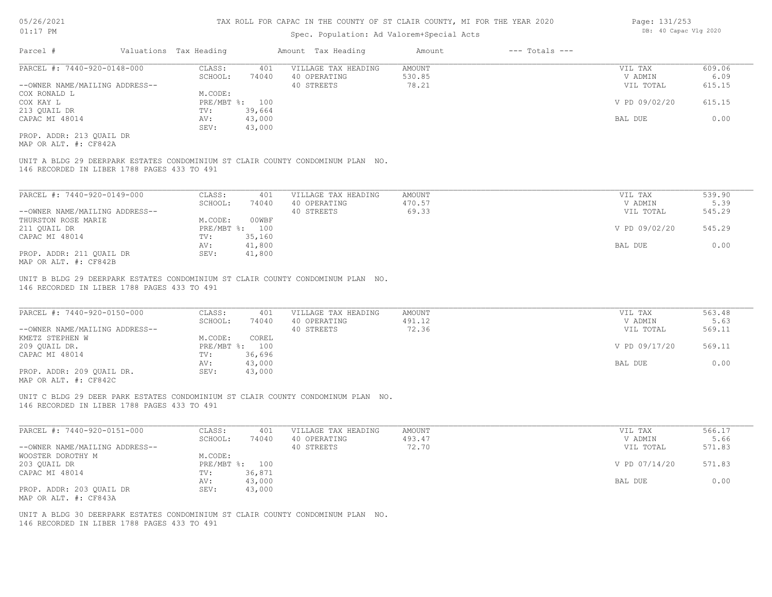## Spec. Population: Ad Valorem+Special Acts

| Parcel #                       | Valuations Tax Heading |        | Amount Tax Heading  | Amount | $---$ Totals $---$ |               |        |
|--------------------------------|------------------------|--------|---------------------|--------|--------------------|---------------|--------|
| PARCEL #: 7440-920-0148-000    | CLASS:                 | 401    | VILLAGE TAX HEADING | AMOUNT |                    | VIL TAX       | 609.06 |
|                                | SCHOOL:                | 74040  | 40 OPERATING        | 530.85 |                    | V ADMIN       | 6.09   |
| --OWNER NAME/MAILING ADDRESS-- |                        |        | 40 STREETS          | 78.21  |                    | VIL TOTAL     | 615.15 |
| COX RONALD L                   | M.CODE:                |        |                     |        |                    |               |        |
| COX KAY L                      | $PRE/MBT$ %:           | 100    |                     |        |                    | V PD 09/02/20 | 615.15 |
| 213 OUAIL DR                   | TV:                    | 39,664 |                     |        |                    |               |        |
| CAPAC MI 48014                 | AV:                    | 43,000 |                     |        |                    | BAL DUE       | 0.00   |
|                                | SEV:                   | 43,000 |                     |        |                    |               |        |
|                                |                        |        |                     |        |                    |               |        |

MAP OR ALT. #: CF842A PROP. ADDR: 213 QUAIL DR

146 RECORDED IN LIBER 1788 PAGES 433 TO 491 UNIT A BLDG 29 DEERPARK ESTATES CONDOMINIUM ST CLAIR COUNTY CONDOMINUM PLAN NO.

| PARCEL #: 7440-920-0149-000    | CLASS:     | 401    | VILLAGE TAX HEADING | AMOUNT | VIL TAX       | 539.90 |
|--------------------------------|------------|--------|---------------------|--------|---------------|--------|
|                                | SCHOOL:    | 74040  | 40 OPERATING        | 470.57 | V ADMIN       | 5.39   |
| --OWNER NAME/MAILING ADDRESS-- |            |        | 40 STREETS          | 69.33  | VIL TOTAL     | 545.29 |
| THURSTON ROSE MARIE            | M.CODE:    | 00WBF  |                     |        |               |        |
| 211 OUAIL DR                   | PRE/MBT %: | 100    |                     |        | V PD 09/02/20 | 545.29 |
| CAPAC MI 48014                 | TV:        | 35,160 |                     |        |               |        |
|                                | AV:        | 41,800 |                     |        | BAL DUE       | 0.00   |
| PROP. ADDR: 211 OUAIL DR       | SEV:       | 41,800 |                     |        |               |        |
| MAP OR ALT. #: CF842B          |            |        |                     |        |               |        |

146 RECORDED IN LIBER 1788 PAGES 433 TO 491 UNIT B BLDG 29 DEERPARK ESTATES CONDOMINIUM ST CLAIR COUNTY CONDOMINUM PLAN NO.

| PARCEL #: 7440-920-0150-000    | CLASS:       | 401    | VILLAGE TAX HEADING | AMOUNT | VIL TAX       | 563.48 |
|--------------------------------|--------------|--------|---------------------|--------|---------------|--------|
|                                | SCHOOL:      | 74040  | 40 OPERATING        | 491.12 | V ADMIN       | 5.63   |
| --OWNER NAME/MAILING ADDRESS-- |              |        | 40 STREETS          | 72.36  | VIL TOTAL     | 569.11 |
| KMETZ STEPHEN W                | M.CODE:      | COREL  |                     |        |               |        |
| 209 OUAIL DR.                  | $PRE/MBT$ %: | 100    |                     |        | V PD 09/17/20 | 569.11 |
| CAPAC MI 48014                 | TV:          | 36,696 |                     |        |               |        |
|                                | AV:          | 43,000 |                     |        | BAL DUE       | 0.00   |
| PROP. ADDR: 209 OUAIL DR.      | SEV:         | 43,000 |                     |        |               |        |
|                                |              |        |                     |        |               |        |

 $\mathcal{L}_\mathcal{L} = \mathcal{L}_\mathcal{L} = \mathcal{L}_\mathcal{L} = \mathcal{L}_\mathcal{L} = \mathcal{L}_\mathcal{L} = \mathcal{L}_\mathcal{L} = \mathcal{L}_\mathcal{L} = \mathcal{L}_\mathcal{L} = \mathcal{L}_\mathcal{L} = \mathcal{L}_\mathcal{L} = \mathcal{L}_\mathcal{L} = \mathcal{L}_\mathcal{L} = \mathcal{L}_\mathcal{L} = \mathcal{L}_\mathcal{L} = \mathcal{L}_\mathcal{L} = \mathcal{L}_\mathcal{L} = \mathcal{L}_\mathcal{L}$ 

MAP OR ALT. #: CF842C

146 RECORDED IN LIBER 1788 PAGES 433 TO 491 UNIT C BLDG 29 DEER PARK ESTATES CONDOMINIUM ST CLAIR COUNTY CONDOMINUM PLAN NO.

| PARCEL #: 7440-920-0151-000    | CLASS:  | 401            | VILLAGE TAX HEADING | AMOUNT | VIL TAX       | 566.17 |
|--------------------------------|---------|----------------|---------------------|--------|---------------|--------|
|                                | SCHOOL: | 74040          | 40 OPERATING        | 493.47 | V ADMIN       | 5.66   |
| --OWNER NAME/MAILING ADDRESS-- |         |                | 40 STREETS          | 72.70  | VIL TOTAL     | 571.83 |
| WOOSTER DOROTHY M              | M.CODE: |                |                     |        |               |        |
| 203 OUAIL DR                   |         | PRE/MBT %: 100 |                     |        | V PD 07/14/20 | 571.83 |
| CAPAC MI 48014                 | TV:     | 36,871         |                     |        |               |        |
|                                | AV:     | 43,000         |                     |        | BAL DUE       | 0.00   |
| PROP. ADDR: 203 OUAIL DR       | SEV:    | 43,000         |                     |        |               |        |
| MAP OR ALT. #: CF843A          |         |                |                     |        |               |        |

146 RECORDED IN LIBER 1788 PAGES 433 TO 491 UNIT A BLDG 30 DEERPARK ESTATES CONDOMINIUM ST CLAIR COUNTY CONDOMINUM PLAN NO. Page: 131/253 DB: 40 Capac Vlg 2020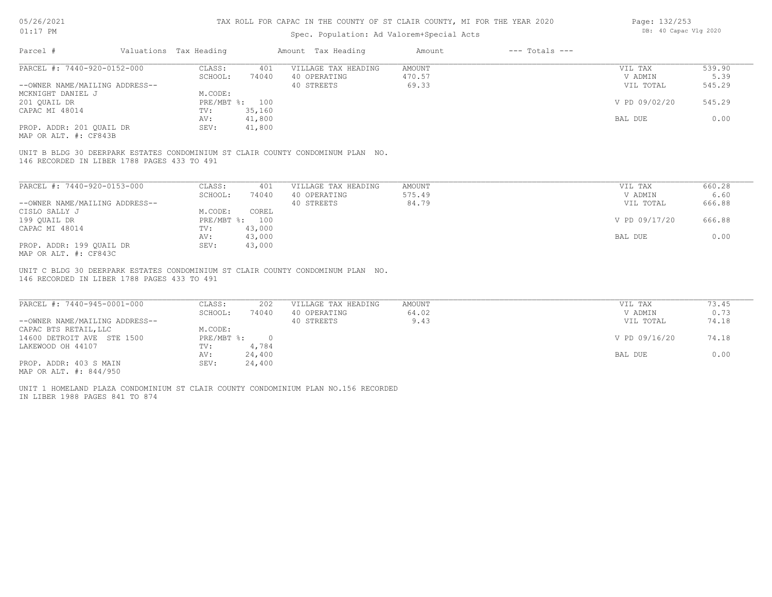## Spec. Population: Ad Valorem+Special Acts

| Page: 132/253 |                       |  |
|---------------|-----------------------|--|
|               | DB: 40 Capac Vlg 2020 |  |

| Parcel #                       | Valuations Tax Heading |        | Amount Tax Heading  | Amount | $---$ Totals $---$ |               |        |
|--------------------------------|------------------------|--------|---------------------|--------|--------------------|---------------|--------|
| PARCEL #: 7440-920-0152-000    | CLASS:                 | 401    | VILLAGE TAX HEADING | AMOUNT |                    | VIL TAX       | 539.90 |
|                                | SCHOOL:                | 74040  | 40 OPERATING        | 470.57 |                    | V ADMIN       | 5.39   |
| --OWNER NAME/MAILING ADDRESS-- |                        |        | 40 STREETS          | 69.33  |                    | VIL TOTAL     | 545.29 |
| MCKNIGHT DANIEL J              | M.CODE:                |        |                     |        |                    |               |        |
| 201 QUAIL DR                   | PRE/MBT %: 100         |        |                     |        |                    | V PD 09/02/20 | 545.29 |
| CAPAC MI 48014                 | TV:                    | 35,160 |                     |        |                    |               |        |
|                                | AV:                    | 41,800 |                     |        |                    | BAL DUE       | 0.00   |
| PROP. ADDR: 201 QUAIL DR       | SEV:                   | 41,800 |                     |        |                    |               |        |
|                                |                        |        |                     |        |                    |               |        |

MAP OR ALT. #: CF843B

146 RECORDED IN LIBER 1788 PAGES 433 TO 491 UNIT B BLDG 30 DEERPARK ESTATES CONDOMINIUM ST CLAIR COUNTY CONDOMINUM PLAN NO.

| PARCEL #: 7440-920-0153-000    | CLASS:       | 401    | VILLAGE TAX HEADING | AMOUNT | VIL TAX       | 660.28 |
|--------------------------------|--------------|--------|---------------------|--------|---------------|--------|
|                                | SCHOOL:      | 74040  | 40 OPERATING        | 575.49 | V ADMIN       | 6.60   |
| --OWNER NAME/MAILING ADDRESS-- |              |        | 40 STREETS          | 84.79  | VIL TOTAL     | 666.88 |
| CISLO SALLY J                  | M.CODE:      | COREL  |                     |        |               |        |
| 199 OUAIL DR                   | $PRE/MBT$ %: | 100    |                     |        | V PD 09/17/20 | 666.88 |
| CAPAC MI 48014                 | TV:          | 43,000 |                     |        |               |        |
|                                | AV:          | 43,000 |                     |        | BAL DUE       | 0.00   |
| PROP. ADDR: 199 OUAIL DR       | SEV:         | 43,000 |                     |        |               |        |
| MAP OR ALT. #: CF843C          |              |        |                     |        |               |        |

146 RECORDED IN LIBER 1788 PAGES 433 TO 491 UNIT C BLDG 30 DEERPARK ESTATES CONDOMINIUM ST CLAIR COUNTY CONDOMINUM PLAN NO.

| PARCEL #: 7440-945-0001-000    | CLASS:     | 202    | VILLAGE TAX HEADING | AMOUNT | VIL TAX       | 73.45 |
|--------------------------------|------------|--------|---------------------|--------|---------------|-------|
|                                | SCHOOL:    | 74040  | 40 OPERATING        | 64.02  | V ADMIN       | 0.73  |
| --OWNER NAME/MAILING ADDRESS-- |            |        | 40 STREETS          | 9.43   | VIL TOTAL     | 74.18 |
| CAPAC BTS RETAIL, LLC          | M.CODE:    |        |                     |        |               |       |
| 14600 DETROIT AVE STE 1500     | PRE/MBT %: |        |                     |        | V PD 09/16/20 | 74.18 |
| LAKEWOOD OH 44107              | TV:        | 4,784  |                     |        |               |       |
|                                | AV:        | 24,400 |                     |        | BAL DUE       | 0.00  |
| PROP. ADDR: 403 S MAIN         | SEV:       | 24,400 |                     |        |               |       |
| MAP OR ALT. #: 844/950         |            |        |                     |        |               |       |

UNIT 1 HOMELAND PLAZA CONDOMINIUM ST CLAIR COUNTY CONDOMINIUM PLAN NO.156 RECORDED

IN LIBER 1988 PAGES 841 TO 874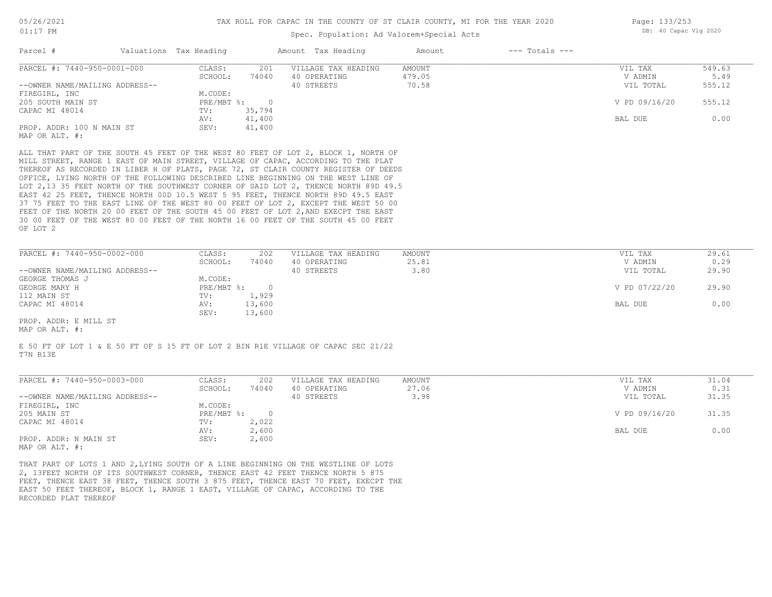## Spec. Population: Ad Valorem+Special Acts

| Page: 133/253 |                       |  |
|---------------|-----------------------|--|
|               | DB: 40 Capac Vlg 2020 |  |

| Parcel #                       | Valuations Tax Heading |        | Amount Tax Heading                                                                  | Amount | $---$ Totals $---$ |               |        |
|--------------------------------|------------------------|--------|-------------------------------------------------------------------------------------|--------|--------------------|---------------|--------|
| PARCEL #: 7440-950-0001-000    | CLASS:                 | 201    | VILLAGE TAX HEADING                                                                 | AMOUNT |                    | VIL TAX       | 549.63 |
|                                | SCHOOL:                | 74040  | 40 OPERATING                                                                        | 479.05 |                    | V ADMIN       | 5.49   |
| --OWNER NAME/MAILING ADDRESS-- |                        |        | 40 STREETS                                                                          | 70.58  |                    | VIL TOTAL     | 555.12 |
| FIREGIRL, INC                  | M.CODE:                |        |                                                                                     |        |                    |               |        |
| 205 SOUTH MAIN ST              | $PRE/MBT$ %:           |        |                                                                                     |        |                    | V PD 09/16/20 | 555.12 |
| CAPAC MI 48014                 | TV:                    | 35,794 |                                                                                     |        |                    |               |        |
|                                | AV:                    | 41,400 |                                                                                     |        |                    | BAL DUE       | 0.00   |
| PROP. ADDR: 100 N MAIN ST      | SEV:                   | 41,400 |                                                                                     |        |                    |               |        |
| MAP OR ALT. #:                 |                        |        |                                                                                     |        |                    |               |        |
|                                |                        |        |                                                                                     |        |                    |               |        |
|                                |                        |        | ALL THAT PART OF THE SOUTH 45 FEET OF THE WEST 80 FEET OF LOT 2, BLOCK 1, NORTH OF  |        |                    |               |        |
|                                |                        |        | MILL STREET, RANGE 1 EAST OF MAIN STREET, VILLAGE OF CAPAC, ACCORDING TO THE PLAT   |        |                    |               |        |
|                                |                        |        | THEREOF AS RECORDED IN LIBER H OF PLATS, PAGE 72, ST CLAIR COUNTY REGISTER OF DEEDS |        |                    |               |        |
|                                |                        |        | OFFICE, LYING NORTH OF THE FOLLOWING DESCRIBED LINE BEGINNING ON THE WEST LINE OF   |        |                    |               |        |
|                                |                        |        | LOT 2,13 35 FEET NORTH OF THE SOUTHWEST CORNER OF SAID LOT 2, THENCE NORTH 89D 49.5 |        |                    |               |        |
|                                |                        |        | EAST 42 25 FEET, THENCE NORTH 00D 10.5 WEST 5 95 FEET, THENCE NORTH 89D 49.5 EAST   |        |                    |               |        |

OF LOT 2 30 00 FEET OF THE WEST 80 00 FEET OF THE NORTH 16 00 FEET OF THE SOUTH 45 00 FEET FEET OF THE NORTH 20 00 FEET OF THE SOUTH 45 00 FEET OF LOT 2,AND EXECPT THE EAST 37 75 FEET TO THE EAST LINE OF THE WEST 80 00 FEET OF LOT 2, EXCEPT THE WEST 50 00

| PARCEL #: 7440-950-0002-000    | CLASS:     | 202    | VILLAGE TAX HEADING | AMOUNT | VIL TAX       | 29.61 |
|--------------------------------|------------|--------|---------------------|--------|---------------|-------|
|                                | SCHOOL:    | 74040  | 40 OPERATING        | 25.81  | V ADMIN       | 0.29  |
| --OWNER NAME/MAILING ADDRESS-- |            |        | 40 STREETS          | 3.80   | VIL TOTAL     | 29.90 |
| GEORGE THOMAS J                | M.CODE:    |        |                     |        |               |       |
| GEORGE MARY H                  | PRE/MBT %: |        |                     |        | V PD 07/22/20 | 29.90 |
| 112 MAIN ST                    | TV:        | 1,929  |                     |        |               |       |
| CAPAC MI 48014                 | AV:        | 13,600 |                     |        | BAL DUE       | 0.00  |
|                                | SEV:       | 13,600 |                     |        |               |       |
| PROP. ADDR: E MILL ST          |            |        |                     |        |               |       |

MAP OR ALT. #:

T7N R13E E 50 FT OF LOT 1 & E 50 FT OF S 15 FT OF LOT 2 BIN R1E VILLAGE OF CAPAC SEC 21/22

| PARCEL #: 7440-950-0003-000    | CLASS:     | 202   | VILLAGE TAX HEADING | AMOUNT | VIL TAX       | 31.04 |
|--------------------------------|------------|-------|---------------------|--------|---------------|-------|
|                                | SCHOOL:    | 74040 | 40 OPERATING        | 27.06  | V ADMIN       | 0.31  |
| --OWNER NAME/MAILING ADDRESS-- |            |       | 40 STREETS          | 3.98   | VIL TOTAL     | 31.35 |
| FIREGIRL, INC                  | M.CODE:    |       |                     |        |               |       |
| 205 MAIN ST                    | PRE/MBT %: |       |                     |        | V PD 09/16/20 | 31.35 |
| CAPAC MI 48014                 | TV:        | 2,022 |                     |        |               |       |
|                                | AV:        | 2,600 |                     |        | BAL DUE       | 0.00  |
| PROP. ADDR: N MAIN ST          | SEV:       | 2,600 |                     |        |               |       |
| MAP OR ALT. $\#$ :             |            |       |                     |        |               |       |

RECORDED PLAT THEREOF EAST 50 FEET THEREOF, BLOCK 1, RANGE 1 EAST, VILLAGE OF CAPAC, ACCORDING TO THE FEET, THENCE EAST 38 FEET, THENCE SOUTH 3 875 FEET, THENCE EAST 70 FEET, EXECPT THE 2, 13FEET NORTH OF ITS SOUTHWEST CORNER, THENCE EAST 42 FEET THENCE NORTH 5 875 THAT PART OF LOTS 1 AND 2,LYING SOUTH OF A LINE BEGINNING ON THE WESTLINE OF LOTS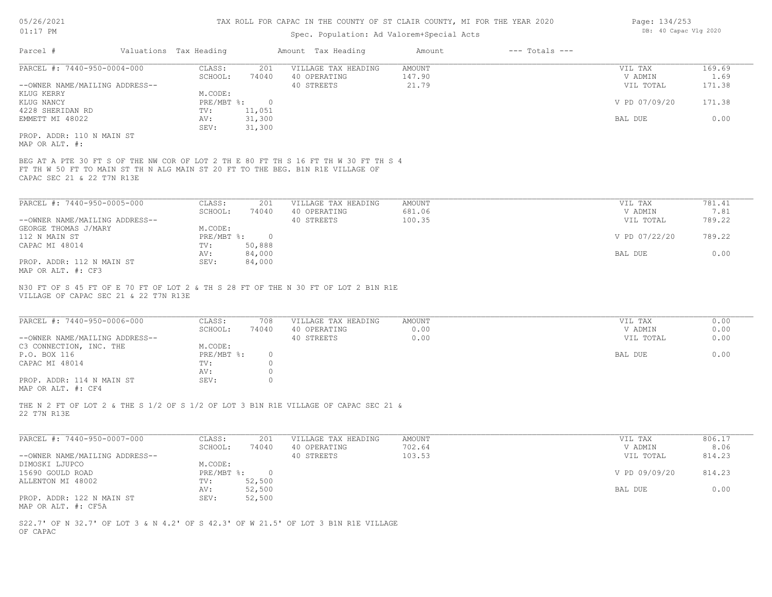# Spec. Population: Ad Valorem+Special Acts

| Page: 134/253 |                       |  |  |  |  |
|---------------|-----------------------|--|--|--|--|
|               | DB: 40 Capac Vlg 2020 |  |  |  |  |

| Parcel #                                                             | Valuations Tax Heading |                             |                            | Amount Tax Heading                                                                                                                                                    | Amount                           | $---$ Totals $---$ |                                 |                          |
|----------------------------------------------------------------------|------------------------|-----------------------------|----------------------------|-----------------------------------------------------------------------------------------------------------------------------------------------------------------------|----------------------------------|--------------------|---------------------------------|--------------------------|
| PARCEL #: 7440-950-0004-000<br>--OWNER NAME/MAILING ADDRESS--        |                        | CLASS:<br>SCHOOL:           | 201<br>74040               | VILLAGE TAX HEADING<br>40 OPERATING<br>40 STREETS                                                                                                                     | <b>AMOUNT</b><br>147.90<br>21.79 |                    | VIL TAX<br>V ADMIN<br>VIL TOTAL | 169.69<br>1.69<br>171.38 |
| KLUG KERRY<br>KLUG NANCY                                             |                        | M.CODE:<br>$PRE/MBT$ $\div$ | $\circ$                    |                                                                                                                                                                       |                                  |                    | V PD 07/09/20                   | 171.38                   |
| 4228 SHERIDAN RD<br>EMMETT MI 48022                                  |                        | TV:<br>AV:<br>SEV:          | 11,051<br>31,300<br>31,300 |                                                                                                                                                                       |                                  |                    | BAL DUE                         | 0.00                     |
| PROP. ADDR: 110 N MAIN ST<br>MAP OR ALT. #:                          |                        |                             |                            |                                                                                                                                                                       |                                  |                    |                                 |                          |
| CAPAC SEC 21 & 22 T7N R13E                                           |                        |                             |                            | BEG AT A PTE 30 FT S OF THE NW COR OF LOT 2 TH E 80 FT TH S 16 FT TH W 30 FT TH S 4<br>FT TH W 50 FT TO MAIN ST TH N ALG MAIN ST 20 FT TO THE BEG. B1N R1E VILLAGE OF |                                  |                    |                                 |                          |
| PARCEL #: 7440-950-0005-000                                          |                        | CLASS:                      | 201                        | VILLAGE TAX HEADING                                                                                                                                                   | <b>AMOUNT</b>                    |                    | VIL TAX                         | 781.41                   |
| --OWNER NAME/MAILING ADDRESS--                                       |                        | SCHOOL:                     | 74040                      | 40 OPERATING<br>40 STREETS                                                                                                                                            | 681.06<br>100.35                 |                    | V ADMIN<br>VIL TOTAL            | 7.81<br>789.22           |
| GEORGE THOMAS J/MARY                                                 |                        | M.CODE:                     |                            |                                                                                                                                                                       |                                  |                    |                                 |                          |
| 112 N MAIN ST                                                        |                        | $PRE/MBT$ $\div$            | $\overline{0}$             |                                                                                                                                                                       |                                  |                    | V PD 07/22/20                   | 789.22                   |
| CAPAC MI 48014                                                       |                        | TV:                         | 50,888                     |                                                                                                                                                                       |                                  |                    |                                 |                          |
|                                                                      |                        | AV:                         | 84,000                     |                                                                                                                                                                       |                                  |                    | BAL DUE                         | 0.00                     |
| PROP. ADDR: 112 N MAIN ST<br>MAP OR ALT. #: CF3                      |                        | SEV:                        | 84,000                     |                                                                                                                                                                       |                                  |                    |                                 |                          |
| VILLAGE OF CAPAC SEC 21 & 22 T7N R13E<br>PARCEL #: 7440-950-0006-000 |                        | CLASS:                      | 708                        | VILLAGE TAX HEADING                                                                                                                                                   | <b>AMOUNT</b>                    |                    | VIL TAX                         | 0.00                     |
|                                                                      |                        | SCHOOL:                     | 74040                      | 40 OPERATING                                                                                                                                                          | 0.00                             |                    | V ADMIN                         | 0.00                     |
| --OWNER NAME/MAILING ADDRESS--<br>C3 CONNECTION, INC. THE            |                        | M.CODE:                     |                            | 40 STREETS                                                                                                                                                            | 0.00                             |                    | VIL TOTAL                       | 0.00                     |
| P.O. BOX 116                                                         |                        | PRE/MBT %:                  | $\circ$                    |                                                                                                                                                                       |                                  |                    | BAL DUE                         | 0.00                     |
| CAPAC MI 48014                                                       |                        | TV:                         | $\circ$                    |                                                                                                                                                                       |                                  |                    |                                 |                          |
|                                                                      |                        | AV:                         | $\circ$                    |                                                                                                                                                                       |                                  |                    |                                 |                          |
| PROP. ADDR: 114 N MAIN ST<br>MAP OR ALT. #: CF4                      |                        | SEV:                        | $\circ$                    |                                                                                                                                                                       |                                  |                    |                                 |                          |
| 22 T7N R13E                                                          |                        |                             |                            | THE N 2 FT OF LOT 2 & THE S 1/2 OF S 1/2 OF LOT 3 B1N R1E VILLAGE OF CAPAC SEC 21 &                                                                                   |                                  |                    |                                 |                          |
|                                                                      |                        |                             |                            |                                                                                                                                                                       |                                  |                    |                                 |                          |
| PARCEL #: 7440-950-0007-000                                          |                        | CLASS:<br>SCHOOL:           | 201<br>74040               | VILLAGE TAX HEADING<br>40 OPERATING                                                                                                                                   | <b>AMOUNT</b><br>702.64          |                    | VIL TAX<br>V ADMIN              | 806.17<br>8.06           |
| --OWNER NAME/MAILING ADDRESS--                                       |                        | M.CODE:                     |                            | 40 STREETS                                                                                                                                                            | 103.53                           |                    | VIL TOTAL                       | 814.23                   |
| DIMOSKI LJUPCO<br>15690 GOULD ROAD                                   |                        | PRE/MBT %:                  | $\overline{0}$             |                                                                                                                                                                       |                                  |                    | V PD 09/09/20                   | 814.23                   |
| ALLENTON MI 48002                                                    |                        | TV:                         | 52,500                     |                                                                                                                                                                       |                                  |                    |                                 |                          |
|                                                                      |                        | AV:                         | 52,500                     |                                                                                                                                                                       |                                  |                    | BAL DUE                         | 0.00                     |
| PROP. ADDR: 122 N MAIN ST<br>MAP OR ALT. #: CF5A                     |                        | SEV:                        | 52,500                     |                                                                                                                                                                       |                                  |                    |                                 |                          |
| OF CAPAC                                                             |                        |                             |                            | S22.7' OF N 32.7' OF LOT 3 & N 4.2' OF S 42.3' OF W 21.5' OF LOT 3 B1N R1E VILLAGE                                                                                    |                                  |                    |                                 |                          |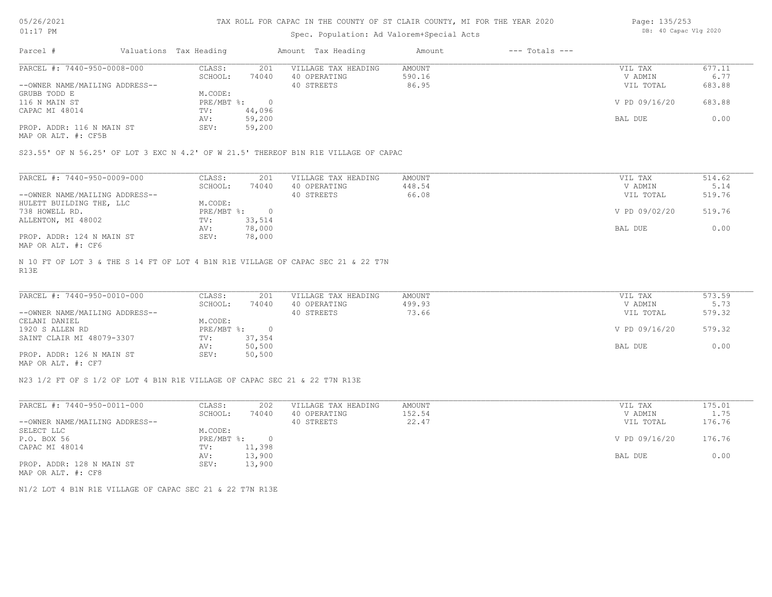05/26/2021 01:17 PM

#### TAX ROLL FOR CAPAC IN THE COUNTY OF ST CLAIR COUNTY, MI FOR THE YEAR 2020

# Spec. Population: Ad Valorem+Special Acts

| Page: 135/253 |                       |  |
|---------------|-----------------------|--|
|               | DB: 40 Capac Vlg 2020 |  |

| Parcel #                       | Valuations Tax Heading |        | Amount Tax Heading  | Amount | $---$ Totals $---$ |               |        |
|--------------------------------|------------------------|--------|---------------------|--------|--------------------|---------------|--------|
| PARCEL #: 7440-950-0008-000    | CLASS:                 | 201    | VILLAGE TAX HEADING | AMOUNT |                    | VIL TAX       | 677.11 |
|                                | SCHOOL:                | 74040  | 40 OPERATING        | 590.16 |                    | V ADMIN       | 6.77   |
| --OWNER NAME/MAILING ADDRESS-- |                        |        | 40 STREETS          | 86.95  |                    | VIL TOTAL     | 683.88 |
| GRUBB TODD E                   | M.CODE:                |        |                     |        |                    |               |        |
| 116 N MAIN ST                  | $PRE/MBT$ %:           |        |                     |        |                    | V PD 09/16/20 | 683.88 |
| CAPAC MI 48014                 | TV:                    | 44,096 |                     |        |                    |               |        |
|                                | AV:                    | 59,200 |                     |        |                    | BAL DUE       | 0.00   |
| PROP. ADDR: 116 N MAIN ST      | SEV:                   | 59,200 |                     |        |                    |               |        |
|                                |                        |        |                     |        |                    |               |        |

MAP OR ALT. #: CF5B

S23.55' OF N 56.25' OF LOT 3 EXC N 4.2' OF W 21.5' THEREOF B1N R1E VILLAGE OF CAPAC

| PARCEL #: 7440-950-0009-000    | CLASS:     | 201    | VILLAGE TAX HEADING | AMOUNT | VIL TAX       | 514.62 |
|--------------------------------|------------|--------|---------------------|--------|---------------|--------|
|                                | SCHOOL:    | 74040  | 40 OPERATING        | 448.54 | V ADMIN       | 5.14   |
| --OWNER NAME/MAILING ADDRESS-- |            |        | 40 STREETS          | 66.08  | VIL TOTAL     | 519.76 |
| HULETT BUILDING THE, LLC       | M.CODE:    |        |                     |        |               |        |
| 738 HOWELL RD.                 | PRE/MBT %: |        |                     |        | V PD 09/02/20 | 519.76 |
| ALLENTON, MI 48002             | TV:        | 33,514 |                     |        |               |        |
|                                | AV:        | 78,000 |                     |        | BAL DUE       | 0.00   |
| PROP. ADDR: 124 N MAIN ST      | SEV:       | 78,000 |                     |        |               |        |
| MAP OR ALT. #: CF6             |            |        |                     |        |               |        |

R13E N 10 FT OF LOT 3 & THE S 14 FT OF LOT 4 B1N R1E VILLAGE OF CAPAC SEC 21 & 22 T7N

| PARCEL #: 7440-950-0010-000    | CLASS:     | 201       | VILLAGE TAX HEADING | AMOUNT | VIL TAX       | 573.59 |
|--------------------------------|------------|-----------|---------------------|--------|---------------|--------|
|                                | SCHOOL:    | 74040     | 40 OPERATING        | 499.93 | V ADMIN       | 5.73   |
| --OWNER NAME/MAILING ADDRESS-- |            |           | 40 STREETS          | 73.66  | VIL TOTAL     | 579.32 |
| CELANI DANIEL                  | M.CODE:    |           |                     |        |               |        |
| 1920 S ALLEN RD                | PRE/MBT %: | $\bigcap$ |                     |        | V PD 09/16/20 | 579.32 |
| SAINT CLAIR MI 48079-3307      | TV:        | 37,354    |                     |        |               |        |
|                                | AV:        | 50,500    |                     |        | BAL DUE       | 0.00   |
| PROP. ADDR: 126 N MAIN ST      | SEV:       | 50,500    |                     |        |               |        |
| MAP OR ALT. #: CF7             |            |           |                     |        |               |        |

 $\mathcal{L}_\mathcal{L} = \mathcal{L}_\mathcal{L} = \mathcal{L}_\mathcal{L} = \mathcal{L}_\mathcal{L} = \mathcal{L}_\mathcal{L} = \mathcal{L}_\mathcal{L} = \mathcal{L}_\mathcal{L} = \mathcal{L}_\mathcal{L} = \mathcal{L}_\mathcal{L} = \mathcal{L}_\mathcal{L} = \mathcal{L}_\mathcal{L} = \mathcal{L}_\mathcal{L} = \mathcal{L}_\mathcal{L} = \mathcal{L}_\mathcal{L} = \mathcal{L}_\mathcal{L} = \mathcal{L}_\mathcal{L} = \mathcal{L}_\mathcal{L}$ 

N23 1/2 FT OF S 1/2 OF LOT 4 B1N R1E VILLAGE OF CAPAC SEC 21 & 22 T7N R13E

| PARCEL #: 7440-950-0011-000    | CLASS:       | 202    | VILLAGE TAX HEADING | AMOUNT | VIL TAX       | 175.01 |
|--------------------------------|--------------|--------|---------------------|--------|---------------|--------|
|                                | SCHOOL:      | 74040  | 40 OPERATING        | 152.54 | V ADMIN       | 1.75   |
| --OWNER NAME/MAILING ADDRESS-- |              |        | 40 STREETS          | 22.47  | VIL TOTAL     | 176.76 |
| SELECT LLC                     | M.CODE:      |        |                     |        |               |        |
| P.O. BOX 56                    | $PRE/MBT$ %: |        |                     |        | V PD 09/16/20 | 176.76 |
| CAPAC MI 48014                 | TV:          | 11,398 |                     |        |               |        |
|                                | AV:          | 13,900 |                     |        | BAL DUE       | 0.00   |
| PROP. ADDR: 128 N MAIN ST      | SEV:         | 13,900 |                     |        |               |        |
| MAP OR ALT. #: CF8             |              |        |                     |        |               |        |

N1/2 LOT 4 B1N R1E VILLAGE OF CAPAC SEC 21 & 22 T7N R13E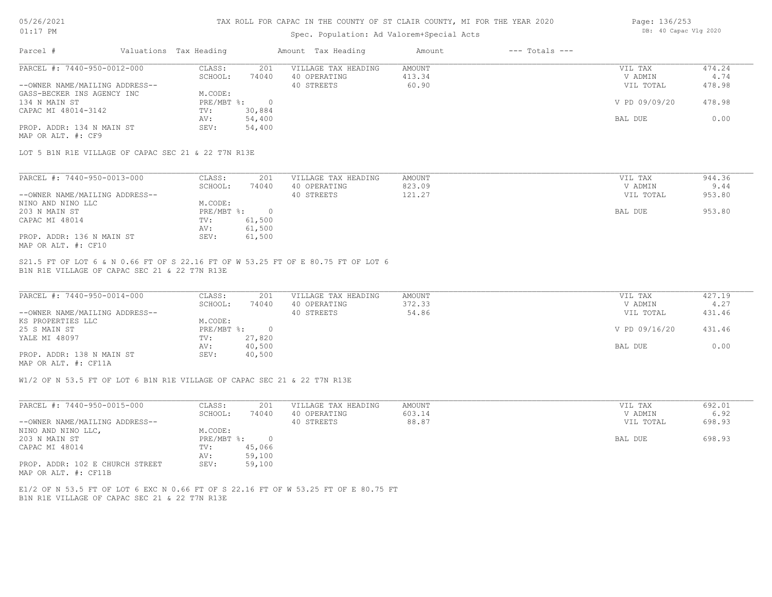## 05/26/2021 01:17 PM

#### TAX ROLL FOR CAPAC IN THE COUNTY OF ST CLAIR COUNTY, MI FOR THE YEAR 2020

## Spec. Population: Ad Valorem+Special Acts

| Page: 136/253 |  |                       |  |  |
|---------------|--|-----------------------|--|--|
|               |  | DB: 40 Capac Vlg 2020 |  |  |

| Parcel #                       | Valuations Tax Heading |        | Amount Tax Heading  | Amount | $---$ Totals $---$ |               |        |
|--------------------------------|------------------------|--------|---------------------|--------|--------------------|---------------|--------|
| PARCEL #: 7440-950-0012-000    | CLASS:                 | 201    | VILLAGE TAX HEADING | AMOUNT |                    | VIL TAX       | 474.24 |
|                                | SCHOOL:                | 74040  | 40 OPERATING        | 413.34 |                    | V ADMIN       | 4.74   |
| --OWNER NAME/MAILING ADDRESS-- |                        |        | 40 STREETS          | 60.90  |                    | VIL TOTAL     | 478.98 |
| GASS-BECKER INS AGENCY INC     | M.CODE:                |        |                     |        |                    |               |        |
| 134 N MAIN ST                  | PRE/MBT %:             |        |                     |        |                    | V PD 09/09/20 | 478.98 |
| CAPAC MI 48014-3142            | TV:                    | 30,884 |                     |        |                    |               |        |
|                                | AV:                    | 54,400 |                     |        |                    | BAL DUE       | 0.00   |
| PROP. ADDR: 134 N MAIN ST      | SEV:                   | 54,400 |                     |        |                    |               |        |
| MAP OR ALT. #: CF9             |                        |        |                     |        |                    |               |        |

LOT 5 B1N R1E VILLAGE OF CAPAC SEC 21 & 22 T7N R13E

| PARCEL #: 7440-950-0013-000    | CLASS:     | 201    | VILLAGE TAX HEADING | AMOUNT | VIL TAX   | 944.36 |
|--------------------------------|------------|--------|---------------------|--------|-----------|--------|
|                                | SCHOOL:    | 74040  | 40 OPERATING        | 823.09 | V ADMIN   | 9.44   |
| --OWNER NAME/MAILING ADDRESS-- |            |        | 40 STREETS          | 121.27 | VIL TOTAL | 953.80 |
| NINO AND NINO LLC              | M.CODE:    |        |                     |        |           |        |
| 203 N MAIN ST                  | PRE/MBT %: |        |                     |        | BAL DUE   | 953.80 |
| CAPAC MI 48014                 | TV:        | 61,500 |                     |        |           |        |
|                                | AV:        | 61,500 |                     |        |           |        |
| PROP. ADDR: 136 N MAIN ST      | SEV:       | 61,500 |                     |        |           |        |
| MAP OR ALT. #: CF10            |            |        |                     |        |           |        |

B1N R1E VILLAGE OF CAPAC SEC 21 & 22 T7N R13E S21.5 FT OF LOT 6 & N 0.66 FT OF S 22.16 FT OF W 53.25 FT OF E 80.75 FT OF LOT 6

| PARCEL #: 7440-950-0014-000    | CLASS:     | 201    | VILLAGE TAX HEADING | AMOUNT | VIL TAX       | 427.19 |
|--------------------------------|------------|--------|---------------------|--------|---------------|--------|
|                                | SCHOOL:    | 74040  | 40 OPERATING        | 372.33 | V ADMIN       | 4.27   |
| --OWNER NAME/MAILING ADDRESS-- |            |        | 40 STREETS          | 54.86  | VIL TOTAL     | 431.46 |
| KS PROPERTIES LLC              | M.CODE:    |        |                     |        |               |        |
| 25 S MAIN ST                   | PRE/MBT %: |        |                     |        | V PD 09/16/20 | 431.46 |
| YALE MI 48097                  | TV:        | 27,820 |                     |        |               |        |
|                                | AV:        | 40,500 |                     |        | BAL DUE       | 0.00   |
| PROP. ADDR: 138 N MAIN ST      | SEV:       | 40,500 |                     |        |               |        |
| MAP OR ALT. #: CF11A           |            |        |                     |        |               |        |

 $\mathcal{L}_\mathcal{L} = \mathcal{L}_\mathcal{L} = \mathcal{L}_\mathcal{L} = \mathcal{L}_\mathcal{L} = \mathcal{L}_\mathcal{L} = \mathcal{L}_\mathcal{L} = \mathcal{L}_\mathcal{L} = \mathcal{L}_\mathcal{L} = \mathcal{L}_\mathcal{L} = \mathcal{L}_\mathcal{L} = \mathcal{L}_\mathcal{L} = \mathcal{L}_\mathcal{L} = \mathcal{L}_\mathcal{L} = \mathcal{L}_\mathcal{L} = \mathcal{L}_\mathcal{L} = \mathcal{L}_\mathcal{L} = \mathcal{L}_\mathcal{L}$ 

W1/2 OF N 53.5 FT OF LOT 6 B1N R1E VILLAGE OF CAPAC SEC 21 & 22 T7N R13E

| PARCEL #: 7440-950-0015-000                             | CLASS:       | 201    | VILLAGE TAX HEADING | AMOUNT | VIL TAX   | 692.01 |
|---------------------------------------------------------|--------------|--------|---------------------|--------|-----------|--------|
|                                                         | SCHOOL:      | 74040  | 40 OPERATING        | 603.14 | V ADMIN   | 6.92   |
| --OWNER NAME/MAILING ADDRESS--                          |              |        | 40 STREETS          | 88.87  | VIL TOTAL | 698.93 |
| NINO AND NINO LLC,                                      | M.CODE:      |        |                     |        |           |        |
| 203 N MAIN ST                                           | $PRE/MBT$ %: |        |                     |        | BAL DUE   | 698.93 |
| CAPAC MI 48014                                          | TV:          | 45,066 |                     |        |           |        |
|                                                         | AV:          | 59,100 |                     |        |           |        |
| PROP. ADDR: 102 E CHURCH STREET<br>MAP OR ALT. #: CF11B | SEV:         | 59,100 |                     |        |           |        |

B1N R1E VILLAGE OF CAPAC SEC 21 & 22 T7N R13E E1/2 OF N 53.5 FT OF LOT 6 EXC N 0.66 FT OF S 22.16 FT OF W 53.25 FT OF E 80.75 FT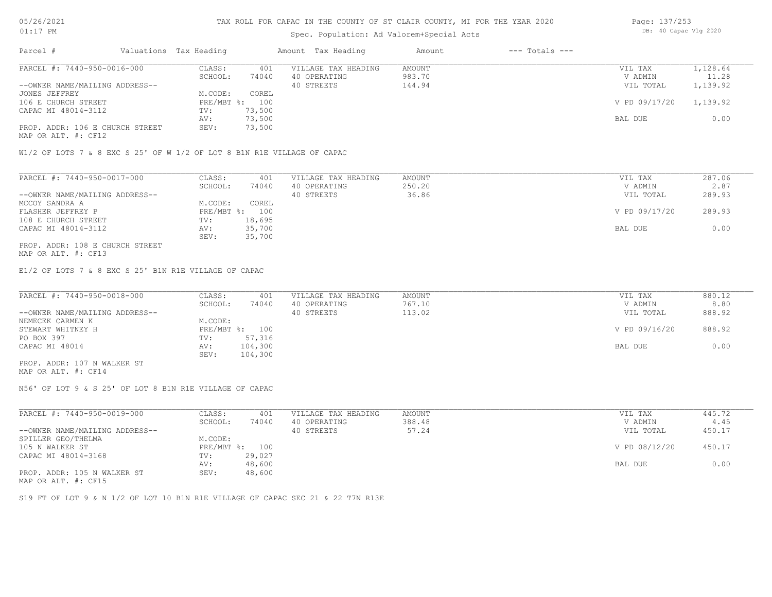# Spec. Population: Ad Valorem+Special Acts

| Page: 137/253 |  |                       |  |  |
|---------------|--|-----------------------|--|--|
|               |  | DB: 40 Capac Vlg 2020 |  |  |

| Parcel #                        | Valuations Tax Heading |        | Amount Tax Heading  | Amount | $---$ Totals $---$ |               |          |
|---------------------------------|------------------------|--------|---------------------|--------|--------------------|---------------|----------|
| PARCEL #: 7440-950-0016-000     | CLASS:                 | 401    | VILLAGE TAX HEADING | AMOUNT |                    | VIL TAX       | 1,128.64 |
|                                 | SCHOOL:                | 74040  | 40 OPERATING        | 983.70 |                    | V ADMIN       | 11.28    |
| --OWNER NAME/MAILING ADDRESS--  |                        |        | 40 STREETS          | 144.94 |                    | VIL TOTAL     | 1,139.92 |
| JONES JEFFREY                   | M.CODE:                | COREL  |                     |        |                    |               |          |
| 106 E CHURCH STREET             | PRE/MBT %: 100         |        |                     |        |                    | V PD 09/17/20 | 1,139.92 |
| CAPAC MI 48014-3112             | TV:                    | 73,500 |                     |        |                    |               |          |
|                                 | AV:                    | 73,500 |                     |        |                    | BAL DUE       | 0.00     |
| PROP. ADDR: 106 E CHURCH STREET | SEV:                   | 73,500 |                     |        |                    |               |          |
|                                 |                        |        |                     |        |                    |               |          |

MAP OR ALT. #: CF12

W1/2 OF LOTS 7 & 8 EXC S 25' OF W 1/2 OF LOT 8 B1N R1E VILLAGE OF CAPAC

| PARCEL #: 7440-950-0017-000     | CLASS:  | 401            | VILLAGE TAX HEADING | AMOUNT | VIL TAX       | 287.06 |
|---------------------------------|---------|----------------|---------------------|--------|---------------|--------|
|                                 | SCHOOL: | 74040          | 40 OPERATING        | 250.20 | V ADMIN       | 2.87   |
| --OWNER NAME/MAILING ADDRESS--  |         |                | 40 STREETS          | 36.86  | VIL TOTAL     | 289.93 |
| MCCOY SANDRA A                  | M.CODE: | COREL          |                     |        |               |        |
| FLASHER JEFFREY P               |         | PRE/MBT %: 100 |                     |        | V PD 09/17/20 | 289.93 |
| 108 E CHURCH STREET             | TV:     | 18,695         |                     |        |               |        |
| CAPAC MI 48014-3112             | AV:     | 35,700         |                     |        | BAL DUE       | 0.00   |
|                                 | SEV:    | 35,700         |                     |        |               |        |
| PROP. ADDR: 108 E CHURCH STREET |         |                |                     |        |               |        |

MAP OR ALT. #: CF13

E1/2 OF LOTS 7 & 8 EXC S 25' B1N R1E VILLAGE OF CAPAC

| PARCEL #: 7440-950-0018-000    | CLASS:  | 401            | VILLAGE TAX HEADING | AMOUNT | VIL TAX       | 880.12 |
|--------------------------------|---------|----------------|---------------------|--------|---------------|--------|
|                                | SCHOOL: | 74040          | 40 OPERATING        | 767.10 | V ADMIN       | 8.80   |
| --OWNER NAME/MAILING ADDRESS-- |         |                | 40 STREETS          | 113.02 | VIL TOTAL     | 888.92 |
| NEMECEK CARMEN K               | M.CODE: |                |                     |        |               |        |
| STEWART WHITNEY H              |         | PRE/MBT %: 100 |                     |        | V PD 09/16/20 | 888.92 |
| PO BOX 397                     | TV:     | 57,316         |                     |        |               |        |
| CAPAC MI 48014                 | AV:     | 104,300        |                     |        | BAL DUE       | 0.00   |
|                                | SEV:    | 104,300        |                     |        |               |        |
| PROP. ADDR: 107 N WALKER ST    |         |                |                     |        |               |        |

MAP OR ALT. #: CF14

N56' OF LOT 9 & S 25' OF LOT 8 B1N R1E VILLAGE OF CAPAC

| PARCEL #: 7440-950-0019-000    | CLASS:       | 401    | VILLAGE TAX HEADING | AMOUNT | VIL TAX       | 445.72 |
|--------------------------------|--------------|--------|---------------------|--------|---------------|--------|
|                                | SCHOOL:      | 74040  | 40 OPERATING        | 388.48 | V ADMIN       | 4.45   |
| --OWNER NAME/MAILING ADDRESS-- |              |        | 40 STREETS          | 57.24  | VIL TOTAL     | 450.17 |
| SPILLER GEO/THELMA             | M.CODE:      |        |                     |        |               |        |
| 105 N WALKER ST                | $PRE/MBT$ %: | 100    |                     |        | V PD 08/12/20 | 450.17 |
| CAPAC MI 48014-3168            | TV:          | 29,027 |                     |        |               |        |
|                                | AV:          | 48,600 |                     |        | BAL DUE       | 0.00   |
| PROP. ADDR: 105 N WALKER ST    | SEV:         | 48,600 |                     |        |               |        |
|                                |              |        |                     |        |               |        |

MAP OR ALT. #: CF15

S19 FT OF LOT 9 & N 1/2 OF LOT 10 B1N R1E VILLAGE OF CAPAC SEC 21 & 22 T7N R13E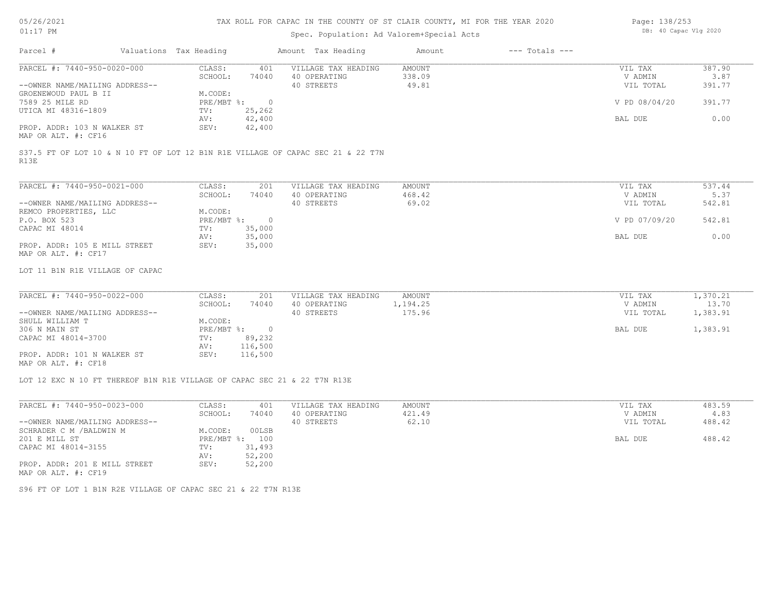# 05/26/2021 01:17 PM

## TAX ROLL FOR CAPAC IN THE COUNTY OF ST CLAIR COUNTY, MI FOR THE YEAR 2020

# Spec. Population: Ad Valorem+Special Acts

| Page: 138/253 |                       |  |  |
|---------------|-----------------------|--|--|
|               | DB: 40 Capac Vlg 2020 |  |  |

| Parcel #                       | Valuations Tax Heading |        | Amount Tax Heading  | Amount | $---$ Totals $---$ |               |        |
|--------------------------------|------------------------|--------|---------------------|--------|--------------------|---------------|--------|
| PARCEL #: 7440-950-0020-000    | CLASS:                 | 401    | VILLAGE TAX HEADING | AMOUNT |                    | VIL TAX       | 387.90 |
|                                | SCHOOL:                | 74040  | 40 OPERATING        | 338.09 |                    | V ADMIN       | 3.87   |
| --OWNER NAME/MAILING ADDRESS-- |                        |        | 40 STREETS          | 49.81  |                    | VIL TOTAL     | 391.77 |
| GROENEWOUD PAUL B II           | M.CODE:                |        |                     |        |                    |               |        |
| 7589 25 MILE RD                | $PRE/MBT$ %:           |        |                     |        |                    | V PD 08/04/20 | 391.77 |
| UTICA MI 48316-1809            | TV:                    | 25,262 |                     |        |                    |               |        |
|                                | AV:                    | 42,400 |                     |        |                    | BAL DUE       | 0.00   |
| PROP. ADDR: 103 N WALKER ST    | SEV:                   | 42,400 |                     |        |                    |               |        |
| MAP OR ALT. #: CF16            |                        |        |                     |        |                    |               |        |
|                                |                        |        |                     |        |                    |               |        |

R13E S37.5 FT OF LOT 10 & N 10 FT OF LOT 12 B1N R1E VILLAGE OF CAPAC SEC 21 & 22 T7N

| PARCEL #: 7440-950-0021-000    | CLASS:     | 201    | VILLAGE TAX HEADING | AMOUNT | VIL TAX       | 537.44 |
|--------------------------------|------------|--------|---------------------|--------|---------------|--------|
|                                | SCHOOL:    | 74040  | 40 OPERATING        | 468.42 | V ADMIN       | 5.37   |
| --OWNER NAME/MAILING ADDRESS-- |            |        | 40 STREETS          | 69.02  | VIL TOTAL     | 542.81 |
| REMCO PROPERTIES, LLC          | M.CODE:    |        |                     |        |               |        |
| P.O. BOX 523                   | PRE/MBT %: | $\Box$ |                     |        | V PD 07/09/20 | 542.81 |
| CAPAC MI 48014                 | TV:        | 35,000 |                     |        |               |        |
|                                | AV:        | 35,000 |                     |        | BAL DUE       | 0.00   |
| PROP. ADDR: 105 E MILL STREET  | SEV:       | 35,000 |                     |        |               |        |
| MAP OR ALT. #: CF17            |            |        |                     |        |               |        |

#### LOT 11 B1N R1E VILLAGE OF CAPAC

| PARCEL #: 7440-950-0022-000    | CLASS:     | 201     | VILLAGE TAX HEADING | AMOUNT   | VIL TAX   | 1,370.21 |
|--------------------------------|------------|---------|---------------------|----------|-----------|----------|
|                                | SCHOOL:    | 74040   | 40 OPERATING        | 1,194.25 | V ADMIN   | 13.70    |
| --OWNER NAME/MAILING ADDRESS-- |            |         | 40 STREETS          | 175.96   | VIL TOTAL | 1,383.91 |
| SHULL WILLIAM T                | M.CODE:    |         |                     |          |           |          |
| 306 N MAIN ST                  | PRE/MBT %: | $\cap$  |                     |          | BAL DUE   | 1,383.91 |
| CAPAC MI 48014-3700            | TV:        | 89,232  |                     |          |           |          |
|                                | AV:        | 116,500 |                     |          |           |          |
| PROP. ADDR: 101 N WALKER ST    | SEV:       | 116,500 |                     |          |           |          |
| MAP OR ALT. #: CF18            |            |         |                     |          |           |          |

 $\mathcal{L}_\mathcal{L} = \mathcal{L}_\mathcal{L} = \mathcal{L}_\mathcal{L} = \mathcal{L}_\mathcal{L} = \mathcal{L}_\mathcal{L} = \mathcal{L}_\mathcal{L} = \mathcal{L}_\mathcal{L} = \mathcal{L}_\mathcal{L} = \mathcal{L}_\mathcal{L} = \mathcal{L}_\mathcal{L} = \mathcal{L}_\mathcal{L} = \mathcal{L}_\mathcal{L} = \mathcal{L}_\mathcal{L} = \mathcal{L}_\mathcal{L} = \mathcal{L}_\mathcal{L} = \mathcal{L}_\mathcal{L} = \mathcal{L}_\mathcal{L}$ 

LOT 12 EXC N 10 FT THEREOF B1N R1E VILLAGE OF CAPAC SEC 21 & 22 T7N R13E

| PARCEL #: 7440-950-0023-000                          | CLASS:  | 401            | VILLAGE TAX HEADING | AMOUNT | VIL TAX   | 483.59 |
|------------------------------------------------------|---------|----------------|---------------------|--------|-----------|--------|
|                                                      | SCHOOL: | 74040          | 40 OPERATING        | 421.49 | V ADMIN   | 4.83   |
| --OWNER NAME/MAILING ADDRESS--                       |         |                | 40 STREETS          | 62.10  | VIL TOTAL | 488.42 |
| SCHRADER C M / BALDWIN M                             | M.CODE: | 00LSB          |                     |        |           |        |
| 201 E MILL ST                                        |         | PRE/MBT %: 100 |                     |        | BAL DUE   | 488.42 |
| CAPAC MI 48014-3155                                  | TV:     | 31,493         |                     |        |           |        |
|                                                      | AV:     | 52,200         |                     |        |           |        |
| PROP. ADDR: 201 E MILL STREET<br>MAP OR ALT. #: CF19 | SEV:    | 52,200         |                     |        |           |        |

S96 FT OF LOT 1 B1N R2E VILLAGE OF CAPAC SEC 21 & 22 T7N R13E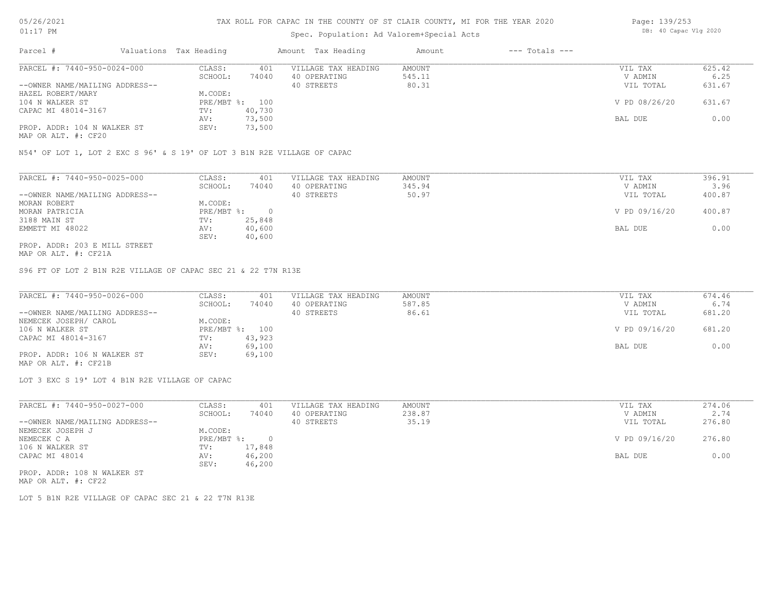# Spec. Population: Ad Valorem+Special Acts

| Page: 139/253 |                       |  |
|---------------|-----------------------|--|
|               | DB: 40 Capac Vlg 2020 |  |

| Parcel #                    |                                | Valuations Tax Heading |                     | Amount Tax Heading | Amount | $---$ Totals $---$ |               |        |
|-----------------------------|--------------------------------|------------------------|---------------------|--------------------|--------|--------------------|---------------|--------|
| PARCEL #: 7440-950-0024-000 | CLASS:                         | 401                    | VILLAGE TAX HEADING | AMOUNT             |        | VIL TAX            | 625.42        |        |
|                             |                                | SCHOOL:                | 74040               | 40 OPERATING       | 545.11 |                    | V ADMIN       | 6.25   |
|                             | --OWNER NAME/MAILING ADDRESS-- |                        |                     | 40 STREETS         | 80.31  |                    | VIL TOTAL     | 631.67 |
| HAZEL ROBERT/MARY           |                                | M.CODE:                |                     |                    |        |                    |               |        |
| 104 N WALKER ST             |                                | PRE/MBT %:             | 100                 |                    |        |                    | V PD 08/26/20 | 631.67 |
| CAPAC MI 48014-3167         |                                | TV:                    | 40,730              |                    |        |                    |               |        |
|                             |                                | AV:                    | 73,500              |                    |        |                    | BAL DUE       | 0.00   |
|                             | PROP. ADDR: 104 N WALKER ST    | SEV:                   | 73,500              |                    |        |                    |               |        |

MAP OR ALT. #: CF20

N54' OF LOT 1, LOT 2 EXC S 96' & S 19' OF LOT 3 B1N R2E VILLAGE OF CAPAC

| PARCEL #: 7440-950-0025-000    | CLASS:     | 401    | VILLAGE TAX HEADING | AMOUNT | VIL TAX       | 396.91 |
|--------------------------------|------------|--------|---------------------|--------|---------------|--------|
|                                | SCHOOL:    | 74040  | 40 OPERATING        | 345.94 | V ADMIN       | 3.96   |
| --OWNER NAME/MAILING ADDRESS-- |            |        | 40 STREETS          | 50.97  | VIL TOTAL     | 400.87 |
| MORAN ROBERT                   | M.CODE:    |        |                     |        |               |        |
| MORAN PATRICIA                 | PRE/MBT %: |        |                     |        | V PD 09/16/20 | 400.87 |
| 3188 MAIN ST                   | TV:        | 25,848 |                     |        |               |        |
| EMMETT MI 48022                | AV:        | 40,600 |                     |        | BAL DUE       | 0.00   |
|                                | SEV:       | 40,600 |                     |        |               |        |
| PROP. ADDR: 203 E MILL STREET  |            |        |                     |        |               |        |

MAP OR ALT. #: CF21A

S96 FT OF LOT 2 B1N R2E VILLAGE OF CAPAC SEC 21 & 22 T7N R13E

| PARCEL #: 7440-950-0026-000    | CLASS:  | 401            | VILLAGE TAX HEADING | AMOUNT | VIL TAX       | 674.46 |
|--------------------------------|---------|----------------|---------------------|--------|---------------|--------|
|                                | SCHOOL: | 74040          | 40 OPERATING        | 587.85 | V ADMIN       | 6.74   |
| --OWNER NAME/MAILING ADDRESS-- |         |                | 40 STREETS          | 86.61  | VIL TOTAL     | 681.20 |
| NEMECEK JOSEPH/ CAROL          | M.CODE: |                |                     |        |               |        |
| 106 N WALKER ST                |         | PRE/MBT %: 100 |                     |        | V PD 09/16/20 | 681.20 |
| CAPAC MI 48014-3167            | TV:     | 43,923         |                     |        |               |        |
|                                | AV:     | 69,100         |                     |        | BAL DUE       | 0.00   |
| PROP. ADDR: 106 N WALKER ST    | SEV:    | 69,100         |                     |        |               |        |
| MAP OR ALT. #: CF21B           |         |                |                     |        |               |        |

LOT 3 EXC S 19' LOT 4 B1N R2E VILLAGE OF CAPAC

| PARCEL #: 7440-950-0027-000    | CLASS:       | 401    | VILLAGE TAX HEADING | AMOUNT | VIL TAX       | 274.06 |
|--------------------------------|--------------|--------|---------------------|--------|---------------|--------|
|                                | SCHOOL:      | 74040  | 40 OPERATING        | 238.87 | V ADMIN       | 2.74   |
| --OWNER NAME/MAILING ADDRESS-- |              |        | 40 STREETS          | 35.19  | VIL TOTAL     | 276.80 |
| NEMECEK JOSEPH J               | M.CODE:      |        |                     |        |               |        |
| NEMECEK C A                    | $PRE/MBT$ %: |        |                     |        | V PD 09/16/20 | 276.80 |
| 106 N WALKER ST                | TV:          | 17,848 |                     |        |               |        |
| CAPAC MI 48014                 | AV:          | 46,200 |                     |        | BAL DUE       | 0.00   |
|                                | SEV:         | 46,200 |                     |        |               |        |
| PROP. ADDR: 108 N WALKER ST    |              |        |                     |        |               |        |

MAP OR ALT. #: CF22

LOT 5 B1N R2E VILLAGE OF CAPAC SEC 21 & 22 T7N R13E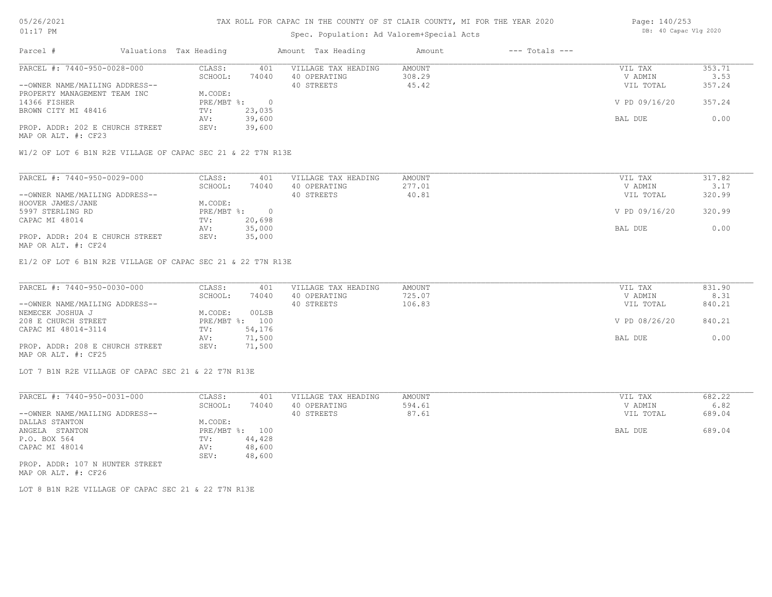## 05/26/2021 01:17 PM

MAP OR ALT. #: CF23

#### TAX ROLL FOR CAPAC IN THE COUNTY OF ST CLAIR COUNTY, MI FOR THE YEAR 2020

# Spec. Population: Ad Valorem+Special Acts

| Parcel #                       | Valuations Tax Heading |        | Amount Tax Heading  | Amount | $---$ Totals $---$ |               |        |
|--------------------------------|------------------------|--------|---------------------|--------|--------------------|---------------|--------|
| PARCEL #: 7440-950-0028-000    | CLASS:                 | 401    | VILLAGE TAX HEADING | AMOUNT |                    | VIL TAX       | 353.71 |
|                                | SCHOOL:                | 74040  | 40 OPERATING        | 308.29 |                    | V ADMIN       | 3.53   |
| --OWNER NAME/MAILING ADDRESS-- |                        |        | 40 STREETS          | 45.42  |                    | VIL TOTAL     | 357.24 |
| PROPERTY MANAGEMENT TEAM INC   | M.CODE:                |        |                     |        |                    |               |        |
| 14366 FISHER                   | PRE/MBT %:             |        |                     |        |                    | V PD 09/16/20 | 357.24 |
| BROWN CITY MI 48416            | TV:                    | 23,035 |                     |        |                    |               |        |
|                                | AV:                    | 39,600 |                     |        |                    | BAL DUE       | 0.00   |

W1/2 OF LOT 6 B1N R2E VILLAGE OF CAPAC SEC 21 & 22 T7N R13E

PROP. ADDR: 202 E CHURCH STREET SEV: 39,600

| PARCEL #: 7440-950-0029-000     | CLASS:     | 401    | VILLAGE TAX HEADING | AMOUNT | VIL TAX       | 317.82 |
|---------------------------------|------------|--------|---------------------|--------|---------------|--------|
|                                 | SCHOOL:    | 74040  | 40 OPERATING        | 277.01 | V ADMIN       | 3.17   |
| --OWNER NAME/MAILING ADDRESS--  |            |        | 40 STREETS          | 40.81  | VIL TOTAL     | 320.99 |
| HOOVER JAMES/JANE               | M.CODE:    |        |                     |        |               |        |
| 5997 STERLING RD                | PRE/MBT %: |        |                     |        | V PD 09/16/20 | 320.99 |
| CAPAC MI 48014                  | TV:        | 20,698 |                     |        |               |        |
|                                 | AV:        | 35,000 |                     |        | BAL DUE       | 0.00   |
| PROP. ADDR: 204 E CHURCH STREET | SEV:       | 35,000 |                     |        |               |        |
| MAP OR ALT. #: CF24             |            |        |                     |        |               |        |

E1/2 OF LOT 6 B1N R2E VILLAGE OF CAPAC SEC 21 & 22 T7N R13E

| PARCEL #: 7440-950-0030-000     | CLASS:  | 401            | VILLAGE TAX HEADING | AMOUNT | VIL TAX       | 831.90 |
|---------------------------------|---------|----------------|---------------------|--------|---------------|--------|
|                                 | SCHOOL: | 74040          | 40 OPERATING        | 725.07 | V ADMIN       | 8.31   |
| --OWNER NAME/MAILING ADDRESS--  |         |                | 40 STREETS          | 106.83 | VIL TOTAL     | 840.21 |
| NEMECEK JOSHUA J                | M.CODE: | 00LSB          |                     |        |               |        |
| 208 E CHURCH STREET             |         | PRE/MBT %: 100 |                     |        | V PD 08/26/20 | 840.21 |
| CAPAC MI 48014-3114             | TV:     | 54,176         |                     |        |               |        |
|                                 | AV:     | 71,500         |                     |        | BAL DUE       | 0.00   |
| PROP. ADDR: 208 E CHURCH STREET | SEV:    | 71,500         |                     |        |               |        |
| MAP OR ALT. #: CF25             |         |                |                     |        |               |        |

LOT 7 B1N R2E VILLAGE OF CAPAC SEC 21 & 22 T7N R13E

| PARCEL #: 7440-950-0031-000     | CLASS:       | 401    | VILLAGE TAX HEADING | AMOUNT | VIL TAX   | 682.22 |
|---------------------------------|--------------|--------|---------------------|--------|-----------|--------|
|                                 | SCHOOL:      | 74040  | 40 OPERATING        | 594.61 | V ADMIN   | 6.82   |
| --OWNER NAME/MAILING ADDRESS--  |              |        | 40 STREETS          | 87.61  | VIL TOTAL | 689.04 |
| DALLAS STANTON                  | M.CODE:      |        |                     |        |           |        |
| ANGELA STANTON                  | $PRE/MBT$ %: | 100    |                     |        | BAL DUE   | 689.04 |
| P.O. BOX 564                    | TV:          | 44,428 |                     |        |           |        |
| CAPAC MI 48014                  | AV:          | 48,600 |                     |        |           |        |
|                                 | SEV:         | 48,600 |                     |        |           |        |
| PROP. ADDR: 107 N HUNTER STREET |              |        |                     |        |           |        |

MAP OR ALT. #: CF26

LOT 8 B1N R2E VILLAGE OF CAPAC SEC 21 & 22 T7N R13E

Page: 140/253 DB: 40 Capac Vlg 2020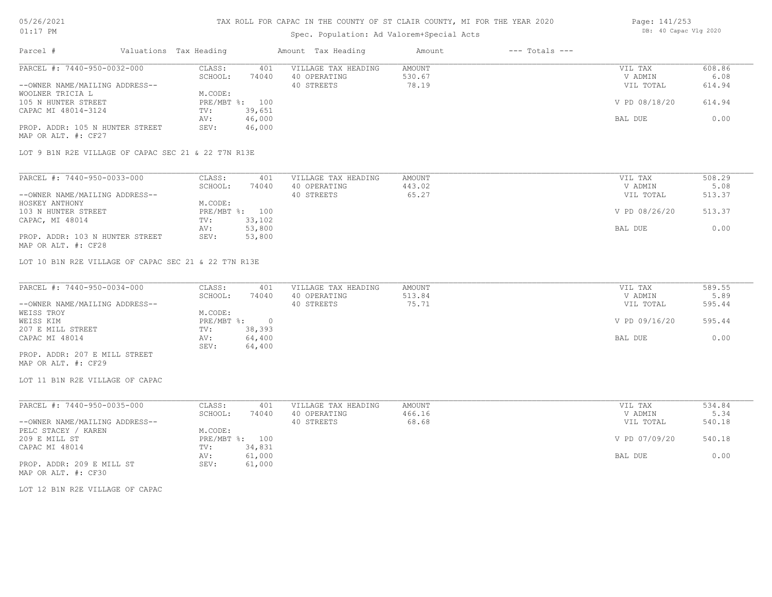## 05/26/2021 01:17 PM

## TAX ROLL FOR CAPAC IN THE COUNTY OF ST CLAIR COUNTY, MI FOR THE YEAR 2020

| OT:T\RM                                                |                        |        | Spec. Population: Ad Valorem+Special Acts | DD. 40 Capac vig 2020 |                    |               |        |
|--------------------------------------------------------|------------------------|--------|-------------------------------------------|-----------------------|--------------------|---------------|--------|
| Parcel #                                               | Valuations Tax Heading |        | Amount Tax Heading                        | Amount                | $---$ Totals $---$ |               |        |
| PARCEL #: 7440-950-0032-000                            | CLASS:                 | 401    | VILLAGE TAX HEADING                       | AMOUNT                |                    | VIL TAX       | 608.86 |
|                                                        | SCHOOL:                | 74040  | 40 OPERATING                              | 530.67                |                    | V ADMIN       | 6.08   |
| --OWNER NAME/MAILING ADDRESS--                         |                        |        | 40 STREETS                                | 78.19                 |                    | VIL TOTAL     | 614.94 |
| WOOLNER TRICIA L                                       | M.CODE:                |        |                                           |                       |                    |               |        |
| 105 N HUNTER STREET                                    | $PRE/MBT$ %:           | 100    |                                           |                       |                    | V PD 08/18/20 | 614.94 |
| CAPAC MI 48014-3124                                    | TV:                    | 39,651 |                                           |                       |                    |               |        |
|                                                        | AV:                    | 46,000 |                                           |                       |                    | BAL DUE       | 0.00   |
| PROP. ADDR: 105 N HUNTER STREET<br>MAP OR ALT. #: CF27 | SEV:                   | 46,000 |                                           |                       |                    |               |        |
| LOT 9 B1N R2E VILLAGE OF CAPAC SEC 21 & 22 T7N R13E    |                        |        |                                           |                       |                    |               |        |
| PARCEL #: 7440-950-0033-000                            | CLASS:                 | 401    | VILLAGE TAX HEADING                       | AMOUNT                |                    | VIL TAX       | 508.29 |
|                                                        | SCHOOL:                | 74040  | 40 OPERATING                              | 443.02                |                    | V ADMIN       | 5.08   |
| --OWNER NAME/MAILING ADDRESS--                         |                        |        | 40 STREETS                                | 65.27                 |                    | VIL TOTAL     | 513.37 |
|                                                        |                        |        |                                           |                       |                    |               |        |

| HOSKEY ANTHONY                  | M.CODE: |                |               |        |
|---------------------------------|---------|----------------|---------------|--------|
| 103 N HUNTER STREET             |         | PRE/MBT %: 100 | V PD 08/26/20 | 513.37 |
| CAPAC, MI 48014                 | TV:     | 33,102         |               |        |
|                                 | AV:     | 53,800         | BAL DUE       | 0.00   |
| PROP. ADDR: 103 N HUNTER STREET | SEV:    | 53,800         |               |        |
| MAP OR ALT. #: CF28             |         |                |               |        |

LOT 10 B1N R2E VILLAGE OF CAPAC SEC 21 & 22 T7N R13E

| PARCEL #: 7440-950-0034-000    | CLASS:     | 401    | VILLAGE TAX HEADING | AMOUNT | VIL TAX       | 589.55 |
|--------------------------------|------------|--------|---------------------|--------|---------------|--------|
|                                | SCHOOL:    | 74040  | 40 OPERATING        | 513.84 | V ADMIN       | 5.89   |
| --OWNER NAME/MAILING ADDRESS-- |            |        | 40 STREETS          | 75.71  | VIL TOTAL     | 595.44 |
| WEISS TROY                     | M.CODE:    |        |                     |        |               |        |
| WEISS KIM                      | PRE/MBT %: |        |                     |        | V PD 09/16/20 | 595.44 |
| 207 E MILL STREET              | TV:        | 38,393 |                     |        |               |        |
| CAPAC MI 48014                 | AV:        | 64,400 |                     |        | BAL DUE       | 0.00   |
|                                | SEV:       | 64,400 |                     |        |               |        |
| PROP. ADDR: 207 E MILL STREET  |            |        |                     |        |               |        |

MAP OR ALT. #: CF29

LOT 11 B1N R2E VILLAGE OF CAPAC

| PARCEL #: 7440-950-0035-000    | CLASS:  | 401            | VILLAGE TAX HEADING | AMOUNT | VIL TAX       | 534.84 |
|--------------------------------|---------|----------------|---------------------|--------|---------------|--------|
|                                | SCHOOL: | 74040          | 40 OPERATING        | 466.16 | V ADMIN       | 5.34   |
| --OWNER NAME/MAILING ADDRESS-- |         |                | 40 STREETS          | 68.68  | VIL TOTAL     | 540.18 |
| PELC STACEY / KAREN            | M.CODE: |                |                     |        |               |        |
| 209 E MILL ST                  |         | PRE/MBT %: 100 |                     |        | V PD 07/09/20 | 540.18 |
| CAPAC MI 48014                 | TV:     | 34,831         |                     |        |               |        |
|                                | AV:     | 61,000         |                     |        | BAL DUE       | 0.00   |
| PROP. ADDR: 209 E MILL ST      | SEV:    | 61,000         |                     |        |               |        |
| MAP OR ALT. #: CF30            |         |                |                     |        |               |        |

LOT 12 B1N R2E VILLAGE OF CAPAC

Page: 141/253 DB: 40 Capac Vlg 2020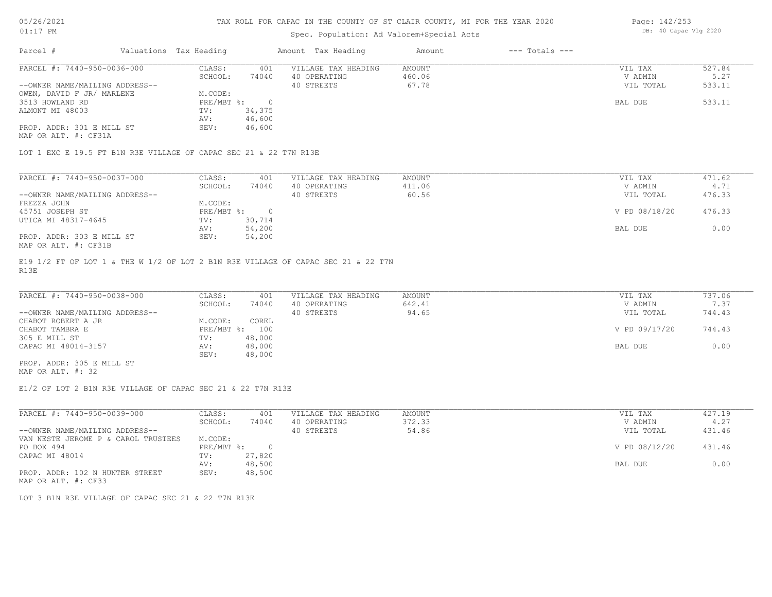# Spec. Population: Ad Valorem+Special Acts

Page: 142/253 DB: 40 Capac Vlg 2020

| Parcel #                       | Valuations Tax Heading |        | Amount Tax Heading  | Amount | $---$ Totals $---$ |           |        |
|--------------------------------|------------------------|--------|---------------------|--------|--------------------|-----------|--------|
| PARCEL #: 7440-950-0036-000    | CLASS:                 | 401    | VILLAGE TAX HEADING | AMOUNT |                    | VIL TAX   | 527.84 |
|                                | SCHOOL:                | 74040  | 40 OPERATING        | 460.06 |                    | V ADMIN   | 5.27   |
| --OWNER NAME/MAILING ADDRESS-- |                        |        | 40 STREETS          | 67.78  |                    | VIL TOTAL | 533.11 |
| OWEN, DAVID F JR/ MARLENE      | M.CODE:                |        |                     |        |                    |           |        |
| 3513 HOWLAND RD                | PRE/MBT %:             |        |                     |        |                    | BAL DUE   | 533.11 |
| ALMONT MI 48003                | TV:                    | 34,375 |                     |        |                    |           |        |
|                                | AV:                    | 46,600 |                     |        |                    |           |        |
| PROP. ADDR: 301 E MILL ST      | SEV:                   | 46,600 |                     |        |                    |           |        |

MAP OR ALT. #: CF31A

LOT 1 EXC E 19.5 FT B1N R3E VILLAGE OF CAPAC SEC 21 & 22 T7N R13E

| PARCEL #: 7440-950-0037-000    | CLASS:     | 401    | VILLAGE TAX HEADING | AMOUNT | VIL TAX       | 471.62 |
|--------------------------------|------------|--------|---------------------|--------|---------------|--------|
|                                | SCHOOL:    | 74040  | 40 OPERATING        | 411.06 | V ADMIN       | 4.71   |
| --OWNER NAME/MAILING ADDRESS-- |            |        | 40 STREETS          | 60.56  | VIL TOTAL     | 476.33 |
| FREZZA JOHN                    | M.CODE:    |        |                     |        |               |        |
| 45751 JOSEPH ST                | PRE/MBT %: |        |                     |        | V PD 08/18/20 | 476.33 |
| UTICA MI 48317-4645            | TV:        | 30,714 |                     |        |               |        |
|                                | AV:        | 54,200 |                     |        | BAL DUE       | 0.00   |
| PROP. ADDR: 303 E MILL ST      | SEV:       | 54,200 |                     |        |               |        |
| MAP OR ALT. #: CF31B           |            |        |                     |        |               |        |

R13E E19 1/2 FT OF LOT 1 & THE W 1/2 OF LOT 2 B1N R3E VILLAGE OF CAPAC SEC 21 & 22 T7N

| PARCEL #: 7440-950-0038-000    | CLASS:       | 401    | VILLAGE TAX HEADING | AMOUNT | VIL TAX       | 737.06 |
|--------------------------------|--------------|--------|---------------------|--------|---------------|--------|
|                                | SCHOOL:      | 74040  | 40 OPERATING        | 642.41 | V ADMIN       | 7.37   |
| --OWNER NAME/MAILING ADDRESS-- |              |        | 40 STREETS          | 94.65  | VIL TOTAL     | 744.43 |
| CHABOT ROBERT A JR             | M.CODE:      | COREL  |                     |        |               |        |
| CHABOT TAMBRA E                | $PRE/MBT$ %: | 100    |                     |        | V PD 09/17/20 | 744.43 |
| 305 E MILL ST                  | TV:          | 48,000 |                     |        |               |        |
| CAPAC MI 48014-3157            | AV:          | 48,000 |                     |        | BAL DUE       | 0.00   |
|                                | SEV:         | 48,000 |                     |        |               |        |
| PROP. ADDR: 305 E MILL ST      |              |        |                     |        |               |        |

MAP OR ALT. #: 32

E1/2 OF LOT 2 B1N R3E VILLAGE OF CAPAC SEC 21 & 22 T7N R13E

| PARCEL #: 7440-950-0039-000         | CLASS:     | 401    | VILLAGE TAX HEADING | AMOUNT | VIL TAX       | 427.19 |
|-------------------------------------|------------|--------|---------------------|--------|---------------|--------|
|                                     | SCHOOL:    | 74040  | 40 OPERATING        | 372.33 | V ADMIN       | 4.27   |
| --OWNER NAME/MAILING ADDRESS--      |            |        | 40 STREETS          | 54.86  | VIL TOTAL     | 431.46 |
| VAN NESTE JEROME P & CAROL TRUSTEES | M.CODE:    |        |                     |        |               |        |
| PO BOX 494                          | PRE/MBT %: |        |                     |        | V PD 08/12/20 | 431.46 |
| CAPAC MI 48014                      | TV:        | 27,820 |                     |        |               |        |
|                                     | AV:        | 48,500 |                     |        | BAL DUE       | 0.00   |
| PROP. ADDR: 102 N HUNTER STREET     | SEV:       | 48,500 |                     |        |               |        |
| MAP OR ALT. #: CF33                 |            |        |                     |        |               |        |

LOT 3 B1N R3E VILLAGE OF CAPAC SEC 21 & 22 T7N R13E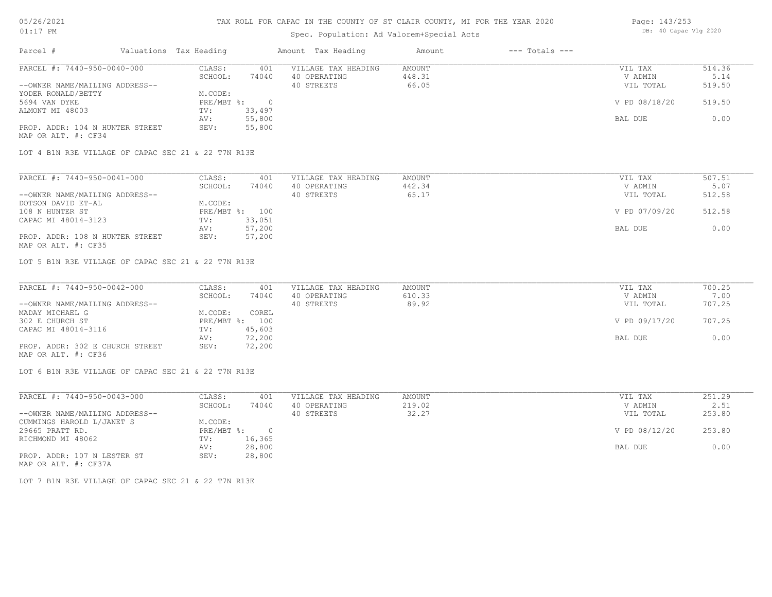# 05/26/2021 01:17 PM

## TAX ROLL FOR CAPAC IN THE COUNTY OF ST CLAIR COUNTY, MI FOR THE YEAR 2020

# Spec. Population: Ad Valorem+Special Acts

| Parcel #                        | Valuations Tax Heading |        | Amount Tax Heading  | Amount | $---$ Totals $---$ |               |        |
|---------------------------------|------------------------|--------|---------------------|--------|--------------------|---------------|--------|
| PARCEL #: 7440-950-0040-000     | CLASS:                 | 401    | VILLAGE TAX HEADING | AMOUNT |                    | VIL TAX       | 514.36 |
|                                 | SCHOOL:                | 74040  | 40 OPERATING        | 448.31 |                    | V ADMIN       | 5.14   |
| --OWNER NAME/MAILING ADDRESS--  |                        |        | 40 STREETS          | 66.05  |                    | VIL TOTAL     | 519.50 |
| YODER RONALD/BETTY              | M.CODE:                |        |                     |        |                    |               |        |
| 5694 VAN DYKE                   | $PRE/MBT$ %:           |        |                     |        |                    | V PD 08/18/20 | 519.50 |
| ALMONT MI 48003                 | TV:                    | 33,497 |                     |        |                    |               |        |
|                                 | AV:                    | 55,800 |                     |        |                    | BAL DUE       | 0.00   |
| PROP. ADDR: 104 N HUNTER STREET | SEV:                   | 55,800 |                     |        |                    |               |        |
|                                 |                        |        |                     |        |                    |               |        |

MAP OR ALT. #: CF34

LOT 4 B1N R3E VILLAGE OF CAPAC SEC 21 & 22 T7N R13E

| PARCEL #: 7440-950-0041-000     | CLASS:  | 401            | VILLAGE TAX HEADING | AMOUNT | VIL TAX       | 507.51 |
|---------------------------------|---------|----------------|---------------------|--------|---------------|--------|
|                                 | SCHOOL: | 74040          | 40 OPERATING        | 442.34 | V ADMIN       | 5.07   |
| --OWNER NAME/MAILING ADDRESS--  |         |                | 40 STREETS          | 65.17  | VIL TOTAL     | 512.58 |
| DOTSON DAVID ET-AL              | M.CODE: |                |                     |        |               |        |
| 108 N HUNTER ST                 |         | PRE/MBT %: 100 |                     |        | V PD 07/09/20 | 512.58 |
| CAPAC MI 48014-3123             | TV:     | 33,051         |                     |        |               |        |
|                                 | AV:     | 57,200         |                     |        | BAL DUE       | 0.00   |
| PROP. ADDR: 108 N HUNTER STREET | SEV:    | 57,200         |                     |        |               |        |
| MAP OR ALT. #: CF35             |         |                |                     |        |               |        |

LOT 5 B1N R3E VILLAGE OF CAPAC SEC 21 & 22 T7N R13E

| PARCEL #: 7440-950-0042-000     | CLASS:  | 401            | VILLAGE TAX HEADING | AMOUNT | VIL TAX       | 700.25 |
|---------------------------------|---------|----------------|---------------------|--------|---------------|--------|
|                                 | SCHOOL: | 74040          | 40 OPERATING        | 610.33 | V ADMIN       | 7.00   |
| --OWNER NAME/MAILING ADDRESS--  |         |                | 40 STREETS          | 89.92  | VIL TOTAL     | 707.25 |
| MADAY MICHAEL G                 | M.CODE: | COREL          |                     |        |               |        |
| 302 E CHURCH ST                 |         | PRE/MBT %: 100 |                     |        | V PD 09/17/20 | 707.25 |
| CAPAC MI 48014-3116             | TV:     | 45,603         |                     |        |               |        |
|                                 | AV:     | 72,200         |                     |        | BAL DUE       | 0.00   |
| PROP. ADDR: 302 E CHURCH STREET | SEV:    | 72,200         |                     |        |               |        |
| MAP OR ALT. #: CF36             |         |                |                     |        |               |        |

LOT 6 B1N R3E VILLAGE OF CAPAC SEC 21 & 22 T7N R13E

| PARCEL #: 7440-950-0043-000    | CLASS:     | 401    | VILLAGE TAX HEADING | AMOUNT | VIL TAX       | 251.29 |
|--------------------------------|------------|--------|---------------------|--------|---------------|--------|
|                                | SCHOOL:    | 74040  | 40 OPERATING        | 219.02 | V ADMIN       | 2.51   |
| --OWNER NAME/MAILING ADDRESS-- |            |        | 40 STREETS          | 32.27  | VIL TOTAL     | 253.80 |
| CUMMINGS HAROLD L/JANET S      | M.CODE:    |        |                     |        |               |        |
| 29665 PRATT RD.                | PRE/MBT %: |        |                     |        | V PD 08/12/20 | 253.80 |
| RICHMOND MI 48062              | TV:        | 16,365 |                     |        |               |        |
|                                | AV:        | 28,800 |                     |        | BAL DUE       | 0.00   |
| PROP. ADDR: 107 N LESTER ST    | SEV:       | 28,800 |                     |        |               |        |
| MAP OR ALT. #: CF37A           |            |        |                     |        |               |        |

LOT 7 B1N R3E VILLAGE OF CAPAC SEC 21 & 22 T7N R13E

Page: 143/253 DB: 40 Capac Vlg 2020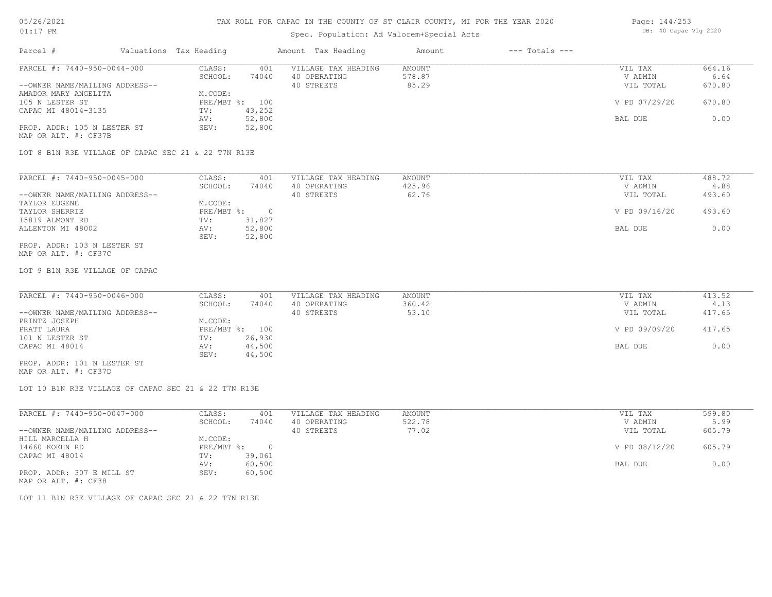# 05/26/2021 01:17 PM

# TAX ROLL FOR CAPAC IN THE COUNTY OF ST CLAIR COUNTY, MI FOR THE YEAR 2020

# Spec. Population: Ad Valorem+Special Acts

| Page: 144/253 |                       |  |
|---------------|-----------------------|--|
|               | DB: 40 Capac Vlg 2020 |  |

| Parcel #                                            | Valuations Tax Heading |                | Amount Tax Heading  | Amount | $---$ Totals $---$ |               |        |
|-----------------------------------------------------|------------------------|----------------|---------------------|--------|--------------------|---------------|--------|
| PARCEL #: 7440-950-0044-000                         | CLASS:                 | 401            | VILLAGE TAX HEADING | AMOUNT |                    | VIL TAX       | 664.16 |
|                                                     | SCHOOL:                | 74040          | 40 OPERATING        | 578.87 |                    | V ADMIN       | 6.64   |
| --OWNER NAME/MAILING ADDRESS--                      |                        |                | 40 STREETS          | 85.29  |                    | VIL TOTAL     | 670.80 |
| AMADOR MARY ANGELITA                                | M.CODE:                |                |                     |        |                    |               |        |
| 105 N LESTER ST                                     |                        | PRE/MBT %: 100 |                     |        |                    | V PD 07/29/20 | 670.80 |
| CAPAC MI 48014-3135                                 | TV:                    | 43,252         |                     |        |                    |               |        |
|                                                     | AV:                    | 52,800         |                     |        |                    | BAL DUE       | 0.00   |
| PROP. ADDR: 105 N LESTER ST<br>MAP OR ALT. #: CF37B | SEV:                   | 52,800         |                     |        |                    |               |        |
| LOT 8 B1N R3E VILLAGE OF CAPAC SEC 21 & 22 T7N R13E |                        |                |                     |        |                    |               |        |
| PARCEL #: 7440-950-0045-000                         | CLASS:                 | 401            | VILLAGE TAX HEADING | AMOUNT |                    | VIL TAX       | 488.72 |
|                                                     | SCHOOL:                | 74040          | 40 OPERATING        | 425.96 |                    | V ADMIN       | 4.88   |
| --OWNER NAME/MAILING ADDRESS--                      |                        |                | 40 STREETS          | 62.76  |                    | VIL TOTAL     | 493.60 |

| TAYLOR EUGENE     | M.CODE:      |          |               |        |
|-------------------|--------------|----------|---------------|--------|
| TAYLOR SHERRIE    | $PRE/MBT$ %: | $\Omega$ | V PD 09/16/20 | 493.60 |
| 15819 ALMONT RD   | TV:          | 31,827   |               |        |
| ALLENTON MI 48002 | AV:          | 52,800   | BAL DUE       | 0.00   |
|                   | SEV:         | 52,800   |               |        |
|                   |              |          |               |        |

MAP OR ALT. #: CF37C PROP. ADDR: 103 N LESTER ST

LOT 9 B1N R3E VILLAGE OF CAPAC

| PARCEL #: 7440-950-0046-000    | CLASS:  | 401            | VILLAGE TAX HEADING | AMOUNT | VIL TAX       | 413.52 |
|--------------------------------|---------|----------------|---------------------|--------|---------------|--------|
|                                | SCHOOL: | 74040          | 40 OPERATING        | 360.42 | V ADMIN       | 4.13   |
| --OWNER NAME/MAILING ADDRESS-- |         |                | 40 STREETS          | 53.10  | VIL TOTAL     | 417.65 |
| PRINTZ JOSEPH                  | M.CODE: |                |                     |        |               |        |
| PRATT LAURA                    |         | PRE/MBT %: 100 |                     |        | V PD 09/09/20 | 417.65 |
| 101 N LESTER ST                | TV:     | 26,930         |                     |        |               |        |
| CAPAC MI 48014                 | AV:     | 44,500         |                     |        | BAL DUE       | 0.00   |
|                                | SEV:    | 44,500         |                     |        |               |        |
| PROP. ADDR: 101 N LESTER ST    |         |                |                     |        |               |        |

MAP OR ALT. #: CF37D

LOT 10 B1N R3E VILLAGE OF CAPAC SEC 21 & 22 T7N R13E

| PARCEL #: 7440-950-0047-000    | CLASS:     | 401    | VILLAGE TAX HEADING | AMOUNT | VIL TAX       | 599.80 |
|--------------------------------|------------|--------|---------------------|--------|---------------|--------|
|                                | SCHOOL:    | 74040  | 40 OPERATING        | 522.78 | V ADMIN       | 5.99   |
| --OWNER NAME/MAILING ADDRESS-- |            |        | 40 STREETS          | 77.02  | VIL TOTAL     | 605.79 |
| HILL MARCELLA H                | M.CODE:    |        |                     |        |               |        |
| 14660 KOEHN RD                 | PRE/MBT %: | $\Box$ |                     |        | V PD 08/12/20 | 605.79 |
| CAPAC MI 48014                 | TV:        | 39,061 |                     |        |               |        |
|                                | AV:        | 60,500 |                     |        | BAL DUE       | 0.00   |
| PROP. ADDR: 307 E MILL ST      | SEV:       | 60,500 |                     |        |               |        |
|                                |            |        |                     |        |               |        |

MAP OR ALT. #: CF38

LOT 11 B1N R3E VILLAGE OF CAPAC SEC 21 & 22 T7N R13E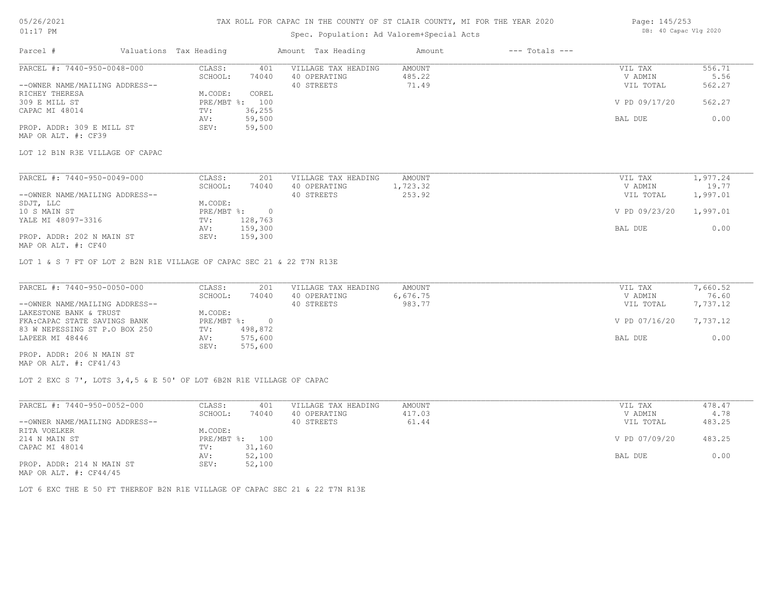#### TAX ROLL FOR CAPAC IN THE COUNTY OF ST CLAIR COUNTY, MI FOR THE YEAR 2020

## Spec. Population: Ad Valorem+Special Acts

| Page: 145/253 |                       |  |
|---------------|-----------------------|--|
|               | DB: 40 Capac Vlg 2020 |  |

| Parcel #                       | Valuations Tax Heading |        | Amount Tax Heading  | Amount | $---$ Totals $---$ |               |        |
|--------------------------------|------------------------|--------|---------------------|--------|--------------------|---------------|--------|
| PARCEL #: 7440-950-0048-000    | CLASS:                 | 401    | VILLAGE TAX HEADING | AMOUNT |                    | VIL TAX       | 556.71 |
|                                | SCHOOL:                | 74040  | 40 OPERATING        | 485.22 |                    | V ADMIN       | 5.56   |
| --OWNER NAME/MAILING ADDRESS-- |                        |        | 40 STREETS          | 71.49  |                    | VIL TOTAL     | 562.27 |
| RICHEY THERESA                 | M.CODE:                | COREL  |                     |        |                    |               |        |
| 309 E MILL ST                  | $PRE/MBT$ %:           | 100    |                     |        |                    | V PD 09/17/20 | 562.27 |
| CAPAC MI 48014                 | TV:                    | 36,255 |                     |        |                    |               |        |
|                                | AV:                    | 59,500 |                     |        |                    | BAL DUE       | 0.00   |
| PROP. ADDR: 309 E MILL ST      | SEV:                   | 59,500 |                     |        |                    |               |        |
| MAP OR ALT. #: CF39            |                        |        |                     |        |                    |               |        |

LOT 12 B1N R3E VILLAGE OF CAPAC

| PARCEL #: 7440-950-0049-000    | CLASS:     | 201     | VILLAGE TAX HEADING | AMOUNT   | VIL TAX       | 1,977.24 |
|--------------------------------|------------|---------|---------------------|----------|---------------|----------|
|                                | SCHOOL:    | 74040   | 40 OPERATING        | 1,723.32 | V ADMIN       | 19.77    |
| --OWNER NAME/MAILING ADDRESS-- |            |         | 40 STREETS          | 253.92   | VIL TOTAL     | 1,997.01 |
| SDJT, LLC                      | M.CODE:    |         |                     |          |               |          |
| 10 S MAIN ST                   | PRE/MBT %: |         |                     |          | V PD 09/23/20 | 1,997.01 |
| YALE MI 48097-3316             | TV:        | 128,763 |                     |          |               |          |
|                                | AV:        | 159,300 |                     |          | BAL DUE       | 0.00     |
| PROP. ADDR: 202 N MAIN ST      | SEV:       | 159,300 |                     |          |               |          |
|                                |            |         |                     |          |               |          |

MAP OR ALT. #: CF40

LOT 1 & S 7 FT OF LOT 2 B2N R1E VILLAGE OF CAPAC SEC 21 & 22 T7N R13E

| PARCEL #: 7440-950-0050-000    | CLASS:     | 201     | VILLAGE TAX HEADING | AMOUNT   | VIL TAX       | 7,660.52 |
|--------------------------------|------------|---------|---------------------|----------|---------------|----------|
|                                | SCHOOL:    | 74040   | 40 OPERATING        | 6,676.75 | V ADMIN       | 76.60    |
| --OWNER NAME/MAILING ADDRESS-- |            |         | 40 STREETS          | 983.77   | VIL TOTAL     | 7,737.12 |
| LAKESTONE BANK & TRUST         | M.CODE:    |         |                     |          |               |          |
| FKA: CAPAC STATE SAVINGS BANK  | PRE/MBT %: |         |                     |          | V PD 07/16/20 | 7,737.12 |
| 83 W NEPESSING ST P.O BOX 250  | TV:        | 498,872 |                     |          |               |          |
| LAPEER MI 48446                | AV:        | 575,600 |                     |          | BAL DUE       | 0.00     |
|                                | SEV:       | 575,600 |                     |          |               |          |
| PROP. ADDR: 206 N MAIN ST      |            |         |                     |          |               |          |

MAP OR ALT. #: CF41/43

LOT 2 EXC S 7', LOTS 3,4,5 & E 50' OF LOT 6B2N R1E VILLAGE OF CAPAC

| PARCEL #: 7440-950-0052-000    | CLASS:  | 401            | VILLAGE TAX HEADING | AMOUNT | VIL TAX       | 478.47 |
|--------------------------------|---------|----------------|---------------------|--------|---------------|--------|
|                                | SCHOOL: | 74040          | 40 OPERATING        | 417.03 | V ADMIN       | 4.78   |
| --OWNER NAME/MAILING ADDRESS-- |         |                | 40 STREETS          | 61.44  | VIL TOTAL     | 483.25 |
| RITA VOELKER                   | M.CODE: |                |                     |        |               |        |
| 214 N MAIN ST                  |         | PRE/MBT %: 100 |                     |        | V PD 07/09/20 | 483.25 |
| CAPAC MI 48014                 | TV:     | 31,160         |                     |        |               |        |
|                                | AV:     | 52,100         |                     |        | BAL DUE       | 0.00   |
| PROP. ADDR: 214 N MAIN ST      | SEV:    | 52,100         |                     |        |               |        |
| MAP OR ALT. $\#$ : CF44/45     |         |                |                     |        |               |        |

LOT 6 EXC THE E 50 FT THEREOF B2N R1E VILLAGE OF CAPAC SEC 21 & 22 T7N R13E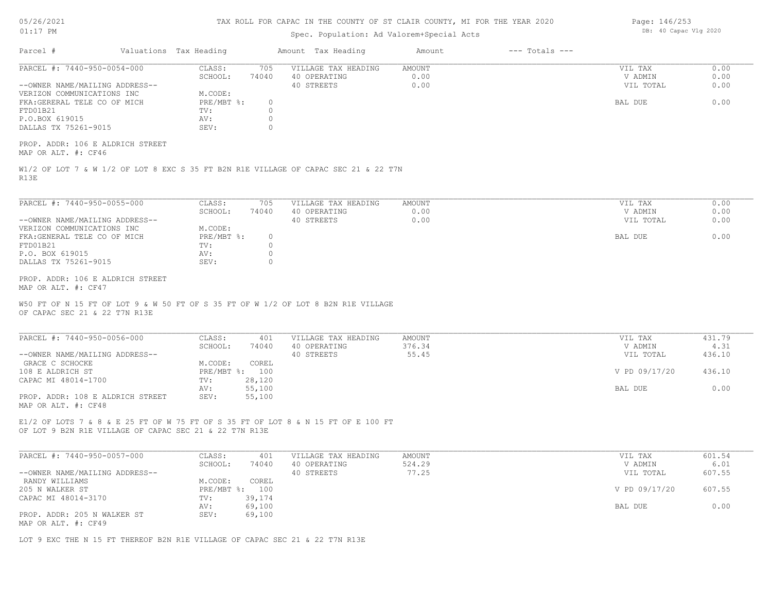| 05/26/2021 |    |
|------------|----|
| 01:17      | PМ |

# Spec. Population: Ad Valorem+Special Acts

| Parcel #                                                                                                                                    | Valuations Tax Heading |                | Amount Tax Heading                  | Amount           | $---$ Totals $---$ |                      |                |
|---------------------------------------------------------------------------------------------------------------------------------------------|------------------------|----------------|-------------------------------------|------------------|--------------------|----------------------|----------------|
| PARCEL #: 7440-950-0054-000                                                                                                                 | CLASS:<br>SCHOOL:      | 705<br>74040   | VILLAGE TAX HEADING<br>40 OPERATING | AMOUNT<br>0.00   |                    | VIL TAX<br>V ADMIN   | 0.00<br>0.00   |
| --OWNER NAME/MAILING ADDRESS--                                                                                                              |                        |                | 40 STREETS                          | 0.00             |                    | VIL TOTAL            | 0.00           |
| VERIZON COMMUNICATIONS INC<br>FKA: GERERAL TELE CO OF MICH                                                                                  | M.CODE:<br>PRE/MBT %:  | $\circ$        |                                     |                  |                    | BAL DUE              | 0.00           |
| FTD01B21                                                                                                                                    | TV:                    | $\Omega$       |                                     |                  |                    |                      |                |
| P.O.BOX 619015                                                                                                                              | AV:                    | $\circ$        |                                     |                  |                    |                      |                |
| DALLAS TX 75261-9015                                                                                                                        | SEV:                   | $\Omega$       |                                     |                  |                    |                      |                |
| PROP. ADDR: 106 E ALDRICH STREET<br>MAP OR ALT. #: CF46                                                                                     |                        |                |                                     |                  |                    |                      |                |
| W1/2 OF LOT 7 & W 1/2 OF LOT 8 EXC S 35 FT B2N R1E VILLAGE OF CAPAC SEC 21 & 22 T7N<br>R13E                                                 |                        |                |                                     |                  |                    |                      |                |
| PARCEL #: 7440-950-0055-000                                                                                                                 | CLASS:                 | 705            | VILLAGE TAX HEADING                 | AMOUNT           |                    | VIL TAX              | 0.00           |
|                                                                                                                                             | SCHOOL:                | 74040          | 40 OPERATING                        | 0.00             |                    | V ADMIN              | 0.00           |
| --OWNER NAME/MAILING ADDRESS--                                                                                                              |                        |                | 40 STREETS                          | 0.00             |                    | VIL TOTAL            | 0.00           |
| VERIZON COMMUNICATIONS INC                                                                                                                  | M.CODE:                |                |                                     |                  |                    |                      |                |
| FKA: GENERAL TELE CO OF MICH                                                                                                                | PRE/MBT %:             | $\circ$        |                                     |                  |                    | BAL DUE              | 0.00           |
| FTD01B21                                                                                                                                    | TV:                    | $\circ$        |                                     |                  |                    |                      |                |
| P.O. BOX 619015                                                                                                                             | AV:                    | $\circ$        |                                     |                  |                    |                      |                |
| DALLAS TX 75261-9015                                                                                                                        | SEV:                   | $\Omega$       |                                     |                  |                    |                      |                |
| PROP. ADDR: 106 E ALDRICH STREET<br>MAP OR ALT. #: CF47                                                                                     |                        |                |                                     |                  |                    |                      |                |
| W50 FT OF N 15 FT OF LOT 9 & W 50 FT OF S 35 FT OF W 1/2 OF LOT 8 B2N R1E VILLAGE<br>OF CAPAC SEC 21 & 22 T7N R13E                          |                        |                |                                     |                  |                    |                      |                |
| PARCEL #: 7440-950-0056-000                                                                                                                 | CLASS:<br>SCHOOL:      | 401<br>74040   | VILLAGE TAX HEADING<br>40 OPERATING | AMOUNT<br>376.34 |                    | VIL TAX<br>V ADMIN   | 431.79<br>4.31 |
| --OWNER NAME/MAILING ADDRESS--                                                                                                              |                        |                | 40 STREETS                          | 55.45            |                    | VIL TOTAL            | 436.10         |
| GRACE C SCHOCKE                                                                                                                             | M.CODE:                | COREL          |                                     |                  |                    |                      |                |
| 108 E ALDRICH ST                                                                                                                            |                        | PRE/MBT %: 100 |                                     |                  |                    | V PD 09/17/20        | 436.10         |
| CAPAC MI 48014-1700                                                                                                                         | TV:                    | 28,120         |                                     |                  |                    |                      |                |
|                                                                                                                                             | AV:                    | 55,100         |                                     |                  |                    | BAL DUE              | 0.00           |
| PROP. ADDR: 108 E ALDRICH STREET<br>MAP OR ALT. #: CF48                                                                                     | SEV:                   | 55,100         |                                     |                  |                    |                      |                |
| E1/2 OF LOTS 7 & 8 & E 25 FT OF W 75 FT OF S 35 FT OF LOT 8 & N 15 FT OF E 100 FT<br>OF LOT 9 B2N R1E VILLAGE OF CAPAC SEC 21 & 22 T7N R13E |                        |                |                                     |                  |                    |                      |                |
|                                                                                                                                             |                        |                |                                     |                  |                    |                      |                |
| PARCEL #: 7440-950-0057-000                                                                                                                 | CLASS:                 | 401            | VILLAGE TAX HEADING                 | <b>AMOUNT</b>    |                    | VIL TAX              | 601.54         |
| --OWNER NAME/MAILING ADDRESS--                                                                                                              | SCHOOL:                | 74040          | 40 OPERATING<br>40 STREETS          | 524.29<br>77.25  |                    | V ADMIN<br>VIL TOTAL | 6.01<br>607.55 |
| RANDY WILLIAMS                                                                                                                              | M.CODE:                | COREL          |                                     |                  |                    |                      |                |
| 205 N WALKER ST                                                                                                                             |                        | PRE/MBT %: 100 |                                     |                  |                    | V PD 09/17/20        | 607.55         |
| CAPAC MI 48014-3170                                                                                                                         | TV:                    | 39,174         |                                     |                  |                    |                      |                |
|                                                                                                                                             | AV:                    | 69,100         |                                     |                  |                    | BAL DUE              | 0.00           |
| PROP. ADDR: 205 N WALKER ST<br>MAP OR ALT. #: CF49                                                                                          | SEV:                   | 69,100         |                                     |                  |                    |                      |                |

LOT 9 EXC THE N 15 FT THEREOF B2N R1E VILLAGE OF CAPAC SEC 21 & 22 T7N R13E

Page: 146/253 DB: 40 Capac Vlg 2020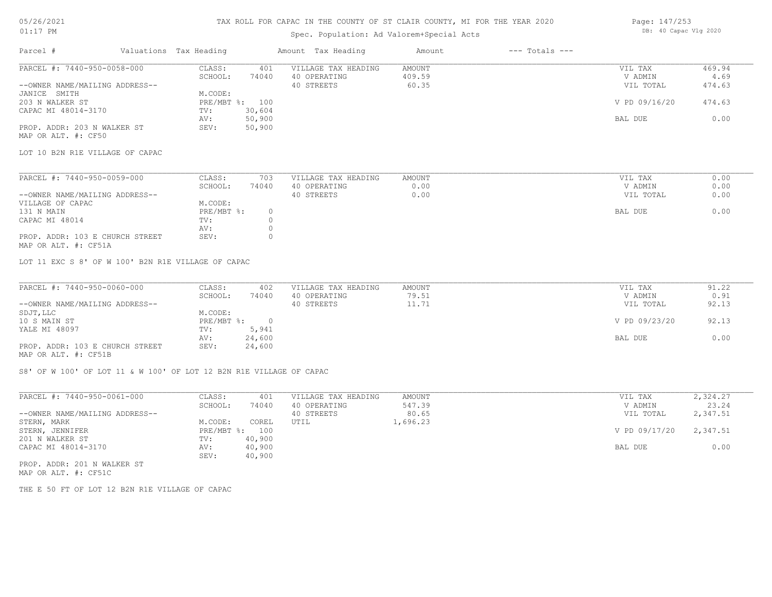#### TAX ROLL FOR CAPAC IN THE COUNTY OF ST CLAIR COUNTY, MI FOR THE YEAR 2020

## Spec. Population: Ad Valorem+Special Acts

| Page: 147/253 |                       |  |
|---------------|-----------------------|--|
|               | DB: 40 Capac Vlg 2020 |  |

| Parcel #                        | Valuations Tax Heading |                | Amount Tax Heading  | Amount | $---$ Totals $---$ |               |        |
|---------------------------------|------------------------|----------------|---------------------|--------|--------------------|---------------|--------|
| PARCEL #: 7440-950-0058-000     | CLASS:                 | 401            | VILLAGE TAX HEADING | AMOUNT |                    | VIL TAX       | 469.94 |
|                                 | SCHOOL:                | 74040          | 40 OPERATING        | 409.59 |                    | V ADMIN       | 4.69   |
| --OWNER NAME/MAILING ADDRESS--  |                        |                | 40 STREETS          | 60.35  |                    | VIL TOTAL     | 474.63 |
| JANICE SMITH                    | M.CODE:                |                |                     |        |                    |               |        |
| 203 N WALKER ST                 |                        | PRE/MBT %: 100 |                     |        |                    | V PD 09/16/20 | 474.63 |
| CAPAC MI 48014-3170             | TV:                    | 30,604         |                     |        |                    |               |        |
|                                 | AV:                    | 50,900         |                     |        |                    | BAL DUE       | 0.00   |
| PROP. ADDR: 203 N WALKER ST     | SEV:                   | 50,900         |                     |        |                    |               |        |
| MAP OR ALT. #: CF50             |                        |                |                     |        |                    |               |        |
| LOT 10 B2N R1E VILLAGE OF CAPAC |                        |                |                     |        |                    |               |        |
|                                 |                        |                |                     |        |                    |               |        |
| PARCEL #: 7440-950-0059-000     | CLASS:                 | 703            | VILLAGE TAX HEADING | AMOUNT |                    | VIL TAX       | 0.00   |
|                                 |                        |                |                     |        |                    |               |        |

| THROBB 1. 1110 200 0002 000     | ------     | $\sim$ |            | 2 22 2 V V 2 V 2 |           | $\circ \cdot \circ \circ$ |
|---------------------------------|------------|--------|------------|------------------|-----------|---------------------------|
|                                 | SCHOOL:    | 74040  | OPERATING  | 0.00             | V ADMIN   | 0.00                      |
| --OWNER NAME/MAILING ADDRESS--  |            |        | 40 STREETS | 0.00             | VIL TOTAL | 0.00                      |
| VILLAGE OF CAPAC                | M.CODE:    |        |            |                  |           |                           |
| 131 N MAIN                      | PRE/MBT %: |        |            |                  | BAL DUE   | 0.00                      |
| CAPAC MI 48014                  | TV:        |        |            |                  |           |                           |
|                                 | AV:        |        |            |                  |           |                           |
| PROP. ADDR: 103 E CHURCH STREET | SEV:       |        |            |                  |           |                           |
|                                 |            |        |            |                  |           |                           |

MAP OR ALT. #: CF51A

LOT 11 EXC S 8' OF W 100' B2N R1E VILLAGE OF CAPAC

| PARCEL #: 7440-950-0060-000     | CLASS:     | 402    | VILLAGE TAX HEADING | AMOUNT | VIL TAX       | 91.22 |
|---------------------------------|------------|--------|---------------------|--------|---------------|-------|
|                                 | SCHOOL:    | 74040  | 40 OPERATING        | 79.51  | V ADMIN       | 0.91  |
| --OWNER NAME/MAILING ADDRESS--  |            |        | 40 STREETS          | 11.71  | VIL TOTAL     | 92.13 |
| SDJT, LLC                       | M.CODE:    |        |                     |        |               |       |
| 10 S MAIN ST                    | PRE/MBT %: |        |                     |        | V PD 09/23/20 | 92.13 |
| YALE MI 48097                   | TV:        | 5,941  |                     |        |               |       |
|                                 | AV:        | 24,600 |                     |        | BAL DUE       | 0.00  |
| PROP. ADDR: 103 E CHURCH STREET | SEV:       | 24,600 |                     |        |               |       |
| MAP OR ALT. #: CF51B            |            |        |                     |        |               |       |

S8' OF W 100' OF LOT 11 & W 100' OF LOT 12 B2N R1E VILLAGE OF CAPAC

| PARCEL #: 7440-950-0061-000    | CLASS:       | 401    | VILLAGE TAX HEADING | AMOUNT   | VIL TAX       | 2,324.27 |
|--------------------------------|--------------|--------|---------------------|----------|---------------|----------|
|                                | SCHOOL:      | 74040  | 40 OPERATING        | 547.39   | V ADMIN       | 23.24    |
| --OWNER NAME/MAILING ADDRESS-- |              |        | 40 STREETS          | 80.65    | VIL TOTAL     | 2,347.51 |
| STERN, MARK                    | M.CODE:      | COREL  | UTIL                | l,696.23 |               |          |
| STERN, JENNIFER                | $PRE/MBT$ %: | 100    |                     |          | V PD 09/17/20 | 2,347.51 |
| 201 N WALKER ST                | TV:          | 40,900 |                     |          |               |          |
| CAPAC MI 48014-3170            | AV:          | 40,900 |                     |          | BAL DUE       | 0.00     |
|                                | SEV:         | 40,900 |                     |          |               |          |
| PROP. ADDR: 201 N WALKER ST    |              |        |                     |          |               |          |

MAP OR ALT. #: CF51C

THE E 50 FT OF LOT 12 B2N R1E VILLAGE OF CAPAC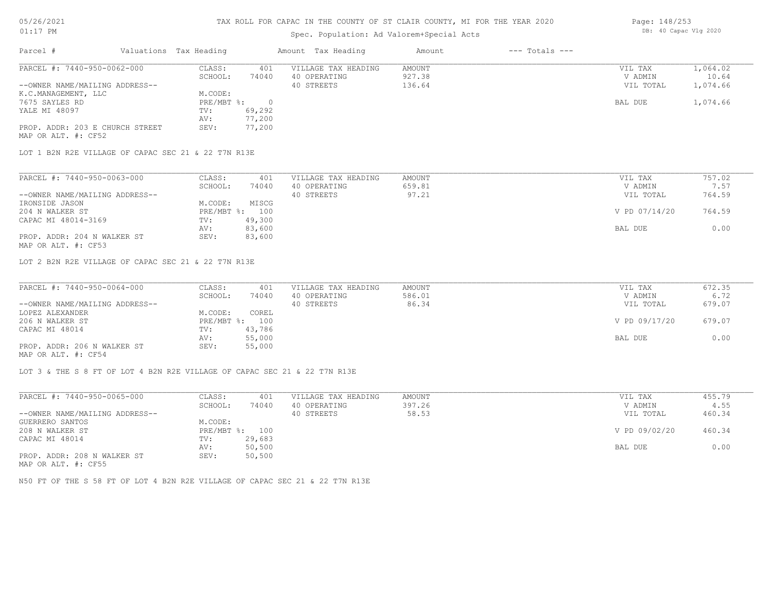## Spec. Population: Ad Valorem+Special Acts

| Page: 148/253 |                       |  |
|---------------|-----------------------|--|
|               | DB: 40 Capac Vlg 2020 |  |

| Parcel #                        | Valuations Tax Heading |        | Amount Tax Heading  | Amount | $---$ Totals $---$ |           |          |
|---------------------------------|------------------------|--------|---------------------|--------|--------------------|-----------|----------|
| PARCEL #: 7440-950-0062-000     | CLASS:                 | 401    | VILLAGE TAX HEADING | AMOUNT |                    | VIL TAX   | 1,064.02 |
|                                 | SCHOOL:                | 74040  | 40 OPERATING        | 927.38 |                    | V ADMIN   | 10.64    |
| --OWNER NAME/MAILING ADDRESS--  |                        |        | 40 STREETS          | 136.64 |                    | VIL TOTAL | 1,074.66 |
| K.C.MANAGEMENT, LLC             | M.CODE:                |        |                     |        |                    |           |          |
| 7675 SAYLES RD                  | $PRE/MBT$ %:           |        |                     |        |                    | BAL DUE   | 1,074.66 |
| YALE MI 48097                   | TV:                    | 69,292 |                     |        |                    |           |          |
|                                 | AV:                    | 77,200 |                     |        |                    |           |          |
| PROP. ADDR: 203 E CHURCH STREET | SEV:                   | 77,200 |                     |        |                    |           |          |
| MAP OR ALT. #: CF52             |                        |        |                     |        |                    |           |          |

LOT 1 B2N R2E VILLAGE OF CAPAC SEC 21 & 22 T7N R13E

| PARCEL #: 7440-950-0063-000    | CLASS:     | 401    | VILLAGE TAX HEADING | AMOUNT | VIL TAX       | 757.02 |
|--------------------------------|------------|--------|---------------------|--------|---------------|--------|
|                                | SCHOOL:    | 74040  | 40 OPERATING        | 659.81 | V ADMIN       | 7.57   |
| --OWNER NAME/MAILING ADDRESS-- |            |        | 40 STREETS          | 97.21  | VIL TOTAL     | 764.59 |
| IRONSIDE JASON                 | M.CODE:    | MISCG  |                     |        |               |        |
| 204 N WALKER ST                | PRE/MBT %: | 100    |                     |        | V PD 07/14/20 | 764.59 |
| CAPAC MI 48014-3169            | TV:        | 49,300 |                     |        |               |        |
|                                | AV:        | 83,600 |                     |        | BAL DUE       | 0.00   |
| PROP. ADDR: 204 N WALKER ST    | SEV:       | 83,600 |                     |        |               |        |
| MAP OR ALT. #: CF53            |            |        |                     |        |               |        |

LOT 2 B2N R2E VILLAGE OF CAPAC SEC 21 & 22 T7N R13E

| PARCEL #: 7440-950-0064-000                  | CLASS:     | 401    | VILLAGE TAX HEADING | AMOUNT | VIL TAX       | 672.35 |  |
|----------------------------------------------|------------|--------|---------------------|--------|---------------|--------|--|
|                                              | SCHOOL:    | 74040  | 40 OPERATING        | 586.01 | V ADMIN       | 6.72   |  |
| --OWNER NAME/MAILING ADDRESS--               |            |        | 40 STREETS          | 86.34  | VIL TOTAL     | 679.07 |  |
| LOPEZ ALEXANDER                              | M.CODE:    | COREL  |                     |        |               |        |  |
| 206 N WALKER ST                              | PRE/MBT %: | 100    |                     |        | V PD 09/17/20 | 679.07 |  |
| CAPAC MI 48014                               | TV:        | 43,786 |                     |        |               |        |  |
|                                              | AV:        | 55,000 |                     |        | BAL DUE       | 0.00   |  |
| PROP. ADDR: 206 N WALKER ST                  | SEV:       | 55,000 |                     |        |               |        |  |
| $\cdots$ $\cdots$ $\cdots$ $\cdots$ $\cdots$ |            |        |                     |        |               |        |  |

 $\mathcal{L}_\mathcal{L} = \mathcal{L}_\mathcal{L} = \mathcal{L}_\mathcal{L} = \mathcal{L}_\mathcal{L} = \mathcal{L}_\mathcal{L} = \mathcal{L}_\mathcal{L} = \mathcal{L}_\mathcal{L} = \mathcal{L}_\mathcal{L} = \mathcal{L}_\mathcal{L} = \mathcal{L}_\mathcal{L} = \mathcal{L}_\mathcal{L} = \mathcal{L}_\mathcal{L} = \mathcal{L}_\mathcal{L} = \mathcal{L}_\mathcal{L} = \mathcal{L}_\mathcal{L} = \mathcal{L}_\mathcal{L} = \mathcal{L}_\mathcal{L}$ 

MAP OR ALT. #: CF54

LOT 3 & THE S 8 FT OF LOT 4 B2N R2E VILLAGE OF CAPAC SEC 21 & 22 T7N R13E

| PARCEL #: 7440-950-0065-000                       | CLASS:       | 401    | VILLAGE TAX HEADING | AMOUNT | VIL TAX       | 455.79 |
|---------------------------------------------------|--------------|--------|---------------------|--------|---------------|--------|
|                                                   | SCHOOL:      | 74040  | 40 OPERATING        | 397.26 | V ADMIN       | 4.55   |
| --OWNER NAME/MAILING ADDRESS--                    |              |        | 40 STREETS          | 58.53  | VIL TOTAL     | 460.34 |
| GUERRERO SANTOS                                   | M.CODE:      |        |                     |        |               |        |
| 208 N WALKER ST                                   | $PRE/MBT$ %: | 100    |                     |        | V PD 09/02/20 | 460.34 |
| CAPAC MI 48014                                    | TV:          | 29,683 |                     |        |               |        |
|                                                   | AV:          | 50,500 |                     |        | BAL DUE       | 0.00   |
| PROP. ADDR: 208 N WALKER ST<br>MAD OD ATM 4. OBEE | SEV:         | 50,500 |                     |        |               |        |

MAP OR ALT. #: CF55

N50 FT OF THE S 58 FT OF LOT 4 B2N R2E VILLAGE OF CAPAC SEC 21 & 22 T7N R13E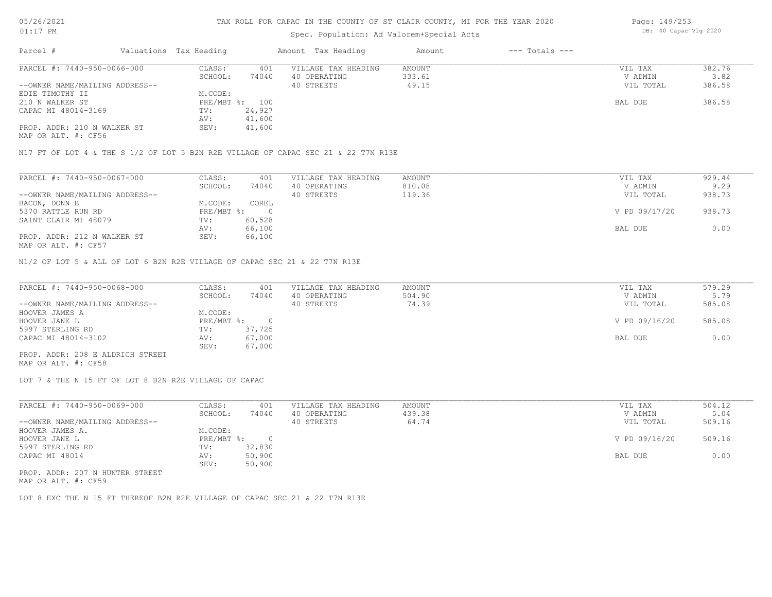# Spec. Population: Ad Valorem+Special Acts

| Page: 149/253 |                       |  |  |  |  |  |
|---------------|-----------------------|--|--|--|--|--|
|               | DB: 40 Capac Vlg 2020 |  |  |  |  |  |

| Parcel #                       | Valuations Tax Heading |        | Amount Tax Heading  | Amount | $---$ Totals $---$ |           |        |
|--------------------------------|------------------------|--------|---------------------|--------|--------------------|-----------|--------|
| PARCEL #: 7440-950-0066-000    | CLASS:                 | 401    | VILLAGE TAX HEADING | AMOUNT |                    | VIL TAX   | 382.76 |
|                                | SCHOOL:                | 74040  | 40 OPERATING        | 333.61 |                    | V ADMIN   | 3.82   |
| --OWNER NAME/MAILING ADDRESS-- |                        |        | 40 STREETS          | 49.15  |                    | VIL TOTAL | 386.58 |
| EDIE TIMOTHY II                | M.CODE:                |        |                     |        |                    |           |        |
| 210 N WALKER ST                | PRE/MBT %: 100         |        |                     |        |                    | BAL DUE   | 386.58 |
| CAPAC MI 48014-3169            | TV:                    | 24,927 |                     |        |                    |           |        |
|                                | AV:                    | 41,600 |                     |        |                    |           |        |
| PROP. ADDR: 210 N WALKER ST    | SEV:                   | 41,600 |                     |        |                    |           |        |
|                                |                        |        |                     |        |                    |           |        |

MAP OR ALT. #: CF56

N17 FT OF LOT 4 & THE S 1/2 OF LOT 5 B2N R2E VILLAGE OF CAPAC SEC 21 & 22 T7N R13E

| PARCEL #: 7440-950-0067-000    | CLASS:     | 401    | VILLAGE TAX HEADING | AMOUNT | VIL TAX       | 929.44 |
|--------------------------------|------------|--------|---------------------|--------|---------------|--------|
|                                | SCHOOL:    | 74040  | 40 OPERATING        | 810.08 | V ADMIN       | 9.29   |
| --OWNER NAME/MAILING ADDRESS-- |            |        | 40 STREETS          | 119.36 | VIL TOTAL     | 938.73 |
| BACON, DONN B                  | M.CODE:    | COREL  |                     |        |               |        |
| 5370 RATTLE RUN RD             | PRE/MBT %: |        |                     |        | V PD 09/17/20 | 938.73 |
| SAINT CLAIR MI 48079           | TV:        | 60,528 |                     |        |               |        |
|                                | AV:        | 66,100 |                     |        | BAL DUE       | 0.00   |
| PROP. ADDR: 212 N WALKER ST    | SEV:       | 66,100 |                     |        |               |        |
| MAP OR ALT. #: CF57            |            |        |                     |        |               |        |

N1/2 OF LOT 5 & ALL OF LOT 6 B2N R2E VILLAGE OF CAPAC SEC 21 & 22 T7N R13E

| PARCEL #: 7440-950-0068-000      | CLASS:     | 401    | VILLAGE TAX HEADING | AMOUNT | VIL TAX       | 579.29 |
|----------------------------------|------------|--------|---------------------|--------|---------------|--------|
|                                  | SCHOOL:    | 74040  | 40 OPERATING        | 504.90 | V ADMIN       | 5.79   |
| --OWNER NAME/MAILING ADDRESS--   |            |        | 40 STREETS          | 74.39  | VIL TOTAL     | 585.08 |
| HOOVER JAMES A                   | M.CODE:    |        |                     |        |               |        |
| HOOVER JANE L                    | PRE/MBT %: |        |                     |        | V PD 09/16/20 | 585.08 |
| 5997 STERLING RD                 | TV:        | 37,725 |                     |        |               |        |
| CAPAC MI 48014-3102              | AV:        | 67,000 |                     |        | BAL DUE       | 0.00   |
|                                  | SEV:       | 67,000 |                     |        |               |        |
| PROP. ADDR: 208 E ALDRICH STREET |            |        |                     |        |               |        |

MAP OR ALT. #: CF58

LOT 7 & THE N 15 FT OF LOT 8 B2N R2E VILLAGE OF CAPAC

| PARCEL #: 7440-950-0069-000     | CLASS:     | 401    | VILLAGE TAX HEADING | AMOUNT | VIL TAX       | 504.12 |
|---------------------------------|------------|--------|---------------------|--------|---------------|--------|
|                                 | SCHOOL:    | 74040  | 40 OPERATING        | 439.38 | V ADMIN       | 5.04   |
| --OWNER NAME/MAILING ADDRESS--  |            |        | 40 STREETS          | 64.74  | VIL TOTAL     | 509.16 |
| HOOVER JAMES A.                 | M.CODE:    |        |                     |        |               |        |
| HOOVER JANE L                   | PRE/MBT %: |        |                     |        | V PD 09/16/20 | 509.16 |
| 5997 STERLING RD                | TV:        | 32,830 |                     |        |               |        |
| CAPAC MI 48014                  | AV:        | 50,900 |                     |        | BAL DUE       | 0.00   |
|                                 | SEV:       | 50,900 |                     |        |               |        |
| PROP. ADDR: 207 N HUNTER STREET |            |        |                     |        |               |        |

MAP OR ALT. #: CF59

LOT 8 EXC THE N 15 FT THEREOF B2N R2E VILLAGE OF CAPAC SEC 21 & 22 T7N R13E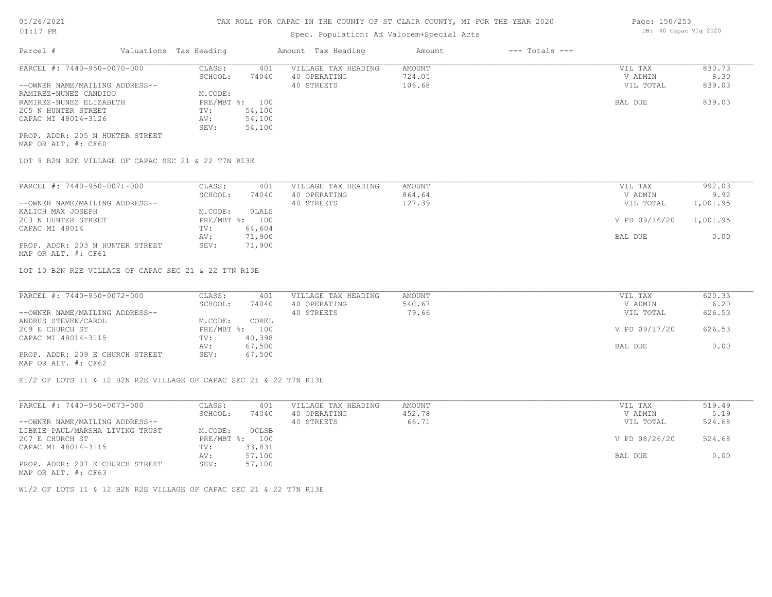## Spec. Population: Ad Valorem+Special Acts

| Parcel #                        | Valuations Tax Heading |        | Amount Tax Heading  | Amount | $---$ Totals $---$ |           |        |
|---------------------------------|------------------------|--------|---------------------|--------|--------------------|-----------|--------|
| PARCEL #: 7440-950-0070-000     | CLASS:                 | 401    | VILLAGE TAX HEADING | AMOUNT |                    | VIL TAX   | 830.73 |
|                                 | SCHOOL:                | 74040  | 40 OPERATING        | 724.05 |                    | V ADMIN   | 8.30   |
| --OWNER NAME/MAILING ADDRESS--  |                        |        | 40 STREETS          | 106.68 |                    | VIL TOTAL | 839.03 |
| RAMIREZ-NUNEZ CANDIDO           | M.CODE:                |        |                     |        |                    |           |        |
| RAMIREZ-NUNEZ ELIZABETH         | PRE/MBT %: 100         |        |                     |        |                    | BAL DUE   | 839.03 |
| 205 N HUNTER STREET             | TV:                    | 54,100 |                     |        |                    |           |        |
| CAPAC MI 48014-3126             | AV:                    | 54,100 |                     |        |                    |           |        |
|                                 | SEV:                   | 54,100 |                     |        |                    |           |        |
| PROP. ADDR: 205 N HUNTER STREET |                        |        |                     |        |                    |           |        |

MAP OR ALT. #: CF60

LOT 9 B2N R2E VILLAGE OF CAPAC SEC 21 & 22 T7N R13E

| PARCEL #: 7440-950-0071-000     | CLASS:  | 401            | VILLAGE TAX HEADING | AMOUNT | VIL TAX                | 992.03   |
|---------------------------------|---------|----------------|---------------------|--------|------------------------|----------|
|                                 | SCHOOL: | 74040          | 40 OPERATING        | 864.64 | V ADMIN                | 9.92     |
| --OWNER NAME/MAILING ADDRESS--  |         |                | 40 STREETS          | 127.39 | VIL TOTAL              | 1,001.95 |
| KALICH MAX JOSEPH               | M.CODE: | OLALS          |                     |        |                        |          |
| 203 N HUNTER STREET             |         | PRE/MBT %: 100 |                     |        | V PD 09/16/20 1,001.95 |          |
| CAPAC MI 48014                  | TV:     | 64,604         |                     |        |                        |          |
|                                 | AV:     | 71,900         |                     |        | BAL DUE                | 0.00     |
| PROP. ADDR: 203 N HUNTER STREET | SEV:    | 71,900         |                     |        |                        |          |
| MAP OR ALT. #: CF61             |         |                |                     |        |                        |          |

LOT 10 B2N R2E VILLAGE OF CAPAC SEC 21 & 22 T7N R13E

| PARCEL #: 7440-950-0072-000     | CLASS:  | 401            | VILLAGE TAX HEADING | AMOUNT | VIL TAX       | 620.33 |
|---------------------------------|---------|----------------|---------------------|--------|---------------|--------|
|                                 | SCHOOL: | 74040          | 40 OPERATING        | 540.67 | V ADMIN       | 6.20   |
| --OWNER NAME/MAILING ADDRESS--  |         |                | 40 STREETS          | 79.66  | VIL TOTAL     | 626.53 |
| ANDRUS STEVEN/CAROL             | M.CODE: | COREL          |                     |        |               |        |
| 209 E CHURCH ST                 |         | PRE/MBT %: 100 |                     |        | V PD 09/17/20 | 626.53 |
| CAPAC MI 48014-3115             | TV:     | 40,398         |                     |        |               |        |
|                                 | AV:     | 67,500         |                     |        | BAL DUE       | 0.00   |
| PROP. ADDR: 209 E CHURCH STREET | SEV:    | 67,500         |                     |        |               |        |
|                                 |         |                |                     |        |               |        |

MAP OR ALT. #: CF62

E1/2 OF LOTS 11 & 12 B2N R2E VILLAGE OF CAPAC SEC 21 & 22 T7N R13E

| PARCEL #: 7440-950-0073-000     | CLASS:  | 401            | VILLAGE TAX HEADING | AMOUNT | VIL TAX       | 519.49 |
|---------------------------------|---------|----------------|---------------------|--------|---------------|--------|
|                                 | SCHOOL: | 74040          | 40 OPERATING        | 452.78 | V ADMIN       | 5.19   |
| --OWNER NAME/MAILING ADDRESS--  |         |                | 40 STREETS          | 66.71  | VIL TOTAL     | 524.68 |
| LIBKIE PAUL/MARSHA LIVING TRUST | M.CODE: | 00LSB          |                     |        |               |        |
| 207 E CHURCH ST                 |         | PRE/MBT %: 100 |                     |        | V PD 08/26/20 | 524.68 |
| CAPAC MI 48014-3115             | TV:     | 33,831         |                     |        |               |        |
|                                 | AV:     | 57,100         |                     |        | BAL DUE       | 0.00   |
| PROP. ADDR: 207 E CHURCH STREET | SEV:    | 57,100         |                     |        |               |        |
| MAP OR ALT. #: CF63             |         |                |                     |        |               |        |

W1/2 OF LOTS 11 & 12 B2N R2E VILLAGE OF CAPAC SEC 21 & 22 T7N R13E

Page: 150/253 DB: 40 Capac Vlg 2020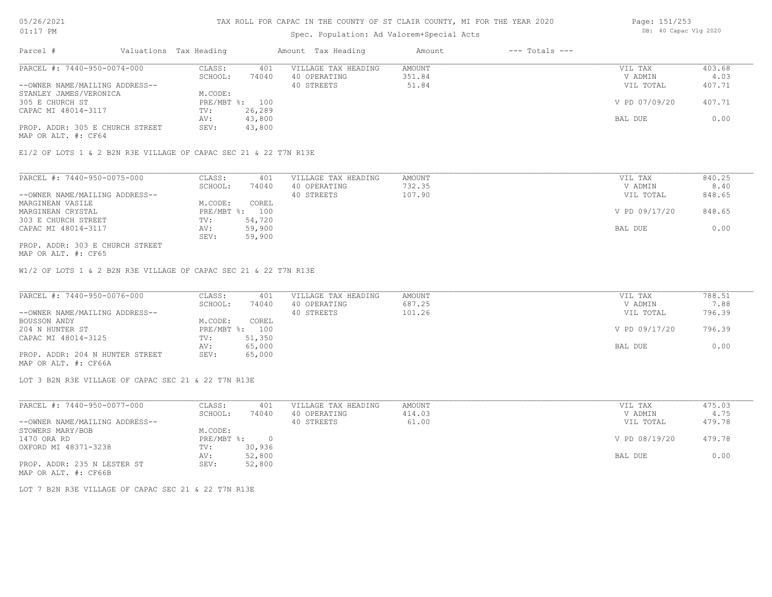#### Spec. Population: Ad Valorem+Special Acts

| Page: 151/253 |                       |  |  |  |  |  |
|---------------|-----------------------|--|--|--|--|--|
|               | DB: 40 Capac Vlg 2020 |  |  |  |  |  |

| Parcel #                        | Valuations Tax Heading |                | Amount Tax Heading  | Amount | $---$ Totals $---$ |               |        |
|---------------------------------|------------------------|----------------|---------------------|--------|--------------------|---------------|--------|
| PARCEL #: 7440-950-0074-000     | CLASS:                 | 401            | VILLAGE TAX HEADING | AMOUNT |                    | VIL TAX       | 403.68 |
|                                 | SCHOOL:                | 74040          | 40 OPERATING        | 351.84 |                    | V ADMIN       | 4.03   |
| --OWNER NAME/MAILING ADDRESS--  |                        |                | 40 STREETS          | 51.84  |                    | VIL TOTAL     | 407.71 |
| STANLEY JAMES/VERONICA          | M.CODE:                |                |                     |        |                    |               |        |
| 305 E CHURCH ST                 |                        | PRE/MBT %: 100 |                     |        |                    | V PD 07/09/20 | 407.71 |
| CAPAC MI 48014-3117             | TV:                    | 26,289         |                     |        |                    |               |        |
|                                 | AV:                    | 43,800         |                     |        |                    | BAL DUE       | 0.00   |
| PROP. ADDR: 305 E CHURCH STREET | SEV:                   | 43,800         |                     |        |                    |               |        |
|                                 |                        |                |                     |        |                    |               |        |

MAP OR ALT. #: CF64

E1/2 OF LOTS 1 & 2 B2N R3E VILLAGE OF CAPAC SEC 21 & 22 T7N R13E

| PARCEL #: 7440-950-0075-000     | CLASS:  | 401            | VILLAGE TAX HEADING | AMOUNT | VIL TAX       | 840.25 |
|---------------------------------|---------|----------------|---------------------|--------|---------------|--------|
|                                 | SCHOOL: | 74040          | 40 OPERATING        | 732.35 | V ADMIN       | 8.40   |
| --OWNER NAME/MAILING ADDRESS--  |         |                | 40 STREETS          | 107.90 | VIL TOTAL     | 848.65 |
| MARGINEAN VASILE                | M.CODE: | COREL          |                     |        |               |        |
| MARGINEAN CRYSTAL               |         | PRE/MBT %: 100 |                     |        | V PD 09/17/20 | 848.65 |
| 303 E CHURCH STREET             | TV:     | 54,720         |                     |        |               |        |
| CAPAC MI 48014-3117             | AV:     | 59,900         |                     |        | BAL DUE       | 0.00   |
|                                 | SEV:    | 59,900         |                     |        |               |        |
| PROP. ADDR: 303 E CHURCH STREET |         |                |                     |        |               |        |

MAP OR ALT. #: CF65

W1/2 OF LOTS 1 & 2 B2N R3E VILLAGE OF CAPAC SEC 21 & 22 T7N R13E

| PARCEL #: 7440-950-0076-000     | CLASS:  | 401            | VILLAGE TAX HEADING | AMOUNT | VIL TAX       | 788.51 |
|---------------------------------|---------|----------------|---------------------|--------|---------------|--------|
|                                 | SCHOOL: | 74040          | 40 OPERATING        | 687.25 | V ADMIN       | 7.88   |
| --OWNER NAME/MAILING ADDRESS--  |         |                | 40 STREETS          | 101.26 | VIL TOTAL     | 796.39 |
| BOUSSON ANDY                    | M.CODE: | COREL          |                     |        |               |        |
| 204 N HUNTER ST                 |         | PRE/MBT %: 100 |                     |        | V PD 09/17/20 | 796.39 |
| CAPAC MI 48014-3125             | TV:     | 51,350         |                     |        |               |        |
|                                 | AV:     | 65,000         |                     |        | BAL DUE       | 0.00   |
| PROP. ADDR: 204 N HUNTER STREET | SEV:    | 65,000         |                     |        |               |        |
| MAP OR ALT. #: CF66A            |         |                |                     |        |               |        |

LOT 3 B2N R3E VILLAGE OF CAPAC SEC 21 & 22 T7N R13E

| PARCEL #: 7440-950-0077-000    | CLASS:     | 401    | VILLAGE TAX HEADING | AMOUNT | VIL TAX       | 475.03 |
|--------------------------------|------------|--------|---------------------|--------|---------------|--------|
|                                | SCHOOL:    | 74040  | 40 OPERATING        | 414.03 | V ADMIN       | 4.75   |
| --OWNER NAME/MAILING ADDRESS-- |            |        | 40 STREETS          | 61.00  | VIL TOTAL     | 479.78 |
| STOWERS MARY/BOB               | M.CODE:    |        |                     |        |               |        |
| 1470 ORA RD                    | PRE/MBT %: |        |                     |        | V PD 08/19/20 | 479.78 |
| OXFORD MI 48371-3238           | TV:        | 30,936 |                     |        |               |        |
|                                | AV:        | 52,800 |                     |        | BAL DUE       | 0.00   |
| PROP. ADDR: 235 N LESTER ST    | SEV:       | 52,800 |                     |        |               |        |
| MAP OR ALT. #: CF66B           |            |        |                     |        |               |        |

LOT 7 B2N R3E VILLAGE OF CAPAC SEC 21 & 22 T7N R13E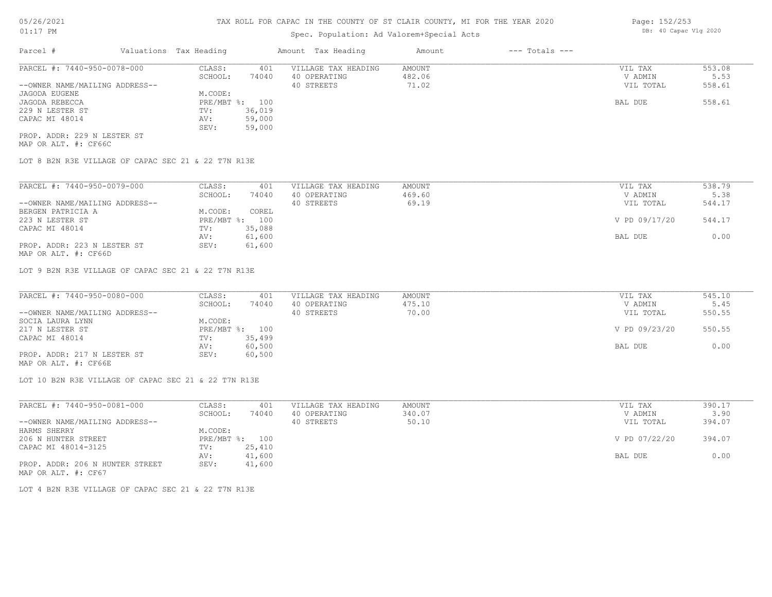## Spec. Population: Ad Valorem+Special Acts

| Parcel #                       | Valuations Tax Heading |        | Amount Tax Heading  | Amount | $---$ Totals $---$ |           |        |
|--------------------------------|------------------------|--------|---------------------|--------|--------------------|-----------|--------|
| PARCEL #: 7440-950-0078-000    | CLASS:                 | 401    | VILLAGE TAX HEADING | AMOUNT |                    | VIL TAX   | 553.08 |
|                                | SCHOOL:                | 74040  | 40 OPERATING        | 482.06 |                    | V ADMIN   | 5.53   |
| --OWNER NAME/MAILING ADDRESS-- |                        |        | 40 STREETS          | 71.02  |                    | VIL TOTAL | 558.61 |
| JAGODA EUGENE                  | M.CODE:                |        |                     |        |                    |           |        |
| JAGODA REBECCA                 | PRE/MBT %: 100         |        |                     |        |                    | BAL DUE   | 558.61 |
| 229 N LESTER ST                | TV:                    | 36,019 |                     |        |                    |           |        |
| CAPAC MI 48014                 | AV:                    | 59,000 |                     |        |                    |           |        |
|                                | SEV:                   | 59,000 |                     |        |                    |           |        |
| PROP. ADDR: 229 N LESTER ST    |                        |        |                     |        |                    |           |        |

MAP OR ALT. #: CF66C

LOT 8 B2N R3E VILLAGE OF CAPAC SEC 21 & 22 T7N R13E

| PARCEL #: 7440-950-0079-000    | CLASS:     | 401    | VILLAGE TAX HEADING | AMOUNT | VIL TAX       | 538.79 |
|--------------------------------|------------|--------|---------------------|--------|---------------|--------|
|                                | SCHOOL:    | 74040  | 40 OPERATING        | 469.60 | V ADMIN       | 5.38   |
| --OWNER NAME/MAILING ADDRESS-- |            |        | 40 STREETS          | 69.19  | VIL TOTAL     | 544.17 |
| BERGEN PATRICIA A              | M.CODE:    | COREL  |                     |        |               |        |
| 223 N LESTER ST                | PRE/MBT %: | 100    |                     |        | V PD 09/17/20 | 544.17 |
| CAPAC MI 48014                 | TV:        | 35,088 |                     |        |               |        |
|                                | AV:        | 61,600 |                     |        | BAL DUE       | 0.00   |
| PROP. ADDR: 223 N LESTER ST    | SEV:       | 61,600 |                     |        |               |        |

MAP OR ALT. #: CF66D

LOT 9 B2N R3E VILLAGE OF CAPAC SEC 21 & 22 T7N R13E

| PARCEL #: 7440-950-0080-000    | CLASS:  | 401            | VILLAGE TAX HEADING | AMOUNT | VIL TAX       | 545.10 |
|--------------------------------|---------|----------------|---------------------|--------|---------------|--------|
|                                | SCHOOL: | 74040          | 40 OPERATING        | 475.10 | V ADMIN       | 5.45   |
| --OWNER NAME/MAILING ADDRESS-- |         |                | 40 STREETS          | 70.00  | VIL TOTAL     | 550.55 |
| SOCIA LAURA LYNN               | M.CODE: |                |                     |        |               |        |
| 217 N LESTER ST                |         | PRE/MBT %: 100 |                     |        | V PD 09/23/20 | 550.55 |
| CAPAC MI 48014                 | TV:     | 35,499         |                     |        |               |        |
|                                | AV:     | 60,500         |                     |        | BAL DUE       | 0.00   |
| PROP. ADDR: 217 N LESTER ST    | SEV:    | 60,500         |                     |        |               |        |
|                                |         |                |                     |        |               |        |

MAP OR ALT. #: CF66E

LOT 10 B2N R3E VILLAGE OF CAPAC SEC 21 & 22 T7N R13E

| PARCEL #: 7440-950-0081-000     | CLASS:  | 401            | VILLAGE TAX HEADING | AMOUNT | VIL TAX       | 390.17 |
|---------------------------------|---------|----------------|---------------------|--------|---------------|--------|
|                                 | SCHOOL: | 74040          | 40 OPERATING        | 340.07 | V ADMIN       | 3.90   |
| --OWNER NAME/MAILING ADDRESS--  |         |                | 40 STREETS          | 50.10  | VIL TOTAL     | 394.07 |
| HARMS SHERRY                    | M.CODE: |                |                     |        |               |        |
| 206 N HUNTER STREET             |         | PRE/MBT %: 100 |                     |        | V PD 07/22/20 | 394.07 |
| CAPAC MI 48014-3125             | TV:     | 25,410         |                     |        |               |        |
|                                 | AV:     | 41,600         |                     |        | BAL DUE       | 0.00   |
| PROP. ADDR: 206 N HUNTER STREET | SEV:    | 41,600         |                     |        |               |        |
| MAP OR ALT. #: CF67             |         |                |                     |        |               |        |

LOT 4 B2N R3E VILLAGE OF CAPAC SEC 21 & 22 T7N R13E

Page: 152/253 DB: 40 Capac Vlg 2020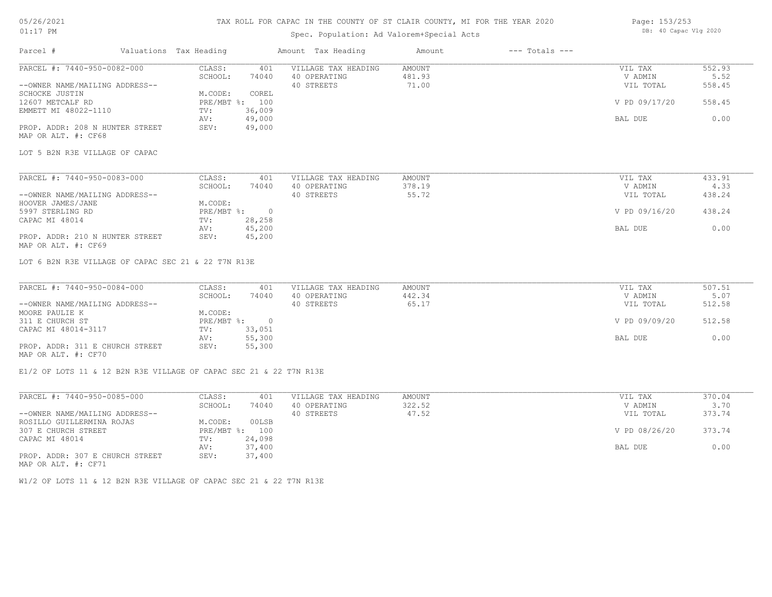#### TAX ROLL FOR CAPAC IN THE COUNTY OF ST CLAIR COUNTY, MI FOR THE YEAR 2020

## Spec. Population: Ad Valorem+Special Acts

| Page: 153/253 |                       |  |
|---------------|-----------------------|--|
|               | DB: 40 Capac Vlg 2020 |  |

| Parcel #                                                           | Valuations Tax Heading               |                | Amount Tax Heading                                | Amount                    | $---$ Totals $---$ |                                 |                          |
|--------------------------------------------------------------------|--------------------------------------|----------------|---------------------------------------------------|---------------------------|--------------------|---------------------------------|--------------------------|
| PARCEL #: 7440-950-0082-000<br>--OWNER NAME/MAILING ADDRESS--      | CLASS:<br>SCHOOL:                    | 401<br>74040   | VILLAGE TAX HEADING<br>40 OPERATING<br>40 STREETS | AMOUNT<br>481.93<br>71.00 |                    | VIL TAX<br>V ADMIN<br>VIL TOTAL | 552.93<br>5.52<br>558.45 |
| <b>SCHOCKE JUSTIN</b>                                              | M.CODE:                              | COREL          |                                                   |                           |                    |                                 |                          |
| 12607 METCALF RD                                                   | PRE/MBT %: 100                       |                |                                                   |                           |                    | V PD 09/17/20                   | 558.45                   |
| EMMETT MI 48022-1110                                               | TV:                                  | 36,009         |                                                   |                           |                    |                                 |                          |
|                                                                    | AV:                                  | 49,000         |                                                   |                           |                    | BAL DUE                         | 0.00                     |
| PROP. ADDR: 208 N HUNTER STREET<br>MAP OR ALT. #: CF68             | SEV:                                 | 49,000         |                                                   |                           |                    |                                 |                          |
| LOT 5 B2N R3E VILLAGE OF CAPAC                                     |                                      |                |                                                   |                           |                    |                                 |                          |
| PARCEL #: 7440-950-0083-000                                        | CLASS:                               | 401            | VILLAGE TAX HEADING                               | AMOUNT                    |                    | VIL TAX                         | 433.91                   |
|                                                                    | SCHOOL:                              | 74040          | 40 OPERATING                                      | 378.19                    |                    | V ADMIN                         | 4.33                     |
| --OWNER NAME/MAILING ADDRESS--                                     |                                      |                | 40 STREETS                                        | 55.72                     |                    | VIL TOTAL                       | 438.24                   |
| HOOVER JAMES/JANE                                                  | M.CODE:                              |                |                                                   |                           |                    |                                 |                          |
| 5997 STERLING RD                                                   | PRE/MBT %:                           | $\overline{0}$ |                                                   |                           |                    | V PD 09/16/20                   | 438.24                   |
| CAPAC MI 48014                                                     | TV:                                  | 28,258         |                                                   |                           |                    |                                 |                          |
|                                                                    | AV:                                  | 45,200         |                                                   |                           |                    | BAL DUE                         | 0.00                     |
| PROP. ADDR: 210 N HUNTER STREET<br>MAP OR ALT. #: CF69             | SEV:                                 | 45,200         |                                                   |                           |                    |                                 |                          |
| LOT 6 B2N R3E VILLAGE OF CAPAC SEC 21 & 22 T7N R13E                |                                      |                |                                                   |                           |                    |                                 |                          |
| PARCEL #: 7440-950-0084-000                                        | CLASS:                               | 401            | VILLAGE TAX HEADING                               | AMOUNT                    |                    | VIL TAX                         | 507.51                   |
|                                                                    | SCHOOL:                              | 74040          | 40 OPERATING                                      | 442.34                    |                    | V ADMIN                         | 5.07                     |
| --OWNER NAME/MAILING ADDRESS--                                     |                                      |                | 40 STREETS                                        | 65.17                     |                    | VIL TOTAL                       | 512.58                   |
| MOORE PAULIE K<br>311 E CHURCH ST                                  | M.CODE:<br>$PRE/MBT$ $\frac{1}{6}$ : | $\overline{0}$ |                                                   |                           |                    | V PD 09/09/20                   | 512.58                   |
| CAPAC MI 48014-3117                                                | TV:                                  | 33,051         |                                                   |                           |                    |                                 |                          |
|                                                                    | AV:                                  | 55,300         |                                                   |                           |                    | BAL DUE                         | 0.00                     |
| PROP. ADDR: 311 E CHURCH STREET<br>MAP OR ALT. #: CF70             | SEV:                                 | 55,300         |                                                   |                           |                    |                                 |                          |
| E1/2 OF LOTS 11 & 12 B2N R3E VILLAGE OF CAPAC SEC 21 & 22 T7N R13E |                                      |                |                                                   |                           |                    |                                 |                          |
| PARCEL #: 7440-950-0085-000                                        | CLASS:                               | 401            | VILLAGE TAX HEADING                               | AMOUNT                    |                    | VIL TAX                         | 370.04                   |
|                                                                    | SCHOOL:                              | 74040          | 40 OPERATING                                      | 322.52                    |                    | V ADMIN                         | 3.70                     |
| --OWNER NAME/MAILING ADDRESS--                                     |                                      |                | 40 STREETS                                        | 47.52                     |                    | VIL TOTAL                       | 373.74                   |
| ROSILLO GUILLERMINA ROJAS                                          | M.CODE:                              | 00LSB          |                                                   |                           |                    |                                 |                          |

PROP. ADDR: 307 E CHURCH STREET SEV: 37,400 AV: 37,400 BAL DUE 0.00 CAPAC MI 48014 TV: 24,098 307 E CHURCH STREET PRE/MBT %: 100 V PD 08/26/20 373.74

MAP OR ALT. #: CF71

W1/2 OF LOTS 11 & 12 B2N R3E VILLAGE OF CAPAC SEC 21 & 22 T7N R13E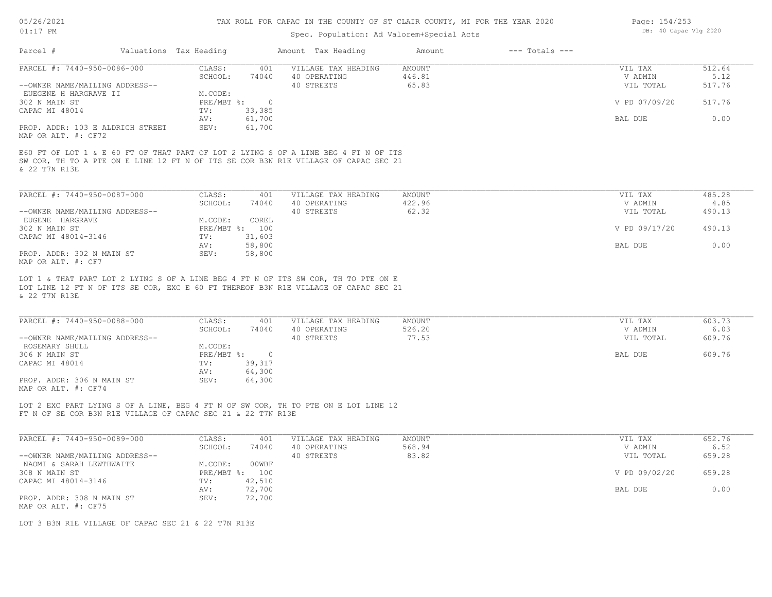# Spec. Population: Ad Valorem+Special Acts

| Page: 154/253         |  |
|-----------------------|--|
| DB: 40 Capac Vlg 2020 |  |

| Parcel #                                                     | Valuations Tax Heading |                |                | Amount Tax Heading                                                                                                                                                         | Amount        | $---$ Totals $---$ |               |        |
|--------------------------------------------------------------|------------------------|----------------|----------------|----------------------------------------------------------------------------------------------------------------------------------------------------------------------------|---------------|--------------------|---------------|--------|
| PARCEL #: 7440-950-0086-000                                  |                        | CLASS:         | 401            | VILLAGE TAX HEADING                                                                                                                                                        | <b>AMOUNT</b> |                    | VIL TAX       | 512.64 |
|                                                              |                        | SCHOOL:        | 74040          | 40 OPERATING                                                                                                                                                               | 446.81        |                    | V ADMIN       | 5.12   |
| --OWNER NAME/MAILING ADDRESS--                               |                        |                |                | 40 STREETS                                                                                                                                                                 | 65.83         |                    | VIL TOTAL     | 517.76 |
| EUEGENE H HARGRAVE II                                        |                        | M.CODE:        |                |                                                                                                                                                                            |               |                    |               |        |
| 302 N MAIN ST                                                |                        | PRE/MBT %:     | $\overline{0}$ |                                                                                                                                                                            |               |                    | V PD 07/09/20 | 517.76 |
| CAPAC MI 48014                                               |                        | TV:            | 33,385         |                                                                                                                                                                            |               |                    |               |        |
|                                                              |                        | AV:            | 61,700         |                                                                                                                                                                            |               |                    | BAL DUE       | 0.00   |
| PROP. ADDR: 103 E ALDRICH STREET<br>MAP OR ALT. #: CF72      |                        | SEV:           | 61,700         |                                                                                                                                                                            |               |                    |               |        |
| & 22 T7N R13E                                                |                        |                |                | E60 FT OF LOT 1 & E 60 FT OF THAT PART OF LOT 2 LYING S OF A LINE BEG 4 FT N OF ITS<br>SW COR, TH TO A PTE ON E LINE 12 FT N OF ITS SE COR B3N R1E VILLAGE OF CAPAC SEC 21 |               |                    |               |        |
| PARCEL #: 7440-950-0087-000                                  |                        | CLASS:         | 401            | VILLAGE TAX HEADING                                                                                                                                                        | AMOUNT        |                    | VIL TAX       | 485.28 |
|                                                              |                        | SCHOOL:        | 74040          | 40 OPERATING                                                                                                                                                               | 422.96        |                    | V ADMIN       | 4.85   |
| --OWNER NAME/MAILING ADDRESS--                               |                        |                |                | 40 STREETS                                                                                                                                                                 | 62.32         |                    | VIL TOTAL     | 490.13 |
| EUGENE HARGRAVE                                              |                        | M.CODE:        | COREL          |                                                                                                                                                                            |               |                    |               |        |
| 302 N MAIN ST                                                |                        | PRE/MBT %: 100 |                |                                                                                                                                                                            |               |                    | V PD 09/17/20 | 490.13 |
| CAPAC MI 48014-3146                                          |                        | TV:            | 31,603         |                                                                                                                                                                            |               |                    |               |        |
|                                                              |                        | AV:            | 58,800         |                                                                                                                                                                            |               |                    | BAL DUE       | 0.00   |
| PROP. ADDR: 302 N MAIN ST<br>MAP OR ALT. #: CF7              |                        | SEV:           | 58,800         |                                                                                                                                                                            |               |                    |               |        |
| & 22 T7N R13E                                                |                        |                |                | LOT 1 & THAT PART LOT 2 LYING S OF A LINE BEG 4 FT N OF ITS SW COR, TH TO PTE ON E<br>LOT LINE 12 FT N OF ITS SE COR, EXC E 60 FT THEREOF B3N R1E VILLAGE OF CAPAC SEC 21  |               |                    |               |        |
|                                                              |                        |                |                |                                                                                                                                                                            |               |                    |               |        |
| PARCEL #: 7440-950-0088-000                                  |                        | CLASS:         | 401            | VILLAGE TAX HEADING                                                                                                                                                        | AMOUNT        |                    | VIL TAX       | 603.73 |
|                                                              |                        | SCHOOL:        | 74040          | 40 OPERATING                                                                                                                                                               | 526.20        |                    | V ADMIN       | 6.03   |
| --OWNER NAME/MAILING ADDRESS--                               |                        |                |                | 40 STREETS                                                                                                                                                                 | 77.53         |                    | VIL TOTAL     | 609.76 |
| ROSEMARY SHULL                                               |                        | M.CODE:        |                |                                                                                                                                                                            |               |                    |               |        |
| 306 N MAIN ST                                                |                        | PRE/MBT %:     | $\overline{0}$ |                                                                                                                                                                            |               |                    | BAL DUE       | 609.76 |
| CAPAC MI 48014                                               |                        | TV:            | 39,317         |                                                                                                                                                                            |               |                    |               |        |
|                                                              |                        | AV:            | 64,300         |                                                                                                                                                                            |               |                    |               |        |
| PROP. ADDR: 306 N MAIN ST                                    |                        | SEV:           | 64,300         |                                                                                                                                                                            |               |                    |               |        |
| MAP OR ALT. #: CF74                                          |                        |                |                |                                                                                                                                                                            |               |                    |               |        |
|                                                              |                        |                |                |                                                                                                                                                                            |               |                    |               |        |
|                                                              |                        |                |                | LOT 2 EXC PART LYING S OF A LINE, BEG 4 FT N OF SW COR, TH TO PTE ON E LOT LINE 12                                                                                         |               |                    |               |        |
| FT N OF SE COR B3N R1E VILLAGE OF CAPAC SEC 21 & 22 T7N R13E |                        |                |                |                                                                                                                                                                            |               |                    |               |        |
|                                                              |                        |                |                |                                                                                                                                                                            |               |                    |               |        |

| PARCEL #: 7440-950-0089-000    | CLASS:     | 401    | VILLAGE TAX HEADING | AMOUNT | VIL TAX       | 652.76 |
|--------------------------------|------------|--------|---------------------|--------|---------------|--------|
|                                | SCHOOL:    | 74040  | 40 OPERATING        | 568.94 | V ADMIN       | 6.52   |
| --OWNER NAME/MAILING ADDRESS-- |            |        | 40 STREETS          | 83.82  | VIL TOTAL     | 659.28 |
| NAOMI & SARAH LEWTHWAITE       | M.CODE:    | 00WBF  |                     |        |               |        |
| 308 N MAIN ST                  | PRE/MBT %: | 100    |                     |        | V PD 09/02/20 | 659.28 |
| CAPAC MI 48014-3146            | TV:        | 42,510 |                     |        |               |        |
|                                | AV:        | 72,700 |                     |        | BAL DUE       | 0.00   |
| PROP. ADDR: 308 N MAIN ST      | SEV:       | 72,700 |                     |        |               |        |
| MAP OR ALT. #: CF75            |            |        |                     |        |               |        |

LOT 3 B3N R1E VILLAGE OF CAPAC SEC 21 & 22 T7N R13E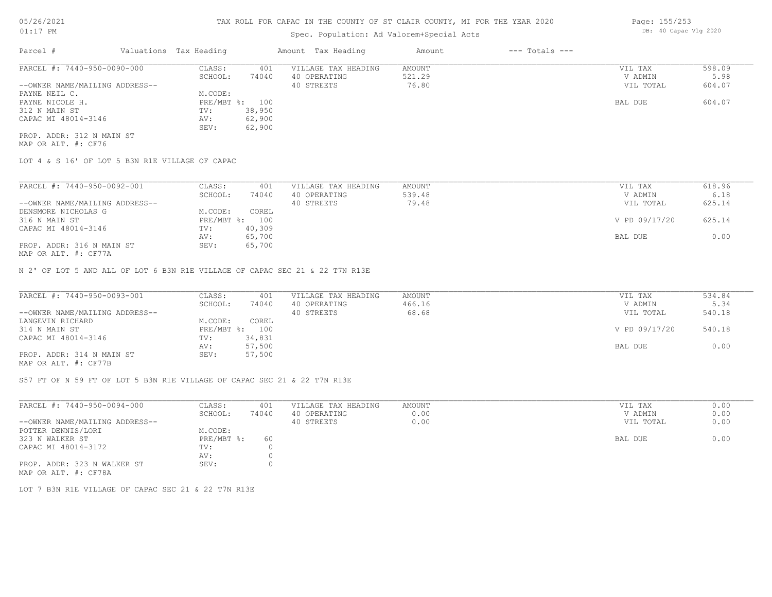## Spec. Population: Ad Valorem+Special Acts

| Parcel #                       | Valuations Tax Heading |        | Amount Tax Heading  | Amount | $---$ Totals $---$ |           |        |
|--------------------------------|------------------------|--------|---------------------|--------|--------------------|-----------|--------|
| PARCEL #: 7440-950-0090-000    | CLASS:                 | 401    | VILLAGE TAX HEADING | AMOUNT |                    | VIL TAX   | 598.09 |
|                                | SCHOOL:                | 74040  | 40 OPERATING        | 521.29 |                    | V ADMIN   | 5.98   |
| --OWNER NAME/MAILING ADDRESS-- |                        |        | 40 STREETS          | 76.80  |                    | VIL TOTAL | 604.07 |
| PAYNE NEIL C.                  | M.CODE:                |        |                     |        |                    |           |        |
| PAYNE NICOLE H.                | PRE/MBT %: 100         |        |                     |        |                    | BAL DUE   | 604.07 |
| 312 N MAIN ST                  | TV:                    | 38,950 |                     |        |                    |           |        |
| CAPAC MI 48014-3146            | AV:                    | 62,900 |                     |        |                    |           |        |
|                                | SEV:                   | 62,900 |                     |        |                    |           |        |
| PROP. ADDR: 312 N MAIN ST      |                        |        |                     |        |                    |           |        |

MAP OR ALT. #: CF76

LOT 4 & S 16' OF LOT 5 B3N R1E VILLAGE OF CAPAC

| PARCEL #: 7440-950-0092-001                               | CLASS:       | 401    | VILLAGE TAX HEADING | AMOUNT | VIL TAX       | 618.96 |
|-----------------------------------------------------------|--------------|--------|---------------------|--------|---------------|--------|
|                                                           | SCHOOL:      | 74040  | 40 OPERATING        | 539.48 | V ADMIN       | 6.18   |
| --OWNER NAME/MAILING ADDRESS--                            |              |        | 40 STREETS          | 79.48  | VIL TOTAL     | 625.14 |
| DENSMORE NICHOLAS G                                       | M.CODE:      | COREL  |                     |        |               |        |
| 316 N MAIN ST                                             | $PRE/MBT$ %: | 100    |                     |        | V PD 09/17/20 | 625.14 |
| CAPAC MI 48014-3146                                       | TV:          | 40,309 |                     |        |               |        |
|                                                           | AV:          | 65,700 |                     |        | BAL DUE       | 0.00   |
| PROP. ADDR: 316 N MAIN ST<br>$MAD$ $CD$ $ATH$ $L$ $CDT72$ | SEV:         | 65,700 |                     |        |               |        |

MAP OR ALT. #: CF77A

N 2' OF LOT 5 AND ALL OF LOT 6 B3N R1E VILLAGE OF CAPAC SEC 21 & 22 T7N R13E

| PARCEL #: 7440-950-0093-001                           | CLASS:  | 401            | VILLAGE TAX HEADING | AMOUNT | VIL TAX       | 534.84 |
|-------------------------------------------------------|---------|----------------|---------------------|--------|---------------|--------|
|                                                       | SCHOOL: | 74040          | 40 OPERATING        | 466.16 | V ADMIN       | 5.34   |
| --OWNER NAME/MAILING ADDRESS--                        |         |                | 40 STREETS          | 68.68  | VIL TOTAL     | 540.18 |
| LANGEVIN RICHARD                                      | M.CODE: | COREL          |                     |        |               |        |
| 314 N MAIN ST                                         |         | PRE/MBT %: 100 |                     |        | V PD 09/17/20 | 540.18 |
| CAPAC MI 48014-3146                                   | TV:     | 34,831         |                     |        |               |        |
|                                                       | AV:     | 57,500         |                     |        | BAL DUE       | 0.00   |
| PROP. ADDR: 314 N MAIN ST                             | SEV:    | 57,500         |                     |        |               |        |
| $\cdots$ $\cdots$ $\cdots$ $\cdots$ $\cdots$ $\cdots$ |         |                |                     |        |               |        |

MAP OR ALT. #: CF77B

S57 FT OF N 59 FT OF LOT 5 B3N R1E VILLAGE OF CAPAC SEC 21 & 22 T7N R13E

| PARCEL #: 7440-950-0094-000                         | CLASS:       | 401   | VILLAGE TAX HEADING | AMOUNT | VIL TAX   | 0.00 |
|-----------------------------------------------------|--------------|-------|---------------------|--------|-----------|------|
|                                                     | SCHOOL:      | 74040 | 40 OPERATING        | 0.00   | V ADMIN   | 0.00 |
| --OWNER NAME/MAILING ADDRESS--                      |              |       | 40 STREETS          | 0.00   | VIL TOTAL | 0.00 |
| POTTER DENNIS/LORI                                  | M.CODE:      |       |                     |        |           |      |
| 323 N WALKER ST                                     | $PRE/MBT$ %: | 60    |                     |        | BAL DUE   | 0.00 |
| CAPAC MI 48014-3172                                 | TV:          |       |                     |        |           |      |
|                                                     | AV:          |       |                     |        |           |      |
| PROP. ADDR: 323 N WALKER ST<br>MAP OR ALT. #: CF78A | SEV:         |       |                     |        |           |      |

LOT 7 B3N R1E VILLAGE OF CAPAC SEC 21 & 22 T7N R13E

Page: 155/253 DB: 40 Capac Vlg 2020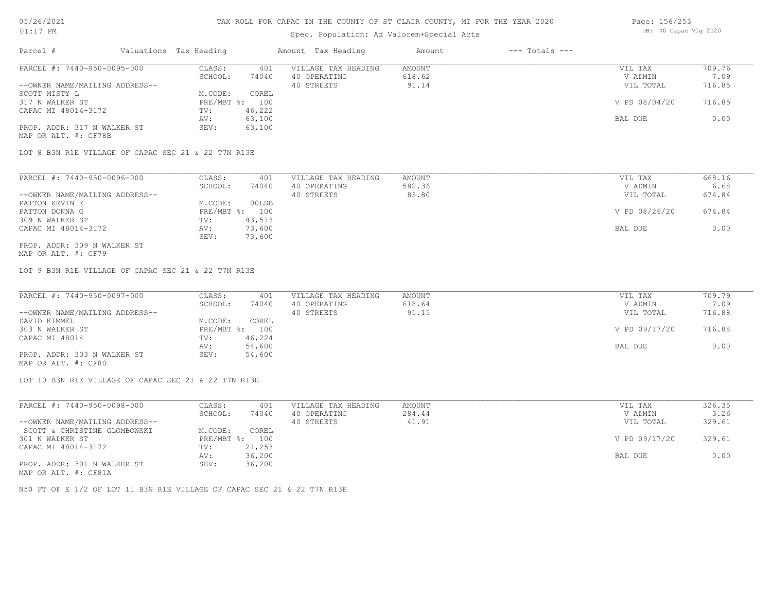## Spec. Population: Ad Valorem+Special Acts

|                                |                        |        | Opec. Loparacron. ha varolem opecial held |        |                    |               |        |
|--------------------------------|------------------------|--------|-------------------------------------------|--------|--------------------|---------------|--------|
| Parcel #                       | Valuations Tax Heading |        | Amount Tax Heading                        | Amount | $---$ Totals $---$ |               |        |
| PARCEL #: 7440-950-0095-000    | CLASS:                 | 401    | VILLAGE TAX HEADING                       | AMOUNT |                    | VIL TAX       | 709.76 |
|                                | SCHOOL:                | 74040  | 40 OPERATING                              | 618.62 |                    | V ADMIN       | 7.09   |
| --OWNER NAME/MAILING ADDRESS-- |                        |        | 40 STREETS                                | 91.14  |                    | VIL TOTAL     | 716.85 |
| SCOTT MISTY L                  | M.CODE:                | COREL  |                                           |        |                    |               |        |
| 317 N WALKER ST                | PRE/MBT %: 100         |        |                                           |        |                    | V PD 08/04/20 | 716.85 |
| CAPAC MI 48014-3172            | TV:                    | 46,222 |                                           |        |                    |               |        |
|                                | AV:                    | 63,100 |                                           |        |                    | BAL DUE       | 0.00   |

LOT 8 B3N R1E VILLAGE OF CAPAC SEC 21 & 22 T7N R13E

PROP. ADDR: 317 N WALKER ST SEV: 63,100

| PARCEL #: 7440-950-0096-000    | CLASS:  | 401            | VILLAGE TAX HEADING | AMOUNT | VIL TAX       | 668.16 |
|--------------------------------|---------|----------------|---------------------|--------|---------------|--------|
|                                | SCHOOL: | 74040          | 40 OPERATING        | 582.36 | V ADMIN       | 6.68   |
| --OWNER NAME/MAILING ADDRESS-- |         |                | 40 STREETS          | 85.80  | VIL TOTAL     | 674.84 |
| PATTON KEVIN E                 | M.CODE: | 00LSB          |                     |        |               |        |
| PATTON DONNA G                 |         | PRE/MBT %: 100 |                     |        | V PD 08/26/20 | 674.84 |
| 309 N WALKER ST                | TV:     | 43,513         |                     |        |               |        |
| CAPAC MI 48014-3172            | AV:     | 73,600         |                     |        | BAL DUE       | 0.00   |
|                                | SEV:    | 73,600         |                     |        |               |        |
| PROP. ADDR: 309 N WALKER ST    |         |                |                     |        |               |        |

AV: 63,100 BAL DUE 0.00

MAP OR ALT. #: CF79

MAP OR ALT. #: CF78B

LOT 9 B3N R1E VILLAGE OF CAPAC SEC 21 & 22 T7N R13E

| PARCEL #: 7440-950-0097-000    | CLASS:     | 401    | VILLAGE TAX HEADING | AMOUNT | VIL TAX       | 709.79 |
|--------------------------------|------------|--------|---------------------|--------|---------------|--------|
|                                | SCHOOL:    | 74040  | 40 OPERATING        | 618.64 | V ADMIN       | 7.09   |
| --OWNER NAME/MAILING ADDRESS-- |            |        | 40 STREETS          | 91.15  | VIL TOTAL     | 716.88 |
| DAVID KIMMEL                   | M.CODE:    | COREL  |                     |        |               |        |
| 303 N WALKER ST                | PRE/MBT %: | 100    |                     |        | V PD 09/17/20 | 716.88 |
| CAPAC MI 48014                 | TV:        | 46,224 |                     |        |               |        |
|                                | AV:        | 54,600 |                     |        | BAL DUE       | 0.00   |
| PROP. ADDR: 303 N WALKER ST    | SEV:       | 54,600 |                     |        |               |        |

MAP OR ALT. #: CF80

LOT 10 B3N R1E VILLAGE OF CAPAC SEC 21 & 22 T7N R13E

| PARCEL #: 7440-950-0098-000    | CLASS:     | 401    | VILLAGE TAX HEADING | AMOUNT | VIL TAX       | 326.35 |
|--------------------------------|------------|--------|---------------------|--------|---------------|--------|
|                                | SCHOOL:    | 74040  | 40 OPERATING        | 284.44 | V ADMIN       | 3.26   |
| --OWNER NAME/MAILING ADDRESS-- |            |        | 40 STREETS          | 41.91  | VIL TOTAL     | 329.61 |
| SCOTT & CHRISTINE GLOMBOWSKI   | M.CODE:    | COREL  |                     |        |               |        |
| 301 N WALKER ST                | PRE/MBT %: | 100    |                     |        | V PD 09/17/20 | 329.61 |
| CAPAC MI 48014-3172            | TV:        | 21,253 |                     |        |               |        |
|                                | AV:        | 36,200 |                     |        | BAL DUE       | 0.00   |
| PROP. ADDR: 301 N WALKER ST    | SEV:       | 36,200 |                     |        |               |        |
| MAP OR ALT. #: CF81A           |            |        |                     |        |               |        |

N50 FT OF E 1/2 OF LOT 11 B3N R1E VILLAGE OF CAPAC SEC 21 & 22 T7N R13E

Page: 156/253 DB: 40 Capac Vlg 2020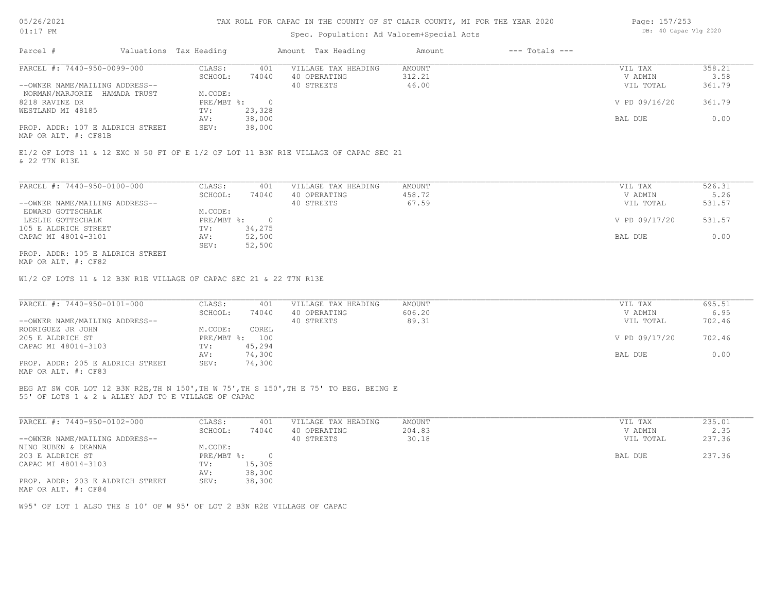## Spec. Population: Ad Valorem+Special Acts

| Page: 157/253 |                       |  |
|---------------|-----------------------|--|
|               | DB: 40 Capac Vlg 2020 |  |

| Parcel #                       |                                  | Valuations Tax Heading |        | Amount Tax Heading  | Amount | $---$ Totals $---$ |               |        |
|--------------------------------|----------------------------------|------------------------|--------|---------------------|--------|--------------------|---------------|--------|
| PARCEL #: 7440-950-0099-000    |                                  | CLASS:                 | 401    | VILLAGE TAX HEADING | AMOUNT |                    | VIL TAX       | 358.21 |
|                                |                                  | SCHOOL:                | 74040  | 40 OPERATING        | 312.21 |                    | V ADMIN       | 3.58   |
| --OWNER NAME/MAILING ADDRESS-- |                                  |                        |        | 40 STREETS          | 46.00  |                    | VIL TOTAL     | 361.79 |
| NORMAN/MARJORIE HAMADA TRUST   |                                  | M.CODE:                |        |                     |        |                    |               |        |
| 8218 RAVINE DR                 |                                  | $PRE/MBT$ %:           |        |                     |        |                    | V PD 09/16/20 | 361.79 |
| WESTLAND MI 48185              |                                  | TV:                    | 23,328 |                     |        |                    |               |        |
|                                |                                  | AV:                    | 38,000 |                     |        |                    | BAL DUE       | 0.00   |
|                                | PROP. ADDR: 107 E ALDRICH STREET | SEV:                   | 38,000 |                     |        |                    |               |        |
|                                |                                  |                        |        |                     |        |                    |               |        |

MAP OR ALT. #: CF81B

& 22 T7N R13E E1/2 OF LOTS 11 & 12 EXC N 50 FT OF E 1/2 OF LOT 11 B3N R1E VILLAGE OF CAPAC SEC 21

| PARCEL #: 7440-950-0100-000      | CLASS:     | 401    | VILLAGE TAX HEADING | AMOUNT | VIL TAX       | 526.31 |
|----------------------------------|------------|--------|---------------------|--------|---------------|--------|
|                                  | SCHOOL:    | 74040  | 40 OPERATING        | 458.72 | V ADMIN       | 5.26   |
| --OWNER NAME/MAILING ADDRESS--   |            |        | 40 STREETS          | 67.59  | VIL TOTAL     | 531.57 |
| EDWARD GOTTSCHALK                | M.CODE:    |        |                     |        |               |        |
| LESLIE GOTTSCHALK                | PRE/MBT %: |        |                     |        | V PD 09/17/20 | 531.57 |
| 105 E ALDRICH STREET             | TV:        | 34,275 |                     |        |               |        |
| CAPAC MI 48014-3101              | AV:        | 52,500 |                     |        | BAL DUE       | 0.00   |
|                                  | SEV:       | 52,500 |                     |        |               |        |
| PROP. ADDR: 105 E ALDRICH STREET |            |        |                     |        |               |        |

MAP OR ALT. #: CF82

W1/2 OF LOTS 11 & 12 B3N R1E VILLAGE OF CAPAC SEC 21 & 22 T7N R13E

| PARCEL #: 7440-950-0101-000      | CLASS:     | 401    | VILLAGE TAX HEADING | AMOUNT | VIL TAX       | 695.51 |
|----------------------------------|------------|--------|---------------------|--------|---------------|--------|
|                                  | SCHOOL:    | 74040  | 40 OPERATING        | 606.20 | V ADMIN       | 6.95   |
| --OWNER NAME/MAILING ADDRESS--   |            |        | 40 STREETS          | 89.31  | VIL TOTAL     | 702.46 |
| RODRIGUEZ JR JOHN                | M.CODE:    | COREL  |                     |        |               |        |
| 205 E ALDRICH ST                 | PRE/MBT %: | 100    |                     |        | V PD 09/17/20 | 702.46 |
| CAPAC MI 48014-3103              | TV:        | 45,294 |                     |        |               |        |
|                                  | AV:        | 74,300 |                     |        | BAL DUE       | 0.00   |
| PROP. ADDR: 205 E ALDRICH STREET | SEV:       | 74,300 |                     |        |               |        |
| ---- -- --- " ----               |            |        |                     |        |               |        |

MAP OR ALT. #: CF83

55' OF LOTS 1 & 2 & ALLEY ADJ TO E VILLAGE OF CAPAC BEG AT SW COR LOT 12 B3N R2E,TH N 150',TH W 75',TH S 150',TH E 75' TO BEG. BEING E

| PARCEL #: 7440-950-0102-000      | CLASS:     | 401      | VILLAGE TAX HEADING | AMOUNT | VIL TAX   | 235.01 |
|----------------------------------|------------|----------|---------------------|--------|-----------|--------|
|                                  | SCHOOL:    | 74040    | 40 OPERATING        | 204.83 | V ADMIN   | 2.35   |
| --OWNER NAME/MAILING ADDRESS--   |            |          | 40 STREETS          | 30.18  | VIL TOTAL | 237.36 |
| NINO RUBEN & DEANNA              | M.CODE:    |          |                     |        |           |        |
| 203 E ALDRICH ST                 | PRE/MBT %: | $\Omega$ |                     |        | BAL DUE   | 237.36 |
| CAPAC MI 48014-3103              | TV:        | 15,305   |                     |        |           |        |
|                                  | AV:        | 38,300   |                     |        |           |        |
| PROP. ADDR: 203 E ALDRICH STREET | SEV:       | 38,300   |                     |        |           |        |
| MAP OR ALT. #: CF84              |            |          |                     |        |           |        |

 $\mathcal{L}_\mathcal{L} = \mathcal{L}_\mathcal{L} = \mathcal{L}_\mathcal{L} = \mathcal{L}_\mathcal{L} = \mathcal{L}_\mathcal{L} = \mathcal{L}_\mathcal{L} = \mathcal{L}_\mathcal{L} = \mathcal{L}_\mathcal{L} = \mathcal{L}_\mathcal{L} = \mathcal{L}_\mathcal{L} = \mathcal{L}_\mathcal{L} = \mathcal{L}_\mathcal{L} = \mathcal{L}_\mathcal{L} = \mathcal{L}_\mathcal{L} = \mathcal{L}_\mathcal{L} = \mathcal{L}_\mathcal{L} = \mathcal{L}_\mathcal{L}$ 

W95' OF LOT 1 ALSO THE S 10' OF W 95' OF LOT 2 B3N R2E VILLAGE OF CAPAC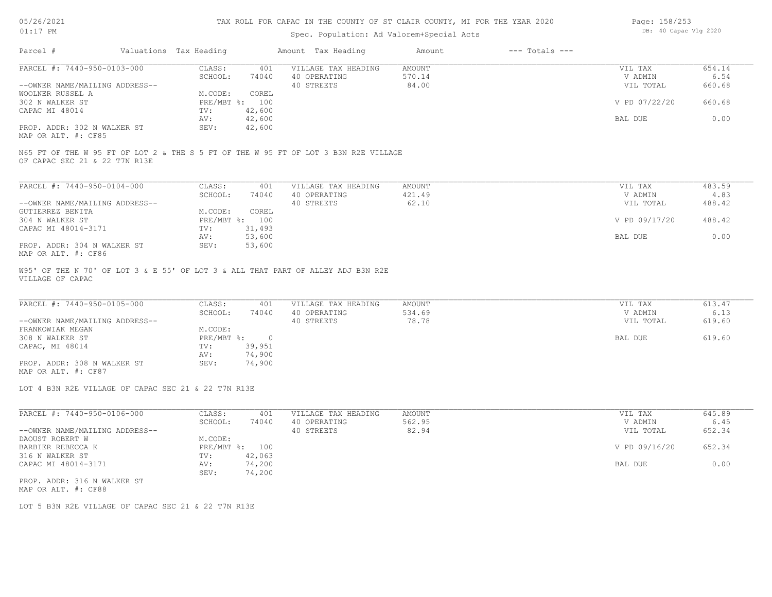## Spec. Population: Ad Valorem+Special Acts

| Page: 158/253 |                       |  |
|---------------|-----------------------|--|
|               | DB: 40 Capac Vlg 2020 |  |

| Parcel #                                           | Valuations Tax Heading |                | Amount Tax Heading  | Amount | $---$ Totals $---$ |               |        |
|----------------------------------------------------|------------------------|----------------|---------------------|--------|--------------------|---------------|--------|
| PARCEL #: 7440-950-0103-000                        | CLASS:                 | 401            | VILLAGE TAX HEADING | AMOUNT |                    | VIL TAX       | 654.14 |
|                                                    | SCHOOL:                | 74040          | 40 OPERATING        | 570.14 |                    | V ADMIN       | 6.54   |
| --OWNER NAME/MAILING ADDRESS--                     |                        |                | 40 STREETS          | 84.00  |                    | VIL TOTAL     | 660.68 |
| WOOLNER RUSSEL A                                   | M.CODE:                | COREL          |                     |        |                    |               |        |
| 302 N WALKER ST                                    |                        | PRE/MBT %: 100 |                     |        |                    | V PD 07/22/20 | 660.68 |
| CAPAC MI 48014                                     | TV:                    | 42,600         |                     |        |                    |               |        |
|                                                    | AV:                    | 42,600         |                     |        |                    | BAL DUE       | 0.00   |
| PROP. ADDR: 302 N WALKER ST<br>MAP OR ALT. #: CF85 | SEV:                   | 42,600         |                     |        |                    |               |        |

OF CAPAC SEC 21 & 22 T7N R13E N65 FT OF THE W 95 FT OF LOT 2 & THE S 5 FT OF THE W 95 FT OF LOT 3 B3N R2E VILLAGE

| PARCEL #: 7440-950-0104-000    | CLASS:       | 401    | VILLAGE TAX HEADING | AMOUNT | VIL TAX       | 483.59 |
|--------------------------------|--------------|--------|---------------------|--------|---------------|--------|
|                                | SCHOOL:      | 74040  | 40 OPERATING        | 421.49 | V ADMIN       | 4.83   |
| --OWNER NAME/MAILING ADDRESS-- |              |        | 40 STREETS          | 62.10  | VIL TOTAL     | 488.42 |
| GUTIERREZ BENITA               | M.CODE:      | COREL  |                     |        |               |        |
| 304 N WALKER ST                | $PRE/MBT$ %: | 100    |                     |        | V PD 09/17/20 | 488.42 |
| CAPAC MI 48014-3171            | TV:          | 31,493 |                     |        |               |        |
|                                | AV:          | 53,600 |                     |        | BAL DUE       | 0.00   |
| PROP. ADDR: 304 N WALKER ST    | SEV:         | 53,600 |                     |        |               |        |
| MAP OR ALT. #: CF86            |              |        |                     |        |               |        |

VILLAGE OF CAPAC W95' OF THE N 70' OF LOT 3 & E 55' OF LOT 3 & ALL THAT PART OF ALLEY ADJ B3N R2E

| PARCEL #: 7440-950-0105-000    | CLASS:     | 401    | VILLAGE TAX HEADING | AMOUNT | VIL TAX   | 613.47 |
|--------------------------------|------------|--------|---------------------|--------|-----------|--------|
|                                | SCHOOL:    | 74040  | 40 OPERATING        | 534.69 | V ADMIN   | 6.13   |
| --OWNER NAME/MAILING ADDRESS-- |            |        | 40 STREETS          | 78.78  | VIL TOTAL | 619.60 |
| FRANKOWIAK MEGAN               | M.CODE:    |        |                     |        |           |        |
| 308 N WALKER ST                | PRE/MBT %: |        |                     |        | BAL DUE   | 619.60 |
| CAPAC, MI 48014                | TV:        | 39,951 |                     |        |           |        |
|                                | AV:        | 74,900 |                     |        |           |        |
| PROP. ADDR: 308 N WALKER ST    | SEV:       | 74,900 |                     |        |           |        |
|                                |            |        |                     |        |           |        |

MAP OR ALT. #: CF87

LOT 4 B3N R2E VILLAGE OF CAPAC SEC 21 & 22 T7N R13E

| PARCEL #: 7440-950-0106-000    | CLASS:     | 401    | VILLAGE TAX HEADING | AMOUNT | 645.89<br>VIL TAX       |  |
|--------------------------------|------------|--------|---------------------|--------|-------------------------|--|
|                                | SCHOOL:    | 74040  | 40 OPERATING        | 562.95 | 6.45<br>V ADMIN         |  |
| --OWNER NAME/MAILING ADDRESS-- |            |        | 40 STREETS          | 82.94  | 652.34<br>VIL TOTAL     |  |
| DAOUST ROBERT W                | M.CODE:    |        |                     |        |                         |  |
| BARBIER REBECCA K              | PRE/MBT %: | 100    |                     |        | V PD 09/16/20<br>652.34 |  |
| 316 N WALKER ST                | TV:        | 42,063 |                     |        |                         |  |
| CAPAC MI 48014-3171            | AV:        | 74,200 |                     |        | 0.00<br>BAL DUE         |  |
|                                | SEV:       | 74,200 |                     |        |                         |  |
| PROP. ADDR: 316 N WALKER ST    |            |        |                     |        |                         |  |

MAP OR ALT. #: CF88

LOT 5 B3N R2E VILLAGE OF CAPAC SEC 21 & 22 T7N R13E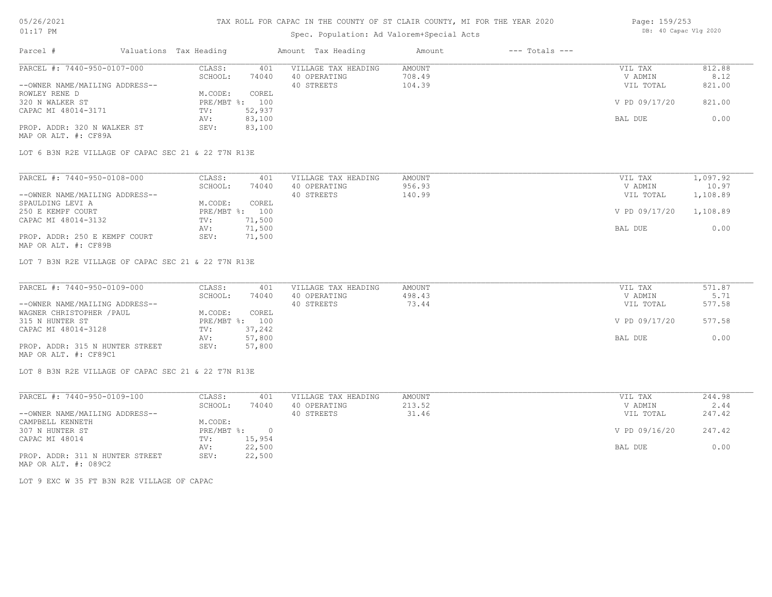#### Spec. Population: Ad Valorem+Special Acts

| Page: 159/253 |                       |  |
|---------------|-----------------------|--|
|               | DB: 40 Capac Vlg 2020 |  |

| Parcel #                       | Valuations Tax Heading |        | Amount Tax Heading  | Amount | $---$ Totals $---$ |               |        |
|--------------------------------|------------------------|--------|---------------------|--------|--------------------|---------------|--------|
| PARCEL #: 7440-950-0107-000    | CLASS:                 | 401    | VILLAGE TAX HEADING | AMOUNT |                    | VIL TAX       | 812.88 |
|                                | SCHOOL:                | 74040  | 40 OPERATING        | 708.49 |                    | V ADMIN       | 8.12   |
| --OWNER NAME/MAILING ADDRESS-- |                        |        | 40 STREETS          | 104.39 |                    | VIL TOTAL     | 821.00 |
| ROWLEY RENE D                  | M.CODE:                | COREL  |                     |        |                    |               |        |
| 320 N WALKER ST                | $PRE/MBT$ %:           | 100    |                     |        |                    | V PD 09/17/20 | 821.00 |
| CAPAC MI 48014-3171            | TV:                    | 52,937 |                     |        |                    |               |        |
|                                | AV:                    | 83,100 |                     |        |                    | BAL DUE       | 0.00   |
| PROP. ADDR: 320 N WALKER ST    | SEV:                   | 83,100 |                     |        |                    |               |        |
| MAP OR ALT. #: CF89A           |                        |        |                     |        |                    |               |        |

LOT 6 B3N R2E VILLAGE OF CAPAC SEC 21 & 22 T7N R13E

| PARCEL #: 7440-950-0108-000    | CLASS:     | 401    | VILLAGE TAX HEADING | AMOUNT | VIL TAX       | 1,097.92 |
|--------------------------------|------------|--------|---------------------|--------|---------------|----------|
|                                | SCHOOL:    | 74040  | 40 OPERATING        | 956.93 | V ADMIN       | 10.97    |
| --OWNER NAME/MAILING ADDRESS-- |            |        | 40 STREETS          | 140.99 | VIL TOTAL     | 1,108.89 |
| SPAULDING LEVI A               | M.CODE:    | COREL  |                     |        |               |          |
| 250 E KEMPF COURT              | PRE/MBT %: | 100    |                     |        | V PD 09/17/20 | 1,108.89 |
| CAPAC MI 48014-3132            | TV:        | 71,500 |                     |        |               |          |
|                                | AV:        | 71,500 |                     |        | BAL DUE       | 0.00     |
| PROP. ADDR: 250 E KEMPF COURT  | SEV:       | 71,500 |                     |        |               |          |
| MAP OR ALT. #: CF89B           |            |        |                     |        |               |          |

LOT 7 B3N R2E VILLAGE OF CAPAC SEC 21 & 22 T7N R13E

| PARCEL #: 7440-950-0109-000     | CLASS:  | 401            | VILLAGE TAX HEADING | AMOUNT | VIL TAX       | 571.87 |
|---------------------------------|---------|----------------|---------------------|--------|---------------|--------|
|                                 | SCHOOL: | 74040          | 40 OPERATING        | 498.43 | V ADMIN       | 5.71   |
| --OWNER NAME/MAILING ADDRESS--  |         |                | 40 STREETS          | 73.44  | VIL TOTAL     | 577.58 |
| WAGNER CHRISTOPHER / PAUL       | M.CODE: | COREL          |                     |        |               |        |
| 315 N HUNTER ST                 |         | PRE/MBT %: 100 |                     |        | V PD 09/17/20 | 577.58 |
| CAPAC MI 48014-3128             | TV:     | 37,242         |                     |        |               |        |
|                                 | AV:     | 57,800         |                     |        | BAL DUE       | 0.00   |
| PROP. ADDR: 315 N HUNTER STREET | SEV:    | 57,800         |                     |        |               |        |
| MAP OR ALT. #: CF89C1           |         |                |                     |        |               |        |

LOT 8 B3N R2E VILLAGE OF CAPAC SEC 21 & 22 T7N R13E

| PARCEL #: 7440-950-0109-100     | CLASS:     | 401    | VILLAGE TAX HEADING | AMOUNT | VIL TAX       | 244.98 |
|---------------------------------|------------|--------|---------------------|--------|---------------|--------|
|                                 | SCHOOL:    | 74040  | 40 OPERATING        | 213.52 | V ADMIN       | 2.44   |
| --OWNER NAME/MAILING ADDRESS--  |            |        | 40 STREETS          | 31.46  | VIL TOTAL     | 247.42 |
| CAMPBELL KENNETH                | M.CODE:    |        |                     |        |               |        |
| 307 N HUNTER ST                 | PRE/MBT %: | $\cap$ |                     |        | V PD 09/16/20 | 247.42 |
| CAPAC MI 48014                  | TV:        | 15,954 |                     |        |               |        |
|                                 | AV:        | 22,500 |                     |        | BAL DUE       | 0.00   |
| PROP. ADDR: 311 N HUNTER STREET | SEV:       | 22,500 |                     |        |               |        |

MAP OR ALT. #: 089C2

LOT 9 EXC W 35 FT B3N R2E VILLAGE OF CAPAC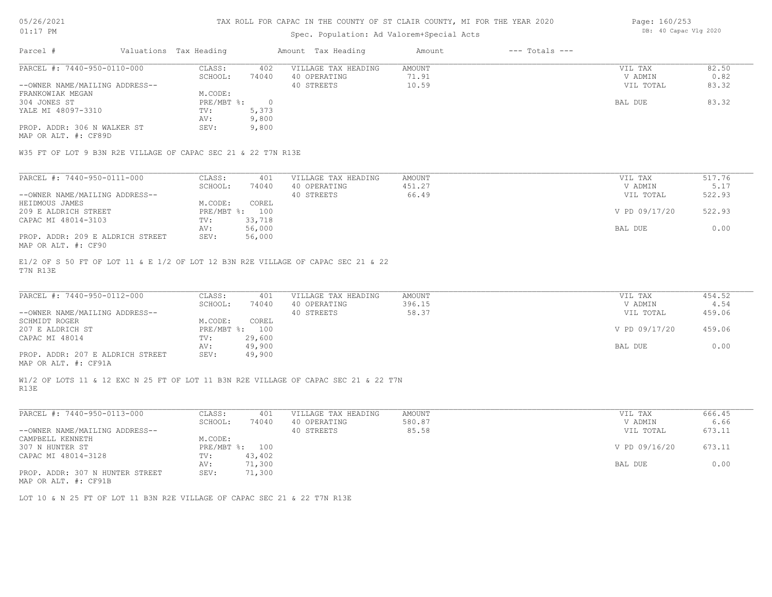#### TAX ROLL FOR CAPAC IN THE COUNTY OF ST CLAIR COUNTY, MI FOR THE YEAR 2020

#### Spec. Population: Ad Valorem+Special Acts

| Parcel #                       | Valuations Tax Heading |       | Amount Tax Heading  | Amount | $---$ Totals $---$ |           |       |
|--------------------------------|------------------------|-------|---------------------|--------|--------------------|-----------|-------|
| PARCEL #: 7440-950-0110-000    | CLASS:                 | 402   | VILLAGE TAX HEADING | AMOUNT |                    | VIL TAX   | 82.50 |
|                                | SCHOOL:                | 74040 | 40 OPERATING        | 71.91  |                    | V ADMIN   | 0.82  |
| --OWNER NAME/MAILING ADDRESS-- |                        |       | 40 STREETS          | 10.59  |                    | VIL TOTAL | 83.32 |
| FRANKOWIAK MEGAN               | M.CODE:                |       |                     |        |                    |           |       |
| 304 JONES ST                   | $PRE/MBT$ %:           |       |                     |        |                    | BAL DUE   | 83.32 |
| YALE MI 48097-3310             | TV:                    | 5,373 |                     |        |                    |           |       |
|                                | AV:                    | 9,800 |                     |        |                    |           |       |
| PROP. ADDR: 306 N WALKER ST    | SEV:                   | 9,800 |                     |        |                    |           |       |

MAP OR ALT. #: CF89D

W35 FT OF LOT 9 B3N R2E VILLAGE OF CAPAC SEC 21 & 22 T7N R13E

| PARCEL #: 7440-950-0111-000      | CLASS:       | 401    | VILLAGE TAX HEADING | AMOUNT | VIL TAX       | 517.76 |
|----------------------------------|--------------|--------|---------------------|--------|---------------|--------|
|                                  | SCHOOL:      | 74040  | 40 OPERATING        | 451.27 | V ADMIN       | 5.17   |
| --OWNER NAME/MAILING ADDRESS--   |              |        | 40 STREETS          | 66.49  | VIL TOTAL     | 522.93 |
| HEIDMOUS JAMES                   | M.CODE:      | COREL  |                     |        |               |        |
| 209 E ALDRICH STREET             | $PRE/MBT$ %: | 100    |                     |        | V PD 09/17/20 | 522.93 |
| CAPAC MI 48014-3103              | TV:          | 33,718 |                     |        |               |        |
|                                  | AV:          | 56,000 |                     |        | BAL DUE       | 0.00   |
| PROP. ADDR: 209 E ALDRICH STREET | SEV:         | 56,000 |                     |        |               |        |
| MAP OR ALT. #: CF90              |              |        |                     |        |               |        |

T7N R13E E1/2 OF S 50 FT OF LOT 11 & E 1/2 OF LOT 12 B3N R2E VILLAGE OF CAPAC SEC 21 & 22

| PARCEL #: 7440-950-0112-000      | CLASS:     | 401    | VILLAGE TAX HEADING | AMOUNT | VIL TAX       | 454.52 |
|----------------------------------|------------|--------|---------------------|--------|---------------|--------|
|                                  | SCHOOL:    | 74040  | 40 OPERATING        | 396.15 | V ADMIN       | 4.54   |
| --OWNER NAME/MAILING ADDRESS--   |            |        | 40 STREETS          | 58.37  | VIL TOTAL     | 459.06 |
| SCHMIDT ROGER                    | M.CODE:    | COREL  |                     |        |               |        |
| 207 E ALDRICH ST                 | PRE/MBT %: | 100    |                     |        | V PD 09/17/20 | 459.06 |
| CAPAC MI 48014                   | TV:        | 29,600 |                     |        |               |        |
|                                  | AV:        | 49,900 |                     |        | BAL DUE       | 0.00   |
| PROP. ADDR: 207 E ALDRICH STREET | SEV:       | 49,900 |                     |        |               |        |
|                                  |            |        |                     |        |               |        |

 $\mathcal{L}_\mathcal{L} = \mathcal{L}_\mathcal{L} = \mathcal{L}_\mathcal{L} = \mathcal{L}_\mathcal{L} = \mathcal{L}_\mathcal{L} = \mathcal{L}_\mathcal{L} = \mathcal{L}_\mathcal{L} = \mathcal{L}_\mathcal{L} = \mathcal{L}_\mathcal{L} = \mathcal{L}_\mathcal{L} = \mathcal{L}_\mathcal{L} = \mathcal{L}_\mathcal{L} = \mathcal{L}_\mathcal{L} = \mathcal{L}_\mathcal{L} = \mathcal{L}_\mathcal{L} = \mathcal{L}_\mathcal{L} = \mathcal{L}_\mathcal{L}$ 

MAP OR ALT. #: CF91A

R13E W1/2 OF LOTS 11 & 12 EXC N 25 FT OF LOT 11 B3N R2E VILLAGE OF CAPAC SEC 21 & 22 T7N

| PARCEL #: 7440-950-0113-000     | CLASS:     | 401    | VILLAGE TAX HEADING | AMOUNT | VIL TAX       | 666.45 |
|---------------------------------|------------|--------|---------------------|--------|---------------|--------|
|                                 | SCHOOL:    | 74040  | 40 OPERATING        | 580.87 | V ADMIN       | 6.66   |
| --OWNER NAME/MAILING ADDRESS--  |            |        | 40 STREETS          | 85.58  | VIL TOTAL     | 673.11 |
| CAMPBELL KENNETH                | M.CODE:    |        |                     |        |               |        |
| 307 N HUNTER ST                 | PRE/MBT %: | 100    |                     |        | V PD 09/16/20 | 673.11 |
| CAPAC MI 48014-3128             | TV:        | 43,402 |                     |        |               |        |
|                                 | AV:        | 71,300 |                     |        | BAL DUE       | 0.00   |
| PROP. ADDR: 307 N HUNTER STREET | SEV:       | 71,300 |                     |        |               |        |
|                                 |            |        |                     |        |               |        |

MAP OR ALT. #: CF91B

LOT 10 & N 25 FT OF LOT 11 B3N R2E VILLAGE OF CAPAC SEC 21 & 22 T7N R13E

Page: 160/253 DB: 40 Capac Vlg 2020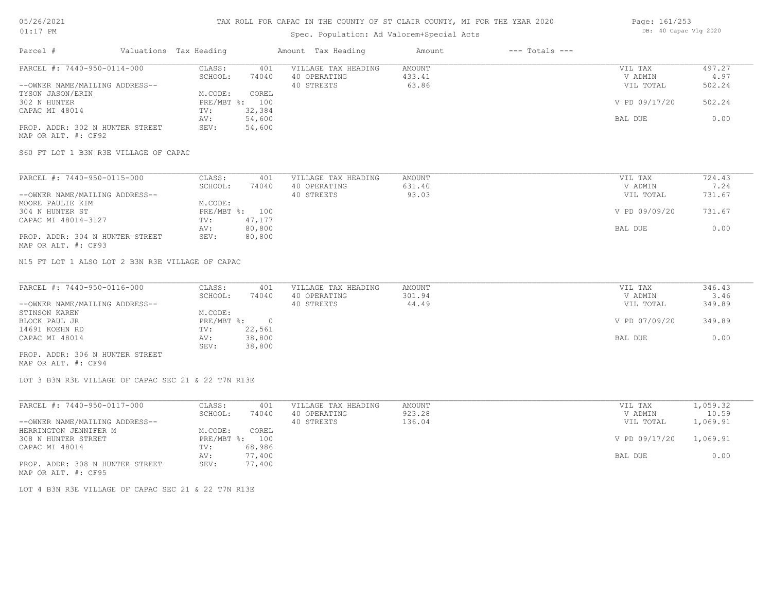## Spec. Population: Ad Valorem+Special Acts

| Page: 161/253 |                       |  |
|---------------|-----------------------|--|
|               | DB: 40 Capac Vlg 2020 |  |

| Parcel #                        | Valuations Tax Heading |        | Amount Tax Heading  | Amount | $---$ Totals $---$ |               |        |
|---------------------------------|------------------------|--------|---------------------|--------|--------------------|---------------|--------|
| PARCEL #: 7440-950-0114-000     | CLASS:                 | 401    | VILLAGE TAX HEADING | AMOUNT |                    | VIL TAX       | 497.27 |
|                                 | SCHOOL:                | 74040  | 40 OPERATING        | 433.41 |                    | V ADMIN       | 4.97   |
| --OWNER NAME/MAILING ADDRESS--  |                        |        | 40 STREETS          | 63.86  |                    | VIL TOTAL     | 502.24 |
| TYSON JASON/ERIN                | M.CODE:                | COREL  |                     |        |                    |               |        |
| 302 N HUNTER                    | PRE/MBT %: 100         |        |                     |        |                    | V PD 09/17/20 | 502.24 |
| CAPAC MI 48014                  | TV:                    | 32,384 |                     |        |                    |               |        |
|                                 | AV:                    | 54,600 |                     |        |                    | BAL DUE       | 0.00   |
| PROP. ADDR: 302 N HUNTER STREET | SEV:                   | 54,600 |                     |        |                    |               |        |
| MAP OR ALT. #: CF92             |                        |        |                     |        |                    |               |        |

S60 FT LOT 1 B3N R3E VILLAGE OF CAPAC

| PARCEL #: 7440-950-0115-000     | CLASS:  | 401            | VILLAGE TAX HEADING | AMOUNT | VIL TAX       | 724.43 |
|---------------------------------|---------|----------------|---------------------|--------|---------------|--------|
|                                 | SCHOOL: | 74040          | 40 OPERATING        | 631.40 | V ADMIN       | 7.24   |
| --OWNER NAME/MAILING ADDRESS--  |         |                | 40 STREETS          | 93.03  | VIL TOTAL     | 731.67 |
| MOORE PAULIE KIM                | M.CODE: |                |                     |        |               |        |
| 304 N HUNTER ST                 |         | PRE/MBT %: 100 |                     |        | V PD 09/09/20 | 731.67 |
| CAPAC MI 48014-3127             | TV:     | 47,177         |                     |        |               |        |
|                                 | AV:     | 80,800         |                     |        | BAL DUE       | 0.00   |
| PROP. ADDR: 304 N HUNTER STREET | SEV:    | 80,800         |                     |        |               |        |
| MAP OR ALT. #: CF93             |         |                |                     |        |               |        |

N15 FT LOT 1 ALSO LOT 2 B3N R3E VILLAGE OF CAPAC

| PARCEL #: 7440-950-0116-000     | CLASS:       | 401    | VILLAGE TAX HEADING | AMOUNT | VIL TAX       | 346.43 |
|---------------------------------|--------------|--------|---------------------|--------|---------------|--------|
|                                 | SCHOOL:      | 74040  | 40 OPERATING        | 301.94 | V ADMIN       | 3.46   |
| --OWNER NAME/MAILING ADDRESS--  |              |        | 40 STREETS          | 44.49  | VIL TOTAL     | 349.89 |
| STINSON KAREN                   | M.CODE:      |        |                     |        |               |        |
| BLOCK PAUL JR                   | $PRE/MBT$ %: |        |                     |        | V PD 07/09/20 | 349.89 |
| 14691 KOEHN RD                  | TV:          | 22,561 |                     |        |               |        |
| CAPAC MI 48014                  | AV:          | 38,800 |                     |        | BAL DUE       | 0.00   |
|                                 | SEV:         | 38,800 |                     |        |               |        |
| PROP. ADDR: 306 N HUNTER STREET |              |        |                     |        |               |        |

MAP OR ALT. #: CF94

LOT 3 B3N R3E VILLAGE OF CAPAC SEC 21 & 22 T7N R13E

| PARCEL #: 7440-950-0117-000     | CLASS:     | 401    | VILLAGE TAX HEADING | AMOUNT | VIL TAX       | 1,059.32 |
|---------------------------------|------------|--------|---------------------|--------|---------------|----------|
|                                 | SCHOOL:    | 74040  | 40 OPERATING        | 923.28 | V ADMIN       | 10.59    |
| --OWNER NAME/MAILING ADDRESS--  |            |        | 40 STREETS          | 136.04 | VIL TOTAL     | 1,069.91 |
| HERRINGTON JENNIFER M           | M.CODE:    | COREL  |                     |        |               |          |
| 308 N HUNTER STREET             | PRE/MBT %: | 100    |                     |        | V PD 09/17/20 | 1,069.91 |
| CAPAC MI 48014                  | TV:        | 68,986 |                     |        |               |          |
|                                 | AV:        | 77,400 |                     |        | BAL DUE       | 0.00     |
| PROP. ADDR: 308 N HUNTER STREET | SEV:       | 77,400 |                     |        |               |          |
| MAP OR ALT. #: CF95             |            |        |                     |        |               |          |

LOT 4 B3N R3E VILLAGE OF CAPAC SEC 21 & 22 T7N R13E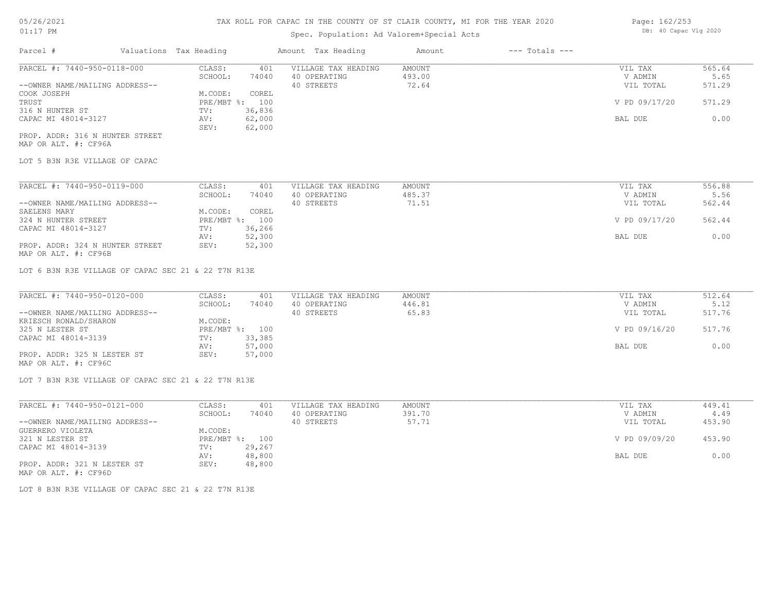## Spec. Population: Ad Valorem+Special Acts

| Page: 162/253 |                       |  |
|---------------|-----------------------|--|
|               | DB: 40 Capac Vlg 2020 |  |

| Parcel #                        | Valuations Tax Heading |        | Amount Tax Heading  | Amount | $---$ Totals $---$ |               |        |
|---------------------------------|------------------------|--------|---------------------|--------|--------------------|---------------|--------|
| PARCEL #: 7440-950-0118-000     | CLASS:                 | 401    | VILLAGE TAX HEADING | AMOUNT |                    | VIL TAX       | 565.64 |
|                                 | SCHOOL:                | 74040  | 40 OPERATING        | 493.00 |                    | V ADMIN       | 5.65   |
| --OWNER NAME/MAILING ADDRESS--  |                        |        | 40 STREETS          | 72.64  |                    | VIL TOTAL     | 571.29 |
| COOK JOSEPH                     | M.CODE:                | COREL  |                     |        |                    |               |        |
| TRUST                           | PRE/MBT %: 100         |        |                     |        |                    | V PD 09/17/20 | 571.29 |
| 316 N HUNTER ST                 | TV:                    | 36,836 |                     |        |                    |               |        |
| CAPAC MI 48014-3127             | AV:                    | 62,000 |                     |        |                    | BAL DUE       | 0.00   |
|                                 | SEV:                   | 62,000 |                     |        |                    |               |        |
| PROP. ADDR: 316 N HUNTER STREET |                        |        |                     |        |                    |               |        |

MAP OR ALT. #: CF96A

LOT 5 B3N R3E VILLAGE OF CAPAC

| PARCEL #: 7440-950-0119-000     | CLASS:       | 401    | VILLAGE TAX HEADING | AMOUNT | VIL TAX       | 556.88 |
|---------------------------------|--------------|--------|---------------------|--------|---------------|--------|
|                                 | SCHOOL:      | 74040  | 40 OPERATING        | 485.37 | V ADMIN       | 5.56   |
| --OWNER NAME/MAILING ADDRESS--  |              |        | 40 STREETS          | 71.51  | VIL TOTAL     | 562.44 |
| SAELENS MARY                    | M.CODE:      | COREL  |                     |        |               |        |
| 324 N HUNTER STREET             | $PRE/MBT$ %: | 100    |                     |        | V PD 09/17/20 | 562.44 |
| CAPAC MI 48014-3127             | TV:          | 36,266 |                     |        |               |        |
|                                 | AV:          | 52,300 |                     |        | BAL DUE       | 0.00   |
| PROP. ADDR: 324 N HUNTER STREET | SEV:         | 52,300 |                     |        |               |        |

MAP OR ALT. #: CF96B

LOT 6 B3N R3E VILLAGE OF CAPAC SEC 21 & 22 T7N R13E

| PARCEL #: 7440-950-0120-000    | CLASS:  | 401            | VILLAGE TAX HEADING | AMOUNT | VIL TAX       | 512.64 |
|--------------------------------|---------|----------------|---------------------|--------|---------------|--------|
|                                | SCHOOL: | 74040          | 40 OPERATING        | 446.81 | V ADMIN       | 5.12   |
| --OWNER NAME/MAILING ADDRESS-- |         |                | 40 STREETS          | 65.83  | VIL TOTAL     | 517.76 |
| KRIESCH RONALD/SHARON          | M.CODE: |                |                     |        |               |        |
| 325 N LESTER ST                |         | PRE/MBT %: 100 |                     |        | V PD 09/16/20 | 517.76 |
| CAPAC MI 48014-3139            | TV:     | 33,385         |                     |        |               |        |
|                                | AV:     | 57,000         |                     |        | BAL DUE       | 0.00   |
| PROP. ADDR: 325 N LESTER ST    | SEV:    | 57,000         |                     |        |               |        |
| MAP OR ALT. #: CF96C           |         |                |                     |        |               |        |

LOT 7 B3N R3E VILLAGE OF CAPAC SEC 21 & 22 T7N R13E

| PARCEL #: 7440-950-0121-000    | CLASS:     | 401    | VILLAGE TAX HEADING | AMOUNT | VIL TAX       | 449.41 |
|--------------------------------|------------|--------|---------------------|--------|---------------|--------|
|                                | SCHOOL:    | 74040  | 40 OPERATING        | 391.70 | V ADMIN       | 4.49   |
| --OWNER NAME/MAILING ADDRESS-- |            |        | 40 STREETS          | 57.71  | VIL TOTAL     | 453.90 |
| GUERRERO VIOLETA               | M.CODE:    |        |                     |        |               |        |
| 321 N LESTER ST                | PRE/MBT %: | 100    |                     |        | V PD 09/09/20 | 453.90 |
| CAPAC MI 48014-3139            | TV:        | 29,267 |                     |        |               |        |
|                                | AV:        | 48,800 |                     |        | BAL DUE       | 0.00   |
| PROP. ADDR: 321 N LESTER ST    | SEV:       | 48,800 |                     |        |               |        |
| MAP OR ALT. #: CF96D           |            |        |                     |        |               |        |

LOT 8 B3N R3E VILLAGE OF CAPAC SEC 21 & 22 T7N R13E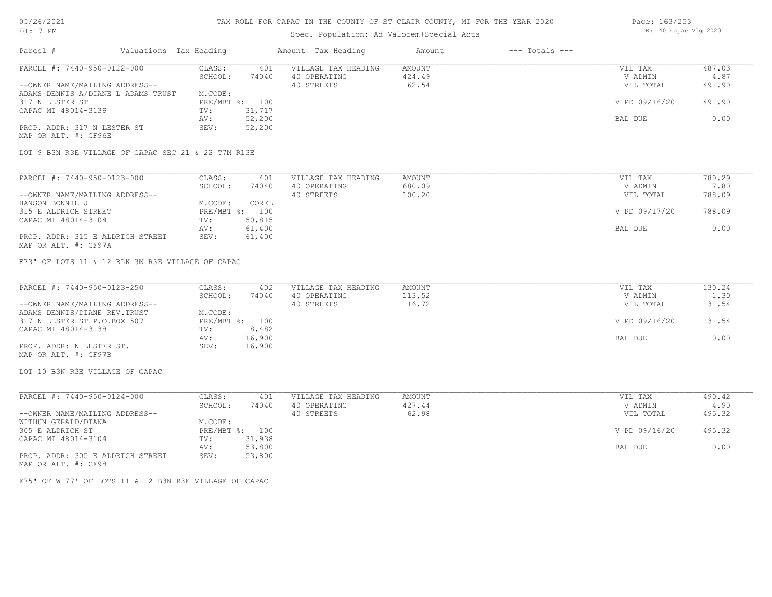#### TAX ROLL FOR CAPAC IN THE COUNTY OF ST CLAIR COUNTY, MI FOR THE YEAR 2020

## Spec. Population: Ad Valorem+Special Acts

| Parcel #                                            | Valuations Tax Heading |                |        | Amount Tax Heading  | Amount | $---$ Totals $---$ |               |        |
|-----------------------------------------------------|------------------------|----------------|--------|---------------------|--------|--------------------|---------------|--------|
| PARCEL #: 7440-950-0122-000                         |                        | CLASS:         | 401    | VILLAGE TAX HEADING | AMOUNT |                    | VIL TAX       | 487.03 |
|                                                     |                        | SCHOOL:        | 74040  | 40 OPERATING        | 424.49 |                    | V ADMIN       | 4.87   |
| --OWNER NAME/MAILING ADDRESS--                      |                        |                |        | 40 STREETS          | 62.54  |                    | VIL TOTAL     | 491.90 |
| ADAMS DENNIS A/DIANE L ADAMS TRUST                  |                        | M.CODE:        |        |                     |        |                    |               |        |
| 317 N LESTER ST                                     |                        | PRE/MBT %: 100 |        |                     |        |                    | V PD 09/16/20 | 491.90 |
| CAPAC MI 48014-3139                                 |                        | TV:            | 31,717 |                     |        |                    |               |        |
|                                                     |                        | AV:            | 52,200 |                     |        |                    | BAL DUE       | 0.00   |
| PROP. ADDR: 317 N LESTER ST<br>MAP OR ALT. #: CF96E |                        | SEV:           | 52,200 |                     |        |                    |               |        |

LOT 9 B3N R3E VILLAGE OF CAPAC SEC 21 & 22 T7N R13E

| PARCEL #: 7440-950-0123-000      | CLASS:  | 401            | VILLAGE TAX HEADING | AMOUNT | VIL TAX       | 780.29 |
|----------------------------------|---------|----------------|---------------------|--------|---------------|--------|
|                                  | SCHOOL: | 74040          | 40 OPERATING        | 680.09 | V ADMIN       | 7.80   |
| --OWNER NAME/MAILING ADDRESS--   |         |                | 40 STREETS          | 100.20 | VIL TOTAL     | 788.09 |
| HANSON BONNIE J                  | M.CODE: | COREL          |                     |        |               |        |
| 315 E ALDRICH STREET             |         | PRE/MBT %: 100 |                     |        | V PD 09/17/20 | 788.09 |
| CAPAC MI 48014-3104              | TV:     | 50,815         |                     |        |               |        |
|                                  | AV:     | 61,400         |                     |        | BAL DUE       | 0.00   |
| PROP. ADDR: 315 E ALDRICH STREET | SEV:    | 61,400         |                     |        |               |        |
| MAP OR ALT. #: CF97A             |         |                |                     |        |               |        |

E73' OF LOTS 11 & 12 BLK 3N R3E VILLAGE OF CAPAC

| PARCEL #: 7440-950-0123-250    | CLASS:         | 402    | VILLAGE TAX HEADING | AMOUNT | VIL TAX       | 130.24 |
|--------------------------------|----------------|--------|---------------------|--------|---------------|--------|
|                                | SCHOOL:        | 74040  | 40 OPERATING        | 113.52 | V ADMIN       | 1.30   |
| --OWNER NAME/MAILING ADDRESS-- |                |        | 40 STREETS          | 16.72  | VIL TOTAL     | 131.54 |
| ADAMS DENNIS/DIANE REV. TRUST  | M.CODE:        |        |                     |        |               |        |
| 317 N LESTER ST P.O.BOX 507    | PRE/MBT %: 100 |        |                     |        | V PD 09/16/20 | 131.54 |
| CAPAC MI 48014-3138            | TV:            | 8,482  |                     |        |               |        |
|                                | AV:            | 16,900 |                     |        | BAL DUE       | 0.00   |
| PROP. ADDR: N LESTER ST.       | SEV:           | 16,900 |                     |        |               |        |
| MAP OR ALT. #: CF97B           |                |        |                     |        |               |        |

LOT 10 B3N R3E VILLAGE OF CAPAC

| PARCEL #: 7440-950-0124-000      | CLASS:     | 401    | VILLAGE TAX HEADING | AMOUNT | VIL TAX       | 490.42 |
|----------------------------------|------------|--------|---------------------|--------|---------------|--------|
|                                  | SCHOOL:    | 74040  | 40 OPERATING        | 427.44 | V ADMIN       | 4.90   |
| --OWNER NAME/MAILING ADDRESS--   |            |        | 40 STREETS          | 62.98  | VIL TOTAL     | 495.32 |
| WITHUN GERALD/DIANA              | M.CODE:    |        |                     |        |               |        |
| 305 E ALDRICH ST                 | PRE/MBT %: | 100    |                     |        | V PD 09/16/20 | 495.32 |
| CAPAC MI 48014-3104              | TV:        | 31,938 |                     |        |               |        |
|                                  | AV:        | 53,800 |                     |        | BAL DUE       | 0.00   |
| PROP. ADDR: 305 E ALDRICH STREET | SEV:       | 53,800 |                     |        |               |        |
| MAP OR ALT. #: CF98              |            |        |                     |        |               |        |

E75' OF W 77' OF LOTS 11 & 12 B3N R3E VILLAGE OF CAPAC

Page: 163/253 DB: 40 Capac Vlg 2020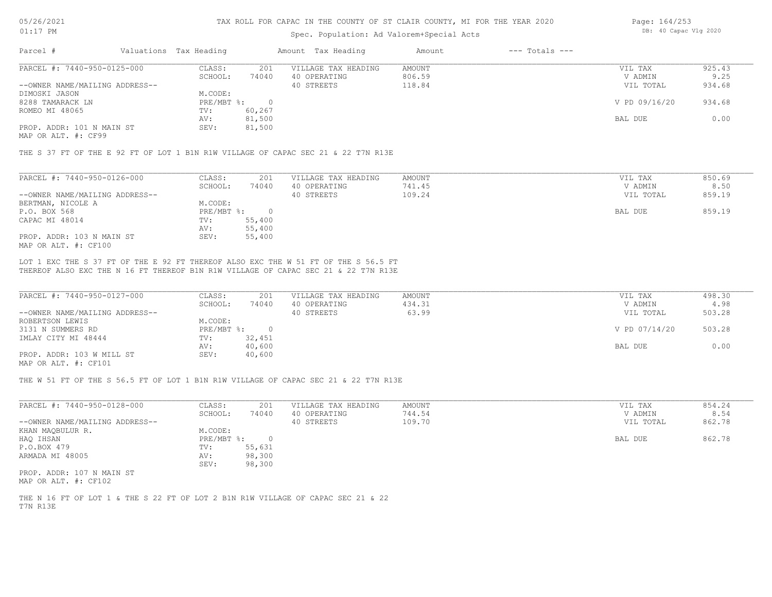## Spec. Population: Ad Valorem+Special Acts

| Page: 164/253 |                       |  |
|---------------|-----------------------|--|
|               | DB: 40 Capac Vlg 2020 |  |

| Parcel #                       | Valuations Tax Heading |        | Amount Tax Heading  | Amount | $---$ Totals $---$ |               |        |
|--------------------------------|------------------------|--------|---------------------|--------|--------------------|---------------|--------|
| PARCEL #: 7440-950-0125-000    | CLASS:                 | 201    | VILLAGE TAX HEADING | AMOUNT |                    | VIL TAX       | 925.43 |
|                                | SCHOOL:                | 74040  | 40 OPERATING        | 806.59 |                    | V ADMIN       | 9.25   |
| --OWNER NAME/MAILING ADDRESS-- |                        |        | 40 STREETS          | 118.84 |                    | VIL TOTAL     | 934.68 |
| DIMOSKI JASON                  | M.CODE:                |        |                     |        |                    |               |        |
| 8288 TAMARACK LN               | PRE/MBT %:             |        |                     |        |                    | V PD 09/16/20 | 934.68 |
| ROMEO MI 48065                 | TV:                    | 60,267 |                     |        |                    |               |        |
|                                | AV:                    | 81,500 |                     |        |                    | BAL DUE       | 0.00   |
| PROP. ADDR: 101 N MAIN ST      | SEV:                   | 81,500 |                     |        |                    |               |        |
|                                |                        |        |                     |        |                    |               |        |

MAP OR ALT. #: CF99

THE S 37 FT OF THE E 92 FT OF LOT 1 B1N R1W VILLAGE OF CAPAC SEC 21 & 22 T7N R13E

| PARCEL #: 7440-950-0126-000    | CLASS:     | 201    | VILLAGE TAX HEADING | AMOUNT | VIL TAX   | 850.69 |
|--------------------------------|------------|--------|---------------------|--------|-----------|--------|
|                                | SCHOOL:    | 74040  | 40 OPERATING        | 741.45 | V ADMIN   | 8.50   |
| --OWNER NAME/MAILING ADDRESS-- |            |        | 40 STREETS          | 109.24 | VIL TOTAL | 859.19 |
| BERTMAN, NICOLE A              | M.CODE:    |        |                     |        |           |        |
| P.O. BOX 568                   | PRE/MBT %: |        |                     |        | BAL DUE   | 859.19 |
| CAPAC MI 48014                 | TV:        | 55,400 |                     |        |           |        |
|                                | AV:        | 55,400 |                     |        |           |        |
| PROP. ADDR: 103 N MAIN ST      | SEV:       | 55,400 |                     |        |           |        |
| MAP OR ALT. #: CF100           |            |        |                     |        |           |        |

THEREOF ALSO EXC THE N 16 FT THEREOF B1N R1W VILLAGE OF CAPAC SEC 21 & 22 T7N R13E LOT 1 EXC THE S 37 FT OF THE E 92 FT THEREOF ALSO EXC THE W 51 FT OF THE S 56.5 FT

| PARCEL #: 7440-950-0127-000    | CLASS:     | 201    | VILLAGE TAX HEADING | AMOUNT | VIL TAX       | 498.30 |
|--------------------------------|------------|--------|---------------------|--------|---------------|--------|
|                                | SCHOOL:    | 74040  | 40 OPERATING        | 434.31 | V ADMIN       | 4.98   |
| --OWNER NAME/MAILING ADDRESS-- |            |        | 40 STREETS          | 63.99  | VIL TOTAL     | 503.28 |
| ROBERTSON LEWIS                | M.CODE:    |        |                     |        |               |        |
| 3131 N SUMMERS RD              | PRE/MBT %: |        |                     |        | V PD 07/14/20 | 503.28 |
| IMLAY CITY MI 48444            | TV:        | 32,451 |                     |        |               |        |
|                                | AV:        | 40,600 |                     |        | BAL DUE       | 0.00   |
| PROP. ADDR: 103 W MILL ST      | SEV:       | 40,600 |                     |        |               |        |
| $\frac{1}{2}$                  |            |        |                     |        |               |        |

MAP OR ALT. #: CF101

THE W 51 FT OF THE S 56.5 FT OF LOT 1 B1N R1W VILLAGE OF CAPAC SEC 21 & 22 T7N R13E

| PARCEL #: 7440-950-0128-000    | CLASS:     | 201    | VILLAGE TAX HEADING | AMOUNT | VIL TAX   | 854.24 |
|--------------------------------|------------|--------|---------------------|--------|-----------|--------|
|                                | SCHOOL:    | 74040  | 40 OPERATING        | 744.54 | V ADMIN   | 8.54   |
| --OWNER NAME/MAILING ADDRESS-- |            |        | 40 STREETS          | 109.70 | VIL TOTAL | 862.78 |
| KHAN MAQBULUR R.               | M.CODE:    |        |                     |        |           |        |
| HAQ IHSAN                      | PRE/MBT %: |        |                     |        | BAL DUE   | 862.78 |
| P.O.BOX 479                    | TV:        | 55,631 |                     |        |           |        |
| ARMADA MI 48005                | AV:        | 98,300 |                     |        |           |        |
|                                | SEV:       | 98,300 |                     |        |           |        |
| PROP. ADDR: 107 N MAIN ST      |            |        |                     |        |           |        |
|                                |            |        |                     |        |           |        |

MAP OR ALT. #: CF102

T7N R13E THE N 16 FT OF LOT 1 & THE S 22 FT OF LOT 2 B1N R1W VILLAGE OF CAPAC SEC 21 & 22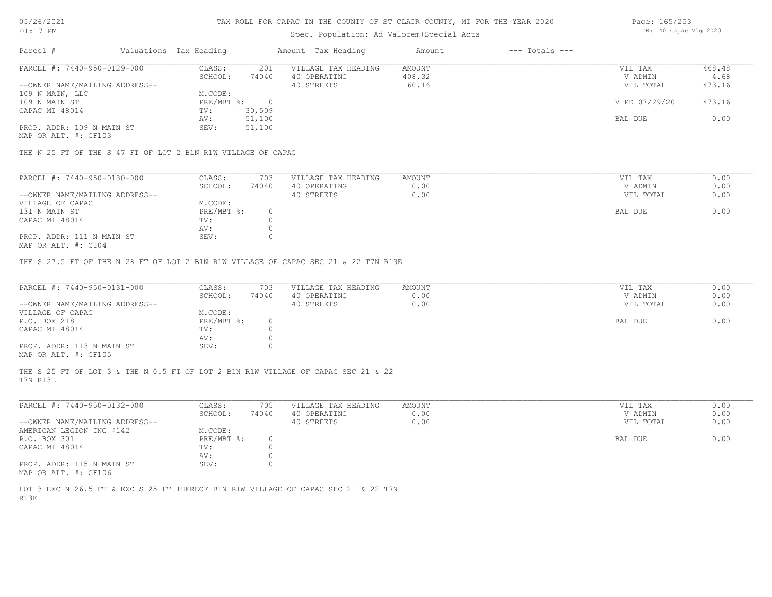# Spec. Population: Ad Valorem+Special Acts

| Page: 165/253 |                       |  |
|---------------|-----------------------|--|
|               | DB: 40 Capac Vlg 2020 |  |

| Parcel #        |                                | Valuations Tax Heading |        | Amount Tax Heading  | Amount | $---$ Totals $---$ |               |        |
|-----------------|--------------------------------|------------------------|--------|---------------------|--------|--------------------|---------------|--------|
|                 | PARCEL #: 7440-950-0129-000    | CLASS:                 | 201    | VILLAGE TAX HEADING | AMOUNT |                    | VIL TAX       | 468.48 |
|                 |                                | SCHOOL:                | 74040  | 40 OPERATING        | 408.32 |                    | V ADMIN       | 4.68   |
|                 | --OWNER NAME/MAILING ADDRESS-- |                        |        | 40 STREETS          | 60.16  |                    | VIL TOTAL     | 473.16 |
| 109 N MAIN, LLC |                                | M.CODE:                |        |                     |        |                    |               |        |
| 109 N MAIN ST   |                                | $PRE/MBT$ %:           |        |                     |        |                    | V PD 07/29/20 | 473.16 |
| CAPAC MI 48014  |                                | TV:                    | 30,509 |                     |        |                    |               |        |
|                 |                                | AV:                    | 51,100 |                     |        |                    | BAL DUE       | 0.00   |
|                 | PROP. ADDR: 109 N MAIN ST      | SEV:                   | 51,100 |                     |        |                    |               |        |

MAP OR ALT. #: CF103

THE N 25 FT OF THE S 47 FT OF LOT 2 B1N R1W VILLAGE OF CAPAC

| PARCEL #: 7440-950-0130-000    | CLASS:     | 703   | VILLAGE TAX HEADING | AMOUNT | VIL TAX   | 0.00 |
|--------------------------------|------------|-------|---------------------|--------|-----------|------|
|                                | SCHOOL:    | 74040 | 40 OPERATING        | 0.00   | V ADMIN   | 0.00 |
| --OWNER NAME/MAILING ADDRESS-- |            |       | 40 STREETS          | 0.00   | VIL TOTAL | 0.00 |
| VILLAGE OF CAPAC               | M.CODE:    |       |                     |        |           |      |
| 131 N MAIN ST                  | PRE/MBT %: |       |                     |        | BAL DUE   | 0.00 |
| CAPAC MI 48014                 | TV:        |       |                     |        |           |      |
|                                | AV:        |       |                     |        |           |      |
| PROP. ADDR: 111 N MAIN ST      | SEV:       |       |                     |        |           |      |
|                                |            |       |                     |        |           |      |

MAP OR ALT. #: C104

THE S 27.5 FT OF THE N 28 FT OF LOT 2 B1N R1W VILLAGE OF CAPAC SEC 21 & 22 T7N R13E

| PARCEL #: 7440-950-0131-000    | CLASS:       | 703   | VILLAGE TAX HEADING | AMOUNT | VIL TAX   | 0.00 |
|--------------------------------|--------------|-------|---------------------|--------|-----------|------|
|                                | SCHOOL:      | 74040 | 40 OPERATING        | 0.00   | V ADMIN   | 0.00 |
| --OWNER NAME/MAILING ADDRESS-- |              |       | 40 STREETS          | 0.00   | VIL TOTAL | 0.00 |
| VILLAGE OF CAPAC               | M.CODE:      |       |                     |        |           |      |
| P.O. BOX 218                   | $PRE/MBT$ %: |       |                     |        | BAL DUE   | 0.00 |
| CAPAC MI 48014                 | TV:          |       |                     |        |           |      |
|                                | AV:          |       |                     |        |           |      |
| PROP. ADDR: 113 N MAIN ST      | SEV:         |       |                     |        |           |      |
| MAP OR ALT. #: CF105           |              |       |                     |        |           |      |

T7N R13E THE S 25 FT OF LOT 3 & THE N 0.5 FT OF LOT 2 B1N R1W VILLAGE OF CAPAC SEC 21 & 22

| PARCEL #: 7440-950-0132-000    | CLASS:     | 705   | VILLAGE TAX HEADING | AMOUNT | VIL TAX   | 0.00 |
|--------------------------------|------------|-------|---------------------|--------|-----------|------|
|                                | SCHOOL:    | 74040 | 40 OPERATING        | 0.00   | V ADMIN   | 0.00 |
| --OWNER NAME/MAILING ADDRESS-- |            |       | 40 STREETS          | 0.00   | VIL TOTAL | 0.00 |
| AMERICAN LEGION INC #142       | M.CODE:    |       |                     |        |           |      |
| P.O. BOX 301                   | PRE/MBT %: |       |                     |        | BAL DUE   | 0.00 |
| CAPAC MI 48014                 | TV:        |       |                     |        |           |      |
|                                | AV:        |       |                     |        |           |      |
| PROP. ADDR: 115 N MAIN ST      | SEV:       |       |                     |        |           |      |
| MAP OR ALT. #: CF106           |            |       |                     |        |           |      |

R13E LOT 3 EXC N 26.5 FT & EXC S 25 FT THEREOF B1N R1W VILLAGE OF CAPAC SEC 21 & 22 T7N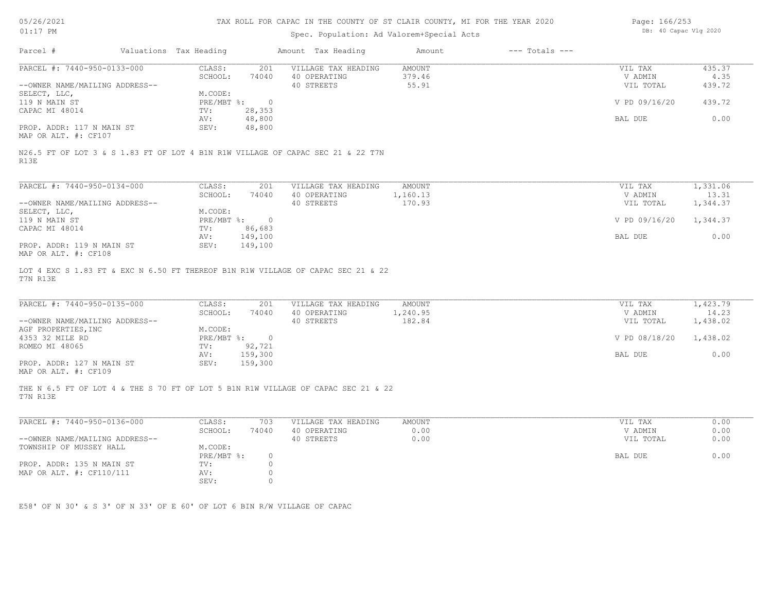| 05/26/2021 |  |
|------------|--|
| 01:17      |  |

# Spec. Population: Ad Valorem+Special Acts

| Page: 166/253 |                       |  |
|---------------|-----------------------|--|
|               | DB: 40 Capac Vlg 2020 |  |

| Parcel #                                                                                     | Valuations Tax Heading      |                  | Amount Tax Heading                  | Amount                  | $---$ Totals $---$ |                      |                   |
|----------------------------------------------------------------------------------------------|-----------------------------|------------------|-------------------------------------|-------------------------|--------------------|----------------------|-------------------|
| PARCEL #: 7440-950-0133-000                                                                  | CLASS:<br>SCHOOL:           | 201<br>74040     | VILLAGE TAX HEADING<br>40 OPERATING | <b>AMOUNT</b><br>379.46 |                    | VIL TAX<br>V ADMIN   | 435.37<br>4.35    |
| --OWNER NAME/MAILING ADDRESS--                                                               |                             |                  | 40 STREETS                          | 55.91                   |                    | VIL TOTAL            | 439.72            |
| SELECT, LLC,                                                                                 | M.CODE:                     |                  |                                     |                         |                    |                      |                   |
| 119 N MAIN ST                                                                                | PRE/MBT %:                  | $\overline{0}$   |                                     |                         |                    | V PD 09/16/20        | 439.72            |
| CAPAC MI 48014                                                                               | TV:                         | 28,353           |                                     |                         |                    |                      |                   |
| PROP. ADDR: 117 N MAIN ST                                                                    | AV:<br>SEV:                 | 48,800<br>48,800 |                                     |                         |                    | BAL DUE              | 0.00              |
| MAP OR ALT. #: CF107                                                                         |                             |                  |                                     |                         |                    |                      |                   |
| N26.5 FT OF LOT 3 & S 1.83 FT OF LOT 4 B1N R1W VILLAGE OF CAPAC SEC 21 & 22 T7N<br>R13E      |                             |                  |                                     |                         |                    |                      |                   |
|                                                                                              |                             |                  |                                     |                         |                    |                      |                   |
| PARCEL #: 7440-950-0134-000                                                                  | CLASS:                      | 201              | VILLAGE TAX HEADING                 | AMOUNT                  |                    | VIL TAX              | 1,331.06          |
| --OWNER NAME/MAILING ADDRESS--                                                               | SCHOOL:                     | 74040            | 40 OPERATING<br>40 STREETS          | 1,160.13<br>170.93      |                    | V ADMIN<br>VIL TOTAL | 13.31<br>1,344.37 |
| SELECT, LLC,                                                                                 | M.CODE:                     |                  |                                     |                         |                    |                      |                   |
| 119 N MAIN ST                                                                                | PRE/MBT %: 0                |                  |                                     |                         |                    | V PD 09/16/20        | 1,344.37          |
| CAPAC MI 48014                                                                               | TV:                         | 86,683           |                                     |                         |                    |                      |                   |
|                                                                                              | AV:                         | 149,100          |                                     |                         |                    | BAL DUE              | 0.00              |
| PROP. ADDR: 119 N MAIN ST<br>MAP OR ALT. #: CF108                                            | SEV:                        | 149,100          |                                     |                         |                    |                      |                   |
| LOT 4 EXC S 1.83 FT & EXC N 6.50 FT THEREOF B1N R1W VILLAGE OF CAPAC SEC 21 & 22<br>T7N R13E |                             |                  |                                     |                         |                    |                      |                   |
|                                                                                              |                             |                  |                                     |                         |                    |                      |                   |
| PARCEL #: 7440-950-0135-000                                                                  | CLASS:                      | 201              | VILLAGE TAX HEADING                 | AMOUNT                  |                    | VIL TAX              | 1,423.79          |
|                                                                                              | SCHOOL:                     | 74040            | 40 OPERATING                        | 1,240.95                |                    | V ADMIN              | 14.23             |
| --OWNER NAME/MAILING ADDRESS--                                                               |                             |                  | 40 STREETS                          | 182.84                  |                    | VIL TOTAL            | 1,438.02          |
| AGF PROPERTIES, INC                                                                          | M.CODE:<br>$PRE/MBT$ $\div$ | $\overline{0}$   |                                     |                         |                    |                      |                   |
| 4353 32 MILE RD<br>ROMEO MI 48065                                                            | TV:                         | 92,721           |                                     |                         |                    | V PD 08/18/20        | 1,438.02          |
|                                                                                              | AV:                         | 159,300          |                                     |                         |                    | BAL DUE              | 0.00              |
| PROP. ADDR: 127 N MAIN ST<br>MAP OR ALT. #: CF109                                            | SEV:                        | 159,300          |                                     |                         |                    |                      |                   |
| THE N 6.5 FT OF LOT 4 & THE S 70 FT OF LOT 5 B1N R1W VILLAGE OF CAPAC SEC 21 & 22            |                             |                  |                                     |                         |                    |                      |                   |
| T7N R13E                                                                                     |                             |                  |                                     |                         |                    |                      |                   |
| PARCEL #: 7440-950-0136-000                                                                  | CLASS:                      | 703              | VILLAGE TAX HEADING                 | AMOUNT                  |                    | VIL TAX              | 0.00              |
|                                                                                              | SCHOOL:                     | 74040            | 40 OPERATING                        | 0.00                    |                    | V ADMIN              | 0.00              |
| --OWNER NAME/MAILING ADDRESS--                                                               |                             |                  | 40 STREETS                          | 0.00                    |                    | VIL TOTAL            | 0.00              |
| TOWNSHIP OF MUSSEY HALL                                                                      | M.CODE:<br>PRE/MBT %:       | $\circ$          |                                     |                         |                    | BAL DUE              | 0.00              |
| PROP. ADDR: 135 N MAIN ST                                                                    | TV:                         | $\circ$          |                                     |                         |                    |                      |                   |
| MAP OR ALT. #: CF110/111                                                                     | AV:                         | $\Omega$         |                                     |                         |                    |                      |                   |
|                                                                                              | SEV:                        | $\circ$          |                                     |                         |                    |                      |                   |
|                                                                                              |                             |                  |                                     |                         |                    |                      |                   |
| E58' OF N 30' & S 3' OF N 33' OF E 60' OF LOT 6 BIN R/W VILLAGE OF CAPAC                     |                             |                  |                                     |                         |                    |                      |                   |
|                                                                                              |                             |                  |                                     |                         |                    |                      |                   |
|                                                                                              |                             |                  |                                     |                         |                    |                      |                   |
|                                                                                              |                             |                  |                                     |                         |                    |                      |                   |
|                                                                                              |                             |                  |                                     |                         |                    |                      |                   |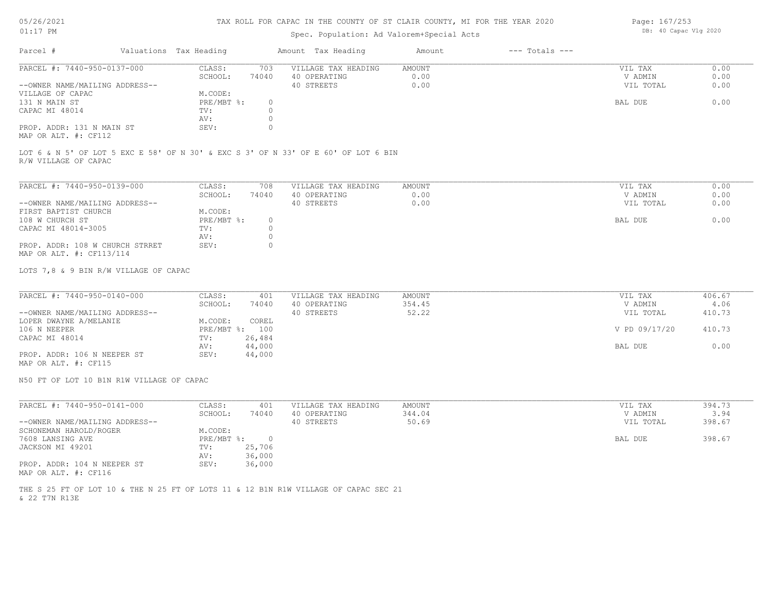# 05/26/2021

01:17 PM

#### TAX ROLL FOR CAPAC IN THE COUNTY OF ST CLAIR COUNTY, MI FOR THE YEAR 2020

## Spec. Population: Ad Valorem+Special Acts

Page: 167/253 DB: 40 Capac Vlg 2020

| Parcel #                                   | Valuations Tax Heading |       | Amount Tax Heading  | Amount | $---$ Totals $---$ |           |      |
|--------------------------------------------|------------------------|-------|---------------------|--------|--------------------|-----------|------|
| PARCEL #: 7440-950-0137-000                | CLASS:                 | 703   | VILLAGE TAX HEADING | AMOUNT |                    | VIL TAX   | 0.00 |
|                                            | SCHOOL:                | 74040 | 40 OPERATING        | 0.00   |                    | V ADMIN   | 0.00 |
| --OWNER NAME/MAILING ADDRESS--             |                        |       | 40 STREETS          | 0.00   |                    | VIL TOTAL | 0.00 |
| VILLAGE OF CAPAC                           | M.CODE:                |       |                     |        |                    |           |      |
| 131 N MAIN ST                              | PRE/MBT %:             |       |                     |        |                    | BAL DUE   | 0.00 |
| CAPAC MI 48014                             | TV:                    |       |                     |        |                    |           |      |
|                                            | AV:                    |       |                     |        |                    |           |      |
| PROP. ADDR: 131 N MAIN ST<br>$\frac{1}{2}$ | SEV:                   |       |                     |        |                    |           |      |

MAP OR ALT. #: CF112

R/W VILLAGE OF CAPAC LOT 6 & N 5' OF LOT 5 EXC E 58' OF N 30' & EXC S 3' OF N 33' OF E 60' OF LOT 6 BIN

| PARCEL #: 7440-950-0139-000     | CLASS:     | 708   | VILLAGE TAX HEADING | AMOUNT | VIL TAX   | 0.00 |
|---------------------------------|------------|-------|---------------------|--------|-----------|------|
|                                 | SCHOOL:    | 74040 | 40 OPERATING        | 0.00   | V ADMIN   | 0.00 |
| --OWNER NAME/MAILING ADDRESS--  |            |       | 40 STREETS          | 0.00   | VIL TOTAL | 0.00 |
| FIRST BAPTIST CHURCH            | M.CODE:    |       |                     |        |           |      |
| 108 W CHURCH ST                 | PRE/MBT %: |       |                     |        | BAL DUE   | 0.00 |
| CAPAC MI 48014-3005             | TV:        |       |                     |        |           |      |
|                                 | AV:        |       |                     |        |           |      |
| PROP. ADDR: 108 W CHURCH STRRET | SEV:       |       |                     |        |           |      |
| MAP OR ALT. #: CF113/114        |            |       |                     |        |           |      |

LOTS 7,8 & 9 BIN R/W VILLAGE OF CAPAC

| PARCEL #: 7440-950-0140-000    | CLASS:         | 401    | VILLAGE TAX HEADING | AMOUNT | VIL TAX       | 406.67 |
|--------------------------------|----------------|--------|---------------------|--------|---------------|--------|
|                                | SCHOOL:        | 74040  | 40 OPERATING        | 354.45 | V ADMIN       | 4.06   |
| --OWNER NAME/MAILING ADDRESS-- |                |        | 40 STREETS          | 52.22  | VIL TOTAL     | 410.73 |
| LOPER DWAYNE A/MELANIE         | M.CODE:        | COREL  |                     |        |               |        |
| 106 N NEEPER                   | PRE/MBT %: 100 |        |                     |        | V PD 09/17/20 | 410.73 |
| CAPAC MI 48014                 | TV:            | 26,484 |                     |        |               |        |
|                                | AV:            | 44,000 |                     |        | BAL DUE       | 0.00   |
| PROP. ADDR: 106 N NEEPER ST    | SEV:           | 44,000 |                     |        |               |        |
|                                |                |        |                     |        |               |        |

MAP OR ALT. #: CF115

N50 FT OF LOT 10 B1N R1W VILLAGE OF CAPAC

| PARCEL #: 7440-950-0141-000    | CLASS:       | 401    | VILLAGE TAX HEADING | AMOUNT | VIL TAX   | 394.73 |
|--------------------------------|--------------|--------|---------------------|--------|-----------|--------|
|                                | SCHOOL:      | 74040  | 40 OPERATING        | 344.04 | V ADMIN   | 3.94   |
| --OWNER NAME/MAILING ADDRESS-- |              |        | 40 STREETS          | 50.69  | VIL TOTAL | 398.67 |
| SCHONEMAN HAROLD/ROGER         | M.CODE:      |        |                     |        |           |        |
| 7608 LANSING AVE               | $PRE/MBT$ %: |        |                     |        | BAL DUE   | 398.67 |
| JACKSON MI 49201               | TV:          | 25,706 |                     |        |           |        |
|                                | AV:          | 36,000 |                     |        |           |        |
| PROP. ADDR: 104 N NEEPER ST    | SEV:         | 36,000 |                     |        |           |        |
| MAP OR ALT. #: CF116           |              |        |                     |        |           |        |

& 22 T7N R13E THE S 25 FT OF LOT 10 & THE N 25 FT OF LOTS 11 & 12 B1N R1W VILLAGE OF CAPAC SEC 21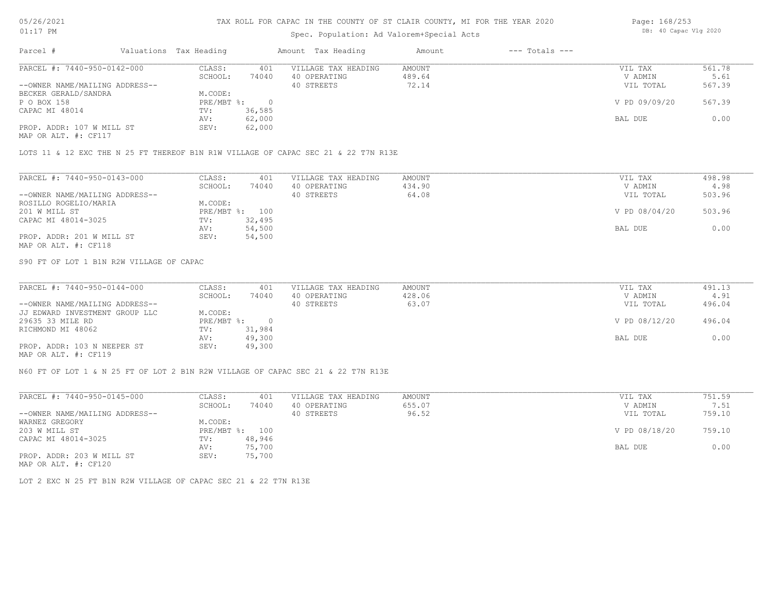## Spec. Population: Ad Valorem+Special Acts

| Page: 168/253 |                       |  |  |  |  |  |
|---------------|-----------------------|--|--|--|--|--|
|               | DB: 40 Capac Vlg 2020 |  |  |  |  |  |

| Parcel #                       | Valuations Tax Heading |        | Amount Tax Heading  | Amount | $---$ Totals $---$ |               |        |
|--------------------------------|------------------------|--------|---------------------|--------|--------------------|---------------|--------|
| PARCEL #: 7440-950-0142-000    | CLASS:                 | 401    | VILLAGE TAX HEADING | AMOUNT |                    | VIL TAX       | 561.78 |
|                                | SCHOOL:                | 74040  | 40 OPERATING        | 489.64 |                    | V ADMIN       | 5.61   |
| --OWNER NAME/MAILING ADDRESS-- |                        |        | 40 STREETS          | 72.14  |                    | VIL TOTAL     | 567.39 |
| BECKER GERALD/SANDRA           | M.CODE:                |        |                     |        |                    |               |        |
| P O BOX 158                    | $PRE/MBT$ %:           |        |                     |        |                    | V PD 09/09/20 | 567.39 |
| CAPAC MI 48014                 | TV:                    | 36,585 |                     |        |                    |               |        |
|                                | AV:                    | 62,000 |                     |        |                    | BAL DUE       | 0.00   |
| PROP. ADDR: 107 W MILL ST      | SEV:                   | 62,000 |                     |        |                    |               |        |
| MAP OR ALT. #: CF117           |                        |        |                     |        |                    |               |        |

LOTS 11 & 12 EXC THE N 25 FT THEREOF B1N R1W VILLAGE OF CAPAC SEC 21 & 22 T7N R13E

| PARCEL #: 7440-950-0143-000    | CLASS:     | 401    | VILLAGE TAX HEADING | AMOUNT | VIL TAX       | 498.98 |
|--------------------------------|------------|--------|---------------------|--------|---------------|--------|
|                                | SCHOOL:    | 74040  | 40 OPERATING        | 434.90 | V ADMIN       | 4.98   |
| --OWNER NAME/MAILING ADDRESS-- |            |        | 40 STREETS          | 64.08  | VIL TOTAL     | 503.96 |
| ROSILLO ROGELIO/MARIA          | M.CODE:    |        |                     |        |               |        |
| 201 W MILL ST                  | PRE/MBT %: | 100    |                     |        | V PD 08/04/20 | 503.96 |
| CAPAC MI 48014-3025            | TV:        | 32,495 |                     |        |               |        |
|                                | AV:        | 54,500 |                     |        | BAL DUE       | 0.00   |
| PROP. ADDR: 201 W MILL ST      | SEV:       | 54,500 |                     |        |               |        |
| MAP OR ALT. #: CF118           |            |        |                     |        |               |        |

S90 FT OF LOT 1 B1N R2W VILLAGE OF CAPAC

| PARCEL #: 7440-950-0144-000    | CLASS:       | 401    | VILLAGE TAX HEADING | AMOUNT | VIL TAX       | 491.13 |
|--------------------------------|--------------|--------|---------------------|--------|---------------|--------|
|                                | SCHOOL:      | 74040  | 40 OPERATING        | 428.06 | V ADMIN       | 4.91   |
| --OWNER NAME/MAILING ADDRESS-- |              |        | 40 STREETS          | 63.07  | VIL TOTAL     | 496.04 |
| JJ EDWARD INVESTMENT GROUP LLC | M.CODE:      |        |                     |        |               |        |
| 29635 33 MILE RD               | $PRE/MBT$ %: |        |                     |        | V PD 08/12/20 | 496.04 |
| RICHMOND MI 48062              | TV:          | 31,984 |                     |        |               |        |
|                                | AV:          | 49,300 |                     |        | BAL DUE       | 0.00   |
| PROP. ADDR: 103 N NEEPER ST    | SEV:         | 49,300 |                     |        |               |        |
| $\frac{1}{2}$                  |              |        |                     |        |               |        |

MAP OR ALT. #: CF119

N60 FT OF LOT 1 & N 25 FT OF LOT 2 B1N R2W VILLAGE OF CAPAC SEC 21 & 22 T7N R13E

| PARCEL #: 7440-950-0145-000    | CLASS:       | 401    | VILLAGE TAX HEADING | AMOUNT | VIL TAX       | 751.59 |
|--------------------------------|--------------|--------|---------------------|--------|---------------|--------|
|                                | SCHOOL:      | 74040  | 40 OPERATING        | 655.07 | V ADMIN       | 7.51   |
| --OWNER NAME/MAILING ADDRESS-- |              |        | 40 STREETS          | 96.52  | VIL TOTAL     | 759.10 |
| WARNEZ GREGORY                 | M.CODE:      |        |                     |        |               |        |
| 203 W MILL ST                  | $PRE/MBT$ %: | 100    |                     |        | V PD 08/18/20 | 759.10 |
| CAPAC MI 48014-3025            | TV:          | 48,946 |                     |        |               |        |
|                                | AV:          | 75,700 |                     |        | BAL DUE       | 0.00   |
| PROP. ADDR: 203 W MILL ST      | SEV:         | 75,700 |                     |        |               |        |
| MAP OR ALT. #: CF120           |              |        |                     |        |               |        |

LOT 2 EXC N 25 FT B1N R2W VILLAGE OF CAPAC SEC 21 & 22 T7N R13E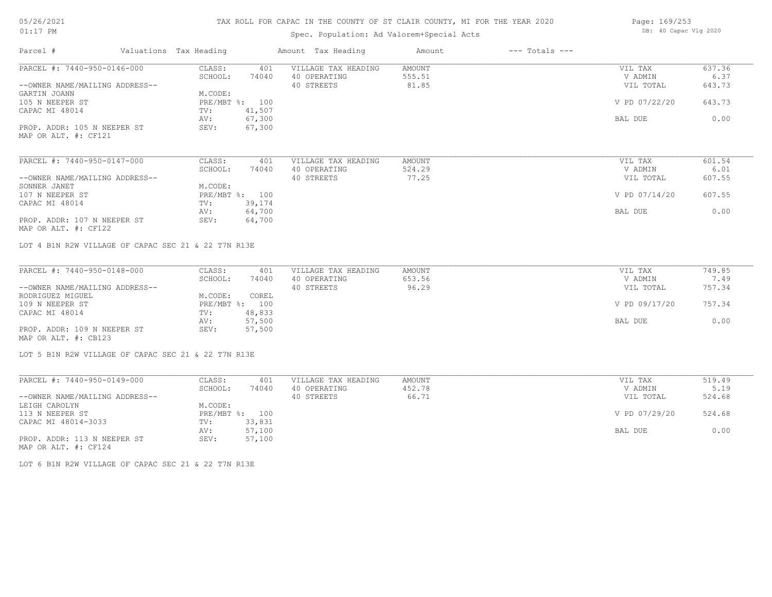# TAX ROLL FOR CAPAC IN THE COUNTY OF ST CLAIR COUNTY, MI FOR THE YEAR 2020

# Spec. Population: Ad Valorem+Special Acts

| Page: 169/253 |                       |  |  |  |  |  |
|---------------|-----------------------|--|--|--|--|--|
|               | DB: 40 Capac Vlg 2020 |  |  |  |  |  |

| PARCEL #: 7440-950-0146-000<br>VILLAGE TAX HEADING<br>CLASS:<br>AMOUNT<br>VIL TAX<br>401<br>555.51<br>SCHOOL:<br>74040<br>40 OPERATING<br>V ADMIN<br>81.85<br>40 STREETS<br>--OWNER NAME/MAILING ADDRESS--<br>VIL TOTAL<br>GARTIN JOANN<br>M.CODE:<br>105 N NEEPER ST<br>PRE/MBT %: 100<br>V PD 07/22/20<br>41,507<br>CAPAC MI 48014<br>TV:<br>67,300<br>AV:<br>BAL DUE<br>PROP. ADDR: 105 N NEEPER ST<br>SEV:<br>67,300<br>MAP OR ALT. #: CF121<br>PARCEL #: 7440-950-0147-000<br>CLASS:<br>VILLAGE TAX HEADING<br>401<br>AMOUNT<br>VIL TAX<br>40 OPERATING<br>524.29<br>SCHOOL:<br>74040<br>V ADMIN<br>40 STREETS<br>77.25<br>--OWNER NAME/MAILING ADDRESS--<br>VIL TOTAL<br>M.CODE:<br>SONNER JANET<br>107 N NEEPER ST<br>PRE/MBT %: 100<br>607.55<br>V PD 07/14/20<br>39,174<br>CAPAC MI 48014<br>TV:<br>64,700<br>BAL DUE<br>AV:<br>PROP. ADDR: 107 N NEEPER ST<br>SEV:<br>64,700<br>MAP OR ALT. #: CF122<br>LOT 4 B1N R2W VILLAGE OF CAPAC SEC 21 & 22 T7N R13E<br>PARCEL #: 7440-950-0148-000<br>CLASS:<br>VILLAGE TAX HEADING<br>401<br>AMOUNT<br>VIL TAX<br>SCHOOL:<br>40 OPERATING<br>653.56<br>V ADMIN<br>74040<br>96.29<br>40 STREETS<br>VIL TOTAL<br>--OWNER NAME/MAILING ADDRESS--<br>RODRIGUEZ MIGUEL<br>M.CODE:<br>COREL<br>109 N NEEPER ST<br>PRE/MBT %: 100<br>V PD 09/17/20<br>48,833<br>CAPAC MI 48014<br>TV:<br>57,500<br>AV:<br>BAL DUE<br>57,500<br>PROP. ADDR: 109 N NEEPER ST<br>SEV:<br>MAP OR ALT. #: CB123<br>LOT 5 B1N R2W VILLAGE OF CAPAC SEC 21 & 22 T7N R13E<br>PARCEL #: 7440-950-0149-000<br>CLASS:<br>VILLAGE TAX HEADING<br>AMOUNT<br>VIL TAX<br>401<br>SCHOOL:<br>40 OPERATING<br>452.78<br>74040<br>V ADMIN<br>40 STREETS<br>66.71<br>--OWNER NAME/MAILING ADDRESS--<br>VIL TOTAL<br>LEIGH CAROLYN<br>M.CODE:<br>PRE/MBT %: 100<br>113 N NEEPER ST<br>V PD 07/29/20<br>CAPAC MI 48014-3033<br>33,831<br>TV:<br>57,100<br>AV:<br>BAL DUE<br>PROP. ADDR: 113 N NEEPER ST<br>SEV: | Parcel # | Valuations Tax Heading |        | Amount Tax Heading | Amount | $---$ Totals $---$ |        |
|-----------------------------------------------------------------------------------------------------------------------------------------------------------------------------------------------------------------------------------------------------------------------------------------------------------------------------------------------------------------------------------------------------------------------------------------------------------------------------------------------------------------------------------------------------------------------------------------------------------------------------------------------------------------------------------------------------------------------------------------------------------------------------------------------------------------------------------------------------------------------------------------------------------------------------------------------------------------------------------------------------------------------------------------------------------------------------------------------------------------------------------------------------------------------------------------------------------------------------------------------------------------------------------------------------------------------------------------------------------------------------------------------------------------------------------------------------------------------------------------------------------------------------------------------------------------------------------------------------------------------------------------------------------------------------------------------------------------------------------------------------------------------------------------------------------------------------------------------------------------------------------------------------------------------|----------|------------------------|--------|--------------------|--------|--------------------|--------|
|                                                                                                                                                                                                                                                                                                                                                                                                                                                                                                                                                                                                                                                                                                                                                                                                                                                                                                                                                                                                                                                                                                                                                                                                                                                                                                                                                                                                                                                                                                                                                                                                                                                                                                                                                                                                                                                                                                                       |          |                        |        |                    |        |                    | 637.36 |
|                                                                                                                                                                                                                                                                                                                                                                                                                                                                                                                                                                                                                                                                                                                                                                                                                                                                                                                                                                                                                                                                                                                                                                                                                                                                                                                                                                                                                                                                                                                                                                                                                                                                                                                                                                                                                                                                                                                       |          |                        |        |                    |        |                    | 6.37   |
|                                                                                                                                                                                                                                                                                                                                                                                                                                                                                                                                                                                                                                                                                                                                                                                                                                                                                                                                                                                                                                                                                                                                                                                                                                                                                                                                                                                                                                                                                                                                                                                                                                                                                                                                                                                                                                                                                                                       |          |                        |        |                    |        |                    | 643.73 |
|                                                                                                                                                                                                                                                                                                                                                                                                                                                                                                                                                                                                                                                                                                                                                                                                                                                                                                                                                                                                                                                                                                                                                                                                                                                                                                                                                                                                                                                                                                                                                                                                                                                                                                                                                                                                                                                                                                                       |          |                        |        |                    |        |                    |        |
|                                                                                                                                                                                                                                                                                                                                                                                                                                                                                                                                                                                                                                                                                                                                                                                                                                                                                                                                                                                                                                                                                                                                                                                                                                                                                                                                                                                                                                                                                                                                                                                                                                                                                                                                                                                                                                                                                                                       |          |                        |        |                    |        |                    | 643.73 |
|                                                                                                                                                                                                                                                                                                                                                                                                                                                                                                                                                                                                                                                                                                                                                                                                                                                                                                                                                                                                                                                                                                                                                                                                                                                                                                                                                                                                                                                                                                                                                                                                                                                                                                                                                                                                                                                                                                                       |          |                        |        |                    |        |                    |        |
|                                                                                                                                                                                                                                                                                                                                                                                                                                                                                                                                                                                                                                                                                                                                                                                                                                                                                                                                                                                                                                                                                                                                                                                                                                                                                                                                                                                                                                                                                                                                                                                                                                                                                                                                                                                                                                                                                                                       |          |                        |        |                    |        |                    | 0.00   |
|                                                                                                                                                                                                                                                                                                                                                                                                                                                                                                                                                                                                                                                                                                                                                                                                                                                                                                                                                                                                                                                                                                                                                                                                                                                                                                                                                                                                                                                                                                                                                                                                                                                                                                                                                                                                                                                                                                                       |          |                        |        |                    |        |                    |        |
|                                                                                                                                                                                                                                                                                                                                                                                                                                                                                                                                                                                                                                                                                                                                                                                                                                                                                                                                                                                                                                                                                                                                                                                                                                                                                                                                                                                                                                                                                                                                                                                                                                                                                                                                                                                                                                                                                                                       |          |                        |        |                    |        |                    |        |
|                                                                                                                                                                                                                                                                                                                                                                                                                                                                                                                                                                                                                                                                                                                                                                                                                                                                                                                                                                                                                                                                                                                                                                                                                                                                                                                                                                                                                                                                                                                                                                                                                                                                                                                                                                                                                                                                                                                       |          |                        |        |                    |        |                    |        |
|                                                                                                                                                                                                                                                                                                                                                                                                                                                                                                                                                                                                                                                                                                                                                                                                                                                                                                                                                                                                                                                                                                                                                                                                                                                                                                                                                                                                                                                                                                                                                                                                                                                                                                                                                                                                                                                                                                                       |          |                        |        |                    |        |                    | 601.54 |
|                                                                                                                                                                                                                                                                                                                                                                                                                                                                                                                                                                                                                                                                                                                                                                                                                                                                                                                                                                                                                                                                                                                                                                                                                                                                                                                                                                                                                                                                                                                                                                                                                                                                                                                                                                                                                                                                                                                       |          |                        |        |                    |        |                    | 6.01   |
|                                                                                                                                                                                                                                                                                                                                                                                                                                                                                                                                                                                                                                                                                                                                                                                                                                                                                                                                                                                                                                                                                                                                                                                                                                                                                                                                                                                                                                                                                                                                                                                                                                                                                                                                                                                                                                                                                                                       |          |                        |        |                    |        |                    | 607.55 |
|                                                                                                                                                                                                                                                                                                                                                                                                                                                                                                                                                                                                                                                                                                                                                                                                                                                                                                                                                                                                                                                                                                                                                                                                                                                                                                                                                                                                                                                                                                                                                                                                                                                                                                                                                                                                                                                                                                                       |          |                        |        |                    |        |                    |        |
|                                                                                                                                                                                                                                                                                                                                                                                                                                                                                                                                                                                                                                                                                                                                                                                                                                                                                                                                                                                                                                                                                                                                                                                                                                                                                                                                                                                                                                                                                                                                                                                                                                                                                                                                                                                                                                                                                                                       |          |                        |        |                    |        |                    |        |
|                                                                                                                                                                                                                                                                                                                                                                                                                                                                                                                                                                                                                                                                                                                                                                                                                                                                                                                                                                                                                                                                                                                                                                                                                                                                                                                                                                                                                                                                                                                                                                                                                                                                                                                                                                                                                                                                                                                       |          |                        |        |                    |        |                    |        |
|                                                                                                                                                                                                                                                                                                                                                                                                                                                                                                                                                                                                                                                                                                                                                                                                                                                                                                                                                                                                                                                                                                                                                                                                                                                                                                                                                                                                                                                                                                                                                                                                                                                                                                                                                                                                                                                                                                                       |          |                        |        |                    |        |                    | 0.00   |
|                                                                                                                                                                                                                                                                                                                                                                                                                                                                                                                                                                                                                                                                                                                                                                                                                                                                                                                                                                                                                                                                                                                                                                                                                                                                                                                                                                                                                                                                                                                                                                                                                                                                                                                                                                                                                                                                                                                       |          |                        |        |                    |        |                    |        |
|                                                                                                                                                                                                                                                                                                                                                                                                                                                                                                                                                                                                                                                                                                                                                                                                                                                                                                                                                                                                                                                                                                                                                                                                                                                                                                                                                                                                                                                                                                                                                                                                                                                                                                                                                                                                                                                                                                                       |          |                        |        |                    |        |                    |        |
|                                                                                                                                                                                                                                                                                                                                                                                                                                                                                                                                                                                                                                                                                                                                                                                                                                                                                                                                                                                                                                                                                                                                                                                                                                                                                                                                                                                                                                                                                                                                                                                                                                                                                                                                                                                                                                                                                                                       |          |                        |        |                    |        |                    |        |
|                                                                                                                                                                                                                                                                                                                                                                                                                                                                                                                                                                                                                                                                                                                                                                                                                                                                                                                                                                                                                                                                                                                                                                                                                                                                                                                                                                                                                                                                                                                                                                                                                                                                                                                                                                                                                                                                                                                       |          |                        |        |                    |        |                    | 749.85 |
|                                                                                                                                                                                                                                                                                                                                                                                                                                                                                                                                                                                                                                                                                                                                                                                                                                                                                                                                                                                                                                                                                                                                                                                                                                                                                                                                                                                                                                                                                                                                                                                                                                                                                                                                                                                                                                                                                                                       |          |                        |        |                    |        |                    | 7.49   |
|                                                                                                                                                                                                                                                                                                                                                                                                                                                                                                                                                                                                                                                                                                                                                                                                                                                                                                                                                                                                                                                                                                                                                                                                                                                                                                                                                                                                                                                                                                                                                                                                                                                                                                                                                                                                                                                                                                                       |          |                        |        |                    |        |                    | 757.34 |
|                                                                                                                                                                                                                                                                                                                                                                                                                                                                                                                                                                                                                                                                                                                                                                                                                                                                                                                                                                                                                                                                                                                                                                                                                                                                                                                                                                                                                                                                                                                                                                                                                                                                                                                                                                                                                                                                                                                       |          |                        |        |                    |        |                    |        |
|                                                                                                                                                                                                                                                                                                                                                                                                                                                                                                                                                                                                                                                                                                                                                                                                                                                                                                                                                                                                                                                                                                                                                                                                                                                                                                                                                                                                                                                                                                                                                                                                                                                                                                                                                                                                                                                                                                                       |          |                        |        |                    |        |                    | 757.34 |
|                                                                                                                                                                                                                                                                                                                                                                                                                                                                                                                                                                                                                                                                                                                                                                                                                                                                                                                                                                                                                                                                                                                                                                                                                                                                                                                                                                                                                                                                                                                                                                                                                                                                                                                                                                                                                                                                                                                       |          |                        |        |                    |        |                    |        |
|                                                                                                                                                                                                                                                                                                                                                                                                                                                                                                                                                                                                                                                                                                                                                                                                                                                                                                                                                                                                                                                                                                                                                                                                                                                                                                                                                                                                                                                                                                                                                                                                                                                                                                                                                                                                                                                                                                                       |          |                        |        |                    |        |                    | 0.00   |
|                                                                                                                                                                                                                                                                                                                                                                                                                                                                                                                                                                                                                                                                                                                                                                                                                                                                                                                                                                                                                                                                                                                                                                                                                                                                                                                                                                                                                                                                                                                                                                                                                                                                                                                                                                                                                                                                                                                       |          |                        |        |                    |        |                    |        |
|                                                                                                                                                                                                                                                                                                                                                                                                                                                                                                                                                                                                                                                                                                                                                                                                                                                                                                                                                                                                                                                                                                                                                                                                                                                                                                                                                                                                                                                                                                                                                                                                                                                                                                                                                                                                                                                                                                                       |          |                        |        |                    |        |                    |        |
|                                                                                                                                                                                                                                                                                                                                                                                                                                                                                                                                                                                                                                                                                                                                                                                                                                                                                                                                                                                                                                                                                                                                                                                                                                                                                                                                                                                                                                                                                                                                                                                                                                                                                                                                                                                                                                                                                                                       |          |                        |        |                    |        |                    |        |
|                                                                                                                                                                                                                                                                                                                                                                                                                                                                                                                                                                                                                                                                                                                                                                                                                                                                                                                                                                                                                                                                                                                                                                                                                                                                                                                                                                                                                                                                                                                                                                                                                                                                                                                                                                                                                                                                                                                       |          |                        |        |                    |        |                    |        |
|                                                                                                                                                                                                                                                                                                                                                                                                                                                                                                                                                                                                                                                                                                                                                                                                                                                                                                                                                                                                                                                                                                                                                                                                                                                                                                                                                                                                                                                                                                                                                                                                                                                                                                                                                                                                                                                                                                                       |          |                        |        |                    |        |                    | 519.49 |
|                                                                                                                                                                                                                                                                                                                                                                                                                                                                                                                                                                                                                                                                                                                                                                                                                                                                                                                                                                                                                                                                                                                                                                                                                                                                                                                                                                                                                                                                                                                                                                                                                                                                                                                                                                                                                                                                                                                       |          |                        |        |                    |        |                    | 5.19   |
|                                                                                                                                                                                                                                                                                                                                                                                                                                                                                                                                                                                                                                                                                                                                                                                                                                                                                                                                                                                                                                                                                                                                                                                                                                                                                                                                                                                                                                                                                                                                                                                                                                                                                                                                                                                                                                                                                                                       |          |                        |        |                    |        |                    | 524.68 |
|                                                                                                                                                                                                                                                                                                                                                                                                                                                                                                                                                                                                                                                                                                                                                                                                                                                                                                                                                                                                                                                                                                                                                                                                                                                                                                                                                                                                                                                                                                                                                                                                                                                                                                                                                                                                                                                                                                                       |          |                        |        |                    |        |                    |        |
|                                                                                                                                                                                                                                                                                                                                                                                                                                                                                                                                                                                                                                                                                                                                                                                                                                                                                                                                                                                                                                                                                                                                                                                                                                                                                                                                                                                                                                                                                                                                                                                                                                                                                                                                                                                                                                                                                                                       |          |                        |        |                    |        |                    | 524.68 |
|                                                                                                                                                                                                                                                                                                                                                                                                                                                                                                                                                                                                                                                                                                                                                                                                                                                                                                                                                                                                                                                                                                                                                                                                                                                                                                                                                                                                                                                                                                                                                                                                                                                                                                                                                                                                                                                                                                                       |          |                        |        |                    |        |                    |        |
|                                                                                                                                                                                                                                                                                                                                                                                                                                                                                                                                                                                                                                                                                                                                                                                                                                                                                                                                                                                                                                                                                                                                                                                                                                                                                                                                                                                                                                                                                                                                                                                                                                                                                                                                                                                                                                                                                                                       |          |                        |        |                    |        |                    | 0.00   |
| MAP OR ALT. #: CF124                                                                                                                                                                                                                                                                                                                                                                                                                                                                                                                                                                                                                                                                                                                                                                                                                                                                                                                                                                                                                                                                                                                                                                                                                                                                                                                                                                                                                                                                                                                                                                                                                                                                                                                                                                                                                                                                                                  |          |                        | 57,100 |                    |        |                    |        |

LOT 6 B1N R2W VILLAGE OF CAPAC SEC 21 & 22 T7N R13E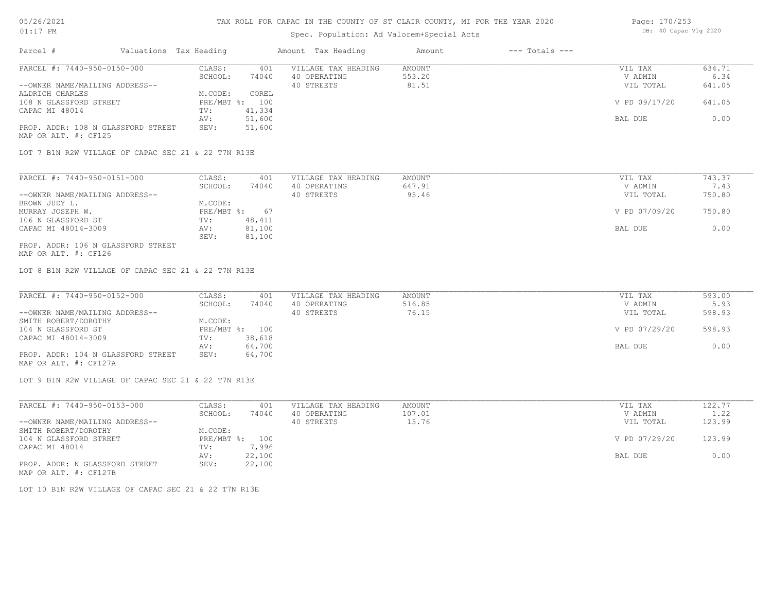## Spec. Population: Ad Valorem+Special Acts

| Page: 170/253 |                       |  |  |  |  |  |
|---------------|-----------------------|--|--|--|--|--|
|               | DB: 40 Capac Vlg 2020 |  |  |  |  |  |

| Parcel #                                            | Valuations Tax Heading |                | Amount Tax Heading  | Amount | $---$ Totals $---$ |               |        |
|-----------------------------------------------------|------------------------|----------------|---------------------|--------|--------------------|---------------|--------|
| PARCEL #: 7440-950-0150-000                         | CLASS:                 | 401            | VILLAGE TAX HEADING | AMOUNT |                    | VIL TAX       | 634.71 |
|                                                     | SCHOOL:                | 74040          | 40 OPERATING        | 553.20 |                    | V ADMIN       | 6.34   |
| --OWNER NAME/MAILING ADDRESS--                      |                        |                | 40 STREETS          | 81.51  |                    | VIL TOTAL     | 641.05 |
| ALDRICH CHARLES                                     | M.CODE:                | COREL          |                     |        |                    |               |        |
| 108 N GLASSFORD STREET                              |                        | PRE/MBT %: 100 |                     |        |                    | V PD 09/17/20 | 641.05 |
| CAPAC MI 48014                                      | TV:                    | 41,334         |                     |        |                    |               |        |
|                                                     | AV:                    | 51,600         |                     |        |                    | BAL DUE       | 0.00   |
| PROP. ADDR: 108 N GLASSFORD STREET                  | SEV:                   | 51,600         |                     |        |                    |               |        |
| MAP OR ALT. #: CF125                                |                        |                |                     |        |                    |               |        |
|                                                     |                        |                |                     |        |                    |               |        |
| LOT 7 B1N R2W VILLAGE OF CAPAC SEC 21 & 22 T7N R13E |                        |                |                     |        |                    |               |        |
|                                                     |                        |                |                     |        |                    |               |        |
|                                                     |                        |                |                     |        |                    |               |        |

| PARCEL #: 7440-950-0151-000        | CLASS:     | 401    | VILLAGE TAX HEADING | AMOUNT | VIL TAX       | 743.37 |
|------------------------------------|------------|--------|---------------------|--------|---------------|--------|
|                                    | SCHOOL:    | 74040  | 40 OPERATING        | 647.91 | V ADMIN       | 7.43   |
| --OWNER NAME/MAILING ADDRESS--     |            |        | 40 STREETS          | 95.46  | VIL TOTAL     | 750.80 |
| BROWN JUDY L.                      | M.CODE:    |        |                     |        |               |        |
| MURRAY JOSEPH W.                   | PRE/MBT %: | 67     |                     |        | V PD 07/09/20 | 750.80 |
| 106 N GLASSFORD ST                 | TV:        | 48,411 |                     |        |               |        |
| CAPAC MI 48014-3009                | AV:        | 81,100 |                     |        | BAL DUE       | 0.00   |
|                                    | SEV:       | 81,100 |                     |        |               |        |
| PROP. ADDR: 106 N GLASSFORD STREET |            |        |                     |        |               |        |

MAP OR ALT. #: CF126

LOT 8 B1N R2W VILLAGE OF CAPAC SEC 21 & 22 T7N R13E

| PARCEL #: 7440-950-0152-000        | CLASS:  | 401            | VILLAGE TAX HEADING | AMOUNT | VIL TAX       | 593.00 |
|------------------------------------|---------|----------------|---------------------|--------|---------------|--------|
|                                    | SCHOOL: | 74040          | 40 OPERATING        | 516.85 | V ADMIN       | 5.93   |
| --OWNER NAME/MAILING ADDRESS--     |         |                | 40 STREETS          | 76.15  | VIL TOTAL     | 598.93 |
| SMITH ROBERT/DOROTHY               | M.CODE: |                |                     |        |               |        |
| 104 N GLASSFORD ST                 |         | PRE/MBT %: 100 |                     |        | V PD 07/29/20 | 598.93 |
| CAPAC MI 48014-3009                | TV:     | 38,618         |                     |        |               |        |
|                                    | AV:     | 64,700         |                     |        | BAL DUE       | 0.00   |
| PROP. ADDR: 104 N GLASSFORD STREET | SEV:    | 64,700         |                     |        |               |        |
| MAP OR ALT. #: CF127A              |         |                |                     |        |               |        |

LOT 9 B1N R2W VILLAGE OF CAPAC SEC 21 & 22 T7N R13E

| PARCEL #: 7440-950-0153-000    | CLASS:  | 401            | VILLAGE TAX HEADING | AMOUNT | VIL TAX       | 122.77 |
|--------------------------------|---------|----------------|---------------------|--------|---------------|--------|
|                                | SCHOOL: | 74040          | 40 OPERATING        | 107.01 | V ADMIN       | 1.22   |
| --OWNER NAME/MAILING ADDRESS-- |         |                | 40 STREETS          | 15.76  | VIL TOTAL     | 123.99 |
| SMITH ROBERT/DOROTHY           | M.CODE: |                |                     |        |               |        |
| 104 N GLASSFORD STREET         |         | PRE/MBT %: 100 |                     |        | V PD 07/29/20 | 123.99 |
| CAPAC MI 48014                 | TV:     | 7,996          |                     |        |               |        |
|                                | AV:     | 22,100         |                     |        | BAL DUE       | 0.00   |
| PROP. ADDR: N GLASSFORD STREET | SEV:    | 22,100         |                     |        |               |        |
| MAP OR ALT. #: CF127B          |         |                |                     |        |               |        |

LOT 10 B1N R2W VILLAGE OF CAPAC SEC 21 & 22 T7N R13E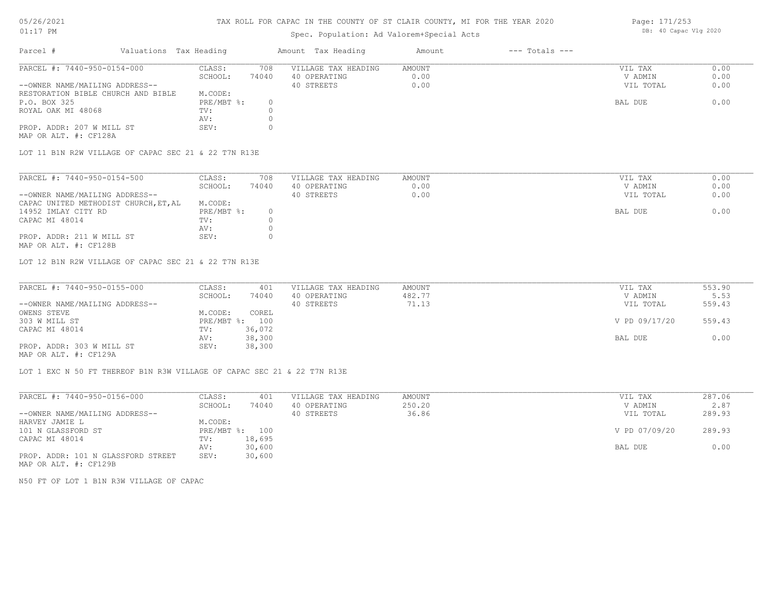#### TAX ROLL FOR CAPAC IN THE COUNTY OF ST CLAIR COUNTY, MI FOR THE YEAR 2020

## Spec. Population: Ad Valorem+Special Acts

| Parcel #                           | Valuations Tax Heading |       | Amount Tax Heading  | Amount | $---$ Totals $---$ |           |      |
|------------------------------------|------------------------|-------|---------------------|--------|--------------------|-----------|------|
| PARCEL #: 7440-950-0154-000        | CLASS:                 | 708   | VILLAGE TAX HEADING | AMOUNT |                    | VIL TAX   | 0.00 |
|                                    | SCHOOL:                | 74040 | 40 OPERATING        | 0.00   |                    | V ADMIN   | 0.00 |
| --OWNER NAME/MAILING ADDRESS--     |                        |       | 40 STREETS          | 0.00   |                    | VIL TOTAL | 0.00 |
| RESTORATION BIBLE CHURCH AND BIBLE | M.CODE:                |       |                     |        |                    |           |      |
| P.O. BOX 325                       | PRE/MBT %:             |       |                     |        |                    | BAL DUE   | 0.00 |
| ROYAL OAK MI 48068                 | TV:                    |       |                     |        |                    |           |      |
|                                    | AV:                    |       |                     |        |                    |           |      |
| PROP. ADDR: 207 W MILL ST          | SEV:                   |       |                     |        |                    |           |      |
|                                    |                        |       |                     |        |                    |           |      |

MAP OR ALT. #: CF128A

LOT 11 B1N R2W VILLAGE OF CAPAC SEC 21 & 22 T7N R13E

| PARCEL #: 7440-950-0154-500           | CLASS:     | 708   | VILLAGE TAX HEADING | AMOUNT | VIL TAX   | 0.00 |
|---------------------------------------|------------|-------|---------------------|--------|-----------|------|
|                                       | SCHOOL:    | 74040 | 40 OPERATING        | 0.00   | V ADMIN   | 0.00 |
| --OWNER NAME/MAILING ADDRESS--        |            |       | 40 STREETS          | 0.00   | VIL TOTAL | 0.00 |
| CAPAC UNITED METHODIST CHURCH, ET, AL | M.CODE:    |       |                     |        |           |      |
| 14952 IMLAY CITY RD                   | PRE/MBT %: |       |                     |        | BAL DUE   | 0.00 |
| CAPAC MI 48014                        | TV:        |       |                     |        |           |      |
|                                       | AV:        |       |                     |        |           |      |
| PROP. ADDR: 211 W MILL ST             | SEV:       |       |                     |        |           |      |

MAP OR ALT. #: CF128B

LOT 12 B1N R2W VILLAGE OF CAPAC SEC 21 & 22 T7N R13E

| PARCEL #: 7440-950-0155-000                           | CLASS:     | 401    | VILLAGE TAX HEADING | AMOUNT | VIL TAX       | 553.90 |
|-------------------------------------------------------|------------|--------|---------------------|--------|---------------|--------|
|                                                       | SCHOOL:    | 74040  | 40 OPERATING        | 482.77 | V ADMIN       | 5.53   |
| --OWNER NAME/MAILING ADDRESS--                        |            |        | 40 STREETS          | 71.13  | VIL TOTAL     | 559.43 |
| OWENS STEVE                                           | M.CODE:    | COREL  |                     |        |               |        |
| 303 W MILL ST                                         | PRE/MBT %: | 100    |                     |        | V PD 09/17/20 | 559.43 |
| CAPAC MI 48014                                        | TV:        | 36,072 |                     |        |               |        |
|                                                       | AV:        | 38,300 |                     |        | BAL DUE       | 0.00   |
| PROP. ADDR: 303 W MILL ST                             | SEV:       | 38,300 |                     |        |               |        |
| $\cdots$ $\cdots$ $\cdots$ $\cdots$ $\cdots$ $\cdots$ |            |        |                     |        |               |        |

MAP OR ALT. #: CF129A

LOT 1 EXC N 50 FT THEREOF B1N R3W VILLAGE OF CAPAC SEC 21 & 22 T7N R13E

| PARCEL #: 7440-950-0156-000        | CLASS:  | 401            | VILLAGE TAX HEADING | AMOUNT | VIL TAX       | 287.06 |
|------------------------------------|---------|----------------|---------------------|--------|---------------|--------|
|                                    | SCHOOL: | 74040          | 40 OPERATING        | 250.20 | V ADMIN       | 2.87   |
| --OWNER NAME/MAILING ADDRESS--     |         |                | 40 STREETS          | 36.86  | VIL TOTAL     | 289.93 |
| HARVEY JAMIE L                     | M.CODE: |                |                     |        |               |        |
| 101 N GLASSFORD ST                 |         | PRE/MBT %: 100 |                     |        | V PD 07/09/20 | 289.93 |
| CAPAC MI 48014                     | TV:     | 18,695         |                     |        |               |        |
|                                    | AV:     | 30,600         |                     |        | BAL DUE       | 0.00   |
| PROP. ADDR: 101 N GLASSFORD STREET | SEV:    | 30,600         |                     |        |               |        |
| MAP OR ALT. #: CF129B              |         |                |                     |        |               |        |

N50 FT OF LOT 1 B1N R3W VILLAGE OF CAPAC

Page: 171/253 DB: 40 Capac Vlg 2020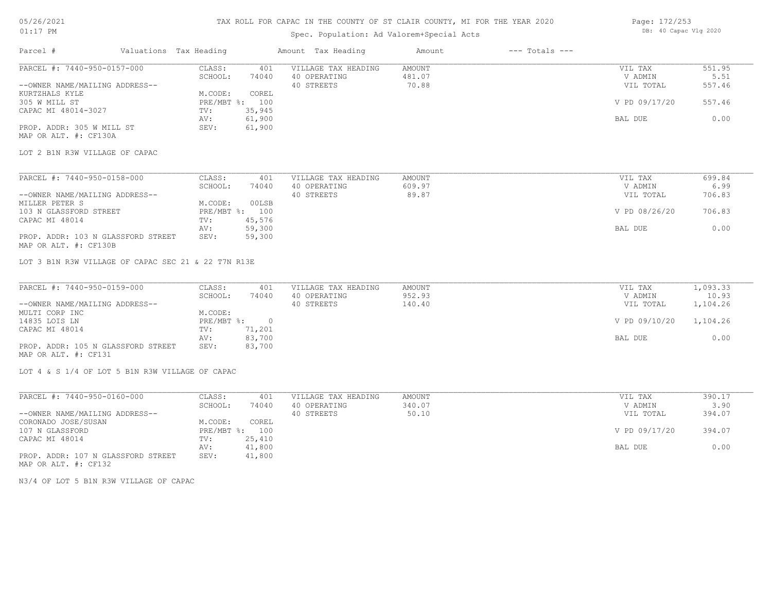## TAX ROLL FOR CAPAC IN THE COUNTY OF ST CLAIR COUNTY, MI FOR THE YEAR 2020

# Spec. Population: Ad Valorem+Special Acts

| Page: 172/253 |                       |  |
|---------------|-----------------------|--|
|               | DB: 40 Capac Vlg 2020 |  |

| Parcel #                                                      | Valuations Tax Heading                              | Amount Tax Heading                                | Amount                    | $---$ Totals $---$ |                                 |                          |
|---------------------------------------------------------------|-----------------------------------------------------|---------------------------------------------------|---------------------------|--------------------|---------------------------------|--------------------------|
| PARCEL #: 7440-950-0157-000<br>--OWNER NAME/MAILING ADDRESS-- | CLASS:<br>401<br>SCHOOL:<br>74040                   | VILLAGE TAX HEADING<br>40 OPERATING<br>40 STREETS | AMOUNT<br>481.07<br>70.88 |                    | VIL TAX<br>V ADMIN<br>VIL TOTAL | 551.95<br>5.51<br>557.46 |
| KURTZHALS KYLE<br>305 W MILL ST<br>CAPAC MI 48014-3027        | M.CODE:<br>COREL<br>PRE/MBT %: 100<br>35,945<br>TV: |                                                   |                           |                    | V PD 09/17/20                   | 557.46                   |
| PROP. ADDR: 305 W MILL ST<br>MAP OR ALT. #: CF130A            | 61,900<br>AV:<br>61,900<br>SEV:                     |                                                   |                           |                    | BAL DUE                         | 0.00                     |
| LOT 2 B1N R3W VILLAGE OF CAPAC                                |                                                     |                                                   |                           |                    |                                 |                          |
| PARCEL #: 7440-950-0158-000                                   | CLASS:<br>401                                       | VILLAGE TAX HEADING                               | <b>AMOUNT</b>             |                    | VIL TAX                         | 699.84                   |
| --OWNER NAME/MAILING ADDRESS--                                | SCHOOL:<br>74040                                    | 40 OPERATING<br>40 STREETS                        | 609.97<br>89.87           |                    | V ADMIN<br>VIL TOTAL            | 6.99<br>706.83           |
| MILLER PETER S<br>103 N GLASSFORD STREET<br>CAPAC MI 48014    | M.CODE:<br>00LSB<br>PRE/MBT %: 100<br>45,576<br>TV: |                                                   |                           |                    | V PD 08/26/20                   | 706.83                   |
| PROP. ADDR: 103 N GLASSFORD STREET<br>MAP OR ALT. #: CF130B   | 59,300<br>AV:<br>SEV:<br>59,300                     |                                                   |                           |                    | BAL DUE                         | 0.00                     |
| LOT 3 B1N R3W VILLAGE OF CAPAC SEC 21 & 22 T7N R13E           |                                                     |                                                   |                           |                    |                                 |                          |
| PARCEL #: 7440-950-0159-000                                   | CLASS:<br>401                                       | VILLAGE TAX HEADING                               | AMOUNT                    |                    | VIL TAX                         | 1,093.33                 |
| --OWNER NAME/MAILING ADDRESS--<br>MULTI CORP INC              | SCHOOL:<br>74040<br>M.CODE:                         | 40 OPERATING<br>40 STREETS                        | 952.93<br>140.40          |                    | V ADMIN<br>VIL TOTAL            | 10.93<br>1,104.26        |
| 14835 LOIS LN<br>CAPAC MI 48014                               | PRE/MBT %: 0<br>71,201<br>TV:                       |                                                   |                           |                    | V PD 09/10/20                   | 1,104.26                 |
| PROP. ADDR: 105 N GLASSFORD STREET<br>MAP OR ALT. #: CF131    | 83,700<br>AV:<br>83,700<br>SEV:                     |                                                   |                           |                    | BAL DUE                         | 0.00                     |
| LOT 4 & S 1/4 OF LOT 5 B1N R3W VILLAGE OF CAPAC               |                                                     |                                                   |                           |                    |                                 |                          |
| PARCEL #: 7440-950-0160-000                                   | CLASS:<br>401                                       | VILLAGE TAX HEADING                               | AMOUNT                    |                    | VIL TAX                         | 390.17                   |
| --OWNER NAME/MAILING ADDRESS--                                | SCHOOL:<br>74040                                    | 40 OPERATING<br>40 STREETS                        | 340.07<br>50.10           |                    | V ADMIN<br>VIL TOTAL            | 3.90<br>394.07           |
| CORONADO JOSE/SUSAN<br>107 N GLASSFORD<br>CAPAC MI 48014      | COREL<br>M.CODE:<br>PRE/MBT %: 100<br>TV:<br>25,410 |                                                   |                           |                    | V PD 09/17/20                   | 394.07                   |
|                                                               | 41,800<br>AV:                                       |                                                   |                           |                    | BAL DUE                         | 0.00                     |

MAP OR ALT. #: CF132

N3/4 OF LOT 5 B1N R3W VILLAGE OF CAPAC

PROP. ADDR: 107 N GLASSFORD STREET SEV: 41,800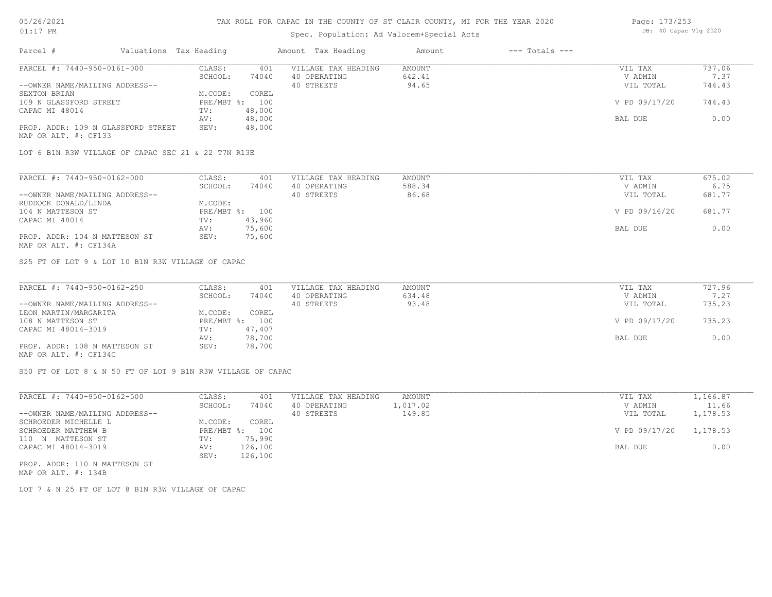## Spec. Population: Ad Valorem+Special Acts

| Page: 173/253 |                       |  |
|---------------|-----------------------|--|
|               | DB: 40 Capac Vlg 2020 |  |

| Parcel #                           | Valuations Tax Heading |        | Amount Tax Heading  | Amount | $---$ Totals $---$ |               |        |
|------------------------------------|------------------------|--------|---------------------|--------|--------------------|---------------|--------|
| PARCEL #: 7440-950-0161-000        | CLASS:                 | 401    | VILLAGE TAX HEADING | AMOUNT |                    | VIL TAX       | 737.06 |
|                                    | SCHOOL:                | 74040  | 40 OPERATING        | 642.41 |                    | V ADMIN       | 7.37   |
| --OWNER NAME/MAILING ADDRESS--     |                        |        | 40 STREETS          | 94.65  |                    | VIL TOTAL     | 744.43 |
| SEXTON BRIAN                       | M.CODE:                | COREL  |                     |        |                    |               |        |
| 109 N GLASSFORD STREET             | $PRE/MBT$ %:           | 100    |                     |        |                    | V PD 09/17/20 | 744.43 |
| CAPAC MI 48014                     | TV:                    | 48,000 |                     |        |                    |               |        |
|                                    | AV:                    | 48,000 |                     |        |                    | BAL DUE       | 0.00   |
| PROP. ADDR: 109 N GLASSFORD STREET | SEV:                   | 48,000 |                     |        |                    |               |        |
| MAP OR ALT. #: CF133               |                        |        |                     |        |                    |               |        |

LOT 6 B1N R3W VILLAGE OF CAPAC SEC 21 & 22 T7N R13E

| PARCEL #: 7440-950-0162-000    | CLASS:  | 401            | VILLAGE TAX HEADING | AMOUNT | VIL TAX       | 675.02 |
|--------------------------------|---------|----------------|---------------------|--------|---------------|--------|
|                                | SCHOOL: | 74040          | 40 OPERATING        | 588.34 | V ADMIN       | 6.75   |
| --OWNER NAME/MAILING ADDRESS-- |         |                | 40 STREETS          | 86.68  | VIL TOTAL     | 681.77 |
| RUDDOCK DONALD/LINDA           | M.CODE: |                |                     |        |               |        |
| 104 N MATTESON ST              |         | PRE/MBT %: 100 |                     |        | V PD 09/16/20 | 681.77 |
| CAPAC MI 48014                 | TV:     | 43,960         |                     |        |               |        |
|                                | AV:     | 75,600         |                     |        | BAL DUE       | 0.00   |
| PROP. ADDR: 104 N MATTESON ST  | SEV:    | 75,600         |                     |        |               |        |
| MAP OR ALT. #: CF134A          |         |                |                     |        |               |        |

S25 FT OF LOT 9 & LOT 10 B1N R3W VILLAGE OF CAPAC

| PARCEL #: 7440-950-0162-250    | CLASS:  | 401            | VILLAGE TAX HEADING | AMOUNT | VIL TAX       | 727.96 |
|--------------------------------|---------|----------------|---------------------|--------|---------------|--------|
|                                | SCHOOL: | 74040          | 40 OPERATING        | 634.48 | V ADMIN       | 7.27   |
| --OWNER NAME/MAILING ADDRESS-- |         |                | 40 STREETS          | 93.48  | VIL TOTAL     | 735.23 |
| LEON MARTIN/MARGARITA          | M.CODE: | COREL          |                     |        |               |        |
| 108 N MATTESON ST              |         | PRE/MBT %: 100 |                     |        | V PD 09/17/20 | 735.23 |
| CAPAC MI 48014-3019            | TV:     | 47,407         |                     |        |               |        |
|                                | AV:     | 78,700         |                     |        | BAL DUE       | 0.00   |
| PROP. ADDR: 108 N MATTESON ST  | SEV:    | 78,700         |                     |        |               |        |
| MAP OR ALT. #: CF134C          |         |                |                     |        |               |        |

S50 FT OF LOT 8 & N 50 FT OF LOT 9 B1N R3W VILLAGE OF CAPAC

| PARCEL #: 7440-950-0162-500    | CLASS:       | 401     | VILLAGE TAX HEADING | AMOUNT   | VIL TAX                | 1,166.87 |
|--------------------------------|--------------|---------|---------------------|----------|------------------------|----------|
|                                | SCHOOL:      | 74040   | 40 OPERATING        | 1,017.02 | V ADMIN                | 11.66    |
| --OWNER NAME/MAILING ADDRESS-- |              |         | 40 STREETS          | 149.85   | VIL TOTAL              | 1,178.53 |
| SCHROEDER MICHELLE L           | M.CODE:      | COREL   |                     |          |                        |          |
| SCHROEDER MATTHEW B            | $PRE/MBT$ %: | 100     |                     |          | V PD 09/17/20 1,178.53 |          |
| 110 N MATTESON ST              | TV:          | 75,990  |                     |          |                        |          |
| CAPAC MI 48014-3019            | AV:          | 126,100 |                     |          | BAL DUE                | 0.00     |
|                                | SEV:         | 126,100 |                     |          |                        |          |
| PROP. ADDR: 110 N MATTESON ST  |              |         |                     |          |                        |          |

MAP OR ALT. #: 134B

LOT 7 & N 25 FT OF LOT 8 B1N R3W VILLAGE OF CAPAC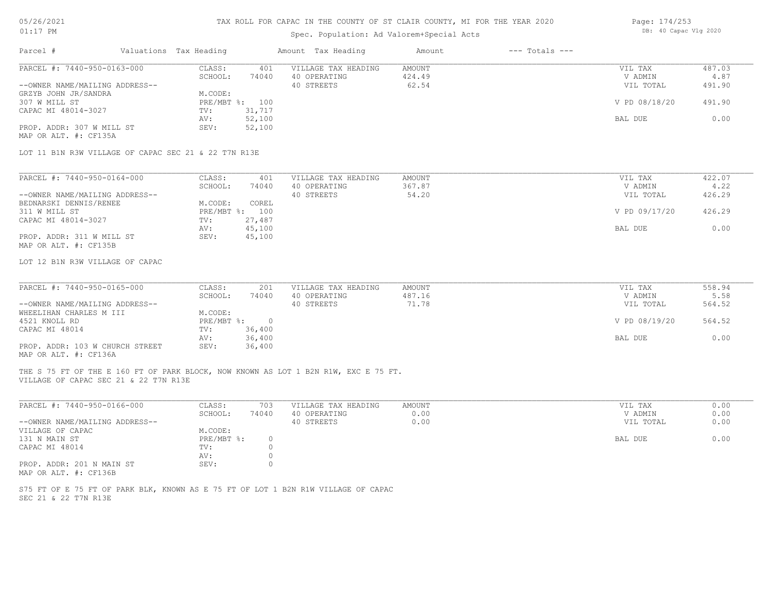# TAX ROLL FOR CAPAC IN THE COUNTY OF ST CLAIR COUNTY, MI FOR THE YEAR 2020

# Spec. Population: Ad Valorem+Special Acts

| Page: 174/253 |                       |  |
|---------------|-----------------------|--|
|               | DB: 40 Capac Vlg 2020 |  |

| PARCEL #: 7440-950-0163-000<br>CLASS:<br>VILLAGE TAX HEADING<br><b>AMOUNT</b><br>487.03<br>401<br>VIL TAX<br>SCHOOL:<br>40 OPERATING<br>424.49<br>V ADMIN<br>4.87<br>74040<br>40 STREETS<br>62.54<br>491.90<br>--OWNER NAME/MAILING ADDRESS--<br>VIL TOTAL<br>GRZYB JOHN JR/SANDRA<br>M.CODE:<br>307 W MILL ST<br>PRE/MBT %: 100<br>V PD 08/18/20<br>491.90<br>CAPAC MI 48014-3027<br>31,717<br>TV:<br>52,100<br>0.00<br>AV:<br>BAL DUE<br>52,100<br>PROP. ADDR: 307 W MILL ST<br>SEV:<br>MAP OR ALT. #: CF135A<br>LOT 11 B1N R3W VILLAGE OF CAPAC SEC 21 & 22 T7N R13E<br>PARCEL #: 7440-950-0164-000<br>CLASS:<br>VILLAGE TAX HEADING<br>AMOUNT<br>422.07<br>VIL TAX<br>401<br>367.87<br>40 OPERATING<br>4.22<br>SCHOOL:<br>74040<br>V ADMIN<br>--OWNER NAME/MAILING ADDRESS--<br>40 STREETS<br>54.20<br>VIL TOTAL<br>426.29<br>COREL<br>BEDNARSKI DENNIS/RENEE<br>M.CODE:<br>311 W MILL ST<br>PRE/MBT %: 100<br>V PD 09/17/20<br>426.29<br>CAPAC MI 48014-3027<br>27,487<br>TV:<br>45,100<br>0.00<br>AV:<br>BAL DUE<br>PROP. ADDR: 311 W MILL ST<br>SEV:<br>45,100<br>MAP OR ALT. #: CF135B<br>LOT 12 B1N R3W VILLAGE OF CAPAC<br>PARCEL #: 7440-950-0165-000<br>VILLAGE TAX HEADING<br>558.94<br>CLASS:<br>201<br>AMOUNT<br>VIL TAX<br>SCHOOL:<br>40 OPERATING<br>487.16<br>V ADMIN<br>74040<br>5.58<br>40 STREETS<br>71.78<br>VIL TOTAL<br>564.52<br>--OWNER NAME/MAILING ADDRESS--<br>WHEELIHAN CHARLES M III<br>M.CODE:<br>$PRE/MBT$ %:<br>4521 KNOLL RD<br>$\overline{0}$<br>V PD 08/19/20<br>564.52<br>CAPAC MI 48014<br>36,400<br>TV:<br>0.00<br>36,400<br>BAL DUE<br>AV:<br>PROP. ADDR: 103 W CHURCH STREET<br>SEV:<br>36,400<br>MAP OR ALT. #: CF136A<br>THE S 75 FT OF THE E 160 FT OF PARK BLOCK, NOW KNOWN AS LOT 1 B2N R1W, EXC E 75 FT.<br>VILLAGE OF CAPAC SEC 21 & 22 T7N R13E<br>PARCEL #: 7440-950-0166-000<br>VILLAGE TAX HEADING<br>AMOUNT<br>0.00<br>CLASS:<br>703<br>VIL TAX<br>SCHOOL:<br>40 OPERATING<br>0.00<br>0.00<br>74040<br>V ADMIN<br>--OWNER NAME/MAILING ADDRESS--<br>40 STREETS<br>0.00<br>0.00<br>VIL TOTAL<br>VILLAGE OF CAPAC<br>M.CODE:<br>131 N MAIN ST<br>PRE/MBT %:<br>BAL DUE<br>0.00<br>$\circ$<br>CAPAC MI 48014<br>TV:<br>$\circ$<br>$\circ$<br>AV:<br>PROP. ADDR: 201 N MAIN ST<br>SEV:<br>$\Omega$<br>MAP OR ALT. #: CF136B<br>S75 FT OF E 75 FT OF PARK BLK, KNOWN AS E 75 FT OF LOT 1 B2N R1W VILLAGE OF CAPAC<br>SEC 21 & 22 T7N R13E | Parcel # | Valuations Tax Heading |  | Amount Tax Heading | Amount | $---$ Totals $---$ |  |
|--------------------------------------------------------------------------------------------------------------------------------------------------------------------------------------------------------------------------------------------------------------------------------------------------------------------------------------------------------------------------------------------------------------------------------------------------------------------------------------------------------------------------------------------------------------------------------------------------------------------------------------------------------------------------------------------------------------------------------------------------------------------------------------------------------------------------------------------------------------------------------------------------------------------------------------------------------------------------------------------------------------------------------------------------------------------------------------------------------------------------------------------------------------------------------------------------------------------------------------------------------------------------------------------------------------------------------------------------------------------------------------------------------------------------------------------------------------------------------------------------------------------------------------------------------------------------------------------------------------------------------------------------------------------------------------------------------------------------------------------------------------------------------------------------------------------------------------------------------------------------------------------------------------------------------------------------------------------------------------------------------------------------------------------------------------------------------------------------------------------------------------------------------------------------------------------------------------------------------------------------------------------------------------------------------------------------------------------------------------------------------------------|----------|------------------------|--|--------------------|--------|--------------------|--|
|                                                                                                                                                                                                                                                                                                                                                                                                                                                                                                                                                                                                                                                                                                                                                                                                                                                                                                                                                                                                                                                                                                                                                                                                                                                                                                                                                                                                                                                                                                                                                                                                                                                                                                                                                                                                                                                                                                                                                                                                                                                                                                                                                                                                                                                                                                                                                                                            |          |                        |  |                    |        |                    |  |
|                                                                                                                                                                                                                                                                                                                                                                                                                                                                                                                                                                                                                                                                                                                                                                                                                                                                                                                                                                                                                                                                                                                                                                                                                                                                                                                                                                                                                                                                                                                                                                                                                                                                                                                                                                                                                                                                                                                                                                                                                                                                                                                                                                                                                                                                                                                                                                                            |          |                        |  |                    |        |                    |  |
|                                                                                                                                                                                                                                                                                                                                                                                                                                                                                                                                                                                                                                                                                                                                                                                                                                                                                                                                                                                                                                                                                                                                                                                                                                                                                                                                                                                                                                                                                                                                                                                                                                                                                                                                                                                                                                                                                                                                                                                                                                                                                                                                                                                                                                                                                                                                                                                            |          |                        |  |                    |        |                    |  |
|                                                                                                                                                                                                                                                                                                                                                                                                                                                                                                                                                                                                                                                                                                                                                                                                                                                                                                                                                                                                                                                                                                                                                                                                                                                                                                                                                                                                                                                                                                                                                                                                                                                                                                                                                                                                                                                                                                                                                                                                                                                                                                                                                                                                                                                                                                                                                                                            |          |                        |  |                    |        |                    |  |
|                                                                                                                                                                                                                                                                                                                                                                                                                                                                                                                                                                                                                                                                                                                                                                                                                                                                                                                                                                                                                                                                                                                                                                                                                                                                                                                                                                                                                                                                                                                                                                                                                                                                                                                                                                                                                                                                                                                                                                                                                                                                                                                                                                                                                                                                                                                                                                                            |          |                        |  |                    |        |                    |  |
|                                                                                                                                                                                                                                                                                                                                                                                                                                                                                                                                                                                                                                                                                                                                                                                                                                                                                                                                                                                                                                                                                                                                                                                                                                                                                                                                                                                                                                                                                                                                                                                                                                                                                                                                                                                                                                                                                                                                                                                                                                                                                                                                                                                                                                                                                                                                                                                            |          |                        |  |                    |        |                    |  |
|                                                                                                                                                                                                                                                                                                                                                                                                                                                                                                                                                                                                                                                                                                                                                                                                                                                                                                                                                                                                                                                                                                                                                                                                                                                                                                                                                                                                                                                                                                                                                                                                                                                                                                                                                                                                                                                                                                                                                                                                                                                                                                                                                                                                                                                                                                                                                                                            |          |                        |  |                    |        |                    |  |
|                                                                                                                                                                                                                                                                                                                                                                                                                                                                                                                                                                                                                                                                                                                                                                                                                                                                                                                                                                                                                                                                                                                                                                                                                                                                                                                                                                                                                                                                                                                                                                                                                                                                                                                                                                                                                                                                                                                                                                                                                                                                                                                                                                                                                                                                                                                                                                                            |          |                        |  |                    |        |                    |  |
|                                                                                                                                                                                                                                                                                                                                                                                                                                                                                                                                                                                                                                                                                                                                                                                                                                                                                                                                                                                                                                                                                                                                                                                                                                                                                                                                                                                                                                                                                                                                                                                                                                                                                                                                                                                                                                                                                                                                                                                                                                                                                                                                                                                                                                                                                                                                                                                            |          |                        |  |                    |        |                    |  |
|                                                                                                                                                                                                                                                                                                                                                                                                                                                                                                                                                                                                                                                                                                                                                                                                                                                                                                                                                                                                                                                                                                                                                                                                                                                                                                                                                                                                                                                                                                                                                                                                                                                                                                                                                                                                                                                                                                                                                                                                                                                                                                                                                                                                                                                                                                                                                                                            |          |                        |  |                    |        |                    |  |
|                                                                                                                                                                                                                                                                                                                                                                                                                                                                                                                                                                                                                                                                                                                                                                                                                                                                                                                                                                                                                                                                                                                                                                                                                                                                                                                                                                                                                                                                                                                                                                                                                                                                                                                                                                                                                                                                                                                                                                                                                                                                                                                                                                                                                                                                                                                                                                                            |          |                        |  |                    |        |                    |  |
|                                                                                                                                                                                                                                                                                                                                                                                                                                                                                                                                                                                                                                                                                                                                                                                                                                                                                                                                                                                                                                                                                                                                                                                                                                                                                                                                                                                                                                                                                                                                                                                                                                                                                                                                                                                                                                                                                                                                                                                                                                                                                                                                                                                                                                                                                                                                                                                            |          |                        |  |                    |        |                    |  |
|                                                                                                                                                                                                                                                                                                                                                                                                                                                                                                                                                                                                                                                                                                                                                                                                                                                                                                                                                                                                                                                                                                                                                                                                                                                                                                                                                                                                                                                                                                                                                                                                                                                                                                                                                                                                                                                                                                                                                                                                                                                                                                                                                                                                                                                                                                                                                                                            |          |                        |  |                    |        |                    |  |
|                                                                                                                                                                                                                                                                                                                                                                                                                                                                                                                                                                                                                                                                                                                                                                                                                                                                                                                                                                                                                                                                                                                                                                                                                                                                                                                                                                                                                                                                                                                                                                                                                                                                                                                                                                                                                                                                                                                                                                                                                                                                                                                                                                                                                                                                                                                                                                                            |          |                        |  |                    |        |                    |  |
|                                                                                                                                                                                                                                                                                                                                                                                                                                                                                                                                                                                                                                                                                                                                                                                                                                                                                                                                                                                                                                                                                                                                                                                                                                                                                                                                                                                                                                                                                                                                                                                                                                                                                                                                                                                                                                                                                                                                                                                                                                                                                                                                                                                                                                                                                                                                                                                            |          |                        |  |                    |        |                    |  |
|                                                                                                                                                                                                                                                                                                                                                                                                                                                                                                                                                                                                                                                                                                                                                                                                                                                                                                                                                                                                                                                                                                                                                                                                                                                                                                                                                                                                                                                                                                                                                                                                                                                                                                                                                                                                                                                                                                                                                                                                                                                                                                                                                                                                                                                                                                                                                                                            |          |                        |  |                    |        |                    |  |
|                                                                                                                                                                                                                                                                                                                                                                                                                                                                                                                                                                                                                                                                                                                                                                                                                                                                                                                                                                                                                                                                                                                                                                                                                                                                                                                                                                                                                                                                                                                                                                                                                                                                                                                                                                                                                                                                                                                                                                                                                                                                                                                                                                                                                                                                                                                                                                                            |          |                        |  |                    |        |                    |  |
|                                                                                                                                                                                                                                                                                                                                                                                                                                                                                                                                                                                                                                                                                                                                                                                                                                                                                                                                                                                                                                                                                                                                                                                                                                                                                                                                                                                                                                                                                                                                                                                                                                                                                                                                                                                                                                                                                                                                                                                                                                                                                                                                                                                                                                                                                                                                                                                            |          |                        |  |                    |        |                    |  |
|                                                                                                                                                                                                                                                                                                                                                                                                                                                                                                                                                                                                                                                                                                                                                                                                                                                                                                                                                                                                                                                                                                                                                                                                                                                                                                                                                                                                                                                                                                                                                                                                                                                                                                                                                                                                                                                                                                                                                                                                                                                                                                                                                                                                                                                                                                                                                                                            |          |                        |  |                    |        |                    |  |
|                                                                                                                                                                                                                                                                                                                                                                                                                                                                                                                                                                                                                                                                                                                                                                                                                                                                                                                                                                                                                                                                                                                                                                                                                                                                                                                                                                                                                                                                                                                                                                                                                                                                                                                                                                                                                                                                                                                                                                                                                                                                                                                                                                                                                                                                                                                                                                                            |          |                        |  |                    |        |                    |  |
|                                                                                                                                                                                                                                                                                                                                                                                                                                                                                                                                                                                                                                                                                                                                                                                                                                                                                                                                                                                                                                                                                                                                                                                                                                                                                                                                                                                                                                                                                                                                                                                                                                                                                                                                                                                                                                                                                                                                                                                                                                                                                                                                                                                                                                                                                                                                                                                            |          |                        |  |                    |        |                    |  |
|                                                                                                                                                                                                                                                                                                                                                                                                                                                                                                                                                                                                                                                                                                                                                                                                                                                                                                                                                                                                                                                                                                                                                                                                                                                                                                                                                                                                                                                                                                                                                                                                                                                                                                                                                                                                                                                                                                                                                                                                                                                                                                                                                                                                                                                                                                                                                                                            |          |                        |  |                    |        |                    |  |
|                                                                                                                                                                                                                                                                                                                                                                                                                                                                                                                                                                                                                                                                                                                                                                                                                                                                                                                                                                                                                                                                                                                                                                                                                                                                                                                                                                                                                                                                                                                                                                                                                                                                                                                                                                                                                                                                                                                                                                                                                                                                                                                                                                                                                                                                                                                                                                                            |          |                        |  |                    |        |                    |  |
|                                                                                                                                                                                                                                                                                                                                                                                                                                                                                                                                                                                                                                                                                                                                                                                                                                                                                                                                                                                                                                                                                                                                                                                                                                                                                                                                                                                                                                                                                                                                                                                                                                                                                                                                                                                                                                                                                                                                                                                                                                                                                                                                                                                                                                                                                                                                                                                            |          |                        |  |                    |        |                    |  |
|                                                                                                                                                                                                                                                                                                                                                                                                                                                                                                                                                                                                                                                                                                                                                                                                                                                                                                                                                                                                                                                                                                                                                                                                                                                                                                                                                                                                                                                                                                                                                                                                                                                                                                                                                                                                                                                                                                                                                                                                                                                                                                                                                                                                                                                                                                                                                                                            |          |                        |  |                    |        |                    |  |
|                                                                                                                                                                                                                                                                                                                                                                                                                                                                                                                                                                                                                                                                                                                                                                                                                                                                                                                                                                                                                                                                                                                                                                                                                                                                                                                                                                                                                                                                                                                                                                                                                                                                                                                                                                                                                                                                                                                                                                                                                                                                                                                                                                                                                                                                                                                                                                                            |          |                        |  |                    |        |                    |  |
|                                                                                                                                                                                                                                                                                                                                                                                                                                                                                                                                                                                                                                                                                                                                                                                                                                                                                                                                                                                                                                                                                                                                                                                                                                                                                                                                                                                                                                                                                                                                                                                                                                                                                                                                                                                                                                                                                                                                                                                                                                                                                                                                                                                                                                                                                                                                                                                            |          |                        |  |                    |        |                    |  |
|                                                                                                                                                                                                                                                                                                                                                                                                                                                                                                                                                                                                                                                                                                                                                                                                                                                                                                                                                                                                                                                                                                                                                                                                                                                                                                                                                                                                                                                                                                                                                                                                                                                                                                                                                                                                                                                                                                                                                                                                                                                                                                                                                                                                                                                                                                                                                                                            |          |                        |  |                    |        |                    |  |
|                                                                                                                                                                                                                                                                                                                                                                                                                                                                                                                                                                                                                                                                                                                                                                                                                                                                                                                                                                                                                                                                                                                                                                                                                                                                                                                                                                                                                                                                                                                                                                                                                                                                                                                                                                                                                                                                                                                                                                                                                                                                                                                                                                                                                                                                                                                                                                                            |          |                        |  |                    |        |                    |  |
|                                                                                                                                                                                                                                                                                                                                                                                                                                                                                                                                                                                                                                                                                                                                                                                                                                                                                                                                                                                                                                                                                                                                                                                                                                                                                                                                                                                                                                                                                                                                                                                                                                                                                                                                                                                                                                                                                                                                                                                                                                                                                                                                                                                                                                                                                                                                                                                            |          |                        |  |                    |        |                    |  |
|                                                                                                                                                                                                                                                                                                                                                                                                                                                                                                                                                                                                                                                                                                                                                                                                                                                                                                                                                                                                                                                                                                                                                                                                                                                                                                                                                                                                                                                                                                                                                                                                                                                                                                                                                                                                                                                                                                                                                                                                                                                                                                                                                                                                                                                                                                                                                                                            |          |                        |  |                    |        |                    |  |
|                                                                                                                                                                                                                                                                                                                                                                                                                                                                                                                                                                                                                                                                                                                                                                                                                                                                                                                                                                                                                                                                                                                                                                                                                                                                                                                                                                                                                                                                                                                                                                                                                                                                                                                                                                                                                                                                                                                                                                                                                                                                                                                                                                                                                                                                                                                                                                                            |          |                        |  |                    |        |                    |  |
|                                                                                                                                                                                                                                                                                                                                                                                                                                                                                                                                                                                                                                                                                                                                                                                                                                                                                                                                                                                                                                                                                                                                                                                                                                                                                                                                                                                                                                                                                                                                                                                                                                                                                                                                                                                                                                                                                                                                                                                                                                                                                                                                                                                                                                                                                                                                                                                            |          |                        |  |                    |        |                    |  |
|                                                                                                                                                                                                                                                                                                                                                                                                                                                                                                                                                                                                                                                                                                                                                                                                                                                                                                                                                                                                                                                                                                                                                                                                                                                                                                                                                                                                                                                                                                                                                                                                                                                                                                                                                                                                                                                                                                                                                                                                                                                                                                                                                                                                                                                                                                                                                                                            |          |                        |  |                    |        |                    |  |
|                                                                                                                                                                                                                                                                                                                                                                                                                                                                                                                                                                                                                                                                                                                                                                                                                                                                                                                                                                                                                                                                                                                                                                                                                                                                                                                                                                                                                                                                                                                                                                                                                                                                                                                                                                                                                                                                                                                                                                                                                                                                                                                                                                                                                                                                                                                                                                                            |          |                        |  |                    |        |                    |  |
|                                                                                                                                                                                                                                                                                                                                                                                                                                                                                                                                                                                                                                                                                                                                                                                                                                                                                                                                                                                                                                                                                                                                                                                                                                                                                                                                                                                                                                                                                                                                                                                                                                                                                                                                                                                                                                                                                                                                                                                                                                                                                                                                                                                                                                                                                                                                                                                            |          |                        |  |                    |        |                    |  |
|                                                                                                                                                                                                                                                                                                                                                                                                                                                                                                                                                                                                                                                                                                                                                                                                                                                                                                                                                                                                                                                                                                                                                                                                                                                                                                                                                                                                                                                                                                                                                                                                                                                                                                                                                                                                                                                                                                                                                                                                                                                                                                                                                                                                                                                                                                                                                                                            |          |                        |  |                    |        |                    |  |
|                                                                                                                                                                                                                                                                                                                                                                                                                                                                                                                                                                                                                                                                                                                                                                                                                                                                                                                                                                                                                                                                                                                                                                                                                                                                                                                                                                                                                                                                                                                                                                                                                                                                                                                                                                                                                                                                                                                                                                                                                                                                                                                                                                                                                                                                                                                                                                                            |          |                        |  |                    |        |                    |  |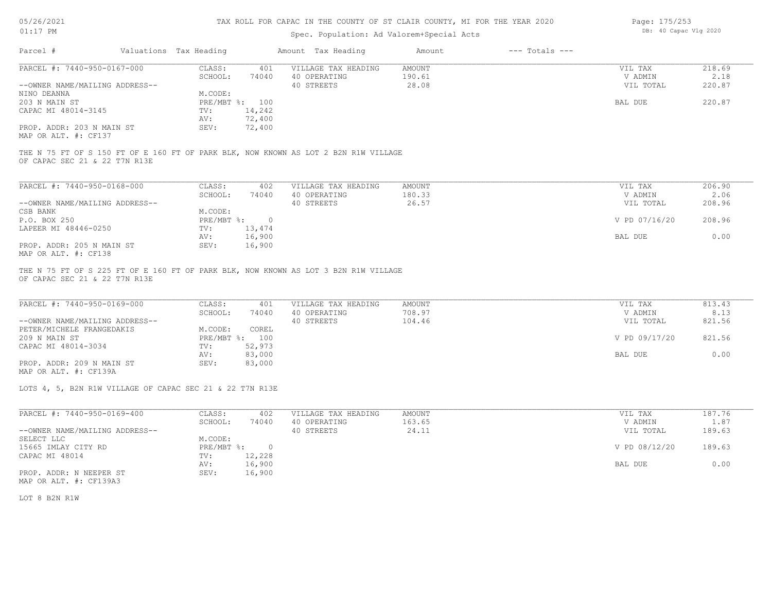| 05/26/2021 |  |
|------------|--|
|            |  |

## Spec. Population: Ad Valorem+Special Acts

| Page: 175/253 |                       |  |
|---------------|-----------------------|--|
|               | DB: 40 Capac Vlg 2020 |  |

| Parcel #                                | Valuations Tax Heading |                | Amount Tax Heading                                                                  | Amount | $---$ Totals $---$ |                   |        |
|-----------------------------------------|------------------------|----------------|-------------------------------------------------------------------------------------|--------|--------------------|-------------------|--------|
| PARCEL #: 7440-950-0167-000             | CLASS:                 | 401            | VILLAGE TAX HEADING                                                                 | AMOUNT |                    | VIL TAX           | 218.69 |
|                                         | SCHOOL:                | 74040          | 40 OPERATING                                                                        | 190.61 |                    | V ADMIN           | 2.18   |
| --OWNER NAME/MAILING ADDRESS--          |                        |                | 40 STREETS                                                                          | 28.08  |                    | VIL TOTAL         | 220.87 |
| NINO DEANNA                             | M.CODE:                |                |                                                                                     |        |                    |                   |        |
| 203 N MAIN ST                           |                        | PRE/MBT %: 100 |                                                                                     |        |                    | BAL DUE           | 220.87 |
| CAPAC MI 48014-3145                     | TV:                    | 14,242         |                                                                                     |        |                    |                   |        |
|                                         | AV:                    | 72,400         |                                                                                     |        |                    |                   |        |
| PROP. ADDR: 203 N MAIN ST               | SEV:                   | 72,400         |                                                                                     |        |                    |                   |        |
| MAP OR ALT. #: CF137                    |                        |                |                                                                                     |        |                    |                   |        |
|                                         |                        |                | THE N 75 FT OF S 150 FT OF E 160 FT OF PARK BLK, NOW KNOWN AS LOT 2 B2N R1W VILLAGE |        |                    |                   |        |
| OF CAPAC SEC 21 & 22 T7N R13E           |                        |                |                                                                                     |        |                    |                   |        |
| PARCEL #: 7440-950-0168-000             | CLASS:                 | 402            | VILLAGE TAX HEADING                                                                 | AMOUNT |                    | VIL TAX           | 206.90 |
|                                         | SCHOOL:                | 74040          | 40 OPERATING                                                                        | 180.33 |                    | V ADMIN           | 2.06   |
| $L = 0$ WNED NAME (MATITNC ADDECC $L =$ |                        |                | <b>AA</b> CUPPEUG                                                                   | 26.57  |                    | <b>IZTT MOMAT</b> | 200006 |

| --OWNER NAME/MAILING ADDRESS-- |            |        | 40 STREETS | 26.57 |         | VIL TOTAL     | 208.96 |
|--------------------------------|------------|--------|------------|-------|---------|---------------|--------|
| CSB BANK                       | M.CODE:    |        |            |       |         |               |        |
| P.O. BOX 250                   | PRE/MBT %: |        |            |       |         | V PD 07/16/20 | 208.96 |
| LAPEER MI 48446-0250           | TV:        | 13,474 |            |       |         |               |        |
|                                | AV:        | 16,900 |            |       | BAL DUE |               | 0.00   |
| PROP. ADDR: 205 N MAIN ST      | SEV:       | 16,900 |            |       |         |               |        |
| MAP OR ALT. #: CF138           |            |        |            |       |         |               |        |

OF CAPAC SEC 21 & 22 T7N R13E THE N 75 FT OF S 225 FT OF E 160 FT OF PARK BLK, NOW KNOWN AS LOT 3 B2N R1W VILLAGE

| PARCEL #: 7440-950-0169-000    | CLASS:  | 401            | VILLAGE TAX HEADING | AMOUNT | VIL TAX       | 813.43 |
|--------------------------------|---------|----------------|---------------------|--------|---------------|--------|
|                                | SCHOOL: | 74040          | 40 OPERATING        | 708.97 | V ADMIN       | 8.13   |
| --OWNER NAME/MAILING ADDRESS-- |         |                | 40 STREETS          | 104.46 | VIL TOTAL     | 821.56 |
| PETER/MICHELE FRANGEDAKIS      | M.CODE: | COREL          |                     |        |               |        |
| 209 N MAIN ST                  |         | PRE/MBT %: 100 |                     |        | V PD 09/17/20 | 821.56 |
| CAPAC MI 48014-3034            | TV:     | 52,973         |                     |        |               |        |
|                                | AV:     | 83,000         |                     |        | BAL DUE       | 0.00   |
| PROP. ADDR: 209 N MAIN ST      | SEV:    | 83,000         |                     |        |               |        |
| MAP OR ALT. #: CF139A          |         |                |                     |        |               |        |

LOTS 4, 5, B2N R1W VILLAGE OF CAPAC SEC 21 & 22 T7N R13E

MAP OR ALT. #: CF139A3 PROP. ADDR: N NEEPER ST SEV: 16,900 AV: 16,900 BAL DUE 0.00 CAPAC MI 48014 TV: 12,228<br>
AV: 16,900 15665 IMLAY CITY RD PRE/MBT %: 0 V PD 08/12/20 189.63 SELECT LLC M.CODE: --OWNER NAME/MAILING ADDRESS-- 40 STREETS 24.11 VIL TOTAL 189.63 SCHOOL: 74040 40 OPERATING 163.65 163.65 V ADMIN 1.87 PARCEL #: 7440-950-0169-400 CLASS: 402 VILLAGE TAX HEADING AMOUNT VIL TAX VIL TAX 187.76<br>SCHOOL: 74040 40 OPERATING 163.65 VADMIN 1.87

LOT 8 B2N R1W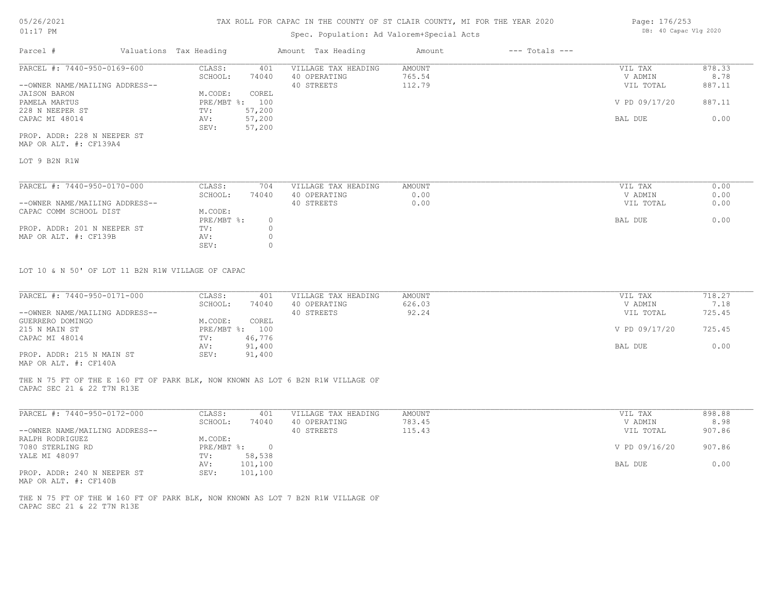## Spec. Population: Ad Valorem+Special Acts

| Page: 176/253 |                       |  |
|---------------|-----------------------|--|
|               | DB: 40 Capac Vlg 2020 |  |

| Parcel #                       | Valuations Tax Heading |        | Amount Tax Heading  | Amount | $---$ Totals $---$ |               |        |
|--------------------------------|------------------------|--------|---------------------|--------|--------------------|---------------|--------|
| PARCEL #: 7440-950-0169-600    | CLASS:                 | 401    | VILLAGE TAX HEADING | AMOUNT |                    | VIL TAX       | 878.33 |
|                                | SCHOOL:                | 74040  | 40 OPERATING        | 765.54 |                    | V ADMIN       | 8.78   |
| --OWNER NAME/MAILING ADDRESS-- |                        |        | 40 STREETS          | 112.79 |                    | VIL TOTAL     | 887.11 |
| JAISON BARON                   | M.CODE:                | COREL  |                     |        |                    |               |        |
| PAMELA MARTUS                  | PRE/MBT %: 100         |        |                     |        |                    | V PD 09/17/20 | 887.11 |
| 228 N NEEPER ST                | TV:                    | 57,200 |                     |        |                    |               |        |
| CAPAC MI 48014                 | AV:                    | 57,200 |                     |        |                    | BAL DUE       | 0.00   |
|                                | SEV:                   | 57,200 |                     |        |                    |               |        |
| PROP. ADDR: 228 N NEEPER ST    |                        |        |                     |        |                    |               |        |

MAP OR ALT. #: CF139A4

LOT 9 B2N R1W

| PARCEL #: 7440-950-0170-000    | CLASS:     | 704   | VILLAGE TAX HEADING | AMOUNT | VIL TAX   | 0.00 |
|--------------------------------|------------|-------|---------------------|--------|-----------|------|
|                                | SCHOOL:    | 74040 | 40 OPERATING        | 0.00   | V ADMIN   | 0.00 |
| --OWNER NAME/MAILING ADDRESS-- |            |       | 40 STREETS          | 0.00   | VIL TOTAL | 0.00 |
| CAPAC COMM SCHOOL DIST         | M.CODE:    |       |                     |        |           |      |
|                                | PRE/MBT %: |       |                     |        | BAL DUE   | 0.00 |
| PROP. ADDR: 201 N NEEPER ST    | TV:        |       |                     |        |           |      |
| MAP OR ALT. #: CF139B          | AV:        |       |                     |        |           |      |
|                                | SEV:       |       |                     |        |           |      |

LOT 10 & N 50' OF LOT 11 B2N R1W VILLAGE OF CAPAC

| PARCEL #: 7440-950-0171-000    | CLASS:     | 401    | VILLAGE TAX HEADING | AMOUNT | VIL TAX       | 718.27 |
|--------------------------------|------------|--------|---------------------|--------|---------------|--------|
|                                | SCHOOL:    | 74040  | 40 OPERATING        | 626.03 | V ADMIN       | 7.18   |
| --OWNER NAME/MAILING ADDRESS-- |            |        | 40 STREETS          | 92.24  | VIL TOTAL     | 725.45 |
| GUERRERO DOMINGO               | M.CODE:    | COREL  |                     |        |               |        |
| 215 N MAIN ST                  | PRE/MBT %: | 100    |                     |        | V PD 09/17/20 | 725.45 |
| CAPAC MI 48014                 | TV:        | 46,776 |                     |        |               |        |
|                                | AV:        | 91,400 |                     |        | BAL DUE       | 0.00   |
| PROP. ADDR: 215 N MAIN ST      | SEV:       | 91,400 |                     |        |               |        |
|                                |            |        |                     |        |               |        |

MAP OR ALT. #: CF140A

CAPAC SEC 21 & 22 T7N R13E THE N 75 FT OF THE E 160 FT OF PARK BLK, NOW KNOWN AS LOT 6 B2N R1W VILLAGE OF

| PARCEL #: 7440-950-0172-000                                                                                                                    | CLASS:     | 401     | VILLAGE TAX HEADING | AMOUNT | VIL TAX       | 898.88 |
|------------------------------------------------------------------------------------------------------------------------------------------------|------------|---------|---------------------|--------|---------------|--------|
|                                                                                                                                                | SCHOOL:    | 74040   | 40 OPERATING        | 783.45 | V ADMIN       | 8.98   |
| --OWNER NAME/MAILING ADDRESS--                                                                                                                 |            |         | 40 STREETS          | 115.43 | VIL TOTAL     | 907.86 |
| RALPH RODRIGUEZ                                                                                                                                | M.CODE:    |         |                     |        |               |        |
| 7080 STERLING RD                                                                                                                               | PRE/MBT %: | 0.      |                     |        | V PD 09/16/20 | 907.86 |
| YALE MI 48097                                                                                                                                  | TV:        | 58,538  |                     |        |               |        |
|                                                                                                                                                | AV:        | 101,100 |                     |        | BAL DUE       | 0.00   |
| PROP. ADDR: 240 N NEEPER ST<br>the contract of the contract of the contract of the contract of the contract of the contract of the contract of | SEV:       | 101,100 |                     |        |               |        |

MAP OR ALT. #: CF140B

CAPAC SEC 21 & 22 T7N R13E THE N 75 FT OF THE W 160 FT OF PARK BLK, NOW KNOWN AS LOT 7 B2N R1W VILLAGE OF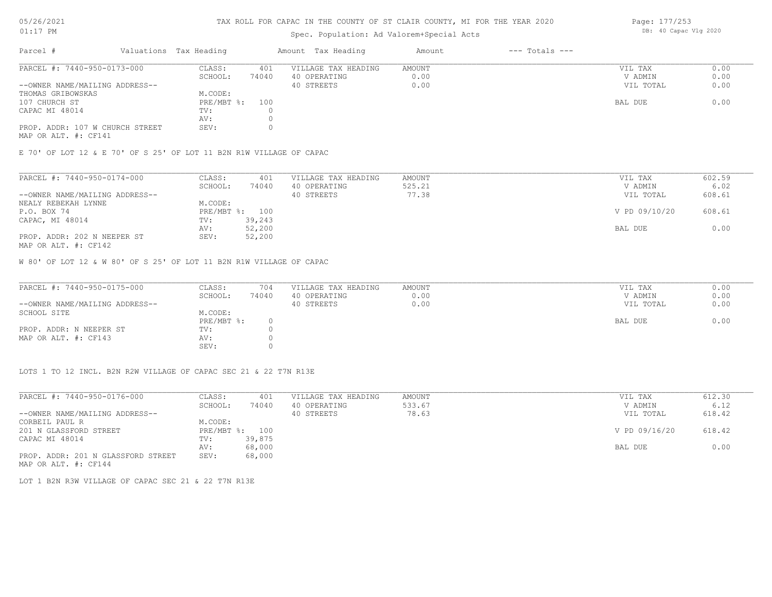#### TAX ROLL FOR CAPAC IN THE COUNTY OF ST CLAIR COUNTY, MI FOR THE YEAR 2020

## Spec. Population: Ad Valorem+Special Acts

| Parcel #                        | Valuations Tax Heading |       | Amount Tax Heading  | Amount | $---$ Totals $---$ |           |      |
|---------------------------------|------------------------|-------|---------------------|--------|--------------------|-----------|------|
| PARCEL #: 7440-950-0173-000     | CLASS:                 | 401   | VILLAGE TAX HEADING | AMOUNT |                    | VIL TAX   | 0.00 |
|                                 | SCHOOL:                | 74040 | 40 OPERATING        | 0.00   |                    | V ADMIN   | 0.00 |
| --OWNER NAME/MAILING ADDRESS--  |                        |       | 40 STREETS          | 0.00   |                    | VIL TOTAL | 0.00 |
| THOMAS GRIBOWSKAS               | M.CODE:                |       |                     |        |                    |           |      |
| 107 CHURCH ST                   | PRE/MBT %: 100         |       |                     |        |                    | BAL DUE   | 0.00 |
| CAPAC MI 48014                  | TV:                    |       |                     |        |                    |           |      |
|                                 | AV:                    |       |                     |        |                    |           |      |
| PROP. ADDR: 107 W CHURCH STREET | SEV:                   |       |                     |        |                    |           |      |
|                                 |                        |       |                     |        |                    |           |      |

MAP OR ALT. #: CF141

E 70' OF LOT 12 & E 70' OF S 25' OF LOT 11 B2N R1W VILLAGE OF CAPAC

| PARCEL #: 7440-950-0174-000                                                                                     | CLASS:  | 401            | VILLAGE TAX HEADING | AMOUNT | VIL TAX       | 602.59 |
|-----------------------------------------------------------------------------------------------------------------|---------|----------------|---------------------|--------|---------------|--------|
|                                                                                                                 | SCHOOL: | 74040          | 40 OPERATING        | 525.21 | V ADMIN       | 6.02   |
| --OWNER NAME/MAILING ADDRESS--                                                                                  |         |                | 40 STREETS          | 77.38  | VIL TOTAL     | 608.61 |
| NEALY REBEKAH LYNNE                                                                                             | M.CODE: |                |                     |        |               |        |
| P.O. BOX 74                                                                                                     |         | PRE/MBT %: 100 |                     |        | V PD 09/10/20 | 608.61 |
| CAPAC, MI 48014                                                                                                 | TV:     | 39,243         |                     |        |               |        |
|                                                                                                                 | AV:     | 52,200         |                     |        | BAL DUE       | 0.00   |
| PROP. ADDR: 202 N NEEPER ST                                                                                     | SEV:    | 52,200         |                     |        |               |        |
| the contract of the contract of the contract of the contract of the contract of the contract of the contract of |         |                |                     |        |               |        |

MAP OR ALT. #: CF142

W 80' OF LOT 12 & W 80' OF S 25' OF LOT 11 B2N R1W VILLAGE OF CAPAC

| PARCEL #: 7440-950-0175-000    | CLASS:       | 704   | VILLAGE TAX HEADING | AMOUNT | VIL TAX   | 0.00 |
|--------------------------------|--------------|-------|---------------------|--------|-----------|------|
|                                | SCHOOL:      | 74040 | 40 OPERATING        | 0.00   | V ADMIN   | 0.00 |
| --OWNER NAME/MAILING ADDRESS-- |              |       | 40 STREETS          | 0.00   | VIL TOTAL | 0.00 |
| SCHOOL SITE                    | M.CODE:      |       |                     |        |           |      |
|                                | $PRE/MBT$ %: |       |                     |        | BAL DUE   | 0.00 |
| PROP. ADDR: N NEEPER ST        | TV:          |       |                     |        |           |      |
| MAP OR ALT. #: CF143           | AV:          |       |                     |        |           |      |
|                                | SEV:         |       |                     |        |           |      |

LOTS 1 TO 12 INCL. B2N R2W VILLAGE OF CAPAC SEC 21 & 22 T7N R13E

| PARCEL #: 7440-950-0176-000        | CLASS:       | 401    | VILLAGE TAX HEADING | AMOUNT | VIL TAX       | 612.30 |
|------------------------------------|--------------|--------|---------------------|--------|---------------|--------|
|                                    | SCHOOL:      | 74040  | 40 OPERATING        | 533.67 | V ADMIN       | 6.12   |
| --OWNER NAME/MAILING ADDRESS--     |              |        | 40 STREETS          | 78.63  | VIL TOTAL     | 618.42 |
| CORBEIL PAUL R                     | M.CODE:      |        |                     |        |               |        |
| 201 N GLASSFORD STREET             | $PRE/MBT$ %: | 100    |                     |        | V PD 09/16/20 | 618.42 |
| CAPAC MI 48014                     | TV:          | 39,875 |                     |        |               |        |
|                                    | AV:          | 68,000 |                     |        | BAL DUE       | 0.00   |
| PROP. ADDR: 201 N GLASSFORD STREET | SEV:         | 68,000 |                     |        |               |        |
| MAP OR ALT. #: CF144               |              |        |                     |        |               |        |

LOT 1 B2N R3W VILLAGE OF CAPAC SEC 21 & 22 T7N R13E

Page: 177/253 DB: 40 Capac Vlg 2020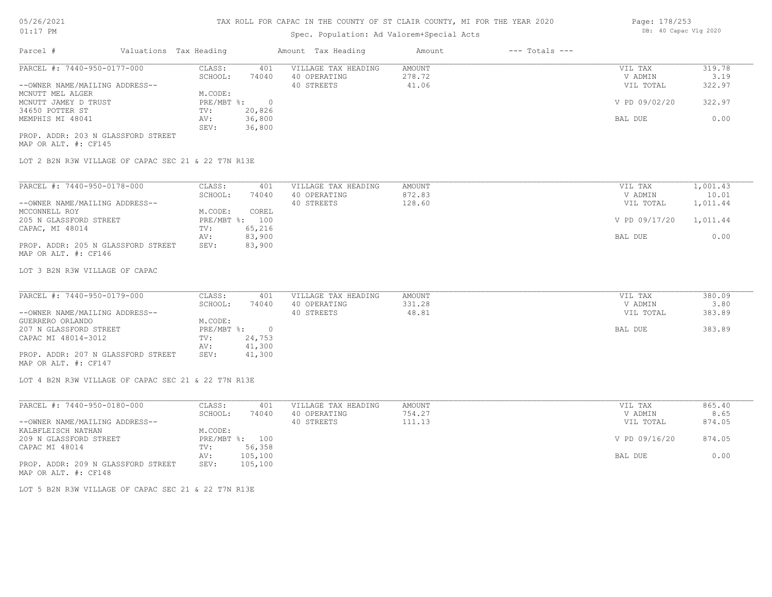## Spec. Population: Ad Valorem+Special Acts

| Parcel #                           | Valuations Tax Heading |        | Amount Tax Heading  | Amount | $---$ Totals $---$ |               |        |
|------------------------------------|------------------------|--------|---------------------|--------|--------------------|---------------|--------|
| PARCEL #: 7440-950-0177-000        | CLASS:                 | 401    | VILLAGE TAX HEADING | AMOUNT |                    | VIL TAX       | 319.78 |
|                                    | SCHOOL:                | 74040  | 40 OPERATING        | 278.72 |                    | V ADMIN       | 3.19   |
| --OWNER NAME/MAILING ADDRESS--     |                        |        | 40 STREETS          | 41.06  |                    | VIL TOTAL     | 322.97 |
| MCNUTT MEL ALGER                   | M.CODE:                |        |                     |        |                    |               |        |
| MCNUTT JAMEY D TRUST               | PRE/MBT %:             |        |                     |        |                    | V PD 09/02/20 | 322.97 |
| 34650 POTTER ST                    | TV:                    | 20,826 |                     |        |                    |               |        |
| MEMPHIS MI 48041                   | AV:                    | 36,800 |                     |        |                    | BAL DUE       | 0.00   |
|                                    | SEV:                   | 36,800 |                     |        |                    |               |        |
| PROP. ADDR: 203 N GLASSFORD STREET |                        |        |                     |        |                    |               |        |
| MAP OR ALT. #: CF145               |                        |        |                     |        |                    |               |        |

LOT 2 B2N R3W VILLAGE OF CAPAC SEC 21 & 22 T7N R13E

| PARCEL #: 7440-950-0178-000        | CLASS:     | 401    | VILLAGE TAX HEADING | AMOUNT | 1,001.43<br>VIL TAX    |  |
|------------------------------------|------------|--------|---------------------|--------|------------------------|--|
|                                    | SCHOOL:    | 74040  | 40 OPERATING        | 872.83 | 10.01<br>V ADMIN       |  |
| --OWNER NAME/MAILING ADDRESS--     |            |        | 40 STREETS          | 128.60 | 1,011.44<br>VIL TOTAL  |  |
| MCCONNELL ROY                      | M.CODE:    | COREL  |                     |        |                        |  |
| 205 N GLASSFORD STREET             | PRE/MBT %: | 100    |                     |        | V PD 09/17/20 1,011.44 |  |
| CAPAC, MI 48014                    | TV:        | 65,216 |                     |        |                        |  |
|                                    | AV:        | 83,900 |                     |        | 0.00<br>BAL DUE        |  |
| PROP. ADDR: 205 N GLASSFORD STREET | SEV:       | 83,900 |                     |        |                        |  |
| MAP OR ALT. #: CF146               |            |        |                     |        |                        |  |

LOT 3 B2N R3W VILLAGE OF CAPAC

| PARCEL #: 7440-950-0179-000        | CLASS:     | 401    | VILLAGE TAX HEADING | AMOUNT | VIL TAX   | 380.09 |
|------------------------------------|------------|--------|---------------------|--------|-----------|--------|
|                                    | SCHOOL:    | 74040  | 40 OPERATING        | 331.28 | V ADMIN   | 3.80   |
| --OWNER NAME/MAILING ADDRESS--     |            |        | 40 STREETS          | 48.81  | VIL TOTAL | 383.89 |
| GUERRERO ORLANDO                   | M.CODE:    |        |                     |        |           |        |
| 207 N GLASSFORD STREET             | PRE/MBT %: |        |                     |        | BAL DUE   | 383.89 |
| CAPAC MI 48014-3012                | TV:        | 24,753 |                     |        |           |        |
|                                    | AV:        | 41,300 |                     |        |           |        |
| PROP. ADDR: 207 N GLASSFORD STREET | SEV:       | 41,300 |                     |        |           |        |
| MAP OR ALT. #: CF147               |            |        |                     |        |           |        |

LOT 4 B2N R3W VILLAGE OF CAPAC SEC 21 & 22 T7N R13E

| PARCEL #: 7440-950-0180-000        | CLASS:  | 401            | VILLAGE TAX HEADING | AMOUNT | VIL TAX       | 865.40 |
|------------------------------------|---------|----------------|---------------------|--------|---------------|--------|
|                                    | SCHOOL: | 74040          | 40 OPERATING        | 754.27 | V ADMIN       | 8.65   |
| --OWNER NAME/MAILING ADDRESS--     |         |                | 40 STREETS          | 111.13 | VIL TOTAL     | 874.05 |
| KALBFLEISCH NATHAN                 | M.CODE: |                |                     |        |               |        |
| 209 N GLASSFORD STREET             |         | PRE/MBT %: 100 |                     |        | V PD 09/16/20 | 874.05 |
| CAPAC MI 48014                     | TV:     | 56,358         |                     |        |               |        |
|                                    | AV:     | 105,100        |                     |        | BAL DUE       | 0.00   |
| PROP. ADDR: 209 N GLASSFORD STREET | SEV:    | 105,100        |                     |        |               |        |
| MAP OR ALT. #: CF148               |         |                |                     |        |               |        |

LOT 5 B2N R3W VILLAGE OF CAPAC SEC 21 & 22 T7N R13E

Page: 178/253 DB: 40 Capac Vlg 2020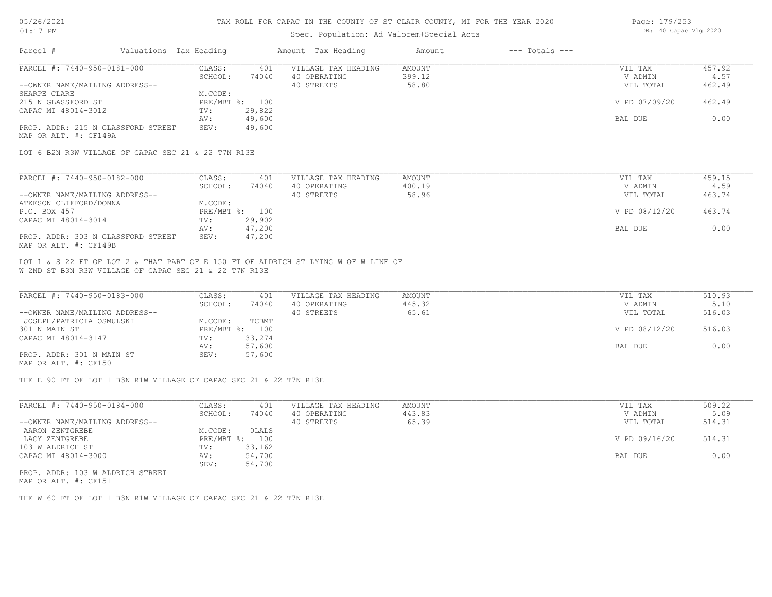#### TAX ROLL FOR CAPAC IN THE COUNTY OF ST CLAIR COUNTY, MI FOR THE YEAR 2020

#### Spec. Population: Ad Valorem+Special Acts

| Page: 179/253 |                       |  |
|---------------|-----------------------|--|
|               | DB: 40 Capac Vlg 2020 |  |

| Parcel #                           | Valuations Tax Heading |                | Amount Tax Heading  | Amount | $---$ Totals $---$ |               |        |
|------------------------------------|------------------------|----------------|---------------------|--------|--------------------|---------------|--------|
| PARCEL #: 7440-950-0181-000        | CLASS:                 | 401            | VILLAGE TAX HEADING | AMOUNT |                    | VIL TAX       | 457.92 |
|                                    | SCHOOL:                | 74040          | 40 OPERATING        | 399.12 |                    | V ADMIN       | 4.57   |
| --OWNER NAME/MAILING ADDRESS--     |                        |                | 40 STREETS          | 58.80  |                    | VIL TOTAL     | 462.49 |
| SHARPE CLARE                       | M.CODE:                |                |                     |        |                    |               |        |
| 215 N GLASSFORD ST                 |                        | PRE/MBT %: 100 |                     |        |                    | V PD 07/09/20 | 462.49 |
| CAPAC MI 48014-3012                | TV:                    | 29,822         |                     |        |                    |               |        |
|                                    | AV:                    | 49,600         |                     |        |                    | BAL DUE       | 0.00   |
| PROP. ADDR: 215 N GLASSFORD STREET | SEV:                   | 49,600         |                     |        |                    |               |        |
| MAP OR ALT. #: CF149A              |                        |                |                     |        |                    |               |        |

LOT 6 B2N R3W VILLAGE OF CAPAC SEC 21 & 22 T7N R13E

| PARCEL #: 7440-950-0182-000        | CLASS:  | 401            | VILLAGE TAX HEADING | AMOUNT | VIL TAX       | 459.15 |
|------------------------------------|---------|----------------|---------------------|--------|---------------|--------|
|                                    | SCHOOL: | 74040          | 40 OPERATING        | 400.19 | V ADMIN       | 4.59   |
| --OWNER NAME/MAILING ADDRESS--     |         |                | 40 STREETS          | 58.96  | VIL TOTAL     | 463.74 |
| ATKESON CLIFFORD/DONNA             | M.CODE: |                |                     |        |               |        |
| P.O. BOX 457                       |         | PRE/MBT %: 100 |                     |        | V PD 08/12/20 | 463.74 |
| CAPAC MI 48014-3014                | TV:     | 29,902         |                     |        |               |        |
|                                    | AV:     | 47,200         |                     |        | BAL DUE       | 0.00   |
| PROP. ADDR: 303 N GLASSFORD STREET | SEV:    | 47,200         |                     |        |               |        |
| MAP OR ALT. #: CF149B              |         |                |                     |        |               |        |

W 2ND ST B3N R3W VILLAGE OF CAPAC SEC 21 & 22 T7N R13E LOT 1 & S 22 FT OF LOT 2 & THAT PART OF E 150 FT OF ALDRICH ST LYING W OF W LINE OF

| PARCEL #: 7440-950-0183-000    | CLASS:  | 401            | VILLAGE TAX HEADING | AMOUNT | VIL TAX       | 510.93 |
|--------------------------------|---------|----------------|---------------------|--------|---------------|--------|
|                                | SCHOOL: | 74040          | 40 OPERATING        | 445.32 | V ADMIN       | 5.10   |
| --OWNER NAME/MAILING ADDRESS-- |         |                | 40 STREETS          | 65.61  | VIL TOTAL     | 516.03 |
| JOSEPH/PATRICIA OSMULSKI       | M.CODE: | TCBMT          |                     |        |               |        |
| 301 N MAIN ST                  |         | PRE/MBT %: 100 |                     |        | V PD 08/12/20 | 516.03 |
| CAPAC MI 48014-3147            | TV:     | 33,274         |                     |        |               |        |
|                                | AV:     | 57,600         |                     |        | BAL DUE       | 0.00   |
| PROP. ADDR: 301 N MAIN ST      | SEV:    | 57,600         |                     |        |               |        |
| MAP OR ALT. #: CF150           |         |                |                     |        |               |        |

THE E 90 FT OF LOT 1 B3N R1W VILLAGE OF CAPAC SEC 21 & 22 T7N R13E

| PARCEL #: 7440-950-0184-000     | CLASS:         | 401    | VILLAGE TAX HEADING | AMOUNT | VIL TAX       | 509.22 |
|---------------------------------|----------------|--------|---------------------|--------|---------------|--------|
|                                 | SCHOOL:        | 74040  | 40 OPERATING        | 443.83 | V ADMIN       | 5.09   |
| --OWNER NAME/MAILING ADDRESS--  |                |        | 40 STREETS          | 65.39  | VIL TOTAL     | 514.31 |
| AARON ZENTGREBE                 | M.CODE:        | OLALS  |                     |        |               |        |
| LACY ZENTGREBE                  | PRE/MBT %: 100 |        |                     |        | V PD 09/16/20 | 514.31 |
| 103 W ALDRICH ST                | TV:            | 33,162 |                     |        |               |        |
| CAPAC MI 48014-3000             | AV:            | 54,700 |                     |        | BAL DUE       | 0.00   |
|                                 | SEV:           | 54,700 |                     |        |               |        |
| ppop appp 100 m atportan ampphm |                |        |                     |        |               |        |

MAP OR ALT. #: CF151 PROP. ADDR: 103 W ALDRICH STREET

THE W 60 FT OF LOT 1 B3N R1W VILLAGE OF CAPAC SEC 21 & 22 T7N R13E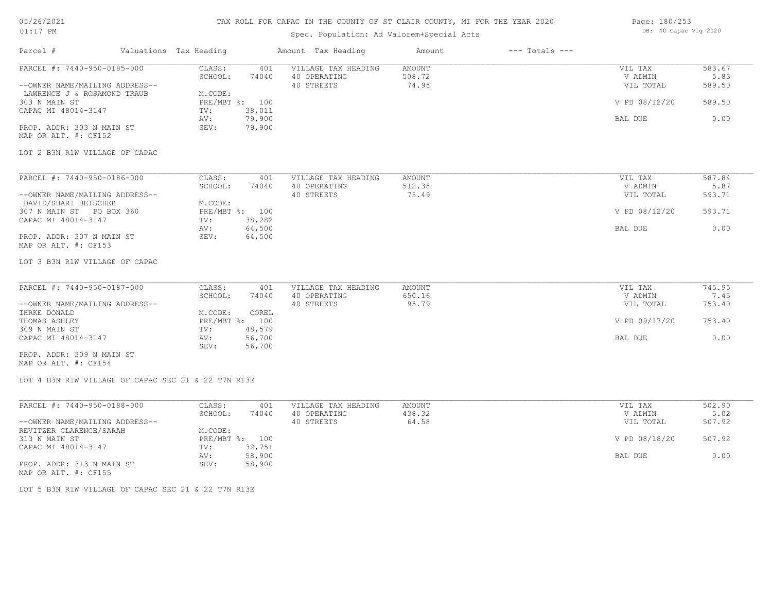## TAX ROLL FOR CAPAC IN THE COUNTY OF ST CLAIR COUNTY, MI FOR THE YEAR 2020

# Spec. Population: Ad Valorem+Special Acts

Page: 180/253 DB: 40 Capac Vlg 2020

| Parcel #                                                            | Valuations Tax Heading |                                  |                  | Amount Tax Heading                  | Amount                  | $---$ Totals $---$ |                    |                |
|---------------------------------------------------------------------|------------------------|----------------------------------|------------------|-------------------------------------|-------------------------|--------------------|--------------------|----------------|
| PARCEL #: 7440-950-0185-000                                         |                        | CLASS:<br>SCHOOL:                | 401<br>74040     | VILLAGE TAX HEADING<br>40 OPERATING | <b>AMOUNT</b><br>508.72 |                    | VIL TAX<br>V ADMIN | 583.67<br>5.83 |
| --OWNER NAME/MAILING ADDRESS--                                      |                        |                                  |                  | 40 STREETS                          | 74.95                   |                    | VIL TOTAL          | 589.50         |
| LAWRENCE J & ROSAMOND TRAUB<br>303 N MAIN ST<br>CAPAC MI 48014-3147 |                        | M.CODE:<br>PRE/MBT %: 100<br>TV: | 38,011           |                                     |                         |                    | V PD 08/12/20      | 589.50         |
|                                                                     |                        | AV:                              | 79,900           |                                     |                         |                    | BAL DUE            | 0.00           |
| PROP. ADDR: 303 N MAIN ST<br>MAP OR ALT. #: CF152                   |                        | SEV:                             | 79,900           |                                     |                         |                    |                    |                |
| LOT 2 B3N R1W VILLAGE OF CAPAC                                      |                        |                                  |                  |                                     |                         |                    |                    |                |
|                                                                     |                        |                                  |                  |                                     |                         |                    |                    |                |
| PARCEL #: 7440-950-0186-000                                         |                        | CLASS:<br>SCHOOL:                | 401<br>74040     | VILLAGE TAX HEADING<br>40 OPERATING | AMOUNT<br>512.35        |                    | VIL TAX<br>V ADMIN | 587.84<br>5.87 |
| --OWNER NAME/MAILING ADDRESS--                                      |                        |                                  |                  | 40 STREETS                          | 75.49                   |                    | VIL TOTAL          | 593.71         |
| DAVID/SHARI BEISCHER                                                |                        | M.CODE:                          |                  |                                     |                         |                    |                    |                |
| 307 N MAIN ST PO BOX 360                                            |                        | PRE/MBT %: 100                   |                  |                                     |                         |                    | V PD 08/12/20      | 593.71         |
| CAPAC MI 48014-3147                                                 |                        | TV:                              | 38,282           |                                     |                         |                    |                    |                |
|                                                                     |                        | AV:                              | 64,500           |                                     |                         |                    | BAL DUE            | 0.00           |
| PROP. ADDR: 307 N MAIN ST<br>MAP OR ALT. #: CF153                   |                        | SEV:                             | 64,500           |                                     |                         |                    |                    |                |
| LOT 3 B3N R1W VILLAGE OF CAPAC                                      |                        |                                  |                  |                                     |                         |                    |                    |                |
|                                                                     |                        |                                  |                  |                                     |                         |                    |                    |                |
| PARCEL #: 7440-950-0187-000                                         |                        | CLASS:<br>SCHOOL:                | 401<br>74040     | VILLAGE TAX HEADING<br>40 OPERATING | AMOUNT<br>650.16        |                    | VIL TAX<br>V ADMIN | 745.95<br>7.45 |
| --OWNER NAME/MAILING ADDRESS--                                      |                        |                                  |                  | 40 STREETS                          | 95.79                   |                    | VIL TOTAL          | 753.40         |
| IHRKE DONALD                                                        |                        | M.CODE:                          | COREL            |                                     |                         |                    |                    |                |
| THOMAS ASHLEY                                                       |                        | PRE/MBT %: 100                   |                  |                                     |                         |                    | V PD 09/17/20      | 753.40         |
| 309 N MAIN ST                                                       |                        | TV:                              | 48,579           |                                     |                         |                    |                    |                |
| CAPAC MI 48014-3147                                                 |                        | AV:<br>SEV:                      | 56,700<br>56,700 |                                     |                         |                    | BAL DUE            | 0.00           |
| PROP. ADDR: 309 N MAIN ST<br>MAP OR ALT. #: CF154                   |                        |                                  |                  |                                     |                         |                    |                    |                |
| LOT 4 B3N R1W VILLAGE OF CAPAC SEC 21 & 22 T7N R13E                 |                        |                                  |                  |                                     |                         |                    |                    |                |
|                                                                     |                        |                                  |                  |                                     |                         |                    |                    |                |
| PARCEL #: 7440-950-0188-000                                         |                        | CLASS:                           | 401              | VILLAGE TAX HEADING                 | AMOUNT                  |                    | VIL TAX            | 502.90         |
|                                                                     |                        | SCHOOL:                          | 74040            | 40 OPERATING                        | 438.32                  |                    | V ADMIN            | 5.02           |
| --OWNER NAME/MAILING ADDRESS--                                      |                        |                                  |                  | 40 STREETS                          | 64.58                   |                    | VIL TOTAL          | 507.92         |
| REVITZER CLARENCE/SARAH<br>313 N MAIN ST                            |                        | M.CODE:<br>PRE/MBT %: 100        |                  |                                     |                         |                    | V PD 08/18/20      | 507.92         |
| CAPAC MI 48014-3147                                                 |                        | TV:                              | 32,751           |                                     |                         |                    |                    |                |
|                                                                     |                        | AV:                              | 58,900           |                                     |                         |                    | BAL DUE            | 0.00           |
| PROP. ADDR: 313 N MAIN ST                                           |                        | SEV:                             | 58,900           |                                     |                         |                    |                    |                |

MAP OR ALT. #: CF155

LOT 5 B3N R1W VILLAGE OF CAPAC SEC 21 & 22 T7N R13E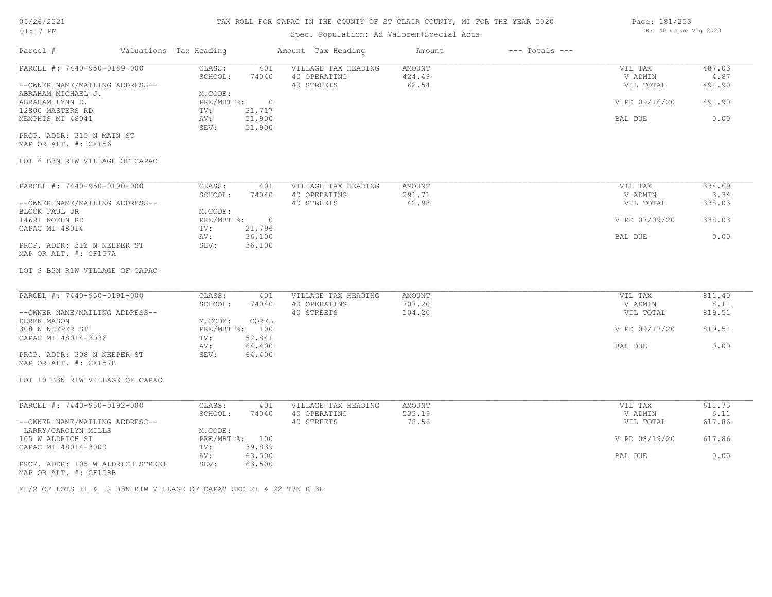## 05/26/2021 01:17 PM

### TAX ROLL FOR CAPAC IN THE COUNTY OF ST CLAIR COUNTY, MI FOR THE YEAR 2020

## Spec. Population: Ad Valorem+Special Acts

| Parcel #                       | Valuations Tax Heading |           | Amount Tax Heading  | Amount | $---$ Totals $---$ |               |        |
|--------------------------------|------------------------|-----------|---------------------|--------|--------------------|---------------|--------|
| PARCEL #: 7440-950-0189-000    | CLASS:                 | 401       | VILLAGE TAX HEADING | AMOUNT |                    | VIL TAX       | 487.03 |
|                                | SCHOOL:                | 74040     | 40 OPERATING        | 424.49 |                    | V ADMIN       | 4.87   |
| --OWNER NAME/MAILING ADDRESS-- |                        |           | 40 STREETS          | 62.54  |                    | VIL TOTAL     | 491.90 |
| ABRAHAM MICHAEL J.             | M.CODE:                |           |                     |        |                    |               |        |
| ABRAHAM LYNN D.                | $PRE/MBT$ $\div$       | $\bigcap$ |                     |        |                    | V PD 09/16/20 | 491.90 |
| 12800 MASTERS RD               | TV:                    | 31,717    |                     |        |                    |               |        |
| MEMPHIS MI 48041               | AV:                    | 51,900    |                     |        |                    | BAL DUE       | 0.00   |
|                                | SEV:                   | 51,900    |                     |        |                    |               |        |
| PROP. ADDR: 315 N MAIN ST      |                        |           |                     |        |                    |               |        |
| MAP OR ALT. #: CF156           |                        |           |                     |        |                    |               |        |
| LOT 6 B3N R1W VILLAGE OF CAPAC |                        |           |                     |        |                    |               |        |

| PARCEL #: 7440-950-0190-000    | CLASS:     | 401    | VILLAGE TAX HEADING | AMOUNT | VIL TAX       | 334.69 |
|--------------------------------|------------|--------|---------------------|--------|---------------|--------|
|                                | SCHOOL:    | 74040  | 40 OPERATING        | 291.71 | V ADMIN       | 3.34   |
| --OWNER NAME/MAILING ADDRESS-- |            |        | 40 STREETS          | 42.98  | VIL TOTAL     | 338.03 |
| BLOCK PAUL JR                  | M.CODE:    |        |                     |        |               |        |
| 14691 KOEHN RD                 | PRE/MBT %: |        |                     |        | V PD 07/09/20 | 338.03 |
| CAPAC MI 48014                 | TV:        | 21,796 |                     |        |               |        |
|                                | AV:        | 36,100 |                     |        | BAL DUE       | 0.00   |
| PROP. ADDR: 312 N NEEPER ST    | SEV:       | 36,100 |                     |        |               |        |
| MAP OR ALT. #: CF157A          |            |        |                     |        |               |        |

#### LOT 9 B3N R1W VILLAGE OF CAPAC

| PARCEL #: 7440-950-0191-000<br>CLASS: | 401               | VILLAGE TAX HEADING | AMOUNT | VIL TAX       | 811.40 |
|---------------------------------------|-------------------|---------------------|--------|---------------|--------|
| SCHOOL:                               | 74040             | 40 OPERATING        | 707.20 | V ADMIN       | 8.11   |
| --OWNER NAME/MAILING ADDRESS--        |                   | 40 STREETS          | 104.20 | VIL TOTAL     | 819.51 |
| DEREK MASON<br>M.CODE:                | COREL             |                     |        |               |        |
| 308 N NEEPER ST                       | PRE/MBT %:<br>100 |                     |        | V PD 09/17/20 | 819.51 |
| CAPAC MI 48014-3036<br>TV:            | 52,841            |                     |        |               |        |
| AV:                                   | 64,400            |                     |        | BAL DUE       | 0.00   |
| PROP. ADDR: 308 N NEEPER ST<br>SEV:   | 64,400            |                     |        |               |        |

MAP OR ALT. #: CF157B

LOT 10 B3N R1W VILLAGE OF CAPAC

| PARCEL #: 7440-950-0192-000      | CLASS:     | 401    | VILLAGE TAX HEADING | AMOUNT | VIL TAX       | 611.75 |
|----------------------------------|------------|--------|---------------------|--------|---------------|--------|
|                                  | SCHOOL:    | 74040  | 40 OPERATING        | 533.19 | V ADMIN       | 6.11   |
| --OWNER NAME/MAILING ADDRESS--   |            |        | 40 STREETS          | 78.56  | VIL TOTAL     | 617.86 |
| LARRY/CAROLYN MILLS              | M.CODE:    |        |                     |        |               |        |
| 105 W ALDRICH ST                 | PRE/MBT %: | 100    |                     |        | V PD 08/19/20 | 617.86 |
| CAPAC MI 48014-3000              | TV:        | 39,839 |                     |        |               |        |
|                                  | AV:        | 63,500 |                     |        | BAL DUE       | 0.00   |
| PROP. ADDR: 105 W ALDRICH STREET | SEV:       | 63,500 |                     |        |               |        |
| MAP OR ALT. #: CF158B            |            |        |                     |        |               |        |

E1/2 OF LOTS 11 & 12 B3N R1W VILLAGE OF CAPAC SEC 21 & 22 T7N R13E

Page: 181/253 DB: 40 Capac Vlg 2020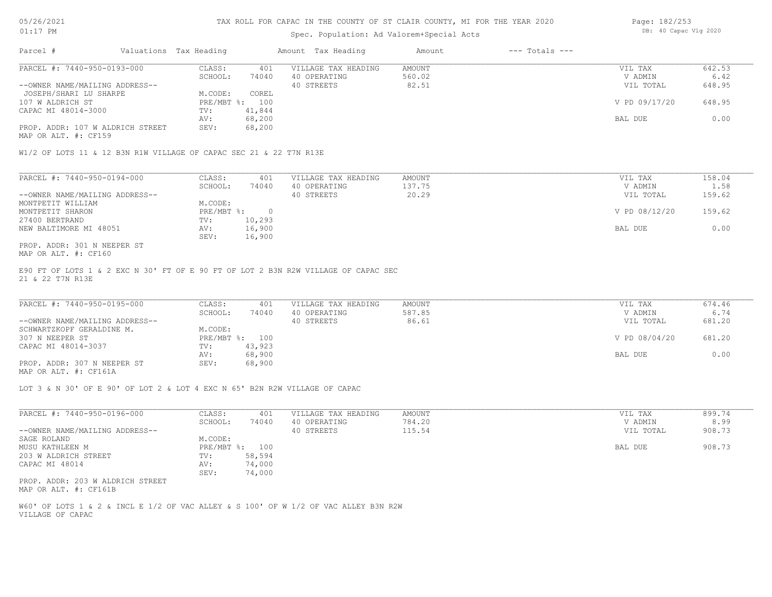## Spec. Population: Ad Valorem+Special Acts

| Page: 182/253 |                       |  |
|---------------|-----------------------|--|
|               | DB: 40 Capac Vlg 2020 |  |

| Parcel #                         | Valuations Tax Heading |        | Amount Tax Heading  | Amount | $---$ Totals $---$ |               |        |
|----------------------------------|------------------------|--------|---------------------|--------|--------------------|---------------|--------|
| PARCEL #: 7440-950-0193-000      | CLASS:                 | 401    | VILLAGE TAX HEADING | AMOUNT |                    | VIL TAX       | 642.53 |
|                                  | SCHOOL:                | 74040  | 40 OPERATING        | 560.02 |                    | V ADMIN       | 6.42   |
| --OWNER NAME/MAILING ADDRESS--   |                        |        | 40 STREETS          | 82.51  |                    | VIL TOTAL     | 648.95 |
| JOSEPH/SHARI LU SHARPE           | M.CODE:                | COREL  |                     |        |                    |               |        |
| 107 W ALDRICH ST                 | PRE/MBT %:             | 100    |                     |        |                    | V PD 09/17/20 | 648.95 |
| CAPAC MI 48014-3000              | TV:                    | 41,844 |                     |        |                    |               |        |
|                                  | AV:                    | 68,200 |                     |        |                    | BAL DUE       | 0.00   |
| PROP. ADDR: 107 W ALDRICH STREET | SEV:                   | 68,200 |                     |        |                    |               |        |
|                                  |                        |        |                     |        |                    |               |        |

MAP OR ALT. #: CF159

W1/2 OF LOTS 11 & 12 B3N R1W VILLAGE OF CAPAC SEC 21 & 22 T7N R13E

| PARCEL #: 7440-950-0194-000    | CLASS:     | 401    | VILLAGE TAX HEADING | AMOUNT | VIL TAX       | 158.04 |
|--------------------------------|------------|--------|---------------------|--------|---------------|--------|
|                                | SCHOOL:    | 74040  | 40 OPERATING        | 137.75 | V ADMIN       | 1.58   |
| --OWNER NAME/MAILING ADDRESS-- |            |        | 40 STREETS          | 20.29  | VIL TOTAL     | 159.62 |
| MONTPETIT WILLIAM              | M.CODE:    |        |                     |        |               |        |
| MONTPETIT SHARON               | PRE/MBT %: |        |                     |        | V PD 08/12/20 | 159.62 |
| 27400 BERTRAND                 | TV:        | 10,293 |                     |        |               |        |
| NEW BALTIMORE MI 48051         | AV:        | 16,900 |                     |        | BAL DUE       | 0.00   |
|                                | SEV:       | 16,900 |                     |        |               |        |
| PROP. ADDR: 301 N NEEPER ST    |            |        |                     |        |               |        |

MAP OR ALT. #: CF160

21 & 22 T7N R13E E90 FT OF LOTS 1 & 2 EXC N 30' FT OF E 90 FT OF LOT 2 B3N R2W VILLAGE OF CAPAC SEC

| PARCEL #: 7440-950-0195-000    | CLASS:  | 401            | VILLAGE TAX HEADING | AMOUNT | VIL TAX       | 674.46 |
|--------------------------------|---------|----------------|---------------------|--------|---------------|--------|
|                                | SCHOOL: | 74040          | 40 OPERATING        | 587.85 | V ADMIN       | 6.74   |
| --OWNER NAME/MAILING ADDRESS-- |         |                | 40 STREETS          | 86.61  | VIL TOTAL     | 681.20 |
| SCHWARTZKOPF GERALDINE M.      | M.CODE: |                |                     |        |               |        |
| 307 N NEEPER ST                |         | PRE/MBT %: 100 |                     |        | V PD 08/04/20 | 681.20 |
| CAPAC MI 48014-3037            | TV:     | 43,923         |                     |        |               |        |
|                                | AV:     | 68,900         |                     |        | BAL DUE       | 0.00   |
| PROP. ADDR: 307 N NEEPER ST    | SEV:    | 68,900         |                     |        |               |        |
|                                |         |                |                     |        |               |        |

MAP OR ALT. #: CF161A

LOT 3 & N 30' OF E 90' OF LOT 2 & LOT 4 EXC N 65' B2N R2W VILLAGE OF CAPAC

| PARCEL #: 7440-950-0196-000      | CLASS:       | 401    | VILLAGE TAX HEADING | AMOUNT | 899.74<br>VIL TAX   |
|----------------------------------|--------------|--------|---------------------|--------|---------------------|
|                                  | SCHOOL:      | 74040  | 40 OPERATING        | 784.20 | 8.99<br>V ADMIN     |
| --OWNER NAME/MAILING ADDRESS--   |              |        | 40 STREETS          | 115.54 | 908.73<br>VIL TOTAL |
| SAGE ROLAND                      | M.CODE:      |        |                     |        |                     |
| MUSU KATHLEEN M                  | $PRE/MBT$ %: | 100    |                     |        | 908.73<br>BAL DUE   |
| 203 W ALDRICH STREET             | TV:          | 58,594 |                     |        |                     |
| CAPAC MI 48014                   | AV:          | 74,000 |                     |        |                     |
|                                  | SEV:         | 74,000 |                     |        |                     |
| PROP. ADDR: 203 W ALDRICH STREET |              |        |                     |        |                     |
| MAP OR ALT. #: CF161B            |              |        |                     |        |                     |

VILLAGE OF CAPAC W60' OF LOTS 1 & 2 & INCL E 1/2 OF VAC ALLEY & S 100' OF W 1/2 OF VAC ALLEY B3N R2W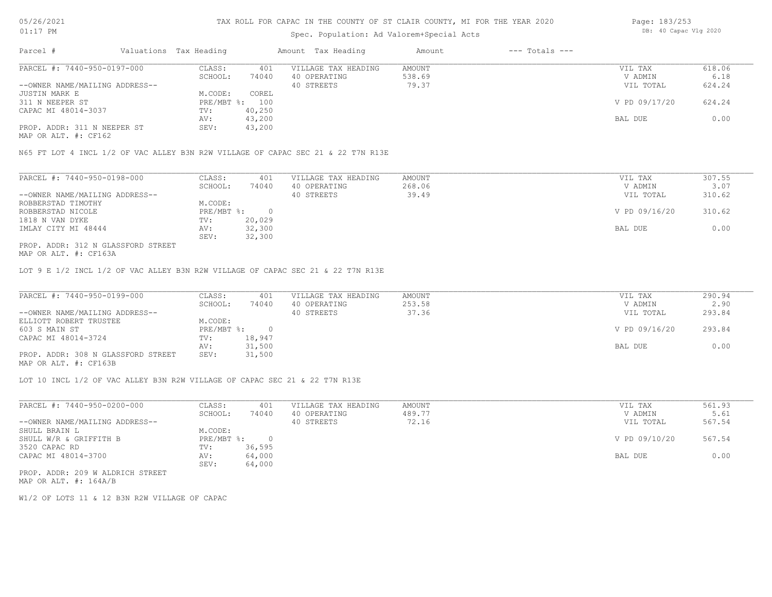## Spec. Population: Ad Valorem+Special Acts

| Page: 183/253 |                       |  |
|---------------|-----------------------|--|
|               | DB: 40 Capac Vlg 2020 |  |

| Parcel #                       | Valuations Tax Heading |        | Amount Tax Heading  | Amount | $---$ Totals $---$ |               |        |
|--------------------------------|------------------------|--------|---------------------|--------|--------------------|---------------|--------|
| PARCEL #: 7440-950-0197-000    | CLASS:                 | 401    | VILLAGE TAX HEADING | AMOUNT |                    | VIL TAX       | 618.06 |
|                                | SCHOOL:                | 74040  | 40 OPERATING        | 538.69 |                    | V ADMIN       | 6.18   |
| --OWNER NAME/MAILING ADDRESS-- |                        |        | 40 STREETS          | 79.37  |                    | VIL TOTAL     | 624.24 |
| JUSTIN MARK E                  | M.CODE:                | COREL  |                     |        |                    |               |        |
| 311 N NEEPER ST                | PRE/MBT %: 100         |        |                     |        |                    | V PD 09/17/20 | 624.24 |
| CAPAC MI 48014-3037            | TV:                    | 40,250 |                     |        |                    |               |        |
|                                | AV:                    | 43,200 |                     |        |                    | BAL DUE       | 0.00   |
| PROP. ADDR: 311 N NEEPER ST    | SEV:                   | 43,200 |                     |        |                    |               |        |
|                                |                        |        |                     |        |                    |               |        |

MAP OR ALT. #: CF162

N65 FT LOT 4 INCL 1/2 OF VAC ALLEY B3N R2W VILLAGE OF CAPAC SEC 21 & 22 T7N R13E

| PARCEL #: 7440-950-0198-000        | CLASS:     | 401    | VILLAGE TAX HEADING | AMOUNT | VIL TAX       | 307.55 |
|------------------------------------|------------|--------|---------------------|--------|---------------|--------|
|                                    | SCHOOL:    | 74040  | 40 OPERATING        | 268.06 | V ADMIN       | 3.07   |
| --OWNER NAME/MAILING ADDRESS--     |            |        | 40 STREETS          | 39.49  | VIL TOTAL     | 310.62 |
| ROBBERSTAD TIMOTHY                 | M.CODE:    |        |                     |        |               |        |
| ROBBERSTAD NICOLE                  | PRE/MBT %: |        |                     |        | V PD 09/16/20 | 310.62 |
| 1818 N VAN DYKE                    | TV:        | 20,029 |                     |        |               |        |
| IMLAY CITY MI 48444                | AV:        | 32,300 |                     |        | BAL DUE       | 0.00   |
|                                    | SEV:       | 32,300 |                     |        |               |        |
| PROP. ADDR: 312 N GLASSFORD STREET |            |        |                     |        |               |        |

MAP OR ALT. #: CF163A

LOT 9 E 1/2 INCL 1/2 OF VAC ALLEY B3N R2W VILLAGE OF CAPAC SEC 21 & 22 T7N R13E

| PARCEL #: 7440-950-0199-000        | CLASS:       | 401    | VILLAGE TAX HEADING | AMOUNT | VIL TAX       | 290.94 |
|------------------------------------|--------------|--------|---------------------|--------|---------------|--------|
|                                    | SCHOOL:      | 74040  | 40 OPERATING        | 253.58 | V ADMIN       | 2.90   |
| --OWNER NAME/MAILING ADDRESS--     |              |        | 40 STREETS          | 37.36  | VIL TOTAL     | 293.84 |
| ELLIOTT ROBERT TRUSTEE             | M.CODE:      |        |                     |        |               |        |
| 603 S MAIN ST                      | $PRE/MBT$ %: |        |                     |        | V PD 09/16/20 | 293.84 |
| CAPAC MI 48014-3724                | TV:          | 18,947 |                     |        |               |        |
|                                    | AV:          | 31,500 |                     |        | BAL DUE       | 0.00   |
| PROP. ADDR: 308 N GLASSFORD STREET | SEV:         | 31,500 |                     |        |               |        |
| MAP OR ALT. #: CF163B              |              |        |                     |        |               |        |

LOT 10 INCL 1/2 OF VAC ALLEY B3N R2W VILLAGE OF CAPAC SEC 21 & 22 T7N R13E

| PARCEL #: 7440-950-0200-000      | CLASS:     | 401    | VILLAGE TAX HEADING | AMOUNT | VIL TAX       | 561.93 |
|----------------------------------|------------|--------|---------------------|--------|---------------|--------|
|                                  | SCHOOL:    | 74040  | 40 OPERATING        | 489.77 | V ADMIN       | 5.61   |
| --OWNER NAME/MAILING ADDRESS--   |            |        | 40 STREETS          | 72.16  | VIL TOTAL     | 567.54 |
| SHULL BRAIN L                    | M.CODE:    |        |                     |        |               |        |
| SHULL W/R & GRIFFITH B           | PRE/MBT %: |        |                     |        | V PD 09/10/20 | 567.54 |
| 3520 CAPAC RD                    | TV:        | 36,595 |                     |        |               |        |
| CAPAC MI 48014-3700              | AV:        | 64,000 |                     |        | BAL DUE       | 0.00   |
|                                  | SEV:       | 64,000 |                     |        |               |        |
| PROP. ADDR: 209 W ALDRICH STREET |            |        |                     |        |               |        |

MAP OR ALT. #: 164A/B

W1/2 OF LOTS 11 & 12 B3N R2W VILLAGE OF CAPAC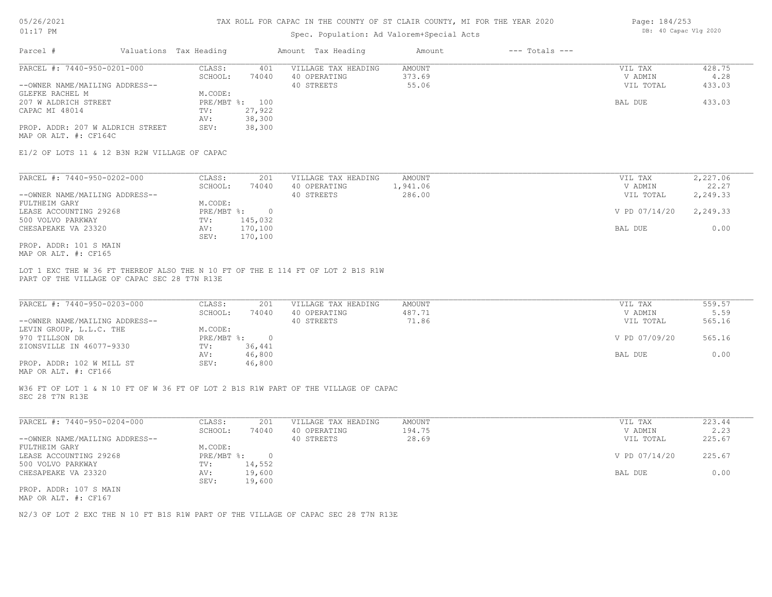### Spec. Population: Ad Valorem+Special Acts

| Page: 184/253 |                       |  |
|---------------|-----------------------|--|
|               | DB: 40 Capac Vlg 2020 |  |

| Parcel #                         | Valuations Tax Heading |        | Amount Tax Heading  | Amount | $---$ Totals $---$ |           |        |
|----------------------------------|------------------------|--------|---------------------|--------|--------------------|-----------|--------|
| PARCEL #: 7440-950-0201-000      | CLASS:                 | 401    | VILLAGE TAX HEADING | AMOUNT |                    | VIL TAX   | 428.75 |
|                                  | SCHOOL:                | 74040  | 40 OPERATING        | 373.69 |                    | V ADMIN   | 4.28   |
| --OWNER NAME/MAILING ADDRESS--   |                        |        | 40 STREETS          | 55.06  |                    | VIL TOTAL | 433.03 |
| GLEFKE RACHEL M                  | M.CODE:                |        |                     |        |                    |           |        |
| 207 W ALDRICH STREET             | PRE/MBT %: 100         |        |                     |        |                    | BAL DUE   | 433.03 |
| CAPAC MI 48014                   | TV:                    | 27,922 |                     |        |                    |           |        |
|                                  | AV:                    | 38,300 |                     |        |                    |           |        |
| PROP. ADDR: 207 W ALDRICH STREET | SEV:                   | 38,300 |                     |        |                    |           |        |
| MAP OR ALT. #: CF164C            |                        |        |                     |        |                    |           |        |

E1/2 OF LOTS 11 & 12 B3N R2W VILLAGE OF CAPAC

| PARCEL #: 7440-950-0202-000    | CLASS:     | 201     | VILLAGE TAX HEADING | AMOUNT   | VIL TAX       | 2,227.06 |
|--------------------------------|------------|---------|---------------------|----------|---------------|----------|
|                                | SCHOOL:    | 74040   | 40 OPERATING        | 1,941.06 | V ADMIN       | 22.27    |
| --OWNER NAME/MAILING ADDRESS-- |            |         | 40 STREETS          | 286.00   | VIL TOTAL     | 2,249.33 |
| FULTHEIM GARY                  | M.CODE:    |         |                     |          |               |          |
| LEASE ACCOUNTING 29268         | PRE/MBT %: |         |                     |          | V PD 07/14/20 | 2,249.33 |
| 500 VOLVO PARKWAY              | TV:        | 145,032 |                     |          |               |          |
| CHESAPEAKE VA 23320            | AV:        | 170,100 |                     |          | BAL DUE       | 0.00     |
|                                | SEV:       | 170,100 |                     |          |               |          |
| PROP. ADDR: 101 S MAIN         |            |         |                     |          |               |          |

MAP OR ALT. #: CF165

PART OF THE VILLAGE OF CAPAC SEC 28 T7N R13E LOT 1 EXC THE W 36 FT THEREOF ALSO THE N 10 FT OF THE E 114 FT OF LOT 2 B1S R1W

| PARCEL #: 7440-950-0203-000    | CLASS:       | 201    | VILLAGE TAX HEADING | AMOUNT | VIL TAX       | 559.57 |
|--------------------------------|--------------|--------|---------------------|--------|---------------|--------|
|                                | SCHOOL:      | 74040  | 40 OPERATING        | 487.71 | V ADMIN       | 5.59   |
| --OWNER NAME/MAILING ADDRESS-- |              |        | 40 STREETS          | 71.86  | VIL TOTAL     | 565.16 |
| LEVIN GROUP, L.L.C. THE        | M.CODE:      |        |                     |        |               |        |
| 970 TILLSON DR                 | $PRE/MBT$ %: |        |                     |        | V PD 07/09/20 | 565.16 |
| ZIONSVILLE IN 46077-9330       | TV:          | 36,441 |                     |        |               |        |
|                                | AV:          | 46,800 |                     |        | BAL DUE       | 0.00   |
| PROP. ADDR: 102 W MILL ST      | SEV:         | 46,800 |                     |        |               |        |
|                                |              |        |                     |        |               |        |

MAP OR ALT. #: CF166

SEC 28 T7N R13E W36 FT OF LOT 1 & N 10 FT OF W 36 FT OF LOT 2 B1S R1W PART OF THE VILLAGE OF CAPAC

| PARCEL #: 7440-950-0204-000    | CLASS:       | 201    | VILLAGE TAX HEADING | AMOUNT | VIL TAX       | 223.44 |
|--------------------------------|--------------|--------|---------------------|--------|---------------|--------|
|                                | SCHOOL:      | 74040  | 40 OPERATING        | 194.75 | V ADMIN       | 2.23   |
| --OWNER NAME/MAILING ADDRESS-- |              |        | 40 STREETS          | 28.69  | VIL TOTAL     | 225.67 |
| FULTHEIM GARY                  | M.CODE:      |        |                     |        |               |        |
| LEASE ACCOUNTING 29268         | $PRE/MBT$ %: |        |                     |        | V PD 07/14/20 | 225.67 |
| 500 VOLVO PARKWAY              | TV:          | 14,552 |                     |        |               |        |
| CHESAPEAKE VA 23320            | AV:          | 19,600 |                     |        | BAL DUE       | 0.00   |
|                                | SEV:         | 19,600 |                     |        |               |        |
| PROP. ADDR: 107 S MAIN         |              |        |                     |        |               |        |
|                                |              |        |                     |        |               |        |

MAP OR ALT. #: CF167

N2/3 OF LOT 2 EXC THE N 10 FT B1S R1W PART OF THE VILLAGE OF CAPAC SEC 28 T7N R13E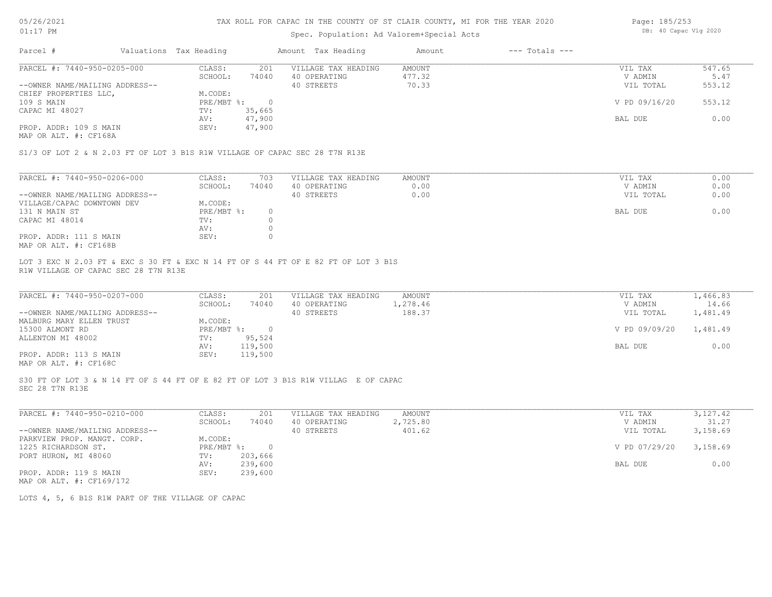### Spec. Population: Ad Valorem+Special Acts

| Page: 185/253 |                       |  |
|---------------|-----------------------|--|
|               | DB: 40 Capac Vlg 2020 |  |

| Parcel #                       | Valuations Tax Heading |        | Amount Tax Heading  | Amount | $---$ Totals $---$ |               |        |
|--------------------------------|------------------------|--------|---------------------|--------|--------------------|---------------|--------|
| PARCEL #: 7440-950-0205-000    | CLASS:                 | 201    | VILLAGE TAX HEADING | AMOUNT |                    | VIL TAX       | 547.65 |
|                                | SCHOOL:                | 74040  | 40 OPERATING        | 477.32 |                    | V ADMIN       | 5.47   |
| --OWNER NAME/MAILING ADDRESS-- |                        |        | 40 STREETS          | 70.33  |                    | VIL TOTAL     | 553.12 |
| CHIEF PROPERTIES LLC,          | M.CODE:                |        |                     |        |                    |               |        |
| 109 S MAIN                     | PRE/MBT %:             |        |                     |        |                    | V PD 09/16/20 | 553.12 |
| CAPAC MI 48027                 | TV:                    | 35,665 |                     |        |                    |               |        |
|                                | AV:                    | 47,900 |                     |        |                    | BAL DUE       | 0.00   |
| PROP. ADDR: 109 S MAIN         | SEV:                   | 47,900 |                     |        |                    |               |        |
|                                |                        |        |                     |        |                    |               |        |

MAP OR ALT. #: CF168A

S1/3 OF LOT 2 & N 2.03 FT OF LOT 3 B1S R1W VILLAGE OF CAPAC SEC 28 T7N R13E

| PARCEL #: 7440-950-0206-000    | CLASS:     | 703   | VILLAGE TAX HEADING | AMOUNT | VIL TAX   | 0.00 |
|--------------------------------|------------|-------|---------------------|--------|-----------|------|
|                                | SCHOOL:    | 74040 | 40 OPERATING        | 0.00   | V ADMIN   | 0.00 |
| --OWNER NAME/MAILING ADDRESS-- |            |       | 40 STREETS          | 0.00   | VIL TOTAL | 0.00 |
| VILLAGE/CAPAC DOWNTOWN DEV     | M.CODE:    |       |                     |        |           |      |
| 131 N MAIN ST                  | PRE/MBT %: |       |                     |        | BAL DUE   | 0.00 |
| CAPAC MI 48014                 | TV:        |       |                     |        |           |      |
|                                | AV:        |       |                     |        |           |      |
| PROP. ADDR: 111 S MAIN         | SEV:       |       |                     |        |           |      |
| MAP OR ALT. #: CF168B          |            |       |                     |        |           |      |

R1W VILLAGE OF CAPAC SEC 28 T7N R13E LOT 3 EXC N 2.03 FT & EXC S 30 FT & EXC N 14 FT OF S 44 FT OF E 82 FT OF LOT 3 B1S

| PARCEL #: 7440-950-0207-000                           | CLASS:     | 201     | VILLAGE TAX HEADING | AMOUNT   | VIL TAX       | 1,466.83 |
|-------------------------------------------------------|------------|---------|---------------------|----------|---------------|----------|
|                                                       | SCHOOL:    | 74040   | 40 OPERATING        | 1,278.46 | V ADMIN       | 14.66    |
| --OWNER NAME/MAILING ADDRESS--                        |            |         | 40 STREETS          | 188.37   | VIL TOTAL     | 1,481.49 |
| MALBURG MARY ELLEN TRUST                              | M.CODE:    |         |                     |          |               |          |
| 15300 ALMONT RD                                       | PRE/MBT %: |         |                     |          | V PD 09/09/20 | 1,481.49 |
| ALLENTON MI 48002                                     | TV:        | 95,524  |                     |          |               |          |
|                                                       | AV:        | 119,500 |                     |          | BAL DUE       | 0.00     |
| PROP. ADDR: 113 S MAIN                                | SEV:       | 119,500 |                     |          |               |          |
| $\cdots$ $\cdots$ $\cdots$ $\cdots$ $\cdots$ $\cdots$ |            |         |                     |          |               |          |

MAP OR ALT. #: CF168C

SEC 28 T7N R13E S30 FT OF LOT 3 & N 14 FT OF S 44 FT OF E 82 FT OF LOT 3 B1S R1W VILLAG E OF CAPAC

| PARCEL #: 7440-950-0210-000    | CLASS:     | 201     | VILLAGE TAX HEADING | AMOUNT   | VIL TAX       | 3,127.42 |
|--------------------------------|------------|---------|---------------------|----------|---------------|----------|
|                                | SCHOOL:    | 74040   | 40 OPERATING        | 2,725.80 | V ADMIN       | 31.27    |
| --OWNER NAME/MAILING ADDRESS-- |            |         | 40 STREETS          | 401.62   | VIL TOTAL     | 3,158.69 |
| PARKVIEW PROP. MANGT. CORP.    | M.CODE:    |         |                     |          |               |          |
| 1225 RICHARDSON ST.            | PRE/MBT %: | $\cap$  |                     |          | V PD 07/29/20 | 3,158.69 |
| PORT HURON, MI 48060           | TV:        | 203,666 |                     |          |               |          |
|                                | AV:        | 239,600 |                     |          | BAL DUE       | 0.00     |
| PROP. ADDR: 119 S MAIN         | SEV:       | 239,600 |                     |          |               |          |
| MAP OR ALT. #: CF169/172       |            |         |                     |          |               |          |

LOTS 4, 5, 6 B1S R1W PART OF THE VILLAGE OF CAPAC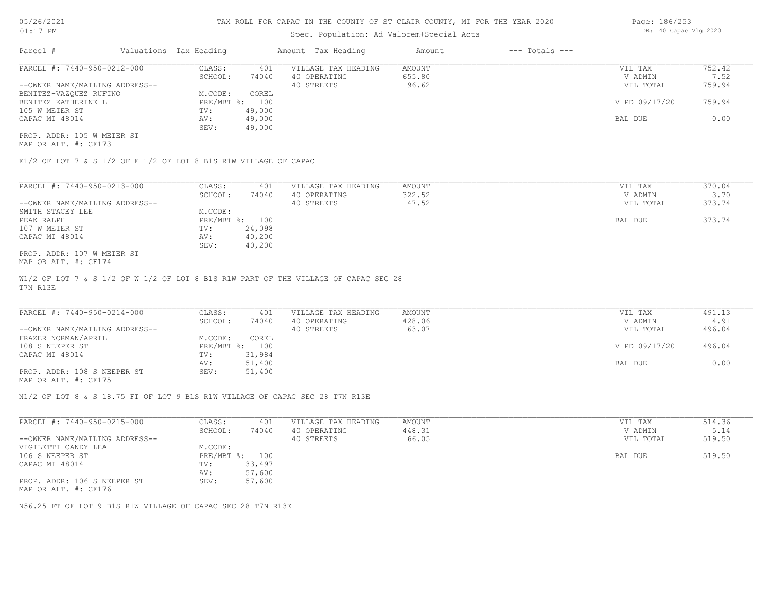### Spec. Population: Ad Va

| alorem+Special Acts |                | DB: 40 Capac Vlg 2020 |
|---------------------|----------------|-----------------------|
| Amount              | --- Totals --- |                       |

Page: 186/253

| PARCEL #: 7440-950-0212-000    | CLASS:  | 401            | VILLAGE TAX HEADING | AMOUNT | VIL TAX       | 752.42 |
|--------------------------------|---------|----------------|---------------------|--------|---------------|--------|
|                                | SCHOOL: | 74040          | 40 OPERATING        | 655.80 | V ADMIN       | 7.52   |
| --OWNER NAME/MAILING ADDRESS-- |         |                | 40 STREETS          | 96.62  | VIL TOTAL     | 759.94 |
| BENITEZ-VAZQUEZ RUFINO         | M.CODE: | COREL          |                     |        |               |        |
| BENITEZ KATHERINE L            |         | PRE/MBT %: 100 |                     |        | V PD 09/17/20 | 759.94 |
| 105 W MEIER ST                 | TV:     | 49,000         |                     |        |               |        |
| CAPAC MI 48014                 | AV:     | 49,000         |                     |        | BAL DUE       | 0.00   |
|                                | SEV:    | 49,000         |                     |        |               |        |
| PROP. ADDR: 105 W MEIER ST     |         |                |                     |        |               |        |

MAP OR ALT. #: CF173

E1/2 OF LOT 7 & S 1/2 OF E 1/2 OF LOT 8 B1S R1W VILLAGE OF CAPAC

Parcel # Valuations Tax Heading Amount Tax Heading

| PARCEL #: 7440-950-0213-000    | CLASS:       | 401    | VILLAGE TAX HEADING | AMOUNT | 370.04<br>VIL TAX   |
|--------------------------------|--------------|--------|---------------------|--------|---------------------|
|                                | SCHOOL:      | 74040  | 40 OPERATING        | 322.52 | 3.70<br>V ADMIN     |
| --OWNER NAME/MAILING ADDRESS-- |              |        | 40 STREETS          | 47.52  | 373.74<br>VIL TOTAL |
| SMITH STACEY LEE               | M.CODE:      |        |                     |        |                     |
| PEAK RALPH                     | $PRE/MBT$ %: | 100    |                     |        | 373.74<br>BAL DUE   |
| 107 W MEIER ST                 | TV:          | 24,098 |                     |        |                     |
| CAPAC MI 48014                 | AV:          | 40,200 |                     |        |                     |
|                                | SEV:         | 40,200 |                     |        |                     |
| PROP. ADDR: 107 W MEIER ST     |              |        |                     |        |                     |

MAP OR ALT. #: CF174

T7N R13E W1/2 OF LOT 7 & S 1/2 OF W 1/2 OF LOT 8 B1S R1W PART OF THE VILLAGE OF CAPAC SEC 28

| PARCEL #: 7440-950-0214-000    | CLASS:       | 401    | VILLAGE TAX HEADING | AMOUNT | VIL TAX       | 491.13 |  |
|--------------------------------|--------------|--------|---------------------|--------|---------------|--------|--|
|                                | SCHOOL:      | 74040  | 40 OPERATING        | 428.06 | V ADMIN       | 4.91   |  |
| --OWNER NAME/MAILING ADDRESS-- |              |        | 40 STREETS          | 63.07  | VIL TOTAL     | 496.04 |  |
| FRAZER NORMAN/APRIL            | M.CODE:      | COREL  |                     |        |               |        |  |
| 108 S NEEPER ST                | $PRE/MBT$ %: | 100    |                     |        | V PD 09/17/20 | 496.04 |  |
| CAPAC MI 48014                 | TV:          | 31,984 |                     |        |               |        |  |
|                                | AV:          | 51,400 |                     |        | BAL DUE       | 0.00   |  |
| PROP. ADDR: 108 S NEEPER ST    | SEV:         | 51,400 |                     |        |               |        |  |
|                                |              |        |                     |        |               |        |  |

 $\mathcal{L}_\mathcal{L} = \mathcal{L}_\mathcal{L} = \mathcal{L}_\mathcal{L} = \mathcal{L}_\mathcal{L} = \mathcal{L}_\mathcal{L} = \mathcal{L}_\mathcal{L} = \mathcal{L}_\mathcal{L} = \mathcal{L}_\mathcal{L} = \mathcal{L}_\mathcal{L} = \mathcal{L}_\mathcal{L} = \mathcal{L}_\mathcal{L} = \mathcal{L}_\mathcal{L} = \mathcal{L}_\mathcal{L} = \mathcal{L}_\mathcal{L} = \mathcal{L}_\mathcal{L} = \mathcal{L}_\mathcal{L} = \mathcal{L}_\mathcal{L}$ 

MAP OR ALT. #: CF175

N1/2 OF LOT 8 & S 18.75 FT OF LOT 9 B1S R1W VILLAGE OF CAPAC SEC 28 T7N R13E

| PARCEL #: 7440-950-0215-000    | CLASS:  | 401            | VILLAGE TAX HEADING | AMOUNT | VIL TAX   | 514.36 |
|--------------------------------|---------|----------------|---------------------|--------|-----------|--------|
|                                | SCHOOL: | 74040          | 40 OPERATING        | 448.31 | V ADMIN   | 5.14   |
| --OWNER NAME/MAILING ADDRESS-- |         |                | 40 STREETS          | 66.05  | VIL TOTAL | 519.50 |
| VIGILETTI CANDY LEA            | M.CODE: |                |                     |        |           |        |
| 106 S NEEPER ST                |         | PRE/MBT %: 100 |                     |        | BAL DUE   | 519.50 |
| CAPAC MI 48014                 | TV:     | 33,497         |                     |        |           |        |
|                                | AV:     | 57,600         |                     |        |           |        |
| PROP. ADDR: 106 S NEEPER ST    | SEV:    | 57,600         |                     |        |           |        |
| MAP OR ALT. #: CF176           |         |                |                     |        |           |        |

N56.25 FT OF LOT 9 B1S R1W VILLAGE OF CAPAC SEC 28 T7N R13E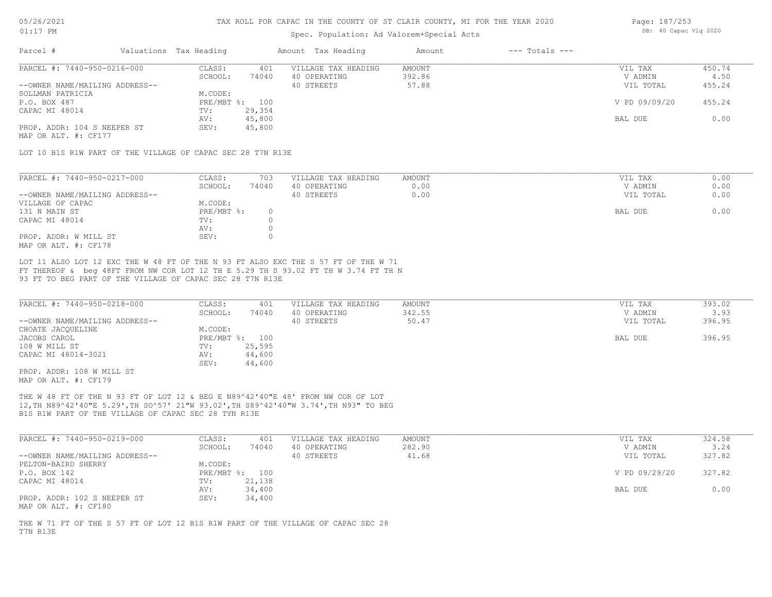### Spec. Population: Ad Valorem+Special Acts

| Page: 187/253 |                       |  |
|---------------|-----------------------|--|
|               | DB: 40 Capac Vlg 2020 |  |

| Parcel #                       | Valuations Tax Heading |        | Amount Tax Heading  | Amount | $---$ Totals $---$ |               |        |
|--------------------------------|------------------------|--------|---------------------|--------|--------------------|---------------|--------|
| PARCEL #: 7440-950-0216-000    | CLASS:                 | 401    | VILLAGE TAX HEADING | AMOUNT |                    | VIL TAX       | 450.74 |
|                                | SCHOOL:                | 74040  | 40 OPERATING        | 392.86 |                    | V ADMIN       | 4.50   |
| --OWNER NAME/MAILING ADDRESS-- |                        |        | 40 STREETS          | 57.88  |                    | VIL TOTAL     | 455.24 |
| SOLLMAN PATRICIA               | M.CODE:                |        |                     |        |                    |               |        |
| P.O. BOX 487                   | PRE/MBT %: 100         |        |                     |        |                    | V PD 09/09/20 | 455.24 |
| CAPAC MI 48014                 | TV:                    | 29,354 |                     |        |                    |               |        |
|                                | AV:                    | 45,800 |                     |        |                    | BAL DUE       | 0.00   |
| PROP. ADDR: 104 S NEEPER ST    | SEV:                   | 45,800 |                     |        |                    |               |        |
|                                |                        |        |                     |        |                    |               |        |

MAP OR ALT. #: CF177

LOT 10 B1S R1W PART OF THE VILLAGE OF CAPAC SEC 28 T7N R13E

| PARCEL #: 7440-950-0217-000    | CLASS:     | 703   | VILLAGE TAX HEADING | AMOUNT | VIL TAX   | 0.00 |
|--------------------------------|------------|-------|---------------------|--------|-----------|------|
|                                | SCHOOL:    | 74040 | 40 OPERATING        | 0.00   | V ADMIN   | 0.00 |
| --OWNER NAME/MAILING ADDRESS-- |            |       | 40 STREETS          | 0.00   | VIL TOTAL | 0.00 |
| VILLAGE OF CAPAC               | M.CODE:    |       |                     |        |           |      |
| 131 N MAIN ST                  | PRE/MBT %: |       |                     |        | BAL DUE   | 0.00 |
| CAPAC MI 48014                 | TV:        |       |                     |        |           |      |
|                                | AV:        |       |                     |        |           |      |
| PROP. ADDR: W MILL ST          | SEV:       |       |                     |        |           |      |
| MAP OR ALT. #: CF178           |            |       |                     |        |           |      |

93 FT TO BEG PART OF THE VILLAGE OF CAPAC SEC 28 T7N R13E FT THEREOF & beg 48FT FROM NW COR LOT 12 TH E 5.29 TH S 93.02 FT TH W 3.74 FT TH N LOT 11 ALSO LOT 12 EXC THE W 48 FT OF THE N 93 FT ALSO EXC THE S 57 FT OF THE W 71

| PARCEL #: 7440-950-0218-000    | CLASS:  | 401            | VILLAGE TAX HEADING | AMOUNT | VIL TAX   | 393.02 |
|--------------------------------|---------|----------------|---------------------|--------|-----------|--------|
|                                | SCHOOL: | 74040          | 40 OPERATING        | 342.55 | V ADMIN   | 3.93   |
| --OWNER NAME/MAILING ADDRESS-- |         |                | 40 STREETS          | 50.47  | VIL TOTAL | 396.95 |
| CHOATE JACQUELINE              | M.CODE: |                |                     |        |           |        |
| JACOBS CAROL                   |         | PRE/MBT %: 100 |                     |        | BAL DUE   | 396.95 |
| 108 W MILL ST                  | TV:     | 25,595         |                     |        |           |        |
| CAPAC MI 48014-3021            | AV:     | 44,600         |                     |        |           |        |
|                                | SEV:    | 44,600         |                     |        |           |        |
| PROP. ADDR: 108 W MILL ST      |         |                |                     |        |           |        |

MAP OR ALT. #: CF179

B1S R1W PART OF THE VILLAGE OF CAPAC SEC 28 TYN R13E 12,TH N89^42'40"E 5.29',TH SO^57' 21"W 93.02',TH S89^42'40"W 3.74',TH N93" TO BEG THE W 48 FT OF THE N 93 FT OF LOT 12 & BEG E N89^42'40"E 48' FROM NW COR OF LOT

| PARCEL #: 7440-950-0219-000    | CLASS:  | 401            | VILLAGE TAX HEADING | AMOUNT | VIL TAX       | 324.58 |
|--------------------------------|---------|----------------|---------------------|--------|---------------|--------|
|                                | SCHOOL: | 74040          | 40 OPERATING        | 282.90 | V ADMIN       | 3.24   |
| --OWNER NAME/MAILING ADDRESS-- |         |                | 40 STREETS          | 41.68  | VIL TOTAL     | 327.82 |
| PELTON-BAIRD SHERRY            | M.CODE: |                |                     |        |               |        |
| P.O. BOX 142                   |         | PRE/MBT %: 100 |                     |        | V PD 09/29/20 | 327.82 |
| CAPAC MI 48014                 | TV:     | 21,138         |                     |        |               |        |
|                                | AV:     | 34,400         |                     |        | BAL DUE       | 0.00   |
| PROP. ADDR: 102 S NEEPER ST    | SEV:    | 34,400         |                     |        |               |        |
| MAP OR ALT. #: CF180           |         |                |                     |        |               |        |

T7N R13E THE W 71 FT OF THE S 57 FT OF LOT 12 B1S R1W PART OF THE VILLAGE OF CAPAC SEC 28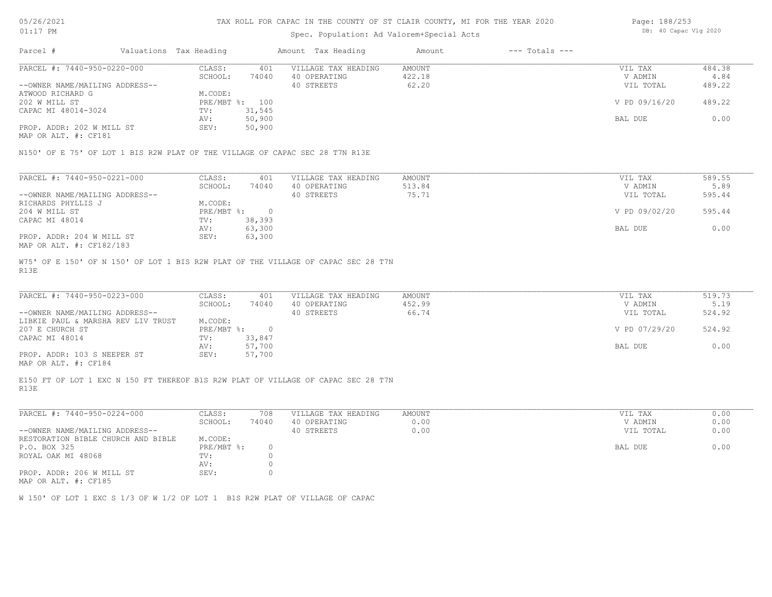| 5/26/2021 |  |
|-----------|--|
|           |  |

### Spec. Population: Ad Valorem+Special Acts

| Page: 188/253 |                       |  |
|---------------|-----------------------|--|
|               | DB: 40 Capac Vlg 2020 |  |

| Parcel #                       |  | Valuations Tax Heading |        | Amount Tax Heading  | Amount | $---$ Totals $---$ |               |        |
|--------------------------------|--|------------------------|--------|---------------------|--------|--------------------|---------------|--------|
| PARCEL #: 7440-950-0220-000    |  | CLASS:                 | 401    | VILLAGE TAX HEADING | AMOUNT |                    | VIL TAX       | 484.38 |
|                                |  | SCHOOL:                | 74040  | 40 OPERATING        | 422.18 |                    | V ADMIN       | 4.84   |
| --OWNER NAME/MAILING ADDRESS-- |  |                        |        | 40 STREETS          | 62.20  |                    | VIL TOTAL     | 489.22 |
| ATWOOD RICHARD G               |  | M.CODE:                |        |                     |        |                    |               |        |
| 202 W MILL ST                  |  | PRE/MBT %: 100         |        |                     |        |                    | V PD 09/16/20 | 489.22 |
| CAPAC MI 48014-3024            |  | TV:                    | 31,545 |                     |        |                    |               |        |
|                                |  | AV:                    | 50,900 |                     |        |                    | BAL DUE       | 0.00   |
| PROP. ADDR: 202 W MILL ST      |  | SEV:                   | 50,900 |                     |        |                    |               |        |
|                                |  |                        |        |                     |        |                    |               |        |

MAP OR ALT. #: CF181

N150' OF E 75' OF LOT 1 BIS R2W PLAT OF THE VILLAGE OF CAPAC SEC 28 T7N R13E

| PARCEL #: 7440-950-0221-000    | CLASS:       | 401    | VILLAGE TAX HEADING | AMOUNT | VIL TAX       | 589.55 |
|--------------------------------|--------------|--------|---------------------|--------|---------------|--------|
|                                | SCHOOL:      | 74040  | 40 OPERATING        | 513.84 | V ADMIN       | 5.89   |
| --OWNER NAME/MAILING ADDRESS-- |              |        | 40 STREETS          | 75.71  | VIL TOTAL     | 595.44 |
| RICHARDS PHYLLIS J             | M.CODE:      |        |                     |        |               |        |
| 204 W MILL ST                  | $PRE/MBT$ %: |        |                     |        | V PD 09/02/20 | 595.44 |
| CAPAC MI 48014                 | TV:          | 38,393 |                     |        |               |        |
|                                | AV:          | 63,300 |                     |        | BAL DUE       | 0.00   |
| PROP. ADDR: 204 W MILL ST      | SEV:         | 63,300 |                     |        |               |        |
| MAP OR ALT. #: CF182/183       |              |        |                     |        |               |        |

R13E W75' OF E 150' OF N 150' OF LOT 1 BIS R2W PLAT OF THE VILLAGE OF CAPAC SEC 28 T7N

| PARCEL #: 7440-950-0223-000        | CLASS:     | 401    | VILLAGE TAX HEADING | AMOUNT | VIL TAX       | 519.73 |
|------------------------------------|------------|--------|---------------------|--------|---------------|--------|
|                                    | SCHOOL:    | 74040  | 40 OPERATING        | 452.99 | V ADMIN       | 5.19   |
| --OWNER NAME/MAILING ADDRESS--     |            |        | 40 STREETS          | 66.74  | VIL TOTAL     | 524.92 |
| LIBKIE PAUL & MARSHA REV LIV TRUST | M.CODE:    |        |                     |        |               |        |
| 207 E CHURCH ST                    | PRE/MBT %: |        |                     |        | V PD 07/29/20 | 524.92 |
| CAPAC MI 48014                     | TV:        | 33,847 |                     |        |               |        |
|                                    | AV:        | 57,700 |                     |        | BAL DUE       | 0.00   |
| PROP. ADDR: 103 S NEEPER ST        | SEV:       | 57,700 |                     |        |               |        |
|                                    |            |        |                     |        |               |        |

 $\mathcal{L}_\mathcal{L} = \mathcal{L}_\mathcal{L} = \mathcal{L}_\mathcal{L} = \mathcal{L}_\mathcal{L} = \mathcal{L}_\mathcal{L} = \mathcal{L}_\mathcal{L} = \mathcal{L}_\mathcal{L} = \mathcal{L}_\mathcal{L} = \mathcal{L}_\mathcal{L} = \mathcal{L}_\mathcal{L} = \mathcal{L}_\mathcal{L} = \mathcal{L}_\mathcal{L} = \mathcal{L}_\mathcal{L} = \mathcal{L}_\mathcal{L} = \mathcal{L}_\mathcal{L} = \mathcal{L}_\mathcal{L} = \mathcal{L}_\mathcal{L}$ 

MAP OR ALT. #: CF184

R13E E150 FT OF LOT 1 EXC N 150 FT THEREOF B1S R2W PLAT OF VILLAGE OF CAPAC SEC 28 T7N

| PARCEL #: 7440-950-0224-000                | CLASS:     | 708   | VILLAGE TAX HEADING | AMOUNT | 0.00<br>VIL TAX   |
|--------------------------------------------|------------|-------|---------------------|--------|-------------------|
|                                            | SCHOOL:    | 74040 | 40 OPERATING        | 0.00   | 0.00<br>V ADMIN   |
| --OWNER NAME/MAILING ADDRESS--             |            |       | 40 STREETS          | 0.00   | 0.00<br>VIL TOTAL |
| RESTORATION BIBLE CHURCH AND BIBLE         | M.CODE:    |       |                     |        |                   |
| P.O. BOX 325                               | PRE/MBT %: |       |                     |        | BAL DUE<br>0.00   |
| ROYAL OAK MI 48068                         | TV:        |       |                     |        |                   |
|                                            | AV:        |       |                     |        |                   |
| PROP. ADDR: 206 W MILL ST<br>$\frac{1}{2}$ | SEV:       |       |                     |        |                   |

MAP OR ALT. #: CF185

W 150' OF LOT 1 EXC S 1/3 OF W 1/2 OF LOT 1 B1S R2W PLAT OF VILLAGE OF CAPAC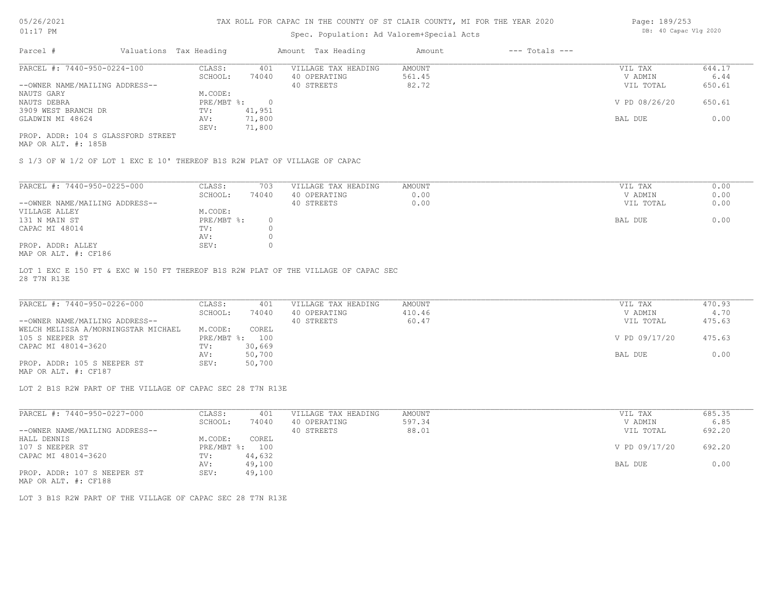### Spec. Population: Ad Valorem+Special Acts

| Page: 189/253 |                       |  |
|---------------|-----------------------|--|
|               | DB: 40 Capac Vlg 2020 |  |

| Parcel #                           | Valuations Tax Heading | Amount Tax Heading |                     | Amount | $---$ Totals $---$ |               |        |
|------------------------------------|------------------------|--------------------|---------------------|--------|--------------------|---------------|--------|
| PARCEL #: 7440-950-0224-100        | CLASS:                 | 401                | VILLAGE TAX HEADING | AMOUNT |                    | VIL TAX       | 644.17 |
|                                    | SCHOOL:                | 74040              | 40 OPERATING        | 561.45 |                    | V ADMIN       | 6.44   |
| --OWNER NAME/MAILING ADDRESS--     |                        |                    | 40 STREETS          | 82.72  |                    | VIL TOTAL     | 650.61 |
| NAUTS GARY                         | M.CODE:                |                    |                     |        |                    |               |        |
| NAUTS DEBRA                        | PRE/MBT %:             |                    |                     |        |                    | V PD 08/26/20 | 650.61 |
| 3909 WEST BRANCH DR                | TV:                    | 41,951             |                     |        |                    |               |        |
| GLADWIN MI 48624                   | AV:                    | 71,800             |                     |        |                    | BAL DUE       | 0.00   |
|                                    | SEV:                   | 71,800             |                     |        |                    |               |        |
| PROP. ADDR: 104 S GLASSFORD STREET |                        |                    |                     |        |                    |               |        |

MAP OR ALT. #: 185B

S 1/3 OF W 1/2 OF LOT 1 EXC E 10' THEREOF B1S R2W PLAT OF VILLAGE OF CAPAC

| PARCEL #: 7440-950-0225-000    | CLASS:     | 703   | VILLAGE TAX HEADING | AMOUNT | VIL TAX<br>0.00   |
|--------------------------------|------------|-------|---------------------|--------|-------------------|
|                                | SCHOOL:    | 74040 | 40 OPERATING        | 0.00   | 0.00<br>V ADMIN   |
| --OWNER NAME/MAILING ADDRESS-- |            |       | 40 STREETS          | 0.00   | 0.00<br>VIL TOTAL |
| VILLAGE ALLEY                  | M.CODE:    |       |                     |        |                   |
| 131 N MAIN ST                  | PRE/MBT %: |       |                     |        | 0.00<br>BAL DUE   |
| CAPAC MI 48014                 | TV:        |       |                     |        |                   |
|                                | AV:        |       |                     |        |                   |
| PROP. ADDR: ALLEY              | SEV:       |       |                     |        |                   |
| $MAD$ $CD$ $BTD$ $L$ , $CD10C$ |            |       |                     |        |                   |

MAP OR ALT. #: CF186

28 T7N R13E LOT 1 EXC E 150 FT & EXC W 150 FT THEREOF B1S R2W PLAT OF THE VILLAGE OF CAPAC SEC

| PARCEL #: 7440-950-0226-000         | CLASS:  | 401            | VILLAGE TAX HEADING | AMOUNT | VIL TAX       | 470.93 |
|-------------------------------------|---------|----------------|---------------------|--------|---------------|--------|
|                                     | SCHOOL: | 74040          | 40 OPERATING        | 410.46 | V ADMIN       | 4.70   |
| --OWNER NAME/MAILING ADDRESS--      |         |                | 40 STREETS          | 60.47  | VIL TOTAL     | 475.63 |
| WELCH MELISSA A/MORNINGSTAR MICHAEL | M.CODE: | COREL          |                     |        |               |        |
| 105 S NEEPER ST                     |         | PRE/MBT %: 100 |                     |        | V PD 09/17/20 | 475.63 |
| CAPAC MI 48014-3620                 | TV:     | 30,669         |                     |        |               |        |
|                                     | AV:     | 50,700         |                     |        | BAL DUE       | 0.00   |
| PROP. ADDR: 105 S NEEPER ST         | SEV:    | 50,700         |                     |        |               |        |

MAP OR ALT. #: CF187

LOT 2 B1S R2W PART OF THE VILLAGE OF CAPAC SEC 28 T7N R13E

| PARCEL #: 7440-950-0227-000    | CLASS:             | 401    | VILLAGE TAX HEADING | AMOUNT | VIL TAX       | 685.35 |
|--------------------------------|--------------------|--------|---------------------|--------|---------------|--------|
|                                | SCHOOL:            | 74040  | 40 OPERATING        | 597.34 | V ADMIN       | 6.85   |
| --OWNER NAME/MAILING ADDRESS-- |                    |        | 40 STREETS          | 88.01  | VIL TOTAL     | 692.20 |
| HALL DENNIS                    | M.CODE:            | COREL  |                     |        |               |        |
| 107 S NEEPER ST                | $PRE/MBT$ $\div$ : | 100    |                     |        | V PD 09/17/20 | 692.20 |
| CAPAC MI 48014-3620            | TV:                | 44,632 |                     |        |               |        |
|                                | AV:                | 49,100 |                     |        | BAL DUE       | 0.00   |
| PROP. ADDR: 107 S NEEPER ST    | SEV:               | 49,100 |                     |        |               |        |

MAP OR ALT. #: CF188

LOT 3 B1S R2W PART OF THE VILLAGE OF CAPAC SEC 28 T7N R13E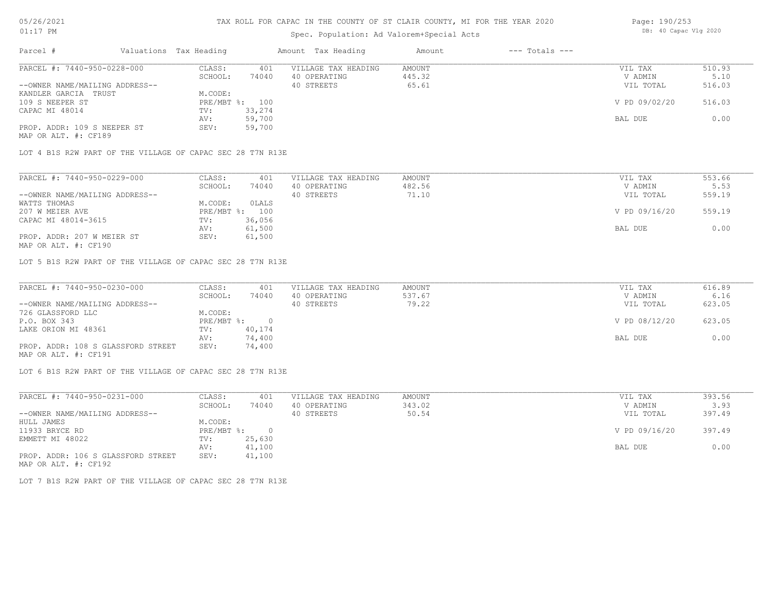### Spec. Population: Ad Valorem+Special Acts

| Page: 190/253 |                       |  |
|---------------|-----------------------|--|
|               | DB: 40 Capac Vlg 2020 |  |

| Parcel #                       | Valuations Tax Heading |        | Amount Tax Heading  | Amount | $---$ Totals $---$ |               |        |
|--------------------------------|------------------------|--------|---------------------|--------|--------------------|---------------|--------|
| PARCEL #: 7440-950-0228-000    | CLASS:                 | 401    | VILLAGE TAX HEADING | AMOUNT |                    | VIL TAX       | 510.93 |
|                                | SCHOOL:                | 74040  | 40 OPERATING        | 445.32 |                    | V ADMIN       | 5.10   |
| --OWNER NAME/MAILING ADDRESS-- |                        |        | 40 STREETS          | 65.61  |                    | VIL TOTAL     | 516.03 |
| KANDLER GARCIA TRUST           | M.CODE:                |        |                     |        |                    |               |        |
| 109 S NEEPER ST                | PRE/MBT %: 100         |        |                     |        |                    | V PD 09/02/20 | 516.03 |
| CAPAC MI 48014                 | TV:                    | 33,274 |                     |        |                    |               |        |
|                                | AV:                    | 59,700 |                     |        |                    | BAL DUE       | 0.00   |
| PROP. ADDR: 109 S NEEPER ST    | SEV:                   | 59,700 |                     |        |                    |               |        |
|                                |                        |        |                     |        |                    |               |        |

MAP OR ALT. #: CF189

LOT 4 B1S R2W PART OF THE VILLAGE OF CAPAC SEC 28 T7N R13E

| PARCEL #: 7440-950-0229-000    | CLASS:     | 401    | VILLAGE TAX HEADING | AMOUNT | VIL TAX       | 553.66 |
|--------------------------------|------------|--------|---------------------|--------|---------------|--------|
|                                | SCHOOL:    | 74040  | 40 OPERATING        | 482.56 | V ADMIN       | 5.53   |
| --OWNER NAME/MAILING ADDRESS-- |            |        | 40 STREETS          | 71.10  | VIL TOTAL     | 559.19 |
| WATTS THOMAS                   | M.CODE:    | OLALS  |                     |        |               |        |
| 207 W MEIER AVE                | PRE/MBT %: | 100    |                     |        | V PD 09/16/20 | 559.19 |
| CAPAC MI 48014-3615            | TV:        | 36,056 |                     |        |               |        |
|                                | AV:        | 61,500 |                     |        | BAL DUE       | 0.00   |
| PROP. ADDR: 207 W MEIER ST     | SEV:       | 61,500 |                     |        |               |        |
|                                |            |        |                     |        |               |        |

MAP OR ALT. #: CF190

LOT 5 B1S R2W PART OF THE VILLAGE OF CAPAC SEC 28 T7N R13E

| PARCEL #: 7440-950-0230-000        | CLASS:       | 401    | VILLAGE TAX HEADING | AMOUNT | VIL TAX       | 616.89 |
|------------------------------------|--------------|--------|---------------------|--------|---------------|--------|
|                                    | SCHOOL:      | 74040  | 40 OPERATING        | 537.67 | V ADMIN       | 6.16   |
| --OWNER NAME/MAILING ADDRESS--     |              |        | 40 STREETS          | 79.22  | VIL TOTAL     | 623.05 |
| 726 GLASSFORD LLC                  | M.CODE:      |        |                     |        |               |        |
| P.O. BOX 343                       | $PRE/MBT$ %: |        |                     |        | V PD 08/12/20 | 623.05 |
| LAKE ORION MI 48361                | TV:          | 40,174 |                     |        |               |        |
|                                    | AV:          | 74,400 |                     |        | BAL DUE       | 0.00   |
| PROP. ADDR: 108 S GLASSFORD STREET | SEV:         | 74,400 |                     |        |               |        |
| MAP OR ALT. #: CF191               |              |        |                     |        |               |        |

LOT 6 B1S R2W PART OF THE VILLAGE OF CAPAC SEC 28 T7N R13E

| PARCEL #: 7440-950-0231-000        | CLASS:     | 401      | VILLAGE TAX HEADING | AMOUNT | VIL TAX       | 393.56 |
|------------------------------------|------------|----------|---------------------|--------|---------------|--------|
|                                    | SCHOOL:    | 74040    | 40 OPERATING        | 343.02 | V ADMIN       | 3.93   |
| --OWNER NAME/MAILING ADDRESS--     |            |          | 40 STREETS          | 50.54  | VIL TOTAL     | 397.49 |
| HULL JAMES                         | M.CODE:    |          |                     |        |               |        |
| 11933 BRYCE RD                     | PRE/MBT %: | $\Omega$ |                     |        | V PD 09/16/20 | 397.49 |
| EMMETT MI 48022                    | TV:        | 25,630   |                     |        |               |        |
|                                    | AV:        | 41,100   |                     |        | BAL DUE       | 0.00   |
| PROP. ADDR: 106 S GLASSFORD STREET | SEV:       | 41,100   |                     |        |               |        |
| MAP OR ALT. #: CF192               |            |          |                     |        |               |        |

LOT 7 B1S R2W PART OF THE VILLAGE OF CAPAC SEC 28 T7N R13E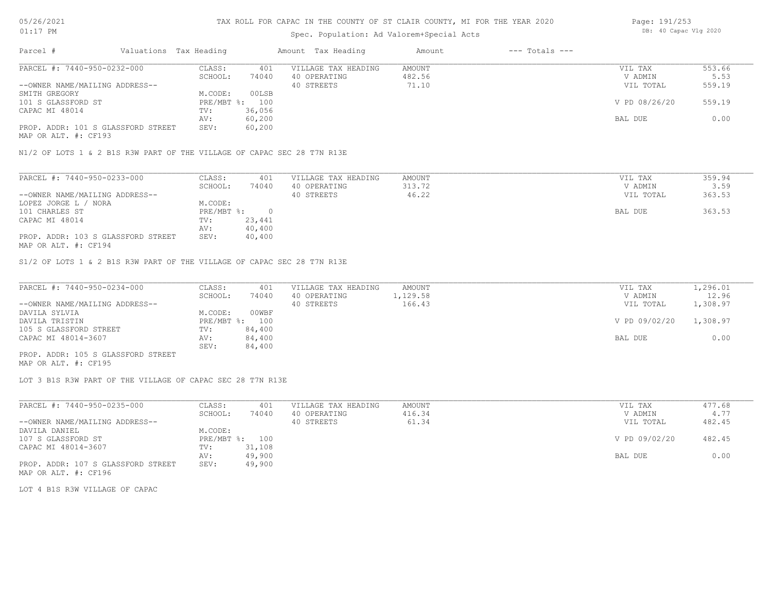## Spec. Population: Ad Valorem+Special Acts

| Page: 191/253 |                       |  |  |  |  |  |  |
|---------------|-----------------------|--|--|--|--|--|--|
|               | DB: 40 Capac Vlg 2020 |  |  |  |  |  |  |

| Parcel #                           | Valuations Tax Heading |                | Amount Tax Heading  | Amount | $---$ Totals $---$ |               |        |
|------------------------------------|------------------------|----------------|---------------------|--------|--------------------|---------------|--------|
| PARCEL #: 7440-950-0232-000        | CLASS:                 | 401            | VILLAGE TAX HEADING | AMOUNT |                    | VIL TAX       | 553.66 |
|                                    | SCHOOL:                | 74040          | 40 OPERATING        | 482.56 |                    | V ADMIN       | 5.53   |
| --OWNER NAME/MAILING ADDRESS--     |                        |                | 40 STREETS          | 71.10  |                    | VIL TOTAL     | 559.19 |
| SMITH GREGORY                      | M.CODE:                | 00LSB          |                     |        |                    |               |        |
| 101 S GLASSFORD ST                 |                        | PRE/MBT %: 100 |                     |        |                    | V PD 08/26/20 | 559.19 |
| CAPAC MI 48014                     | TV:                    | 36,056         |                     |        |                    |               |        |
|                                    | AV:                    | 60,200         |                     |        |                    | BAL DUE       | 0.00   |
| PROP. ADDR: 101 S GLASSFORD STREET | SEV:                   | 60,200         |                     |        |                    |               |        |
|                                    |                        |                |                     |        |                    |               |        |

MAP OR ALT. #: CF193

N1/2 OF LOTS 1 & 2 B1S R3W PART OF THE VILLAGE OF CAPAC SEC 28 T7N R13E

| PARCEL #: 7440-950-0233-000        | CLASS:     | 401    | VILLAGE TAX HEADING | AMOUNT | VIL TAX   | 359.94 |
|------------------------------------|------------|--------|---------------------|--------|-----------|--------|
|                                    | SCHOOL:    | 74040  | 40 OPERATING        | 313.72 | V ADMIN   | 3.59   |
| --OWNER NAME/MAILING ADDRESS--     |            |        | 40 STREETS          | 46.22  | VIL TOTAL | 363.53 |
| LOPEZ JORGE L / NORA               | M.CODE:    |        |                     |        |           |        |
| 101 CHARLES ST                     | PRE/MBT %: |        |                     |        | BAL DUE   | 363.53 |
| CAPAC MI 48014                     | TV:        | 23,441 |                     |        |           |        |
|                                    | AV:        | 40,400 |                     |        |           |        |
| PROP. ADDR: 103 S GLASSFORD STREET | SEV:       | 40,400 |                     |        |           |        |
|                                    |            |        |                     |        |           |        |

MAP OR ALT. #: CF194

S1/2 OF LOTS 1 & 2 B1S R3W PART OF THE VILLAGE OF CAPAC SEC 28 T7N R13E

| PARCEL #: 7440-950-0234-000        | CLASS:         | 401    | VILLAGE TAX HEADING | AMOUNT   | VIL TAX       | 1,296.01 |
|------------------------------------|----------------|--------|---------------------|----------|---------------|----------|
|                                    | SCHOOL:        | 74040  | 40 OPERATING        | 1,129.58 | V ADMIN       | 12.96    |
| --OWNER NAME/MAILING ADDRESS--     |                |        | 40 STREETS          | 166.43   | VIL TOTAL     | 1,308.97 |
| DAVILA SYLVIA                      | M.CODE:        | 00WBF  |                     |          |               |          |
| DAVILA TRISTIN                     | PRE/MBT %: 100 |        |                     |          | V PD 09/02/20 | 1,308.97 |
| 105 S GLASSFORD STREET             | TV:            | 84,400 |                     |          |               |          |
| CAPAC MI 48014-3607                | AV:            | 84,400 |                     |          | BAL DUE       | 0.00     |
|                                    | SEV:           | 84,400 |                     |          |               |          |
| PROP. ADDR: 105 S GLASSFORD STREET |                |        |                     |          |               |          |

MAP OR ALT. #: CF195

LOT 3 B1S R3W PART OF THE VILLAGE OF CAPAC SEC 28 T7N R13E

| PARCEL #: 7440-950-0235-000        | CLASS:  | 401            | VILLAGE TAX HEADING | AMOUNT | VIL TAX       | 477.68 |
|------------------------------------|---------|----------------|---------------------|--------|---------------|--------|
|                                    | SCHOOL: | 74040          | 40 OPERATING        | 416.34 | V ADMIN       | 4.77   |
| --OWNER NAME/MAILING ADDRESS--     |         |                | 40 STREETS          | 61.34  | VIL TOTAL     | 482.45 |
| DAVILA DANIEL                      | M.CODE: |                |                     |        |               |        |
| 107 S GLASSFORD ST                 |         | PRE/MBT %: 100 |                     |        | V PD 09/02/20 | 482.45 |
| CAPAC MI 48014-3607                | TV:     | 31,108         |                     |        |               |        |
|                                    | AV:     | 49,900         |                     |        | BAL DUE       | 0.00   |
| PROP. ADDR: 107 S GLASSFORD STREET | SEV:    | 49,900         |                     |        |               |        |
| MAP OR ALT. #: CF196               |         |                |                     |        |               |        |

LOT 4 B1S R3W VILLAGE OF CAPAC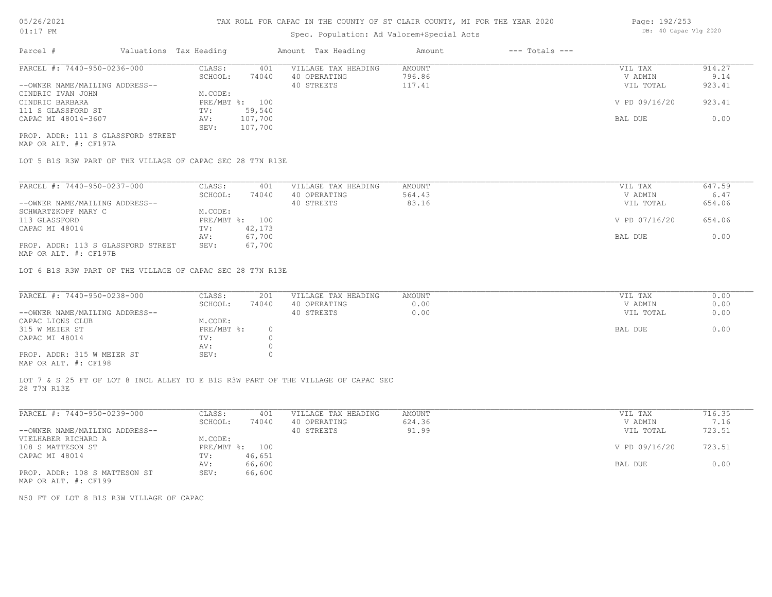### Spec. Population: Ad Valorem+Special Acts

| Page: 192/253 |  |                       |  |  |
|---------------|--|-----------------------|--|--|
|               |  | DB: 40 Capac Vlg 2020 |  |  |

| Parcel #                       | Valuations Tax Heading |                | Amount Tax Heading  | Amount | $---$ Totals $---$ |               |        |
|--------------------------------|------------------------|----------------|---------------------|--------|--------------------|---------------|--------|
| PARCEL #: 7440-950-0236-000    | CLASS:                 | 401            | VILLAGE TAX HEADING | AMOUNT |                    | VIL TAX       | 914.27 |
|                                | SCHOOL:                | 74040          | 40 OPERATING        | 796.86 |                    | V ADMIN       | 9.14   |
| --OWNER NAME/MAILING ADDRESS-- |                        |                | 40 STREETS          | 117.41 |                    | VIL TOTAL     | 923.41 |
| CINDRIC IVAN JOHN              | M.CODE:                |                |                     |        |                    |               |        |
| CINDRIC BARBARA                |                        | PRE/MBT %: 100 |                     |        |                    | V PD 09/16/20 | 923.41 |
| 111 S GLASSFORD ST             | TV:                    | 59,540         |                     |        |                    |               |        |
| CAPAC MI 48014-3607            | AV:                    | 107,700        |                     |        |                    | BAL DUE       | 0.00   |
|                                | SEV:                   | 107,700        |                     |        |                    |               |        |
|                                |                        |                |                     |        |                    |               |        |

MAP OR ALT. #: CF197A PROP. ADDR: 111 S GLASSFORD STREET

LOT 5 B1S R3W PART OF THE VILLAGE OF CAPAC SEC 28 T7N R13E

| PARCEL #: 7440-950-0237-000                                                                          | CLASS:     | 401    | VILLAGE TAX HEADING | AMOUNT | VIL TAX       | 647.59 |
|------------------------------------------------------------------------------------------------------|------------|--------|---------------------|--------|---------------|--------|
|                                                                                                      | SCHOOL:    | 74040  | 40 OPERATING        | 564.43 | V ADMIN       | 6.47   |
| --OWNER NAME/MAILING ADDRESS--                                                                       |            |        | 40 STREETS          | 83.16  | VIL TOTAL     | 654.06 |
| SCHWARTZKOPF MARY C                                                                                  | M.CODE:    |        |                     |        |               |        |
| 113 GLASSFORD                                                                                        | PRE/MBT %: | 100    |                     |        | V PD 07/16/20 | 654.06 |
| CAPAC MI 48014                                                                                       | TV:        | 42,173 |                     |        |               |        |
|                                                                                                      | AV:        | 67,700 |                     |        | BAL DUE       | 0.00   |
| PROP. ADDR: 113 S GLASSFORD STREET<br>$\cdots$ $\cdots$ $\cdots$ $\cdots$ $\cdots$ $\cdots$ $\cdots$ | SEV:       | 67,700 |                     |        |               |        |

MAP OR ALT. #: CF197B

LOT 6 B1S R3W PART OF THE VILLAGE OF CAPAC SEC 28 T7N R13E

| PARCEL #: 7440-950-0238-000                           | CLASS:       | 201   | VILLAGE TAX HEADING | AMOUNT | VIL TAX   | 0.00 |
|-------------------------------------------------------|--------------|-------|---------------------|--------|-----------|------|
|                                                       | SCHOOL:      | 74040 | 40 OPERATING        | 0.00   | V ADMIN   | 0.00 |
| --OWNER NAME/MAILING ADDRESS--                        |              |       | 40 STREETS          | 0.00   | VIL TOTAL | 0.00 |
| CAPAC LIONS CLUB                                      | M.CODE:      |       |                     |        |           |      |
| 315 W MEIER ST                                        | $PRE/MBT$ %: |       |                     |        | BAL DUE   | 0.00 |
| CAPAC MI 48014                                        | TV:          |       |                     |        |           |      |
|                                                       | AV:          |       |                     |        |           |      |
| PROP. ADDR: 315 W MEIER ST                            | SEV:         |       |                     |        |           |      |
| $\cdots$ $\cdots$ $\cdots$ $\cdots$ $\cdots$ $\cdots$ |              |       |                     |        |           |      |

MAP OR ALT. #: CF198

28 T7N R13E LOT 7 & S 25 FT OF LOT 8 INCL ALLEY TO E B1S R3W PART OF THE VILLAGE OF CAPAC SEC

| PARCEL #: 7440-950-0239-000    | CLASS:       | 401    | VILLAGE TAX HEADING | AMOUNT | VIL TAX       | 716.35 |
|--------------------------------|--------------|--------|---------------------|--------|---------------|--------|
|                                | SCHOOL:      | 74040  | 40 OPERATING        | 624.36 | V ADMIN       | 7.16   |
| --OWNER NAME/MAILING ADDRESS-- |              |        | 40 STREETS          | 91.99  | VIL TOTAL     | 723.51 |
| VIELHABER RICHARD A            | M.CODE:      |        |                     |        |               |        |
| 108 S MATTESON ST              | $PRE/MBT$ %: | 100    |                     |        | V PD 09/16/20 | 723.51 |
| CAPAC MI 48014                 | TV:          | 46,651 |                     |        |               |        |
|                                | AV:          | 66,600 |                     |        | BAL DUE       | 0.00   |
| PROP. ADDR: 108 S MATTESON ST  | SEV:         | 66,600 |                     |        |               |        |
| MAP OR ALT. #: CF199           |              |        |                     |        |               |        |

N50 FT OF LOT 8 B1S R3W VILLAGE OF CAPAC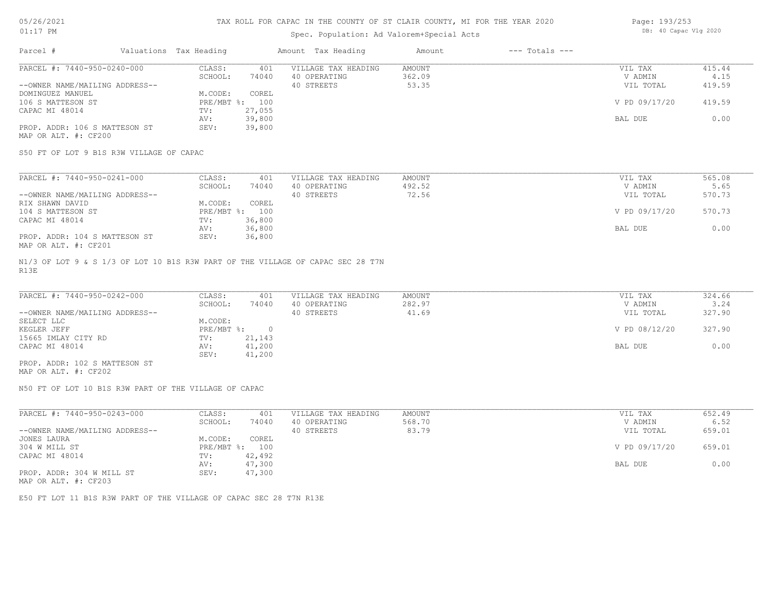### Spec. Population: Ad Valorem+Special Acts

| Page: 193/253 |                       |  |
|---------------|-----------------------|--|
|               | DB: 40 Capac Vlg 2020 |  |

| Parcel #                       | Valuations Tax Heading |        | Amount Tax Heading  | Amount | $---$ Totals $---$ |               |        |
|--------------------------------|------------------------|--------|---------------------|--------|--------------------|---------------|--------|
| PARCEL #: 7440-950-0240-000    | CLASS:                 | 401    | VILLAGE TAX HEADING | AMOUNT |                    | VIL TAX       | 415.44 |
|                                | SCHOOL:                | 74040  | 40 OPERATING        | 362.09 |                    | V ADMIN       | 4.15   |
| --OWNER NAME/MAILING ADDRESS-- |                        |        | 40 STREETS          | 53.35  |                    | VIL TOTAL     | 419.59 |
| DOMINGUEZ MANUEL               | M.CODE:                | COREL  |                     |        |                    |               |        |
| 106 S MATTESON ST              | $PRE/MBT$ %:           | 100    |                     |        |                    | V PD 09/17/20 | 419.59 |
| CAPAC MI 48014                 | TV:                    | 27,055 |                     |        |                    |               |        |
|                                | AV:                    | 39,800 |                     |        |                    | BAL DUE       | 0.00   |
| PROP. ADDR: 106 S MATTESON ST  | SEV:                   | 39,800 |                     |        |                    |               |        |
| MAP OR ALT. #: CF200           |                        |        |                     |        |                    |               |        |

S50 FT OF LOT 9 B1S R3W VILLAGE OF CAPAC

| PARCEL #: 7440-950-0241-000    | CLASS:       | 401    | VILLAGE TAX HEADING | AMOUNT | VIL TAX       | 565.08 |
|--------------------------------|--------------|--------|---------------------|--------|---------------|--------|
|                                | SCHOOL:      | 74040  | 40 OPERATING        | 492.52 | V ADMIN       | 5.65   |
| --OWNER NAME/MAILING ADDRESS-- |              |        | 40 STREETS          | 72.56  | VIL TOTAL     | 570.73 |
| RIX SHAWN DAVID                | M.CODE:      | COREL  |                     |        |               |        |
| 104 S MATTESON ST              | $PRE/MBT$ %: | 100    |                     |        | V PD 09/17/20 | 570.73 |
| CAPAC MI 48014                 | TV:          | 36,800 |                     |        |               |        |
|                                | AV:          | 36,800 |                     |        | BAL DUE       | 0.00   |
| PROP. ADDR: 104 S MATTESON ST  | SEV:         | 36,800 |                     |        |               |        |
| MAP OR ALT. #: CF201           |              |        |                     |        |               |        |

R13E N1/3 OF LOT 9 & S 1/3 OF LOT 10 B1S R3W PART OF THE VILLAGE OF CAPAC SEC 28 T7N

| PARCEL #: 7440-950-0242-000    | CLASS:     | 401    | VILLAGE TAX HEADING | AMOUNT | VIL TAX       | 324.66 |
|--------------------------------|------------|--------|---------------------|--------|---------------|--------|
|                                | SCHOOL:    | 74040  | 40 OPERATING        | 282.97 | V ADMIN       | 3.24   |
| --OWNER NAME/MAILING ADDRESS-- |            |        | 40 STREETS          | 41.69  | VIL TOTAL     | 327.90 |
| SELECT LLC                     | M.CODE:    |        |                     |        |               |        |
| KEGLER JEFF                    | PRE/MBT %: |        |                     |        | V PD 08/12/20 | 327.90 |
| 15665 IMLAY CITY RD            | TV:        | 21,143 |                     |        |               |        |
| CAPAC MI 48014                 | AV:        | 41,200 |                     |        | BAL DUE       | 0.00   |
|                                | SEV:       | 41,200 |                     |        |               |        |
| PROP. ADDR: 102 S MATTESON ST  |            |        |                     |        |               |        |

MAP OR ALT. #: CF202

N50 FT OF LOT 10 B1S R3W PART OF THE VILLAGE OF CAPAC

| PARCEL #: 7440-950-0243-000    | CLASS:       | 401    | VILLAGE TAX HEADING | AMOUNT | VIL TAX       | 652.49 |
|--------------------------------|--------------|--------|---------------------|--------|---------------|--------|
|                                | SCHOOL:      | 74040  | 40 OPERATING        | 568.70 | V ADMIN       | 6.52   |
| --OWNER NAME/MAILING ADDRESS-- |              |        | 40 STREETS          | 83.79  | VIL TOTAL     | 659.01 |
| JONES LAURA                    | M.CODE:      | COREL  |                     |        |               |        |
| 304 W MILL ST                  | $PRE/MBT$ %: | 100    |                     |        | V PD 09/17/20 | 659.01 |
| CAPAC MI 48014                 | TV:          | 42,492 |                     |        |               |        |
|                                | AV:          | 47,300 |                     |        | BAL DUE       | 0.00   |
| PROP. ADDR: 304 W MILL ST      | SEV:         | 47,300 |                     |        |               |        |
|                                |              |        |                     |        |               |        |

MAP OR ALT. #: CF203

E50 FT LOT 11 B1S R3W PART OF THE VILLAGE OF CAPAC SEC 28 T7N R13E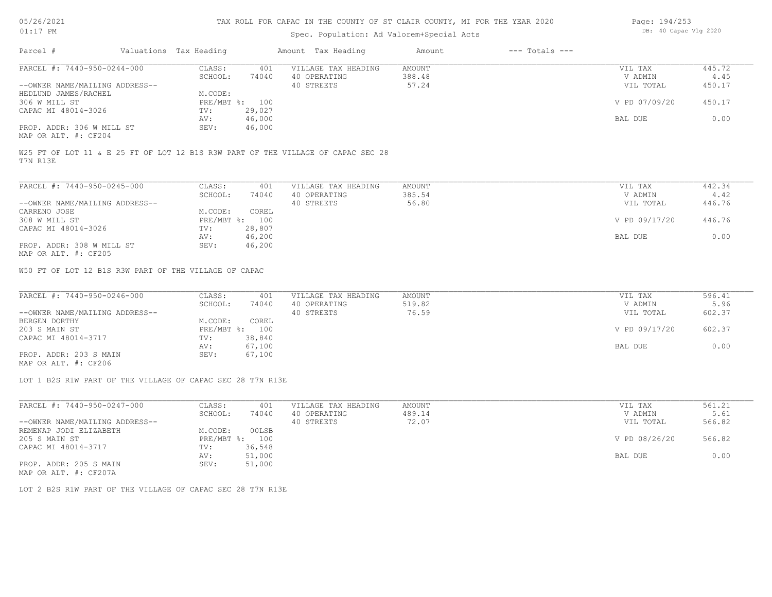# Spec. Population: Ad Valorem+Special Acts

AV: 46,000 BAL DUE 0.00

| Spec. Population: Ad Valorem+Special Acts |  |                        |       |                     |        |                    |               | .      |
|-------------------------------------------|--|------------------------|-------|---------------------|--------|--------------------|---------------|--------|
| Parcel #                                  |  | Valuations Tax Heading |       | Amount Tax Heading  | Amount | $---$ Totals $---$ |               |        |
| PARCEL #: 7440-950-0244-000               |  | CLASS:                 | 401   | VILLAGE TAX HEADING | AMOUNT |                    | VIL TAX       | 445.72 |
|                                           |  | SCHOOL:                | 74040 | 40 OPERATING        | 388.48 |                    | V ADMIN       | 4.45   |
| --OWNER NAME/MAILING ADDRESS--            |  |                        |       | 40 STREETS          | 57.24  |                    | VIL TOTAL     | 450.17 |
| HEDLUND JAMES/RACHEL                      |  | M.CODE:                |       |                     |        |                    |               |        |
| 306 W MILL ST                             |  | PRE/MBT %: 100         |       |                     |        |                    | V PD 07/09/20 | 450.17 |

MAP OR ALT. #: CF204 PROP. ADDR: 306 W MILL ST

T7N R13E W25 FT OF LOT 11 & E 25 FT OF LOT 12 B1S R3W PART OF THE VILLAGE OF CAPAC SEC 28

| PARCEL #: 7440-950-0245-000                           | CLASS:     | 401    | VILLAGE TAX HEADING | AMOUNT | VIL TAX       | 442.34 |
|-------------------------------------------------------|------------|--------|---------------------|--------|---------------|--------|
|                                                       | SCHOOL:    | 74040  | 40 OPERATING        | 385.54 | V ADMIN       | 4.42   |
| --OWNER NAME/MAILING ADDRESS--                        |            |        | 40 STREETS          | 56.80  | VIL TOTAL     | 446.76 |
| CARRENO JOSE                                          | M.CODE:    | COREL  |                     |        |               |        |
| 308 W MILL ST                                         | PRE/MBT %: | 100    |                     |        | V PD 09/17/20 | 446.76 |
| CAPAC MI 48014-3026                                   | TV:        | 28,807 |                     |        |               |        |
|                                                       | AV:        | 46,200 |                     |        | BAL DUE       | 0.00   |
| PROP. ADDR: 308 W MILL ST                             | SEV:       | 46,200 |                     |        |               |        |
| $\cdots$ $\cdots$ $\cdots$ $\cdots$ $\cdots$ $\cdots$ |            |        |                     |        |               |        |

MAP OR ALT. #: CF205

W50 FT OF LOT 12 B1S R3W PART OF THE VILLAGE OF CAPAC

CAPAC MI 48014-3026 TV: 29,027

| PARCEL #: 7440-950-0246-000    | CLASS:  | 401            | VILLAGE TAX HEADING | AMOUNT | VIL TAX       | 596.41 |
|--------------------------------|---------|----------------|---------------------|--------|---------------|--------|
|                                | SCHOOL: | 74040          | 40 OPERATING        | 519.82 | V ADMIN       | 5.96   |
| --OWNER NAME/MAILING ADDRESS-- |         |                | 40 STREETS          | 76.59  | VIL TOTAL     | 602.37 |
| BERGEN DORTHY                  | M.CODE: | COREL          |                     |        |               |        |
| 203 S MAIN ST                  |         | PRE/MBT %: 100 |                     |        | V PD 09/17/20 | 602.37 |
| CAPAC MI 48014-3717            | TV:     | 38,840         |                     |        |               |        |
|                                | AV:     | 67,100         |                     |        | BAL DUE       | 0.00   |
| PROP. ADDR: 203 S MAIN         | SEV:    | 67,100         |                     |        |               |        |
|                                |         |                |                     |        |               |        |

MAP OR ALT. #: CF206

LOT 1 B2S R1W PART OF THE VILLAGE OF CAPAC SEC 28 T7N R13E

| PARCEL #: 7440-950-0247-000    | CLASS:  | 401            | VILLAGE TAX HEADING | AMOUNT | VIL TAX       | 561.21 |
|--------------------------------|---------|----------------|---------------------|--------|---------------|--------|
|                                | SCHOOL: | 74040          | 40 OPERATING        | 489.14 | V ADMIN       | 5.61   |
| --OWNER NAME/MAILING ADDRESS-- |         |                | 40 STREETS          | 72.07  | VIL TOTAL     | 566.82 |
| REMENAP JODI ELIZABETH         | M.CODE: | 00LSB          |                     |        |               |        |
| 205 S MAIN ST                  |         | PRE/MBT %: 100 |                     |        | V PD 08/26/20 | 566.82 |
| CAPAC MI 48014-3717            | TV:     | 36,548         |                     |        |               |        |
|                                | AV:     | 51,000         |                     |        | BAL DUE       | 0.00   |
| PROP. ADDR: 205 S MAIN         | SEV:    | 51,000         |                     |        |               |        |
| MAP OR ALT. #: CF207A          |         |                |                     |        |               |        |

LOT 2 B2S R1W PART OF THE VILLAGE OF CAPAC SEC 28 T7N R13E

Page: 194/253 DB: 40 Capac Vlg 2020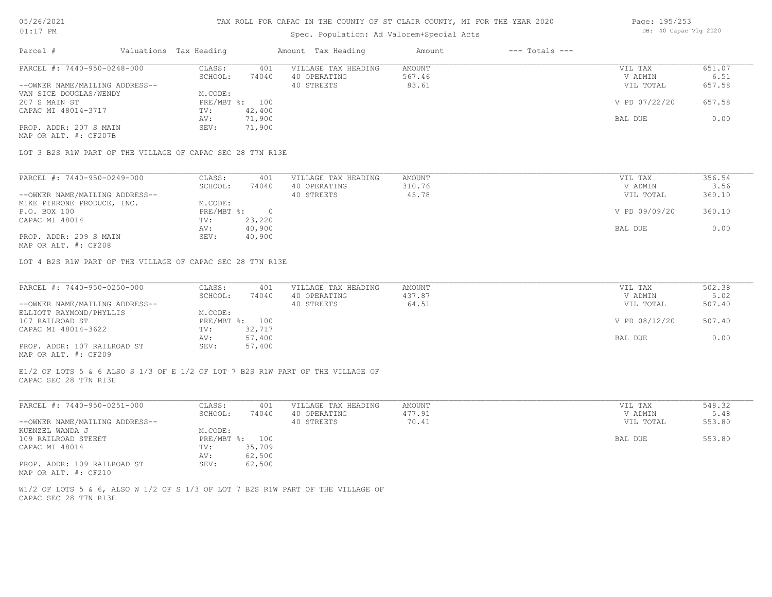### Spec. Population: Ad Valorem+Special Acts

| Page: 195/253 |                       |  |
|---------------|-----------------------|--|
|               | DB: 40 Capac Vlg 2020 |  |

| Parcel #                       | Valuations Tax Heading |        | Amount Tax Heading  | Amount | $---$ Totals $---$ |               |        |
|--------------------------------|------------------------|--------|---------------------|--------|--------------------|---------------|--------|
| PARCEL #: 7440-950-0248-000    | CLASS:                 | 401    | VILLAGE TAX HEADING | AMOUNT |                    | VIL TAX       | 651.07 |
|                                | SCHOOL:                | 74040  | 40 OPERATING        | 567.46 |                    | V ADMIN       | 6.51   |
| --OWNER NAME/MAILING ADDRESS-- |                        |        | 40 STREETS          | 83.61  |                    | VIL TOTAL     | 657.58 |
| VAN SICE DOUGLAS/WENDY         | M.CODE:                |        |                     |        |                    |               |        |
| 207 S MAIN ST                  | PRE/MBT %: 100         |        |                     |        |                    | V PD 07/22/20 | 657.58 |
| CAPAC MI 48014-3717            | TV:                    | 42,400 |                     |        |                    |               |        |
|                                | AV:                    | 71,900 |                     |        |                    | BAL DUE       | 0.00   |
| PROP. ADDR: 207 S MAIN         | SEV:                   | 71,900 |                     |        |                    |               |        |
| MAP OR ALT. #: CF207B          |                        |        |                     |        |                    |               |        |

LOT 3 B2S R1W PART OF THE VILLAGE OF CAPAC SEC 28 T7N R13E

| PARCEL #: 7440-950-0249-000    | CLASS:     | 401    | VILLAGE TAX HEADING | AMOUNT | VIL TAX       | 356.54 |
|--------------------------------|------------|--------|---------------------|--------|---------------|--------|
|                                | SCHOOL:    | 74040  | 40 OPERATING        | 310.76 | V ADMIN       | 3.56   |
| --OWNER NAME/MAILING ADDRESS-- |            |        | 40 STREETS          | 45.78  | VIL TOTAL     | 360.10 |
| MIKE PIRRONE PRODUCE, INC.     | M.CODE:    |        |                     |        |               |        |
| P.O. BOX 100                   | PRE/MBT %: |        |                     |        | V PD 09/09/20 | 360.10 |
| CAPAC MI 48014                 | TV:        | 23,220 |                     |        |               |        |
|                                | AV:        | 40,900 |                     |        | BAL DUE       | 0.00   |
| PROP. ADDR: 209 S MAIN         | SEV:       | 40,900 |                     |        |               |        |
|                                |            |        |                     |        |               |        |

MAP OR ALT. #: CF208

LOT 4 B2S R1W PART OF THE VILLAGE OF CAPAC SEC 28 T7N R13E

| PARCEL #: 7440-950-0250-000    | CLASS:  | 401            | VILLAGE TAX HEADING | AMOUNT | VIL TAX       | 502.38 |
|--------------------------------|---------|----------------|---------------------|--------|---------------|--------|
|                                | SCHOOL: | 74040          | 40 OPERATING        | 437.87 | V ADMIN       | 5.02   |
| --OWNER NAME/MAILING ADDRESS-- |         |                | 40 STREETS          | 64.51  | VIL TOTAL     | 507.40 |
| ELLIOTT RAYMOND/PHYLLIS        | M.CODE: |                |                     |        |               |        |
| 107 RAILROAD ST                |         | PRE/MBT %: 100 |                     |        | V PD 08/12/20 | 507.40 |
| CAPAC MI 48014-3622            | TV:     | 32,717         |                     |        |               |        |
|                                | AV:     | 57,400         |                     |        | BAL DUE       | 0.00   |
| PROP. ADDR: 107 RAILROAD ST    | SEV:    | 57,400         |                     |        |               |        |
| MAP OR ALT. #: CF209           |         |                |                     |        |               |        |

CAPAC SEC 28 T7N R13E E1/2 OF LOTS 5 & 6 ALSO S 1/3 OF E 1/2 OF LOT 7 B2S R1W PART OF THE VILLAGE OF

| PARCEL #: 7440-950-0251-000    | CLASS:  | 401            | VILLAGE TAX HEADING | AMOUNT | VIL TAX   | 548.32 |
|--------------------------------|---------|----------------|---------------------|--------|-----------|--------|
|                                | SCHOOL: | 74040          | 40 OPERATING        | 477.91 | V ADMIN   | 5.48   |
| --OWNER NAME/MAILING ADDRESS-- |         |                | 40 STREETS          | 70.41  | VIL TOTAL | 553.80 |
| KUENZEL WANDA J                | M.CODE: |                |                     |        |           |        |
| 109 RAILROAD STEEET            |         | PRE/MBT %: 100 |                     |        | BAL DUE   | 553.80 |
| CAPAC MI 48014                 | TV:     | 35,709         |                     |        |           |        |
|                                | AV:     | 62,500         |                     |        |           |        |
| PROP. ADDR: 109 RAILROAD ST    | SEV:    | 62,500         |                     |        |           |        |
| MAP OR ALT. #: CF210           |         |                |                     |        |           |        |

CAPAC SEC 28 T7N R13E W1/2 OF LOTS 5 & 6, ALSO W 1/2 OF S 1/3 OF LOT 7 B2S R1W PART OF THE VILLAGE OF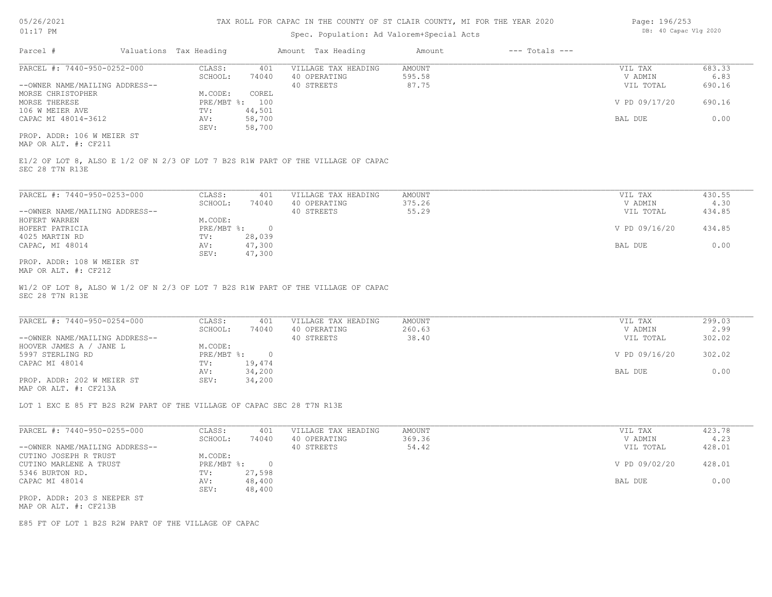### Spec. Population: Ad Valorem+Special Acts

| Page: 196/253 |  |                       |  |
|---------------|--|-----------------------|--|
|               |  | DB: 40 Capac Vlg 2020 |  |

| Parcel #                       | Valuations Tax Heading |        | Amount Tax Heading  | Amount | $---$ Totals $---$ |               |        |
|--------------------------------|------------------------|--------|---------------------|--------|--------------------|---------------|--------|
| PARCEL #: 7440-950-0252-000    | CLASS:                 | 401    | VILLAGE TAX HEADING | AMOUNT |                    | VIL TAX       | 683.33 |
|                                | SCHOOL:                | 74040  | 40 OPERATING        | 595.58 |                    | V ADMIN       | 6.83   |
| --OWNER NAME/MAILING ADDRESS-- |                        |        | 40 STREETS          | 87.75  |                    | VIL TOTAL     | 690.16 |
| MORSE CHRISTOPHER              | M.CODE:                | COREL  |                     |        |                    |               |        |
| MORSE THERESE                  | $PRE/MBT$ %:           | 100    |                     |        |                    | V PD 09/17/20 | 690.16 |
| 106 W MEIER AVE                | TV:                    | 44,501 |                     |        |                    |               |        |
| CAPAC MI 48014-3612            | AV:                    | 58,700 |                     |        |                    | BAL DUE       | 0.00   |
|                                | SEV:                   | 58,700 |                     |        |                    |               |        |
| PROP. ADDR: 106 W MEIER ST     |                        |        |                     |        |                    |               |        |

MAP OR ALT. #: CF211

SEC 28 T7N R13E E1/2 OF LOT 8, ALSO E 1/2 OF N 2/3 OF LOT 7 B2S R1W PART OF THE VILLAGE OF CAPAC

| PARCEL #: 7440-950-0253-000    | CLASS:       | 401    | VILLAGE TAX HEADING | AMOUNT | VIL TAX       | 430.55 |
|--------------------------------|--------------|--------|---------------------|--------|---------------|--------|
|                                | SCHOOL:      | 74040  | 40 OPERATING        | 375.26 | V ADMIN       | 4.30   |
| --OWNER NAME/MAILING ADDRESS-- |              |        | 40 STREETS          | 55.29  | VIL TOTAL     | 434.85 |
| HOFERT WARREN                  | M.CODE:      |        |                     |        |               |        |
| HOFERT PATRICIA                | $PRE/MBT$ %: |        |                     |        | V PD 09/16/20 | 434.85 |
| 4025 MARTIN RD                 | TV:          | 28,039 |                     |        |               |        |
| CAPAC, MI 48014                | AV:          | 47,300 |                     |        | BAL DUE       | 0.00   |
|                                | SEV:         | 47,300 |                     |        |               |        |
| PROP. ADDR: 108 W MEIER ST     |              |        |                     |        |               |        |

MAP OR ALT. #: CF212

SEC 28 T7N R13E W1/2 OF LOT 8, ALSO W 1/2 OF N 2/3 OF LOT 7 B2S R1W PART OF THE VILLAGE OF CAPAC

| PARCEL #: 7440-950-0254-000    | CLASS:     | 401    | VILLAGE TAX HEADING | AMOUNT | VIL TAX       | 299.03 |
|--------------------------------|------------|--------|---------------------|--------|---------------|--------|
|                                | SCHOOL:    | 74040  | 40 OPERATING        | 260.63 | V ADMIN       | 2.99   |
| --OWNER NAME/MAILING ADDRESS-- |            |        | 40 STREETS          | 38.40  | VIL TOTAL     | 302.02 |
| HOOVER JAMES A / JANE L        | M.CODE:    |        |                     |        |               |        |
| 5997 STERLING RD               | PRE/MBT %: | $\cap$ |                     |        | V PD 09/16/20 | 302.02 |
| CAPAC MI 48014                 | TV:        | 19,474 |                     |        |               |        |
|                                | AV:        | 34,200 |                     |        | BAL DUE       | 0.00   |
| PROP. ADDR: 202 W MEIER ST     | SEV:       | 34,200 |                     |        |               |        |
| MAP OR ALT. #: CF213A          |            |        |                     |        |               |        |

 $\mathcal{L}_\mathcal{L} = \mathcal{L}_\mathcal{L} = \mathcal{L}_\mathcal{L} = \mathcal{L}_\mathcal{L} = \mathcal{L}_\mathcal{L} = \mathcal{L}_\mathcal{L} = \mathcal{L}_\mathcal{L} = \mathcal{L}_\mathcal{L} = \mathcal{L}_\mathcal{L} = \mathcal{L}_\mathcal{L} = \mathcal{L}_\mathcal{L} = \mathcal{L}_\mathcal{L} = \mathcal{L}_\mathcal{L} = \mathcal{L}_\mathcal{L} = \mathcal{L}_\mathcal{L} = \mathcal{L}_\mathcal{L} = \mathcal{L}_\mathcal{L}$ 

LOT 1 EXC E 85 FT B2S R2W PART OF THE VILLAGE OF CAPAC SEC 28 T7N R13E

| PARCEL #: 7440-950-0255-000    | CLASS:     | 401    | VILLAGE TAX HEADING | AMOUNT | VIL TAX       | 423.78 |
|--------------------------------|------------|--------|---------------------|--------|---------------|--------|
|                                | SCHOOL:    | 74040  | 40 OPERATING        | 369.36 | V ADMIN       | 4.23   |
| --OWNER NAME/MAILING ADDRESS-- |            |        | 40 STREETS          | 54.42  | VIL TOTAL     | 428.01 |
| CUTINO JOSEPH R TRUST          | M.CODE:    |        |                     |        |               |        |
| CUTINO MARLENE A TRUST         | PRE/MBT %: |        |                     |        | V PD 09/02/20 | 428.01 |
| 5346 BURTON RD.                | TV:        | 27,598 |                     |        |               |        |
| CAPAC MI 48014                 | AV:        | 48,400 |                     |        | BAL DUE       | 0.00   |
|                                | SEV:       | 48,400 |                     |        |               |        |
| PROP. ADDR: 203 S NEEPER ST    |            |        |                     |        |               |        |
| MAP OR ALT. #: CF213B          |            |        |                     |        |               |        |

E85 FT OF LOT 1 B2S R2W PART OF THE VILLAGE OF CAPAC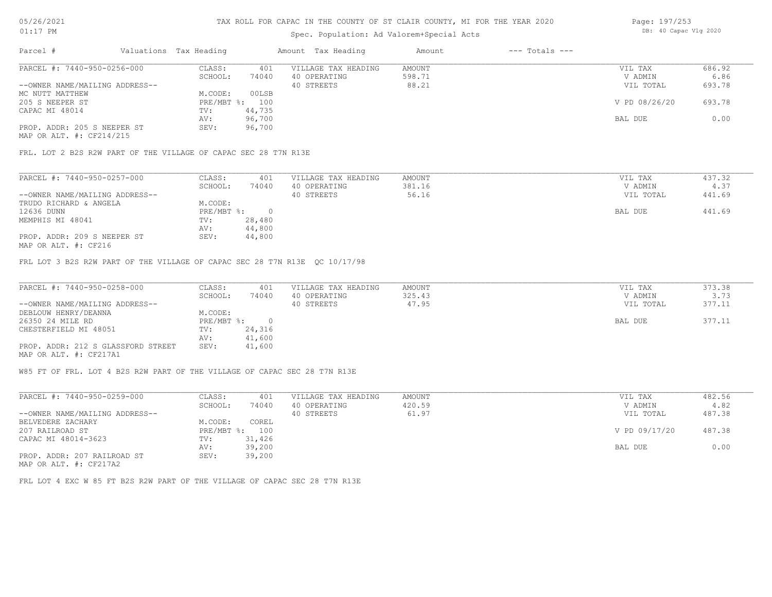## Spec. Population: Ad Valorem+Special Acts

| Page: 197/253 |                       |  |
|---------------|-----------------------|--|
|               | DB: 40 Capac Vlg 2020 |  |

| Parcel #                       | Valuations Tax Heading |        | Amount Tax Heading  | Amount | $---$ Totals $---$ |               |        |
|--------------------------------|------------------------|--------|---------------------|--------|--------------------|---------------|--------|
| PARCEL #: 7440-950-0256-000    | CLASS:                 | 401    | VILLAGE TAX HEADING | AMOUNT |                    | VIL TAX       | 686.92 |
|                                | SCHOOL:                | 74040  | 40 OPERATING        | 598.71 |                    | V ADMIN       | 6.86   |
| --OWNER NAME/MAILING ADDRESS-- |                        |        | 40 STREETS          | 88.21  |                    | VIL TOTAL     | 693.78 |
| MC NUTT MATTHEW                | M.CODE:                | 00LSB  |                     |        |                    |               |        |
| 205 S NEEPER ST                | PRE/MBT %: 100         |        |                     |        |                    | V PD 08/26/20 | 693.78 |
| CAPAC MI 48014                 | TV:                    | 44,735 |                     |        |                    |               |        |
|                                | AV:                    | 96,700 |                     |        |                    | BAL DUE       | 0.00   |
| PROP. ADDR: 205 S NEEPER ST    | SEV:                   | 96,700 |                     |        |                    |               |        |
|                                |                        |        |                     |        |                    |               |        |

MAP OR ALT. #: CF214/215

FRL. LOT 2 B2S R2W PART OF THE VILLAGE OF CAPAC SEC 28 T7N R13E

| PARCEL #: 7440-950-0257-000    | CLASS:     | 401    | VILLAGE TAX HEADING | AMOUNT | VIL TAX   | 437.32 |
|--------------------------------|------------|--------|---------------------|--------|-----------|--------|
|                                | SCHOOL:    | 74040  | 40 OPERATING        | 381.16 | V ADMIN   | 4.37   |
| --OWNER NAME/MAILING ADDRESS-- |            |        | 40 STREETS          | 56.16  | VIL TOTAL | 441.69 |
| TRUDO RICHARD & ANGELA         | M.CODE:    |        |                     |        |           |        |
| 12636 DUNN                     | PRE/MBT %: |        |                     |        | BAL DUE   | 441.69 |
| MEMPHIS MI 48041               | TV:        | 28,480 |                     |        |           |        |
|                                | AV:        | 44,800 |                     |        |           |        |
| PROP. ADDR: 209 S NEEPER ST    | SEV:       | 44,800 |                     |        |           |        |
|                                |            |        |                     |        |           |        |

MAP OR ALT. #: CF216

FRL LOT 3 B2S R2W PART OF THE VILLAGE OF CAPAC SEC 28 T7N R13E QC 10/17/98

| PARCEL #: 7440-950-0258-000        | CLASS:     | 401    | VILLAGE TAX HEADING | AMOUNT | VIL TAX   | 373.38 |
|------------------------------------|------------|--------|---------------------|--------|-----------|--------|
|                                    | SCHOOL:    | 74040  | 40 OPERATING        | 325.43 | V ADMIN   | 3.73   |
| --OWNER NAME/MAILING ADDRESS--     |            |        | 40 STREETS          | 47.95  | VIL TOTAL | 377.11 |
| DEBLOUW HENRY/DEANNA               | M.CODE:    |        |                     |        |           |        |
| 26350 24 MILE RD                   | PRE/MBT %: |        |                     |        | BAL DUE   | 377.11 |
| CHESTERFIELD MI 48051              | TV:        | 24,316 |                     |        |           |        |
|                                    | AV:        | 41,600 |                     |        |           |        |
| PROP. ADDR: 212 S GLASSFORD STREET | SEV:       | 41,600 |                     |        |           |        |
| MAP OR ALT. #: CF217A1             |            |        |                     |        |           |        |

W85 FT OF FRL. LOT 4 B2S R2W PART OF THE VILLAGE OF CAPAC SEC 28 T7N R13E

| PARCEL #: 7440-950-0259-000    | CLASS:     | 401    | VILLAGE TAX HEADING | AMOUNT | VIL TAX       | 482.56 |
|--------------------------------|------------|--------|---------------------|--------|---------------|--------|
|                                | SCHOOL:    | 74040  | 40 OPERATING        | 420.59 | V ADMIN       | 4.82   |
| --OWNER NAME/MAILING ADDRESS-- |            |        | 40 STREETS          | 61.97  | VIL TOTAL     | 487.38 |
| BELVEDERE ZACHARY              | M.CODE:    | COREL  |                     |        |               |        |
| 207 RAILROAD ST                | PRE/MBT %: | 100    |                     |        | V PD 09/17/20 | 487.38 |
| CAPAC MI 48014-3623            | TV:        | 31,426 |                     |        |               |        |
|                                | AV:        | 39,200 |                     |        | BAL DUE       | 0.00   |
| PROP. ADDR: 207 RAILROAD ST    | SEV:       | 39,200 |                     |        |               |        |
| MAP OR ALT. #: CF217A2         |            |        |                     |        |               |        |

FRL LOT 4 EXC W 85 FT B2S R2W PART OF THE VILLAGE OF CAPAC SEC 28 T7N R13E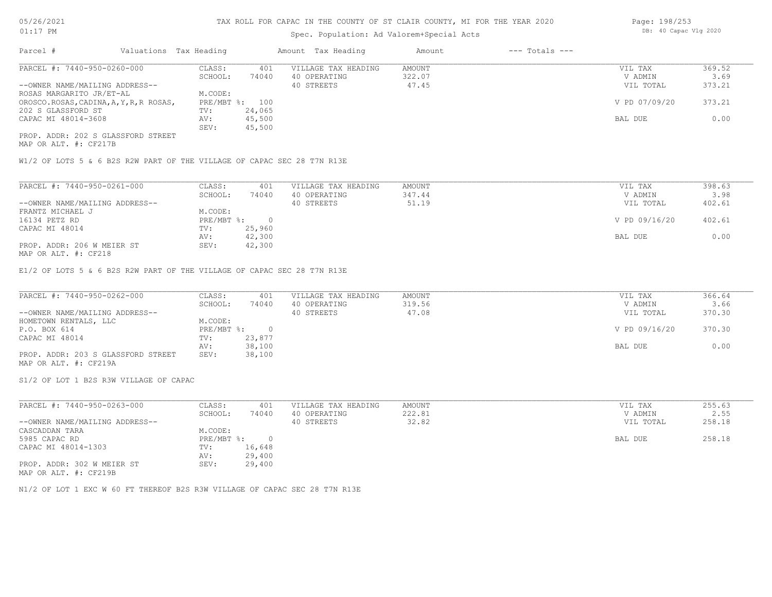## Spec. Population: Ad Valorem+Special Acts

| Page: 198/253 |                       |  |
|---------------|-----------------------|--|
|               | DB: 40 Capac Vlg 2020 |  |

| Parcel #                                | Valuations Tax Heading |        | Amount Tax Heading  | Amount | $---$ Totals $---$ |               |        |
|-----------------------------------------|------------------------|--------|---------------------|--------|--------------------|---------------|--------|
| PARCEL #: 7440-950-0260-000             | CLASS:                 | 401    | VILLAGE TAX HEADING | AMOUNT |                    | VIL TAX       | 369.52 |
|                                         | SCHOOL:                | 74040  | 40 OPERATING        | 322.07 |                    | V ADMIN       | 3.69   |
| --OWNER NAME/MAILING ADDRESS--          |                        |        | 40 STREETS          | 47.45  |                    | VIL TOTAL     | 373.21 |
| ROSAS MARGARITO JR/ET-AL                | M.CODE:                |        |                     |        |                    |               |        |
| OROSCO.ROSAS, CADINA, A, Y, R, R ROSAS, | PRE/MBT %: 100         |        |                     |        |                    | V PD 07/09/20 | 373.21 |
| 202 S GLASSFORD ST                      | TV:                    | 24,065 |                     |        |                    |               |        |
| CAPAC MI 48014-3608                     | AV:                    | 45,500 |                     |        |                    | BAL DUE       | 0.00   |
|                                         | SEV:                   | 45,500 |                     |        |                    |               |        |
| PROP. ADDR: 202 S GLASSFORD STREET      |                        |        |                     |        |                    |               |        |

MAP OR ALT. #: CF217B

W1/2 OF LOTS 5 & 6 B2S R2W PART OF THE VILLAGE OF CAPAC SEC 28 T7N R13E

| CLASS:  | 401    | VILLAGE TAX HEADING | AMOUNT | VIL TAX       | 398.63 |
|---------|--------|---------------------|--------|---------------|--------|
| SCHOOL: | 74040  | 40 OPERATING        | 347.44 | V ADMIN       | 3.98   |
|         |        | 40 STREETS          | 51.19  | VIL TOTAL     | 402.61 |
| M.CODE: |        |                     |        |               |        |
|         |        |                     |        | V PD 09/16/20 | 402.61 |
| TV:     | 25,960 |                     |        |               |        |
| AV:     | 42,300 |                     |        | BAL DUE       | 0.00   |
| SEV:    | 42,300 |                     |        |               |        |
|         |        | PRE/MBT %:          |        |               |        |

MAP OR ALT. #: CF218

E1/2 OF LOTS 5 & 6 B2S R2W PART OF THE VILLAGE OF CAPAC SEC 28 T7N R13E

| PARCEL #: 7440-950-0262-000        | CLASS:     | 401    | VILLAGE TAX HEADING | AMOUNT | VIL TAX       | 366.64 |
|------------------------------------|------------|--------|---------------------|--------|---------------|--------|
|                                    | SCHOOL:    | 74040  | 40 OPERATING        | 319.56 | V ADMIN       | 3.66   |
| --OWNER NAME/MAILING ADDRESS--     |            |        | 40 STREETS          | 47.08  | VIL TOTAL     | 370.30 |
| HOMETOWN RENTALS, LLC              | M.CODE:    |        |                     |        |               |        |
| P.O. BOX 614                       | PRE/MBT %: |        |                     |        | V PD 09/16/20 | 370.30 |
| CAPAC MI 48014                     | TV:        | 23,877 |                     |        |               |        |
|                                    | AV:        | 38,100 |                     |        | BAL DUE       | 0.00   |
| PROP. ADDR: 203 S GLASSFORD STREET | SEV:       | 38,100 |                     |        |               |        |
| MAP OR ALT. #: CF219A              |            |        |                     |        |               |        |

S1/2 OF LOT 1 B2S R3W VILLAGE OF CAPAC

| PARCEL #: 7440-950-0263-000    | CLASS:     | 401    | VILLAGE TAX HEADING | AMOUNT | VIL TAX   | 255.63 |
|--------------------------------|------------|--------|---------------------|--------|-----------|--------|
|                                | SCHOOL:    | 74040  | 40 OPERATING        | 222.81 | V ADMIN   | 2.55   |
| --OWNER NAME/MAILING ADDRESS-- |            |        | 40 STREETS          | 32.82  | VIL TOTAL | 258.18 |
| CASCADDAN TARA                 | M.CODE:    |        |                     |        |           |        |
| 5985 CAPAC RD                  | PRE/MBT %: |        |                     |        | BAL DUE   | 258.18 |
| CAPAC MI 48014-1303            | TV:        | 16,648 |                     |        |           |        |
|                                | AV:        | 29,400 |                     |        |           |        |
| PROP. ADDR: 302 W MEIER ST     | SEV:       | 29,400 |                     |        |           |        |
| MAP OR ALT. #: CF219B          |            |        |                     |        |           |        |

N1/2 OF LOT 1 EXC W 60 FT THEREOF B2S R3W VILLAGE OF CAPAC SEC 28 T7N R13E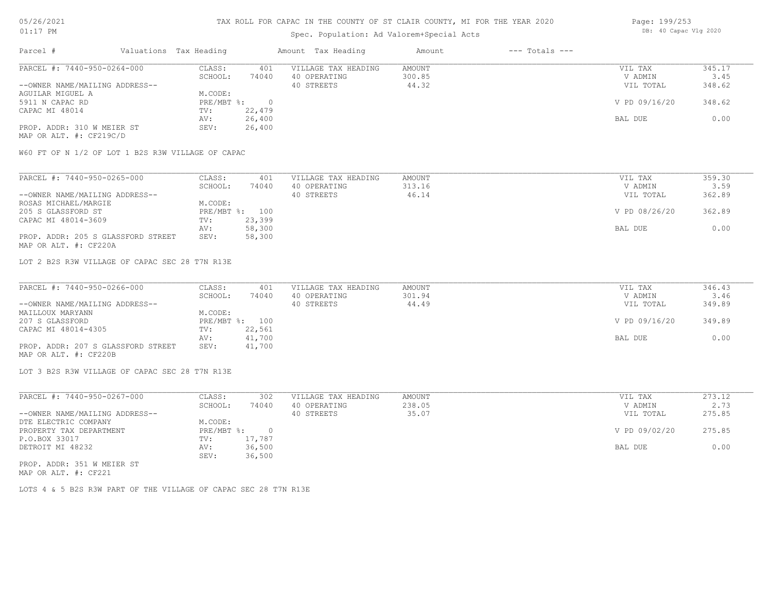### Spec. Population: Ad Valorem+Special Acts

| Page: 199/253 |                       |  |
|---------------|-----------------------|--|
|               | DB: 40 Capac Vlg 2020 |  |

| Parcel #                       | Valuations Tax Heading |        | Amount Tax Heading  | Amount | $---$ Totals $---$ |               |        |
|--------------------------------|------------------------|--------|---------------------|--------|--------------------|---------------|--------|
| PARCEL #: 7440-950-0264-000    | CLASS:                 | 401    | VILLAGE TAX HEADING | AMOUNT |                    | VIL TAX       | 345.17 |
|                                | SCHOOL:                | 74040  | 40 OPERATING        | 300.85 |                    | V ADMIN       | 3.45   |
| --OWNER NAME/MAILING ADDRESS-- |                        |        | 40 STREETS          | 44.32  |                    | VIL TOTAL     | 348.62 |
| AGUILAR MIGUEL A               | M.CODE:                |        |                     |        |                    |               |        |
| 5911 N CAPAC RD                | PRE/MBT %:             |        |                     |        |                    | V PD 09/16/20 | 348.62 |
| CAPAC MI 48014                 | TV:                    | 22,479 |                     |        |                    |               |        |
|                                | AV:                    | 26,400 |                     |        |                    | BAL DUE       | 0.00   |
| PROP. ADDR: 310 W MEIER ST     | SEV:                   | 26,400 |                     |        |                    |               |        |
|                                |                        |        |                     |        |                    |               |        |

MAP OR ALT. #: CF219C/D

W60 FT OF N 1/2 OF LOT 1 B2S R3W VILLAGE OF CAPAC

| PARCEL #: 7440-950-0265-000        | CLASS:  | 401            | VILLAGE TAX HEADING | AMOUNT | VIL TAX       | 359.30 |
|------------------------------------|---------|----------------|---------------------|--------|---------------|--------|
|                                    | SCHOOL: | 74040          | 40 OPERATING        | 313.16 | V ADMIN       | 3.59   |
| --OWNER NAME/MAILING ADDRESS--     |         |                | 40 STREETS          | 46.14  | VIL TOTAL     | 362.89 |
| ROSAS MICHAEL/MARGIE               | M.CODE: |                |                     |        |               |        |
| 205 S GLASSFORD ST                 |         | PRE/MBT %: 100 |                     |        | V PD 08/26/20 | 362.89 |
| CAPAC MI 48014-3609                | TV:     | 23,399         |                     |        |               |        |
|                                    | AV:     | 58,300         |                     |        | BAL DUE       | 0.00   |
| PROP. ADDR: 205 S GLASSFORD STREET | SEV:    | 58,300         |                     |        |               |        |
| MAP OR ALT. #: CF220A              |         |                |                     |        |               |        |

LOT 2 B2S R3W VILLAGE OF CAPAC SEC 28 T7N R13E

| PARCEL #: 7440-950-0266-000        | CLASS:  | 401            | VILLAGE TAX HEADING | AMOUNT | VIL TAX       | 346.43 |
|------------------------------------|---------|----------------|---------------------|--------|---------------|--------|
|                                    | SCHOOL: | 74040          | 40 OPERATING        | 301.94 | V ADMIN       | 3.46   |
| --OWNER NAME/MAILING ADDRESS--     |         |                | 40 STREETS          | 44.49  | VIL TOTAL     | 349.89 |
| MAILLOUX MARYANN                   | M.CODE: |                |                     |        |               |        |
| 207 S GLASSFORD                    |         | PRE/MBT %: 100 |                     |        | V PD 09/16/20 | 349.89 |
| CAPAC MI 48014-4305                | TV:     | 22,561         |                     |        |               |        |
|                                    | AV:     | 41,700         |                     |        | BAL DUE       | 0.00   |
| PROP. ADDR: 207 S GLASSFORD STREET | SEV:    | 41,700         |                     |        |               |        |
| MAP OR ALT. #: CF220B              |         |                |                     |        |               |        |

LOT 3 B2S R3W VILLAGE OF CAPAC SEC 28 T7N R13E

| PARCEL #: 7440-950-0267-000    | CLASS:     | 302      | VILLAGE TAX HEADING | AMOUNT | VIL TAX       | 273.12 |
|--------------------------------|------------|----------|---------------------|--------|---------------|--------|
|                                | SCHOOL:    | 74040    | 40 OPERATING        | 238.05 | V ADMIN       | 2.73   |
| --OWNER NAME/MAILING ADDRESS-- |            |          | 40 STREETS          | 35.07  | VIL TOTAL     | 275.85 |
| DTE ELECTRIC COMPANY           | M.CODE:    |          |                     |        |               |        |
| PROPERTY TAX DEPARTMENT        | PRE/MBT %: | $\Omega$ |                     |        | V PD 09/02/20 | 275.85 |
| P.O.BOX 33017                  | TV:        | 17,787   |                     |        |               |        |
| DETROIT MI 48232               | AV:        | 36,500   |                     |        | BAL DUE       | 0.00   |
|                                | SEV:       | 36,500   |                     |        |               |        |
| PROP. ADDR: 351 W MEIER ST     |            |          |                     |        |               |        |

MAP OR ALT. #: CF221

LOTS 4 & 5 B2S R3W PART OF THE VILLAGE OF CAPAC SEC 28 T7N R13E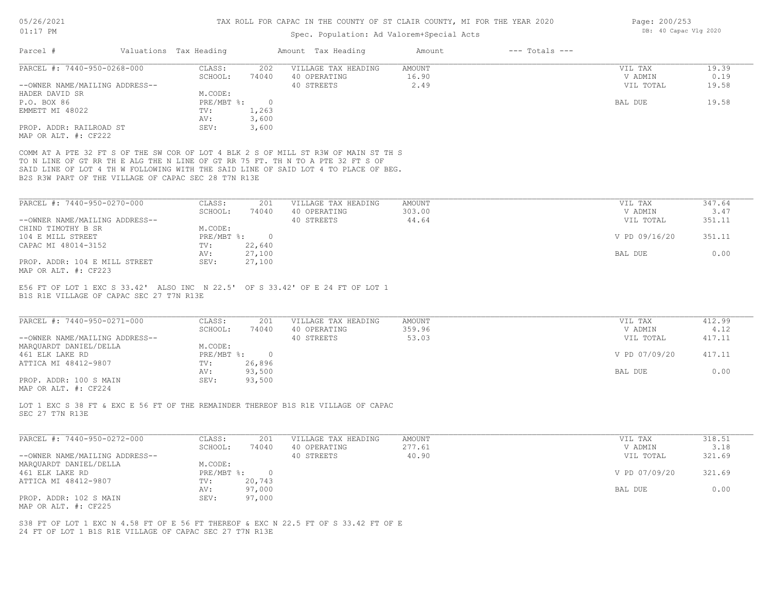## Spec. Population: Ad Valorem+Special Acts

| CLASS:<br>202<br>VILLAGE TAX HEADING<br>AMOUNT<br>VIL TAX<br>19.39<br>SCHOOL:<br>16.90<br>0.19<br>74040<br>40 OPERATING<br>V ADMIN<br>40 STREETS<br>2.49<br>VIL TOTAL<br>19.58<br>--OWNER NAME/MAILING ADDRESS--<br>M.CODE:<br>HADER DAVID SR<br>P.O. BOX 86<br>PRE/MBT %:<br>$\overline{0}$<br>BAL DUE<br>19.58<br>TV:<br>1,263<br>EMMETT MI 48022<br>3,600<br>AV:<br>PROP. ADDR: RAILROAD ST<br>3,600<br>SEV:<br>COMM AT A PTE 32 FT S OF THE SW COR OF LOT 4 BLK 2 S OF MILL ST R3W OF MAIN ST TH S<br>TO N LINE OF GT RR TH E ALG THE N LINE OF GT RR 75 FT. TH N TO A PTE 32 FT S OF<br>SAID LINE OF LOT 4 TH W FOLLOWING WITH THE SAID LINE OF SAID LOT 4 TO PLACE OF BEG.<br>B2S R3W PART OF THE VILLAGE OF CAPAC SEC 28 T7N R13E<br>CLASS:<br>347.64<br>201<br>VILLAGE TAX HEADING<br><b>AMOUNT</b><br>VIL TAX<br>SCHOOL:<br>74040<br>40 OPERATING<br>303.00<br>V ADMIN<br>3.47<br>44.64<br>40 STREETS<br>VIL TOTAL<br>351.11<br>--OWNER NAME/MAILING ADDRESS--<br>M.CODE:<br>PRE/MBT %: 0<br>V PD 09/16/20<br>351.11<br>22,640<br>TV:<br>27,100<br>0.00<br>AV:<br>BAL DUE<br>27,100<br>PROP. ADDR: 104 E MILL STREET<br>SEV:<br>MAP OR ALT. #: CF223<br>E56 FT OF LOT 1 EXC S 33.42' ALSO INC N 22.5' OF S 33.42' OF E 24 FT OF LOT 1<br>B1S R1E VILLAGE OF CAPAC SEC 27 T7N R13E<br>PARCEL #: 7440-950-0271-000<br>CLASS:<br>201<br>VILLAGE TAX HEADING<br><b>AMOUNT</b><br>VIL TAX<br>412.99<br>SCHOOL:<br>40 OPERATING<br>359.96<br>74040<br>V ADMIN<br>4.12<br>40 STREETS<br>53.03<br>417.11<br>--OWNER NAME/MAILING ADDRESS--<br>VIL TOTAL<br>MARQUARDT DANIEL/DELLA<br>M.CODE:<br>PRE/MBT %: 0<br>V PD 07/09/20<br>417.11<br>26,896<br>TV:<br>93,500<br>0.00<br>AV:<br>BAL DUE<br>93,500<br>SEV:<br>LOT 1 EXC S 38 FT & EXC E 56 FT OF THE REMAINDER THEREOF B1S R1E VILLAGE OF CAPAC<br>PARCEL #: 7440-950-0272-000<br>318.51<br>CLASS:<br>201<br>VILLAGE TAX HEADING<br><b>AMOUNT</b><br>VIL TAX<br>SCHOOL:<br>74040<br>40 OPERATING<br>277.61<br>V ADMIN<br>3.18<br>40.90<br>--OWNER NAME/MAILING ADDRESS--<br>40 STREETS<br>VIL TOTAL<br>321.69<br>M.CODE:<br>PRE/MBT %: 0<br>321.69<br>V PD 07/09/20<br>20,743<br>TV:<br>97,000<br>BAL DUE<br>0.00<br>AV:<br>97,000<br>SEV:<br>S38 FT OF LOT 1 EXC N 4.58 FT OF E 56 FT THEREOF & EXC N 22.5 FT OF S 33.42 FT OF E<br>24 FT OF LOT 1 B1S R1E VILLAGE OF CAPAC SEC 27 T7N R13E | Parcel #                    | Valuations Tax Heading | Amount Tax Heading | Amount | $---$ Totals $---$ |  |
|---------------------------------------------------------------------------------------------------------------------------------------------------------------------------------------------------------------------------------------------------------------------------------------------------------------------------------------------------------------------------------------------------------------------------------------------------------------------------------------------------------------------------------------------------------------------------------------------------------------------------------------------------------------------------------------------------------------------------------------------------------------------------------------------------------------------------------------------------------------------------------------------------------------------------------------------------------------------------------------------------------------------------------------------------------------------------------------------------------------------------------------------------------------------------------------------------------------------------------------------------------------------------------------------------------------------------------------------------------------------------------------------------------------------------------------------------------------------------------------------------------------------------------------------------------------------------------------------------------------------------------------------------------------------------------------------------------------------------------------------------------------------------------------------------------------------------------------------------------------------------------------------------------------------------------------------------------------------------------------------------------------------------------------------------------------------------------------------------------------------------------------------------------------------------------------------------------------------------------------------------------------------------------------------------------------------------------------------------|-----------------------------|------------------------|--------------------|--------|--------------------|--|
|                                                                                                                                                                                                                                                                                                                                                                                                                                                                                                                                                                                                                                                                                                                                                                                                                                                                                                                                                                                                                                                                                                                                                                                                                                                                                                                                                                                                                                                                                                                                                                                                                                                                                                                                                                                                                                                                                                                                                                                                                                                                                                                                                                                                                                                                                                                                                   | PARCEL #: 7440-950-0268-000 |                        |                    |        |                    |  |
|                                                                                                                                                                                                                                                                                                                                                                                                                                                                                                                                                                                                                                                                                                                                                                                                                                                                                                                                                                                                                                                                                                                                                                                                                                                                                                                                                                                                                                                                                                                                                                                                                                                                                                                                                                                                                                                                                                                                                                                                                                                                                                                                                                                                                                                                                                                                                   |                             |                        |                    |        |                    |  |
|                                                                                                                                                                                                                                                                                                                                                                                                                                                                                                                                                                                                                                                                                                                                                                                                                                                                                                                                                                                                                                                                                                                                                                                                                                                                                                                                                                                                                                                                                                                                                                                                                                                                                                                                                                                                                                                                                                                                                                                                                                                                                                                                                                                                                                                                                                                                                   |                             |                        |                    |        |                    |  |
|                                                                                                                                                                                                                                                                                                                                                                                                                                                                                                                                                                                                                                                                                                                                                                                                                                                                                                                                                                                                                                                                                                                                                                                                                                                                                                                                                                                                                                                                                                                                                                                                                                                                                                                                                                                                                                                                                                                                                                                                                                                                                                                                                                                                                                                                                                                                                   |                             |                        |                    |        |                    |  |
|                                                                                                                                                                                                                                                                                                                                                                                                                                                                                                                                                                                                                                                                                                                                                                                                                                                                                                                                                                                                                                                                                                                                                                                                                                                                                                                                                                                                                                                                                                                                                                                                                                                                                                                                                                                                                                                                                                                                                                                                                                                                                                                                                                                                                                                                                                                                                   |                             |                        |                    |        |                    |  |
|                                                                                                                                                                                                                                                                                                                                                                                                                                                                                                                                                                                                                                                                                                                                                                                                                                                                                                                                                                                                                                                                                                                                                                                                                                                                                                                                                                                                                                                                                                                                                                                                                                                                                                                                                                                                                                                                                                                                                                                                                                                                                                                                                                                                                                                                                                                                                   |                             |                        |                    |        |                    |  |
|                                                                                                                                                                                                                                                                                                                                                                                                                                                                                                                                                                                                                                                                                                                                                                                                                                                                                                                                                                                                                                                                                                                                                                                                                                                                                                                                                                                                                                                                                                                                                                                                                                                                                                                                                                                                                                                                                                                                                                                                                                                                                                                                                                                                                                                                                                                                                   |                             |                        |                    |        |                    |  |
|                                                                                                                                                                                                                                                                                                                                                                                                                                                                                                                                                                                                                                                                                                                                                                                                                                                                                                                                                                                                                                                                                                                                                                                                                                                                                                                                                                                                                                                                                                                                                                                                                                                                                                                                                                                                                                                                                                                                                                                                                                                                                                                                                                                                                                                                                                                                                   | MAP OR ALT. #: CF222        |                        |                    |        |                    |  |
|                                                                                                                                                                                                                                                                                                                                                                                                                                                                                                                                                                                                                                                                                                                                                                                                                                                                                                                                                                                                                                                                                                                                                                                                                                                                                                                                                                                                                                                                                                                                                                                                                                                                                                                                                                                                                                                                                                                                                                                                                                                                                                                                                                                                                                                                                                                                                   |                             |                        |                    |        |                    |  |
|                                                                                                                                                                                                                                                                                                                                                                                                                                                                                                                                                                                                                                                                                                                                                                                                                                                                                                                                                                                                                                                                                                                                                                                                                                                                                                                                                                                                                                                                                                                                                                                                                                                                                                                                                                                                                                                                                                                                                                                                                                                                                                                                                                                                                                                                                                                                                   |                             |                        |                    |        |                    |  |
|                                                                                                                                                                                                                                                                                                                                                                                                                                                                                                                                                                                                                                                                                                                                                                                                                                                                                                                                                                                                                                                                                                                                                                                                                                                                                                                                                                                                                                                                                                                                                                                                                                                                                                                                                                                                                                                                                                                                                                                                                                                                                                                                                                                                                                                                                                                                                   |                             |                        |                    |        |                    |  |
|                                                                                                                                                                                                                                                                                                                                                                                                                                                                                                                                                                                                                                                                                                                                                                                                                                                                                                                                                                                                                                                                                                                                                                                                                                                                                                                                                                                                                                                                                                                                                                                                                                                                                                                                                                                                                                                                                                                                                                                                                                                                                                                                                                                                                                                                                                                                                   |                             |                        |                    |        |                    |  |
|                                                                                                                                                                                                                                                                                                                                                                                                                                                                                                                                                                                                                                                                                                                                                                                                                                                                                                                                                                                                                                                                                                                                                                                                                                                                                                                                                                                                                                                                                                                                                                                                                                                                                                                                                                                                                                                                                                                                                                                                                                                                                                                                                                                                                                                                                                                                                   |                             |                        |                    |        |                    |  |
|                                                                                                                                                                                                                                                                                                                                                                                                                                                                                                                                                                                                                                                                                                                                                                                                                                                                                                                                                                                                                                                                                                                                                                                                                                                                                                                                                                                                                                                                                                                                                                                                                                                                                                                                                                                                                                                                                                                                                                                                                                                                                                                                                                                                                                                                                                                                                   | PARCEL #: 7440-950-0270-000 |                        |                    |        |                    |  |
|                                                                                                                                                                                                                                                                                                                                                                                                                                                                                                                                                                                                                                                                                                                                                                                                                                                                                                                                                                                                                                                                                                                                                                                                                                                                                                                                                                                                                                                                                                                                                                                                                                                                                                                                                                                                                                                                                                                                                                                                                                                                                                                                                                                                                                                                                                                                                   |                             |                        |                    |        |                    |  |
|                                                                                                                                                                                                                                                                                                                                                                                                                                                                                                                                                                                                                                                                                                                                                                                                                                                                                                                                                                                                                                                                                                                                                                                                                                                                                                                                                                                                                                                                                                                                                                                                                                                                                                                                                                                                                                                                                                                                                                                                                                                                                                                                                                                                                                                                                                                                                   |                             |                        |                    |        |                    |  |
|                                                                                                                                                                                                                                                                                                                                                                                                                                                                                                                                                                                                                                                                                                                                                                                                                                                                                                                                                                                                                                                                                                                                                                                                                                                                                                                                                                                                                                                                                                                                                                                                                                                                                                                                                                                                                                                                                                                                                                                                                                                                                                                                                                                                                                                                                                                                                   | CHIND TIMOTHY B SR          |                        |                    |        |                    |  |
|                                                                                                                                                                                                                                                                                                                                                                                                                                                                                                                                                                                                                                                                                                                                                                                                                                                                                                                                                                                                                                                                                                                                                                                                                                                                                                                                                                                                                                                                                                                                                                                                                                                                                                                                                                                                                                                                                                                                                                                                                                                                                                                                                                                                                                                                                                                                                   | 104 E MILL STREET           |                        |                    |        |                    |  |
|                                                                                                                                                                                                                                                                                                                                                                                                                                                                                                                                                                                                                                                                                                                                                                                                                                                                                                                                                                                                                                                                                                                                                                                                                                                                                                                                                                                                                                                                                                                                                                                                                                                                                                                                                                                                                                                                                                                                                                                                                                                                                                                                                                                                                                                                                                                                                   | CAPAC MI 48014-3152         |                        |                    |        |                    |  |
|                                                                                                                                                                                                                                                                                                                                                                                                                                                                                                                                                                                                                                                                                                                                                                                                                                                                                                                                                                                                                                                                                                                                                                                                                                                                                                                                                                                                                                                                                                                                                                                                                                                                                                                                                                                                                                                                                                                                                                                                                                                                                                                                                                                                                                                                                                                                                   |                             |                        |                    |        |                    |  |
|                                                                                                                                                                                                                                                                                                                                                                                                                                                                                                                                                                                                                                                                                                                                                                                                                                                                                                                                                                                                                                                                                                                                                                                                                                                                                                                                                                                                                                                                                                                                                                                                                                                                                                                                                                                                                                                                                                                                                                                                                                                                                                                                                                                                                                                                                                                                                   |                             |                        |                    |        |                    |  |
|                                                                                                                                                                                                                                                                                                                                                                                                                                                                                                                                                                                                                                                                                                                                                                                                                                                                                                                                                                                                                                                                                                                                                                                                                                                                                                                                                                                                                                                                                                                                                                                                                                                                                                                                                                                                                                                                                                                                                                                                                                                                                                                                                                                                                                                                                                                                                   |                             |                        |                    |        |                    |  |
|                                                                                                                                                                                                                                                                                                                                                                                                                                                                                                                                                                                                                                                                                                                                                                                                                                                                                                                                                                                                                                                                                                                                                                                                                                                                                                                                                                                                                                                                                                                                                                                                                                                                                                                                                                                                                                                                                                                                                                                                                                                                                                                                                                                                                                                                                                                                                   |                             |                        |                    |        |                    |  |
|                                                                                                                                                                                                                                                                                                                                                                                                                                                                                                                                                                                                                                                                                                                                                                                                                                                                                                                                                                                                                                                                                                                                                                                                                                                                                                                                                                                                                                                                                                                                                                                                                                                                                                                                                                                                                                                                                                                                                                                                                                                                                                                                                                                                                                                                                                                                                   |                             |                        |                    |        |                    |  |
|                                                                                                                                                                                                                                                                                                                                                                                                                                                                                                                                                                                                                                                                                                                                                                                                                                                                                                                                                                                                                                                                                                                                                                                                                                                                                                                                                                                                                                                                                                                                                                                                                                                                                                                                                                                                                                                                                                                                                                                                                                                                                                                                                                                                                                                                                                                                                   |                             |                        |                    |        |                    |  |
|                                                                                                                                                                                                                                                                                                                                                                                                                                                                                                                                                                                                                                                                                                                                                                                                                                                                                                                                                                                                                                                                                                                                                                                                                                                                                                                                                                                                                                                                                                                                                                                                                                                                                                                                                                                                                                                                                                                                                                                                                                                                                                                                                                                                                                                                                                                                                   |                             |                        |                    |        |                    |  |
|                                                                                                                                                                                                                                                                                                                                                                                                                                                                                                                                                                                                                                                                                                                                                                                                                                                                                                                                                                                                                                                                                                                                                                                                                                                                                                                                                                                                                                                                                                                                                                                                                                                                                                                                                                                                                                                                                                                                                                                                                                                                                                                                                                                                                                                                                                                                                   | 461 ELK LAKE RD             |                        |                    |        |                    |  |
|                                                                                                                                                                                                                                                                                                                                                                                                                                                                                                                                                                                                                                                                                                                                                                                                                                                                                                                                                                                                                                                                                                                                                                                                                                                                                                                                                                                                                                                                                                                                                                                                                                                                                                                                                                                                                                                                                                                                                                                                                                                                                                                                                                                                                                                                                                                                                   | ATTICA MI 48412-9807        |                        |                    |        |                    |  |
|                                                                                                                                                                                                                                                                                                                                                                                                                                                                                                                                                                                                                                                                                                                                                                                                                                                                                                                                                                                                                                                                                                                                                                                                                                                                                                                                                                                                                                                                                                                                                                                                                                                                                                                                                                                                                                                                                                                                                                                                                                                                                                                                                                                                                                                                                                                                                   |                             |                        |                    |        |                    |  |
|                                                                                                                                                                                                                                                                                                                                                                                                                                                                                                                                                                                                                                                                                                                                                                                                                                                                                                                                                                                                                                                                                                                                                                                                                                                                                                                                                                                                                                                                                                                                                                                                                                                                                                                                                                                                                                                                                                                                                                                                                                                                                                                                                                                                                                                                                                                                                   | PROP. ADDR: 100 S MAIN      |                        |                    |        |                    |  |
|                                                                                                                                                                                                                                                                                                                                                                                                                                                                                                                                                                                                                                                                                                                                                                                                                                                                                                                                                                                                                                                                                                                                                                                                                                                                                                                                                                                                                                                                                                                                                                                                                                                                                                                                                                                                                                                                                                                                                                                                                                                                                                                                                                                                                                                                                                                                                   | MAP OR ALT. #: CF224        |                        |                    |        |                    |  |
|                                                                                                                                                                                                                                                                                                                                                                                                                                                                                                                                                                                                                                                                                                                                                                                                                                                                                                                                                                                                                                                                                                                                                                                                                                                                                                                                                                                                                                                                                                                                                                                                                                                                                                                                                                                                                                                                                                                                                                                                                                                                                                                                                                                                                                                                                                                                                   | SEC 27 T7N R13E             |                        |                    |        |                    |  |
|                                                                                                                                                                                                                                                                                                                                                                                                                                                                                                                                                                                                                                                                                                                                                                                                                                                                                                                                                                                                                                                                                                                                                                                                                                                                                                                                                                                                                                                                                                                                                                                                                                                                                                                                                                                                                                                                                                                                                                                                                                                                                                                                                                                                                                                                                                                                                   |                             |                        |                    |        |                    |  |
|                                                                                                                                                                                                                                                                                                                                                                                                                                                                                                                                                                                                                                                                                                                                                                                                                                                                                                                                                                                                                                                                                                                                                                                                                                                                                                                                                                                                                                                                                                                                                                                                                                                                                                                                                                                                                                                                                                                                                                                                                                                                                                                                                                                                                                                                                                                                                   |                             |                        |                    |        |                    |  |
|                                                                                                                                                                                                                                                                                                                                                                                                                                                                                                                                                                                                                                                                                                                                                                                                                                                                                                                                                                                                                                                                                                                                                                                                                                                                                                                                                                                                                                                                                                                                                                                                                                                                                                                                                                                                                                                                                                                                                                                                                                                                                                                                                                                                                                                                                                                                                   |                             |                        |                    |        |                    |  |
|                                                                                                                                                                                                                                                                                                                                                                                                                                                                                                                                                                                                                                                                                                                                                                                                                                                                                                                                                                                                                                                                                                                                                                                                                                                                                                                                                                                                                                                                                                                                                                                                                                                                                                                                                                                                                                                                                                                                                                                                                                                                                                                                                                                                                                                                                                                                                   | MARQUARDT DANIEL/DELLA      |                        |                    |        |                    |  |
|                                                                                                                                                                                                                                                                                                                                                                                                                                                                                                                                                                                                                                                                                                                                                                                                                                                                                                                                                                                                                                                                                                                                                                                                                                                                                                                                                                                                                                                                                                                                                                                                                                                                                                                                                                                                                                                                                                                                                                                                                                                                                                                                                                                                                                                                                                                                                   | 461 ELK LAKE RD             |                        |                    |        |                    |  |
|                                                                                                                                                                                                                                                                                                                                                                                                                                                                                                                                                                                                                                                                                                                                                                                                                                                                                                                                                                                                                                                                                                                                                                                                                                                                                                                                                                                                                                                                                                                                                                                                                                                                                                                                                                                                                                                                                                                                                                                                                                                                                                                                                                                                                                                                                                                                                   | ATTICA MI 48412-9807        |                        |                    |        |                    |  |
|                                                                                                                                                                                                                                                                                                                                                                                                                                                                                                                                                                                                                                                                                                                                                                                                                                                                                                                                                                                                                                                                                                                                                                                                                                                                                                                                                                                                                                                                                                                                                                                                                                                                                                                                                                                                                                                                                                                                                                                                                                                                                                                                                                                                                                                                                                                                                   |                             |                        |                    |        |                    |  |
|                                                                                                                                                                                                                                                                                                                                                                                                                                                                                                                                                                                                                                                                                                                                                                                                                                                                                                                                                                                                                                                                                                                                                                                                                                                                                                                                                                                                                                                                                                                                                                                                                                                                                                                                                                                                                                                                                                                                                                                                                                                                                                                                                                                                                                                                                                                                                   | PROP. ADDR: 102 S MAIN      |                        |                    |        |                    |  |
|                                                                                                                                                                                                                                                                                                                                                                                                                                                                                                                                                                                                                                                                                                                                                                                                                                                                                                                                                                                                                                                                                                                                                                                                                                                                                                                                                                                                                                                                                                                                                                                                                                                                                                                                                                                                                                                                                                                                                                                                                                                                                                                                                                                                                                                                                                                                                   | MAP OR ALT. #: CF225        |                        |                    |        |                    |  |
|                                                                                                                                                                                                                                                                                                                                                                                                                                                                                                                                                                                                                                                                                                                                                                                                                                                                                                                                                                                                                                                                                                                                                                                                                                                                                                                                                                                                                                                                                                                                                                                                                                                                                                                                                                                                                                                                                                                                                                                                                                                                                                                                                                                                                                                                                                                                                   |                             |                        |                    |        |                    |  |
|                                                                                                                                                                                                                                                                                                                                                                                                                                                                                                                                                                                                                                                                                                                                                                                                                                                                                                                                                                                                                                                                                                                                                                                                                                                                                                                                                                                                                                                                                                                                                                                                                                                                                                                                                                                                                                                                                                                                                                                                                                                                                                                                                                                                                                                                                                                                                   |                             |                        |                    |        |                    |  |
|                                                                                                                                                                                                                                                                                                                                                                                                                                                                                                                                                                                                                                                                                                                                                                                                                                                                                                                                                                                                                                                                                                                                                                                                                                                                                                                                                                                                                                                                                                                                                                                                                                                                                                                                                                                                                                                                                                                                                                                                                                                                                                                                                                                                                                                                                                                                                   |                             |                        |                    |        |                    |  |

Page: 200/253 DB: 40 Capac Vlg 2020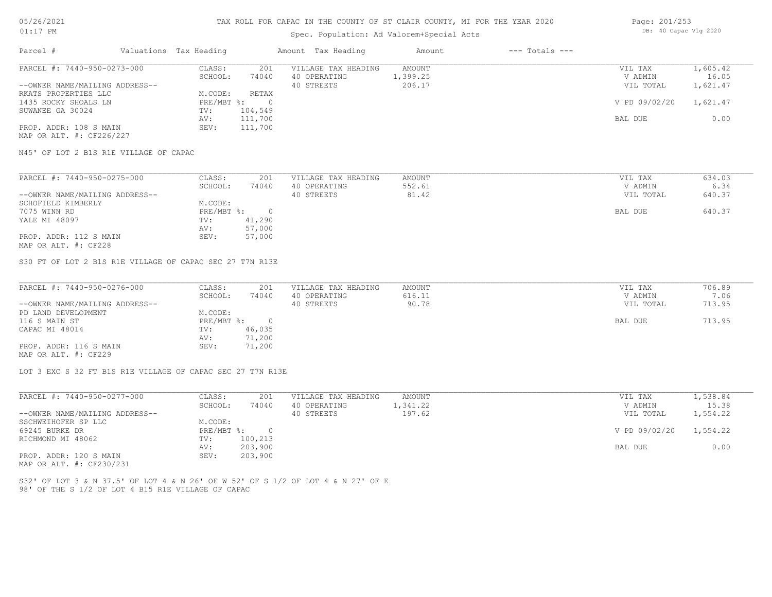### Spec. Population: Ad Valorem+Special Acts

| Page: 201/253 |                       |  |
|---------------|-----------------------|--|
|               | DB: 40 Capac Vlg 2020 |  |

| Parcel #                       | Valuations Tax Heading |         | Amount Tax Heading  | Amount   | $---$ Totals $---$ |               |          |
|--------------------------------|------------------------|---------|---------------------|----------|--------------------|---------------|----------|
| PARCEL #: 7440-950-0273-000    | CLASS:                 | 201     | VILLAGE TAX HEADING | AMOUNT   |                    | VIL TAX       | 1,605.42 |
|                                | SCHOOL:                | 74040   | 40 OPERATING        | 1,399.25 |                    | V ADMIN       | 16.05    |
| --OWNER NAME/MAILING ADDRESS-- |                        |         | 40 STREETS          | 206.17   |                    | VIL TOTAL     | 1,621.47 |
| RKATS PROPERTIES LLC           | M.CODE:                | RETAX   |                     |          |                    |               |          |
| 1435 ROCKY SHOALS LN           | $PRE/MBT$ %:           |         |                     |          |                    | V PD 09/02/20 | 1,621.47 |
| SUWANEE GA 30024               | TV:                    | 104,549 |                     |          |                    |               |          |
|                                | AV:                    | 111,700 |                     |          |                    | BAL DUE       | 0.00     |
| PROP. ADDR: 108 S MAIN         | SEV:                   | 111,700 |                     |          |                    |               |          |
| MAP OR ALT. #: CF226/227       |                        |         |                     |          |                    |               |          |

N45' OF LOT 2 B1S R1E VILLAGE OF CAPAC

| PARCEL #: 7440-950-0275-000    | CLASS:  | 201        | VILLAGE TAX HEADING | AMOUNT | VIL TAX   | 634.03 |
|--------------------------------|---------|------------|---------------------|--------|-----------|--------|
|                                | SCHOOL: | 74040      | 40 OPERATING        | 552.61 | V ADMIN   | 6.34   |
| --OWNER NAME/MAILING ADDRESS-- |         |            | 40 STREETS          | 81.42  | VIL TOTAL | 640.37 |
| SCHOFIELD KIMBERLY             | M.CODE: |            |                     |        |           |        |
| 7075 WINN RD                   |         | PRE/MBT %: |                     |        | BAL DUE   | 640.37 |
| YALE MI 48097                  | TV:     | 41,290     |                     |        |           |        |
|                                | AV:     | 57,000     |                     |        |           |        |
| PROP. ADDR: 112 S MAIN         | SEV:    | 57,000     |                     |        |           |        |
| MAP OR ALT. #: CF228           |         |            |                     |        |           |        |

S30 FT OF LOT 2 B1S R1E VILLAGE OF CAPAC SEC 27 T7N R13E

| PARCEL #: 7440-950-0276-000    | CLASS:     | 201    | VILLAGE TAX HEADING | AMOUNT | VIL TAX   | 706.89 |
|--------------------------------|------------|--------|---------------------|--------|-----------|--------|
|                                | SCHOOL:    | 74040  | 40 OPERATING        | 616.11 | V ADMIN   | 7.06   |
| --OWNER NAME/MAILING ADDRESS-- |            |        | 40 STREETS          | 90.78  | VIL TOTAL | 713.95 |
| PD LAND DEVELOPMENT            | M.CODE:    |        |                     |        |           |        |
| 116 S MAIN ST                  | PRE/MBT %: |        |                     |        | BAL DUE   | 713.95 |
| CAPAC MI 48014                 | TV:        | 46,035 |                     |        |           |        |
|                                | AV:        | 71,200 |                     |        |           |        |
| PROP. ADDR: 116 S MAIN         | SEV:       | 71,200 |                     |        |           |        |
| MAP OR ALT. #: CF229           |            |        |                     |        |           |        |

LOT 3 EXC S 32 FT B1S R1E VILLAGE OF CAPAC SEC 27 T7N R13E

| PARCEL #: 7440-950-0277-000    | CLASS:     | 201     | VILLAGE TAX HEADING | AMOUNT   | VIL TAX       | 1,538.84 |
|--------------------------------|------------|---------|---------------------|----------|---------------|----------|
|                                | SCHOOL:    | 74040   | 40 OPERATING        | 1,341.22 | V ADMIN       | 15.38    |
| --OWNER NAME/MAILING ADDRESS-- |            |         | 40 STREETS          | 197.62   | VIL TOTAL     | 1,554.22 |
| SSCHWEIHOFER SP LLC            | M.CODE:    |         |                     |          |               |          |
| 69245 BURKE DR                 | PRE/MBT %: |         |                     |          | V PD 09/02/20 | 1,554.22 |
| RICHMOND MI 48062              | TV:        | 100,213 |                     |          |               |          |
|                                | AV:        | 203,900 |                     |          | BAL DUE       | 0.00     |
| PROP. ADDR: 120 S MAIN         | SEV:       | 203,900 |                     |          |               |          |
|                                |            |         |                     |          |               |          |

MAP OR ALT. #: CF230/231

98' OF THE S 1/2 OF LOT 4 B15 R1E VILLAGE OF CAPAC S32' OF LOT 3 & N 37.5' OF LOT 4 & N 26' OF W 52' OF S 1/2 OF LOT 4 & N 27' OF E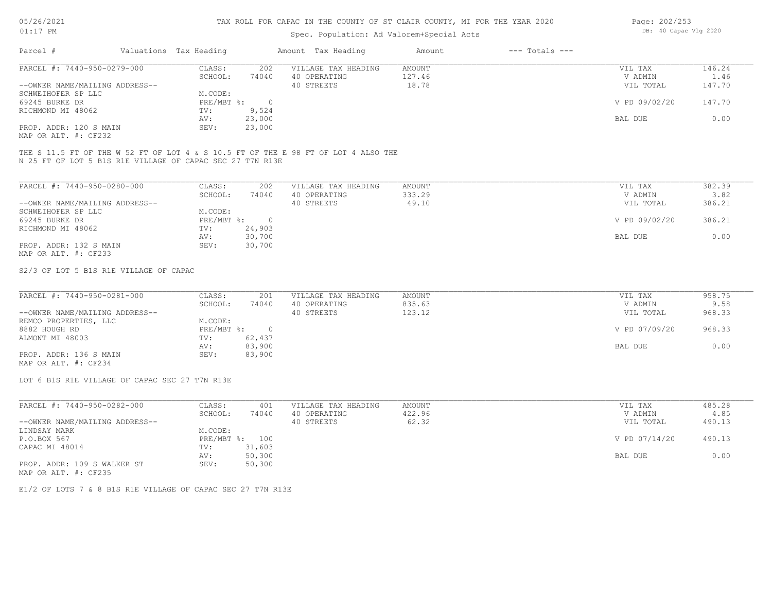## Spec. Population: Ad Valorem+Special Acts

| Page: 202/253 |                       |  |
|---------------|-----------------------|--|
|               | DB: 40 Capac Vlg 2020 |  |

| Parcel #                       | Valuations Tax Heading |        | Amount Tax Heading  | Amount | $---$ Totals $---$ |               |        |
|--------------------------------|------------------------|--------|---------------------|--------|--------------------|---------------|--------|
| PARCEL #: 7440-950-0279-000    | CLASS:                 | 202    | VILLAGE TAX HEADING | AMOUNT |                    | VIL TAX       | 146.24 |
|                                | SCHOOL:                | 74040  | 40 OPERATING        | 127.46 |                    | V ADMIN       | 1.46   |
| --OWNER NAME/MAILING ADDRESS-- |                        |        | 40 STREETS          | 18.78  |                    | VIL TOTAL     | 147.70 |
| SCHWEIHOFER SP LLC             | M.CODE:                |        |                     |        |                    |               |        |
| 69245 BURKE DR                 | $PRE/MBT$ %:           |        |                     |        |                    | V PD 09/02/20 | 147.70 |
| RICHMOND MI 48062              | TV:                    | 9,524  |                     |        |                    |               |        |
|                                | AV:                    | 23,000 |                     |        |                    | BAL DUE       | 0.00   |
| PROP. ADDR: 120 S MAIN         | SEV:                   | 23,000 |                     |        |                    |               |        |
|                                |                        |        |                     |        |                    |               |        |

MAP OR ALT. #: CF232

N 25 FT OF LOT 5 B1S R1E VILLAGE OF CAPAC SEC 27 T7N R13E THE S 11.5 FT OF THE W 52 FT OF LOT 4 & S 10.5 FT OF THE E 98 FT OF LOT 4 ALSO THE

| PARCEL #: 7440-950-0280-000    | CLASS:     | 202    | VILLAGE TAX HEADING | AMOUNT | VIL TAX       | 382.39 |
|--------------------------------|------------|--------|---------------------|--------|---------------|--------|
|                                | SCHOOL:    | 74040  | 40 OPERATING        | 333.29 | V ADMIN       | 3.82   |
| --OWNER NAME/MAILING ADDRESS-- |            |        | 40 STREETS          | 49.10  | VIL TOTAL     | 386.21 |
| SCHWEIHOFER SP LLC             | M.CODE:    |        |                     |        |               |        |
| 69245 BURKE DR                 | PRE/MBT %: | $\Box$ |                     |        | V PD 09/02/20 | 386.21 |
| RICHMOND MI 48062              | TV:        | 24,903 |                     |        |               |        |
|                                | AV:        | 30,700 |                     |        | BAL DUE       | 0.00   |
| PROP. ADDR: 132 S MAIN         | SEV:       | 30,700 |                     |        |               |        |
| MAP OR ALT. #: CF233           |            |        |                     |        |               |        |

S2/3 OF LOT 5 B1S R1E VILLAGE OF CAPAC

| PARCEL #: 7440-950-0281-000    | CLASS:     | 201    | VILLAGE TAX HEADING | AMOUNT | VIL TAX       | 958.75 |
|--------------------------------|------------|--------|---------------------|--------|---------------|--------|
|                                | SCHOOL:    | 74040  | 40 OPERATING        | 835.63 | V ADMIN       | 9.58   |
| --OWNER NAME/MAILING ADDRESS-- |            |        | 40 STREETS          | 123.12 | VIL TOTAL     | 968.33 |
| REMCO PROPERTIES, LLC          | M.CODE:    |        |                     |        |               |        |
| 8882 HOUGH RD                  | PRE/MBT %: |        |                     |        | V PD 07/09/20 | 968.33 |
| ALMONT MI 48003                | TV:        | 62,437 |                     |        |               |        |
|                                | AV:        | 83,900 |                     |        | BAL DUE       | 0.00   |
| PROP. ADDR: 136 S MAIN         | SEV:       | 83,900 |                     |        |               |        |
| MAP OR ALT. #: CF234           |            |        |                     |        |               |        |

LOT 6 B1S R1E VILLAGE OF CAPAC SEC 27 T7N R13E

| PARCEL #: 7440-950-0282-000    | CLASS:  | 401            | VILLAGE TAX HEADING | AMOUNT | VIL TAX       | 485.28 |
|--------------------------------|---------|----------------|---------------------|--------|---------------|--------|
|                                | SCHOOL: | 74040          | 40 OPERATING        | 422.96 | V ADMIN       | 4.85   |
| --OWNER NAME/MAILING ADDRESS-- |         |                | 40 STREETS          | 62.32  | VIL TOTAL     | 490.13 |
| LINDSAY MARK                   | M.CODE: |                |                     |        |               |        |
| P.O.BOX 567                    |         | PRE/MBT %: 100 |                     |        | V PD 07/14/20 | 490.13 |
| CAPAC MI 48014                 | TV:     | 31,603         |                     |        |               |        |
|                                | AV:     | 50,300         |                     |        | BAL DUE       | 0.00   |
| PROP. ADDR: 109 S WALKER ST    | SEV:    | 50,300         |                     |        |               |        |
| MAP OR ALT. #: CF235           |         |                |                     |        |               |        |

E1/2 OF LOTS 7 & 8 B1S R1E VILLAGE OF CAPAC SEC 27 T7N R13E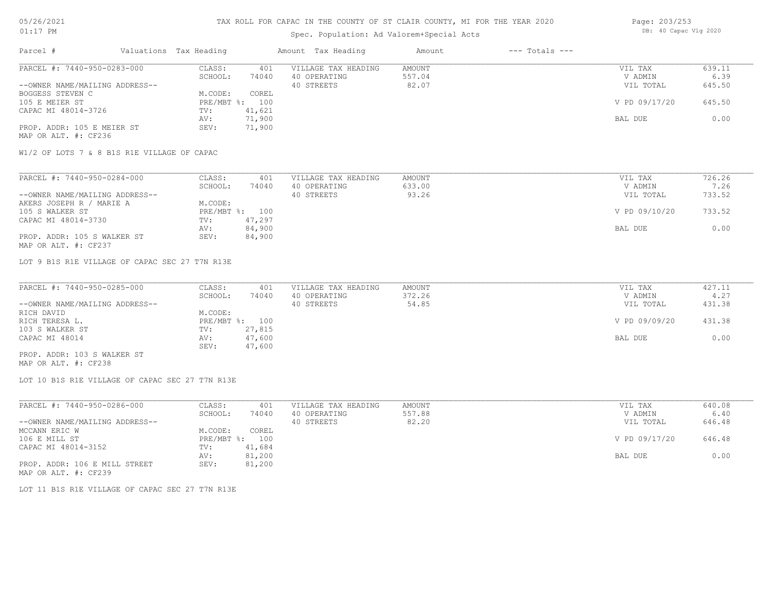## Spec. Population: Ad Valorem+Special Acts

| Page: 203/253 |                       |  |
|---------------|-----------------------|--|
|               | DB: 40 Capac Vlg 2020 |  |

| Parcel #                       | Valuations Tax Heading |        | Amount Tax Heading  | Amount | $---$ Totals $---$ |               |        |
|--------------------------------|------------------------|--------|---------------------|--------|--------------------|---------------|--------|
| PARCEL #: 7440-950-0283-000    | CLASS:                 | 401    | VILLAGE TAX HEADING | AMOUNT |                    | VIL TAX       | 639.11 |
|                                | SCHOOL:                | 74040  | 40 OPERATING        | 557.04 |                    | V ADMIN       | 6.39   |
| --OWNER NAME/MAILING ADDRESS-- |                        |        | 40 STREETS          | 82.07  |                    | VIL TOTAL     | 645.50 |
| BOGGESS STEVEN C               | M.CODE:                | COREL  |                     |        |                    |               |        |
| 105 E MEIER ST                 | $PRE/MBT$ %:           | 100    |                     |        |                    | V PD 09/17/20 | 645.50 |
| CAPAC MI 48014-3726            | TV:                    | 41,621 |                     |        |                    |               |        |
|                                | AV:                    | 71,900 |                     |        |                    | BAL DUE       | 0.00   |
| PROP. ADDR: 105 E MEIER ST     | SEV:                   | 71,900 |                     |        |                    |               |        |
| MAP OR ALT. #: CF236           |                        |        |                     |        |                    |               |        |

W1/2 OF LOTS 7 & 8 B1S R1E VILLAGE OF CAPAC

| PARCEL #: 7440-950-0284-000    | CLASS:  | 401            | VILLAGE TAX HEADING | AMOUNT | VIL TAX       | 726.26 |
|--------------------------------|---------|----------------|---------------------|--------|---------------|--------|
|                                | SCHOOL: | 74040          | 40 OPERATING        | 633.00 | V ADMIN       | 7.26   |
| --OWNER NAME/MAILING ADDRESS-- |         |                | 40 STREETS          | 93.26  | VIL TOTAL     | 733.52 |
| AKERS JOSEPH R / MARIE A       | M.CODE: |                |                     |        |               |        |
| 105 S WALKER ST                |         | PRE/MBT %: 100 |                     |        | V PD 09/10/20 | 733.52 |
| CAPAC MI 48014-3730            | TV:     | 47,297         |                     |        |               |        |
|                                | AV:     | 84,900         |                     |        | BAL DUE       | 0.00   |
| PROP. ADDR: 105 S WALKER ST    | SEV:    | 84,900         |                     |        |               |        |
| MAP OR ALT. #: CF237           |         |                |                     |        |               |        |

LOT 9 B1S R1E VILLAGE OF CAPAC SEC 27 T7N R13E

| PARCEL #: 7440-950-0285-000    | CLASS:  | 401            | VILLAGE TAX HEADING | AMOUNT | VIL TAX       | 427.11 |
|--------------------------------|---------|----------------|---------------------|--------|---------------|--------|
|                                | SCHOOL: | 74040          | 40 OPERATING        | 372.26 | V ADMIN       | 4.27   |
| --OWNER NAME/MAILING ADDRESS-- |         |                | 40 STREETS          | 54.85  | VIL TOTAL     | 431.38 |
| RICH DAVID                     | M.CODE: |                |                     |        |               |        |
| RICH TERESA L.                 |         | PRE/MBT %: 100 |                     |        | V PD 09/09/20 | 431.38 |
| 103 S WALKER ST                | TV:     | 27,815         |                     |        |               |        |
| CAPAC MI 48014                 | AV:     | 47,600         |                     |        | BAL DUE       | 0.00   |
|                                | SEV:    | 47,600         |                     |        |               |        |
| PROP. ADDR: 103 S WALKER ST    |         |                |                     |        |               |        |

MAP OR ALT. #: CF238

LOT 10 B1S R1E VILLAGE OF CAPAC SEC 27 T7N R13E

| PARCEL #: 7440-950-0286-000    | CLASS:  | 401            | VILLAGE TAX HEADING | AMOUNT | VIL TAX       | 640.08 |
|--------------------------------|---------|----------------|---------------------|--------|---------------|--------|
|                                | SCHOOL: | 74040          | 40 OPERATING        | 557.88 | V ADMIN       | 6.40   |
| --OWNER NAME/MAILING ADDRESS-- |         |                | 40 STREETS          | 82.20  | VIL TOTAL     | 646.48 |
| MCCANN ERIC W                  | M.CODE: | COREL          |                     |        |               |        |
| 106 E MILL ST                  |         | PRE/MBT %: 100 |                     |        | V PD 09/17/20 | 646.48 |
| CAPAC MI 48014-3152            | TV:     | 41,684         |                     |        |               |        |
|                                | AV:     | 81,200         |                     |        | BAL DUE       | 0.00   |
| PROP. ADDR: 106 E MILL STREET  | SEV:    | 81,200         |                     |        |               |        |
| MAP OR ALT. #: CF239           |         |                |                     |        |               |        |

LOT 11 B1S R1E VILLAGE OF CAPAC SEC 27 T7N R13E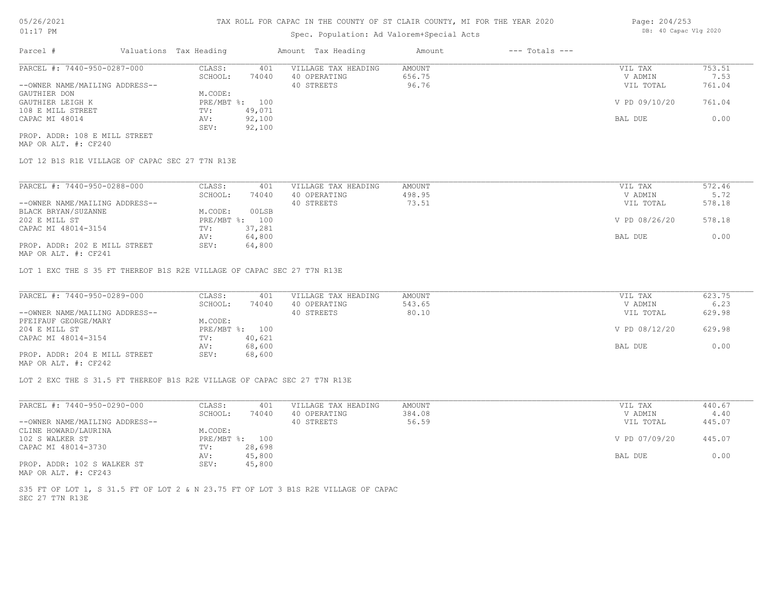## Spec. Population: Ad Valorem+Special Acts

| Parcel #                       | Valuations Tax Heading |        | Amount Tax Heading  | Amount | $---$ Totals $---$ |               |        |
|--------------------------------|------------------------|--------|---------------------|--------|--------------------|---------------|--------|
| PARCEL #: 7440-950-0287-000    | CLASS:                 | 401    | VILLAGE TAX HEADING | AMOUNT |                    | VIL TAX       | 753.51 |
|                                | SCHOOL:                | 74040  | 40 OPERATING        | 656.75 |                    | V ADMIN       | 7.53   |
| --OWNER NAME/MAILING ADDRESS-- |                        |        | 40 STREETS          | 96.76  |                    | VIL TOTAL     | 761.04 |
| GAUTHIER DON                   | M.CODE:                |        |                     |        |                    |               |        |
| GAUTHIER LEIGH K               | PRE/MBT %: 100         |        |                     |        |                    | V PD 09/10/20 | 761.04 |
| 108 E MILL STREET              | TV:                    | 49,071 |                     |        |                    |               |        |
| CAPAC MI 48014                 | AV:                    | 92,100 |                     |        |                    | BAL DUE       | 0.00   |
|                                | SEV:                   | 92,100 |                     |        |                    |               |        |
| PROP. ADDR: 108 E MILL STREET  |                        |        |                     |        |                    |               |        |

MAP OR ALT. #: CF240

LOT 12 B1S R1E VILLAGE OF CAPAC SEC 27 T7N R13E

| PARCEL #: 7440-950-0288-000                    | CLASS:  | 401            | VILLAGE TAX HEADING | AMOUNT | VIL TAX       | 572.46 |
|------------------------------------------------|---------|----------------|---------------------|--------|---------------|--------|
|                                                | SCHOOL: | 74040          | 40 OPERATING        | 498.95 | V ADMIN       | 5.72   |
| --OWNER NAME/MAILING ADDRESS--                 |         |                | 40 STREETS          | 73.51  | VIL TOTAL     | 578.18 |
| BLACK BRYAN/SUZANNE                            | M.CODE: | 00LSB          |                     |        |               |        |
| 202 E MILL ST                                  |         | PRE/MBT %: 100 |                     |        | V PD 08/26/20 | 578.18 |
| CAPAC MI 48014-3154                            | TV:     | 37,281         |                     |        |               |        |
|                                                | AV:     | 64,800         |                     |        | BAL DUE       | 0.00   |
| PROP. ADDR: 202 E MILL STREET<br>$\frac{1}{2}$ | SEV:    | 64,800         |                     |        |               |        |

MAP OR ALT. #: CF241

LOT 1 EXC THE S 35 FT THEREOF B1S R2E VILLAGE OF CAPAC SEC 27 T7N R13E

| PARCEL #: 7440-950-0289-000    | CLASS:  | 401            | VILLAGE TAX HEADING | AMOUNT | VIL TAX       | 623.75 |
|--------------------------------|---------|----------------|---------------------|--------|---------------|--------|
|                                | SCHOOL: | 74040          | 40 OPERATING        | 543.65 | V ADMIN       | 6.23   |
| --OWNER NAME/MAILING ADDRESS-- |         |                | 40 STREETS          | 80.10  | VIL TOTAL     | 629.98 |
| PFEIFAUF GEORGE/MARY           | M.CODE: |                |                     |        |               |        |
| 204 E MILL ST                  |         | PRE/MBT %: 100 |                     |        | V PD 08/12/20 | 629.98 |
| CAPAC MI 48014-3154            | TV:     | 40,621         |                     |        |               |        |
|                                | AV:     | 68,600         |                     |        | BAL DUE       | 0.00   |
| PROP. ADDR: 204 E MILL STREET  | SEV:    | 68,600         |                     |        |               |        |
| $\cdots$                       |         |                |                     |        |               |        |

MAP OR ALT. #: CF242

LOT 2 EXC THE S 31.5 FT THEREOF B1S R2E VILLAGE OF CAPAC SEC 27 T7N R13E

| PARCEL #: 7440-950-0290-000    | CLASS:  | 401            | VILLAGE TAX HEADING | AMOUNT | VIL TAX       | 440.67 |
|--------------------------------|---------|----------------|---------------------|--------|---------------|--------|
|                                | SCHOOL: | 74040          | 40 OPERATING        | 384.08 | V ADMIN       | 4.40   |
| --OWNER NAME/MAILING ADDRESS-- |         |                | 40 STREETS          | 56.59  | VIL TOTAL     | 445.07 |
| CLINE HOWARD/LAURINA           | M.CODE: |                |                     |        |               |        |
| 102 S WALKER ST                |         | PRE/MBT %: 100 |                     |        | V PD 07/09/20 | 445.07 |
| CAPAC MI 48014-3730            | TV:     | 28,698         |                     |        |               |        |
|                                | AV:     | 45,800         |                     |        | BAL DUE       | 0.00   |
| PROP. ADDR: 102 S WALKER ST    | SEV:    | 45,800         |                     |        |               |        |
| MAP OR ALT. #: CF243           |         |                |                     |        |               |        |

SEC 27 T7N R13E S35 FT OF LOT 1, S 31.5 FT OF LOT 2 & N 23.75 FT OF LOT 3 B1S R2E VILLAGE OF CAPAC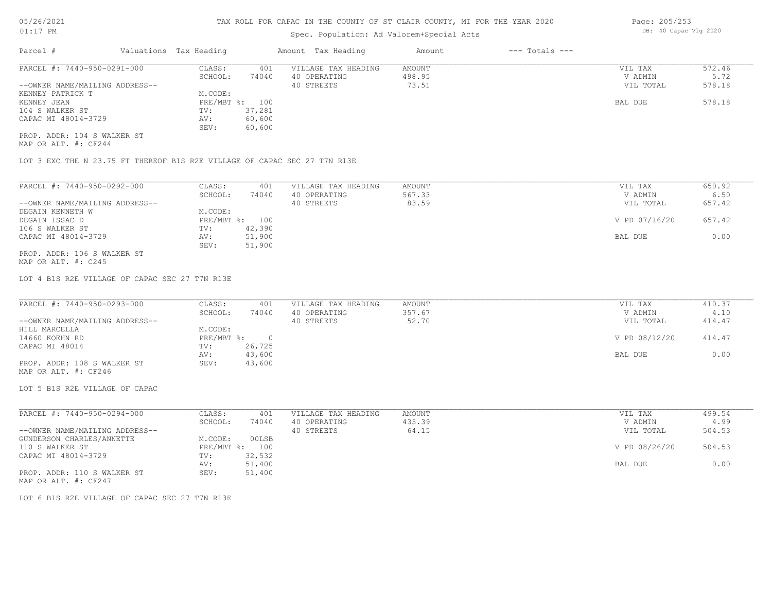## Spec. Population: Ad Valorem+Special Acts

| Parcel #                       | Valuations Tax Heading |        | Amount Tax Heading  | Amount | $---$ Totals $---$ |           |        |
|--------------------------------|------------------------|--------|---------------------|--------|--------------------|-----------|--------|
| PARCEL #: 7440-950-0291-000    | CLASS:                 | 401    | VILLAGE TAX HEADING | AMOUNT |                    | VIL TAX   | 572.46 |
|                                | SCHOOL:                | 74040  | 40 OPERATING        | 498.95 |                    | V ADMIN   | 5.72   |
| --OWNER NAME/MAILING ADDRESS-- |                        |        | 40 STREETS          | 73.51  |                    | VIL TOTAL | 578.18 |
| KENNEY PATRICK T               | M.CODE:                |        |                     |        |                    |           |        |
| KENNEY JEAN                    | PRE/MBT %: 100         |        |                     |        |                    | BAL DUE   | 578.18 |
| 104 S WALKER ST                | TV:                    | 37,281 |                     |        |                    |           |        |
| CAPAC MI 48014-3729            | AV:                    | 60,600 |                     |        |                    |           |        |
|                                | SEV:                   | 60,600 |                     |        |                    |           |        |
| PROP. ADDR: 104 S WALKER ST    |                        |        |                     |        |                    |           |        |

MAP OR ALT. #: CF244

LOT 3 EXC THE N 23.75 FT THEREOF B1S R2E VILLAGE OF CAPAC SEC 27 T7N R13E

| PARCEL #: 7440-950-0292-000    | CLASS:     | 401    | VILLAGE TAX HEADING | AMOUNT | 650.92<br>VIL TAX       |  |
|--------------------------------|------------|--------|---------------------|--------|-------------------------|--|
|                                | SCHOOL:    | 74040  | 40 OPERATING        | 567.33 | 6.50<br>V ADMIN         |  |
| --OWNER NAME/MAILING ADDRESS-- |            |        | 40 STREETS          | 83.59  | 657.42<br>VIL TOTAL     |  |
| DEGAIN KENNETH W               | M.CODE:    |        |                     |        |                         |  |
| DEGAIN ISSAC D                 | PRE/MBT %: | 100    |                     |        | V PD 07/16/20<br>657.42 |  |
| 106 S WALKER ST                | TV:        | 42,390 |                     |        |                         |  |
| CAPAC MI 48014-3729            | AV:        | 51,900 |                     |        | 0.00<br>BAL DUE         |  |
|                                | SEV:       | 51,900 |                     |        |                         |  |
| PROP. ADDR: 106 S WALKER ST    |            |        |                     |        |                         |  |

MAP OR ALT. #: C245

LOT 4 B1S R2E VILLAGE OF CAPAC SEC 27 T7N R13E

| PARCEL #: 7440-950-0293-000    | CLASS:     | 401    | VILLAGE TAX HEADING | AMOUNT | VIL TAX       | 410.37 |
|--------------------------------|------------|--------|---------------------|--------|---------------|--------|
|                                | SCHOOL:    | 74040  | 40 OPERATING        | 357.67 | V ADMIN       | 4.10   |
| --OWNER NAME/MAILING ADDRESS-- |            |        | 40 STREETS          | 52.70  | VIL TOTAL     | 414.47 |
| HILL MARCELLA                  | M.CODE:    |        |                     |        |               |        |
| 14660 KOEHN RD                 | PRE/MBT %: |        |                     |        | V PD 08/12/20 | 414.47 |
| CAPAC MI 48014                 | TV:        | 26,725 |                     |        |               |        |
|                                | AV:        | 43,600 |                     |        | BAL DUE       | 0.00   |
| PROP. ADDR: 108 S WALKER ST    | SEV:       | 43,600 |                     |        |               |        |
| MAP OR ALT. #: CF246           |            |        |                     |        |               |        |

LOT 5 B1S R2E VILLAGE OF CAPAC

| PARCEL #: 7440-950-0294-000    | CLASS:                    | 401    | VILLAGE TAX HEADING | AMOUNT | VIL TAX       | 499.54 |
|--------------------------------|---------------------------|--------|---------------------|--------|---------------|--------|
|                                | SCHOOL:                   | 74040  | 40 OPERATING        | 435.39 | V ADMIN       | 4.99   |
| --OWNER NAME/MAILING ADDRESS-- |                           |        | 40 STREETS          | 64.15  | VIL TOTAL     | 504.53 |
| GUNDERSON CHARLES/ANNETTE      | M.CODE:                   | 00LSB  |                     |        |               |        |
| 110 S WALKER ST                | $PRE/MBT$ $\frac{1}{6}$ : | 100    |                     |        | V PD 08/26/20 | 504.53 |
| CAPAC MI 48014-3729            | TV:                       | 32,532 |                     |        |               |        |
|                                | AV:                       | 51,400 |                     |        | BAL DUE       | 0.00   |
| PROP. ADDR: 110 S WALKER ST    | SEV:                      | 51,400 |                     |        |               |        |
|                                |                           |        |                     |        |               |        |

MAP OR ALT. #: CF247

LOT 6 B1S R2E VILLAGE OF CAPAC SEC 27 T7N R13E

Page: 205/253 DB: 40 Capac Vlg 2020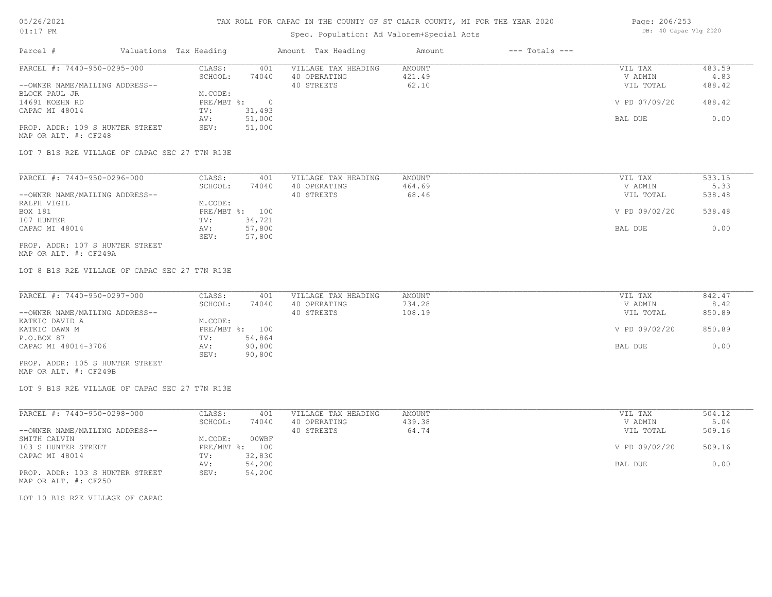### Spec. Population: Ad Valorem+Special Acts

| Page: 206/253 |                       |  |
|---------------|-----------------------|--|
|               | DB: 40 Capac Vlg 2020 |  |

| Parcel #                        | Valuations Tax Heading |        | Amount Tax Heading  | Amount | $---$ Totals $---$ |               |        |
|---------------------------------|------------------------|--------|---------------------|--------|--------------------|---------------|--------|
| PARCEL #: 7440-950-0295-000     | CLASS:                 | 401    | VILLAGE TAX HEADING | AMOUNT |                    | VIL TAX       | 483.59 |
|                                 | SCHOOL:                | 74040  | 40 OPERATING        | 421.49 |                    | V ADMIN       | 4.83   |
| --OWNER NAME/MAILING ADDRESS--  |                        |        | 40 STREETS          | 62.10  |                    | VIL TOTAL     | 488.42 |
| BLOCK PAUL JR                   | M.CODE:                |        |                     |        |                    |               |        |
| 14691 KOEHN RD                  | $PRE/MBT$ %:           |        |                     |        |                    | V PD 07/09/20 | 488.42 |
| CAPAC MI 48014                  | TV:                    | 31,493 |                     |        |                    |               |        |
|                                 | AV:                    | 51,000 |                     |        |                    | BAL DUE       | 0.00   |
| PROP. ADDR: 109 S HUNTER STREET | SEV:                   | 51,000 |                     |        |                    |               |        |
| MAP OR ALT. #: CF248            |                        |        |                     |        |                    |               |        |

LOT 7 B1S R2E VILLAGE OF CAPAC SEC 27 T7N R13E

| PARCEL #: 7440-950-0296-000     | CLASS:  | 401            | VILLAGE TAX HEADING | AMOUNT | VIL TAX       | 533.15 |
|---------------------------------|---------|----------------|---------------------|--------|---------------|--------|
|                                 | SCHOOL: | 74040          | 40 OPERATING        | 464.69 | V ADMIN       | 5.33   |
| --OWNER NAME/MAILING ADDRESS--  |         |                | 40 STREETS          | 68.46  | VIL TOTAL     | 538.48 |
| RALPH VIGIL                     | M.CODE: |                |                     |        |               |        |
| BOX 181                         |         | PRE/MBT %: 100 |                     |        | V PD 09/02/20 | 538.48 |
| 107 HUNTER                      | TV:     | 34,721         |                     |        |               |        |
| CAPAC MI 48014                  | AV:     | 57,800         |                     |        | BAL DUE       | 0.00   |
|                                 | SEV:    | 57,800         |                     |        |               |        |
| PROP. ADDR: 107 S HUNTER STREET |         |                |                     |        |               |        |

MAP OR ALT. #: CF249A

LOT 8 B1S R2E VILLAGE OF CAPAC SEC 27 T7N R13E

| PARCEL #: 7440-950-0297-000     | CLASS:  | 401            | VILLAGE TAX HEADING | AMOUNT | VIL TAX       | 842.47 |
|---------------------------------|---------|----------------|---------------------|--------|---------------|--------|
|                                 | SCHOOL: | 74040          | 40 OPERATING        | 734.28 | V ADMIN       | 8.42   |
| --OWNER NAME/MAILING ADDRESS--  |         |                | 40 STREETS          | 108.19 | VIL TOTAL     | 850.89 |
| KATKIC DAVID A                  | M.CODE: |                |                     |        |               |        |
| KATKIC DAWN M                   |         | PRE/MBT %: 100 |                     |        | V PD 09/02/20 | 850.89 |
| P.O.BOX 87                      | TV:     | 54,864         |                     |        |               |        |
| CAPAC MI 48014-3706             | AV:     | 90,800         |                     |        | BAL DUE       | 0.00   |
|                                 | SEV:    | 90,800         |                     |        |               |        |
| PROP. ADDR: 105 S HUNTER STREET |         |                |                     |        |               |        |

MAP OR ALT. #: CF249B

LOT 9 B1S R2E VILLAGE OF CAPAC SEC 27 T7N R13E

| PARCEL #: 7440-950-0298-000     | CLASS:       | 401    | VILLAGE TAX HEADING | AMOUNT | VIL TAX       | 504.12 |
|---------------------------------|--------------|--------|---------------------|--------|---------------|--------|
|                                 | SCHOOL:      | 74040  | 40 OPERATING        | 439.38 | V ADMIN       | 5.04   |
| --OWNER NAME/MAILING ADDRESS--  |              |        | 40 STREETS          | 64.74  | VIL TOTAL     | 509.16 |
| SMITH CALVIN                    | M.CODE:      | 00WBF  |                     |        |               |        |
| 103 S HUNTER STREET             | $PRE/MBT$ %: | 100    |                     |        | V PD 09/02/20 | 509.16 |
| CAPAC MI 48014                  | TV:          | 32,830 |                     |        |               |        |
|                                 | AV:          | 54,200 |                     |        | BAL DUE       | 0.00   |
| PROP. ADDR: 103 S HUNTER STREET | SEV:         | 54,200 |                     |        |               |        |
| MAP OR ALT. #: CF250            |              |        |                     |        |               |        |

LOT 10 B1S R2E VILLAGE OF CAPAC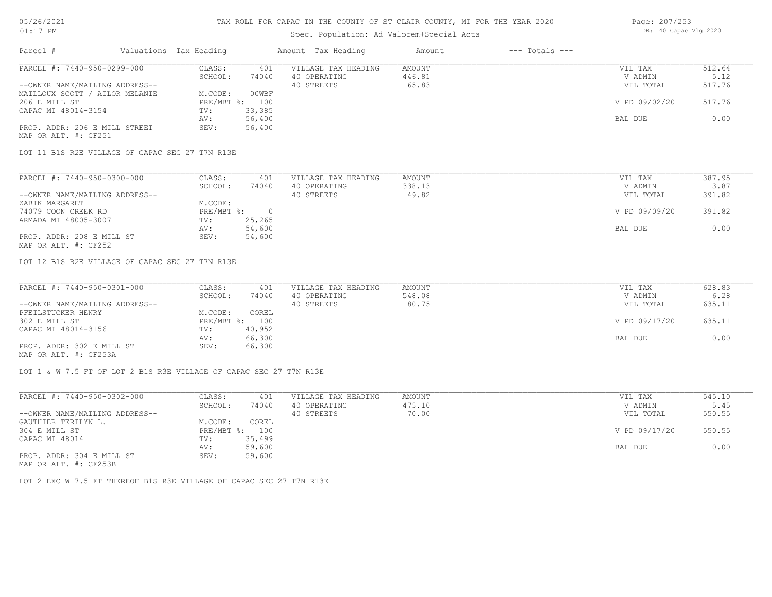### Spec. Population: Ad Valorem+Special Acts

| Page: 207/253 |                       |  |
|---------------|-----------------------|--|
|               | DB: 40 Capac Vlg 2020 |  |

| Parcel #                       | Valuations Tax Heading |        | Amount Tax Heading  | Amount | $---$ Totals $---$ |               |        |
|--------------------------------|------------------------|--------|---------------------|--------|--------------------|---------------|--------|
| PARCEL #: 7440-950-0299-000    | CLASS:                 | 401    | VILLAGE TAX HEADING | AMOUNT |                    | VIL TAX       | 512.64 |
|                                | SCHOOL:                | 74040  | 40 OPERATING        | 446.81 |                    | V ADMIN       | 5.12   |
| --OWNER NAME/MAILING ADDRESS-- |                        |        | 40 STREETS          | 65.83  |                    | VIL TOTAL     | 517.76 |
| MAILLOUX SCOTT / AILOR MELANIE | M.CODE:                | 00WBF  |                     |        |                    |               |        |
| 206 E MILL ST                  | PRE/MBT %: 100         |        |                     |        |                    | V PD 09/02/20 | 517.76 |
| CAPAC MI 48014-3154            | TV:                    | 33,385 |                     |        |                    |               |        |
|                                | AV:                    | 56,400 |                     |        |                    | BAL DUE       | 0.00   |
| PROP. ADDR: 206 E MILL STREET  | SEV:                   | 56,400 |                     |        |                    |               |        |
| MAP OR ALT. #: CF251           |                        |        |                     |        |                    |               |        |

LOT 11 B1S R2E VILLAGE OF CAPAC SEC 27 T7N R13E

| PARCEL #: 7440-950-0300-000    | CLASS:     | 401    | VILLAGE TAX HEADING | AMOUNT | VIL TAX       | 387.95 |
|--------------------------------|------------|--------|---------------------|--------|---------------|--------|
|                                | SCHOOL:    | 74040  | 40 OPERATING        | 338.13 | V ADMIN       | 3.87   |
| --OWNER NAME/MAILING ADDRESS-- |            |        | 40 STREETS          | 49.82  | VIL TOTAL     | 391.82 |
| ZABIK MARGARET                 | M.CODE:    |        |                     |        |               |        |
| 74079 COON CREEK RD            | PRE/MBT %: |        |                     |        | V PD 09/09/20 | 391.82 |
| ARMADA MI 48005-3007           | TV:        | 25,265 |                     |        |               |        |
|                                | AV:        | 54,600 |                     |        | BAL DUE       | 0.00   |
| PROP. ADDR: 208 E MILL ST      | SEV:       | 54,600 |                     |        |               |        |
| MAP OR ALT. #: CF252           |            |        |                     |        |               |        |

LOT 12 B1S R2E VILLAGE OF CAPAC SEC 27 T7N R13E

| PARCEL #: 7440-950-0301-000    | CLASS:  | 401            | VILLAGE TAX HEADING | AMOUNT | VIL TAX       | 628.83 |
|--------------------------------|---------|----------------|---------------------|--------|---------------|--------|
|                                | SCHOOL: | 74040          | 40 OPERATING        | 548.08 | V ADMIN       | 6.28   |
| --OWNER NAME/MAILING ADDRESS-- |         |                | 40 STREETS          | 80.75  | VIL TOTAL     | 635.11 |
| PFEILSTUCKER HENRY             | M.CODE: | COREL          |                     |        |               |        |
| 302 E MILL ST                  |         | PRE/MBT %: 100 |                     |        | V PD 09/17/20 | 635.11 |
| CAPAC MI 48014-3156            | TV:     | 40,952         |                     |        |               |        |
|                                | AV:     | 66,300         |                     |        | BAL DUE       | 0.00   |
| PROP. ADDR: 302 E MILL ST      | SEV:    | 66,300         |                     |        |               |        |
| MAP OR ALT. #: CF253A          |         |                |                     |        |               |        |

LOT 1 & W 7.5 FT OF LOT 2 B1S R3E VILLAGE OF CAPAC SEC 27 T7N R13E

PROP. ADDR: 304 E MILL ST SEV: 59,600 AV: 59,600 BAL DUE 0.00 CAPAC MI 48014 TV: 35,499<br>
AV: 59,600 304 E MILL ST PRE/MBT %: 100 V PD 09/17/20 550.55 GAUTHIER TERILYN L. M.CODE: COREL --OWNER NAME/MAILING ADDRESS-- 40 STREETS 70.00 VIL TOTAL 550.55 SCHOOL: 74040 40 OPERATING 475.10 475.10 V ADMIN 5.45 PARCEL #: 7440-950-0302-000 CLASS: 401 VILLAGE TAX HEADING AMOUNT AMOUNT VIL TAX 545.10<br>5.45 SCHOOL: 74040 40 OPERATING 475.10 VADMIN 5.45

MAP OR ALT. #: CF253B

LOT 2 EXC W 7.5 FT THEREOF B1S R3E VILLAGE OF CAPAC SEC 27 T7N R13E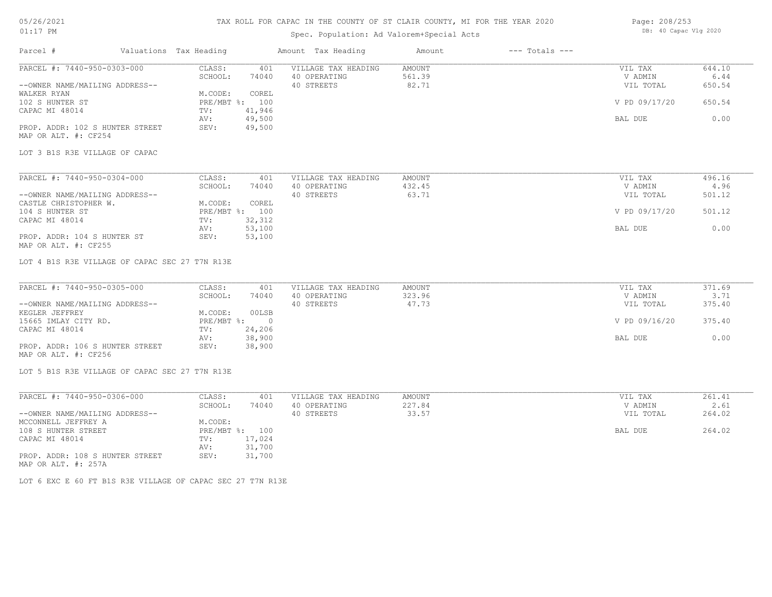## 05/26/2021 01:17 PM

### TAX ROLL FOR CAPAC IN THE COUNTY OF ST CLAIR COUNTY, MI FOR THE YEAR 2020

## Spec. Population: Ad Valorem+Special Acts

| Page: 208/253 |                       |  |
|---------------|-----------------------|--|
|               | DB: 40 Capac Vlg 2020 |  |

| Parcel #                                                | Valuations Tax Heading |                   |                | Amount Tax Heading                  | Amount           | $---$ Totals $---$ |                    |                |
|---------------------------------------------------------|------------------------|-------------------|----------------|-------------------------------------|------------------|--------------------|--------------------|----------------|
| PARCEL #: 7440-950-0303-000                             |                        | CLASS:            | 401            | VILLAGE TAX HEADING                 | AMOUNT           |                    | VIL TAX            | 644.10         |
|                                                         |                        | SCHOOL:           | 74040          | 40 OPERATING                        | 561.39           |                    | V ADMIN            | 6.44           |
| --OWNER NAME/MAILING ADDRESS--                          |                        |                   |                | 40 STREETS                          | 82.71            |                    | VIL TOTAL          | 650.54         |
| WALKER RYAN                                             |                        | M.CODE:           | COREL          |                                     |                  |                    |                    |                |
| 102 S HUNTER ST                                         |                        | PRE/MBT %: 100    |                |                                     |                  |                    | V PD 09/17/20      | 650.54         |
| CAPAC MI 48014                                          |                        | TV:               | 41,946         |                                     |                  |                    |                    |                |
|                                                         |                        | AV:               | 49,500         |                                     |                  |                    | BAL DUE            | 0.00           |
| PROP. ADDR: 102 S HUNTER STREET                         |                        | SEV:              | 49,500         |                                     |                  |                    |                    |                |
| MAP OR ALT. #: CF254                                    |                        |                   |                |                                     |                  |                    |                    |                |
| LOT 3 B1S R3E VILLAGE OF CAPAC                          |                        |                   |                |                                     |                  |                    |                    |                |
| PARCEL #: 7440-950-0304-000                             |                        |                   |                |                                     |                  |                    |                    |                |
|                                                         |                        | CLASS:<br>SCHOOL: | 401<br>74040   | VILLAGE TAX HEADING<br>40 OPERATING | AMOUNT<br>432.45 |                    | VIL TAX<br>V ADMIN | 496.16<br>4.96 |
| --OWNER NAME/MAILING ADDRESS--                          |                        |                   |                | 40 STREETS                          | 63.71            |                    | VIL TOTAL          | 501.12         |
| CASTLE CHRISTOPHER W.                                   |                        | M.CODE:           | COREL          |                                     |                  |                    |                    |                |
| 104 S HUNTER ST                                         |                        | PRE/MBT %: 100    |                |                                     |                  |                    | V PD 09/17/20      | 501.12         |
| CAPAC MI 48014                                          |                        | TV:               | 32, 312        |                                     |                  |                    |                    |                |
|                                                         |                        | AV:               | 53,100         |                                     |                  |                    | BAL DUE            | 0.00           |
| PROP. ADDR: 104 S HUNTER ST                             |                        | SEV:              | 53,100         |                                     |                  |                    |                    |                |
| MAP OR ALT. #: CF255                                    |                        |                   |                |                                     |                  |                    |                    |                |
|                                                         |                        |                   |                |                                     |                  |                    |                    |                |
| LOT 4 B1S R3E VILLAGE OF CAPAC SEC 27 T7N R13E          |                        |                   |                |                                     |                  |                    |                    |                |
| PARCEL #: 7440-950-0305-000                             |                        | CLASS:            | 401            | VILLAGE TAX HEADING                 | AMOUNT           |                    | VIL TAX            | 371.69         |
|                                                         |                        | SCHOOL:           | 74040          | 40 OPERATING                        | 323.96           |                    | V ADMIN            | 3.71           |
| --OWNER NAME/MAILING ADDRESS--                          |                        |                   |                | 40 STREETS                          | 47.73            |                    | VIL TOTAL          | 375.40         |
| KEGLER JEFFREY                                          |                        | M.CODE:           | 00LSB          |                                     |                  |                    |                    |                |
| 15665 IMLAY CITY RD.                                    |                        | $PRE/MBT$ %:      | $\overline{0}$ |                                     |                  |                    | V PD 09/16/20      | 375.40         |
| CAPAC MI 48014                                          |                        | TV:               | 24,206         |                                     |                  |                    |                    |                |
|                                                         |                        | AV:               | 38,900         |                                     |                  |                    | BAL DUE            | 0.00           |
| PROP. ADDR: 106 S HUNTER STREET<br>MAP OR ALT. #: CF256 |                        | SEV:              | 38,900         |                                     |                  |                    |                    |                |
| LOT 5 B1S R3E VILLAGE OF CAPAC SEC 27 T7N R13E          |                        |                   |                |                                     |                  |                    |                    |                |
|                                                         |                        |                   |                |                                     |                  |                    |                    |                |
| PARCEL #: 7440-950-0306-000                             |                        | CLASS:            | 401            | VILLAGE TAX HEADING                 | AMOUNT           |                    | VIL TAX            | 261.41         |
|                                                         |                        | SCHOOL:           | 74040          | 40 OPERATING                        | 227.84           |                    | V ADMIN            | 2.61           |
| --OWNER NAME/MAILING ADDRESS--                          |                        |                   |                | 40 STREETS                          | 33.57            |                    | VIL TOTAL          | 264.02         |
| MCCONNELL JEFFREY A                                     |                        | M.CODE:           |                |                                     |                  |                    |                    |                |
| 108 S HUNTER STREET                                     |                        | PRE/MBT %: 100    |                |                                     |                  |                    | BAL DUE            | 264.02         |
| CAPAC MI 48014                                          |                        | TV:               | 17,024         |                                     |                  |                    |                    |                |

MAP OR ALT. #: 257A PROP. ADDR: 108 S HUNTER STREET SEV: 31,700

LOT 6 EXC E 60 FT B1S R3E VILLAGE OF CAPAC SEC 27 T7N R13E

AV: 31,700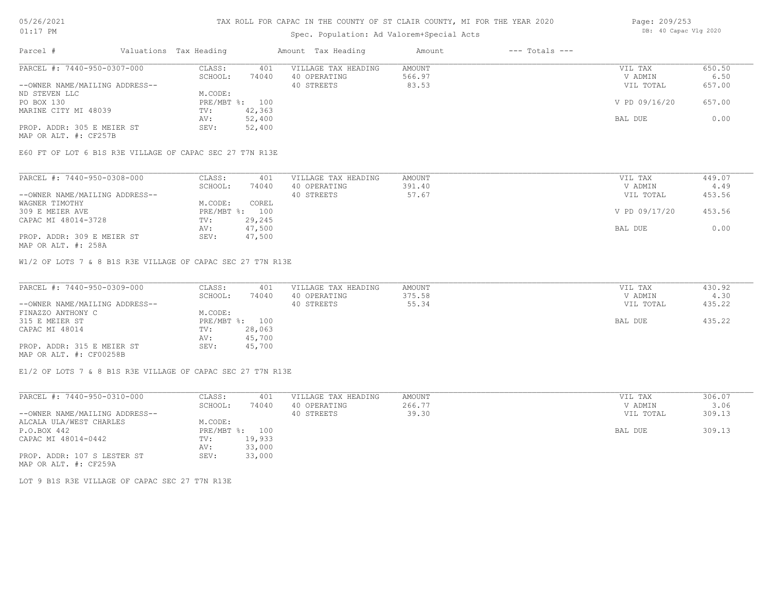## Spec. Population: Ad Valorem+Special Acts

| Page: 209/253 |                       |  |
|---------------|-----------------------|--|
|               | DB: 40 Capac Vlg 2020 |  |

| Parcel #                       | Valuations Tax Heading |        | Amount Tax Heading  | Amount | $---$ Totals $---$ |               |        |
|--------------------------------|------------------------|--------|---------------------|--------|--------------------|---------------|--------|
| PARCEL #: 7440-950-0307-000    | CLASS:                 | 401    | VILLAGE TAX HEADING | AMOUNT |                    | VIL TAX       | 650.50 |
|                                | SCHOOL:                | 74040  | 40 OPERATING        | 566.97 |                    | V ADMIN       | 6.50   |
| --OWNER NAME/MAILING ADDRESS-- |                        |        | 40 STREETS          | 83.53  |                    | VIL TOTAL     | 657.00 |
| ND STEVEN LLC                  | M.CODE:                |        |                     |        |                    |               |        |
| PO BOX 130                     | PRE/MBT %: 100         |        |                     |        |                    | V PD 09/16/20 | 657.00 |
| MARINE CITY MI 48039           | TV:                    | 42,363 |                     |        |                    |               |        |
|                                | AV:                    | 52,400 |                     |        |                    | BAL DUE       | 0.00   |
| PROP. ADDR: 305 E MEIER ST     | SEV:                   | 52,400 |                     |        |                    |               |        |
| MAP OR ALT. #: CF257B          |                        |        |                     |        |                    |               |        |

E60 FT OF LOT 6 B1S R3E VILLAGE OF CAPAC SEC 27 T7N R13E

| PARCEL #: 7440-950-0308-000    | CLASS:         | 401    | VILLAGE TAX HEADING | AMOUNT | VIL TAX       | 449.07 |
|--------------------------------|----------------|--------|---------------------|--------|---------------|--------|
|                                | SCHOOL:        | 74040  | 40 OPERATING        | 391.40 | V ADMIN       | 4.49   |
| --OWNER NAME/MAILING ADDRESS-- |                |        | 40 STREETS          | 57.67  | VIL TOTAL     | 453.56 |
| WAGNER TIMOTHY                 | M.CODE:        | COREL  |                     |        |               |        |
| 309 E MEIER AVE                | PRE/MBT %: 100 |        |                     |        | V PD 09/17/20 | 453.56 |
| CAPAC MI 48014-3728            | TV:            | 29,245 |                     |        |               |        |
|                                | AV:            | 47,500 |                     |        | BAL DUE       | 0.00   |
| PROP. ADDR: 309 E MEIER ST     | SEV:           | 47,500 |                     |        |               |        |

MAP OR ALT. #: 258A

W1/2 OF LOTS 7 & 8 B1S R3E VILLAGE OF CAPAC SEC 27 T7N R13E

| PARCEL #: 7440-950-0309-000    | CLASS:  | 401            | VILLAGE TAX HEADING | AMOUNT  | VIL TAX   | 430.92 |
|--------------------------------|---------|----------------|---------------------|---------|-----------|--------|
|                                | SCHOOL: | 74040          | 40 OPERATING        | 375.58  | V ADMIN   | 4.30   |
| --OWNER NAME/MAILING ADDRESS-- |         |                | 40 STREETS          | 55.34   | VIL TOTAL | 435.22 |
| FINAZZO ANTHONY C              | M.CODE: |                |                     |         |           |        |
| 315 E MEIER ST                 |         | PRE/MBT %: 100 |                     | BAL DUE | 435.22    |        |
| CAPAC MI 48014                 | TV:     | 28,063         |                     |         |           |        |
|                                | AV:     | 45,700         |                     |         |           |        |
| PROP. ADDR: 315 E MEIER ST     | SEV:    | 45,700         |                     |         |           |        |
| MAP OR ALT. #: CF00258B        |         |                |                     |         |           |        |

E1/2 OF LOTS 7 & 8 B1S R3E VILLAGE OF CAPAC SEC 27 T7N R13E

| PARCEL #: 7440-950-0310-000    | CLASS:       | 401    | VILLAGE TAX HEADING | AMOUNT | VIL TAX   | 306.07 |
|--------------------------------|--------------|--------|---------------------|--------|-----------|--------|
|                                | SCHOOL:      | 74040  | 40 OPERATING        | 266.77 | V ADMIN   | 3.06   |
| --OWNER NAME/MAILING ADDRESS-- |              |        | 40 STREETS          | 39.30  | VIL TOTAL | 309.13 |
| ALCALA ULA/WEST CHARLES        | M.CODE:      |        |                     |        |           |        |
| P.O.BOX 442                    | $PRE/MBT$ %: | 100    |                     |        | BAL DUE   | 309.13 |
| CAPAC MI 48014-0442            | TV:          | 19,933 |                     |        |           |        |
|                                | AV:          | 33,000 |                     |        |           |        |
| PROP. ADDR: 107 S LESTER ST    | SEV:         | 33,000 |                     |        |           |        |
| MAP OR ALT. #: CF259A          |              |        |                     |        |           |        |

LOT 9 B1S R3E VILLAGE OF CAPAC SEC 27 T7N R13E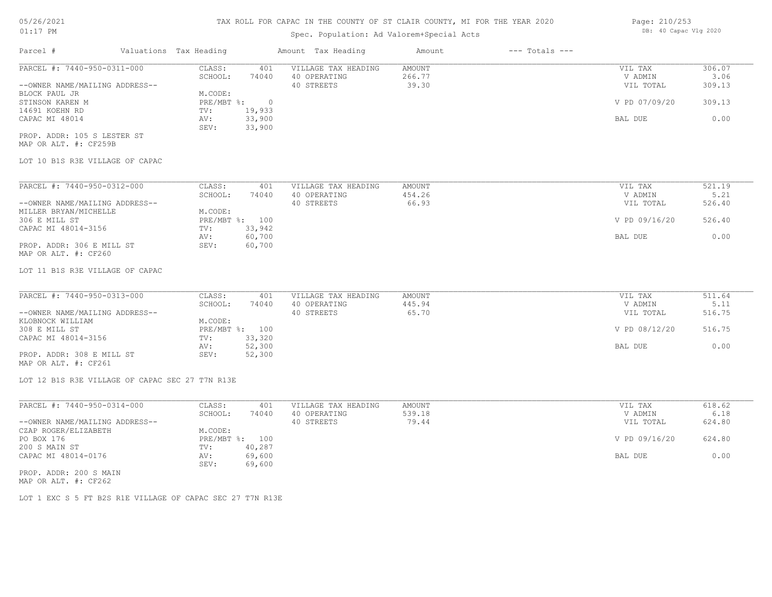## Spec. Population: Ad Valorem+Special Acts

| Parcel #                       | Valuations Tax Heading |        | Amount Tax Heading  | Amount | $---$ Totals $---$ |               |        |
|--------------------------------|------------------------|--------|---------------------|--------|--------------------|---------------|--------|
| PARCEL #: 7440-950-0311-000    | CLASS:                 | 401    | VILLAGE TAX HEADING | AMOUNT |                    | VIL TAX       | 306.07 |
|                                | SCHOOL:                | 74040  | 40 OPERATING        | 266.77 |                    | V ADMIN       | 3.06   |
| --OWNER NAME/MAILING ADDRESS-- |                        |        | 40 STREETS          | 39.30  |                    | VIL TOTAL     | 309.13 |
| BLOCK PAUL JR                  | M.CODE:                |        |                     |        |                    |               |        |
| STINSON KAREN M                | PRE/MBT %:             |        |                     |        |                    | V PD 07/09/20 | 309.13 |
| 14691 KOEHN RD                 | TV:                    | 19,933 |                     |        |                    |               |        |
| CAPAC MI 48014                 | AV:                    | 33,900 |                     |        |                    | BAL DUE       | 0.00   |
|                                | SEV:                   | 33,900 |                     |        |                    |               |        |
| PROP. ADDR: 105 S LESTER ST    |                        |        |                     |        |                    |               |        |

MAP OR ALT. #: CF259B

### LOT 10 B1S R3E VILLAGE OF CAPAC

| PARCEL #: 7440-950-0312-000    | CLASS:       | 401    | VILLAGE TAX HEADING | AMOUNT | VIL TAX       | 521.19 |
|--------------------------------|--------------|--------|---------------------|--------|---------------|--------|
|                                | SCHOOL:      | 74040  | 40 OPERATING        | 454.26 | V ADMIN       | 5.21   |
| --OWNER NAME/MAILING ADDRESS-- |              |        | 40 STREETS          | 66.93  | VIL TOTAL     | 526.40 |
| MILLER BRYAN/MICHELLE          | M.CODE:      |        |                     |        |               |        |
| 306 E MILL ST                  | $PRE/MBT$ %: | 100    |                     |        | V PD 09/16/20 | 526.40 |
| CAPAC MI 48014-3156            | TV:          | 33,942 |                     |        |               |        |
|                                | AV:          | 60,700 |                     |        | BAL DUE       | 0.00   |
| PROP. ADDR: 306 E MILL ST      | SEV:         | 60,700 |                     |        |               |        |
| MAP OR ALT. #: CF260           |              |        |                     |        |               |        |

#### LOT 11 B1S R3E VILLAGE OF CAPAC

| PARCEL #: 7440-950-0313-000    | CLASS:  | 401            | VILLAGE TAX HEADING | AMOUNT | VIL TAX       | 511.64 |
|--------------------------------|---------|----------------|---------------------|--------|---------------|--------|
|                                | SCHOOL: | 74040          | 40 OPERATING        | 445.94 | V ADMIN       | 5.11   |
| --OWNER NAME/MAILING ADDRESS-- |         |                | 40 STREETS          | 65.70  | VIL TOTAL     | 516.75 |
| KLOBNOCK WILLIAM               | M.CODE: |                |                     |        |               |        |
| 308 E MILL ST                  |         | PRE/MBT %: 100 |                     |        | V PD 08/12/20 | 516.75 |
| CAPAC MI 48014-3156            | TV:     | 33,320         |                     |        |               |        |
|                                | AV:     | 52,300         |                     |        | BAL DUE       | 0.00   |
| PROP. ADDR: 308 E MILL ST      | SEV:    | 52,300         |                     |        |               |        |
|                                |         |                |                     |        |               |        |

MAP OR ALT. #: CF261

#### LOT 12 B1S R3E VILLAGE OF CAPAC SEC 27 T7N R13E

| PARCEL #: 7440-950-0314-000    | CLASS:  | 401            | VILLAGE TAX HEADING | AMOUNT | VIL TAX       | 618.62 |
|--------------------------------|---------|----------------|---------------------|--------|---------------|--------|
|                                | SCHOOL: | 74040          | 40 OPERATING        | 539.18 | V ADMIN       | 6.18   |
| --OWNER NAME/MAILING ADDRESS-- |         |                | 40 STREETS          | 79.44  | VIL TOTAL     | 624.80 |
| CZAP ROGER/ELIZABETH           | M.CODE: |                |                     |        |               |        |
| PO BOX 176                     |         | PRE/MBT %: 100 |                     |        | V PD 09/16/20 | 624.80 |
| 200 S MAIN ST                  | TV:     | 40,287         |                     |        |               |        |
| CAPAC MI 48014-0176            | AV:     | 69,600         |                     |        | BAL DUE       | 0.00   |
|                                | SEV:    | 69,600         |                     |        |               |        |
| PROP. ADDR: 200 S MAIN         |         |                |                     |        |               |        |

MAP OR ALT. #: CF262

LOT 1 EXC S 5 FT B2S R1E VILLAGE OF CAPAC SEC 27 T7N R13E

Page: 210/253 DB: 40 Capac Vlg 2020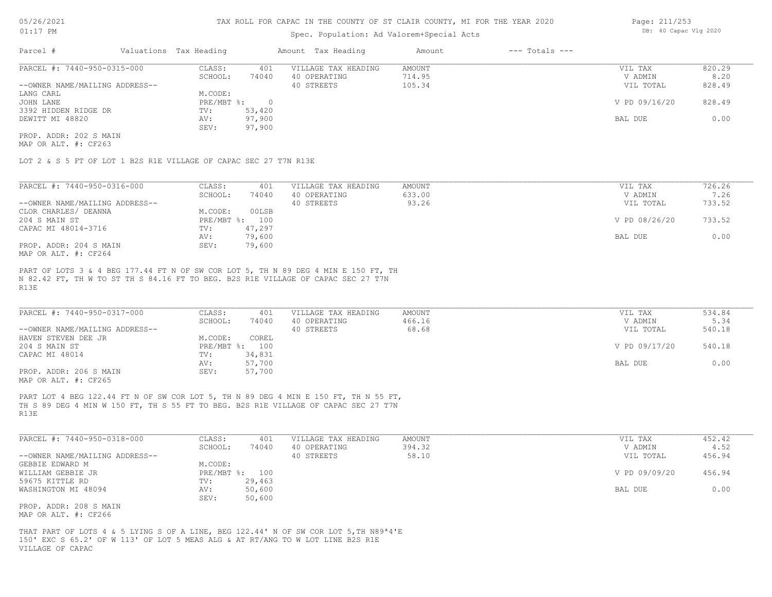### Spec. Population: Ad Valorem+Special Acts

| Page: 211/253 |  |                       |  |  |
|---------------|--|-----------------------|--|--|
|               |  | DB: 40 Capac Vlg 2020 |  |  |

| Parcel #                       | Valuations Tax Heading |        | Amount Tax Heading  | Amount | $---$ Totals $---$ |               |        |
|--------------------------------|------------------------|--------|---------------------|--------|--------------------|---------------|--------|
| PARCEL #: 7440-950-0315-000    | CLASS:                 | 401    | VILLAGE TAX HEADING | AMOUNT |                    | VIL TAX       | 820.29 |
|                                | SCHOOL:                | 74040  | 40 OPERATING        | 714.95 |                    | V ADMIN       | 8.20   |
| --OWNER NAME/MAILING ADDRESS-- |                        |        | 40 STREETS          | 105.34 |                    | VIL TOTAL     | 828.49 |
| LANG CARL                      | M.CODE:                |        |                     |        |                    |               |        |
| JOHN LANE                      | PRE/MBT %:             |        |                     |        |                    | V PD 09/16/20 | 828.49 |
| 3392 HIDDEN RIDGE DR           | TV:                    | 53,420 |                     |        |                    |               |        |
| DEWITT MI 48820                | AV:                    | 97,900 |                     |        |                    | BAL DUE       | 0.00   |
|                                | SEV:                   | 97,900 |                     |        |                    |               |        |
| PROP. ADDR: 202 S MAIN         |                        |        |                     |        |                    |               |        |

MAP OR ALT. #: CF263

LOT 2 & S 5 FT OF LOT 1 B2S R1E VILLAGE OF CAPAC SEC 27 T7N R13E

| PARCEL #: 7440-950-0316-000    | CLASS:       | 401    | VILLAGE TAX HEADING | AMOUNT | VIL TAX       | 726.26 |
|--------------------------------|--------------|--------|---------------------|--------|---------------|--------|
|                                | SCHOOL:      | 74040  | 40 OPERATING        | 633.00 | V ADMIN       | 7.26   |
| --OWNER NAME/MAILING ADDRESS-- |              |        | 40 STREETS          | 93.26  | VIL TOTAL     | 733.52 |
| CLOR CHARLES/ DEANNA           | M.CODE:      | 00LSB  |                     |        |               |        |
| 204 S MAIN ST                  | $PRE/MBT$ %: | 100    |                     |        | V PD 08/26/20 | 733.52 |
| CAPAC MI 48014-3716            | TV:          | 47,297 |                     |        |               |        |
|                                | AV:          | 79,600 |                     |        | BAL DUE       | 0.00   |
| PROP. ADDR: 204 S MAIN         | SEV:         | 79,600 |                     |        |               |        |
| $MAD$ $CD$ $BTD$ $H$ , $CDQCA$ |              |        |                     |        |               |        |

MAP OR ALT. #: CF264

R13E N 82.42 FT, TH W TO ST TH S 84.16 FT TO BEG. B2S R1E VILLAGE OF CAPAC SEC 27 T7N PART OF LOTS 3 & 4 BEG 177.44 FT N OF SW COR LOT 5, TH N 89 DEG 4 MIN E 150 FT, TH

| PARCEL #: 7440-950-0317-000                           | CLASS:     | 401    | VILLAGE TAX HEADING | AMOUNT | VIL TAX       | 534.84 |
|-------------------------------------------------------|------------|--------|---------------------|--------|---------------|--------|
|                                                       | SCHOOL:    | 74040  | 40 OPERATING        | 466.16 | V ADMIN       | 5.34   |
| --OWNER NAME/MAILING ADDRESS--                        |            |        | 40 STREETS          | 68.68  | VIL TOTAL     | 540.18 |
| HAVEN STEVEN DEE JR                                   | M.CODE:    | COREL  |                     |        |               |        |
| 204 S MAIN ST                                         | PRE/MBT %: | 100    |                     |        | V PD 09/17/20 | 540.18 |
| CAPAC MI 48014                                        | TV:        | 34,831 |                     |        |               |        |
|                                                       | AV:        | 57,700 |                     |        | BAL DUE       | 0.00   |
| PROP. ADDR: 206 S MAIN                                | SEV:       | 57,700 |                     |        |               |        |
| $\cdots$ $\cdots$ $\cdots$ $\cdots$ $\cdots$ $\cdots$ |            |        |                     |        |               |        |

MAP OR ALT. #: CF265

R13E TH S 89 DEG 4 MIN W 150 FT, TH S 55 FT TO BEG. B2S R1E VILLAGE OF CAPAC SEC 27 T7N PART LOT 4 BEG 122.44 FT N OF SW COR LOT 5, TH N 89 DEG 4 MIN E 150 FT, TH N 55 FT,

| PARCEL #: 7440-950-0318-000    | CLASS:       | 401    | VILLAGE TAX HEADING | AMOUNT | VIL TAX       | 452.42 |
|--------------------------------|--------------|--------|---------------------|--------|---------------|--------|
|                                | SCHOOL:      | 74040  | 40 OPERATING        | 394.32 | V ADMIN       | 4.52   |
| --OWNER NAME/MAILING ADDRESS-- |              |        | 40 STREETS          | 58.10  | VIL TOTAL     | 456.94 |
| GEBBIE EDWARD M                | M.CODE:      |        |                     |        |               |        |
| WILLIAM GEBBIE JR              | $PRE/MBT$ %: | 100    |                     |        | V PD 09/09/20 | 456.94 |
| 59675 KITTLE RD                | TV:          | 29,463 |                     |        |               |        |
| WASHINGTON MI 48094            | AV:          | 50,600 |                     |        | BAL DUE       | 0.00   |
|                                | SEV:         | 50,600 |                     |        |               |        |
| PROP. ADDR: 208 S MAIN         |              |        |                     |        |               |        |

MAP OR ALT. #: CF266

VILLAGE OF CAPAC 150' EXC S 65.2' OF W 113' OF LOT 5 MEAS ALG & AT RT/ANG TO W LOT LINE B2S R1E THAT PART OF LOTS 4 & 5 LYING S OF A LINE, BEG 122.44' N OF SW COR LOT 5,TH N89ª4'E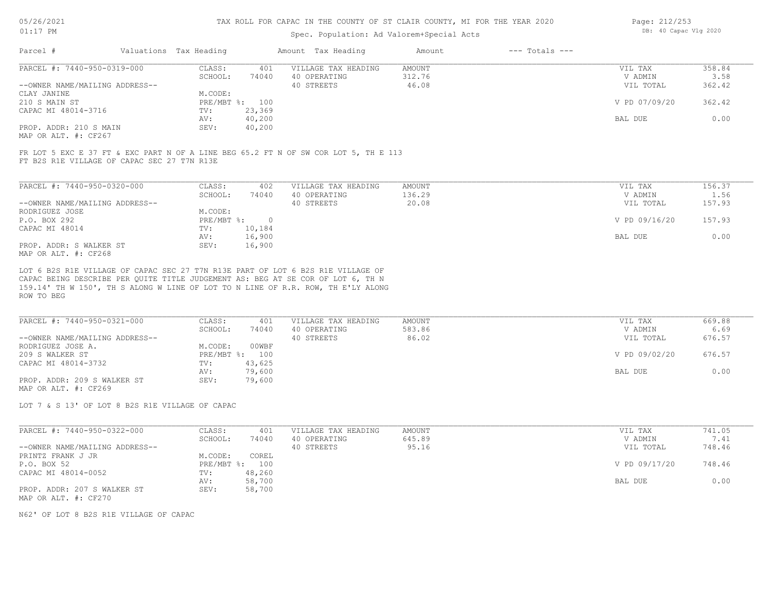### Spec. Population: Ad Valorem+Special Acts

| Page: 212/253 |  |                       |  |  |
|---------------|--|-----------------------|--|--|
|               |  | DB: 40 Capac Vlg 2020 |  |  |

| Parcel #                       | Valuations Tax Heading |        | Amount Tax Heading  | Amount | $---$ Totals $---$ |               |        |
|--------------------------------|------------------------|--------|---------------------|--------|--------------------|---------------|--------|
| PARCEL #: 7440-950-0319-000    | CLASS:                 | 401    | VILLAGE TAX HEADING | AMOUNT |                    | VIL TAX       | 358.84 |
|                                | SCHOOL:                | 74040  | 40 OPERATING        | 312.76 |                    | V ADMIN       | 3.58   |
| --OWNER NAME/MAILING ADDRESS-- |                        |        | 40 STREETS          | 46.08  |                    | VIL TOTAL     | 362.42 |
| CLAY JANINE                    | M.CODE:                |        |                     |        |                    |               |        |
| 210 S MAIN ST                  | PRE/MBT %: 100         |        |                     |        |                    | V PD 07/09/20 | 362.42 |
| CAPAC MI 48014-3716            | TV:                    | 23,369 |                     |        |                    |               |        |
|                                | AV:                    | 40,200 |                     |        |                    | BAL DUE       | 0.00   |
| PROP. ADDR: 210 S MAIN         | SEV:                   | 40,200 |                     |        |                    |               |        |
| MAP OR ALT. #: CF267           |                        |        |                     |        |                    |               |        |

FT B2S R1E VILLAGE OF CAPAC SEC 27 T7N R13E FR LOT 5 EXC E 37 FT & EXC PART N OF A LINE BEG 65.2 FT N OF SW COR LOT 5, TH E 113

| PARCEL #: 7440-950-0320-000    | CLASS:     | 402    | VILLAGE TAX HEADING | AMOUNT | VIL TAX       | 156.37 |
|--------------------------------|------------|--------|---------------------|--------|---------------|--------|
|                                | SCHOOL:    | 74040  | 40 OPERATING        | 136.29 | V ADMIN       | 1.56   |
| --OWNER NAME/MAILING ADDRESS-- |            |        | 40 STREETS          | 20.08  | VIL TOTAL     | 157.93 |
| RODRIGUEZ JOSE                 | M.CODE:    |        |                     |        |               |        |
| P.O. BOX 292                   | PRE/MBT %: | $\cap$ |                     |        | V PD 09/16/20 | 157.93 |
| CAPAC MI 48014                 | TV:        | 10,184 |                     |        |               |        |
|                                | AV:        | 16,900 |                     |        | BAL DUE       | 0.00   |
| PROP. ADDR: S WALKER ST        | SEV:       | 16,900 |                     |        |               |        |
| MAP OR ALT. #: CF268           |            |        |                     |        |               |        |

159.14' TH W 150', TH S ALONG W LINE OF LOT TO N LINE OF R.R. ROW, TH E'LY ALONG CAPAC BEING DESCRIBE PER QUITE TITLE JUDGEMENT AS: BEG AT SE COR OF LOT 6, TH N LOT 6 B2S R1E VILLAGE OF CAPAC SEC 27 T7N R13E PART OF LOT 6 B2S R1E VILLAGE OF

ROW TO BEG

| PARCEL #: 7440-950-0321-000    | CLASS:     | 401    | VILLAGE TAX HEADING | AMOUNT | VIL TAX       | 669.88 |
|--------------------------------|------------|--------|---------------------|--------|---------------|--------|
|                                | SCHOOL:    | 74040  | 40 OPERATING        | 583.86 | V ADMIN       | 6.69   |
| --OWNER NAME/MAILING ADDRESS-- |            |        | 40 STREETS          | 86.02  | VIL TOTAL     | 676.57 |
| RODRIGUEZ JOSE A.              | M.CODE:    | 00WBF  |                     |        |               |        |
| 209 S WALKER ST                | PRE/MBT %: | 100    |                     |        | V PD 09/02/20 | 676.57 |
| CAPAC MI 48014-3732            | TV:        | 43,625 |                     |        |               |        |
|                                | AV:        | 79,600 |                     |        | BAL DUE       | 0.00   |
| PROP. ADDR: 209 S WALKER ST    | SEV:       | 79,600 |                     |        |               |        |
| MAP OR ALT. #: CF269           |            |        |                     |        |               |        |

LOT 7 & S 13' OF LOT 8 B2S R1E VILLAGE OF CAPAC

| PARCEL #: 7440-950-0322-000    | CLASS:       | 401    | VILLAGE TAX HEADING | AMOUNT | VIL TAX       | 741.05 |
|--------------------------------|--------------|--------|---------------------|--------|---------------|--------|
|                                | SCHOOL:      | 74040  | 40 OPERATING        | 645.89 | V ADMIN       | 7.41   |
| --OWNER NAME/MAILING ADDRESS-- |              |        | 40 STREETS          | 95.16  | VIL TOTAL     | 748.46 |
| PRINTZ FRANK J JR              | M.CODE:      | COREL  |                     |        |               |        |
| P.O. BOX 52                    | $PRE/MBT$ %: | 100    |                     |        | V PD 09/17/20 | 748.46 |
| CAPAC MI 48014-0052            | TV:          | 48,260 |                     |        |               |        |
|                                | AV:          | 58,700 |                     |        | BAL DUE       | 0.00   |
| PROP. ADDR: 207 S WALKER ST    | SEV:         | 58,700 |                     |        |               |        |
| MAP OR ALT. #: CF270           |              |        |                     |        |               |        |

N62' OF LOT 8 B2S R1E VILLAGE OF CAPAC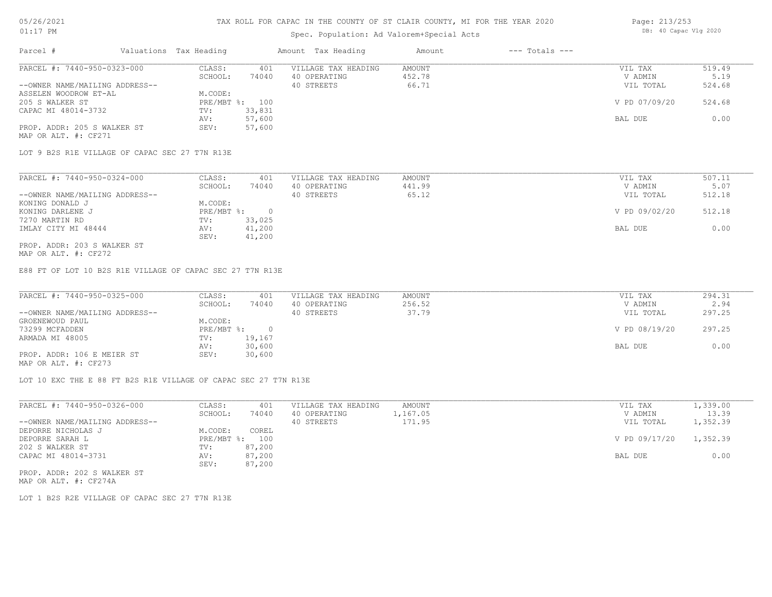### 05/26/2021 01:17 PM

### TAX ROLL FOR CAPAC IN THE COUNTY OF ST CLAIR COUNTY, MI FOR THE YEAR 2020

## Spec. Population: Ad Valorem+Special Acts

| Page: 213/253 |                       |  |
|---------------|-----------------------|--|
|               | DB: 40 Capac Vlg 2020 |  |

| Parcel #                       | Valuations Tax Heading |        | Amount Tax Heading  | Amount | $---$ Totals $---$ |               |        |
|--------------------------------|------------------------|--------|---------------------|--------|--------------------|---------------|--------|
| PARCEL #: 7440-950-0323-000    | CLASS:                 | 401    | VILLAGE TAX HEADING | AMOUNT |                    | VIL TAX       | 519.49 |
|                                | SCHOOL:                | 74040  | 40 OPERATING        | 452.78 |                    | V ADMIN       | 5.19   |
| --OWNER NAME/MAILING ADDRESS-- |                        |        | 40 STREETS          | 66.71  |                    | VIL TOTAL     | 524.68 |
| ASSELEN WOODROW ET-AL          | M.CODE:                |        |                     |        |                    |               |        |
| 205 S WALKER ST                | PRE/MBT %: 100         |        |                     |        |                    | V PD 07/09/20 | 524.68 |
| CAPAC MI 48014-3732            | TV:                    | 33,831 |                     |        |                    |               |        |
|                                | AV:                    | 57,600 |                     |        |                    | BAL DUE       | 0.00   |
| PROP. ADDR: 205 S WALKER ST    | SEV:                   | 57,600 |                     |        |                    |               |        |
| MAP OR ALT. #: CF271           |                        |        |                     |        |                    |               |        |

LOT 9 B2S R1E VILLAGE OF CAPAC SEC 27 T7N R13E

| PARCEL #: 7440-950-0324-000    | CLASS:     | 401    | VILLAGE TAX HEADING | AMOUNT | VIL TAX       | 507.11 |
|--------------------------------|------------|--------|---------------------|--------|---------------|--------|
|                                | SCHOOL:    | 74040  | 40 OPERATING        | 441.99 | V ADMIN       | 5.07   |
| --OWNER NAME/MAILING ADDRESS-- |            |        | 40 STREETS          | 65.12  | VIL TOTAL     | 512.18 |
| KONING DONALD J                | M.CODE:    |        |                     |        |               |        |
| KONING DARLENE J               | PRE/MBT %: |        |                     |        | V PD 09/02/20 | 512.18 |
| 7270 MARTIN RD                 | TV:        | 33,025 |                     |        |               |        |
| IMLAY CITY MI 48444            | AV:        | 41,200 |                     |        | BAL DUE       | 0.00   |
|                                | SEV:       | 41,200 |                     |        |               |        |
| PROP. ADDR: 203 S WALKER ST    |            |        |                     |        |               |        |

MAP OR ALT. #: CF272

E88 FT OF LOT 10 B2S R1E VILLAGE OF CAPAC SEC 27 T7N R13E

| PARCEL #: 7440-950-0325-000    | CLASS:     | 401    | VILLAGE TAX HEADING | AMOUNT | VIL TAX       | 294.31 |
|--------------------------------|------------|--------|---------------------|--------|---------------|--------|
|                                | SCHOOL:    | 74040  | 40 OPERATING        | 256.52 | V ADMIN       | 2.94   |
| --OWNER NAME/MAILING ADDRESS-- |            |        | 40 STREETS          | 37.79  | VIL TOTAL     | 297.25 |
| GROENEWOUD PAUL                | M.CODE:    |        |                     |        |               |        |
| 73299 MCFADDEN                 | PRE/MBT %: |        |                     |        | V PD 08/19/20 | 297.25 |
| ARMADA MI 48005                | TV:        | 19,167 |                     |        |               |        |
|                                | AV:        | 30,600 |                     |        | BAL DUE       | 0.00   |
| PROP. ADDR: 106 E MEIER ST     | SEV:       | 30,600 |                     |        |               |        |
|                                |            |        |                     |        |               |        |

MAP OR ALT. #: CF273

LOT 10 EXC THE E 88 FT B2S R1E VILLAGE OF CAPAC SEC 27 T7N R13E

| PARCEL #: 7440-950-0326-000    | CLASS:       | 401    | VILLAGE TAX HEADING | AMOUNT   | VIL TAX       | 1,339.00 |
|--------------------------------|--------------|--------|---------------------|----------|---------------|----------|
|                                | SCHOOL:      | 74040  | 40 OPERATING        | 1,167.05 | V ADMIN       | 13.39    |
| --OWNER NAME/MAILING ADDRESS-- |              |        | 40 STREETS          | 171.95   | VIL TOTAL     | 1,352.39 |
| DEPORRE NICHOLAS J             | M.CODE:      | COREL  |                     |          |               |          |
| DEPORRE SARAH L                | $PRE/MBT$ %: | 100    |                     |          | V PD 09/17/20 | 1,352.39 |
| 202 S WALKER ST                | TV:          | 87,200 |                     |          |               |          |
| CAPAC MI 48014-3731            | AV:          | 87,200 |                     |          | BAL DUE       | 0.00     |
|                                | SEV:         | 87,200 |                     |          |               |          |
| PROP. ADDR: 202 S WALKER ST    |              |        |                     |          |               |          |

MAP OR ALT. #: CF274A

LOT 1 B2S R2E VILLAGE OF CAPAC SEC 27 T7N R13E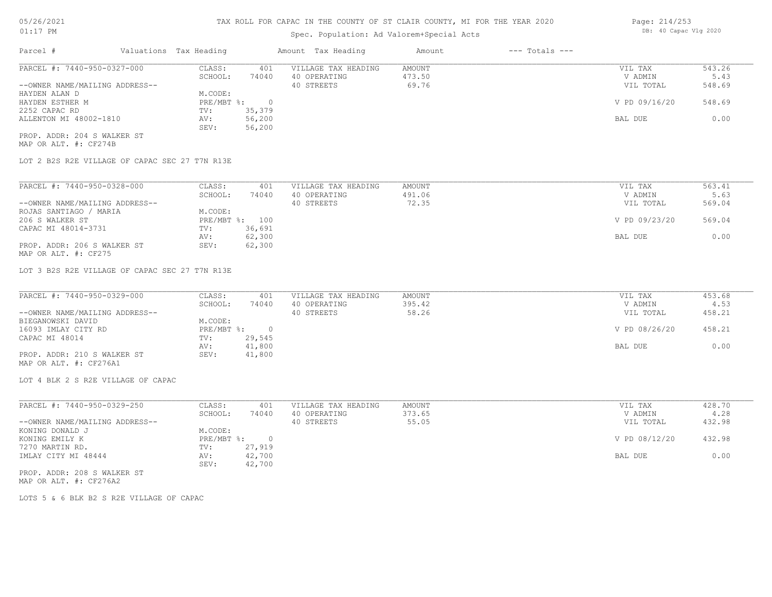## Spec. Population: Ad Valorem+Special Acts

| Parcel #                       | Valuations Tax Heading |        | Amount Tax Heading  | Amount | $---$ Totals $---$ |               |        |
|--------------------------------|------------------------|--------|---------------------|--------|--------------------|---------------|--------|
| PARCEL #: 7440-950-0327-000    | CLASS:                 | 401    | VILLAGE TAX HEADING | AMOUNT |                    | VIL TAX       | 543.26 |
|                                | SCHOOL:                | 74040  | 40 OPERATING        | 473.50 |                    | V ADMIN       | 5.43   |
| --OWNER NAME/MAILING ADDRESS-- |                        |        | 40 STREETS          | 69.76  |                    | VIL TOTAL     | 548.69 |
| HAYDEN ALAN D                  | M.CODE:                |        |                     |        |                    |               |        |
| HAYDEN ESTHER M                | PRE/MBT %:             |        |                     |        |                    | V PD 09/16/20 | 548.69 |
| 2252 CAPAC RD                  | TV:                    | 35,379 |                     |        |                    |               |        |
| ALLENTON MI 48002-1810         | AV:                    | 56,200 |                     |        |                    | BAL DUE       | 0.00   |
|                                | SEV:                   | 56,200 |                     |        |                    |               |        |
| PROP. ADDR: 204 S WALKER ST    |                        |        |                     |        |                    |               |        |

MAP OR ALT. #: CF274B

LOT 2 B2S R2E VILLAGE OF CAPAC SEC 27 T7N R13E

| PARCEL #: 7440-950-0328-000    | CLASS:  | 401            | VILLAGE TAX HEADING | AMOUNT | VIL TAX       | 563.41 |
|--------------------------------|---------|----------------|---------------------|--------|---------------|--------|
|                                | SCHOOL: | 74040          | 40 OPERATING        | 491.06 | V ADMIN       | 5.63   |
| --OWNER NAME/MAILING ADDRESS-- |         |                | 40 STREETS          | 72.35  | VIL TOTAL     | 569.04 |
| ROJAS SANTIAGO / MARIA         | M.CODE: |                |                     |        |               |        |
| 206 S WALKER ST                |         | PRE/MBT %: 100 |                     |        | V PD 09/23/20 | 569.04 |
| CAPAC MI 48014-3731            | TV:     | 36,691         |                     |        |               |        |
|                                | AV:     | 62,300         |                     |        | BAL DUE       | 0.00   |
| PROP. ADDR: 206 S WALKER ST    | SEV:    | 62,300         |                     |        |               |        |
| MAP OR ALT. #: CF275           |         |                |                     |        |               |        |

LOT 3 B2S R2E VILLAGE OF CAPAC SEC 27 T7N R13E

| PARCEL #: 7440-950-0329-000    | CLASS:     | 401    | VILLAGE TAX HEADING | AMOUNT | VIL TAX       | 453.68 |
|--------------------------------|------------|--------|---------------------|--------|---------------|--------|
|                                | SCHOOL:    | 74040  | 40 OPERATING        | 395.42 | V ADMIN       | 4.53   |
| --OWNER NAME/MAILING ADDRESS-- |            |        | 40 STREETS          | 58.26  | VIL TOTAL     | 458.21 |
| BIEGANOWSKI DAVID              | M.CODE:    |        |                     |        |               |        |
| 16093 IMLAY CITY RD            | PRE/MBT %: |        |                     |        | V PD 08/26/20 | 458.21 |
| CAPAC MI 48014                 | TV:        | 29,545 |                     |        |               |        |
|                                | AV:        | 41,800 |                     |        | BAL DUE       | 0.00   |
| PROP. ADDR: 210 S WALKER ST    | SEV:       | 41,800 |                     |        |               |        |
| MAP OR ALT. #: CF276A1         |            |        |                     |        |               |        |

LOT 4 BLK 2 S R2E VILLAGE OF CAPAC

| PARCEL #: 7440-950-0329-250    | CLASS:       | 401    | VILLAGE TAX HEADING | AMOUNT | VIL TAX       | 428.70 |
|--------------------------------|--------------|--------|---------------------|--------|---------------|--------|
|                                | SCHOOL:      | 74040  | 40 OPERATING        | 373.65 | V ADMIN       | 4.28   |
| --OWNER NAME/MAILING ADDRESS-- |              |        | 40 STREETS          | 55.05  | VIL TOTAL     | 432.98 |
| KONING DONALD J                | M.CODE:      |        |                     |        |               |        |
| KONING EMILY K                 | $PRE/MBT$ %: |        |                     |        | V PD 08/12/20 | 432.98 |
| 7270 MARTIN RD.                | TV:          | 27,919 |                     |        |               |        |
| IMLAY CITY MI 48444            | AV:          | 42,700 |                     |        | BAL DUE       | 0.00   |
|                                | SEV:         | 42,700 |                     |        |               |        |
| PROP. ADDR: 208 S WALKER ST    |              |        |                     |        |               |        |

MAP OR ALT. #: CF276A2

LOTS 5 & 6 BLK B2 S R2E VILLAGE OF CAPAC

Page: 214/253 DB: 40 Capac Vlg 2020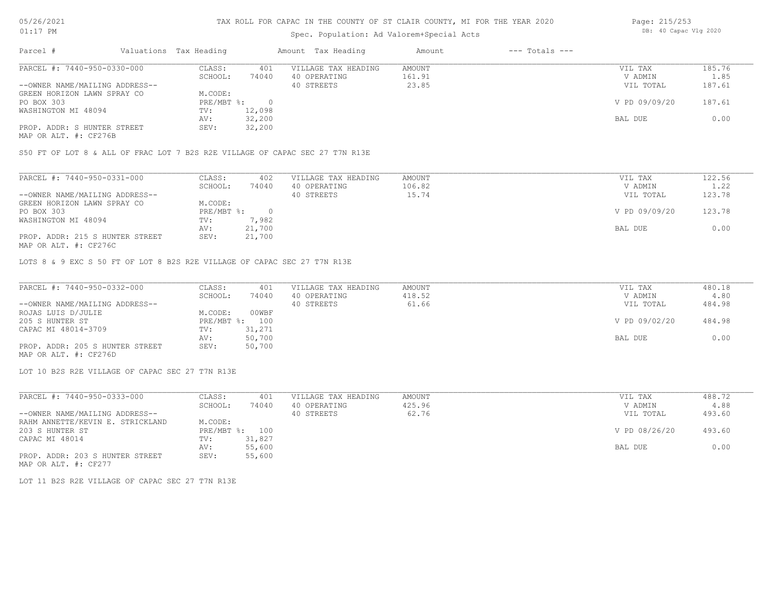## Spec. Population: Ad Valorem+Special Acts

| Page: 215/253 |                       |  |
|---------------|-----------------------|--|
|               | DB: 40 Capac Vlg 2020 |  |

| Parcel #                       | Valuations Tax Heading |        | Amount Tax Heading  | Amount | $---$ Totals $---$ |               |        |
|--------------------------------|------------------------|--------|---------------------|--------|--------------------|---------------|--------|
| PARCEL #: 7440-950-0330-000    | CLASS:                 | 401    | VILLAGE TAX HEADING | AMOUNT |                    | VIL TAX       | 185.76 |
|                                | SCHOOL:                | 74040  | 40 OPERATING        | 161.91 |                    | V ADMIN       | 1.85   |
| --OWNER NAME/MAILING ADDRESS-- |                        |        | 40 STREETS          | 23.85  |                    | VIL TOTAL     | 187.61 |
| GREEN HORIZON LAWN SPRAY CO    | M.CODE:                |        |                     |        |                    |               |        |
| PO BOX 303                     | PRE/MBT %:             |        |                     |        |                    | V PD 09/09/20 | 187.61 |
| WASHINGTON MI 48094            | TV:                    | 12,098 |                     |        |                    |               |        |
|                                | AV:                    | 32,200 |                     |        |                    | BAL DUE       | 0.00   |
| PROP. ADDR: S HUNTER STREET    | SEV:                   | 32,200 |                     |        |                    |               |        |
|                                |                        |        |                     |        |                    |               |        |

MAP OR ALT. #: CF276B

S50 FT OF LOT 8 & ALL OF FRAC LOT 7 B2S R2E VILLAGE OF CAPAC SEC 27 T7N R13E

| PARCEL #: 7440-950-0331-000     | CLASS:     | 402    | VILLAGE TAX HEADING | AMOUNT | VIL TAX       | 122.56 |
|---------------------------------|------------|--------|---------------------|--------|---------------|--------|
|                                 | SCHOOL:    | 74040  | 40 OPERATING        | 106.82 | V ADMIN       | 1.22   |
| --OWNER NAME/MAILING ADDRESS--  |            |        | 40 STREETS          | 15.74  | VIL TOTAL     | 123.78 |
| GREEN HORIZON LAWN SPRAY CO     | M.CODE:    |        |                     |        |               |        |
| PO BOX 303                      | PRE/MBT %: |        |                     |        | V PD 09/09/20 | 123.78 |
| WASHINGTON MI 48094             | TV:        | 7,982  |                     |        |               |        |
|                                 | AV:        | 21,700 |                     |        | BAL DUE       | 0.00   |
| PROP. ADDR: 215 S HUNTER STREET | SEV:       | 21,700 |                     |        |               |        |
| MAP OR ALT. #: CF276C           |            |        |                     |        |               |        |

LOTS 8 & 9 EXC S 50 FT OF LOT 8 B2S R2E VILLAGE OF CAPAC SEC 27 T7N R13E

| PARCEL #: 7440-950-0332-000     | CLASS:  | 401            | VILLAGE TAX HEADING | AMOUNT | VIL TAX       | 480.18 |
|---------------------------------|---------|----------------|---------------------|--------|---------------|--------|
|                                 | SCHOOL: | 74040          | 40 OPERATING        | 418.52 | V ADMIN       | 4.80   |
| --OWNER NAME/MAILING ADDRESS--  |         |                | 40 STREETS          | 61.66  | VIL TOTAL     | 484.98 |
| ROJAS LUIS D/JULIE              | M.CODE: | 00WBF          |                     |        |               |        |
| 205 S HUNTER ST                 |         | PRE/MBT %: 100 |                     |        | V PD 09/02/20 | 484.98 |
| CAPAC MI 48014-3709             | TV:     | 31,271         |                     |        |               |        |
|                                 | AV:     | 50,700         |                     |        | BAL DUE       | 0.00   |
| PROP. ADDR: 205 S HUNTER STREET | SEV:    | 50,700         |                     |        |               |        |
| MAP OR ALT. #: CF276D           |         |                |                     |        |               |        |

LOT 10 B2S R2E VILLAGE OF CAPAC SEC 27 T7N R13E

| PARCEL #: 7440-950-0333-000      | CLASS:                    | 401    | VILLAGE TAX HEADING | AMOUNT | VIL TAX       | 488.72 |
|----------------------------------|---------------------------|--------|---------------------|--------|---------------|--------|
|                                  | SCHOOL:                   | 74040  | 40 OPERATING        | 425.96 | V ADMIN       | 4.88   |
| --OWNER NAME/MAILING ADDRESS--   |                           |        | 40 STREETS          | 62.76  | VIL TOTAL     | 493.60 |
| RAHM ANNETTE/KEVIN E. STRICKLAND | M.CODE:                   |        |                     |        |               |        |
| 203 S HUNTER ST                  | $PRE/MBT$ $\frac{1}{6}$ : | 100    |                     |        | V PD 08/26/20 | 493.60 |
| CAPAC MI 48014                   | TV:                       | 31,827 |                     |        |               |        |
|                                  | AV:                       | 55,600 |                     |        | BAL DUE       | 0.00   |
| PROP. ADDR: 203 S HUNTER STREET  | SEV:                      | 55,600 |                     |        |               |        |

MAP OR ALT. #: CF277

LOT 11 B2S R2E VILLAGE OF CAPAC SEC 27 T7N R13E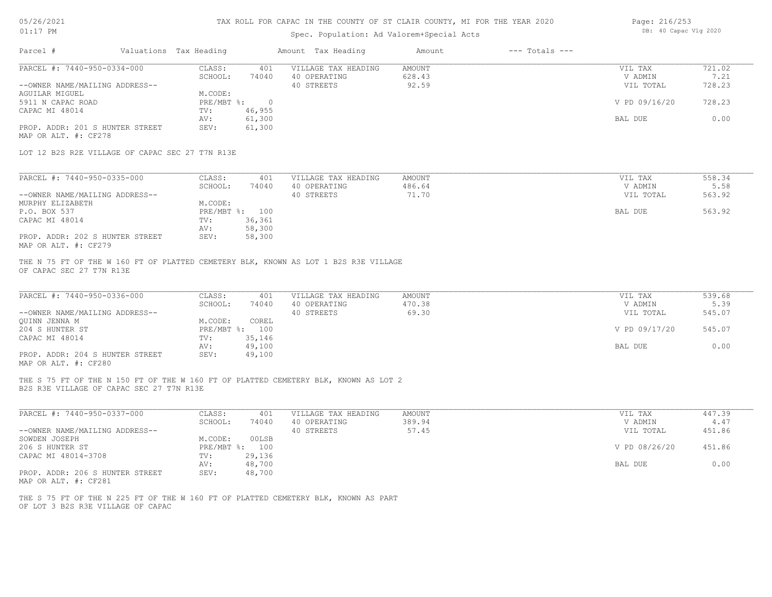## 05/26/2021 01:17 PM

## TAX ROLL FOR CAPAC IN THE COUNTY OF ST CLAIR COUNTY, MI FOR THE YEAR 2020

## Spec. Population: Ad Valorem+Special Acts

| Page: 216/253 |                       |  |
|---------------|-----------------------|--|
|               | DB: 40 Capac Vlg 2020 |  |

| PARCEL #: 7440-950-0334-000<br>CLASS:<br>VILLAGE TAX HEADING<br>AMOUNT<br>401<br>628.43<br>SCHOOL:<br>74040<br>40 OPERATING<br>40 STREETS<br>92.59<br>--OWNER NAME/MAILING ADDRESS--<br>AGUILAR MIGUEL<br>M.CODE:<br>PRE/MBT %: 0<br>5911 N CAPAC ROAD<br>46,955<br>CAPAC MI 48014<br>TV:<br>61,300<br>AV:<br>61,300<br>PROP. ADDR: 201 S HUNTER STREET<br>SEV:<br>MAP OR ALT. #: CF278<br>LOT 12 B2S R2E VILLAGE OF CAPAC SEC 27 T7N R13E<br>PARCEL #: 7440-950-0335-000<br>CLASS:<br>401<br>VILLAGE TAX HEADING<br>AMOUNT<br>SCHOOL:<br>74040<br>40 OPERATING<br>486.64<br>40 STREETS<br>71.70<br>--OWNER NAME/MAILING ADDRESS--<br>MURPHY ELIZABETH<br>M.CODE:<br>P.O. BOX 537<br>PRE/MBT %: 100<br>CAPAC MI 48014<br>36,361<br>TV:<br>58,300<br>AV:<br>PROP. ADDR: 202 S HUNTER STREET<br>SEV:<br>58,300<br>MAP OR ALT. #: CF279<br>THE N 75 FT OF THE W 160 FT OF PLATTED CEMETERY BLK, KNOWN AS LOT 1 B2S R3E VILLAGE<br>OF CAPAC SEC 27 T7N R13E<br>PARCEL #: 7440-950-0336-000<br>CLASS:<br>VILLAGE TAX HEADING<br>401<br>AMOUNT<br>470.38<br>SCHOOL:<br>74040<br>40 OPERATING<br>69.30<br>40 STREETS<br>--OWNER NAME/MAILING ADDRESS--<br>M.CODE:<br>COREL<br>OUINN JENNA M<br>PRE/MBT %: 100<br>204 S HUNTER ST<br>35,146<br>CAPAC MI 48014<br>TV:<br>49,100<br>AV:<br>PROP. ADDR: 204 S HUNTER STREET<br>49,100<br>SEV:<br>MAP OR ALT. #: CF280<br>THE S 75 FT OF THE N 150 FT OF THE W 160 FT OF PLATTED CEMETERY BLK, KNOWN AS LOT 2<br>B2S R3E VILLAGE OF CAPAC SEC 27 T7N R13E | VIL TAX<br>V ADMIN<br>VIL TOTAL<br>V PD 09/16/20<br>BAL DUE<br>VIL TAX<br>V ADMIN<br>VIL TOTAL | 721.02<br>7.21<br>728.23<br>728.23<br>0.00 |
|-----------------------------------------------------------------------------------------------------------------------------------------------------------------------------------------------------------------------------------------------------------------------------------------------------------------------------------------------------------------------------------------------------------------------------------------------------------------------------------------------------------------------------------------------------------------------------------------------------------------------------------------------------------------------------------------------------------------------------------------------------------------------------------------------------------------------------------------------------------------------------------------------------------------------------------------------------------------------------------------------------------------------------------------------------------------------------------------------------------------------------------------------------------------------------------------------------------------------------------------------------------------------------------------------------------------------------------------------------------------------------------------------------------------------------------------------------------------------------------------------|------------------------------------------------------------------------------------------------|--------------------------------------------|
|                                                                                                                                                                                                                                                                                                                                                                                                                                                                                                                                                                                                                                                                                                                                                                                                                                                                                                                                                                                                                                                                                                                                                                                                                                                                                                                                                                                                                                                                                               |                                                                                                |                                            |
|                                                                                                                                                                                                                                                                                                                                                                                                                                                                                                                                                                                                                                                                                                                                                                                                                                                                                                                                                                                                                                                                                                                                                                                                                                                                                                                                                                                                                                                                                               |                                                                                                |                                            |
|                                                                                                                                                                                                                                                                                                                                                                                                                                                                                                                                                                                                                                                                                                                                                                                                                                                                                                                                                                                                                                                                                                                                                                                                                                                                                                                                                                                                                                                                                               |                                                                                                |                                            |
|                                                                                                                                                                                                                                                                                                                                                                                                                                                                                                                                                                                                                                                                                                                                                                                                                                                                                                                                                                                                                                                                                                                                                                                                                                                                                                                                                                                                                                                                                               |                                                                                                |                                            |
|                                                                                                                                                                                                                                                                                                                                                                                                                                                                                                                                                                                                                                                                                                                                                                                                                                                                                                                                                                                                                                                                                                                                                                                                                                                                                                                                                                                                                                                                                               |                                                                                                |                                            |
|                                                                                                                                                                                                                                                                                                                                                                                                                                                                                                                                                                                                                                                                                                                                                                                                                                                                                                                                                                                                                                                                                                                                                                                                                                                                                                                                                                                                                                                                                               |                                                                                                |                                            |
|                                                                                                                                                                                                                                                                                                                                                                                                                                                                                                                                                                                                                                                                                                                                                                                                                                                                                                                                                                                                                                                                                                                                                                                                                                                                                                                                                                                                                                                                                               |                                                                                                |                                            |
|                                                                                                                                                                                                                                                                                                                                                                                                                                                                                                                                                                                                                                                                                                                                                                                                                                                                                                                                                                                                                                                                                                                                                                                                                                                                                                                                                                                                                                                                                               |                                                                                                |                                            |
|                                                                                                                                                                                                                                                                                                                                                                                                                                                                                                                                                                                                                                                                                                                                                                                                                                                                                                                                                                                                                                                                                                                                                                                                                                                                                                                                                                                                                                                                                               |                                                                                                |                                            |
|                                                                                                                                                                                                                                                                                                                                                                                                                                                                                                                                                                                                                                                                                                                                                                                                                                                                                                                                                                                                                                                                                                                                                                                                                                                                                                                                                                                                                                                                                               |                                                                                                |                                            |
|                                                                                                                                                                                                                                                                                                                                                                                                                                                                                                                                                                                                                                                                                                                                                                                                                                                                                                                                                                                                                                                                                                                                                                                                                                                                                                                                                                                                                                                                                               |                                                                                                | 558.34                                     |
|                                                                                                                                                                                                                                                                                                                                                                                                                                                                                                                                                                                                                                                                                                                                                                                                                                                                                                                                                                                                                                                                                                                                                                                                                                                                                                                                                                                                                                                                                               |                                                                                                | 5.58                                       |
|                                                                                                                                                                                                                                                                                                                                                                                                                                                                                                                                                                                                                                                                                                                                                                                                                                                                                                                                                                                                                                                                                                                                                                                                                                                                                                                                                                                                                                                                                               |                                                                                                | 563.92                                     |
|                                                                                                                                                                                                                                                                                                                                                                                                                                                                                                                                                                                                                                                                                                                                                                                                                                                                                                                                                                                                                                                                                                                                                                                                                                                                                                                                                                                                                                                                                               |                                                                                                |                                            |
|                                                                                                                                                                                                                                                                                                                                                                                                                                                                                                                                                                                                                                                                                                                                                                                                                                                                                                                                                                                                                                                                                                                                                                                                                                                                                                                                                                                                                                                                                               |                                                                                                | 563.92                                     |
|                                                                                                                                                                                                                                                                                                                                                                                                                                                                                                                                                                                                                                                                                                                                                                                                                                                                                                                                                                                                                                                                                                                                                                                                                                                                                                                                                                                                                                                                                               | BAL DUE                                                                                        |                                            |
|                                                                                                                                                                                                                                                                                                                                                                                                                                                                                                                                                                                                                                                                                                                                                                                                                                                                                                                                                                                                                                                                                                                                                                                                                                                                                                                                                                                                                                                                                               |                                                                                                |                                            |
|                                                                                                                                                                                                                                                                                                                                                                                                                                                                                                                                                                                                                                                                                                                                                                                                                                                                                                                                                                                                                                                                                                                                                                                                                                                                                                                                                                                                                                                                                               |                                                                                                |                                            |
|                                                                                                                                                                                                                                                                                                                                                                                                                                                                                                                                                                                                                                                                                                                                                                                                                                                                                                                                                                                                                                                                                                                                                                                                                                                                                                                                                                                                                                                                                               |                                                                                                |                                            |
|                                                                                                                                                                                                                                                                                                                                                                                                                                                                                                                                                                                                                                                                                                                                                                                                                                                                                                                                                                                                                                                                                                                                                                                                                                                                                                                                                                                                                                                                                               |                                                                                                |                                            |
|                                                                                                                                                                                                                                                                                                                                                                                                                                                                                                                                                                                                                                                                                                                                                                                                                                                                                                                                                                                                                                                                                                                                                                                                                                                                                                                                                                                                                                                                                               | VIL TAX                                                                                        | 539.68                                     |
|                                                                                                                                                                                                                                                                                                                                                                                                                                                                                                                                                                                                                                                                                                                                                                                                                                                                                                                                                                                                                                                                                                                                                                                                                                                                                                                                                                                                                                                                                               | V ADMIN                                                                                        | 5.39                                       |
|                                                                                                                                                                                                                                                                                                                                                                                                                                                                                                                                                                                                                                                                                                                                                                                                                                                                                                                                                                                                                                                                                                                                                                                                                                                                                                                                                                                                                                                                                               | VIL TOTAL                                                                                      | 545.07                                     |
|                                                                                                                                                                                                                                                                                                                                                                                                                                                                                                                                                                                                                                                                                                                                                                                                                                                                                                                                                                                                                                                                                                                                                                                                                                                                                                                                                                                                                                                                                               |                                                                                                |                                            |
|                                                                                                                                                                                                                                                                                                                                                                                                                                                                                                                                                                                                                                                                                                                                                                                                                                                                                                                                                                                                                                                                                                                                                                                                                                                                                                                                                                                                                                                                                               | V PD 09/17/20                                                                                  | 545.07                                     |
|                                                                                                                                                                                                                                                                                                                                                                                                                                                                                                                                                                                                                                                                                                                                                                                                                                                                                                                                                                                                                                                                                                                                                                                                                                                                                                                                                                                                                                                                                               |                                                                                                |                                            |
|                                                                                                                                                                                                                                                                                                                                                                                                                                                                                                                                                                                                                                                                                                                                                                                                                                                                                                                                                                                                                                                                                                                                                                                                                                                                                                                                                                                                                                                                                               | BAL DUE                                                                                        | 0.00                                       |
|                                                                                                                                                                                                                                                                                                                                                                                                                                                                                                                                                                                                                                                                                                                                                                                                                                                                                                                                                                                                                                                                                                                                                                                                                                                                                                                                                                                                                                                                                               |                                                                                                |                                            |
|                                                                                                                                                                                                                                                                                                                                                                                                                                                                                                                                                                                                                                                                                                                                                                                                                                                                                                                                                                                                                                                                                                                                                                                                                                                                                                                                                                                                                                                                                               |                                                                                                |                                            |
| PARCEL #: 7440-950-0337-000<br>CLASS:<br>VILLAGE TAX HEADING<br>401<br>AMOUNT                                                                                                                                                                                                                                                                                                                                                                                                                                                                                                                                                                                                                                                                                                                                                                                                                                                                                                                                                                                                                                                                                                                                                                                                                                                                                                                                                                                                                 | VIL TAX                                                                                        | 447.39                                     |
| SCHOOL:<br>40 OPERATING<br>389.94<br>74040                                                                                                                                                                                                                                                                                                                                                                                                                                                                                                                                                                                                                                                                                                                                                                                                                                                                                                                                                                                                                                                                                                                                                                                                                                                                                                                                                                                                                                                    | V ADMIN                                                                                        | 4.47                                       |
| 57.45<br>--OWNER NAME/MAILING ADDRESS--<br>40 STREETS                                                                                                                                                                                                                                                                                                                                                                                                                                                                                                                                                                                                                                                                                                                                                                                                                                                                                                                                                                                                                                                                                                                                                                                                                                                                                                                                                                                                                                         | VIL TOTAL                                                                                      | 451.86                                     |
| 00LSB<br>SOWDEN JOSEPH<br>M.CODE:                                                                                                                                                                                                                                                                                                                                                                                                                                                                                                                                                                                                                                                                                                                                                                                                                                                                                                                                                                                                                                                                                                                                                                                                                                                                                                                                                                                                                                                             |                                                                                                |                                            |
| PRE/MBT %: 100<br>206 S HUNTER ST                                                                                                                                                                                                                                                                                                                                                                                                                                                                                                                                                                                                                                                                                                                                                                                                                                                                                                                                                                                                                                                                                                                                                                                                                                                                                                                                                                                                                                                             | V PD 08/26/20                                                                                  | 451.86                                     |
| CAPAC MI 48014-3708<br>29,136<br>TV:                                                                                                                                                                                                                                                                                                                                                                                                                                                                                                                                                                                                                                                                                                                                                                                                                                                                                                                                                                                                                                                                                                                                                                                                                                                                                                                                                                                                                                                          |                                                                                                |                                            |
| 48,700<br>AV:                                                                                                                                                                                                                                                                                                                                                                                                                                                                                                                                                                                                                                                                                                                                                                                                                                                                                                                                                                                                                                                                                                                                                                                                                                                                                                                                                                                                                                                                                 | BAL DUE                                                                                        | 0.00                                       |
| PROP. ADDR: 206 S HUNTER STREET<br>SEV:<br>48,700<br>MAP OR ALT. #: CF281                                                                                                                                                                                                                                                                                                                                                                                                                                                                                                                                                                                                                                                                                                                                                                                                                                                                                                                                                                                                                                                                                                                                                                                                                                                                                                                                                                                                                     |                                                                                                |                                            |

OF LOT 3 B2S R3E VILLAGE OF CAPAC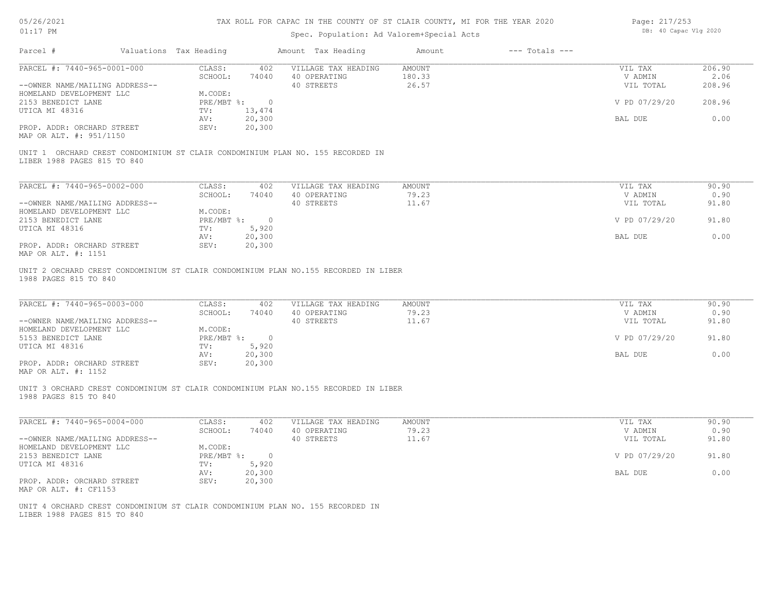| 05/26/2021 |  |
|------------|--|
| 01:17      |  |

#### Spec. Population: Ad Valorem+Special Acts

Page: 217/253 DB: 40 Capac Vlg 2020

|                                                                                                                                                                                        | Valuations Tax Heading                                            | Amount Tax Heading                                      |                     | Amount          | $---$ Totals $---$ |                                                  |                                |
|----------------------------------------------------------------------------------------------------------------------------------------------------------------------------------------|-------------------------------------------------------------------|---------------------------------------------------------|---------------------|-----------------|--------------------|--------------------------------------------------|--------------------------------|
| PARCEL #: 7440-965-0001-000                                                                                                                                                            | CLASS:                                                            | 402                                                     | VILLAGE TAX HEADING | AMOUNT          |                    | VIL TAX                                          | 206.90                         |
|                                                                                                                                                                                        | SCHOOL:                                                           | 74040<br>40 OPERATING<br>40 STREETS                     |                     | 180.33<br>26.57 |                    | V ADMIN<br>VIL TOTAL                             | 2.06<br>208.96                 |
| --OWNER NAME/MAILING ADDRESS--<br>HOMELAND DEVELOPMENT LLC                                                                                                                             | M.CODE:                                                           |                                                         |                     |                 |                    |                                                  |                                |
| 2153 BENEDICT LANE                                                                                                                                                                     | PRE/MBT %: 0                                                      |                                                         |                     |                 |                    | V PD 07/29/20                                    | 208.96                         |
| UTICA MI 48316                                                                                                                                                                         | 13,474<br>TV:                                                     |                                                         |                     |                 |                    |                                                  |                                |
|                                                                                                                                                                                        | AV:                                                               | 20,300                                                  |                     |                 |                    | BAL DUE                                          | 0.00                           |
| PROP. ADDR: ORCHARD STREET<br>MAP OR ALT. #: 951/1150                                                                                                                                  | SEV:                                                              | 20,300                                                  |                     |                 |                    |                                                  |                                |
| UNIT 1 ORCHARD CREST CONDOMINIUM ST CLAIR CONDOMINIUM PLAN NO. 155 RECORDED IN<br>LIBER 1988 PAGES 815 TO 840                                                                          |                                                                   |                                                         |                     |                 |                    |                                                  |                                |
| PARCEL #: 7440-965-0002-000                                                                                                                                                            | CLASS:                                                            | 402                                                     | VILLAGE TAX HEADING | AMOUNT          |                    | VIL TAX                                          | 90.90                          |
|                                                                                                                                                                                        | SCHOOL:                                                           | 74040<br>40 OPERATING                                   |                     | 79.23           |                    | V ADMIN                                          | 0.90                           |
| --OWNER NAME/MAILING ADDRESS--                                                                                                                                                         |                                                                   | 40 STREETS                                              |                     | 11.67           |                    | VIL TOTAL                                        | 91.80                          |
| HOMELAND DEVELOPMENT LLC                                                                                                                                                               | M.CODE:                                                           |                                                         |                     |                 |                    |                                                  |                                |
| 2153 BENEDICT LANE                                                                                                                                                                     | PRE/MBT %: 0                                                      |                                                         |                     |                 |                    | V PD 07/29/20                                    | 91.80                          |
| UTICA MI 48316                                                                                                                                                                         | 5,920<br>TV:                                                      |                                                         |                     |                 |                    |                                                  |                                |
|                                                                                                                                                                                        | AV:                                                               | 20,300                                                  |                     |                 |                    | BAL DUE                                          | 0.00                           |
| PROP. ADDR: ORCHARD STREET<br>MAP OR ALT. #: 1151                                                                                                                                      | SEV:                                                              | 20,300                                                  |                     |                 |                    |                                                  |                                |
|                                                                                                                                                                                        | CLASS:                                                            | 402                                                     | VILLAGE TAX HEADING | AMOUNT          |                    | VIL TAX                                          | 90.90                          |
| PARCEL #: 7440-965-0003-000<br>--OWNER NAME/MAILING ADDRESS--<br>HOMELAND DEVELOPMENT LLC<br>5153 BENEDICT LANE<br>UTICA MI 48316<br>PROP. ADDR: ORCHARD STREET<br>MAP OR ALT. #: 1152 | SCHOOL:<br>M.CODE:<br>PRE/MBT %: 0<br>5,920<br>TV:<br>AV:<br>SEV: | 74040<br>40 OPERATING<br>40 STREETS<br>20,300<br>20,300 |                     | 79.23<br>11.67  |                    | V ADMIN<br>VIL TOTAL<br>V PD 07/29/20<br>BAL DUE | 0.90<br>91.80<br>91.80<br>0.00 |
| UNIT 3 ORCHARD CREST CONDOMINIUM ST CLAIR CONDOMINIUM PLAN NO.155 RECORDED IN LIBER<br>1988 PAGES 815 TO 840                                                                           |                                                                   |                                                         |                     |                 |                    |                                                  |                                |
| PARCEL #: 7440-965-0004-000                                                                                                                                                            | CLASS:                                                            | 402                                                     | VILLAGE TAX HEADING | AMOUNT          |                    | VIL TAX                                          | 90.90                          |
|                                                                                                                                                                                        | SCHOOL:                                                           | 40 OPERATING<br>74040                                   |                     | 79.23           |                    | V ADMIN                                          | 0.90                           |
| --OWNER NAME/MAILING ADDRESS--<br>HOMELAND DEVELOPMENT LLC                                                                                                                             | M.CODE:                                                           | 40 STREETS                                              |                     | 11.67           |                    | VIL TOTAL                                        | 91.80                          |
| 2153 BENEDICT LANE                                                                                                                                                                     | PRE/MBT %: 0                                                      |                                                         |                     |                 |                    | V PD 07/29/20                                    | 91.80                          |
| UTICA MI 48316                                                                                                                                                                         | TV:                                                               | 5,920                                                   |                     |                 |                    |                                                  |                                |
|                                                                                                                                                                                        | AV:                                                               | 20,300                                                  |                     |                 |                    | BAL DUE                                          | 0.00                           |
| PROP. ADDR: ORCHARD STREET                                                                                                                                                             | SEV:                                                              | 20,300                                                  |                     |                 |                    |                                                  |                                |
| MAP OR ALT. #: CF1153                                                                                                                                                                  |                                                                   |                                                         |                     |                 |                    |                                                  |                                |
|                                                                                                                                                                                        |                                                                   |                                                         |                     |                 |                    |                                                  |                                |
| UNIT 4 ORCHARD CREST CONDOMINIUM ST CLAIR CONDOMINIUM PLAN NO. 155 RECORDED IN                                                                                                         |                                                                   |                                                         |                     |                 |                    |                                                  |                                |
| LIBER 1988 PAGES 815 TO 840                                                                                                                                                            |                                                                   |                                                         |                     |                 |                    |                                                  |                                |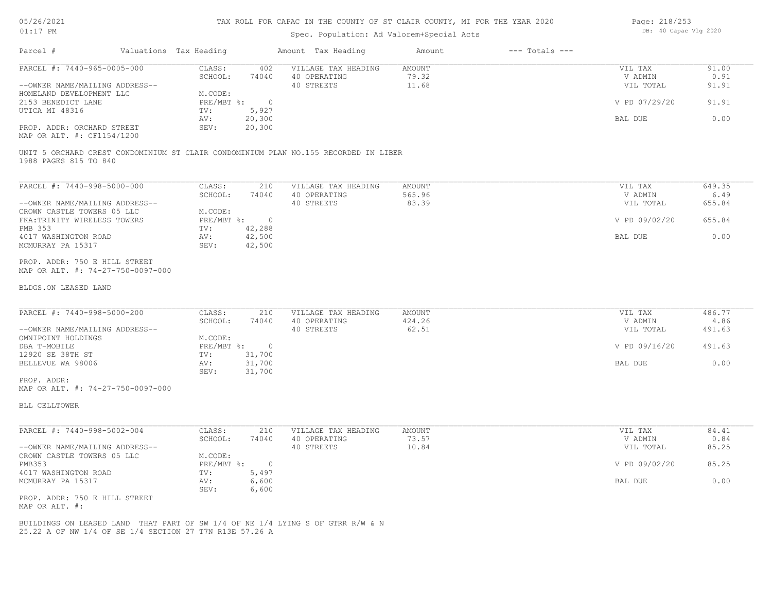#### TAX ROLL FOR CAPAC IN THE COUNTY OF ST CLAIR COUNTY, MI FOR THE YEAR 2020

#### Spec. Population: Ad Valorem+Special Acts

| Page: 218/253 |                       |  |
|---------------|-----------------------|--|
|               | DB: 40 Capac Vlg 2020 |  |

| Parcel #                       | Valuations Tax Heading |        | Amount Tax Heading  | Amount | $---$ Totals $---$ |               |       |
|--------------------------------|------------------------|--------|---------------------|--------|--------------------|---------------|-------|
| PARCEL #: 7440-965-0005-000    | CLASS:                 | 402    | VILLAGE TAX HEADING | AMOUNT |                    | VIL TAX       | 91.00 |
|                                | SCHOOL:                | 74040  | 40 OPERATING        | 79.32  |                    | V ADMIN       | 0.91  |
| --OWNER NAME/MAILING ADDRESS-- |                        |        | 40 STREETS          | 11.68  |                    | VIL TOTAL     | 91.91 |
| HOMELAND DEVELOPMENT LLC       | M.CODE:                |        |                     |        |                    |               |       |
| 2153 BENEDICT LANE             | PRE/MBT %:             |        |                     |        |                    | V PD 07/29/20 | 91.91 |
| UTICA MI 48316                 | TV:                    | 5,927  |                     |        |                    |               |       |
|                                | AV:                    | 20,300 |                     |        |                    | BAL DUE       | 0.00  |
| PROP. ADDR: ORCHARD STREET     | SEV:                   | 20,300 |                     |        |                    |               |       |
|                                |                        |        |                     |        |                    |               |       |

MAP OR ALT. #: CF1154/1200

1988 PAGES 815 TO 840 UNIT 5 ORCHARD CREST CONDOMINIUM ST CLAIR CONDOMINIUM PLAN NO.155 RECORDED IN LIBER

| PARCEL #: 7440-998-5000-000    | CLASS:     | 210    | VILLAGE TAX HEADING | AMOUNT | VIL TAX       | 649.35 |
|--------------------------------|------------|--------|---------------------|--------|---------------|--------|
|                                | SCHOOL:    | 74040  | 40 OPERATING        | 565.96 | V ADMIN       | 6.49   |
| --OWNER NAME/MAILING ADDRESS-- |            |        | 40 STREETS          | 83.39  | VIL TOTAL     | 655.84 |
| CROWN CASTLE TOWERS 05 LLC     | M.CODE:    |        |                     |        |               |        |
| FKA: TRINITY WIRELESS TOWERS   | PRE/MBT %: |        |                     |        | V PD 09/02/20 | 655.84 |
| PMB 353                        | TV:        | 42,288 |                     |        |               |        |
| 4017 WASHINGTON ROAD           | AV:        | 42,500 |                     |        | BAL DUE       | 0.00   |
| MCMURRAY PA 15317              | SEV:       | 42,500 |                     |        |               |        |

MAP OR ALT. #: 74-27-750-0097-000 PROP. ADDR: 750 E HILL STREET

#### BLDGS.ON LEASED LAND

| PARCEL #: 7440-998-5000-200    | CLASS:     | 210    | VILLAGE TAX HEADING | AMOUNT | VIL TAX       | 486.77 |
|--------------------------------|------------|--------|---------------------|--------|---------------|--------|
|                                | SCHOOL:    | 74040  | 40 OPERATING        | 424.26 | V ADMIN       | 4.86   |
| --OWNER NAME/MAILING ADDRESS-- |            |        | 40 STREETS          | 62.51  | VIL TOTAL     | 491.63 |
| OMNIPOINT HOLDINGS             | M.CODE:    |        |                     |        |               |        |
| DBA T-MOBILE                   | PRE/MBT %: |        |                     |        | V PD 09/16/20 | 491.63 |
| 12920 SE 38TH ST               | TV:        | 31,700 |                     |        |               |        |
| BELLEVUE WA 98006              | AV:        | 31,700 |                     |        | BAL DUE       | 0.00   |
|                                | SEV:       | 31,700 |                     |        |               |        |
| PROP. ADDR:                    |            |        |                     |        |               |        |

 $\mathcal{L}_\mathcal{L} = \mathcal{L}_\mathcal{L} = \mathcal{L}_\mathcal{L} = \mathcal{L}_\mathcal{L} = \mathcal{L}_\mathcal{L} = \mathcal{L}_\mathcal{L} = \mathcal{L}_\mathcal{L} = \mathcal{L}_\mathcal{L} = \mathcal{L}_\mathcal{L} = \mathcal{L}_\mathcal{L} = \mathcal{L}_\mathcal{L} = \mathcal{L}_\mathcal{L} = \mathcal{L}_\mathcal{L} = \mathcal{L}_\mathcal{L} = \mathcal{L}_\mathcal{L} = \mathcal{L}_\mathcal{L} = \mathcal{L}_\mathcal{L}$ 

MAP OR ALT. #: 74-27-750-0097-000

BLL CELLTOWER

| PARCEL #: 7440-998-5002-004    | CLASS:     | 210   | VILLAGE TAX HEADING | AMOUNT | VIL TAX       | 84.41 |
|--------------------------------|------------|-------|---------------------|--------|---------------|-------|
|                                | SCHOOL:    | 74040 | 40 OPERATING        | 73.57  | V ADMIN       | 0.84  |
| --OWNER NAME/MAILING ADDRESS-- |            |       | 40 STREETS          | 10.84  | VIL TOTAL     | 85.25 |
| CROWN CASTLE TOWERS 05 LLC     | M.CODE:    |       |                     |        |               |       |
| PMB353                         | PRE/MBT %: |       |                     |        | V PD 09/02/20 | 85.25 |
| 4017 WASHINGTON ROAD           | TV:        | 5,497 |                     |        |               |       |
| MCMURRAY PA 15317              | AV:        | 6,600 |                     |        | BAL DUE       | 0.00  |
|                                | SEV:       | 6,600 |                     |        |               |       |
| PROP. ADDR: 750 E HILL STREET  |            |       |                     |        |               |       |

MAP OR ALT. #:

25.22 A OF NW 1/4 OF SE 1/4 SECTION 27 T7N R13E 57.26 A BUILDINGS ON LEASED LAND THAT PART OF SW 1/4 OF NE 1/4 LYING S OF GTRR R/W & N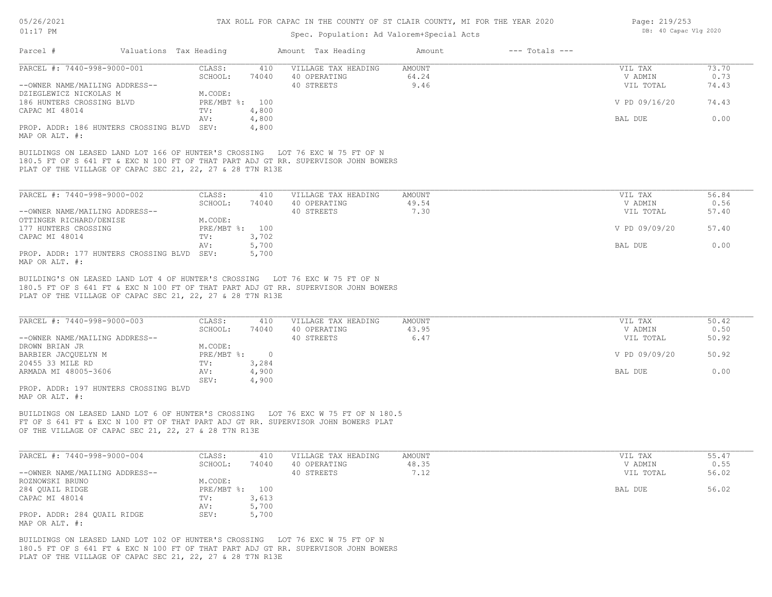| $01:17$ PM |                             | Spec. Population: Ad Valorem+Special Acts | DB: 40 Capac Vlg 2020 |                                     |                 |                    |                    |               |
|------------|-----------------------------|-------------------------------------------|-----------------------|-------------------------------------|-----------------|--------------------|--------------------|---------------|
| Parcel #   |                             | Valuations Tax Heading                    |                       | Amount Tax Heading                  | Amount          | $---$ Totals $---$ |                    |               |
|            | PARCEL #: 7440-998-9000-001 | CLASS:<br>SCHOOL:                         | 410<br>74040          | VILLAGE TAX HEADING<br>40 OPERATING | AMOUNT<br>64.24 |                    | VIL TAX<br>V ADMIN | 73.70<br>0.73 |

| PARCEL #: 7440-998-9000-001                | CLASS:       | 410   | VILLAGE TAX HEADING | AMOUNT | VIL TAX       | 73.70 |
|--------------------------------------------|--------------|-------|---------------------|--------|---------------|-------|
|                                            | SCHOOL:      | 74040 | 40 OPERATING        | 64.24  | V ADMIN       | 0.73  |
| --OWNER NAME/MAILING ADDRESS--             |              |       | 40 STREETS          | 9.46   | VIL TOTAL     | 74.43 |
| DZIEGLEWICZ NICKOLAS M                     | M.CODE:      |       |                     |        |               |       |
| 186 HUNTERS CROSSING BLVD                  | $PRE/MBT$ %: | 100   |                     |        | V PD 09/16/20 | 74.43 |
| CAPAC MI 48014                             | TV:          | 4,800 |                     |        |               |       |
|                                            | AV:          | 4,800 |                     |        | BAL DUE       | 0.00  |
| PROP. ADDR: 186 HUNTERS CROSSING BLVD SEV: |              | 4,800 |                     |        |               |       |
| MAP OR ALT. #:                             |              |       |                     |        |               |       |

PLAT OF THE VILLAGE OF CAPAC SEC 21, 22, 27 & 28 T7N R13E 180.5 FT OF S 641 FT & EXC N 100 FT OF THAT PART ADJ GT RR. SUPERVISOR JOHN BOWERS BUILDINGS ON LEASED LAND LOT 166 OF HUNTER'S CROSSING LOT 76 EXC W 75 FT OF N

| PARCEL #: 7440-998-9000-002           | CLASS:         | 410   | VILLAGE TAX HEADING | AMOUNT | VIL TAX       | 56.84 |
|---------------------------------------|----------------|-------|---------------------|--------|---------------|-------|
|                                       | SCHOOL:        | 74040 | 40 OPERATING        | 49.54  | V ADMIN       | 0.56  |
| --OWNER NAME/MAILING ADDRESS--        |                |       | 40 STREETS          | 7.30   | VIL TOTAL     | 57.40 |
| OTTINGER RICHARD/DENISE               | M.CODE:        |       |                     |        |               |       |
| 177 HUNTERS CROSSING                  | PRE/MBT %: 100 |       |                     |        | V PD 09/09/20 | 57.40 |
| CAPAC MI 48014                        | TV:            | 3,702 |                     |        |               |       |
|                                       | AV:            | 5,700 |                     |        | BAL DUE       | 0.00  |
| PROP. ADDR: 177 HUNTERS CROSSING BLVD | SEV:           | 5,700 |                     |        |               |       |
| MAP OR ALT. #:                        |                |       |                     |        |               |       |

PLAT OF THE VILLAGE OF CAPAC SEC 21, 22, 27 & 28 T7N R13E 180.5 FT OF S 641 FT & EXC N 100 FT OF THAT PART ADJ GT RR. SUPERVISOR JOHN BOWERS BUILDING'S ON LEASED LAND LOT 4 OF HUNTER'S CROSSING LOT 76 EXC W 75 FT OF N

| PARCEL #: 7440-998-9000-003    | CLASS:       | 410   | VILLAGE TAX HEADING | AMOUNT | VIL TAX       | 50.42 |
|--------------------------------|--------------|-------|---------------------|--------|---------------|-------|
|                                | SCHOOL:      | 74040 | 40 OPERATING        | 43.95  | V ADMIN       | 0.50  |
| --OWNER NAME/MAILING ADDRESS-- |              |       | 40 STREETS          | 6.47   | VIL TOTAL     | 50.92 |
| DROWN BRIAN JR                 | M.CODE:      |       |                     |        |               |       |
| BARBIER JACQUELYN M            | $PRE/MBT$ %: |       |                     |        | V PD 09/09/20 | 50.92 |
| 20455 33 MILE RD               | TV:          | 3,284 |                     |        |               |       |
| ARMADA MI 48005-3606           | AV:          | 4,900 |                     |        | BAL DUE       | 0.00  |
|                                | SEV:         | 4,900 |                     |        |               |       |
| ADOR 107 UUNTERC CROSSING BILD |              |       |                     |        |               |       |

MAP OR ALT. #: PROP. ADDR: 197 HUNTERS CROSSING BLVD

OF THE VILLAGE OF CAPAC SEC 21, 22, 27 & 28 T7N R13E FT OF S 641 FT & EXC N 100 FT OF THAT PART ADJ GT RR. SUPERVISOR JOHN BOWERS PLAT BUILDINGS ON LEASED LAND LOT 6 OF HUNTER'S CROSSING LOT 76 EXC W 75 FT OF N 180.5

| PARCEL #: 7440-998-9000-004    | CLASS:       | 410   | VILLAGE TAX HEADING | AMOUNT | VIL TAX   | 55.47 |
|--------------------------------|--------------|-------|---------------------|--------|-----------|-------|
|                                | SCHOOL:      | 74040 | 40 OPERATING        | 48.35  | V ADMIN   | 0.55  |
| --OWNER NAME/MAILING ADDRESS-- |              |       | 40 STREETS          | 7.12   | VIL TOTAL | 56.02 |
| ROZNOWSKI BRUNO                | M.CODE:      |       |                     |        |           |       |
| 284 QUAIL RIDGE                | $PRE/MBT$ %: | 100   |                     |        | BAL DUE   | 56.02 |
| CAPAC MI 48014                 | TV:          | 3,613 |                     |        |           |       |
|                                | AV:          | 5,700 |                     |        |           |       |
| PROP. ADDR: 284 QUAIL RIDGE    | SEV:         | 5,700 |                     |        |           |       |
| MAP OR ALT. #:                 |              |       |                     |        |           |       |

PLAT OF THE VILLAGE OF CAPAC SEC 21, 22, 27 & 28 T7N R13E 180.5 FT OF S 641 FT & EXC N 100 FT OF THAT PART ADJ GT RR. SUPERVISOR JOHN BOWERS BUILDINGS ON LEASED LAND LOT 102 OF HUNTER'S CROSSING LOT 76 EXC W 75 FT OF N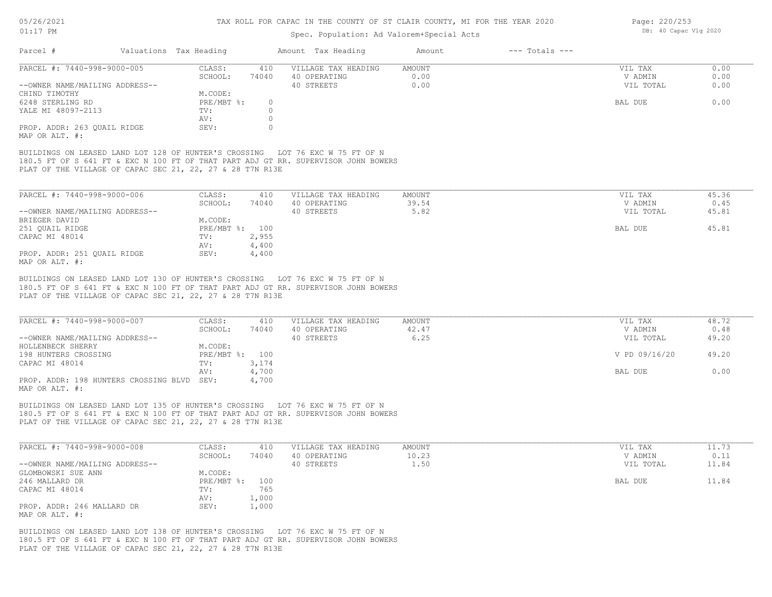#### TAX ROLL FOR CAPAC IN THE COUNTY OF ST CLAIR COUNTY, MI FOR THE YEAR 2020

#### Spec. Population: Ad Valorem+Special Acts

| Parcel #                                                  | Valuations Tax Heading |          | Amount Tax Heading                                                                 | Amount | $---$ Totals $---$ |           |       |
|-----------------------------------------------------------|------------------------|----------|------------------------------------------------------------------------------------|--------|--------------------|-----------|-------|
| PARCEL #: 7440-998-9000-005                               | CLASS:                 | 410      | VILLAGE TAX HEADING                                                                | AMOUNT |                    | VIL TAX   | 0.00  |
|                                                           | SCHOOL:                | 74040    | 40 OPERATING                                                                       | 0.00   |                    | V ADMIN   | 0.00  |
| --OWNER NAME/MAILING ADDRESS--                            |                        |          | 40 STREETS                                                                         | 0.00   |                    | VIL TOTAL | 0.00  |
| CHIND TIMOTHY                                             | M.CODE:                |          |                                                                                    |        |                    |           |       |
| 6248 STERLING RD                                          | PRE/MBT %:             | $\Omega$ |                                                                                    |        |                    | BAL DUE   | 0.00  |
| YALE MI 48097-2113                                        | TV:                    |          |                                                                                    |        |                    |           |       |
|                                                           | AV:                    |          |                                                                                    |        |                    |           |       |
| PROP. ADDR: 263 OUAIL RIDGE<br>MAP OR ALT. #:             | SEV:                   |          |                                                                                    |        |                    |           |       |
|                                                           |                        |          | BUILDINGS ON LEASED LAND LOT 128 OF HUNTER'S CROSSING LOT 76 EXC W 75 FT OF N      |        |                    |           |       |
|                                                           |                        |          | 180.5 FT OF S 641 FT & EXC N 100 FT OF THAT PART ADJ GT RR. SUPERVISOR JOHN BOWERS |        |                    |           |       |
| PLAT OF THE VILLAGE OF CAPAC SEC 21, 22, 27 & 28 T7N R13E |                        |          |                                                                                    |        |                    |           |       |
|                                                           |                        |          |                                                                                    |        |                    |           |       |
| PARCEL #: 7440-998-9000-006                               | CLASS:                 | 410      | VILLAGE TAX HEADING                                                                | AMOUNT |                    | VIL TAX   | 45.36 |
|                                                           | SCHOOL:                | 74040    | 40 OPERATING                                                                       | 39.54  |                    | V ADMIN   | 0.45  |

|                                | -------      | .     | ------------- | ----- | --------- | $\sim$ $\sim$ |
|--------------------------------|--------------|-------|---------------|-------|-----------|---------------|
| --OWNER NAME/MAILING ADDRESS-- |              |       | 40 STREETS    | 5.82  | VIL TOTAL | 45.81         |
| BRIEGER DAVID                  | M.CODE:      |       |               |       |           |               |
| 251 OUAIL RIDGE                | $PRE/MBT$ %: | 100   |               |       | BAL DUE   | 45.81         |
| CAPAC MI 48014                 | TV:          | 2,955 |               |       |           |               |
|                                | AV:          | 4,400 |               |       |           |               |
| PROP. ADDR: 251 OUAIL RIDGE    | SEV:         | 4,400 |               |       |           |               |
| MAP OR ALT. #:                 |              |       |               |       |           |               |

PLAT OF THE VILLAGE OF CAPAC SEC 21, 22, 27 & 28 T7N R13E 180.5 FT OF S 641 FT & EXC N 100 FT OF THAT PART ADJ GT RR. SUPERVISOR JOHN BOWERS BUILDINGS ON LEASED LAND LOT 130 OF HUNTER'S CROSSING LOT 76 EXC W 75 FT OF N

| PARCEL #: 7440-998-9000-007                | CLASS:         | 410   | VILLAGE TAX HEADING | AMOUNT | VIL TAX       | 48.72 |
|--------------------------------------------|----------------|-------|---------------------|--------|---------------|-------|
|                                            | SCHOOL:        | 74040 | 40 OPERATING        | 42.47  | V ADMIN       | 0.48  |
| --OWNER NAME/MAILING ADDRESS--             |                |       | 40 STREETS          | 6.25   | VIL TOTAL     | 49.20 |
| HOLLENBECK SHERRY                          | M.CODE:        |       |                     |        |               |       |
| 198 HUNTERS CROSSING                       | PRE/MBT %: 100 |       |                     |        | V PD 09/16/20 | 49.20 |
| CAPAC MI 48014                             | TV:            | 3,174 |                     |        |               |       |
|                                            | AV:            | 4,700 |                     |        | BAL DUE       | 0.00  |
| PROP. ADDR: 198 HUNTERS CROSSING BLVD SEV: |                | 4,700 |                     |        |               |       |
| $\frac{1}{2}$                              |                |       |                     |        |               |       |

MAP OR ALT. #:

PLAT OF THE VILLAGE OF CAPAC SEC 21, 22, 27 & 28 T7N R13E 180.5 FT OF S 641 FT & EXC N 100 FT OF THAT PART ADJ GT RR. SUPERVISOR JOHN BOWERS BUILDINGS ON LEASED LAND LOT 135 OF HUNTER'S CROSSING LOT 76 EXC W 75 FT OF N

| PARCEL #: 7440-998-9000-008    | CLASS:     | 410   | VILLAGE TAX HEADING | AMOUNT | VIL TAX   | 11.73 |
|--------------------------------|------------|-------|---------------------|--------|-----------|-------|
|                                | SCHOOL:    | 74040 | 40 OPERATING        | 10.23  | V ADMIN   | 0.11  |
| --OWNER NAME/MAILING ADDRESS-- |            |       | 40 STREETS          | 1.50   | VIL TOTAL | 11.84 |
| GLOMBOWSKI SUE ANN             | M.CODE:    |       |                     |        |           |       |
| 246 MALLARD DR                 | PRE/MBT %: | 100   |                     |        | BAL DUE   | 11.84 |
| CAPAC MI 48014                 | TV:        | 765   |                     |        |           |       |
|                                | AV:        | 1,000 |                     |        |           |       |
| PROP. ADDR: 246 MALLARD DR     | SEV:       | 1,000 |                     |        |           |       |
| MAP OR ALT. #:                 |            |       |                     |        |           |       |

 $\mathcal{L}_\mathcal{L} = \mathcal{L}_\mathcal{L} = \mathcal{L}_\mathcal{L} = \mathcal{L}_\mathcal{L} = \mathcal{L}_\mathcal{L} = \mathcal{L}_\mathcal{L} = \mathcal{L}_\mathcal{L} = \mathcal{L}_\mathcal{L} = \mathcal{L}_\mathcal{L} = \mathcal{L}_\mathcal{L} = \mathcal{L}_\mathcal{L} = \mathcal{L}_\mathcal{L} = \mathcal{L}_\mathcal{L} = \mathcal{L}_\mathcal{L} = \mathcal{L}_\mathcal{L} = \mathcal{L}_\mathcal{L} = \mathcal{L}_\mathcal{L}$ 

PLAT OF THE VILLAGE OF CAPAC SEC 21, 22, 27 & 28 T7N R13E 180.5 FT OF S 641 FT & EXC N 100 FT OF THAT PART ADJ GT RR. SUPERVISOR JOHN BOWERS BUILDINGS ON LEASED LAND LOT 138 OF HUNTER'S CROSSING LOT 76 EXC W 75 FT OF N

Page: 220/253 DB: 40 Capac Vlg 2020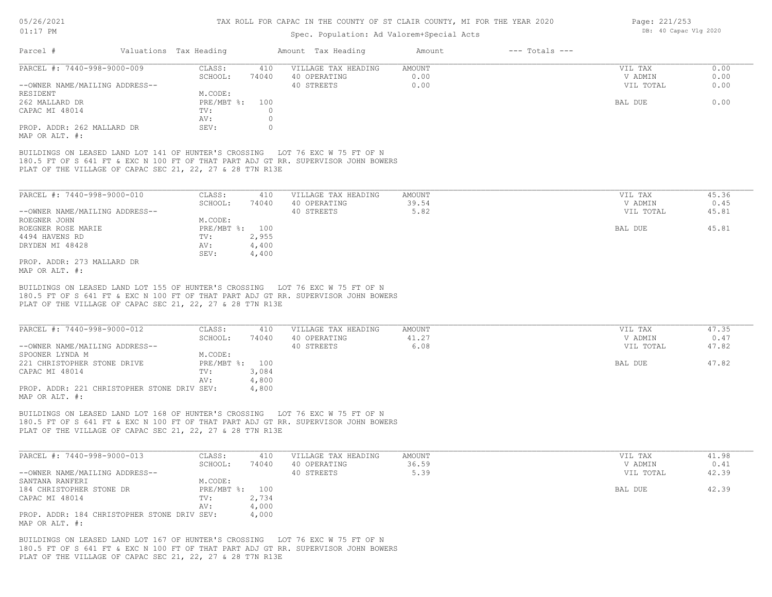#### Spec. Population: Ad Valorem+Special Acts

| Page: 221/253 |                       |  |
|---------------|-----------------------|--|
|               | DB: 40 Capac Vlg 2020 |  |

| Parcel #                       | Valuations Tax Heading |       | Amount Tax Heading  | Amount | $---$ Totals $---$ |           |      |
|--------------------------------|------------------------|-------|---------------------|--------|--------------------|-----------|------|
| PARCEL #: 7440-998-9000-009    | CLASS:                 | 410   | VILLAGE TAX HEADING | AMOUNT |                    | VIL TAX   | 0.00 |
|                                | SCHOOL:                | 74040 | 40 OPERATING        | 0.00   |                    | V ADMIN   | 0.00 |
| --OWNER NAME/MAILING ADDRESS-- |                        |       | 40 STREETS          | 0.00   |                    | VIL TOTAL | 0.00 |
| RESIDENT                       | M.CODE:                |       |                     |        |                    |           |      |
| 262 MALLARD DR                 | $PRE/MBT$ $\div$       | 100   |                     |        |                    | BAL DUE   | 0.00 |
| CAPAC MI 48014                 | TV:                    |       |                     |        |                    |           |      |
|                                | AV:                    |       |                     |        |                    |           |      |
| PROP. ADDR: 262 MALLARD DR     | SEV:                   |       |                     |        |                    |           |      |
| MAP OR ALT. #:                 |                        |       |                     |        |                    |           |      |

PLAT OF THE VILLAGE OF CAPAC SEC 21, 22, 27 & 28 T7N R13E 180.5 FT OF S 641 FT & EXC N 100 FT OF THAT PART ADJ GT RR. SUPERVISOR JOHN BOWERS BUILDINGS ON LEASED LAND LOT 141 OF HUNTER'S CROSSING LOT 76 EXC W 75 FT OF N

| PARCEL #: 7440-998-9000-010    | CLASS:       | 410   | VILLAGE TAX HEADING | AMOUNT | VIL TAX   | 45.36 |
|--------------------------------|--------------|-------|---------------------|--------|-----------|-------|
|                                | SCHOOL:      | 74040 | 40 OPERATING        | 39.54  | V ADMIN   | 0.45  |
| --OWNER NAME/MAILING ADDRESS-- |              |       | 40 STREETS          | 5.82   | VIL TOTAL | 45.81 |
| ROEGNER JOHN                   | M.CODE:      |       |                     |        |           |       |
| ROEGNER ROSE MARIE             | $PRE/MBT$ %: | 100   |                     |        | BAL DUE   | 45.81 |
| 4494 HAVENS RD                 | TV:          | 2,955 |                     |        |           |       |
| DRYDEN MI 48428                | AV:          | 4,400 |                     |        |           |       |
|                                | SEV:         | 4,400 |                     |        |           |       |
| PROP. ADDR: 273 MALLARD DR     |              |       |                     |        |           |       |
|                                |              |       |                     |        |           |       |

MAP OR ALT. #:

PLAT OF THE VILLAGE OF CAPAC SEC 21, 22, 27 & 28 T7N R13E 180.5 FT OF S 641 FT & EXC N 100 FT OF THAT PART ADJ GT RR. SUPERVISOR JOHN BOWERS BUILDINGS ON LEASED LAND LOT 155 OF HUNTER'S CROSSING LOT 76 EXC W 75 FT OF N

| PARCEL #: 7440-998-9000-012                 | CLASS:         | 410   | VILLAGE TAX HEADING | AMOUNT | VIL TAX   | 47.35 |
|---------------------------------------------|----------------|-------|---------------------|--------|-----------|-------|
|                                             | SCHOOL:        | 74040 | 40 OPERATING        | 41.27  | V ADMIN   | 0.47  |
| --OWNER NAME/MAILING ADDRESS--              |                |       | 40 STREETS          | 6.08   | VIL TOTAL | 47.82 |
| SPOONER LYNDA M                             | M.CODE:        |       |                     |        |           |       |
| 221 CHRISTOPHER STONE DRIVE                 | PRE/MBT %: 100 |       |                     |        | BAL DUE   | 47.82 |
| CAPAC MI 48014                              | TV:            | 3,084 |                     |        |           |       |
|                                             | AV:            | 4,800 |                     |        |           |       |
| PROP. ADDR: 221 CHRISTOPHER STONE DRIV SEV: |                | 4,800 |                     |        |           |       |
| MAP OR ALT. #:                              |                |       |                     |        |           |       |

PLAT OF THE VILLAGE OF CAPAC SEC 21, 22, 27 & 28 T7N R13E 180.5 FT OF S 641 FT & EXC N 100 FT OF THAT PART ADJ GT RR. SUPERVISOR JOHN BOWERS BUILDINGS ON LEASED LAND LOT 168 OF HUNTER'S CROSSING LOT 76 EXC W 75 FT OF N

| PARCEL #: 7440-998-9000-013                 | CLASS:         | 410   | VILLAGE TAX HEADING | AMOUNT | VIL TAX   | 41.98 |
|---------------------------------------------|----------------|-------|---------------------|--------|-----------|-------|
|                                             | SCHOOL:        | 74040 | 40 OPERATING        | 36.59  | V ADMIN   | 0.41  |
| --OWNER NAME/MAILING ADDRESS--              |                |       | 40 STREETS          | 5.39   | VIL TOTAL | 42.39 |
| SANTANA RANFERI                             | M.CODE:        |       |                     |        |           |       |
| 184 CHRISTOPHER STONE DR                    | PRE/MBT %: 100 |       |                     |        | BAL DUE   | 42.39 |
| CAPAC MI 48014                              | TV:            | 2,734 |                     |        |           |       |
|                                             | AV:            | 4,000 |                     |        |           |       |
| PROP. ADDR: 184 CHRISTOPHER STONE DRIV SEV: |                | 4,000 |                     |        |           |       |
| MAP OR ALT. #:                              |                |       |                     |        |           |       |

PLAT OF THE VILLAGE OF CAPAC SEC 21, 22, 27 & 28 T7N R13E 180.5 FT OF S 641 FT & EXC N 100 FT OF THAT PART ADJ GT RR. SUPERVISOR JOHN BOWERS BUILDINGS ON LEASED LAND LOT 167 OF HUNTER'S CROSSING LOT 76 EXC W 75 FT OF N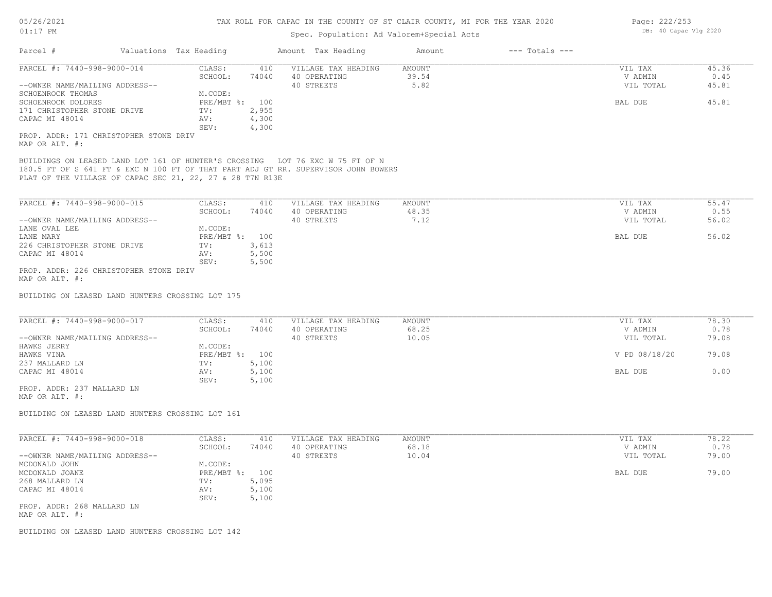# Spec. Population: Ad Valorem+Special Acts

| Parcel #                                                  | Valuations Tax Heading |                |       | Amount Tax Heading                                                                                                                                                  | Amount                 | $---$ Totals $---$ |                      |               |
|-----------------------------------------------------------|------------------------|----------------|-------|---------------------------------------------------------------------------------------------------------------------------------------------------------------------|------------------------|--------------------|----------------------|---------------|
|                                                           |                        |                |       |                                                                                                                                                                     |                        |                    |                      |               |
| PARCEL #: 7440-998-9000-014                               |                        | CLASS:         | 410   | VILLAGE TAX HEADING                                                                                                                                                 | <b>AMOUNT</b><br>39.54 |                    | VIL TAX              | 45.36<br>0.45 |
| --OWNER NAME/MAILING ADDRESS--                            |                        | SCHOOL:        | 74040 | 40 OPERATING<br>40 STREETS                                                                                                                                          | 5.82                   |                    | V ADMIN<br>VIL TOTAL | 45.81         |
| SCHOENROCK THOMAS                                         |                        | M.CODE:        |       |                                                                                                                                                                     |                        |                    |                      |               |
| SCHOENROCK DOLORES                                        |                        | PRE/MBT %: 100 |       |                                                                                                                                                                     |                        |                    | BAL DUE              | 45.81         |
| 171 CHRISTOPHER STONE DRIVE                               |                        | TV:            | 2,955 |                                                                                                                                                                     |                        |                    |                      |               |
| CAPAC MI 48014                                            |                        | AV:            | 4,300 |                                                                                                                                                                     |                        |                    |                      |               |
|                                                           |                        | SEV:           | 4,300 |                                                                                                                                                                     |                        |                    |                      |               |
| PROP. ADDR: 171 CHRISTOPHER STONE DRIV                    |                        |                |       |                                                                                                                                                                     |                        |                    |                      |               |
| MAP OR ALT. #:                                            |                        |                |       |                                                                                                                                                                     |                        |                    |                      |               |
|                                                           |                        |                |       | BUILDINGS ON LEASED LAND LOT 161 OF HUNTER'S CROSSING LOT 76 EXC W 75 FT OF N<br>180.5 FT OF S 641 FT & EXC N 100 FT OF THAT PART ADJ GT RR. SUPERVISOR JOHN BOWERS |                        |                    |                      |               |
| PLAT OF THE VILLAGE OF CAPAC SEC 21, 22, 27 & 28 T7N R13E |                        |                |       |                                                                                                                                                                     |                        |                    |                      |               |
| PARCEL #: 7440-998-9000-015                               |                        | CLASS:         | 410   | VILLAGE TAX HEADING                                                                                                                                                 | <b>AMOUNT</b>          |                    | VIL TAX              | 55.47         |
|                                                           |                        | SCHOOL:        | 74040 | 40 OPERATING                                                                                                                                                        | 48.35                  |                    | V ADMIN              | 0.55          |
| --OWNER NAME/MAILING ADDRESS--                            |                        |                |       | 40 STREETS                                                                                                                                                          | 7.12                   |                    | VIL TOTAL            | 56.02         |
| LANE OVAL LEE                                             |                        | M.CODE:        |       |                                                                                                                                                                     |                        |                    |                      |               |
| LANE MARY                                                 |                        | PRE/MBT %: 100 |       |                                                                                                                                                                     |                        |                    | BAL DUE              | 56.02         |
| 226 CHRISTOPHER STONE DRIVE                               |                        | TV:            | 3,613 |                                                                                                                                                                     |                        |                    |                      |               |
| CAPAC MI 48014                                            |                        | AV:            | 5,500 |                                                                                                                                                                     |                        |                    |                      |               |
|                                                           |                        | SEV:           | 5,500 |                                                                                                                                                                     |                        |                    |                      |               |
| PROP. ADDR: 226 CHRISTOPHER STONE DRIV                    |                        |                |       |                                                                                                                                                                     |                        |                    |                      |               |
| MAP OR ALT. #:                                            |                        |                |       |                                                                                                                                                                     |                        |                    |                      |               |
| BUILDING ON LEASED LAND HUNTERS CROSSING LOT 175          |                        |                |       |                                                                                                                                                                     |                        |                    |                      |               |
|                                                           |                        |                |       |                                                                                                                                                                     |                        |                    |                      |               |
| PARCEL #: 7440-998-9000-017                               |                        | CLASS:         | 410   | VILLAGE TAX HEADING                                                                                                                                                 | <b>AMOUNT</b>          |                    | VIL TAX              | 78.30         |
|                                                           |                        | SCHOOL:        | 74040 | 40 OPERATING                                                                                                                                                        | 68.25                  |                    | V ADMIN              | 0.78          |
| --OWNER NAME/MAILING ADDRESS--                            |                        |                |       | 40 STREETS                                                                                                                                                          | 10.05                  |                    | VIL TOTAL            | 79.08         |
| HAWKS JERRY                                               |                        | M.CODE:        |       |                                                                                                                                                                     |                        |                    |                      |               |
| HAWKS VINA                                                |                        | PRE/MBT %: 100 |       |                                                                                                                                                                     |                        |                    | V PD 08/18/20        | 79.08         |
| 237 MALLARD LN                                            |                        | TV:            | 5,100 |                                                                                                                                                                     |                        |                    |                      |               |
| CAPAC MI 48014                                            |                        | AV:            | 5,100 |                                                                                                                                                                     |                        |                    | BAL DUE              | 0.00          |
|                                                           |                        | SEV:           | 5,100 |                                                                                                                                                                     |                        |                    |                      |               |
| PROP. ADDR: 237 MALLARD LN<br>MAP OR ALT. #:              |                        |                |       |                                                                                                                                                                     |                        |                    |                      |               |
| BUILDING ON LEASED LAND HUNTERS CROSSING LOT 161          |                        |                |       |                                                                                                                                                                     |                        |                    |                      |               |
|                                                           |                        |                |       |                                                                                                                                                                     |                        |                    |                      |               |
| PARCEL #: 7440-998-9000-018                               |                        | CLASS:         | 410   | VILLAGE TAX HEADING                                                                                                                                                 | AMOUNT                 |                    | VIL TAX              | 78.22         |
|                                                           |                        | SCHOOL:        | 74040 | 40 OPERATING                                                                                                                                                        | 68.18                  |                    | V ADMIN              | 0.78          |
| --OWNER NAME/MAILING ADDRESS--                            |                        |                |       | 40 STREETS                                                                                                                                                          | 10.04                  |                    | VIL TOTAL            | 79.00         |
| MCDONALD JOHN                                             |                        | M.CODE:        |       |                                                                                                                                                                     |                        |                    |                      |               |
| MCDONALD JOANE                                            |                        | PRE/MBT %: 100 |       |                                                                                                                                                                     |                        |                    | BAL DUE              | 79.00         |
| 268 MALLARD LN                                            |                        | TV:            | 5,095 |                                                                                                                                                                     |                        |                    |                      |               |
| CAPAC MI 48014                                            |                        | AV:            | 5,100 |                                                                                                                                                                     |                        |                    |                      |               |
| PROP. ADDR: 268 MALLARD LN                                |                        | SEV:           | 5,100 |                                                                                                                                                                     |                        |                    |                      |               |
| MAP OR ALT. #:                                            |                        |                |       |                                                                                                                                                                     |                        |                    |                      |               |
|                                                           |                        |                |       |                                                                                                                                                                     |                        |                    |                      |               |
|                                                           |                        |                |       |                                                                                                                                                                     |                        |                    |                      |               |

BUILDING ON LEASED LAND HUNTERS CROSSING LOT 142

Page: 222/253 DB: 40 Capac Vlg 2020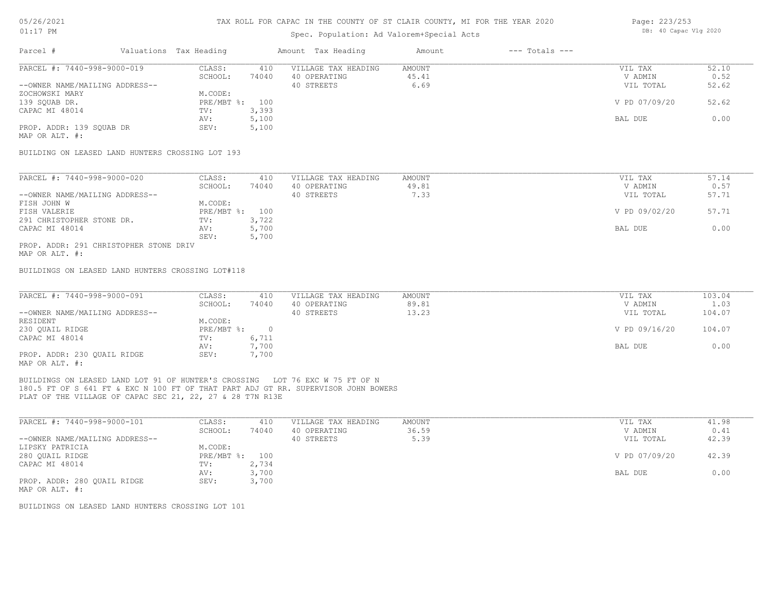#### Spec. Population: Ad Valorem+Special Acts

| Parcel #                       | Valuations Tax Heading |       | Amount Tax Heading  | Amount | $---$ Totals $---$ |               |       |
|--------------------------------|------------------------|-------|---------------------|--------|--------------------|---------------|-------|
| PARCEL #: 7440-998-9000-019    | CLASS:                 | 410   | VILLAGE TAX HEADING | AMOUNT |                    | VIL TAX       | 52.10 |
|                                | SCHOOL:                | 74040 | 40 OPERATING        | 45.41  |                    | V ADMIN       | 0.52  |
| --OWNER NAME/MAILING ADDRESS-- |                        |       | 40 STREETS          | 6.69   |                    | VIL TOTAL     | 52.62 |
| ZOCHOWSKI MARY                 | M.CODE:                |       |                     |        |                    |               |       |
| 139 SOUAB DR.                  | PRE/MBT %: 100         |       |                     |        |                    | V PD 07/09/20 | 52.62 |
| CAPAC MI 48014                 | TV:                    | 3,393 |                     |        |                    |               |       |
|                                | AV:                    | 5,100 |                     |        |                    | BAL DUE       | 0.00  |
| PROP. ADDR: 139 SOUAB DR       | SEV:                   | 5,100 |                     |        |                    |               |       |
|                                |                        |       |                     |        |                    |               |       |

MAP OR ALT. #:

BUILDING ON LEASED LAND HUNTERS CROSSING LOT 193

| PARCEL #: 7440-998-9000-020            | CLASS:         | 410   | VILLAGE TAX HEADING | AMOUNT | VIL TAX       | 57.14 |
|----------------------------------------|----------------|-------|---------------------|--------|---------------|-------|
|                                        | SCHOOL:        | 74040 | 40 OPERATING        | 49.81  | V ADMIN       | 0.57  |
| --OWNER NAME/MAILING ADDRESS--         |                |       | 40 STREETS          | 7.33   | VIL TOTAL     | 57.71 |
| FISH JOHN W                            | M.CODE:        |       |                     |        |               |       |
| FISH VALERIE                           | PRE/MBT %: 100 |       |                     |        | V PD 09/02/20 | 57.71 |
| 291 CHRISTOPHER STONE DR.              | TV:            | 3,722 |                     |        |               |       |
| CAPAC MI 48014                         | AV:            | 5,700 |                     |        | BAL DUE       | 0.00  |
|                                        | SEV:           | 5,700 |                     |        |               |       |
| PROP. ADDR: 291 CHRISTOPHER STONE DRIV |                |       |                     |        |               |       |

MAP OR ALT. #:

BUILDINGS ON LEASED LAND HUNTERS CROSSING LOT#118

| PARCEL #: 7440-998-9000-091    | CLASS:       | 410   | VILLAGE TAX HEADING | AMOUNT | VIL TAX       | 103.04 |
|--------------------------------|--------------|-------|---------------------|--------|---------------|--------|
|                                | SCHOOL:      | 74040 | 40 OPERATING        | 89.81  | V ADMIN       | 1.03   |
| --OWNER NAME/MAILING ADDRESS-- |              |       | 40 STREETS          | 13.23  | VIL TOTAL     | 104.07 |
| RESIDENT                       | M.CODE:      |       |                     |        |               |        |
| 230 OUAIL RIDGE                | $PRE/MBT$ %: |       |                     |        | V PD 09/16/20 | 104.07 |
| CAPAC MI 48014                 | TV:          | 6,711 |                     |        |               |        |
|                                | AV:          | 7,700 |                     |        | BAL DUE       | 0.00   |
| PROP. ADDR: 230 OUAIL RIDGE    | SEV:         | 7,700 |                     |        |               |        |
| MAP OR ALT. #:                 |              |       |                     |        |               |        |

PLAT OF THE VILLAGE OF CAPAC SEC 21, 22, 27 & 28 T7N R13E 180.5 FT OF S 641 FT & EXC N 100 FT OF THAT PART ADJ GT RR. SUPERVISOR JOHN BOWERS BUILDINGS ON LEASED LAND LOT 91 OF HUNTER'S CROSSING LOT 76 EXC W 75 FT OF N

| PARCEL #: 7440-998-9000-101    | CLASS:       | 410   | VILLAGE TAX HEADING | AMOUNT | VIL TAX       | 41.98 |
|--------------------------------|--------------|-------|---------------------|--------|---------------|-------|
|                                | SCHOOL:      | 74040 | 40 OPERATING        | 36.59  | V ADMIN       | 0.41  |
| --OWNER NAME/MAILING ADDRESS-- |              |       | 40 STREETS          | 5.39   | VIL TOTAL     | 42.39 |
| LIPSKY PATRICIA                | M.CODE:      |       |                     |        |               |       |
| 280 QUAIL RIDGE                | $PRE/MBT$ %: | 100   |                     |        | V PD 07/09/20 | 42.39 |
| CAPAC MI 48014                 | TV:          | 2,734 |                     |        |               |       |
|                                | AV:          | 3,700 |                     |        | BAL DUE       | 0.00  |
| PROP. ADDR: 280 QUAIL RIDGE    | SEV:         | 3,700 |                     |        |               |       |
| MAP OR ALT. #:                 |              |       |                     |        |               |       |

BUILDINGS ON LEASED LAND HUNTERS CROSSING LOT 101

Page: 223/253 DB: 40 Capac Vlg 2020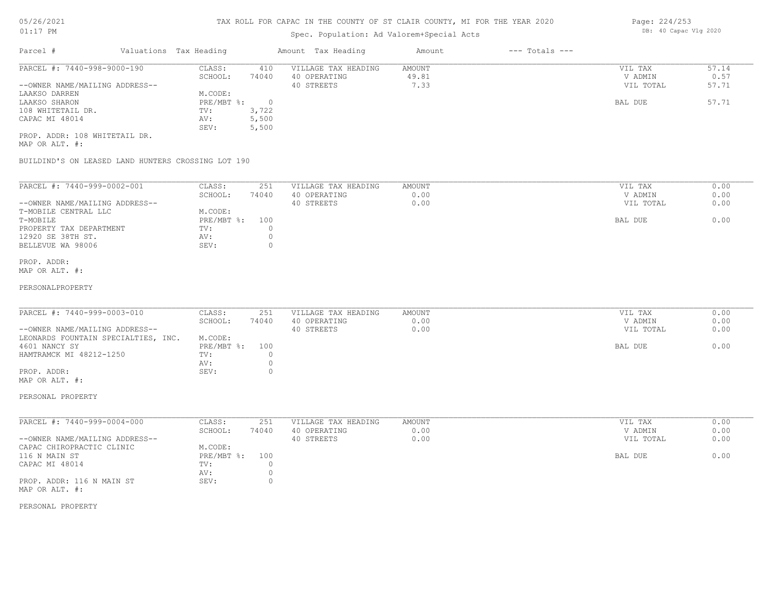## Spec. Population: Ad Valorem+Special Acts

| Parcel #                       | Valuations Tax Heading |       | Amount Tax Heading  | Amount | $---$ Totals $---$ |           |       |
|--------------------------------|------------------------|-------|---------------------|--------|--------------------|-----------|-------|
| PARCEL #: 7440-998-9000-190    | CLASS:                 | 410   | VILLAGE TAX HEADING | AMOUNT |                    | VIL TAX   | 57.14 |
|                                | SCHOOL:                | 74040 | 40 OPERATING        | 49.81  |                    | V ADMIN   | 0.57  |
| --OWNER NAME/MAILING ADDRESS-- |                        |       | 40 STREETS          | 7.33   |                    | VIL TOTAL | 57.71 |
| LAAKSO DARREN                  | M.CODE:                |       |                     |        |                    |           |       |
| LAAKSO SHARON                  | PRE/MBT %:             |       |                     |        |                    | BAL DUE   | 57.71 |
| 108 WHITETAIL DR.              | TV:                    | 3,722 |                     |        |                    |           |       |
| CAPAC MI 48014                 | AV:                    | 5,500 |                     |        |                    |           |       |
|                                | SEV:                   | 5,500 |                     |        |                    |           |       |
| PROP. ADDR: 108 WHITETAIL DR.  |                        |       |                     |        |                    |           |       |

MAP OR ALT. #:

BUILDIND'S ON LEASED LAND HUNTERS CROSSING LOT 190

| PARCEL #: 7440-999-0002-001    | CLASS:     | 251   | VILLAGE TAX HEADING | AMOUNT | 0.00<br>VIL TAX   |  |
|--------------------------------|------------|-------|---------------------|--------|-------------------|--|
|                                | SCHOOL:    | 74040 | 40 OPERATING        | 0.00   | 0.00<br>V ADMIN   |  |
| --OWNER NAME/MAILING ADDRESS-- |            |       | 40 STREETS          | 0.00   | 0.00<br>VIL TOTAL |  |
| T-MOBILE CENTRAL LLC           | M.CODE:    |       |                     |        |                   |  |
| T-MOBILE                       | PRE/MBT %: | 100   |                     |        | 0.00<br>BAL DUE   |  |
| PROPERTY TAX DEPARTMENT        | TV:        |       |                     |        |                   |  |
| 12920 SE 38TH ST.              | AV:        |       |                     |        |                   |  |
| BELLEVUE WA 98006              | SEV:       |       |                     |        |                   |  |
|                                |            |       |                     |        |                   |  |

#### MAP OR ALT. #: PROP. ADDR:

#### PERSONALPROPERTY

| PARCEL #: 7440-999-0003-010         | CLASS:         | 251   | VILLAGE TAX HEADING | AMOUNT | VIL TAX   | 0.00 |
|-------------------------------------|----------------|-------|---------------------|--------|-----------|------|
|                                     | SCHOOL:        | 74040 | 40 OPERATING        | 0.00   | V ADMIN   | 0.00 |
| --OWNER NAME/MAILING ADDRESS--      |                |       | 40 STREETS          | 0.00   | VIL TOTAL | 0.00 |
| LEONARDS FOUNTAIN SPECIALTIES, INC. | M.CODE:        |       |                     |        |           |      |
| 4601 NANCY SY                       | PRE/MBT %: 100 |       |                     |        | BAL DUE   | 0.00 |
| HAMTRAMCK MI 48212-1250             | TV:            |       |                     |        |           |      |
|                                     | AV:            |       |                     |        |           |      |
| PROP. ADDR:                         | SEV:           |       |                     |        |           |      |
| MAP OR ALT. #:                      |                |       |                     |        |           |      |

## PERSONAL PROPERTY

| PARCEL #: 7440-999-0004-000    | CLASS:       | 251   | VILLAGE TAX HEADING | AMOUNT | VIL TAX   | 0.00 |
|--------------------------------|--------------|-------|---------------------|--------|-----------|------|
|                                | SCHOOL:      | 74040 | 40 OPERATING        | 0.00   | V ADMIN   | 0.00 |
| --OWNER NAME/MAILING ADDRESS-- |              |       | 40 STREETS          | 0.00   | VIL TOTAL | 0.00 |
| CAPAC CHIROPRACTIC CLINIC      | M.CODE:      |       |                     |        |           |      |
| 116 N MAIN ST                  | $PRE/MBT$ %: | 100   |                     |        | BAL DUE   | 0.00 |
| CAPAC MI 48014                 | TV:          |       |                     |        |           |      |
|                                | AV:          |       |                     |        |           |      |
| PROP. ADDR: 116 N MAIN ST      | SEV:         |       |                     |        |           |      |
| MAP OR ALT. #:                 |              |       |                     |        |           |      |

#### PERSONAL PROPERTY

Page: 224/253 DB: 40 Capac Vlg 2020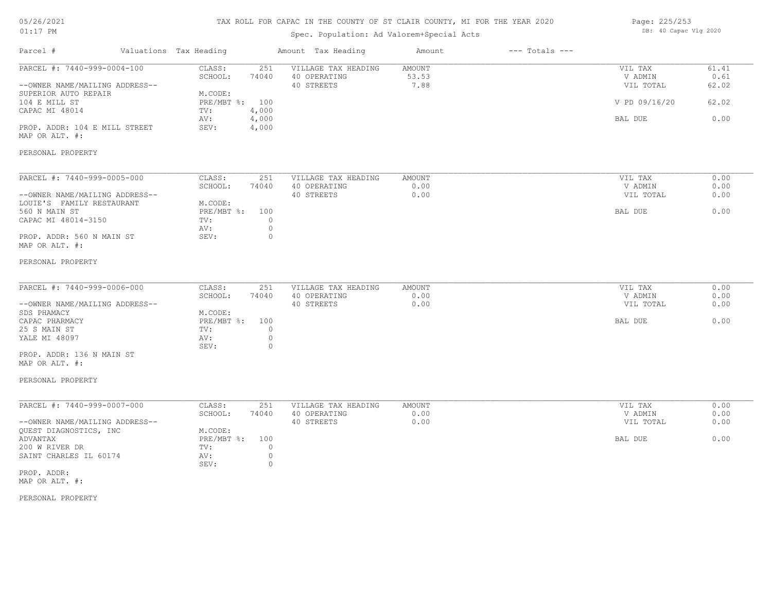#### TAX ROLL FOR CAPAC IN THE COUNTY OF ST CLAIR COUNTY, MI FOR THE YEAR 2020

## Spec. Population: Ad Valorem+Special Acts

| Page: 225/253 |                       |  |  |
|---------------|-----------------------|--|--|
|               | DB: 40 Capac Vlg 2020 |  |  |

| Parcel #                                                      | Valuations Tax Heading            | Amount Tax Heading                                | Amount                         | $---$ Totals $---$ |                                 |                        |
|---------------------------------------------------------------|-----------------------------------|---------------------------------------------------|--------------------------------|--------------------|---------------------------------|------------------------|
| PARCEL #: 7440-999-0004-100<br>--OWNER NAME/MAILING ADDRESS-- | CLASS:<br>251<br>SCHOOL:<br>74040 | VILLAGE TAX HEADING<br>40 OPERATING<br>40 STREETS | <b>AMOUNT</b><br>53.53<br>7.88 |                    | VIL TAX<br>V ADMIN<br>VIL TOTAL | 61.41<br>0.61<br>62.02 |
| SUPERIOR AUTO REPAIR                                          | M.CODE:                           |                                                   |                                |                    |                                 |                        |
| 104 E MILL ST                                                 | PRE/MBT %: 100                    |                                                   |                                |                    | V PD 09/16/20                   | 62.02                  |
| CAPAC MI 48014                                                | 4,000<br>TV:                      |                                                   |                                |                    |                                 |                        |
|                                                               | AV:<br>4,000                      |                                                   |                                |                    | BAL DUE                         | 0.00                   |
| PROP. ADDR: 104 E MILL STREET<br>MAP OR ALT. #:               | 4,000<br>SEV:                     |                                                   |                                |                    |                                 |                        |
| PERSONAL PROPERTY                                             |                                   |                                                   |                                |                    |                                 |                        |
| PARCEL #: 7440-999-0005-000                                   | CLASS:<br>251                     | VILLAGE TAX HEADING                               | AMOUNT                         |                    | VIL TAX                         | 0.00                   |
|                                                               | SCHOOL:<br>74040                  | 40 OPERATING                                      | 0.00                           |                    | V ADMIN                         | 0.00                   |
| --OWNER NAME/MAILING ADDRESS--                                |                                   | 40 STREETS                                        | 0.00                           |                    | VIL TOTAL                       | 0.00                   |
| LOUIE'S FAMILY RESTAURANT                                     | M.CODE:                           |                                                   |                                |                    |                                 |                        |
| 560 N MAIN ST                                                 | PRE/MBT %: 100                    |                                                   |                                |                    | BAL DUE                         | 0.00                   |
| CAPAC MI 48014-3150                                           | $\circ$<br>TV:                    |                                                   |                                |                    |                                 |                        |
| PROP. ADDR: 560 N MAIN ST                                     | $\circ$<br>AV:<br>SEV:<br>$\circ$ |                                                   |                                |                    |                                 |                        |
| MAP OR ALT. #:                                                |                                   |                                                   |                                |                    |                                 |                        |
| PERSONAL PROPERTY                                             |                                   |                                                   |                                |                    |                                 |                        |
| PARCEL #: 7440-999-0006-000                                   | CLASS:<br>251                     | VILLAGE TAX HEADING                               | AMOUNT                         |                    | VIL TAX                         | 0.00                   |
|                                                               | SCHOOL:<br>74040                  | 40 OPERATING                                      | 0.00                           |                    | V ADMIN                         | 0.00                   |
| --OWNER NAME/MAILING ADDRESS--                                |                                   | 40 STREETS                                        | 0.00                           |                    | VIL TOTAL                       | 0.00                   |
| SDS PHAMACY                                                   | M.CODE:                           |                                                   |                                |                    |                                 |                        |
| CAPAC PHARMACY                                                | PRE/MBT %: 100                    |                                                   |                                |                    | BAL DUE                         | 0.00                   |
| 25 S MAIN ST                                                  | $\circ$<br>TV:                    |                                                   |                                |                    |                                 |                        |
| YALE MI 48097                                                 | AV:<br>$\circ$                    |                                                   |                                |                    |                                 |                        |
|                                                               | $\circ$<br>SEV:                   |                                                   |                                |                    |                                 |                        |
| PROP. ADDR: 136 N MAIN ST<br>MAP OR ALT. #:                   |                                   |                                                   |                                |                    |                                 |                        |
| PERSONAL PROPERTY                                             |                                   |                                                   |                                |                    |                                 |                        |
| PARCEL #: 7440-999-0007-000                                   | CLASS:<br>251                     | VILLAGE TAX HEADING                               | AMOUNT                         |                    | VIL TAX                         | 0.00                   |
|                                                               | SCHOOL:<br>74040                  | 40 OPERATING                                      | 0.00                           |                    | V ADMIN                         | 0.00                   |
| --OWNER NAME/MAILING ADDRESS--                                |                                   | 40 STREETS                                        | 0.00                           |                    | VIL TOTAL                       | 0.00                   |
| QUEST DIAGNOSTICS, INC                                        | M.CODE:                           |                                                   |                                |                    |                                 |                        |
| ADVANTAX                                                      | 100<br>$PRE/MBT$ $\div$           |                                                   |                                |                    | BAL DUE                         | 0.00                   |
| 200 W RIVER DR                                                | $\circ$<br>TV:                    |                                                   |                                |                    |                                 |                        |
| SAINT CHARLES IL 60174                                        | AV:<br>$\circ$<br>$\circ$<br>SEV: |                                                   |                                |                    |                                 |                        |
| PROP. ADDR:                                                   |                                   |                                                   |                                |                    |                                 |                        |
|                                                               |                                   |                                                   |                                |                    |                                 |                        |

MAP OR ALT. #: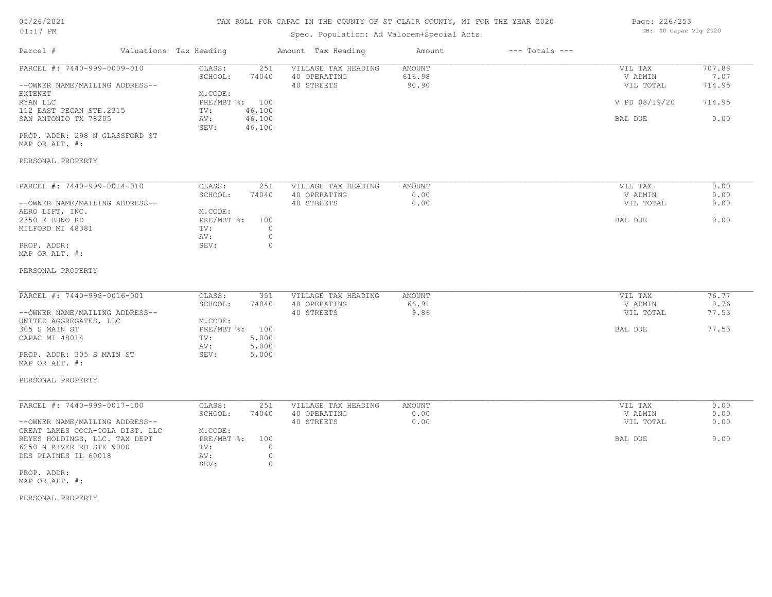# 05/26/2021

#### 01:17 PM

## TAX ROLL FOR CAPAC IN THE COUNTY OF ST CLAIR COUNTY, MI FOR THE YEAR 2020

## Spec. Population: Ad Valorem+Special Acts

| Page: 226/253 |                       |  |
|---------------|-----------------------|--|
|               | DB: 40 Capac Vlg 2020 |  |

| Parcel #                                                                                                                                                                                                                                    | Valuations Tax Heading                                                                                             | Amount Tax Heading                                                                 | Amount                    | $---$ Totals $---$ |                                                             |                                            |
|---------------------------------------------------------------------------------------------------------------------------------------------------------------------------------------------------------------------------------------------|--------------------------------------------------------------------------------------------------------------------|------------------------------------------------------------------------------------|---------------------------|--------------------|-------------------------------------------------------------|--------------------------------------------|
| PARCEL #: 7440-999-0009-010<br>--OWNER NAME/MAILING ADDRESS--<br>EXTENET<br>RYAN LLC<br>112 EAST PECAN STE.2315<br>SAN ANTONIO TX 78205<br>PROP. ADDR: 298 N GLASSFORD ST<br>MAP OR ALT. #:<br>PERSONAL PROPERTY                            | CLASS:<br>251<br>SCHOOL:<br>74040<br>M.CODE:<br>PRE/MBT %: 100<br>TV:<br>46,100<br>46,100<br>AV:<br>46,100<br>SEV: | VILLAGE TAX HEADING<br>40 OPERATING<br>40 STREETS                                  | AMOUNT<br>616.98<br>90.90 |                    | VIL TAX<br>V ADMIN<br>VIL TOTAL<br>V PD 08/19/20<br>BAL DUE | 707.88<br>7.07<br>714.95<br>714.95<br>0.00 |
| PARCEL #: 7440-999-0014-010<br>--OWNER NAME/MAILING ADDRESS--<br>AERO LIFT, INC.<br>2350 E BUNO RD<br>MILFORD MI 48381<br>PROP. ADDR:<br>MAP OR ALT. #:<br>PERSONAL PROPERTY                                                                | CLASS:<br>251<br>SCHOOL:<br>74040<br>M.CODE:<br>$PRE/MBT$ $\div$<br>100<br>TV:<br>AV:<br>SEV:                      | VILLAGE TAX HEADING<br>40 OPERATING<br>40 STREETS<br>$\circ$<br>$\circ$<br>$\circ$ | AMOUNT<br>0.00<br>0.00    |                    | VIL TAX<br>V ADMIN<br>VIL TOTAL<br>BAL DUE                  | 0.00<br>0.00<br>0.00<br>0.00               |
| PARCEL #: 7440-999-0016-001<br>--OWNER NAME/MAILING ADDRESS--<br>UNITED AGGREGATES, LLC<br>305 S MAIN ST<br>CAPAC MI 48014<br>PROP. ADDR: 305 S MAIN ST<br>MAP OR ALT. #:<br>PERSONAL PROPERTY                                              | CLASS:<br>351<br>SCHOOL:<br>74040<br>M.CODE:<br>PRE/MBT %: 100<br>5,000<br>TV:<br>5,000<br>AV:<br>SEV:<br>5,000    | VILLAGE TAX HEADING<br>40 OPERATING<br>40 STREETS                                  | AMOUNT<br>66.91<br>9.86   |                    | VIL TAX<br>V ADMIN<br>VIL TOTAL<br>BAL DUE                  | 76.77<br>0.76<br>77.53<br>77.53            |
| PARCEL #: 7440-999-0017-100<br>--OWNER NAME/MAILING ADDRESS--<br>GREAT LAKES COCA-COLA DIST. LLC<br>REYES HOLDINGS, LLC. TAX DEPT<br>6250 N RIVER RD STE 9000<br>DES PLAINES IL 60018<br>PROP. ADDR:<br>MAP OR ALT. #:<br>PERSONAL PROPERTY | CLASS:<br>251<br>SCHOOL:<br>74040<br>M.CODE:<br>$PRE/MBT$ $\div$<br>100<br>TV:<br>AV:<br>SEV:                      | VILLAGE TAX HEADING<br>40 OPERATING<br>40 STREETS<br>$\circ$<br>$\circ$<br>$\circ$ | AMOUNT<br>0.00<br>0.00    |                    | VIL TAX<br>V ADMIN<br>VIL TOTAL<br>BAL DUE                  | 0.00<br>0.00<br>0.00<br>0.00               |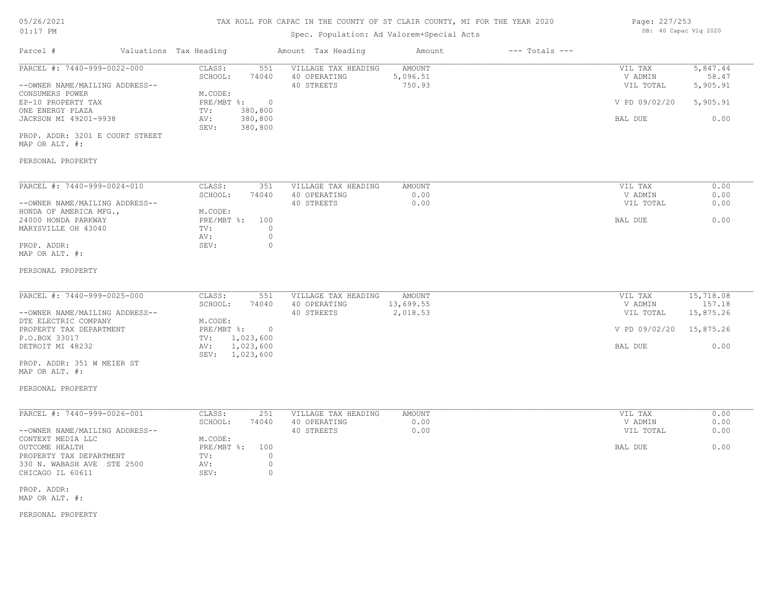## TAX ROLL FOR CAPAC IN THE COUNTY OF ST CLAIR COUNTY, MI FOR THE YEAR 2020

## Spec. Population: Ad Valorem+Special Acts

| Page: 227/253 |                       |  |
|---------------|-----------------------|--|
|               | DB: 40 Capac Vlg 2020 |  |

| Parcel #                                                                                                                                                                                                                                | Valuations Tax Heading                                                                                                                       | Amount Tax Heading                                | Amount                                 | $---$ Totals $---$ |                                                             |                                                       |
|-----------------------------------------------------------------------------------------------------------------------------------------------------------------------------------------------------------------------------------------|----------------------------------------------------------------------------------------------------------------------------------------------|---------------------------------------------------|----------------------------------------|--------------------|-------------------------------------------------------------|-------------------------------------------------------|
| PARCEL #: 7440-999-0022-000<br>--OWNER NAME/MAILING ADDRESS--<br>CONSUMERS POWER<br>EP-10 PROPERTY TAX<br>ONE ENERGY PLAZA<br>JACKSON MI 49201-9938<br>PROP. ADDR: 3201 E COURT STREET<br>MAP OR ALT. #:<br>PERSONAL PROPERTY           | CLASS:<br>551<br>SCHOOL:<br>74040<br>M.CODE:<br>PRE/MBT %:<br>$\overline{0}$<br>380,800<br>TV:<br>380,800<br>AV:<br>380,800<br>SEV:          | VILLAGE TAX HEADING<br>40 OPERATING<br>40 STREETS | <b>AMOUNT</b><br>5,096.51<br>750.93    |                    | VIL TAX<br>V ADMIN<br>VIL TOTAL<br>V PD 09/02/20<br>BAL DUE | 5,847.44<br>58.47<br>5,905.91<br>5,905.91<br>0.00     |
| PARCEL #: 7440-999-0024-010<br>--OWNER NAME/MAILING ADDRESS--<br>HONDA OF AMERICA MFG.,<br>24000 HONDA PARKWAY<br>MARYSVILLE OH 43040<br>PROP. ADDR:<br>MAP OR ALT. #:<br>PERSONAL PROPERTY                                             | CLASS:<br>351<br>SCHOOL:<br>74040<br>M.CODE:<br>$PRE/MBT$ %:<br>100<br>TV:<br>$\circ$<br>$\circ$<br>AV:<br>$\circ$<br>SEV:                   | VILLAGE TAX HEADING<br>40 OPERATING<br>40 STREETS | AMOUNT<br>0.00<br>0.00                 |                    | VIL TAX<br>V ADMIN<br>VIL TOTAL<br>BAL DUE                  | 0.00<br>0.00<br>0.00<br>0.00                          |
| PARCEL #: 7440-999-0025-000<br>--OWNER NAME/MAILING ADDRESS--<br>DTE ELECTRIC COMPANY<br>PROPERTY TAX DEPARTMENT<br>P.O.BOX 33017<br>DETROIT MI 48232<br>PROP. ADDR: 351 W MEIER ST<br>MAP OR ALT. #:<br>PERSONAL PROPERTY              | CLASS:<br>551<br>SCHOOL:<br>74040<br>M.CODE:<br>$PRE/MBT$ $\div$<br>$\overline{0}$<br>1,023,600<br>TV:<br>1,023,600<br>AV:<br>SEV: 1,023,600 | VILLAGE TAX HEADING<br>40 OPERATING<br>40 STREETS | <b>AMOUNT</b><br>13,699.55<br>2,018.53 |                    | VIL TAX<br>V ADMIN<br>VIL TOTAL<br>V PD 09/02/20<br>BAL DUE | 15,718.08<br>157.18<br>15,875.26<br>15,875.26<br>0.00 |
| PARCEL #: 7440-999-0026-001<br>--OWNER NAME/MAILING ADDRESS--<br>CONTEXT MEDIA LLC<br>OUTCOME HEALTH<br>PROPERTY TAX DEPARTMENT<br>330 N. WABASH AVE STE 2500<br>CHICAGO IL 60611<br>PROP. ADDR:<br>MAP OR ALT. #:<br>PERSONAL PROPERTY | CLASS:<br>251<br>SCHOOL:<br>74040<br>M.CODE:<br>$PRE/MBT$ $\div$<br>100<br>$\circ$<br>TV:<br>$\circ$<br>AV:<br>$\circ$<br>SEV:               | VILLAGE TAX HEADING<br>40 OPERATING<br>40 STREETS | <b>AMOUNT</b><br>0.00<br>0.00          |                    | VIL TAX<br>V ADMIN<br>VIL TOTAL<br>BAL DUE                  | 0.00<br>0.00<br>0.00<br>0.00                          |
|                                                                                                                                                                                                                                         |                                                                                                                                              |                                                   |                                        |                    |                                                             |                                                       |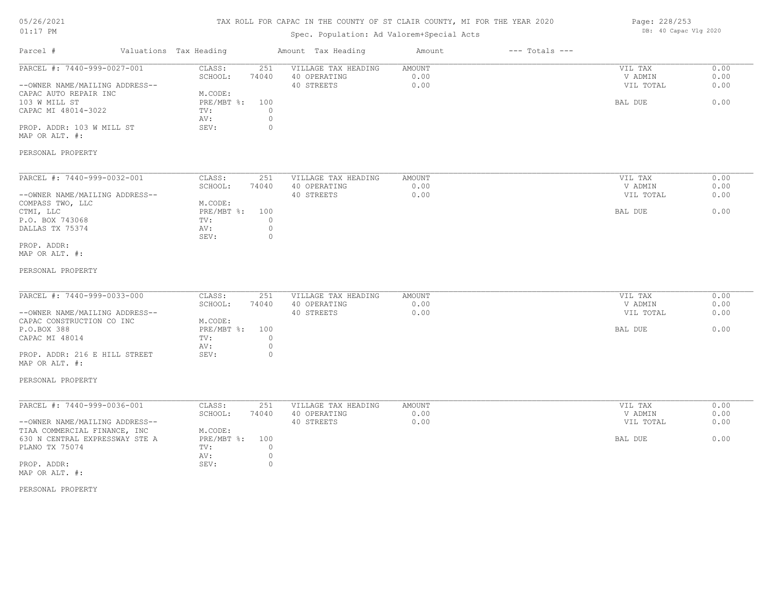## TAX ROLL FOR CAPAC IN THE COUNTY OF ST CLAIR COUNTY, MI FOR THE YEAR 2020

## Spec. Population: Ad Valorem+Special Acts

| Page: 228/253         |  |
|-----------------------|--|
| DB: 40 Capac Vlg 2020 |  |

| Parcel #                                                                                                                                                                                           | Valuations Tax Heading |                                                                                         | Amount Tax Heading                                                                 | Amount                        | $---$ Totals $---$ |                                            |                              |
|----------------------------------------------------------------------------------------------------------------------------------------------------------------------------------------------------|------------------------|-----------------------------------------------------------------------------------------|------------------------------------------------------------------------------------|-------------------------------|--------------------|--------------------------------------------|------------------------------|
| PARCEL #: 7440-999-0027-001<br>--OWNER NAME/MAILING ADDRESS--<br>CAPAC AUTO REPAIR INC<br>103 W MILL ST<br>CAPAC MI 48014-3022<br>PROP. ADDR: 103 W MILL ST<br>MAP OR ALT. #:<br>PERSONAL PROPERTY |                        | CLASS:<br>251<br>74040<br>SCHOOL:<br>M.CODE:<br>PRE/MBT %:<br>100<br>TV:<br>AV:<br>SEV: | VILLAGE TAX HEADING<br>40 OPERATING<br>40 STREETS<br>$\circ$<br>$\circ$<br>$\circ$ | <b>AMOUNT</b><br>0.00<br>0.00 |                    | VIL TAX<br>V ADMIN<br>VIL TOTAL<br>BAL DUE | 0.00<br>0.00<br>0.00<br>0.00 |
| PARCEL #: 7440-999-0032-001                                                                                                                                                                        |                        | CLASS:<br>251                                                                           | VILLAGE TAX HEADING                                                                | AMOUNT                        |                    | VIL TAX                                    | 0.00                         |
| --OWNER NAME/MAILING ADDRESS--                                                                                                                                                                     |                        | SCHOOL:<br>74040                                                                        | 40 OPERATING<br>40 STREETS                                                         | 0.00<br>0.00                  |                    | V ADMIN<br>VIL TOTAL                       | 0.00<br>0.00                 |
| COMPASS TWO, LLC<br>CTMI, LLC<br>P.O. BOX 743068<br>DALLAS TX 75374                                                                                                                                |                        | M.CODE:<br>100<br>$PRE/MBT$ $\frac{1}{6}$ :<br>TV:<br>AV:<br>SEV:                       | $\mathbf{0}$<br>$\circ$<br>$\circ$                                                 |                               |                    | BAL DUE                                    | 0.00                         |
| PROP. ADDR:<br>MAP OR ALT. #:                                                                                                                                                                      |                        |                                                                                         |                                                                                    |                               |                    |                                            |                              |
| PERSONAL PROPERTY                                                                                                                                                                                  |                        |                                                                                         |                                                                                    |                               |                    |                                            |                              |
| PARCEL #: 7440-999-0033-000<br>--OWNER NAME/MAILING ADDRESS--                                                                                                                                      |                        | CLASS:<br>251<br>SCHOOL:<br>74040                                                       | VILLAGE TAX HEADING<br>40 OPERATING<br>40 STREETS                                  | AMOUNT<br>0.00<br>0.00        |                    | VIL TAX<br>V ADMIN<br>VIL TOTAL            | 0.00<br>0.00<br>0.00         |
| CAPAC CONSTRUCTION CO INC<br>P.O.BOX 388<br>CAPAC MI 48014                                                                                                                                         |                        | M.CODE:<br>PRE/MBT %:<br>100<br>TV:<br>AV:                                              | $\circ$<br>$\circ$                                                                 |                               |                    | BAL DUE                                    | 0.00                         |
| PROP. ADDR: 216 E HILL STREET<br>MAP OR ALT. #:                                                                                                                                                    |                        | SEV:                                                                                    | $\circ$                                                                            |                               |                    |                                            |                              |
| PERSONAL PROPERTY                                                                                                                                                                                  |                        |                                                                                         |                                                                                    |                               |                    |                                            |                              |
| PARCEL #: 7440-999-0036-001                                                                                                                                                                        |                        | CLASS:<br>251<br>SCHOOL:<br>74040                                                       | VILLAGE TAX HEADING<br>40 OPERATING                                                | <b>AMOUNT</b><br>0.00         |                    | VIL TAX<br>V ADMIN                         | 0.00<br>0.00                 |
| --OWNER NAME/MAILING ADDRESS--<br>TIAA COMMERCIAL FINANCE, INC                                                                                                                                     |                        | M.CODE:                                                                                 | 40 STREETS                                                                         | 0.00                          |                    | VIL TOTAL                                  | 0.00                         |
| 630 N CENTRAL EXPRESSWAY STE A<br>PLANO TX 75074                                                                                                                                                   |                        | 100<br>$PRE/MBT$ $\frac{1}{6}$ :<br>TV:<br>AV:                                          | $\mathbf{0}$<br>$\circ$                                                            |                               |                    | BAL DUE                                    | 0.00                         |
| PROP. ADDR:<br>MAP OR ALT. #:                                                                                                                                                                      |                        | SEV:                                                                                    | $\mathbf{0}$                                                                       |                               |                    |                                            |                              |
|                                                                                                                                                                                                    |                        |                                                                                         |                                                                                    |                               |                    |                                            |                              |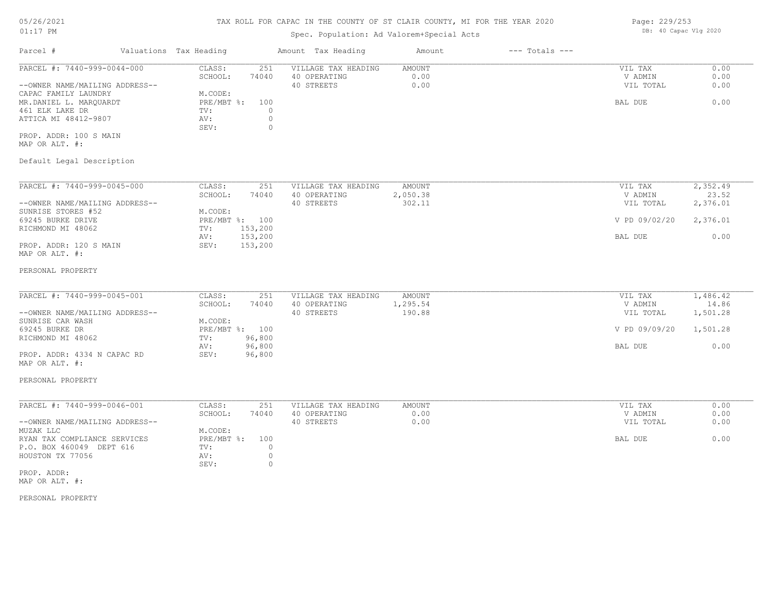# TAX ROLL FOR CAPAC IN THE COUNTY OF ST CLAIR COUNTY, MI FOR THE YEAR 2020

## Spec. Population: Ad Valorem+Special Acts

| Parcel #                       | Valuations Tax Heading |       | Amount Tax Heading  | Amount | $---$ Totals $---$ |           |      |
|--------------------------------|------------------------|-------|---------------------|--------|--------------------|-----------|------|
| PARCEL #: 7440-999-0044-000    | CLASS:                 | 251   | VILLAGE TAX HEADING | AMOUNT |                    | VIL TAX   | 0.00 |
|                                | SCHOOL:                | 74040 | 40 OPERATING        | 0.00   |                    | V ADMIN   | 0.00 |
| --OWNER NAME/MAILING ADDRESS-- |                        |       | 40 STREETS          | 0.00   |                    | VIL TOTAL | 0.00 |
| CAPAC FAMILY LAUNDRY           | M.CODE:                |       |                     |        |                    |           |      |
| MR.DANIEL L. MAROUARDT         | PRE/MBT %:             | 100   |                     |        |                    | BAL DUE   | 0.00 |
| 461 ELK LAKE DR                | TV:                    |       |                     |        |                    |           |      |
| ATTICA MI 48412-9807           | AV:                    |       |                     |        |                    |           |      |
|                                | SEV:                   |       |                     |        |                    |           |      |
| PROP. ADDR: 100 S MAIN         |                        |       |                     |        |                    |           |      |

MAP OR ALT. #:

## Default Legal Description

| PARCEL #: 7440-999-0045-000    | CLASS:     | 251     | VILLAGE TAX HEADING | AMOUNT   | VIL TAX       | 2,352.49 |
|--------------------------------|------------|---------|---------------------|----------|---------------|----------|
|                                | SCHOOL:    | 74040   | 40 OPERATING        | 2,050.38 | V ADMIN       | 23.52    |
| --OWNER NAME/MAILING ADDRESS-- |            |         | 40 STREETS          | 302.11   | VIL TOTAL     | 2,376.01 |
| SUNRISE STORES #52             | M.CODE:    |         |                     |          |               |          |
| 69245 BURKE DRIVE              | PRE/MBT %: | 100     |                     |          | V PD 09/02/20 | 2,376.01 |
| RICHMOND MI 48062              | TV:        | 153,200 |                     |          |               |          |
|                                | AV:        | 153,200 |                     |          | BAL DUE       | 0.00     |
| PROP. ADDR: 120 S MAIN         | SEV:       | 153,200 |                     |          |               |          |
| MAP OR ALT. #:                 |            |         |                     |          |               |          |

#### PERSONAL PROPERTY

| PARCEL #: 7440-999-0045-001    | CLASS:  | 251            | VILLAGE TAX HEADING | AMOUNT   | VIL TAX       | 1,486.42 |
|--------------------------------|---------|----------------|---------------------|----------|---------------|----------|
|                                | SCHOOL: | 74040          | 40 OPERATING        | 1,295.54 | V ADMIN       | 14.86    |
| --OWNER NAME/MAILING ADDRESS-- |         |                | 40 STREETS          | 190.88   | VIL TOTAL     | 1,501.28 |
| SUNRISE CAR WASH               | M.CODE: |                |                     |          |               |          |
| 69245 BURKE DR                 |         | PRE/MBT %: 100 |                     |          | V PD 09/09/20 | 1,501.28 |
| RICHMOND MI 48062              | TV:     | 96,800         |                     |          |               |          |
|                                | AV:     | 96,800         |                     |          | BAL DUE       | 0.00     |
| PROP. ADDR: 4334 N CAPAC RD    | SEV:    | 96,800         |                     |          |               |          |

# MAP OR ALT. #:

#### PERSONAL PROPERTY

| PARCEL #: 7440-999-0046-001    | CLASS:         | 251   | VILLAGE TAX HEADING | AMOUNT | VIL TAX   | 0.00 |
|--------------------------------|----------------|-------|---------------------|--------|-----------|------|
|                                | SCHOOL:        | 74040 | 40 OPERATING        | 0.00   | V ADMIN   | 0.00 |
| --OWNER NAME/MAILING ADDRESS-- |                |       | 40 STREETS          | 0.00   | VIL TOTAL | 0.00 |
| MUZAK LLC                      | M.CODE:        |       |                     |        |           |      |
| RYAN TAX COMPLIANCE SERVICES   | PRE/MBT %: 100 |       |                     |        | BAL DUE   | 0.00 |
| P.O. BOX 460049 DEPT 616       | TV:            |       |                     |        |           |      |
| HOUSTON TX 77056               | AV:            |       |                     |        |           |      |
|                                | SEV:           |       |                     |        |           |      |
| PROP. ADDR:                    |                |       |                     |        |           |      |

MAP OR ALT. #:

PERSONAL PROPERTY

Page: 229/253 DB: 40 Capac Vlg 2020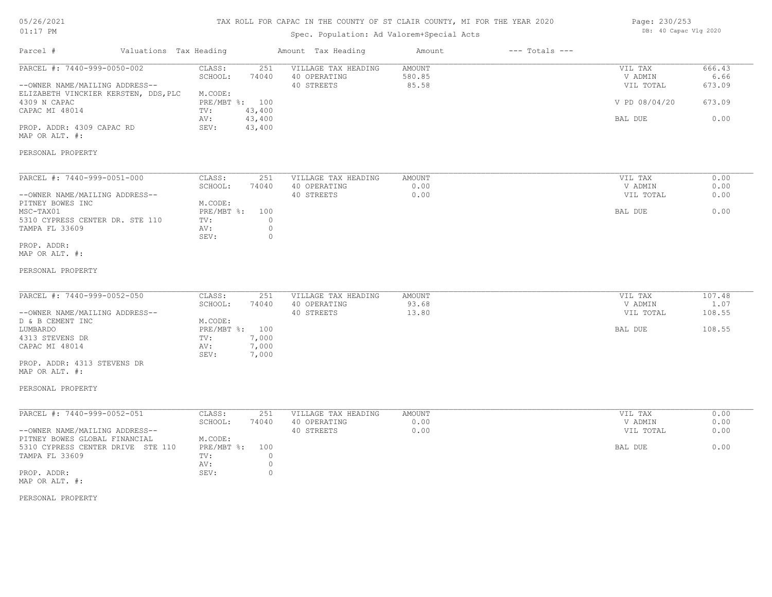#### TAX ROLL FOR CAPAC IN THE COUNTY OF ST CLAIR COUNTY, MI FOR THE YEAR 2020

## Spec. Population: Ad Valorem+Special Acts

| Page: 230/253 |                       |  |
|---------------|-----------------------|--|
|               | DB: 40 Capac Vlg 2020 |  |

| Parcel #                                                                                                                                                                               | Valuations Tax Heading               |                                                                      |                                                          | Amount Tax Heading                                | Amount                           | $---$ Totals $---$ |                                                             |                                            |
|----------------------------------------------------------------------------------------------------------------------------------------------------------------------------------------|--------------------------------------|----------------------------------------------------------------------|----------------------------------------------------------|---------------------------------------------------|----------------------------------|--------------------|-------------------------------------------------------------|--------------------------------------------|
| PARCEL #: 7440-999-0050-002<br>--OWNER NAME/MAILING ADDRESS--<br>4309 N CAPAC<br>CAPAC MI 48014<br>PROP. ADDR: 4309 CAPAC RD<br>MAP OR ALT. #:                                         | ELIZABETH VINCKIER KERSTEN, DDS, PLC | CLASS:<br>SCHOOL:<br>M.CODE:<br>PRE/MBT %: 100<br>TV:<br>AV:<br>SEV: | 251<br>74040<br>43,400<br>43,400<br>43,400               | VILLAGE TAX HEADING<br>40 OPERATING<br>40 STREETS | <b>AMOUNT</b><br>580.85<br>85.58 |                    | VIL TAX<br>V ADMIN<br>VIL TOTAL<br>V PD 08/04/20<br>BAL DUE | 666.43<br>6.66<br>673.09<br>673.09<br>0.00 |
| PERSONAL PROPERTY                                                                                                                                                                      |                                      |                                                                      |                                                          |                                                   |                                  |                    |                                                             |                                            |
| PARCEL #: 7440-999-0051-000<br>--OWNER NAME/MAILING ADDRESS--<br>PITNEY BOWES INC<br>MSC-TAX01<br>5310 CYPRESS CENTER DR. STE 110<br>TAMPA FL 33609<br>PROP. ADDR:<br>MAP OR ALT. #:   |                                      | CLASS:<br>SCHOOL:<br>M.CODE:<br>PRE/MBT %:<br>TV:<br>AV:<br>SEV:     | 251<br>74040<br>100<br>$\circ$<br>$\mathbb O$<br>$\circ$ | VILLAGE TAX HEADING<br>40 OPERATING<br>40 STREETS | AMOUNT<br>0.00<br>0.00           |                    | VIL TAX<br>V ADMIN<br>VIL TOTAL<br>BAL DUE                  | 0.00<br>0.00<br>0.00<br>0.00               |
| PERSONAL PROPERTY                                                                                                                                                                      |                                      |                                                                      |                                                          |                                                   |                                  |                    |                                                             |                                            |
| PARCEL #: 7440-999-0052-050<br>--OWNER NAME/MAILING ADDRESS--<br>D & B CEMENT INC<br>LUMBARDO<br>4313 STEVENS DR<br>CAPAC MI 48014<br>PROP. ADDR: 4313 STEVENS DR<br>MAP OR ALT. #:    |                                      | CLASS:<br>SCHOOL:<br>M.CODE:<br>PRE/MBT %: 100<br>TV:<br>AV:<br>SEV: | 251<br>74040<br>7,000<br>7,000<br>7,000                  | VILLAGE TAX HEADING<br>40 OPERATING<br>40 STREETS | AMOUNT<br>93.68<br>13.80         |                    | VIL TAX<br>V ADMIN<br>VIL TOTAL<br>BAL DUE                  | 107.48<br>1.07<br>108.55<br>108.55         |
| PERSONAL PROPERTY                                                                                                                                                                      |                                      |                                                                      |                                                          |                                                   |                                  |                    |                                                             |                                            |
| PARCEL #: 7440-999-0052-051<br>--OWNER NAME/MAILING ADDRESS--<br>PITNEY BOWES GLOBAL FINANCIAL<br>5310 CYPRESS CENTER DRIVE STE 110<br>TAMPA FL 33609<br>PROP. ADDR:<br>MAP OR ALT. #: |                                      | CLASS:<br>SCHOOL:<br>M.CODE:<br>$PRE/MBT$ %:<br>TV:<br>AV:<br>SEV:   | 251<br>74040<br>100<br>$\circ$<br>$\circ$<br>$\circ$     | VILLAGE TAX HEADING<br>40 OPERATING<br>40 STREETS | AMOUNT<br>0.00<br>0.00           |                    | VIL TAX<br>V ADMIN<br>VIL TOTAL<br>BAL DUE                  | 0.00<br>0.00<br>0.00<br>0.00               |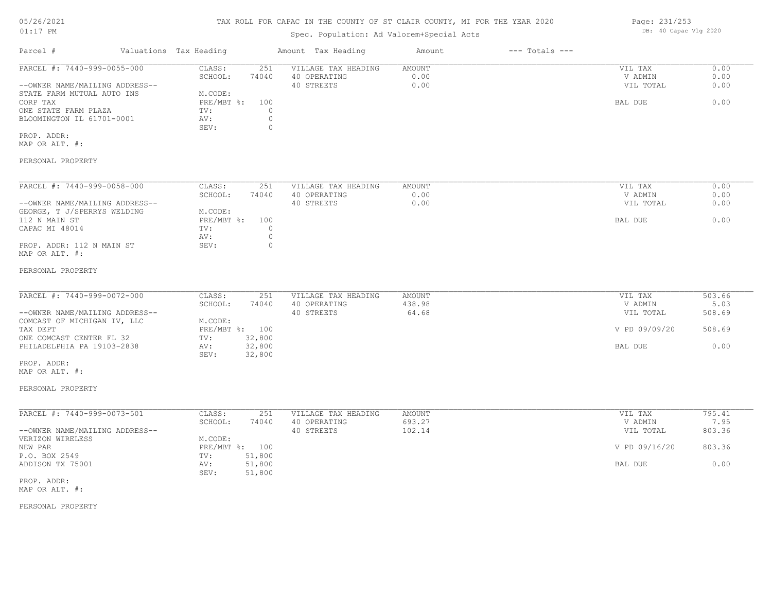# TAX ROLL FOR CAPAC IN THE COUNTY OF ST CLAIR COUNTY, MI FOR THE YEAR 2020

## Spec. Population: Ad Valorem+Special Acts

| Parcel #                       | Valuations Tax Heading |       | Amount Tax Heading  | Amount | $---$ Totals $---$ |           |      |
|--------------------------------|------------------------|-------|---------------------|--------|--------------------|-----------|------|
| PARCEL #: 7440-999-0055-000    | CLASS:                 | 251   | VILLAGE TAX HEADING | AMOUNT |                    | VIL TAX   | 0.00 |
|                                | SCHOOL:                | 74040 | 40 OPERATING        | 0.00   |                    | V ADMIN   | 0.00 |
| --OWNER NAME/MAILING ADDRESS-- |                        |       | 40 STREETS          | 0.00   |                    | VIL TOTAL | 0.00 |
| STATE FARM MUTUAL AUTO INS     | M.CODE:                |       |                     |        |                    |           |      |
| CORP TAX                       | $PRE/MBT$ %:           | 100   |                     |        |                    | BAL DUE   | 0.00 |
| ONE STATE FARM PLAZA           | TV:                    |       |                     |        |                    |           |      |
| BLOOMINGTON IL 61701-0001      | AV:                    |       |                     |        |                    |           |      |
|                                | SEV:                   |       |                     |        |                    |           |      |
| PROP. ADDR:                    |                        |       |                     |        |                    |           |      |
| MAP OR ALT. #:                 |                        |       |                     |        |                    |           |      |
|                                |                        |       |                     |        |                    |           |      |

#### PERSONAL PROPERTY

| PARCEL #: 7440-999-0058-000    | CLASS:     | 251   | VILLAGE TAX HEADING | AMOUNT | VIL TAX   | 0.00 |
|--------------------------------|------------|-------|---------------------|--------|-----------|------|
|                                | SCHOOL:    | 74040 | 40 OPERATING        | 0.00   | V ADMIN   | 0.00 |
| --OWNER NAME/MAILING ADDRESS-- |            |       | 40 STREETS          | 0.00   | VIL TOTAL | 0.00 |
| GEORGE, T J/SPERRYS WELDING    | M.CODE:    |       |                     |        |           |      |
| 112 N MAIN ST                  | PRE/MBT %: | 100   |                     |        | BAL DUE   | 0.00 |
| CAPAC MI 48014                 | TV:        |       |                     |        |           |      |
|                                | AV:        |       |                     |        |           |      |
| PROP. ADDR: 112 N MAIN ST      | SEV:       |       |                     |        |           |      |
| MAP OR ALT. #:                 |            |       |                     |        |           |      |

#### PERSONAL PROPERTY

| PARCEL #: 7440-999-0072-000    | CLASS:  | 251            | VILLAGE TAX HEADING | AMOUNT | VIL TAX       | 503.66 |
|--------------------------------|---------|----------------|---------------------|--------|---------------|--------|
|                                | SCHOOL: | 74040          | 40 OPERATING        | 438.98 | V ADMIN       | 5.03   |
| --OWNER NAME/MAILING ADDRESS-- |         |                | 40 STREETS          | 64.68  | VIL TOTAL     | 508.69 |
| COMCAST OF MICHIGAN IV, LLC    | M.CODE: |                |                     |        |               |        |
| TAX DEPT                       |         | PRE/MBT %: 100 |                     |        | V PD 09/09/20 | 508.69 |
| ONE COMCAST CENTER FL 32       | TV:     | 32,800         |                     |        |               |        |
| PHILADELPHIA PA 19103-2838     | AV:     | 32,800         |                     |        | BAL DUE       | 0.00   |
|                                | SEV:    | 32,800         |                     |        |               |        |
| PROP. ADDR:                    |         |                |                     |        |               |        |

MAP OR ALT. #:

#### PERSONAL PROPERTY

| PARCEL #: 7440-999-0073-501    | CLASS:     | 251    | VILLAGE TAX HEADING | AMOUNT | VIL TAX       | 795.41 |
|--------------------------------|------------|--------|---------------------|--------|---------------|--------|
|                                | SCHOOL:    | 74040  | 40 OPERATING        | 693.27 | V ADMIN       | 7.95   |
| --OWNER NAME/MAILING ADDRESS-- |            |        | 40 STREETS          | 102.14 | VIL TOTAL     | 803.36 |
| VERIZON WIRELESS               | M.CODE:    |        |                     |        |               |        |
| NEW PAR                        | PRE/MBT %: | 100    |                     |        | V PD 09/16/20 | 803.36 |
| P.O. BOX 2549                  | TV:        | 51,800 |                     |        |               |        |
| ADDISON TX 75001               | AV:        | 51,800 |                     |        | BAL DUE       | 0.00   |
|                                | SEV:       | 51,800 |                     |        |               |        |

MAP OR ALT. #: PROP. ADDR:

PERSONAL PROPERTY

Page: 231/253 DB: 40 Capac Vlg 2020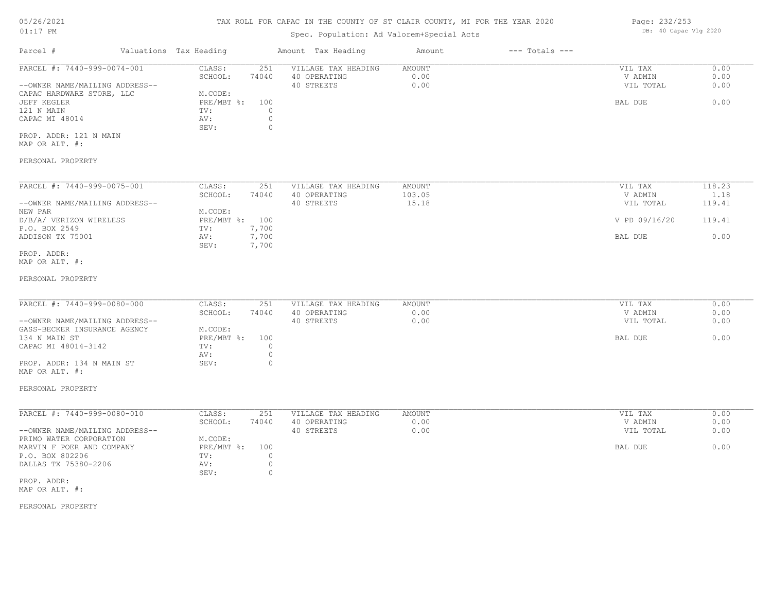## TAX ROLL FOR CAPAC IN THE COUNTY OF ST CLAIR COUNTY, MI FOR THE YEAR 2020

## Spec. Population: Ad Valorem+Special Acts

| Parcel #                       | Valuations Tax Heading |       | Amount Tax Heading  | Amount | $---$ Totals $---$ |           |      |
|--------------------------------|------------------------|-------|---------------------|--------|--------------------|-----------|------|
| PARCEL #: 7440-999-0074-001    | CLASS:                 | 251   | VILLAGE TAX HEADING | AMOUNT |                    | VIL TAX   | 0.00 |
|                                | SCHOOL:                | 74040 | 40 OPERATING        | 0.00   |                    | V ADMIN   | 0.00 |
| --OWNER NAME/MAILING ADDRESS-- |                        |       | 40 STREETS          | 0.00   |                    | VIL TOTAL | 0.00 |
| CAPAC HARDWARE STORE, LLC      | M.CODE:                |       |                     |        |                    |           |      |
| JEFF KEGLER                    | PRE/MBT %: 100         |       |                     |        |                    | BAL DUE   | 0.00 |
| 121 N MAIN                     | TV:                    |       |                     |        |                    |           |      |
| CAPAC MI 48014                 | AV:                    |       |                     |        |                    |           |      |
|                                | SEV:                   |       |                     |        |                    |           |      |
| PROP. ADDR: 121 N MAIN         |                        |       |                     |        |                    |           |      |

MAP OR ALT. #:

#### PERSONAL PROPERTY

| PARCEL #: 7440-999-0075-001    | CLASS:     | 251   | VILLAGE TAX HEADING | AMOUNT | VIL TAX       | 118.23 |
|--------------------------------|------------|-------|---------------------|--------|---------------|--------|
|                                | SCHOOL:    | 74040 | 40 OPERATING        | 103.05 | V ADMIN       | 1.18   |
| --OWNER NAME/MAILING ADDRESS-- |            |       | 40 STREETS          | 15.18  | VIL TOTAL     | 119.41 |
| NEW PAR                        | M.CODE:    |       |                     |        |               |        |
| D/B/A/ VERIZON WIRELESS        | PRE/MBT %: | 100   |                     |        | V PD 09/16/20 | 119.41 |
| P.O. BOX 2549                  | TV:        | 7,700 |                     |        |               |        |
| ADDISON TX 75001               | AV:        | 7,700 |                     |        | BAL DUE       | 0.00   |
|                                | SEV:       | 7,700 |                     |        |               |        |
| PROP. ADDR:                    |            |       |                     |        |               |        |

MAP OR ALT. #:

#### PERSONAL PROPERTY

| PARCEL #: 7440-999-0080-000    | CLASS:         | 251   |                     | AMOUNT | VIL TAX   | 0.00 |
|--------------------------------|----------------|-------|---------------------|--------|-----------|------|
|                                |                |       | VILLAGE TAX HEADING |        |           |      |
|                                | SCHOOL:        | 74040 | 40 OPERATING        | 0.00   | V ADMIN   | 0.00 |
| --OWNER NAME/MAILING ADDRESS-- |                |       | 40 STREETS          | 0.00   | VIL TOTAL | 0.00 |
| GASS-BECKER INSURANCE AGENCY   | M.CODE:        |       |                     |        |           |      |
| 134 N MAIN ST                  | PRE/MBT %: 100 |       |                     |        | BAL DUE   | 0.00 |
| CAPAC MI 48014-3142            | TV:            |       |                     |        |           |      |
|                                | AV:            |       |                     |        |           |      |
| PROP. ADDR: 134 N MAIN ST      | SEV:           |       |                     |        |           |      |

#### PERSONAL PROPERTY

MAP OR ALT. #:

| PARCEL #: 7440-999-0080-010    | CLASS:     | 251   | VILLAGE TAX HEADING | AMOUNT | VIL TAX   | 0.00 |
|--------------------------------|------------|-------|---------------------|--------|-----------|------|
|                                | SCHOOL:    | 74040 | 40 OPERATING        | 0.00   | V ADMIN   | 0.00 |
| --OWNER NAME/MAILING ADDRESS-- |            |       | 40 STREETS          | 0.00   | VIL TOTAL | 0.00 |
| PRIMO WATER CORPORATION        | M.CODE:    |       |                     |        |           |      |
| MARVIN F POER AND COMPANY      | PRE/MBT %: | 100   |                     |        | BAL DUE   | 0.00 |
| P.O. BOX 802206                | TV:        |       |                     |        |           |      |
| DALLAS TX 75380-2206           | AV:        |       |                     |        |           |      |
|                                | SEV:       |       |                     |        |           |      |
| PROP. ADDR:                    |            |       |                     |        |           |      |

MAP OR ALT. #:

PERSONAL PROPERTY

Page: 232/253 DB: 40 Capac Vlg 2020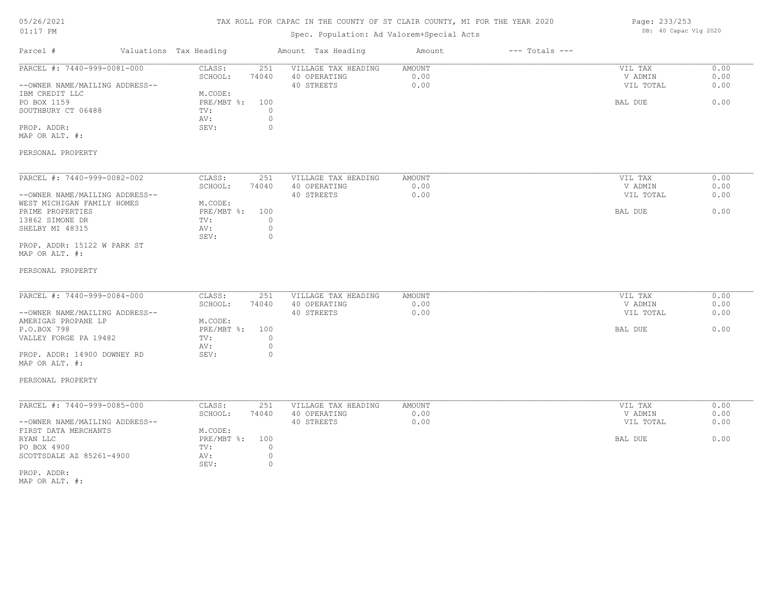## TAX ROLL FOR CAPAC IN THE COUNTY OF ST CLAIR COUNTY, MI FOR THE YEAR 2020

## Spec. Population: Ad Valorem+Special Acts

Page: 233/253 DB: 40 Capac Vlg 2020

| PARCEL #: 7440-999-0081-000<br>CLASS:<br>VILLAGE TAX HEADING<br>0.00<br>251<br>AMOUNT<br>VIL TAX<br>SCHOOL:<br>74040<br>40 OPERATING<br>0.00<br>V ADMIN<br>0.00<br>40 STREETS<br>0.00<br>--OWNER NAME/MAILING ADDRESS--<br>VIL TOTAL<br>0.00<br>IBM CREDIT LLC<br>M.CODE:<br>PRE/MBT %: 100<br>0.00<br>PO BOX 1159<br>BAL DUE<br>SOUTHBURY CT 06488<br>$\circ$<br>TV:<br>$\circ$<br>AV:<br>PROP. ADDR:<br>SEV:<br>$\circ$<br>MAP OR ALT. #:<br>PERSONAL PROPERTY<br>PARCEL #: 7440-999-0082-002<br>0.00<br>CLASS:<br>251<br><b>AMOUNT</b><br>VIL TAX<br>VILLAGE TAX HEADING<br>0.00<br>SCHOOL:<br>74040<br>40 OPERATING<br>V ADMIN<br>0.00<br>40 STREETS<br>0.00<br>0.00<br>--OWNER NAME/MAILING ADDRESS--<br>VIL TOTAL<br>WEST MICHIGAN FAMILY HOMES<br>M.CODE:<br>PRE/MBT %: 100<br>0.00<br>PRIME PROPERTIES<br>BAL DUE<br>13862 SIMONE DR<br>TV:<br>$\circ$<br>$\circ$<br>SHELBY MI 48315<br>AV:<br>SEV:<br>$\circ$<br>PROP. ADDR: 15122 W PARK ST<br>MAP OR ALT. #:<br>PERSONAL PROPERTY<br>PARCEL #: 7440-999-0084-000<br>CLASS:<br>251<br>VILLAGE TAX HEADING<br><b>AMOUNT</b><br>0.00<br>VIL TAX<br>SCHOOL:<br>40 OPERATING<br>0.00<br>0.00<br>74040<br>V ADMIN<br>0.00<br>40 STREETS<br>0.00<br>--OWNER NAME/MAILING ADDRESS--<br>VIL TOTAL<br>AMERIGAS PROPANE LP<br>M.CODE:<br>P.O.BOX 798<br>PRE/MBT %: 100<br>0.00<br>BAL DUE<br>VALLEY FORGE PA 19482<br>TV:<br>$\circ$<br>$\circ$<br>AV:<br>SEV:<br>PROP. ADDR: 14900 DOWNEY RD<br>$\circ$<br>MAP OR ALT. #:<br>PERSONAL PROPERTY<br>PARCEL #: 7440-999-0085-000<br>CLASS:<br>251<br>VILLAGE TAX HEADING<br><b>AMOUNT</b><br>VIL TAX<br>0.00<br>SCHOOL:<br>74040<br>40 OPERATING<br>0.00<br>V ADMIN<br>0.00<br>40 STREETS<br>0.00<br>0.00<br>--OWNER NAME/MAILING ADDRESS--<br>VIL TOTAL<br>FIRST DATA MERCHANTS<br>M.CODE:<br>0.00<br>RYAN LLC<br>PRE/MBT %: 100<br>BAL DUE<br>PO BOX 4900<br>$\circ$<br>TV:<br>SCOTTSDALE AZ 85261-4900<br>$\circ$<br>AV:<br>$\circ$<br>SEV:<br>PROP. ADDR:<br>MAP OR ALT. #: | Parcel # | Valuations Tax Heading | Amount Tax Heading | Amount | $---$ Totals $---$ |  |
|-------------------------------------------------------------------------------------------------------------------------------------------------------------------------------------------------------------------------------------------------------------------------------------------------------------------------------------------------------------------------------------------------------------------------------------------------------------------------------------------------------------------------------------------------------------------------------------------------------------------------------------------------------------------------------------------------------------------------------------------------------------------------------------------------------------------------------------------------------------------------------------------------------------------------------------------------------------------------------------------------------------------------------------------------------------------------------------------------------------------------------------------------------------------------------------------------------------------------------------------------------------------------------------------------------------------------------------------------------------------------------------------------------------------------------------------------------------------------------------------------------------------------------------------------------------------------------------------------------------------------------------------------------------------------------------------------------------------------------------------------------------------------------------------------------------------------------------------------------------------------------------------------------------------------------------------------------------------------------|----------|------------------------|--------------------|--------|--------------------|--|
|                                                                                                                                                                                                                                                                                                                                                                                                                                                                                                                                                                                                                                                                                                                                                                                                                                                                                                                                                                                                                                                                                                                                                                                                                                                                                                                                                                                                                                                                                                                                                                                                                                                                                                                                                                                                                                                                                                                                                                               |          |                        |                    |        |                    |  |
|                                                                                                                                                                                                                                                                                                                                                                                                                                                                                                                                                                                                                                                                                                                                                                                                                                                                                                                                                                                                                                                                                                                                                                                                                                                                                                                                                                                                                                                                                                                                                                                                                                                                                                                                                                                                                                                                                                                                                                               |          |                        |                    |        |                    |  |
|                                                                                                                                                                                                                                                                                                                                                                                                                                                                                                                                                                                                                                                                                                                                                                                                                                                                                                                                                                                                                                                                                                                                                                                                                                                                                                                                                                                                                                                                                                                                                                                                                                                                                                                                                                                                                                                                                                                                                                               |          |                        |                    |        |                    |  |
|                                                                                                                                                                                                                                                                                                                                                                                                                                                                                                                                                                                                                                                                                                                                                                                                                                                                                                                                                                                                                                                                                                                                                                                                                                                                                                                                                                                                                                                                                                                                                                                                                                                                                                                                                                                                                                                                                                                                                                               |          |                        |                    |        |                    |  |
|                                                                                                                                                                                                                                                                                                                                                                                                                                                                                                                                                                                                                                                                                                                                                                                                                                                                                                                                                                                                                                                                                                                                                                                                                                                                                                                                                                                                                                                                                                                                                                                                                                                                                                                                                                                                                                                                                                                                                                               |          |                        |                    |        |                    |  |
|                                                                                                                                                                                                                                                                                                                                                                                                                                                                                                                                                                                                                                                                                                                                                                                                                                                                                                                                                                                                                                                                                                                                                                                                                                                                                                                                                                                                                                                                                                                                                                                                                                                                                                                                                                                                                                                                                                                                                                               |          |                        |                    |        |                    |  |
|                                                                                                                                                                                                                                                                                                                                                                                                                                                                                                                                                                                                                                                                                                                                                                                                                                                                                                                                                                                                                                                                                                                                                                                                                                                                                                                                                                                                                                                                                                                                                                                                                                                                                                                                                                                                                                                                                                                                                                               |          |                        |                    |        |                    |  |
|                                                                                                                                                                                                                                                                                                                                                                                                                                                                                                                                                                                                                                                                                                                                                                                                                                                                                                                                                                                                                                                                                                                                                                                                                                                                                                                                                                                                                                                                                                                                                                                                                                                                                                                                                                                                                                                                                                                                                                               |          |                        |                    |        |                    |  |
|                                                                                                                                                                                                                                                                                                                                                                                                                                                                                                                                                                                                                                                                                                                                                                                                                                                                                                                                                                                                                                                                                                                                                                                                                                                                                                                                                                                                                                                                                                                                                                                                                                                                                                                                                                                                                                                                                                                                                                               |          |                        |                    |        |                    |  |
|                                                                                                                                                                                                                                                                                                                                                                                                                                                                                                                                                                                                                                                                                                                                                                                                                                                                                                                                                                                                                                                                                                                                                                                                                                                                                                                                                                                                                                                                                                                                                                                                                                                                                                                                                                                                                                                                                                                                                                               |          |                        |                    |        |                    |  |
|                                                                                                                                                                                                                                                                                                                                                                                                                                                                                                                                                                                                                                                                                                                                                                                                                                                                                                                                                                                                                                                                                                                                                                                                                                                                                                                                                                                                                                                                                                                                                                                                                                                                                                                                                                                                                                                                                                                                                                               |          |                        |                    |        |                    |  |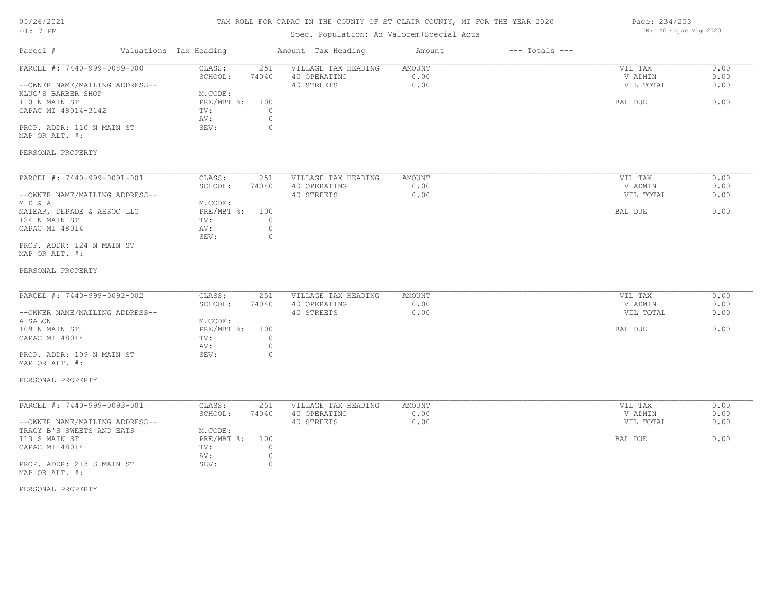# 05/26/2021

# 01:17 PM

## TAX ROLL FOR CAPAC IN THE COUNTY OF ST CLAIR COUNTY, MI FOR THE YEAR 2020

## Spec. Population: Ad Valorem+Special Acts

Page: 234/253 DB: 40 Capac Vlg 2020

| Parcel #                                                                                                                                                                                                   | Valuations Tax Heading                                                                                                         | Amount Tax Heading                                | Amount                        | $---$ Totals $---$ |                                            |                              |
|------------------------------------------------------------------------------------------------------------------------------------------------------------------------------------------------------------|--------------------------------------------------------------------------------------------------------------------------------|---------------------------------------------------|-------------------------------|--------------------|--------------------------------------------|------------------------------|
| PARCEL #: 7440-999-0089-000<br>--OWNER NAME/MAILING ADDRESS--<br>KLUG'S BARBER SHOP<br>110 N MAIN ST<br>CAPAC MI 48014-3142<br>PROP. ADDR: 110 N MAIN ST<br>MAP OR ALT. #:<br>PERSONAL PROPERTY            | CLASS:<br>251<br>SCHOOL:<br>74040<br>M.CODE:<br>PRE/MBT %:<br>100<br>$\circ$<br>TV:<br>$\circ$<br>AV:<br>SEV:<br>$\circ$       | VILLAGE TAX HEADING<br>40 OPERATING<br>40 STREETS | <b>AMOUNT</b><br>0.00<br>0.00 |                    | VIL TAX<br>V ADMIN<br>VIL TOTAL<br>BAL DUE | 0.00<br>0.00<br>0.00<br>0.00 |
| PARCEL #: 7440-999-0091-001<br>--OWNER NAME/MAILING ADDRESS--<br>MD&A<br>MAIEAR, DEPADE & ASSOC LLC<br>124 N MAIN ST<br>CAPAC MI 48014<br>PROP. ADDR: 124 N MAIN ST<br>MAP OR ALT. #:<br>PERSONAL PROPERTY | CLASS:<br>251<br>SCHOOL:<br>74040<br>M.CODE:<br>$PRE/MBT$ $\div$<br>100<br>$\circ$<br>TV:<br>AV:<br>$\circ$<br>SEV:<br>$\circ$ | VILLAGE TAX HEADING<br>40 OPERATING<br>40 STREETS | AMOUNT<br>0.00<br>0.00        |                    | VIL TAX<br>V ADMIN<br>VIL TOTAL<br>BAL DUE | 0.00<br>0.00<br>0.00<br>0.00 |
| PARCEL #: 7440-999-0092-002<br>--OWNER NAME/MAILING ADDRESS--<br>A SALON<br>109 N MAIN ST<br>CAPAC MI 48014<br>PROP. ADDR: 109 N MAIN ST<br>MAP OR ALT. #:<br>PERSONAL PROPERTY                            | CLASS:<br>251<br>SCHOOL:<br>74040<br>M.CODE:<br>PRE/MBT %:<br>100<br>TV:<br>$\Omega$<br>$\circ$<br>AV:<br>SEV:<br>$\circ$      | VILLAGE TAX HEADING<br>40 OPERATING<br>40 STREETS | AMOUNT<br>0.00<br>0.00        |                    | VIL TAX<br>V ADMIN<br>VIL TOTAL<br>BAL DUE | 0.00<br>0.00<br>0.00<br>0.00 |
| PARCEL #: 7440-999-0093-001<br>--OWNER NAME/MAILING ADDRESS--<br>TRACY B'S SWEETS AND EATS<br>113 S MAIN ST<br>CAPAC MI 48014<br>PROP. ADDR: 213 S MAIN ST<br>MAP OR ALT. #:<br>PERSONAL PROPERTY          | CLASS:<br>251<br>SCHOOL:<br>74040<br>M.CODE:<br>$PRE/MBT$ $\div$<br>100<br>TV:<br>$\circ$<br>AV:<br>$\circ$<br>SEV:<br>$\circ$ | VILLAGE TAX HEADING<br>40 OPERATING<br>40 STREETS | <b>AMOUNT</b><br>0.00<br>0.00 |                    | VIL TAX<br>V ADMIN<br>VIL TOTAL<br>BAL DUE | 0.00<br>0.00<br>0.00<br>0.00 |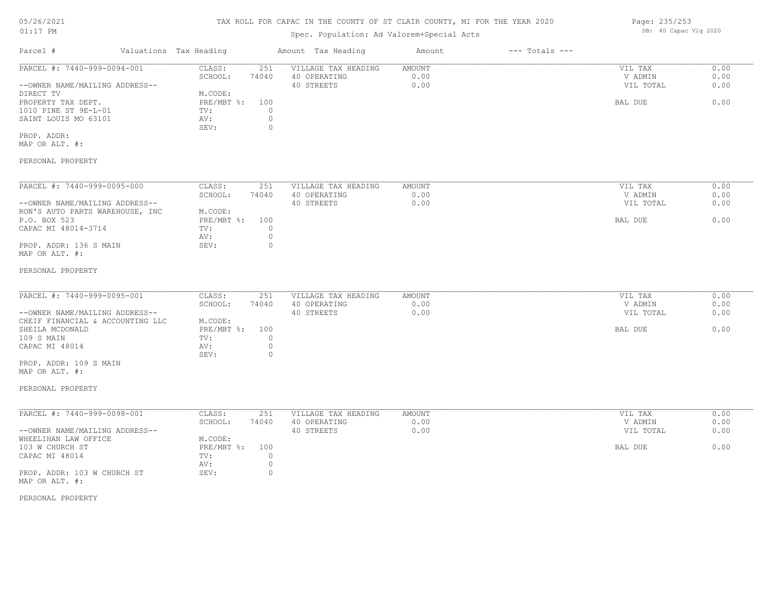## TAX ROLL FOR CAPAC IN THE COUNTY OF ST CLAIR COUNTY, MI FOR THE YEAR 2020

## Spec. Population: Ad Valorem+Special Acts

| Parcel #                       | Valuations Tax Heading |       | Amount Tax Heading  | Amount | $---$ Totals $---$ |           |      |
|--------------------------------|------------------------|-------|---------------------|--------|--------------------|-----------|------|
| PARCEL #: 7440-999-0094-001    | CLASS:                 | 251   | VILLAGE TAX HEADING | AMOUNT |                    | VIL TAX   | 0.00 |
|                                | SCHOOL:                | 74040 | 40 OPERATING        | 0.00   |                    | V ADMIN   | 0.00 |
| --OWNER NAME/MAILING ADDRESS-- |                        |       | 40 STREETS          | 0.00   |                    | VIL TOTAL | 0.00 |
| DIRECT TV                      | M.CODE:                |       |                     |        |                    |           |      |
| PROPERTY TAX DEPT.             | PRE/MBT %: 100         |       |                     |        |                    | BAL DUE   | 0.00 |
| 1010 PINE ST 9E-L-01           | TV:                    |       |                     |        |                    |           |      |
| SAINT LOUIS MO 63101           | AV:                    |       |                     |        |                    |           |      |
|                                | SEV:                   |       |                     |        |                    |           |      |
| PROP. ADDR:                    |                        |       |                     |        |                    |           |      |
| MAP OR ALT. #:                 |                        |       |                     |        |                    |           |      |
|                                |                        |       |                     |        |                    |           |      |

#### PERSONAL PROPERTY

| PARCEL #: 7440-999-0095-000     | CLASS:     | 251   | VILLAGE TAX HEADING | AMOUNT | 0.00<br>VIL TAX   |  |
|---------------------------------|------------|-------|---------------------|--------|-------------------|--|
|                                 | SCHOOL:    | 74040 | 40 OPERATING        | 0.00   | 0.00<br>V ADMIN   |  |
| --OWNER NAME/MAILING ADDRESS--  |            |       | 40 STREETS          | 0.00   | 0.00<br>VIL TOTAL |  |
| RON'S AUTO PARTS WAREHOUSE, INC | M.CODE:    |       |                     |        |                   |  |
| P.O. BOX 523                    | PRE/MBT %: | 100   |                     |        | 0.00<br>BAL DUE   |  |
| CAPAC MI 48014-3714             | TV:        |       |                     |        |                   |  |
|                                 | AV:        |       |                     |        |                   |  |
| PROP. ADDR: 136 S MAIN          | SEV:       |       |                     |        |                   |  |
| MAP OR ALT. #:                  |            |       |                     |        |                   |  |

#### PERSONAL PROPERTY

| PARCEL #: 7440-999-0095-001      | CLASS:       | 251   | VILLAGE TAX HEADING | AMOUNT | VIL TAX   | 0.00 |
|----------------------------------|--------------|-------|---------------------|--------|-----------|------|
|                                  | SCHOOL:      | 74040 | 40 OPERATING        | 0.00   | V ADMIN   | 0.00 |
| --OWNER NAME/MAILING ADDRESS--   |              |       | 40 STREETS          | 0.00   | VIL TOTAL | 0.00 |
| CHEIF FINANCIAL & ACCOUNTING LLC | M.CODE:      |       |                     |        |           |      |
| SHEILA MCDONALD                  | $PRE/MBT$ %: | 100   |                     |        | BAL DUE   | 0.00 |
| 109 S MAIN                       | TV:          |       |                     |        |           |      |
| CAPAC MI 48014                   | AV:          |       |                     |        |           |      |
|                                  | SEV:         |       |                     |        |           |      |
|                                  |              |       |                     |        |           |      |

MAP OR ALT. #: PROP. ADDR: 109 S MAIN

#### PERSONAL PROPERTY

| PARCEL #: 7440-999-0098-001    | CLASS:     | 251   | VILLAGE TAX HEADING | AMOUNT | 0.00<br>VIL TAX   |
|--------------------------------|------------|-------|---------------------|--------|-------------------|
|                                | SCHOOL:    | 74040 | 40 OPERATING        | 0.00   | 0.00<br>V ADMIN   |
| --OWNER NAME/MAILING ADDRESS-- |            |       | 40 STREETS          | 0.00   | 0.00<br>VIL TOTAL |
| WHEELIHAN LAW OFFICE           | M.CODE:    |       |                     |        |                   |
| 103 W CHURCH ST                | PRE/MBT %: | 100   |                     |        | 0.00<br>BAL DUE   |
| CAPAC MI 48014                 | TV:        |       |                     |        |                   |
|                                | AV:        |       |                     |        |                   |
| PROP. ADDR: 103 W CHURCH ST    | SEV:       |       |                     |        |                   |
| MAP OR ALT. #:                 |            |       |                     |        |                   |

PERSONAL PROPERTY

Page: 235/253 DB: 40 Capac Vlg 2020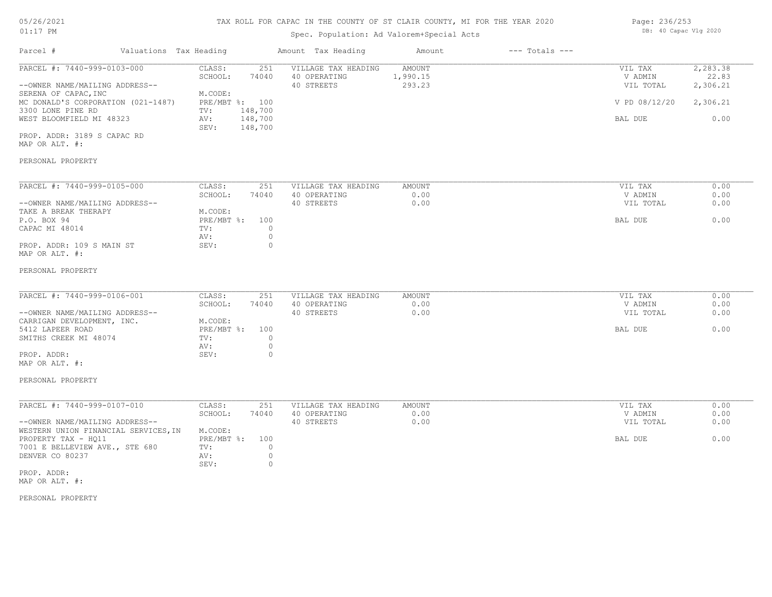# 05/26/2021

## 01:17 PM

## TAX ROLL FOR CAPAC IN THE COUNTY OF ST CLAIR COUNTY, MI FOR THE YEAR 2020

## Spec. Population: Ad Valorem+Special Acts

| Page: 236/253 |                       |  |
|---------------|-----------------------|--|
|               | DB: 40 Capac Vlg 2020 |  |

| Valuations Tax Heading<br>Parcel #                                                                                                                                           |                                                                                                    | Amount Tax Heading                                | Amount                       | $---$ Totals $---$ |                                                             |                                                    |
|------------------------------------------------------------------------------------------------------------------------------------------------------------------------------|----------------------------------------------------------------------------------------------------|---------------------------------------------------|------------------------------|--------------------|-------------------------------------------------------------|----------------------------------------------------|
| PARCEL #: 7440-999-0103-000<br>--OWNER NAME/MAILING ADDRESS--<br>SERENA OF CAPAC, INC<br>MC DONALD'S CORPORATION (021-1487)<br>3300 LONE PINE RD<br>WEST BLOOMFIELD MI 48323 | CLASS:<br>251<br>SCHOOL:<br>74040<br>M.CODE:<br>PRE/MBT %: 100<br>148,700<br>TV:<br>148,700<br>AV: | VILLAGE TAX HEADING<br>40 OPERATING<br>40 STREETS | AMOUNT<br>1,990.15<br>293.23 |                    | VIL TAX<br>V ADMIN<br>VIL TOTAL<br>V PD 08/12/20<br>BAL DUE | 2, 283.38<br>22.83<br>2,306.21<br>2,306.21<br>0.00 |
| PROP. ADDR: 3189 S CAPAC RD<br>MAP OR ALT. #:<br>PERSONAL PROPERTY                                                                                                           | SEV:<br>148,700                                                                                    |                                                   |                              |                    |                                                             |                                                    |
| PARCEL #: 7440-999-0105-000<br>--OWNER NAME/MAILING ADDRESS--<br>TAKE A BREAK THERAPY<br>P.O. BOX 94<br>CAPAC MI 48014                                                       | CLASS:<br>251<br>SCHOOL:<br>74040<br>M.CODE:<br>$PRE/MBT$ $\div$<br>100<br>$\circ$<br>TV:          | VILLAGE TAX HEADING<br>40 OPERATING<br>40 STREETS | AMOUNT<br>0.00<br>0.00       |                    | VIL TAX<br>V ADMIN<br>VIL TOTAL<br>BAL DUE                  | 0.00<br>0.00<br>0.00<br>0.00                       |
| PROP. ADDR: 109 S MAIN ST<br>MAP OR ALT. #:<br>PERSONAL PROPERTY                                                                                                             | $\circ$<br>AV:<br>$\circ$<br>SEV:                                                                  |                                                   |                              |                    |                                                             |                                                    |
| PARCEL #: 7440-999-0106-001<br>--OWNER NAME/MAILING ADDRESS--<br>CARRIGAN DEVELOPMENT, INC.<br>5412 LAPEER ROAD<br>SMITHS CREEK MI 48074                                     | CLASS:<br>251<br>SCHOOL:<br>74040<br>M.CODE:<br>$PRE/MBT$ $\div$<br>100<br>$\circ$<br>TV:          | VILLAGE TAX HEADING<br>40 OPERATING<br>40 STREETS | AMOUNT<br>0.00<br>0.00       |                    | VIL TAX<br>V ADMIN<br>VIL TOTAL<br>BAL DUE                  | 0.00<br>0.00<br>0.00<br>0.00                       |
| PROP. ADDR:<br>MAP OR ALT. #:<br>PERSONAL PROPERTY                                                                                                                           | $\circ$<br>AV:<br>$\circ$<br>SEV:                                                                  |                                                   |                              |                    |                                                             |                                                    |
| PARCEL #: 7440-999-0107-010                                                                                                                                                  | CLASS:<br>251                                                                                      | VILLAGE TAX HEADING                               | <b>AMOUNT</b>                |                    | VIL TAX                                                     | 0.00                                               |
| --OWNER NAME/MAILING ADDRESS--<br>WESTERN UNION FINANCIAL SERVICES, IN                                                                                                       | SCHOOL:<br>74040<br>M.CODE:                                                                        | 40 OPERATING<br>40 STREETS                        | 0.00<br>0.00                 |                    | V ADMIN<br>VIL TOTAL                                        | 0.00<br>0.00                                       |
| PROPERTY TAX - HQ11<br>7001 E BELLEVIEW AVE., STE 680<br>DENVER CO 80237<br>PROP. ADDR:<br>MAP OR ALT. #:                                                                    | PRE/MBT %:<br>100<br>TV:<br>$\circ$<br>$\circ$<br>AV:<br>$\circ$<br>SEV:                           |                                                   |                              |                    | BAL DUE                                                     | 0.00                                               |
| PERSONAL PROPERTY                                                                                                                                                            |                                                                                                    |                                                   |                              |                    |                                                             |                                                    |
|                                                                                                                                                                              |                                                                                                    |                                                   |                              |                    |                                                             |                                                    |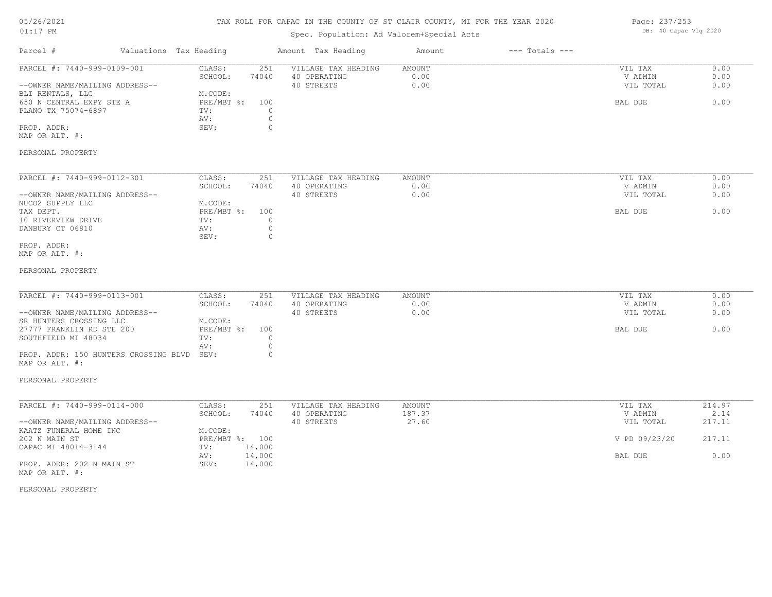## TAX ROLL FOR CAPAC IN THE COUNTY OF ST CLAIR COUNTY, MI FOR THE YEAR 2020

## Spec. Population: Ad Valorem+Special Acts

Parcel # Valuations Tax Heading Amount Tax Heading Amount --- Totals ---

| Page: 237/253 |                       |  |
|---------------|-----------------------|--|
|               | DB: 40 Capac Vlg 2020 |  |

| PARCEL #: 7440-999-0109-001                             | 251<br>CLASS:                     | VILLAGE TAX HEADING | AMOUNT | VIL TAX       | 0.00   |
|---------------------------------------------------------|-----------------------------------|---------------------|--------|---------------|--------|
|                                                         | SCHOOL:<br>74040                  | 40 OPERATING        | 0.00   | V ADMIN       | 0.00   |
| --OWNER NAME/MAILING ADDRESS--                          |                                   | 40 STREETS          | 0.00   | VIL TOTAL     | 0.00   |
| BLI RENTALS, LLC                                        | M.CODE:                           |                     |        |               |        |
| 650 N CENTRAL EXPY STE A                                | PRE/MBT %:<br>100                 |                     |        | BAL DUE       | 0.00   |
| PLANO TX 75074-6897                                     | $\circ$<br>TV:                    |                     |        |               |        |
|                                                         | $\circ$<br>AV:                    |                     |        |               |        |
| PROP. ADDR:                                             | SEV:<br>$\circ$                   |                     |        |               |        |
| MAP OR ALT. #:                                          |                                   |                     |        |               |        |
| PERSONAL PROPERTY                                       |                                   |                     |        |               |        |
| PARCEL #: 7440-999-0112-301                             | CLASS:<br>251                     | VILLAGE TAX HEADING | AMOUNT | VIL TAX       | 0.00   |
|                                                         | SCHOOL:<br>74040                  | 40 OPERATING        | 0.00   | V ADMIN       | 0.00   |
| --OWNER NAME/MAILING ADDRESS--                          |                                   | 40 STREETS          | 0.00   | VIL TOTAL     | 0.00   |
| NUCO2 SUPPLY LLC                                        | M.CODE:                           |                     |        |               |        |
| TAX DEPT.                                               | PRE/MBT %:<br>100                 |                     |        | BAL DUE       | 0.00   |
| 10 RIVERVIEW DRIVE                                      | $\circ$<br>TV:                    |                     |        |               |        |
| DANBURY CT 06810                                        | $\circ$<br>AV:<br>SEV:<br>$\circ$ |                     |        |               |        |
| PROP. ADDR:                                             |                                   |                     |        |               |        |
| MAP OR ALT. #:                                          |                                   |                     |        |               |        |
| PERSONAL PROPERTY                                       |                                   |                     |        |               |        |
| PARCEL #: 7440-999-0113-001                             | CLASS:<br>251                     | VILLAGE TAX HEADING | AMOUNT | VIL TAX       | 0.00   |
|                                                         | SCHOOL:<br>74040                  | 40 OPERATING        | 0.00   | V ADMIN       | 0.00   |
| --OWNER NAME/MAILING ADDRESS--                          |                                   | 40 STREETS          | 0.00   | VIL TOTAL     | 0.00   |
| SR HUNTERS CROSSING LLC                                 | M.CODE:                           |                     |        |               |        |
| 27777 FRANKLIN RD STE 200                               | PRE/MBT %:<br>100                 |                     |        | BAL DUE       | 0.00   |
| SOUTHFIELD MI 48034                                     | TV:<br>$\circ$                    |                     |        |               |        |
|                                                         | $\circ$<br>AV:                    |                     |        |               |        |
| PROP. ADDR: 150 HUNTERS CROSSING BLVD<br>MAP OR ALT. #: | SEV:<br>$\circ$                   |                     |        |               |        |
| PERSONAL PROPERTY                                       |                                   |                     |        |               |        |
| PARCEL #: 7440-999-0114-000                             | CLASS:<br>251                     | VILLAGE TAX HEADING | AMOUNT | VIL TAX       | 214.97 |
|                                                         | SCHOOL:<br>74040                  | 40 OPERATING        | 187.37 | V ADMIN       | 2.14   |
| --OWNER NAME/MAILING ADDRESS--                          |                                   | 40 STREETS          | 27.60  | VIL TOTAL     | 217.11 |
| KAATZ FUNERAL HOME INC                                  | M.CODE:                           |                     |        |               |        |
| 202 N MAIN ST                                           | PRE/MBT %: 100                    |                     |        | V PD 09/23/20 | 217.11 |
| CAPAC MI 48014-3144                                     | 14,000<br>TV:                     |                     |        |               |        |
|                                                         | 14,000<br>AV:                     |                     |        | BAL DUE       | 0.00   |
| PROP. ADDR: 202 N MAIN ST<br>MAP OR ALT. #:             | SEV:<br>14,000                    |                     |        |               |        |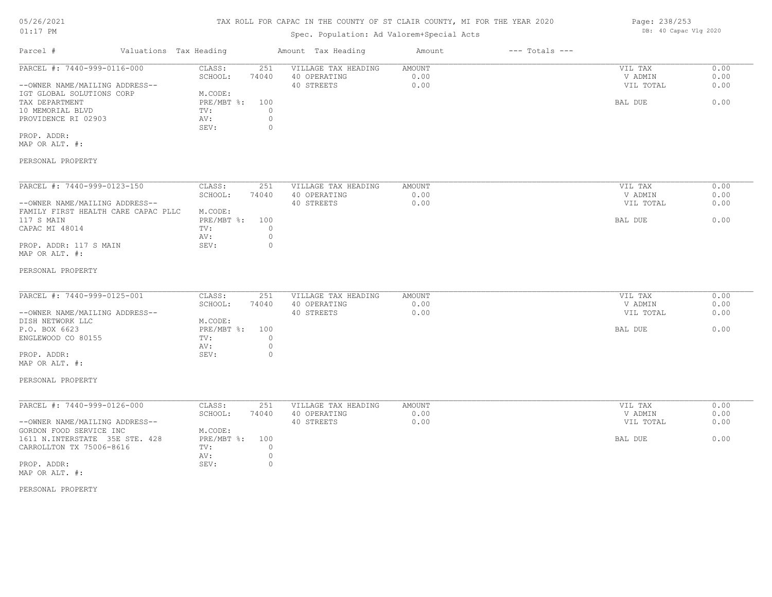## TAX ROLL FOR CAPAC IN THE COUNTY OF ST CLAIR COUNTY, MI FOR THE YEAR 2020

## Spec. Population: Ad Valorem+Special Acts

| Parcel #                       | Valuations Tax Heading |       | Amount Tax Heading  | Amount | $---$ Totals $---$ |           |      |
|--------------------------------|------------------------|-------|---------------------|--------|--------------------|-----------|------|
| PARCEL #: 7440-999-0116-000    | CLASS:                 | 251   | VILLAGE TAX HEADING | AMOUNT |                    | VIL TAX   | 0.00 |
|                                | SCHOOL:                | 74040 | 40 OPERATING        | 0.00   |                    | V ADMIN   | 0.00 |
| --OWNER NAME/MAILING ADDRESS-- |                        |       | 40 STREETS          | 0.00   |                    | VIL TOTAL | 0.00 |
| IGT GLOBAL SOLUTIONS CORP      | M.CODE:                |       |                     |        |                    |           |      |
| TAX DEPARTMENT                 | PRE/MBT %:             | 100   |                     |        |                    | BAL DUE   | 0.00 |
| 10 MEMORIAL BLVD               | TV:                    |       |                     |        |                    |           |      |
| PROVIDENCE RI 02903            | AV:                    |       |                     |        |                    |           |      |
|                                | SEV:                   |       |                     |        |                    |           |      |
| PROP. ADDR:                    |                        |       |                     |        |                    |           |      |

MAP OR ALT. #:

#### PERSONAL PROPERTY

| PARCEL #: 7440-999-0123-150         | CLASS:     | 251   | VILLAGE TAX HEADING | AMOUNT | 0.00<br>VIL TAX   |
|-------------------------------------|------------|-------|---------------------|--------|-------------------|
|                                     | SCHOOL:    | 74040 | 40 OPERATING        | 0.00   | 0.00<br>V ADMIN   |
| --OWNER NAME/MAILING ADDRESS--      |            |       | 40 STREETS          | 0.00   | 0.00<br>VIL TOTAL |
| FAMILY FIRST HEALTH CARE CAPAC PLLC | M.CODE:    |       |                     |        |                   |
| 117 S MAIN                          | PRE/MBT %: | 100   |                     |        | 0.00<br>BAL DUE   |
| CAPAC MI 48014                      | TV:        |       |                     |        |                   |
|                                     | AV:        |       |                     |        |                   |
| PROP. ADDR: 117 S MAIN              | SEV:       |       |                     |        |                   |
| MAP OR ALT. #:                      |            |       |                     |        |                   |

#### PERSONAL PROPERTY

| PARCEL #: 7440-999-0125-001    | CLASS:         | 251   | VILLAGE TAX HEADING | AMOUNT | VIL TAX   | 0.00 |
|--------------------------------|----------------|-------|---------------------|--------|-----------|------|
|                                | SCHOOL:        | 74040 | 40 OPERATING        | 0.00   | V ADMIN   | 0.00 |
| --OWNER NAME/MAILING ADDRESS-- |                |       | 40 STREETS          | 0.00   | VIL TOTAL | 0.00 |
| DISH NETWORK LLC               | M.CODE:        |       |                     |        |           |      |
| P.O. BOX 6623                  | PRE/MBT %: 100 |       |                     |        | BAL DUE   | 0.00 |
| ENGLEWOOD CO 80155             | TV:            |       |                     |        |           |      |
|                                | AV:            |       |                     |        |           |      |
| PROP. ADDR:                    | SEV:           |       |                     |        |           |      |
| MAP OR ALT. #:                 |                |       |                     |        |           |      |

## PERSONAL PROPERTY

| PARCEL #: 7440-999-0126-000    | CLASS:         | 251   | VILLAGE TAX HEADING | AMOUNT | VIL TAX   | 0.00 |
|--------------------------------|----------------|-------|---------------------|--------|-----------|------|
|                                | SCHOOL:        | 74040 | 40 OPERATING        | 0.00   | V ADMIN   | 0.00 |
| --OWNER NAME/MAILING ADDRESS-- |                |       | 40 STREETS          | 0.00   | VIL TOTAL | 0.00 |
| GORDON FOOD SERVICE INC        | M.CODE:        |       |                     |        |           |      |
| 1611 N.INTERSTATE 35E STE. 428 | PRE/MBT %: 100 |       |                     |        | BAL DUE   | 0.00 |
| CARROLLTON TX 75006-8616       | TV:            |       |                     |        |           |      |
|                                | AV:            |       |                     |        |           |      |
| PROP. ADDR:                    | SEV:           |       |                     |        |           |      |
| MAP OR ALT. #:                 |                |       |                     |        |           |      |

#### PERSONAL PROPERTY

Page: 238/253 DB: 40 Capac Vlg 2020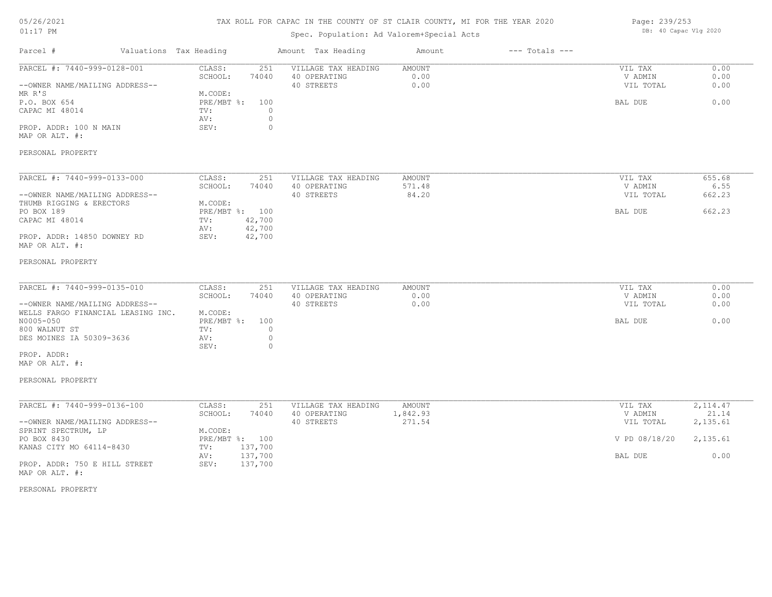## TAX ROLL FOR CAPAC IN THE COUNTY OF ST CLAIR COUNTY, MI FOR THE YEAR 2020

## Spec. Population: Ad Valorem+Special Acts

| Page: 239/253 |                       |  |
|---------------|-----------------------|--|
|               | DB: 40 Capac Vlg 2020 |  |

| 0.00<br>251<br>VILLAGE TAX HEADING<br>AMOUNT<br>CLASS:<br>VIL TAX<br>0.00<br>0.00<br>SCHOOL:<br>74040<br>40 OPERATING<br>V ADMIN<br>40 STREETS<br>0.00<br>VIL TOTAL<br>0.00<br>--OWNER NAME/MAILING ADDRESS--<br>M.CODE:<br>0.00<br>P.O. BOX 654<br>$PRE/MBT$ $\div$<br>BAL DUE<br>100<br>CAPAC MI 48014<br>$\circ$<br>TV:<br>$\circ$<br>AV:<br>PROP. ADDR: 100 N MAIN<br>SEV:<br>$\circ$<br>MAP OR ALT. #:<br>PARCEL #: 7440-999-0133-000<br>CLASS:<br>251<br>VILLAGE TAX HEADING<br>655.68<br>AMOUNT<br>VIL TAX<br>SCHOOL:<br>40 OPERATING<br>571.48<br>V ADMIN<br>6.55<br>74040<br>40 STREETS<br>84.20<br>VIL TOTAL<br>662.23<br>M.CODE:<br>PO BOX 189<br>PRE/MBT %: 100<br>662.23<br>BAL DUE<br>CAPAC MI 48014<br>42,700<br>TV:<br>42,700<br>AV:<br>42,700<br>PROP. ADDR: 14850 DOWNEY RD<br>SEV:<br>PARCEL #: 7440-999-0135-010<br>CLASS:<br>VILLAGE TAX HEADING<br>251<br>AMOUNT<br>VIL TAX<br>0.00<br>SCHOOL:<br>74040<br>40 OPERATING<br>0.00<br>V ADMIN<br>0.00<br>0.00<br>0.00<br>40 STREETS<br>--OWNER NAME/MAILING ADDRESS--<br>VIL TOTAL<br>WELLS FARGO FINANCIAL LEASING INC.<br>M.CODE:<br>N0005-050<br>0.00<br>$PRE/MBT$ $\div$<br>BAL DUE<br>100<br>800 WALNUT ST<br>TV:<br>$\circ$<br>DES MOINES IA 50309-3636<br>$\circ$<br>AV:<br>$\Omega$<br>SEV:<br>PARCEL #: 7440-999-0136-100<br>VILLAGE TAX HEADING<br>2,114.47<br>CLASS:<br>251<br>AMOUNT<br>VIL TAX<br>SCHOOL:<br>40 OPERATING<br>1,842.93<br>21.14<br>74040<br>V ADMIN<br>--OWNER NAME/MAILING ADDRESS--<br>40 STREETS<br>271.54<br>2,135.61<br>VIL TOTAL<br>SPRINT SPECTRUM, LP<br>M.CODE:<br>PRE/MBT %: 100<br>PO BOX 8430<br>V PD 08/18/20<br>2,135.61<br>KANAS CITY MO 64114-8430<br>137,700<br>TV:<br>137,700<br>0.00<br>AV:<br>BAL DUE | Parcel #                       | Valuations Tax Heading | Amount Tax Heading | Amount | $---$ Totals $---$ |  |
|--------------------------------------------------------------------------------------------------------------------------------------------------------------------------------------------------------------------------------------------------------------------------------------------------------------------------------------------------------------------------------------------------------------------------------------------------------------------------------------------------------------------------------------------------------------------------------------------------------------------------------------------------------------------------------------------------------------------------------------------------------------------------------------------------------------------------------------------------------------------------------------------------------------------------------------------------------------------------------------------------------------------------------------------------------------------------------------------------------------------------------------------------------------------------------------------------------------------------------------------------------------------------------------------------------------------------------------------------------------------------------------------------------------------------------------------------------------------------------------------------------------------------------------------------------------------------------------------------------------------------------------------------------------------------------------------------------------------------|--------------------------------|------------------------|--------------------|--------|--------------------|--|
|                                                                                                                                                                                                                                                                                                                                                                                                                                                                                                                                                                                                                                                                                                                                                                                                                                                                                                                                                                                                                                                                                                                                                                                                                                                                                                                                                                                                                                                                                                                                                                                                                                                                                                                          | PARCEL #: 7440-999-0128-001    |                        |                    |        |                    |  |
|                                                                                                                                                                                                                                                                                                                                                                                                                                                                                                                                                                                                                                                                                                                                                                                                                                                                                                                                                                                                                                                                                                                                                                                                                                                                                                                                                                                                                                                                                                                                                                                                                                                                                                                          |                                |                        |                    |        |                    |  |
|                                                                                                                                                                                                                                                                                                                                                                                                                                                                                                                                                                                                                                                                                                                                                                                                                                                                                                                                                                                                                                                                                                                                                                                                                                                                                                                                                                                                                                                                                                                                                                                                                                                                                                                          |                                |                        |                    |        |                    |  |
|                                                                                                                                                                                                                                                                                                                                                                                                                                                                                                                                                                                                                                                                                                                                                                                                                                                                                                                                                                                                                                                                                                                                                                                                                                                                                                                                                                                                                                                                                                                                                                                                                                                                                                                          | MR R'S                         |                        |                    |        |                    |  |
|                                                                                                                                                                                                                                                                                                                                                                                                                                                                                                                                                                                                                                                                                                                                                                                                                                                                                                                                                                                                                                                                                                                                                                                                                                                                                                                                                                                                                                                                                                                                                                                                                                                                                                                          |                                |                        |                    |        |                    |  |
|                                                                                                                                                                                                                                                                                                                                                                                                                                                                                                                                                                                                                                                                                                                                                                                                                                                                                                                                                                                                                                                                                                                                                                                                                                                                                                                                                                                                                                                                                                                                                                                                                                                                                                                          |                                |                        |                    |        |                    |  |
|                                                                                                                                                                                                                                                                                                                                                                                                                                                                                                                                                                                                                                                                                                                                                                                                                                                                                                                                                                                                                                                                                                                                                                                                                                                                                                                                                                                                                                                                                                                                                                                                                                                                                                                          |                                |                        |                    |        |                    |  |
|                                                                                                                                                                                                                                                                                                                                                                                                                                                                                                                                                                                                                                                                                                                                                                                                                                                                                                                                                                                                                                                                                                                                                                                                                                                                                                                                                                                                                                                                                                                                                                                                                                                                                                                          |                                |                        |                    |        |                    |  |
|                                                                                                                                                                                                                                                                                                                                                                                                                                                                                                                                                                                                                                                                                                                                                                                                                                                                                                                                                                                                                                                                                                                                                                                                                                                                                                                                                                                                                                                                                                                                                                                                                                                                                                                          |                                |                        |                    |        |                    |  |
|                                                                                                                                                                                                                                                                                                                                                                                                                                                                                                                                                                                                                                                                                                                                                                                                                                                                                                                                                                                                                                                                                                                                                                                                                                                                                                                                                                                                                                                                                                                                                                                                                                                                                                                          | PERSONAL PROPERTY              |                        |                    |        |                    |  |
|                                                                                                                                                                                                                                                                                                                                                                                                                                                                                                                                                                                                                                                                                                                                                                                                                                                                                                                                                                                                                                                                                                                                                                                                                                                                                                                                                                                                                                                                                                                                                                                                                                                                                                                          |                                |                        |                    |        |                    |  |
|                                                                                                                                                                                                                                                                                                                                                                                                                                                                                                                                                                                                                                                                                                                                                                                                                                                                                                                                                                                                                                                                                                                                                                                                                                                                                                                                                                                                                                                                                                                                                                                                                                                                                                                          |                                |                        |                    |        |                    |  |
|                                                                                                                                                                                                                                                                                                                                                                                                                                                                                                                                                                                                                                                                                                                                                                                                                                                                                                                                                                                                                                                                                                                                                                                                                                                                                                                                                                                                                                                                                                                                                                                                                                                                                                                          |                                |                        |                    |        |                    |  |
|                                                                                                                                                                                                                                                                                                                                                                                                                                                                                                                                                                                                                                                                                                                                                                                                                                                                                                                                                                                                                                                                                                                                                                                                                                                                                                                                                                                                                                                                                                                                                                                                                                                                                                                          | --OWNER NAME/MAILING ADDRESS-- |                        |                    |        |                    |  |
|                                                                                                                                                                                                                                                                                                                                                                                                                                                                                                                                                                                                                                                                                                                                                                                                                                                                                                                                                                                                                                                                                                                                                                                                                                                                                                                                                                                                                                                                                                                                                                                                                                                                                                                          | THUMB RIGGING & ERECTORS       |                        |                    |        |                    |  |
|                                                                                                                                                                                                                                                                                                                                                                                                                                                                                                                                                                                                                                                                                                                                                                                                                                                                                                                                                                                                                                                                                                                                                                                                                                                                                                                                                                                                                                                                                                                                                                                                                                                                                                                          |                                |                        |                    |        |                    |  |
|                                                                                                                                                                                                                                                                                                                                                                                                                                                                                                                                                                                                                                                                                                                                                                                                                                                                                                                                                                                                                                                                                                                                                                                                                                                                                                                                                                                                                                                                                                                                                                                                                                                                                                                          |                                |                        |                    |        |                    |  |
|                                                                                                                                                                                                                                                                                                                                                                                                                                                                                                                                                                                                                                                                                                                                                                                                                                                                                                                                                                                                                                                                                                                                                                                                                                                                                                                                                                                                                                                                                                                                                                                                                                                                                                                          |                                |                        |                    |        |                    |  |
|                                                                                                                                                                                                                                                                                                                                                                                                                                                                                                                                                                                                                                                                                                                                                                                                                                                                                                                                                                                                                                                                                                                                                                                                                                                                                                                                                                                                                                                                                                                                                                                                                                                                                                                          | MAP OR ALT. #:                 |                        |                    |        |                    |  |
|                                                                                                                                                                                                                                                                                                                                                                                                                                                                                                                                                                                                                                                                                                                                                                                                                                                                                                                                                                                                                                                                                                                                                                                                                                                                                                                                                                                                                                                                                                                                                                                                                                                                                                                          | PERSONAL PROPERTY              |                        |                    |        |                    |  |
|                                                                                                                                                                                                                                                                                                                                                                                                                                                                                                                                                                                                                                                                                                                                                                                                                                                                                                                                                                                                                                                                                                                                                                                                                                                                                                                                                                                                                                                                                                                                                                                                                                                                                                                          |                                |                        |                    |        |                    |  |
|                                                                                                                                                                                                                                                                                                                                                                                                                                                                                                                                                                                                                                                                                                                                                                                                                                                                                                                                                                                                                                                                                                                                                                                                                                                                                                                                                                                                                                                                                                                                                                                                                                                                                                                          |                                |                        |                    |        |                    |  |
|                                                                                                                                                                                                                                                                                                                                                                                                                                                                                                                                                                                                                                                                                                                                                                                                                                                                                                                                                                                                                                                                                                                                                                                                                                                                                                                                                                                                                                                                                                                                                                                                                                                                                                                          |                                |                        |                    |        |                    |  |
|                                                                                                                                                                                                                                                                                                                                                                                                                                                                                                                                                                                                                                                                                                                                                                                                                                                                                                                                                                                                                                                                                                                                                                                                                                                                                                                                                                                                                                                                                                                                                                                                                                                                                                                          |                                |                        |                    |        |                    |  |
|                                                                                                                                                                                                                                                                                                                                                                                                                                                                                                                                                                                                                                                                                                                                                                                                                                                                                                                                                                                                                                                                                                                                                                                                                                                                                                                                                                                                                                                                                                                                                                                                                                                                                                                          |                                |                        |                    |        |                    |  |
|                                                                                                                                                                                                                                                                                                                                                                                                                                                                                                                                                                                                                                                                                                                                                                                                                                                                                                                                                                                                                                                                                                                                                                                                                                                                                                                                                                                                                                                                                                                                                                                                                                                                                                                          |                                |                        |                    |        |                    |  |
|                                                                                                                                                                                                                                                                                                                                                                                                                                                                                                                                                                                                                                                                                                                                                                                                                                                                                                                                                                                                                                                                                                                                                                                                                                                                                                                                                                                                                                                                                                                                                                                                                                                                                                                          |                                |                        |                    |        |                    |  |
|                                                                                                                                                                                                                                                                                                                                                                                                                                                                                                                                                                                                                                                                                                                                                                                                                                                                                                                                                                                                                                                                                                                                                                                                                                                                                                                                                                                                                                                                                                                                                                                                                                                                                                                          |                                |                        |                    |        |                    |  |
|                                                                                                                                                                                                                                                                                                                                                                                                                                                                                                                                                                                                                                                                                                                                                                                                                                                                                                                                                                                                                                                                                                                                                                                                                                                                                                                                                                                                                                                                                                                                                                                                                                                                                                                          | PROP. ADDR:                    |                        |                    |        |                    |  |
|                                                                                                                                                                                                                                                                                                                                                                                                                                                                                                                                                                                                                                                                                                                                                                                                                                                                                                                                                                                                                                                                                                                                                                                                                                                                                                                                                                                                                                                                                                                                                                                                                                                                                                                          | MAP OR ALT. #:                 |                        |                    |        |                    |  |
|                                                                                                                                                                                                                                                                                                                                                                                                                                                                                                                                                                                                                                                                                                                                                                                                                                                                                                                                                                                                                                                                                                                                                                                                                                                                                                                                                                                                                                                                                                                                                                                                                                                                                                                          | PERSONAL PROPERTY              |                        |                    |        |                    |  |
|                                                                                                                                                                                                                                                                                                                                                                                                                                                                                                                                                                                                                                                                                                                                                                                                                                                                                                                                                                                                                                                                                                                                                                                                                                                                                                                                                                                                                                                                                                                                                                                                                                                                                                                          |                                |                        |                    |        |                    |  |
|                                                                                                                                                                                                                                                                                                                                                                                                                                                                                                                                                                                                                                                                                                                                                                                                                                                                                                                                                                                                                                                                                                                                                                                                                                                                                                                                                                                                                                                                                                                                                                                                                                                                                                                          |                                |                        |                    |        |                    |  |
|                                                                                                                                                                                                                                                                                                                                                                                                                                                                                                                                                                                                                                                                                                                                                                                                                                                                                                                                                                                                                                                                                                                                                                                                                                                                                                                                                                                                                                                                                                                                                                                                                                                                                                                          |                                |                        |                    |        |                    |  |
|                                                                                                                                                                                                                                                                                                                                                                                                                                                                                                                                                                                                                                                                                                                                                                                                                                                                                                                                                                                                                                                                                                                                                                                                                                                                                                                                                                                                                                                                                                                                                                                                                                                                                                                          |                                |                        |                    |        |                    |  |
|                                                                                                                                                                                                                                                                                                                                                                                                                                                                                                                                                                                                                                                                                                                                                                                                                                                                                                                                                                                                                                                                                                                                                                                                                                                                                                                                                                                                                                                                                                                                                                                                                                                                                                                          |                                |                        |                    |        |                    |  |
|                                                                                                                                                                                                                                                                                                                                                                                                                                                                                                                                                                                                                                                                                                                                                                                                                                                                                                                                                                                                                                                                                                                                                                                                                                                                                                                                                                                                                                                                                                                                                                                                                                                                                                                          |                                |                        |                    |        |                    |  |
|                                                                                                                                                                                                                                                                                                                                                                                                                                                                                                                                                                                                                                                                                                                                                                                                                                                                                                                                                                                                                                                                                                                                                                                                                                                                                                                                                                                                                                                                                                                                                                                                                                                                                                                          |                                |                        |                    |        |                    |  |
|                                                                                                                                                                                                                                                                                                                                                                                                                                                                                                                                                                                                                                                                                                                                                                                                                                                                                                                                                                                                                                                                                                                                                                                                                                                                                                                                                                                                                                                                                                                                                                                                                                                                                                                          | PROP. ADDR: 750 E HILL STREET  | SEV:<br>137,700        |                    |        |                    |  |

PERSONAL PROPERTY

MAP OR ALT. #: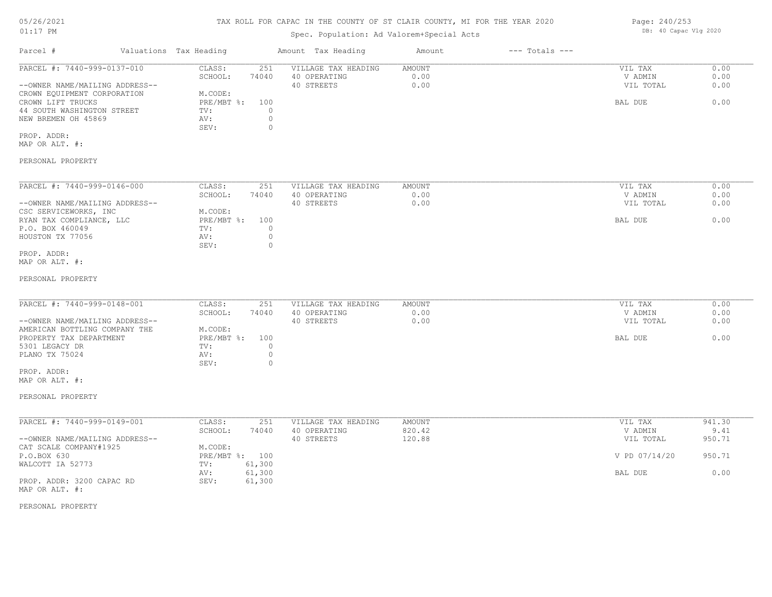## TAX ROLL FOR CAPAC IN THE COUNTY OF ST CLAIR COUNTY, MI FOR THE YEAR 2020

## Spec. Population: Ad Valorem+Special Acts

| Parcel #                       | Valuations Tax Heading |       | Amount Tax Heading  | Amount | $---$ Totals $---$ |           |      |
|--------------------------------|------------------------|-------|---------------------|--------|--------------------|-----------|------|
| PARCEL #: 7440-999-0137-010    | CLASS:                 | 251   | VILLAGE TAX HEADING | AMOUNT |                    | VIL TAX   | 0.00 |
|                                | SCHOOL:                | 74040 | 40 OPERATING        | 0.00   |                    | V ADMIN   | 0.00 |
| --OWNER NAME/MAILING ADDRESS-- |                        |       | 40 STREETS          | 0.00   |                    | VIL TOTAL | 0.00 |
| CROWN EQUIPMENT CORPORATION    | M.CODE:                |       |                     |        |                    |           |      |
| CROWN LIFT TRUCKS              | $PRE/MBT$ %:           | 100   |                     |        |                    | BAL DUE   | 0.00 |
| 44 SOUTH WASHINGTON STREET     | TV:                    |       |                     |        |                    |           |      |
| NEW BREMEN OH 45869            | AV:                    |       |                     |        |                    |           |      |
|                                | SEV:                   |       |                     |        |                    |           |      |
|                                |                        |       |                     |        |                    |           |      |

MAP OR ALT. #: PROP. ADDR:

## PERSONAL PROPERTY

| PARCEL #: 7440-999-0146-000    | CLASS:     | 251   | VILLAGE TAX HEADING | AMOUNT | VIL TAX<br>0.00   |
|--------------------------------|------------|-------|---------------------|--------|-------------------|
|                                | SCHOOL:    | 74040 | 40 OPERATING        | 0.00   | 0.00<br>V ADMIN   |
| --OWNER NAME/MAILING ADDRESS-- |            |       | 40 STREETS          | 0.00   | 0.00<br>VIL TOTAL |
| CSC SERVICEWORKS, INC          | M.CODE:    |       |                     |        |                   |
| RYAN TAX COMPLIANCE, LLC       | PRE/MBT %: | 100   |                     |        | 0.00<br>BAL DUE   |
| P.O. BOX 460049                | TV:        |       |                     |        |                   |
| HOUSTON TX 77056               | AV:        |       |                     |        |                   |
|                                | SEV:       |       |                     |        |                   |
| PROP. ADDR:                    |            |       |                     |        |                   |

MAP OR ALT. #:

#### PERSONAL PROPERTY

| PARCEL #: 7440-999-0148-001    | CLASS:       | 251   | VILLAGE TAX HEADING | AMOUNT | VIL TAX   | 0.00 |
|--------------------------------|--------------|-------|---------------------|--------|-----------|------|
|                                | SCHOOL:      | 74040 | 40 OPERATING        | 0.00   | V ADMIN   | 0.00 |
| --OWNER NAME/MAILING ADDRESS-- |              |       | 40 STREETS          | 0.00   | VIL TOTAL | 0.00 |
| AMERICAN BOTTLING COMPANY THE  | M.CODE:      |       |                     |        |           |      |
| PROPERTY TAX DEPARTMENT        | $PRE/MBT$ %: | 100   |                     |        | BAL DUE   | 0.00 |
| 5301 LEGACY DR                 | TV:          |       |                     |        |           |      |
| PLANO TX 75024                 | AV:          |       |                     |        |           |      |
|                                | SEV:         |       |                     |        |           |      |

MAP OR ALT. #: PROP. ADDR:

#### PERSONAL PROPERTY

| PARCEL #: 7440-999-0149-001    | CLASS:     | 251    | VILLAGE TAX HEADING | AMOUNT | VIL TAX       | 941.30 |
|--------------------------------|------------|--------|---------------------|--------|---------------|--------|
|                                | SCHOOL:    | 74040  | 40 OPERATING        | 820.42 | V ADMIN       | 9.41   |
| --OWNER NAME/MAILING ADDRESS-- |            |        | 40 STREETS          | 120.88 | VIL TOTAL     | 950.71 |
| CAT SCALE COMPANY#1925         | M.CODE:    |        |                     |        |               |        |
| P.O.BOX 630                    | PRE/MBT %: | 100    |                     |        | V PD 07/14/20 | 950.71 |
| WALCOTT IA 52773               | TV:        | 61,300 |                     |        |               |        |
|                                | AV:        | 61,300 |                     |        | BAL DUE       | 0.00   |
| PROP. ADDR: 3200 CAPAC RD      | SEV:       | 61,300 |                     |        |               |        |
| MAP OR ALT. #:                 |            |        |                     |        |               |        |

#### PERSONAL PROPERTY

Page: 240/253 DB: 40 Capac Vlg 2020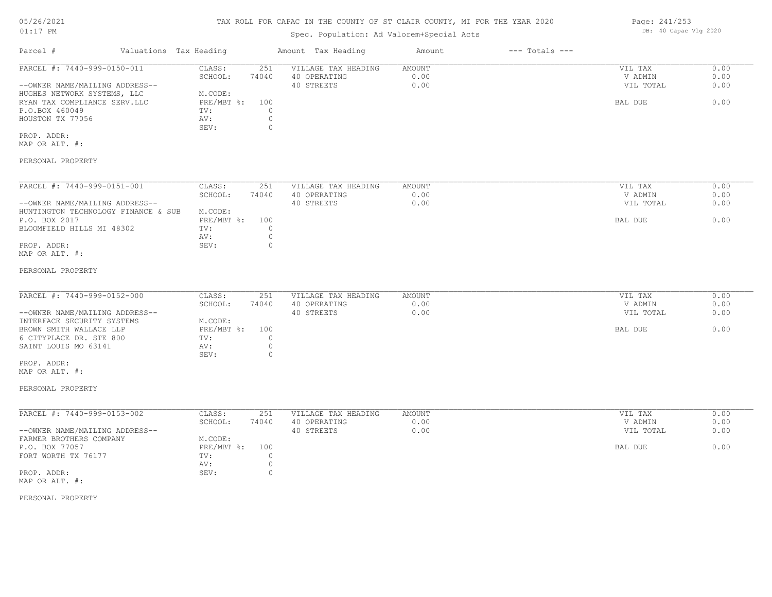## TAX ROLL FOR CAPAC IN THE COUNTY OF ST CLAIR COUNTY, MI FOR THE YEAR 2020

## Spec. Population: Ad Valorem+Special Acts

| Parcel #                       | Valuations Tax Heading |       | Amount Tax Heading  | Amount | $---$ Totals $---$ |           |      |
|--------------------------------|------------------------|-------|---------------------|--------|--------------------|-----------|------|
| PARCEL #: 7440-999-0150-011    | CLASS:                 | 251   | VILLAGE TAX HEADING | AMOUNT |                    | VIL TAX   | 0.00 |
|                                | SCHOOL:                | 74040 | 40 OPERATING        | 0.00   |                    | V ADMIN   | 0.00 |
| --OWNER NAME/MAILING ADDRESS-- |                        |       | 40 STREETS          | 0.00   |                    | VIL TOTAL | 0.00 |
| HUGHES NETWORK SYSTEMS, LLC    | M.CODE:                |       |                     |        |                    |           |      |
| RYAN TAX COMPLIANCE SERV.LLC   | PRE/MBT %:             | 100   |                     |        |                    | BAL DUE   | 0.00 |
| P.O.BOX 460049                 | TV:                    |       |                     |        |                    |           |      |
| HOUSTON TX 77056               | AV:                    |       |                     |        |                    |           |      |
|                                | SEV:                   |       |                     |        |                    |           |      |
| PROP. ADDR:                    |                        |       |                     |        |                    |           |      |
| MAP OR ALT. #:                 |                        |       |                     |        |                    |           |      |
| PERSONAL PROPERTY              |                        |       |                     |        |                    |           |      |
|                                |                        |       |                     |        |                    |           |      |
| PARCEL #: 7440-999-0151-001    | CLASS:                 | 251   | VILLAGE TAX HEADING | AMOUNT |                    | VIL TAX   | 0.00 |
|                                | SCHOOL:                | 74040 | 40 OPERATING        | 0.00   |                    | V ADMIN   | 0.00 |

| --OWNER NAME/MAILING ADDRESS--      |                | 40 STREETS | 0.00 | VIL TOTAL | 0.00 |
|-------------------------------------|----------------|------------|------|-----------|------|
| HUNTINGTON TECHNOLOGY FINANCE & SUB | M.CODE:        |            |      |           |      |
| P.O. BOX 2017                       | PRE/MBT %: 100 |            |      | BAL DUE   | 0.00 |
| BLOOMFIELD HILLS MI 48302           | TV:            |            |      |           |      |
|                                     | AV:            |            |      |           |      |
| PROP. ADDR:                         | SEV:           |            |      |           |      |
| MAP OR ALT. #:                      |                |            |      |           |      |

#### PERSONAL PROPERTY

| PARCEL #: 7440-999-0152-000    | CLASS:     | 251   | VILLAGE TAX HEADING | AMOUNT | VIL TAX   | 0.00 |
|--------------------------------|------------|-------|---------------------|--------|-----------|------|
|                                | SCHOOL:    | 74040 | 40 OPERATING        | 0.00   | V ADMIN   | 0.00 |
| --OWNER NAME/MAILING ADDRESS-- |            |       | 40 STREETS          | 0.00   | VIL TOTAL | 0.00 |
| INTERFACE SECURITY SYSTEMS     | M.CODE:    |       |                     |        |           |      |
| BROWN SMITH WALLACE LLP        | PRE/MBT %: | 100   |                     |        | BAL DUE   | 0.00 |
| 6 CITYPLACE DR. STE 800        | TV:        |       |                     |        |           |      |
| SAINT LOUIS MO 63141           | AV:        |       |                     |        |           |      |
|                                | SEV:       |       |                     |        |           |      |

MAP OR ALT. #: PROP. ADDR:

## PERSONAL PROPERTY

| PARCEL #: 7440-999-0153-002    | CLASS:     | 251   | VILLAGE TAX HEADING | AMOUNT | VIL TAX   | 0.00 |
|--------------------------------|------------|-------|---------------------|--------|-----------|------|
|                                | SCHOOL:    | 74040 | 40 OPERATING        | 0.00   | V ADMIN   | 0.00 |
| --OWNER NAME/MAILING ADDRESS-- |            |       | 40 STREETS          | 0.00   | VIL TOTAL | 0.00 |
| FARMER BROTHERS COMPANY        | M.CODE:    |       |                     |        |           |      |
| P.O. BOX 77057                 | PRE/MBT %: | 100   |                     |        | BAL DUE   | 0.00 |
| FORT WORTH TX 76177            | TV:        |       |                     |        |           |      |
|                                | AV:        |       |                     |        |           |      |
| PROP. ADDR:                    | SEV:       |       |                     |        |           |      |
| MAP OR ALT. #:                 |            |       |                     |        |           |      |

PERSONAL PROPERTY

Page: 241/253 DB: 40 Capac Vlg 2020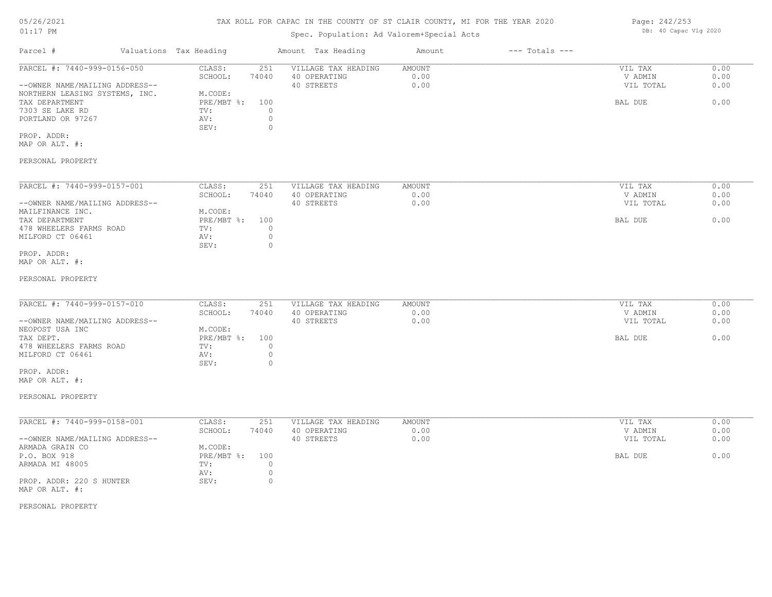## TAX ROLL FOR CAPAC IN THE COUNTY OF ST CLAIR COUNTY, MI FOR THE YEAR 2020

## Spec. Population: Ad Valorem+Special Acts

| Parcel #                       | Valuations Tax Heading |       | Amount Tax Heading  | Amount | $---$ Totals $---$ |           |      |
|--------------------------------|------------------------|-------|---------------------|--------|--------------------|-----------|------|
| PARCEL #: 7440-999-0156-050    | CLASS:                 | 251   | VILLAGE TAX HEADING | AMOUNT |                    | VIL TAX   | 0.00 |
|                                | SCHOOL:                | 74040 | 40 OPERATING        | 0.00   |                    | V ADMIN   | 0.00 |
| --OWNER NAME/MAILING ADDRESS-- |                        |       | 40 STREETS          | 0.00   |                    | VIL TOTAL | 0.00 |
| NORTHERN LEASING SYSTEMS, INC. | M.CODE:                |       |                     |        |                    |           |      |
| TAX DEPARTMENT                 | PRE/MBT %: 100         |       |                     |        |                    | BAL DUE   | 0.00 |
| 7303 SE LAKE RD                | TV:                    |       |                     |        |                    |           |      |
| PORTLAND OR 97267              | AV:                    |       |                     |        |                    |           |      |
|                                | SEV:                   |       |                     |        |                    |           |      |
|                                |                        |       |                     |        |                    |           |      |

MAP OR ALT. #: PROP. ADDR:

#### PERSONAL PROPERTY

| PARCEL #: 7440-999-0157-001    | CLASS:     | 251   | VILLAGE TAX HEADING | AMOUNT | 0.00<br>VIL TAX   |
|--------------------------------|------------|-------|---------------------|--------|-------------------|
|                                | SCHOOL:    | 74040 | 40 OPERATING        | 0.00   | 0.00<br>V ADMIN   |
| --OWNER NAME/MAILING ADDRESS-- |            |       | 40 STREETS          | 0.00   | 0.00<br>VIL TOTAL |
| MAILFINANCE INC.               | M.CODE:    |       |                     |        |                   |
| TAX DEPARTMENT                 | PRE/MBT %: | 100   |                     |        | 0.00<br>BAL DUE   |
| 478 WHEELERS FARMS ROAD        | TV:        |       |                     |        |                   |
| MILFORD CT 06461               | AV:        |       |                     |        |                   |
|                                | SEV:       |       |                     |        |                   |
| PROP. ADDR:                    |            |       |                     |        |                   |

MAP OR ALT. #:

#### PERSONAL PROPERTY

| PARCEL #: 7440-999-0157-010    | CLASS:     | 251   | VILLAGE TAX HEADING | AMOUNT | VIL TAX   | 0.00 |
|--------------------------------|------------|-------|---------------------|--------|-----------|------|
|                                | SCHOOL:    | 74040 | 40 OPERATING        | 0.00   | V ADMIN   | 0.00 |
| --OWNER NAME/MAILING ADDRESS-- |            |       | 40 STREETS          | 0.00   | VIL TOTAL | 0.00 |
| NEOPOST USA INC                | M.CODE:    |       |                     |        |           |      |
| TAX DEPT.                      | PRE/MBT %: | 100   |                     |        | BAL DUE   | 0.00 |
| 478 WHEELERS FARMS ROAD        | TV:        |       |                     |        |           |      |
| MILFORD CT 06461               | AV:        |       |                     |        |           |      |
|                                | SEV:       |       |                     |        |           |      |

MAP OR ALT. #: PROP. ADDR:

#### PERSONAL PROPERTY

| PARCEL #: 7440-999-0158-001    | CLASS:       | 251   | VILLAGE TAX HEADING | AMOUNT | VIL TAX   | 0.00 |
|--------------------------------|--------------|-------|---------------------|--------|-----------|------|
|                                | SCHOOL:      | 74040 | 40 OPERATING        | 0.00   | V ADMIN   | 0.00 |
| --OWNER NAME/MAILING ADDRESS-- |              |       | 40 STREETS          | 0.00   | VIL TOTAL | 0.00 |
| ARMADA GRAIN CO                | M.CODE:      |       |                     |        |           |      |
| P.O. BOX 918                   | $PRE/MBT$ %: | 100   |                     |        | BAL DUE   | 0.00 |
| ARMADA MI 48005                | TV:          |       |                     |        |           |      |
|                                | AV:          |       |                     |        |           |      |
| PROP. ADDR: 220 S HUNTER       | SEV:         |       |                     |        |           |      |
| MAP OR ALT. #:                 |              |       |                     |        |           |      |

#### PERSONAL PROPERTY

Page: 242/253 DB: 40 Capac Vlg 2020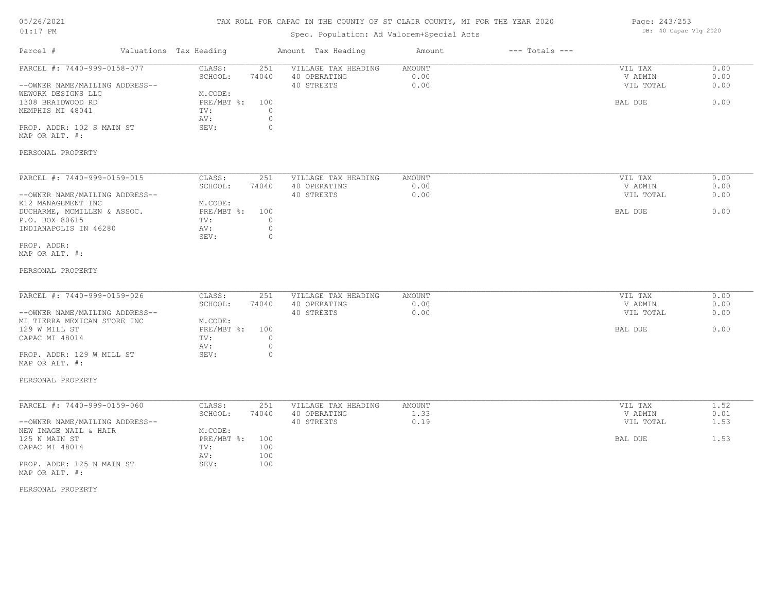## TAX ROLL FOR CAPAC IN THE COUNTY OF ST CLAIR COUNTY, MI FOR THE YEAR 2020

## Spec. Population: Ad Valorem+Special Acts

| Page: 243/253 |                       |  |
|---------------|-----------------------|--|
|               | DB: 40 Capac Vlg 2020 |  |

| Parcel #                                                                                     | Valuations Tax Heading |                                         |                                  | Amount Tax Heading                                | Amount                 | $---$ Totals $---$ |                                 |                      |
|----------------------------------------------------------------------------------------------|------------------------|-----------------------------------------|----------------------------------|---------------------------------------------------|------------------------|--------------------|---------------------------------|----------------------|
| PARCEL #: 7440-999-0158-077<br>--OWNER NAME/MAILING ADDRESS--<br>WEWORK DESIGNS LLC          |                        | CLASS:<br>SCHOOL:<br>M.CODE:            | 251<br>74040                     | VILLAGE TAX HEADING<br>40 OPERATING<br>40 STREETS | AMOUNT<br>0.00<br>0.00 |                    | VIL TAX<br>V ADMIN<br>VIL TOTAL | 0.00<br>0.00<br>0.00 |
| 1308 BRAIDWOOD RD<br>MEMPHIS MI 48041                                                        |                        | $PRE/MBT$ $\div$<br>TV:<br>AV:          | 100<br>$\circ$<br>$\circledcirc$ |                                                   |                        |                    | BAL DUE                         | 0.00                 |
| PROP. ADDR: 102 S MAIN ST<br>MAP OR ALT. #:                                                  |                        | SEV:                                    | $\circ$                          |                                                   |                        |                    |                                 |                      |
| PERSONAL PROPERTY                                                                            |                        |                                         |                                  |                                                   |                        |                    |                                 |                      |
| PARCEL #: 7440-999-0159-015                                                                  |                        | CLASS:<br>SCHOOL:                       | 251<br>74040                     | VILLAGE TAX HEADING<br>40 OPERATING               | AMOUNT<br>0.00         |                    | VIL TAX<br>V ADMIN              | 0.00<br>0.00         |
| --OWNER NAME/MAILING ADDRESS--                                                               |                        |                                         |                                  | 40 STREETS                                        | 0.00                   |                    | VIL TOTAL                       | 0.00                 |
| K12 MANAGEMENT INC<br>DUCHARME, MCMILLEN & ASSOC.<br>P.O. BOX 80615<br>INDIANAPOLIS IN 46280 |                        | M.CODE:<br>PRE/MBT %: 100<br>TV:<br>AV: | $\circ$<br>$\circ$               |                                                   |                        |                    | BAL DUE                         | 0.00                 |
|                                                                                              |                        | SEV:                                    | $\circ$                          |                                                   |                        |                    |                                 |                      |
| PROP. ADDR:<br>MAP OR ALT. #:                                                                |                        |                                         |                                  |                                                   |                        |                    |                                 |                      |
| PERSONAL PROPERTY                                                                            |                        |                                         |                                  |                                                   |                        |                    |                                 |                      |
| PARCEL #: 7440-999-0159-026                                                                  |                        | CLASS:<br>SCHOOL:                       | 251<br>74040                     | VILLAGE TAX HEADING<br>40 OPERATING               | AMOUNT<br>0.00         |                    | VIL TAX<br>V ADMIN              | 0.00<br>0.00         |
| --OWNER NAME/MAILING ADDRESS--                                                               |                        | M.CODE:                                 |                                  | 40 STREETS                                        | 0.00                   |                    | VIL TOTAL                       | 0.00                 |
| MI TIERRA MEXICAN STORE INC<br>129 W MILL ST<br>CAPAC MI 48014                               |                        | PRE/MBT %: 100<br>TV:<br>AV:            | $\circ$<br>$\circ$               |                                                   |                        |                    | BAL DUE                         | 0.00                 |
| PROP. ADDR: 129 W MILL ST<br>MAP OR ALT. #:                                                  |                        | SEV:                                    | $\circ$                          |                                                   |                        |                    |                                 |                      |
| PERSONAL PROPERTY                                                                            |                        |                                         |                                  |                                                   |                        |                    |                                 |                      |
| PARCEL #: 7440-999-0159-060                                                                  |                        | CLASS:<br>SCHOOL:                       | 251<br>74040                     | VILLAGE TAX HEADING<br>40 OPERATING               | AMOUNT<br>1.33         |                    | VIL TAX<br>V ADMIN              | 1.52<br>0.01         |
| --OWNER NAME/MAILING ADDRESS--<br>NEW IMAGE NAIL & HAIR                                      |                        | M.CODE:                                 |                                  | 40 STREETS                                        | 0.19                   |                    | VIL TOTAL                       | 1.53                 |
| 125 N MAIN ST<br>CAPAC MI 48014                                                              |                        | PRE/MBT %:<br>TV:                       | 100<br>100                       |                                                   |                        |                    | BAL DUE                         | 1.53                 |
| PROP. ADDR: 125 N MAIN ST<br>MAP OR ALT. #:                                                  |                        | AV:<br>SEV:                             | 100<br>100                       |                                                   |                        |                    |                                 |                      |
| PERSONAL PROPERTY                                                                            |                        |                                         |                                  |                                                   |                        |                    |                                 |                      |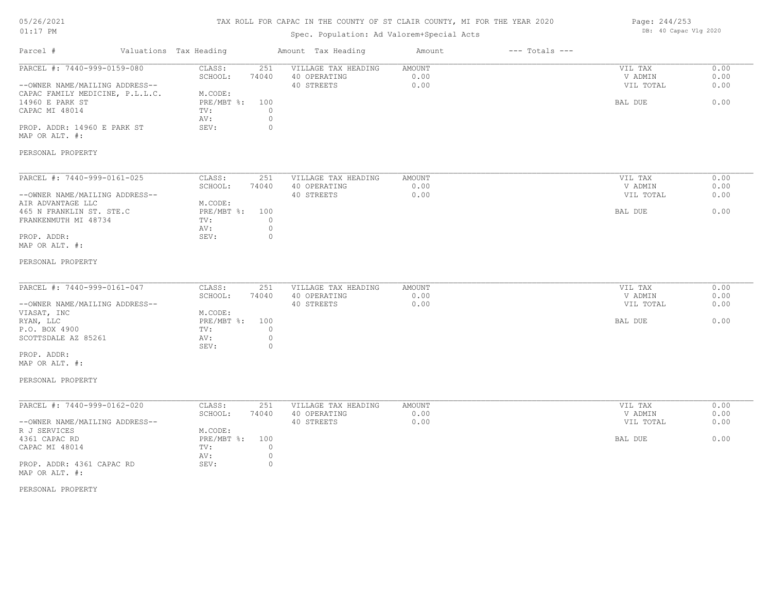## TAX ROLL FOR CAPAC IN THE COUNTY OF ST CLAIR COUNTY, MI FOR THE YEAR 2020

## Spec. Population: Ad Valorem+Special Acts

| Page: 244/253 |                       |  |
|---------------|-----------------------|--|
|               | DB: 40 Capac Vlg 2020 |  |

| Parcel #                                                                                                                                                                                                    | Valuations Tax Heading                                                                                                   | Amount Tax Heading                                | Amount                        | $---$ Totals $---$ |                                            |                              |
|-------------------------------------------------------------------------------------------------------------------------------------------------------------------------------------------------------------|--------------------------------------------------------------------------------------------------------------------------|---------------------------------------------------|-------------------------------|--------------------|--------------------------------------------|------------------------------|
| PARCEL #: 7440-999-0159-080<br>--OWNER NAME/MAILING ADDRESS--<br>CAPAC FAMILY MEDICINE, P.L.L.C.<br>14960 E PARK ST<br>CAPAC MI 48014<br>PROP. ADDR: 14960 E PARK ST<br>MAP OR ALT. #:<br>PERSONAL PROPERTY | CLASS:<br>251<br>SCHOOL:<br>74040<br>M.CODE:<br>PRE/MBT %:<br>100<br>$\circ$<br>TV:<br>$\circ$<br>AV:<br>$\circ$<br>SEV: | VILLAGE TAX HEADING<br>40 OPERATING<br>40 STREETS | AMOUNT<br>0.00<br>0.00        |                    | VIL TAX<br>V ADMIN<br>VIL TOTAL<br>BAL DUE | 0.00<br>0.00<br>0.00<br>0.00 |
| PARCEL #: 7440-999-0161-025<br>--OWNER NAME/MAILING ADDRESS--<br>AIR ADVANTAGE LLC<br>465 N FRANKLIN ST. STE.C<br>FRANKENMUTH MI 48734<br>PROP. ADDR:<br>MAP OR ALT. #:<br>PERSONAL PROPERTY                | CLASS:<br>251<br>SCHOOL:<br>74040<br>M.CODE:<br>PRE/MBT %:<br>100<br>$\circ$<br>TV:<br>$\circ$<br>AV:<br>SEV:<br>$\circ$ | VILLAGE TAX HEADING<br>40 OPERATING<br>40 STREETS | AMOUNT<br>0.00<br>0.00        |                    | VIL TAX<br>V ADMIN<br>VIL TOTAL<br>BAL DUE | 0.00<br>0.00<br>0.00<br>0.00 |
| PARCEL #: 7440-999-0161-047<br>--OWNER NAME/MAILING ADDRESS--<br>VIASAT, INC<br>RYAN, LLC<br>P.O. BOX 4900<br>SCOTTSDALE AZ 85261<br>PROP. ADDR:<br>MAP OR ALT. #:<br>PERSONAL PROPERTY                     | CLASS:<br>251<br>SCHOOL:<br>74040<br>M.CODE:<br>PRE/MBT %:<br>100<br>TV:<br>$\circ$<br>$\circ$<br>AV:<br>$\circ$<br>SEV: | VILLAGE TAX HEADING<br>40 OPERATING<br>40 STREETS | AMOUNT<br>0.00<br>0.00        |                    | VIL TAX<br>V ADMIN<br>VIL TOTAL<br>BAL DUE | 0.00<br>0.00<br>0.00<br>0.00 |
| PARCEL #: 7440-999-0162-020<br>--OWNER NAME/MAILING ADDRESS--<br>R J SERVICES<br>4361 CAPAC RD<br>CAPAC MI 48014<br>PROP. ADDR: 4361 CAPAC RD<br>MAP OR ALT. #:                                             | CLASS:<br>251<br>SCHOOL:<br>74040<br>M.CODE:<br>PRE/MBT %:<br>100<br>$\circ$<br>TV:<br>$\circ$<br>AV:<br>$\circ$<br>SEV: | VILLAGE TAX HEADING<br>40 OPERATING<br>40 STREETS | <b>AMOUNT</b><br>0.00<br>0.00 |                    | VIL TAX<br>V ADMIN<br>VIL TOTAL<br>BAL DUE | 0.00<br>0.00<br>0.00<br>0.00 |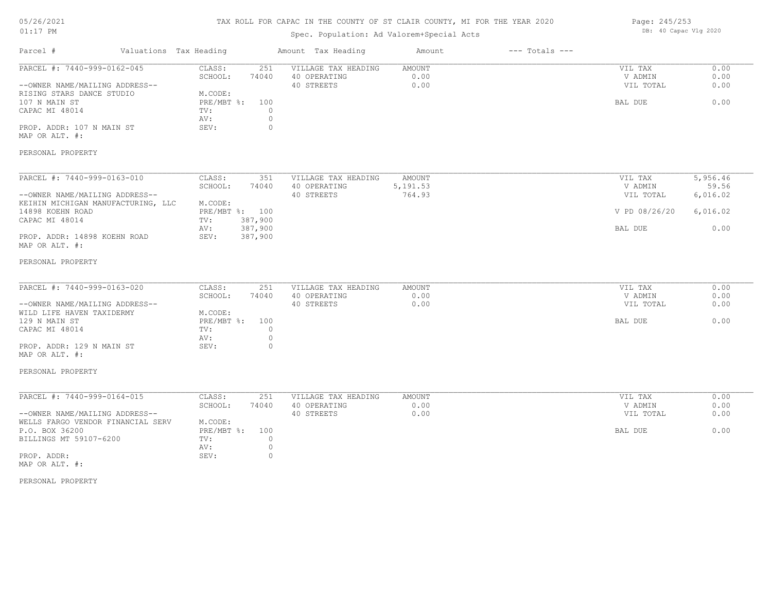## TAX ROLL FOR CAPAC IN THE COUNTY OF ST CLAIR COUNTY, MI FOR THE YEAR 2020

## Spec. Population: Ad Valorem+Special Acts

|  | Page: 245/253         |  |  |  |  |  |
|--|-----------------------|--|--|--|--|--|
|  | DB: 40 Capac Vlg 2020 |  |  |  |  |  |

| Parcel #                                                             | Valuations Tax Heading              | Amount Tax Heading                                       | Amount                        | $---$ Totals $---$ |                                 |                      |
|----------------------------------------------------------------------|-------------------------------------|----------------------------------------------------------|-------------------------------|--------------------|---------------------------------|----------------------|
| PARCEL #: 7440-999-0162-045<br>--OWNER NAME/MAILING ADDRESS--        | CLASS:<br>SCHOOL:<br>74040          | 251<br>VILLAGE TAX HEADING<br>40 OPERATING<br>40 STREETS | <b>AMOUNT</b><br>0.00<br>0.00 |                    | VIL TAX<br>V ADMIN<br>VIL TOTAL | 0.00<br>0.00<br>0.00 |
| RISING STARS DANCE STUDIO<br>107 N MAIN ST<br>CAPAC MI 48014         | M.CODE:<br>PRE/MBT %:<br>TV:<br>AV: | 100<br>$\circ$<br>$\circ$                                |                               |                    | BAL DUE                         | 0.00                 |
| PROP. ADDR: 107 N MAIN ST<br>MAP OR ALT. #:                          | SEV:                                | 0                                                        |                               |                    |                                 |                      |
| PERSONAL PROPERTY                                                    |                                     |                                                          |                               |                    |                                 |                      |
| PARCEL #: 7440-999-0163-010                                          | CLASS:<br>SCHOOL:<br>74040          | 351<br>VILLAGE TAX HEADING<br>40 OPERATING               | AMOUNT<br>5, 191.53           |                    | VIL TAX<br>V ADMIN              | 5,956.46<br>59.56    |
| --OWNER NAME/MAILING ADDRESS--<br>KEIHIN MICHIGAN MANUFACTURING, LLC | M.CODE:                             | 40 STREETS                                               | 764.93                        |                    | VIL TOTAL                       | 6,016.02             |
| 14898 KOEHN ROAD<br>CAPAC MI 48014                                   | PRE/MBT %: 100<br>387,900<br>TV:    |                                                          |                               |                    | V PD 08/26/20                   | 6,016.02             |
| PROP. ADDR: 14898 KOEHN ROAD<br>MAP OR ALT. #:                       | 387,900<br>AV:<br>SEV:<br>387,900   |                                                          |                               |                    | BAL DUE                         | 0.00                 |
| PERSONAL PROPERTY                                                    |                                     |                                                          |                               |                    |                                 |                      |
| PARCEL #: 7440-999-0163-020                                          | CLASS:<br>SCHOOL:<br>74040          | 251<br>VILLAGE TAX HEADING<br>40 OPERATING               | AMOUNT<br>0.00                |                    | VIL TAX<br>V ADMIN              | 0.00<br>0.00         |
| --OWNER NAME/MAILING ADDRESS--<br>WILD LIFE HAVEN TAXIDERMY          | M.CODE:                             | 40 STREETS                                               | 0.00                          |                    | VIL TOTAL                       | 0.00                 |
| 129 N MAIN ST<br>CAPAC MI 48014                                      | PRE/MBT %:<br>TV:<br>AV:            | 100<br>$\circ$<br>$\circ$                                |                               |                    | BAL DUE                         | 0.00                 |
| PROP. ADDR: 129 N MAIN ST<br>MAP OR ALT. #:                          | SEV:                                | $\circ$                                                  |                               |                    |                                 |                      |
| PERSONAL PROPERTY                                                    |                                     |                                                          |                               |                    |                                 |                      |
| PARCEL #: 7440-999-0164-015                                          | CLASS:<br>SCHOOL:<br>74040          | 251<br>VILLAGE TAX HEADING<br>40 OPERATING               | <b>AMOUNT</b><br>0.00         |                    | VIL TAX<br>V ADMIN              | 0.00<br>0.00         |
| --OWNER NAME/MAILING ADDRESS--<br>WELLS FARGO VENDOR FINANCIAL SERV  | M.CODE:                             | 40 STREETS                                               | 0.00                          |                    | VIL TOTAL                       | 0.00                 |
| P.O. BOX 36200<br>BILLINGS MT 59107-6200                             | PRE/MBT %:<br>TV:<br>AV:            | 100<br>$\circ$<br>$\circ$                                |                               |                    | BAL DUE                         | 0.00                 |
| PROP. ADDR:<br>MAP OR ALT. #:                                        | SEV:                                | $\circ$                                                  |                               |                    |                                 |                      |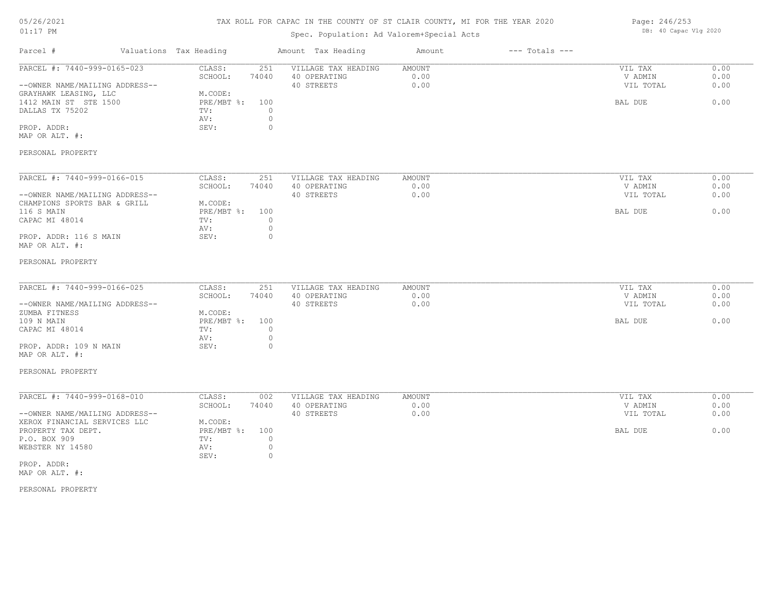## TAX ROLL FOR CAPAC IN THE COUNTY OF ST CLAIR COUNTY, MI FOR THE YEAR 2020

## Spec. Population: Ad Valorem+Special Acts

| Page: 246/253 |                       |  |
|---------------|-----------------------|--|
|               | DB: 40 Capac Vlg 2020 |  |

| Parcel #                                       | Valuations Tax Heading            | Amount Tax Heading  | Amount        | $---$ Totals $---$ |           |      |
|------------------------------------------------|-----------------------------------|---------------------|---------------|--------------------|-----------|------|
| PARCEL #: 7440-999-0165-023                    | CLASS:<br>251                     | VILLAGE TAX HEADING | <b>AMOUNT</b> |                    | VIL TAX   | 0.00 |
|                                                | 74040<br>SCHOOL:                  | 40 OPERATING        | 0.00          |                    | V ADMIN   | 0.00 |
| --OWNER NAME/MAILING ADDRESS--                 | M.CODE:                           | 40 STREETS          | 0.00          |                    | VIL TOTAL | 0.00 |
| GRAYHAWK LEASING, LLC<br>1412 MAIN ST STE 1500 | PRE/MBT %: 100                    |                     |               |                    | BAL DUE   | 0.00 |
| DALLAS TX 75202                                | $\circ$<br>TV:                    |                     |               |                    |           |      |
|                                                | $\circ$<br>AV:                    |                     |               |                    |           |      |
| PROP. ADDR:                                    | SEV:<br>$\circ$                   |                     |               |                    |           |      |
| MAP OR ALT. #:                                 |                                   |                     |               |                    |           |      |
|                                                |                                   |                     |               |                    |           |      |
| PERSONAL PROPERTY                              |                                   |                     |               |                    |           |      |
| PARCEL #: 7440-999-0166-015                    | CLASS:<br>251                     | VILLAGE TAX HEADING | AMOUNT        |                    | VIL TAX   | 0.00 |
|                                                | SCHOOL:<br>74040                  | 40 OPERATING        | 0.00          |                    | V ADMIN   | 0.00 |
| --OWNER NAME/MAILING ADDRESS--                 |                                   | 40 STREETS          | 0.00          |                    | VIL TOTAL | 0.00 |
| CHAMPIONS SPORTS BAR & GRILL                   | M.CODE:                           |                     |               |                    |           |      |
| 116 S MAIN                                     | PRE/MBT %:<br>100                 |                     |               |                    | BAL DUE   | 0.00 |
| CAPAC MI 48014                                 | $\circ$<br>TV:                    |                     |               |                    |           |      |
|                                                | $\circ$<br>AV:                    |                     |               |                    |           |      |
| PROP. ADDR: 116 S MAIN                         | $\circ$<br>SEV:                   |                     |               |                    |           |      |
| MAP OR ALT. #:                                 |                                   |                     |               |                    |           |      |
|                                                |                                   |                     |               |                    |           |      |
| PERSONAL PROPERTY                              |                                   |                     |               |                    |           |      |
| PARCEL #: 7440-999-0166-025                    | CLASS:<br>251                     | VILLAGE TAX HEADING | <b>AMOUNT</b> |                    | VIL TAX   | 0.00 |
|                                                | SCHOOL:<br>74040                  | 40 OPERATING        | 0.00          |                    | V ADMIN   | 0.00 |
| --OWNER NAME/MAILING ADDRESS--                 |                                   | 40 STREETS          | 0.00          |                    | VIL TOTAL | 0.00 |
| ZUMBA FITNESS                                  | M.CODE:                           |                     |               |                    |           |      |
| 109 N MAIN                                     | PRE/MBT %:<br>100                 |                     |               |                    | BAL DUE   | 0.00 |
| CAPAC MI 48014                                 | $\circ$<br>TV:                    |                     |               |                    |           |      |
|                                                | $\circ$<br>AV:                    |                     |               |                    |           |      |
| PROP. ADDR: 109 N MAIN                         | $\circ$<br>SEV:                   |                     |               |                    |           |      |
| MAP OR ALT. #:                                 |                                   |                     |               |                    |           |      |
| PERSONAL PROPERTY                              |                                   |                     |               |                    |           |      |
|                                                |                                   |                     |               |                    |           |      |
| PARCEL #: 7440-999-0168-010                    | CLASS:<br>002                     | VILLAGE TAX HEADING | AMOUNT        |                    | VIL TAX   | 0.00 |
|                                                | SCHOOL:<br>74040                  | 40 OPERATING        | 0.00          |                    | V ADMIN   | 0.00 |
| --OWNER NAME/MAILING ADDRESS--                 |                                   | 40 STREETS          | 0.00          |                    | VIL TOTAL | 0.00 |
| XEROX FINANCIAL SERVICES LLC                   | M.CODE:                           |                     |               |                    |           |      |
| PROPERTY TAX DEPT.                             | PRE/MBT %:<br>100                 |                     |               |                    | BAL DUE   | 0.00 |
| P.O. BOX 909                                   | $\circ$<br>TV:                    |                     |               |                    |           |      |
| WEBSTER NY 14580                               | $\circ$<br>AV:<br>SEV:<br>$\circ$ |                     |               |                    |           |      |
| PROP. ADDR:                                    |                                   |                     |               |                    |           |      |
| MAP OR ALT. #:                                 |                                   |                     |               |                    |           |      |
|                                                |                                   |                     |               |                    |           |      |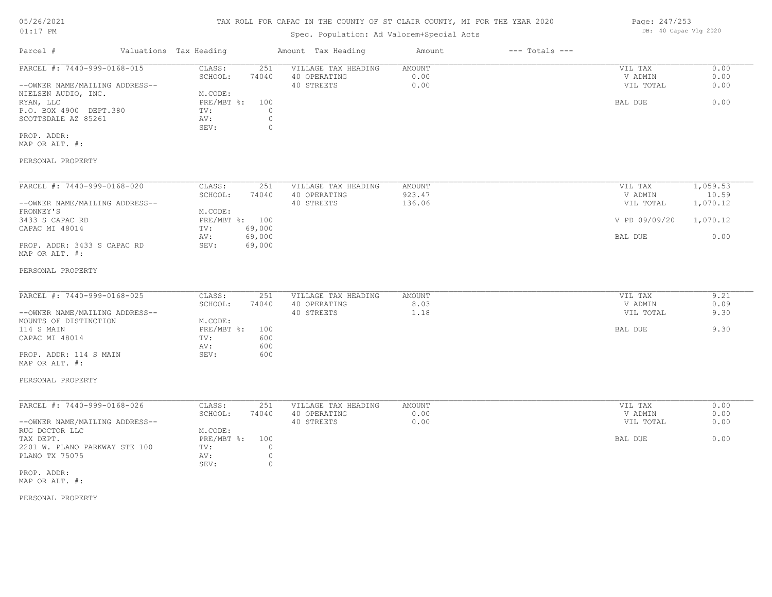#### TAX ROLL FOR CAPAC IN THE COUNTY OF ST CLAIR COUNTY, MI FOR THE YEAR 2020

#### Spec. Population: Ad Valorem+Special Acts

| Parcel #                       | Valuations Tax Heading |       | Amount Tax Heading  | Amount | $---$ Totals $---$ |           |      |
|--------------------------------|------------------------|-------|---------------------|--------|--------------------|-----------|------|
| PARCEL #: 7440-999-0168-015    | CLASS:                 | 251   | VILLAGE TAX HEADING | AMOUNT |                    | VIL TAX   | 0.00 |
|                                | SCHOOL:                | 74040 | 40 OPERATING        | 0.00   |                    | V ADMIN   | 0.00 |
| --OWNER NAME/MAILING ADDRESS-- |                        |       | 40 STREETS          | 0.00   |                    | VIL TOTAL | 0.00 |
| NIELSEN AUDIO, INC.            | M.CODE:                |       |                     |        |                    |           |      |
| RYAN, LLC                      | $PRE/MBT$ %:           | 100   |                     |        |                    | BAL DUE   | 0.00 |
| P.O. BOX 4900 DEPT.380         | TV:                    |       |                     |        |                    |           |      |
| SCOTTSDALE AZ 85261            | AV:                    |       |                     |        |                    |           |      |
|                                | SEV:                   |       |                     |        |                    |           |      |
| PROP. ADDR:                    |                        |       |                     |        |                    |           |      |
| MAP OR ALT. #:                 |                        |       |                     |        |                    |           |      |
| PERSONAL PROPERTY              |                        |       |                     |        |                    |           |      |

#### MAP OR ALT. #: PROP. ADDR: 3433 S CAPAC RD SEV: 69,000 AV: 69,000 BAL DUE 0.00 CAPAC MI 48014 TV: 69,000<br>
AV: 69,000 3433 S CAPAC RD PRE/MBT %: 100 V PD 09/09/20 1,070.12 FRONNEY'S M.CODE: --OWNER NAME/MAILING ADDRESS-- 40 STREETS 136.06 VIL TOTAL 1,070.12

SCHOOL: 74040 40 OPERATING 923.47 923.47 V ADMIN 10.59 PARCEL #: 7440-999-0168-020 CLASS: 251 VILLAGE TAX HEADING AMOUNT AMOUNT VIL TAX 1,059.53<br>SCHOOL: 74040 40 OPERATING 923.47 VADMIN 10.59

#### PERSONAL PROPERTY

| PARCEL #: 7440-999-0168-025    | CLASS:     | 251   | VILLAGE TAX HEADING | AMOUNT      | VIL TAX   | 9.21 |
|--------------------------------|------------|-------|---------------------|-------------|-----------|------|
|                                | SCHOOL:    | 74040 | 40 OPERATING        | 8.03        | V ADMIN   | 0.09 |
| --OWNER NAME/MAILING ADDRESS-- |            |       | 40 STREETS          | $\ldots$ 18 | VIL TOTAL | 9.30 |
| MOUNTS OF DISTINCTION          | M.CODE:    |       |                     |             |           |      |
| 114 S MAIN                     | PRE/MBT %: | 100   |                     |             | BAL DUE   | 9.30 |
| CAPAC MI 48014                 | TV:        | 600   |                     |             |           |      |
|                                | AV:        | 600   |                     |             |           |      |
| PROP. ADDR: 114 S MAIN         | SEV:       | 600   |                     |             |           |      |
|                                |            |       |                     |             |           |      |

#### MAP OR ALT. #:

#### PERSONAL PROPERTY

| PARCEL #: 7440-999-0168-026    | CLASS:         | 251   | VILLAGE TAX HEADING | AMOUNT | VIL TAX   | 0.00 |
|--------------------------------|----------------|-------|---------------------|--------|-----------|------|
|                                | SCHOOL:        | 74040 | 40 OPERATING        | 0.00   | V ADMIN   | 0.00 |
| --OWNER NAME/MAILING ADDRESS-- |                |       | 40 STREETS          | 0.00   | VIL TOTAL | 0.00 |
| RUG DOCTOR LLC                 | M.CODE:        |       |                     |        |           |      |
| TAX DEPT.                      | PRE/MBT %: 100 |       |                     |        | BAL DUE   | 0.00 |
| 2201 W. PLANO PARKWAY STE 100  | TV:            |       |                     |        |           |      |
| PLANO TX 75075                 | AV:            |       |                     |        |           |      |
|                                | SEV:           |       |                     |        |           |      |
| PROP. ADDR:                    |                |       |                     |        |           |      |

MAP OR ALT. #:

PERSONAL PROPERTY

Page: 247/253 DB: 40 Capac Vlg 2020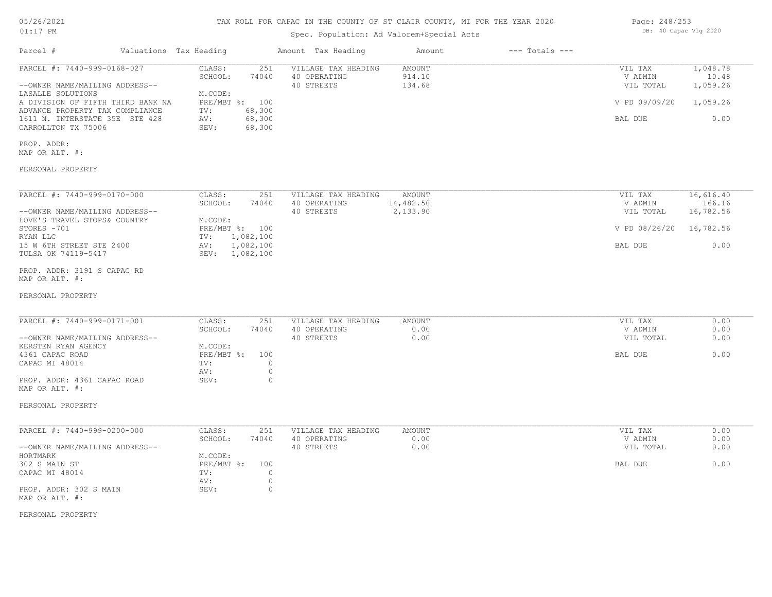# TAX ROLL FOR CAPAC IN THE COUNTY OF ST CLAIR COUNTY, MI FOR THE YEAR 2020

## Spec. Population: Ad Valorem+Special Acts

| Parcel #                          | Valuations Tax Heading |        | Amount Tax Heading  | Amount | $---$ Totals $---$ |               |          |
|-----------------------------------|------------------------|--------|---------------------|--------|--------------------|---------------|----------|
| PARCEL #: 7440-999-0168-027       | CLASS:                 | 251    | VILLAGE TAX HEADING | AMOUNT |                    | VIL TAX       | 1,048.78 |
|                                   | SCHOOL:                | 74040  | 40 OPERATING        | 914.10 |                    | V ADMIN       | 10.48    |
| --OWNER NAME/MAILING ADDRESS--    |                        |        | 40 STREETS          | 134.68 |                    | VIL TOTAL     | 1,059.26 |
| LASALLE SOLUTIONS                 | M.CODE:                |        |                     |        |                    |               |          |
| A DIVISION OF FIFTH THIRD BANK NA | $PRE/MBT$ %:           | 100    |                     |        |                    | V PD 09/09/20 | 1,059.26 |
| ADVANCE PROPERTY TAX COMPLIANCE   | TV:                    | 68,300 |                     |        |                    |               |          |
| 1611 N. INTERSTATE 35E STE 428    | AV:                    | 68,300 |                     |        |                    | BAL DUE       | 0.00     |
| CARROLLTON TX 75006               | SEV:                   | 68,300 |                     |        |                    |               |          |

PROP. ADDR:

MAP OR ALT. #:

PERSONAL PROPERTY

| PARCEL #: 7440-999-0170-000    | 251<br>CLASS:    | VILLAGE TAX HEADING<br>AMOUNT | VIL TAX       | 16,616.40 |
|--------------------------------|------------------|-------------------------------|---------------|-----------|
|                                | SCHOOL:<br>74040 | 40 OPERATING<br>14,482.50     | V ADMIN       | 166.16    |
| --OWNER NAME/MAILING ADDRESS-- |                  | 2,133.90<br>40 STREETS        | VIL TOTAL     | 16,782.56 |
| LOVE'S TRAVEL STOPS& COUNTRY   | M.CODE:          |                               |               |           |
| STORES -701                    | PRE/MBT %: 100   |                               | V PD 08/26/20 | 16,782.56 |
| RYAN LLC                       | 1,082,100<br>TV: |                               |               |           |
| 15 W 6TH STREET STE 2400       | 1,082,100<br>AV: |                               | BAL DUE       | 0.00      |
| TULSA OK 74119-5417            | SEV: 1,082,100   |                               |               |           |

MAP OR ALT. #: PROP. ADDR: 3191 S CAPAC RD

#### PERSONAL PROPERTY

| PARCEL #: 7440-999-0171-001    | CLASS:       | 251   | VILLAGE TAX HEADING | AMOUNT | VIL TAX   | 0.00 |
|--------------------------------|--------------|-------|---------------------|--------|-----------|------|
|                                | SCHOOL:      | 74040 | 40 OPERATING        | 0.00   | V ADMIN   | 0.00 |
| --OWNER NAME/MAILING ADDRESS-- |              |       | 40 STREETS          | 0.00   | VIL TOTAL | 0.00 |
| KERSTEN RYAN AGENCY            | M.CODE:      |       |                     |        |           |      |
| 4361 CAPAC ROAD                | $PRE/MBT$ %: | 100   |                     |        | BAL DUE   | 0.00 |
| CAPAC MI 48014                 | TV:          |       |                     |        |           |      |
|                                | AV:          |       |                     |        |           |      |
| PROP. ADDR: 4361 CAPAC ROAD    | SEV:         |       |                     |        |           |      |

 $\mathcal{L}_\mathcal{L} = \mathcal{L}_\mathcal{L} = \mathcal{L}_\mathcal{L} = \mathcal{L}_\mathcal{L} = \mathcal{L}_\mathcal{L} = \mathcal{L}_\mathcal{L} = \mathcal{L}_\mathcal{L} = \mathcal{L}_\mathcal{L} = \mathcal{L}_\mathcal{L} = \mathcal{L}_\mathcal{L} = \mathcal{L}_\mathcal{L} = \mathcal{L}_\mathcal{L} = \mathcal{L}_\mathcal{L} = \mathcal{L}_\mathcal{L} = \mathcal{L}_\mathcal{L} = \mathcal{L}_\mathcal{L} = \mathcal{L}_\mathcal{L}$ 

MAP OR ALT. #:

PERSONAL PROPERTY

| PARCEL #: 7440-999-0200-000    | CLASS:         | 251   | VILLAGE TAX HEADING | AMOUNT | VIL TAX   | 0.00 |
|--------------------------------|----------------|-------|---------------------|--------|-----------|------|
|                                | SCHOOL:        | 74040 | 40 OPERATING        | 0.00   | V ADMIN   | 0.00 |
| --OWNER NAME/MAILING ADDRESS-- |                |       | 40 STREETS          | 0.00   | VIL TOTAL | 0.00 |
| HORTMARK                       | M.CODE:        |       |                     |        |           |      |
| 302 S MAIN ST                  | PRE/MBT %: 100 |       |                     |        | BAL DUE   | 0.00 |
| CAPAC MI 48014                 | TV:            |       |                     |        |           |      |
|                                | AV:            |       |                     |        |           |      |
| PROP. ADDR: 302 S MAIN         | SEV:           |       |                     |        |           |      |
| MAP OR ALT. #:                 |                |       |                     |        |           |      |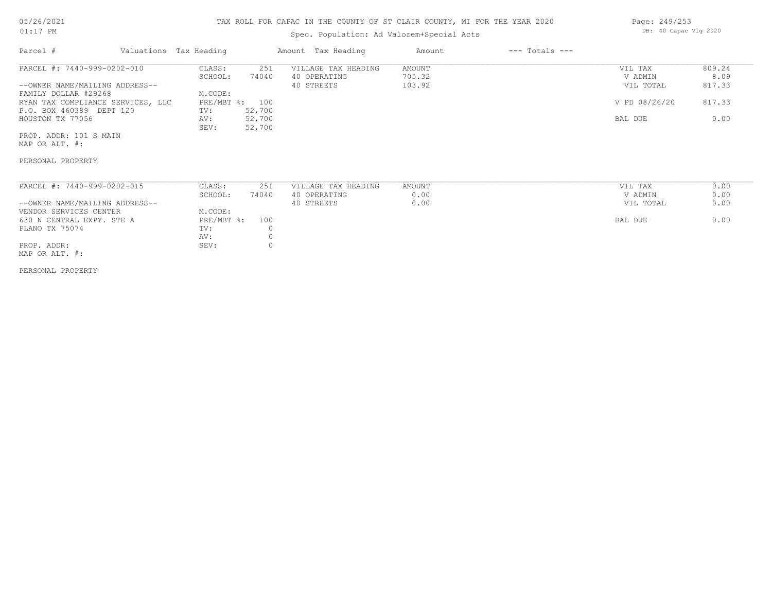# 05/26/2021

#### 01:17 PM

## TAX ROLL FOR CAPAC IN THE COUNTY OF ST CLAIR COUNTY, MI FOR THE YEAR 2020

## Spec. Population: Ad Valorem+Special Acts

| Page: 249/253 |                       |  |
|---------------|-----------------------|--|
|               | DB: 40 Capac Vlg 2020 |  |

| Parcel #                          | Valuations Tax Heading |        | Amount Tax Heading  | Amount | $---$ Totals $---$ |               |        |
|-----------------------------------|------------------------|--------|---------------------|--------|--------------------|---------------|--------|
| PARCEL #: 7440-999-0202-010       | CLASS:                 | 251    | VILLAGE TAX HEADING | AMOUNT |                    | VIL TAX       | 809.24 |
|                                   | SCHOOL:                | 74040  | 40 OPERATING        | 705.32 |                    | V ADMIN       | 8.09   |
| --OWNER NAME/MAILING ADDRESS--    |                        |        | 40 STREETS          | 103.92 |                    | VIL TOTAL     | 817.33 |
| FAMILY DOLLAR #29268              | M.CODE:                |        |                     |        |                    |               |        |
| RYAN TAX COMPLIANCE SERVICES, LLC | PRE/MBT %: 100         |        |                     |        |                    | V PD 08/26/20 | 817.33 |
| P.O. BOX 460389 DEPT 120          | TV:                    | 52,700 |                     |        |                    |               |        |
| HOUSTON TX 77056                  | AV:                    | 52,700 |                     |        |                    | BAL DUE       | 0.00   |
|                                   | SEV:                   | 52,700 |                     |        |                    |               |        |
| PROP. ADDR: 101 S MAIN            |                        |        |                     |        |                    |               |        |

MAP OR ALT. #:

#### PERSONAL PROPERTY

| PARCEL #: 7440-999-0202-015    | CLASS:     | 251   | VILLAGE TAX HEADING | AMOUNT | VIL TAX   | 0.00 |
|--------------------------------|------------|-------|---------------------|--------|-----------|------|
|                                | SCHOOL:    | 74040 | 40 OPERATING        | 0.00   | V ADMIN   | 0.00 |
| --OWNER NAME/MAILING ADDRESS-- |            |       | 40 STREETS          | 0.00   | VIL TOTAL | 0.00 |
| VENDOR SERVICES CENTER         | M.CODE:    |       |                     |        |           |      |
| 630 N CENTRAL EXPY. STE A      | PRE/MBT %: | 100   |                     |        | BAL DUE   | 0.00 |
| PLANO TX 75074                 | TV:        |       |                     |        |           |      |
|                                | AV:        |       |                     |        |           |      |
| PROP. ADDR:                    | SEV:       |       |                     |        |           |      |

MAP OR ALT. #: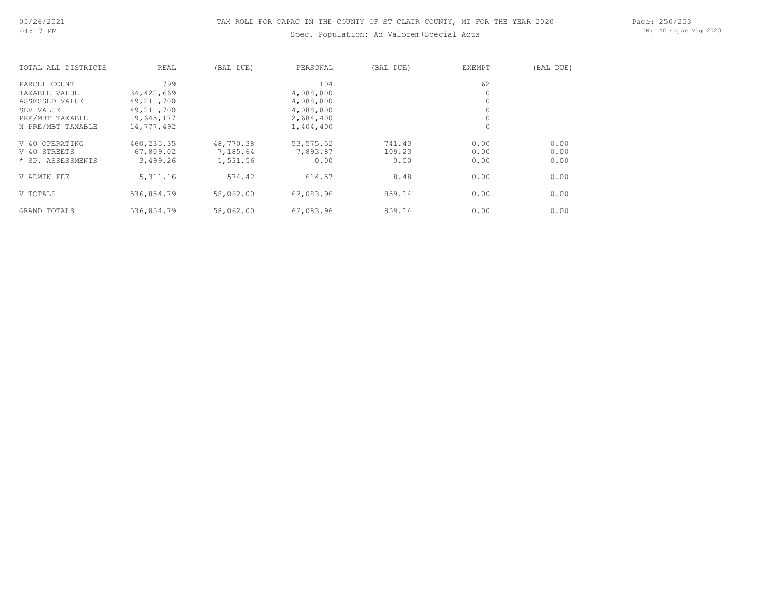## Spec. Population: Ad Valorem+Special Acts

Page: 250/253 DB: 40 Capac Vlg 2020

| TOTAL ALL DISTRICTS | REAL         | (BAL DUE) | PERSONAL   | (BAL DUE) | <b>EXEMPT</b> | (BAL DUE) |
|---------------------|--------------|-----------|------------|-----------|---------------|-----------|
| PARCEL COUNT        | 799          |           | 104        |           | 62            |           |
| TAXABLE VALUE       | 34,422,669   |           | 4,088,800  |           | 0             |           |
| ASSESSED VALUE      | 49, 211, 700 |           | 4,088,800  |           | 0             |           |
| SEV VALUE           | 49, 211, 700 |           | 4,088,800  |           | $\circ$       |           |
| PRE/MBT TAXABLE     | 19,645,177   |           | 2,684,400  |           | $\circ$       |           |
| N PRE/MBT TAXABLE   | 14,777,492   |           | 1,404,400  |           | $\circ$       |           |
| V 40 OPERATING      | 460,235.35   | 48,770.38 | 53, 575.52 | 741.43    | 0.00          | 0.00      |
| V 40 STREETS        | 67,809.02    | 7,185.64  | 7,893.87   | 109.23    | 0.00          | 0.00      |
| * SP. ASSESSMENTS   | 3,499.26     | 1,531.56  | 0.00       | 0.00      | 0.00          | 0.00      |
| V ADMIN FEE         | 5, 311.16    | 574.42    | 614.57     | 8.48      | 0.00          | 0.00      |
| V TOTALS            | 536,854.79   | 58,062.00 | 62,083.96  | 859.14    | 0.00          | 0.00      |
| GRAND TOTALS        | 536,854.79   | 58,062.00 | 62,083.96  | 859.14    | 0.00          | 0.00      |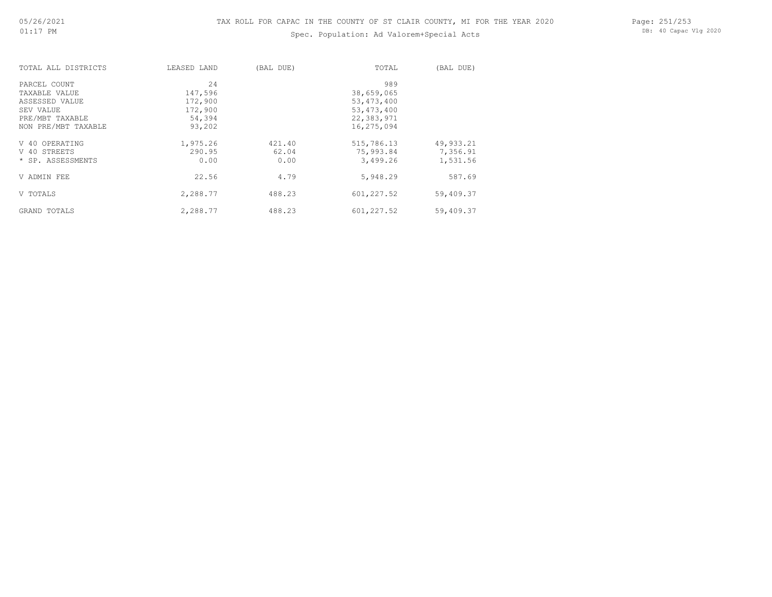## Spec. Population: Ad Valorem+Special Acts

Page: 251/253 DB: 40 Capac Vlg 2020

| TOTAL ALL DISTRICTS | LEASED LAND | (BAL DUE) | TOTAL        | (BAL DUE) |
|---------------------|-------------|-----------|--------------|-----------|
| PARCEL COUNT        | 24          |           | 989          |           |
| TAXABLE VALUE       | 147,596     |           | 38,659,065   |           |
| ASSESSED VALUE      | 172,900     |           | 53, 473, 400 |           |
| SEV VALUE           | 172,900     |           | 53, 473, 400 |           |
| PRE/MBT TAXABLE     | 54,394      |           | 22,383,971   |           |
| NON PRE/MBT TAXABLE | 93,202      |           | 16,275,094   |           |
| V 40 OPERATING      | 1,975.26    | 421.40    | 515,786.13   | 49,933.21 |
| V 40 STREETS        | 290.95      | 62.04     | 75,993.84    | 7,356.91  |
| * SP. ASSESSMENTS   | 0.00        | 0.00      | 3,499.26     | 1,531.56  |
| V ADMIN FEE         | 22.56       | 4.79      | 5,948.29     | 587.69    |
| V TOTALS            | 2,288.77    | 488.23    | 601,227.52   | 59,409.37 |
| GRAND TOTALS        | 2,288.77    | 488.23    | 601,227.52   | 59,409.37 |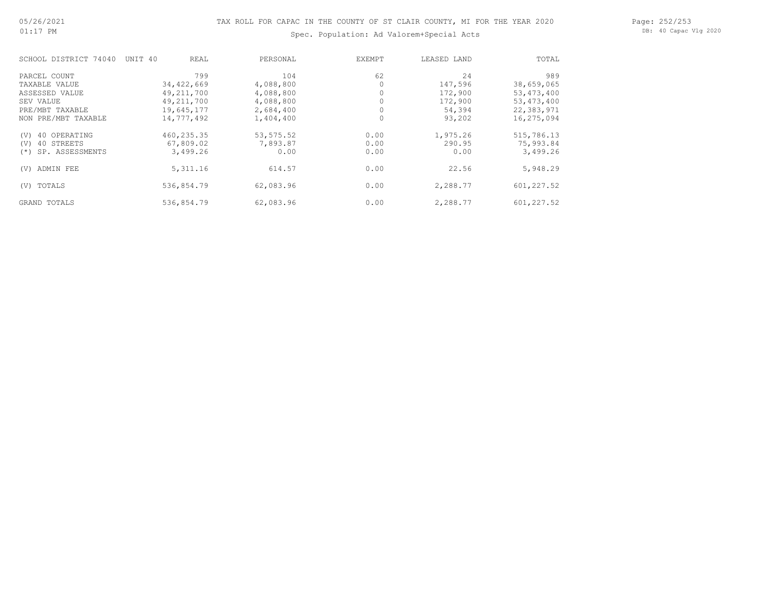## Spec. Population: Ad Valorem+Special Acts

Page: 252/253 DB: 40 Capac Vlg 2020

| SCHOOL DISTRICT 74040     | UNIT 40<br>REAL | PERSONAL   | EXEMPT | LEASED LAND | TOTAL        |
|---------------------------|-----------------|------------|--------|-------------|--------------|
| PARCEL COUNT              | 799             | 104        | 62     | 24          | 989          |
| TAXABLE VALUE             | 34,422,669      | 4,088,800  |        | 147,596     | 38,659,065   |
| ASSESSED VALUE            | 49, 211, 700    | 4,088,800  |        | 172,900     | 53, 473, 400 |
| SEV VALUE                 | 49, 211, 700    | 4,088,800  |        | 172,900     | 53, 473, 400 |
| PRE/MBT TAXABLE           | 19,645,177      | 2,684,400  |        | 54,394      | 22,383,971   |
| NON PRE/MBT TAXABLE       | 14,777,492      | 1,404,400  |        | 93,202      | 16,275,094   |
| 40 OPERATING<br>(V)       | 460, 235.35     | 53, 575.52 | 0.00   | 1,975.26    | 515,786.13   |
| 40 STREETS<br>(V)         | 67,809.02       | 7,893.87   | 0.00   | 290.95      | 75,993.84    |
| SP. ASSESSMENTS<br>$(* )$ | 3,499.26        | 0.00       | 0.00   | 0.00        | 3,499.26     |
| ADMIN FEE<br>(V)          | 5, 311.16       | 614.57     | 0.00   | 22.56       | 5,948.29     |
| TOTALS<br>(V)             | 536,854.79      | 62,083.96  | 0.00   | 2,288.77    | 601,227.52   |
| <b>GRAND TOTALS</b>       | 536,854.79      | 62,083.96  | 0.00   | 2,288.77    | 601,227.52   |